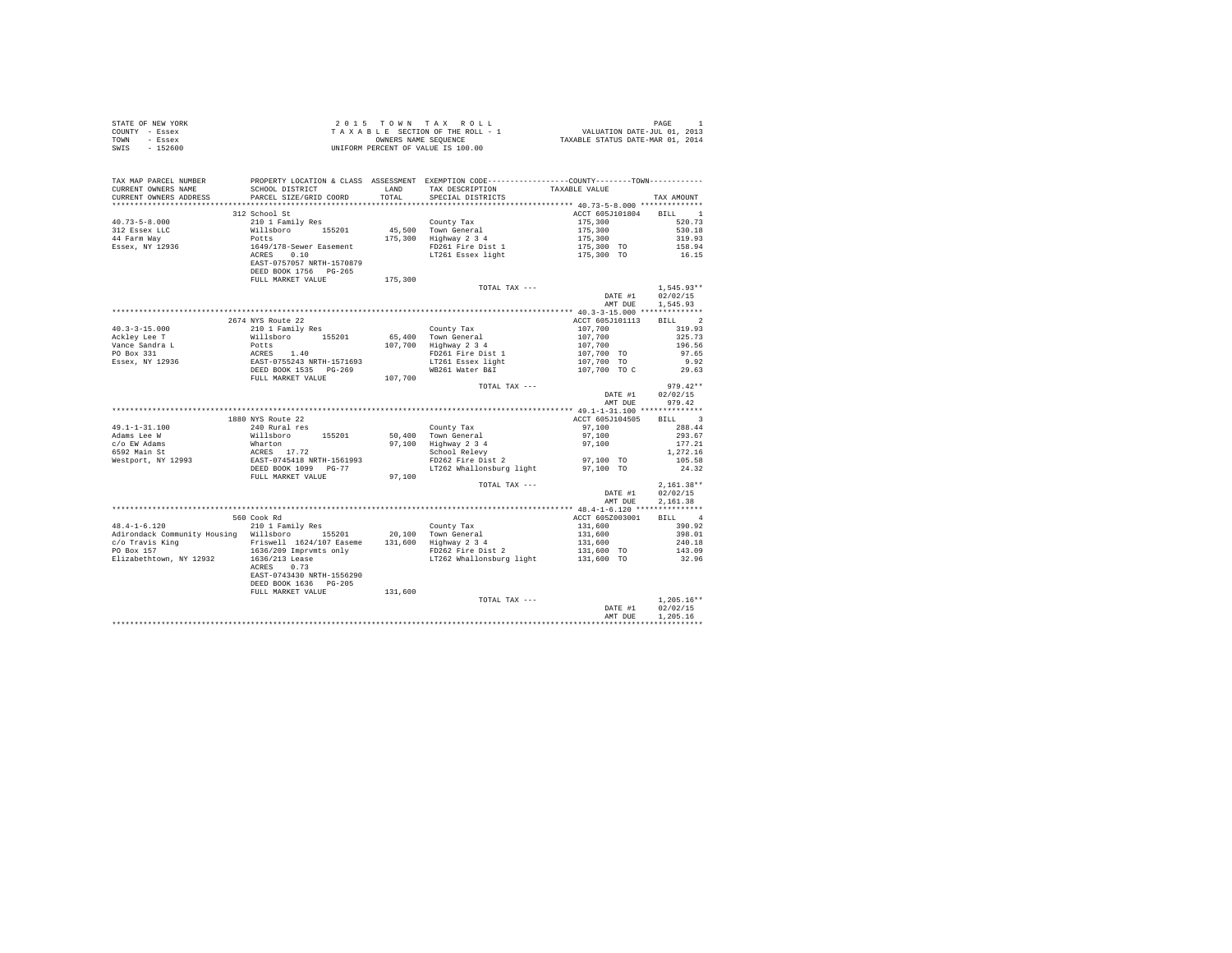|                | STATE OF NEW YORK |  |                      |  | 2015 TOWN TAX ROLL                 | PAGE                             |
|----------------|-------------------|--|----------------------|--|------------------------------------|----------------------------------|
| COUNTY - Essex |                   |  |                      |  | TAXABLE SECTION OF THE ROLL - 1    | VALUATION DATE-JUL 01, 2013      |
| TOWN           | - Essex           |  | OWNERS NAME SEOUENCE |  |                                    | TAXABLE STATUS DATE-MAR 01, 2014 |
| SWIS           | $-152600$         |  |                      |  | UNIFORM PERCENT OF VALUE IS 100.00 |                                  |

| TAX MAP PARCEL NUMBER<br>CURRENT OWNERS NAME                                                                                                                                                                                                                                                                                                                                                                                            | PROPERTY LOCATION & CLASS ASSESSMENT EXEMPTION CODE----------------COUNTY-------TOWN----------<br>SCHOOL DISTRICT<br>PARCEL SIZE/GRID COORD |         | LAND TAX DESCRIPTION                         | TAXABLE VALUE                                                              |                  |
|-----------------------------------------------------------------------------------------------------------------------------------------------------------------------------------------------------------------------------------------------------------------------------------------------------------------------------------------------------------------------------------------------------------------------------------------|---------------------------------------------------------------------------------------------------------------------------------------------|---------|----------------------------------------------|----------------------------------------------------------------------------|------------------|
| CURRENT OWNERS ADDRESS                                                                                                                                                                                                                                                                                                                                                                                                                  |                                                                                                                                             |         | TOTAL SPECIAL DISTRICTS                      |                                                                            | TAX AMOUNT       |
|                                                                                                                                                                                                                                                                                                                                                                                                                                         |                                                                                                                                             |         |                                              |                                                                            |                  |
|                                                                                                                                                                                                                                                                                                                                                                                                                                         | 312 School St                                                                                                                               |         |                                              | ACCT 605J101804 BILL 1                                                     |                  |
|                                                                                                                                                                                                                                                                                                                                                                                                                                         |                                                                                                                                             |         |                                              |                                                                            |                  |
|                                                                                                                                                                                                                                                                                                                                                                                                                                         |                                                                                                                                             |         |                                              |                                                                            |                  |
|                                                                                                                                                                                                                                                                                                                                                                                                                                         |                                                                                                                                             |         |                                              |                                                                            |                  |
|                                                                                                                                                                                                                                                                                                                                                                                                                                         |                                                                                                                                             |         |                                              |                                                                            |                  |
|                                                                                                                                                                                                                                                                                                                                                                                                                                         |                                                                                                                                             |         |                                              |                                                                            |                  |
|                                                                                                                                                                                                                                                                                                                                                                                                                                         | DEED BOOK 1756 PG-265                                                                                                                       |         |                                              |                                                                            |                  |
|                                                                                                                                                                                                                                                                                                                                                                                                                                         | FULL MARKET VALUE 175,300                                                                                                                   |         |                                              |                                                                            |                  |
|                                                                                                                                                                                                                                                                                                                                                                                                                                         |                                                                                                                                             |         | TOTAL TAX ---                                |                                                                            | $1,545.93**$     |
|                                                                                                                                                                                                                                                                                                                                                                                                                                         |                                                                                                                                             |         |                                              | DATE #1 02/02/15                                                           |                  |
|                                                                                                                                                                                                                                                                                                                                                                                                                                         |                                                                                                                                             |         |                                              |                                                                            | AMT DUE 1.545.93 |
|                                                                                                                                                                                                                                                                                                                                                                                                                                         |                                                                                                                                             |         |                                              |                                                                            |                  |
|                                                                                                                                                                                                                                                                                                                                                                                                                                         | 2674 NYS Route 22                                                                                                                           |         |                                              | ACCT 605J101113 BILL 2                                                     |                  |
|                                                                                                                                                                                                                                                                                                                                                                                                                                         |                                                                                                                                             |         |                                              |                                                                            |                  |
| $\begin{tabular}{l c c c} \multicolumn{1}{c}{\textbf{40.3-3-15.000}} & \multicolumn{1}{c}{2674} \text{RVE} & \multicolumn{1}{c}{261} & \multicolumn{1}{c}{210} & \multicolumn{1}{c}{\textbf{1}~\textbf{Fanily~}~\textbf{Res}} & \multicolumn{1}{c}{\textbf{C}} \\ \multicolumn{1}{c}{\textbf{Ackley~Lee T}} & \multicolumn{1}{c}{\textbf{Willabor}} & \multicolumn{1}{c}{\textbf{1}~\textbf{Fanily~}~\textbf{Res}} & \multicolumn{1}{c$ |                                                                                                                                             |         |                                              |                                                                            |                  |
|                                                                                                                                                                                                                                                                                                                                                                                                                                         |                                                                                                                                             |         | 65,400 Town General<br>107,700 Highway 2 3 4 |                                                                            |                  |
|                                                                                                                                                                                                                                                                                                                                                                                                                                         |                                                                                                                                             |         |                                              |                                                                            |                  |
|                                                                                                                                                                                                                                                                                                                                                                                                                                         |                                                                                                                                             |         |                                              |                                                                            |                  |
|                                                                                                                                                                                                                                                                                                                                                                                                                                         |                                                                                                                                             |         |                                              |                                                                            |                  |
|                                                                                                                                                                                                                                                                                                                                                                                                                                         |                                                                                                                                             |         |                                              |                                                                            |                  |
|                                                                                                                                                                                                                                                                                                                                                                                                                                         |                                                                                                                                             |         | TOTAL TAX ---                                |                                                                            | $979.42**$       |
|                                                                                                                                                                                                                                                                                                                                                                                                                                         |                                                                                                                                             |         |                                              | DATE #1                                                                    | 02/02/15         |
|                                                                                                                                                                                                                                                                                                                                                                                                                                         |                                                                                                                                             |         |                                              | AMT DUE                                                                    | 979.42           |
|                                                                                                                                                                                                                                                                                                                                                                                                                                         |                                                                                                                                             |         |                                              |                                                                            |                  |
|                                                                                                                                                                                                                                                                                                                                                                                                                                         | 1880 NYS Route 22                                                                                                                           |         |                                              | ACCT 605J104505                                                            | BILL 3           |
|                                                                                                                                                                                                                                                                                                                                                                                                                                         |                                                                                                                                             |         |                                              |                                                                            | 288.44           |
|                                                                                                                                                                                                                                                                                                                                                                                                                                         |                                                                                                                                             |         |                                              |                                                                            | 293.67           |
|                                                                                                                                                                                                                                                                                                                                                                                                                                         |                                                                                                                                             |         |                                              |                                                                            | 177.21           |
|                                                                                                                                                                                                                                                                                                                                                                                                                                         |                                                                                                                                             |         |                                              |                                                                            | 1,272.16         |
|                                                                                                                                                                                                                                                                                                                                                                                                                                         |                                                                                                                                             |         |                                              |                                                                            | 105.58           |
|                                                                                                                                                                                                                                                                                                                                                                                                                                         |                                                                                                                                             |         |                                              |                                                                            | 24.32            |
|                                                                                                                                                                                                                                                                                                                                                                                                                                         | FULL MARKET VALUE                                                                                                                           | 97,100  |                                              |                                                                            |                  |
|                                                                                                                                                                                                                                                                                                                                                                                                                                         |                                                                                                                                             |         | TOTAL TAX ---                                |                                                                            | $2,161.38**$     |
|                                                                                                                                                                                                                                                                                                                                                                                                                                         |                                                                                                                                             |         |                                              | DATE #1 02/02/15                                                           |                  |
|                                                                                                                                                                                                                                                                                                                                                                                                                                         |                                                                                                                                             |         |                                              |                                                                            | AMT DUE 2,161.38 |
|                                                                                                                                                                                                                                                                                                                                                                                                                                         |                                                                                                                                             |         |                                              |                                                                            |                  |
|                                                                                                                                                                                                                                                                                                                                                                                                                                         | 560 Cook Rd                                                                                                                                 |         |                                              | ACCT 605Z003001                                                            | BILL 4           |
|                                                                                                                                                                                                                                                                                                                                                                                                                                         |                                                                                                                                             |         |                                              |                                                                            |                  |
|                                                                                                                                                                                                                                                                                                                                                                                                                                         |                                                                                                                                             |         |                                              |                                                                            |                  |
|                                                                                                                                                                                                                                                                                                                                                                                                                                         |                                                                                                                                             |         |                                              |                                                                            |                  |
|                                                                                                                                                                                                                                                                                                                                                                                                                                         |                                                                                                                                             |         |                                              |                                                                            |                  |
|                                                                                                                                                                                                                                                                                                                                                                                                                                         |                                                                                                                                             |         |                                              |                                                                            |                  |
|                                                                                                                                                                                                                                                                                                                                                                                                                                         |                                                                                                                                             |         |                                              |                                                                            |                  |
|                                                                                                                                                                                                                                                                                                                                                                                                                                         | EAST-0743430 NRTH-1556290                                                                                                                   |         |                                              |                                                                            |                  |
|                                                                                                                                                                                                                                                                                                                                                                                                                                         |                                                                                                                                             |         |                                              |                                                                            |                  |
|                                                                                                                                                                                                                                                                                                                                                                                                                                         | FULL MARKET VALUE                                                                                                                           | 131,600 |                                              |                                                                            |                  |
|                                                                                                                                                                                                                                                                                                                                                                                                                                         |                                                                                                                                             |         | TOTAL TAX ---                                |                                                                            | $1.205.16**$     |
|                                                                                                                                                                                                                                                                                                                                                                                                                                         |                                                                                                                                             |         |                                              | $\begin{array}{r@{\hspace{1em}}l} \texttt{DATE} & \texttt{H1} \end{array}$ | DATE #1 02/02/15 |
|                                                                                                                                                                                                                                                                                                                                                                                                                                         |                                                                                                                                             |         |                                              | AMT DUE                                                                    | 1,205.16         |
|                                                                                                                                                                                                                                                                                                                                                                                                                                         |                                                                                                                                             |         |                                              |                                                                            |                  |
|                                                                                                                                                                                                                                                                                                                                                                                                                                         |                                                                                                                                             |         |                                              |                                                                            |                  |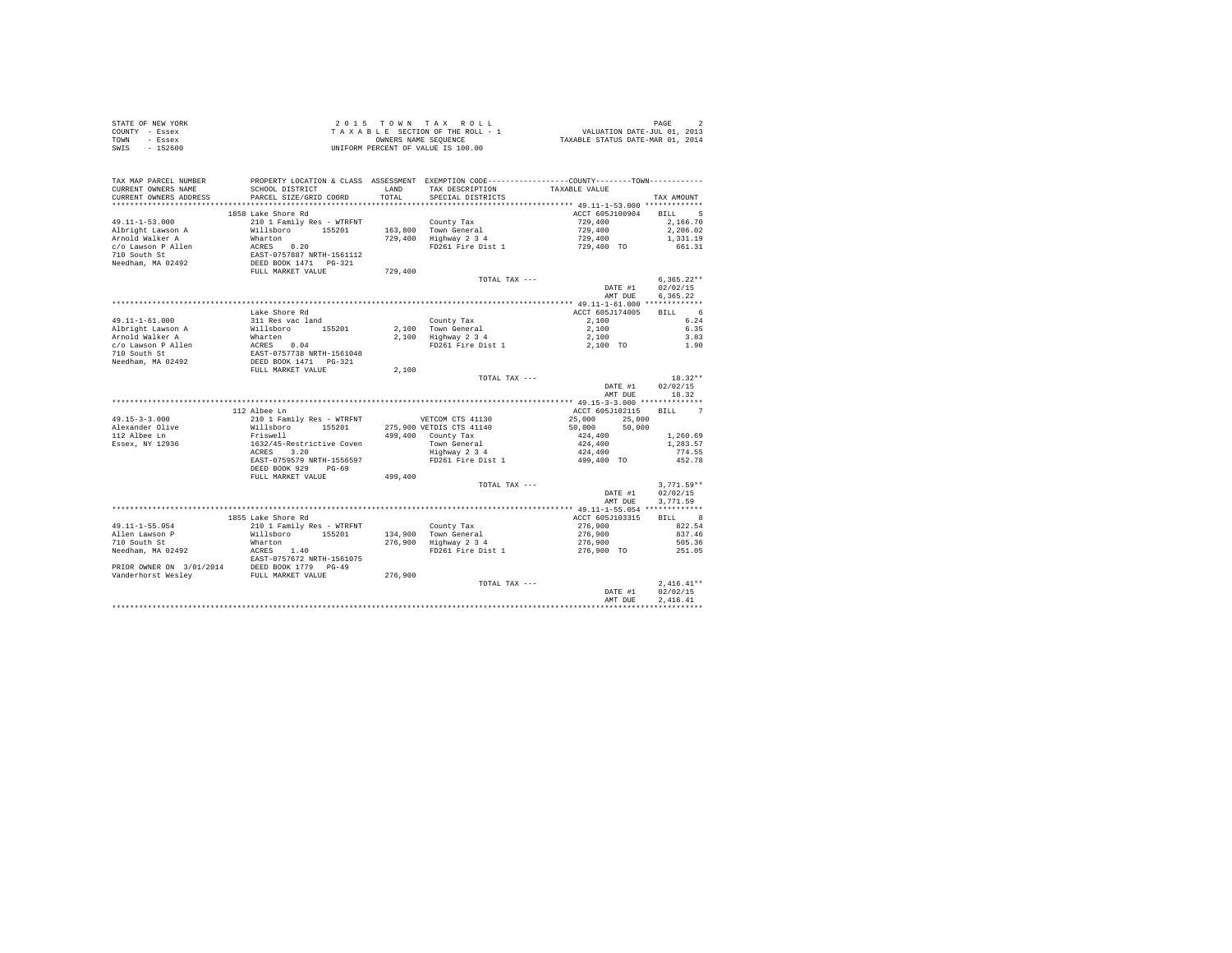| STATE OF NEW YORK      |                                                                                                  |         | 2015 TOWN TAX ROLL                                                                                  | PAGE 2<br>VALUATION DATE-JUL 01, 2013<br>TAXABLE STATUS DATE-MAR 01, 2014 |              |
|------------------------|--------------------------------------------------------------------------------------------------|---------|-----------------------------------------------------------------------------------------------------|---------------------------------------------------------------------------|--------------|
| COUNTY - Essex         |                                                                                                  |         | T A X A B L E SECTION OF THE ROLL - 1<br>OWNERS NAME SEQUENCE<br>UNIFORM PERCENT OF VALUE IS 100.00 |                                                                           |              |
| TOWN - Essex           |                                                                                                  |         |                                                                                                     |                                                                           |              |
| SWTS<br>$-152600$      |                                                                                                  |         |                                                                                                     |                                                                           |              |
|                        |                                                                                                  |         |                                                                                                     |                                                                           |              |
|                        |                                                                                                  |         |                                                                                                     |                                                                           |              |
|                        |                                                                                                  |         |                                                                                                     |                                                                           |              |
| TAX MAP PARCEL NUMBER  |                                                                                                  |         | PROPERTY LOCATION & CLASS ASSESSMENT EXEMPTION CODE---------------COUNTY-------TOWN----------       |                                                                           |              |
| CURRENT OWNERS NAME    | SCHOOL DISTRICT                                                                                  |         | LAND TAX DESCRIPTION                                                                                | TAXABLE VALUE                                                             |              |
| CURRENT OWNERS ADDRESS | PARCEL SIZE/GRID COORD                                                                           | TOTAL   | SPECIAL DISTRICTS                                                                                   |                                                                           | TAX AMOUNT   |
|                        |                                                                                                  |         |                                                                                                     |                                                                           |              |
|                        | 1858 Lake Shore Rd                                                                               |         |                                                                                                     | ACCT 605J100904 BILL 5                                                    |              |
| 49.11-1-53.000         | 210 1 Family Res - WTRFNT                                                                        |         |                                                                                                     | 729,400                                                                   | 2,166.70     |
| Albright Lawson A      | Willsboro 155201                                                                                 |         |                                                                                                     | 729,400                                                                   | 2,206.02     |
| Arnold Walker A        | Wharton<br>RCRES 0.20<br>EAST-0757887 NRTH-1561112<br>DEED BOOK 1471 PG-321<br>FULL MARKET VALUE |         | County Tax<br>163,800 Town General<br>729,400 Highway 2 3 4                                         | $729,400$<br>$729,400$ TO $661.31$                                        |              |
| c/o Lawson P Allen     |                                                                                                  |         | FD261 Fire Dist 1                                                                                   |                                                                           |              |
| 710 South St           |                                                                                                  |         |                                                                                                     |                                                                           |              |
| Needham, MA 02492      |                                                                                                  |         |                                                                                                     |                                                                           |              |
|                        |                                                                                                  | 729,400 |                                                                                                     |                                                                           |              |
|                        |                                                                                                  |         | TOTAL TAX ---                                                                                       |                                                                           | $6,365.22**$ |
|                        |                                                                                                  |         |                                                                                                     | DATE #1                                                                   | 02/02/15     |
|                        |                                                                                                  |         |                                                                                                     | AMT DUE                                                                   | 6.365.22     |
|                        |                                                                                                  |         |                                                                                                     |                                                                           |              |
|                        | Lake Shore Rd                                                                                    |         |                                                                                                     | ACCT 605J174005                                                           | BILL 6       |
|                        | 311 Res vac land                                                                                 |         |                                                                                                     |                                                                           |              |
| 49.11-1-61.000         |                                                                                                  |         | County Tax                                                                                          | 2,100                                                                     | 6.24         |
|                        |                                                                                                  |         |                                                                                                     |                                                                           | 6.35         |
|                        |                                                                                                  |         |                                                                                                     |                                                                           | 3.83         |
|                        |                                                                                                  |         |                                                                                                     |                                                                           | 1.90         |
|                        |                                                                                                  |         |                                                                                                     |                                                                           |              |
|                        |                                                                                                  |         |                                                                                                     |                                                                           |              |
|                        |                                                                                                  | 2,100   |                                                                                                     |                                                                           |              |
|                        |                                                                                                  |         | TOTAL TAX ---                                                                                       |                                                                           | $18.32**$    |
|                        |                                                                                                  |         |                                                                                                     | DATE #1                                                                   | 02/02/15     |
|                        |                                                                                                  |         |                                                                                                     | AMT DUE                                                                   | 18.32        |
|                        |                                                                                                  |         |                                                                                                     |                                                                           |              |
|                        | 112 Albee Ln                                                                                     |         |                                                                                                     | ACCT 605J102115 BILL 7                                                    |              |
| $49.15 - 3 - 3.000$    | 210 1 Family Res - WTRFNT                                                                        |         | VETCOM CTS 41130                                                                                    | 25,000                                                                    |              |
| Alexander Olive        | Willsboro 155201                                                                                 |         |                                                                                                     | 25,000 25,000<br>50,000 50,000                                            |              |
| 112 Albee Ln           | Friswell                                                                                         |         | 275,900 VETDIS CTS 41140<br>499,400 County Tax<br>Town General<br>Highway 2 3 4                     | 424,400                                                                   | 1,260.69     |
| Essex, NY 12936        | 1632/45-Restrictive Coven                                                                        |         |                                                                                                     |                                                                           | 1,283.57     |
|                        | ACRES 3.20                                                                                       |         |                                                                                                     | $424,400$<br>$424,400$<br>$499,400$ TO                                    | 774.55       |
|                        | EAST-0759579 NRTH-1556597                                                                        |         | FD261 Fire Dist 1                                                                                   |                                                                           | 452.78       |
|                        | DEED BOOK 929 PG-69                                                                              |         |                                                                                                     |                                                                           |              |
|                        | FULL MARKET VALUE                                                                                | 499,400 |                                                                                                     |                                                                           |              |
|                        |                                                                                                  |         |                                                                                                     |                                                                           | $3.771.59**$ |
|                        |                                                                                                  |         | TOTAL TAX ---                                                                                       |                                                                           |              |
|                        |                                                                                                  |         |                                                                                                     | DATE #1                                                                   | 02/02/15     |
|                        |                                                                                                  |         |                                                                                                     | AMT DUE                                                                   | 3,771.59     |
|                        |                                                                                                  |         |                                                                                                     |                                                                           |              |
|                        |                                                                                                  |         |                                                                                                     |                                                                           | BILL 8       |
|                        |                                                                                                  |         |                                                                                                     |                                                                           | 822.54       |
|                        |                                                                                                  |         |                                                                                                     |                                                                           | 837.46       |
|                        |                                                                                                  |         |                                                                                                     |                                                                           | 505.36       |
|                        |                                                                                                  |         |                                                                                                     |                                                                           | 251.05       |
|                        |                                                                                                  |         |                                                                                                     |                                                                           |              |
|                        |                                                                                                  |         |                                                                                                     |                                                                           |              |
|                        |                                                                                                  |         |                                                                                                     |                                                                           |              |
|                        |                                                                                                  |         |                                                                                                     |                                                                           | $2.416.41**$ |
|                        |                                                                                                  |         |                                                                                                     | DATE #1                                                                   | 02/02/15     |
|                        |                                                                                                  |         |                                                                                                     | AMT DUE                                                                   | 2.416.41     |
|                        |                                                                                                  |         |                                                                                                     |                                                                           |              |
|                        |                                                                                                  |         |                                                                                                     |                                                                           |              |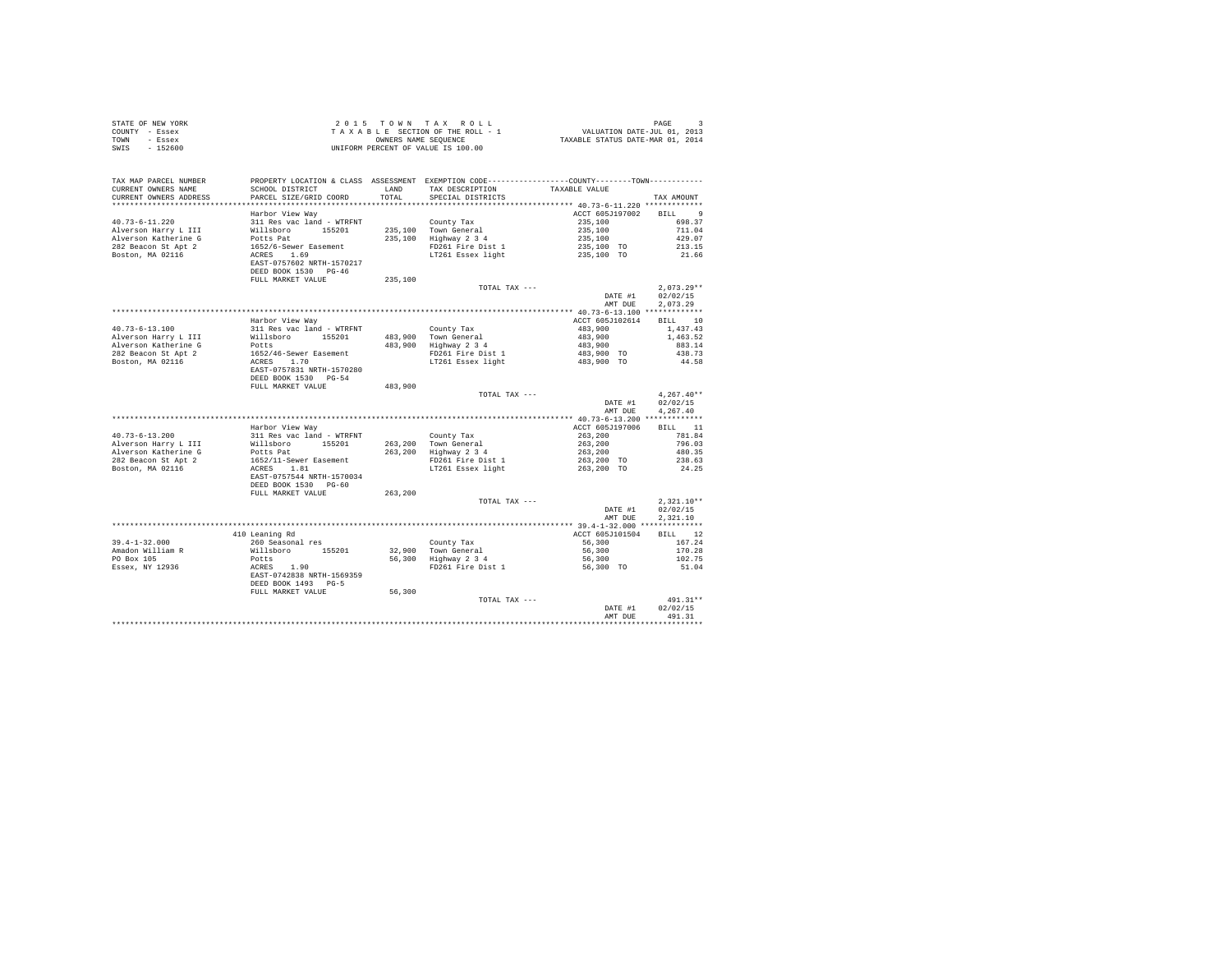|                | STATE OF NEW YORK |  |  | 2015 TOWN TAX ROLL                 |  |  |  | PAGE                             |
|----------------|-------------------|--|--|------------------------------------|--|--|--|----------------------------------|
| COUNTY - Essex |                   |  |  | TAXABLE SECTION OF THE ROLL - 1    |  |  |  | VALUATION DATE-JUL 01, 2013      |
| TOWN           | $-$ Essex         |  |  | OWNERS NAME SEOUENCE               |  |  |  | TAXABLE STATUS DATE-MAR 01, 2014 |
| SWIS           | $-152600$         |  |  | UNIFORM PERCENT OF VALUE IS 100.00 |  |  |  |                                  |

| TAX MAP PARCEL NUMBER<br>CURRENT OWNERS NAME<br>CURRENT OWNERS ADDRESS | PROPERTY LOCATION & CLASS ASSESSMENT EXEMPTION CODE---------------COUNTY-------TOWN---------<br>SCHOOL DISTRICT | LAND<br>TOTAL.     | TAX DESCRIPTION<br>SPECIAL DISTRICTS | TAXABLE VALUE                           | TAX AMOUNT               |
|------------------------------------------------------------------------|-----------------------------------------------------------------------------------------------------------------|--------------------|--------------------------------------|-----------------------------------------|--------------------------|
| **********************                                                 | PARCEL SIZE/GRID COORD<br>************************                                                              |                    |                                      |                                         |                          |
|                                                                        | Harbor View Way                                                                                                 |                    |                                      | ACCT 605J197002                         | - 9<br><b>BILL</b>       |
| $40.73 - 6 - 11.220$                                                   | 311 Res vac land - WTRFNT                                                                                       |                    | County Tax                           | 235,100                                 | 698.37                   |
| Alverson Harry L III                                                   | Willsboro<br>155201                                                                                             |                    | Town General                         | 235,100                                 | 711.04                   |
| Alverson Katherine G                                                   | Potts Pat                                                                                                       | 235,100<br>235,100 | Highway 2 3 4                        | 235,100                                 | 429.07                   |
| 282 Beacon St Apt 2                                                    | 1652/6-Sewer Easement                                                                                           |                    | FD261 Fire Dist 1                    | 235,100 TO                              | 213.15                   |
| Boston, MA 02116                                                       | ACRES<br>1.69                                                                                                   |                    | LT261 Essex light                    | 235,100 TO                              | 21.66                    |
|                                                                        | EAST-0757602 NRTH-1570217<br>DEED BOOK 1530 PG-46<br>FULL MARKET VALUE                                          |                    |                                      |                                         |                          |
|                                                                        |                                                                                                                 | 235,100            |                                      |                                         | $2.073.29**$             |
|                                                                        |                                                                                                                 |                    | TOTAL TAX ---                        | DATE #1                                 |                          |
|                                                                        |                                                                                                                 |                    |                                      | AMT DUE                                 | 02/02/15<br>2.073.29     |
|                                                                        |                                                                                                                 |                    |                                      | ********** 40.73-6-13.100 ************* |                          |
|                                                                        | Harbor View Way                                                                                                 |                    |                                      | ACCT 605J102614                         | 10<br>BILL               |
| $40.73 - 6 - 13.100$                                                   | 311 Res vac land - WTRFNT                                                                                       |                    | County Tax                           | 483,900                                 | 1,437.43                 |
| Alverson Harry L III                                                   | 155201<br>Willsboro                                                                                             |                    | 483,900 Town General                 | 483,900                                 | 1,463.52                 |
| Alverson Katherine G                                                   | Potts                                                                                                           | 483,900            | Highway 2 3 4                        | 483,900                                 | 883.14                   |
| 282 Beacon St Apt 2                                                    | 1652/46-Sewer Easement                                                                                          |                    | FD261 Fire Dist 1                    | 483,900 TO                              | 438.73                   |
| Boston, MA 02116                                                       | ACRES 1.70                                                                                                      |                    | LT261 Essex light                    | 483,900 TO                              | 44.58                    |
|                                                                        | EAST-0757831 NRTH-1570280                                                                                       |                    |                                      |                                         |                          |
|                                                                        | DEED BOOK 1530 PG-54                                                                                            |                    |                                      |                                         |                          |
|                                                                        | FULL MARKET VALUE                                                                                               | 483,900            |                                      |                                         |                          |
|                                                                        |                                                                                                                 |                    | TOTAL TAX ---                        |                                         | $4,267.40**$             |
|                                                                        |                                                                                                                 |                    |                                      | DATE #1                                 | 02/02/15                 |
|                                                                        |                                                                                                                 |                    |                                      | AMT DUE                                 | 4,267.40                 |
|                                                                        |                                                                                                                 |                    |                                      | ******* 40.73-6-13.200 *************    |                          |
|                                                                        | Harbor View Way                                                                                                 |                    |                                      | ACCT 605J197006                         | BILL 11                  |
| $40.73 - 6 - 13.200$                                                   | 311 Res vac land - WTRFNT                                                                                       |                    | County Tax                           | 263,200                                 | 781.84                   |
| Alverson Harry L III                                                   | Willsboro<br>155201                                                                                             | 263,200            | Town General                         | 263,200                                 | 796.03                   |
| Alverson Katherine G                                                   | Potts Pat                                                                                                       | 263,200            | Highway 2 3 4                        | 263,200                                 | 480.35                   |
| 282 Beacon St Apt 2                                                    | 1652/11-Sewer Easement                                                                                          |                    | FD261 Fire Dist 1                    | 263,200 TO                              | 238.63                   |
| Boston, MA 02116                                                       | ACRES<br>1.81                                                                                                   |                    | LT261 Essex light                    | 263,200 TO                              | 24.25                    |
|                                                                        | EAST-0757544 NRTH-1570034                                                                                       |                    |                                      |                                         |                          |
|                                                                        | DEED BOOK 1530 PG-60                                                                                            |                    |                                      |                                         |                          |
|                                                                        | FULL MARKET VALUE                                                                                               | 263,200            | TOTAL TAX ---                        |                                         |                          |
|                                                                        |                                                                                                                 |                    |                                      | DATE #1                                 | $2,321.10**$<br>02/02/15 |
|                                                                        |                                                                                                                 |                    |                                      | AMT DUE                                 | 2,321.10                 |
|                                                                        |                                                                                                                 |                    |                                      |                                         | **************           |
|                                                                        | 410 Leaning Rd                                                                                                  |                    |                                      | ACCT 605J101504                         | BILL 12                  |
| $39.4 - 1 - 32.000$                                                    | 260 Seasonal res                                                                                                |                    | County Tax                           | 56,300                                  | 167.24                   |
| Amadon William R                                                       | Willsboro 155201                                                                                                | 32,900             | Town General                         | 56,300                                  | 170.28                   |
| PO Box 105                                                             | Potts                                                                                                           | 56,300             | Highway 2 3 4                        | 56,300                                  | 102.75                   |
| Essex, NY 12936                                                        | ACRES<br>1.90                                                                                                   |                    | FD261 Fire Dist 1                    | 56,300 TO                               | 51.04                    |
|                                                                        | EAST-0742838 NRTH-1569359                                                                                       |                    |                                      |                                         |                          |
|                                                                        | DEED BOOK 1493 PG-5                                                                                             |                    |                                      |                                         |                          |
|                                                                        | FULL MARKET VALUE                                                                                               | 56,300             |                                      |                                         |                          |
|                                                                        |                                                                                                                 |                    | TOTAL TAX ---                        |                                         | 491.31**                 |
|                                                                        |                                                                                                                 |                    |                                      | DATE #1                                 | 02/02/15                 |
|                                                                        |                                                                                                                 |                    |                                      | AMT DUE                                 | 491.31                   |
|                                                                        |                                                                                                                 |                    |                                      | *******************************         |                          |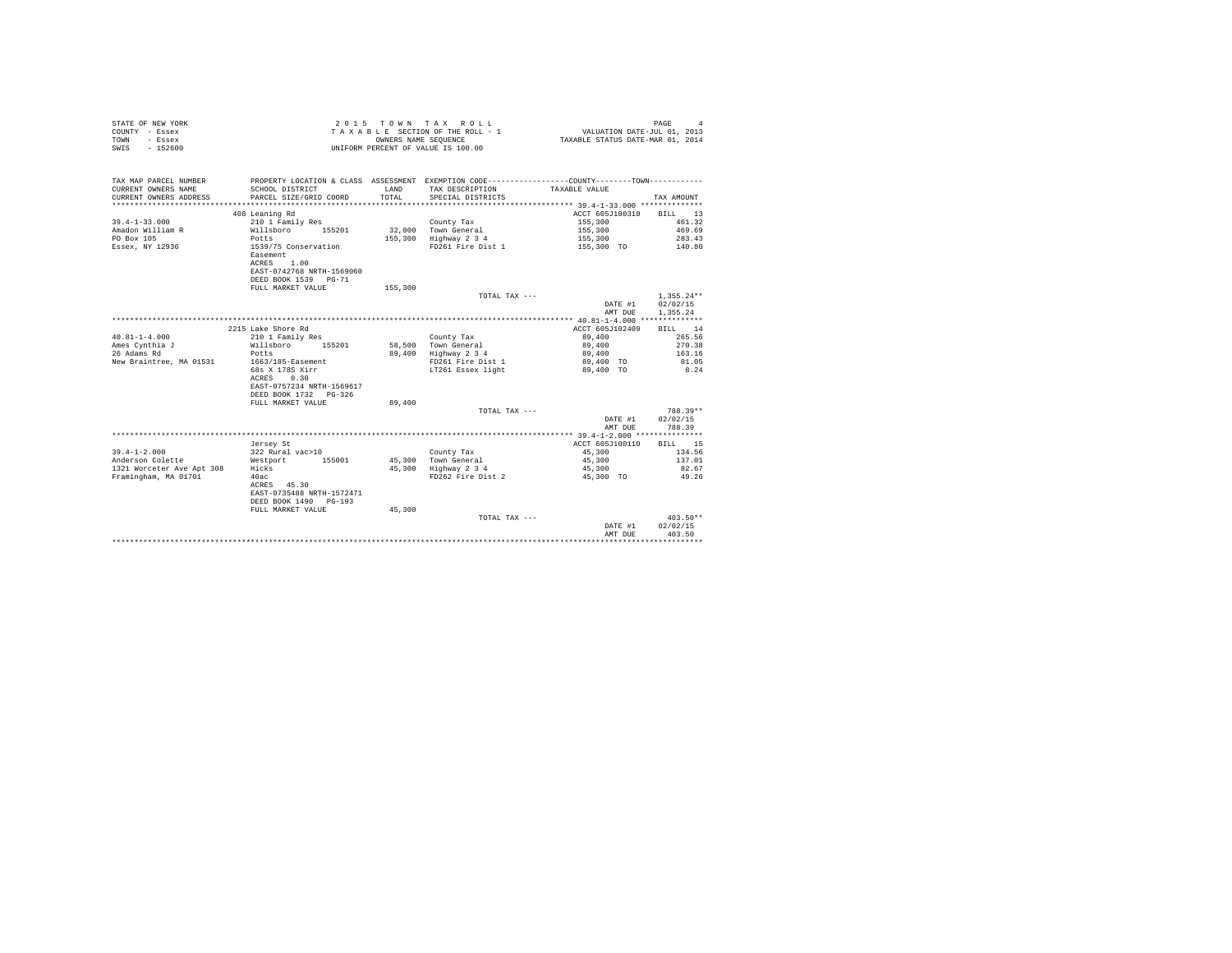| STATE OF NEW YORK<br>COUNTY - Essex<br>- Essex<br>TOWN<br>SWIS - 152600 |                                                                             | OWNERS NAME SEOUENCE | 2015 TOWN TAX ROLL<br>TAXABLE SECTION OF THE ROLL - 1<br>UNIFORM PERCENT OF VALUE IS 100.00  | VALUATION DATE-JUL 01, 2013<br>TAXABLE STATUS DATE-MAR 01, 2014 | PAGE                  |
|-------------------------------------------------------------------------|-----------------------------------------------------------------------------|----------------------|----------------------------------------------------------------------------------------------|-----------------------------------------------------------------|-----------------------|
| TAX MAP PARCEL NUMBER                                                   |                                                                             |                      | PROPERTY LOCATION & CLASS ASSESSMENT EXEMPTION CODE---------------COUNTY-------TOWN--------- |                                                                 |                       |
| CURRENT OWNERS NAME                                                     | SCHOOL DISTRICT                                                             | LAND                 | TAX DESCRIPTION                                                                              | TAXABLE VALUE                                                   |                       |
| CURRENT OWNERS ADDRESS                                                  | PARCEL SIZE/GRID COORD                                                      | TOTAL                | SPECIAL DISTRICTS                                                                            |                                                                 | TAX AMOUNT            |
| *************************                                               |                                                                             |                      |                                                                                              |                                                                 |                       |
|                                                                         | 408 Leaning Rd                                                              |                      |                                                                                              | ACCT 605J100310                                                 | BILL 13               |
| $39.4 - 1 - 33.000$                                                     | 210 1 Family Res                                                            |                      | County Tax                                                                                   | 155,300                                                         | 461.32                |
| Amadon William R                                                        | Willsboro 155201                                                            |                      | 32.000 Town General                                                                          | 155,300                                                         | 469.69                |
| PO Box 105                                                              | Potts                                                                       |                      | 155,300 Highway 2 3 4                                                                        | 155,300                                                         | 283.43                |
| Essex, NY 12936                                                         | 1539/75 Conservation<br>Easement<br>ACRES 1.00<br>EAST-0742768 NRTH-1569060 |                      | FD261 Fire Dist 1                                                                            | 155,300 TO                                                      | 140.80                |
|                                                                         | DEED BOOK 1539 PG-71                                                        |                      |                                                                                              |                                                                 |                       |
|                                                                         | FULL MARKET VALUE                                                           | 155,300              |                                                                                              |                                                                 |                       |
|                                                                         |                                                                             |                      | TOTAL TAX $---$                                                                              |                                                                 | $1.355.24**$          |
|                                                                         |                                                                             |                      |                                                                                              | DATE #1                                                         | 02/02/15              |
|                                                                         |                                                                             |                      |                                                                                              | AMT DUE                                                         | 1.355.24              |
|                                                                         |                                                                             |                      |                                                                                              |                                                                 |                       |
|                                                                         | 2215 Lake Shore Rd                                                          |                      |                                                                                              | ACCT 605J102409                                                 | <b>BTT.T.</b> 14      |
| $40.81 - 1 - 4.000$                                                     | 210 1 Family Res                                                            |                      | County Tax                                                                                   | 89,400                                                          | 265.56                |
| Ames Cynthia J                                                          | Willsboro 155201                                                            |                      | 58,500 Town General                                                                          | 89,400                                                          | 270.38                |
| 26 Adams Rd                                                             | Potts                                                                       |                      | 89,400 Highway 2 3 4                                                                         | 89,400                                                          | 163.16                |
| New Braintree, MA 01531                                                 | 1663/185-Easement                                                           |                      | FD261 Fire Dist 1                                                                            | 89,400 TO                                                       | 81.05                 |
|                                                                         | 68s X 178S Xirr                                                             |                      | LT261 Essex light                                                                            | 89,400 TO                                                       | 8.24                  |
|                                                                         | ACRES 0.30                                                                  |                      |                                                                                              |                                                                 |                       |
|                                                                         | EAST-0757234 NRTH-1569617                                                   |                      |                                                                                              |                                                                 |                       |
|                                                                         | DEED BOOK 1732 PG-326                                                       |                      |                                                                                              |                                                                 |                       |
|                                                                         | FULL MARKET VALUE                                                           | 89,400               |                                                                                              |                                                                 |                       |
|                                                                         |                                                                             |                      | TOTAL TAX ---                                                                                |                                                                 | $788.39**$            |
|                                                                         |                                                                             |                      |                                                                                              | DATE #1<br>AMT DUE                                              | 02/02/15<br>788.39    |
|                                                                         |                                                                             |                      |                                                                                              |                                                                 |                       |
|                                                                         | Jersey St                                                                   |                      |                                                                                              | ACCT 605J100110                                                 | BILL 15               |
| $39.4 - 1 - 2.000$                                                      | 322 Rural vac>10                                                            |                      | County Tax                                                                                   | 45,300                                                          | 134.56                |
| Anderson Colette                                                        | Westport 155001                                                             |                      | 45.300 Town General                                                                          | 45,300                                                          | 137.01                |
| 1321 Worceter Ave Apt 308                                               | Hicks                                                                       |                      | 45,300 Highway 2 3 4                                                                         | 45,300                                                          | 82.67                 |
| Framingham, MA 01701                                                    | 40ac                                                                        |                      | FD262 Fire Dist 2                                                                            | 45,300 TO                                                       | 49.26                 |
|                                                                         | ACRES 45.30                                                                 |                      |                                                                                              |                                                                 |                       |
|                                                                         | EAST-0735488 NRTH-1572471                                                   |                      |                                                                                              |                                                                 |                       |
|                                                                         | DEED BOOK 1490 PG-193                                                       |                      |                                                                                              |                                                                 |                       |
|                                                                         | FULL MARKET VALUE                                                           | 45,300               |                                                                                              |                                                                 |                       |
|                                                                         |                                                                             |                      | TOTAL TAX ---                                                                                |                                                                 | $403.50**$            |
|                                                                         |                                                                             |                      |                                                                                              | DATE #1                                                         | 02/02/15              |
|                                                                         |                                                                             |                      |                                                                                              | AMT DUE                                                         | 403.50<br>*********** |
|                                                                         |                                                                             |                      |                                                                                              |                                                                 |                       |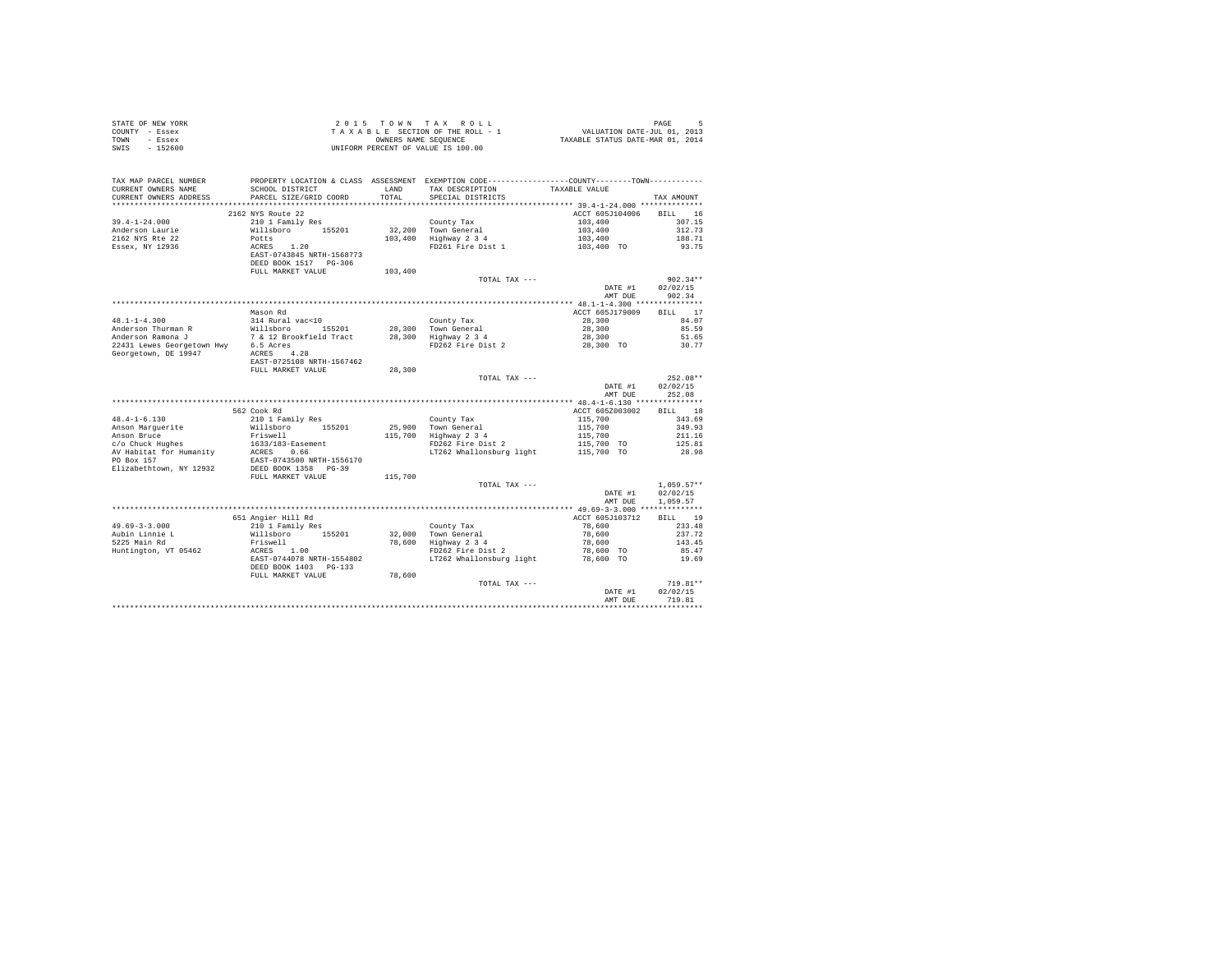| COUNTY - Essex<br>TOWN<br>- Essex             | T A X A B L E SECTION OF THE ROLL - 1<br>OWNERS NAMES NAME SEQUENCE<br>UNIFORM PERCENT OF VALUE IS 100.00                          |               |                                                                                                                                  |                         |                  |  |
|-----------------------------------------------|------------------------------------------------------------------------------------------------------------------------------------|---------------|----------------------------------------------------------------------------------------------------------------------------------|-------------------------|------------------|--|
| $-152600$<br>SWIS                             |                                                                                                                                    |               |                                                                                                                                  |                         |                  |  |
|                                               |                                                                                                                                    |               |                                                                                                                                  |                         |                  |  |
|                                               |                                                                                                                                    |               |                                                                                                                                  |                         |                  |  |
|                                               |                                                                                                                                    |               |                                                                                                                                  |                         |                  |  |
| TAX MAP PARCEL NUMBER                         | SCHOOL DISTRICT                                                                                                                    |               | PROPERTY LOCATION & CLASS ASSESSMENT EXEMPTION CODE----------------COUNTY--------TOWN----------<br>TAX DESCRIPTION TAXABLE VALUE |                         |                  |  |
| CURRENT OWNERS NAME<br>CURRENT OWNERS ADDRESS | PARCEL SIZE/GRID COORD                                                                                                             | LAND<br>TOTAL | SPECIAL DISTRICTS                                                                                                                |                         | TAX AMOUNT       |  |
|                                               |                                                                                                                                    |               |                                                                                                                                  |                         |                  |  |
|                                               | 2162 NYS Route 22                                                                                                                  |               |                                                                                                                                  | ACCT 605J104006         | BILL 16          |  |
| $39.4 - 1 - 24.000$                           | 210 1 Family Res                                                                                                                   |               | County Tax                                                                                                                       | 103,400                 | 307.15           |  |
| Anderson Laurie                               |                                                                                                                                    |               | County Tax<br>32,200 Town General<br>103,400 Highway 2 3 4                                                                       |                         | 312.73           |  |
| 2162 NYS Rte 22                               |                                                                                                                                    |               |                                                                                                                                  |                         | 188.71           |  |
| Essex, NY 12936                               | xiv 1 ramin<br>Willisboro 155201<br>Potts 1.20<br>RARS 1.20<br>REED BOOK 1517 PG-306<br>DEED BOOK 1517 PG-306<br>FULL MARKET VALUE |               | Town General 103,400<br>Highway 2 3 4 103,400<br>FD261 Fire Dist 1 103,400 TO                                                    |                         | 93.75            |  |
|                                               |                                                                                                                                    |               |                                                                                                                                  |                         |                  |  |
|                                               |                                                                                                                                    |               |                                                                                                                                  |                         |                  |  |
|                                               |                                                                                                                                    | 103,400       |                                                                                                                                  |                         |                  |  |
|                                               |                                                                                                                                    |               | TOTAL TAX ---                                                                                                                    |                         | $902.34**$       |  |
|                                               |                                                                                                                                    |               |                                                                                                                                  | DATE #1                 | 02/02/15         |  |
|                                               |                                                                                                                                    |               |                                                                                                                                  | AMT DUE                 | 902.34           |  |
|                                               |                                                                                                                                    |               |                                                                                                                                  |                         |                  |  |
|                                               | Mason Rd                                                                                                                           |               |                                                                                                                                  | ACCT 605J179009         | BILL 17          |  |
|                                               |                                                                                                                                    |               |                                                                                                                                  |                         | 84.07            |  |
|                                               |                                                                                                                                    |               |                                                                                                                                  |                         | 85.59            |  |
|                                               |                                                                                                                                    |               |                                                                                                                                  |                         | 51.65            |  |
|                                               |                                                                                                                                    |               |                                                                                                                                  |                         | 30.77            |  |
|                                               |                                                                                                                                    |               |                                                                                                                                  |                         |                  |  |
|                                               |                                                                                                                                    |               |                                                                                                                                  |                         |                  |  |
|                                               |                                                                                                                                    |               |                                                                                                                                  |                         |                  |  |
|                                               |                                                                                                                                    |               |                                                                                                                                  |                         |                  |  |
|                                               |                                                                                                                                    |               | TOTAL TAX ---                                                                                                                    |                         | $252.08**$       |  |
|                                               |                                                                                                                                    |               |                                                                                                                                  |                         | DATE #1 02/02/15 |  |
|                                               |                                                                                                                                    |               |                                                                                                                                  | AMT DUE                 | 252.08           |  |
|                                               |                                                                                                                                    |               |                                                                                                                                  |                         |                  |  |
|                                               | 562 Cook Rd                                                                                                                        |               |                                                                                                                                  | ACCT 605Z003002 BILL 18 |                  |  |
| $48.4 - 1 - 6.130$                            | 210 1 Family Res                                                                                                                   |               |                                                                                                                                  |                         | 343.69           |  |
| Anson Marguerite                              | Willsboro 155201                                                                                                                   |               |                                                                                                                                  |                         | 349.93           |  |
|                                               | Friswell                                                                                                                           |               |                                                                                                                                  |                         | 211.16           |  |
| Anson Bruce<br>c/o Chuck Hughes               | 1633/183-Easement                                                                                                                  |               |                                                                                                                                  |                         | 125.81           |  |
|                                               |                                                                                                                                    |               | County Tax<br>25,900 Town General<br>115,700 Highway 2 3 4<br>FD262 Fire Dist 2                                                  |                         | 28.98            |  |
|                                               |                                                                                                                                    |               |                                                                                                                                  |                         |                  |  |
|                                               |                                                                                                                                    |               |                                                                                                                                  |                         |                  |  |
|                                               |                                                                                                                                    | 115,700       |                                                                                                                                  |                         |                  |  |
|                                               |                                                                                                                                    |               | TOTAL TAX ---                                                                                                                    |                         | $1.059.57**$     |  |
|                                               |                                                                                                                                    |               |                                                                                                                                  | DATE #1                 | 02/02/15         |  |
|                                               |                                                                                                                                    |               |                                                                                                                                  | AMT DUE                 | 1,059.57         |  |
|                                               |                                                                                                                                    |               |                                                                                                                                  |                         |                  |  |
|                                               | 651 Angier Hill Rd                                                                                                                 |               |                                                                                                                                  | ACCT 605J103712         | BILL 19          |  |
| $49.69 - 3 - 3.000$                           |                                                                                                                                    |               |                                                                                                                                  | 78,600                  | 233.48           |  |
|                                               | 210 1 Family Res<br>Willsboro 155201                                                                                               |               |                                                                                                                                  | 78,600                  | 237.72           |  |
| Aubin Linnie L<br>5225 Main Rd                |                                                                                                                                    |               |                                                                                                                                  | 78,600                  | 143.45           |  |
| Huntington, VT 05462                          | Friswell<br>ACRES 1.00                                                                                                             |               | County Tax<br>32,000 Town General<br>78,600 Highway 2 3 4<br>FD262 Fire Dist 2                                                   | 78,600 TO               | 85.47            |  |
|                                               |                                                                                                                                    |               | ACRES 1.00 FD262 Fire Dist 2<br>EAST-0744078 NRTH-1554802 LT262 Whallonsburg light<br>---- 1244078 MRTH-153802                   | 78,600 TO               | 19.69            |  |
|                                               | DEED BOOK 1403 PG-133<br>FULL MARKET VALUE                                                                                         |               |                                                                                                                                  |                         |                  |  |
|                                               |                                                                                                                                    | 78,600        | TOTAL TAX ---                                                                                                                    |                         | $719.81**$       |  |
|                                               |                                                                                                                                    |               |                                                                                                                                  | DATE #1                 | 02/02/15         |  |
|                                               |                                                                                                                                    |               |                                                                                                                                  | AMT DUE                 | 719.81           |  |

STATE OF NEW YORK STATE OF NEW YORK 2015 TOWN TAX ROLL STATE OF NEW YORK 5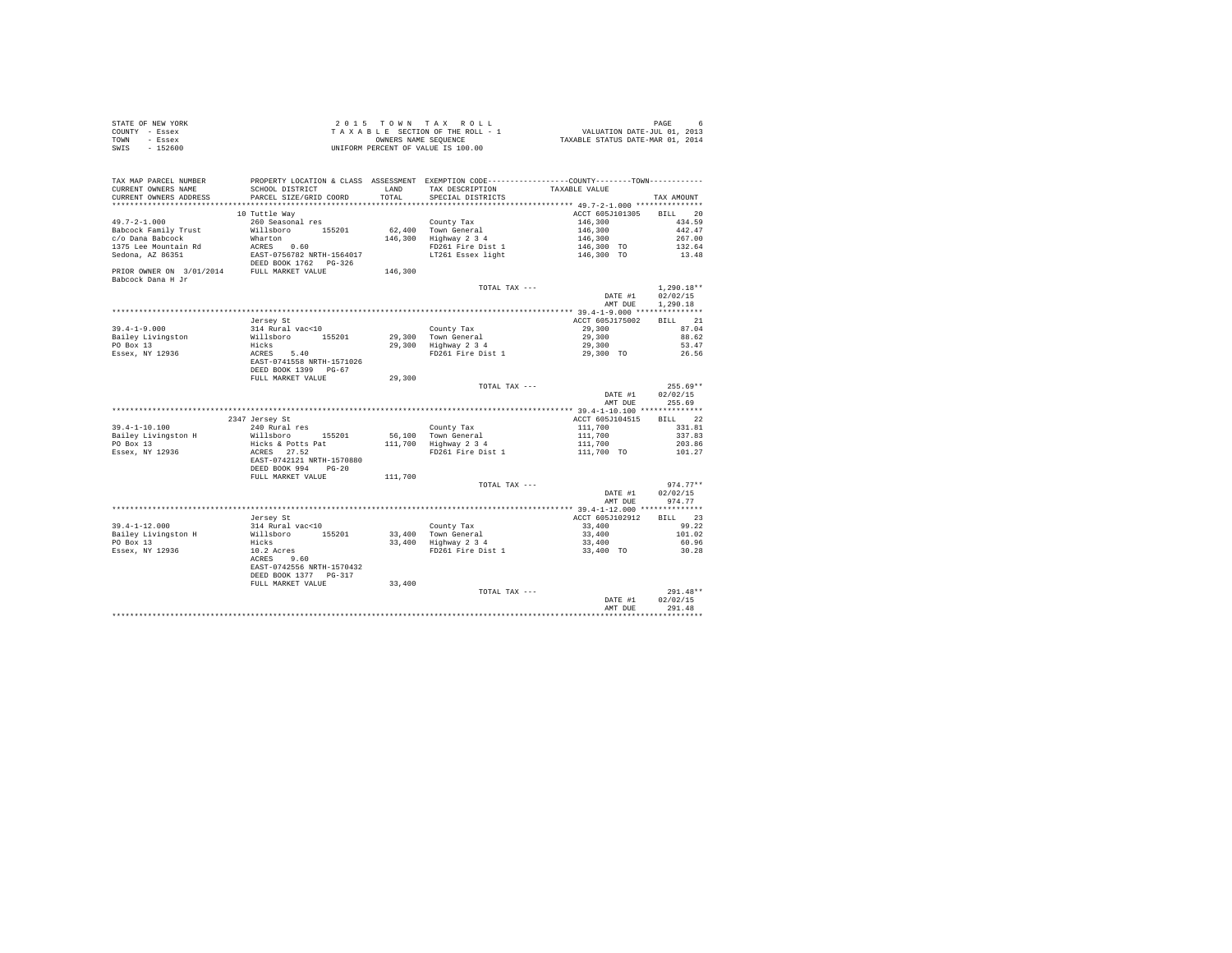| STATE OF NEW YORK | 2015 TOWN TAX ROLL                 | PAGE                             |
|-------------------|------------------------------------|----------------------------------|
| COUNTY - Essex    | TAXABLE SECTION OF THE ROLL - 1    | VALUATION DATE-JUL 01, 2013      |
| TOWN<br>- Essex   | OWNERS NAME SEOUENCE               | TAXABLE STATUS DATE-MAR 01, 2014 |
| $-152600$<br>SWIS | UNIFORM PERCENT OF VALUE IS 100.00 |                                  |

| CURRENT OWNERS ADDRESS<br>PARCEL SIZE/GRID COORD<br>TOTAL<br>SPECIAL DISTRICTS<br>TAX AMOUNT<br>***********************<br>10 Tuttle Way<br>ACCT 605J101305<br>20<br><b>BILL</b><br>$49.7 - 2 - 1.000$<br>260 Seasonal res<br>County Tax<br>146,300<br>434.59<br>Babcock Family Trust<br>Willsboro<br>62,400 Town General<br>146,300<br>442.47<br>155201<br>c/o Dana Babcock<br>146,300<br>Highway 2 3 4<br>Wharton<br>146,300<br>267.00<br>1375 Lee Mountain Rd<br>ACRES 0.60<br>EAST-0756782 NRTH-1564017<br>FD261 Fire Dist 1<br>146,300 TO<br>132.64<br>Sedona, AZ 86351<br>LT261 Essex light<br>146,300 TO<br>13.48<br>DEED BOOK 1762 PG-326<br>PRIOR OWNER ON 3/01/2014 FULL MARKET VALUE<br>146,300<br>$1.290.18**$<br>TOTAL TAX ---<br>02/02/15<br>DATE #1<br>1,290.18<br>AMT DUE<br>ACCT 605J175002<br>BILL 21<br>Jersey St<br>314 Rural vac<10<br>County Tax<br>29,300<br>87.04<br>Willsboro<br>155201<br>29.300 Town General<br>29,300<br>88.62<br>PO Box 13<br>Hicks<br>29,300 Highway 2 3 4<br>29,300<br>53.47<br>FD261 Fire Dist 1<br>ACRES<br>5.40<br>29,300 TO<br>26.56<br>EAST-0741558 NRTH-1571026<br>DEED BOOK 1399 PG-67<br>FULL MARKET VALUE<br>29,300<br>$255.69**$<br>TOTAL TAX ---<br>DATE #1<br>02/02/15<br>255.69<br>AMT DUE<br>2347 Jersey St<br>ACCT 605J104515<br>22<br>BILL<br>$39.4 - 1 - 10.100$<br>240 Rural res<br>111,700<br>331.81<br>County Tax<br>Bailey Livingston H<br>Willsboro<br>56.100 Town General<br>111,700<br>337.83<br>155201<br>PO Box 13<br>Hicks & Potts Pat<br>111,700<br>Highway 2 3 4<br>111,700<br>203.86<br>Essex, NY 12936<br>ACRES 27.52<br>FD261 Fire Dist 1<br>111,700 TO<br>101.27<br>EAST-0742121 NRTH-1570880<br>DEED BOOK 994<br>$PG-20$<br>111,700<br>FULL MARKET VALUE<br>$974.77**$<br>TOTAL TAX ---<br>02/02/15<br>DATE #1<br>AMT DUE<br>974.77<br>Jersey St<br>ACCT 605J102912<br>BILL 23<br>314 Rural vac<10<br>County Tax<br>99.22<br>33,400<br>Willsboro<br>33,400 Town General<br>155201<br>33,400<br>101.02<br>PO Box 13<br>33,400 Highway 2 3 4<br>60.96<br>Hicks<br>33,400<br>FD261 Fire Dist 1<br>10.2 Acres<br>33,400 TO<br>30.28<br>ACRES<br>9.60<br>EAST-0742556 NRTH-1570432<br>DEED BOOK 1377 PG-317<br>FULL MARKET VALUE<br>33,400<br>291.48**<br>TOTAL TAX ---<br>02/02/15<br>DATE #1<br>291.48<br>AMT DUE | TAX MAP PARCEL NUMBER<br>CURRENT OWNERS NAME | SCHOOL DISTRICT | <b>T.AND</b> | TAX DESCRIPTION | PROPERTY LOCATION & CLASS ASSESSMENT EXEMPTION CODE---------------COUNTY-------TOWN---------<br>TAXABLE VALUE |  |
|-------------------------------------------------------------------------------------------------------------------------------------------------------------------------------------------------------------------------------------------------------------------------------------------------------------------------------------------------------------------------------------------------------------------------------------------------------------------------------------------------------------------------------------------------------------------------------------------------------------------------------------------------------------------------------------------------------------------------------------------------------------------------------------------------------------------------------------------------------------------------------------------------------------------------------------------------------------------------------------------------------------------------------------------------------------------------------------------------------------------------------------------------------------------------------------------------------------------------------------------------------------------------------------------------------------------------------------------------------------------------------------------------------------------------------------------------------------------------------------------------------------------------------------------------------------------------------------------------------------------------------------------------------------------------------------------------------------------------------------------------------------------------------------------------------------------------------------------------------------------------------------------------------------------------------------------------------------------------------------------------------------------------------------------------------------------------------------------------------------------------------------------------------------------------------------------------------------------------------------------------------------------------------------------------|----------------------------------------------|-----------------|--------------|-----------------|---------------------------------------------------------------------------------------------------------------|--|
|                                                                                                                                                                                                                                                                                                                                                                                                                                                                                                                                                                                                                                                                                                                                                                                                                                                                                                                                                                                                                                                                                                                                                                                                                                                                                                                                                                                                                                                                                                                                                                                                                                                                                                                                                                                                                                                                                                                                                                                                                                                                                                                                                                                                                                                                                                 |                                              |                 |              |                 |                                                                                                               |  |
|                                                                                                                                                                                                                                                                                                                                                                                                                                                                                                                                                                                                                                                                                                                                                                                                                                                                                                                                                                                                                                                                                                                                                                                                                                                                                                                                                                                                                                                                                                                                                                                                                                                                                                                                                                                                                                                                                                                                                                                                                                                                                                                                                                                                                                                                                                 |                                              |                 |              |                 |                                                                                                               |  |
|                                                                                                                                                                                                                                                                                                                                                                                                                                                                                                                                                                                                                                                                                                                                                                                                                                                                                                                                                                                                                                                                                                                                                                                                                                                                                                                                                                                                                                                                                                                                                                                                                                                                                                                                                                                                                                                                                                                                                                                                                                                                                                                                                                                                                                                                                                 |                                              |                 |              |                 |                                                                                                               |  |
|                                                                                                                                                                                                                                                                                                                                                                                                                                                                                                                                                                                                                                                                                                                                                                                                                                                                                                                                                                                                                                                                                                                                                                                                                                                                                                                                                                                                                                                                                                                                                                                                                                                                                                                                                                                                                                                                                                                                                                                                                                                                                                                                                                                                                                                                                                 |                                              |                 |              |                 |                                                                                                               |  |
|                                                                                                                                                                                                                                                                                                                                                                                                                                                                                                                                                                                                                                                                                                                                                                                                                                                                                                                                                                                                                                                                                                                                                                                                                                                                                                                                                                                                                                                                                                                                                                                                                                                                                                                                                                                                                                                                                                                                                                                                                                                                                                                                                                                                                                                                                                 |                                              |                 |              |                 |                                                                                                               |  |
|                                                                                                                                                                                                                                                                                                                                                                                                                                                                                                                                                                                                                                                                                                                                                                                                                                                                                                                                                                                                                                                                                                                                                                                                                                                                                                                                                                                                                                                                                                                                                                                                                                                                                                                                                                                                                                                                                                                                                                                                                                                                                                                                                                                                                                                                                                 |                                              |                 |              |                 |                                                                                                               |  |
|                                                                                                                                                                                                                                                                                                                                                                                                                                                                                                                                                                                                                                                                                                                                                                                                                                                                                                                                                                                                                                                                                                                                                                                                                                                                                                                                                                                                                                                                                                                                                                                                                                                                                                                                                                                                                                                                                                                                                                                                                                                                                                                                                                                                                                                                                                 |                                              |                 |              |                 |                                                                                                               |  |
|                                                                                                                                                                                                                                                                                                                                                                                                                                                                                                                                                                                                                                                                                                                                                                                                                                                                                                                                                                                                                                                                                                                                                                                                                                                                                                                                                                                                                                                                                                                                                                                                                                                                                                                                                                                                                                                                                                                                                                                                                                                                                                                                                                                                                                                                                                 |                                              |                 |              |                 |                                                                                                               |  |
|                                                                                                                                                                                                                                                                                                                                                                                                                                                                                                                                                                                                                                                                                                                                                                                                                                                                                                                                                                                                                                                                                                                                                                                                                                                                                                                                                                                                                                                                                                                                                                                                                                                                                                                                                                                                                                                                                                                                                                                                                                                                                                                                                                                                                                                                                                 |                                              |                 |              |                 |                                                                                                               |  |
|                                                                                                                                                                                                                                                                                                                                                                                                                                                                                                                                                                                                                                                                                                                                                                                                                                                                                                                                                                                                                                                                                                                                                                                                                                                                                                                                                                                                                                                                                                                                                                                                                                                                                                                                                                                                                                                                                                                                                                                                                                                                                                                                                                                                                                                                                                 | Babcock Dana H Jr                            |                 |              |                 |                                                                                                               |  |
|                                                                                                                                                                                                                                                                                                                                                                                                                                                                                                                                                                                                                                                                                                                                                                                                                                                                                                                                                                                                                                                                                                                                                                                                                                                                                                                                                                                                                                                                                                                                                                                                                                                                                                                                                                                                                                                                                                                                                                                                                                                                                                                                                                                                                                                                                                 |                                              |                 |              |                 |                                                                                                               |  |
|                                                                                                                                                                                                                                                                                                                                                                                                                                                                                                                                                                                                                                                                                                                                                                                                                                                                                                                                                                                                                                                                                                                                                                                                                                                                                                                                                                                                                                                                                                                                                                                                                                                                                                                                                                                                                                                                                                                                                                                                                                                                                                                                                                                                                                                                                                 |                                              |                 |              |                 |                                                                                                               |  |
|                                                                                                                                                                                                                                                                                                                                                                                                                                                                                                                                                                                                                                                                                                                                                                                                                                                                                                                                                                                                                                                                                                                                                                                                                                                                                                                                                                                                                                                                                                                                                                                                                                                                                                                                                                                                                                                                                                                                                                                                                                                                                                                                                                                                                                                                                                 |                                              |                 |              |                 |                                                                                                               |  |
|                                                                                                                                                                                                                                                                                                                                                                                                                                                                                                                                                                                                                                                                                                                                                                                                                                                                                                                                                                                                                                                                                                                                                                                                                                                                                                                                                                                                                                                                                                                                                                                                                                                                                                                                                                                                                                                                                                                                                                                                                                                                                                                                                                                                                                                                                                 |                                              |                 |              |                 |                                                                                                               |  |
|                                                                                                                                                                                                                                                                                                                                                                                                                                                                                                                                                                                                                                                                                                                                                                                                                                                                                                                                                                                                                                                                                                                                                                                                                                                                                                                                                                                                                                                                                                                                                                                                                                                                                                                                                                                                                                                                                                                                                                                                                                                                                                                                                                                                                                                                                                 |                                              |                 |              |                 |                                                                                                               |  |
|                                                                                                                                                                                                                                                                                                                                                                                                                                                                                                                                                                                                                                                                                                                                                                                                                                                                                                                                                                                                                                                                                                                                                                                                                                                                                                                                                                                                                                                                                                                                                                                                                                                                                                                                                                                                                                                                                                                                                                                                                                                                                                                                                                                                                                                                                                 | $39.4 - 1 - 9.000$                           |                 |              |                 |                                                                                                               |  |
|                                                                                                                                                                                                                                                                                                                                                                                                                                                                                                                                                                                                                                                                                                                                                                                                                                                                                                                                                                                                                                                                                                                                                                                                                                                                                                                                                                                                                                                                                                                                                                                                                                                                                                                                                                                                                                                                                                                                                                                                                                                                                                                                                                                                                                                                                                 | Bailey Livingston                            |                 |              |                 |                                                                                                               |  |
|                                                                                                                                                                                                                                                                                                                                                                                                                                                                                                                                                                                                                                                                                                                                                                                                                                                                                                                                                                                                                                                                                                                                                                                                                                                                                                                                                                                                                                                                                                                                                                                                                                                                                                                                                                                                                                                                                                                                                                                                                                                                                                                                                                                                                                                                                                 |                                              |                 |              |                 |                                                                                                               |  |
|                                                                                                                                                                                                                                                                                                                                                                                                                                                                                                                                                                                                                                                                                                                                                                                                                                                                                                                                                                                                                                                                                                                                                                                                                                                                                                                                                                                                                                                                                                                                                                                                                                                                                                                                                                                                                                                                                                                                                                                                                                                                                                                                                                                                                                                                                                 | Essex, NY 12936                              |                 |              |                 |                                                                                                               |  |
|                                                                                                                                                                                                                                                                                                                                                                                                                                                                                                                                                                                                                                                                                                                                                                                                                                                                                                                                                                                                                                                                                                                                                                                                                                                                                                                                                                                                                                                                                                                                                                                                                                                                                                                                                                                                                                                                                                                                                                                                                                                                                                                                                                                                                                                                                                 |                                              |                 |              |                 |                                                                                                               |  |
|                                                                                                                                                                                                                                                                                                                                                                                                                                                                                                                                                                                                                                                                                                                                                                                                                                                                                                                                                                                                                                                                                                                                                                                                                                                                                                                                                                                                                                                                                                                                                                                                                                                                                                                                                                                                                                                                                                                                                                                                                                                                                                                                                                                                                                                                                                 |                                              |                 |              |                 |                                                                                                               |  |
|                                                                                                                                                                                                                                                                                                                                                                                                                                                                                                                                                                                                                                                                                                                                                                                                                                                                                                                                                                                                                                                                                                                                                                                                                                                                                                                                                                                                                                                                                                                                                                                                                                                                                                                                                                                                                                                                                                                                                                                                                                                                                                                                                                                                                                                                                                 |                                              |                 |              |                 |                                                                                                               |  |
|                                                                                                                                                                                                                                                                                                                                                                                                                                                                                                                                                                                                                                                                                                                                                                                                                                                                                                                                                                                                                                                                                                                                                                                                                                                                                                                                                                                                                                                                                                                                                                                                                                                                                                                                                                                                                                                                                                                                                                                                                                                                                                                                                                                                                                                                                                 |                                              |                 |              |                 |                                                                                                               |  |
|                                                                                                                                                                                                                                                                                                                                                                                                                                                                                                                                                                                                                                                                                                                                                                                                                                                                                                                                                                                                                                                                                                                                                                                                                                                                                                                                                                                                                                                                                                                                                                                                                                                                                                                                                                                                                                                                                                                                                                                                                                                                                                                                                                                                                                                                                                 |                                              |                 |              |                 |                                                                                                               |  |
|                                                                                                                                                                                                                                                                                                                                                                                                                                                                                                                                                                                                                                                                                                                                                                                                                                                                                                                                                                                                                                                                                                                                                                                                                                                                                                                                                                                                                                                                                                                                                                                                                                                                                                                                                                                                                                                                                                                                                                                                                                                                                                                                                                                                                                                                                                 |                                              |                 |              |                 |                                                                                                               |  |
|                                                                                                                                                                                                                                                                                                                                                                                                                                                                                                                                                                                                                                                                                                                                                                                                                                                                                                                                                                                                                                                                                                                                                                                                                                                                                                                                                                                                                                                                                                                                                                                                                                                                                                                                                                                                                                                                                                                                                                                                                                                                                                                                                                                                                                                                                                 |                                              |                 |              |                 |                                                                                                               |  |
|                                                                                                                                                                                                                                                                                                                                                                                                                                                                                                                                                                                                                                                                                                                                                                                                                                                                                                                                                                                                                                                                                                                                                                                                                                                                                                                                                                                                                                                                                                                                                                                                                                                                                                                                                                                                                                                                                                                                                                                                                                                                                                                                                                                                                                                                                                 |                                              |                 |              |                 |                                                                                                               |  |
|                                                                                                                                                                                                                                                                                                                                                                                                                                                                                                                                                                                                                                                                                                                                                                                                                                                                                                                                                                                                                                                                                                                                                                                                                                                                                                                                                                                                                                                                                                                                                                                                                                                                                                                                                                                                                                                                                                                                                                                                                                                                                                                                                                                                                                                                                                 |                                              |                 |              |                 |                                                                                                               |  |
|                                                                                                                                                                                                                                                                                                                                                                                                                                                                                                                                                                                                                                                                                                                                                                                                                                                                                                                                                                                                                                                                                                                                                                                                                                                                                                                                                                                                                                                                                                                                                                                                                                                                                                                                                                                                                                                                                                                                                                                                                                                                                                                                                                                                                                                                                                 |                                              |                 |              |                 |                                                                                                               |  |
|                                                                                                                                                                                                                                                                                                                                                                                                                                                                                                                                                                                                                                                                                                                                                                                                                                                                                                                                                                                                                                                                                                                                                                                                                                                                                                                                                                                                                                                                                                                                                                                                                                                                                                                                                                                                                                                                                                                                                                                                                                                                                                                                                                                                                                                                                                 |                                              |                 |              |                 |                                                                                                               |  |
|                                                                                                                                                                                                                                                                                                                                                                                                                                                                                                                                                                                                                                                                                                                                                                                                                                                                                                                                                                                                                                                                                                                                                                                                                                                                                                                                                                                                                                                                                                                                                                                                                                                                                                                                                                                                                                                                                                                                                                                                                                                                                                                                                                                                                                                                                                 |                                              |                 |              |                 |                                                                                                               |  |
|                                                                                                                                                                                                                                                                                                                                                                                                                                                                                                                                                                                                                                                                                                                                                                                                                                                                                                                                                                                                                                                                                                                                                                                                                                                                                                                                                                                                                                                                                                                                                                                                                                                                                                                                                                                                                                                                                                                                                                                                                                                                                                                                                                                                                                                                                                 |                                              |                 |              |                 |                                                                                                               |  |
|                                                                                                                                                                                                                                                                                                                                                                                                                                                                                                                                                                                                                                                                                                                                                                                                                                                                                                                                                                                                                                                                                                                                                                                                                                                                                                                                                                                                                                                                                                                                                                                                                                                                                                                                                                                                                                                                                                                                                                                                                                                                                                                                                                                                                                                                                                 |                                              |                 |              |                 |                                                                                                               |  |
|                                                                                                                                                                                                                                                                                                                                                                                                                                                                                                                                                                                                                                                                                                                                                                                                                                                                                                                                                                                                                                                                                                                                                                                                                                                                                                                                                                                                                                                                                                                                                                                                                                                                                                                                                                                                                                                                                                                                                                                                                                                                                                                                                                                                                                                                                                 |                                              |                 |              |                 |                                                                                                               |  |
|                                                                                                                                                                                                                                                                                                                                                                                                                                                                                                                                                                                                                                                                                                                                                                                                                                                                                                                                                                                                                                                                                                                                                                                                                                                                                                                                                                                                                                                                                                                                                                                                                                                                                                                                                                                                                                                                                                                                                                                                                                                                                                                                                                                                                                                                                                 |                                              |                 |              |                 |                                                                                                               |  |
|                                                                                                                                                                                                                                                                                                                                                                                                                                                                                                                                                                                                                                                                                                                                                                                                                                                                                                                                                                                                                                                                                                                                                                                                                                                                                                                                                                                                                                                                                                                                                                                                                                                                                                                                                                                                                                                                                                                                                                                                                                                                                                                                                                                                                                                                                                 |                                              |                 |              |                 |                                                                                                               |  |
|                                                                                                                                                                                                                                                                                                                                                                                                                                                                                                                                                                                                                                                                                                                                                                                                                                                                                                                                                                                                                                                                                                                                                                                                                                                                                                                                                                                                                                                                                                                                                                                                                                                                                                                                                                                                                                                                                                                                                                                                                                                                                                                                                                                                                                                                                                 |                                              |                 |              |                 |                                                                                                               |  |
|                                                                                                                                                                                                                                                                                                                                                                                                                                                                                                                                                                                                                                                                                                                                                                                                                                                                                                                                                                                                                                                                                                                                                                                                                                                                                                                                                                                                                                                                                                                                                                                                                                                                                                                                                                                                                                                                                                                                                                                                                                                                                                                                                                                                                                                                                                 |                                              |                 |              |                 |                                                                                                               |  |
|                                                                                                                                                                                                                                                                                                                                                                                                                                                                                                                                                                                                                                                                                                                                                                                                                                                                                                                                                                                                                                                                                                                                                                                                                                                                                                                                                                                                                                                                                                                                                                                                                                                                                                                                                                                                                                                                                                                                                                                                                                                                                                                                                                                                                                                                                                 | $39.4 - 1 - 12.000$                          |                 |              |                 |                                                                                                               |  |
|                                                                                                                                                                                                                                                                                                                                                                                                                                                                                                                                                                                                                                                                                                                                                                                                                                                                                                                                                                                                                                                                                                                                                                                                                                                                                                                                                                                                                                                                                                                                                                                                                                                                                                                                                                                                                                                                                                                                                                                                                                                                                                                                                                                                                                                                                                 | Bailey Livingston H                          |                 |              |                 |                                                                                                               |  |
|                                                                                                                                                                                                                                                                                                                                                                                                                                                                                                                                                                                                                                                                                                                                                                                                                                                                                                                                                                                                                                                                                                                                                                                                                                                                                                                                                                                                                                                                                                                                                                                                                                                                                                                                                                                                                                                                                                                                                                                                                                                                                                                                                                                                                                                                                                 |                                              |                 |              |                 |                                                                                                               |  |
|                                                                                                                                                                                                                                                                                                                                                                                                                                                                                                                                                                                                                                                                                                                                                                                                                                                                                                                                                                                                                                                                                                                                                                                                                                                                                                                                                                                                                                                                                                                                                                                                                                                                                                                                                                                                                                                                                                                                                                                                                                                                                                                                                                                                                                                                                                 | Essex, NY 12936                              |                 |              |                 |                                                                                                               |  |
|                                                                                                                                                                                                                                                                                                                                                                                                                                                                                                                                                                                                                                                                                                                                                                                                                                                                                                                                                                                                                                                                                                                                                                                                                                                                                                                                                                                                                                                                                                                                                                                                                                                                                                                                                                                                                                                                                                                                                                                                                                                                                                                                                                                                                                                                                                 |                                              |                 |              |                 |                                                                                                               |  |
|                                                                                                                                                                                                                                                                                                                                                                                                                                                                                                                                                                                                                                                                                                                                                                                                                                                                                                                                                                                                                                                                                                                                                                                                                                                                                                                                                                                                                                                                                                                                                                                                                                                                                                                                                                                                                                                                                                                                                                                                                                                                                                                                                                                                                                                                                                 |                                              |                 |              |                 |                                                                                                               |  |
|                                                                                                                                                                                                                                                                                                                                                                                                                                                                                                                                                                                                                                                                                                                                                                                                                                                                                                                                                                                                                                                                                                                                                                                                                                                                                                                                                                                                                                                                                                                                                                                                                                                                                                                                                                                                                                                                                                                                                                                                                                                                                                                                                                                                                                                                                                 |                                              |                 |              |                 |                                                                                                               |  |
|                                                                                                                                                                                                                                                                                                                                                                                                                                                                                                                                                                                                                                                                                                                                                                                                                                                                                                                                                                                                                                                                                                                                                                                                                                                                                                                                                                                                                                                                                                                                                                                                                                                                                                                                                                                                                                                                                                                                                                                                                                                                                                                                                                                                                                                                                                 |                                              |                 |              |                 |                                                                                                               |  |
|                                                                                                                                                                                                                                                                                                                                                                                                                                                                                                                                                                                                                                                                                                                                                                                                                                                                                                                                                                                                                                                                                                                                                                                                                                                                                                                                                                                                                                                                                                                                                                                                                                                                                                                                                                                                                                                                                                                                                                                                                                                                                                                                                                                                                                                                                                 |                                              |                 |              |                 |                                                                                                               |  |
|                                                                                                                                                                                                                                                                                                                                                                                                                                                                                                                                                                                                                                                                                                                                                                                                                                                                                                                                                                                                                                                                                                                                                                                                                                                                                                                                                                                                                                                                                                                                                                                                                                                                                                                                                                                                                                                                                                                                                                                                                                                                                                                                                                                                                                                                                                 |                                              |                 |              |                 |                                                                                                               |  |
|                                                                                                                                                                                                                                                                                                                                                                                                                                                                                                                                                                                                                                                                                                                                                                                                                                                                                                                                                                                                                                                                                                                                                                                                                                                                                                                                                                                                                                                                                                                                                                                                                                                                                                                                                                                                                                                                                                                                                                                                                                                                                                                                                                                                                                                                                                 |                                              |                 |              |                 |                                                                                                               |  |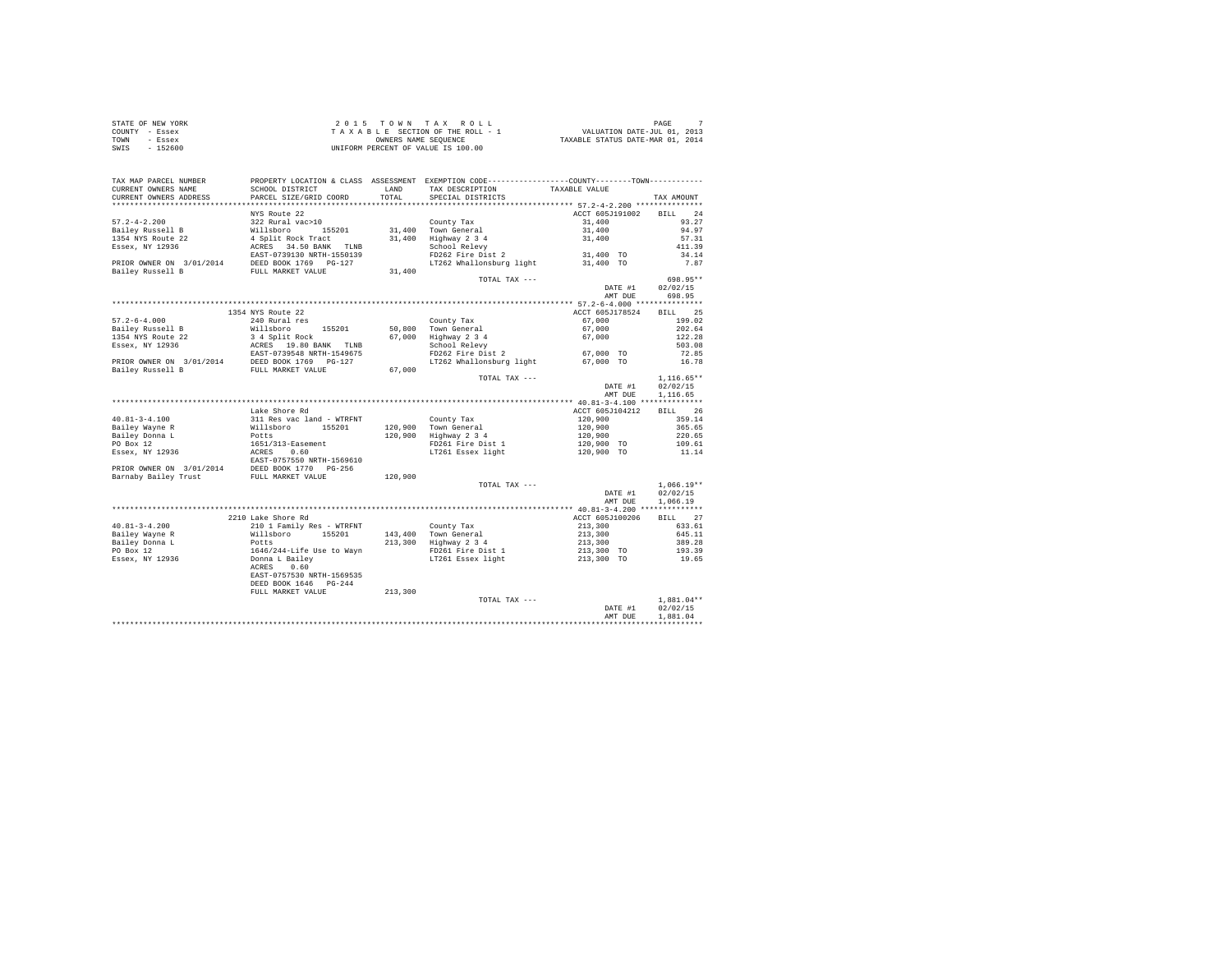| STATE OF NEW YORK | $2.0.15$ TOWN TAX ROLL             | PAGE                             |
|-------------------|------------------------------------|----------------------------------|
| COUNTY - Essex    | TAXABLE SECTION OF THE ROLL - 1    | VALUATION DATE-JUL 01, 2013      |
| TOWN<br>- Essex   | OWNERS NAME SEOUENCE               | TAXABLE STATUS DATE-MAR 01, 2014 |
| $-152600$<br>SWIS | UNIFORM PERCENT OF VALUE IS 100.00 |                                  |

| TAX MAP PARCEL NUMBER<br>CURRENT OWNERS NAME | PROPERTY LOCATION & CLASS ASSESSMENT EXEMPTION CODE---------------COUNTY--------TOWN---------<br>SCHOOL DISTRICT |         | LAND TAX DESCRIPTION                                               | TAXABLE VALUE                                                                                                        |                   |
|----------------------------------------------|------------------------------------------------------------------------------------------------------------------|---------|--------------------------------------------------------------------|----------------------------------------------------------------------------------------------------------------------|-------------------|
| CURRENT OWNERS ADDRESS                       | PARCEL SIZE/GRID COORD                                                                                           |         | TOTAL SPECIAL DISTRICTS                                            |                                                                                                                      | TAX AMOUNT        |
|                                              |                                                                                                                  |         |                                                                    |                                                                                                                      |                   |
|                                              | NYS Route 22                                                                                                     |         |                                                                    | ACCT 605J191002 BILL 24                                                                                              |                   |
|                                              |                                                                                                                  |         |                                                                    |                                                                                                                      | 93.27             |
|                                              |                                                                                                                  |         |                                                                    |                                                                                                                      | 94.97             |
|                                              |                                                                                                                  |         |                                                                    |                                                                                                                      | 57.31             |
|                                              |                                                                                                                  |         |                                                                    |                                                                                                                      | 411.39            |
|                                              |                                                                                                                  |         |                                                                    |                                                                                                                      |                   |
|                                              |                                                                                                                  |         |                                                                    |                                                                                                                      | $34.14$<br>$7.87$ |
|                                              |                                                                                                                  |         |                                                                    |                                                                                                                      |                   |
|                                              |                                                                                                                  |         | TOTAL TAX ---                                                      |                                                                                                                      | 698.95**          |
|                                              |                                                                                                                  |         |                                                                    |                                                                                                                      | DATE #1 02/02/15  |
|                                              |                                                                                                                  |         |                                                                    | AMT DUE                                                                                                              | 698.95            |
|                                              |                                                                                                                  |         |                                                                    |                                                                                                                      |                   |
|                                              | 1354 NYS Route 22                                                                                                |         |                                                                    | ACCT 605J178524 BILL 25                                                                                              |                   |
|                                              |                                                                                                                  |         |                                                                    |                                                                                                                      | 199.02            |
|                                              |                                                                                                                  |         |                                                                    |                                                                                                                      | 202.64            |
|                                              |                                                                                                                  |         |                                                                    |                                                                                                                      | 122.28            |
|                                              |                                                                                                                  |         |                                                                    |                                                                                                                      |                   |
|                                              |                                                                                                                  |         |                                                                    |                                                                                                                      | 503.08            |
|                                              |                                                                                                                  |         |                                                                    |                                                                                                                      | 72.85             |
|                                              |                                                                                                                  |         |                                                                    |                                                                                                                      | 16.78             |
|                                              |                                                                                                                  |         |                                                                    |                                                                                                                      |                   |
|                                              |                                                                                                                  |         | TOTAL TAX ---                                                      |                                                                                                                      | $1,116.65**$      |
|                                              |                                                                                                                  |         |                                                                    |                                                                                                                      | DATE #1 02/02/15  |
|                                              |                                                                                                                  |         |                                                                    | AMT DUE                                                                                                              | 1,116.65          |
|                                              |                                                                                                                  |         |                                                                    |                                                                                                                      |                   |
|                                              | Lake Shore Rd                                                                                                    |         |                                                                    | ACCT 605J104212 BILL 26                                                                                              |                   |
|                                              |                                                                                                                  |         |                                                                    |                                                                                                                      |                   |
|                                              |                                                                                                                  |         |                                                                    |                                                                                                                      |                   |
|                                              |                                                                                                                  |         |                                                                    |                                                                                                                      |                   |
|                                              |                                                                                                                  |         | 120,900 Town General<br>120,900 Highway 2 3 4<br>FD261 Fire Dist 1 | $120,900$<br>$120,900$<br>$120,900$<br>$120,900$<br>$120,900$<br>$120,900$ TO<br>$109.61$<br>$120,900$ TO<br>$11.14$ |                   |
|                                              |                                                                                                                  |         | LT261 Essex light                                                  |                                                                                                                      |                   |
|                                              |                                                                                                                  |         |                                                                    |                                                                                                                      |                   |
|                                              |                                                                                                                  |         |                                                                    |                                                                                                                      |                   |
|                                              |                                                                                                                  |         |                                                                    |                                                                                                                      |                   |
|                                              |                                                                                                                  |         | TOTAL TAX ---                                                      |                                                                                                                      | $1,066.19**$      |
|                                              |                                                                                                                  |         |                                                                    | DATE #1                                                                                                              | 02/02/15          |
|                                              |                                                                                                                  |         |                                                                    | AMT DUE                                                                                                              | 1,066.19          |
|                                              |                                                                                                                  |         |                                                                    |                                                                                                                      |                   |
|                                              | 2210 Lake Shore Rd                                                                                               |         |                                                                    | ACCT 605J100206 BILL 27                                                                                              |                   |
|                                              |                                                                                                                  |         |                                                                    |                                                                                                                      |                   |
|                                              |                                                                                                                  |         |                                                                    |                                                                                                                      |                   |
|                                              |                                                                                                                  |         |                                                                    |                                                                                                                      |                   |
|                                              |                                                                                                                  |         |                                                                    |                                                                                                                      |                   |
|                                              |                                                                                                                  |         |                                                                    |                                                                                                                      |                   |
|                                              |                                                                                                                  |         |                                                                    |                                                                                                                      |                   |
|                                              |                                                                                                                  |         |                                                                    |                                                                                                                      |                   |
|                                              | EAST-0757530 NRTH-1569535<br>DEED BOOK 1646 PG-244                                                               |         |                                                                    |                                                                                                                      |                   |
|                                              |                                                                                                                  |         |                                                                    |                                                                                                                      |                   |
|                                              | FULL MARKET VALUE                                                                                                | 213,300 |                                                                    |                                                                                                                      |                   |
|                                              |                                                                                                                  |         | TOTAL TAX ---                                                      | $\begin{array}{r} 1,881.04** \\ \text{DATE #1} \end{array}$                                                          |                   |
|                                              |                                                                                                                  |         |                                                                    |                                                                                                                      |                   |
|                                              |                                                                                                                  |         |                                                                    | AMT DUE                                                                                                              | 1,881.04          |
|                                              |                                                                                                                  |         |                                                                    |                                                                                                                      |                   |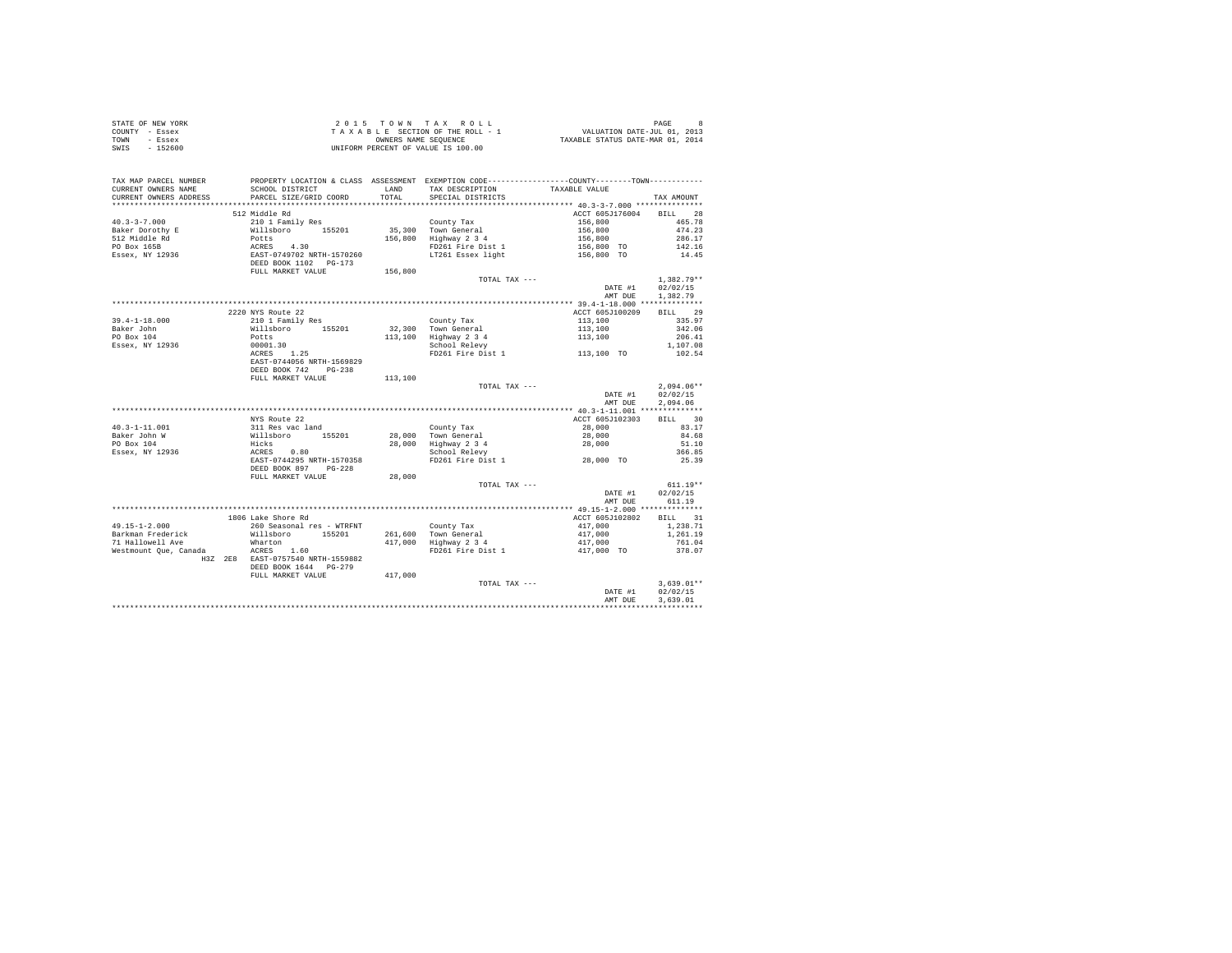|      | STATE OF NEW YORK | 2015 TOWN TAX ROLL                 |                                  | PAGE                        | <b>8</b> |
|------|-------------------|------------------------------------|----------------------------------|-----------------------------|----------|
|      | COUNTY - Essex    | TAXABLE SECTION OF THE ROLL - 1    |                                  | VALUATION DATE-JUL 01, 2013 |          |
| TOWN | - Essex           | OWNERS NAME SEOUENCE               | TAXABLE STATUS DATE-MAR 01, 2014 |                             |          |
| SWIS | $-152600$         | UNIFORM PERCENT OF VALUE IS 100.00 |                                  |                             |          |
|      |                   |                                    |                                  |                             |          |
|      |                   |                                    |                                  |                             |          |
|      |                   |                                    |                                  |                             |          |

| TAX MAP PARCEL NUMBER<br>CURRENT OWNERS NAME     | SCHOOL DISTRICT                                                         | LAND<br>TOTAL. | PROPERTY LOCATION & CLASS ASSESSMENT EXEMPTION CODE----------------COUNTY-------TOWN----------<br>TAX DESCRIPTION<br>SPECIAL DISTRICTS | TAXABLE VALUE                                                           |                      |
|--------------------------------------------------|-------------------------------------------------------------------------|----------------|----------------------------------------------------------------------------------------------------------------------------------------|-------------------------------------------------------------------------|----------------------|
| CURRENT OWNERS ADDRESS<br>********************** | PARCEL SIZE/GRID COORD                                                  |                |                                                                                                                                        |                                                                         | TAX AMOUNT           |
|                                                  | 512 Middle Rd                                                           |                |                                                                                                                                        | ACCT 605J176004 BILL 28                                                 |                      |
| $40.3 - 3 - 7.000$                               | 210 1 Family Res                                                        |                |                                                                                                                                        | 156,800 166.78<br>156,800 174.23<br>156,800 286.17<br>156,800 70 142.16 |                      |
| Baker Dorothy E                                  | Willsboro 155201                                                        |                | County Tax<br>35,300 Town General                                                                                                      |                                                                         |                      |
| 512 Middle Rd                                    |                                                                         |                | 156,800 Highway 2 3 4                                                                                                                  |                                                                         |                      |
| PO Box 165B                                      |                                                                         |                | FD261 Fire Dist 1                                                                                                                      |                                                                         |                      |
| Essex, NY 12936                                  | Potts<br>ACRES 4.30<br>EAST-0749702 NRTH-1570260                        |                | LT261 Essex light                                                                                                                      | 156,800 TO                                                              | 14.45                |
|                                                  | DEED BOOK 1102 PG-173                                                   |                |                                                                                                                                        |                                                                         |                      |
|                                                  | FULL MARKET VALUE                                                       | 156,800        |                                                                                                                                        |                                                                         |                      |
|                                                  |                                                                         |                | TOTAL TAX ---                                                                                                                          |                                                                         | $1.382.79**$         |
|                                                  |                                                                         |                |                                                                                                                                        | DATE #1                                                                 | 02/02/15             |
|                                                  |                                                                         |                |                                                                                                                                        | AMT DUE                                                                 | 1,382.79             |
|                                                  |                                                                         |                |                                                                                                                                        |                                                                         |                      |
|                                                  | 2220 NYS Route 22                                                       |                |                                                                                                                                        | ACCT 605J100209                                                         | BILL 29              |
| $39.4 - 1 - 18.000$                              | 210 1 Family Res                                                        |                | County Tax                                                                                                                             | 113,100                                                                 | 335.97               |
| Baker John                                       | Willsboro 155201                                                        |                | 32,300 Town General                                                                                                                    | 113,100<br>113,100                                                      | 342.06               |
| PO Box 104                                       | Potts                                                                   |                | 113,100 Highway 2 3 4                                                                                                                  |                                                                         | 206.41               |
| Essex, NY 12936                                  | 00001.30                                                                |                | School Relevy                                                                                                                          |                                                                         | 1,107.08             |
|                                                  | $ACRES$ 1.25                                                            |                | FD261 Fire Dist 1 113,100 TO                                                                                                           |                                                                         | 102.54               |
|                                                  | EAST-0744056 NRTH-1569829                                               |                |                                                                                                                                        |                                                                         |                      |
|                                                  | DEED BOOK 742 PG-238                                                    |                |                                                                                                                                        |                                                                         |                      |
|                                                  | FULL MARKET VALUE                                                       | 113,100        |                                                                                                                                        |                                                                         |                      |
|                                                  |                                                                         |                | TOTAL TAX ---                                                                                                                          |                                                                         | $2,094.06**$         |
|                                                  |                                                                         |                |                                                                                                                                        |                                                                         | DATE #1 02/02/15     |
|                                                  |                                                                         |                |                                                                                                                                        | AMT DUE                                                                 | 2.094.06             |
|                                                  | NYS Route 22                                                            |                |                                                                                                                                        | ACCT 605J102303                                                         | BILL 30              |
| $40.3 - 1 - 11.001$                              | 311 Res vac land                                                        |                | County Tax                                                                                                                             |                                                                         | 83.17                |
| Baker John W                                     |                                                                         |                | 28,000 Town General                                                                                                                    | 28,000<br>28,000                                                        | 84.68                |
| PO Box 104                                       |                                                                         |                |                                                                                                                                        | 28,000                                                                  | 51.10                |
| Essex, NY 12936                                  | 311 Res vac land<br>Willsboro 155201<br>Hicks $ACES$ 0.80<br>$CES$ 0.80 |                | 28,000 Highway 2 3 4<br>School Relevy                                                                                                  |                                                                         | 366.85               |
|                                                  | EAST-0744295 NRTH-1570358                                               |                | FD261 Fire Dist 1 28,000 TO                                                                                                            |                                                                         | 25.39                |
|                                                  | DEED BOOK 897 PG-228                                                    |                |                                                                                                                                        |                                                                         |                      |
|                                                  | FULL MARKET VALUE                                                       | 28,000         |                                                                                                                                        |                                                                         |                      |
|                                                  |                                                                         |                | TOTAL TAX ---                                                                                                                          |                                                                         | $611.19**$           |
|                                                  |                                                                         |                |                                                                                                                                        | DATE #1                                                                 | 02/02/15             |
|                                                  |                                                                         |                |                                                                                                                                        | AMT DUE                                                                 | 611.19               |
|                                                  |                                                                         |                |                                                                                                                                        |                                                                         |                      |
|                                                  | 1806 Lake Shore Rd                                                      |                |                                                                                                                                        | ACCT 605J102802                                                         | BILL 31              |
| $49.15 - 1 - 2.000$                              | 260 Seasonal res - WTRFNT                                               |                | County Tax<br>261,600 Town General                                                                                                     | 417,000<br>417,000                                                      | 1,238.71             |
| Barkman Frederick                                | Willsboro 155201                                                        |                |                                                                                                                                        |                                                                         | 1,261.19             |
|                                                  |                                                                         |                |                                                                                                                                        | 417,000                                                                 | 761.04               |
|                                                  |                                                                         |                | FD261 Fire Dist 1                                                                                                                      | 417,000 TO                                                              | 378.07               |
|                                                  | H3Z 2E8 EAST-0757540 NRTH-1559882                                       |                |                                                                                                                                        |                                                                         |                      |
|                                                  | DEED BOOK 1644 PG-279                                                   |                |                                                                                                                                        |                                                                         |                      |
|                                                  | FULL MARKET VALUE                                                       | 417,000        |                                                                                                                                        |                                                                         |                      |
|                                                  |                                                                         |                | TOTAL TAX ---                                                                                                                          |                                                                         | $3,639.01**$         |
|                                                  |                                                                         |                |                                                                                                                                        | DATE #1<br>AMT DUE                                                      | 02/02/15<br>3.639.01 |
|                                                  |                                                                         |                |                                                                                                                                        |                                                                         |                      |
|                                                  |                                                                         |                |                                                                                                                                        |                                                                         |                      |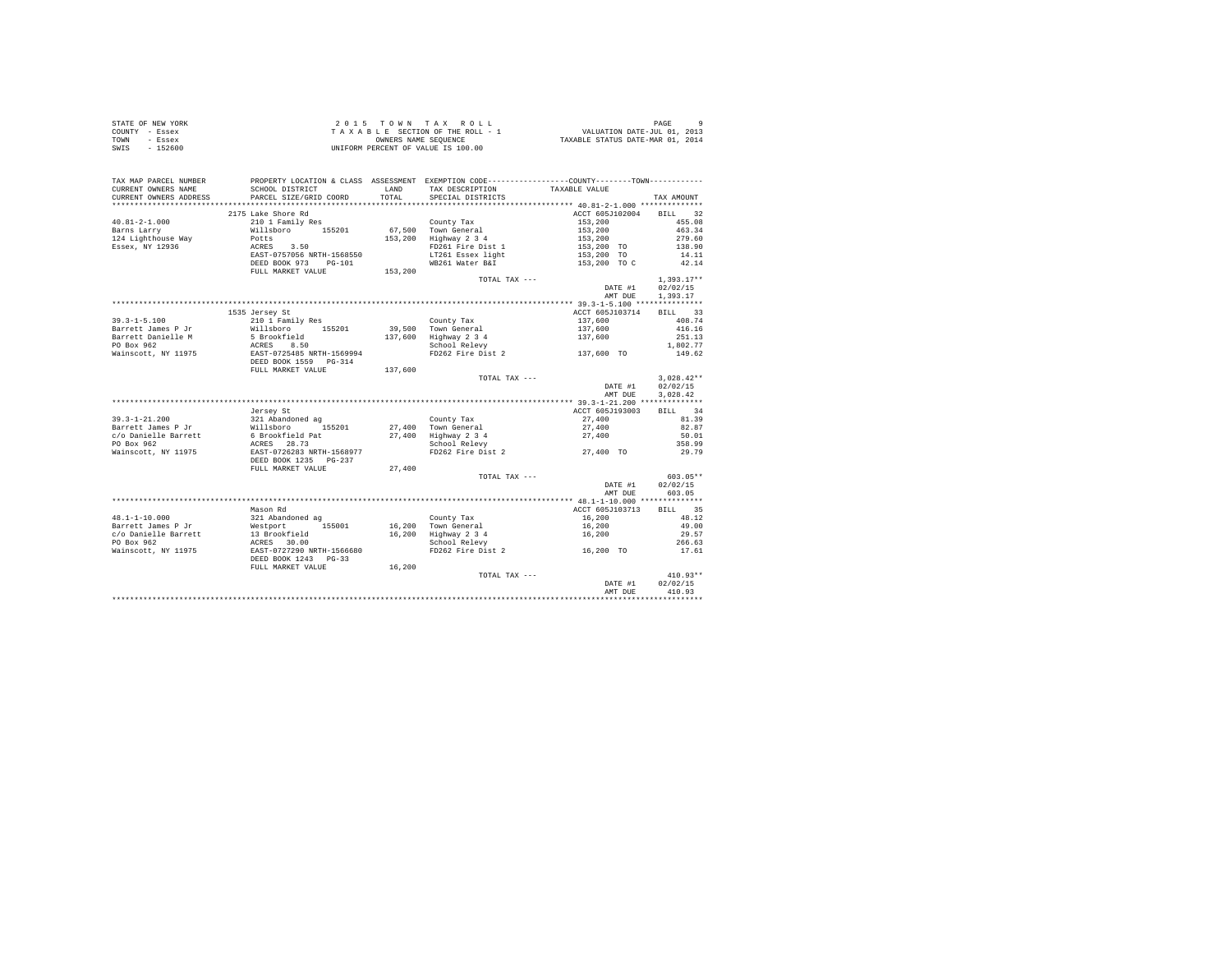| STATE OF NEW YORK | 2015 TOWN TAX ROLL                 | PAGE<br>$\alpha$                 |
|-------------------|------------------------------------|----------------------------------|
| COUNTY - Essex    | TAXABLE SECTION OF THE ROLL - 1    | VALUATION DATE-JUL 01, 2013      |
| TOWN<br>- Essex   | OWNERS NAME SEOUENCE               | TAXABLE STATUS DATE-MAR 01, 2014 |
| SWIS<br>- 152600  | UNIFORM PERCENT OF VALUE IS 100.00 |                                  |

| TAX MAP PARCEL NUMBER  |                                                                                                               |                      |                                              | PROPERTY LOCATION & CLASS ASSESSMENT EXEMPTION CODE----------------COUNTY-------TOWN---------- |              |
|------------------------|---------------------------------------------------------------------------------------------------------------|----------------------|----------------------------------------------|------------------------------------------------------------------------------------------------|--------------|
| CURRENT OWNERS NAME    | SCHOOL DISTRICT                                                                                               | LAND                 | TAX DESCRIPTION                              | TAXABLE VALUE                                                                                  |              |
| CURRENT OWNERS ADDRESS | PARCEL SIZE/GRID COORD                                                                                        | TOTAL                | SPECIAL DISTRICTS                            |                                                                                                | TAX AMOUNT   |
|                        | ************************************                                                                          | ******************** |                                              | ******************* 40.81-2-1.000 **************                                               |              |
|                        | 2175 Lake Shore Rd                                                                                            |                      |                                              | ACCT 605J102004 BILL 32                                                                        |              |
| $40.81 - 2 - 1.000$    | 210 1 Family Res                                                                                              |                      | County Tax                                   | 153,200                                                                                        | 455.08       |
| Barns Larry            |                                                                                                               |                      |                                              |                                                                                                | 463.34       |
| 124 Lighthouse Way     | Willsboro 155201<br>Potts                                                                                     |                      | 67,500 Town General<br>153,200 Highway 2 3 4 |                                                                                                | 279.60       |
| Essex, NY 12936        |                                                                                                               |                      | FD261 Fire Dist 1                            |                                                                                                | 138.90       |
|                        | ACRES 3.50<br>EAST-0757056 NRTH-1568550                                                                       |                      |                                              | 153,200<br>153,200<br>153,200 TO<br>153,200 TO                                                 |              |
|                        |                                                                                                               |                      | LT261 Essex light                            |                                                                                                | 14.11        |
|                        | DEED BOOK 973 PG-101                                                                                          |                      | WB261 Water B&I                              | 153,200 TO C                                                                                   | 42.14        |
|                        | FULL MARKET VALUE                                                                                             | 153,200              |                                              |                                                                                                |              |
|                        |                                                                                                               |                      | TOTAL TAX ---                                |                                                                                                | $1.393.17**$ |
|                        |                                                                                                               |                      |                                              | DATE #1                                                                                        | 02/02/15     |
|                        |                                                                                                               |                      |                                              | AMT DUE                                                                                        | 1,393.17     |
|                        |                                                                                                               |                      |                                              |                                                                                                |              |
|                        | 1535 Jersey St                                                                                                |                      |                                              | ACCT 605J103714 BILL 33                                                                        |              |
| $39.3 - 1 - 5.100$     | 210 1 Family Res                                                                                              |                      | County Tax                                   | 137,600                                                                                        | 408.74       |
| Barrett James P Jr     | Willsboro<br>155201                                                                                           |                      | 39,500 Town General                          | 137,600                                                                                        | 416.16       |
| Barrett Danielle M     |                                                                                                               |                      | 137,600 Highway 2 3 4                        | 137,600                                                                                        | 251.13       |
| PO Box 962             |                                                                                                               |                      | School Relevy                                |                                                                                                | 1,802.77     |
| Wainscott, NY 11975    | 5 Brookfield<br>ACRES 8.50<br>EAST-0725485 NRTH-1569994<br>DEED BOOK 1559 PG-314                              |                      |                                              | FD262 Fire Dist 2 137.600 TO                                                                   | 149.62       |
|                        |                                                                                                               |                      |                                              |                                                                                                |              |
|                        |                                                                                                               |                      |                                              |                                                                                                |              |
|                        | FULL MARKET VALUE                                                                                             | 137,600              |                                              |                                                                                                |              |
|                        |                                                                                                               |                      | TOTAL TAX ---                                |                                                                                                | $3.028.42**$ |
|                        |                                                                                                               |                      |                                              | DATE #1                                                                                        | 02/02/15     |
|                        |                                                                                                               |                      |                                              | AMT DUE                                                                                        | 3.028.42     |
|                        |                                                                                                               |                      |                                              |                                                                                                |              |
|                        | Jersey St                                                                                                     |                      |                                              | ACCT 605J193003                                                                                | BILL 34      |
|                        |                                                                                                               |                      | County Tax                                   | 27,400                                                                                         | 81.39        |
|                        |                                                                                                               |                      | 27,400 Town General                          | 27,400                                                                                         | 82.87        |
|                        |                                                                                                               |                      | 27,400 Highway 2 3 4                         | 27,400                                                                                         | 50.01        |
|                        |                                                                                                               |                      | School Relevy                                |                                                                                                | 358.99       |
| Wainscott, NY 11975    | EAST-0726283 NRTH-1568977                                                                                     |                      |                                              | FD262 Fire Dist 2 27,400 TO                                                                    | 29.79        |
|                        | DEED BOOK 1235 PG-237                                                                                         |                      |                                              |                                                                                                |              |
|                        | FULL MARKET VALUE                                                                                             |                      |                                              |                                                                                                |              |
|                        |                                                                                                               | 27,400               |                                              |                                                                                                |              |
|                        |                                                                                                               |                      | TOTAL TAX ---                                |                                                                                                | $603.05**$   |
|                        |                                                                                                               |                      |                                              | DATE #1                                                                                        | 02/02/15     |
|                        |                                                                                                               |                      |                                              | AMT DUE                                                                                        | 603.05       |
|                        |                                                                                                               |                      |                                              |                                                                                                |              |
|                        | Mason Rd                                                                                                      |                      |                                              | ACCT 605J103713                                                                                | BILL 35      |
| 48.1-1-10.000          | 321 Abandoned ag                                                                                              |                      | County Tax                                   | 16,200                                                                                         | 48.12        |
| Barrett James P Jr     | Westport<br>Westport<br>13 Brookfield<br>ACRES 30.00<br>EAST-0727290 NRTH-1566680<br>RER 1072790 NRTH-1566680 |                      | 16,200 Town General                          | 16,200                                                                                         | 49.00        |
| c/o Danielle Barrett   |                                                                                                               |                      | 16,200 Highway 2 3 4                         | 16,200                                                                                         | 29.57        |
| PO Box 962             |                                                                                                               |                      | School Relevy                                |                                                                                                | 266.63       |
| Wainscott, NY 11975    |                                                                                                               |                      |                                              | FD262 Fire Dist 2 16,200 TO                                                                    | 17.61        |
|                        | DEED BOOK 1243 PG-33                                                                                          |                      |                                              |                                                                                                |              |
|                        | FULL MARKET VALUE                                                                                             | 16,200               |                                              |                                                                                                |              |
|                        |                                                                                                               |                      | TOTAL TAX ---                                |                                                                                                | $410.93**$   |
|                        |                                                                                                               |                      |                                              | DATE #1                                                                                        | 02/02/15     |
|                        |                                                                                                               |                      |                                              |                                                                                                | 410.93       |
|                        |                                                                                                               |                      |                                              | AMT DUE<br>*********************************                                                   |              |
|                        |                                                                                                               |                      |                                              |                                                                                                |              |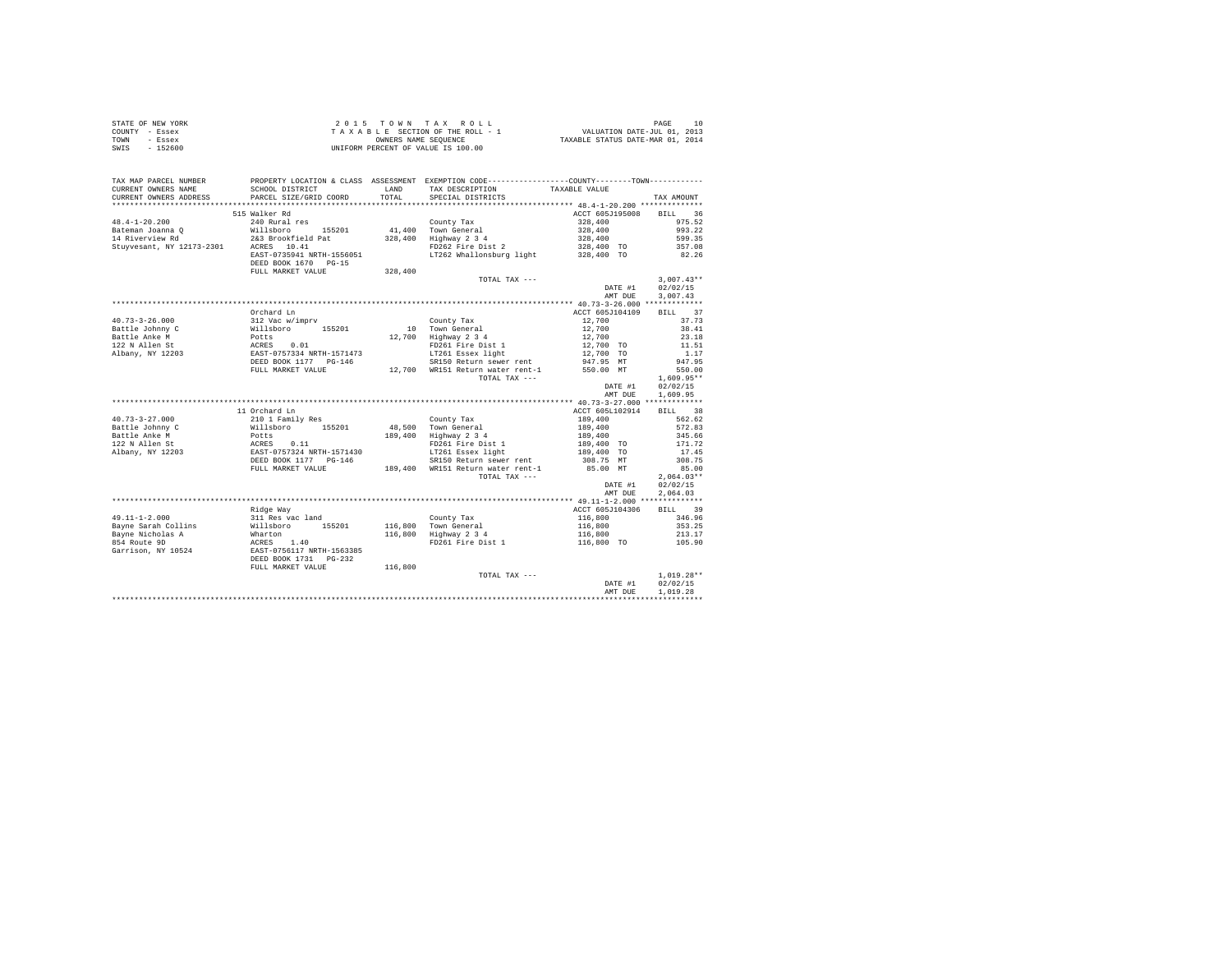| STATE OF NEW YORK | $2.0.15$ TOWN TAX ROLL             | 10<br>PAGE                       |
|-------------------|------------------------------------|----------------------------------|
| COUNTY - Essex    | TAXABLE SECTION OF THE ROLL - 1    | VALUATION DATE-JUL 01, 2013      |
| TOWN<br>- Essex   | OWNERS NAME SEOUENCE               | TAXABLE STATUS DATE-MAR 01, 2014 |
| $-152600$<br>SWIS | UNIFORM PERCENT OF VALUE IS 100.00 |                                  |

| 515 Walker Rd<br>ACCT 605J195008 BILL 36<br>240 Rural res<br>County Tax<br>328,400<br>975.52<br>County Tax<br>41,400 Town General<br>328,400<br>Willsboro 155201<br>993.22<br>328,400 Highway 2 3 4<br>14 Riverview Rd<br>2&3 Brookfield Pat<br>599.35<br>328,400<br>$328,400$ TO<br>Stuyvesant, NY 12173-2301 ACRES 10.41<br>FD262 Fire Dist 2<br>357.08<br>EAST-0735941 NRTH-1556051<br>LT262 Whallonsburg light<br>82.26<br>328,400 TO<br>DEED BOOK 1670 PG-15<br>328,400<br>FULL MARKET VALUE<br>$3,007.43**$<br>TOTAL TAX ---<br>02/02/15<br>DATE #1<br>3.007.43<br>AMT DUE<br>Orchard Ln<br>ACCT 605J104109<br>BILL 37<br>37.73<br>County Tax<br>12,700<br>10 Town General<br>12,700<br>38.41<br>12,700 Highway 2 3 4<br>12,700<br>12,700 TO<br>23.18<br>FD261 Fire Dist 1<br>11.51<br>LT261 Essex light<br>12,700 TO<br>947.95 MT<br>1.17<br>SR150 Return sewer rent<br>947.95<br>12,700 WR151 Return water rent-1<br>550.00 MT<br>FULL MARKET VALUE<br>550.00<br>TOTAL TAX ---<br>$1.609.95**$<br>02/02/15<br>DATE #1<br>AMT DUE<br>1,609.95<br>11 Orchard Ln<br>ACCT 605L102914<br>BILL 38<br>210 1 Family Res<br>189,400<br>562.62<br>County Tax<br>willsboro 155201<br>Potts 0.11<br>AGRES 0.11<br>ERST-0757324 NRTH-1571430<br>DEED BOOK 1177 PG-146<br>48,500 Town General<br>189,400 Highway 2 3 4<br>572.83<br>189,400<br>189,400<br>189,400 TO<br>345.66<br>FD261 Fire Dist 1<br>171.72<br>LT261 Essex light<br>17.45<br>189,400 TO<br>SR150 Return sewer rent<br>308.75 MT<br>308.75<br>85.00 MT<br>FULL MARKET VALUE 189,400 WR151 Return water rent-1<br>85.00<br>TOTAL TAX $---$<br>$2,064.03**$<br>DATE #1<br>02/02/15<br>2.064.03<br>AMT DUE<br>ACCT 605J104306<br>BILL 39<br>Ridge Way<br>$49.11 - 1 - 2.000$<br>116,800<br>346.96<br>311 Res vac land<br>County Tax<br>116,800 Town General<br>116,800<br>Bayne Sarah Collins<br>353.25<br>Bayne Nicholas A<br>116,800 Highway 2 3 4<br>116,800<br>213.17<br>854 Route 9D<br>FD261 Fire Dist 1<br>116,800 TO<br>105.90<br>Garrison, NY 10524<br>DEED BOOK 1731 PG-232<br>FULL MARKET VALUE<br>116,800<br>$1,019.28**$<br>TOTAL TAX ---<br>02/02/15<br>DATE #1<br>AMT DUE<br>1,019.28 | TAX MAP PARCEL NUMBER<br>CURRENT OWNERS NAME<br>CURRENT OWNERS ADDRESS | PROPERTY LOCATION & CLASS ASSESSMENT EXEMPTION CODE----------------COUNTY--------TOWN----------<br>SCHOOL DISTRICT<br>PARCEL SIZE/GRID COORD | LAND<br>TOTAL. | TAX DESCRIPTION<br>SPECIAL DISTRICTS | TAXABLE VALUE | TAX AMOUNT |
|--------------------------------------------------------------------------------------------------------------------------------------------------------------------------------------------------------------------------------------------------------------------------------------------------------------------------------------------------------------------------------------------------------------------------------------------------------------------------------------------------------------------------------------------------------------------------------------------------------------------------------------------------------------------------------------------------------------------------------------------------------------------------------------------------------------------------------------------------------------------------------------------------------------------------------------------------------------------------------------------------------------------------------------------------------------------------------------------------------------------------------------------------------------------------------------------------------------------------------------------------------------------------------------------------------------------------------------------------------------------------------------------------------------------------------------------------------------------------------------------------------------------------------------------------------------------------------------------------------------------------------------------------------------------------------------------------------------------------------------------------------------------------------------------------------------------------------------------------------------------------------------------------------------------------------------------------------------------------------------------------------------------------------------------------------------------------------------------------------------------------------------------------------------|------------------------------------------------------------------------|----------------------------------------------------------------------------------------------------------------------------------------------|----------------|--------------------------------------|---------------|------------|
|                                                                                                                                                                                                                                                                                                                                                                                                                                                                                                                                                                                                                                                                                                                                                                                                                                                                                                                                                                                                                                                                                                                                                                                                                                                                                                                                                                                                                                                                                                                                                                                                                                                                                                                                                                                                                                                                                                                                                                                                                                                                                                                                                              | ************************                                               |                                                                                                                                              |                |                                      |               |            |
|                                                                                                                                                                                                                                                                                                                                                                                                                                                                                                                                                                                                                                                                                                                                                                                                                                                                                                                                                                                                                                                                                                                                                                                                                                                                                                                                                                                                                                                                                                                                                                                                                                                                                                                                                                                                                                                                                                                                                                                                                                                                                                                                                              | $48.4 - 1 - 20.200$<br>Bateman Joanna Q                                |                                                                                                                                              |                |                                      |               |            |
|                                                                                                                                                                                                                                                                                                                                                                                                                                                                                                                                                                                                                                                                                                                                                                                                                                                                                                                                                                                                                                                                                                                                                                                                                                                                                                                                                                                                                                                                                                                                                                                                                                                                                                                                                                                                                                                                                                                                                                                                                                                                                                                                                              |                                                                        |                                                                                                                                              |                |                                      |               |            |
|                                                                                                                                                                                                                                                                                                                                                                                                                                                                                                                                                                                                                                                                                                                                                                                                                                                                                                                                                                                                                                                                                                                                                                                                                                                                                                                                                                                                                                                                                                                                                                                                                                                                                                                                                                                                                                                                                                                                                                                                                                                                                                                                                              |                                                                        |                                                                                                                                              |                |                                      |               |            |
|                                                                                                                                                                                                                                                                                                                                                                                                                                                                                                                                                                                                                                                                                                                                                                                                                                                                                                                                                                                                                                                                                                                                                                                                                                                                                                                                                                                                                                                                                                                                                                                                                                                                                                                                                                                                                                                                                                                                                                                                                                                                                                                                                              |                                                                        |                                                                                                                                              |                |                                      |               |            |
|                                                                                                                                                                                                                                                                                                                                                                                                                                                                                                                                                                                                                                                                                                                                                                                                                                                                                                                                                                                                                                                                                                                                                                                                                                                                                                                                                                                                                                                                                                                                                                                                                                                                                                                                                                                                                                                                                                                                                                                                                                                                                                                                                              |                                                                        |                                                                                                                                              |                |                                      |               |            |
|                                                                                                                                                                                                                                                                                                                                                                                                                                                                                                                                                                                                                                                                                                                                                                                                                                                                                                                                                                                                                                                                                                                                                                                                                                                                                                                                                                                                                                                                                                                                                                                                                                                                                                                                                                                                                                                                                                                                                                                                                                                                                                                                                              |                                                                        |                                                                                                                                              |                |                                      |               |            |
|                                                                                                                                                                                                                                                                                                                                                                                                                                                                                                                                                                                                                                                                                                                                                                                                                                                                                                                                                                                                                                                                                                                                                                                                                                                                                                                                                                                                                                                                                                                                                                                                                                                                                                                                                                                                                                                                                                                                                                                                                                                                                                                                                              |                                                                        |                                                                                                                                              |                |                                      |               |            |
|                                                                                                                                                                                                                                                                                                                                                                                                                                                                                                                                                                                                                                                                                                                                                                                                                                                                                                                                                                                                                                                                                                                                                                                                                                                                                                                                                                                                                                                                                                                                                                                                                                                                                                                                                                                                                                                                                                                                                                                                                                                                                                                                                              |                                                                        |                                                                                                                                              |                |                                      |               |            |
|                                                                                                                                                                                                                                                                                                                                                                                                                                                                                                                                                                                                                                                                                                                                                                                                                                                                                                                                                                                                                                                                                                                                                                                                                                                                                                                                                                                                                                                                                                                                                                                                                                                                                                                                                                                                                                                                                                                                                                                                                                                                                                                                                              |                                                                        |                                                                                                                                              |                |                                      |               |            |
|                                                                                                                                                                                                                                                                                                                                                                                                                                                                                                                                                                                                                                                                                                                                                                                                                                                                                                                                                                                                                                                                                                                                                                                                                                                                                                                                                                                                                                                                                                                                                                                                                                                                                                                                                                                                                                                                                                                                                                                                                                                                                                                                                              |                                                                        |                                                                                                                                              |                |                                      |               |            |
|                                                                                                                                                                                                                                                                                                                                                                                                                                                                                                                                                                                                                                                                                                                                                                                                                                                                                                                                                                                                                                                                                                                                                                                                                                                                                                                                                                                                                                                                                                                                                                                                                                                                                                                                                                                                                                                                                                                                                                                                                                                                                                                                                              |                                                                        |                                                                                                                                              |                |                                      |               |            |
|                                                                                                                                                                                                                                                                                                                                                                                                                                                                                                                                                                                                                                                                                                                                                                                                                                                                                                                                                                                                                                                                                                                                                                                                                                                                                                                                                                                                                                                                                                                                                                                                                                                                                                                                                                                                                                                                                                                                                                                                                                                                                                                                                              |                                                                        |                                                                                                                                              |                |                                      |               |            |
|                                                                                                                                                                                                                                                                                                                                                                                                                                                                                                                                                                                                                                                                                                                                                                                                                                                                                                                                                                                                                                                                                                                                                                                                                                                                                                                                                                                                                                                                                                                                                                                                                                                                                                                                                                                                                                                                                                                                                                                                                                                                                                                                                              |                                                                        |                                                                                                                                              |                |                                      |               |            |
|                                                                                                                                                                                                                                                                                                                                                                                                                                                                                                                                                                                                                                                                                                                                                                                                                                                                                                                                                                                                                                                                                                                                                                                                                                                                                                                                                                                                                                                                                                                                                                                                                                                                                                                                                                                                                                                                                                                                                                                                                                                                                                                                                              |                                                                        |                                                                                                                                              |                |                                      |               |            |
|                                                                                                                                                                                                                                                                                                                                                                                                                                                                                                                                                                                                                                                                                                                                                                                                                                                                                                                                                                                                                                                                                                                                                                                                                                                                                                                                                                                                                                                                                                                                                                                                                                                                                                                                                                                                                                                                                                                                                                                                                                                                                                                                                              |                                                                        |                                                                                                                                              |                |                                      |               |            |
|                                                                                                                                                                                                                                                                                                                                                                                                                                                                                                                                                                                                                                                                                                                                                                                                                                                                                                                                                                                                                                                                                                                                                                                                                                                                                                                                                                                                                                                                                                                                                                                                                                                                                                                                                                                                                                                                                                                                                                                                                                                                                                                                                              |                                                                        |                                                                                                                                              |                |                                      |               |            |
|                                                                                                                                                                                                                                                                                                                                                                                                                                                                                                                                                                                                                                                                                                                                                                                                                                                                                                                                                                                                                                                                                                                                                                                                                                                                                                                                                                                                                                                                                                                                                                                                                                                                                                                                                                                                                                                                                                                                                                                                                                                                                                                                                              |                                                                        |                                                                                                                                              |                |                                      |               |            |
|                                                                                                                                                                                                                                                                                                                                                                                                                                                                                                                                                                                                                                                                                                                                                                                                                                                                                                                                                                                                                                                                                                                                                                                                                                                                                                                                                                                                                                                                                                                                                                                                                                                                                                                                                                                                                                                                                                                                                                                                                                                                                                                                                              |                                                                        |                                                                                                                                              |                |                                      |               |            |
|                                                                                                                                                                                                                                                                                                                                                                                                                                                                                                                                                                                                                                                                                                                                                                                                                                                                                                                                                                                                                                                                                                                                                                                                                                                                                                                                                                                                                                                                                                                                                                                                                                                                                                                                                                                                                                                                                                                                                                                                                                                                                                                                                              |                                                                        |                                                                                                                                              |                |                                      |               |            |
|                                                                                                                                                                                                                                                                                                                                                                                                                                                                                                                                                                                                                                                                                                                                                                                                                                                                                                                                                                                                                                                                                                                                                                                                                                                                                                                                                                                                                                                                                                                                                                                                                                                                                                                                                                                                                                                                                                                                                                                                                                                                                                                                                              | $40.73 - 3 - 27.000$                                                   |                                                                                                                                              |                |                                      |               |            |
|                                                                                                                                                                                                                                                                                                                                                                                                                                                                                                                                                                                                                                                                                                                                                                                                                                                                                                                                                                                                                                                                                                                                                                                                                                                                                                                                                                                                                                                                                                                                                                                                                                                                                                                                                                                                                                                                                                                                                                                                                                                                                                                                                              | Battle Johnny C                                                        |                                                                                                                                              |                |                                      |               |            |
|                                                                                                                                                                                                                                                                                                                                                                                                                                                                                                                                                                                                                                                                                                                                                                                                                                                                                                                                                                                                                                                                                                                                                                                                                                                                                                                                                                                                                                                                                                                                                                                                                                                                                                                                                                                                                                                                                                                                                                                                                                                                                                                                                              | Battle Anke M                                                          |                                                                                                                                              |                |                                      |               |            |
|                                                                                                                                                                                                                                                                                                                                                                                                                                                                                                                                                                                                                                                                                                                                                                                                                                                                                                                                                                                                                                                                                                                                                                                                                                                                                                                                                                                                                                                                                                                                                                                                                                                                                                                                                                                                                                                                                                                                                                                                                                                                                                                                                              | 122 N Allen St                                                         |                                                                                                                                              |                |                                      |               |            |
|                                                                                                                                                                                                                                                                                                                                                                                                                                                                                                                                                                                                                                                                                                                                                                                                                                                                                                                                                                                                                                                                                                                                                                                                                                                                                                                                                                                                                                                                                                                                                                                                                                                                                                                                                                                                                                                                                                                                                                                                                                                                                                                                                              | Albany, NY 12203                                                       |                                                                                                                                              |                |                                      |               |            |
|                                                                                                                                                                                                                                                                                                                                                                                                                                                                                                                                                                                                                                                                                                                                                                                                                                                                                                                                                                                                                                                                                                                                                                                                                                                                                                                                                                                                                                                                                                                                                                                                                                                                                                                                                                                                                                                                                                                                                                                                                                                                                                                                                              |                                                                        |                                                                                                                                              |                |                                      |               |            |
|                                                                                                                                                                                                                                                                                                                                                                                                                                                                                                                                                                                                                                                                                                                                                                                                                                                                                                                                                                                                                                                                                                                                                                                                                                                                                                                                                                                                                                                                                                                                                                                                                                                                                                                                                                                                                                                                                                                                                                                                                                                                                                                                                              |                                                                        |                                                                                                                                              |                |                                      |               |            |
|                                                                                                                                                                                                                                                                                                                                                                                                                                                                                                                                                                                                                                                                                                                                                                                                                                                                                                                                                                                                                                                                                                                                                                                                                                                                                                                                                                                                                                                                                                                                                                                                                                                                                                                                                                                                                                                                                                                                                                                                                                                                                                                                                              |                                                                        |                                                                                                                                              |                |                                      |               |            |
|                                                                                                                                                                                                                                                                                                                                                                                                                                                                                                                                                                                                                                                                                                                                                                                                                                                                                                                                                                                                                                                                                                                                                                                                                                                                                                                                                                                                                                                                                                                                                                                                                                                                                                                                                                                                                                                                                                                                                                                                                                                                                                                                                              |                                                                        |                                                                                                                                              |                |                                      |               |            |
|                                                                                                                                                                                                                                                                                                                                                                                                                                                                                                                                                                                                                                                                                                                                                                                                                                                                                                                                                                                                                                                                                                                                                                                                                                                                                                                                                                                                                                                                                                                                                                                                                                                                                                                                                                                                                                                                                                                                                                                                                                                                                                                                                              |                                                                        |                                                                                                                                              |                |                                      |               |            |
|                                                                                                                                                                                                                                                                                                                                                                                                                                                                                                                                                                                                                                                                                                                                                                                                                                                                                                                                                                                                                                                                                                                                                                                                                                                                                                                                                                                                                                                                                                                                                                                                                                                                                                                                                                                                                                                                                                                                                                                                                                                                                                                                                              |                                                                        |                                                                                                                                              |                |                                      |               |            |
|                                                                                                                                                                                                                                                                                                                                                                                                                                                                                                                                                                                                                                                                                                                                                                                                                                                                                                                                                                                                                                                                                                                                                                                                                                                                                                                                                                                                                                                                                                                                                                                                                                                                                                                                                                                                                                                                                                                                                                                                                                                                                                                                                              |                                                                        |                                                                                                                                              |                |                                      |               |            |
|                                                                                                                                                                                                                                                                                                                                                                                                                                                                                                                                                                                                                                                                                                                                                                                                                                                                                                                                                                                                                                                                                                                                                                                                                                                                                                                                                                                                                                                                                                                                                                                                                                                                                                                                                                                                                                                                                                                                                                                                                                                                                                                                                              |                                                                        |                                                                                                                                              |                |                                      |               |            |
|                                                                                                                                                                                                                                                                                                                                                                                                                                                                                                                                                                                                                                                                                                                                                                                                                                                                                                                                                                                                                                                                                                                                                                                                                                                                                                                                                                                                                                                                                                                                                                                                                                                                                                                                                                                                                                                                                                                                                                                                                                                                                                                                                              |                                                                        |                                                                                                                                              |                |                                      |               |            |
|                                                                                                                                                                                                                                                                                                                                                                                                                                                                                                                                                                                                                                                                                                                                                                                                                                                                                                                                                                                                                                                                                                                                                                                                                                                                                                                                                                                                                                                                                                                                                                                                                                                                                                                                                                                                                                                                                                                                                                                                                                                                                                                                                              |                                                                        |                                                                                                                                              |                |                                      |               |            |
|                                                                                                                                                                                                                                                                                                                                                                                                                                                                                                                                                                                                                                                                                                                                                                                                                                                                                                                                                                                                                                                                                                                                                                                                                                                                                                                                                                                                                                                                                                                                                                                                                                                                                                                                                                                                                                                                                                                                                                                                                                                                                                                                                              |                                                                        |                                                                                                                                              |                |                                      |               |            |
|                                                                                                                                                                                                                                                                                                                                                                                                                                                                                                                                                                                                                                                                                                                                                                                                                                                                                                                                                                                                                                                                                                                                                                                                                                                                                                                                                                                                                                                                                                                                                                                                                                                                                                                                                                                                                                                                                                                                                                                                                                                                                                                                                              |                                                                        |                                                                                                                                              |                |                                      |               |            |
|                                                                                                                                                                                                                                                                                                                                                                                                                                                                                                                                                                                                                                                                                                                                                                                                                                                                                                                                                                                                                                                                                                                                                                                                                                                                                                                                                                                                                                                                                                                                                                                                                                                                                                                                                                                                                                                                                                                                                                                                                                                                                                                                                              |                                                                        |                                                                                                                                              |                |                                      |               |            |
|                                                                                                                                                                                                                                                                                                                                                                                                                                                                                                                                                                                                                                                                                                                                                                                                                                                                                                                                                                                                                                                                                                                                                                                                                                                                                                                                                                                                                                                                                                                                                                                                                                                                                                                                                                                                                                                                                                                                                                                                                                                                                                                                                              |                                                                        |                                                                                                                                              |                |                                      |               |            |
|                                                                                                                                                                                                                                                                                                                                                                                                                                                                                                                                                                                                                                                                                                                                                                                                                                                                                                                                                                                                                                                                                                                                                                                                                                                                                                                                                                                                                                                                                                                                                                                                                                                                                                                                                                                                                                                                                                                                                                                                                                                                                                                                                              |                                                                        |                                                                                                                                              |                |                                      |               |            |
|                                                                                                                                                                                                                                                                                                                                                                                                                                                                                                                                                                                                                                                                                                                                                                                                                                                                                                                                                                                                                                                                                                                                                                                                                                                                                                                                                                                                                                                                                                                                                                                                                                                                                                                                                                                                                                                                                                                                                                                                                                                                                                                                                              |                                                                        |                                                                                                                                              |                |                                      |               |            |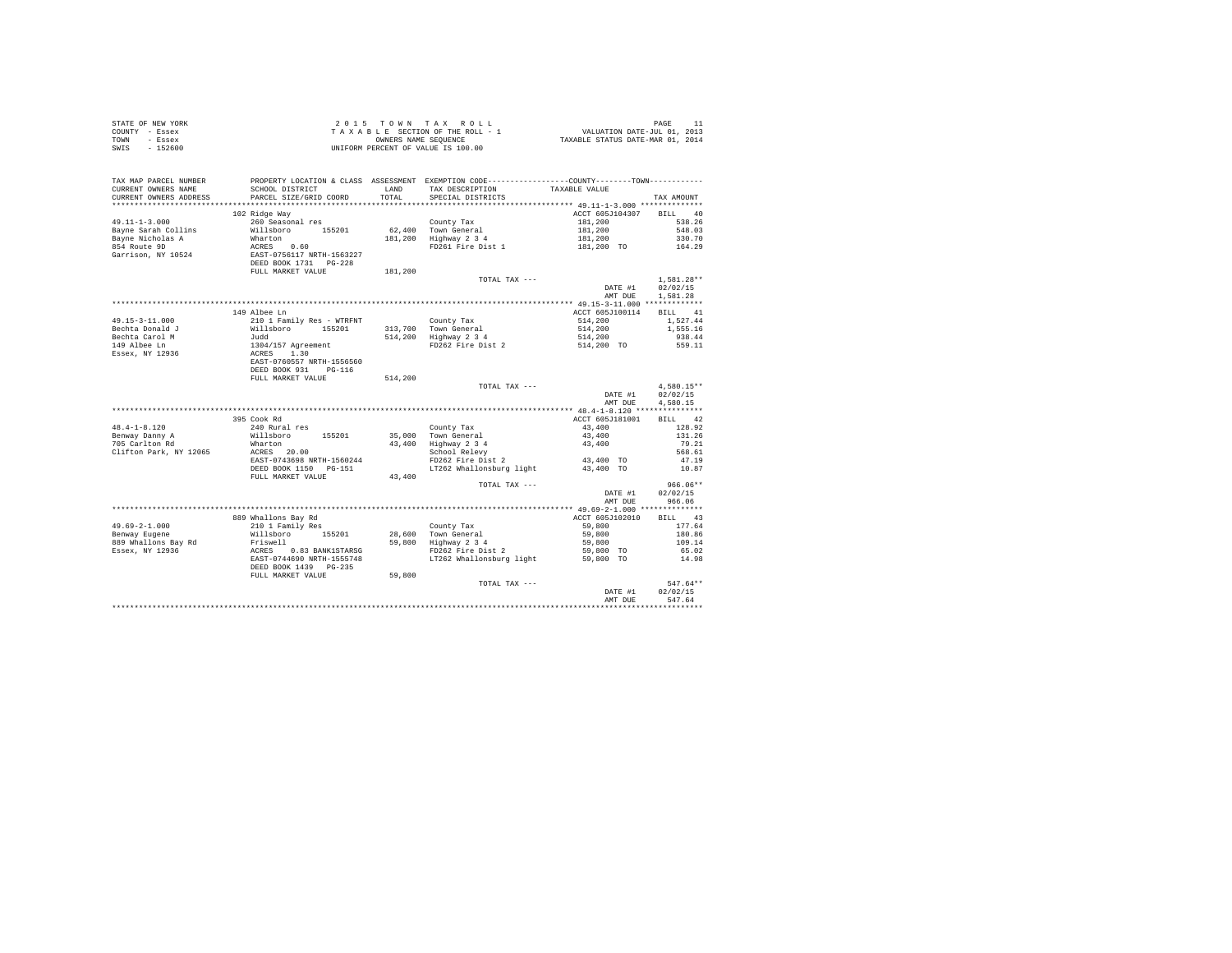| COUNTY - Essex<br>TOWN<br>- Essex      | T A X A B L E SECTION OF THE ROLL - :<br>OWNERS NAME SEQUENCE<br>UNIFORM PERCENT OF VALUE IS 100.00                                                         |         |                                                                                                |                                             |                      |
|----------------------------------------|-------------------------------------------------------------------------------------------------------------------------------------------------------------|---------|------------------------------------------------------------------------------------------------|---------------------------------------------|----------------------|
| $-152600$<br>SWIS                      |                                                                                                                                                             |         |                                                                                                |                                             |                      |
|                                        |                                                                                                                                                             |         |                                                                                                |                                             |                      |
|                                        |                                                                                                                                                             |         |                                                                                                |                                             |                      |
| TAX MAP PARCEL NUMBER                  |                                                                                                                                                             |         | PROPERTY LOCATION & CLASS ASSESSMENT EXEMPTION CODE----------------COUNTY-------TOWN---------- |                                             |                      |
| CURRENT OWNERS NAME                    | SCHOOL DISTRICT                                                                                                                                             | LAND    | TAX DESCRIPTION TAXABLE VALUE                                                                  |                                             |                      |
| CURRENT OWNERS ADDRESS                 | PARCEL SIZE/GRID COORD                                                                                                                                      | TOTAL   | SPECIAL DISTRICTS                                                                              |                                             | TAX AMOUNT           |
|                                        |                                                                                                                                                             |         |                                                                                                |                                             |                      |
|                                        | 102 Ridge Way                                                                                                                                               |         |                                                                                                | ACCT 605J104307                             | BILL 40              |
| $49.11 - 1 - 3.000$                    | 260 Seasonal res                                                                                                                                            |         | County Tax                                                                                     | 181,200                                     | 538.26               |
| Bayne Sarah Collins                    |                                                                                                                                                             |         | 62,400 Town General                                                                            |                                             |                      |
| Bayne Nicholas A                       |                                                                                                                                                             |         | 62,400 Town General<br>181,200 Highway 2 3 4                                                   |                                             |                      |
| 854 Route 9D                           | Willsboro 155201<br>Wharton<br>ACRES 0.60<br>EAST-0756117 NRTH-1563227<br>DEED BOOK 1731 PG-228                                                             |         |                                                                                                |                                             |                      |
| Garrison, NY 10524                     |                                                                                                                                                             |         |                                                                                                |                                             |                      |
|                                        |                                                                                                                                                             |         |                                                                                                |                                             |                      |
|                                        | FULL MARKET VALUE                                                                                                                                           | 181,200 | TOTAL TAX ---                                                                                  |                                             | $1.581.28**$         |
|                                        |                                                                                                                                                             |         |                                                                                                | DATE #1                                     | 02/02/15             |
|                                        |                                                                                                                                                             |         |                                                                                                | AMT DUE                                     | 1,581.28             |
|                                        |                                                                                                                                                             |         |                                                                                                |                                             |                      |
|                                        | 149 Albee Ln                                                                                                                                                |         |                                                                                                | ACCT 605J100114                             | BILL 41              |
| 49.15-3-11.000                         | 210 1 Family Res - WTRFNT                                                                                                                                   |         |                                                                                                |                                             | 1,527.44             |
| Bechta Donald J                        |                                                                                                                                                             |         |                                                                                                |                                             | 1,555.16             |
| Bechta Carol M                         |                                                                                                                                                             |         |                                                                                                |                                             | 938.44<br>559.11     |
| 149 Albee Ln                           |                                                                                                                                                             |         | County Tax<br>313,700 Town General<br>514,200 Highway 2 3 4<br>FD262 Fire Dist 2               | 514,200<br>514,200<br>514,200<br>514,200 TO |                      |
| Essex, NY 12936                        |                                                                                                                                                             |         |                                                                                                |                                             |                      |
|                                        |                                                                                                                                                             |         |                                                                                                |                                             |                      |
|                                        |                                                                                                                                                             |         |                                                                                                |                                             |                      |
|                                        | XIV I Family Res * Wiking<br>Willsboro 155201<br>1304/157 Agreement<br>ACRES 1.30<br>EAST-0760557 NRTH-1556560<br>DEED BOOK 931 PG-116<br>PULL MARKET VALUE | 514,200 |                                                                                                |                                             |                      |
|                                        |                                                                                                                                                             |         | TOTAL TAX ---                                                                                  |                                             | $4.580.15**$         |
|                                        |                                                                                                                                                             |         |                                                                                                | DATE #1<br>AMT DUE                          | 02/02/15<br>4,580.15 |
|                                        |                                                                                                                                                             |         |                                                                                                |                                             |                      |
|                                        | 395 Cook Rd                                                                                                                                                 |         |                                                                                                | ACCT 605J181001                             | BILL 42              |
| $48.4 - 1 - 8.120$                     |                                                                                                                                                             |         |                                                                                                |                                             | 128.92               |
|                                        | 240 Rural res<br>Willsboro 155201                                                                                                                           |         |                                                                                                |                                             | 131.26               |
| Benway Danny A<br>705 Carlton Rd       |                                                                                                                                                             |         | County Tax<br>35,000 Town General<br>43,400 Highway 2 3 4<br>School Relevy                     | $43,400$<br>$43,400$<br>$43,400$            | 79.21                |
| Clifton Park, NY 12065                 | Wharton<br>ACRES 20.00                                                                                                                                      |         |                                                                                                |                                             | 568.61               |
|                                        | EAST-0743698 NRTH-1560244                                                                                                                                   |         | FD262 Fire Dist 2                                                                              | 43,400 TO                                   | 47.19                |
|                                        | DEED BOOK 1150 PG-151                                                                                                                                       |         | LT262 Whallonsburg light                                                                       | 43,400 TO                                   | 10.87                |
|                                        | FULL MARKET VALUE                                                                                                                                           | 43,400  |                                                                                                |                                             |                      |
|                                        |                                                                                                                                                             |         | TOTAL TAX ---                                                                                  |                                             | $966.06**$           |
|                                        |                                                                                                                                                             |         |                                                                                                | DATE #1                                     | 02/02/15             |
|                                        |                                                                                                                                                             |         |                                                                                                | AMT DUE                                     | 966.06               |
|                                        |                                                                                                                                                             |         |                                                                                                |                                             |                      |
| $49.69 - 2 - 1.000$                    | 889 Whallons Bay Rd<br>210 1 Family Res                                                                                                                     |         |                                                                                                | ACCT 605J102010                             | BILL 43<br>177.64    |
| Benway Eugene                          |                                                                                                                                                             |         |                                                                                                | 59,800<br>59,800                            | 180.86               |
|                                        |                                                                                                                                                             |         |                                                                                                | 59,800                                      | 109.14               |
| 889 Whallons Bay Rd<br>Essex, NY 12936 |                                                                                                                                                             |         |                                                                                                | 59,800 TO                                   | 65.02                |
|                                        |                                                                                                                                                             |         |                                                                                                | 59,800 TO                                   | 14.98                |
|                                        |                                                                                                                                                             |         |                                                                                                |                                             |                      |
|                                        | FULL MARKET VALUE                                                                                                                                           | 59,800  |                                                                                                |                                             |                      |
|                                        |                                                                                                                                                             |         | TOTAL TAX ---                                                                                  |                                             | $547.64**$           |
|                                        |                                                                                                                                                             |         |                                                                                                | DATE #1                                     | 02/02/15             |
|                                        |                                                                                                                                                             |         |                                                                                                | AMT DUE                                     | 547.64               |
|                                        |                                                                                                                                                             |         |                                                                                                |                                             |                      |

STATE OF NEW YORK 2 0 1 5 T O W N T A X R O L L PAGE 11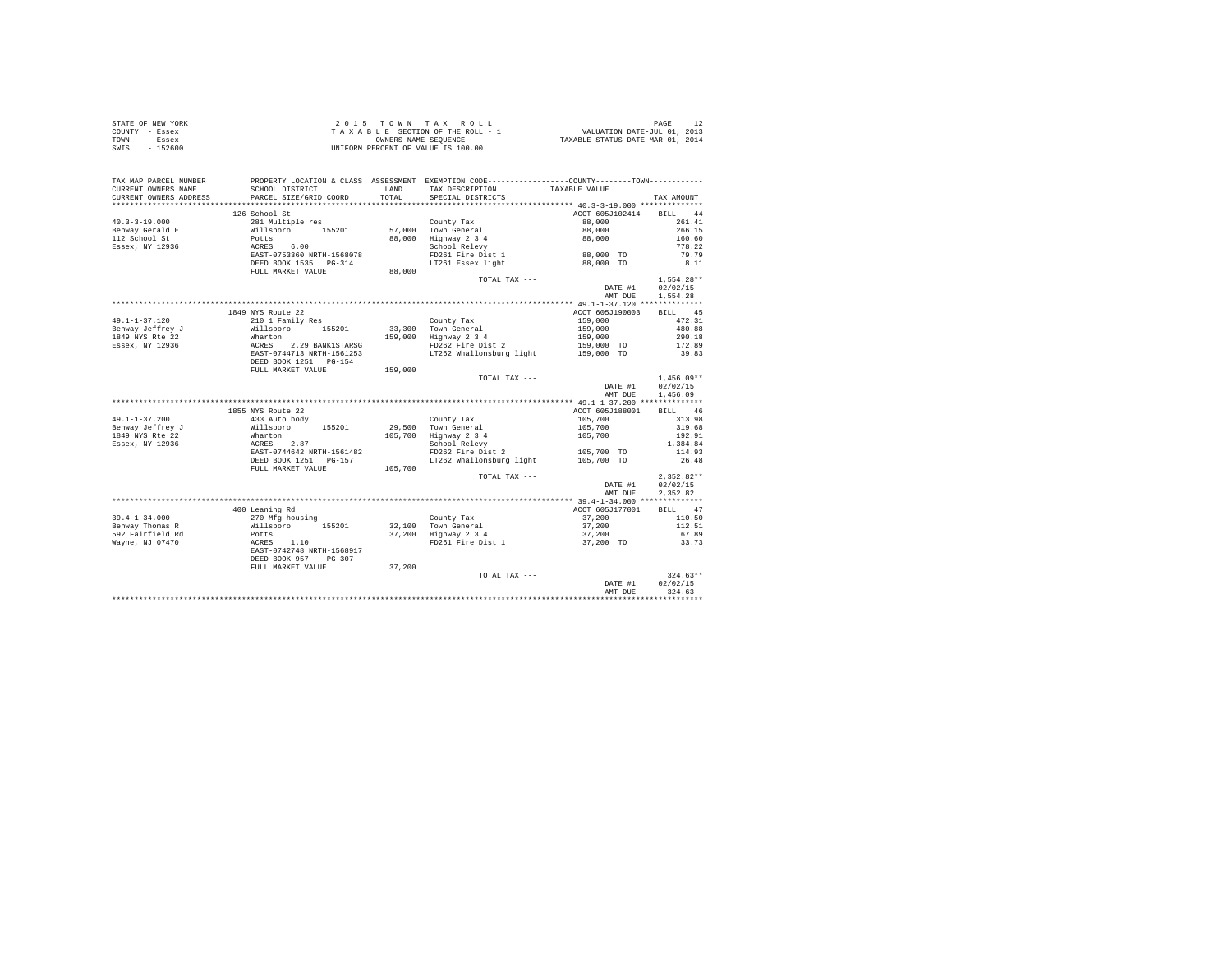| STATE OF NEW YORK | 2015 TOWN TAX ROLL                 | PAGE                             |
|-------------------|------------------------------------|----------------------------------|
| COUNTY - Essex    | TAXABLE SECTION OF THE ROLL - 1    | VALUATION DATE-JUL 01, 2013      |
| TOWN<br>- Essex   | OWNERS NAME SEOUENCE               | TAXABLE STATUS DATE-MAR 01, 2014 |
| SWIS<br>- 152600  | UNIFORM PERCENT OF VALUE IS 100.00 |                                  |

| TAX MAP PARCEL NUMBER<br>CURRENT OWNERS NAME | SCHOOL DISTRICT                                                    | LAND    | PROPERTY LOCATION & CLASS ASSESSMENT EXEMPTION CODE---------------COUNTY-------TOWN---------<br>TAX DESCRIPTION | TAXABLE VALUE                 |                  |
|----------------------------------------------|--------------------------------------------------------------------|---------|-----------------------------------------------------------------------------------------------------------------|-------------------------------|------------------|
| CURRENT OWNERS ADDRESS                       | PARCEL SIZE/GRID COORD                                             | TOTAL   | SPECIAL DISTRICTS                                                                                               |                               | TAX AMOUNT       |
| ********************                         | ************************                                           |         |                                                                                                                 |                               |                  |
|                                              | 126 School St                                                      |         |                                                                                                                 | ACCT 605J102414 BILL 44       |                  |
| $40.3 - 3 - 19.000$                          | 281 Multiple res                                                   |         | County Tax                                                                                                      | 88,000                        | 261.41           |
| Benway Gerald E                              | Willsboro 155201                                                   |         | 57.000 Town General                                                                                             | 88,000                        | 266.15           |
| 112 School St                                | Potts                                                              |         | 88,000 Highway 2 3 4                                                                                            | 88,000                        | 160.60           |
| Essex, NY 12936                              | ACRES 6.00                                                         |         | School Relevy                                                                                                   |                               | 778.22           |
|                                              | EAST-0753360 NRTH-1568078                                          |         | FD261 Fire Dist 1                                                                                               | 88,000 TO                     | 79.79            |
|                                              | DEED BOOK 1535 PG-314                                              |         | LT261 Essex light                                                                                               | 88,000 TO                     | 8.11             |
|                                              | FULL MARKET VALUE                                                  | 88,000  |                                                                                                                 |                               |                  |
|                                              |                                                                    |         | TOTAL TAX ---                                                                                                   |                               | $1,554.28**$     |
|                                              |                                                                    |         |                                                                                                                 | DATE #1                       | 02/02/15         |
|                                              |                                                                    |         |                                                                                                                 | AMT DUE                       | 1,554.28         |
|                                              | 1849 NYS Route 22                                                  |         |                                                                                                                 | ACCT 605J190003               | BILL 45          |
|                                              |                                                                    |         |                                                                                                                 |                               |                  |
| $49.1 - 1 - 37.120$                          | 210 1 Family Res                                                   |         | County Tax                                                                                                      | 159,000<br>159,000<br>159,000 | 472.31<br>480.88 |
| Benway Jeffrey J                             | Willsboro 155201                                                   |         | 33,300 Town General<br>159,000 Highway 2 3 4                                                                    |                               |                  |
| 1849 NYS Rte 22                              |                                                                    |         |                                                                                                                 |                               | 290.18           |
| Essex, NY 12936                              | Wharton 159<br>ACRES 2.29 BANK1STARSG<br>EAST-0744713 NRTH-1561253 |         | FD262 Fire Dist 2                                                                                               | 159,000 TO                    | 172.89<br>39.83  |
|                                              | DEED BOOK 1251 PG-154                                              |         | LT262 Whallonsburg light 159,000 TO                                                                             |                               |                  |
|                                              | FULL MARKET VALUE                                                  | 159,000 |                                                                                                                 |                               |                  |
|                                              |                                                                    |         | TOTAL TAX ---                                                                                                   |                               | $1.456.09**$     |
|                                              |                                                                    |         |                                                                                                                 | DATE #1                       | 02/02/15         |
|                                              |                                                                    |         |                                                                                                                 | AMT DUE                       | 1,456.09         |
|                                              |                                                                    |         |                                                                                                                 |                               |                  |
|                                              | 1855 NYS Route 22                                                  |         |                                                                                                                 | ACCT 605J188001               | BILL 46          |
| $49.1 - 1 - 37.200$                          | 433 Auto body                                                      |         | County Tax                                                                                                      | 105,700                       | 313.98           |
| Benway Jeffrey J                             |                                                                    |         |                                                                                                                 |                               | 319.68           |
| 1849 NYS Rte 22                              | Willsboro 155201<br>Wharton                                        |         | 29,500 Town General<br>105,700 Highway 2 3 4                                                                    | 105,700<br>105,700            | 192.91           |
| Essex, NY 12936                              | Wharton<br>ACRES 2.87                                              |         | School Relevy                                                                                                   |                               | 1,384.84         |
|                                              | EAST-0744642 NRTH-1561482                                          |         | FD262 Fire Dist 2                                                                                               | 105,700 TO                    | 114.93           |
|                                              | DEED BOOK 1251    PG-157                                           |         | LT262 Whallonsburg light                                                                                        | 105,700 TO                    | 26.48            |
|                                              | FULL MARKET VALUE 105,700                                          |         |                                                                                                                 |                               |                  |
|                                              |                                                                    |         | TOTAL TAX ---                                                                                                   |                               | $2,352.82**$     |
|                                              |                                                                    |         |                                                                                                                 | DATE #1                       | 02/02/15         |
|                                              |                                                                    |         |                                                                                                                 | AMT DUE                       | 2,352.82         |
|                                              |                                                                    |         |                                                                                                                 |                               |                  |
|                                              | 400 Leaning Rd                                                     |         |                                                                                                                 | ACCT 605J177001               | BILL 47          |
| $39.4 - 1 - 34.000$                          | 270 Mfg housing                                                    |         | County Tax                                                                                                      | 37,200                        | 110.50           |
| Benway Thomas R                              | Willsboro 155201                                                   |         | 32,100 Town General                                                                                             | 37,200                        | 112.51           |
| 592 Fairfield Rd                             | Potts                                                              |         | 37,200 Highway 2 3 4                                                                                            | 37,200                        | 67.89            |
| Wayne, NJ 07470                              | ACRES 1.10<br>EAST-0742748 NRTH-1568917                            |         | FD261 Fire Dist 1                                                                                               | 37,200 TO                     | 33.73            |
|                                              |                                                                    |         |                                                                                                                 |                               |                  |
|                                              | DEED BOOK 957<br>$PG-307$                                          |         |                                                                                                                 |                               |                  |
|                                              | FULL MARKET VALUE                                                  | 37,200  |                                                                                                                 |                               |                  |
|                                              |                                                                    |         | TOTAL TAX ---                                                                                                   |                               | $324.63**$       |
|                                              |                                                                    |         |                                                                                                                 | DATE #1                       | 02/02/15         |
|                                              |                                                                    |         |                                                                                                                 | AMT DUE                       | 324.63           |
|                                              |                                                                    |         |                                                                                                                 |                               |                  |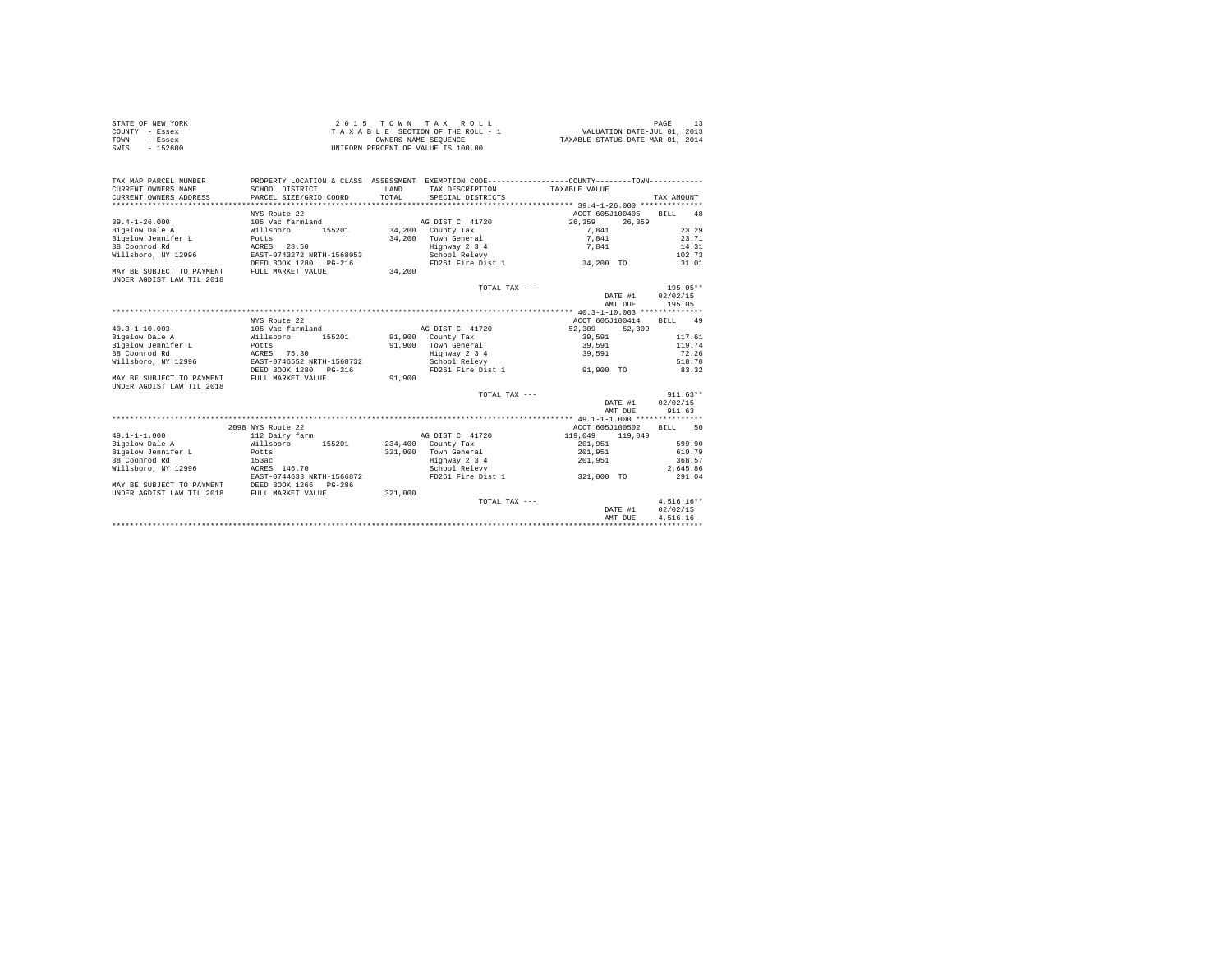| STATE OF NEW YORK | 2015 TOWN TAX ROLL                 | PAGE                             |
|-------------------|------------------------------------|----------------------------------|
| COUNTY - Essex    | TAXABLE SECTION OF THE ROLL - 1    | VALUATION DATE-JUL 01, 2013      |
| TOWN<br>- Essex   | OWNERS NAME SEOUENCE               | TAXABLE STATUS DATE-MAR 01, 2014 |
| SWIS<br>$-152600$ | UNIFORM PERCENT OF VALUE IS 100.00 |                                  |

| TAX MAP PARCEL NUMBER                       | PROPERTY LOCATION & CLASS ASSESSMENT EXEMPTION CODE---------------COUNTY-------TOWN---------- |         |                                       |                            |                     |
|---------------------------------------------|-----------------------------------------------------------------------------------------------|---------|---------------------------------------|----------------------------|---------------------|
| CURRENT OWNERS NAME                         | SCHOOL DISTRICT                                                                               | LAND    | TAX DESCRIPTION TAXABLE VALUE         |                            |                     |
| CURRENT OWNERS ADDRESS                      | PARCEL SIZE/GRID COORD                                                                        | TOTAL.  | SPECIAL DISTRICTS                     |                            | TAX AMOUNT          |
|                                             |                                                                                               |         |                                       |                            |                     |
|                                             | NYS Route 22                                                                                  |         |                                       | ACCT 605J100405            | BTLL<br>48          |
| $39.4 - 1 - 26.000$                         | 105 Vac farmland                                                                              |         | AG DIST C 41720                       | 26,359                     | 26,359              |
| Bigelow Dale A                              | Willsboro<br>155201                                                                           |         | 34,200 County Tax                     | 7.841                      | 23.29               |
| Bigelow Jennifer L Potts                    |                                                                                               |         | 34.200 Town General                   | 7,841                      | 23.71               |
| 38 Coonrod Rd                               | ACRES 28.50<br>EAST-0743272 NRTH-1568053                                                      |         | Highway 2 3 4                         | 7.841                      | 14.31               |
| Willsboro, NY 12996                         |                                                                                               |         | School Relevy                         |                            | 102.73              |
|                                             | DEED BOOK 1280 PG-216                                                                         |         | FD261 Fire Dist 1 34.200 TO           |                            | 31.01               |
| MAY BE SUBJECT TO PAYMENT                   | FULL MARKET VALUE                                                                             | 34,200  |                                       |                            |                     |
| UNDER AGDIST LAW TIL 2018                   |                                                                                               |         |                                       |                            |                     |
|                                             |                                                                                               |         | TOTAL TAX ---                         |                            | 195.05**            |
|                                             |                                                                                               |         |                                       |                            | DATE #1 02/02/15    |
|                                             |                                                                                               |         |                                       | AMT DUE                    | 195.05              |
|                                             |                                                                                               |         |                                       |                            |                     |
|                                             | NYS Route 22                                                                                  |         |                                       | ACCT 605J100414            | BILL 49             |
| $40.3 - 1 - 10.003$                         | 105 Vac farmland                                                                              |         | AG DIST C 41720                       | 52,309                     | 52,309              |
| Bigelow Dale A                              | Willsboro                                                                                     |         | 155201 91,900 County Tax              | 39,591                     | 117.61              |
| Bigelow Jennifer L                          | Potts<br>ACRES 75.30                                                                          |         | 91.900 Town General                   | 39,591                     | 119.74              |
| 38 Coonrod Rd                               |                                                                                               |         | Highway 2 3 4                         | 39,591                     | 72.26               |
| Willsboro, NY 12996                         | EAST-0746552 NRTH-1568732                                                                     |         | School Relevy                         |                            | 518.70              |
|                                             | DEED BOOK 1280 PG-216                                                                         |         | FD261 Fire Dist 1 91.900 TO           |                            | 83.32               |
| MAY BE SUBJECT TO PAYMENT                   | FULL MARKET VALUE                                                                             | 91,900  |                                       |                            |                     |
| UNDER AGDIST LAW TIL 2018                   |                                                                                               |         |                                       |                            |                     |
|                                             |                                                                                               |         | TOTAL TAX ---                         |                            | $911.63**$          |
|                                             |                                                                                               |         |                                       |                            | DATE #1 02/02/15    |
|                                             |                                                                                               |         |                                       | AMT DUE                    | 911.63              |
|                                             |                                                                                               |         |                                       |                            |                     |
|                                             | 2098 NYS Route 22<br>112 Dairy farm                                                           |         |                                       | ACCT 605J100502            | 50<br>BTLL.         |
| $49.1 - 1 - 1.000$<br>Bigelow Dale A        |                                                                                               |         | AG DIST C 41720<br>234,400 County Tax | 119,049 119,049<br>201,951 | 599.90              |
| Bigelow Jennifer L Potts                    | Willsboro<br>155201                                                                           |         | 321,000 Town General                  | 201.951                    | 610.79              |
| 38 Coonrod Rd                               |                                                                                               |         |                                       | 201,951                    | 368.57              |
| Willsboro, NY 12996                         | 153ac<br>ACRES 146.70                                                                         |         | Highway 2 3 4<br>School Relevy        |                            | 2.645.86            |
|                                             | EAST-0744633 NRTH-1566872                                                                     |         | FD261 Fire Dist 1 321,000 TO          |                            | 291.04              |
| MAY BE SUBJECT TO PAYMENT                   | DEED BOOK 1266 PG-286                                                                         |         |                                       |                            |                     |
| UNDER AGDIST LAW TIL 2018 FULL MARKET VALUE |                                                                                               | 321,000 |                                       |                            |                     |
|                                             |                                                                                               |         | TOTAL TAX ---                         |                            | $4.516.16**$        |
|                                             |                                                                                               |         |                                       |                            | 02/02/15<br>DATE #1 |
|                                             |                                                                                               |         |                                       | AMT DUE                    | 4,516.16            |
|                                             |                                                                                               |         |                                       |                            |                     |
|                                             |                                                                                               |         |                                       |                            |                     |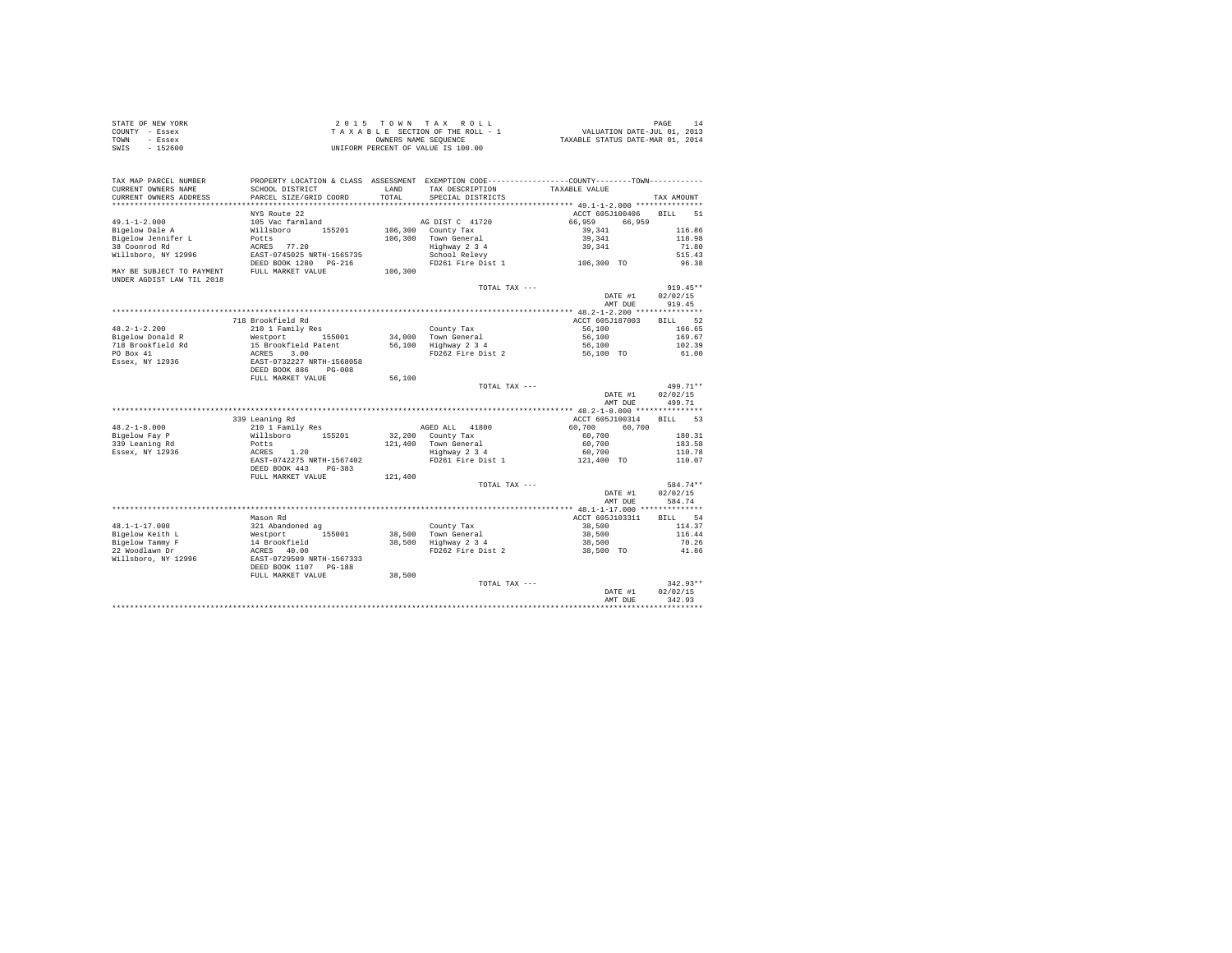| STATE OF NEW YORK | 2015 TOWN TAX ROLL                 | PAGE                             |
|-------------------|------------------------------------|----------------------------------|
| COUNTY - Essex    | TAXABLE SECTION OF THE ROLL - 1    | VALUATION DATE-JUL 01, 2013      |
| TOWN<br>- Essex   | OWNERS NAME SEOUENCE               | TAXABLE STATUS DATE-MAR 01, 2014 |
| SWIS<br>$-152600$ | UNIFORM PERCENT OF VALUE IS 100.00 |                                  |

| TAX MAP PARCEL NUMBER<br>CURRENT OWNERS NAME           | SCHOOL DISTRICT           | LAND    | TAX DESCRIPTION    | PROPERTY LOCATION & CLASS ASSESSMENT EXEMPTION CODE---------------COUNTY-------TOWN---------<br>TAXABLE VALUE |                   |
|--------------------------------------------------------|---------------------------|---------|--------------------|---------------------------------------------------------------------------------------------------------------|-------------------|
| CURRENT OWNERS ADDRESS                                 | PARCEL SIZE/GRID COORD    | TOTAL   | SPECIAL DISTRICTS  |                                                                                                               | TAX AMOUNT        |
|                                                        | NYS Route 22              |         |                    | ACCT 605J100406                                                                                               | <b>BILL</b><br>51 |
| $49.1 - 1 - 2.000$                                     | 105 Vac farmland          |         | AG DIST C 41720    | 66,959<br>66,959                                                                                              |                   |
| Bigelow Dale A                                         | Willsboro<br>155201       |         | 106,300 County Tax | 39, 341                                                                                                       | 116.86            |
| Bigelow Jennifer L                                     | Potts                     | 106,300 | Town General       | 39,341                                                                                                        | 118.98            |
| 38 Coonrod Rd                                          | ACRES 77.20               |         | Highway 2 3 4      | 39,341                                                                                                        | 71.80             |
| Willsboro, NY 12996                                    | EAST-0745025 NRTH-1565735 |         | School Relevy      |                                                                                                               | 515.43            |
|                                                        | DEED BOOK 1280 PG-216     |         | FD261 Fire Dist 1  | 106,300 TO                                                                                                    | 96.38             |
| MAY BE SUBJECT TO PAYMENT<br>UNDER AGDIST LAW TIL 2018 | FULL MARKET VALUE         | 106,300 |                    |                                                                                                               |                   |
|                                                        |                           |         | TOTAL TAX ---      |                                                                                                               | 919.45**          |
|                                                        |                           |         |                    | DATE #1                                                                                                       | 02/02/15          |
|                                                        |                           |         |                    | AMT DUE                                                                                                       | 919.45            |
|                                                        |                           |         |                    |                                                                                                               |                   |
|                                                        | 718 Brookfield Rd         |         |                    | ACCT 605J187003                                                                                               | 52<br><b>BILL</b> |
| $48.2 - 1 - 2.200$                                     | 210 1 Family Res          |         | County Tax         | 56,100                                                                                                        | 166.65            |
| Bigelow Donald R                                       | 155001<br>Westport        | 34,000  | Town General       | 56,100                                                                                                        | 169.67            |
| 718 Brookfield Rd                                      | 15 Brookfield Patent      | 56,100  | Highway 2 3 4      | 56,100                                                                                                        | 102.39            |
| PO Box 41                                              | ACRES<br>3.00             |         | FD262 Fire Dist 2  | 56,100 TO                                                                                                     | 61.00             |
| Essex, NY 12936                                        | EAST-0732227 NRTH-1568058 |         |                    |                                                                                                               |                   |
|                                                        | DEED BOOK 886<br>$PG-008$ |         |                    |                                                                                                               |                   |
|                                                        | FULL MARKET VALUE         | 56,100  |                    |                                                                                                               |                   |
|                                                        |                           |         | TOTAL TAX ---      |                                                                                                               | 499.71**          |
|                                                        |                           |         |                    | DATE #1                                                                                                       | 02/02/15          |
|                                                        |                           |         |                    | AMT DUE                                                                                                       | 499.71            |
|                                                        |                           |         |                    |                                                                                                               |                   |
|                                                        | 339 Leaning Rd            |         |                    | ACCT 605J100314                                                                                               | 53<br><b>BILL</b> |
| $48.2 - 1 - 8.000$                                     | 210 1 Family Res          |         | AGED ALL 41800     | 60,700<br>60,700                                                                                              |                   |
| Bigelow Fay P                                          | 155201<br>Willsboro       | 32,200  | County Tax         | 60,700                                                                                                        | 180.31            |
| 339 Leaning Rd                                         | Potts                     | 121,400 | Town General       | 60,700                                                                                                        | 183.58            |
| Essex, NY 12936                                        | 1.20<br>ACRES             |         | Highway 2 3 4      | 60,700                                                                                                        | 110.78            |
|                                                        | EAST-0742275 NRTH-1567402 |         | FD261 Fire Dist 1  | 121,400 TO                                                                                                    | 110.07            |
|                                                        | DEED BOOK 443<br>$PG-383$ |         |                    |                                                                                                               |                   |
|                                                        | FULL MARKET VALUE         | 121,400 |                    |                                                                                                               |                   |
|                                                        |                           |         | TOTAL TAX ---      |                                                                                                               | 584.74**          |
|                                                        |                           |         |                    | DATE #1                                                                                                       | 02/02/15          |
|                                                        |                           |         |                    | AMT DUE                                                                                                       | 584.74            |
|                                                        |                           |         |                    |                                                                                                               |                   |
|                                                        | Mason Rd                  |         |                    | ACCT 605J103311                                                                                               | 54<br>BTLL.       |
| $48.1 - 1 - 17.000$                                    | 321 Abandoned ag          |         | County Tax         | 38,500                                                                                                        | 114.37            |
| Bigelow Keith L                                        | 155001<br>Westport        | 38,500  | Town General       | 38,500                                                                                                        | 116.44            |
| Bigelow Tammy F                                        | 14 Brookfield             | 38,500  | Highway 2 3 4      | 38,500                                                                                                        | 70.26             |
| 22 Woodlawn Dr                                         | ACRES<br>40.00            |         | FD262 Fire Dist 2  | 38,500 TO                                                                                                     | 41.86             |
| Willsboro, NY 12996                                    | EAST-0729509 NRTH-1567333 |         |                    |                                                                                                               |                   |
|                                                        | DEED BOOK 1107 PG-188     |         |                    |                                                                                                               |                   |
|                                                        | FULL MARKET VALUE         | 38,500  |                    |                                                                                                               |                   |
|                                                        |                           |         | TOTAL TAX ---      |                                                                                                               | $342.93**$        |
|                                                        |                           |         |                    | DATE #1                                                                                                       | 02/02/15          |
|                                                        |                           |         |                    | AMT DUE                                                                                                       | 342.93            |
|                                                        |                           |         |                    |                                                                                                               |                   |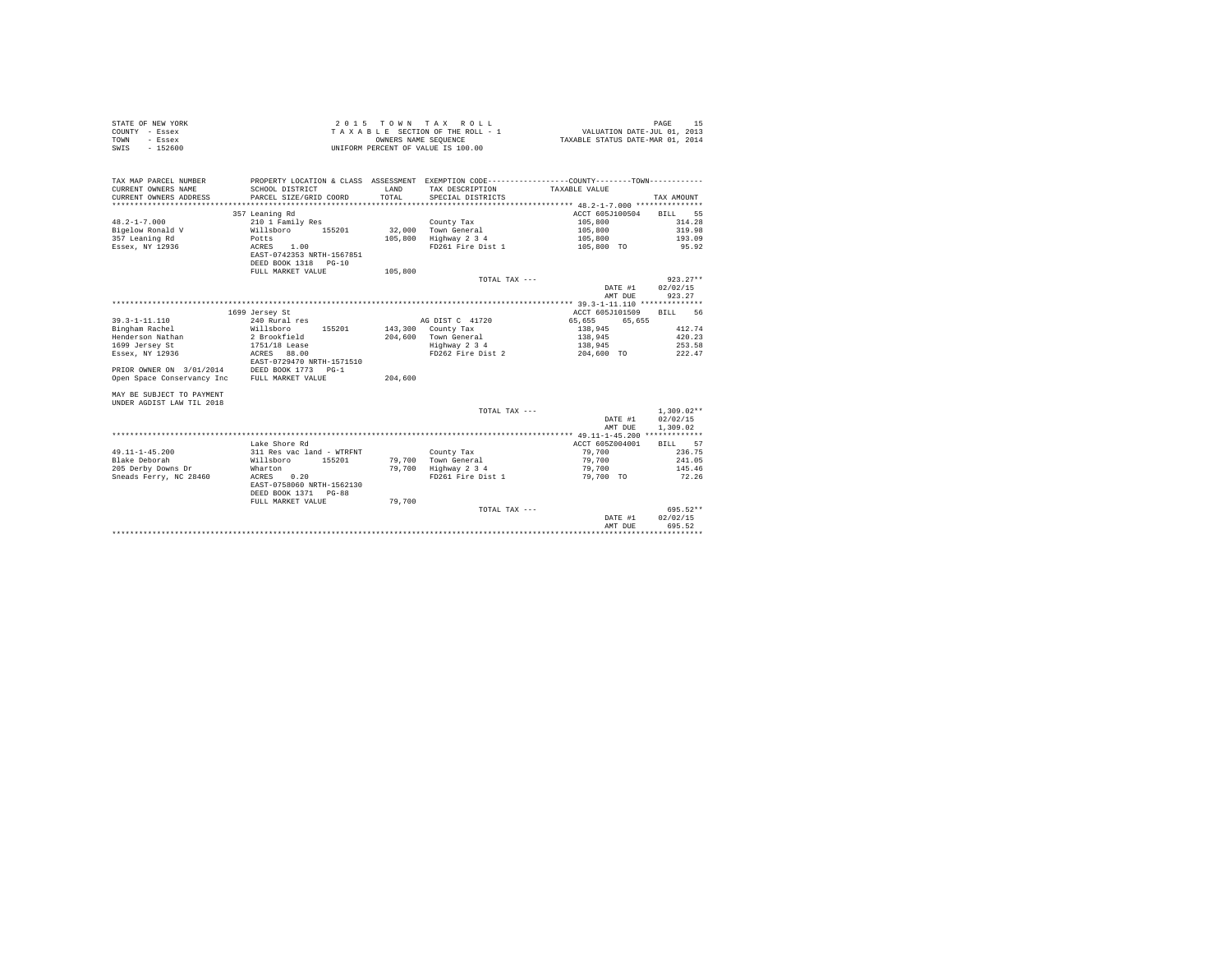| STATE OF NEW YORK<br>COUNTY - Essex<br>TOWN<br>- Essex<br>$-152600$<br>SWIS                                                                              |                                                                                                                                                                              | OWNERS NAME SEQUENCE | 2015 TOWN TAX ROLL<br>TAXABLE SECTION OF THE ROLL - 1<br>UNIFORM PERCENT OF VALUE IS 100.00         | VALUATION DATE-JUL 01, 2013<br>TAXABLE STATUS DATE-MAR 01, 2014                    | PAGE<br>-15                                               |
|----------------------------------------------------------------------------------------------------------------------------------------------------------|------------------------------------------------------------------------------------------------------------------------------------------------------------------------------|----------------------|-----------------------------------------------------------------------------------------------------|------------------------------------------------------------------------------------|-----------------------------------------------------------|
| TAX MAP PARCEL NUMBER<br>CURRENT OWNERS NAME<br>CURRENT OWNERS ADDRESS                                                                                   | PROPERTY LOCATION & CLASS ASSESSMENT EXEMPTION CODE---------------COUNTY-------TOWN---------<br>SCHOOL DISTRICT<br>PARCEL SIZE/GRID COORD                                    | LAND<br>TOTAL        | TAX DESCRIPTION TAXABLE VALUE<br>SPECIAL DISTRICTS                                                  |                                                                                    | TAX AMOUNT                                                |
| $48.2 - 1 - 7.000$<br>Bigelow Ronald V<br>357 Leaning Rd<br>Essex, NY 12936                                                                              | 357 Leaning Rd<br>210 1 Family Res<br>Willsboro<br>155201<br>Potts<br>ACRES 1.00<br>EAST-0742353 NRTH-1567851<br>DEED BOOK 1318 PG-10                                        | 32,000<br>105,800    | County Tax<br>Town General<br>Highway 2 3 4<br>FD261 Fire Dist 1                                    | ACCT 605J100504<br>105,800<br>105,800<br>105,800<br>105,800 TO                     | <b>BILL</b><br>55<br>314.28<br>319.98<br>193.09<br>95.92  |
|                                                                                                                                                          | FULL MARKET VALUE                                                                                                                                                            | 105,800              | TOTAL TAX ---                                                                                       | DATE #1<br>AMT DUE                                                                 | $923.27**$<br>02/02/15<br>923.27                          |
|                                                                                                                                                          |                                                                                                                                                                              |                      |                                                                                                     |                                                                                    |                                                           |
| $39.3 - 1 - 11.110$<br>Bingham Rachel<br>Henderson Nathan<br>1699 Jersey St<br>Essex, NY 12936<br>PRIOR OWNER ON 3/01/2014<br>Open Space Conservancy Inc | 1699 Jersey St<br>240 Rural res<br>Willsboro 155201<br>2 Brookfield<br>1751/18 Lease<br>ACRES 88.00<br>EAST-0729470 NRTH-1571510<br>DEED BOOK 1773 PG-1<br>FULL MARKET VALUE | 204,600              | AG DIST C 41720<br>143,300 County Tax<br>204,600 Town General<br>Highway 2 3 4<br>FD262 Fire Dist 2 | ACCT 605J101509<br>65,655<br>65.655<br>138,945<br>138,945<br>138,945<br>204,600 TO | <b>BILL</b><br>56<br>412.74<br>420.23<br>253.58<br>222.47 |
| MAY BE SUBJECT TO PAYMENT<br><b>INDER AGDIST LAW TIL 2018</b>                                                                                            |                                                                                                                                                                              |                      | TOTAL TAX ---                                                                                       | DATE #1<br>AMT DUE                                                                 | $1.309.02**$<br>02/02/15<br>1,309.02                      |
|                                                                                                                                                          |                                                                                                                                                                              |                      |                                                                                                     | *********** 49.11-1-45.200 *************                                           |                                                           |
| $49.11 - 1 - 45.200$<br>Blake Deborah<br>205 Derby Downs Dr<br>Sneads Ferry, NC 28460                                                                    | Lake Shore Rd<br>311 Res vac land - WTRFNT<br>Willsboro 155201<br>Wharton<br>ACRES<br>0.20<br>EAST-0758060 NRTH-1562130<br>DEED BOOK 1371 PG-88                              | 79,700<br>79,700     | County Tax<br>Town General<br>Highway 2 3 4<br>FD261 Fire Dist 1                                    | ACCT 605Z004001<br>79,700<br>79,700<br>79,700<br>79,700 TO                         | BILL 57<br>236.75<br>241.05<br>145.46<br>72.26            |
|                                                                                                                                                          | FULL MARKET VALUE                                                                                                                                                            | 79,700               | TOTAL TAX ---                                                                                       | DATE #1<br>AMT DUE                                                                 | 695.52**<br>02/02/15<br>695.52                            |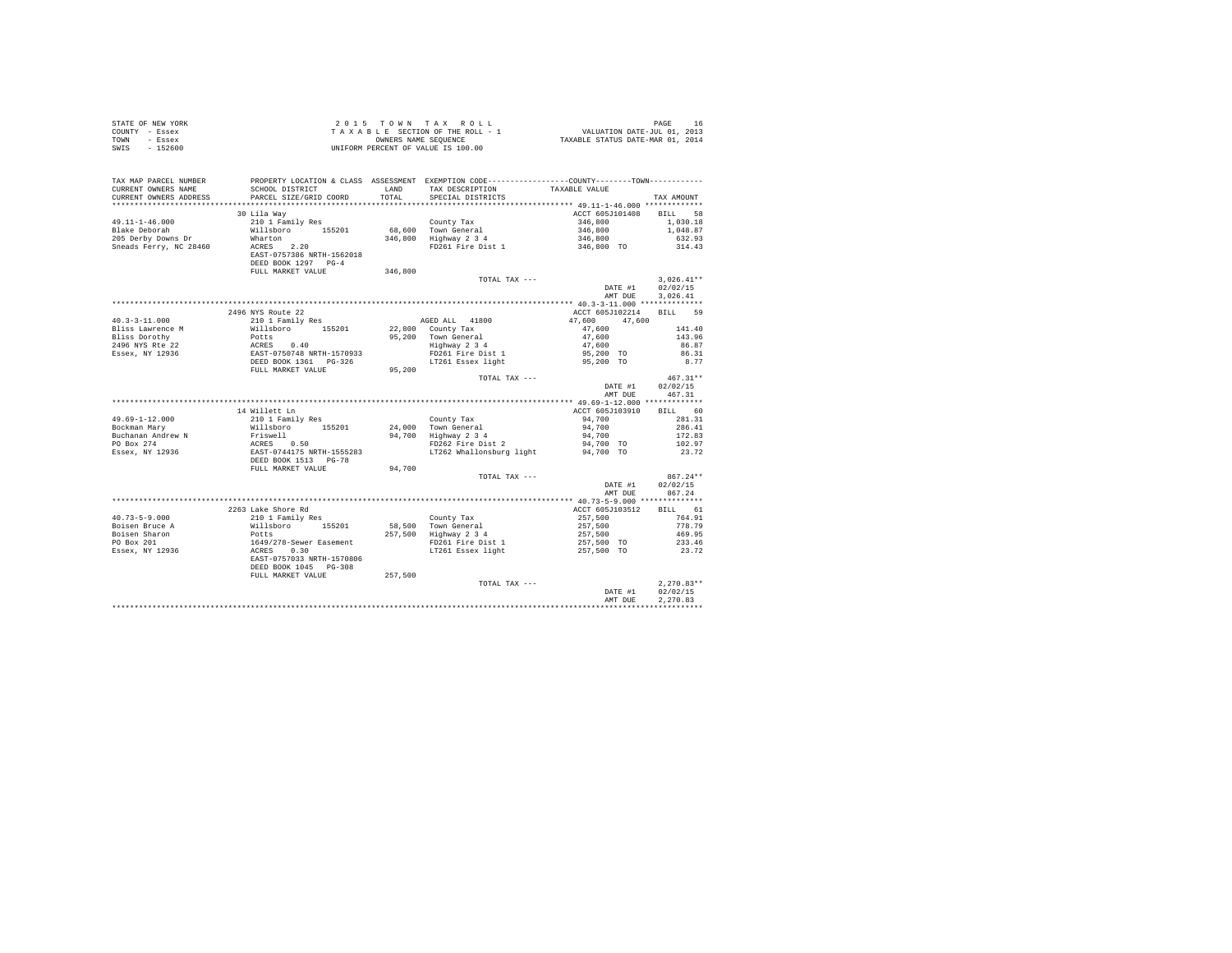| STATE OF NEW YORK                              |                                                                                                                                                                   |         |                                                                                                                                              |                                                        |              |
|------------------------------------------------|-------------------------------------------------------------------------------------------------------------------------------------------------------------------|---------|----------------------------------------------------------------------------------------------------------------------------------------------|--------------------------------------------------------|--------------|
| COUNTY - Essex                                 |                                                                                                                                                                   |         |                                                                                                                                              |                                                        |              |
| TOWN - Essex                                   |                                                                                                                                                                   |         |                                                                                                                                              |                                                        |              |
| SWTS - 152600                                  |                                                                                                                                                                   |         |                                                                                                                                              |                                                        |              |
|                                                |                                                                                                                                                                   |         |                                                                                                                                              |                                                        |              |
|                                                |                                                                                                                                                                   |         |                                                                                                                                              |                                                        |              |
|                                                |                                                                                                                                                                   |         |                                                                                                                                              |                                                        |              |
|                                                | TAX MAP PARCEL NUMBER PROPERTY LOCATION & CLASS ASSESSMENT EXEMPTION CODE--------------COUNTY--------TOWN----------                                               |         |                                                                                                                                              |                                                        |              |
| CURRENT OWNERS NAME                            | SCHOOL DISTRICT                                                                                                                                                   |         | LAND TAX DESCRIPTION                                                                                                                         | TAXABLE VALUE                                          |              |
| CURRENT OWNERS ADDRESS                         | PARCEL SIZE/GRID COORD                                                                                                                                            | TOTAL   | SPECIAL DISTRICTS                                                                                                                            |                                                        | TAX AMOUNT   |
|                                                |                                                                                                                                                                   |         |                                                                                                                                              |                                                        |              |
|                                                | 30 Lila Way                                                                                                                                                       |         |                                                                                                                                              | ACCT 605J101408 BILL 58                                |              |
| $49.11 - 1 - 46.000$                           | 210 1 Family Res                                                                                                                                                  |         |                                                                                                                                              | 346,800                                                | 1,030.18     |
| Blake Deborah                                  | Willsboro 155201                                                                                                                                                  |         |                                                                                                                                              |                                                        | 1,048.87     |
| 205 Derby Downs Dr                             | Wharton                                                                                                                                                           |         | County Tax<br>68,600 Town General<br>346,800 Highway 2 3 4<br>Town General 1946,800<br>Highway 2 3 4 346,800<br>FD261 Fire Dist 1 346,800 TO |                                                        | 632.93       |
| Sneads Ferry, NC 28460                         | ACRES 2.20                                                                                                                                                        |         |                                                                                                                                              |                                                        | 314.43       |
|                                                | EAST-0757386 NRTH-1562018                                                                                                                                         |         |                                                                                                                                              |                                                        |              |
|                                                | DEED BOOK 1297 PG-4                                                                                                                                               |         |                                                                                                                                              |                                                        |              |
|                                                | FULL MARKET VALUE                                                                                                                                                 | 346,800 |                                                                                                                                              |                                                        |              |
|                                                |                                                                                                                                                                   |         | TOTAL TAX ---                                                                                                                                |                                                        | $3,026.41**$ |
|                                                |                                                                                                                                                                   |         |                                                                                                                                              |                                                        |              |
|                                                |                                                                                                                                                                   |         |                                                                                                                                              | DATE #1                                                | 02/02/15     |
|                                                |                                                                                                                                                                   |         |                                                                                                                                              | AMT DUE                                                | 3.026.41     |
|                                                |                                                                                                                                                                   |         |                                                                                                                                              |                                                        |              |
|                                                | 2496 NYS Route 22                                                                                                                                                 |         |                                                                                                                                              | ACCT 605J102214 BILL 59                                |              |
| $40.3 - 3 - 11.000$                            | 210 1 Family Res                                                                                                                                                  |         | AGED ALL 41800                                                                                                                               | 47,600 47,600                                          |              |
| Bliss Lawrence M                               | Willsboro 155201                                                                                                                                                  |         | 22,800 County Tax                                                                                                                            | 47,600                                                 | 141.40       |
|                                                |                                                                                                                                                                   |         | 95,200 County Tax<br>95,200 Town General<br>Highway 2 3 4                                                                                    | $47,600$<br>$47,600$                                   | 143.96       |
|                                                |                                                                                                                                                                   |         |                                                                                                                                              |                                                        | 86.87        |
|                                                |                                                                                                                                                                   |         | FD261 Fire Dist 1                                                                                                                            | 95,200 TO                                              | 86.31        |
|                                                |                                                                                                                                                                   |         | LT261 Essex light                                                                                                                            | 95,200 TO                                              | 8.77         |
|                                                |                                                                                                                                                                   | 95,200  |                                                                                                                                              |                                                        |              |
|                                                |                                                                                                                                                                   |         | TOTAL TAX ---                                                                                                                                |                                                        | $467.31**$   |
|                                                |                                                                                                                                                                   |         |                                                                                                                                              | DATE #1                                                | 02/02/15     |
|                                                |                                                                                                                                                                   |         |                                                                                                                                              | AMT DUE                                                | 467.31       |
|                                                |                                                                                                                                                                   |         |                                                                                                                                              |                                                        |              |
|                                                |                                                                                                                                                                   |         |                                                                                                                                              |                                                        | BILL 60      |
|                                                | 14 Willett Ln                                                                                                                                                     |         |                                                                                                                                              | ACCT 605J103910                                        |              |
| 49.69-1-12.000                                 | 210 1 Family Res<br>Willsboro 155201                                                                                                                              |         |                                                                                                                                              | 94,700                                                 | 281.31       |
| Bockman Mary                                   |                                                                                                                                                                   |         |                                                                                                                                              | 94,700                                                 | 286.41       |
|                                                |                                                                                                                                                                   |         | County Tax<br>24,000 Town General<br>94,700 Highway 2 3 4<br>FD262 Fire Dist 2                                                               | 94,700                                                 | 172.83       |
|                                                |                                                                                                                                                                   |         |                                                                                                                                              | 94,700 TO                                              | 102.97       |
|                                                |                                                                                                                                                                   |         | FD262 Fire Disc 2<br>LT262 Whallonsburg light                                                                                                | 94,700 TO                                              | 23.72        |
|                                                | Exchange and Figure 1, 1992<br>Puchanan Andrew N<br>Po Box 274<br>Essex, NY 12936<br>ESST-0744175 NRTH-1555283<br>ESST-0744175 NRTH-1555283<br>ESST-0744175 PG-78 |         |                                                                                                                                              |                                                        |              |
|                                                | FULL MARKET VALUE                                                                                                                                                 | 94,700  |                                                                                                                                              |                                                        |              |
|                                                |                                                                                                                                                                   |         | TOTAL TAX ---                                                                                                                                |                                                        | $867.24**$   |
|                                                |                                                                                                                                                                   |         |                                                                                                                                              | DATE #1                                                | 02/02/15     |
|                                                |                                                                                                                                                                   |         |                                                                                                                                              | AMT DUE                                                | 867.24       |
|                                                |                                                                                                                                                                   |         |                                                                                                                                              |                                                        |              |
|                                                | 2263 Lake Shore Rd                                                                                                                                                |         |                                                                                                                                              | ACCT 605J103512                                        | BILL 61      |
| $40.73 - 5 - 9.000$                            |                                                                                                                                                                   |         | County Tax                                                                                                                                   | 257,500                                                | 764.91       |
|                                                |                                                                                                                                                                   |         |                                                                                                                                              |                                                        |              |
| Boisen Bruce A                                 |                                                                                                                                                                   |         |                                                                                                                                              |                                                        | 778.79       |
|                                                |                                                                                                                                                                   |         |                                                                                                                                              |                                                        | 469.95       |
| Boisen Sharon<br>PO Box 201<br>Essex, NY 12936 | % and Shore Rd<br>210 1 Family Res<br>Willshoro 155201<br>Potts<br>2016<br>2018 2028-Sewer Easement<br>2028 2030<br>2028 2030 2028<br>2028 2030 2028              |         | 58,500 Town General<br>257,500 Highway 2 3 4<br>FD261 Fire Dist 1<br>LT261 Essex light                                                       | $257,500$<br>$257,500$<br>$257,500$ TO<br>$257,500$ TO | 233.46       |
|                                                |                                                                                                                                                                   |         |                                                                                                                                              |                                                        | 23.72        |
|                                                |                                                                                                                                                                   |         |                                                                                                                                              |                                                        |              |
|                                                | DEED BOOK 1045 PG-308                                                                                                                                             |         |                                                                                                                                              |                                                        |              |
|                                                | FULL MARKET VALUE 257,500                                                                                                                                         |         |                                                                                                                                              |                                                        |              |
|                                                |                                                                                                                                                                   |         | TOTAL TAX ---                                                                                                                                |                                                        | $2.270.83**$ |
|                                                |                                                                                                                                                                   |         |                                                                                                                                              | DATE #1                                                | 02/02/15     |
|                                                |                                                                                                                                                                   |         |                                                                                                                                              | AMT DUE                                                | 2.270.83     |
|                                                |                                                                                                                                                                   |         |                                                                                                                                              |                                                        |              |
|                                                |                                                                                                                                                                   |         |                                                                                                                                              |                                                        |              |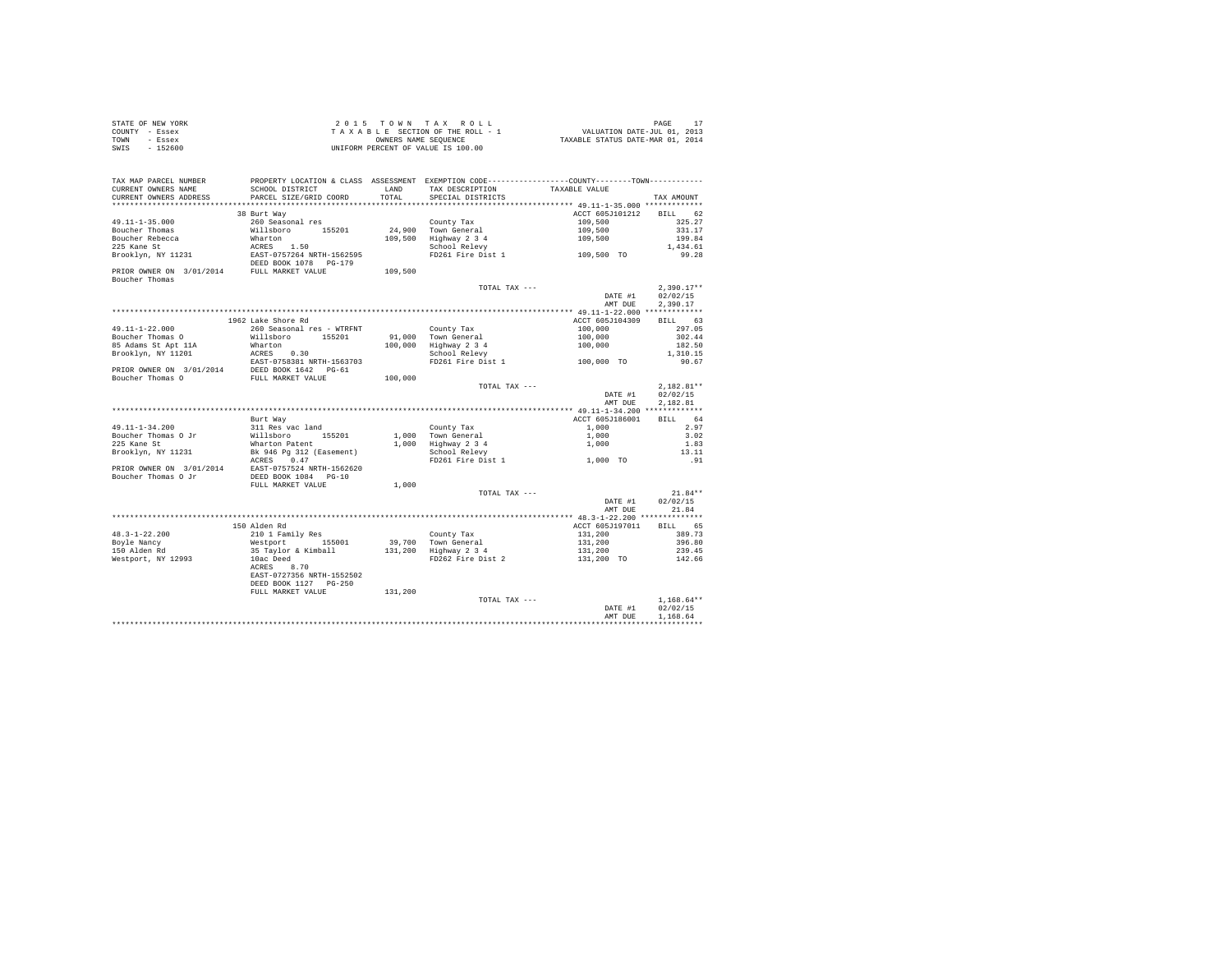| STATE OF NEW YORK | $2.0.15$ TOWN TAX ROLL             | PAGE                             |
|-------------------|------------------------------------|----------------------------------|
| COUNTY - Essex    | TAXABLE SECTION OF THE ROLL - 1    | VALUATION DATE-JUL 01, 2013      |
| TOWN<br>- Essex   | OWNERS NAME SEOUENCE               | TAXABLE STATUS DATE-MAR 01, 2014 |
| $-152600$<br>SWIS | UNIFORM PERCENT OF VALUE IS 100.00 |                                  |

| TAX MAP PARCEL NUMBER                                        | PROPERTY LOCATION & CLASS ASSESSMENT EXEMPTION CODE----------------COUNTY--------TOWN---------- |               |                       |                 |                   |
|--------------------------------------------------------------|-------------------------------------------------------------------------------------------------|---------------|-----------------------|-----------------|-------------------|
| CURRENT OWNERS NAME<br>CURRENT OWNERS ADDRESS                | SCHOOL DISTRICT<br>PARCEL SIZE/GRID COORD                                                       | LAND<br>TOTAL | TAX DESCRIPTION       | TAXABLE VALUE   |                   |
|                                                              |                                                                                                 |               | SPECIAL DISTRICTS     |                 | TAX AMOUNT        |
|                                                              | 38 Burt Way                                                                                     |               |                       | ACCT 605J101212 | <b>BILL</b>       |
|                                                              |                                                                                                 |               |                       |                 | 62                |
| 49.11-1-35.000                                               | 260 Seasonal res                                                                                |               | County Tax            | 109,500         | 325.27            |
| Boucher Thomas                                               | Willsboro 155201                                                                                |               | 24.900 Town General   | 109,500         | 331.17            |
| Boucher Rebecca<br>225 Kane St                               | Wharton                                                                                         |               | 109,500 Highway 2 3 4 | 109,500         | 199.84            |
|                                                              | ACRES 1.50                                                                                      |               | School Relevy         | 109,500 TO      | 1,434.61          |
| Brooklyn, NY 11231                                           | EAST-0757264 NRTH-1562595<br>DEED BOOK 1078 PG-179                                              |               | FD261 Fire Dist 1     |                 | 99.28             |
| PRIOR OWNER ON 3/01/2014 FULL MARKET VALUE<br>Boucher Thomas |                                                                                                 | 109,500       |                       |                 |                   |
|                                                              |                                                                                                 |               | TOTAL TAX ---         |                 | $2.390.17**$      |
|                                                              |                                                                                                 |               |                       | DATE #1         | 02/02/15          |
|                                                              |                                                                                                 |               |                       | AMT DUE         | 2,390.17          |
|                                                              |                                                                                                 |               |                       |                 |                   |
|                                                              | 1962 Lake Shore Rd                                                                              |               |                       | ACCT 605J104309 | BILL 63           |
| 49.11-1-22.000                                               | 260 Seasonal res - WTRFNT                                                                       |               | County Tax            | 100,000         | 297.05            |
| Boucher Thomas O                                             | Willsboro<br>155201                                                                             |               | 91,000 Town General   | 100,000         | 302.44            |
| 85 Adams St Apt 11A                                          | Wharton                                                                                         |               | 100,000 Highway 2 3 4 | 100,000         | 182.50            |
| Brooklyn, NY 11201                                           | ACRES 0.30                                                                                      |               | School Relevy         |                 | 1,310.15          |
|                                                              | EAST-0758381 NRTH-1563703                                                                       |               | FD261 Fire Dist 1     | 100,000 TO      | 90.67             |
| PRIOR OWNER ON 3/01/2014 DEED BOOK 1642 PG-61                |                                                                                                 |               |                       |                 |                   |
| Boucher Thomas O                                             | FULL MARKET VALUE                                                                               | 100,000       |                       |                 |                   |
|                                                              |                                                                                                 |               | TOTAL TAX ---         |                 | $2.182.81**$      |
|                                                              |                                                                                                 |               |                       | DATE #1         | 02/02/15          |
|                                                              |                                                                                                 |               |                       | AMT DUE         | 2.182.81          |
|                                                              |                                                                                                 |               |                       |                 |                   |
|                                                              | Burt Way                                                                                        |               |                       | ACCT 605J186001 | <b>BILL</b><br>64 |
| 49.11-1-34.200                                               | 311 Res vac land                                                                                |               | County Tax            | 1,000           | 2.97              |
| Boucher Thomas O Jr                                          | Willsboro 155201                                                                                |               | 1,000 Town General    | 1,000           | 3.02              |
| 225 Kane St                                                  | Wharton Patent                                                                                  |               | 1,000 Highway 2 3 4   | 1,000           | 1.83              |
| Brooklyn, NY 11231                                           | Bk 946 Pg 312 (Easement)                                                                        |               | School Relevy         |                 | 13.11             |
|                                                              | ACRES 0.47                                                                                      |               | FD261 Fire Dist 1     | 1,000 TO        | .91               |
| PRIOR OWNER ON 3/01/2014 EAST-0757524 NRTH-1562620           |                                                                                                 |               |                       |                 |                   |
| Boucher Thomas O Jr                                          | DEED BOOK 1084 PG-10                                                                            |               |                       |                 |                   |
|                                                              | FULL MARKET VALUE                                                                               | 1,000         |                       |                 |                   |
|                                                              |                                                                                                 |               | TOTAL TAX ---         |                 | $21.84**$         |
|                                                              |                                                                                                 |               |                       | DATE #1         | 02/02/15          |
|                                                              |                                                                                                 |               |                       | AMT DUE         | 21.84             |
|                                                              |                                                                                                 |               |                       |                 |                   |
|                                                              | 150 Alden Rd                                                                                    |               |                       | ACCT 605J197011 | BILL 65           |
| $48.3 - 1 - 22.200$                                          | 210 1 Family Res                                                                                |               | County Tax            | 131,200         | 389.73            |
| Bovle Nancv                                                  | Westport 155001                                                                                 |               | 39,700 Town General   | 131,200         | 396.80            |
| 150 Alden Rd                                                 | 35 Taylor & Kimball                                                                             |               | 131,200 Highway 2 3 4 | 131,200         | 239.45            |
| Westport, NY 12993                                           | 10ac Deed                                                                                       |               | FD262 Fire Dist 2     | 131,200 TO      | 142.66            |
|                                                              | ACRES 8.70                                                                                      |               |                       |                 |                   |
|                                                              | EAST-0727356 NRTH-1552502                                                                       |               |                       |                 |                   |
|                                                              | DEED BOOK 1127 PG-250                                                                           |               |                       |                 |                   |
|                                                              | FULL MARKET VALUE                                                                               | 131,200       |                       |                 |                   |
|                                                              |                                                                                                 |               | TOTAL TAX ---         |                 | $1.168.64**$      |
|                                                              |                                                                                                 |               |                       | DATE #1         | 02/02/15          |
|                                                              |                                                                                                 |               |                       | AMT DUE         | 1,168.64          |
|                                                              |                                                                                                 |               |                       |                 |                   |
|                                                              |                                                                                                 |               |                       |                 |                   |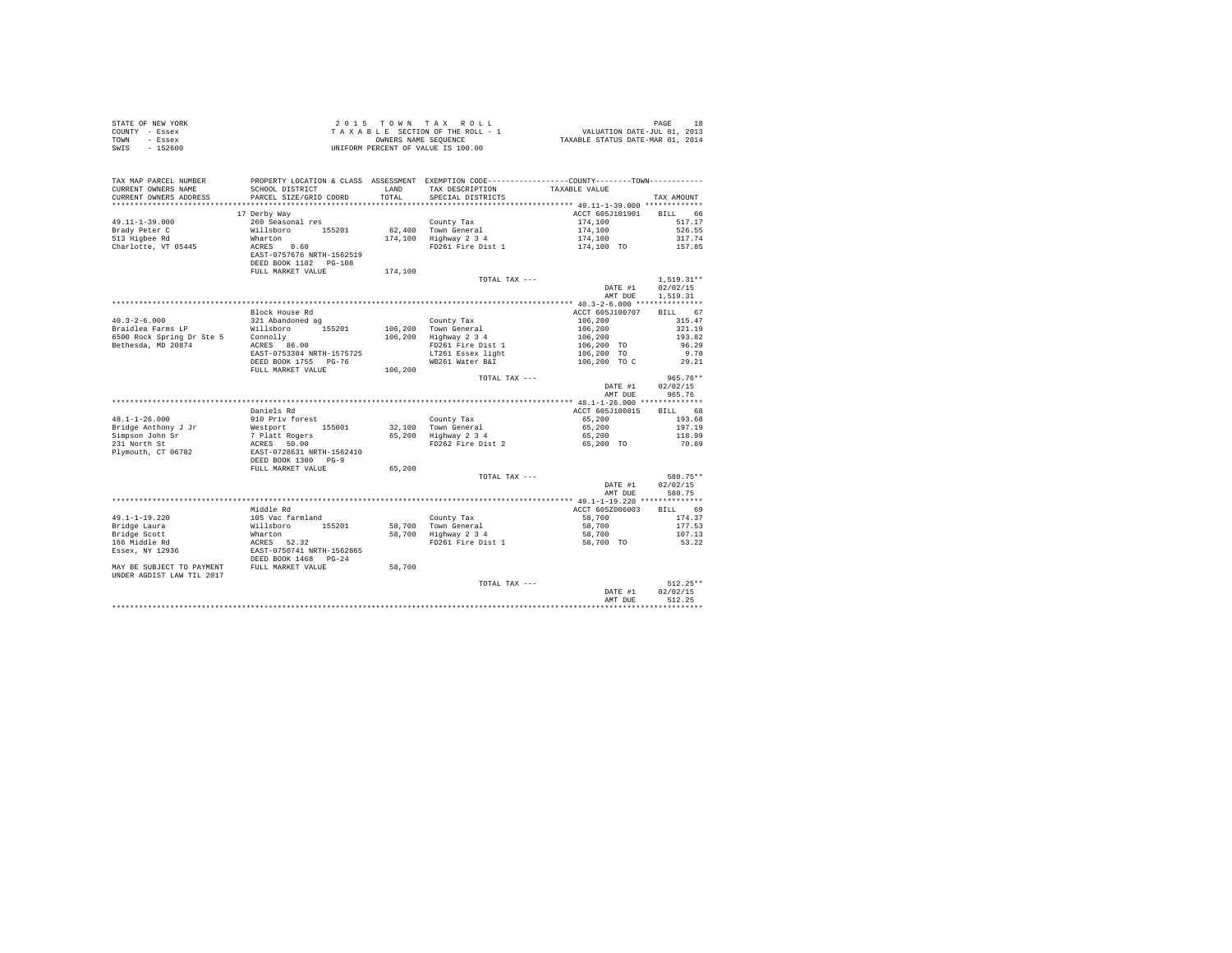| STATE OF NEW YORK         |                                                                                                 | 2015 TOWN | TAX ROLL                           |                                                               | PAGE<br>18   |
|---------------------------|-------------------------------------------------------------------------------------------------|-----------|------------------------------------|---------------------------------------------------------------|--------------|
| COUNTY - Essex            |                                                                                                 |           | TAXABLE SECTION OF THE ROLL - 1    | 18<br>701, VALUATION DATE-JUL<br>701, TAXABLE STATUS DATE-MAR |              |
| - Essex<br><b>TOWN</b>    |                                                                                                 |           | OWNERS NAME SEQUENCE               |                                                               |              |
| $-152600$<br>SWTS         |                                                                                                 |           | UNIFORM PERCENT OF VALUE IS 100.00 |                                                               |              |
|                           |                                                                                                 |           |                                    |                                                               |              |
|                           |                                                                                                 |           |                                    |                                                               |              |
|                           |                                                                                                 |           |                                    |                                                               |              |
| TAX MAP PARCEL NUMBER     | PROPERTY LOCATION & CLASS ASSESSMENT EXEMPTION CODE----------------COUNTY--------TOWN---------- |           |                                    |                                                               |              |
| CURRENT OWNERS NAME       | SCHOOL DISTRICT                                                                                 | LAND      | TAX DESCRIPTION                    | TAXABLE VALUE                                                 |              |
| CURRENT OWNERS ADDRESS    | PARCEL SIZE/GRID COORD                                                                          | TOTAL     | SPECIAL DISTRICTS                  |                                                               | TAX AMOUNT   |
|                           |                                                                                                 |           |                                    |                                                               |              |
|                           | 17 Derby Way                                                                                    |           |                                    | ACCT 605J101901                                               | BILL 66      |
| $49.11 - 1 - 39.000$      | 260 Seasonal res                                                                                |           | County Tax                         | 174,100                                                       | 517.17       |
|                           |                                                                                                 |           |                                    |                                                               |              |
| Brady Peter C             | Willsboro 155201                                                                                |           | 62,400 Town General                | 174,100                                                       | 526.55       |
| 513 Higbee Rd             | Wharton                                                                                         |           | 174,100 Highway 2 3 4              | 174,100                                                       | 317.74       |
| Charlotte, VT 05445       | ACRES 0.60                                                                                      |           | FD261 Fire Dist 1                  | 174,100 TO                                                    | 157.85       |
|                           | EAST-0757676 NRTH-1562519                                                                       |           |                                    |                                                               |              |
|                           | DEED BOOK 1182    PG-108                                                                        |           |                                    |                                                               |              |
|                           | FULL MARKET VALUE                                                                               | 174,100   |                                    |                                                               |              |
|                           |                                                                                                 |           | TOTAL TAX ---                      |                                                               | $1,519.31**$ |
|                           |                                                                                                 |           |                                    | DATE #1                                                       | 02/02/15     |
|                           |                                                                                                 |           |                                    | AMT DUE                                                       | 1,519.31     |
|                           |                                                                                                 |           |                                    |                                                               |              |
|                           | Block House Rd                                                                                  |           |                                    | ACCT 605J100707                                               | BILL 67      |
| $40.3 - 2 - 6.000$        | 321 Abandoned ag                                                                                |           | County Tax                         | 106,200                                                       | 315.47       |
|                           | 155201                                                                                          |           |                                    |                                                               | 321.19       |
| Braidlea Farms LP         | Willsboro                                                                                       |           | 106,200 Town General               | 106,200                                                       |              |
| 6500 Rock Spring Dr Ste 5 | Connolly                                                                                        | 106,200   | Highway 2 3 4                      | 106,200                                                       | 193.82       |
| Bethesda, MD 20874        | ACRES 86.00                                                                                     |           | FD261 Fire Dist 1                  | 106,200 TO                                                    | 96.29        |
|                           | EAST-0753384 NRTH-1575725                                                                       |           | LT261 Essex light                  | 106,200 TO                                                    | 9.78         |
|                           | DEED BOOK 1755 PG-76                                                                            |           | WB261 Water B&I                    | 106,200 TO C                                                  | 29.21        |
|                           | FULL MARKET VALUE                                                                               | 106,200   |                                    |                                                               |              |
|                           |                                                                                                 |           | TOTAL TAX ---                      |                                                               | $965.76**$   |
|                           |                                                                                                 |           |                                    | DATE #1                                                       | 02/02/15     |
|                           |                                                                                                 |           |                                    | AMT DUE                                                       | 965.76       |
|                           |                                                                                                 |           |                                    |                                                               |              |
|                           | Daniels Rd                                                                                      |           |                                    | ACCT 605J100815                                               | BILL 68      |
| $48.1 - 1 - 26.000$       | 910 Priv forest                                                                                 |           | County Tax                         | 65,200                                                        | 193.68       |
| Bridge Anthony J Jr       | Westport 155001                                                                                 |           | 32,100 Town General                | 65,200                                                        | 197.19       |
|                           |                                                                                                 |           | $65,200$ Highway $2\overline{3}4$  | 65,200                                                        | 118.99       |
| Simpson John Sr           | 7 Platt Rogers                                                                                  |           |                                    |                                                               |              |
| 231 North St              | ACRES 50.00<br>EAST-0728631 NRTH-1562410                                                        |           | FD262 Fire Dist 2                  | 65,200 TO                                                     | 70.89        |
| Plymouth, CT 06782        |                                                                                                 |           |                                    |                                                               |              |
|                           | DEED BOOK 1300 PG-9                                                                             |           |                                    |                                                               |              |
|                           | FULL MARKET VALUE                                                                               | 65,200    |                                    |                                                               |              |
|                           |                                                                                                 |           | TOTAL TAX ---                      |                                                               | 580.75**     |
|                           |                                                                                                 |           |                                    | DATE #1                                                       | 02/02/15     |
|                           |                                                                                                 |           |                                    | AMT DUE                                                       | 580.75       |
|                           |                                                                                                 |           |                                    |                                                               |              |
|                           | bg efbbiM                                                                                       |           |                                    | ACCT 605Z006003                                               | BILL 69      |
| 49.1-1-19.220             | 105 Vac farmland                                                                                |           | County Tax                         | 58,700                                                        | 174.37       |
| Bridge Laura              | Willsboro 155201                                                                                | 58,700    | Town General                       | 58,700                                                        | 177.53       |
| Bridge Scott              | Wharton                                                                                         |           | 58,700 Highway 2 3 4               | 58,700                                                        | 107.13       |
| 166 Middle Rd             | ACRES 52.32                                                                                     |           | FD261 Fire Dist 1                  | 58,700 TO                                                     | 53.22        |
|                           |                                                                                                 |           |                                    |                                                               |              |
| Essex, NY 12936           | EAST-0750741 NRTH-1562865                                                                       |           |                                    |                                                               |              |
|                           | DEED BOOK 1468 PG-24                                                                            |           |                                    |                                                               |              |
| MAY BE SUBJECT TO PAYMENT | FULL MARKET VALUE                                                                               | 58,700    |                                    |                                                               |              |
| UNDER AGDIST LAW TIL 2017 |                                                                                                 |           |                                    |                                                               |              |
|                           |                                                                                                 |           | TOTAL TAX ---                      |                                                               | $512.25**$   |
|                           |                                                                                                 |           |                                    | DATE #1                                                       | 02/02/15     |
|                           |                                                                                                 |           |                                    | AMT DUE                                                       | 512.25       |
|                           |                                                                                                 |           |                                    |                                                               |              |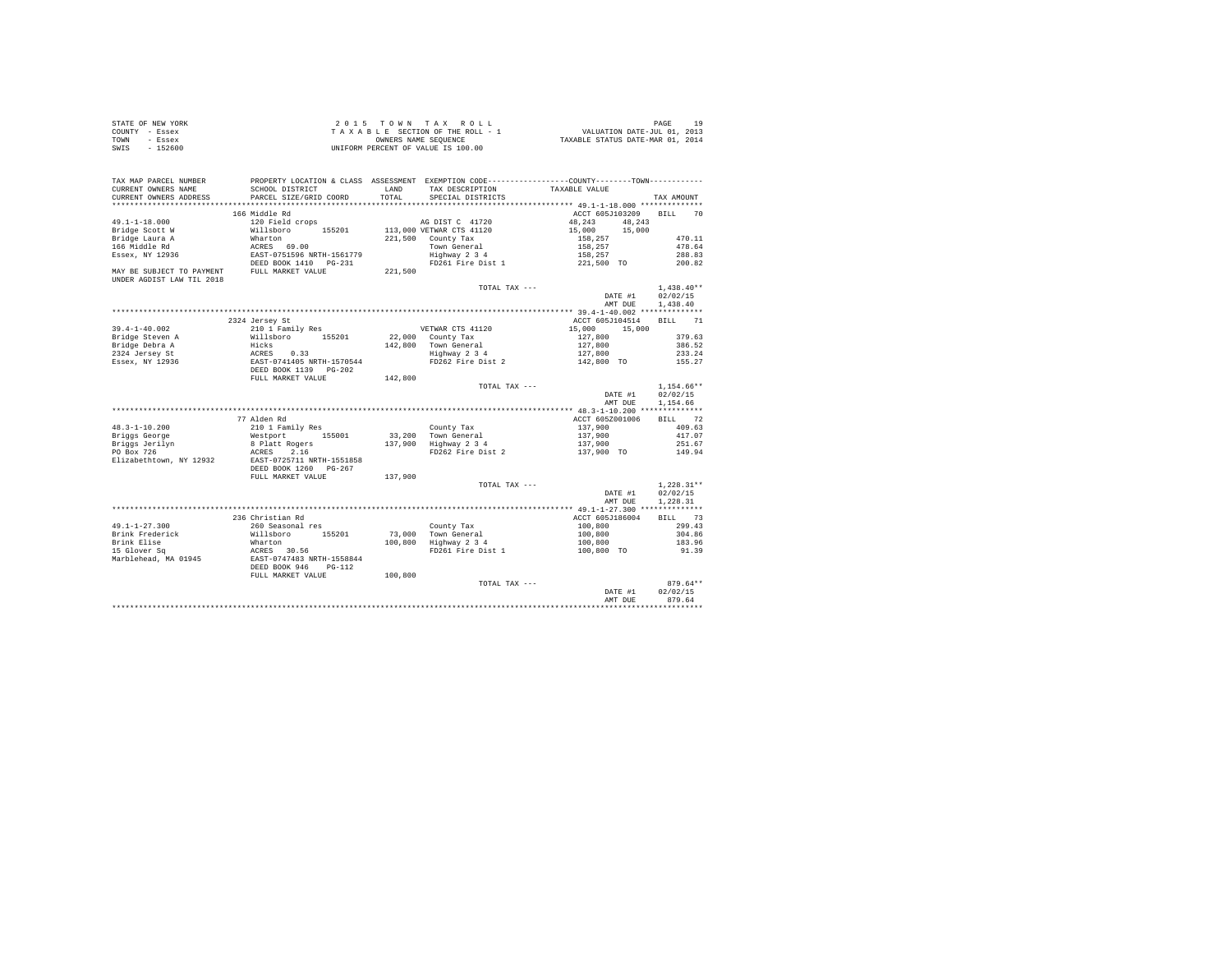| STATE OF NEW YORK | 2015 TOWN TAX ROLL                 | 10<br>PAGE                       |
|-------------------|------------------------------------|----------------------------------|
| COUNTY - Essex    | TAXABLE SECTION OF THE ROLL - 1    | VALUATION DATE-JUL 01, 2013      |
| TOWN<br>- Essex   | OWNERS NAME SEOUENCE               | TAXABLE STATUS DATE-MAR 01, 2014 |
| - 152600<br>SWIS  | UNIFORM PERCENT OF VALUE IS 100.00 |                                  |

| TAX MAP PARCEL NUMBER<br>CURRENT OWNERS NAME<br>CURRENT OWNERS ADDRESS | SCHOOL DISTRICT<br>PARCEL SIZE/GRID COORD                                 | LAND<br>TOTAL | TAX DESCRIPTION<br>SPECIAL DISTRICTS  | PROPERTY LOCATION & CLASS ASSESSMENT EXEMPTION CODE---------------COUNTY-------TOWN---------<br>TAXABLE VALUE | TAX AMOUNT   |
|------------------------------------------------------------------------|---------------------------------------------------------------------------|---------------|---------------------------------------|---------------------------------------------------------------------------------------------------------------|--------------|
|                                                                        |                                                                           |               |                                       |                                                                                                               |              |
|                                                                        | 166 Middle Rd                                                             |               |                                       | ACCT 605J103209 BILL 70                                                                                       |              |
| $49.1 - 1 - 18.000$                                                    | 120 Field crops                                                           |               | AG DIST C 41720                       | 48,243<br>48.243                                                                                              |              |
| Bridge Scott W                                                         | Willsboro 155201                                                          |               | 113,000 VETWAR CTS 41120              | 15,000<br>15,000                                                                                              |              |
| Bridge Laura A                                                         | Wharton                                                                   |               | 221,500 County Tax                    |                                                                                                               | 470.11       |
| 166 Middle Rd                                                          | ACRES 69.00                                                               |               | Town General                          | 158,257<br>158,257                                                                                            | 478.64       |
| Essex, NY 12936                                                        | EAST-0751596 NRTH-1561779                                                 |               | Highway 2 3 4                         | 158,257                                                                                                       | 288.83       |
|                                                                        |                                                                           |               |                                       | FD261 Fire Dist 1 221,500 TO                                                                                  |              |
| MAY BE SUBJECT TO PAYMENT FULL MARKET VALUE                            | DEED BOOK 1410 PG-231                                                     |               |                                       |                                                                                                               | 200.82       |
|                                                                        |                                                                           | 221,500       |                                       |                                                                                                               |              |
| UNDER AGDIST LAW TIL 2018                                              |                                                                           |               |                                       |                                                                                                               |              |
|                                                                        |                                                                           |               | TOTAL TAX ---                         |                                                                                                               | $1.438.40**$ |
|                                                                        |                                                                           |               |                                       | DATE #1                                                                                                       | 02/02/15     |
|                                                                        |                                                                           |               |                                       | AMT DUE                                                                                                       | 1,438.40     |
|                                                                        |                                                                           |               |                                       |                                                                                                               |              |
|                                                                        | 2324 Jersey St                                                            |               |                                       | ACCT 605J104514                                                                                               | BILL 71      |
| $39.4 - 1 - 40.002$                                                    | 210 1 Family Res                                                          |               | VETWAR CTS 41120                      | 15,000 15,000                                                                                                 |              |
|                                                                        | Willsboro 155201                                                          |               | 22,000 County Tax                     | 127,800                                                                                                       | 379.63       |
| Bridge Steven A                                                        |                                                                           |               |                                       |                                                                                                               |              |
| Bridge Debra A                                                         |                                                                           |               | 142,800 Town General<br>Highway 2 3 4 | 127,800<br>127,800                                                                                            | 386.52       |
| 2324 Jersey St                                                         |                                                                           |               |                                       |                                                                                                               | 233.24       |
| Essex, NY 12936                                                        | Hicks<br>ACRES 0.33<br>EAST-0741405 NRTH-1570544<br>DEED BOOK 1139 PG-202 |               | FD262 Fire Dist 2                     | 142,800 TO                                                                                                    | 155.27       |
|                                                                        |                                                                           |               |                                       |                                                                                                               |              |
|                                                                        | FULL MARKET VALUE                                                         | 142,800       |                                       |                                                                                                               |              |
|                                                                        |                                                                           |               | TOTAL TAX ---                         |                                                                                                               | $1.154.66**$ |
|                                                                        |                                                                           |               |                                       | DATE #1                                                                                                       | 02/02/15     |
|                                                                        |                                                                           |               |                                       | AMT DUE                                                                                                       | 1,154.66     |
|                                                                        |                                                                           |               |                                       |                                                                                                               |              |
|                                                                        | 77 Alden Rd                                                               |               |                                       | ACCT 605Z001006                                                                                               | BILL 72      |
|                                                                        |                                                                           |               |                                       |                                                                                                               |              |
| $48.3 - 1 - 10.200$                                                    | 210 1 Family Res                                                          |               | County Tax                            | 137,900                                                                                                       | 409.63       |
| Briggs George                                                          | Westport 155001                                                           |               | 33,200 Town General                   | 137,900                                                                                                       | 417.07       |
| Briggs Jerilyn                                                         | 8 Platt Rogers                                                            |               | 137,900 Highway 2 3 4                 | 137,900                                                                                                       | 251.67       |
| PO Box 726                                                             | 2.16<br>ACRES                                                             |               | FD262 Fire Dist 2                     | 137,900 TO                                                                                                    | 149.94       |
| Elizabethtown, NY 12932                                                | EAST-0725711 NRTH-1551858                                                 |               |                                       |                                                                                                               |              |
|                                                                        | DEED BOOK 1260 PG-267                                                     |               |                                       |                                                                                                               |              |
|                                                                        | FULL MARKET VALUE                                                         | 137,900       |                                       |                                                                                                               |              |
|                                                                        |                                                                           |               | TOTAL TAX ---                         |                                                                                                               | $1.228.31**$ |
|                                                                        |                                                                           |               |                                       | DATE #1                                                                                                       | 02/02/15     |
|                                                                        |                                                                           |               |                                       | AMT DUE                                                                                                       | 1,228.31     |
|                                                                        |                                                                           |               |                                       |                                                                                                               |              |
|                                                                        | 236 Christian Rd                                                          |               |                                       | ACCT 605J186004                                                                                               | BILL 73      |
|                                                                        |                                                                           |               |                                       |                                                                                                               |              |
| $49.1 - 1 - 27.300$                                                    | 260 Seasonal res                                                          |               | County Tax<br>73,000 Town General     | 100,800                                                                                                       | 299.43       |
| Brink Frederick                                                        | Willsboro 155201                                                          |               |                                       | 100,800                                                                                                       | 304.86       |
| Brink Elise                                                            | Wharton                                                                   |               | 100,800 Highway 2 3 4                 | 100,800                                                                                                       | 183.96       |
| 15 Glover Sq                                                           | ACRES 30.56<br>EAST-0747483 NRTH-1558844                                  |               | FD261 Fire Dist 1                     | 100,800 TO                                                                                                    | 91.39        |
| Marblehead, MA 01945                                                   |                                                                           |               |                                       |                                                                                                               |              |
|                                                                        | DEED BOOK 946<br>$PG-112$                                                 |               |                                       |                                                                                                               |              |
|                                                                        | FULL MARKET VALUE                                                         | 100,800       |                                       |                                                                                                               |              |
|                                                                        |                                                                           |               | TOTAL TAX ---                         |                                                                                                               | $879.64**$   |
|                                                                        |                                                                           |               |                                       | DATE #1                                                                                                       | 02/02/15     |
|                                                                        |                                                                           |               |                                       | AMT DUE                                                                                                       | 879.64       |
|                                                                        |                                                                           |               |                                       |                                                                                                               |              |
|                                                                        |                                                                           |               |                                       |                                                                                                               |              |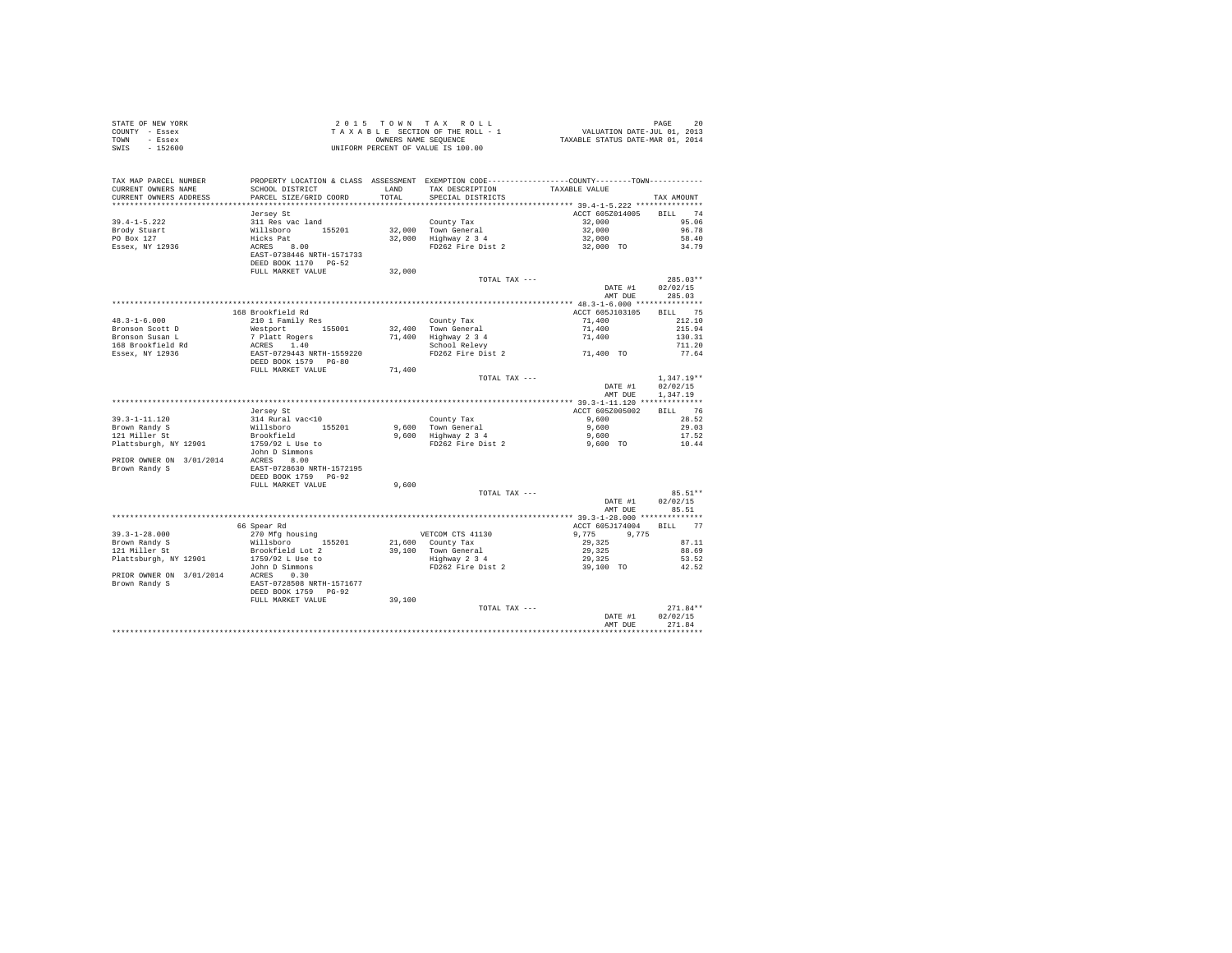| COUNTY - Essex<br>TOWN<br>- Essex<br>SWIS<br>$-152600$ |                                                                                                                                                                                                                            | OWNERS NAME SEQUENCE | TAXABLE SECTION OF THE ROLL - 1<br>UNIFORM PERCENT OF VALUE IS 100.00                                            | VALUATION DATE-JUL 01, 2013<br>TAXABLE STATUS DATE-MAR 01, 2014 |                   |
|--------------------------------------------------------|----------------------------------------------------------------------------------------------------------------------------------------------------------------------------------------------------------------------------|----------------------|------------------------------------------------------------------------------------------------------------------|-----------------------------------------------------------------|-------------------|
|                                                        |                                                                                                                                                                                                                            |                      |                                                                                                                  |                                                                 |                   |
| TAX MAP PARCEL NUMBER                                  |                                                                                                                                                                                                                            |                      | PROPERTY LOCATION & CLASS ASSESSMENT EXEMPTION CODE---------------COUNTY-------TOWN---------                     |                                                                 |                   |
| CURRENT OWNERS NAME                                    | SCHOOL DISTRICT                                                                                                                                                                                                            | LAND                 | TAX DESCRIPTION                                                                                                  | TAXABLE VALUE                                                   |                   |
| CURRENT OWNERS ADDRESS                                 | PARCEL SIZE/GRID COORD                                                                                                                                                                                                     | TOTAL                | SPECIAL DISTRICTS                                                                                                |                                                                 | TAX AMOUNT        |
|                                                        |                                                                                                                                                                                                                            |                      |                                                                                                                  |                                                                 |                   |
| $39.4 - 1 - 5.222$                                     | Jersey St                                                                                                                                                                                                                  |                      | County Tax                                                                                                       | ACCT 605Z014005 BILL 74<br>32,000                               | 95.06             |
| Brody Stuart                                           |                                                                                                                                                                                                                            |                      |                                                                                                                  | 32,000                                                          |                   |
|                                                        |                                                                                                                                                                                                                            |                      |                                                                                                                  |                                                                 |                   |
| Broay Stuart<br>PO Box 127<br>Essex, NY 12936          |                                                                                                                                                                                                                            |                      | 32,000 County 1-a 2010<br>32,000 Highway 2 34<br>32,000 Highway 2 34<br>PD262 Fire Dist 2 32,000 TO 34.79        |                                                                 |                   |
|                                                        | %1289 50<br>211 Res vac land<br>Willaboro<br>Hicks Pat<br>ACRES 6.00<br>EAST-0738446 NRTH-1571733<br>DEED BOOK 1170 PG-52                                                                                                  |                      |                                                                                                                  |                                                                 |                   |
|                                                        |                                                                                                                                                                                                                            |                      |                                                                                                                  |                                                                 |                   |
|                                                        | FULL MARKET VALUE                                                                                                                                                                                                          | 32,000               | TOTAL TAX ---                                                                                                    |                                                                 | $285.03**$        |
|                                                        |                                                                                                                                                                                                                            |                      |                                                                                                                  | DATE #1                                                         | 02/02/15          |
|                                                        |                                                                                                                                                                                                                            |                      |                                                                                                                  | AMT DUE                                                         | 285.03            |
|                                                        |                                                                                                                                                                                                                            |                      |                                                                                                                  |                                                                 |                   |
|                                                        | 168 Brookfield Rd                                                                                                                                                                                                          |                      |                                                                                                                  | ACCT 605J103105                                                 | BILL 75           |
| $48.3 - 1 - 6.000$                                     | 210 1 Family Res                                                                                                                                                                                                           |                      | County Tax<br>32,400 Town General<br>71,400 Highway 2 3 4<br>School Relevy                                       | 71,400                                                          | 212.10            |
| Bronson Scott D                                        | Westport 155001                                                                                                                                                                                                            |                      |                                                                                                                  | 71,400                                                          | 215.94            |
|                                                        |                                                                                                                                                                                                                            |                      |                                                                                                                  | 71,400                                                          | 130.31            |
|                                                        |                                                                                                                                                                                                                            |                      |                                                                                                                  |                                                                 | 711.20            |
|                                                        |                                                                                                                                                                                                                            |                      | FD262 Fire Dist 2 $71,400$ TO                                                                                    |                                                                 | 77.64             |
|                                                        |                                                                                                                                                                                                                            | 71,400               |                                                                                                                  |                                                                 |                   |
|                                                        |                                                                                                                                                                                                                            |                      | TOTAL TAX ---                                                                                                    |                                                                 | $1,347.19**$      |
|                                                        |                                                                                                                                                                                                                            |                      |                                                                                                                  | DATE #1                                                         | 02/02/15          |
|                                                        |                                                                                                                                                                                                                            |                      |                                                                                                                  | AMT DUE                                                         | 1,347.19          |
|                                                        |                                                                                                                                                                                                                            |                      |                                                                                                                  |                                                                 |                   |
|                                                        | Jersey St                                                                                                                                                                                                                  |                      |                                                                                                                  | ACCT 605Z005002<br>9,600                                        | BILL 76           |
| $39.3 - 1 - 11.120$                                    |                                                                                                                                                                                                                            |                      | County Tax                                                                                                       |                                                                 | 28.52<br>29.03    |
| Brown Randy S<br>121 Miller St                         |                                                                                                                                                                                                                            |                      |                                                                                                                  |                                                                 | 17.52             |
| Plattsburgh, NY 12901                                  | 314 Rural vac<10<br>Willsboro 155201<br>Brookfield<br>1759/92 L Use to                                                                                                                                                     |                      | 9,600 County Tax 9,000<br>9,600 Town General 9,600 9,600<br>9,600 Highway 2 3 4 9,600 PD262 Fire Dist 2 9,600 TO |                                                                 | 10.44             |
|                                                        | John D Simmons                                                                                                                                                                                                             |                      |                                                                                                                  |                                                                 |                   |
|                                                        | PRIOR OWNER ON 3/01/2014 ACRES 8.00<br>Brown Randy S BAST-0728630 NRTH-1572195                                                                                                                                             |                      |                                                                                                                  |                                                                 |                   |
|                                                        |                                                                                                                                                                                                                            |                      |                                                                                                                  |                                                                 |                   |
|                                                        | DEED BOOK 1759 PG-92                                                                                                                                                                                                       |                      |                                                                                                                  |                                                                 |                   |
|                                                        | FULL MARKET VALUE                                                                                                                                                                                                          | 9,600                |                                                                                                                  |                                                                 |                   |
|                                                        |                                                                                                                                                                                                                            |                      | TOTAL TAX ---                                                                                                    |                                                                 | 85.51**           |
|                                                        |                                                                                                                                                                                                                            |                      |                                                                                                                  | DATE #1<br>AMT DUE                                              | 02/02/15<br>85.51 |
|                                                        |                                                                                                                                                                                                                            |                      |                                                                                                                  |                                                                 |                   |
|                                                        | 66 Spear Rd                                                                                                                                                                                                                |                      |                                                                                                                  | ACCT 605J174004 BILL 77                                         |                   |
| $39.3 - 1 - 28.000$                                    | 270 Mfg housing                                                                                                                                                                                                            |                      | VETCOM CTS 41130                                                                                                 |                                                                 |                   |
| Brown Randy S                                          | Willsboro 155201                                                                                                                                                                                                           |                      | 21,600 County Tax                                                                                                | $9,775$ $9,775$<br>29,325                                       | 87.11             |
| Brown Randy S<br>121 Miller St                         | Brookfield Lot 2                                                                                                                                                                                                           |                      |                                                                                                                  |                                                                 | 88.69             |
| Plattsburgh, NY 12901                                  | 1759/92 L Use to                                                                                                                                                                                                           |                      | 39,100 Town General 29,325<br>Highway 234 29,325<br>FD262 Fire Dist 2 29,325 29,100 TO                           |                                                                 | 53.52             |
|                                                        | John D Simmons                                                                                                                                                                                                             |                      |                                                                                                                  |                                                                 | 42.52             |
|                                                        | $\begin{tabular}{lcccccc} \texttt{PRIOR} & \texttt{ONNER} & \texttt{ON} & 3/01/2014 & \texttt{ACRES} & 0.30 \\ \texttt{Brown} & \texttt{Randy} & \texttt{S} & \texttt{EAST-0728508} & \texttt{NRTH-1571677} \end{tabular}$ |                      |                                                                                                                  |                                                                 |                   |
|                                                        | DEED BOOK 1759 PG-92                                                                                                                                                                                                       |                      |                                                                                                                  |                                                                 |                   |
|                                                        | FULL MARKET VALUE                                                                                                                                                                                                          | 39,100               |                                                                                                                  |                                                                 |                   |
|                                                        |                                                                                                                                                                                                                            |                      | TOTAL TAX ---                                                                                                    |                                                                 | $271.84**$        |
|                                                        |                                                                                                                                                                                                                            |                      |                                                                                                                  | DATE #1                                                         | 02/02/15          |
|                                                        |                                                                                                                                                                                                                            |                      |                                                                                                                  | AMT DUE                                                         | 271.84            |
|                                                        |                                                                                                                                                                                                                            |                      |                                                                                                                  |                                                                 |                   |

STATE OF NEW YORK 20 20 15 TOWN TAX ROLL STATE OF NEW YORK 20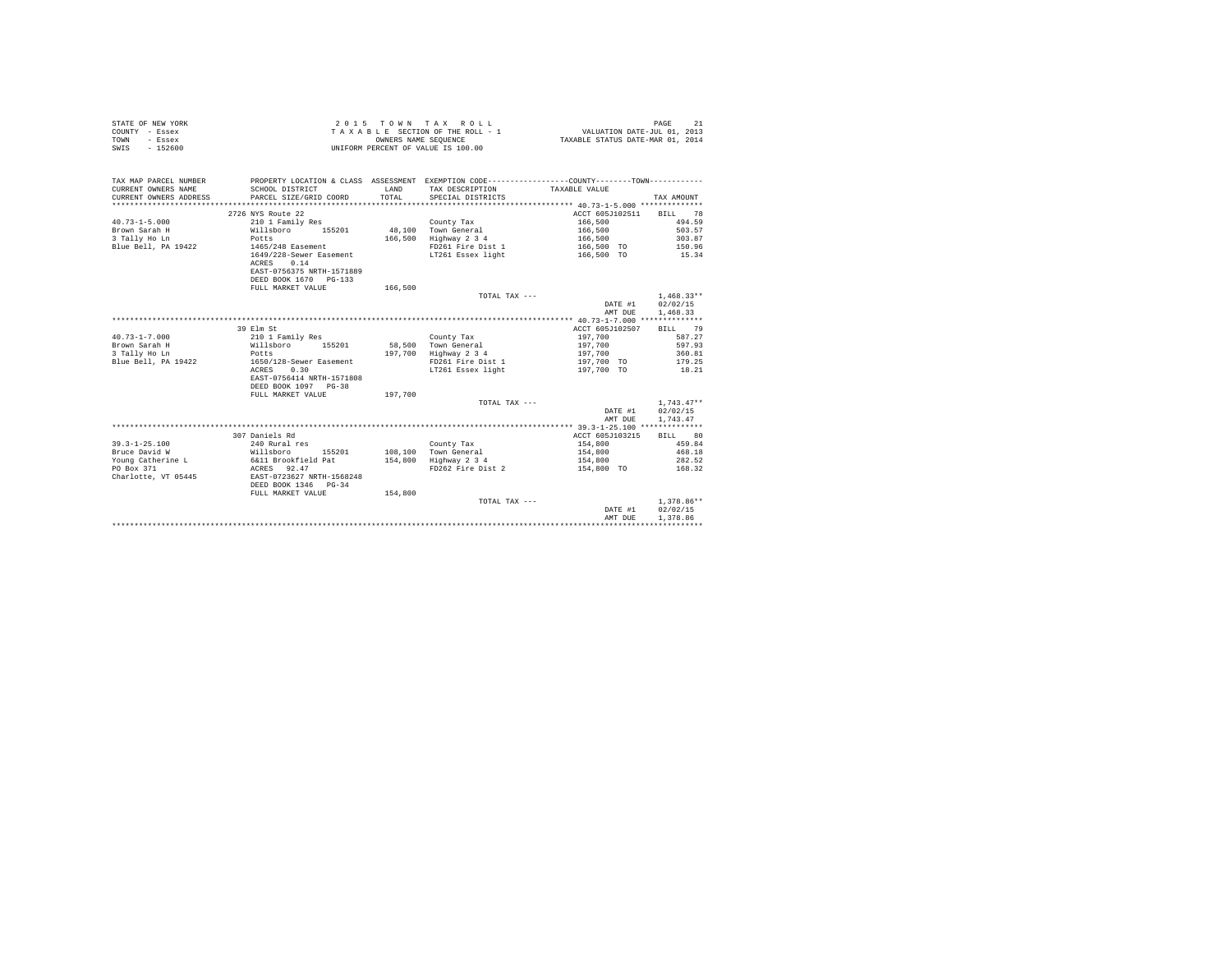| STATE OF NEW YORK | 2015 TOWN TAX ROLL                 | PAGE                             |
|-------------------|------------------------------------|----------------------------------|
| COUNTY - Essex    | TAXABLE SECTION OF THE ROLL - 1    | VALUATION DATE-JUL 01, 2013      |
| TOWN<br>- Essex   | OWNERS NAME SEOUENCE               | TAXABLE STATUS DATE-MAR 01, 2014 |
| SWIS<br>$-152600$ | UNIFORM PERCENT OF VALUE IS 100.00 |                                  |

| TAX MAP PARCEL NUMBER<br>CURRENT OWNERS NAME<br>CURRENT OWNERS ADDRESS PARCEL SIZE/GRID COORD                                                                                                                         | SCHOOL DISTRICT                                                    | <b>T.AND</b><br>TOTAL | PROPERTY LOCATION & CLASS ASSESSMENT EXEMPTION CODE---------------COUNTY-------TOWN----------<br>TAX DESCRIPTION<br>SPECIAL DISTRICTS | TAXABLE VALUE           | TAX AMOUNT   |
|-----------------------------------------------------------------------------------------------------------------------------------------------------------------------------------------------------------------------|--------------------------------------------------------------------|-----------------------|---------------------------------------------------------------------------------------------------------------------------------------|-------------------------|--------------|
|                                                                                                                                                                                                                       |                                                                    |                       |                                                                                                                                       |                         |              |
|                                                                                                                                                                                                                       | 2726 NYS Route 22                                                  |                       |                                                                                                                                       | ACCT 605J102511 BILL 78 |              |
| $40.73 - 1 - 5.000$                                                                                                                                                                                                   | 210 1 Family Res                                                   |                       | County Tax                                                                                                                            | 166,500                 | 494.59       |
| Brown Sarah H                                                                                                                                                                                                         | Willsboro 155201 48,100 Town General                               |                       |                                                                                                                                       | 166.500 503.57          |              |
| 3 Tally Ho Ln                                                                                                                                                                                                         | Potts                                                              |                       | 166,500 Highway 2 3 4                                                                                                                 | 166,500                 | 303.87       |
| Blue Bell, PA 19422                                                                                                                                                                                                   | 1465/248 Easement                                                  |                       | FD261 Fire Dist 1                                                                                                                     | 166,500 TO              | 150.96       |
|                                                                                                                                                                                                                       | 1649/228-Sewer Easement<br>ACRES 0.14<br>EAST-0756375 NRTH-1571889 |                       | LT261 Essex light                                                                                                                     | 166,500 TO              | 15.34        |
|                                                                                                                                                                                                                       | DEED BOOK 1670 PG-133                                              |                       |                                                                                                                                       |                         |              |
|                                                                                                                                                                                                                       | FULL MARKET VALUE                                                  | 166,500               |                                                                                                                                       |                         |              |
|                                                                                                                                                                                                                       |                                                                    |                       | TOTAL TAX ---                                                                                                                         |                         | $1,468.33**$ |
|                                                                                                                                                                                                                       |                                                                    |                       |                                                                                                                                       | DATE #1 02/02/15        |              |
|                                                                                                                                                                                                                       |                                                                    |                       |                                                                                                                                       | AMT DUE                 | 1,468.33     |
|                                                                                                                                                                                                                       |                                                                    |                       |                                                                                                                                       |                         |              |
|                                                                                                                                                                                                                       | 39 Elm St                                                          |                       |                                                                                                                                       | ACCT 605J102507 BILL 79 |              |
| $40.73 - 1 - 7.000$                                                                                                                                                                                                   |                                                                    |                       |                                                                                                                                       | 197,700                 | 587.27       |
| Brown Sarah H                                                                                                                                                                                                         | 210 1 Family Res                                                   |                       | County Tax<br>58.500 Town General                                                                                                     | 197.700                 | 597.93       |
|                                                                                                                                                                                                                       | Willsboro 155201<br>Potts                                          |                       |                                                                                                                                       | 197,700                 | 360.81       |
| 3 Tally Ho Ln                                                                                                                                                                                                         |                                                                    |                       | 197,700 Highway 2 3 4<br>FD261 Fire Dist 1                                                                                            |                         |              |
| Blue Bell, PA 19422 1650/128-Sewer Easement                                                                                                                                                                           |                                                                    |                       |                                                                                                                                       | 197,700 TO 179.25       |              |
|                                                                                                                                                                                                                       | 0.30<br>ACRES                                                      |                       | LT261 Essex light                                                                                                                     | 197,700 TO              | 18.21        |
|                                                                                                                                                                                                                       | EAST-0756414 NRTH-1571808                                          |                       |                                                                                                                                       |                         |              |
|                                                                                                                                                                                                                       | DEED BOOK 1097 PG-38                                               |                       |                                                                                                                                       |                         |              |
|                                                                                                                                                                                                                       | FULL MARKET VALUE                                                  | 197.700               |                                                                                                                                       |                         |              |
|                                                                                                                                                                                                                       |                                                                    |                       | TOTAL TAX ---                                                                                                                         |                         | $1.743.47**$ |
|                                                                                                                                                                                                                       |                                                                    |                       |                                                                                                                                       | DATE #1                 | 02/02/15     |
|                                                                                                                                                                                                                       |                                                                    |                       |                                                                                                                                       | AMT DUE                 | 1.743.47     |
|                                                                                                                                                                                                                       |                                                                    |                       |                                                                                                                                       |                         |              |
|                                                                                                                                                                                                                       | 307 Daniels Rd                                                     |                       |                                                                                                                                       | ACCT 605J103215         | BILL 80      |
| $39.3 - 1 - 25.100$                                                                                                                                                                                                   | 240 Rural res                                                      |                       | County Tax                                                                                                                            | 154,800                 | 459.84       |
| Willsboro<br>Bruce David W                                                                                                                                                                                            |                                                                    |                       | 155201 108.100 Town General                                                                                                           | 154.800 468.18          |              |
| $\begin{array}{lllllllllll} \text{Young Catherine L} & \text{6\&11 Brootfield Pat} & \text{154,800} & \text{Highway 2 3 4} \\ \text{PO Box 371} & \text{ACRES} & \text{92.47} & \text{FD262 Fire Dist 2} \end{array}$ |                                                                    |                       |                                                                                                                                       | 154,800                 | 282.52       |
|                                                                                                                                                                                                                       |                                                                    |                       |                                                                                                                                       | 154,800 TO              | 168.32       |
| Charlotte, VT 05445                                                                                                                                                                                                   | EAST-0723627 NRTH-1568248                                          |                       |                                                                                                                                       |                         |              |
|                                                                                                                                                                                                                       | DEED BOOK 1346 PG-34                                               |                       |                                                                                                                                       |                         |              |
|                                                                                                                                                                                                                       | FULL MARKET VALUE                                                  | 154,800               |                                                                                                                                       |                         |              |
|                                                                                                                                                                                                                       |                                                                    |                       | TOTAL TAX ---                                                                                                                         |                         | $1.378.86**$ |
|                                                                                                                                                                                                                       |                                                                    |                       |                                                                                                                                       | DATE #1                 | 02/02/15     |
|                                                                                                                                                                                                                       |                                                                    |                       |                                                                                                                                       | AMT DUE                 | 1,378.86     |
|                                                                                                                                                                                                                       |                                                                    |                       |                                                                                                                                       |                         |              |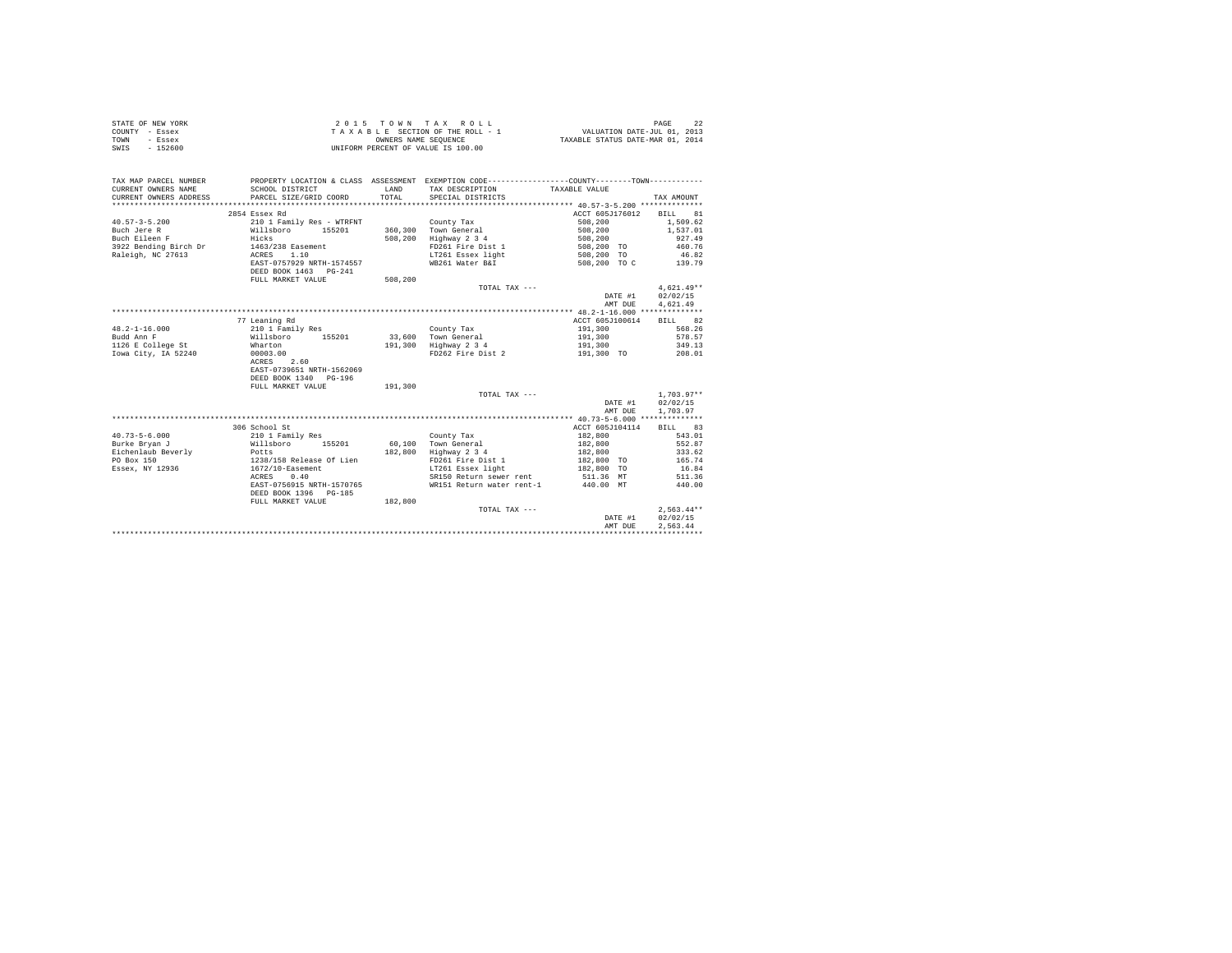| STATE OF NEW YORK | $2.0.15$ TOWN TAX ROLL             | PAGE                             |
|-------------------|------------------------------------|----------------------------------|
| COUNTY - Essex    | TAXABLE SECTION OF THE ROLL - 1    | VALUATION DATE-JUL 01, 2013      |
| TOWN<br>- Essex   | OWNERS NAME SEOUENCE               | TAXABLE STATUS DATE-MAR 01, 2014 |
| $-152600$<br>SWIS | UNIFORM PERCENT OF VALUE IS 100.00 |                                  |

| ACCT 605J176012<br>2854 Essex Rd<br>BILL<br>81<br>$40.57 - 3 - 5.200$<br>210 1 Family Res - WTRFNT<br>508,200<br>1,509.62<br>County Tax<br>155201<br>360.300 Town General<br>508,200<br>Buch Jere R<br>Willsboro<br>1,537.01<br>Buch Eileen F<br>Hicks<br>508,200<br>Highway 2 3 4<br>927.49<br>508,200<br>3922 Bending Birch Dr<br>1463/238 Easement<br>FD261 Fire Dist 1<br>460.76<br>508,200 TO<br>1.10<br>508,200 TO<br>Raleigh, NC 27613<br>ACRES<br>LT261 Essex light<br>46.82<br>EAST-0757929 NRTH-1574557<br>WB261 Water B&I<br>508,200 TO C<br>139.79<br>DEED BOOK 1463 PG-241<br>FULL MARKET VALUE<br>508,200<br>$4,621.49**$<br>TOTAL TAX $---$<br>02/02/15<br>DATE #1<br>4,621.49<br>AMT DUE<br>77 Leaning Rd<br>ACCT 605J100614<br>BILL 82<br>568.26<br>$48.2 - 1 - 16.000$<br>210 1 Family Res<br>191,300<br>County Tax<br>578.57<br>Budd Ann F<br>Willsboro<br>155201<br>33,600 Town General<br>191,300<br>Wharton<br>191,300<br>Highway 2 3 4<br>349.13<br>191,300<br>FD262 Fire Dist 2<br>208.01<br>00003.00<br>191,300 TO<br>ACRES 2.60<br>EAST-0739651 NRTH-1562069<br>DEED BOOK 1340 PG-196<br>191,300<br>FULL MARKET VALUE<br>$1.703.97**$<br>TOTAL TAX ---<br>02/02/15<br>DATE #1<br>1,703.97<br>AMT DUE<br>306 School St<br>ACCT 605J104114<br>BILL 83<br>$40.73 - 5 - 6.000$<br>543.01<br>210 1 Family Res<br>County Tax<br>182,800<br>60.100 Town General<br>552.87<br>Burke Brvan J<br>Willsboro<br>155201<br>182,800<br>Eichenlaub Beverly<br>182,800<br>Highway 2 3 4<br>333.62<br>182,800<br>Potts<br>1238/158 Release Of Lien<br>PO Box 150<br>FD261 Fire Dist 1<br>182,800 TO<br>165.74<br>1672/10-Easement<br>16.84<br>Essex, NY 12936<br>LT261 Essex light<br>182,800 TO<br>0.40<br>SR150 Return sewer rent<br>511.36 MT<br>511.36<br>ACRES<br>EAST-0756915 NRTH-1570765<br>WR151 Return water rent-1<br>440.00 MT<br>440.00<br>DEED BOOK 1396 PG-185<br>FULL MARKET VALUE<br>182,800<br>$2.563.44**$<br>TOTAL TAX ---<br>02/02/15<br>DATE #1<br>2.563.44<br>AMT DUE | TAX MAP PARCEL NUMBER<br>CURRENT OWNERS NAME<br>CURRENT OWNERS ADDRESS | SCHOOL DISTRICT<br>PARCEL SIZE/GRID COORD | <b>T.AND</b><br>TOTAL | PROPERTY LOCATION & CLASS ASSESSMENT EXEMPTION CODE----------------COUNTY-------TOWN----------<br>TAX DESCRIPTION TAXABLE VALUE<br>SPECIAL DISTRICTS | TAX AMOUNT |
|-------------------------------------------------------------------------------------------------------------------------------------------------------------------------------------------------------------------------------------------------------------------------------------------------------------------------------------------------------------------------------------------------------------------------------------------------------------------------------------------------------------------------------------------------------------------------------------------------------------------------------------------------------------------------------------------------------------------------------------------------------------------------------------------------------------------------------------------------------------------------------------------------------------------------------------------------------------------------------------------------------------------------------------------------------------------------------------------------------------------------------------------------------------------------------------------------------------------------------------------------------------------------------------------------------------------------------------------------------------------------------------------------------------------------------------------------------------------------------------------------------------------------------------------------------------------------------------------------------------------------------------------------------------------------------------------------------------------------------------------------------------------------------------------------------------------------------------------------------------------------------------------------------------------------------------------------------------------------------------------------------|------------------------------------------------------------------------|-------------------------------------------|-----------------------|------------------------------------------------------------------------------------------------------------------------------------------------------|------------|
|                                                                                                                                                                                                                                                                                                                                                                                                                                                                                                                                                                                                                                                                                                                                                                                                                                                                                                                                                                                                                                                                                                                                                                                                                                                                                                                                                                                                                                                                                                                                                                                                                                                                                                                                                                                                                                                                                                                                                                                                       |                                                                        |                                           |                       |                                                                                                                                                      |            |
|                                                                                                                                                                                                                                                                                                                                                                                                                                                                                                                                                                                                                                                                                                                                                                                                                                                                                                                                                                                                                                                                                                                                                                                                                                                                                                                                                                                                                                                                                                                                                                                                                                                                                                                                                                                                                                                                                                                                                                                                       |                                                                        |                                           |                       |                                                                                                                                                      |            |
|                                                                                                                                                                                                                                                                                                                                                                                                                                                                                                                                                                                                                                                                                                                                                                                                                                                                                                                                                                                                                                                                                                                                                                                                                                                                                                                                                                                                                                                                                                                                                                                                                                                                                                                                                                                                                                                                                                                                                                                                       |                                                                        |                                           |                       |                                                                                                                                                      |            |
|                                                                                                                                                                                                                                                                                                                                                                                                                                                                                                                                                                                                                                                                                                                                                                                                                                                                                                                                                                                                                                                                                                                                                                                                                                                                                                                                                                                                                                                                                                                                                                                                                                                                                                                                                                                                                                                                                                                                                                                                       |                                                                        |                                           |                       |                                                                                                                                                      |            |
|                                                                                                                                                                                                                                                                                                                                                                                                                                                                                                                                                                                                                                                                                                                                                                                                                                                                                                                                                                                                                                                                                                                                                                                                                                                                                                                                                                                                                                                                                                                                                                                                                                                                                                                                                                                                                                                                                                                                                                                                       |                                                                        |                                           |                       |                                                                                                                                                      |            |
|                                                                                                                                                                                                                                                                                                                                                                                                                                                                                                                                                                                                                                                                                                                                                                                                                                                                                                                                                                                                                                                                                                                                                                                                                                                                                                                                                                                                                                                                                                                                                                                                                                                                                                                                                                                                                                                                                                                                                                                                       |                                                                        |                                           |                       |                                                                                                                                                      |            |
|                                                                                                                                                                                                                                                                                                                                                                                                                                                                                                                                                                                                                                                                                                                                                                                                                                                                                                                                                                                                                                                                                                                                                                                                                                                                                                                                                                                                                                                                                                                                                                                                                                                                                                                                                                                                                                                                                                                                                                                                       |                                                                        |                                           |                       |                                                                                                                                                      |            |
|                                                                                                                                                                                                                                                                                                                                                                                                                                                                                                                                                                                                                                                                                                                                                                                                                                                                                                                                                                                                                                                                                                                                                                                                                                                                                                                                                                                                                                                                                                                                                                                                                                                                                                                                                                                                                                                                                                                                                                                                       |                                                                        |                                           |                       |                                                                                                                                                      |            |
|                                                                                                                                                                                                                                                                                                                                                                                                                                                                                                                                                                                                                                                                                                                                                                                                                                                                                                                                                                                                                                                                                                                                                                                                                                                                                                                                                                                                                                                                                                                                                                                                                                                                                                                                                                                                                                                                                                                                                                                                       |                                                                        |                                           |                       |                                                                                                                                                      |            |
|                                                                                                                                                                                                                                                                                                                                                                                                                                                                                                                                                                                                                                                                                                                                                                                                                                                                                                                                                                                                                                                                                                                                                                                                                                                                                                                                                                                                                                                                                                                                                                                                                                                                                                                                                                                                                                                                                                                                                                                                       |                                                                        |                                           |                       |                                                                                                                                                      |            |
|                                                                                                                                                                                                                                                                                                                                                                                                                                                                                                                                                                                                                                                                                                                                                                                                                                                                                                                                                                                                                                                                                                                                                                                                                                                                                                                                                                                                                                                                                                                                                                                                                                                                                                                                                                                                                                                                                                                                                                                                       |                                                                        |                                           |                       |                                                                                                                                                      |            |
|                                                                                                                                                                                                                                                                                                                                                                                                                                                                                                                                                                                                                                                                                                                                                                                                                                                                                                                                                                                                                                                                                                                                                                                                                                                                                                                                                                                                                                                                                                                                                                                                                                                                                                                                                                                                                                                                                                                                                                                                       |                                                                        |                                           |                       |                                                                                                                                                      |            |
|                                                                                                                                                                                                                                                                                                                                                                                                                                                                                                                                                                                                                                                                                                                                                                                                                                                                                                                                                                                                                                                                                                                                                                                                                                                                                                                                                                                                                                                                                                                                                                                                                                                                                                                                                                                                                                                                                                                                                                                                       |                                                                        |                                           |                       |                                                                                                                                                      |            |
|                                                                                                                                                                                                                                                                                                                                                                                                                                                                                                                                                                                                                                                                                                                                                                                                                                                                                                                                                                                                                                                                                                                                                                                                                                                                                                                                                                                                                                                                                                                                                                                                                                                                                                                                                                                                                                                                                                                                                                                                       |                                                                        |                                           |                       |                                                                                                                                                      |            |
|                                                                                                                                                                                                                                                                                                                                                                                                                                                                                                                                                                                                                                                                                                                                                                                                                                                                                                                                                                                                                                                                                                                                                                                                                                                                                                                                                                                                                                                                                                                                                                                                                                                                                                                                                                                                                                                                                                                                                                                                       |                                                                        |                                           |                       |                                                                                                                                                      |            |
|                                                                                                                                                                                                                                                                                                                                                                                                                                                                                                                                                                                                                                                                                                                                                                                                                                                                                                                                                                                                                                                                                                                                                                                                                                                                                                                                                                                                                                                                                                                                                                                                                                                                                                                                                                                                                                                                                                                                                                                                       |                                                                        |                                           |                       |                                                                                                                                                      |            |
|                                                                                                                                                                                                                                                                                                                                                                                                                                                                                                                                                                                                                                                                                                                                                                                                                                                                                                                                                                                                                                                                                                                                                                                                                                                                                                                                                                                                                                                                                                                                                                                                                                                                                                                                                                                                                                                                                                                                                                                                       |                                                                        |                                           |                       |                                                                                                                                                      |            |
|                                                                                                                                                                                                                                                                                                                                                                                                                                                                                                                                                                                                                                                                                                                                                                                                                                                                                                                                                                                                                                                                                                                                                                                                                                                                                                                                                                                                                                                                                                                                                                                                                                                                                                                                                                                                                                                                                                                                                                                                       | 1126 E College St                                                      |                                           |                       |                                                                                                                                                      |            |
|                                                                                                                                                                                                                                                                                                                                                                                                                                                                                                                                                                                                                                                                                                                                                                                                                                                                                                                                                                                                                                                                                                                                                                                                                                                                                                                                                                                                                                                                                                                                                                                                                                                                                                                                                                                                                                                                                                                                                                                                       | Iowa City, IA 52240                                                    |                                           |                       |                                                                                                                                                      |            |
|                                                                                                                                                                                                                                                                                                                                                                                                                                                                                                                                                                                                                                                                                                                                                                                                                                                                                                                                                                                                                                                                                                                                                                                                                                                                                                                                                                                                                                                                                                                                                                                                                                                                                                                                                                                                                                                                                                                                                                                                       |                                                                        |                                           |                       |                                                                                                                                                      |            |
|                                                                                                                                                                                                                                                                                                                                                                                                                                                                                                                                                                                                                                                                                                                                                                                                                                                                                                                                                                                                                                                                                                                                                                                                                                                                                                                                                                                                                                                                                                                                                                                                                                                                                                                                                                                                                                                                                                                                                                                                       |                                                                        |                                           |                       |                                                                                                                                                      |            |
|                                                                                                                                                                                                                                                                                                                                                                                                                                                                                                                                                                                                                                                                                                                                                                                                                                                                                                                                                                                                                                                                                                                                                                                                                                                                                                                                                                                                                                                                                                                                                                                                                                                                                                                                                                                                                                                                                                                                                                                                       |                                                                        |                                           |                       |                                                                                                                                                      |            |
|                                                                                                                                                                                                                                                                                                                                                                                                                                                                                                                                                                                                                                                                                                                                                                                                                                                                                                                                                                                                                                                                                                                                                                                                                                                                                                                                                                                                                                                                                                                                                                                                                                                                                                                                                                                                                                                                                                                                                                                                       |                                                                        |                                           |                       |                                                                                                                                                      |            |
|                                                                                                                                                                                                                                                                                                                                                                                                                                                                                                                                                                                                                                                                                                                                                                                                                                                                                                                                                                                                                                                                                                                                                                                                                                                                                                                                                                                                                                                                                                                                                                                                                                                                                                                                                                                                                                                                                                                                                                                                       |                                                                        |                                           |                       |                                                                                                                                                      |            |
|                                                                                                                                                                                                                                                                                                                                                                                                                                                                                                                                                                                                                                                                                                                                                                                                                                                                                                                                                                                                                                                                                                                                                                                                                                                                                                                                                                                                                                                                                                                                                                                                                                                                                                                                                                                                                                                                                                                                                                                                       |                                                                        |                                           |                       |                                                                                                                                                      |            |
|                                                                                                                                                                                                                                                                                                                                                                                                                                                                                                                                                                                                                                                                                                                                                                                                                                                                                                                                                                                                                                                                                                                                                                                                                                                                                                                                                                                                                                                                                                                                                                                                                                                                                                                                                                                                                                                                                                                                                                                                       |                                                                        |                                           |                       |                                                                                                                                                      |            |
|                                                                                                                                                                                                                                                                                                                                                                                                                                                                                                                                                                                                                                                                                                                                                                                                                                                                                                                                                                                                                                                                                                                                                                                                                                                                                                                                                                                                                                                                                                                                                                                                                                                                                                                                                                                                                                                                                                                                                                                                       |                                                                        |                                           |                       |                                                                                                                                                      |            |
|                                                                                                                                                                                                                                                                                                                                                                                                                                                                                                                                                                                                                                                                                                                                                                                                                                                                                                                                                                                                                                                                                                                                                                                                                                                                                                                                                                                                                                                                                                                                                                                                                                                                                                                                                                                                                                                                                                                                                                                                       |                                                                        |                                           |                       |                                                                                                                                                      |            |
|                                                                                                                                                                                                                                                                                                                                                                                                                                                                                                                                                                                                                                                                                                                                                                                                                                                                                                                                                                                                                                                                                                                                                                                                                                                                                                                                                                                                                                                                                                                                                                                                                                                                                                                                                                                                                                                                                                                                                                                                       |                                                                        |                                           |                       |                                                                                                                                                      |            |
|                                                                                                                                                                                                                                                                                                                                                                                                                                                                                                                                                                                                                                                                                                                                                                                                                                                                                                                                                                                                                                                                                                                                                                                                                                                                                                                                                                                                                                                                                                                                                                                                                                                                                                                                                                                                                                                                                                                                                                                                       |                                                                        |                                           |                       |                                                                                                                                                      |            |
|                                                                                                                                                                                                                                                                                                                                                                                                                                                                                                                                                                                                                                                                                                                                                                                                                                                                                                                                                                                                                                                                                                                                                                                                                                                                                                                                                                                                                                                                                                                                                                                                                                                                                                                                                                                                                                                                                                                                                                                                       |                                                                        |                                           |                       |                                                                                                                                                      |            |
|                                                                                                                                                                                                                                                                                                                                                                                                                                                                                                                                                                                                                                                                                                                                                                                                                                                                                                                                                                                                                                                                                                                                                                                                                                                                                                                                                                                                                                                                                                                                                                                                                                                                                                                                                                                                                                                                                                                                                                                                       |                                                                        |                                           |                       |                                                                                                                                                      |            |
|                                                                                                                                                                                                                                                                                                                                                                                                                                                                                                                                                                                                                                                                                                                                                                                                                                                                                                                                                                                                                                                                                                                                                                                                                                                                                                                                                                                                                                                                                                                                                                                                                                                                                                                                                                                                                                                                                                                                                                                                       |                                                                        |                                           |                       |                                                                                                                                                      |            |
|                                                                                                                                                                                                                                                                                                                                                                                                                                                                                                                                                                                                                                                                                                                                                                                                                                                                                                                                                                                                                                                                                                                                                                                                                                                                                                                                                                                                                                                                                                                                                                                                                                                                                                                                                                                                                                                                                                                                                                                                       |                                                                        |                                           |                       |                                                                                                                                                      |            |
|                                                                                                                                                                                                                                                                                                                                                                                                                                                                                                                                                                                                                                                                                                                                                                                                                                                                                                                                                                                                                                                                                                                                                                                                                                                                                                                                                                                                                                                                                                                                                                                                                                                                                                                                                                                                                                                                                                                                                                                                       |                                                                        |                                           |                       |                                                                                                                                                      |            |
|                                                                                                                                                                                                                                                                                                                                                                                                                                                                                                                                                                                                                                                                                                                                                                                                                                                                                                                                                                                                                                                                                                                                                                                                                                                                                                                                                                                                                                                                                                                                                                                                                                                                                                                                                                                                                                                                                                                                                                                                       |                                                                        |                                           |                       |                                                                                                                                                      |            |
|                                                                                                                                                                                                                                                                                                                                                                                                                                                                                                                                                                                                                                                                                                                                                                                                                                                                                                                                                                                                                                                                                                                                                                                                                                                                                                                                                                                                                                                                                                                                                                                                                                                                                                                                                                                                                                                                                                                                                                                                       |                                                                        |                                           |                       |                                                                                                                                                      |            |
|                                                                                                                                                                                                                                                                                                                                                                                                                                                                                                                                                                                                                                                                                                                                                                                                                                                                                                                                                                                                                                                                                                                                                                                                                                                                                                                                                                                                                                                                                                                                                                                                                                                                                                                                                                                                                                                                                                                                                                                                       |                                                                        |                                           |                       |                                                                                                                                                      |            |
|                                                                                                                                                                                                                                                                                                                                                                                                                                                                                                                                                                                                                                                                                                                                                                                                                                                                                                                                                                                                                                                                                                                                                                                                                                                                                                                                                                                                                                                                                                                                                                                                                                                                                                                                                                                                                                                                                                                                                                                                       |                                                                        |                                           |                       |                                                                                                                                                      |            |
|                                                                                                                                                                                                                                                                                                                                                                                                                                                                                                                                                                                                                                                                                                                                                                                                                                                                                                                                                                                                                                                                                                                                                                                                                                                                                                                                                                                                                                                                                                                                                                                                                                                                                                                                                                                                                                                                                                                                                                                                       |                                                                        |                                           |                       |                                                                                                                                                      |            |
|                                                                                                                                                                                                                                                                                                                                                                                                                                                                                                                                                                                                                                                                                                                                                                                                                                                                                                                                                                                                                                                                                                                                                                                                                                                                                                                                                                                                                                                                                                                                                                                                                                                                                                                                                                                                                                                                                                                                                                                                       |                                                                        |                                           |                       |                                                                                                                                                      |            |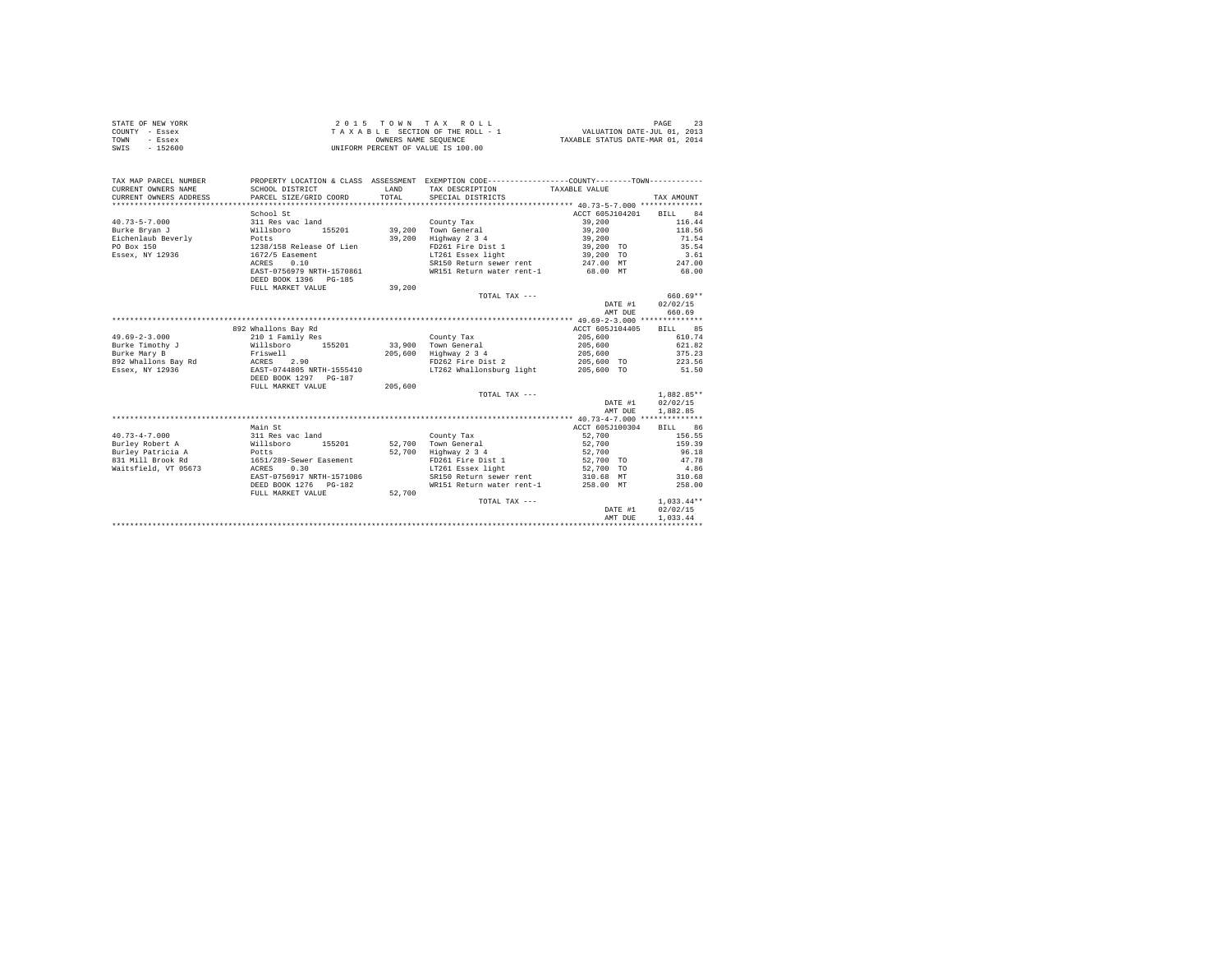| STATE OF NEW YORK | 2015 TOWN TAX ROLL                 | PAGE                             |
|-------------------|------------------------------------|----------------------------------|
| COUNTY - Essex    | TAXABLE SECTION OF THE ROLL - 1    | VALUATION DATE-JUL 01, 2013      |
| TOWN<br>- Essex   | OWNERS NAME SEOUENCE               | TAXABLE STATUS DATE-MAR 01, 2014 |
| $-152600$<br>SWIS | UNIFORM PERCENT OF VALUE IS 100.00 |                                  |

| TAX MAP PARCEL NUMBER<br>CURRENT OWNERS NAME | PROPERTY LOCATION & CLASS ASSESSMENT EXEMPTION CODE----------------COUNTY--------TOWN----------<br>SCHOOL DISTRICT | <b>T.AND</b> | TAX DESCRIPTION                          | TAXABLE VALUE          |         |              |
|----------------------------------------------|--------------------------------------------------------------------------------------------------------------------|--------------|------------------------------------------|------------------------|---------|--------------|
| CURRENT OWNERS ADDRESS                       | PARCEL SIZE/GRID COORD                                                                                             | TOTAL.       | SPECIAL DISTRICTS                        |                        |         | TAX AMOUNT   |
|                                              |                                                                                                                    |              |                                          |                        |         |              |
|                                              | School St                                                                                                          |              |                                          | ACCT 605J104201        |         | BILL 84      |
| $40.73 - 5 - 7.000$                          | 311 Res vac land                                                                                                   |              | County Tax                               | 39,200                 |         | 116.44       |
| Burke Brvan J                                | Willsboro                                                                                                          |              | 155201 39,200 Town General               | 39,200                 |         | 118.56       |
| Eichenlaub Beverly                           | Potts                                                                                                              | 39,200       | Highway 2 3 4                            | 39,200                 |         | 71.54        |
| PO Box 150                                   | 1238/158 Release Of Lien<br>1672/5 Easement                                                                        |              | FD261 Fire Dist 1                        | 39,200 TO<br>39,200 TO |         | 35.54        |
| Essex, NY 12936                              |                                                                                                                    |              | LT261 Essex light                        |                        |         | 3.61         |
|                                              | 0.10<br>ACRES                                                                                                      |              | SR150 Return sewer rent 247.00 MT 247.00 |                        |         |              |
|                                              | EAST-0756979 NRTH-1570861                                                                                          |              | WR151 Return water rent-1 68.00 MT       |                        |         | 68.00        |
|                                              | DEED BOOK 1396 PG-185                                                                                              |              |                                          |                        |         |              |
|                                              | FULL MARKET VALUE                                                                                                  | 39,200       |                                          |                        |         |              |
|                                              |                                                                                                                    |              | TOTAL TAX ---                            |                        |         | 660.69**     |
|                                              |                                                                                                                    |              |                                          |                        | DATE #1 | 02/02/15     |
|                                              |                                                                                                                    |              |                                          |                        | AMT DUE | 660.69       |
|                                              |                                                                                                                    |              |                                          |                        |         |              |
|                                              | 892 Whallons Bay Rd                                                                                                |              |                                          | ACCT 605J104405        |         | BILL 85      |
| $49.69 - 2 - 3.000$                          | 210 1 Family Res                                                                                                   |              | County Tax                               | 205,600                |         | 610.74       |
| Burke Timothy J                              |                                                                                                                    |              | 33,900 Town General                      | 205,600                |         | 621.82       |
| Burke Mary B                                 | Willsboro 155201<br>Friswell                                                                                       |              | 205,600 Highway 2 3 4                    | 205,600                |         | 375.23       |
| 892 Whallons Bay Rd ACRES                    | 2.90                                                                                                               |              | FD262 Fire Dist 2 205,600 TO 223.56      |                        |         |              |
| Essex, NY 12936                              | EAST-0744805 NRTH-1555410                                                                                          |              | LT262 Whallonsburg light 205,600 TO      |                        |         | 51.50        |
|                                              | DEED BOOK 1297 PG-187                                                                                              |              |                                          |                        |         |              |
|                                              | FULL MARKET VALUE                                                                                                  | 205,600      |                                          |                        |         |              |
|                                              |                                                                                                                    |              | TOTAL TAX ---                            |                        |         | $1.882.85**$ |
|                                              |                                                                                                                    |              |                                          |                        | DATE #1 | 02/02/15     |
|                                              |                                                                                                                    |              |                                          |                        | AMT DUE | 1,882.85     |
|                                              |                                                                                                                    |              |                                          |                        |         |              |
|                                              | Main St                                                                                                            |              |                                          | ACCT 605J100304        |         | BILL 86      |
| $40.73 - 4 - 7.000$                          | 311 Res vac land                                                                                                   |              | County Tax                               | 52,700                 |         | 156.55       |
| Burley Robert A                              | Willsboro 155201                                                                                                   |              | 52.700 Town General                      | 52,700                 |         | 159.39       |
| Burley Patricia A Potts                      |                                                                                                                    | 52,700       | Highway 2 3 4                            | 52,700                 |         | 96.18        |
| 831 Mill Brook Rd 1651/289-Sewer Easement    |                                                                                                                    |              | FD261 Fire Dist 1                        |                        |         | 47.78        |
| Waitsfield, VT 05673                         | ACRES 0.30                                                                                                         |              | LT261 Essex light                        | 52,700 TO<br>52,700 TO |         | 4.86         |
|                                              | EAST-0756917 NRTH-1571086                                                                                          |              | SR150 Return sewer rent 310.68 MT        |                        |         | 310.68       |
|                                              | DEED BOOK 1276 PG-182                                                                                              |              | WR151 Return water rent-1 258.00 MT      |                        |         | 258.00       |
|                                              | FULL MARKET VALUE                                                                                                  | 52,700       |                                          |                        |         |              |
|                                              |                                                                                                                    |              |                                          |                        |         | $1.033.44**$ |
|                                              |                                                                                                                    |              | TOTAL TAX ---                            |                        | DATE #1 | 02/02/15     |
|                                              |                                                                                                                    |              |                                          |                        |         |              |
|                                              |                                                                                                                    |              |                                          |                        | AMT DUE | 1.033.44     |
|                                              |                                                                                                                    |              |                                          |                        |         |              |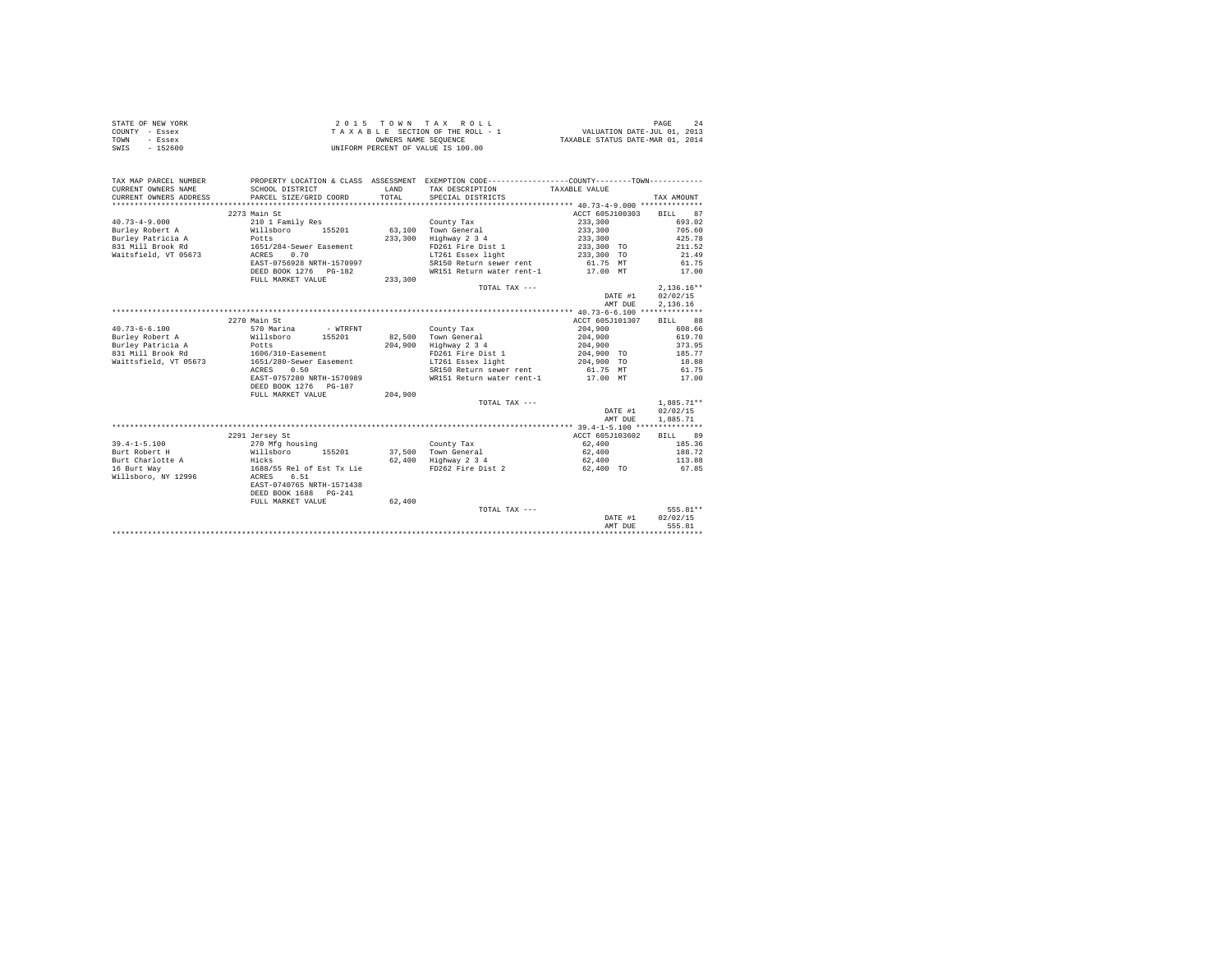| STATE OF NEW YORK | 2015 TOWN TAX ROLL                 | PAGE                             |
|-------------------|------------------------------------|----------------------------------|
| COUNTY - Essex    | TAXABLE SECTION OF THE ROLL - 1    | VALUATION DATE-JUL 01, 2013      |
| TOWN<br>- Essex   | OWNERS NAME SEOUENCE               | TAXABLE STATUS DATE-MAR 01, 2014 |
| $-152600$<br>SWIS | UNIFORM PERCENT OF VALUE IS 100.00 |                                  |

| TAX MAP PARCEL NUMBER<br>CURRENT OWNERS NAME | SCHOOL DISTRICT            | LAND    | PROPERTY LOCATION & CLASS ASSESSMENT EXEMPTION CODE----------------COUNTY-------TOWN----------<br>TAX DESCRIPTION | TAXABLE VALUE           |              |
|----------------------------------------------|----------------------------|---------|-------------------------------------------------------------------------------------------------------------------|-------------------------|--------------|
| CURRENT OWNERS ADDRESS                       | PARCEL SIZE/GRID COORD     | TOTAL   | SPECIAL DISTRICTS                                                                                                 |                         | TAX AMOUNT   |
|                                              |                            |         |                                                                                                                   |                         |              |
|                                              | 2273 Main St               |         |                                                                                                                   | ACCT 605J100303 BILL 87 |              |
| $40.73 - 4 - 9.000$                          | 210 1 Family Res           |         | County Tax                                                                                                        | 233,300                 | 693.02       |
| Burley Robert A                              | Willsboro<br>155201        |         | 63.100 Town General                                                                                               | 233,300                 | 705.60       |
| Burley Patricia A                            | Potts                      | 233,300 | Highway 2 3 4                                                                                                     | 233,300                 | 425.78       |
| 831 Mill Brook Rd                            | 1651/284-Sewer Easement    |         | FD261 Fire Dist 1                                                                                                 | 233,300 TO              | 211.52       |
| Waitsfield, VT 05673                         | 0.70<br>ACRES              |         | LT261 Essex light                                                                                                 | 233,300 TO              | 21.49        |
|                                              | EAST-0756928 NRTH-1570997  |         | SR150 Return sewer rent                                                                                           | 61.75 MT                | 61.75        |
|                                              | DEED BOOK 1276   PG-182    |         | WR151 Return water rent-1                                                                                         | 17.00 MT                | 17.00        |
|                                              | FULL MARKET VALUE          | 233,300 |                                                                                                                   |                         |              |
|                                              |                            |         | TOTAL TAX ---                                                                                                     |                         | $2.136.16**$ |
|                                              |                            |         |                                                                                                                   | DATE #1                 | 02/02/15     |
|                                              |                            |         |                                                                                                                   | AMT DUE                 | 2.136.16     |
|                                              |                            |         |                                                                                                                   |                         |              |
|                                              | 2270 Main St               |         |                                                                                                                   | ACCT 605J101307         | BILL 88      |
| $40.73 - 6 - 6.100$                          | 570 Marina<br>- WTRFNT     |         | County Tax                                                                                                        | 204,900                 | 608.66       |
| Burley Robert A                              | Willsboro 155201           |         | 82,500 Town General                                                                                               | 204,900                 | 619.70       |
| Burley Patricia A                            |                            | 204,900 | Highway 2 3 4                                                                                                     | 204,900                 | 373.95       |
| 831 Mill Brook Rd                            | Potts<br>1606/310-Easement |         | FD261 Fire Dist 1                                                                                                 | 204,900 TO              | 185.77       |
| Waittsfield, VT 05673                        | 1651/280-Sewer Easement    |         | LT261 Essex light 6 204,900 TO                                                                                    |                         | 18.88        |
|                                              | ACRES<br>0.50              |         | SR150 Return sewer rent                                                                                           | 61.75 MT                | 61.75        |
|                                              | EAST-0757280 NRTH-1570989  |         | WR151 Return water rent-1                                                                                         | 17.00 MT                | 17.00        |
|                                              | DEED BOOK 1276 PG-187      |         |                                                                                                                   |                         |              |
|                                              | FULL MARKET VALUE          | 204,900 |                                                                                                                   |                         |              |
|                                              |                            |         | TOTAL TAX ---                                                                                                     |                         | $1,885.71**$ |
|                                              |                            |         |                                                                                                                   | DATE #1                 | 02/02/15     |
|                                              |                            |         |                                                                                                                   | AMT DUE                 | 1,885.71     |
|                                              |                            |         |                                                                                                                   |                         |              |
|                                              | 2291 Jersey St             |         |                                                                                                                   | ACCT 605J103602 BILL 89 |              |
| $39.4 - 1 - 5.100$                           | 270 Mfg housing            |         | County Tax                                                                                                        | 62,400                  | 185.36       |
| Burt Robert H                                | Willsboro<br>155201        |         | 37,500 Town General                                                                                               | 62,400                  | 188.72       |
| Burt Charlotte A                             | Hicks                      |         | 62,400 Highway 2 3 4                                                                                              | 62,400                  | 113.88       |
| 16 Burt Way                                  | 1688/55 Rel of Est Tx Lie  |         | FD262 Fire Dist 2                                                                                                 | 62,400 TO               | 67.85        |
| Willsboro, NY 12996                          | 6.51<br>ACRES              |         |                                                                                                                   |                         |              |
|                                              | EAST-0740765 NRTH-1571438  |         |                                                                                                                   |                         |              |
|                                              | DEED BOOK 1688 PG-241      |         |                                                                                                                   |                         |              |
|                                              | FULL MARKET VALUE          | 62,400  |                                                                                                                   |                         |              |
|                                              |                            |         | TOTAL TAX ---                                                                                                     |                         | 555.81**     |
|                                              |                            |         |                                                                                                                   | DATE #1                 | 02/02/15     |
|                                              |                            |         |                                                                                                                   | AMT DUE                 | 555.81       |
|                                              |                            |         |                                                                                                                   |                         |              |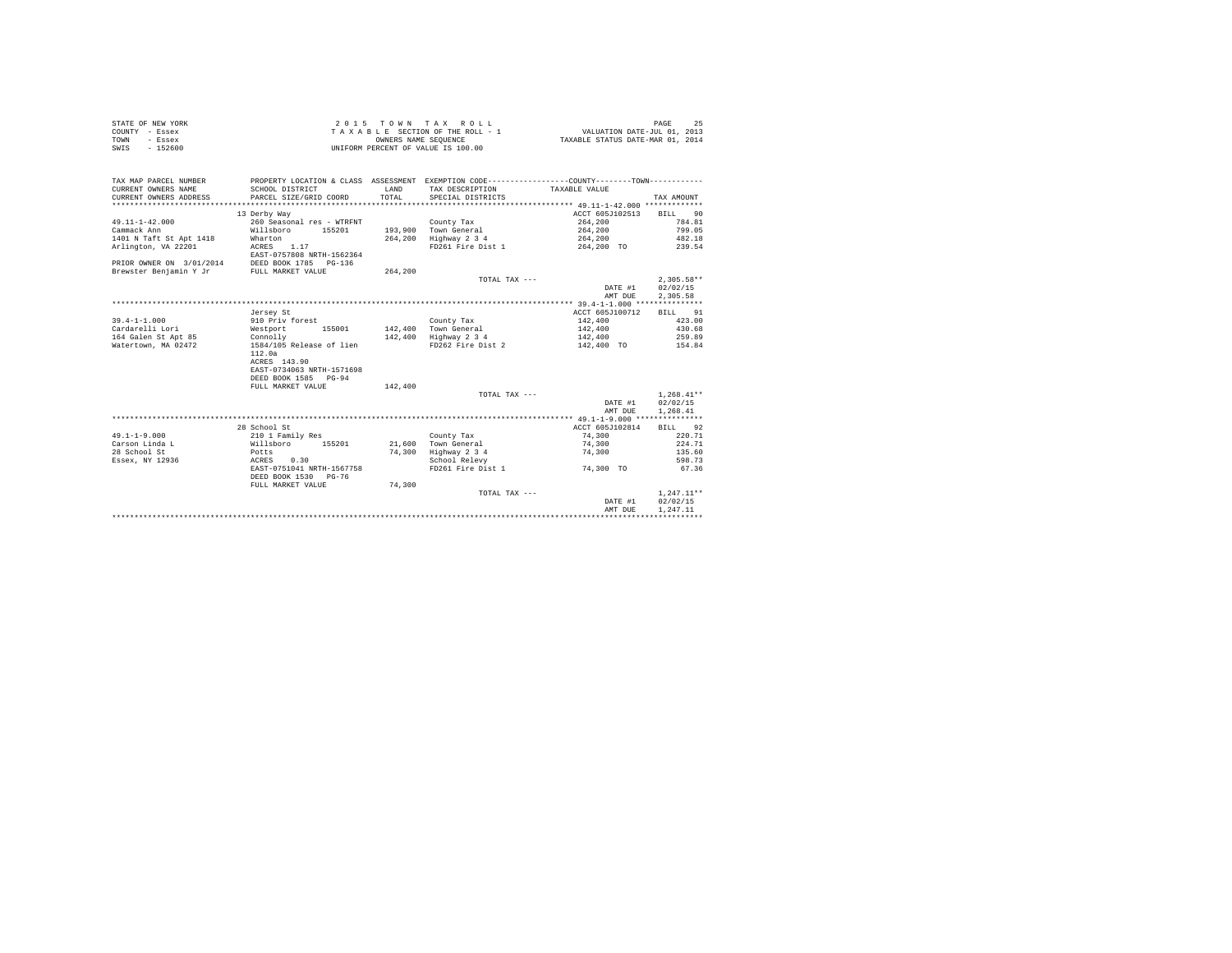| STATE OF NEW YORK |           | 2015 TOWN TAX ROLL                 | PAGE                             |
|-------------------|-----------|------------------------------------|----------------------------------|
| COUNTY - Essex    |           | TAXABLE SECTION OF THE ROLL - 1    | VALUATION DATE-JUL 01, 2013      |
| TOWN              | - Essex   | OWNERS NAME SEOUENCE               | TAXABLE STATUS DATE-MAR 01, 2014 |
| SWIS              | $-152600$ | UNIFORM PERCENT OF VALUE IS 100.00 |                                  |

| TAX MAP PARCEL NUMBER<br>CURRENT OWNERS NAME<br>CURRENT OWNERS ADDRESS<br>************************** | SCHOOL DISTRICT<br>PARCEL SIZE/GRID COORD | LAND<br>TOTAL | PROPERTY LOCATION & CLASS ASSESSMENT EXEMPTION CODE----------------COUNTY-------TOWN----------<br>TAX DESCRIPTION TAXABLE VALUE<br>SPECIAL DISTRICTS |                 | TAX AMOUNT   |
|------------------------------------------------------------------------------------------------------|-------------------------------------------|---------------|------------------------------------------------------------------------------------------------------------------------------------------------------|-----------------|--------------|
|                                                                                                      | 13 Derby Way                              |               |                                                                                                                                                      | ACCT 605J102513 | BILL 90      |
| $49.11 - 1 - 42.000$                                                                                 | 260 Seasonal res - WTRFNT                 |               | County Tax                                                                                                                                           | 264,200         | 784.81       |
| Cammack Ann                                                                                          | Willsboro<br>155201                       |               | 193.900 Town General                                                                                                                                 | 264,200         | 799.05       |
| 1401 N Taft St Apt 1418                                                                              | Wharton                                   |               | 264,200 Highway 2 3 4                                                                                                                                | 264,200         | 482.18       |
| Arlington, VA 22201                                                                                  | ACRES 1.17                                |               | FD261 Fire Dist 1                                                                                                                                    | 264,200 TO      | 239.54       |
|                                                                                                      | EAST-0757808 NRTH-1562364                 |               |                                                                                                                                                      |                 |              |
| PRIOR OWNER ON 3/01/2014                                                                             | DEED BOOK 1785 PG-136                     |               |                                                                                                                                                      |                 |              |
| Brewster Benjamin Y Jr                                                                               | FULL MARKET VALUE                         | 264,200       |                                                                                                                                                      |                 |              |
|                                                                                                      |                                           |               | TOTAL TAX ---                                                                                                                                        |                 | $2.305.58**$ |
|                                                                                                      |                                           |               |                                                                                                                                                      | DATE #1         | 02/02/15     |
|                                                                                                      |                                           |               |                                                                                                                                                      | AMT DUE         | 2,305.58     |
|                                                                                                      |                                           |               |                                                                                                                                                      |                 |              |
|                                                                                                      | Jersey St                                 |               |                                                                                                                                                      | ACCT 605J100712 | BILL 91      |
| $39.4 - 1 - 1.000$                                                                                   | 910 Priv forest                           |               | County Tax                                                                                                                                           | 142,400         | 423.00       |
| Cardarelli Lori                                                                                      | 155001<br>Westport                        |               | 142.400 Town General                                                                                                                                 | 142,400         | 430.68       |
| 164 Galen St Apt 85                                                                                  | Connolly                                  |               | 142,400 Highway 2 3 4                                                                                                                                | 142,400         | 259.89       |
| Watertown, MA 02472                                                                                  | 1584/105 Release of lien                  |               | FD262 Fire Dist 2                                                                                                                                    | 142,400 TO      | 154.84       |
|                                                                                                      | 112.0a                                    |               |                                                                                                                                                      |                 |              |
|                                                                                                      | ACRES 143.90                              |               |                                                                                                                                                      |                 |              |
|                                                                                                      | EAST-0734063 NRTH-1571698                 |               |                                                                                                                                                      |                 |              |
|                                                                                                      | DEED BOOK 1585 PG-94                      |               |                                                                                                                                                      |                 |              |
|                                                                                                      | FULL MARKET VALUE                         | 142,400       |                                                                                                                                                      |                 |              |
|                                                                                                      |                                           |               | TOTAL TAX ---                                                                                                                                        |                 | $1.268.41**$ |
|                                                                                                      |                                           |               |                                                                                                                                                      | DATE #1         | 02/02/15     |
|                                                                                                      |                                           |               |                                                                                                                                                      | AMT DUE         | 1,268.41     |
|                                                                                                      |                                           |               |                                                                                                                                                      |                 |              |
|                                                                                                      | 28 School St                              |               |                                                                                                                                                      | ACCT 605J102814 | BILL 92      |
| $49.1 - 1 - 9.000$                                                                                   | 210 1 Family Res                          |               | County Tax                                                                                                                                           | 74,300          | 220.71       |
| Carson Linda L                                                                                       | 155201<br>Willsboro                       |               | 21,600 Town General                                                                                                                                  | 74,300          | 224.71       |
| 28 School St                                                                                         | Potts                                     | 74,300        | Highway 2 3 4                                                                                                                                        | 74,300          | 135.60       |
| Essex, NY 12936                                                                                      | ACRES<br>0.30                             |               | School Relevy                                                                                                                                        |                 | 598.73       |
|                                                                                                      | EAST-0751041 NRTH-1567758                 |               | FD261 Fire Dist 1                                                                                                                                    | 74,300 TO       | 67.36        |
|                                                                                                      | DEED BOOK 1530 PG-76                      |               |                                                                                                                                                      |                 |              |
|                                                                                                      | FULL MARKET VALUE                         | 74,300        |                                                                                                                                                      |                 |              |
|                                                                                                      |                                           |               | TOTAL TAX ---                                                                                                                                        |                 | $1.247.11**$ |
|                                                                                                      |                                           |               |                                                                                                                                                      | DATE #1         | 02/02/15     |
|                                                                                                      |                                           |               |                                                                                                                                                      | AMT DUE         | 1,247.11     |
|                                                                                                      |                                           |               |                                                                                                                                                      |                 |              |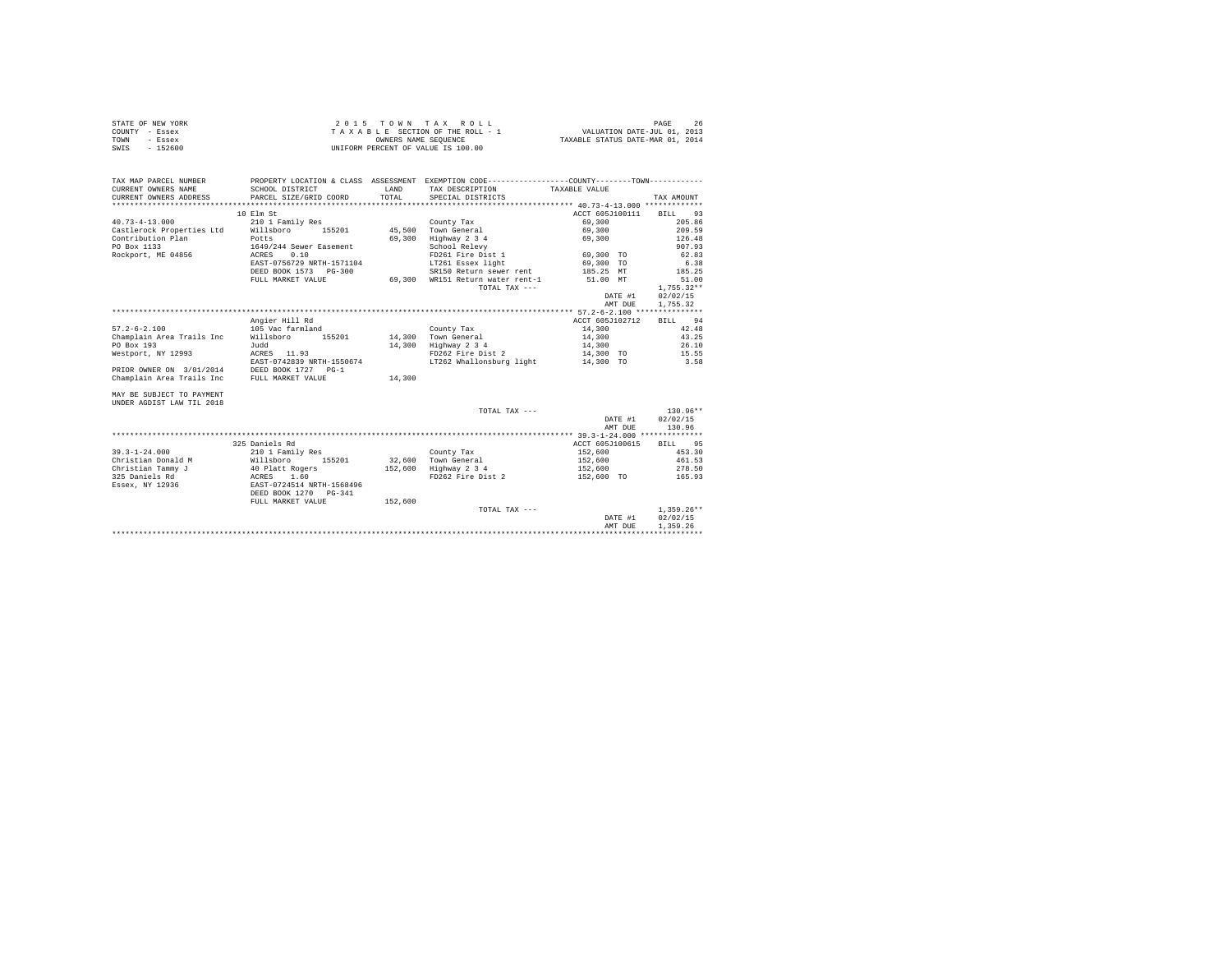| STATE OF NEW YORK | $2.0.15$ TOWN TAX ROLL             | PAGE                             |
|-------------------|------------------------------------|----------------------------------|
| COUNTY - Essex    | TAXABLE SECTION OF THE ROLL - 1    | VALUATION DATE-JUL 01, 2013      |
| TOWN<br>- Essex   | OWNERS NAME SEOUENCE               | TAXABLE STATUS DATE-MAR 01, 2014 |
| $-152600$<br>SWIS | UNIFORM PERCENT OF VALUE IS 100.00 |                                  |

| TAX MAP PARCEL NUMBER<br>CURRENT OWNERS NAME | PROPERTY LOCATION & CLASS ASSESSMENT EXEMPTION CODE----------------COUNTY-------TOWN----------<br>SCHOOL DISTRICT | LAND    | TAX DESCRIPTION                    | TAXABLE VALUE   |              |
|----------------------------------------------|-------------------------------------------------------------------------------------------------------------------|---------|------------------------------------|-----------------|--------------|
| CURRENT OWNERS ADDRESS                       | PARCEL SIZE/GRID COORD                                                                                            | TOTAL   | SPECIAL DISTRICTS                  |                 | TAX AMOUNT   |
|                                              |                                                                                                                   |         |                                    |                 |              |
|                                              | 10 Elm St                                                                                                         |         |                                    | ACCT 605J100111 | BILL 93      |
| $40.73 - 4 - 13.000$                         | 210 1 Family Res                                                                                                  |         | County Tax                         | 69,300          | 205.86       |
| Castlerock Properties Ltd                    | Willsboro<br>155201                                                                                               |         | 45.500 Town General                | 69,300          | 209.59       |
| Contribution Plan                            | Potts                                                                                                             | 69,300  | Highway 2 3 4                      | 69,300          | 126.48       |
| PO Box 1133                                  | 1649/244 Sewer Easement                                                                                           |         | School Relevy                      |                 | 907.93       |
| Rockport, ME 04856                           | 0.10<br>ACRES                                                                                                     |         | FD261 Fire Dist 1                  | 69,300 TO       | 62.83        |
|                                              | EAST-0756729 NRTH-1571104                                                                                         |         | LT261 Essex light                  | 69,300 TO       | 6.38         |
|                                              | DEED BOOK 1573 PG-300                                                                                             |         | SR150 Return sewer rent            | 185.25 MT       | 185.25       |
|                                              | FULL MARKET VALUE                                                                                                 |         | 69.300 WR151 Return water rent-1   | 51.00 MT        | 51.00        |
|                                              |                                                                                                                   |         | TOTAL TAX ---                      |                 | $1.755.32**$ |
|                                              |                                                                                                                   |         |                                    | DATE #1         | 02/02/15     |
|                                              |                                                                                                                   |         |                                    | AMT DUE         | 1.755.32     |
|                                              |                                                                                                                   |         |                                    |                 |              |
|                                              | Angier Hill Rd                                                                                                    |         |                                    | ACCT 605J102712 | BILL 94      |
| $57.2 - 6 - 2.100$                           | 105 Vac farmland                                                                                                  |         | County Tax                         | 14,300          | 42.48        |
| Champlain Area Trails Inc                    | Willsboro<br>155201                                                                                               |         | 14,300 Town General                | 14,300          | 43.25        |
| PO Box 193                                   | Judd                                                                                                              |         | 14,300 Highway 2 3 4               | 14,300          | 26.10        |
| Westport, NY 12993                           | ACRES 11.93                                                                                                       |         | FD262 Fire Dist 2                  | 14,300 TO       | 15.55        |
|                                              | EAST-0742839 NRTH-1550674                                                                                         |         | LT262 Whallonsburg light 14,300 TO |                 | 3.58         |
| PRIOR OWNER ON 3/01/2014                     | DEED BOOK 1727 PG-1                                                                                               |         |                                    |                 |              |
| Champlain Area Trails Inc                    | FULL MARKET VALUE                                                                                                 | 14,300  |                                    |                 |              |
| MAY BE SUBJECT TO PAYMENT                    |                                                                                                                   |         |                                    |                 |              |
| UNDER AGDIST LAW TIL 2018                    |                                                                                                                   |         |                                    |                 |              |
|                                              |                                                                                                                   |         | TOTAL TAX ---                      |                 | 130.96**     |
|                                              |                                                                                                                   |         |                                    | DATE #1         | 02/02/15     |
|                                              |                                                                                                                   |         |                                    | AMT DUE         | 130.96       |
|                                              |                                                                                                                   |         |                                    |                 |              |
|                                              | 325 Daniels Rd                                                                                                    |         |                                    | ACCT 605J100615 | 95<br>BILL   |
| $39.3 - 1 - 24.000$                          | 210 1 Family Res                                                                                                  |         | County Tax                         | 152,600         | 453.30       |
| Christian Donald M                           | Willsboro<br>155201                                                                                               |         | 32.600 Town General                | 152,600         | 461.53       |
| Christian Tammy J                            | 40 Platt Rogers                                                                                                   | 152,600 | Highway 2 3 4                      | 152,600         | 278.50       |
| 325 Daniels Rd                               | ACRES 1.60<br>EAST-0724514 NRTH-1568496                                                                           |         | FD262 Fire Dist 2                  | 152,600 TO      | 165.93       |
| Essex, NY 12936                              |                                                                                                                   |         |                                    |                 |              |
|                                              | DEED BOOK 1270 PG-341                                                                                             |         |                                    |                 |              |
|                                              | FULL MARKET VALUE                                                                                                 | 152,600 |                                    |                 |              |
|                                              |                                                                                                                   |         | TOTAL TAX ---                      |                 | $1.359.26**$ |
|                                              |                                                                                                                   |         |                                    | DATE #1         | 02/02/15     |
|                                              |                                                                                                                   |         |                                    | AMT DUE         | 1,359.26     |
|                                              |                                                                                                                   |         |                                    |                 |              |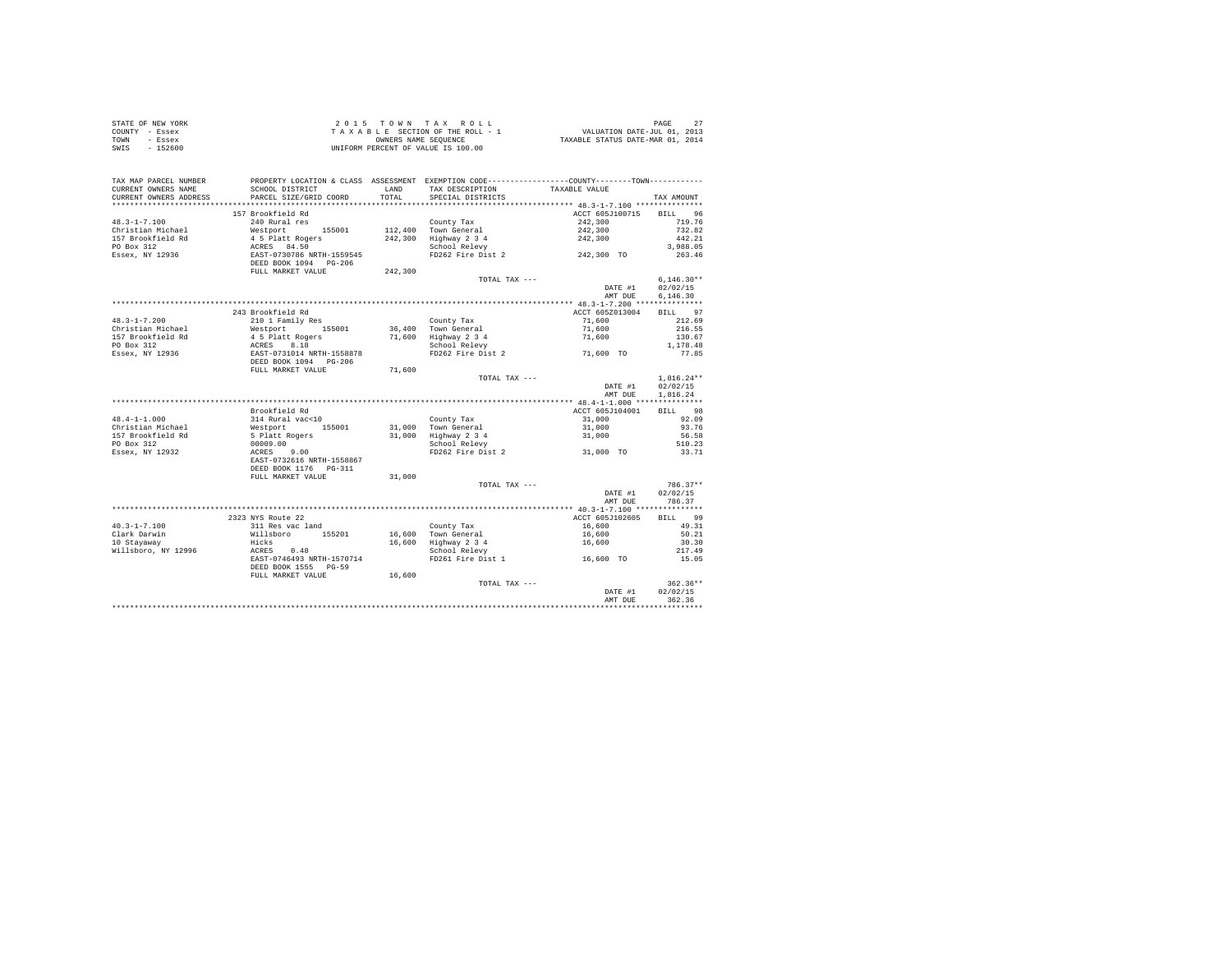|                | STATE OF NEW YORK |  |  | 2015 TOWN TAX ROLL                 |  |  |  |                                  | PAGE                        |  |
|----------------|-------------------|--|--|------------------------------------|--|--|--|----------------------------------|-----------------------------|--|
| COUNTY - Essex |                   |  |  | TAXABLE SECTION OF THE ROLL - 1    |  |  |  |                                  | VALUATION DATE-JUL 01, 2013 |  |
| TOWN           | - Essex           |  |  | OWNERS NAME SEOUENCE               |  |  |  | TAXABLE STATUS DATE-MAR 01, 2014 |                             |  |
| SWIS           | $-152600$         |  |  | UNIFORM PERCENT OF VALUE IS 100.00 |  |  |  |                                  |                             |  |

| TAX MAP PARCEL NUMBER<br>CURRENT OWNERS NAME<br>CURRENT OWNERS ADDRESS | PROPERTY LOCATION & CLASS ASSESSMENT EXEMPTION CODE----------------COUNTY--------TOWN----------<br>SCHOOL DISTRICT<br>PARCEL SIZE/GRID COORD | LAND<br>TOTAL. | TAX DESCRIPTION<br>SPECIAL DISTRICTS                                                 | TAXABLE VALUE           | TAX AMOUNT   |
|------------------------------------------------------------------------|----------------------------------------------------------------------------------------------------------------------------------------------|----------------|--------------------------------------------------------------------------------------|-------------------------|--------------|
| ***********************                                                |                                                                                                                                              |                |                                                                                      |                         |              |
|                                                                        | 157 Brookfield Rd                                                                                                                            |                |                                                                                      | ACCT 605J100715 BILL 96 |              |
| $48.3 - 1 - 7.100$                                                     | 240 Rural res                                                                                                                                |                | County Tax                                                                           | 242,300                 | 719.76       |
| Christian Michael                                                      |                                                                                                                                              |                | $112,400$ Town General                                                               | 242,300                 | 732.82       |
| 157 Brookfield Rd                                                      | Nestport 1988<br>Westport 155001<br>4 5 Platt Rogers<br>ACRES 84.50<br>EAST-0730786 NRTH-1559545                                             |                | 242,300 Highway 2 3 4<br>School Relevy                                               | 242,300                 | 442.21       |
| PO Box 312                                                             |                                                                                                                                              |                |                                                                                      |                         | 3,988.05     |
| Essex, NY 12936                                                        |                                                                                                                                              |                | Process and the Dist 2 and 242,300 TO                                                |                         | 263.46       |
|                                                                        | DEED BOOK 1094 PG-206                                                                                                                        |                |                                                                                      |                         |              |
|                                                                        | FULL MARKET VALUE                                                                                                                            | 242,300        |                                                                                      |                         |              |
|                                                                        |                                                                                                                                              |                | TOTAL TAX ---                                                                        |                         | $6.146.30**$ |
|                                                                        |                                                                                                                                              |                |                                                                                      | DATE #1                 | 02/02/15     |
|                                                                        |                                                                                                                                              |                |                                                                                      | AMT DUE                 | 6,146.30     |
|                                                                        |                                                                                                                                              |                |                                                                                      |                         |              |
|                                                                        | 243 Brookfield Rd                                                                                                                            |                |                                                                                      | ACCT 605Z013004         | BILL 97      |
| $48.3 - 1 - 7.200$                                                     | 210 1 Family Res                                                                                                                             |                | County Tax                                                                           | 71,600                  | 212.69       |
| Christian Michael                                                      | Westport 155001                                                                                                                              |                | 36,400 Town General                                                                  | 71,600                  | 216.55       |
| 157 Brookfield Rd                                                      | 4 5 Platt Rogers                                                                                                                             |                | 71,600 Highway 2 3 4                                                                 | 71,600                  | 130.67       |
| PO Box 312                                                             |                                                                                                                                              |                | School Relevy                                                                        |                         | 1,178.48     |
| Essex, NY 12936                                                        |                                                                                                                                              |                | FD262 Fire Dist 2 71,600 TO                                                          |                         | 77.85        |
|                                                                        |                                                                                                                                              |                |                                                                                      |                         |              |
|                                                                        | 7 - 7 - 2012<br>EAST-0731014 NRTH-1558878<br>DEED BOOK 1094 - PG-206<br>FULL MARKET VALUE                                                    | 71,600         |                                                                                      |                         |              |
|                                                                        |                                                                                                                                              |                | TOTAL TAX ---                                                                        |                         | $1.816.24**$ |
|                                                                        |                                                                                                                                              |                |                                                                                      | DATE #1                 | 02/02/15     |
|                                                                        |                                                                                                                                              |                |                                                                                      | AMT DUE                 | 1,816.24     |
|                                                                        |                                                                                                                                              |                |                                                                                      |                         |              |
|                                                                        | Brookfield Rd                                                                                                                                |                |                                                                                      | ACCT 605J104001         | BILL 98      |
| $48.4 - 1 - 1.000$                                                     |                                                                                                                                              |                | County Tax                                                                           | 31,000                  | 92.09        |
| Christian Michael                                                      |                                                                                                                                              |                | 31,000 Town General                                                                  | 31,000                  | 93.76        |
| 157 Brookfield Rd                                                      |                                                                                                                                              |                |                                                                                      |                         | 56.58        |
| PO Box 312                                                             | 314 Rural vac<10<br>Westport 155001<br>5 Platt Rogers<br>00009.00                                                                            |                | 31,000 Highway 2 3 4 31,000<br>School Relevy 2 31,000<br>PD262 Fire Dist 2 31,000 TO |                         | 510.23       |
| Essex, NY 12932                                                        | ACRES 9.00                                                                                                                                   |                |                                                                                      |                         | 33.71        |
|                                                                        | EAST-0732616 NRTH-1558867                                                                                                                    |                |                                                                                      |                         |              |
|                                                                        | DEED BOOK 1176    PG-311                                                                                                                     |                |                                                                                      |                         |              |
|                                                                        | FULL MARKET VALUE                                                                                                                            | 31,000         |                                                                                      |                         |              |
|                                                                        |                                                                                                                                              |                | TOTAL TAX ---                                                                        |                         | $786.37**$   |
|                                                                        |                                                                                                                                              |                |                                                                                      | DATE #1                 | 02/02/15     |
|                                                                        |                                                                                                                                              |                |                                                                                      | AMT DUE                 | 786.37       |
|                                                                        |                                                                                                                                              |                |                                                                                      |                         |              |
|                                                                        | 2323 NYS Route 22                                                                                                                            |                |                                                                                      | ACCT 605J102605         | BILL 99      |
| $40.3 - 1 - 7.100$                                                     |                                                                                                                                              |                | County Tax                                                                           | 16,600                  | 49.31        |
| Clark Darwin                                                           | 311 Res vac land<br>Willsboro 155201<br>Hicks                                                                                                |                | 16,600 Town General                                                                  | 16,600                  | 50.21        |
| 10 Stayaway                                                            |                                                                                                                                              |                | 16,600 Highway 2 3 4<br>School Relevy                                                | 16,600                  | 30.30        |
| Willsboro, NY 12996                                                    | ACRES 0.48                                                                                                                                   |                |                                                                                      |                         | 217.49       |
|                                                                        | EAST-0746493 NRTH-1570714                                                                                                                    |                | FD261 Fire Dist 1                                                                    | 16,600 TO               | 15.05        |
|                                                                        | DEED BOOK 1555 PG-59                                                                                                                         |                |                                                                                      |                         |              |
|                                                                        | FULL MARKET VALUE                                                                                                                            | 16,600         |                                                                                      |                         |              |
|                                                                        |                                                                                                                                              |                | TOTAL TAX ---                                                                        |                         | $362.36**$   |
|                                                                        |                                                                                                                                              |                |                                                                                      | DATE #1                 | 02/02/15     |
|                                                                        |                                                                                                                                              |                |                                                                                      |                         |              |
|                                                                        |                                                                                                                                              |                |                                                                                      | AMT DUE                 | 362.36       |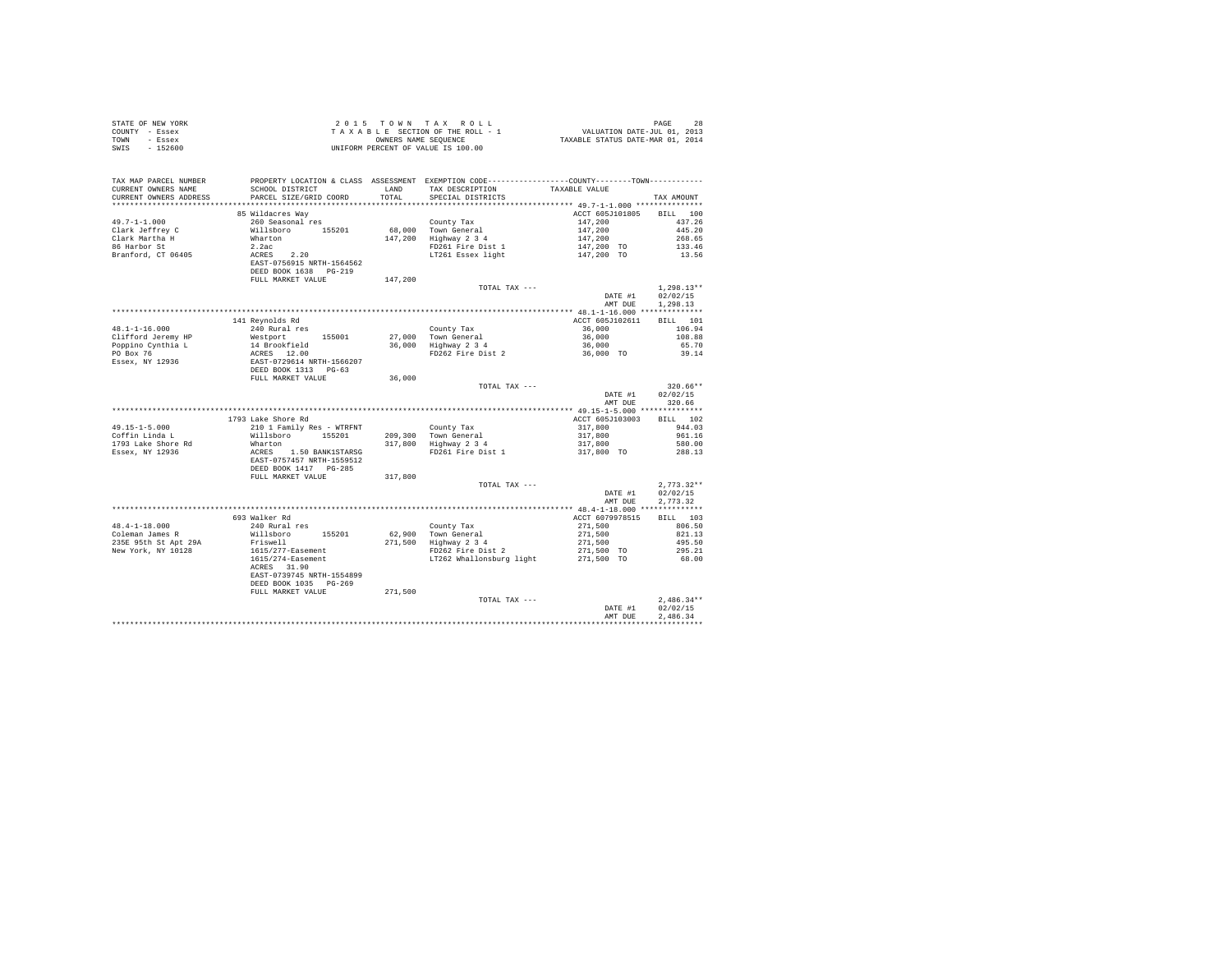| STATE OF NEW YORK                                     |                                                                                                                                                                                                                    |                                                                                                                                                                                                    |                          |                  |
|-------------------------------------------------------|--------------------------------------------------------------------------------------------------------------------------------------------------------------------------------------------------------------------|----------------------------------------------------------------------------------------------------------------------------------------------------------------------------------------------------|--------------------------|------------------|
| COUNTY - Essex                                        |                                                                                                                                                                                                                    |                                                                                                                                                                                                    |                          |                  |
| TOWN - Essex                                          |                                                                                                                                                                                                                    |                                                                                                                                                                                                    |                          |                  |
| SWIS - 152600                                         |                                                                                                                                                                                                                    |                                                                                                                                                                                                    |                          |                  |
|                                                       |                                                                                                                                                                                                                    |                                                                                                                                                                                                    |                          |                  |
|                                                       |                                                                                                                                                                                                                    |                                                                                                                                                                                                    |                          |                  |
|                                                       |                                                                                                                                                                                                                    |                                                                                                                                                                                                    |                          |                  |
|                                                       | TAX MAP PARCEL NUMBER<br>CURRENT OWNERS NAME SCHOOL DISTRICT LOLASS ASSESSMENT EXEMPTION CODE---------------COUNTY--------TOWN----------<br>CURRENT OWNERS NAME SCHOOL DISTRICT LAND TAX DESCRIPTION TAXABLE VALUE |                                                                                                                                                                                                    |                          |                  |
|                                                       |                                                                                                                                                                                                                    |                                                                                                                                                                                                    |                          |                  |
|                                                       | CURRENT OWNERS ADDRESS PARCEL SIZE/GRID COORD TOTAL SPECIAL DISTRICTS                                                                                                                                              |                                                                                                                                                                                                    |                          | TAX AMOUNT       |
|                                                       |                                                                                                                                                                                                                    |                                                                                                                                                                                                    |                          |                  |
|                                                       | 85 Wildacres Way                                                                                                                                                                                                   |                                                                                                                                                                                                    | ACCT 605J101805 BILL 100 |                  |
|                                                       |                                                                                                                                                                                                                    |                                                                                                                                                                                                    |                          |                  |
|                                                       |                                                                                                                                                                                                                    |                                                                                                                                                                                                    |                          |                  |
|                                                       |                                                                                                                                                                                                                    |                                                                                                                                                                                                    |                          |                  |
|                                                       |                                                                                                                                                                                                                    |                                                                                                                                                                                                    |                          |                  |
|                                                       |                                                                                                                                                                                                                    |                                                                                                                                                                                                    |                          |                  |
|                                                       |                                                                                                                                                                                                                    |                                                                                                                                                                                                    |                          |                  |
|                                                       |                                                                                                                                                                                                                    |                                                                                                                                                                                                    |                          |                  |
|                                                       |                                                                                                                                                                                                                    |                                                                                                                                                                                                    |                          |                  |
|                                                       |                                                                                                                                                                                                                    | TOTAL TAX ---                                                                                                                                                                                      |                          | $1.298.13**$     |
|                                                       |                                                                                                                                                                                                                    |                                                                                                                                                                                                    | DATE #1                  | 02/02/15         |
|                                                       |                                                                                                                                                                                                                    |                                                                                                                                                                                                    |                          |                  |
|                                                       |                                                                                                                                                                                                                    |                                                                                                                                                                                                    | AMT DUE 1,298.13         |                  |
|                                                       |                                                                                                                                                                                                                    |                                                                                                                                                                                                    |                          |                  |
|                                                       | 141 Reynolds Rd<br>141 Reynolds Rd                                                                                                                                                                                 |                                                                                                                                                                                                    | ACCT 605J102611 BILL 101 |                  |
|                                                       |                                                                                                                                                                                                                    |                                                                                                                                                                                                    | 36,000 106.94            |                  |
|                                                       |                                                                                                                                                                                                                    |                                                                                                                                                                                                    |                          | 108.88           |
|                                                       |                                                                                                                                                                                                                    |                                                                                                                                                                                                    |                          | 65.70            |
|                                                       |                                                                                                                                                                                                                    |                                                                                                                                                                                                    |                          | 39.14            |
|                                                       |                                                                                                                                                                                                                    |                                                                                                                                                                                                    |                          |                  |
|                                                       |                                                                                                                                                                                                                    |                                                                                                                                                                                                    |                          |                  |
|                                                       |                                                                                                                                                                                                                    |                                                                                                                                                                                                    |                          |                  |
|                                                       |                                                                                                                                                                                                                    |                                                                                                                                                                                                    |                          | $320.66**$       |
|                                                       |                                                                                                                                                                                                                    | TOTAL TAX ---                                                                                                                                                                                      | DATE #1                  | 02/02/15         |
|                                                       |                                                                                                                                                                                                                    |                                                                                                                                                                                                    | AMT DUE 320.66           |                  |
|                                                       |                                                                                                                                                                                                                    |                                                                                                                                                                                                    |                          |                  |
|                                                       |                                                                                                                                                                                                                    |                                                                                                                                                                                                    |                          |                  |
|                                                       |                                                                                                                                                                                                                    |                                                                                                                                                                                                    |                          |                  |
| 49.15-1-5.000<br>Coffin Linda L<br>1793 Lake Shore Rd |                                                                                                                                                                                                                    |                                                                                                                                                                                                    |                          |                  |
|                                                       |                                                                                                                                                                                                                    |                                                                                                                                                                                                    |                          |                  |
|                                                       |                                                                                                                                                                                                                    |                                                                                                                                                                                                    |                          |                  |
| Essex, NY 12936                                       |                                                                                                                                                                                                                    |                                                                                                                                                                                                    |                          |                  |
|                                                       |                                                                                                                                                                                                                    |                                                                                                                                                                                                    |                          |                  |
|                                                       |                                                                                                                                                                                                                    |                                                                                                                                                                                                    |                          |                  |
|                                                       |                                                                                                                                                                                                                    |                                                                                                                                                                                                    |                          |                  |
|                                                       |                                                                                                                                                                                                                    |                                                                                                                                                                                                    |                          |                  |
|                                                       |                                                                                                                                                                                                                    |                                                                                                                                                                                                    | DATE #1                  | 02/02/15         |
|                                                       |                                                                                                                                                                                                                    |                                                                                                                                                                                                    | AMT DUE                  | 2.773.32         |
|                                                       |                                                                                                                                                                                                                    |                                                                                                                                                                                                    |                          |                  |
|                                                       | 693 Walker Rd                                                                                                                                                                                                      |                                                                                                                                                                                                    | ACCT 6079978515          | BILL 103         |
| $48.4 - 1 - 18.000$                                   | 240 Rural res                                                                                                                                                                                                      | County Tax 271,500<br>62,900 Town General 2005.50<br>271,500 Highway 2 3 4<br>271,500 Highway 2 3 4<br>271,500 Highway 2 3 4<br>271,500 TD262 Fire Dist 2 2 271,500 TO 295.21<br>271,500 TO 295.21 |                          |                  |
|                                                       |                                                                                                                                                                                                                    |                                                                                                                                                                                                    |                          |                  |
|                                                       |                                                                                                                                                                                                                    |                                                                                                                                                                                                    |                          |                  |
|                                                       |                                                                                                                                                                                                                    |                                                                                                                                                                                                    |                          |                  |
|                                                       |                                                                                                                                                                                                                    |                                                                                                                                                                                                    |                          |                  |
|                                                       |                                                                                                                                                                                                                    |                                                                                                                                                                                                    |                          |                  |
|                                                       | EAST-0739745 NRTH-1554899                                                                                                                                                                                          |                                                                                                                                                                                                    |                          |                  |
|                                                       | DEED BOOK 1035 PG-269                                                                                                                                                                                              |                                                                                                                                                                                                    |                          |                  |
|                                                       | FULL MARKET VALUE 271,500                                                                                                                                                                                          |                                                                                                                                                                                                    |                          |                  |
|                                                       |                                                                                                                                                                                                                    |                                                                                                                                                                                                    |                          | $2.486.34**$     |
|                                                       |                                                                                                                                                                                                                    | TOTAL TAX ---                                                                                                                                                                                      |                          |                  |
|                                                       |                                                                                                                                                                                                                    |                                                                                                                                                                                                    |                          | DATE #1 02/02/15 |
|                                                       |                                                                                                                                                                                                                    |                                                                                                                                                                                                    | AMT DUE                  | 2.486.34         |
|                                                       |                                                                                                                                                                                                                    |                                                                                                                                                                                                    |                          |                  |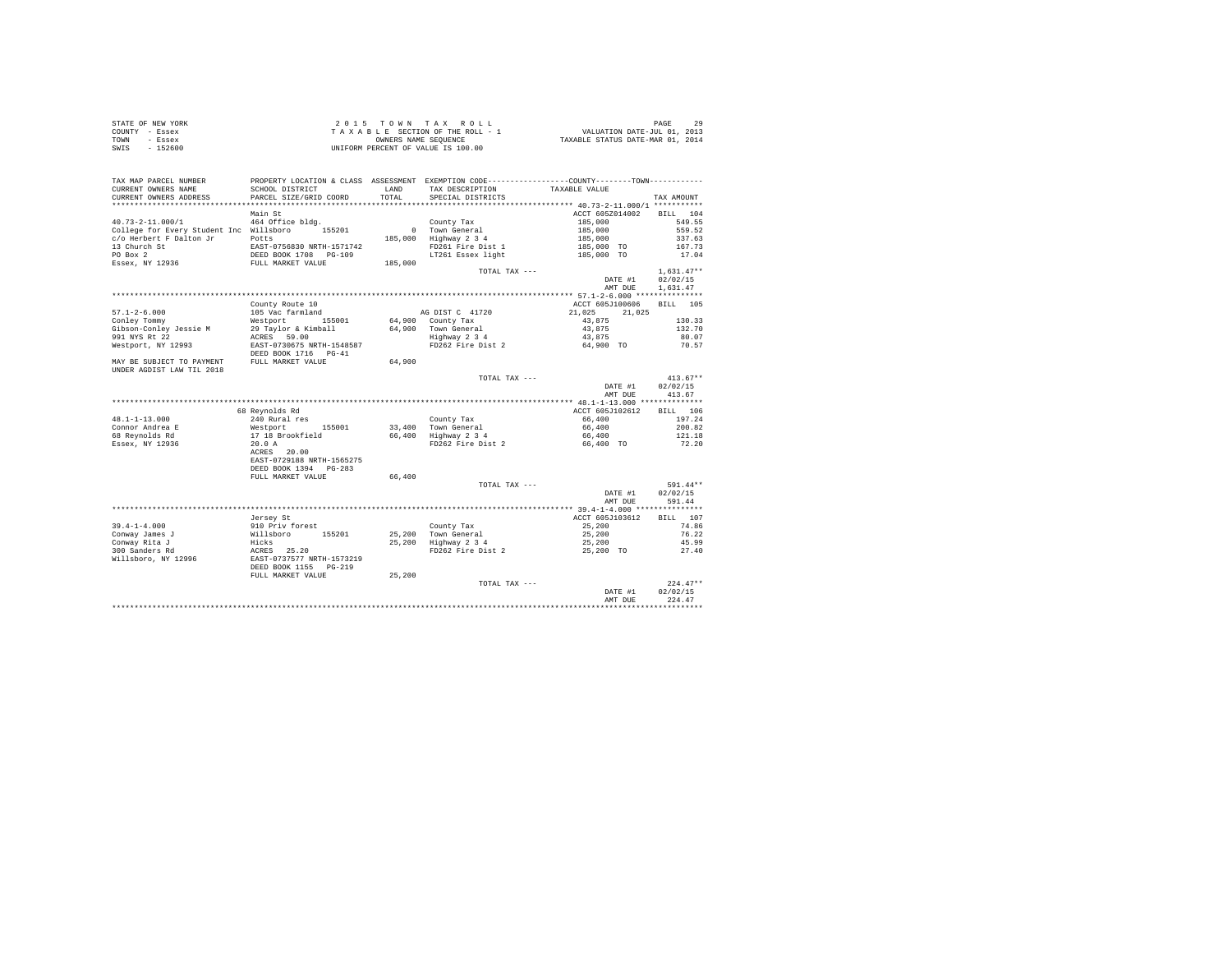|      | STATE OF NEW YORK | $2.0.15$ TOWN TAX ROLL             | PAGE                             |
|------|-------------------|------------------------------------|----------------------------------|
|      | COUNTY - Essex    | TAXABLE SECTION OF THE ROLL - 1    | VALUATION DATE-JUL 01, 2013      |
| TOWN | - Essex           | OWNERS NAME SEOUENCE               | TAXABLE STATUS DATE-MAR 01, 2014 |
| SWIS | $-152600$         | UNIFORM PERCENT OF VALUE IS 100.00 |                                  |

| TAX MAP PARCEL NUMBER<br>CURRENT OWNERS NAME<br>CURRENT OWNERS ADDRESS             | SCHOOL DISTRICT<br>PARCEL SIZE/GRID COORD                                   | LAND<br>TOTAL | TAX DESCRIPTION<br>SPECIAL DISTRICTS                 | PROPERTY LOCATION & CLASS ASSESSMENT EXEMPTION CODE----------------COUNTY--------TOWN----------<br>TAXABLE VALUE | TAX AMOUNT                       |
|------------------------------------------------------------------------------------|-----------------------------------------------------------------------------|---------------|------------------------------------------------------|------------------------------------------------------------------------------------------------------------------|----------------------------------|
| ***********************                                                            | ***************************                                                 |               |                                                      |                                                                                                                  |                                  |
| $40.73 - 2 - 11.000 / 1$                                                           | Main St<br>464 Office bldg.                                                 |               | County Tax                                           | ACCT 605Z014002<br>185,000                                                                                       | 104<br><b>BILL</b><br>549.55     |
| College for Every Student Inc Willsboro<br>c/o Herbert F Dalton Jr<br>13 Church St | 155201<br>Potts<br>EAST-0756830 NRTH-1571742                                | 185,000       | 0 Town General<br>Highway 2 3 4<br>FD261 Fire Dist 1 | 185,000<br>185,000<br>185,000 TO                                                                                 | 559.52<br>337.63<br>167.73       |
| PO Box 2<br>Essex, NY 12936                                                        | DEED BOOK 1708 PG-109<br>FULL MARKET VALUE                                  | 185,000       | LT261 Essex light<br>TOTAL TAX ---                   | 185,000 TO                                                                                                       | 17.04<br>$1.631.47**$            |
|                                                                                    |                                                                             |               |                                                      | DATE #1<br>AMT DUE                                                                                               | 02/02/15<br>1,631.47             |
|                                                                                    |                                                                             |               |                                                      |                                                                                                                  |                                  |
| $57.1 - 2 - 6.000$                                                                 | County Route 10<br>105 Vac farmland                                         |               | AG DIST C 41720                                      | ACCT 605J100606<br>21.025<br>21,025                                                                              | BILL 105                         |
| Conley Tommy<br>Gibson-Conlev Jessie M                                             | Westport<br>155001<br>29 Taylor & Kimball                                   | 64,900        | 64,900 County Tax<br>Town General                    | 43.875<br>43,875                                                                                                 | 130.33<br>132.70                 |
| 991 NYS Rt 22<br>Westport, NY 12993                                                | ACRES 59.00<br>EAST-0730675 NRTH-1548587<br>DEED BOOK 1716 PG-41            |               | Highway 2 3 4<br>FD262 Fire Dist 2                   | 43,875<br>64,900 TO                                                                                              | 80.07<br>70.57                   |
| MAY BE SUBJECT TO PAYMENT<br>UNDER AGDIST LAW TIL 2018                             | FULL MARKET VALUE                                                           | 64,900        |                                                      |                                                                                                                  |                                  |
|                                                                                    |                                                                             |               | TOTAL TAX ---                                        | DATE #1<br>AMT DUE                                                                                               | $413.67**$<br>02/02/15<br>413.67 |
|                                                                                    |                                                                             |               |                                                      |                                                                                                                  |                                  |
|                                                                                    | 68 Revnolds Rd                                                              |               |                                                      | ACCT 605J102612                                                                                                  | <b>BILL</b><br>106               |
| $48.1 - 1 - 13.000$                                                                | 240 Rural res                                                               |               | County Tax                                           | 66,400                                                                                                           | 197.24                           |
| Connor Andrea E                                                                    | Westport<br>155001                                                          |               | 33,400 Town General                                  | 66,400                                                                                                           | 200.82                           |
| 68 Revnolds Rd                                                                     | 17 18 Brookfield                                                            |               | 66,400 Highway 2 3 4                                 | 66,400                                                                                                           | 121.18                           |
| Essex, NY 12936                                                                    | 20.0 A<br>ACRES 20.00<br>EAST-0729188 NRTH-1565275<br>DEED BOOK 1394 PG-283 |               | FD262 Fire Dist 2                                    | 66,400 TO                                                                                                        | 72.20                            |
|                                                                                    | FULL MARKET VALUE                                                           | 66,400        |                                                      |                                                                                                                  |                                  |
|                                                                                    |                                                                             |               | TOTAL TAX ---                                        | DATE #1<br>AMT DUE                                                                                               | 591.44**<br>02/02/15<br>591.44   |
|                                                                                    |                                                                             |               |                                                      |                                                                                                                  |                                  |
|                                                                                    | Jersey St                                                                   |               |                                                      | ACCT 605J103612                                                                                                  | BILL 107                         |
| $39.4 - 1 - 4.000$                                                                 | 910 Priv forest                                                             |               | County Tax                                           | 25,200                                                                                                           | 74.86                            |
| Conway James J                                                                     | Willsboro<br>155201                                                         |               | 25,200 Town General                                  | 25,200                                                                                                           | 76.22                            |
| Conway Rita J                                                                      | Hicks                                                                       | 25,200        | Highway 2 3 4                                        | 25,200                                                                                                           | 45.99                            |
| 300 Sanders Rd<br>Willsboro, NY 12996                                              | 25.20<br>ACRES<br>EAST-0737577 NRTH-1573219<br>DEED BOOK 1155 PG-219        |               | FD262 Fire Dist 2                                    | 25,200 TO                                                                                                        | 27.40                            |
|                                                                                    | FULL MARKET VALUE                                                           | 25,200        | TOTAL TAX ---                                        | DATE #1<br>AMT DUE                                                                                               | $224.47**$<br>02/02/15<br>224.47 |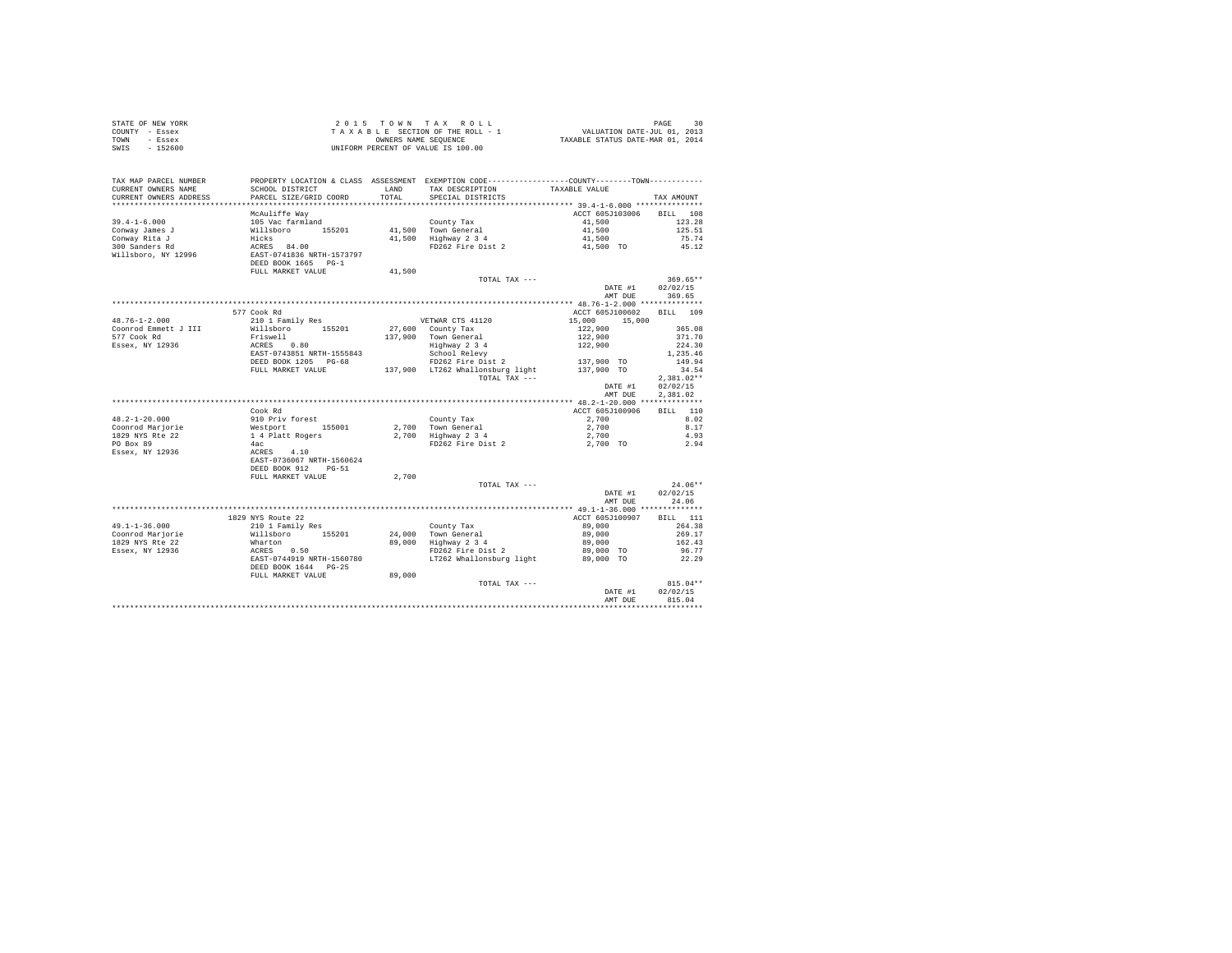| T A X A B L E SECTION OF THE ROLL - 1<br>OWNERS NAMES NAME SEQUENCE<br>UNIFORM PERCENT OF VALUE IS 100.00<br>SWIS - 152600<br>PROPERTY LOCATION & CLASS ASSESSMENT EXEMPTION CODE----------------COUNTY--------TOWN----------<br>TAX MAP PARCEL NUMBER<br>TAX DESCRIPTION TAXABLE VALUE<br>SCHOOL DISTRICT<br>CURRENT OWNERS NAME<br>LAND<br>CURRENT OWNERS ADDRESS<br>PARCEL SIZE/GRID COORD<br>TOTAL<br>SPECIAL DISTRICTS<br>TAX AMOUNT<br>McAuliffe Way<br>105 Vac farmland<br>Willsboro<br>Millsboro<br>Hicks<br>ACRES 84.00<br>EAST-0741836 NRTH-1573797<br>DEED BOOK 1665<br>PUT MADYMP WAY:<br>ACCT 605J103006<br>BILL 108<br>County Tax<br>41,500 Town General<br>41,500 Highway 2 3 4<br>FD262 Fire Dist 2<br>$39.4 - 1 - 6.000$<br>41,500<br>123.28<br>41,500<br>Conway James J<br>Conway Rita J<br>300 Sanders Rd<br>Willsboro, NY 12996<br>125.51<br>41,500<br>75.74<br>41,500 TO<br>45.12<br>FULL MARKET VALUE<br>41,500<br>TOTAL TAX ---<br>$369.65**$<br>DATE #1 02/02/15<br>AMT DUE<br>369.65<br>ACCT 605J100602 BILL 109<br>577 Cook Rd<br>VETWAR CTS 41120<br>$48.76 - 1 - 2.000$<br>310 1 Family Res (110 1 Pamily Res (11120 1311<br>210 1 Family Res (11120 15,000 15,000 15,000 15,000 15,000 15<br>210 1 Family Res (127,900 County Tax 122,900 365<br>2371-0743951 NRTH-1555843 5000 Respond Respond Respond Respon<br>Coonrod Emmett J III<br>365.08<br>577 Cook Rd<br>Essex, NY 12936<br>371.70<br>224.30<br>1,235.46<br>149.94<br>34.54<br>TOTAL TAX ---<br>$2.381.02**$<br>DATE #1 02/02/15<br>2.381.02<br>AMT DUE<br>ACCT 605J100906 BILL 110<br>Cook Rd<br>2,700<br>8.02<br>County Tax<br>2,700 Town General<br>2,700 Highway 2 3 4<br>FD262 Fire Dist 2<br>$2,700$<br>$2,700$<br>8.17<br>4.93<br>2,700 TO<br>2.94<br>2,700<br>$24.06**$<br>TOTAL TAX ---<br>DATE #1<br>02/02/15<br>AMT DUE<br>24.06<br>ACCT 605J100907<br><b>BILL</b> 111<br>1829 NYS Route 22<br>County Tax<br>24,000 Town General<br>89,000 Highway 2 3 4<br>FD262 Fire Dist 2<br>89,000<br>264.38<br>89,000<br>269.17<br>89,000<br>162.43<br>89,000 TO<br>96.77<br>FD262 Fire Dist 2<br>LT262 Whallonsburg light<br>89,000 TO<br>22.29<br>FULL MARKET VALUE<br>89,000<br>TOTAL TAX ---<br>$815.04**$<br>02/02/15<br>DATE #1<br>815.04<br>AMT DUE | COUNTY - Essex<br>TOWN - Essex |  |  |  |
|----------------------------------------------------------------------------------------------------------------------------------------------------------------------------------------------------------------------------------------------------------------------------------------------------------------------------------------------------------------------------------------------------------------------------------------------------------------------------------------------------------------------------------------------------------------------------------------------------------------------------------------------------------------------------------------------------------------------------------------------------------------------------------------------------------------------------------------------------------------------------------------------------------------------------------------------------------------------------------------------------------------------------------------------------------------------------------------------------------------------------------------------------------------------------------------------------------------------------------------------------------------------------------------------------------------------------------------------------------------------------------------------------------------------------------------------------------------------------------------------------------------------------------------------------------------------------------------------------------------------------------------------------------------------------------------------------------------------------------------------------------------------------------------------------------------------------------------------------------------------------------------------------------------------------------------------------------------------------------------------------------------------------------------------------------------------------------------------------------------------------------------------------------------------------------------------------------------------------------------------------|--------------------------------|--|--|--|
|                                                                                                                                                                                                                                                                                                                                                                                                                                                                                                                                                                                                                                                                                                                                                                                                                                                                                                                                                                                                                                                                                                                                                                                                                                                                                                                                                                                                                                                                                                                                                                                                                                                                                                                                                                                                                                                                                                                                                                                                                                                                                                                                                                                                                                                    |                                |  |  |  |
|                                                                                                                                                                                                                                                                                                                                                                                                                                                                                                                                                                                                                                                                                                                                                                                                                                                                                                                                                                                                                                                                                                                                                                                                                                                                                                                                                                                                                                                                                                                                                                                                                                                                                                                                                                                                                                                                                                                                                                                                                                                                                                                                                                                                                                                    |                                |  |  |  |
|                                                                                                                                                                                                                                                                                                                                                                                                                                                                                                                                                                                                                                                                                                                                                                                                                                                                                                                                                                                                                                                                                                                                                                                                                                                                                                                                                                                                                                                                                                                                                                                                                                                                                                                                                                                                                                                                                                                                                                                                                                                                                                                                                                                                                                                    |                                |  |  |  |
|                                                                                                                                                                                                                                                                                                                                                                                                                                                                                                                                                                                                                                                                                                                                                                                                                                                                                                                                                                                                                                                                                                                                                                                                                                                                                                                                                                                                                                                                                                                                                                                                                                                                                                                                                                                                                                                                                                                                                                                                                                                                                                                                                                                                                                                    |                                |  |  |  |
|                                                                                                                                                                                                                                                                                                                                                                                                                                                                                                                                                                                                                                                                                                                                                                                                                                                                                                                                                                                                                                                                                                                                                                                                                                                                                                                                                                                                                                                                                                                                                                                                                                                                                                                                                                                                                                                                                                                                                                                                                                                                                                                                                                                                                                                    |                                |  |  |  |
|                                                                                                                                                                                                                                                                                                                                                                                                                                                                                                                                                                                                                                                                                                                                                                                                                                                                                                                                                                                                                                                                                                                                                                                                                                                                                                                                                                                                                                                                                                                                                                                                                                                                                                                                                                                                                                                                                                                                                                                                                                                                                                                                                                                                                                                    |                                |  |  |  |
|                                                                                                                                                                                                                                                                                                                                                                                                                                                                                                                                                                                                                                                                                                                                                                                                                                                                                                                                                                                                                                                                                                                                                                                                                                                                                                                                                                                                                                                                                                                                                                                                                                                                                                                                                                                                                                                                                                                                                                                                                                                                                                                                                                                                                                                    |                                |  |  |  |
|                                                                                                                                                                                                                                                                                                                                                                                                                                                                                                                                                                                                                                                                                                                                                                                                                                                                                                                                                                                                                                                                                                                                                                                                                                                                                                                                                                                                                                                                                                                                                                                                                                                                                                                                                                                                                                                                                                                                                                                                                                                                                                                                                                                                                                                    |                                |  |  |  |
|                                                                                                                                                                                                                                                                                                                                                                                                                                                                                                                                                                                                                                                                                                                                                                                                                                                                                                                                                                                                                                                                                                                                                                                                                                                                                                                                                                                                                                                                                                                                                                                                                                                                                                                                                                                                                                                                                                                                                                                                                                                                                                                                                                                                                                                    |                                |  |  |  |
|                                                                                                                                                                                                                                                                                                                                                                                                                                                                                                                                                                                                                                                                                                                                                                                                                                                                                                                                                                                                                                                                                                                                                                                                                                                                                                                                                                                                                                                                                                                                                                                                                                                                                                                                                                                                                                                                                                                                                                                                                                                                                                                                                                                                                                                    |                                |  |  |  |
|                                                                                                                                                                                                                                                                                                                                                                                                                                                                                                                                                                                                                                                                                                                                                                                                                                                                                                                                                                                                                                                                                                                                                                                                                                                                                                                                                                                                                                                                                                                                                                                                                                                                                                                                                                                                                                                                                                                                                                                                                                                                                                                                                                                                                                                    |                                |  |  |  |
|                                                                                                                                                                                                                                                                                                                                                                                                                                                                                                                                                                                                                                                                                                                                                                                                                                                                                                                                                                                                                                                                                                                                                                                                                                                                                                                                                                                                                                                                                                                                                                                                                                                                                                                                                                                                                                                                                                                                                                                                                                                                                                                                                                                                                                                    |                                |  |  |  |
|                                                                                                                                                                                                                                                                                                                                                                                                                                                                                                                                                                                                                                                                                                                                                                                                                                                                                                                                                                                                                                                                                                                                                                                                                                                                                                                                                                                                                                                                                                                                                                                                                                                                                                                                                                                                                                                                                                                                                                                                                                                                                                                                                                                                                                                    |                                |  |  |  |
|                                                                                                                                                                                                                                                                                                                                                                                                                                                                                                                                                                                                                                                                                                                                                                                                                                                                                                                                                                                                                                                                                                                                                                                                                                                                                                                                                                                                                                                                                                                                                                                                                                                                                                                                                                                                                                                                                                                                                                                                                                                                                                                                                                                                                                                    |                                |  |  |  |
|                                                                                                                                                                                                                                                                                                                                                                                                                                                                                                                                                                                                                                                                                                                                                                                                                                                                                                                                                                                                                                                                                                                                                                                                                                                                                                                                                                                                                                                                                                                                                                                                                                                                                                                                                                                                                                                                                                                                                                                                                                                                                                                                                                                                                                                    |                                |  |  |  |
|                                                                                                                                                                                                                                                                                                                                                                                                                                                                                                                                                                                                                                                                                                                                                                                                                                                                                                                                                                                                                                                                                                                                                                                                                                                                                                                                                                                                                                                                                                                                                                                                                                                                                                                                                                                                                                                                                                                                                                                                                                                                                                                                                                                                                                                    |                                |  |  |  |
|                                                                                                                                                                                                                                                                                                                                                                                                                                                                                                                                                                                                                                                                                                                                                                                                                                                                                                                                                                                                                                                                                                                                                                                                                                                                                                                                                                                                                                                                                                                                                                                                                                                                                                                                                                                                                                                                                                                                                                                                                                                                                                                                                                                                                                                    |                                |  |  |  |
|                                                                                                                                                                                                                                                                                                                                                                                                                                                                                                                                                                                                                                                                                                                                                                                                                                                                                                                                                                                                                                                                                                                                                                                                                                                                                                                                                                                                                                                                                                                                                                                                                                                                                                                                                                                                                                                                                                                                                                                                                                                                                                                                                                                                                                                    |                                |  |  |  |
|                                                                                                                                                                                                                                                                                                                                                                                                                                                                                                                                                                                                                                                                                                                                                                                                                                                                                                                                                                                                                                                                                                                                                                                                                                                                                                                                                                                                                                                                                                                                                                                                                                                                                                                                                                                                                                                                                                                                                                                                                                                                                                                                                                                                                                                    |                                |  |  |  |
|                                                                                                                                                                                                                                                                                                                                                                                                                                                                                                                                                                                                                                                                                                                                                                                                                                                                                                                                                                                                                                                                                                                                                                                                                                                                                                                                                                                                                                                                                                                                                                                                                                                                                                                                                                                                                                                                                                                                                                                                                                                                                                                                                                                                                                                    |                                |  |  |  |
|                                                                                                                                                                                                                                                                                                                                                                                                                                                                                                                                                                                                                                                                                                                                                                                                                                                                                                                                                                                                                                                                                                                                                                                                                                                                                                                                                                                                                                                                                                                                                                                                                                                                                                                                                                                                                                                                                                                                                                                                                                                                                                                                                                                                                                                    |                                |  |  |  |
|                                                                                                                                                                                                                                                                                                                                                                                                                                                                                                                                                                                                                                                                                                                                                                                                                                                                                                                                                                                                                                                                                                                                                                                                                                                                                                                                                                                                                                                                                                                                                                                                                                                                                                                                                                                                                                                                                                                                                                                                                                                                                                                                                                                                                                                    |                                |  |  |  |
|                                                                                                                                                                                                                                                                                                                                                                                                                                                                                                                                                                                                                                                                                                                                                                                                                                                                                                                                                                                                                                                                                                                                                                                                                                                                                                                                                                                                                                                                                                                                                                                                                                                                                                                                                                                                                                                                                                                                                                                                                                                                                                                                                                                                                                                    |                                |  |  |  |
|                                                                                                                                                                                                                                                                                                                                                                                                                                                                                                                                                                                                                                                                                                                                                                                                                                                                                                                                                                                                                                                                                                                                                                                                                                                                                                                                                                                                                                                                                                                                                                                                                                                                                                                                                                                                                                                                                                                                                                                                                                                                                                                                                                                                                                                    |                                |  |  |  |
|                                                                                                                                                                                                                                                                                                                                                                                                                                                                                                                                                                                                                                                                                                                                                                                                                                                                                                                                                                                                                                                                                                                                                                                                                                                                                                                                                                                                                                                                                                                                                                                                                                                                                                                                                                                                                                                                                                                                                                                                                                                                                                                                                                                                                                                    |                                |  |  |  |
|                                                                                                                                                                                                                                                                                                                                                                                                                                                                                                                                                                                                                                                                                                                                                                                                                                                                                                                                                                                                                                                                                                                                                                                                                                                                                                                                                                                                                                                                                                                                                                                                                                                                                                                                                                                                                                                                                                                                                                                                                                                                                                                                                                                                                                                    |                                |  |  |  |
|                                                                                                                                                                                                                                                                                                                                                                                                                                                                                                                                                                                                                                                                                                                                                                                                                                                                                                                                                                                                                                                                                                                                                                                                                                                                                                                                                                                                                                                                                                                                                                                                                                                                                                                                                                                                                                                                                                                                                                                                                                                                                                                                                                                                                                                    |                                |  |  |  |
|                                                                                                                                                                                                                                                                                                                                                                                                                                                                                                                                                                                                                                                                                                                                                                                                                                                                                                                                                                                                                                                                                                                                                                                                                                                                                                                                                                                                                                                                                                                                                                                                                                                                                                                                                                                                                                                                                                                                                                                                                                                                                                                                                                                                                                                    |                                |  |  |  |
|                                                                                                                                                                                                                                                                                                                                                                                                                                                                                                                                                                                                                                                                                                                                                                                                                                                                                                                                                                                                                                                                                                                                                                                                                                                                                                                                                                                                                                                                                                                                                                                                                                                                                                                                                                                                                                                                                                                                                                                                                                                                                                                                                                                                                                                    |                                |  |  |  |
|                                                                                                                                                                                                                                                                                                                                                                                                                                                                                                                                                                                                                                                                                                                                                                                                                                                                                                                                                                                                                                                                                                                                                                                                                                                                                                                                                                                                                                                                                                                                                                                                                                                                                                                                                                                                                                                                                                                                                                                                                                                                                                                                                                                                                                                    |                                |  |  |  |
|                                                                                                                                                                                                                                                                                                                                                                                                                                                                                                                                                                                                                                                                                                                                                                                                                                                                                                                                                                                                                                                                                                                                                                                                                                                                                                                                                                                                                                                                                                                                                                                                                                                                                                                                                                                                                                                                                                                                                                                                                                                                                                                                                                                                                                                    |                                |  |  |  |
|                                                                                                                                                                                                                                                                                                                                                                                                                                                                                                                                                                                                                                                                                                                                                                                                                                                                                                                                                                                                                                                                                                                                                                                                                                                                                                                                                                                                                                                                                                                                                                                                                                                                                                                                                                                                                                                                                                                                                                                                                                                                                                                                                                                                                                                    |                                |  |  |  |
|                                                                                                                                                                                                                                                                                                                                                                                                                                                                                                                                                                                                                                                                                                                                                                                                                                                                                                                                                                                                                                                                                                                                                                                                                                                                                                                                                                                                                                                                                                                                                                                                                                                                                                                                                                                                                                                                                                                                                                                                                                                                                                                                                                                                                                                    |                                |  |  |  |
|                                                                                                                                                                                                                                                                                                                                                                                                                                                                                                                                                                                                                                                                                                                                                                                                                                                                                                                                                                                                                                                                                                                                                                                                                                                                                                                                                                                                                                                                                                                                                                                                                                                                                                                                                                                                                                                                                                                                                                                                                                                                                                                                                                                                                                                    |                                |  |  |  |
|                                                                                                                                                                                                                                                                                                                                                                                                                                                                                                                                                                                                                                                                                                                                                                                                                                                                                                                                                                                                                                                                                                                                                                                                                                                                                                                                                                                                                                                                                                                                                                                                                                                                                                                                                                                                                                                                                                                                                                                                                                                                                                                                                                                                                                                    |                                |  |  |  |
|                                                                                                                                                                                                                                                                                                                                                                                                                                                                                                                                                                                                                                                                                                                                                                                                                                                                                                                                                                                                                                                                                                                                                                                                                                                                                                                                                                                                                                                                                                                                                                                                                                                                                                                                                                                                                                                                                                                                                                                                                                                                                                                                                                                                                                                    |                                |  |  |  |
|                                                                                                                                                                                                                                                                                                                                                                                                                                                                                                                                                                                                                                                                                                                                                                                                                                                                                                                                                                                                                                                                                                                                                                                                                                                                                                                                                                                                                                                                                                                                                                                                                                                                                                                                                                                                                                                                                                                                                                                                                                                                                                                                                                                                                                                    |                                |  |  |  |
|                                                                                                                                                                                                                                                                                                                                                                                                                                                                                                                                                                                                                                                                                                                                                                                                                                                                                                                                                                                                                                                                                                                                                                                                                                                                                                                                                                                                                                                                                                                                                                                                                                                                                                                                                                                                                                                                                                                                                                                                                                                                                                                                                                                                                                                    |                                |  |  |  |
|                                                                                                                                                                                                                                                                                                                                                                                                                                                                                                                                                                                                                                                                                                                                                                                                                                                                                                                                                                                                                                                                                                                                                                                                                                                                                                                                                                                                                                                                                                                                                                                                                                                                                                                                                                                                                                                                                                                                                                                                                                                                                                                                                                                                                                                    |                                |  |  |  |
|                                                                                                                                                                                                                                                                                                                                                                                                                                                                                                                                                                                                                                                                                                                                                                                                                                                                                                                                                                                                                                                                                                                                                                                                                                                                                                                                                                                                                                                                                                                                                                                                                                                                                                                                                                                                                                                                                                                                                                                                                                                                                                                                                                                                                                                    |                                |  |  |  |
|                                                                                                                                                                                                                                                                                                                                                                                                                                                                                                                                                                                                                                                                                                                                                                                                                                                                                                                                                                                                                                                                                                                                                                                                                                                                                                                                                                                                                                                                                                                                                                                                                                                                                                                                                                                                                                                                                                                                                                                                                                                                                                                                                                                                                                                    |                                |  |  |  |
|                                                                                                                                                                                                                                                                                                                                                                                                                                                                                                                                                                                                                                                                                                                                                                                                                                                                                                                                                                                                                                                                                                                                                                                                                                                                                                                                                                                                                                                                                                                                                                                                                                                                                                                                                                                                                                                                                                                                                                                                                                                                                                                                                                                                                                                    |                                |  |  |  |
|                                                                                                                                                                                                                                                                                                                                                                                                                                                                                                                                                                                                                                                                                                                                                                                                                                                                                                                                                                                                                                                                                                                                                                                                                                                                                                                                                                                                                                                                                                                                                                                                                                                                                                                                                                                                                                                                                                                                                                                                                                                                                                                                                                                                                                                    |                                |  |  |  |
|                                                                                                                                                                                                                                                                                                                                                                                                                                                                                                                                                                                                                                                                                                                                                                                                                                                                                                                                                                                                                                                                                                                                                                                                                                                                                                                                                                                                                                                                                                                                                                                                                                                                                                                                                                                                                                                                                                                                                                                                                                                                                                                                                                                                                                                    |                                |  |  |  |
|                                                                                                                                                                                                                                                                                                                                                                                                                                                                                                                                                                                                                                                                                                                                                                                                                                                                                                                                                                                                                                                                                                                                                                                                                                                                                                                                                                                                                                                                                                                                                                                                                                                                                                                                                                                                                                                                                                                                                                                                                                                                                                                                                                                                                                                    |                                |  |  |  |
|                                                                                                                                                                                                                                                                                                                                                                                                                                                                                                                                                                                                                                                                                                                                                                                                                                                                                                                                                                                                                                                                                                                                                                                                                                                                                                                                                                                                                                                                                                                                                                                                                                                                                                                                                                                                                                                                                                                                                                                                                                                                                                                                                                                                                                                    |                                |  |  |  |
|                                                                                                                                                                                                                                                                                                                                                                                                                                                                                                                                                                                                                                                                                                                                                                                                                                                                                                                                                                                                                                                                                                                                                                                                                                                                                                                                                                                                                                                                                                                                                                                                                                                                                                                                                                                                                                                                                                                                                                                                                                                                                                                                                                                                                                                    |                                |  |  |  |
|                                                                                                                                                                                                                                                                                                                                                                                                                                                                                                                                                                                                                                                                                                                                                                                                                                                                                                                                                                                                                                                                                                                                                                                                                                                                                                                                                                                                                                                                                                                                                                                                                                                                                                                                                                                                                                                                                                                                                                                                                                                                                                                                                                                                                                                    |                                |  |  |  |
|                                                                                                                                                                                                                                                                                                                                                                                                                                                                                                                                                                                                                                                                                                                                                                                                                                                                                                                                                                                                                                                                                                                                                                                                                                                                                                                                                                                                                                                                                                                                                                                                                                                                                                                                                                                                                                                                                                                                                                                                                                                                                                                                                                                                                                                    |                                |  |  |  |
|                                                                                                                                                                                                                                                                                                                                                                                                                                                                                                                                                                                                                                                                                                                                                                                                                                                                                                                                                                                                                                                                                                                                                                                                                                                                                                                                                                                                                                                                                                                                                                                                                                                                                                                                                                                                                                                                                                                                                                                                                                                                                                                                                                                                                                                    |                                |  |  |  |
|                                                                                                                                                                                                                                                                                                                                                                                                                                                                                                                                                                                                                                                                                                                                                                                                                                                                                                                                                                                                                                                                                                                                                                                                                                                                                                                                                                                                                                                                                                                                                                                                                                                                                                                                                                                                                                                                                                                                                                                                                                                                                                                                                                                                                                                    |                                |  |  |  |
|                                                                                                                                                                                                                                                                                                                                                                                                                                                                                                                                                                                                                                                                                                                                                                                                                                                                                                                                                                                                                                                                                                                                                                                                                                                                                                                                                                                                                                                                                                                                                                                                                                                                                                                                                                                                                                                                                                                                                                                                                                                                                                                                                                                                                                                    |                                |  |  |  |
|                                                                                                                                                                                                                                                                                                                                                                                                                                                                                                                                                                                                                                                                                                                                                                                                                                                                                                                                                                                                                                                                                                                                                                                                                                                                                                                                                                                                                                                                                                                                                                                                                                                                                                                                                                                                                                                                                                                                                                                                                                                                                                                                                                                                                                                    |                                |  |  |  |

STATE OF NEW YORK 20 15 TOWN TAX ROLL STATE OF NEW YORK 30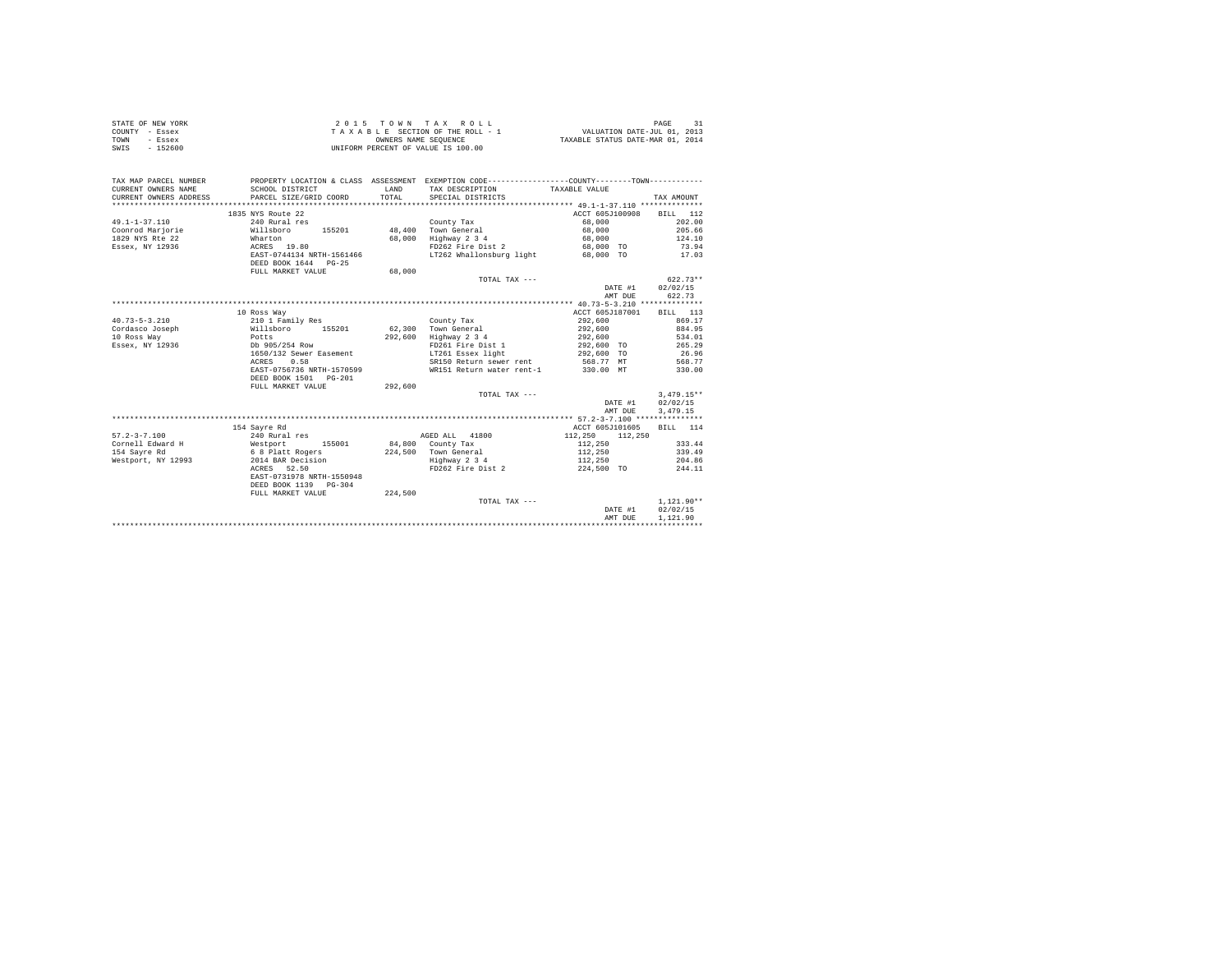| STATE OF NEW YORK<br>COUNTY - Essex<br>- Essex<br>TOWN<br>$-152600$<br>SWIS | UNIFORM PERCENT OF VALUE IS 100.00 |              | 2015 TOWN TAX ROLL<br>TAXABLE SECTION OF THE ROLL - 1<br>TAXABLE SECTION OF THE ROLL - 1<br>OWNERS NAME SEQUENCE<br>TAXABLE STATUS DATE-MAR 01, 2014 |                                    | 31<br>PAGE               |
|-----------------------------------------------------------------------------|------------------------------------|--------------|------------------------------------------------------------------------------------------------------------------------------------------------------|------------------------------------|--------------------------|
| TAX MAP PARCEL NUMBER                                                       |                                    |              | PROPERTY LOCATION & CLASS ASSESSMENT EXEMPTION CODE---------------COUNTY-------TOWN---------                                                         |                                    |                          |
| CURRENT OWNERS NAME                                                         | SCHOOL DISTRICT                    | <b>T.AND</b> | TAX DESCRIPTION TAXABLE VALUE                                                                                                                        |                                    |                          |
| CURRENT OWNERS ADDRESS                                                      | PARCEL SIZE/GRID COORD             | TOTAL        | SPECIAL DISTRICTS                                                                                                                                    |                                    | TAX AMOUNT               |
|                                                                             |                                    |              |                                                                                                                                                      |                                    |                          |
|                                                                             | 1835 NYS Route 22                  |              |                                                                                                                                                      | ACCT 605J100908                    | BILL 112                 |
| $49.1 - 1 - 37.110$                                                         | 240 Rural res                      |              | County Tax                                                                                                                                           | 68,000                             | 202.00                   |
| Coonrod Marjorie                                                            | Willsboro 155201                   |              | 48.400 Town General                                                                                                                                  | 68,000                             | 205.66                   |
| 1829 NYS Rte 22                                                             | Wharton                            |              | 68,000 Highway 2 3 4                                                                                                                                 | 68,000                             | 124.10                   |
| Essex, NY 12936                                                             | ACRES 19.80                        |              | FD262 Fire Dist 2                                                                                                                                    | 68,000 TO                          | 73.94                    |
|                                                                             | EAST-0744134 NRTH-1561466          |              | LT262 Whallonsburg light 68,000 TO                                                                                                                   |                                    | 17.03                    |
|                                                                             | DEED BOOK 1644 PG-25               |              |                                                                                                                                                      |                                    |                          |
|                                                                             | FULL MARKET VALUE                  | 68,000       |                                                                                                                                                      |                                    |                          |
|                                                                             |                                    |              | TOTAL TAX $---$                                                                                                                                      |                                    | $622.73**$               |
|                                                                             |                                    |              |                                                                                                                                                      | DATE #1                            | 02/02/15                 |
|                                                                             |                                    |              |                                                                                                                                                      | AMT DUE                            | 622.73                   |
|                                                                             |                                    |              |                                                                                                                                                      |                                    |                          |
|                                                                             | 10 Ross Way                        |              |                                                                                                                                                      | ACCT 605J187001                    | BILL 113                 |
| $40.73 - 5 - 3.210$                                                         | 210 1 Family Res                   |              | County Tax                                                                                                                                           | 292,600                            | 869.17                   |
| Cordasco Joseph                                                             | Willsboro<br>155201                |              | 62.300 Town General                                                                                                                                  | 292,600                            | 884.95                   |
| 10 Ross Way                                                                 | Potts                              |              | 292,600 Highway 2 3 4                                                                                                                                | 292,600                            | 534.01                   |
| Essex, NY 12936                                                             | Db 905/254 Row                     |              | FD261 Fire Dist 1                                                                                                                                    | 292,600 TO                         | 265.29                   |
|                                                                             | 1650/132 Sewer Easement            |              | LT261 Essex light                                                                                                                                    | 292,600 TO                         | 26.96                    |
|                                                                             | 0.58<br>ACRES                      |              | SR150 Return sewer rent                                                                                                                              | 568.77 MT                          | 568.77                   |
|                                                                             | EAST-0756736 NRTH-1570599          |              | WR151 Return water rent-1                                                                                                                            | 330.00 MT                          | 330.00                   |
|                                                                             | DEED BOOK 1501 PG-201              |              |                                                                                                                                                      |                                    |                          |
|                                                                             | FULL MARKET VALUE                  | 292,600      |                                                                                                                                                      |                                    |                          |
|                                                                             |                                    |              | TOTAL TAX ---                                                                                                                                        |                                    | $3.479.15**$<br>02/02/15 |
|                                                                             |                                    |              |                                                                                                                                                      | DATE #1<br>AMT DUE                 | 3,479.15                 |
|                                                                             |                                    |              |                                                                                                                                                      |                                    |                          |
|                                                                             | 154 Savre Rd                       |              |                                                                                                                                                      | ACCT 605J101605                    | BILL 114                 |
| $57.2 - 3 - 7.100$                                                          | 240 Rural res                      |              | AGED ALL 41800                                                                                                                                       | 112,250<br>112,250                 |                          |
| Cornell Edward H                                                            | 155001                             |              | 84,800 County Tax                                                                                                                                    | 112,250                            | 333.44                   |
| 154 Sayre Rd                                                                | Westport 15500<br>6 8 Platt Rogers |              | 224,500 Town General                                                                                                                                 | 112,250                            | 339.49                   |
| Westport, NY 12993                                                          | 2014 BAR Decision                  |              | Highway 2 3 4                                                                                                                                        | 112,250                            | 204.86                   |
|                                                                             | ACRES 52.50                        |              | FD262 Fire Dist 2                                                                                                                                    | 224,500 TO                         | 244.11                   |
|                                                                             | EAST-0731978 NRTH-1550948          |              |                                                                                                                                                      |                                    |                          |
|                                                                             | DEED BOOK 1139 PG-304              |              |                                                                                                                                                      |                                    |                          |
|                                                                             | FULL MARKET VALUE                  | 224,500      |                                                                                                                                                      |                                    |                          |
|                                                                             |                                    |              | TOTAL TAX ---                                                                                                                                        |                                    | $1.121.90**$             |
|                                                                             |                                    |              |                                                                                                                                                      | DATE #1                            | 02/02/15                 |
|                                                                             |                                    |              |                                                                                                                                                      | AMT DUE                            | 1,121.90                 |
|                                                                             |                                    |              |                                                                                                                                                      | ********************************** |                          |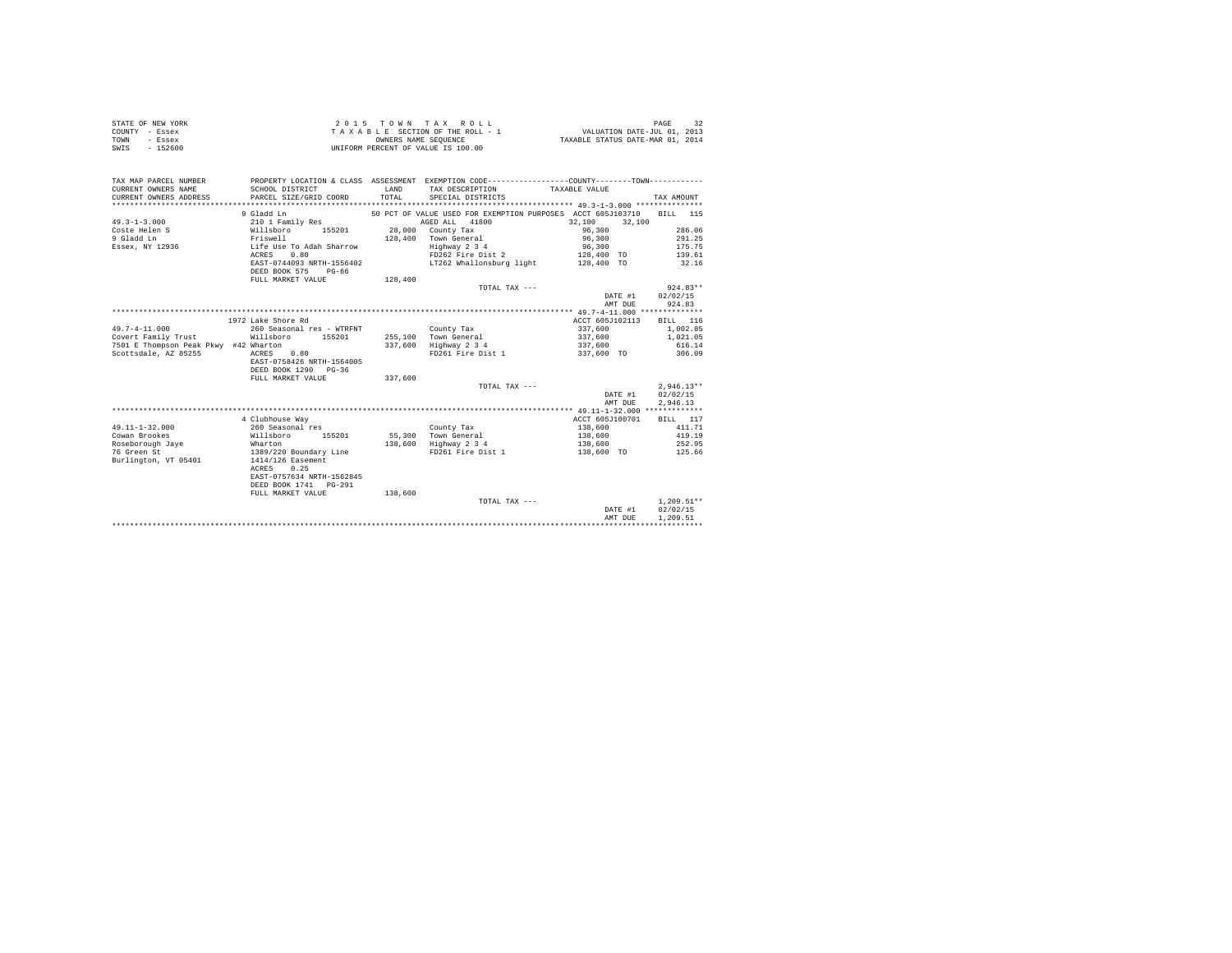| STATE OF NEW YORK<br>COUNTY - Essex<br>TOWN<br>- Essex<br>SWIS - 152600 | OWNERS NAME SEQUENCE<br>UNIFORM PERCENT OF VALUE IS 100.00 |         | 2015 TOWN TAX ROLL<br>TAXABLE SECTION OF THE ROLL - 1<br>TAXABLE SECTION OF THE ROLL - 1<br>OWNERS NAME SEQUENCE<br>TAXABLE STATUS DATE-MAR 01, 2014 |                                             | 32<br>PAGE       |
|-------------------------------------------------------------------------|------------------------------------------------------------|---------|------------------------------------------------------------------------------------------------------------------------------------------------------|---------------------------------------------|------------------|
| TAX MAP PARCEL NUMBER                                                   |                                                            |         | PROPERTY LOCATION & CLASS ASSESSMENT EXEMPTION CODE---------------COUNTY-------TOWN---------                                                         |                                             |                  |
| CURRENT OWNERS NAME                                                     | SCHOOL DISTRICT                                            | T.AND   | TAX DESCRIPTION TAXABLE VALUE                                                                                                                        |                                             |                  |
| CURRENT OWNERS ADDRESS                                                  | PARCEL SIZE/GRID COORD                                     | TOTAL   | SPECIAL DISTRICTS                                                                                                                                    |                                             | TAX AMOUNT       |
|                                                                         |                                                            |         |                                                                                                                                                      |                                             |                  |
|                                                                         | 9 Gladd Ln                                                 |         | 50 PCT OF VALUE USED FOR EXEMPTION PURPOSES ACCT 605J103710                                                                                          |                                             | BTT.T. 115       |
| $49.3 - 1 - 3.000$                                                      | 210 1 Family Res                                           |         | AGED ALL 41800                                                                                                                                       | 32,100<br>32,100                            |                  |
| Coste Helen S<br>9 Gladd Ln                                             | Willsboro 155201                                           |         | 28,000 County Tax                                                                                                                                    | 96,300                                      | 286.06           |
|                                                                         | Friswell<br>Life Use To Adah Sharrow                       |         | 128,400 Town General                                                                                                                                 | 96,300                                      | 291.25           |
| Essex, NY 12936                                                         |                                                            |         | Highway 2 3 4                                                                                                                                        | 96,300                                      | 175.75           |
|                                                                         | ACRES 0.80<br>EAST-0744093 NRTH-1556402                    |         | FD262 Fire Dist 2<br>LT262 Whallonsburg light                                                                                                        | 128,400 TO<br>128,400 TO                    | 139.61<br>32.16  |
|                                                                         | DEED BOOK 575 PG-66                                        |         |                                                                                                                                                      |                                             |                  |
|                                                                         | FULL MARKET VALUE                                          | 128,400 |                                                                                                                                                      |                                             |                  |
|                                                                         |                                                            |         | TOTAL TAX ---                                                                                                                                        |                                             | $924.83**$       |
|                                                                         |                                                            |         |                                                                                                                                                      |                                             | DATE #1 02/02/15 |
|                                                                         |                                                            |         |                                                                                                                                                      | AMT DUE                                     | 924.83           |
|                                                                         |                                                            |         |                                                                                                                                                      |                                             |                  |
|                                                                         | 1972 Lake Shore Rd                                         |         |                                                                                                                                                      | ACCT 605J102113                             | BILL 116         |
| $49.7 - 4 - 11.000$                                                     | 260 Seasonal res - WTRFNT County Tax                       |         |                                                                                                                                                      | 337,600                                     | 1,002.85         |
| Covert Family Trust                                                     | Willsboro 155201                                           |         | 255,100 Town General                                                                                                                                 | 337,600                                     | 1,021,05         |
| 7501 E Thompson Peak Pkwy #42 Wharton                                   |                                                            |         | $337,600$ Highway 2 3 4                                                                                                                              | 337,600                                     | 616.14           |
| Scottsdale, AZ 85255                                                    | $ACRES$ 0.80                                               |         | FD261 Fire Dist 1                                                                                                                                    | 337,600 TO                                  | 306.09           |
|                                                                         | EAST-0758426 NRTH-1564005                                  |         |                                                                                                                                                      |                                             |                  |
|                                                                         | DEED BOOK 1290 PG-36                                       |         |                                                                                                                                                      |                                             |                  |
|                                                                         | FULL MARKET VALUE                                          | 337,600 |                                                                                                                                                      |                                             |                  |
|                                                                         |                                                            |         | TOTAL TAX ---                                                                                                                                        |                                             | $2.946.13**$     |
|                                                                         |                                                            |         |                                                                                                                                                      | DATE #1                                     | 02/02/15         |
|                                                                         |                                                            |         |                                                                                                                                                      | AMT DUE                                     | 2,946.13         |
|                                                                         |                                                            |         |                                                                                                                                                      |                                             |                  |
|                                                                         | 4 Clubhouse Way                                            |         |                                                                                                                                                      | ACCT 605J100701                             | BILL 117         |
| $49.11 - 1 - 32.000$                                                    | 260 Seasonal res                                           |         | County Tax                                                                                                                                           | 138,600                                     | 411.71           |
| Cowan Brookes                                                           | Willsboro 155201                                           |         | 55,300 Town General                                                                                                                                  | 138,600                                     | 419.19           |
| Roseborough Jave                                                        |                                                            |         | 138,600 Highway 2 3 4                                                                                                                                | 138,600                                     | 252.95           |
| 76 Green St                                                             | Wharton<br>1389/220 Boundary Line                          |         | FD261 Fire Dist 1                                                                                                                                    | 138,600 TO                                  | 125.66           |
| Burlington, VT 05401                                                    | 1414/126 Easement                                          |         |                                                                                                                                                      |                                             |                  |
|                                                                         | ACRES 0.25                                                 |         |                                                                                                                                                      |                                             |                  |
|                                                                         | EAST-0757634 NRTH-1562845                                  |         |                                                                                                                                                      |                                             |                  |
|                                                                         | DEED BOOK 1741 PG-291                                      |         |                                                                                                                                                      |                                             |                  |
|                                                                         | FULL MARKET VALUE                                          | 138,600 |                                                                                                                                                      |                                             |                  |
|                                                                         |                                                            |         | TOTAL TAX ---                                                                                                                                        |                                             | $1.209.51**$     |
|                                                                         |                                                            |         |                                                                                                                                                      | DATE #1                                     | 02/02/15         |
|                                                                         |                                                            |         |                                                                                                                                                      | AMT DUE<br>******************************** | 1,209.51         |
|                                                                         |                                                            |         |                                                                                                                                                      |                                             |                  |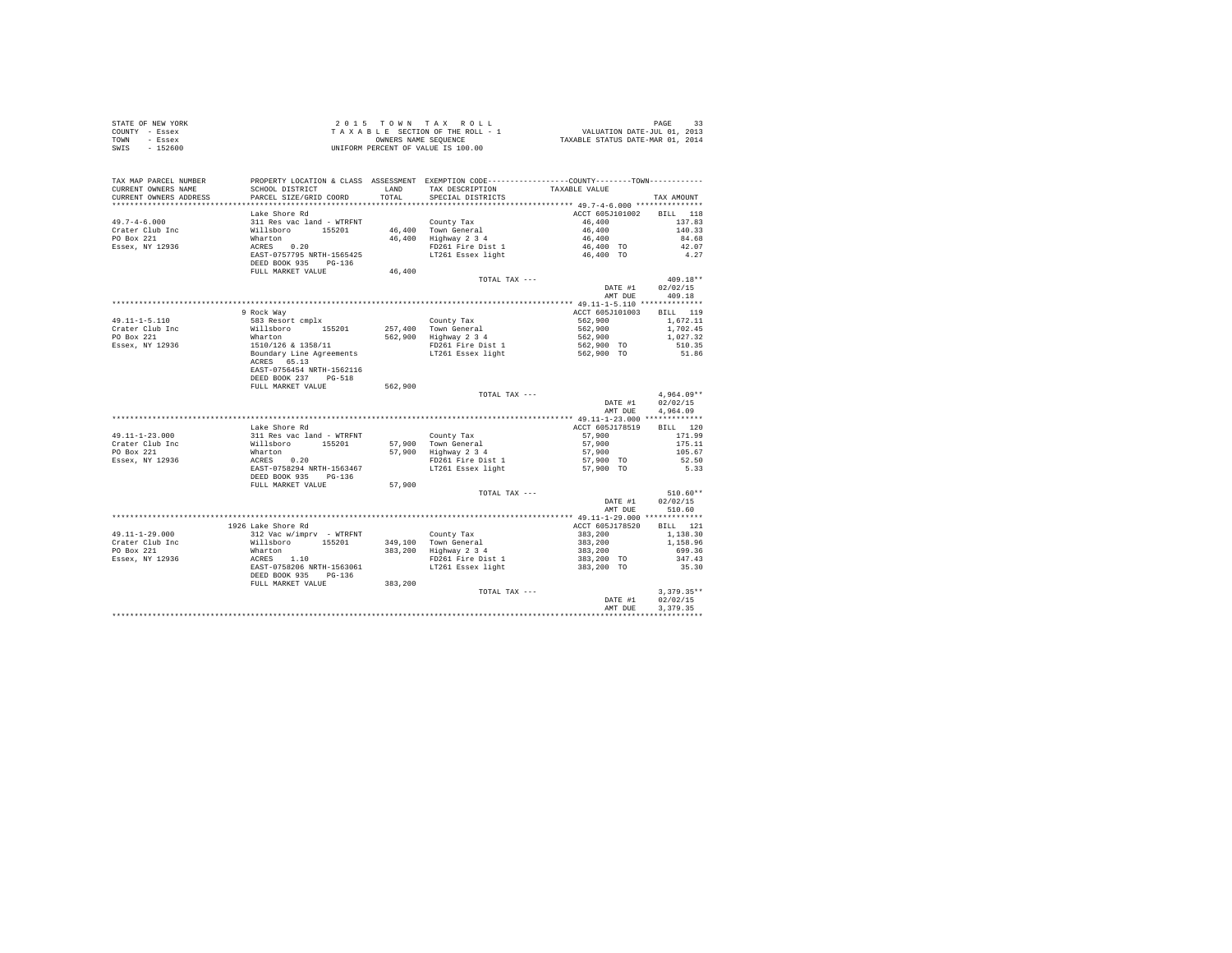| STATE OF NEW YORK                                                                                                  |                                                                                                                                                                                                                                      |         |                                                           |                                                                                  |                |
|--------------------------------------------------------------------------------------------------------------------|--------------------------------------------------------------------------------------------------------------------------------------------------------------------------------------------------------------------------------------|---------|-----------------------------------------------------------|----------------------------------------------------------------------------------|----------------|
| COUNTY - Essex                                                                                                     |                                                                                                                                                                                                                                      |         |                                                           |                                                                                  |                |
| TOWN - Essex                                                                                                       |                                                                                                                                                                                                                                      |         |                                                           |                                                                                  |                |
| SWIS - 152600                                                                                                      |                                                                                                                                                                                                                                      |         |                                                           |                                                                                  |                |
|                                                                                                                    |                                                                                                                                                                                                                                      |         |                                                           |                                                                                  |                |
|                                                                                                                    |                                                                                                                                                                                                                                      |         |                                                           |                                                                                  |                |
|                                                                                                                    |                                                                                                                                                                                                                                      |         |                                                           |                                                                                  |                |
| TAX MAP PARCEL NUMBER PROPERTY LOCATION & CLASS ASSESSMENT EXEMPTION CODE---------------COUNTY-------TOWN--------- |                                                                                                                                                                                                                                      |         |                                                           |                                                                                  |                |
| CURRENT OWNERS NAME                                                                                                | SCHOOL DISTRICT                                                                                                                                                                                                                      |         | LAND TAX DESCRIPTION TAXABLE VALUE                        |                                                                                  |                |
| CURRENT OWNERS ADDRESS                                                                                             | PARCEL SIZE/GRID COORD                                                                                                                                                                                                               | TOTAL.  | SPECIAL DISTRICTS                                         |                                                                                  | TAX AMOUNT     |
|                                                                                                                    |                                                                                                                                                                                                                                      |         |                                                           |                                                                                  |                |
|                                                                                                                    | Lake Shore Rd                                                                                                                                                                                                                        |         |                                                           | ACCT 605J101002 BILL 118                                                         |                |
| $49.7 - 4 - 6.000$                                                                                                 | 311 Res vac land - WTRFNT                                                                                                                                                                                                            |         |                                                           | 46,400                                                                           | 137.83         |
|                                                                                                                    |                                                                                                                                                                                                                                      |         |                                                           | 46,400                                                                           | 140.33         |
| Crater Club Inc<br>PO Box 221                                                                                      |                                                                                                                                                                                                                                      |         | County Tax<br>46,400 Town General<br>46,400 Highway 2 3 4 |                                                                                  |                |
|                                                                                                                    |                                                                                                                                                                                                                                      |         |                                                           | 46,400<br>46,400 TO<br>46,400 TO                                                 | 84.68          |
| $ESSex$ , NY 12936                                                                                                 |                                                                                                                                                                                                                                      |         | FD261 Fire Dist 1<br>LT261 Essex light                    |                                                                                  | 42.07          |
|                                                                                                                    |                                                                                                                                                                                                                                      |         |                                                           |                                                                                  | 4.27           |
|                                                                                                                    |                                                                                                                                                                                                                                      |         |                                                           |                                                                                  |                |
|                                                                                                                    | 311 Res vac 1and - WTRFNT<br>Whatton<br>Maxton 155201<br>ACRES 0.20<br>EAST-0757795 NRTH-1565425<br>DEED BOOK 935 PG-136<br>FULL MARKET VALUE                                                                                        | 46,400  |                                                           |                                                                                  |                |
|                                                                                                                    |                                                                                                                                                                                                                                      |         | TOTAL TAX ---                                             |                                                                                  | $409.18**$     |
|                                                                                                                    |                                                                                                                                                                                                                                      |         |                                                           | DATE #1                                                                          | 02/02/15       |
|                                                                                                                    |                                                                                                                                                                                                                                      |         |                                                           |                                                                                  | AMT DUE 409.18 |
|                                                                                                                    |                                                                                                                                                                                                                                      |         |                                                           |                                                                                  |                |
|                                                                                                                    | 9 Rock Way                                                                                                                                                                                                                           |         |                                                           | ACCT 605J101003 BILL 119                                                         |                |
| 49.11-1-5.110                                                                                                      |                                                                                                                                                                                                                                      |         |                                                           | 562,900                                                                          | 1,672.11       |
|                                                                                                                    |                                                                                                                                                                                                                                      |         |                                                           | 562,900                                                                          | 1,702.45       |
| Crater Club Inc<br>PO Box 221                                                                                      |                                                                                                                                                                                                                                      |         |                                                           | 562,900                                                                          | 1,027.32       |
| Essex, NY 12936                                                                                                    |                                                                                                                                                                                                                                      |         |                                                           | 562,900 TO<br>562,900 TO                                                         | 510.35         |
|                                                                                                                    |                                                                                                                                                                                                                                      |         |                                                           |                                                                                  | 51.86          |
|                                                                                                                    | ACRES 65.13                                                                                                                                                                                                                          |         |                                                           |                                                                                  |                |
|                                                                                                                    | EAST-0756454 NRTH-1562116                                                                                                                                                                                                            |         |                                                           |                                                                                  |                |
|                                                                                                                    |                                                                                                                                                                                                                                      |         |                                                           |                                                                                  |                |
|                                                                                                                    | DEED BOOK 237 PG-518                                                                                                                                                                                                                 |         |                                                           |                                                                                  |                |
|                                                                                                                    | FULL MARKET VALUE                                                                                                                                                                                                                    | 562,900 |                                                           |                                                                                  |                |
|                                                                                                                    |                                                                                                                                                                                                                                      |         | TOTAL TAX ---                                             |                                                                                  | $4.964.09**$   |
|                                                                                                                    |                                                                                                                                                                                                                                      |         |                                                           | DATE #1 02/02/15                                                                 |                |
|                                                                                                                    |                                                                                                                                                                                                                                      |         |                                                           | AMT DUE                                                                          | 4.964.09       |
|                                                                                                                    |                                                                                                                                                                                                                                      |         |                                                           |                                                                                  |                |
|                                                                                                                    | Lake Shore Rd                                                                                                                                                                                                                        |         |                                                           | ACCT 605J178519                                                                  | BILL 120       |
| 49.11-1-23.000<br>Crater Club Inc<br>PO Box 221                                                                    |                                                                                                                                                                                                                                      |         | County Tax<br>57,900 Town General<br>57,900 Highway 2 3 4 | 57,900                                                                           | 171.99         |
|                                                                                                                    |                                                                                                                                                                                                                                      |         |                                                           | 57,900                                                                           | 175.11         |
|                                                                                                                    |                                                                                                                                                                                                                                      |         |                                                           | 57,900                                                                           | 105.67         |
| Essex, NY 12936                                                                                                    |                                                                                                                                                                                                                                      |         | FD261 Fire Dist 1                                         | 57,900 TO                                                                        | 52.50          |
|                                                                                                                    |                                                                                                                                                                                                                                      |         | LT261 Essex light                                         | 57,900 TO                                                                        | 5.33           |
|                                                                                                                    | Amax Suure Ru<br>2011 Res vac land - WTRFNT<br>2011 Res vac land - WTRFNT<br>2012 RAST<br>2012 RAST-0758294 NRTH-1563467<br>2020 RAST-0758294 NRTH-1563467<br>2020 POOK 935                                                          |         |                                                           |                                                                                  |                |
|                                                                                                                    | FULL MARKET VALUE                                                                                                                                                                                                                    | 57,900  |                                                           |                                                                                  |                |
|                                                                                                                    |                                                                                                                                                                                                                                      |         | TOTAL TAX ---                                             |                                                                                  | $510.60**$     |
|                                                                                                                    |                                                                                                                                                                                                                                      |         |                                                           | DATE #1                                                                          | 02/02/15       |
|                                                                                                                    |                                                                                                                                                                                                                                      |         |                                                           |                                                                                  | AMT DUE 510.60 |
|                                                                                                                    |                                                                                                                                                                                                                                      |         |                                                           |                                                                                  |                |
|                                                                                                                    |                                                                                                                                                                                                                                      |         |                                                           |                                                                                  |                |
|                                                                                                                    | 1926 Lake Shore Rd                                                                                                                                                                                                                   |         |                                                           | ACCT 605J178520                                                                  | BILL 121       |
| 49.11-1-29.000                                                                                                     |                                                                                                                                                                                                                                      |         |                                                           |                                                                                  | 1,138,30       |
| Crater Club Inc<br>PO Box 221                                                                                      | 312 Vac Wimprv - WTRFNT<br>Willsboro 155201 349,100 Town General<br>Wharton 155201 349,100 Town General<br>Marton 383,200 Highway 2 34<br>ACRES 1.10 383,200 FD261 Proper Search 1688<br>EAST-0758206 NRTH-1563061 FD261 Essex light |         |                                                           | $383,200$<br>$383,200$<br>$383,200$<br>$383,200$<br>$383,200$ TO<br>$383,200$ TO | 1,158.96       |
|                                                                                                                    |                                                                                                                                                                                                                                      |         |                                                           |                                                                                  | 699.36         |
| Essex, NY 12936                                                                                                    |                                                                                                                                                                                                                                      |         | FD261 Fire Dist 1<br>LT261 Essex light                    |                                                                                  | 347.43         |
|                                                                                                                    |                                                                                                                                                                                                                                      |         |                                                           |                                                                                  | 35.30          |
|                                                                                                                    | DEED BOOK 935 PG-136                                                                                                                                                                                                                 |         |                                                           |                                                                                  |                |
|                                                                                                                    | FULL MARKET VALUE 383,200                                                                                                                                                                                                            |         |                                                           |                                                                                  |                |
|                                                                                                                    |                                                                                                                                                                                                                                      |         | TOTAL TAX ---                                             |                                                                                  | $3.379.35**$   |
|                                                                                                                    |                                                                                                                                                                                                                                      |         |                                                           | DATE #1                                                                          | 02/02/15       |
|                                                                                                                    |                                                                                                                                                                                                                                      |         |                                                           | AMT DUE                                                                          | 3.379.35       |
|                                                                                                                    |                                                                                                                                                                                                                                      |         |                                                           |                                                                                  | ***********    |
|                                                                                                                    |                                                                                                                                                                                                                                      |         |                                                           |                                                                                  |                |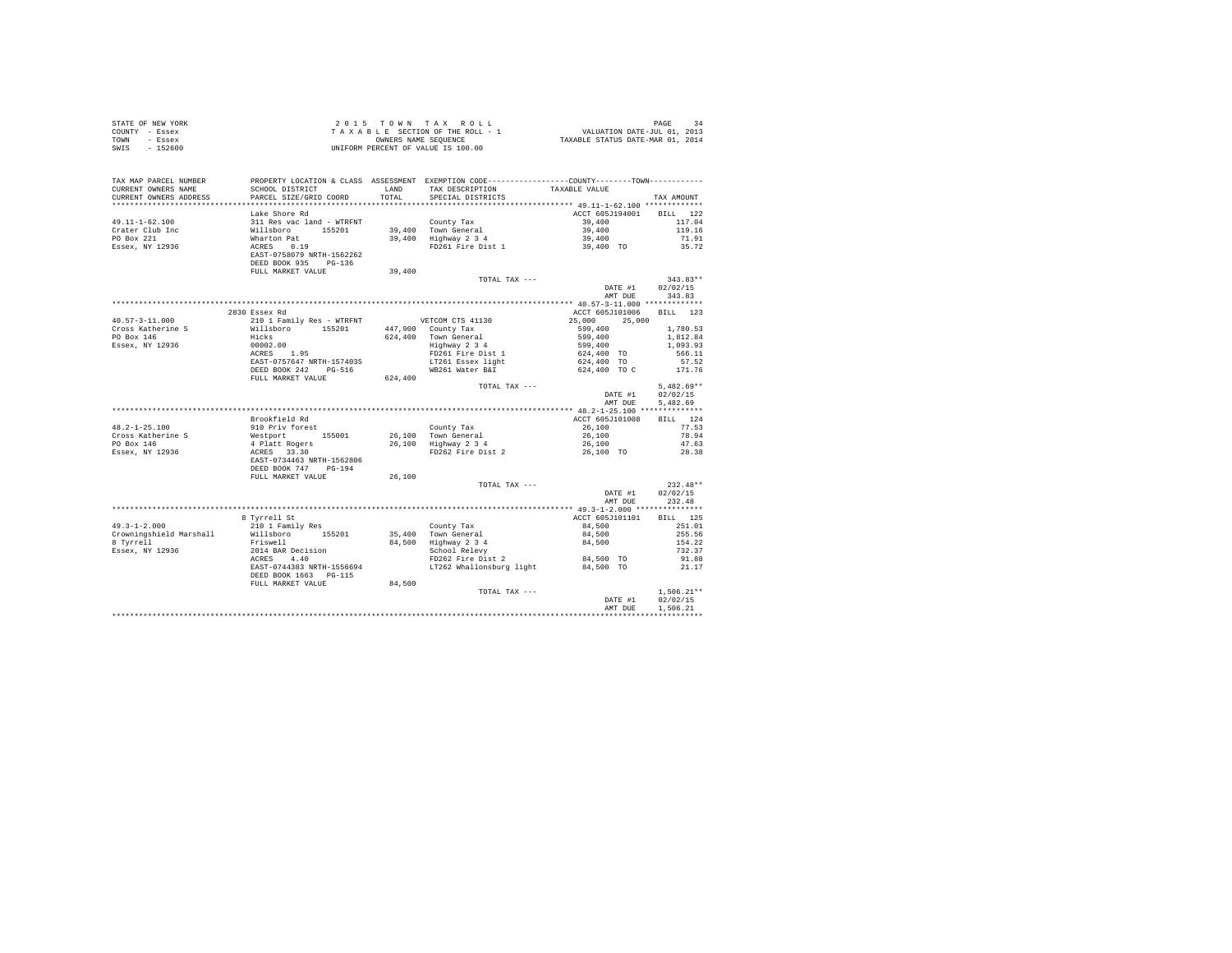| STATE OF NEW YORK                                                                                                                                                                                                                                                                                                                                                                                   |                                                                                                                                                                                              |         |                                                                                                                                                |                                                                                                                                           |                  |
|-----------------------------------------------------------------------------------------------------------------------------------------------------------------------------------------------------------------------------------------------------------------------------------------------------------------------------------------------------------------------------------------------------|----------------------------------------------------------------------------------------------------------------------------------------------------------------------------------------------|---------|------------------------------------------------------------------------------------------------------------------------------------------------|-------------------------------------------------------------------------------------------------------------------------------------------|------------------|
| COUNTY - Essex                                                                                                                                                                                                                                                                                                                                                                                      |                                                                                                                                                                                              |         |                                                                                                                                                |                                                                                                                                           |                  |
| TOWN - Essex                                                                                                                                                                                                                                                                                                                                                                                        | 2015 TOWN TAX ROLL 4 DAGE 34<br>TAXABLE SECTION OF THE ROLL - 1 VALUATION DATE-JUL 01, 2013<br>ONNERS NAME SEQUENCE 4 TAXABLE STATUS DATE-MAR 01, 2014<br>UNIFORM PERCENT OF VALUE IS 100.00 |         |                                                                                                                                                |                                                                                                                                           |                  |
| SWIS - 152600                                                                                                                                                                                                                                                                                                                                                                                       |                                                                                                                                                                                              |         |                                                                                                                                                |                                                                                                                                           |                  |
|                                                                                                                                                                                                                                                                                                                                                                                                     |                                                                                                                                                                                              |         |                                                                                                                                                |                                                                                                                                           |                  |
|                                                                                                                                                                                                                                                                                                                                                                                                     |                                                                                                                                                                                              |         |                                                                                                                                                |                                                                                                                                           |                  |
|                                                                                                                                                                                                                                                                                                                                                                                                     |                                                                                                                                                                                              |         |                                                                                                                                                |                                                                                                                                           |                  |
| TAX MAP PARCEL NUMBER PROPERTY LOCATION & CLASS ASSESSMENT EXEMPTION CODE--------------COUNTY--------TOWN----------                                                                                                                                                                                                                                                                                 |                                                                                                                                                                                              |         |                                                                                                                                                |                                                                                                                                           |                  |
| CURRENT OWNERS NAME                                                                                                                                                                                                                                                                                                                                                                                 | SCHOOL DISTRICT                                                                                                                                                                              |         | LAND TAX DESCRIPTION TAXABLE VALUE                                                                                                             |                                                                                                                                           |                  |
| CURRENT OWNERS ADDRESS                                                                                                                                                                                                                                                                                                                                                                              | PARCEL SIZE/GRID COORD                                                                                                                                                                       | TOTAL   | SPECIAL DISTRICTS                                                                                                                              |                                                                                                                                           | TAX AMOUNT       |
|                                                                                                                                                                                                                                                                                                                                                                                                     |                                                                                                                                                                                              |         |                                                                                                                                                |                                                                                                                                           |                  |
|                                                                                                                                                                                                                                                                                                                                                                                                     |                                                                                                                                                                                              |         |                                                                                                                                                | ACCT 605J194001 BILL 122                                                                                                                  |                  |
|                                                                                                                                                                                                                                                                                                                                                                                                     | Lake Shore Rd                                                                                                                                                                                |         |                                                                                                                                                |                                                                                                                                           |                  |
|                                                                                                                                                                                                                                                                                                                                                                                                     |                                                                                                                                                                                              |         |                                                                                                                                                |                                                                                                                                           |                  |
|                                                                                                                                                                                                                                                                                                                                                                                                     |                                                                                                                                                                                              |         |                                                                                                                                                | $\begin{array}{cc} 39,400 \\ 39,400 \\ 39,400 \\ 39,400 \end{array} \qquad \qquad \begin{array}{c} 117.04 \\ 119.16 \\ 71.91 \end{array}$ |                  |
|                                                                                                                                                                                                                                                                                                                                                                                                     |                                                                                                                                                                                              |         |                                                                                                                                                |                                                                                                                                           |                  |
|                                                                                                                                                                                                                                                                                                                                                                                                     |                                                                                                                                                                                              |         |                                                                                                                                                |                                                                                                                                           | 35.72            |
|                                                                                                                                                                                                                                                                                                                                                                                                     |                                                                                                                                                                                              |         |                                                                                                                                                |                                                                                                                                           |                  |
|                                                                                                                                                                                                                                                                                                                                                                                                     |                                                                                                                                                                                              |         |                                                                                                                                                |                                                                                                                                           |                  |
|                                                                                                                                                                                                                                                                                                                                                                                                     |                                                                                                                                                                                              | 39,400  |                                                                                                                                                |                                                                                                                                           |                  |
|                                                                                                                                                                                                                                                                                                                                                                                                     |                                                                                                                                                                                              |         | TOTAL TAX ---                                                                                                                                  |                                                                                                                                           | $343.83**$       |
|                                                                                                                                                                                                                                                                                                                                                                                                     |                                                                                                                                                                                              |         |                                                                                                                                                |                                                                                                                                           | DATE #1 02/02/15 |
|                                                                                                                                                                                                                                                                                                                                                                                                     |                                                                                                                                                                                              |         |                                                                                                                                                |                                                                                                                                           | AMT DUE 343.83   |
|                                                                                                                                                                                                                                                                                                                                                                                                     |                                                                                                                                                                                              |         |                                                                                                                                                |                                                                                                                                           |                  |
|                                                                                                                                                                                                                                                                                                                                                                                                     |                                                                                                                                                                                              |         |                                                                                                                                                | ACCT 605J101006 BILL 123                                                                                                                  |                  |
| $\begin{tabular}{l c c c c c c} \multicolumn{1}{c c c c} \multicolumn{1}{c c c} \multicolumn{1}{c c c} \multicolumn{1}{c c c} \multicolumn{1}{c c c} \multicolumn{1}{c c c} \multicolumn{1}{c c c} \multicolumn{1}{c c c} \multicolumn{1}{c c c} \multicolumn{1}{c c c} \multicolumn{1}{c c c} \multicolumn{1}{c c c} \multicolumn{1}{c c c} \multicolumn{1}{c c c} \multicolumn{1}{c c c} \multic$ | 2830 Essex Rd                                                                                                                                                                                |         |                                                                                                                                                |                                                                                                                                           |                  |
|                                                                                                                                                                                                                                                                                                                                                                                                     |                                                                                                                                                                                              |         |                                                                                                                                                |                                                                                                                                           |                  |
|                                                                                                                                                                                                                                                                                                                                                                                                     |                                                                                                                                                                                              |         |                                                                                                                                                |                                                                                                                                           |                  |
|                                                                                                                                                                                                                                                                                                                                                                                                     |                                                                                                                                                                                              |         |                                                                                                                                                |                                                                                                                                           |                  |
|                                                                                                                                                                                                                                                                                                                                                                                                     |                                                                                                                                                                                              |         |                                                                                                                                                |                                                                                                                                           |                  |
|                                                                                                                                                                                                                                                                                                                                                                                                     |                                                                                                                                                                                              |         |                                                                                                                                                |                                                                                                                                           |                  |
|                                                                                                                                                                                                                                                                                                                                                                                                     |                                                                                                                                                                                              |         |                                                                                                                                                |                                                                                                                                           |                  |
|                                                                                                                                                                                                                                                                                                                                                                                                     | DEED BOOK 242 PG-516<br>FULL MARKET VALUE                                                                                                                                                    |         |                                                                                                                                                |                                                                                                                                           |                  |
|                                                                                                                                                                                                                                                                                                                                                                                                     |                                                                                                                                                                                              | 624,400 |                                                                                                                                                |                                                                                                                                           |                  |
|                                                                                                                                                                                                                                                                                                                                                                                                     |                                                                                                                                                                                              |         | TOTAL TAX ---                                                                                                                                  |                                                                                                                                           | $5.482.69**$     |
|                                                                                                                                                                                                                                                                                                                                                                                                     |                                                                                                                                                                                              |         |                                                                                                                                                |                                                                                                                                           | DATE #1 02/02/15 |
|                                                                                                                                                                                                                                                                                                                                                                                                     |                                                                                                                                                                                              |         |                                                                                                                                                |                                                                                                                                           | AMT DUE 5.482.69 |
|                                                                                                                                                                                                                                                                                                                                                                                                     |                                                                                                                                                                                              |         |                                                                                                                                                |                                                                                                                                           |                  |
|                                                                                                                                                                                                                                                                                                                                                                                                     | Brookfield Rd                                                                                                                                                                                |         |                                                                                                                                                | ACCT 605J101008                                                                                                                           | BILL 124         |
|                                                                                                                                                                                                                                                                                                                                                                                                     | 910 Priv forest                                                                                                                                                                              |         |                                                                                                                                                |                                                                                                                                           |                  |
| $48.2 - 1 - 25.100$                                                                                                                                                                                                                                                                                                                                                                                 |                                                                                                                                                                                              |         | County Tax<br>26,100 Town General 26,100<br>26,100 Highway 2 3 4<br>PD262 Fire Dist 2 26,100<br>26,100 TO<br>26,100 TO                         |                                                                                                                                           | 77.53            |
|                                                                                                                                                                                                                                                                                                                                                                                                     |                                                                                                                                                                                              |         |                                                                                                                                                |                                                                                                                                           | 78.94            |
|                                                                                                                                                                                                                                                                                                                                                                                                     |                                                                                                                                                                                              |         |                                                                                                                                                |                                                                                                                                           | 47.63            |
|                                                                                                                                                                                                                                                                                                                                                                                                     |                                                                                                                                                                                              |         |                                                                                                                                                |                                                                                                                                           | 28.38            |
|                                                                                                                                                                                                                                                                                                                                                                                                     |                                                                                                                                                                                              |         |                                                                                                                                                |                                                                                                                                           |                  |
|                                                                                                                                                                                                                                                                                                                                                                                                     |                                                                                                                                                                                              |         |                                                                                                                                                |                                                                                                                                           |                  |
|                                                                                                                                                                                                                                                                                                                                                                                                     | FULL MARKET VALUE                                                                                                                                                                            | 26,100  |                                                                                                                                                |                                                                                                                                           |                  |
|                                                                                                                                                                                                                                                                                                                                                                                                     |                                                                                                                                                                                              |         | TOTAL TAX ---                                                                                                                                  |                                                                                                                                           | $232.48**$       |
|                                                                                                                                                                                                                                                                                                                                                                                                     |                                                                                                                                                                                              |         |                                                                                                                                                |                                                                                                                                           | DATE #1 02/02/15 |
|                                                                                                                                                                                                                                                                                                                                                                                                     |                                                                                                                                                                                              |         |                                                                                                                                                |                                                                                                                                           | AMT DUE 232.48   |
|                                                                                                                                                                                                                                                                                                                                                                                                     |                                                                                                                                                                                              |         |                                                                                                                                                |                                                                                                                                           |                  |
|                                                                                                                                                                                                                                                                                                                                                                                                     |                                                                                                                                                                                              |         |                                                                                                                                                | ACCT 605J101101                                                                                                                           | BILL 125         |
| $49.3 - 1 - 2.000$                                                                                                                                                                                                                                                                                                                                                                                  | 8 Tyrrell St<br>210 1 Family Res                                                                                                                                                             |         |                                                                                                                                                |                                                                                                                                           | 251.01           |
|                                                                                                                                                                                                                                                                                                                                                                                                     |                                                                                                                                                                                              |         |                                                                                                                                                | 84,500                                                                                                                                    | 255.56           |
| Crowningshield Marshall Millsboro 155201                                                                                                                                                                                                                                                                                                                                                            |                                                                                                                                                                                              |         |                                                                                                                                                |                                                                                                                                           |                  |
| 8 Tyrrell                                                                                                                                                                                                                                                                                                                                                                                           | <b>Communication</b><br>Friswell                                                                                                                                                             |         | County Tax<br>35,400 Town General<br>84,500 Highway 2 3 4 84,500<br>86,500 Helpey 2 3 4 84,500<br>School Relevy<br>FD262 Fire Dist 2 84,500 TO |                                                                                                                                           | 154.22           |
| Essex, NY 12936                                                                                                                                                                                                                                                                                                                                                                                     |                                                                                                                                                                                              |         |                                                                                                                                                |                                                                                                                                           | 732.37           |
|                                                                                                                                                                                                                                                                                                                                                                                                     | 2014 BAR Decision<br>ACRES - 4.40<br>EAST-0744383 NRTH-1556694<br>DEED BOOK 1663 - PG-115<br>FULL MARKET VALUE - 84,500                                                                      |         |                                                                                                                                                | 84,500 TO                                                                                                                                 | 91.88            |
|                                                                                                                                                                                                                                                                                                                                                                                                     |                                                                                                                                                                                              |         | LT262 Whallonsburg light                                                                                                                       | 84,500 TO                                                                                                                                 | 21.17            |
|                                                                                                                                                                                                                                                                                                                                                                                                     |                                                                                                                                                                                              |         |                                                                                                                                                |                                                                                                                                           |                  |
|                                                                                                                                                                                                                                                                                                                                                                                                     |                                                                                                                                                                                              |         |                                                                                                                                                |                                                                                                                                           |                  |
|                                                                                                                                                                                                                                                                                                                                                                                                     |                                                                                                                                                                                              |         | TOTAL TAX ---                                                                                                                                  |                                                                                                                                           | $1.506.21**$     |
|                                                                                                                                                                                                                                                                                                                                                                                                     |                                                                                                                                                                                              |         |                                                                                                                                                | DATE #1                                                                                                                                   | 02/02/15         |
|                                                                                                                                                                                                                                                                                                                                                                                                     |                                                                                                                                                                                              |         |                                                                                                                                                | AMT DUE                                                                                                                                   | 1,506.21         |
|                                                                                                                                                                                                                                                                                                                                                                                                     |                                                                                                                                                                                              |         |                                                                                                                                                |                                                                                                                                           |                  |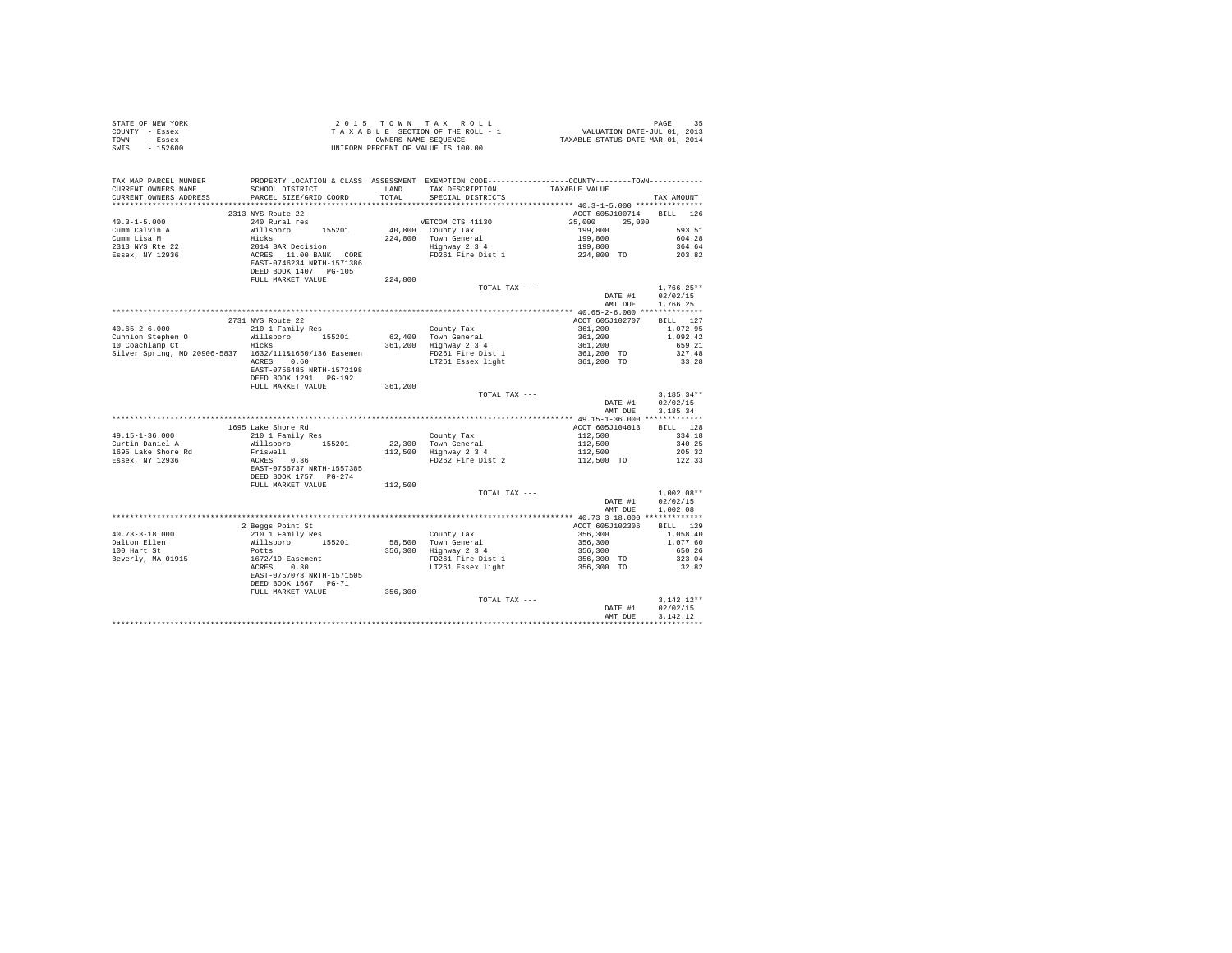| COUNTY - Essex<br>TOWN - Essex<br>SWIS - 152600                                                                                                                                                                                                                                                                                                                                                              |                           |         | T A X A B L E SECTION OF THE ROLL - 1 WALUATION DATE-JUL 01, 2013<br>ONNERS NAME SEQUENCE TO TAXABLE STATUS DATE-MAR 01, 2014<br>UNIFORM PERCENT OF VALUE IS 100.00 |                                                                                                                         |                          |
|--------------------------------------------------------------------------------------------------------------------------------------------------------------------------------------------------------------------------------------------------------------------------------------------------------------------------------------------------------------------------------------------------------------|---------------------------|---------|---------------------------------------------------------------------------------------------------------------------------------------------------------------------|-------------------------------------------------------------------------------------------------------------------------|--------------------------|
|                                                                                                                                                                                                                                                                                                                                                                                                              |                           |         |                                                                                                                                                                     |                                                                                                                         |                          |
| TAX MAP PARCEL NUMBER                                                                                                                                                                                                                                                                                                                                                                                        |                           |         | PROPERTY LOCATION & CLASS ASSESSMENT EXEMPTION CODE----------------COUNTY-------TOWN----------                                                                      |                                                                                                                         |                          |
|                                                                                                                                                                                                                                                                                                                                                                                                              |                           |         |                                                                                                                                                                     |                                                                                                                         |                          |
|                                                                                                                                                                                                                                                                                                                                                                                                              |                           |         |                                                                                                                                                                     |                                                                                                                         | TAX AMOUNT               |
|                                                                                                                                                                                                                                                                                                                                                                                                              | 2313 NYS Route 22         |         |                                                                                                                                                                     | ACCT 605J100714 BILL 126                                                                                                |                          |
| $\begin{tabular}{lcccccc} 40.3-1-5.000 & 2313 & NYS & Rott & 224 & NTS.000 & 25,000 & 25,000 & 25,000 & 25,000 & 25,000 & 25,000 & 25,000 & 25,000 & 25,000 & 25,000 & 25,000 & 25,000 & 25,000 & 25,000 & 25,000 & 25,000 & 25,000 & 25,000 & 25,000 & 25,000 & 25,000 & 25,$                                                                                                                               |                           |         |                                                                                                                                                                     |                                                                                                                         |                          |
|                                                                                                                                                                                                                                                                                                                                                                                                              |                           |         |                                                                                                                                                                     |                                                                                                                         |                          |
|                                                                                                                                                                                                                                                                                                                                                                                                              |                           |         |                                                                                                                                                                     |                                                                                                                         |                          |
|                                                                                                                                                                                                                                                                                                                                                                                                              |                           |         |                                                                                                                                                                     |                                                                                                                         |                          |
|                                                                                                                                                                                                                                                                                                                                                                                                              |                           |         |                                                                                                                                                                     |                                                                                                                         |                          |
|                                                                                                                                                                                                                                                                                                                                                                                                              |                           |         |                                                                                                                                                                     |                                                                                                                         |                          |
|                                                                                                                                                                                                                                                                                                                                                                                                              |                           |         |                                                                                                                                                                     |                                                                                                                         |                          |
|                                                                                                                                                                                                                                                                                                                                                                                                              |                           |         |                                                                                                                                                                     |                                                                                                                         | $1.766.25**$             |
|                                                                                                                                                                                                                                                                                                                                                                                                              |                           |         |                                                                                                                                                                     | TOTAL TAX --- $\begin{tabular}{lllllll} \bf{DTAL} & \tt{TAX} & \tt{---} & \tt{DATE} & \tt{\#1} \end{tabular}$           | 02/02/15                 |
|                                                                                                                                                                                                                                                                                                                                                                                                              |                           |         |                                                                                                                                                                     | AMT DUE 1,766.25                                                                                                        |                          |
|                                                                                                                                                                                                                                                                                                                                                                                                              |                           |         |                                                                                                                                                                     |                                                                                                                         |                          |
|                                                                                                                                                                                                                                                                                                                                                                                                              | 2731 NYS Route 22         |         |                                                                                                                                                                     | ACCT 605J102707 BILL 127                                                                                                |                          |
|                                                                                                                                                                                                                                                                                                                                                                                                              |                           |         |                                                                                                                                                                     |                                                                                                                         |                          |
|                                                                                                                                                                                                                                                                                                                                                                                                              |                           |         |                                                                                                                                                                     |                                                                                                                         |                          |
|                                                                                                                                                                                                                                                                                                                                                                                                              |                           |         |                                                                                                                                                                     |                                                                                                                         |                          |
|                                                                                                                                                                                                                                                                                                                                                                                                              |                           |         |                                                                                                                                                                     |                                                                                                                         |                          |
| $\begin{tabular}{lcccc} 40.65-2-6.000 & & 47.51 & 127 \\ 40.65-2-6.000 & & 101 & 120 & 120 \\ \hline \text{Counion Stephen O} & & & & & & & & \\ \text{Courionom Bephen O} & & & & & & & \\ \text{10 Coachlamp C} & & & & & & & \\ \text{110 Coachlamp C} & & & & & & & \\ \text{210 1 Pauli bbroo} & & & & & & & \\ \text{361, 200} & & & & & & & \\ \text{110 Coachlamp C} & & & & & & & \\ \text{211 11 $ |                           |         |                                                                                                                                                                     |                                                                                                                         |                          |
|                                                                                                                                                                                                                                                                                                                                                                                                              | DEED BOOK 1291 PG-192     |         |                                                                                                                                                                     |                                                                                                                         |                          |
|                                                                                                                                                                                                                                                                                                                                                                                                              | FULL MARKET VALUE         | 361,200 |                                                                                                                                                                     |                                                                                                                         |                          |
|                                                                                                                                                                                                                                                                                                                                                                                                              |                           |         | TOTAL TAX ---                                                                                                                                                       | $\begin{minipage}{.4\linewidth} \textbf{DATE} & \textbf{\#1} \end{minipage}$                                            | $3.185.34**$<br>02/02/15 |
|                                                                                                                                                                                                                                                                                                                                                                                                              |                           |         |                                                                                                                                                                     | AMT DUE 3, 185, 34                                                                                                      |                          |
|                                                                                                                                                                                                                                                                                                                                                                                                              |                           |         |                                                                                                                                                                     |                                                                                                                         |                          |
|                                                                                                                                                                                                                                                                                                                                                                                                              |                           |         |                                                                                                                                                                     |                                                                                                                         |                          |
|                                                                                                                                                                                                                                                                                                                                                                                                              |                           |         |                                                                                                                                                                     |                                                                                                                         |                          |
|                                                                                                                                                                                                                                                                                                                                                                                                              |                           |         |                                                                                                                                                                     |                                                                                                                         |                          |
|                                                                                                                                                                                                                                                                                                                                                                                                              |                           |         |                                                                                                                                                                     |                                                                                                                         |                          |
|                                                                                                                                                                                                                                                                                                                                                                                                              |                           |         |                                                                                                                                                                     |                                                                                                                         |                          |
|                                                                                                                                                                                                                                                                                                                                                                                                              |                           |         |                                                                                                                                                                     |                                                                                                                         |                          |
|                                                                                                                                                                                                                                                                                                                                                                                                              | FULL MARKET VALUE 112,500 |         |                                                                                                                                                                     |                                                                                                                         |                          |
|                                                                                                                                                                                                                                                                                                                                                                                                              |                           |         |                                                                                                                                                                     | TOTAL TAX --- $\texttt{DATA} \ \ \texttt{MAX} \ \ \texttt{--} \ \ \texttt{DATE} \ \ \texttt{#1} \qquad \qquad 02/02/15$ |                          |
|                                                                                                                                                                                                                                                                                                                                                                                                              |                           |         |                                                                                                                                                                     |                                                                                                                         |                          |
|                                                                                                                                                                                                                                                                                                                                                                                                              |                           |         |                                                                                                                                                                     | AMT DUE 1,002.08                                                                                                        |                          |
|                                                                                                                                                                                                                                                                                                                                                                                                              |                           |         |                                                                                                                                                                     |                                                                                                                         |                          |
|                                                                                                                                                                                                                                                                                                                                                                                                              |                           |         |                                                                                                                                                                     |                                                                                                                         |                          |
|                                                                                                                                                                                                                                                                                                                                                                                                              |                           |         |                                                                                                                                                                     |                                                                                                                         |                          |
|                                                                                                                                                                                                                                                                                                                                                                                                              |                           |         |                                                                                                                                                                     |                                                                                                                         |                          |
|                                                                                                                                                                                                                                                                                                                                                                                                              |                           |         |                                                                                                                                                                     |                                                                                                                         |                          |
| 10.73–3-18.000<br>2 Beggs Point St<br>2 Beggs Point St<br>2 David Pamily Res<br>2 David Pamily Res<br>2 David Pamily Res<br>2 David Pamily Res<br>2 David Pamily Res<br>2 David Pamily Res<br>2 On Trip State 1, 200<br>2001 100 Hart St<br>2 David                                                                                                                                                          |                           |         |                                                                                                                                                                     |                                                                                                                         |                          |
|                                                                                                                                                                                                                                                                                                                                                                                                              |                           |         |                                                                                                                                                                     |                                                                                                                         |                          |
|                                                                                                                                                                                                                                                                                                                                                                                                              |                           |         |                                                                                                                                                                     |                                                                                                                         |                          |
|                                                                                                                                                                                                                                                                                                                                                                                                              | FULL MARKET VALUE 356,300 |         | TOTAL TAX ---                                                                                                                                                       | $\begin{tabular}{cc} \bf{D} \bf{A} \bf{T} \bf{F} & \tt{H1} \end{tabular}$                                               | $3,142.12**$             |
|                                                                                                                                                                                                                                                                                                                                                                                                              |                           |         |                                                                                                                                                                     |                                                                                                                         |                          |
|                                                                                                                                                                                                                                                                                                                                                                                                              |                           |         |                                                                                                                                                                     | DATE #1 02/02/15<br>AMT DUE 3,142.12                                                                                    |                          |
|                                                                                                                                                                                                                                                                                                                                                                                                              |                           |         |                                                                                                                                                                     |                                                                                                                         |                          |

STATE OF NEW YORK 2 0 15 TOWN TAX ROLL CHARGE 35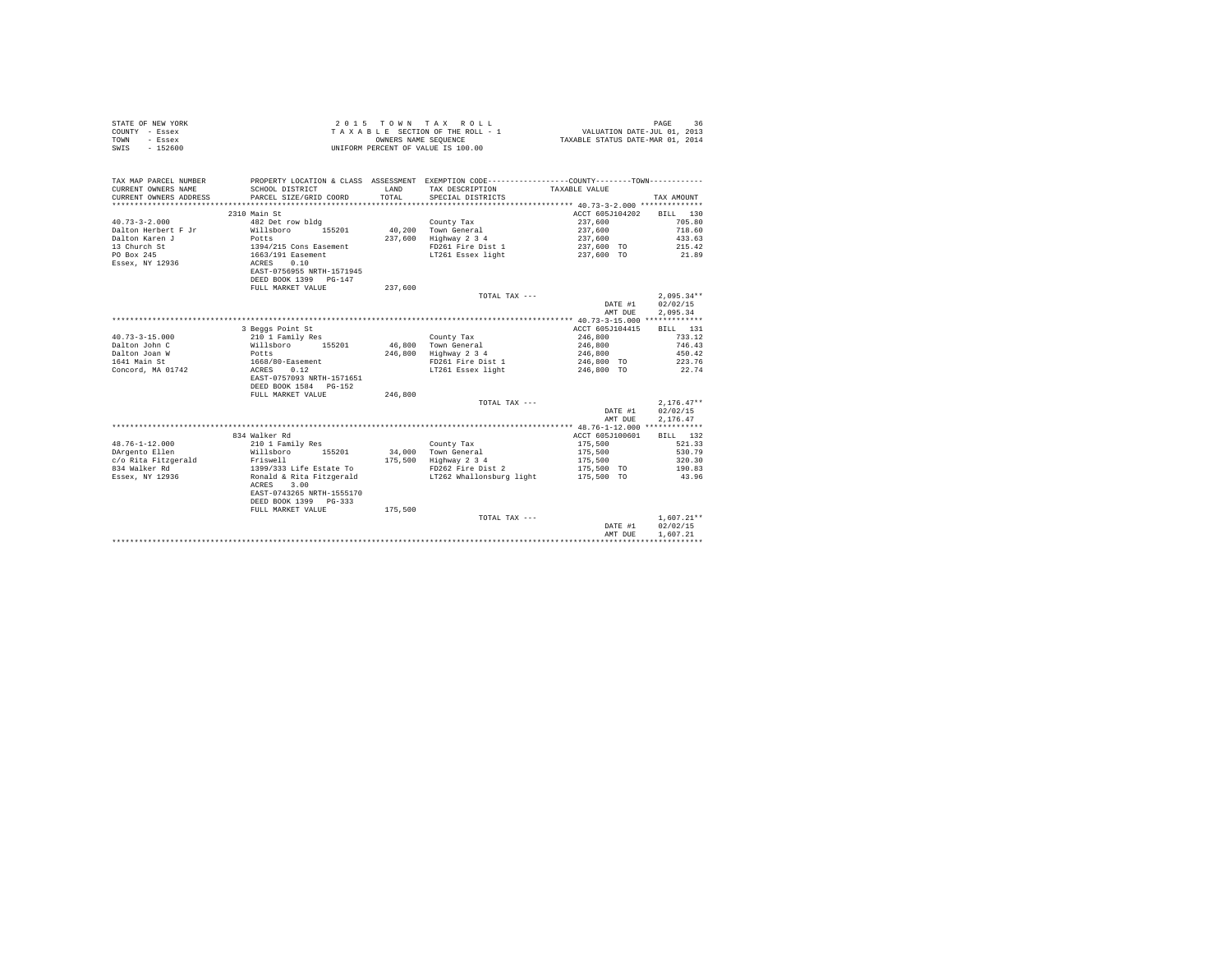| STATE OF NEW YORK | $2.0.15$ TOWN TAX ROLL             | 36<br>PAGE                       |
|-------------------|------------------------------------|----------------------------------|
| COUNTY - Essex    | TAXABLE SECTION OF THE ROLL - 1    | VALUATION DATE-JUL 01, 2013      |
| TOWN<br>- Essex   | OWNERS NAME SEOUENCE               | TAXABLE STATUS DATE-MAR 01, 2014 |
| $-152600$<br>SWIS | UNIFORM PERCENT OF VALUE IS 100.00 |                                  |

| TAX MAP PARCEL NUMBER<br>CURRENT OWNERS NAME<br>CURRENT OWNERS ADDRESS | SCHOOL DISTRICT<br>PARCEL SIZE/GRID COORD | T.AND<br>TOTAL | PROPERTY LOCATION & CLASS ASSESSMENT EXEMPTION CODE---------------COUNTY-------TOWN---------<br>TAX DESCRIPTION<br>SPECIAL DISTRICTS | TAXABLE VALUE   | TAX AMOUNT   |
|------------------------------------------------------------------------|-------------------------------------------|----------------|--------------------------------------------------------------------------------------------------------------------------------------|-----------------|--------------|
|                                                                        | 2310 Main St                              |                |                                                                                                                                      | ACCT 605J104202 | BILL 130     |
| $40.73 - 3 - 2.000$                                                    | 482 Det row bldg                          |                |                                                                                                                                      | 237,600         | 705.80       |
|                                                                        |                                           | 40,200         | County Tax<br>Town General                                                                                                           | 237,600         |              |
| Dalton Herbert F Jr                                                    | 155201<br>Willsboro                       |                |                                                                                                                                      |                 | 718.60       |
| Dalton Karen J                                                         | Potts                                     | 237,600        | Highway 2 3 4                                                                                                                        | 237,600         | 433.63       |
| 13 Church St                                                           | 1394/215 Cons Easement                    |                | FD261 Fire Dist 1                                                                                                                    | 237,600 TO      | 215.42       |
| PO Box 245                                                             | 1663/191 Easement                         |                | LT261 Essex light                                                                                                                    | 237,600 TO      | 21.89        |
| Essex, NY 12936                                                        | 0.10<br>ACRES                             |                |                                                                                                                                      |                 |              |
|                                                                        | EAST-0756955 NRTH-1571945                 |                |                                                                                                                                      |                 |              |
|                                                                        | DEED BOOK 1399 PG-147                     |                |                                                                                                                                      |                 |              |
|                                                                        | FULL MARKET VALUE                         | 237,600        |                                                                                                                                      |                 |              |
|                                                                        |                                           |                | TOTAL TAX ---                                                                                                                        |                 | $2.095.34**$ |
|                                                                        |                                           |                |                                                                                                                                      | DATE #1         | 02/02/15     |
|                                                                        |                                           |                |                                                                                                                                      | AMT DUE         | 2.095.34     |
|                                                                        |                                           |                |                                                                                                                                      |                 |              |
|                                                                        | 3 Beggs Point St                          |                |                                                                                                                                      | ACCT 605J104415 | BILL 131     |
| $40.73 - 3 - 15.000$                                                   | 210 1 Family Res                          |                | County Tax                                                                                                                           | 246,800         | 733.12       |
| Dalton John C                                                          | Willsboro<br>155201                       |                | 46,800 Town General                                                                                                                  | 246,800         | 746.43       |
| Dalton Joan W                                                          | Potts                                     | 246,800        | Highway 2 3 4                                                                                                                        | 246,800         | 450.42       |
| 1641 Main St                                                           | 1668/80-Easement                          |                | FD261 Fire Dist 1                                                                                                                    | 246,800 TO      | 223.76       |
| Concord, MA 01742                                                      | 0.12<br>ACRES                             |                | LT261 Essex light                                                                                                                    | 246,800 TO      | 22.74        |
|                                                                        | EAST-0757093 NRTH-1571651                 |                |                                                                                                                                      |                 |              |
|                                                                        | DEED BOOK 1584 PG-152                     |                |                                                                                                                                      |                 |              |
|                                                                        | FULL MARKET VALUE                         | 246,800        |                                                                                                                                      |                 |              |
|                                                                        |                                           |                | TOTAL TAX ---                                                                                                                        |                 | $2.176.47**$ |
|                                                                        |                                           |                |                                                                                                                                      | DATE #1         | 02/02/15     |
|                                                                        |                                           |                |                                                                                                                                      | AMT DUE         | 2,176.47     |
|                                                                        |                                           |                |                                                                                                                                      |                 |              |
|                                                                        | 834 Walker Rd                             |                |                                                                                                                                      | ACCT 605J100601 | BILL 132     |
|                                                                        |                                           |                |                                                                                                                                      |                 |              |
| $48.76 - 1 - 12.000$                                                   | 210 1 Family Res                          |                | County Tax                                                                                                                           | 175,500         | 521.33       |
| DArgento Ellen                                                         | Willsboro<br>155201                       |                | 34.000 Town General                                                                                                                  | 175,500         | 530.79       |
| c/o Rita Fitzgerald                                                    | Friswell                                  | 175,500        | Highway 2 3 4                                                                                                                        | 175,500         | 320.30       |
| 834 Walker Rd                                                          | 1399/333 Life Estate To                   |                | FD262 Fire Dist 2                                                                                                                    | 175,500 TO      | 190.83       |
| Essex, NY 12936                                                        | Ronald & Rita Fitzgerald                  |                | LT262 Whallonsburg light                                                                                                             | 175,500 TO      | 43.96        |
|                                                                        | ACRES<br>3.00                             |                |                                                                                                                                      |                 |              |
|                                                                        | EAST-0743265 NRTH-1555170                 |                |                                                                                                                                      |                 |              |
|                                                                        | DEED BOOK 1399 PG-333                     |                |                                                                                                                                      |                 |              |
|                                                                        | FULL MARKET VALUE                         | 175,500        |                                                                                                                                      |                 |              |
|                                                                        |                                           |                | TOTAL TAX ---                                                                                                                        |                 | $1.607.21**$ |
|                                                                        |                                           |                |                                                                                                                                      | DATE #1         | 02/02/15     |
|                                                                        |                                           |                |                                                                                                                                      | AMT DUE         | 1.607.21     |
|                                                                        |                                           |                |                                                                                                                                      |                 |              |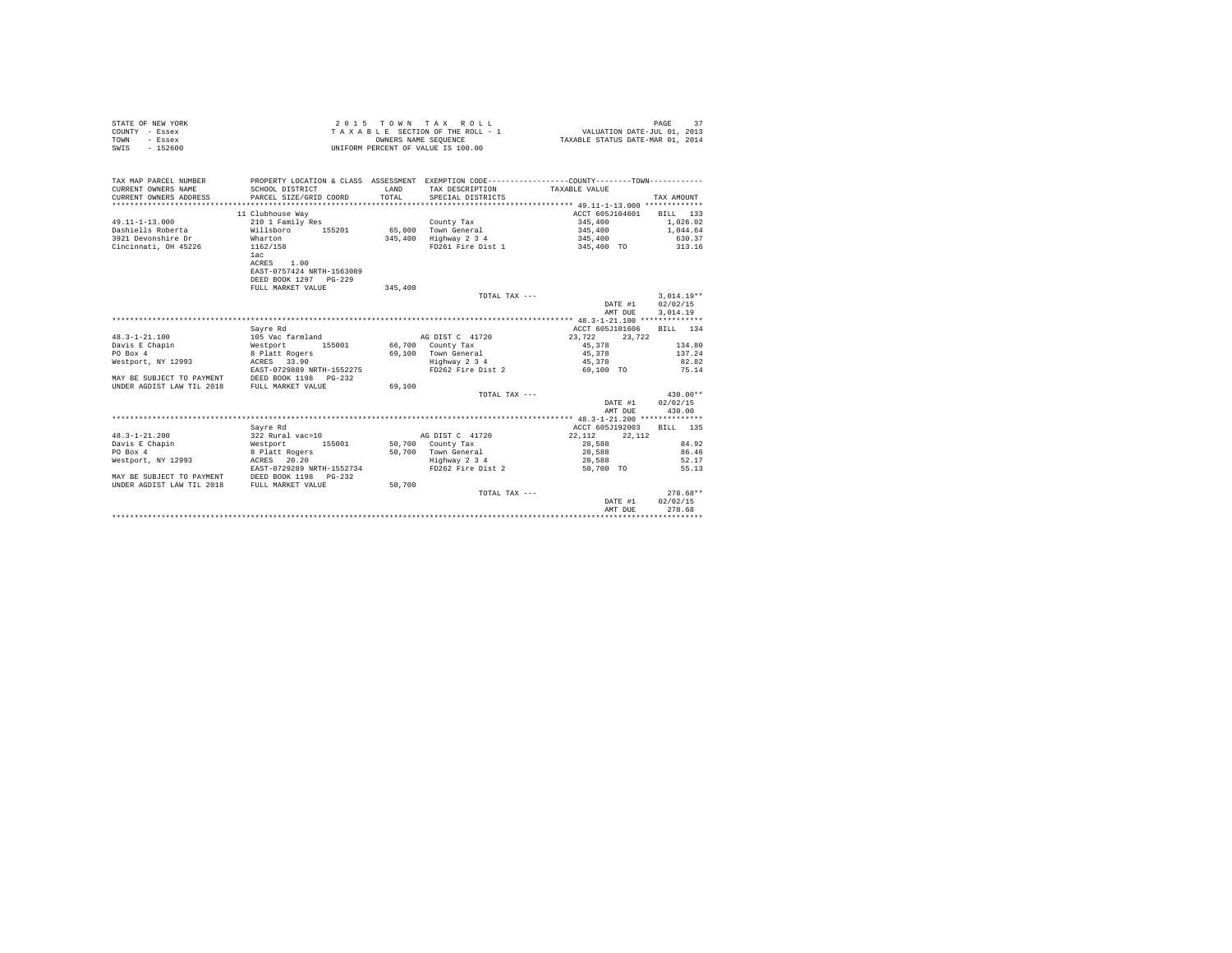| STATE OF NEW YORK<br>COUNTY - Essex<br>- Essex<br>TOWN<br>$-152600$<br>SWIS |                            | OWNERS NAME SEQUENCE | 2015 TOWN TAX ROLL<br>TAXABLE SECTION OF THE ROLL - 1<br>UNIFORM PERCENT OF VALUE IS 100.00     | VALUATION DATE-JUL 01, 2013<br>TAXABLE STATUS DATE-MAR 01, 2014 | 37<br>PAGE     |
|-----------------------------------------------------------------------------|----------------------------|----------------------|-------------------------------------------------------------------------------------------------|-----------------------------------------------------------------|----------------|
| TAX MAP PARCEL NUMBER                                                       |                            |                      | PROPERTY LOCATION & CLASS ASSESSMENT EXEMPTION CODE----------------COUNTY--------TOWN---------- |                                                                 |                |
| CURRENT OWNERS NAME                                                         | SCHOOL DISTRICT            | LAND                 | TAX DESCRIPTION                                                                                 | TAXABLE VALUE                                                   |                |
| CURRENT OWNERS ADDRESS                                                      | PARCEL SIZE/GRID COORD     | TOTAL.               | SPECIAL DISTRICTS                                                                               |                                                                 | TAX AMOUNT     |
|                                                                             |                            |                      |                                                                                                 |                                                                 |                |
|                                                                             | 11 Clubhouse Way           |                      |                                                                                                 | ACCT 605J104601                                                 | BILL 133       |
| $49.11 - 1 - 13.000$                                                        | 210 1 Family Res           |                      | County Tax                                                                                      | 345,400                                                         | 1,026.02       |
| Dashiells Roberta                                                           | 155201<br>Willsboro        |                      | 65.000 Town General                                                                             | 345,400                                                         | 1,044.64       |
| 3921 Devonshire Dr                                                          | Wharton                    |                      | 345,400 Highway 2 3 4                                                                           | 345,400                                                         | 630.37         |
| Cincinnati, OH 45226                                                        | 1162/158<br>1ac            |                      | FD261 Fire Dist 1                                                                               | 345,400 TO                                                      | 313.16         |
|                                                                             | ACRES 1.00                 |                      |                                                                                                 |                                                                 |                |
|                                                                             | EAST-0757424 NRTH-1563089  |                      |                                                                                                 |                                                                 |                |
|                                                                             | DEED BOOK 1297 PG-229      |                      |                                                                                                 |                                                                 |                |
|                                                                             | FULL MARKET VALUE          | 345,400              |                                                                                                 |                                                                 |                |
|                                                                             |                            |                      | TOTAL TAX ---                                                                                   |                                                                 | $3.014.19**$   |
|                                                                             |                            |                      |                                                                                                 | DATE #1                                                         | 02/02/15       |
|                                                                             |                            |                      |                                                                                                 | AMT DUE                                                         | 3.014.19       |
|                                                                             |                            |                      |                                                                                                 |                                                                 |                |
|                                                                             | Savre Rd                   |                      |                                                                                                 | ACCT 605J101606                                                 | BILL 134       |
| $48.3 - 1 - 21.100$                                                         | 105 Vac farmland           |                      | AG DIST C 41720                                                                                 | 23.722<br>23.722                                                |                |
| Davis E Chapin                                                              | Westport<br>155001         |                      | 66,700 County Tax                                                                               | 45,378                                                          | 134.80         |
| PO Box 4                                                                    | 8 Platt Rogers             |                      | 69.100 Town General                                                                             | 45.378                                                          | 137.24         |
| Westport, NY 12993                                                          | ACRES 33.90                |                      | Highway 2 3 4                                                                                   | 45,378                                                          | 82.82          |
|                                                                             | EAST-0729889 NRTH-1552275  |                      | FD262 Fire Dist 2                                                                               | 69,100 TO                                                       | 75.14          |
| MAY BE SUBJECT TO PAYMENT                                                   | DEED BOOK 1198   PG-232    |                      |                                                                                                 |                                                                 |                |
| UNDER AGDIST LAW TIL 2018                                                   | FULL MARKET VALUE          | 69,100               |                                                                                                 |                                                                 |                |
|                                                                             |                            |                      | TOTAL TAX ---                                                                                   |                                                                 | 430.00**       |
|                                                                             |                            |                      |                                                                                                 | DATE #1                                                         | 02/02/15       |
|                                                                             |                            |                      |                                                                                                 | AMT DUE                                                         | 430.00         |
|                                                                             |                            |                      |                                                                                                 |                                                                 |                |
|                                                                             | Savre Rd                   |                      |                                                                                                 | ACCT 605J192003                                                 | BILL 135       |
| $48.3 - 1 - 21.200$                                                         | 322 Rural vac>10<br>155001 |                      | AG DIST C 41720                                                                                 | 22,112<br>22,112                                                |                |
| Davis E Chapin<br>PO Box 4                                                  | Westport<br>8 Platt Rogers |                      | 50,700 County Tax<br>50.700 Town General                                                        | 28,588<br>28,588                                                | 84.92<br>86.46 |
| Westport, NY 12993                                                          | ACRES 20.20                |                      | Highway 2 3 4                                                                                   | 28,588                                                          | 52.17          |
|                                                                             | EAST-0729289 NRTH-1552734  |                      | FD262 Fire Dist 2                                                                               | 50,700 TO                                                       | 55.13          |
| MAY BE SUBJECT TO PAYMENT                                                   | DEED BOOK 1198 PG-232      |                      |                                                                                                 |                                                                 |                |
| UNDER AGDIST LAW TIL 2018                                                   | FULL MARKET VALUE          | 50,700               |                                                                                                 |                                                                 |                |
|                                                                             |                            |                      | TOTAL TAX ---                                                                                   |                                                                 | $278.68**$     |
|                                                                             |                            |                      |                                                                                                 | DATE #1                                                         | 02/02/15       |
|                                                                             |                            |                      |                                                                                                 | AMT DUE                                                         | 278.68         |
|                                                                             |                            |                      |                                                                                                 |                                                                 |                |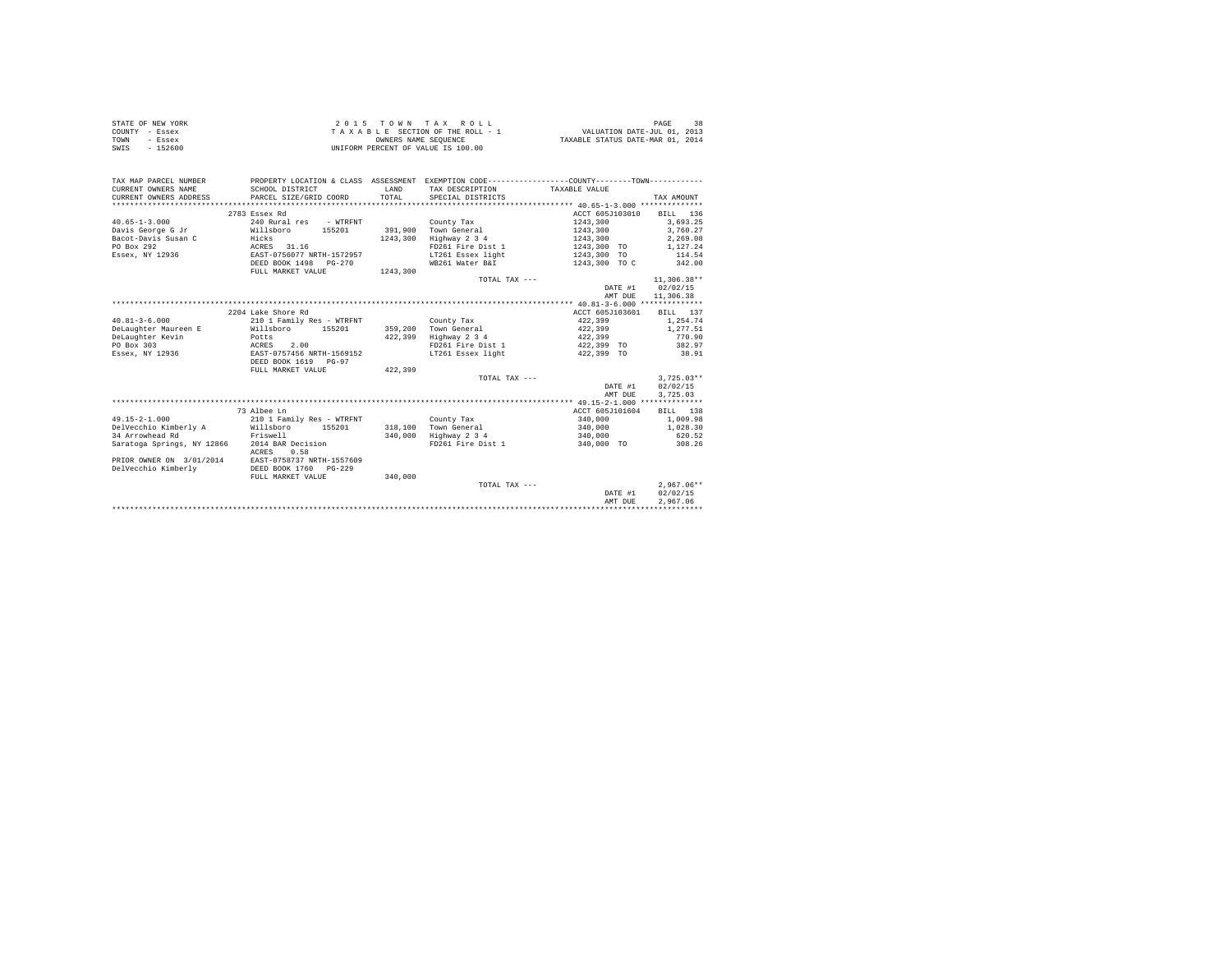| STATE OF NEW YORK | 2015 TOWN TAX ROLL                 | PAGE                             |
|-------------------|------------------------------------|----------------------------------|
| COUNTY - Essex    | TAXABLE SECTION OF THE ROLL - 1    | VALUATION DATE-JUL 01, 2013      |
| TOWN<br>- Essex   | OWNERS NAME SEOUENCE               | TAXABLE STATUS DATE-MAR 01, 2014 |
| SWIS<br>$-152600$ | UNIFORM PERCENT OF VALUE IS 100.00 |                                  |

| TAX MAP PARCEL NUMBER                         |                                                    |          | PROPERTY LOCATION & CLASS ASSESSMENT EXEMPTION CODE---------------COUNTY-------TOWN---------- |                 |               |
|-----------------------------------------------|----------------------------------------------------|----------|-----------------------------------------------------------------------------------------------|-----------------|---------------|
| CURRENT OWNERS NAME                           | SCHOOL DISTRICT                                    | T.AND    | TAX DESCRIPTION                                                                               | TAXABLE VALUE   |               |
| CURRENT OWNERS ADDRESS PARCEL SIZE/GRID COORD |                                                    | TOTAL    | SPECIAL DISTRICTS                                                                             |                 | TAX AMOUNT    |
|                                               |                                                    |          |                                                                                               |                 |               |
|                                               | 2783 Essex Rd                                      |          |                                                                                               | ACCT 605J103010 | BILL 136      |
| $40.65 - 1 - 3.000$                           | 240 Rural res<br>- WTRFNT                          |          | County Tax                                                                                    | 1243,300        | 3.693.25      |
| Davis George G Jr                             | 155201<br>Willsboro<br>Hicks                       |          | 391.900 Town General                                                                          | 1243,300        | 3.760.27      |
| Bacot-Davis Susan C                           |                                                    | 1243,300 | Highway 2 3 4                                                                                 | 1243,300        | 2,269.08      |
| PO Box 292                                    | ACRES 31.16                                        |          | FD261 Fire Dist 1                                                                             | 1243,300 TO     | 1,127.24      |
| Essex, NY 12936                               | EAST-0756077 NRTH-1572957                          |          | LT261 Essex light                                                                             | 1243,300 TO     | 114.54        |
|                                               | DEED BOOK 1498<br>$PG-270$                         |          | WB261 Water B&I                                                                               | 1243,300 TO C   | 342.00        |
|                                               | FULL MARKET VALUE                                  | 1243,300 |                                                                                               |                 |               |
|                                               |                                                    |          | TOTAL TAX ---                                                                                 |                 | $11.306.38**$ |
|                                               |                                                    |          |                                                                                               | DATE #1         | 02/02/15      |
|                                               |                                                    |          |                                                                                               | AMT DUE         | 11,306.38     |
|                                               |                                                    |          |                                                                                               |                 |               |
|                                               | 2204 Lake Shore Rd                                 |          |                                                                                               | ACCT 605J103601 | BILL 137      |
| $40.81 - 3 - 6.000$                           | 210 1 Family Res - WTRFNT                          |          | County Tax                                                                                    | 422,399         | 1,254.74      |
| DeLaughter Maureen E                          | Willsboro 155201                                   |          | 359,200 Town General                                                                          | 422,399         | 1,277.51      |
| DeLaughter Kevin                              | Potts                                              | 422,399  | Highway 2 3 4                                                                                 | 422,399         | 770.90        |
| PO Box 303                                    | ACRES<br>2.00                                      |          | FD261 Fire Dist 1                                                                             | 422,399 TO      | 382.97        |
| Essex, NY 12936                               | EAST-0757456 NRTH-1569152                          |          | LT261 Essex light                                                                             | 422,399 TO      | 38.91         |
|                                               | DEED BOOK 1619 PG-97                               |          |                                                                                               |                 |               |
|                                               | FULL MARKET VALUE                                  | 422,399  |                                                                                               |                 |               |
|                                               |                                                    |          | TOTAL TAX ---                                                                                 |                 | $3.725.03**$  |
|                                               |                                                    |          |                                                                                               | DATE #1         | 02/02/15      |
|                                               |                                                    |          |                                                                                               | AMT DUE         | 3,725.03      |
|                                               |                                                    |          |                                                                                               |                 |               |
|                                               | 73 Albee Ln                                        |          |                                                                                               | ACCT 605J101604 | BILL 138      |
| $49.15 - 2 - 1.000$                           | 210 1 Family Res - WTRFNT                          |          | County Tax                                                                                    | 340,000         | 1,009.98      |
| DelVecchio Kimberly A Willsboro 155201        |                                                    |          | 318,100 Town General                                                                          | 340,000         | 1,028.30      |
| 34 Arrowhead Rd                               | Friswell                                           | 340,000  | Highway 2 3 4                                                                                 | 340,000         | 620.52        |
| Saratoga Springs, NY 12866 2014 BAR Decision  |                                                    |          | FD261 Fire Dist 1                                                                             | 340,000 TO      | 308.26        |
|                                               | ACRES<br>0.58                                      |          |                                                                                               |                 |               |
|                                               | PRIOR OWNER ON 3/01/2014 EAST-0758737 NRTH-1557609 |          |                                                                                               |                 |               |
| DelVecchio Kimberly                           | DEED BOOK 1760 PG-229                              |          |                                                                                               |                 |               |
|                                               | FULL MARKET VALUE                                  | 340,000  |                                                                                               |                 |               |
|                                               |                                                    |          | TOTAL TAX ---                                                                                 |                 | $2.967.06**$  |
|                                               |                                                    |          |                                                                                               | DATE #1         | 02/02/15      |
|                                               |                                                    |          |                                                                                               | AMT DUE         | 2.967.06      |
|                                               |                                                    |          |                                                                                               |                 |               |
|                                               |                                                    |          |                                                                                               |                 |               |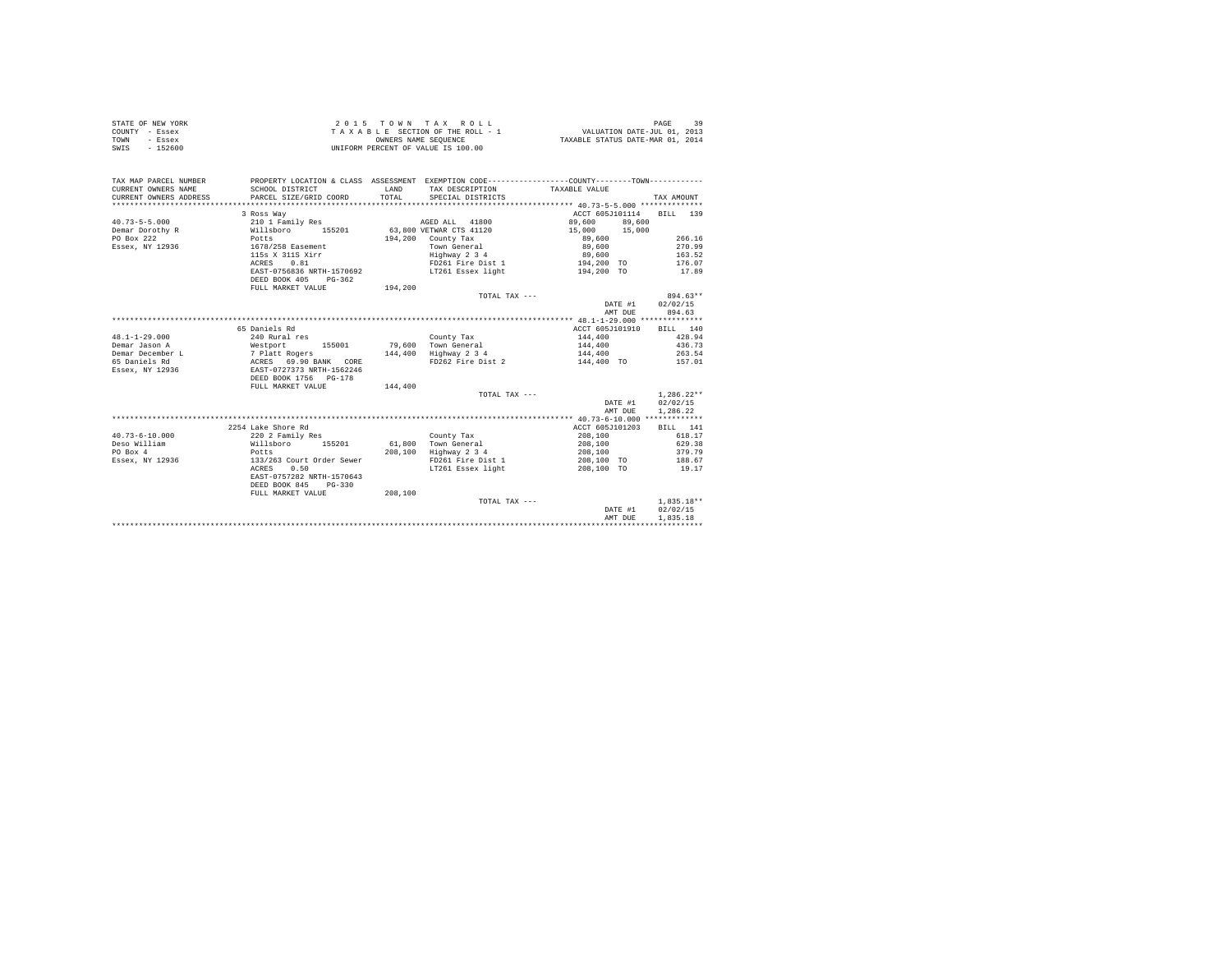| COUNTY - Essex                                                                                                                                                                                                                       |                                                                                                  |                                                                                             | TAXABLE SECTION OF THE ROLL - 1 VALUATION DATE-JUL 01, 2013                 |                                                                                     |                          |
|--------------------------------------------------------------------------------------------------------------------------------------------------------------------------------------------------------------------------------------|--------------------------------------------------------------------------------------------------|---------------------------------------------------------------------------------------------|-----------------------------------------------------------------------------|-------------------------------------------------------------------------------------|--------------------------|
| TOWN<br>- Essex                                                                                                                                                                                                                      |                                                                                                  | UNIFORM PERCENT OF VALUE IS 100.00<br>OWNERS NAME SEQUENCE TAXABLE STATUS DATE-MAR 01, 2014 |                                                                             |                                                                                     |                          |
| SWIS - 152600                                                                                                                                                                                                                        |                                                                                                  |                                                                                             |                                                                             |                                                                                     |                          |
|                                                                                                                                                                                                                                      |                                                                                                  |                                                                                             |                                                                             |                                                                                     |                          |
|                                                                                                                                                                                                                                      |                                                                                                  |                                                                                             |                                                                             |                                                                                     |                          |
| TAX MAP PARCEL NUMBER                                                                                                                                                                                                                | PROPERTY LOCATION & CLASS ASSESSMENT EXEMPTION CODE-----------------COUNTY--------TOWN---------- |                                                                                             |                                                                             |                                                                                     |                          |
| CURRENT OWNERS NAME                                                                                                                                                                                                                  | SCHOOL DISTRICT                                                                                  |                                                                                             |                                                                             |                                                                                     |                          |
| CURRENT OWNERS ADDRESS                                                                                                                                                                                                               | SCHOOL DISTRICT<br>PARCEL SIZE/GRID COORD                                                        |                                                                                             |                                                                             |                                                                                     | TAX AMOUNT               |
|                                                                                                                                                                                                                                      |                                                                                                  |                                                                                             |                                                                             |                                                                                     |                          |
|                                                                                                                                                                                                                                      | 3 Ross Way                                                                                       |                                                                                             |                                                                             | ACCT 605J101114 BILL 139                                                            |                          |
|                                                                                                                                                                                                                                      |                                                                                                  |                                                                                             |                                                                             | 89,600 89,600                                                                       |                          |
|                                                                                                                                                                                                                                      |                                                                                                  |                                                                                             |                                                                             | $15,000$ $15,000$<br>$89,600$<br>$89,600$<br>$89,600$                               |                          |
|                                                                                                                                                                                                                                      |                                                                                                  |                                                                                             |                                                                             |                                                                                     | 266.16                   |
|                                                                                                                                                                                                                                      |                                                                                                  |                                                                                             | Town General<br>Highway 2 3 4                                               |                                                                                     | 270.99                   |
|                                                                                                                                                                                                                                      |                                                                                                  |                                                                                             |                                                                             |                                                                                     | 163.52                   |
|                                                                                                                                                                                                                                      |                                                                                                  |                                                                                             |                                                                             |                                                                                     | 176.07                   |
|                                                                                                                                                                                                                                      |                                                                                                  |                                                                                             | ACRES 0.81 PD261 Fire Dist 1<br>EAST-0756836 NRTH-1570692 LT261 Essex light | 194,200 TO<br>194,200 TO                                                            | 17.89                    |
|                                                                                                                                                                                                                                      | DEED BOOK 405 PG-362                                                                             |                                                                                             |                                                                             |                                                                                     |                          |
|                                                                                                                                                                                                                                      | FULL MARKET VALUE 194,200                                                                        |                                                                                             |                                                                             |                                                                                     |                          |
|                                                                                                                                                                                                                                      |                                                                                                  |                                                                                             | TOTAL TAX ---                                                               |                                                                                     | 894.63**                 |
|                                                                                                                                                                                                                                      |                                                                                                  |                                                                                             |                                                                             | DATE #1 02/02/15                                                                    |                          |
|                                                                                                                                                                                                                                      |                                                                                                  |                                                                                             |                                                                             | AMT DUE                                                                             | 894.63                   |
|                                                                                                                                                                                                                                      |                                                                                                  |                                                                                             |                                                                             |                                                                                     |                          |
|                                                                                                                                                                                                                                      | 65 Daniels Rd                                                                                    |                                                                                             |                                                                             | ACCT 605J101910 BILL 140                                                            |                          |
| $48.1 - 1 - 29.000$                                                                                                                                                                                                                  | 240 Rural res                                                                                    |                                                                                             | County Tax                                                                  | $\begin{array}{lll} 144\,,400 & & 428\,.94 \\ 144\,,400 & & & 436\,.73 \end{array}$ |                          |
|                                                                                                                                                                                                                                      |                                                                                                  |                                                                                             |                                                                             |                                                                                     |                          |
|                                                                                                                                                                                                                                      |                                                                                                  |                                                                                             |                                                                             |                                                                                     |                          |
| 1991 - 1992 - 1993 - 1994 - 1994 - 1994 - 1994 - 1994 - 1994 - 1994 - 1994 - 1994 - 1994 - 1994 - 1994 - 1994<br>1994 - 1994 - 1994 - 1994 - 1994 - 1994 - 1994 - 1994 - 1994 - 1994 - 1994 - 1994 - 1994 - 1994 - 1994 - 1994<br>19 |                                                                                                  |                                                                                             |                                                                             |                                                                                     |                          |
|                                                                                                                                                                                                                                      |                                                                                                  |                                                                                             |                                                                             |                                                                                     |                          |
|                                                                                                                                                                                                                                      |                                                                                                  |                                                                                             |                                                                             |                                                                                     |                          |
|                                                                                                                                                                                                                                      | FULL MARKET VALUE                                                                                | 144,400                                                                                     |                                                                             |                                                                                     |                          |
|                                                                                                                                                                                                                                      |                                                                                                  |                                                                                             | TOTAL TAX ---                                                               | $\begin{array}{r} 1,286.22^{\star} \\ {\small 102702/15} \end{array}$               | $1,286.22**$             |
|                                                                                                                                                                                                                                      |                                                                                                  |                                                                                             |                                                                             |                                                                                     |                          |
|                                                                                                                                                                                                                                      |                                                                                                  |                                                                                             |                                                                             | AMT DUE                                                                             | 1,286.22                 |
|                                                                                                                                                                                                                                      |                                                                                                  |                                                                                             |                                                                             |                                                                                     |                          |
|                                                                                                                                                                                                                                      | 2254 Lake Shore Rd                                                                               |                                                                                             |                                                                             | ACCT 605J101203 BILL 141                                                            |                          |
| $40.73 - 6 - 10.000$                                                                                                                                                                                                                 |                                                                                                  |                                                                                             |                                                                             | 208,100 618.17<br>208,100 629.38                                                    |                          |
| Deso William                                                                                                                                                                                                                         |                                                                                                  |                                                                                             |                                                                             |                                                                                     |                          |
| PO Box 4                                                                                                                                                                                                                             |                                                                                                  |                                                                                             | 208,100 Highway 2 3 4                                                       | 208,100                                                                             | 379.79                   |
| Essex, NY 12936                                                                                                                                                                                                                      |                                                                                                  |                                                                                             |                                                                             | 208,100 TO                                                                          | 188.67                   |
|                                                                                                                                                                                                                                      |                                                                                                  |                                                                                             | LT261 Essex light 208,100 TO 19.17                                          |                                                                                     |                          |
|                                                                                                                                                                                                                                      | EAST-0757282 NRTH-1570643                                                                        |                                                                                             |                                                                             |                                                                                     |                          |
|                                                                                                                                                                                                                                      | DEED BOOK 845 PG-330                                                                             |                                                                                             |                                                                             |                                                                                     |                          |
|                                                                                                                                                                                                                                      | FULL MARKET VALUE                                                                                | 208,100                                                                                     |                                                                             |                                                                                     |                          |
|                                                                                                                                                                                                                                      |                                                                                                  |                                                                                             | TOTAL TAX ---                                                               | DATE #1                                                                             | $1,835.18**$<br>02/02/15 |
|                                                                                                                                                                                                                                      |                                                                                                  |                                                                                             |                                                                             |                                                                                     |                          |
|                                                                                                                                                                                                                                      |                                                                                                  |                                                                                             |                                                                             | AMT DUE                                                                             | 1,835.18                 |
|                                                                                                                                                                                                                                      |                                                                                                  |                                                                                             |                                                                             |                                                                                     |                          |

STATE OF NEW YORK 29 2015 TOWN TAX ROLL STATE OF NEW YORK 39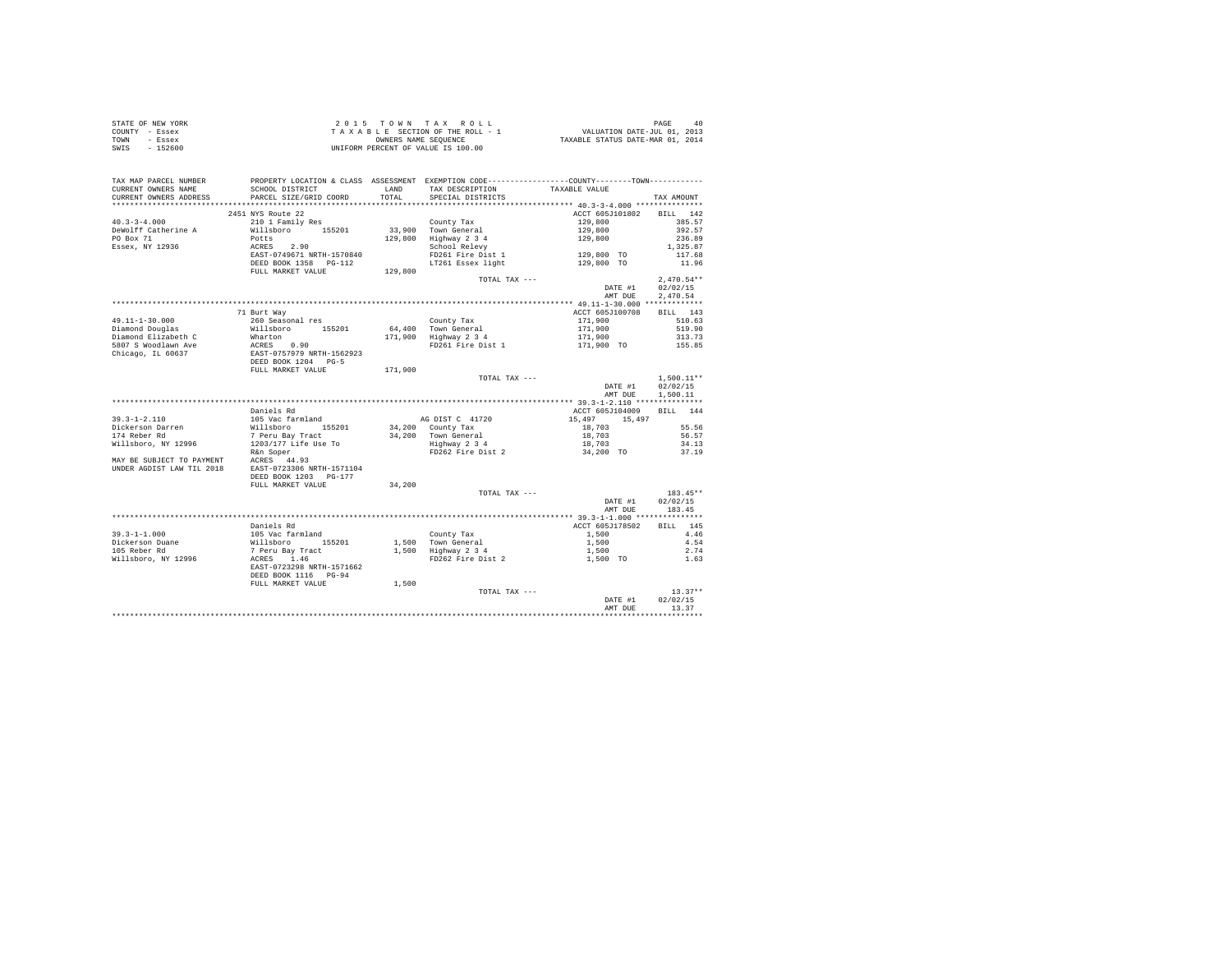| STATE OF NEW YORK                                                                                                                                                                                                                                                                                                                                                                                                                                               |                                                                                                                                                                                                                                                                                                                                                                                                                      |        |                                                                                                                    |                                  |                    |  |
|-----------------------------------------------------------------------------------------------------------------------------------------------------------------------------------------------------------------------------------------------------------------------------------------------------------------------------------------------------------------------------------------------------------------------------------------------------------------|----------------------------------------------------------------------------------------------------------------------------------------------------------------------------------------------------------------------------------------------------------------------------------------------------------------------------------------------------------------------------------------------------------------------|--------|--------------------------------------------------------------------------------------------------------------------|----------------------------------|--------------------|--|
| COUNTY - Essex                                                                                                                                                                                                                                                                                                                                                                                                                                                  | 2015 TO WINT AX ROLL IN DAGE 40<br>TAXABLE SECTION OF THE ROLL - 1 VALUATION DATE-JUL 01, 2013<br>ONNERS NAME SEQUENCE TRAXABLE STATUS DATE-MAR 01, 2014<br>UNIFORM PERCENT OF VALUE IS 100.00                                                                                                                                                                                                                       |        |                                                                                                                    |                                  |                    |  |
| TOWN - Essex                                                                                                                                                                                                                                                                                                                                                                                                                                                    |                                                                                                                                                                                                                                                                                                                                                                                                                      |        |                                                                                                                    |                                  |                    |  |
| SWIS - 152600                                                                                                                                                                                                                                                                                                                                                                                                                                                   |                                                                                                                                                                                                                                                                                                                                                                                                                      |        |                                                                                                                    |                                  |                    |  |
|                                                                                                                                                                                                                                                                                                                                                                                                                                                                 |                                                                                                                                                                                                                                                                                                                                                                                                                      |        |                                                                                                                    |                                  |                    |  |
|                                                                                                                                                                                                                                                                                                                                                                                                                                                                 |                                                                                                                                                                                                                                                                                                                                                                                                                      |        |                                                                                                                    |                                  |                    |  |
|                                                                                                                                                                                                                                                                                                                                                                                                                                                                 |                                                                                                                                                                                                                                                                                                                                                                                                                      |        |                                                                                                                    |                                  |                    |  |
|                                                                                                                                                                                                                                                                                                                                                                                                                                                                 |                                                                                                                                                                                                                                                                                                                                                                                                                      |        |                                                                                                                    |                                  |                    |  |
|                                                                                                                                                                                                                                                                                                                                                                                                                                                                 |                                                                                                                                                                                                                                                                                                                                                                                                                      |        |                                                                                                                    |                                  |                    |  |
|                                                                                                                                                                                                                                                                                                                                                                                                                                                                 |                                                                                                                                                                                                                                                                                                                                                                                                                      |        |                                                                                                                    |                                  |                    |  |
|                                                                                                                                                                                                                                                                                                                                                                                                                                                                 |                                                                                                                                                                                                                                                                                                                                                                                                                      |        |                                                                                                                    |                                  |                    |  |
|                                                                                                                                                                                                                                                                                                                                                                                                                                                                 | 2451 NYS Route 22<br>$\begin{tabular}{l c c c c c} \multicolumn{1}{c}{\textbf{0.101802}} & \multicolumn{1}{c}{\textbf{0.101802}} & \multicolumn{1}{c}{\textbf{0.101802}} & \multicolumn{1}{c}{\textbf{0.101802}} & \multicolumn{1}{c}{\textbf{0.101802}} & \multicolumn{1}{c}{\textbf{0.101802}} & \multicolumn{1}{c}{\textbf{0.101802}} & \multicolumn{1}{c}{\textbf{0.101802}} & \multicolumn{1}{c}{\textbf{0.101$ |        |                                                                                                                    | ACCT 605J101802 BILL 142         |                    |  |
| 40.3-3-4.000<br>DeWolff Catherine A                                                                                                                                                                                                                                                                                                                                                                                                                             | 210 1 Family Res                                                                                                                                                                                                                                                                                                                                                                                                     |        |                                                                                                                    |                                  |                    |  |
|                                                                                                                                                                                                                                                                                                                                                                                                                                                                 |                                                                                                                                                                                                                                                                                                                                                                                                                      |        |                                                                                                                    |                                  |                    |  |
| PO Box 71                                                                                                                                                                                                                                                                                                                                                                                                                                                       |                                                                                                                                                                                                                                                                                                                                                                                                                      |        |                                                                                                                    |                                  |                    |  |
| Essex, NY 12936                                                                                                                                                                                                                                                                                                                                                                                                                                                 |                                                                                                                                                                                                                                                                                                                                                                                                                      |        |                                                                                                                    |                                  |                    |  |
|                                                                                                                                                                                                                                                                                                                                                                                                                                                                 |                                                                                                                                                                                                                                                                                                                                                                                                                      |        |                                                                                                                    |                                  |                    |  |
|                                                                                                                                                                                                                                                                                                                                                                                                                                                                 |                                                                                                                                                                                                                                                                                                                                                                                                                      |        |                                                                                                                    |                                  |                    |  |
|                                                                                                                                                                                                                                                                                                                                                                                                                                                                 |                                                                                                                                                                                                                                                                                                                                                                                                                      |        |                                                                                                                    |                                  |                    |  |
|                                                                                                                                                                                                                                                                                                                                                                                                                                                                 |                                                                                                                                                                                                                                                                                                                                                                                                                      |        |                                                                                                                    |                                  | $2,470.54**$       |  |
|                                                                                                                                                                                                                                                                                                                                                                                                                                                                 |                                                                                                                                                                                                                                                                                                                                                                                                                      |        | TOTAL TAX ---                                                                                                      | DATE #1 02/02/15                 |                    |  |
|                                                                                                                                                                                                                                                                                                                                                                                                                                                                 |                                                                                                                                                                                                                                                                                                                                                                                                                      |        |                                                                                                                    |                                  | AMT DUE 2.470.54   |  |
|                                                                                                                                                                                                                                                                                                                                                                                                                                                                 |                                                                                                                                                                                                                                                                                                                                                                                                                      |        |                                                                                                                    |                                  |                    |  |
|                                                                                                                                                                                                                                                                                                                                                                                                                                                                 | 71 Burt Way                                                                                                                                                                                                                                                                                                                                                                                                          |        |                                                                                                                    | ACCT 605J100708                  | BILL 143           |  |
|                                                                                                                                                                                                                                                                                                                                                                                                                                                                 |                                                                                                                                                                                                                                                                                                                                                                                                                      |        |                                                                                                                    |                                  | 510.63             |  |
|                                                                                                                                                                                                                                                                                                                                                                                                                                                                 |                                                                                                                                                                                                                                                                                                                                                                                                                      |        |                                                                                                                    |                                  | 519.90             |  |
|                                                                                                                                                                                                                                                                                                                                                                                                                                                                 |                                                                                                                                                                                                                                                                                                                                                                                                                      |        |                                                                                                                    |                                  |                    |  |
|                                                                                                                                                                                                                                                                                                                                                                                                                                                                 |                                                                                                                                                                                                                                                                                                                                                                                                                      |        | County Tax 171,900<br>64,400 Town General 171,900<br>171,900 Highway 2 3 4 171,900<br>FD261 Fire Dist 1 171,900 TO |                                  | 313.73             |  |
|                                                                                                                                                                                                                                                                                                                                                                                                                                                                 |                                                                                                                                                                                                                                                                                                                                                                                                                      |        |                                                                                                                    |                                  | 155.85             |  |
|                                                                                                                                                                                                                                                                                                                                                                                                                                                                 |                                                                                                                                                                                                                                                                                                                                                                                                                      |        |                                                                                                                    |                                  |                    |  |
|                                                                                                                                                                                                                                                                                                                                                                                                                                                                 |                                                                                                                                                                                                                                                                                                                                                                                                                      |        |                                                                                                                    |                                  |                    |  |
|                                                                                                                                                                                                                                                                                                                                                                                                                                                                 |                                                                                                                                                                                                                                                                                                                                                                                                                      |        |                                                                                                                    |                                  |                    |  |
|                                                                                                                                                                                                                                                                                                                                                                                                                                                                 |                                                                                                                                                                                                                                                                                                                                                                                                                      |        | TOTAL TAX ---                                                                                                      |                                  | $1,500.11**$       |  |
|                                                                                                                                                                                                                                                                                                                                                                                                                                                                 |                                                                                                                                                                                                                                                                                                                                                                                                                      |        |                                                                                                                    | DATE #1 02/02/15                 |                    |  |
|                                                                                                                                                                                                                                                                                                                                                                                                                                                                 |                                                                                                                                                                                                                                                                                                                                                                                                                      |        |                                                                                                                    | AMT DUE 1,500.11                 |                    |  |
|                                                                                                                                                                                                                                                                                                                                                                                                                                                                 | 99.3-1-2.110<br>29.3-1-2.110<br>29.3-1-2.110<br>29.3-1-2.110<br>29.3-1-2.110<br>29.3-1-2.110<br>29.3-1-2.110<br>29.3-1-2.110<br>29.3-1-2.110<br>29.3-1-2.110<br>29.3-1-2.110<br>29.3-1-2.110<br>29.3-104.200<br>29.3-12.110<br>29.3-12.110<br>29.3-12.110<br>                                                                                                                                                        |        |                                                                                                                    |                                  |                    |  |
|                                                                                                                                                                                                                                                                                                                                                                                                                                                                 |                                                                                                                                                                                                                                                                                                                                                                                                                      |        |                                                                                                                    | ACCT 605J104009 BILL 144         |                    |  |
|                                                                                                                                                                                                                                                                                                                                                                                                                                                                 |                                                                                                                                                                                                                                                                                                                                                                                                                      |        |                                                                                                                    |                                  |                    |  |
|                                                                                                                                                                                                                                                                                                                                                                                                                                                                 |                                                                                                                                                                                                                                                                                                                                                                                                                      |        |                                                                                                                    |                                  | 55.56              |  |
|                                                                                                                                                                                                                                                                                                                                                                                                                                                                 |                                                                                                                                                                                                                                                                                                                                                                                                                      |        |                                                                                                                    |                                  | 56.57              |  |
|                                                                                                                                                                                                                                                                                                                                                                                                                                                                 |                                                                                                                                                                                                                                                                                                                                                                                                                      |        |                                                                                                                    |                                  | 34.13              |  |
|                                                                                                                                                                                                                                                                                                                                                                                                                                                                 |                                                                                                                                                                                                                                                                                                                                                                                                                      |        |                                                                                                                    |                                  | 37.19              |  |
|                                                                                                                                                                                                                                                                                                                                                                                                                                                                 |                                                                                                                                                                                                                                                                                                                                                                                                                      |        |                                                                                                                    |                                  |                    |  |
|                                                                                                                                                                                                                                                                                                                                                                                                                                                                 |                                                                                                                                                                                                                                                                                                                                                                                                                      |        |                                                                                                                    |                                  |                    |  |
|                                                                                                                                                                                                                                                                                                                                                                                                                                                                 |                                                                                                                                                                                                                                                                                                                                                                                                                      |        |                                                                                                                    |                                  |                    |  |
|                                                                                                                                                                                                                                                                                                                                                                                                                                                                 | FULL MARKET VALUE                                                                                                                                                                                                                                                                                                                                                                                                    | 34,200 |                                                                                                                    |                                  |                    |  |
|                                                                                                                                                                                                                                                                                                                                                                                                                                                                 |                                                                                                                                                                                                                                                                                                                                                                                                                      |        | TOTAL TAX ---                                                                                                      | $183.45**$<br>DATE #1 $02/02/15$ | $183.45**$         |  |
|                                                                                                                                                                                                                                                                                                                                                                                                                                                                 |                                                                                                                                                                                                                                                                                                                                                                                                                      |        |                                                                                                                    |                                  |                    |  |
|                                                                                                                                                                                                                                                                                                                                                                                                                                                                 |                                                                                                                                                                                                                                                                                                                                                                                                                      |        |                                                                                                                    |                                  | AMT DUE 183.45     |  |
|                                                                                                                                                                                                                                                                                                                                                                                                                                                                 |                                                                                                                                                                                                                                                                                                                                                                                                                      |        |                                                                                                                    |                                  |                    |  |
|                                                                                                                                                                                                                                                                                                                                                                                                                                                                 |                                                                                                                                                                                                                                                                                                                                                                                                                      |        |                                                                                                                    | ACCT 605J178502 BILL 145         |                    |  |
|                                                                                                                                                                                                                                                                                                                                                                                                                                                                 |                                                                                                                                                                                                                                                                                                                                                                                                                      |        |                                                                                                                    |                                  | 4.46               |  |
|                                                                                                                                                                                                                                                                                                                                                                                                                                                                 |                                                                                                                                                                                                                                                                                                                                                                                                                      |        |                                                                                                                    |                                  | 4.54               |  |
|                                                                                                                                                                                                                                                                                                                                                                                                                                                                 |                                                                                                                                                                                                                                                                                                                                                                                                                      |        |                                                                                                                    |                                  |                    |  |
|                                                                                                                                                                                                                                                                                                                                                                                                                                                                 |                                                                                                                                                                                                                                                                                                                                                                                                                      |        |                                                                                                                    |                                  | $2.74$<br>$1.63$   |  |
|                                                                                                                                                                                                                                                                                                                                                                                                                                                                 |                                                                                                                                                                                                                                                                                                                                                                                                                      |        |                                                                                                                    |                                  |                    |  |
|                                                                                                                                                                                                                                                                                                                                                                                                                                                                 |                                                                                                                                                                                                                                                                                                                                                                                                                      |        |                                                                                                                    |                                  |                    |  |
|                                                                                                                                                                                                                                                                                                                                                                                                                                                                 |                                                                                                                                                                                                                                                                                                                                                                                                                      |        |                                                                                                                    |                                  |                    |  |
| $\begin{tabular}{l c c c c c c c} \multicolumn{2}{c}{\textbf{1}} & \multicolumn{2}{c}{\textbf{1}} & \multicolumn{2}{c}{\textbf{1}} & \multicolumn{2}{c}{\textbf{1}} & \multicolumn{2}{c}{\textbf{1}} & \multicolumn{2}{c}{\textbf{1}} & \multicolumn{2}{c}{\textbf{1}} & \multicolumn{2}{c}{\textbf{1}} & \multicolumn{2}{c}{\textbf{1}} & \multicolumn{2}{c}{\textbf{1}} & \multicolumn{2}{c}{\textbf{1}} & \multicolumn{2}{c}{\textbf{1}} & \multicolumn{2}{$ |                                                                                                                                                                                                                                                                                                                                                                                                                      |        |                                                                                                                    |                                  |                    |  |
|                                                                                                                                                                                                                                                                                                                                                                                                                                                                 | DEED BOOK 1116 PG-94<br>FULL MARKET VALUE                                                                                                                                                                                                                                                                                                                                                                            | 1,500  |                                                                                                                    |                                  |                    |  |
|                                                                                                                                                                                                                                                                                                                                                                                                                                                                 |                                                                                                                                                                                                                                                                                                                                                                                                                      |        | TOTAL TAX ---                                                                                                      |                                  | $13.37**$          |  |
|                                                                                                                                                                                                                                                                                                                                                                                                                                                                 |                                                                                                                                                                                                                                                                                                                                                                                                                      |        |                                                                                                                    | DATE #1                          | 02/02/15           |  |
|                                                                                                                                                                                                                                                                                                                                                                                                                                                                 |                                                                                                                                                                                                                                                                                                                                                                                                                      |        |                                                                                                                    | AMT DUE                          | 13.37<br>********* |  |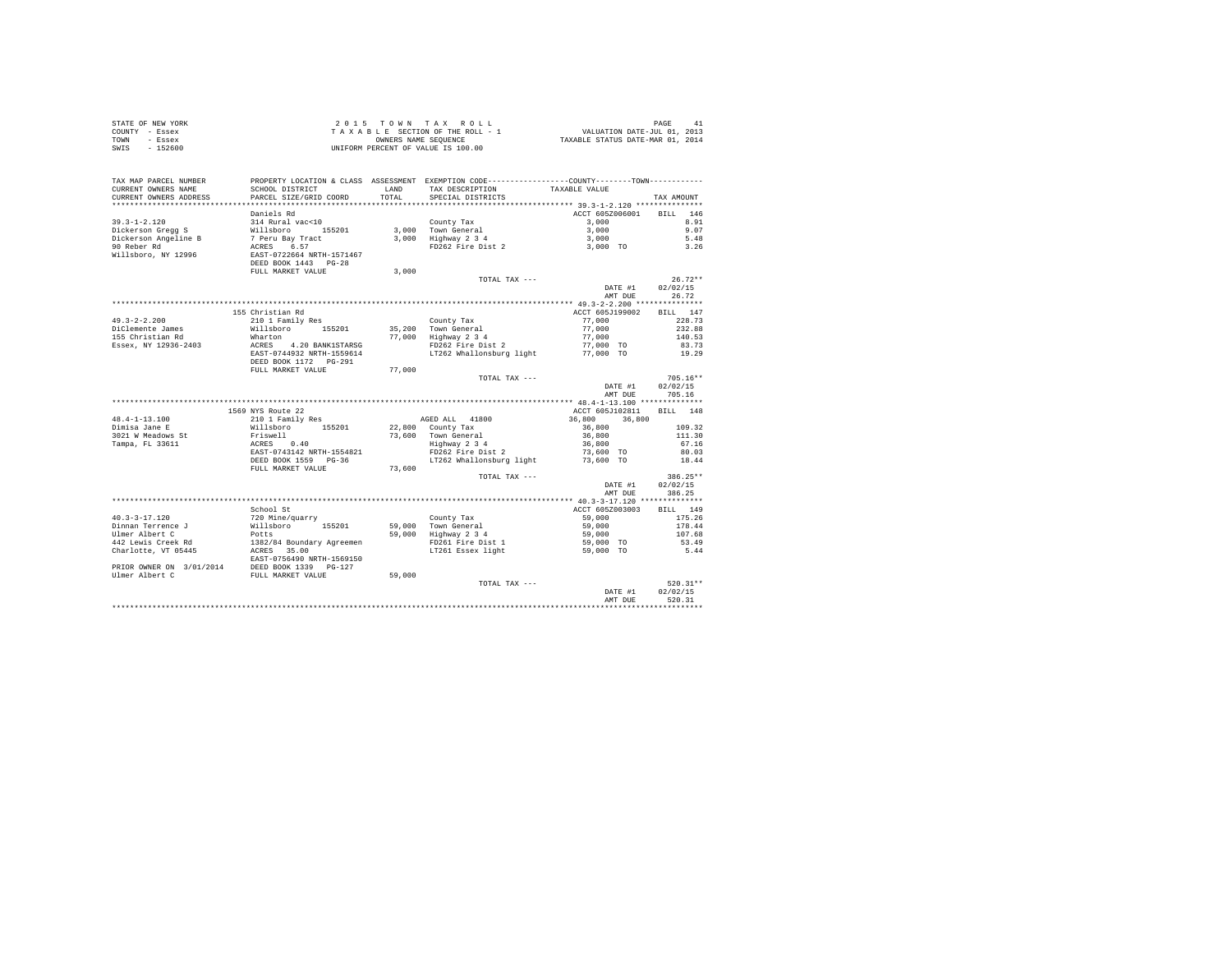| COUNTY - Essex<br>TOWN<br>- Essex                                                                                                                                                                                                                                                                                                                                | T A X A B L E SECTION OF THE ROLL - 1<br>OWLER MENTES NAMES SEQUENCE<br>UNIFORM PERCENT OF VALUE IS 100.00 |        |                                                                                                |                          |                    |
|------------------------------------------------------------------------------------------------------------------------------------------------------------------------------------------------------------------------------------------------------------------------------------------------------------------------------------------------------------------|------------------------------------------------------------------------------------------------------------|--------|------------------------------------------------------------------------------------------------|--------------------------|--------------------|
| SWIS - 152600                                                                                                                                                                                                                                                                                                                                                    |                                                                                                            |        |                                                                                                |                          |                    |
|                                                                                                                                                                                                                                                                                                                                                                  |                                                                                                            |        |                                                                                                |                          |                    |
|                                                                                                                                                                                                                                                                                                                                                                  |                                                                                                            |        |                                                                                                |                          |                    |
| TAX MAP PARCEL NUMBER                                                                                                                                                                                                                                                                                                                                            |                                                                                                            |        | PROPERTY LOCATION & CLASS ASSESSMENT EXEMPTION CODE----------------COUNTY-------TOWN---------- |                          |                    |
| CURRENT OWNERS NAME                                                                                                                                                                                                                                                                                                                                              | SCHOOL DISTRICT                                                                                            | LAND   | TAX DESCRIPTION TAXABLE VALUE                                                                  |                          |                    |
| CURRENT OWNERS ADDRESS                                                                                                                                                                                                                                                                                                                                           | PARCEL SIZE/GRID COORD                                                                                     | TOTAL  | SPECIAL DISTRICTS                                                                              |                          | TAX AMOUNT         |
|                                                                                                                                                                                                                                                                                                                                                                  | Daniels Rd                                                                                                 |        |                                                                                                | ACCT 605Z006001          | BILL 146           |
| $39.3 - 1 - 2.120$                                                                                                                                                                                                                                                                                                                                               | 314 Rural vac<10                                                                                           |        |                                                                                                |                          | 8.91               |
|                                                                                                                                                                                                                                                                                                                                                                  |                                                                                                            |        |                                                                                                |                          | 9.07               |
|                                                                                                                                                                                                                                                                                                                                                                  |                                                                                                            |        |                                                                                                |                          | 5.48               |
|                                                                                                                                                                                                                                                                                                                                                                  |                                                                                                            |        |                                                                                                |                          | 3.26               |
| 35.5-1-2.120<br>Dickerson Aregis Millaboro 155201<br>Dickerson Aregine B 7 Peru Bay Tract<br>Pickerson Aregine B 7 Peru Bay Tract<br>Picker<br>Millaboro, NY 12996 BaSF-0722664 NRTH-1571467<br>DEED BOOK 1443 PG-28                                                                                                                                             |                                                                                                            |        |                                                                                                |                          |                    |
|                                                                                                                                                                                                                                                                                                                                                                  | FULL MARKET VALUE                                                                                          | 3,000  |                                                                                                |                          |                    |
|                                                                                                                                                                                                                                                                                                                                                                  |                                                                                                            |        | TOTAL TAX ---                                                                                  |                          | $26.72**$          |
|                                                                                                                                                                                                                                                                                                                                                                  |                                                                                                            |        |                                                                                                | DATE #1                  | 02/02/15           |
|                                                                                                                                                                                                                                                                                                                                                                  |                                                                                                            |        |                                                                                                | AMT DUE                  | 26.72              |
|                                                                                                                                                                                                                                                                                                                                                                  |                                                                                                            |        |                                                                                                |                          |                    |
|                                                                                                                                                                                                                                                                                                                                                                  | 155 Christian Rd                                                                                           |        |                                                                                                | ACCT 605J199002          | BILL 147           |
| $49.3 - 2 - 2.200$                                                                                                                                                                                                                                                                                                                                               | 210 1 Family Res                                                                                           |        |                                                                                                | 77,000                   | 228.73             |
| DiClemente James                                                                                                                                                                                                                                                                                                                                                 | Willsboro 155201                                                                                           |        |                                                                                                | 77,000                   | 232.88             |
| 155 Christian Rd                                                                                                                                                                                                                                                                                                                                                 |                                                                                                            |        | County Tax<br>35,200 Town General<br>77,000 Highway 2 3 4<br>FD262 Fire Dist 2                 | 77,000                   | 140.53             |
| Essex, NY 12936-2403                                                                                                                                                                                                                                                                                                                                             | Wharton<br>ACRES 4.20 BANK1STARSG<br>EAST-0744932 NRTH-1559614                                             |        |                                                                                                | 77,000 TO                | 83.73              |
|                                                                                                                                                                                                                                                                                                                                                                  |                                                                                                            |        | LT262 Whallonsburg light                                                                       | 77,000 TO                | 19.29              |
|                                                                                                                                                                                                                                                                                                                                                                  |                                                                                                            |        |                                                                                                |                          |                    |
|                                                                                                                                                                                                                                                                                                                                                                  |                                                                                                            |        |                                                                                                |                          |                    |
|                                                                                                                                                                                                                                                                                                                                                                  | FULL MARKET VALUE 77,000                                                                                   |        |                                                                                                |                          |                    |
|                                                                                                                                                                                                                                                                                                                                                                  |                                                                                                            |        | TOTAL TAX ---                                                                                  |                          | $705.16**$         |
|                                                                                                                                                                                                                                                                                                                                                                  |                                                                                                            |        |                                                                                                | DATE #1                  | 02/02/15           |
|                                                                                                                                                                                                                                                                                                                                                                  |                                                                                                            |        |                                                                                                | AMT DUE 705.16           |                    |
|                                                                                                                                                                                                                                                                                                                                                                  | 1569 NYS Route 22                                                                                          |        |                                                                                                | ACCT 605J102811 BILL 148 |                    |
| $48.4 - 1 - 13.100$                                                                                                                                                                                                                                                                                                                                              | 1569 NYS Route 22<br>210 1 Family Res                                                                      |        |                                                                                                |                          |                    |
|                                                                                                                                                                                                                                                                                                                                                                  |                                                                                                            |        |                                                                                                |                          |                    |
| 48.4-1-15.100<br>Dimisa Jane E<br>3021 W Meadows St                                                                                                                                                                                                                                                                                                              |                                                                                                            |        |                                                                                                |                          |                    |
| Tampa, FL 33611                                                                                                                                                                                                                                                                                                                                                  |                                                                                                            |        |                                                                                                |                          |                    |
|                                                                                                                                                                                                                                                                                                                                                                  |                                                                                                            |        |                                                                                                |                          |                    |
|                                                                                                                                                                                                                                                                                                                                                                  |                                                                                                            |        |                                                                                                |                          |                    |
|                                                                                                                                                                                                                                                                                                                                                                  | FULL MARKET VALUE                                                                                          | 73,600 |                                                                                                |                          |                    |
|                                                                                                                                                                                                                                                                                                                                                                  |                                                                                                            |        | TOTAL TAX $---$                                                                                |                          | 386.25**           |
|                                                                                                                                                                                                                                                                                                                                                                  |                                                                                                            |        |                                                                                                | DATE #1<br>AMT DUE       | 02/02/15<br>386.25 |
|                                                                                                                                                                                                                                                                                                                                                                  |                                                                                                            |        |                                                                                                |                          |                    |
|                                                                                                                                                                                                                                                                                                                                                                  | School St                                                                                                  |        |                                                                                                | ACCT 605Z003003          | BILL 149           |
|                                                                                                                                                                                                                                                                                                                                                                  |                                                                                                            |        |                                                                                                |                          | 175.26             |
|                                                                                                                                                                                                                                                                                                                                                                  |                                                                                                            |        |                                                                                                |                          | 178.44             |
|                                                                                                                                                                                                                                                                                                                                                                  |                                                                                                            |        |                                                                                                |                          | 107.68             |
|                                                                                                                                                                                                                                                                                                                                                                  |                                                                                                            |        |                                                                                                |                          | 53.49              |
|                                                                                                                                                                                                                                                                                                                                                                  |                                                                                                            |        |                                                                                                |                          | 5.44               |
|                                                                                                                                                                                                                                                                                                                                                                  |                                                                                                            |        |                                                                                                |                          |                    |
|                                                                                                                                                                                                                                                                                                                                                                  |                                                                                                            |        |                                                                                                |                          |                    |
|                                                                                                                                                                                                                                                                                                                                                                  |                                                                                                            |        |                                                                                                |                          |                    |
| $\begin{tabular}{lllllllllllll} \multicolumn{3}{l}{{\textbf{40.3--3--17.120}}}&{\textbf{59.000~all\,cm}}&{\textbf{59.000~all\,cm}}&{\textbf{59.000~all\,cm}}&{\textbf{59.000~all\,cm}}&{\textbf{59.000~all\,cm}}&{\textbf{59.000~all\,cm}}&{\textbf{59.000~all\,cm}}&{\textbf{59.000~all\,cm}}&{\textbf{59.000~all\,cm}}&{\textbf{59.000~all\,cm}}&{\textbf{59.$ |                                                                                                            |        | TOTAL TAX ---                                                                                  |                          | $520.31**$         |
|                                                                                                                                                                                                                                                                                                                                                                  |                                                                                                            |        |                                                                                                | DATE #1<br>AMT DUE       | 02/02/15<br>520.31 |

STATE OF NEW YORK 2 0 1 5 T O W N T A X R O L L PAGE 41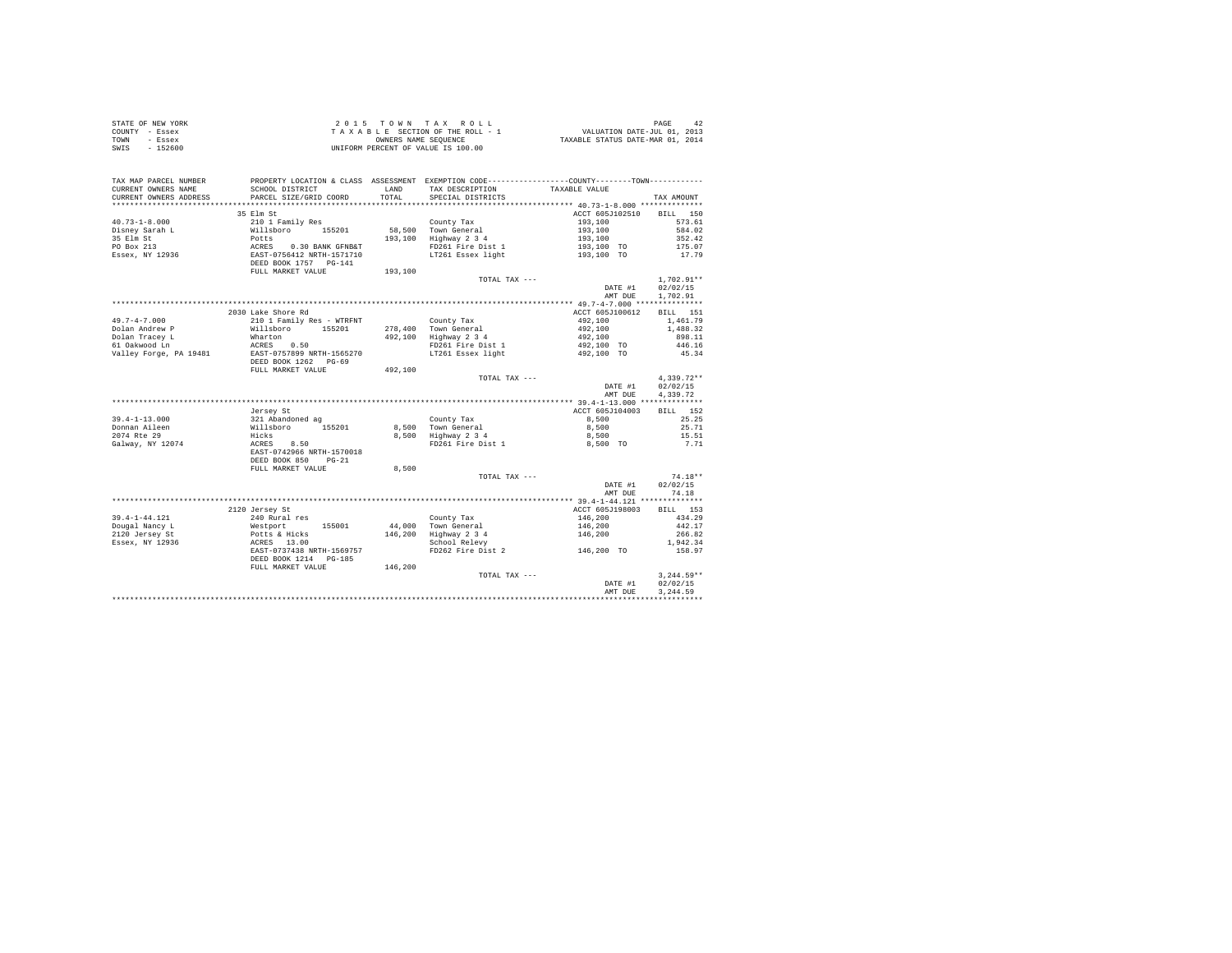| STATE OF NEW YORK               |                                                     |         |                                                                                                |                    |              |
|---------------------------------|-----------------------------------------------------|---------|------------------------------------------------------------------------------------------------|--------------------|--------------|
| COUNTY - Essex                  |                                                     |         |                                                                                                |                    |              |
| TOWN - Essex                    |                                                     |         |                                                                                                |                    |              |
| SWIS - 152600                   |                                                     |         | UNIFORM PERCENT OF VALUE IS 100.00                                                             |                    |              |
|                                 |                                                     |         |                                                                                                |                    |              |
|                                 |                                                     |         |                                                                                                |                    |              |
| TAX MAP PARCEL NUMBER           |                                                     |         | PROPERTY LOCATION & CLASS ASSESSMENT EXEMPTION CODE----------------COUNTY-------TOWN---------- |                    |              |
| CURRENT OWNERS NAME             | SCHOOL DISTRICT                                     | LAND    | TAX DESCRIPTION                                                                                | TAXABLE VALUE      |              |
| CURRENT OWNERS ADDRESS          | PARCEL SIZE/GRID COORD                              | TOTAL   | SPECIAL DISTRICTS                                                                              |                    | TAX AMOUNT   |
|                                 |                                                     |         |                                                                                                |                    |              |
|                                 | 35 Elm St                                           |         |                                                                                                | ACCT 605J102510    | BILL 150     |
| $40.73 - 1 - 8.000$             | 210 1 Family Res                                    |         | County Tax                                                                                     | 193,100            | 573.61       |
| Disney Sarah L                  | Willsboro 155201                                    |         | 58,500 Town General                                                                            | 193,100            | 584.02       |
| 35 Elm St<br>PO Box 213         | Potts                                               |         | $193.100$ Highway $2\,3\,4$                                                                    | 193,100            | 352.42       |
|                                 | ACRES 0.30 BANK GFNB&T<br>EAST-0756412 NRTH-1571710 |         | FD261 Fire Dist 1                                                                              | 193,100 TO         | 175.07       |
| Essex, NY 12936                 |                                                     |         | LT261 Essex light                                                                              | 193,100 TO         | 17.79        |
|                                 | DEED BOOK 1757    PG-141                            |         |                                                                                                |                    |              |
|                                 | FULL MARKET VALUE                                   | 193,100 |                                                                                                |                    |              |
|                                 |                                                     |         | TOTAL TAX ---                                                                                  |                    | $1.702.91**$ |
|                                 |                                                     |         |                                                                                                | DATE #1            | 02/02/15     |
|                                 |                                                     |         |                                                                                                | AMT DUE            | 1,702.91     |
|                                 |                                                     |         |                                                                                                |                    |              |
|                                 | 2030 Lake Shore Rd                                  |         |                                                                                                | ACCT 605J100612    | BILL 151     |
| $49.7 - 4 - 7.000$              | 210 1 Family Res - WTRFNT                           |         | County Tax                                                                                     | 492,100            | 1,461.79     |
| Dolan Andrew P                  | Willsboro 155201                                    |         | 278,400 Town General<br>492,100 Highway 2 3 4                                                  | 492,100            | 1,488.32     |
| Dolan Tracey L<br>61 Oakwood Ln | Wharton                                             |         |                                                                                                | 492,100            | 898.11       |
|                                 | ACRES 0.50                                          |         | FD261 Fire Dist 1                                                                              | 492,100 TO         | 446.16       |
| Valley Forge, PA 19481          | EAST-0757899 NRTH-1565270                           |         | LT261 Essex light                                                                              | 492,100 TO         | 45.34        |
|                                 | DEED BOOK 1262 PG-69                                |         |                                                                                                |                    |              |
|                                 | FULL MARKET VALUE                                   | 492,100 |                                                                                                |                    |              |
|                                 |                                                     |         | TOTAL TAX ---                                                                                  |                    | $4.339.72**$ |
|                                 |                                                     |         |                                                                                                | DATE #1            | 02/02/15     |
|                                 |                                                     |         |                                                                                                | AMT DUR            | 4.339.72     |
|                                 |                                                     |         |                                                                                                |                    |              |
|                                 | Jersey St                                           |         |                                                                                                | ACCT 605J104003    | BILL 152     |
| $39.4 - 1 - 13.000$             | 321 Abandoned ag                                    |         | County Tax                                                                                     | 8,500              | 25.25        |
| Donnan Aileen                   | Willsboro 155201                                    |         | County Tax<br>8,500 Town General<br>8,500 Highway 2 3 4                                        | 8,500              | 25.71        |
| 2074 Rte 29                     | Hicks                                               |         |                                                                                                | 8,500              | 15.51        |
| Galway, NY 12074                | ACRES 8.50                                          |         | FD261 Fire Dist 1                                                                              | 8,500 TO           | 7.71         |
|                                 | EAST-0742966 NRTH-1570018                           |         |                                                                                                |                    |              |
|                                 | DEED BOOK 850 PG-21                                 |         |                                                                                                |                    |              |
|                                 | FULL MARKET VALUE                                   | 8,500   |                                                                                                |                    |              |
|                                 |                                                     |         | TOTAL TAX ---                                                                                  |                    | $74.18**$    |
|                                 |                                                     |         |                                                                                                | DATE #1            | 02/02/15     |
|                                 |                                                     |         |                                                                                                | AMT DUE            | 74.18        |
|                                 |                                                     |         |                                                                                                |                    |              |
|                                 | 2120 Jersey St                                      |         |                                                                                                | ACCT 605J198003    | BILL 153     |
| $39.4 - 1 - 44.121$             | 240 Rural res                                       |         | County Tax                                                                                     | 146,200            | 434.29       |
| Dougal Nancy L                  | Westport<br>155001                                  |         | 44,000 Town General                                                                            | 146,200<br>146,200 | 442.17       |
| 2120 Jersey St                  | Potts & Hicks<br>ACRES 13.00                        |         | 146,200 Highway 2 3 4                                                                          |                    | 266.82       |
| Essex, NY 12936                 |                                                     |         | School Relevy                                                                                  |                    | 1,942.34     |
|                                 | EAST-0737438 NRTH-1569757                           |         | FD262 Fire Dist 2                                                                              | 146,200 TO         | 158.97       |
|                                 | DEED BOOK 1214 PG-185                               |         |                                                                                                |                    |              |
|                                 | FULL MARKET VALUE 146,200                           |         |                                                                                                |                    |              |
|                                 |                                                     |         | TOTAL TAX ---                                                                                  |                    | $3.244.59**$ |
|                                 |                                                     |         |                                                                                                | DATE #1            | 02/02/15     |
|                                 |                                                     |         |                                                                                                | AMT DUR            | 3.244.59     |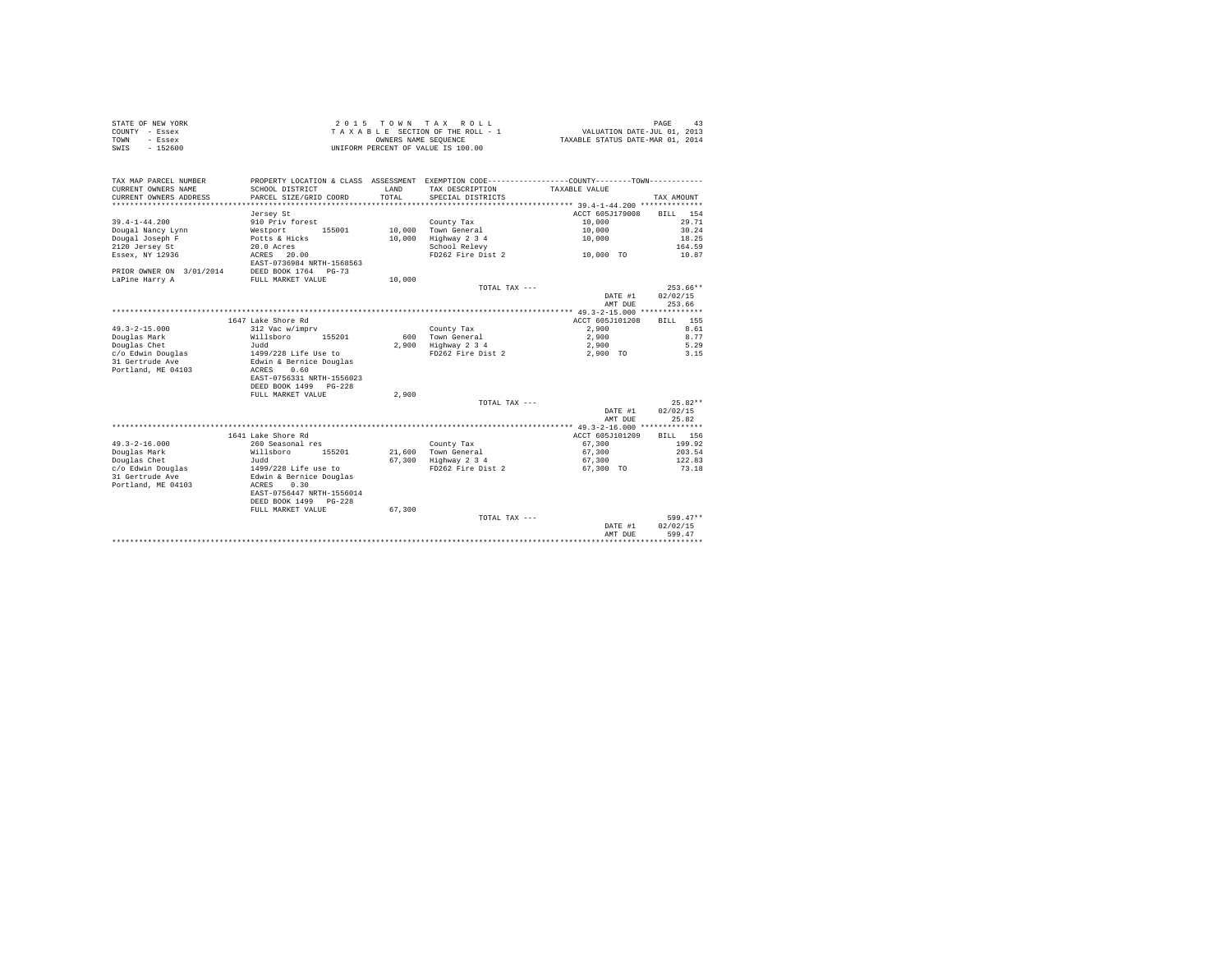|      | STATE OF NEW YORK | 2015 TOWN TAX ROLL                 | 43<br>PAGE                       |
|------|-------------------|------------------------------------|----------------------------------|
|      | COUNTY - Essex    | TAXABLE SECTION OF THE ROLL - 1    | VALUATION DATE-JUL 01, 2013      |
| TOWN | - Essex           | OWNERS NAME SEOUENCE               | TAXABLE STATUS DATE-MAR 01, 2014 |
| SWIS | $-152600$         | UNIFORM PERCENT OF VALUE IS 100.00 |                                  |

| TAX MAP PARCEL NUMBER<br>CURRENT OWNERS NAME<br>CURRENT OWNERS ADDRESS | PROPERTY LOCATION & CLASS ASSESSMENT EXEMPTION CODE---------------COUNTY-------TOWN---------<br>SCHOOL DISTRICT<br>PARCEL SIZE/GRID COORD | <b>T.AND</b><br>TOTAL | TAX DESCRIPTION<br>SPECIAL DISTRICTS | TAXABLE VALUE   | TAX AMOUNT  |
|------------------------------------------------------------------------|-------------------------------------------------------------------------------------------------------------------------------------------|-----------------------|--------------------------------------|-----------------|-------------|
|                                                                        |                                                                                                                                           |                       |                                      |                 |             |
|                                                                        | Jersey St                                                                                                                                 |                       |                                      | ACCT 605J179008 | BILL<br>154 |
| $39.4 - 1 - 44.200$                                                    | 910 Priv forest                                                                                                                           |                       | County Tax                           | 10,000          | 29.71       |
| Dougal Nancy Lynn                                                      | 155001<br>Westport                                                                                                                        | 10,000                | Town General                         | 10,000          | 30.24       |
| Dougal Joseph F                                                        | Potts & Hicks                                                                                                                             | 10,000                | Highway 2 3 4                        | 10,000          | 18.25       |
| 2120 Jersey St                                                         | 20.0 Acres                                                                                                                                |                       | School Relevy                        |                 | 164.59      |
| Essex, NY 12936                                                        | 20.00<br>ACRES                                                                                                                            |                       | FD262 Fire Dist 2                    | 10,000 TO       | 10.87       |
|                                                                        | EAST-0736984 NRTH-1568563                                                                                                                 |                       |                                      |                 |             |
| PRIOR OWNER ON 3/01/2014                                               | DEED BOOK 1764 PG-73                                                                                                                      |                       |                                      |                 |             |
| LaPine Harry A                                                         | FULL MARKET VALUE                                                                                                                         | 10,000                |                                      |                 |             |
|                                                                        |                                                                                                                                           |                       | TOTAL TAX ---                        |                 | $253.66**$  |
|                                                                        |                                                                                                                                           |                       |                                      | DATE #1         | 02/02/15    |
|                                                                        |                                                                                                                                           |                       |                                      | AMT DUE         | 253.66      |
|                                                                        |                                                                                                                                           |                       |                                      |                 |             |
|                                                                        | 1647 Lake Shore Rd                                                                                                                        |                       |                                      | ACCT 605J101208 | 155<br>BILL |
| $49.3 - 2 - 15.000$                                                    | 312 Vac w/imprv                                                                                                                           |                       | County Tax                           | 2,900           | 8.61        |
| Douglas Mark                                                           | Willsboro<br>155201                                                                                                                       |                       | 600 Town General                     | 2,900           | 8.77        |
| Douglas Chet                                                           | Judd                                                                                                                                      | 2,900                 | Highway 2 3 4                        | 2,900           | 5.29        |
| c/o Edwin Douglas                                                      | 1499/228 Life Use to                                                                                                                      |                       | FD262 Fire Dist 2                    | 2,900 TO        | 3.15        |
| 31 Gertrude Ave                                                        | Edwin & Bernice Douglas                                                                                                                   |                       |                                      |                 |             |
| Portland, ME 04103                                                     | 0.60<br>ACRES                                                                                                                             |                       |                                      |                 |             |
|                                                                        | EAST-0756331 NRTH-1556023                                                                                                                 |                       |                                      |                 |             |
|                                                                        | DEED BOOK 1499<br>PG-228                                                                                                                  |                       |                                      |                 |             |
|                                                                        | FULL MARKET VALUE                                                                                                                         | 2,900                 |                                      |                 |             |
|                                                                        |                                                                                                                                           |                       |                                      |                 | $25.82**$   |
|                                                                        |                                                                                                                                           |                       | TOTAL TAX ---                        |                 | 02/02/15    |
|                                                                        |                                                                                                                                           |                       |                                      | DATE #1         |             |
|                                                                        |                                                                                                                                           |                       |                                      | AMT DUE         | 25.82       |
|                                                                        |                                                                                                                                           |                       |                                      |                 |             |
|                                                                        | 1641 Lake Shore Rd                                                                                                                        |                       |                                      | ACCT 605J101209 | BILL 156    |
| $49.3 - 2 - 16.000$                                                    | 260 Seasonal res                                                                                                                          |                       | County Tax                           | 67,300          | 199.92      |
| Douglas Mark                                                           | Willsboro<br>155201                                                                                                                       |                       | 21,600 Town General                  | 67,300          | 203.54      |
| Douglas Chet                                                           | Judd                                                                                                                                      | 67,300                | Highway 2 3 4                        | 67,300          | 122.83      |
| c/o Edwin Douglas                                                      | 1499/228 Life use to                                                                                                                      |                       | FD262 Fire Dist 2                    | 67.300 TO       | 73.18       |
| 31 Gertrude Ave                                                        | Edwin & Bernice Douglas                                                                                                                   |                       |                                      |                 |             |
| Portland, ME 04103                                                     | 0.30<br>ACRES                                                                                                                             |                       |                                      |                 |             |
|                                                                        | EAST-0756447 NRTH-1556014                                                                                                                 |                       |                                      |                 |             |
|                                                                        | DEED BOOK 1499 PG-228                                                                                                                     |                       |                                      |                 |             |
|                                                                        | FULL MARKET VALUE                                                                                                                         | 67,300                |                                      |                 |             |
|                                                                        |                                                                                                                                           |                       | TOTAL TAX ---                        |                 | $599.47**$  |
|                                                                        |                                                                                                                                           |                       |                                      | DATE #1         | 02/02/15    |
|                                                                        |                                                                                                                                           |                       |                                      | AMT DUE         | 599.47      |
|                                                                        |                                                                                                                                           |                       |                                      |                 |             |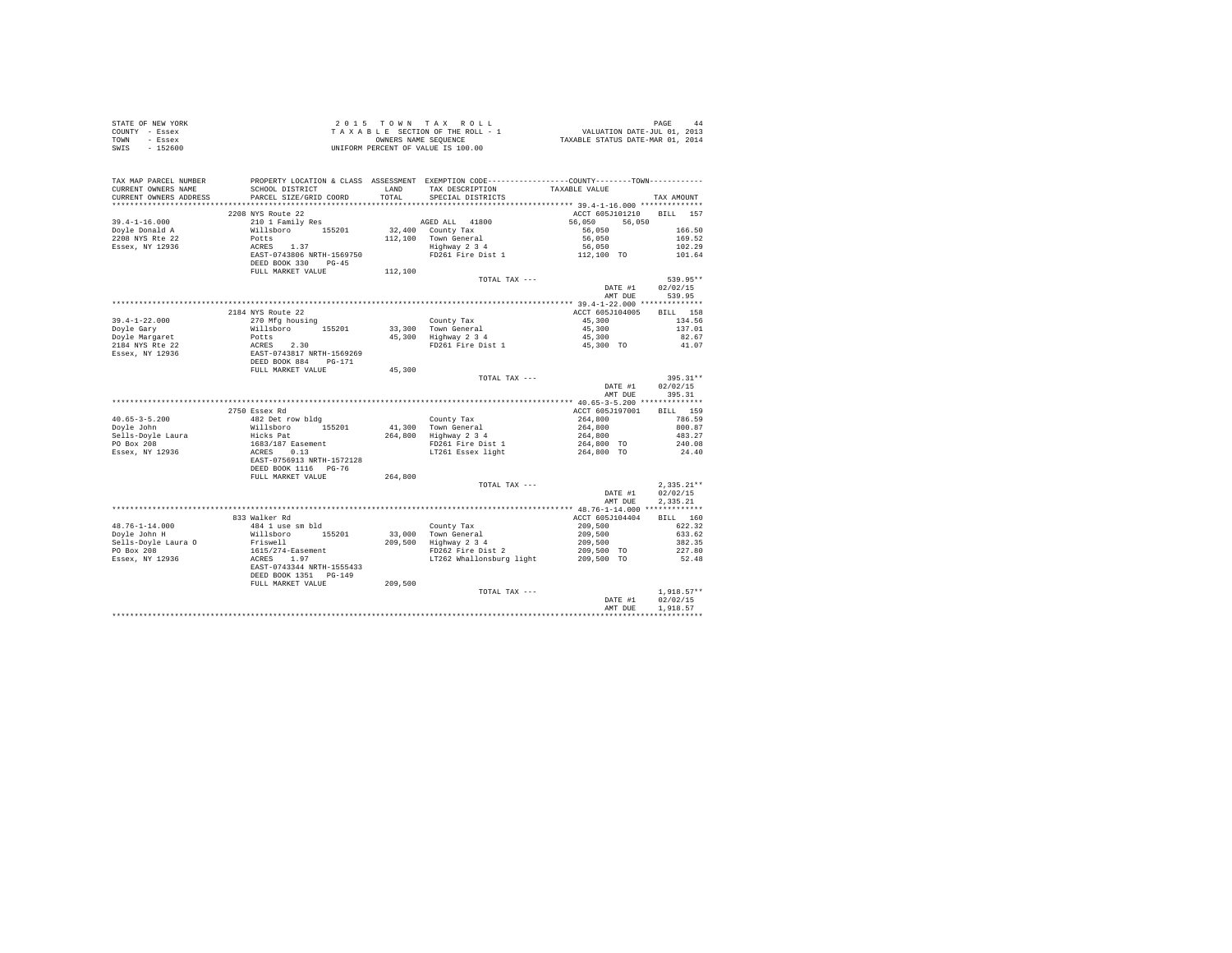| STATE OF NEW YORK                                                                                                                                                                                                                                   |                                                                                                                                                                    |               |                                    |                            |
|-----------------------------------------------------------------------------------------------------------------------------------------------------------------------------------------------------------------------------------------------------|--------------------------------------------------------------------------------------------------------------------------------------------------------------------|---------------|------------------------------------|----------------------------|
| COUNTY - Essex                                                                                                                                                                                                                                      |                                                                                                                                                                    |               |                                    |                            |
| TOWN - Essex                                                                                                                                                                                                                                        | 2015 TOWN TAX ROLL 1 PAGE 44<br>TAXABLE SECTION OF THE ROLL - 1 VALUATION DATE-JUL 01, 2013<br>UNIFORM PERCENT OF VALUE IS 100.00 TAXABLE STATUS DATE-MAR 01, 2014 |               |                                    |                            |
| SWIS - 152600                                                                                                                                                                                                                                       |                                                                                                                                                                    |               |                                    |                            |
|                                                                                                                                                                                                                                                     |                                                                                                                                                                    |               |                                    |                            |
|                                                                                                                                                                                                                                                     |                                                                                                                                                                    |               |                                    |                            |
|                                                                                                                                                                                                                                                     |                                                                                                                                                                    |               |                                    |                            |
|                                                                                                                                                                                                                                                     |                                                                                                                                                                    |               |                                    |                            |
|                                                                                                                                                                                                                                                     |                                                                                                                                                                    |               |                                    |                            |
|                                                                                                                                                                                                                                                     |                                                                                                                                                                    |               |                                    |                            |
|                                                                                                                                                                                                                                                     |                                                                                                                                                                    |               |                                    |                            |
|                                                                                                                                                                                                                                                     | 2208 NYS Route 22                                                                                                                                                  |               | ACCT 605J101210 BILL 157           |                            |
|                                                                                                                                                                                                                                                     |                                                                                                                                                                    |               |                                    |                            |
|                                                                                                                                                                                                                                                     |                                                                                                                                                                    |               |                                    |                            |
|                                                                                                                                                                                                                                                     |                                                                                                                                                                    |               |                                    |                            |
|                                                                                                                                                                                                                                                     |                                                                                                                                                                    |               |                                    |                            |
|                                                                                                                                                                                                                                                     |                                                                                                                                                                    |               |                                    |                            |
|                                                                                                                                                                                                                                                     |                                                                                                                                                                    |               |                                    |                            |
|                                                                                                                                                                                                                                                     |                                                                                                                                                                    |               |                                    |                            |
|                                                                                                                                                                                                                                                     |                                                                                                                                                                    |               |                                    |                            |
|                                                                                                                                                                                                                                                     |                                                                                                                                                                    | TOTAL TAX --- |                                    | 539.95**                   |
|                                                                                                                                                                                                                                                     |                                                                                                                                                                    |               | DATE #1 02/02/15                   |                            |
|                                                                                                                                                                                                                                                     |                                                                                                                                                                    |               | AMT DUE 539.95                     |                            |
|                                                                                                                                                                                                                                                     |                                                                                                                                                                    |               |                                    |                            |
|                                                                                                                                                                                                                                                     | 2184 NYS Route 22                                                                                                                                                  |               | ACCT 605J104005 BILL 158           |                            |
|                                                                                                                                                                                                                                                     |                                                                                                                                                                    |               |                                    |                            |
|                                                                                                                                                                                                                                                     |                                                                                                                                                                    |               |                                    |                            |
|                                                                                                                                                                                                                                                     |                                                                                                                                                                    |               |                                    |                            |
|                                                                                                                                                                                                                                                     |                                                                                                                                                                    |               |                                    |                            |
|                                                                                                                                                                                                                                                     |                                                                                                                                                                    |               |                                    |                            |
|                                                                                                                                                                                                                                                     |                                                                                                                                                                    |               |                                    |                            |
|                                                                                                                                                                                                                                                     |                                                                                                                                                                    |               |                                    |                            |
|                                                                                                                                                                                                                                                     |                                                                                                                                                                    |               |                                    |                            |
|                                                                                                                                                                                                                                                     |                                                                                                                                                                    |               |                                    |                            |
| $19.4-1-22.000$ 2184 NYS Route 22<br>Doyle Gary<br>270 Mfg housing<br>270 Mfg housing<br>270 Mfg housing<br>270 Mfg housing<br>270 Mfg housing<br>270 Mfg housing<br>270 Mfg housing<br>23, 300 Town General<br>214 MFg 45, 300 137.01<br>2184 NY 1 |                                                                                                                                                                    | TOTAL TAX --- |                                    | $395.31**$                 |
|                                                                                                                                                                                                                                                     |                                                                                                                                                                    |               |                                    |                            |
|                                                                                                                                                                                                                                                     |                                                                                                                                                                    |               | DATE #1 02/02/15<br>AMT DUE 395.31 |                            |
|                                                                                                                                                                                                                                                     |                                                                                                                                                                    |               |                                    |                            |
|                                                                                                                                                                                                                                                     | 2750 Essex Rd                                                                                                                                                      |               |                                    |                            |
|                                                                                                                                                                                                                                                     |                                                                                                                                                                    |               | ACCT 605J197001 BILL 159           |                            |
|                                                                                                                                                                                                                                                     |                                                                                                                                                                    |               |                                    |                            |
|                                                                                                                                                                                                                                                     |                                                                                                                                                                    |               |                                    |                            |
|                                                                                                                                                                                                                                                     |                                                                                                                                                                    |               |                                    |                            |
|                                                                                                                                                                                                                                                     |                                                                                                                                                                    |               |                                    |                            |
|                                                                                                                                                                                                                                                     |                                                                                                                                                                    |               |                                    |                            |
|                                                                                                                                                                                                                                                     |                                                                                                                                                                    |               |                                    |                            |
|                                                                                                                                                                                                                                                     |                                                                                                                                                                    |               |                                    |                            |
|                                                                                                                                                                                                                                                     |                                                                                                                                                                    |               |                                    | $2.335.21**$               |
|                                                                                                                                                                                                                                                     |                                                                                                                                                                    | TOTAL TAX --- |                                    |                            |
|                                                                                                                                                                                                                                                     |                                                                                                                                                                    |               | DATE #1 02/02/15                   |                            |
|                                                                                                                                                                                                                                                     |                                                                                                                                                                    |               | AMT DUE                            | 2.335.21                   |
|                                                                                                                                                                                                                                                     |                                                                                                                                                                    |               |                                    |                            |
|                                                                                                                                                                                                                                                     |                                                                                                                                                                    |               |                                    |                            |
|                                                                                                                                                                                                                                                     |                                                                                                                                                                    |               |                                    |                            |
|                                                                                                                                                                                                                                                     |                                                                                                                                                                    |               |                                    |                            |
|                                                                                                                                                                                                                                                     |                                                                                                                                                                    |               |                                    |                            |
|                                                                                                                                                                                                                                                     |                                                                                                                                                                    |               |                                    |                            |
|                                                                                                                                                                                                                                                     |                                                                                                                                                                    |               |                                    |                            |
|                                                                                                                                                                                                                                                     |                                                                                                                                                                    |               |                                    |                            |
|                                                                                                                                                                                                                                                     |                                                                                                                                                                    |               |                                    |                            |
|                                                                                                                                                                                                                                                     |                                                                                                                                                                    |               |                                    |                            |
|                                                                                                                                                                                                                                                     |                                                                                                                                                                    |               |                                    |                            |
|                                                                                                                                                                                                                                                     |                                                                                                                                                                    |               | DATE #1 02/02/15                   |                            |
|                                                                                                                                                                                                                                                     |                                                                                                                                                                    |               | AMT DUE                            | 1,918.57<br>************** |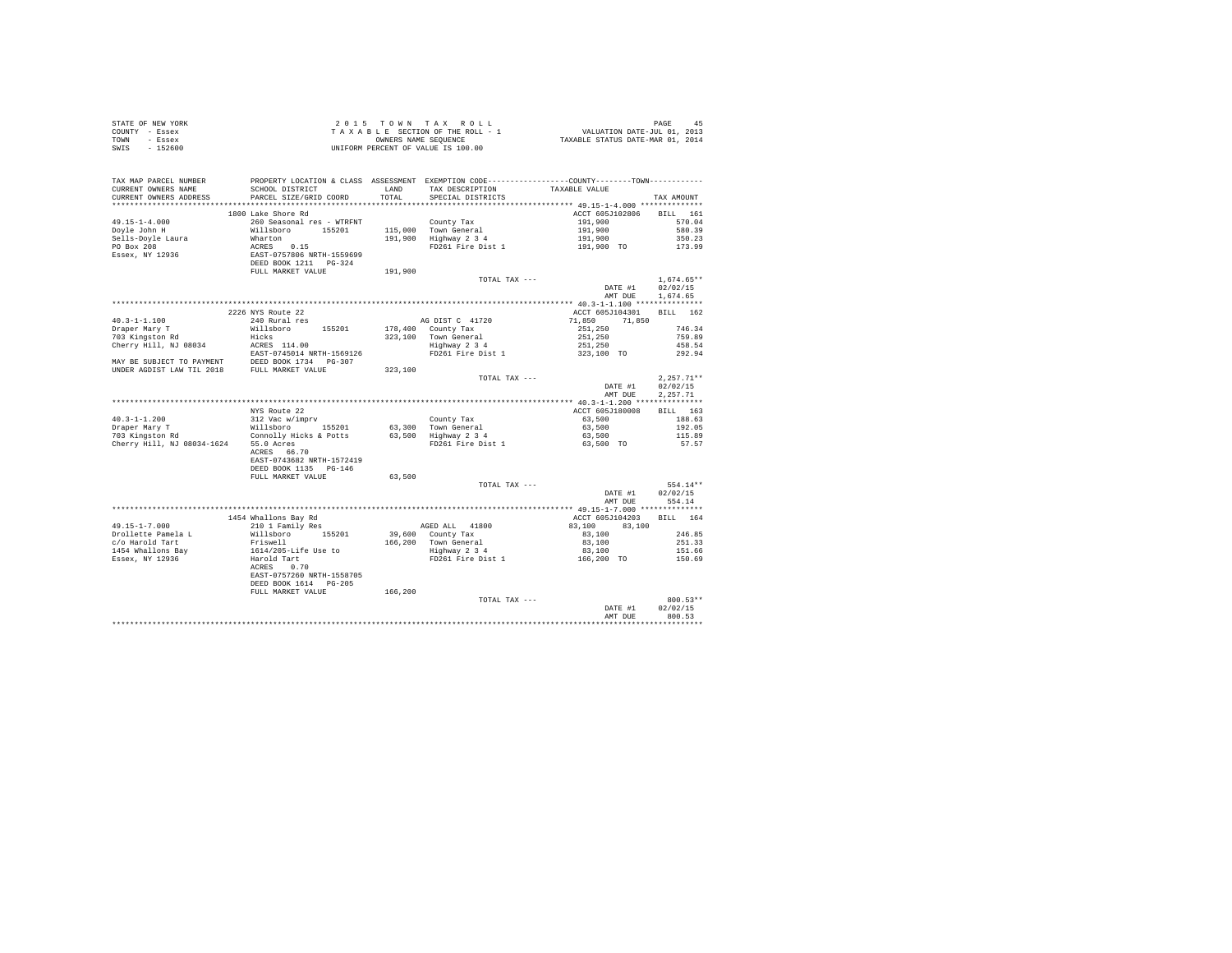| STATE OF NEW YORK                                                                                                                                                                                                                                                                                                                                                                                                      |                                                                                                                                                                                                |         |                                                                                                                                                                                                                                                                                 |                                     |                  |
|------------------------------------------------------------------------------------------------------------------------------------------------------------------------------------------------------------------------------------------------------------------------------------------------------------------------------------------------------------------------------------------------------------------------|------------------------------------------------------------------------------------------------------------------------------------------------------------------------------------------------|---------|---------------------------------------------------------------------------------------------------------------------------------------------------------------------------------------------------------------------------------------------------------------------------------|-------------------------------------|------------------|
| COUNTY - Essex                                                                                                                                                                                                                                                                                                                                                                                                         |                                                                                                                                                                                                |         |                                                                                                                                                                                                                                                                                 |                                     |                  |
| TOWN - Essex                                                                                                                                                                                                                                                                                                                                                                                                           |                                                                                                                                                                                                |         |                                                                                                                                                                                                                                                                                 |                                     |                  |
| SWIS - 152600                                                                                                                                                                                                                                                                                                                                                                                                          |                                                                                                                                                                                                |         |                                                                                                                                                                                                                                                                                 |                                     |                  |
|                                                                                                                                                                                                                                                                                                                                                                                                                        |                                                                                                                                                                                                |         |                                                                                                                                                                                                                                                                                 |                                     |                  |
|                                                                                                                                                                                                                                                                                                                                                                                                                        |                                                                                                                                                                                                |         |                                                                                                                                                                                                                                                                                 |                                     |                  |
|                                                                                                                                                                                                                                                                                                                                                                                                                        |                                                                                                                                                                                                |         |                                                                                                                                                                                                                                                                                 |                                     |                  |
| TAX MAP PARCEL NUMBER PROPERTY LOCATION & CLASS ASSESSMENT EXEMPTION CODE----------------COUNTY--------TOWN-----------<br>CURRENT OWNERS NAME                                                                                                                                                                                                                                                                          | SCHOOL DISTRICT                                                                                                                                                                                |         | LAND TAX DESCRIPTION TAXABLE VALUE                                                                                                                                                                                                                                              |                                     |                  |
| CURRENT OWNERS ADDRESS                                                                                                                                                                                                                                                                                                                                                                                                 | PARCEL SIZE/GRID COORD                                                                                                                                                                         | TOTAL   |                                                                                                                                                                                                                                                                                 |                                     |                  |
|                                                                                                                                                                                                                                                                                                                                                                                                                        |                                                                                                                                                                                                |         | SPECIAL DISTRICTS                                                                                                                                                                                                                                                               |                                     | TAX AMOUNT       |
|                                                                                                                                                                                                                                                                                                                                                                                                                        |                                                                                                                                                                                                |         |                                                                                                                                                                                                                                                                                 |                                     |                  |
| $49.15 - 1 - 4.000$                                                                                                                                                                                                                                                                                                                                                                                                    | 1800 Lake Shore Rd<br>260 Seasonal res - WTRFNT                                                                                                                                                |         |                                                                                                                                                                                                                                                                                 | ACCT 605J102806 BILL 161<br>191,900 | 570.04           |
|                                                                                                                                                                                                                                                                                                                                                                                                                        |                                                                                                                                                                                                |         | County Tax                                                                                                                                                                                                                                                                      |                                     |                  |
|                                                                                                                                                                                                                                                                                                                                                                                                                        |                                                                                                                                                                                                |         | 115,000 Town General<br>191,900 Highway 2 3 4                                                                                                                                                                                                                                   |                                     | 580.39           |
| Doyle John H<br>Sells-Doyle Laura<br>PO Box 208                                                                                                                                                                                                                                                                                                                                                                        |                                                                                                                                                                                                |         |                                                                                                                                                                                                                                                                                 | 191,900<br>191,900<br>191,900 TO    | 350.23           |
|                                                                                                                                                                                                                                                                                                                                                                                                                        |                                                                                                                                                                                                |         | FD261 Fire Dist 1                                                                                                                                                                                                                                                               |                                     | 173.99           |
| ${\small \begin{tabular}{lcl} \textbf{1}_{D11} & \textbf{2}_{T1} & \textbf{3}_{D2} & \textbf{3}_{D3} & \textbf{3}_{D4} & \textbf{3}_{D5} & \textbf{3}_{D6} & \textbf{3}_{D7} & \textbf{3}_{D8} & \textbf{3}_{D7} & \textbf{3}_{D8} & \textbf{3}_{D8} & \textbf{3}_{D9} & \textbf{3}_{D9} & \textbf{3}_{D9} & \textbf{3}_{D1} & \textbf{3}_{D1} & \textbf{3}_{D1} & \textbf{3}_{D2} & \textbf{3}_{D1} & \textbf{3}_{D2$ |                                                                                                                                                                                                |         |                                                                                                                                                                                                                                                                                 |                                     |                  |
|                                                                                                                                                                                                                                                                                                                                                                                                                        |                                                                                                                                                                                                |         |                                                                                                                                                                                                                                                                                 |                                     |                  |
|                                                                                                                                                                                                                                                                                                                                                                                                                        |                                                                                                                                                                                                | 191,900 |                                                                                                                                                                                                                                                                                 |                                     |                  |
|                                                                                                                                                                                                                                                                                                                                                                                                                        |                                                                                                                                                                                                |         | TOTAL TAX ---                                                                                                                                                                                                                                                                   |                                     | $1.674.65**$     |
|                                                                                                                                                                                                                                                                                                                                                                                                                        |                                                                                                                                                                                                |         |                                                                                                                                                                                                                                                                                 | DATE #1                             | 02/02/15         |
|                                                                                                                                                                                                                                                                                                                                                                                                                        |                                                                                                                                                                                                |         |                                                                                                                                                                                                                                                                                 |                                     | AMT DUE 1,674.65 |
|                                                                                                                                                                                                                                                                                                                                                                                                                        |                                                                                                                                                                                                |         |                                                                                                                                                                                                                                                                                 |                                     |                  |
|                                                                                                                                                                                                                                                                                                                                                                                                                        | 2226 NYS Route 22                                                                                                                                                                              |         |                                                                                                                                                                                                                                                                                 | ACCT 605J104301                     | BILL 162         |
| $40.3 - 1 - 1.100$                                                                                                                                                                                                                                                                                                                                                                                                     | 240 Rural res                                                                                                                                                                                  |         | AG DIST C 41720                                                                                                                                                                                                                                                                 | 71,850<br>71,850                    |                  |
| Draper Mary T                                                                                                                                                                                                                                                                                                                                                                                                          | Willsboro 155201                                                                                                                                                                               |         | 178,400 County Tax                                                                                                                                                                                                                                                              |                                     | 746.34           |
| 703 Kingston Rd                                                                                                                                                                                                                                                                                                                                                                                                        | Hicks                                                                                                                                                                                          |         | 323,100 Town General<br>Highway 2 3 4                                                                                                                                                                                                                                           |                                     | 759.89           |
| Cherry Hill, NJ 08034                                                                                                                                                                                                                                                                                                                                                                                                  | ACRES 114.00                                                                                                                                                                                   |         | $\begin{array}{cccccc} 178,400 & {\tt conv}{\tt Tax} & & & & & 11,450 \\ 323,100 & {\tt Conv} {\tt Tax} & & & & 251,250 \\ 323,100 & {\tt Town} {\tt Wax} & & & & 251,250 \\ 3251,250 & & & & 251,250 \\ 3251,250 & & & & 251,250 \\ 323,100 & {\tt TO} & & & & \\ \end{array}$ |                                     | 458.54           |
|                                                                                                                                                                                                                                                                                                                                                                                                                        | EAST-0745014 NRTH-1569126                                                                                                                                                                      |         |                                                                                                                                                                                                                                                                                 |                                     | 292.94           |
| $\begin{array}{lll} \texttt{RAST-0745014 NRTH-1569126} \\ \texttt{MAY BE SUBJECT TO PAYMENT} \\ \texttt{ININEN NOTAM INNCT} \\ \texttt{NIVEN} \end{array} \quad \begin{array}{lll} \texttt{RAST-0745014 NRTH-1569126} \\ \texttt{DEED BOK 1734} \\ \texttt{DRED BOK 1734} \\ \texttt{PG-307} \end{array}$                                                                                                              |                                                                                                                                                                                                |         |                                                                                                                                                                                                                                                                                 |                                     |                  |
| UNDER AGDIST LAW TIL 2018 FULL MARKET VALUE                                                                                                                                                                                                                                                                                                                                                                            |                                                                                                                                                                                                | 323,100 |                                                                                                                                                                                                                                                                                 |                                     |                  |
|                                                                                                                                                                                                                                                                                                                                                                                                                        |                                                                                                                                                                                                |         | TOTAL TAX $---$                                                                                                                                                                                                                                                                 |                                     | $2.257.71**$     |
|                                                                                                                                                                                                                                                                                                                                                                                                                        |                                                                                                                                                                                                |         |                                                                                                                                                                                                                                                                                 | DATE #1                             | 02/02/15         |
|                                                                                                                                                                                                                                                                                                                                                                                                                        |                                                                                                                                                                                                |         |                                                                                                                                                                                                                                                                                 | AMT DUE                             | 2.257.71         |
|                                                                                                                                                                                                                                                                                                                                                                                                                        |                                                                                                                                                                                                |         |                                                                                                                                                                                                                                                                                 |                                     |                  |
|                                                                                                                                                                                                                                                                                                                                                                                                                        | NYS Route 22                                                                                                                                                                                   |         |                                                                                                                                                                                                                                                                                 | ACCT 605J180008                     | BILL 163         |
| $40.3 - 1 - 1.200$                                                                                                                                                                                                                                                                                                                                                                                                     | 312 Vac w/imprv                                                                                                                                                                                |         |                                                                                                                                                                                                                                                                                 | 63,500                              | 188.63           |
| Praper Mary T<br>Draper Mary T<br>703 Kingston Rd<br>Connolly Hicks & Potts                                                                                                                                                                                                                                                                                                                                            |                                                                                                                                                                                                |         |                                                                                                                                                                                                                                                                                 | 63,500                              | 192.05           |
|                                                                                                                                                                                                                                                                                                                                                                                                                        |                                                                                                                                                                                                |         | County Tax<br>63,300 Town General<br>63,500 Highway 2 3 4<br>FD261 Fire Dist 1                                                                                                                                                                                                  | 63,500                              | 115.89           |
| Cherry Hill, NJ 08034-1624 55.0 Acres<br>ACRES 66.70                                                                                                                                                                                                                                                                                                                                                                   |                                                                                                                                                                                                |         |                                                                                                                                                                                                                                                                                 | 63,500 TO                           | 57.57            |
|                                                                                                                                                                                                                                                                                                                                                                                                                        |                                                                                                                                                                                                |         |                                                                                                                                                                                                                                                                                 |                                     |                  |
|                                                                                                                                                                                                                                                                                                                                                                                                                        | EAST-0743682 NRTH-1572419                                                                                                                                                                      |         |                                                                                                                                                                                                                                                                                 |                                     |                  |
|                                                                                                                                                                                                                                                                                                                                                                                                                        | DEED BOOK 1135 PG-146                                                                                                                                                                          |         |                                                                                                                                                                                                                                                                                 |                                     |                  |
|                                                                                                                                                                                                                                                                                                                                                                                                                        | FULL MARKET VALUE                                                                                                                                                                              | 63,500  |                                                                                                                                                                                                                                                                                 |                                     |                  |
|                                                                                                                                                                                                                                                                                                                                                                                                                        |                                                                                                                                                                                                |         | TOTAL TAX ---                                                                                                                                                                                                                                                                   |                                     | 554.14**         |
|                                                                                                                                                                                                                                                                                                                                                                                                                        |                                                                                                                                                                                                |         |                                                                                                                                                                                                                                                                                 | DATE #1                             | 02/02/15         |
|                                                                                                                                                                                                                                                                                                                                                                                                                        |                                                                                                                                                                                                |         |                                                                                                                                                                                                                                                                                 | AMT DUE 554.14                      |                  |
|                                                                                                                                                                                                                                                                                                                                                                                                                        |                                                                                                                                                                                                |         |                                                                                                                                                                                                                                                                                 |                                     |                  |
|                                                                                                                                                                                                                                                                                                                                                                                                                        | 1454 Whallons Bay Rd<br>1434 MHAILONS BAY RG<br>210 1 Family Res                                                                                                                               |         |                                                                                                                                                                                                                                                                                 | ACCT 605J104203 BILL 164            |                  |
| $49.15 - 1 - 7.000$                                                                                                                                                                                                                                                                                                                                                                                                    |                                                                                                                                                                                                |         | ${\tt AGED\ ALL} \qquad {\tt 41800}$                                                                                                                                                                                                                                            | $83,100$ $83,100$ $2$               |                  |
| Drollette Pamela L                                                                                                                                                                                                                                                                                                                                                                                                     |                                                                                                                                                                                                |         | 39,600 County Tax                                                                                                                                                                                                                                                               |                                     | 246.85           |
|                                                                                                                                                                                                                                                                                                                                                                                                                        |                                                                                                                                                                                                |         | 166,200 Town General<br>Highway 2 3 4<br>FD261 Fire Dist 1                                                                                                                                                                                                                      | 83,100                              | 251.33           |
|                                                                                                                                                                                                                                                                                                                                                                                                                        |                                                                                                                                                                                                |         |                                                                                                                                                                                                                                                                                 | 83,100<br>$0.5,100$<br>166,200 TO   | 151.66           |
| c/o Harold Tart<br>1454 Whallons Bay<br>Essex, NY 12936                                                                                                                                                                                                                                                                                                                                                                | Noted the mail of the state of the Millsboro<br>Friswell (1976-116 Use to Harold Tart)<br>AGERS 0.70<br>ACRES 0.70<br>DERST-0757260 NRTH-1558705<br>DEED BOOK 1614 PG-205<br>FULL MARKET VALUE |         |                                                                                                                                                                                                                                                                                 |                                     | 150.69           |
|                                                                                                                                                                                                                                                                                                                                                                                                                        |                                                                                                                                                                                                |         |                                                                                                                                                                                                                                                                                 |                                     |                  |
|                                                                                                                                                                                                                                                                                                                                                                                                                        |                                                                                                                                                                                                |         |                                                                                                                                                                                                                                                                                 |                                     |                  |
|                                                                                                                                                                                                                                                                                                                                                                                                                        |                                                                                                                                                                                                |         |                                                                                                                                                                                                                                                                                 |                                     |                  |
|                                                                                                                                                                                                                                                                                                                                                                                                                        |                                                                                                                                                                                                | 166,200 |                                                                                                                                                                                                                                                                                 |                                     |                  |
|                                                                                                                                                                                                                                                                                                                                                                                                                        |                                                                                                                                                                                                |         | TOTAL TAX ---                                                                                                                                                                                                                                                                   |                                     | 800.53**         |
|                                                                                                                                                                                                                                                                                                                                                                                                                        |                                                                                                                                                                                                |         |                                                                                                                                                                                                                                                                                 | DATE #1                             | 02/02/15         |
|                                                                                                                                                                                                                                                                                                                                                                                                                        |                                                                                                                                                                                                |         |                                                                                                                                                                                                                                                                                 | AMT DUE                             | 800.53           |
|                                                                                                                                                                                                                                                                                                                                                                                                                        |                                                                                                                                                                                                |         |                                                                                                                                                                                                                                                                                 |                                     | .                |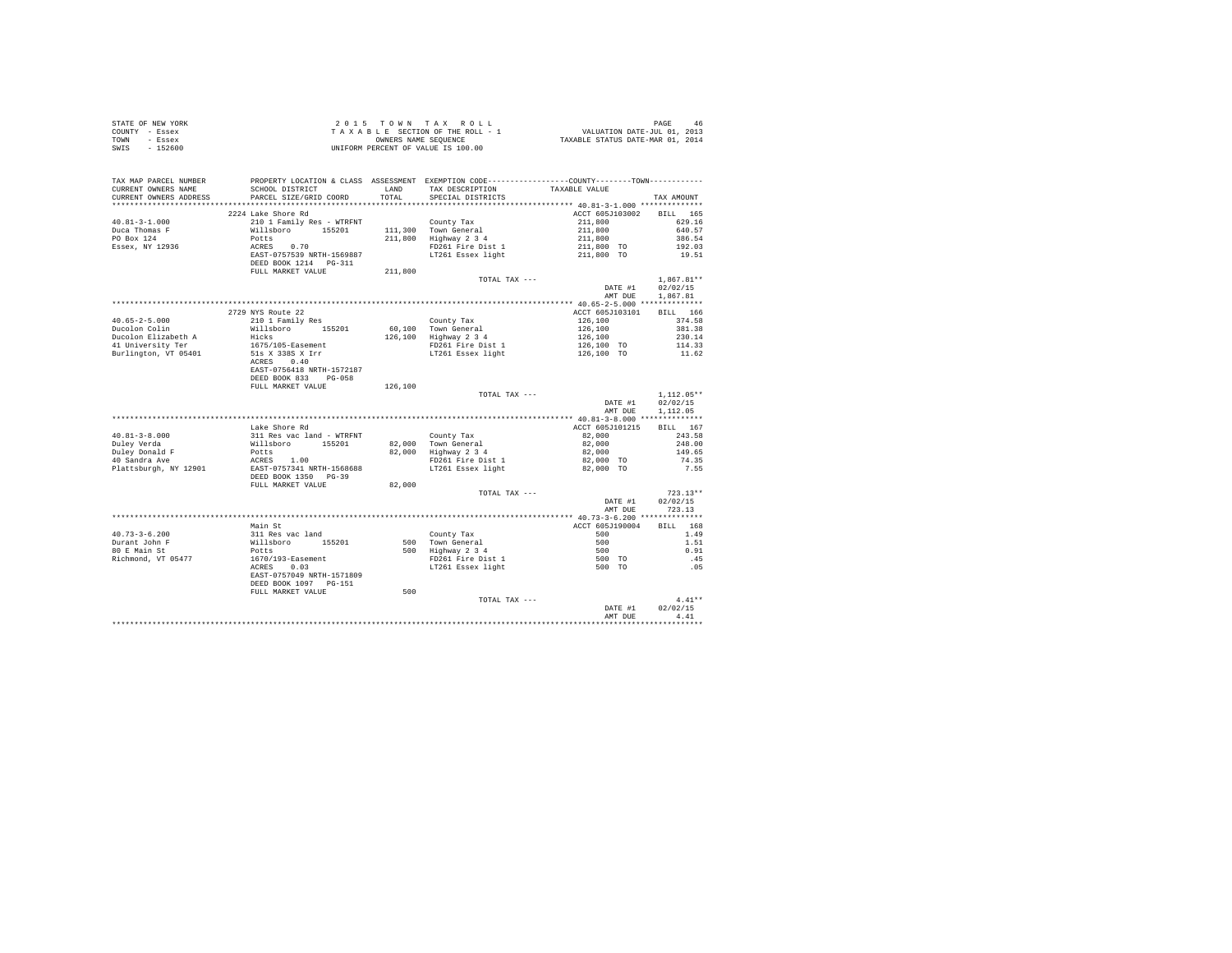|      | STATE OF NEW YORK | $2.0.15$ TOWN TAX ROLL             | 46<br>PAGE                       |
|------|-------------------|------------------------------------|----------------------------------|
|      | COUNTY - Essex    | TAXABLE SECTION OF THE ROLL - 1    | VALUATION DATE-JUL 01, 2013      |
| TOWN | - Essex           | OWNERS NAME SEOUENCE               | TAXABLE STATUS DATE-MAR 01, 2014 |
| SWIS | $-152600$         | UNIFORM PERCENT OF VALUE IS 100.00 |                                  |

| TAX MAP PARCEL NUMBER<br>CURRENT OWNERS NAME<br>CURRENT OWNERS ADDRESS | PROPERTY LOCATION & CLASS ASSESSMENT EXEMPTION CODE-----------<br>SCHOOL DISTRICT<br>PARCEL SIZE/GRID COORD | LAND<br>TOTAL | TAX DESCRIPTION<br>SPECIAL DISTRICTS                              | -------COUNTY--------TOWN------------<br>TAXABLE VALUE | TAX AMOUNT                           |
|------------------------------------------------------------------------|-------------------------------------------------------------------------------------------------------------|---------------|-------------------------------------------------------------------|--------------------------------------------------------|--------------------------------------|
| ******************                                                     |                                                                                                             | .             | ************************************ 40.81-3-1.000 ************** |                                                        |                                      |
| $40.81 - 3 - 1.000$<br>Duca Thomas F                                   | 2224 Lake Shore Rd<br>210 1 Family Res - WTRFNT<br>Willsboro<br>155201                                      | 111,300       | County Tax<br>Town General                                        | ACCT 605J103002<br>211,800<br>211,800                  | BILL 165<br>629.16<br>640.57         |
| PO Box 124<br>Essex, NY 12936                                          | Potts<br>0.70<br>ACRES                                                                                      | 211,800       | Highway 2 3 4<br>FD261 Fire Dist 1                                | 211,800<br>211,800 TO                                  | 386.54<br>192.03                     |
|                                                                        | EAST-0757539 NRTH-1569887<br>DEED BOOK 1214 PG-311                                                          |               | LT261 Essex light                                                 | 211,800 TO                                             | 19.51                                |
|                                                                        | FULL MARKET VALUE                                                                                           | 211,800       |                                                                   |                                                        |                                      |
|                                                                        |                                                                                                             |               | TOTAL TAX ---                                                     | DATE #1<br>AMT DUE                                     | $1.867.81**$<br>02/02/15<br>1,867.81 |
|                                                                        |                                                                                                             |               |                                                                   |                                                        |                                      |
| $40.65 - 2 - 5.000$                                                    | 2729 NYS Route 22<br>210 1 Family Res                                                                       |               | County Tax                                                        | ACCT 605J103101<br>126,100                             | BILL 166<br>374.58                   |
| Ducolon Colin                                                          | Willsboro<br>155201                                                                                         |               | 60,100 Town General                                               | 126,100                                                | 381.38                               |
| Ducolon Elizabeth A                                                    | Hicks                                                                                                       | 126,100       | Highway 2 3 4                                                     | 126,100                                                | 230.14                               |
| 41 University Ter<br>Burlington, VT 05401                              | 1675/105-Easement<br>51s X 338S X Irr<br>ACRES<br>0.40                                                      |               | FD261 Fire Dist 1<br>LT261 Essex light                            | 126,100 TO<br>126,100 TO                               | 114.33<br>11.62                      |
|                                                                        | EAST-0756418 NRTH-1572187<br>DEED BOOK 833<br>$PG-058$                                                      |               |                                                                   |                                                        |                                      |
|                                                                        | FULL MARKET VALUE                                                                                           | 126,100       |                                                                   |                                                        |                                      |
|                                                                        |                                                                                                             |               | TOTAL TAX ---                                                     |                                                        | $1.112.05**$                         |
|                                                                        |                                                                                                             |               |                                                                   | DATE #1                                                | 02/02/15                             |
|                                                                        |                                                                                                             |               |                                                                   | AMT DUE                                                | 1,112.05                             |
|                                                                        |                                                                                                             |               |                                                                   |                                                        |                                      |
|                                                                        | Lake Shore Rd                                                                                               |               |                                                                   | ACCT 605J101215                                        | BILL 167                             |
| $40.81 - 3 - 8.000$                                                    | 311 Res vac land - WTRFNT                                                                                   |               | County Tax                                                        | 82,000                                                 | 243.58                               |
| Duley Verda                                                            | Willsboro<br>155201                                                                                         | 82,000        | Town General                                                      | 82,000                                                 | 248.00                               |
| Duley Donald F<br>40 Sandra Ave                                        | Potts<br>ACRES 1.00                                                                                         | 82,000        | Highway 2 3 4                                                     | 82,000                                                 | 149.65<br>74.35                      |
| Plattsburgh, NY 12901                                                  | EAST-0757341 NRTH-1568688<br>DEED BOOK 1350 PG-39                                                           |               | FD261 Fire Dist 1<br>LT261 Essex light                            | 82,000 TO<br>82,000 TO                                 | 7.55                                 |
|                                                                        | FULL MARKET VALUE                                                                                           | 82,000        |                                                                   |                                                        |                                      |
|                                                                        |                                                                                                             |               | TOTAL TAX ---                                                     |                                                        | $723.13**$                           |
|                                                                        |                                                                                                             |               |                                                                   | DATE #1<br>AMT DUE                                     | 02/02/15<br>723.13                   |
|                                                                        |                                                                                                             |               |                                                                   |                                                        |                                      |
|                                                                        | Main St                                                                                                     |               |                                                                   | ACCT 605J190004                                        | RTT.T.<br>168                        |
| $40.73 - 3 - 6.200$                                                    | 311 Res vac land                                                                                            |               | County Tax                                                        | 500                                                    | 1.49                                 |
| Durant John F                                                          | Willsboro<br>155201                                                                                         |               | 500 Town General                                                  | 500                                                    | 1.51                                 |
| 80 E Main St                                                           | Potts                                                                                                       |               | 500 Highway 2 3 4                                                 | 500                                                    | 0.91                                 |
| Richmond, VT 05477                                                     | 1670/193-Easement<br>0.03<br>ACRES                                                                          |               | FD261 Fire Dist 1<br>LT261 Essex light                            | 500 TO<br>500 TO                                       | .45<br>.05                           |
|                                                                        | EAST-0757049 NRTH-1571809<br>DEED BOOK 1097 PG-151                                                          |               |                                                                   |                                                        |                                      |
|                                                                        | FULL MARKET VALUE                                                                                           | 500           |                                                                   |                                                        |                                      |
|                                                                        |                                                                                                             |               | TOTAL TAX ---                                                     |                                                        | $4.41**$                             |
|                                                                        |                                                                                                             |               |                                                                   | DATE #1<br>AMT DUE                                     | 02/02/15<br>4.41                     |
|                                                                        |                                                                                                             |               |                                                                   | *********************************                      |                                      |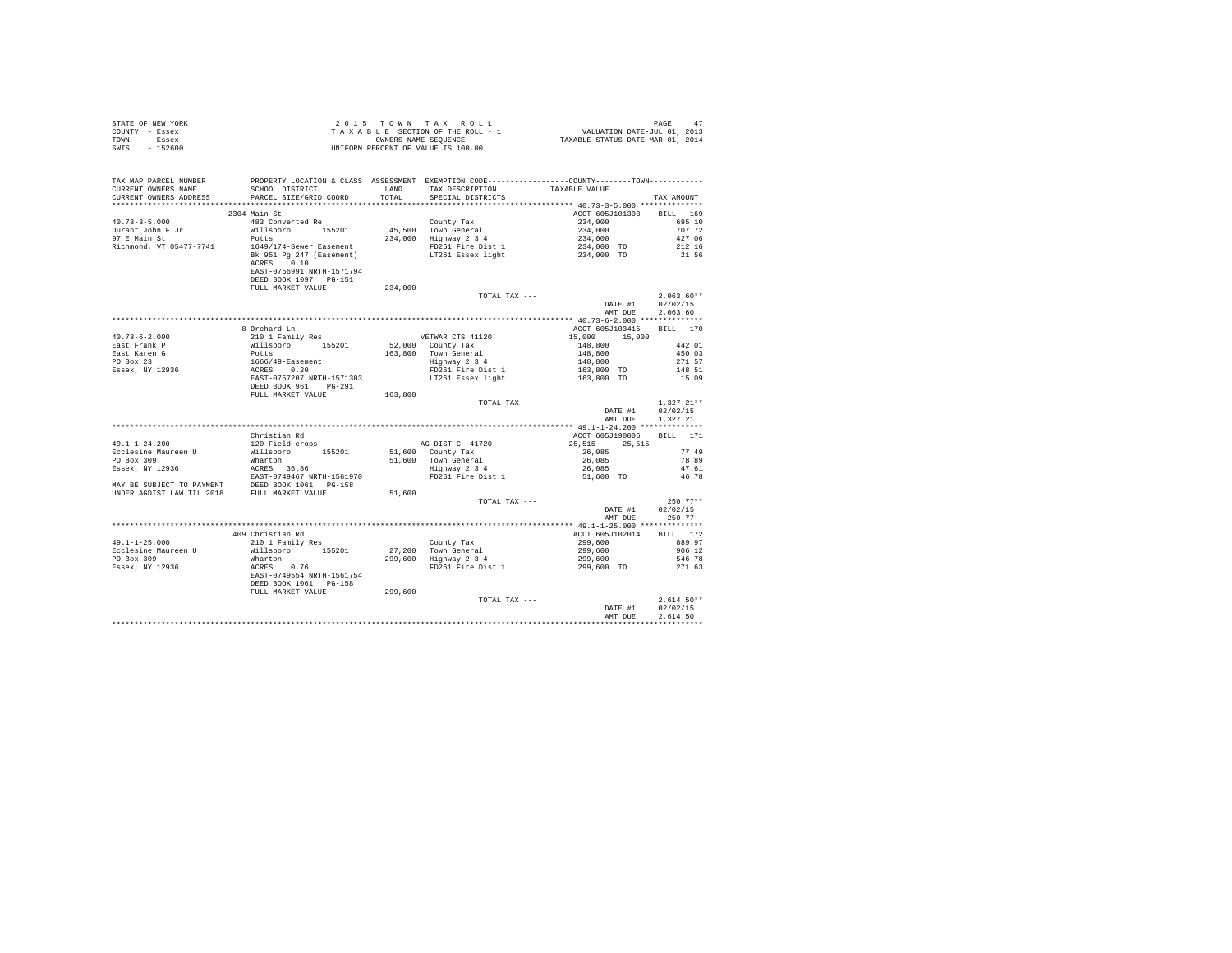|                | STATE OF NEW YORK |  |  |  | 2015 TOWN TAX ROLL                 |  |  |  | 47<br>PAGE                       |
|----------------|-------------------|--|--|--|------------------------------------|--|--|--|----------------------------------|
| COUNTY - Essex |                   |  |  |  | TAXABLE SECTION OF THE ROLL - 1    |  |  |  | VALUATION DATE-JUL 01, 2013      |
| TOWN           | - Essex           |  |  |  | OWNERS NAME SEOUENCE               |  |  |  | TAXABLE STATUS DATE-MAR 01, 2014 |
| SWIS           | $-152600$         |  |  |  | UNIFORM PERCENT OF VALUE IS 100.00 |  |  |  |                                  |

| *******************<br>2304 Main St<br>ACCT 605J101303<br>BILL 169<br>$40.73 - 3 - 5.000$<br>483 Converted Re<br>695.10<br>County Tax<br>234,000<br>45,500 Town General<br>234,000 Highway 2 3 4<br>$234,000$<br>$234,000$<br>$234,000$ TO<br>$234,000$ TO<br>707.72<br>Durant John F Jr<br>Willsboro 155201<br>97 E Main St<br>Potts<br>427.06<br>Richmond, VT 05477-7741<br>1649/174-Sewer Easement<br>FD261 Fire Dist 1<br>212.16<br>LT261 Essex light<br>Bk 951 Pg 247 (Easement)<br>21.56<br>ACRES 0.10<br>EAST-0756991 NRTH-1571794<br>DEED BOOK 1097 PG-151<br>234,000<br>FULL MARKET VALUE<br>$2,063.60**$<br>TOTAL TAX ---<br>DATE #1<br>02/02/15<br>2.063.60<br>AMT DUE<br>************** 40.73-6-2.000 ***************<br>8 Orchard Ln<br>ACCT 605J103415<br>BILL 170<br>210 1 Family Res<br>15,000<br>VETWAR CTS 41120<br>15,000<br>52,000 County Tax<br>442.01<br>Nillsboro 155201<br>Potts<br>1666/49-Easement<br>ACRES 0.20<br>EAST-0757207 NRTH-1571303<br>$\begin{array}{r} 148,800 \\ 148,800 \\ 148,800 \\ 148,800 \\ 163,800 \text{ TO} \\ 163,800 \text{ TO} \end{array}$<br>163.800 Town General<br>450.03<br>mast Karen G<br>PO Box 23<br>Essex, NY 12936<br>Highway 2 3 4<br>271.57<br>FD261 Fire Dist 1<br>148.51<br>LT261 Essex light<br>15.09<br>DEED BOOK 961 PG-291<br>FULL MARKET VALUE<br>163,800<br>$1,327.21**$<br>TOTAL TAX ---<br>02/02/15<br>DATE #1<br>AMT DUE<br>1,327.21<br>Christian Rd<br>ACCT 605J190006<br>BILL 171<br>120 Field crops<br>AG DIST C 41720<br>$49.1 - 1 - 24.200$<br>25.515 25.515<br>Willsboro 155201<br>77.49<br>Ecclesine Maureen U<br>51,600 County Tax<br>26,085<br>PO Box 309<br>Wharton<br>51,600 Town General<br>Highway 2 3 4<br>26,085<br>78.89<br>26,085<br>ACRES 36.86<br>EAST-0749467 NRTH-1561970<br>Essex, NY 12936<br>47.61<br>FD261 Fire Dist 1<br>51,600 TO<br>46.78<br>MAY BE SUBJECT TO PAYMENT DEED BOOK 1061 PG-158<br>UNDER AGDIST LAW TIL 2018 FULL MARKET VALUE<br>51,600<br>$250.77**$<br>TOTAL TAX ---<br>DATE #1<br>02/02/15<br>AMT DUE<br>250.77<br>409 Christian Rd<br>ACCT 605J102014<br>BILL 172<br>$210$ 1 Family Res<br>County Tax<br>299,600<br>889.97<br>Willsboro 155201<br>27,200<br>Town General<br>906.12<br>299,600<br>299,600 Highway 2 3 4<br>PO Box 309<br>299,600<br>Wharton<br>546.78<br>ACRES 0.76<br>EAST-0749554 NRTH-1561754<br>Essex, NY 12936<br>FD261 Fire Dist 1<br>299,600 TO<br>271.63<br>DEED BOOK 1061 PG-158<br>299,600<br>FULL MARKET VALUE<br>$2.614.50**$<br>TOTAL TAX ---<br>02/02/15<br>DATE #1<br>2.614.50<br>AMT DUE | TAX MAP PARCEL NUMBER<br>CURRENT OWNERS NAME<br>CURRENT OWNERS ADDRESS | SCHOOL DISTRICT<br>PARCEL SIZE/GRID COORD | LAND<br>TOTAL | TAX DESCRIPTION<br>SPECIAL DISTRICTS | PROPERTY LOCATION & CLASS ASSESSMENT EXEMPTION CODE---------------COUNTY-------TOWN---------<br>TAXABLE VALUE | TAX AMOUNT |
|--------------------------------------------------------------------------------------------------------------------------------------------------------------------------------------------------------------------------------------------------------------------------------------------------------------------------------------------------------------------------------------------------------------------------------------------------------------------------------------------------------------------------------------------------------------------------------------------------------------------------------------------------------------------------------------------------------------------------------------------------------------------------------------------------------------------------------------------------------------------------------------------------------------------------------------------------------------------------------------------------------------------------------------------------------------------------------------------------------------------------------------------------------------------------------------------------------------------------------------------------------------------------------------------------------------------------------------------------------------------------------------------------------------------------------------------------------------------------------------------------------------------------------------------------------------------------------------------------------------------------------------------------------------------------------------------------------------------------------------------------------------------------------------------------------------------------------------------------------------------------------------------------------------------------------------------------------------------------------------------------------------------------------------------------------------------------------------------------------------------------------------------------------------------------------------------------------------------------------------------------------------------------------------------------------------------------------------------------------------------------------------------------------------------------------------------------------------------------------------------------------------------------------------------------|------------------------------------------------------------------------|-------------------------------------------|---------------|--------------------------------------|---------------------------------------------------------------------------------------------------------------|------------|
|                                                                                                                                                                                                                                                                                                                                                                                                                                                                                                                                                                                                                                                                                                                                                                                                                                                                                                                                                                                                                                                                                                                                                                                                                                                                                                                                                                                                                                                                                                                                                                                                                                                                                                                                                                                                                                                                                                                                                                                                                                                                                                                                                                                                                                                                                                                                                                                                                                                                                                                                                  |                                                                        |                                           |               |                                      |                                                                                                               |            |
|                                                                                                                                                                                                                                                                                                                                                                                                                                                                                                                                                                                                                                                                                                                                                                                                                                                                                                                                                                                                                                                                                                                                                                                                                                                                                                                                                                                                                                                                                                                                                                                                                                                                                                                                                                                                                                                                                                                                                                                                                                                                                                                                                                                                                                                                                                                                                                                                                                                                                                                                                  |                                                                        |                                           |               |                                      |                                                                                                               |            |
|                                                                                                                                                                                                                                                                                                                                                                                                                                                                                                                                                                                                                                                                                                                                                                                                                                                                                                                                                                                                                                                                                                                                                                                                                                                                                                                                                                                                                                                                                                                                                                                                                                                                                                                                                                                                                                                                                                                                                                                                                                                                                                                                                                                                                                                                                                                                                                                                                                                                                                                                                  |                                                                        |                                           |               |                                      |                                                                                                               |            |
|                                                                                                                                                                                                                                                                                                                                                                                                                                                                                                                                                                                                                                                                                                                                                                                                                                                                                                                                                                                                                                                                                                                                                                                                                                                                                                                                                                                                                                                                                                                                                                                                                                                                                                                                                                                                                                                                                                                                                                                                                                                                                                                                                                                                                                                                                                                                                                                                                                                                                                                                                  |                                                                        |                                           |               |                                      |                                                                                                               |            |
|                                                                                                                                                                                                                                                                                                                                                                                                                                                                                                                                                                                                                                                                                                                                                                                                                                                                                                                                                                                                                                                                                                                                                                                                                                                                                                                                                                                                                                                                                                                                                                                                                                                                                                                                                                                                                                                                                                                                                                                                                                                                                                                                                                                                                                                                                                                                                                                                                                                                                                                                                  |                                                                        |                                           |               |                                      |                                                                                                               |            |
|                                                                                                                                                                                                                                                                                                                                                                                                                                                                                                                                                                                                                                                                                                                                                                                                                                                                                                                                                                                                                                                                                                                                                                                                                                                                                                                                                                                                                                                                                                                                                                                                                                                                                                                                                                                                                                                                                                                                                                                                                                                                                                                                                                                                                                                                                                                                                                                                                                                                                                                                                  |                                                                        |                                           |               |                                      |                                                                                                               |            |
|                                                                                                                                                                                                                                                                                                                                                                                                                                                                                                                                                                                                                                                                                                                                                                                                                                                                                                                                                                                                                                                                                                                                                                                                                                                                                                                                                                                                                                                                                                                                                                                                                                                                                                                                                                                                                                                                                                                                                                                                                                                                                                                                                                                                                                                                                                                                                                                                                                                                                                                                                  |                                                                        |                                           |               |                                      |                                                                                                               |            |
|                                                                                                                                                                                                                                                                                                                                                                                                                                                                                                                                                                                                                                                                                                                                                                                                                                                                                                                                                                                                                                                                                                                                                                                                                                                                                                                                                                                                                                                                                                                                                                                                                                                                                                                                                                                                                                                                                                                                                                                                                                                                                                                                                                                                                                                                                                                                                                                                                                                                                                                                                  |                                                                        |                                           |               |                                      |                                                                                                               |            |
|                                                                                                                                                                                                                                                                                                                                                                                                                                                                                                                                                                                                                                                                                                                                                                                                                                                                                                                                                                                                                                                                                                                                                                                                                                                                                                                                                                                                                                                                                                                                                                                                                                                                                                                                                                                                                                                                                                                                                                                                                                                                                                                                                                                                                                                                                                                                                                                                                                                                                                                                                  |                                                                        |                                           |               |                                      |                                                                                                               |            |
|                                                                                                                                                                                                                                                                                                                                                                                                                                                                                                                                                                                                                                                                                                                                                                                                                                                                                                                                                                                                                                                                                                                                                                                                                                                                                                                                                                                                                                                                                                                                                                                                                                                                                                                                                                                                                                                                                                                                                                                                                                                                                                                                                                                                                                                                                                                                                                                                                                                                                                                                                  |                                                                        |                                           |               |                                      |                                                                                                               |            |
|                                                                                                                                                                                                                                                                                                                                                                                                                                                                                                                                                                                                                                                                                                                                                                                                                                                                                                                                                                                                                                                                                                                                                                                                                                                                                                                                                                                                                                                                                                                                                                                                                                                                                                                                                                                                                                                                                                                                                                                                                                                                                                                                                                                                                                                                                                                                                                                                                                                                                                                                                  |                                                                        |                                           |               |                                      |                                                                                                               |            |
|                                                                                                                                                                                                                                                                                                                                                                                                                                                                                                                                                                                                                                                                                                                                                                                                                                                                                                                                                                                                                                                                                                                                                                                                                                                                                                                                                                                                                                                                                                                                                                                                                                                                                                                                                                                                                                                                                                                                                                                                                                                                                                                                                                                                                                                                                                                                                                                                                                                                                                                                                  |                                                                        |                                           |               |                                      |                                                                                                               |            |
|                                                                                                                                                                                                                                                                                                                                                                                                                                                                                                                                                                                                                                                                                                                                                                                                                                                                                                                                                                                                                                                                                                                                                                                                                                                                                                                                                                                                                                                                                                                                                                                                                                                                                                                                                                                                                                                                                                                                                                                                                                                                                                                                                                                                                                                                                                                                                                                                                                                                                                                                                  |                                                                        |                                           |               |                                      |                                                                                                               |            |
|                                                                                                                                                                                                                                                                                                                                                                                                                                                                                                                                                                                                                                                                                                                                                                                                                                                                                                                                                                                                                                                                                                                                                                                                                                                                                                                                                                                                                                                                                                                                                                                                                                                                                                                                                                                                                                                                                                                                                                                                                                                                                                                                                                                                                                                                                                                                                                                                                                                                                                                                                  |                                                                        |                                           |               |                                      |                                                                                                               |            |
|                                                                                                                                                                                                                                                                                                                                                                                                                                                                                                                                                                                                                                                                                                                                                                                                                                                                                                                                                                                                                                                                                                                                                                                                                                                                                                                                                                                                                                                                                                                                                                                                                                                                                                                                                                                                                                                                                                                                                                                                                                                                                                                                                                                                                                                                                                                                                                                                                                                                                                                                                  |                                                                        |                                           |               |                                      |                                                                                                               |            |
|                                                                                                                                                                                                                                                                                                                                                                                                                                                                                                                                                                                                                                                                                                                                                                                                                                                                                                                                                                                                                                                                                                                                                                                                                                                                                                                                                                                                                                                                                                                                                                                                                                                                                                                                                                                                                                                                                                                                                                                                                                                                                                                                                                                                                                                                                                                                                                                                                                                                                                                                                  | $40.73 - 6 - 2.000$                                                    |                                           |               |                                      |                                                                                                               |            |
|                                                                                                                                                                                                                                                                                                                                                                                                                                                                                                                                                                                                                                                                                                                                                                                                                                                                                                                                                                                                                                                                                                                                                                                                                                                                                                                                                                                                                                                                                                                                                                                                                                                                                                                                                                                                                                                                                                                                                                                                                                                                                                                                                                                                                                                                                                                                                                                                                                                                                                                                                  | East Frank P                                                           |                                           |               |                                      |                                                                                                               |            |
|                                                                                                                                                                                                                                                                                                                                                                                                                                                                                                                                                                                                                                                                                                                                                                                                                                                                                                                                                                                                                                                                                                                                                                                                                                                                                                                                                                                                                                                                                                                                                                                                                                                                                                                                                                                                                                                                                                                                                                                                                                                                                                                                                                                                                                                                                                                                                                                                                                                                                                                                                  | East Karen G                                                           |                                           |               |                                      |                                                                                                               |            |
|                                                                                                                                                                                                                                                                                                                                                                                                                                                                                                                                                                                                                                                                                                                                                                                                                                                                                                                                                                                                                                                                                                                                                                                                                                                                                                                                                                                                                                                                                                                                                                                                                                                                                                                                                                                                                                                                                                                                                                                                                                                                                                                                                                                                                                                                                                                                                                                                                                                                                                                                                  |                                                                        |                                           |               |                                      |                                                                                                               |            |
|                                                                                                                                                                                                                                                                                                                                                                                                                                                                                                                                                                                                                                                                                                                                                                                                                                                                                                                                                                                                                                                                                                                                                                                                                                                                                                                                                                                                                                                                                                                                                                                                                                                                                                                                                                                                                                                                                                                                                                                                                                                                                                                                                                                                                                                                                                                                                                                                                                                                                                                                                  |                                                                        |                                           |               |                                      |                                                                                                               |            |
|                                                                                                                                                                                                                                                                                                                                                                                                                                                                                                                                                                                                                                                                                                                                                                                                                                                                                                                                                                                                                                                                                                                                                                                                                                                                                                                                                                                                                                                                                                                                                                                                                                                                                                                                                                                                                                                                                                                                                                                                                                                                                                                                                                                                                                                                                                                                                                                                                                                                                                                                                  |                                                                        |                                           |               |                                      |                                                                                                               |            |
|                                                                                                                                                                                                                                                                                                                                                                                                                                                                                                                                                                                                                                                                                                                                                                                                                                                                                                                                                                                                                                                                                                                                                                                                                                                                                                                                                                                                                                                                                                                                                                                                                                                                                                                                                                                                                                                                                                                                                                                                                                                                                                                                                                                                                                                                                                                                                                                                                                                                                                                                                  |                                                                        |                                           |               |                                      |                                                                                                               |            |
|                                                                                                                                                                                                                                                                                                                                                                                                                                                                                                                                                                                                                                                                                                                                                                                                                                                                                                                                                                                                                                                                                                                                                                                                                                                                                                                                                                                                                                                                                                                                                                                                                                                                                                                                                                                                                                                                                                                                                                                                                                                                                                                                                                                                                                                                                                                                                                                                                                                                                                                                                  |                                                                        |                                           |               |                                      |                                                                                                               |            |
|                                                                                                                                                                                                                                                                                                                                                                                                                                                                                                                                                                                                                                                                                                                                                                                                                                                                                                                                                                                                                                                                                                                                                                                                                                                                                                                                                                                                                                                                                                                                                                                                                                                                                                                                                                                                                                                                                                                                                                                                                                                                                                                                                                                                                                                                                                                                                                                                                                                                                                                                                  |                                                                        |                                           |               |                                      |                                                                                                               |            |
|                                                                                                                                                                                                                                                                                                                                                                                                                                                                                                                                                                                                                                                                                                                                                                                                                                                                                                                                                                                                                                                                                                                                                                                                                                                                                                                                                                                                                                                                                                                                                                                                                                                                                                                                                                                                                                                                                                                                                                                                                                                                                                                                                                                                                                                                                                                                                                                                                                                                                                                                                  |                                                                        |                                           |               |                                      |                                                                                                               |            |
|                                                                                                                                                                                                                                                                                                                                                                                                                                                                                                                                                                                                                                                                                                                                                                                                                                                                                                                                                                                                                                                                                                                                                                                                                                                                                                                                                                                                                                                                                                                                                                                                                                                                                                                                                                                                                                                                                                                                                                                                                                                                                                                                                                                                                                                                                                                                                                                                                                                                                                                                                  |                                                                        |                                           |               |                                      |                                                                                                               |            |
|                                                                                                                                                                                                                                                                                                                                                                                                                                                                                                                                                                                                                                                                                                                                                                                                                                                                                                                                                                                                                                                                                                                                                                                                                                                                                                                                                                                                                                                                                                                                                                                                                                                                                                                                                                                                                                                                                                                                                                                                                                                                                                                                                                                                                                                                                                                                                                                                                                                                                                                                                  |                                                                        |                                           |               |                                      |                                                                                                               |            |
|                                                                                                                                                                                                                                                                                                                                                                                                                                                                                                                                                                                                                                                                                                                                                                                                                                                                                                                                                                                                                                                                                                                                                                                                                                                                                                                                                                                                                                                                                                                                                                                                                                                                                                                                                                                                                                                                                                                                                                                                                                                                                                                                                                                                                                                                                                                                                                                                                                                                                                                                                  |                                                                        |                                           |               |                                      |                                                                                                               |            |
|                                                                                                                                                                                                                                                                                                                                                                                                                                                                                                                                                                                                                                                                                                                                                                                                                                                                                                                                                                                                                                                                                                                                                                                                                                                                                                                                                                                                                                                                                                                                                                                                                                                                                                                                                                                                                                                                                                                                                                                                                                                                                                                                                                                                                                                                                                                                                                                                                                                                                                                                                  |                                                                        |                                           |               |                                      |                                                                                                               |            |
|                                                                                                                                                                                                                                                                                                                                                                                                                                                                                                                                                                                                                                                                                                                                                                                                                                                                                                                                                                                                                                                                                                                                                                                                                                                                                                                                                                                                                                                                                                                                                                                                                                                                                                                                                                                                                                                                                                                                                                                                                                                                                                                                                                                                                                                                                                                                                                                                                                                                                                                                                  |                                                                        |                                           |               |                                      |                                                                                                               |            |
|                                                                                                                                                                                                                                                                                                                                                                                                                                                                                                                                                                                                                                                                                                                                                                                                                                                                                                                                                                                                                                                                                                                                                                                                                                                                                                                                                                                                                                                                                                                                                                                                                                                                                                                                                                                                                                                                                                                                                                                                                                                                                                                                                                                                                                                                                                                                                                                                                                                                                                                                                  |                                                                        |                                           |               |                                      |                                                                                                               |            |
|                                                                                                                                                                                                                                                                                                                                                                                                                                                                                                                                                                                                                                                                                                                                                                                                                                                                                                                                                                                                                                                                                                                                                                                                                                                                                                                                                                                                                                                                                                                                                                                                                                                                                                                                                                                                                                                                                                                                                                                                                                                                                                                                                                                                                                                                                                                                                                                                                                                                                                                                                  |                                                                        |                                           |               |                                      |                                                                                                               |            |
|                                                                                                                                                                                                                                                                                                                                                                                                                                                                                                                                                                                                                                                                                                                                                                                                                                                                                                                                                                                                                                                                                                                                                                                                                                                                                                                                                                                                                                                                                                                                                                                                                                                                                                                                                                                                                                                                                                                                                                                                                                                                                                                                                                                                                                                                                                                                                                                                                                                                                                                                                  |                                                                        |                                           |               |                                      |                                                                                                               |            |
|                                                                                                                                                                                                                                                                                                                                                                                                                                                                                                                                                                                                                                                                                                                                                                                                                                                                                                                                                                                                                                                                                                                                                                                                                                                                                                                                                                                                                                                                                                                                                                                                                                                                                                                                                                                                                                                                                                                                                                                                                                                                                                                                                                                                                                                                                                                                                                                                                                                                                                                                                  |                                                                        |                                           |               |                                      |                                                                                                               |            |
|                                                                                                                                                                                                                                                                                                                                                                                                                                                                                                                                                                                                                                                                                                                                                                                                                                                                                                                                                                                                                                                                                                                                                                                                                                                                                                                                                                                                                                                                                                                                                                                                                                                                                                                                                                                                                                                                                                                                                                                                                                                                                                                                                                                                                                                                                                                                                                                                                                                                                                                                                  |                                                                        |                                           |               |                                      |                                                                                                               |            |
|                                                                                                                                                                                                                                                                                                                                                                                                                                                                                                                                                                                                                                                                                                                                                                                                                                                                                                                                                                                                                                                                                                                                                                                                                                                                                                                                                                                                                                                                                                                                                                                                                                                                                                                                                                                                                                                                                                                                                                                                                                                                                                                                                                                                                                                                                                                                                                                                                                                                                                                                                  |                                                                        |                                           |               |                                      |                                                                                                               |            |
|                                                                                                                                                                                                                                                                                                                                                                                                                                                                                                                                                                                                                                                                                                                                                                                                                                                                                                                                                                                                                                                                                                                                                                                                                                                                                                                                                                                                                                                                                                                                                                                                                                                                                                                                                                                                                                                                                                                                                                                                                                                                                                                                                                                                                                                                                                                                                                                                                                                                                                                                                  |                                                                        |                                           |               |                                      |                                                                                                               |            |
|                                                                                                                                                                                                                                                                                                                                                                                                                                                                                                                                                                                                                                                                                                                                                                                                                                                                                                                                                                                                                                                                                                                                                                                                                                                                                                                                                                                                                                                                                                                                                                                                                                                                                                                                                                                                                                                                                                                                                                                                                                                                                                                                                                                                                                                                                                                                                                                                                                                                                                                                                  |                                                                        |                                           |               |                                      |                                                                                                               |            |
|                                                                                                                                                                                                                                                                                                                                                                                                                                                                                                                                                                                                                                                                                                                                                                                                                                                                                                                                                                                                                                                                                                                                                                                                                                                                                                                                                                                                                                                                                                                                                                                                                                                                                                                                                                                                                                                                                                                                                                                                                                                                                                                                                                                                                                                                                                                                                                                                                                                                                                                                                  |                                                                        |                                           |               |                                      |                                                                                                               |            |
|                                                                                                                                                                                                                                                                                                                                                                                                                                                                                                                                                                                                                                                                                                                                                                                                                                                                                                                                                                                                                                                                                                                                                                                                                                                                                                                                                                                                                                                                                                                                                                                                                                                                                                                                                                                                                                                                                                                                                                                                                                                                                                                                                                                                                                                                                                                                                                                                                                                                                                                                                  | $49.1 - 1 - 25.000$                                                    |                                           |               |                                      |                                                                                                               |            |
|                                                                                                                                                                                                                                                                                                                                                                                                                                                                                                                                                                                                                                                                                                                                                                                                                                                                                                                                                                                                                                                                                                                                                                                                                                                                                                                                                                                                                                                                                                                                                                                                                                                                                                                                                                                                                                                                                                                                                                                                                                                                                                                                                                                                                                                                                                                                                                                                                                                                                                                                                  | Ecclesine Maureen U                                                    |                                           |               |                                      |                                                                                                               |            |
|                                                                                                                                                                                                                                                                                                                                                                                                                                                                                                                                                                                                                                                                                                                                                                                                                                                                                                                                                                                                                                                                                                                                                                                                                                                                                                                                                                                                                                                                                                                                                                                                                                                                                                                                                                                                                                                                                                                                                                                                                                                                                                                                                                                                                                                                                                                                                                                                                                                                                                                                                  |                                                                        |                                           |               |                                      |                                                                                                               |            |
|                                                                                                                                                                                                                                                                                                                                                                                                                                                                                                                                                                                                                                                                                                                                                                                                                                                                                                                                                                                                                                                                                                                                                                                                                                                                                                                                                                                                                                                                                                                                                                                                                                                                                                                                                                                                                                                                                                                                                                                                                                                                                                                                                                                                                                                                                                                                                                                                                                                                                                                                                  |                                                                        |                                           |               |                                      |                                                                                                               |            |
|                                                                                                                                                                                                                                                                                                                                                                                                                                                                                                                                                                                                                                                                                                                                                                                                                                                                                                                                                                                                                                                                                                                                                                                                                                                                                                                                                                                                                                                                                                                                                                                                                                                                                                                                                                                                                                                                                                                                                                                                                                                                                                                                                                                                                                                                                                                                                                                                                                                                                                                                                  |                                                                        |                                           |               |                                      |                                                                                                               |            |
|                                                                                                                                                                                                                                                                                                                                                                                                                                                                                                                                                                                                                                                                                                                                                                                                                                                                                                                                                                                                                                                                                                                                                                                                                                                                                                                                                                                                                                                                                                                                                                                                                                                                                                                                                                                                                                                                                                                                                                                                                                                                                                                                                                                                                                                                                                                                                                                                                                                                                                                                                  |                                                                        |                                           |               |                                      |                                                                                                               |            |
|                                                                                                                                                                                                                                                                                                                                                                                                                                                                                                                                                                                                                                                                                                                                                                                                                                                                                                                                                                                                                                                                                                                                                                                                                                                                                                                                                                                                                                                                                                                                                                                                                                                                                                                                                                                                                                                                                                                                                                                                                                                                                                                                                                                                                                                                                                                                                                                                                                                                                                                                                  |                                                                        |                                           |               |                                      |                                                                                                               |            |
|                                                                                                                                                                                                                                                                                                                                                                                                                                                                                                                                                                                                                                                                                                                                                                                                                                                                                                                                                                                                                                                                                                                                                                                                                                                                                                                                                                                                                                                                                                                                                                                                                                                                                                                                                                                                                                                                                                                                                                                                                                                                                                                                                                                                                                                                                                                                                                                                                                                                                                                                                  |                                                                        |                                           |               |                                      |                                                                                                               |            |
|                                                                                                                                                                                                                                                                                                                                                                                                                                                                                                                                                                                                                                                                                                                                                                                                                                                                                                                                                                                                                                                                                                                                                                                                                                                                                                                                                                                                                                                                                                                                                                                                                                                                                                                                                                                                                                                                                                                                                                                                                                                                                                                                                                                                                                                                                                                                                                                                                                                                                                                                                  |                                                                        |                                           |               |                                      |                                                                                                               |            |
|                                                                                                                                                                                                                                                                                                                                                                                                                                                                                                                                                                                                                                                                                                                                                                                                                                                                                                                                                                                                                                                                                                                                                                                                                                                                                                                                                                                                                                                                                                                                                                                                                                                                                                                                                                                                                                                                                                                                                                                                                                                                                                                                                                                                                                                                                                                                                                                                                                                                                                                                                  |                                                                        |                                           |               |                                      |                                                                                                               |            |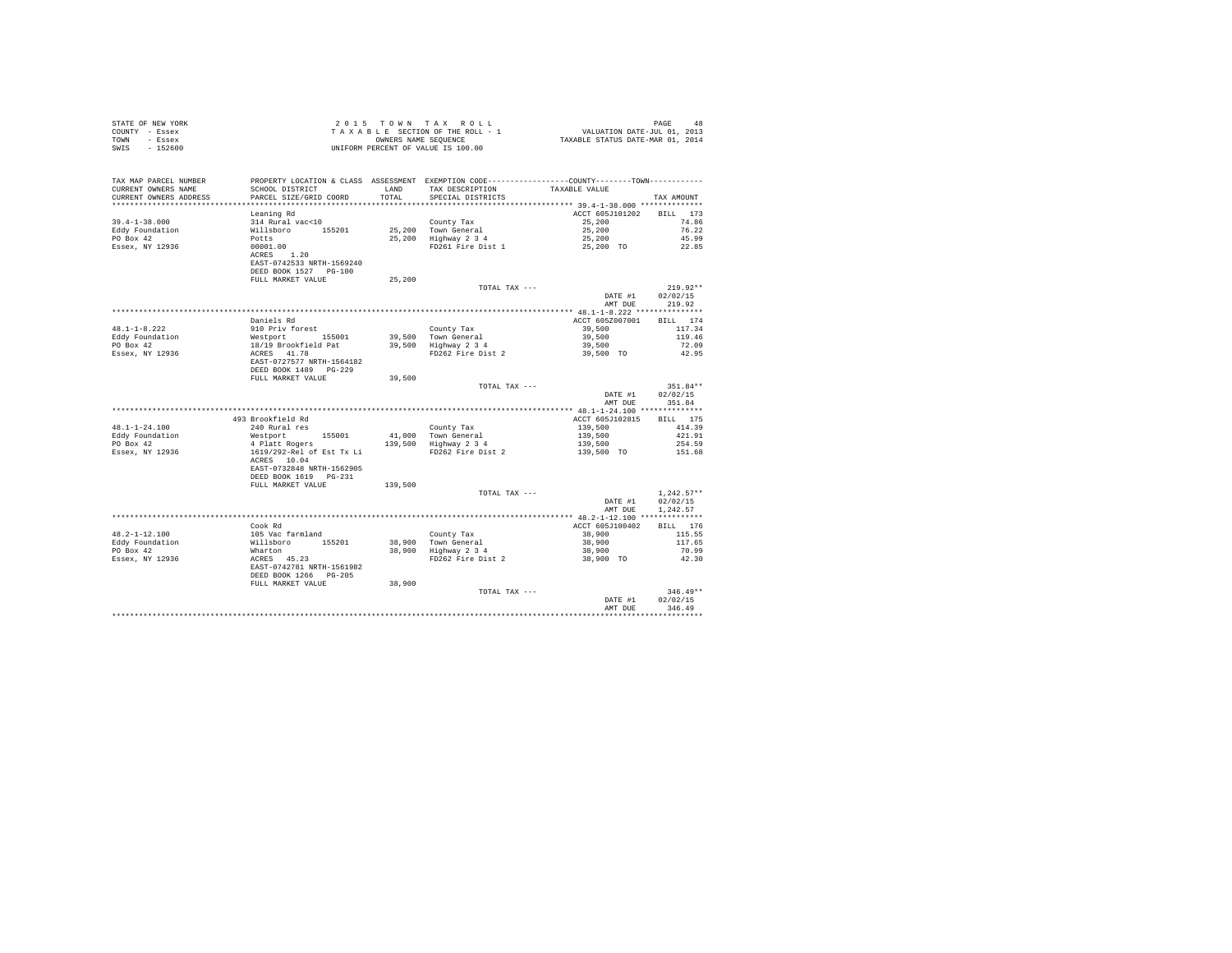| STATE OF NEW YORK<br>COUNTY - Essex<br>TOWN - Essex<br>SWIS - 152600                                                                                                                                                                                                                                                                             | TAXABLE SECTION OF ALL<br>ONNERS NAME SEQUENCE<br>UNIFORM PERCENT OF VALUE IS 100.00 |         |                                                                                                                                                                                                    |                                      |                            |
|--------------------------------------------------------------------------------------------------------------------------------------------------------------------------------------------------------------------------------------------------------------------------------------------------------------------------------------------------|--------------------------------------------------------------------------------------|---------|----------------------------------------------------------------------------------------------------------------------------------------------------------------------------------------------------|--------------------------------------|----------------------------|
| TAX MAP PARCEL NUMBER<br>CURRENT OWNERS NAME<br>CURRENT OWNERS ADDRESS                                                                                                                                                                                                                                                                           | PARCEL SIZE/GRID COORD TOTAL SPECIAL DISTRICTS                                       |         | PROPERTY LOCATION & CLASS ASSESSMENT EXEMPTION CODE---------------COUNTY-------TOWN---------<br>SCHOOL DISTRICT                        LAND         TAX DESCRIPTION                  TAXABLE VALUE |                                      | TAX AMOUNT                 |
|                                                                                                                                                                                                                                                                                                                                                  | Leaning Rd                                                                           |         |                                                                                                                                                                                                    | ACCT 605J101202 BILL 173             |                            |
|                                                                                                                                                                                                                                                                                                                                                  |                                                                                      |         |                                                                                                                                                                                                    |                                      | 74.86                      |
|                                                                                                                                                                                                                                                                                                                                                  |                                                                                      |         |                                                                                                                                                                                                    |                                      | 76.22                      |
|                                                                                                                                                                                                                                                                                                                                                  |                                                                                      |         |                                                                                                                                                                                                    |                                      | 45.99                      |
|                                                                                                                                                                                                                                                                                                                                                  |                                                                                      |         |                                                                                                                                                                                                    |                                      | 22.85                      |
|                                                                                                                                                                                                                                                                                                                                                  | DEED BOOK 1527 PG-100                                                                |         |                                                                                                                                                                                                    |                                      |                            |
|                                                                                                                                                                                                                                                                                                                                                  | FULL MARKET VALUE                                                                    | 25,200  |                                                                                                                                                                                                    |                                      |                            |
|                                                                                                                                                                                                                                                                                                                                                  |                                                                                      |         | TOTAL TAX ---                                                                                                                                                                                      |                                      | $219.92**$                 |
|                                                                                                                                                                                                                                                                                                                                                  |                                                                                      |         |                                                                                                                                                                                                    | DATE #1<br>AMT DUE 219.92            | 02/02/15                   |
|                                                                                                                                                                                                                                                                                                                                                  |                                                                                      |         |                                                                                                                                                                                                    |                                      |                            |
|                                                                                                                                                                                                                                                                                                                                                  |                                                                                      |         |                                                                                                                                                                                                    |                                      |                            |
|                                                                                                                                                                                                                                                                                                                                                  |                                                                                      |         |                                                                                                                                                                                                    |                                      |                            |
|                                                                                                                                                                                                                                                                                                                                                  |                                                                                      |         |                                                                                                                                                                                                    |                                      |                            |
|                                                                                                                                                                                                                                                                                                                                                  |                                                                                      |         |                                                                                                                                                                                                    |                                      |                            |
|                                                                                                                                                                                                                                                                                                                                                  |                                                                                      |         |                                                                                                                                                                                                    |                                      |                            |
|                                                                                                                                                                                                                                                                                                                                                  |                                                                                      |         |                                                                                                                                                                                                    |                                      |                            |
|                                                                                                                                                                                                                                                                                                                                                  | FULL MARKET VALUE                                                                    | 39,500  |                                                                                                                                                                                                    |                                      |                            |
|                                                                                                                                                                                                                                                                                                                                                  |                                                                                      |         | TOTAL TAX ---                                                                                                                                                                                      | DATE #1 02/02/15<br>AMT DUE 351.84   | $351.84**$                 |
|                                                                                                                                                                                                                                                                                                                                                  |                                                                                      |         |                                                                                                                                                                                                    |                                      |                            |
|                                                                                                                                                                                                                                                                                                                                                  |                                                                                      |         |                                                                                                                                                                                                    |                                      |                            |
|                                                                                                                                                                                                                                                                                                                                                  |                                                                                      |         |                                                                                                                                                                                                    |                                      |                            |
|                                                                                                                                                                                                                                                                                                                                                  |                                                                                      |         |                                                                                                                                                                                                    |                                      |                            |
|                                                                                                                                                                                                                                                                                                                                                  |                                                                                      |         |                                                                                                                                                                                                    |                                      |                            |
|                                                                                                                                                                                                                                                                                                                                                  |                                                                                      |         |                                                                                                                                                                                                    |                                      |                            |
|                                                                                                                                                                                                                                                                                                                                                  | EAST-0732848 NRTH-1562905                                                            |         |                                                                                                                                                                                                    |                                      |                            |
|                                                                                                                                                                                                                                                                                                                                                  | DEED BOOK 1619 PG-231                                                                |         |                                                                                                                                                                                                    |                                      |                            |
|                                                                                                                                                                                                                                                                                                                                                  | FULL MARKET VALUE                                                                    | 139,500 |                                                                                                                                                                                                    |                                      |                            |
|                                                                                                                                                                                                                                                                                                                                                  |                                                                                      |         | TOTAL TAX $---$                                                                                                                                                                                    |                                      | $1.242.57**$               |
|                                                                                                                                                                                                                                                                                                                                                  |                                                                                      |         |                                                                                                                                                                                                    | DATE #1 02/02/15<br>AMT DUE 1,242.57 |                            |
|                                                                                                                                                                                                                                                                                                                                                  |                                                                                      |         |                                                                                                                                                                                                    |                                      |                            |
|                                                                                                                                                                                                                                                                                                                                                  |                                                                                      |         |                                                                                                                                                                                                    |                                      |                            |
|                                                                                                                                                                                                                                                                                                                                                  |                                                                                      |         |                                                                                                                                                                                                    |                                      |                            |
|                                                                                                                                                                                                                                                                                                                                                  |                                                                                      |         |                                                                                                                                                                                                    |                                      |                            |
|                                                                                                                                                                                                                                                                                                                                                  |                                                                                      |         |                                                                                                                                                                                                    |                                      |                            |
|                                                                                                                                                                                                                                                                                                                                                  |                                                                                      |         |                                                                                                                                                                                                    |                                      |                            |
| $\begin{tabular}{lcccc} \texttt{48.2--1-12.100} & \texttt{ccook Rd} & \texttt{Cook Rd} & \texttt{County Tax} & \texttt{148.2--1-12.100} & \texttt{149.2--1-12.100} & \texttt{149.2--1-12.100} & \texttt{149.2--1-12.100} & \texttt{149.2--1-12.100} & \texttt{140.2--1-12.100} & \texttt{140.2--1-12.100} & \texttt{140.2--1-12.100} & \texttt{$ |                                                                                      |         |                                                                                                                                                                                                    |                                      |                            |
|                                                                                                                                                                                                                                                                                                                                                  | DEED BOOK 1266 PG-205                                                                |         |                                                                                                                                                                                                    |                                      |                            |
|                                                                                                                                                                                                                                                                                                                                                  | FULL MARKET VALUE                                                                    | 38,900  |                                                                                                                                                                                                    |                                      |                            |
|                                                                                                                                                                                                                                                                                                                                                  |                                                                                      |         | TOTAL TAX ---                                                                                                                                                                                      |                                      | $346.49**$                 |
|                                                                                                                                                                                                                                                                                                                                                  |                                                                                      |         |                                                                                                                                                                                                    |                                      | DATE #1 02/02/15<br>346.49 |
|                                                                                                                                                                                                                                                                                                                                                  |                                                                                      |         |                                                                                                                                                                                                    | AMT DUE                              |                            |
|                                                                                                                                                                                                                                                                                                                                                  |                                                                                      |         |                                                                                                                                                                                                    |                                      |                            |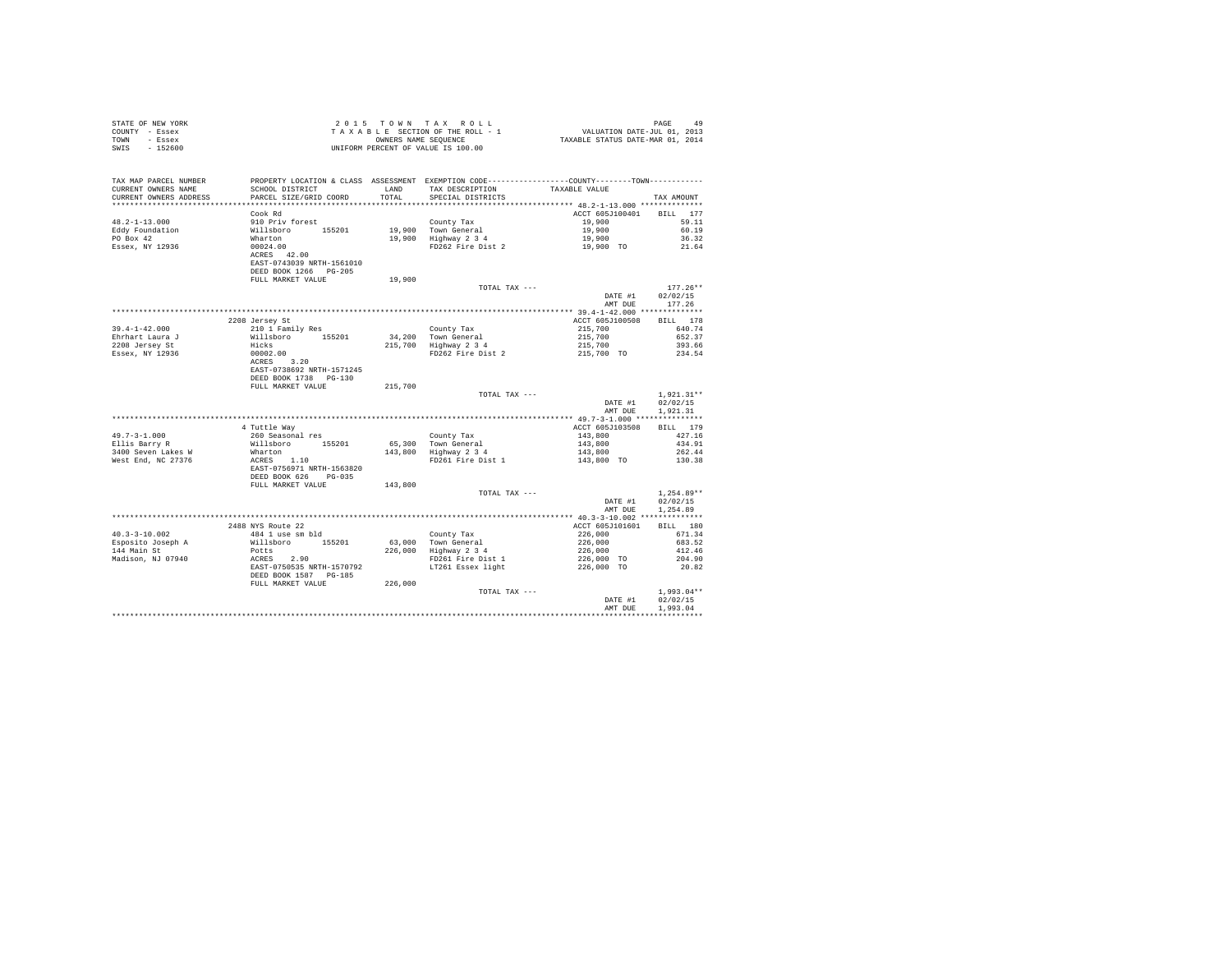| COUNTY - Essex<br>TOWN - Essex<br>SWIS - 152600                                                                           | OWNERS NAME SEQUANCE                                                                                                                                                                                       |         | T A X A B L E SECTION OF THE ROLL - 1<br>CONBERS NAME SEQUENCE<br>TAXABLE STATUS DATE-MAR 01, 2014 |                                                                                  |                            |
|---------------------------------------------------------------------------------------------------------------------------|------------------------------------------------------------------------------------------------------------------------------------------------------------------------------------------------------------|---------|----------------------------------------------------------------------------------------------------|----------------------------------------------------------------------------------|----------------------------|
| TAX MAP PARCEL NUMBER                                                                                                     |                                                                                                                                                                                                            |         | PROPERTY LOCATION & CLASS ASSESSMENT EXEMPTION CODE----------------COUNTY--------TOWN----------    |                                                                                  |                            |
| CURRENT OWNERS NAME<br>CURRENT OWNERS ADDRESS                                                                             | PARCEL SIZE/GRID COORD                                                                                                                                                                                     | TOTAL   |                                                                                                    |                                                                                  | TAX AMOUNT                 |
|                                                                                                                           |                                                                                                                                                                                                            |         |                                                                                                    |                                                                                  |                            |
|                                                                                                                           | Cook Rd                                                                                                                                                                                                    |         |                                                                                                    | ACCT 605J100401 BILL 177                                                         |                            |
|                                                                                                                           |                                                                                                                                                                                                            |         |                                                                                                    | 19,900 59.11                                                                     |                            |
|                                                                                                                           |                                                                                                                                                                                                            |         |                                                                                                    |                                                                                  | 60.19                      |
|                                                                                                                           |                                                                                                                                                                                                            |         |                                                                                                    |                                                                                  | 36.32                      |
|                                                                                                                           |                                                                                                                                                                                                            |         |                                                                                                    |                                                                                  | 21.64                      |
|                                                                                                                           |                                                                                                                                                                                                            |         |                                                                                                    |                                                                                  |                            |
|                                                                                                                           |                                                                                                                                                                                                            |         |                                                                                                    |                                                                                  |                            |
|                                                                                                                           | DEED BOOK 1266 PG-205                                                                                                                                                                                      |         |                                                                                                    |                                                                                  |                            |
|                                                                                                                           | FULL MARKET VALUE                                                                                                                                                                                          | 19,900  |                                                                                                    |                                                                                  |                            |
|                                                                                                                           |                                                                                                                                                                                                            |         | TOTAL TAX ---                                                                                      | DATE #1                                                                          | $177.26**$                 |
|                                                                                                                           |                                                                                                                                                                                                            |         |                                                                                                    |                                                                                  | 02/02/15<br>AMT DUE 177.26 |
|                                                                                                                           |                                                                                                                                                                                                            |         |                                                                                                    |                                                                                  |                            |
|                                                                                                                           | 2208 Jersey St                                                                                                                                                                                             |         |                                                                                                    | ACCT 605J100508                                                                  | BILL 178                   |
| $39.4 - 1 - 42.000$                                                                                                       |                                                                                                                                                                                                            |         |                                                                                                    |                                                                                  |                            |
| Ehrhart Laura J                                                                                                           |                                                                                                                                                                                                            |         |                                                                                                    |                                                                                  |                            |
| 2208 Jersey St                                                                                                            |                                                                                                                                                                                                            |         |                                                                                                    |                                                                                  |                            |
| Essex, NY 12936                                                                                                           |                                                                                                                                                                                                            |         |                                                                                                    |                                                                                  |                            |
|                                                                                                                           | x (210 1 Family Res)<br>210 1 Family Res<br>Williaboro 155201<br>Hicks<br>2002.00<br>2002.00<br>2002.00<br>2002.00<br>2002.00<br>2003.00<br>2003.00<br>2003.00<br>2003.00<br>2003.00<br>2003.00<br>2003.00 |         |                                                                                                    |                                                                                  |                            |
|                                                                                                                           |                                                                                                                                                                                                            |         |                                                                                                    |                                                                                  |                            |
|                                                                                                                           | DEED BOOK 1738    PG-130                                                                                                                                                                                   |         |                                                                                                    |                                                                                  |                            |
|                                                                                                                           | FULL MARKET VALUE                                                                                                                                                                                          | 215,700 |                                                                                                    |                                                                                  |                            |
|                                                                                                                           |                                                                                                                                                                                                            |         | TOTAL TAX ---                                                                                      | DATE #1 02/02/15                                                                 | $1.921.31**$               |
|                                                                                                                           |                                                                                                                                                                                                            |         |                                                                                                    | AMT DUE                                                                          | 1,921,31                   |
|                                                                                                                           |                                                                                                                                                                                                            |         |                                                                                                    |                                                                                  |                            |
|                                                                                                                           | 4 Tuttle Way<br>260 Seasonal res<br>Willsboro<br>Willsboro<br>Marton<br>ACRES<br>1.10<br>EAST-0756971 NRTH-1563820                                                                                         |         |                                                                                                    | ACCT 605J103508                                                                  | BILL 179                   |
| $49.7 - 3 - 1.000$                                                                                                        |                                                                                                                                                                                                            |         |                                                                                                    |                                                                                  | 427.16                     |
|                                                                                                                           |                                                                                                                                                                                                            |         |                                                                                                    |                                                                                  | 434.91                     |
|                                                                                                                           |                                                                                                                                                                                                            |         |                                                                                                    |                                                                                  | 262.44                     |
| Ellis Barry R<br>3400 Seven Lakes W<br>West End, NC 27376                                                                 |                                                                                                                                                                                                            |         |                                                                                                    |                                                                                  | 130.38                     |
|                                                                                                                           |                                                                                                                                                                                                            |         |                                                                                                    |                                                                                  |                            |
|                                                                                                                           | DEED BOOK 626 PG-035                                                                                                                                                                                       |         |                                                                                                    |                                                                                  |                            |
|                                                                                                                           | FULL MARKET VALUE                                                                                                                                                                                          | 143,800 |                                                                                                    |                                                                                  |                            |
|                                                                                                                           |                                                                                                                                                                                                            |         | TOTAL TAX ---                                                                                      | DATE #1 02/02/15                                                                 | $1,254.89**$               |
|                                                                                                                           |                                                                                                                                                                                                            |         |                                                                                                    | AMT DUE                                                                          | 1,254.89                   |
|                                                                                                                           |                                                                                                                                                                                                            |         |                                                                                                    |                                                                                  |                            |
|                                                                                                                           | 2488 NYS Route 22                                                                                                                                                                                          |         |                                                                                                    | ACCT 605J101601                                                                  | BILL 180                   |
| $40.3 - 3 - 10.002$                                                                                                       | 484 1 use sm bld                                                                                                                                                                                           |         |                                                                                                    |                                                                                  | 671.34                     |
|                                                                                                                           |                                                                                                                                                                                                            |         |                                                                                                    |                                                                                  | 683.52                     |
| Esposito Joseph A Willsboro 155201<br>144 Main St Potts 2.90<br>Madison, NJ 07940 ACRES 2.90<br>EAST-0750535 NRTH-1570792 |                                                                                                                                                                                                            |         | County Tax<br>63,000 Town General<br>226,000 Highway 2 3 4<br>FD261 Fire Dist 1                    | $226,000$<br>$226,000$<br>$226,000$<br>$226,000$<br>$226,000$ TO<br>$226,000$ TO | 412.46                     |
|                                                                                                                           |                                                                                                                                                                                                            |         |                                                                                                    |                                                                                  | 204.90                     |
|                                                                                                                           |                                                                                                                                                                                                            |         | LT261 Essex light                                                                                  |                                                                                  | 20.82                      |
|                                                                                                                           | DEED BOOK 1587 PG-185<br>FULL MARKET VALUE 226,000                                                                                                                                                         |         |                                                                                                    |                                                                                  |                            |
|                                                                                                                           |                                                                                                                                                                                                            |         | TOTAL TAX ---                                                                                      |                                                                                  | $1.993.04**$               |
|                                                                                                                           |                                                                                                                                                                                                            |         |                                                                                                    | DATE #1                                                                          | 02/02/15                   |
|                                                                                                                           |                                                                                                                                                                                                            |         |                                                                                                    | AMT DUE                                                                          | 1,993.04                   |
|                                                                                                                           |                                                                                                                                                                                                            |         |                                                                                                    |                                                                                  |                            |

STATE OF NEW YORK 2 0 1 5 T O W N T A X R O L L PAGE 49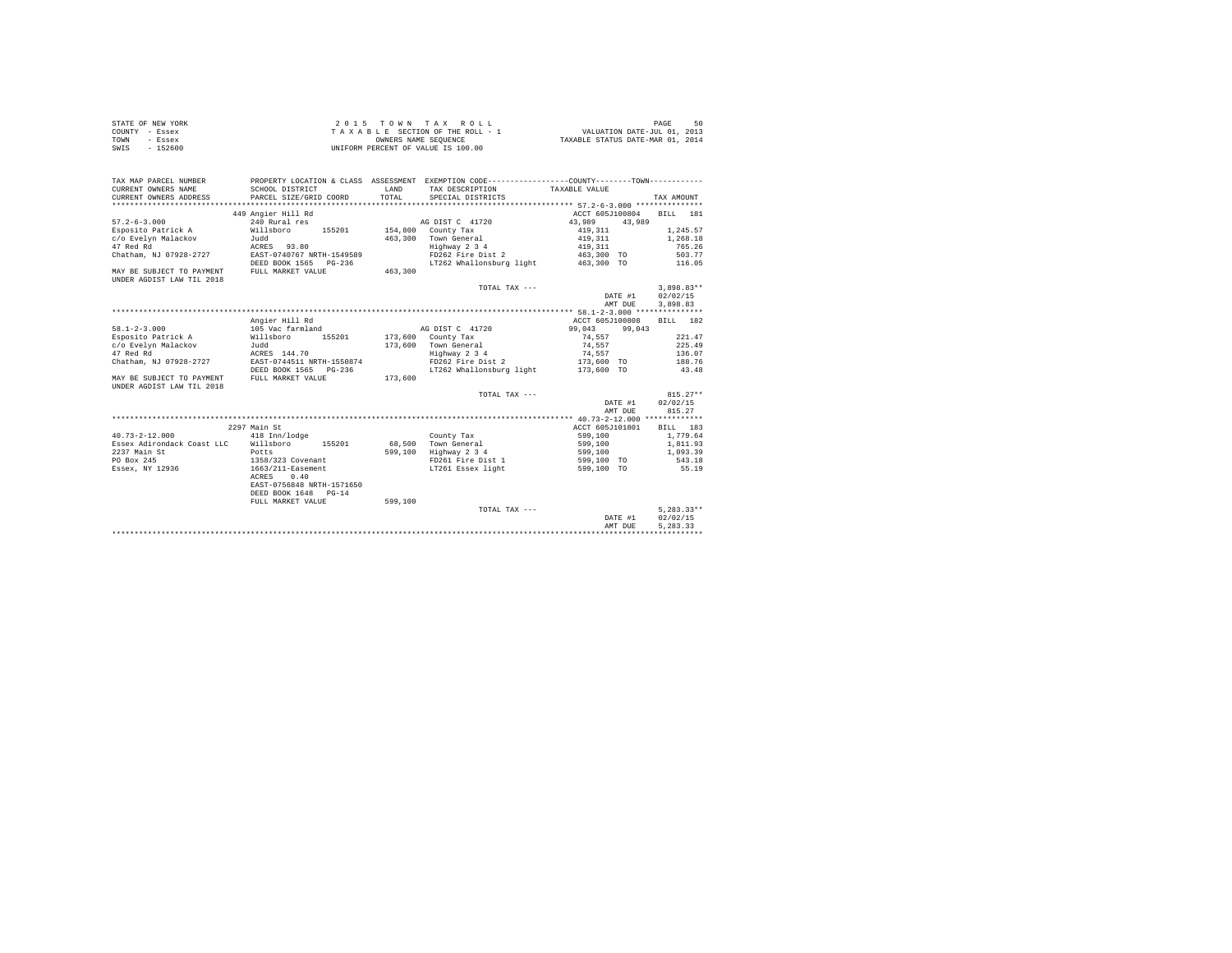| STATE OF NEW YORK | 2015 TOWN TAX ROLL                 | 50<br>PAGE                       |
|-------------------|------------------------------------|----------------------------------|
| COUNTY - Essex    | TAXABLE SECTION OF THE ROLL - 1    | VALUATION DATE-JUL 01, 2013      |
| TOWN<br>- Essex   | OWNERS NAME SEOUENCE               | TAXABLE STATUS DATE-MAR 01, 2014 |
| $-152600$<br>SWIS | UNIFORM PERCENT OF VALUE IS 100.00 |                                  |

| TAX MAP PARCEL NUMBER<br>CURRENT OWNERS NAME | SCHOOL DISTRICT                        | LAND    | PROPERTY LOCATION & CLASS ASSESSMENT EXEMPTION CODE----------------COUNTY--------TOWN----------<br>TAX DESCRIPTION | TAXABLE VALUE     |              |
|----------------------------------------------|----------------------------------------|---------|--------------------------------------------------------------------------------------------------------------------|-------------------|--------------|
| CURRENT OWNERS ADDRESS                       | PARCEL SIZE/GRID COORD                 | TOTAL.  | SPECIAL DISTRICTS                                                                                                  |                   | TAX AMOUNT   |
|                                              | 449 Angier Hill Rd                     |         |                                                                                                                    | ACCT 605J100804   | BILL 181     |
| $57.2 - 6 - 3.000$                           | 240 Rural res                          |         | AG DIST C 41720                                                                                                    | 43,989 43,989     |              |
| Esposito Patrick A                           | Willsboro<br>155201 154,800 County Tax |         |                                                                                                                    | 419,311           | 1,245.57     |
| c/o Evelyn Malackov                          | Judd                                   |         | 463,300 Town General                                                                                               | 419,311           | 1,268.18     |
| 47 Red Rd                                    | ACRES 93.80                            |         | Highway 2 3 4                                                                                                      | 419,311           | 765.26       |
| Chatham, NJ 07928-2727                       | EAST-0740767 NRTH-1549589              |         | FD262 Fire Dist 2                                                                                                  | 463,300 TO 503.77 |              |
|                                              | DEED BOOK 1565 PG-236                  |         | LT262 Whallonsburg light 463,300 TO 116.05                                                                         |                   |              |
| MAY BE SUBJECT TO PAYMENT FULL MARKET VALUE  |                                        | 463,300 |                                                                                                                    |                   |              |
| UNDER AGDIST LAW TIL 2018                    |                                        |         |                                                                                                                    |                   |              |
|                                              |                                        |         | TOTAL TAX ---                                                                                                      |                   | $3.898.83**$ |
|                                              |                                        |         |                                                                                                                    | DATE #1           | 02/02/15     |
|                                              |                                        |         |                                                                                                                    | AMT DUE           | 3,898.83     |
|                                              |                                        |         |                                                                                                                    |                   |              |
|                                              | Angier Hill Rd                         |         |                                                                                                                    | ACCT 605J100808   | BILL 182     |
| $58.1 - 2 - 3.000$                           | 105 Vac farmland                       |         | AG DIST C 41720                                                                                                    | 99,043 99,043     |              |
| Esposito Patrick A                           | 155201<br>Willsboro                    |         | 173,600 County Tax                                                                                                 | 74.557            | 221.47       |
| c/o Evelyn Malackov                          | Judd                                   |         | 173,600 Town General                                                                                               | 74.557            | 225.49       |
| 47 Red Rd                                    | ACRES 144.70                           |         | Highway 2 3 4                                                                                                      | 74,557            | 136.07       |
| Chatham, NJ 07928-2727                       | EAST-0744511 NRTH-1550874              |         | FD262 Fire Dist 2 173.600 TO                                                                                       |                   | 188.76       |
|                                              | DEED BOOK 1565 PG-236                  |         | LT262 Whallonsburg light 173,600 TO                                                                                |                   | 43.48        |
| MAY BE SUBJECT TO PAYMENT                    | FULL MARKET VALUE                      | 173,600 |                                                                                                                    |                   |              |
| UNDER AGDIST LAW TIL 2018                    |                                        |         |                                                                                                                    |                   |              |
|                                              |                                        |         | TOTAL TAX ---                                                                                                      |                   | $815.27**$   |
|                                              |                                        |         |                                                                                                                    | DATE #1           | 02/02/15     |
|                                              |                                        |         |                                                                                                                    | AMT DUE           | 815.27       |
|                                              |                                        |         |                                                                                                                    |                   |              |
|                                              | 2297 Main St                           |         |                                                                                                                    | ACCT 605J101801   | BILL 183     |
| $40.73 - 2 - 12.000$                         | 418 Inn/lodge                          |         | County Tax                                                                                                         | 599,100           | 1,779.64     |
| Essex Adirondack Coast LLC Willsboro 155201  |                                        |         | 68.500 Town General                                                                                                | 599,100           | 1,811.93     |
| 2237 Main St                                 | Potts                                  |         | 599,100 Highway 2 3 4                                                                                              | 599,100           | 1,093.39     |
| PO Box 245                                   | 1358/323 Covenant                      |         | FD261 Fire Dist 1                                                                                                  | 599,100 TO        | 543.18       |
| Essex, NY 12936                              | 1663/211-Easement                      |         | LT261 Essex light                                                                                                  | 599,100 TO        | 55.19        |
|                                              | ACRES<br>0.40                          |         |                                                                                                                    |                   |              |
|                                              | EAST-0756848 NRTH-1571650              |         |                                                                                                                    |                   |              |
|                                              | DEED BOOK 1648 PG-14                   |         |                                                                                                                    |                   |              |
|                                              | FULL MARKET VALUE                      | 599,100 |                                                                                                                    |                   |              |
|                                              |                                        |         | TOTAL TAX ---                                                                                                      |                   | $5.283.33**$ |
|                                              |                                        |         |                                                                                                                    | DATE #1           | 02/02/15     |
|                                              |                                        |         |                                                                                                                    | AMT DUE           | 5.283.33     |
|                                              |                                        |         |                                                                                                                    |                   |              |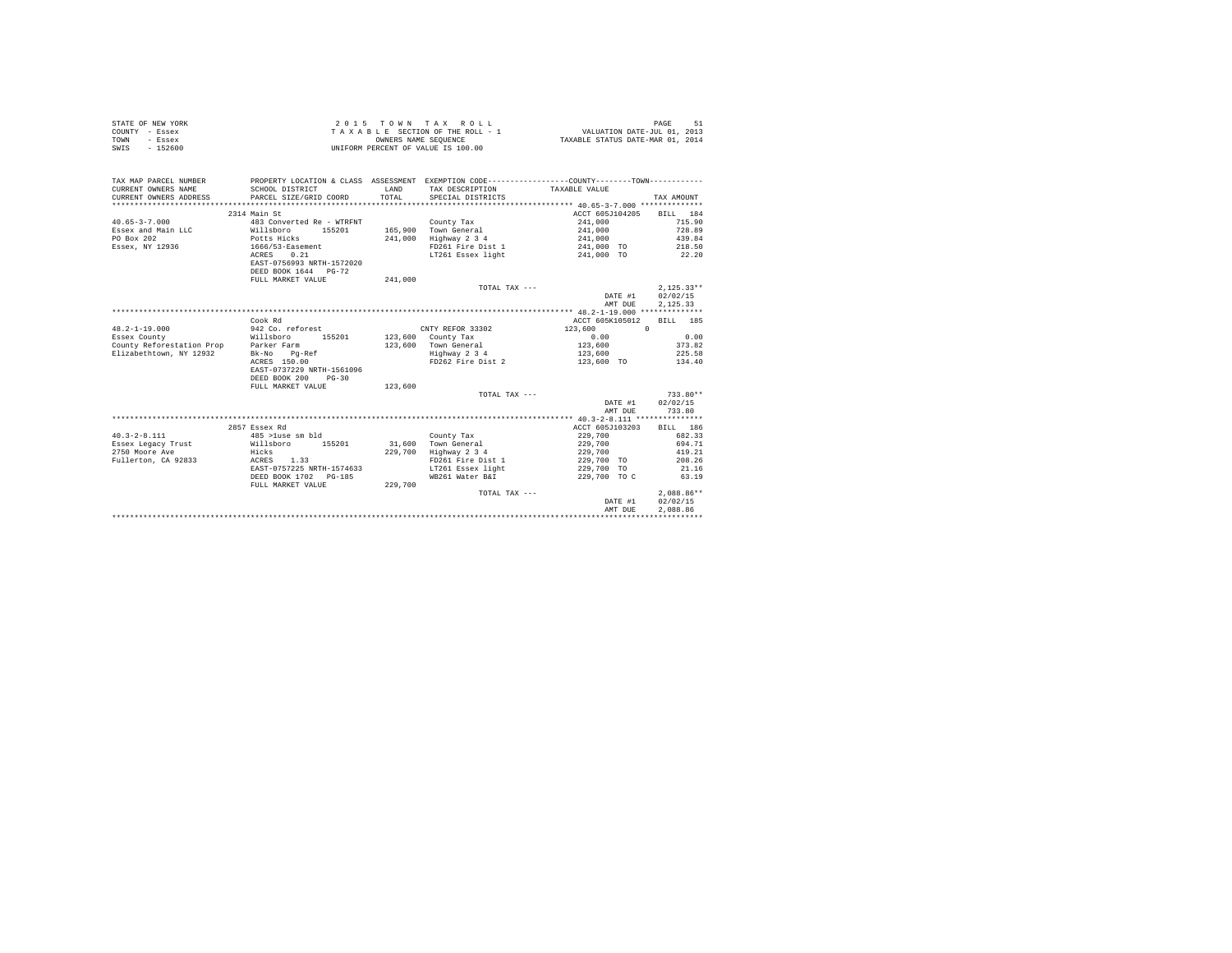| STATE OF NEW YORK | 2015 TOWN TAX ROLL                 | 51<br>PAGE                       |
|-------------------|------------------------------------|----------------------------------|
| COUNTY - Essex    | TAXABLE SECTION OF THE ROLL - 1    | VALUATION DATE-JUL 01, 2013      |
| TOWN<br>- Essex   | OWNERS NAME SEOUENCE               | TAXABLE STATUS DATE-MAR 01, 2014 |
| SWIS<br>$-152600$ | UNIFORM PERCENT OF VALUE IS 100.00 |                                  |

| 2314 Main St<br>ACCT 605J104205 BILL 184<br>$40.65 - 3 - 7.000$<br>483 Converted Re - WTRFNT<br>241,000<br>715.90<br>County Tax<br>Willsboro<br>165.900 Town General<br>241,000<br>728.89<br>Essex and Main LLC<br>155201<br>PO Box 202<br>241,000 Highway 2 3 4<br>439.84<br>Potts Hicks<br>1666/53-Easement<br>241,000<br>241,000 TO<br>218.50<br>FD261 Fire Dist 1<br>Essex, NY 12936<br>0.21<br>ACRES<br>EAST-0756993 NRTH-1572020<br>DEED BOOK 1644 PG-72<br>241,000<br>FULL MARKET VALUE<br>$2.125.33**$<br>TOTAL TAX ---<br>DATE #1<br>02/02/15<br>2,125.33<br>AMT DUE<br>Cook Rd<br>ACCT 605K105012<br>BILL 185<br>$\cap$<br>942 Co. reforest<br>CNTY REFOR 33302<br>123,600<br>Willsboro<br>155201 123,600 County Tax<br>0.00<br>0.00<br>123,600<br>County Reforestation Prop Parker Farm<br>Elizabethtown, NY 12932 Bk-No Pg-Ref<br>123,600 Town General<br>373.82<br>Highway 2 3 4<br>225.58<br>123,600<br>FD262 Fire Dist 2<br>123,600 TO<br>134.40<br>ACRES 150.00<br>EAST-0737229 NRTH-1561096<br>DEED BOOK 200<br>$PG-30$<br>123,600<br>FULL MARKET VALUE<br>733.80**<br>TOTAL TAX ---<br>DATE #1 02/02/15<br>733.80<br>AMT DUE<br>2857 Essex Rd<br>ACCT 605J103203<br>BILL 186<br>$40.3 - 2 - 8.111$<br>485 >luse sm bld<br>229,700<br>682.33<br>County Tax<br>694.71<br>229,700<br>2750 Moore Ave<br>Hicks<br>229,700 Highway 2 3 4<br>229,700<br>419.21<br>208.26<br>Fullerton, CA 92833<br>ACRES 1.33<br>FD261 Fire Dist 1<br>229,700 TO<br>EAST-0757225 NRTH-1574633<br>LT261 Essex light<br>229,700 TO<br>21.16<br>DEED BOOK 1702 PG-185<br>63.19<br>WB261 Water B&I<br>229,700 TO C<br>229,700<br>FULL MARKET VALUE<br>$2.088.86**$<br>TOTAL TAX ---<br>DATE #1<br>02/02/15<br>AMT DUE<br>2,088.86 | TAX MAP PARCEL NUMBER<br>CURRENT OWNERS NAME<br>CURRENT OWNERS ADDRESS<br>************************* | PROPERTY LOCATION & CLASS ASSESSMENT EXEMPTION CODE---------------COUNTY-------TOWN----------<br>SCHOOL DISTRICT<br>PARCEL SIZE/GRID COORD | LAND<br>TOTAL | TAX DESCRIPTION TAXABLE VALUE<br>SPECIAL DISTRICTS | TAX AMOUNT |
|--------------------------------------------------------------------------------------------------------------------------------------------------------------------------------------------------------------------------------------------------------------------------------------------------------------------------------------------------------------------------------------------------------------------------------------------------------------------------------------------------------------------------------------------------------------------------------------------------------------------------------------------------------------------------------------------------------------------------------------------------------------------------------------------------------------------------------------------------------------------------------------------------------------------------------------------------------------------------------------------------------------------------------------------------------------------------------------------------------------------------------------------------------------------------------------------------------------------------------------------------------------------------------------------------------------------------------------------------------------------------------------------------------------------------------------------------------------------------------------------------------------------------------------------------------------------------------------------------------------------------------------------------------------------------------------------------------------------------|-----------------------------------------------------------------------------------------------------|--------------------------------------------------------------------------------------------------------------------------------------------|---------------|----------------------------------------------------|------------|
|                                                                                                                                                                                                                                                                                                                                                                                                                                                                                                                                                                                                                                                                                                                                                                                                                                                                                                                                                                                                                                                                                                                                                                                                                                                                                                                                                                                                                                                                                                                                                                                                                                                                                                                          |                                                                                                     |                                                                                                                                            |               |                                                    |            |
|                                                                                                                                                                                                                                                                                                                                                                                                                                                                                                                                                                                                                                                                                                                                                                                                                                                                                                                                                                                                                                                                                                                                                                                                                                                                                                                                                                                                                                                                                                                                                                                                                                                                                                                          |                                                                                                     |                                                                                                                                            |               |                                                    |            |
|                                                                                                                                                                                                                                                                                                                                                                                                                                                                                                                                                                                                                                                                                                                                                                                                                                                                                                                                                                                                                                                                                                                                                                                                                                                                                                                                                                                                                                                                                                                                                                                                                                                                                                                          |                                                                                                     |                                                                                                                                            |               |                                                    |            |
|                                                                                                                                                                                                                                                                                                                                                                                                                                                                                                                                                                                                                                                                                                                                                                                                                                                                                                                                                                                                                                                                                                                                                                                                                                                                                                                                                                                                                                                                                                                                                                                                                                                                                                                          |                                                                                                     |                                                                                                                                            |               |                                                    |            |
|                                                                                                                                                                                                                                                                                                                                                                                                                                                                                                                                                                                                                                                                                                                                                                                                                                                                                                                                                                                                                                                                                                                                                                                                                                                                                                                                                                                                                                                                                                                                                                                                                                                                                                                          |                                                                                                     |                                                                                                                                            |               |                                                    |            |
|                                                                                                                                                                                                                                                                                                                                                                                                                                                                                                                                                                                                                                                                                                                                                                                                                                                                                                                                                                                                                                                                                                                                                                                                                                                                                                                                                                                                                                                                                                                                                                                                                                                                                                                          |                                                                                                     |                                                                                                                                            |               |                                                    |            |
|                                                                                                                                                                                                                                                                                                                                                                                                                                                                                                                                                                                                                                                                                                                                                                                                                                                                                                                                                                                                                                                                                                                                                                                                                                                                                                                                                                                                                                                                                                                                                                                                                                                                                                                          |                                                                                                     |                                                                                                                                            |               |                                                    |            |
|                                                                                                                                                                                                                                                                                                                                                                                                                                                                                                                                                                                                                                                                                                                                                                                                                                                                                                                                                                                                                                                                                                                                                                                                                                                                                                                                                                                                                                                                                                                                                                                                                                                                                                                          |                                                                                                     |                                                                                                                                            |               |                                                    |            |
|                                                                                                                                                                                                                                                                                                                                                                                                                                                                                                                                                                                                                                                                                                                                                                                                                                                                                                                                                                                                                                                                                                                                                                                                                                                                                                                                                                                                                                                                                                                                                                                                                                                                                                                          |                                                                                                     |                                                                                                                                            |               |                                                    |            |
|                                                                                                                                                                                                                                                                                                                                                                                                                                                                                                                                                                                                                                                                                                                                                                                                                                                                                                                                                                                                                                                                                                                                                                                                                                                                                                                                                                                                                                                                                                                                                                                                                                                                                                                          |                                                                                                     |                                                                                                                                            |               |                                                    |            |
|                                                                                                                                                                                                                                                                                                                                                                                                                                                                                                                                                                                                                                                                                                                                                                                                                                                                                                                                                                                                                                                                                                                                                                                                                                                                                                                                                                                                                                                                                                                                                                                                                                                                                                                          |                                                                                                     |                                                                                                                                            |               |                                                    |            |
|                                                                                                                                                                                                                                                                                                                                                                                                                                                                                                                                                                                                                                                                                                                                                                                                                                                                                                                                                                                                                                                                                                                                                                                                                                                                                                                                                                                                                                                                                                                                                                                                                                                                                                                          |                                                                                                     |                                                                                                                                            |               |                                                    |            |
|                                                                                                                                                                                                                                                                                                                                                                                                                                                                                                                                                                                                                                                                                                                                                                                                                                                                                                                                                                                                                                                                                                                                                                                                                                                                                                                                                                                                                                                                                                                                                                                                                                                                                                                          |                                                                                                     |                                                                                                                                            |               |                                                    |            |
|                                                                                                                                                                                                                                                                                                                                                                                                                                                                                                                                                                                                                                                                                                                                                                                                                                                                                                                                                                                                                                                                                                                                                                                                                                                                                                                                                                                                                                                                                                                                                                                                                                                                                                                          |                                                                                                     |                                                                                                                                            |               |                                                    |            |
|                                                                                                                                                                                                                                                                                                                                                                                                                                                                                                                                                                                                                                                                                                                                                                                                                                                                                                                                                                                                                                                                                                                                                                                                                                                                                                                                                                                                                                                                                                                                                                                                                                                                                                                          | $48.2 - 1 - 19.000$                                                                                 |                                                                                                                                            |               |                                                    |            |
|                                                                                                                                                                                                                                                                                                                                                                                                                                                                                                                                                                                                                                                                                                                                                                                                                                                                                                                                                                                                                                                                                                                                                                                                                                                                                                                                                                                                                                                                                                                                                                                                                                                                                                                          | Essex County                                                                                        |                                                                                                                                            |               |                                                    |            |
|                                                                                                                                                                                                                                                                                                                                                                                                                                                                                                                                                                                                                                                                                                                                                                                                                                                                                                                                                                                                                                                                                                                                                                                                                                                                                                                                                                                                                                                                                                                                                                                                                                                                                                                          |                                                                                                     |                                                                                                                                            |               |                                                    |            |
|                                                                                                                                                                                                                                                                                                                                                                                                                                                                                                                                                                                                                                                                                                                                                                                                                                                                                                                                                                                                                                                                                                                                                                                                                                                                                                                                                                                                                                                                                                                                                                                                                                                                                                                          |                                                                                                     |                                                                                                                                            |               |                                                    |            |
|                                                                                                                                                                                                                                                                                                                                                                                                                                                                                                                                                                                                                                                                                                                                                                                                                                                                                                                                                                                                                                                                                                                                                                                                                                                                                                                                                                                                                                                                                                                                                                                                                                                                                                                          |                                                                                                     |                                                                                                                                            |               |                                                    |            |
|                                                                                                                                                                                                                                                                                                                                                                                                                                                                                                                                                                                                                                                                                                                                                                                                                                                                                                                                                                                                                                                                                                                                                                                                                                                                                                                                                                                                                                                                                                                                                                                                                                                                                                                          |                                                                                                     |                                                                                                                                            |               |                                                    |            |
|                                                                                                                                                                                                                                                                                                                                                                                                                                                                                                                                                                                                                                                                                                                                                                                                                                                                                                                                                                                                                                                                                                                                                                                                                                                                                                                                                                                                                                                                                                                                                                                                                                                                                                                          |                                                                                                     |                                                                                                                                            |               |                                                    |            |
|                                                                                                                                                                                                                                                                                                                                                                                                                                                                                                                                                                                                                                                                                                                                                                                                                                                                                                                                                                                                                                                                                                                                                                                                                                                                                                                                                                                                                                                                                                                                                                                                                                                                                                                          |                                                                                                     |                                                                                                                                            |               |                                                    |            |
|                                                                                                                                                                                                                                                                                                                                                                                                                                                                                                                                                                                                                                                                                                                                                                                                                                                                                                                                                                                                                                                                                                                                                                                                                                                                                                                                                                                                                                                                                                                                                                                                                                                                                                                          |                                                                                                     |                                                                                                                                            |               |                                                    |            |
|                                                                                                                                                                                                                                                                                                                                                                                                                                                                                                                                                                                                                                                                                                                                                                                                                                                                                                                                                                                                                                                                                                                                                                                                                                                                                                                                                                                                                                                                                                                                                                                                                                                                                                                          |                                                                                                     |                                                                                                                                            |               |                                                    |            |
|                                                                                                                                                                                                                                                                                                                                                                                                                                                                                                                                                                                                                                                                                                                                                                                                                                                                                                                                                                                                                                                                                                                                                                                                                                                                                                                                                                                                                                                                                                                                                                                                                                                                                                                          |                                                                                                     |                                                                                                                                            |               |                                                    |            |
|                                                                                                                                                                                                                                                                                                                                                                                                                                                                                                                                                                                                                                                                                                                                                                                                                                                                                                                                                                                                                                                                                                                                                                                                                                                                                                                                                                                                                                                                                                                                                                                                                                                                                                                          |                                                                                                     |                                                                                                                                            |               |                                                    |            |
|                                                                                                                                                                                                                                                                                                                                                                                                                                                                                                                                                                                                                                                                                                                                                                                                                                                                                                                                                                                                                                                                                                                                                                                                                                                                                                                                                                                                                                                                                                                                                                                                                                                                                                                          |                                                                                                     |                                                                                                                                            |               |                                                    |            |
|                                                                                                                                                                                                                                                                                                                                                                                                                                                                                                                                                                                                                                                                                                                                                                                                                                                                                                                                                                                                                                                                                                                                                                                                                                                                                                                                                                                                                                                                                                                                                                                                                                                                                                                          |                                                                                                     |                                                                                                                                            |               |                                                    |            |
|                                                                                                                                                                                                                                                                                                                                                                                                                                                                                                                                                                                                                                                                                                                                                                                                                                                                                                                                                                                                                                                                                                                                                                                                                                                                                                                                                                                                                                                                                                                                                                                                                                                                                                                          |                                                                                                     |                                                                                                                                            |               |                                                    |            |
|                                                                                                                                                                                                                                                                                                                                                                                                                                                                                                                                                                                                                                                                                                                                                                                                                                                                                                                                                                                                                                                                                                                                                                                                                                                                                                                                                                                                                                                                                                                                                                                                                                                                                                                          |                                                                                                     |                                                                                                                                            |               |                                                    |            |
|                                                                                                                                                                                                                                                                                                                                                                                                                                                                                                                                                                                                                                                                                                                                                                                                                                                                                                                                                                                                                                                                                                                                                                                                                                                                                                                                                                                                                                                                                                                                                                                                                                                                                                                          |                                                                                                     |                                                                                                                                            |               |                                                    |            |
|                                                                                                                                                                                                                                                                                                                                                                                                                                                                                                                                                                                                                                                                                                                                                                                                                                                                                                                                                                                                                                                                                                                                                                                                                                                                                                                                                                                                                                                                                                                                                                                                                                                                                                                          |                                                                                                     |                                                                                                                                            |               |                                                    |            |
|                                                                                                                                                                                                                                                                                                                                                                                                                                                                                                                                                                                                                                                                                                                                                                                                                                                                                                                                                                                                                                                                                                                                                                                                                                                                                                                                                                                                                                                                                                                                                                                                                                                                                                                          |                                                                                                     |                                                                                                                                            |               |                                                    |            |
|                                                                                                                                                                                                                                                                                                                                                                                                                                                                                                                                                                                                                                                                                                                                                                                                                                                                                                                                                                                                                                                                                                                                                                                                                                                                                                                                                                                                                                                                                                                                                                                                                                                                                                                          |                                                                                                     |                                                                                                                                            |               |                                                    |            |
|                                                                                                                                                                                                                                                                                                                                                                                                                                                                                                                                                                                                                                                                                                                                                                                                                                                                                                                                                                                                                                                                                                                                                                                                                                                                                                                                                                                                                                                                                                                                                                                                                                                                                                                          |                                                                                                     |                                                                                                                                            |               |                                                    |            |
|                                                                                                                                                                                                                                                                                                                                                                                                                                                                                                                                                                                                                                                                                                                                                                                                                                                                                                                                                                                                                                                                                                                                                                                                                                                                                                                                                                                                                                                                                                                                                                                                                                                                                                                          |                                                                                                     |                                                                                                                                            |               |                                                    |            |
|                                                                                                                                                                                                                                                                                                                                                                                                                                                                                                                                                                                                                                                                                                                                                                                                                                                                                                                                                                                                                                                                                                                                                                                                                                                                                                                                                                                                                                                                                                                                                                                                                                                                                                                          |                                                                                                     |                                                                                                                                            |               |                                                    |            |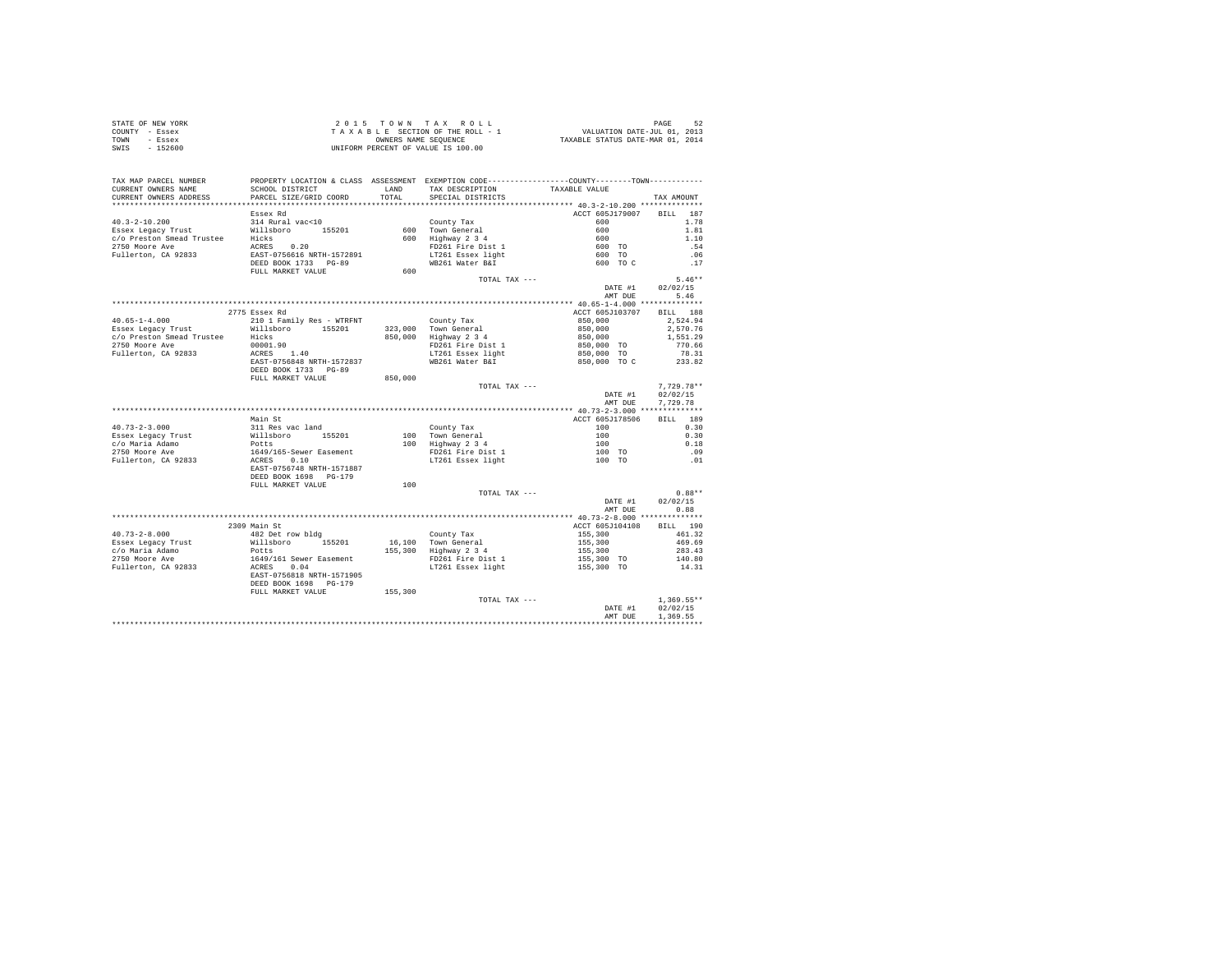|                | STATE OF NEW YORK | 2015 TOWN TAX ROLL                 | 52<br>PAGE                       |
|----------------|-------------------|------------------------------------|----------------------------------|
| COUNTY - Essex |                   | TAXABLE SECTION OF THE ROLL - 1    | VALUATION DATE-JUL 01, 2013      |
| TOWN           | - Essex           | OWNERS NAME SEOUENCE               | TAXABLE STATUS DATE-MAR 01, 2014 |
| SWIS           | $-152600$         | UNIFORM PERCENT OF VALUE IS 100.00 |                                  |

| TAX MAP PARCEL NUMBER<br>CURRENT OWNERS NAME | PROPERTY LOCATION & CLASS ASSESSMENT EXEMPTION CODE----------------COUNTY--------TOWN----------<br>SCHOOL DISTRICT                                                                                            |         | LAND TAX DESCRIPTION                                                                                                                                                                                                           | TAXABLE VALUE                                                  |                      |
|----------------------------------------------|---------------------------------------------------------------------------------------------------------------------------------------------------------------------------------------------------------------|---------|--------------------------------------------------------------------------------------------------------------------------------------------------------------------------------------------------------------------------------|----------------------------------------------------------------|----------------------|
| CURRENT OWNERS ADDRESS                       | PARCEL SIZE/GRID COORD                                                                                                                                                                                        | TOTAL   | SPECIAL DISTRICTS                                                                                                                                                                                                              |                                                                | TAX AMOUNT           |
|                                              | Essex Rd                                                                                                                                                                                                      |         |                                                                                                                                                                                                                                | ACCT 605J179007 BILL 187                                       |                      |
|                                              | 40.3-2-10.200<br>Essex Legacy Trust<br>C/O Preston Smead Trustee Hicks<br>2750 Moore Ave access 0.20<br>2750 Moore Ave access 0.20<br>Pullerton, CA 92833<br>EAST-0756616 NRTH-1572891<br>EED BOOK 1733 PG-89 |         | County Tax                                                                                                                                                                                                                     | 600                                                            | 1.78                 |
|                                              |                                                                                                                                                                                                               |         | County in the control of the space of the space of the space of the space of the space of the space of the space of the space of the space of the space of the space of the space of the space of the space of the space of th |                                                                | 1.81                 |
|                                              |                                                                                                                                                                                                               |         |                                                                                                                                                                                                                                |                                                                | 1.10                 |
|                                              |                                                                                                                                                                                                               |         |                                                                                                                                                                                                                                |                                                                | .54                  |
|                                              |                                                                                                                                                                                                               |         |                                                                                                                                                                                                                                | $600$<br>$600$<br>$600$ TO<br>$600$ TO<br>$600$ TO C           | .06                  |
|                                              |                                                                                                                                                                                                               |         | WB261 Water B&I                                                                                                                                                                                                                |                                                                | .17                  |
|                                              | FULL MARKET VALUE                                                                                                                                                                                             | 600     |                                                                                                                                                                                                                                |                                                                |                      |
|                                              |                                                                                                                                                                                                               |         | TOTAL TAX ---                                                                                                                                                                                                                  |                                                                | $5.46**$             |
|                                              |                                                                                                                                                                                                               |         |                                                                                                                                                                                                                                |                                                                | DATE #1 02/02/15     |
|                                              |                                                                                                                                                                                                               |         |                                                                                                                                                                                                                                | AMT DUE                                                        | 5.46                 |
|                                              |                                                                                                                                                                                                               |         |                                                                                                                                                                                                                                |                                                                |                      |
|                                              | 2775 Essex Rd                                                                                                                                                                                                 |         |                                                                                                                                                                                                                                | ACCT 605J103707 BILL 188                                       |                      |
| $40.65 - 1 - 4.000$                          | 210 1 Family Res - WTRFNT                                                                                                                                                                                     |         |                                                                                                                                                                                                                                | 850,000                                                        | 2.524.94             |
|                                              | Essex Legacy Trust<br>$c/o$ Preston Smead Trustee Hicks<br>$c/o$ Preston Smead Trustee Hicks                                                                                                                  |         | County Tax<br>323,000 Town General                                                                                                                                                                                             | $850,000$<br>$850,000$<br>$850,000$ TO<br>$850,000$ TO         | 2,570.76             |
|                                              |                                                                                                                                                                                                               |         | 850,000 Highway 2 3 4                                                                                                                                                                                                          |                                                                | 1,551.29             |
| 2750 Moore Ave                               | $00001.90$<br>ACRES                                                                                                                                                                                           |         | FD261 Fire Dist 1                                                                                                                                                                                                              |                                                                | 770.66               |
| Fullerton, CA 92833                          | 00001.90<br>ACRES 1.40<br>EAST-0756848 NRTH-1572837                                                                                                                                                           |         | LT261 Essex light                                                                                                                                                                                                              |                                                                | 78.31                |
|                                              |                                                                                                                                                                                                               |         | WB261 Water B&I                                                                                                                                                                                                                | 850,000 TO C                                                   | 233.82               |
|                                              | DEED BOOK 1733 PG-89                                                                                                                                                                                          |         |                                                                                                                                                                                                                                |                                                                |                      |
|                                              |                                                                                                                                                                                                               |         |                                                                                                                                                                                                                                |                                                                |                      |
|                                              | FULL MARKET VALUE                                                                                                                                                                                             | 850,000 | TOTAL TAX ---                                                                                                                                                                                                                  |                                                                | $7.729.78**$         |
|                                              |                                                                                                                                                                                                               |         |                                                                                                                                                                                                                                | DATE #1                                                        | 02/02/15             |
|                                              |                                                                                                                                                                                                               |         |                                                                                                                                                                                                                                | AMT DUE                                                        | 7.729.78             |
|                                              |                                                                                                                                                                                                               |         |                                                                                                                                                                                                                                |                                                                |                      |
|                                              | Main St                                                                                                                                                                                                       |         |                                                                                                                                                                                                                                | ACCT 605J178506                                                | BILL 189             |
| $40.73 - 2 - 3.000$                          |                                                                                                                                                                                                               |         |                                                                                                                                                                                                                                | 100                                                            | 0.30                 |
|                                              |                                                                                                                                                                                                               |         | County Tax                                                                                                                                                                                                                     |                                                                | 0.30                 |
| Essex Legacy Trust                           |                                                                                                                                                                                                               |         | 100 Town General<br>100 Highway 2 3 4<br>FD261 Fire Dist 1<br>LT261 Essex light                                                                                                                                                | $\begin{array}{cc} 100 \\ 100 \\ 100 \end{array}$ TO<br>100 TO | 0.18                 |
| c/o Maria Adamo<br>2750 Moore Ave            |                                                                                                                                                                                                               |         |                                                                                                                                                                                                                                |                                                                | .09                  |
| Fullerton, CA 92833                          |                                                                                                                                                                                                               |         |                                                                                                                                                                                                                                |                                                                | .01                  |
|                                              | Aain - De<br>Millaboro<br>Folts<br>Dets<br>1649/165-Sewer Easement<br>ACRES<br>ACRES<br>10.10<br>EAST-0756748 NRTH-1571887                                                                                    |         |                                                                                                                                                                                                                                |                                                                |                      |
|                                              | DEED BOOK 1698    PG-179                                                                                                                                                                                      |         |                                                                                                                                                                                                                                |                                                                |                      |
|                                              | FULL MARKET VALUE                                                                                                                                                                                             | 100     |                                                                                                                                                                                                                                |                                                                |                      |
|                                              |                                                                                                                                                                                                               |         | TOTAL TAX ---                                                                                                                                                                                                                  |                                                                | $0.88**$             |
|                                              |                                                                                                                                                                                                               |         |                                                                                                                                                                                                                                | DATE #1                                                        | 02/02/15             |
|                                              |                                                                                                                                                                                                               |         |                                                                                                                                                                                                                                | AMT DUE                                                        | 0.88                 |
|                                              |                                                                                                                                                                                                               |         |                                                                                                                                                                                                                                |                                                                |                      |
|                                              | 2309 Main St                                                                                                                                                                                                  |         |                                                                                                                                                                                                                                | ACCT 605J104108                                                | BILL 190             |
| $40.73 - 2 - 8.000$                          |                                                                                                                                                                                                               |         | County Tax                                                                                                                                                                                                                     |                                                                | 461.32               |
| Essex Legacy Trust                           |                                                                                                                                                                                                               |         | 16,100 Town General                                                                                                                                                                                                            | 155,300<br>155,300                                             | 469.69               |
| c/o Maria Adamo                              |                                                                                                                                                                                                               |         | 155,300 Highway 2 3 4                                                                                                                                                                                                          | 155,300                                                        | 283.43               |
| 2750 Moore Ave                               |                                                                                                                                                                                                               |         | FD261 Fire Dist 1                                                                                                                                                                                                              | $155,300$ TO                                                   |                      |
| Fullerton, CA 92833                          |                                                                                                                                                                                                               |         | LT261 Essex light                                                                                                                                                                                                              | 155,300 TO                                                     | 140.80<br>14.31      |
|                                              | %<br>Milliabor 155201<br>Williabor<br>Dotts<br>1649/161 Sewer Easement<br>ACRES 0.04<br>EARST-0756818 NRTH-1571905                                                                                            |         |                                                                                                                                                                                                                                |                                                                |                      |
|                                              |                                                                                                                                                                                                               |         |                                                                                                                                                                                                                                |                                                                |                      |
|                                              | DEED BOOK 1698 PG-179<br>FULL MARKET VALUE                                                                                                                                                                    | 155,300 |                                                                                                                                                                                                                                |                                                                |                      |
|                                              |                                                                                                                                                                                                               |         | TOTAL TAX ---                                                                                                                                                                                                                  |                                                                | $1.369.55**$         |
|                                              |                                                                                                                                                                                                               |         |                                                                                                                                                                                                                                |                                                                |                      |
|                                              |                                                                                                                                                                                                               |         |                                                                                                                                                                                                                                | DATE #1<br>AMT DUE                                             | 02/02/15<br>1,369.55 |
|                                              |                                                                                                                                                                                                               |         |                                                                                                                                                                                                                                |                                                                |                      |
|                                              |                                                                                                                                                                                                               |         |                                                                                                                                                                                                                                |                                                                |                      |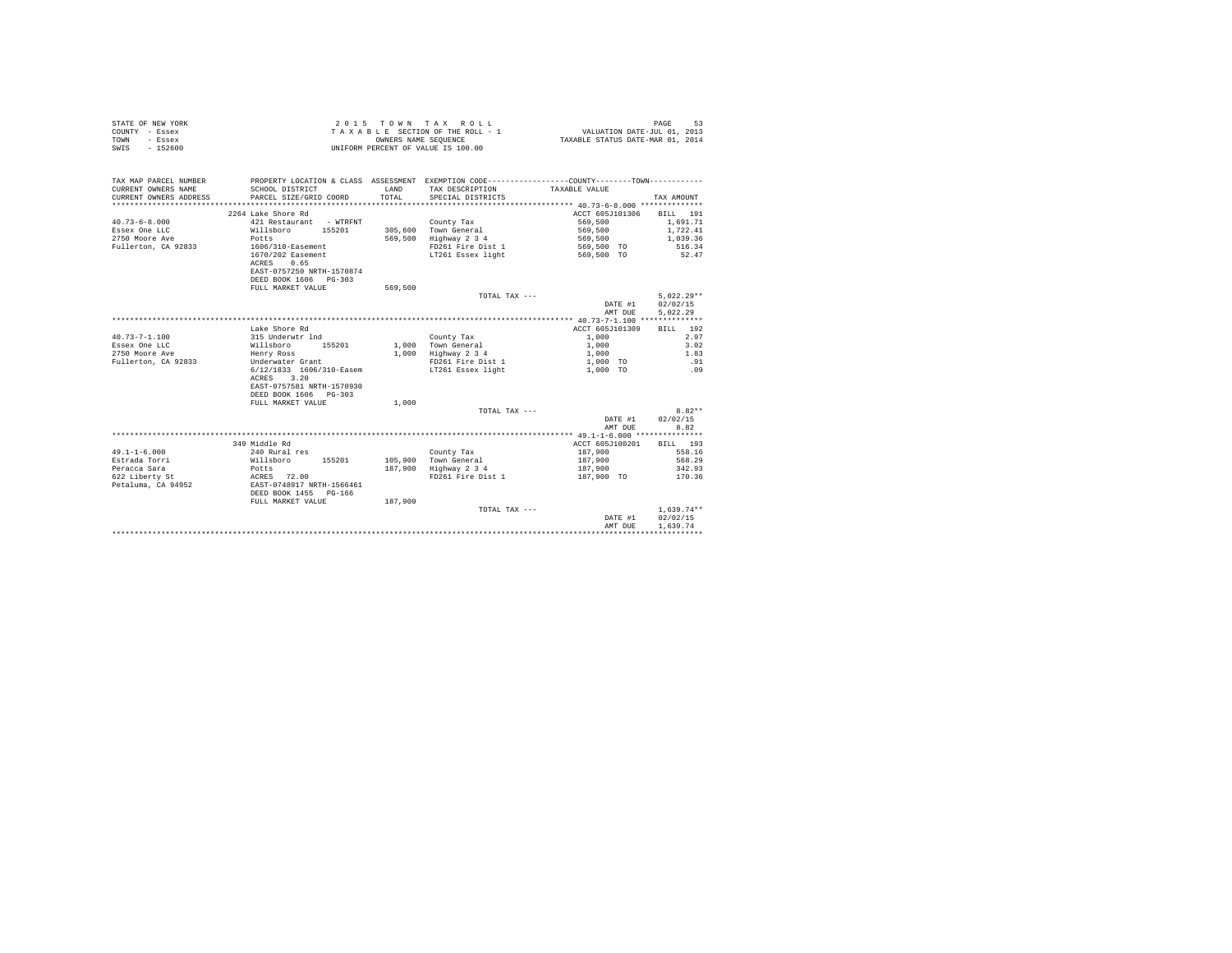| STATE OF NEW YORK | 2015 TOWN TAX ROLL                 | PAGE                             |
|-------------------|------------------------------------|----------------------------------|
| COUNTY - Essex    | TAXABLE SECTION OF THE ROLL - 1    | VALUATION DATE-JUL 01, 2013      |
| TOWN<br>- Essex   | OWNERS NAME SEOUENCE               | TAXABLE STATUS DATE-MAR 01, 2014 |
| SWIS<br>$-152600$ | UNIFORM PERCENT OF VALUE IS 100.00 |                                  |

| ACCT 605J101306<br>2264 Lake Shore Rd<br>BILL 191<br>1,691.71<br>$40.73 - 6 - 8.000$<br>421 Restaurant - WTRFNT<br>569,500<br>County Tax<br>305,600 Town General<br>569,500<br>1,722.41<br>Essex One LLC<br>Willsboro 155201<br>2750 Moore Ave<br>569,500<br>Highway 2 3 4<br>Potts<br>569,500<br>1,039.36<br>Fullerton, CA 92833<br>FD261 Fire Dist 1<br>516.34<br>1606/310-Easement<br>569,500 TO<br>1670/202 Easement<br>LT261 Essex light<br>569,500 TO<br>52.47<br>ACRES<br>0.65<br>EAST-0757250 NRTH-1570874<br>DEED BOOK 1606 PG-303<br>FULL MARKET VALUE<br>569,500<br>$5.022.29**$<br>TOTAL TAX ---<br>02/02/15<br>DATE #1<br>5.022.29<br>AMT DUE<br>Lake Shore Rd<br>ACCT 605J101309<br>BILL 192<br>2.97<br>$40.73 - 7 - 1.100$<br>1,000<br>315 Underwtr 1nd<br>County Tax<br>Essex One LLC<br>Willsboro<br>1,000 Town General<br>3.02<br>155201<br>1,000<br>2750 Moore Ave<br>1,000 Highway 2 3 4<br>1.83<br>Henry Ross<br>1,000<br>.91<br>Fullerton, CA 92833<br>Underwater Grant<br>FD261 Fire Dist 1<br>1,000 TO<br>6/12/1833 1606/310-Easem<br>LT261 Essex light<br>1,000 TO<br>.09<br>ACRES 3.20<br>EAST-0757581 NRTH-1570930<br>DEED BOOK 1606 PG-303<br>FULL MARKET VALUE<br>1,000<br>$8.82**$<br>TOTAL TAX ---<br>02/02/15<br>DATE #1<br>8.82<br>AMT DUE<br>349 Middle Rd<br>ACCT 605J100201<br>RTLL 193<br>$49.1 - 1 - 6.000$<br>240 Rural res<br>187,900<br>558.16<br>County Tax<br>Estrada Torri<br>187,900<br>568.29<br>Willsboro<br>155201<br>105,900 Town General<br>Highway 2 3 4<br>Peracca Sara<br>187,900<br>187,900<br>342.93<br>Potts<br>622 Liberty St<br>FD261 Fire Dist 1<br>ACRES 72.00<br>187,900 TO<br>170.36<br>Petaluma, CA 94952<br>EAST-0748917 NRTH-1566461<br>DEED BOOK 1455 PG-166<br>187,900<br>FULL MARKET VALUE<br>$1.639.74**$<br>TOTAL TAX ---<br>02/02/15<br>DATE #1<br>1.639.74<br>AMT DUE | TAX MAP PARCEL NUMBER<br>CURRENT OWNERS NAME<br>CURRENT OWNERS ADDRESS<br>************************* | SCHOOL DISTRICT<br>PARCEL SIZE/GRID COORD | T.AND<br>TOTAL. | PROPERTY LOCATION & CLASS ASSESSMENT EXEMPTION CODE----------------COUNTY-------TOWN----------<br>TAX DESCRIPTION TAXABLE VALUE<br>SPECIAL DISTRICTS | TAX AMOUNT |
|-----------------------------------------------------------------------------------------------------------------------------------------------------------------------------------------------------------------------------------------------------------------------------------------------------------------------------------------------------------------------------------------------------------------------------------------------------------------------------------------------------------------------------------------------------------------------------------------------------------------------------------------------------------------------------------------------------------------------------------------------------------------------------------------------------------------------------------------------------------------------------------------------------------------------------------------------------------------------------------------------------------------------------------------------------------------------------------------------------------------------------------------------------------------------------------------------------------------------------------------------------------------------------------------------------------------------------------------------------------------------------------------------------------------------------------------------------------------------------------------------------------------------------------------------------------------------------------------------------------------------------------------------------------------------------------------------------------------------------------------------------------------------------------------------------------------------------------------------|-----------------------------------------------------------------------------------------------------|-------------------------------------------|-----------------|------------------------------------------------------------------------------------------------------------------------------------------------------|------------|
|                                                                                                                                                                                                                                                                                                                                                                                                                                                                                                                                                                                                                                                                                                                                                                                                                                                                                                                                                                                                                                                                                                                                                                                                                                                                                                                                                                                                                                                                                                                                                                                                                                                                                                                                                                                                                                               |                                                                                                     |                                           |                 |                                                                                                                                                      |            |
|                                                                                                                                                                                                                                                                                                                                                                                                                                                                                                                                                                                                                                                                                                                                                                                                                                                                                                                                                                                                                                                                                                                                                                                                                                                                                                                                                                                                                                                                                                                                                                                                                                                                                                                                                                                                                                               |                                                                                                     |                                           |                 |                                                                                                                                                      |            |
|                                                                                                                                                                                                                                                                                                                                                                                                                                                                                                                                                                                                                                                                                                                                                                                                                                                                                                                                                                                                                                                                                                                                                                                                                                                                                                                                                                                                                                                                                                                                                                                                                                                                                                                                                                                                                                               |                                                                                                     |                                           |                 |                                                                                                                                                      |            |
|                                                                                                                                                                                                                                                                                                                                                                                                                                                                                                                                                                                                                                                                                                                                                                                                                                                                                                                                                                                                                                                                                                                                                                                                                                                                                                                                                                                                                                                                                                                                                                                                                                                                                                                                                                                                                                               |                                                                                                     |                                           |                 |                                                                                                                                                      |            |
|                                                                                                                                                                                                                                                                                                                                                                                                                                                                                                                                                                                                                                                                                                                                                                                                                                                                                                                                                                                                                                                                                                                                                                                                                                                                                                                                                                                                                                                                                                                                                                                                                                                                                                                                                                                                                                               |                                                                                                     |                                           |                 |                                                                                                                                                      |            |
|                                                                                                                                                                                                                                                                                                                                                                                                                                                                                                                                                                                                                                                                                                                                                                                                                                                                                                                                                                                                                                                                                                                                                                                                                                                                                                                                                                                                                                                                                                                                                                                                                                                                                                                                                                                                                                               |                                                                                                     |                                           |                 |                                                                                                                                                      |            |
|                                                                                                                                                                                                                                                                                                                                                                                                                                                                                                                                                                                                                                                                                                                                                                                                                                                                                                                                                                                                                                                                                                                                                                                                                                                                                                                                                                                                                                                                                                                                                                                                                                                                                                                                                                                                                                               |                                                                                                     |                                           |                 |                                                                                                                                                      |            |
|                                                                                                                                                                                                                                                                                                                                                                                                                                                                                                                                                                                                                                                                                                                                                                                                                                                                                                                                                                                                                                                                                                                                                                                                                                                                                                                                                                                                                                                                                                                                                                                                                                                                                                                                                                                                                                               |                                                                                                     |                                           |                 |                                                                                                                                                      |            |
|                                                                                                                                                                                                                                                                                                                                                                                                                                                                                                                                                                                                                                                                                                                                                                                                                                                                                                                                                                                                                                                                                                                                                                                                                                                                                                                                                                                                                                                                                                                                                                                                                                                                                                                                                                                                                                               |                                                                                                     |                                           |                 |                                                                                                                                                      |            |
|                                                                                                                                                                                                                                                                                                                                                                                                                                                                                                                                                                                                                                                                                                                                                                                                                                                                                                                                                                                                                                                                                                                                                                                                                                                                                                                                                                                                                                                                                                                                                                                                                                                                                                                                                                                                                                               |                                                                                                     |                                           |                 |                                                                                                                                                      |            |
|                                                                                                                                                                                                                                                                                                                                                                                                                                                                                                                                                                                                                                                                                                                                                                                                                                                                                                                                                                                                                                                                                                                                                                                                                                                                                                                                                                                                                                                                                                                                                                                                                                                                                                                                                                                                                                               |                                                                                                     |                                           |                 |                                                                                                                                                      |            |
|                                                                                                                                                                                                                                                                                                                                                                                                                                                                                                                                                                                                                                                                                                                                                                                                                                                                                                                                                                                                                                                                                                                                                                                                                                                                                                                                                                                                                                                                                                                                                                                                                                                                                                                                                                                                                                               |                                                                                                     |                                           |                 |                                                                                                                                                      |            |
|                                                                                                                                                                                                                                                                                                                                                                                                                                                                                                                                                                                                                                                                                                                                                                                                                                                                                                                                                                                                                                                                                                                                                                                                                                                                                                                                                                                                                                                                                                                                                                                                                                                                                                                                                                                                                                               |                                                                                                     |                                           |                 |                                                                                                                                                      |            |
|                                                                                                                                                                                                                                                                                                                                                                                                                                                                                                                                                                                                                                                                                                                                                                                                                                                                                                                                                                                                                                                                                                                                                                                                                                                                                                                                                                                                                                                                                                                                                                                                                                                                                                                                                                                                                                               |                                                                                                     |                                           |                 |                                                                                                                                                      |            |
|                                                                                                                                                                                                                                                                                                                                                                                                                                                                                                                                                                                                                                                                                                                                                                                                                                                                                                                                                                                                                                                                                                                                                                                                                                                                                                                                                                                                                                                                                                                                                                                                                                                                                                                                                                                                                                               |                                                                                                     |                                           |                 |                                                                                                                                                      |            |
|                                                                                                                                                                                                                                                                                                                                                                                                                                                                                                                                                                                                                                                                                                                                                                                                                                                                                                                                                                                                                                                                                                                                                                                                                                                                                                                                                                                                                                                                                                                                                                                                                                                                                                                                                                                                                                               |                                                                                                     |                                           |                 |                                                                                                                                                      |            |
|                                                                                                                                                                                                                                                                                                                                                                                                                                                                                                                                                                                                                                                                                                                                                                                                                                                                                                                                                                                                                                                                                                                                                                                                                                                                                                                                                                                                                                                                                                                                                                                                                                                                                                                                                                                                                                               |                                                                                                     |                                           |                 |                                                                                                                                                      |            |
|                                                                                                                                                                                                                                                                                                                                                                                                                                                                                                                                                                                                                                                                                                                                                                                                                                                                                                                                                                                                                                                                                                                                                                                                                                                                                                                                                                                                                                                                                                                                                                                                                                                                                                                                                                                                                                               |                                                                                                     |                                           |                 |                                                                                                                                                      |            |
|                                                                                                                                                                                                                                                                                                                                                                                                                                                                                                                                                                                                                                                                                                                                                                                                                                                                                                                                                                                                                                                                                                                                                                                                                                                                                                                                                                                                                                                                                                                                                                                                                                                                                                                                                                                                                                               |                                                                                                     |                                           |                 |                                                                                                                                                      |            |
|                                                                                                                                                                                                                                                                                                                                                                                                                                                                                                                                                                                                                                                                                                                                                                                                                                                                                                                                                                                                                                                                                                                                                                                                                                                                                                                                                                                                                                                                                                                                                                                                                                                                                                                                                                                                                                               |                                                                                                     |                                           |                 |                                                                                                                                                      |            |
|                                                                                                                                                                                                                                                                                                                                                                                                                                                                                                                                                                                                                                                                                                                                                                                                                                                                                                                                                                                                                                                                                                                                                                                                                                                                                                                                                                                                                                                                                                                                                                                                                                                                                                                                                                                                                                               |                                                                                                     |                                           |                 |                                                                                                                                                      |            |
|                                                                                                                                                                                                                                                                                                                                                                                                                                                                                                                                                                                                                                                                                                                                                                                                                                                                                                                                                                                                                                                                                                                                                                                                                                                                                                                                                                                                                                                                                                                                                                                                                                                                                                                                                                                                                                               |                                                                                                     |                                           |                 |                                                                                                                                                      |            |
|                                                                                                                                                                                                                                                                                                                                                                                                                                                                                                                                                                                                                                                                                                                                                                                                                                                                                                                                                                                                                                                                                                                                                                                                                                                                                                                                                                                                                                                                                                                                                                                                                                                                                                                                                                                                                                               |                                                                                                     |                                           |                 |                                                                                                                                                      |            |
|                                                                                                                                                                                                                                                                                                                                                                                                                                                                                                                                                                                                                                                                                                                                                                                                                                                                                                                                                                                                                                                                                                                                                                                                                                                                                                                                                                                                                                                                                                                                                                                                                                                                                                                                                                                                                                               |                                                                                                     |                                           |                 |                                                                                                                                                      |            |
|                                                                                                                                                                                                                                                                                                                                                                                                                                                                                                                                                                                                                                                                                                                                                                                                                                                                                                                                                                                                                                                                                                                                                                                                                                                                                                                                                                                                                                                                                                                                                                                                                                                                                                                                                                                                                                               |                                                                                                     |                                           |                 |                                                                                                                                                      |            |
|                                                                                                                                                                                                                                                                                                                                                                                                                                                                                                                                                                                                                                                                                                                                                                                                                                                                                                                                                                                                                                                                                                                                                                                                                                                                                                                                                                                                                                                                                                                                                                                                                                                                                                                                                                                                                                               |                                                                                                     |                                           |                 |                                                                                                                                                      |            |
|                                                                                                                                                                                                                                                                                                                                                                                                                                                                                                                                                                                                                                                                                                                                                                                                                                                                                                                                                                                                                                                                                                                                                                                                                                                                                                                                                                                                                                                                                                                                                                                                                                                                                                                                                                                                                                               |                                                                                                     |                                           |                 |                                                                                                                                                      |            |
|                                                                                                                                                                                                                                                                                                                                                                                                                                                                                                                                                                                                                                                                                                                                                                                                                                                                                                                                                                                                                                                                                                                                                                                                                                                                                                                                                                                                                                                                                                                                                                                                                                                                                                                                                                                                                                               |                                                                                                     |                                           |                 |                                                                                                                                                      |            |
|                                                                                                                                                                                                                                                                                                                                                                                                                                                                                                                                                                                                                                                                                                                                                                                                                                                                                                                                                                                                                                                                                                                                                                                                                                                                                                                                                                                                                                                                                                                                                                                                                                                                                                                                                                                                                                               |                                                                                                     |                                           |                 |                                                                                                                                                      |            |
|                                                                                                                                                                                                                                                                                                                                                                                                                                                                                                                                                                                                                                                                                                                                                                                                                                                                                                                                                                                                                                                                                                                                                                                                                                                                                                                                                                                                                                                                                                                                                                                                                                                                                                                                                                                                                                               |                                                                                                     |                                           |                 |                                                                                                                                                      |            |
|                                                                                                                                                                                                                                                                                                                                                                                                                                                                                                                                                                                                                                                                                                                                                                                                                                                                                                                                                                                                                                                                                                                                                                                                                                                                                                                                                                                                                                                                                                                                                                                                                                                                                                                                                                                                                                               |                                                                                                     |                                           |                 |                                                                                                                                                      |            |
|                                                                                                                                                                                                                                                                                                                                                                                                                                                                                                                                                                                                                                                                                                                                                                                                                                                                                                                                                                                                                                                                                                                                                                                                                                                                                                                                                                                                                                                                                                                                                                                                                                                                                                                                                                                                                                               |                                                                                                     |                                           |                 |                                                                                                                                                      |            |
|                                                                                                                                                                                                                                                                                                                                                                                                                                                                                                                                                                                                                                                                                                                                                                                                                                                                                                                                                                                                                                                                                                                                                                                                                                                                                                                                                                                                                                                                                                                                                                                                                                                                                                                                                                                                                                               |                                                                                                     |                                           |                 |                                                                                                                                                      |            |
|                                                                                                                                                                                                                                                                                                                                                                                                                                                                                                                                                                                                                                                                                                                                                                                                                                                                                                                                                                                                                                                                                                                                                                                                                                                                                                                                                                                                                                                                                                                                                                                                                                                                                                                                                                                                                                               |                                                                                                     |                                           |                 |                                                                                                                                                      |            |
|                                                                                                                                                                                                                                                                                                                                                                                                                                                                                                                                                                                                                                                                                                                                                                                                                                                                                                                                                                                                                                                                                                                                                                                                                                                                                                                                                                                                                                                                                                                                                                                                                                                                                                                                                                                                                                               |                                                                                                     |                                           |                 |                                                                                                                                                      |            |
|                                                                                                                                                                                                                                                                                                                                                                                                                                                                                                                                                                                                                                                                                                                                                                                                                                                                                                                                                                                                                                                                                                                                                                                                                                                                                                                                                                                                                                                                                                                                                                                                                                                                                                                                                                                                                                               |                                                                                                     |                                           |                 |                                                                                                                                                      |            |
|                                                                                                                                                                                                                                                                                                                                                                                                                                                                                                                                                                                                                                                                                                                                                                                                                                                                                                                                                                                                                                                                                                                                                                                                                                                                                                                                                                                                                                                                                                                                                                                                                                                                                                                                                                                                                                               |                                                                                                     |                                           |                 |                                                                                                                                                      |            |
|                                                                                                                                                                                                                                                                                                                                                                                                                                                                                                                                                                                                                                                                                                                                                                                                                                                                                                                                                                                                                                                                                                                                                                                                                                                                                                                                                                                                                                                                                                                                                                                                                                                                                                                                                                                                                                               |                                                                                                     |                                           |                 |                                                                                                                                                      |            |
|                                                                                                                                                                                                                                                                                                                                                                                                                                                                                                                                                                                                                                                                                                                                                                                                                                                                                                                                                                                                                                                                                                                                                                                                                                                                                                                                                                                                                                                                                                                                                                                                                                                                                                                                                                                                                                               |                                                                                                     |                                           |                 |                                                                                                                                                      |            |
|                                                                                                                                                                                                                                                                                                                                                                                                                                                                                                                                                                                                                                                                                                                                                                                                                                                                                                                                                                                                                                                                                                                                                                                                                                                                                                                                                                                                                                                                                                                                                                                                                                                                                                                                                                                                                                               |                                                                                                     |                                           |                 |                                                                                                                                                      |            |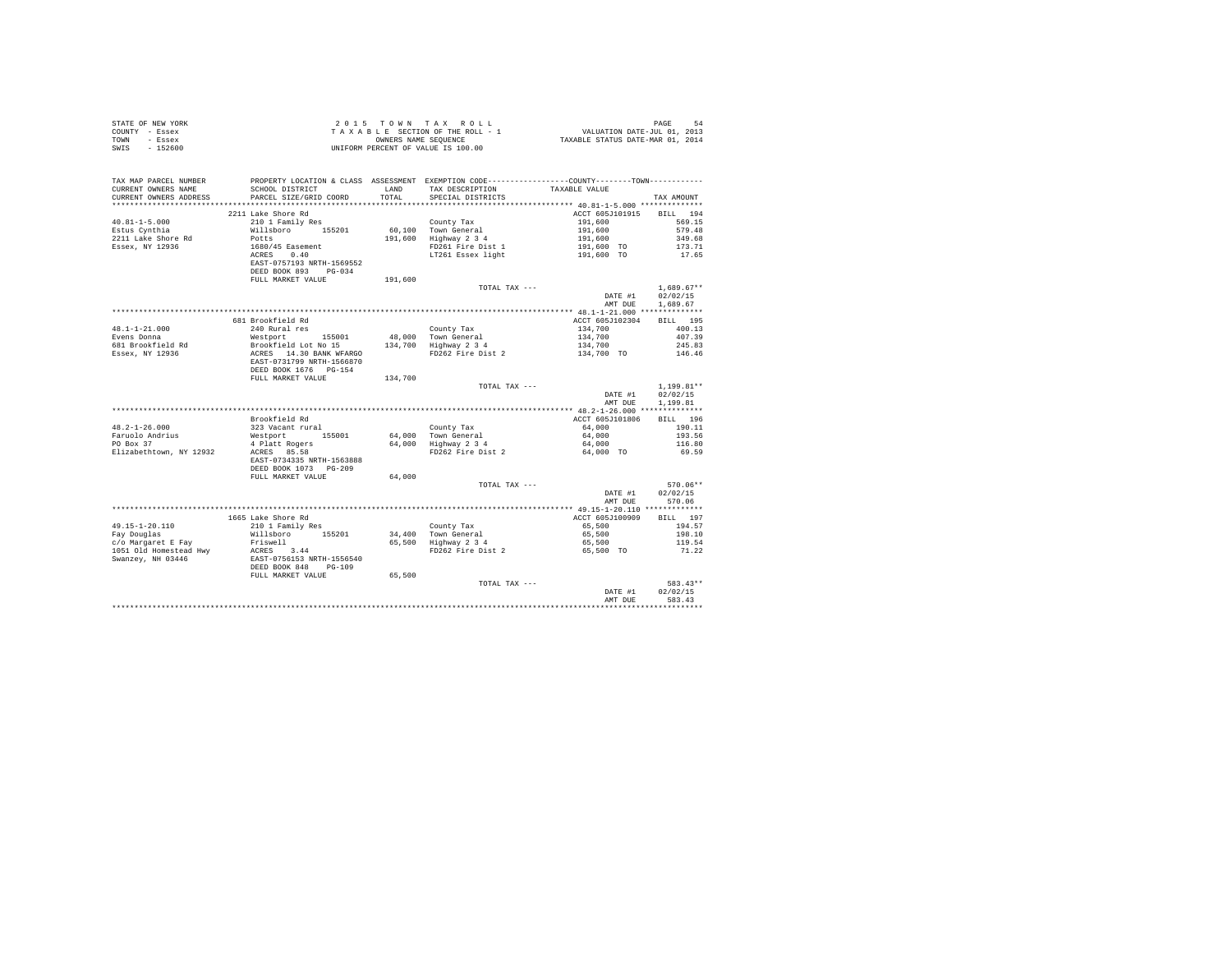| 2211 Lake Shore Rd                                                                                                                                                                                                                                                                                                                                                                             |               | ACCT 605J101915 BILL 194           |                  |
|------------------------------------------------------------------------------------------------------------------------------------------------------------------------------------------------------------------------------------------------------------------------------------------------------------------------------------------------------------------------------------------------|---------------|------------------------------------|------------------|
|                                                                                                                                                                                                                                                                                                                                                                                                |               |                                    |                  |
|                                                                                                                                                                                                                                                                                                                                                                                                |               |                                    |                  |
|                                                                                                                                                                                                                                                                                                                                                                                                |               |                                    |                  |
|                                                                                                                                                                                                                                                                                                                                                                                                |               |                                    |                  |
|                                                                                                                                                                                                                                                                                                                                                                                                |               |                                    |                  |
|                                                                                                                                                                                                                                                                                                                                                                                                |               |                                    |                  |
|                                                                                                                                                                                                                                                                                                                                                                                                |               |                                    |                  |
|                                                                                                                                                                                                                                                                                                                                                                                                |               |                                    |                  |
| $\begin{tabular}{lcccc} 40.81-1-5.000 & 2211 take Shore Rd & 2101 5300 & 22114 take Shore Rd & 2101 5301 & 2411 5301 & 2411 5301 & 2411 5301 & 2411 5301 & 2411 5301 & 2411 5301 & 2411 5301 & 2411 5301 & 2411 5301 & 2411 5301 & 2411 5301 & 2411 5301 & 2411 5301 & 2411 53$                                                                                                                | TOTAL TAX --- |                                    | $1.689.67**$     |
|                                                                                                                                                                                                                                                                                                                                                                                                |               | DATE #1 02/02/15                   |                  |
|                                                                                                                                                                                                                                                                                                                                                                                                |               |                                    | AMT DUE 1,689.67 |
|                                                                                                                                                                                                                                                                                                                                                                                                |               |                                    |                  |
| 681 Brookfield Rd                                                                                                                                                                                                                                                                                                                                                                              |               | ACCT 605J102304 BILL 195           |                  |
|                                                                                                                                                                                                                                                                                                                                                                                                |               |                                    |                  |
|                                                                                                                                                                                                                                                                                                                                                                                                |               |                                    |                  |
|                                                                                                                                                                                                                                                                                                                                                                                                |               |                                    |                  |
|                                                                                                                                                                                                                                                                                                                                                                                                |               |                                    |                  |
|                                                                                                                                                                                                                                                                                                                                                                                                |               |                                    |                  |
|                                                                                                                                                                                                                                                                                                                                                                                                |               |                                    |                  |
| DEED BOOK 1676 PG-154<br>FULL MARKET VALUE 134,700                                                                                                                                                                                                                                                                                                                                             |               |                                    |                  |
|                                                                                                                                                                                                                                                                                                                                                                                                | TOTAL TAX --- |                                    |                  |
|                                                                                                                                                                                                                                                                                                                                                                                                |               | $1,199.81**$<br>DATE #1 $02/02/15$ | $1.199.81**$     |
|                                                                                                                                                                                                                                                                                                                                                                                                |               |                                    | AMT DUE 1,199.81 |
|                                                                                                                                                                                                                                                                                                                                                                                                |               |                                    |                  |
|                                                                                                                                                                                                                                                                                                                                                                                                |               |                                    |                  |
| Brookfield Rd                                                                                                                                                                                                                                                                                                                                                                                  |               | ACCT 605J101806                    | BILL 196         |
|                                                                                                                                                                                                                                                                                                                                                                                                |               |                                    |                  |
|                                                                                                                                                                                                                                                                                                                                                                                                |               |                                    |                  |
|                                                                                                                                                                                                                                                                                                                                                                                                |               |                                    |                  |
|                                                                                                                                                                                                                                                                                                                                                                                                |               |                                    |                  |
|                                                                                                                                                                                                                                                                                                                                                                                                |               |                                    |                  |
| DEED BOOK 1073 PG-209                                                                                                                                                                                                                                                                                                                                                                          |               |                                    |                  |
| FULL MARKET VALUE 64,000                                                                                                                                                                                                                                                                                                                                                                       |               |                                    |                  |
|                                                                                                                                                                                                                                                                                                                                                                                                | TOTAL TAX --- |                                    | 570.06**         |
|                                                                                                                                                                                                                                                                                                                                                                                                |               | DATE #1 $02/02/15$                 |                  |
|                                                                                                                                                                                                                                                                                                                                                                                                |               |                                    | AMT DUE 570.06   |
|                                                                                                                                                                                                                                                                                                                                                                                                |               |                                    |                  |
|                                                                                                                                                                                                                                                                                                                                                                                                |               |                                    |                  |
|                                                                                                                                                                                                                                                                                                                                                                                                |               |                                    |                  |
|                                                                                                                                                                                                                                                                                                                                                                                                |               |                                    |                  |
|                                                                                                                                                                                                                                                                                                                                                                                                |               |                                    |                  |
|                                                                                                                                                                                                                                                                                                                                                                                                |               |                                    |                  |
|                                                                                                                                                                                                                                                                                                                                                                                                |               |                                    |                  |
| $\begin{tabular}{l c c c c c c c c} \multicolumn{3}{c c c c} \multicolumn{3}{c c c c} \multicolumn{3}{c c c} \multicolumn{3}{c c c} \multicolumn{3}{c c c} \multicolumn{3}{c c c} \multicolumn{3}{c c c} \multicolumn{3}{c c c} \multicolumn{3}{c c c} \multicolumn{3}{c c c} \multicolumn{3}{c c c} \multicolumn{3}{c c c} \multicolumn{3}{c c c} \multicolumn{3}{c c c} \multicolumn{3}{c c$ |               |                                    |                  |
|                                                                                                                                                                                                                                                                                                                                                                                                |               |                                    |                  |
|                                                                                                                                                                                                                                                                                                                                                                                                |               |                                    |                  |
|                                                                                                                                                                                                                                                                                                                                                                                                |               |                                    | DATE #1 02/02/15 |
|                                                                                                                                                                                                                                                                                                                                                                                                |               |                                    | AMT DUE 583.43   |
|                                                                                                                                                                                                                                                                                                                                                                                                |               |                                    |                  |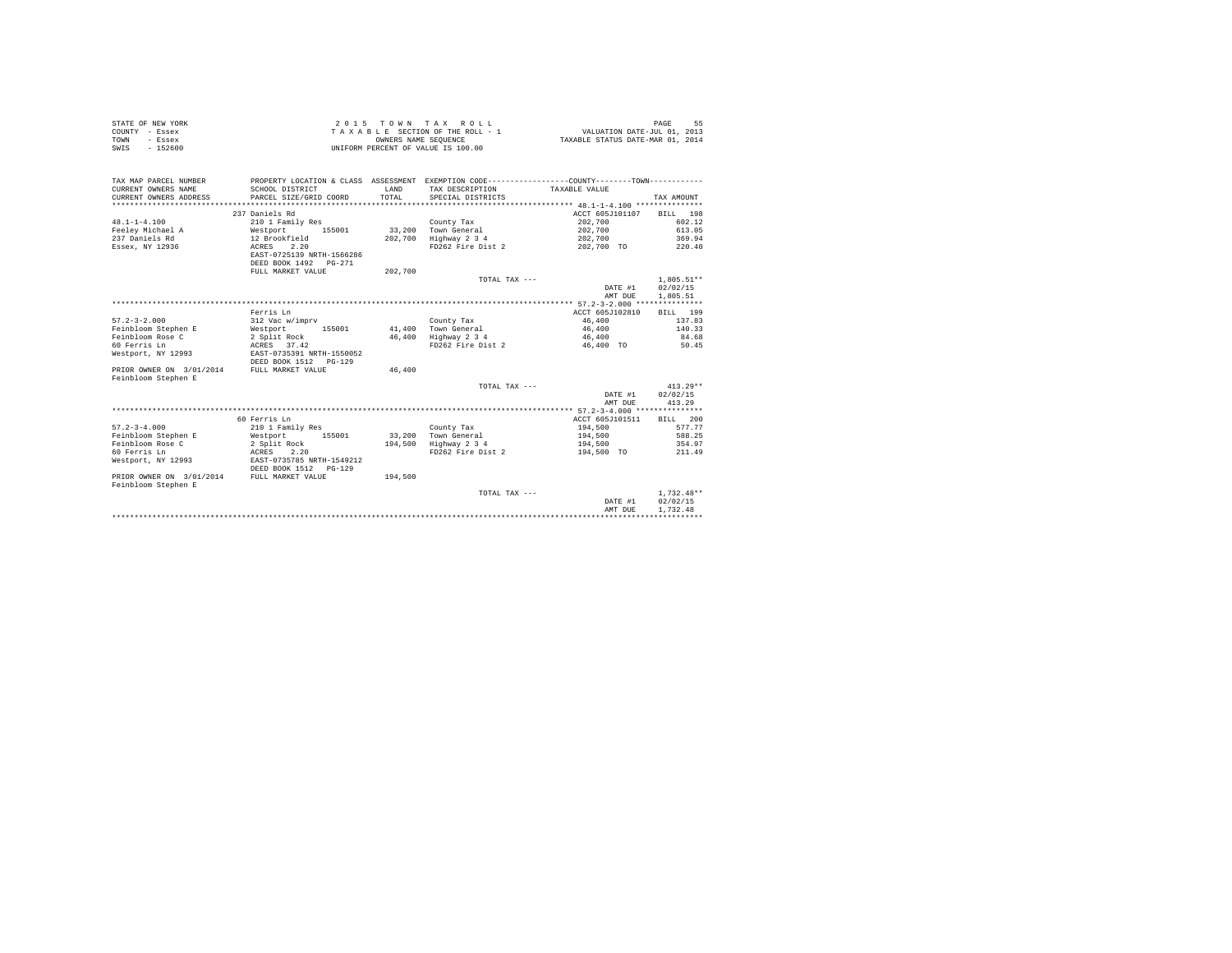| COUNTY - Essex<br>TOWN<br>- Essex            |                               | OWNERS NAME SEOUENCE | TAXABLE SECTION OF THE ROLL - 1                                                              | VALUATION DATE-JUL 01, 2013<br>TAXABLE STATUS DATE-MAR 01, 2014 |              |
|----------------------------------------------|-------------------------------|----------------------|----------------------------------------------------------------------------------------------|-----------------------------------------------------------------|--------------|
| $-152600$<br>SWIS                            |                               |                      | UNIFORM PERCENT OF VALUE IS 100.00                                                           |                                                                 |              |
|                                              |                               |                      |                                                                                              |                                                                 |              |
|                                              |                               |                      |                                                                                              |                                                                 |              |
|                                              |                               |                      |                                                                                              |                                                                 |              |
| TAX MAP PARCEL NUMBER                        |                               |                      | PROPERTY LOCATION & CLASS ASSESSMENT EXEMPTION CODE---------------COUNTY-------TOWN--------- |                                                                 |              |
| CURRENT OWNERS NAME                          | SCHOOL DISTRICT               | LAND                 | TAX DESCRIPTION TAXABLE VALUE                                                                |                                                                 |              |
| CURRENT OWNERS ADDRESS                       | PARCEL SIZE/GRID COORD        | TOTAL                | SPECIAL DISTRICTS                                                                            |                                                                 | TAX AMOUNT   |
|                                              |                               |                      |                                                                                              |                                                                 |              |
|                                              | 237 Daniels Rd                |                      |                                                                                              | ACCT 605J101107                                                 | BILL 198     |
| $48.1 - 1 - 4.100$                           | 210 1 Family Res              |                      | County Tax                                                                                   | 202,700                                                         | 602.12       |
| Feelev Michael A                             | Westport 155001               |                      | 33,200 Town General                                                                          | 202,700                                                         | 613.05       |
| 237 Daniels Rd                               | 12 Brookfield                 |                      | 202,700 Highway 2 3 4                                                                        | 202,700                                                         | 369.94       |
| Essex, NY 12936                              | 2.20<br>ACRES                 |                      | FD262 Fire Dist 2                                                                            | 202,700 TO                                                      | 220.40       |
|                                              | EAST-0725139 NRTH-1566286     |                      |                                                                                              |                                                                 |              |
|                                              | DEED BOOK 1492   PG-271       |                      |                                                                                              |                                                                 |              |
|                                              | FULL MARKET VALUE             | 202,700              |                                                                                              |                                                                 |              |
|                                              |                               |                      | TOTAL TAX ---                                                                                |                                                                 | $1.805.51**$ |
|                                              |                               |                      |                                                                                              | DATE #1                                                         | 02/02/15     |
|                                              |                               |                      |                                                                                              | AMT DUE                                                         | 1,805.51     |
|                                              |                               |                      |                                                                                              |                                                                 |              |
|                                              | Ferris Ln                     |                      |                                                                                              | ACCT 605J102810                                                 | BILL 199     |
| $57.2 - 3 - 2.000$                           | 312 Vac w/imprv               |                      | County Tax                                                                                   | 46,400                                                          | 137.83       |
| Feinbloom Stephen E                          | 155001<br>Westport            |                      | 41,400 Town General                                                                          | 46,400                                                          | 140.33       |
| Feinbloom Rose C                             | 2 Split Rock                  |                      | 46,400 Highway 2 3 4                                                                         | 46,400                                                          | 84.68        |
| 60 Ferris Ln                                 | ACRES 37.42<br>EAST-0735391 N |                      | FD262 Fire Dist 2                                                                            | 46,400 TO                                                       | 50.45        |
| Westport, NY 12993                           | EAST-0735391 NRTH-1550052     |                      |                                                                                              |                                                                 |              |
|                                              | DEED BOOK 1512 PG-129         |                      |                                                                                              |                                                                 |              |
| PRIOR OWNER ON 3/01/2014 FULL MARKET VALUE   |                               | 46,400               |                                                                                              |                                                                 |              |
| Feinbloom Stephen E                          |                               |                      |                                                                                              |                                                                 |              |
|                                              |                               |                      | TOTAL TAX ---                                                                                |                                                                 | $413.29**$   |
|                                              |                               |                      |                                                                                              | DATE #1                                                         | 02/02/15     |
|                                              |                               |                      |                                                                                              | AMT DUE                                                         | 413.29       |
|                                              |                               |                      |                                                                                              |                                                                 |              |
|                                              | 60 Ferris Ln                  |                      |                                                                                              | ACCT 605J101511                                                 | BILL 200     |
| $57.2 - 3 - 4.000$                           | 210 1 Family Res              |                      | County Tax                                                                                   | 194,500                                                         | 577.77       |
| Feinbloom Stephen E                          | Westport<br>155001            |                      | 33,200 Town General                                                                          | 194,500                                                         | 588.25       |
| Feinbloom Rose C                             | 2 Split Rock                  |                      | 194,500 Highway 2 3 4                                                                        | 194,500                                                         | 354.97       |
| 60 Ferris Ln                                 | <b>ACRES</b><br>2.20          |                      | FD262 Fire Dist 2                                                                            | 194,500 TO                                                      | 211.49       |
| Westport, NY 12993 EAST-0735785 NRTH-1549212 |                               |                      |                                                                                              |                                                                 |              |
|                                              | DEED BOOK 1512 PG-129         |                      |                                                                                              |                                                                 |              |
| PRIOR OWNER ON 3/01/2014                     | FULL MARKET VALUE             | 194,500              |                                                                                              |                                                                 |              |
| Feinbloom Stephen E                          |                               |                      |                                                                                              |                                                                 |              |
|                                              |                               |                      | TOTAL TAX ---                                                                                |                                                                 | $1,732.48**$ |
|                                              |                               |                      |                                                                                              | DATE #1                                                         | 02/02/15     |
|                                              |                               |                      |                                                                                              | AMT DUE                                                         | 1.732.48     |
|                                              |                               |                      |                                                                                              |                                                                 |              |

STATE OF NEW YORK STATES OF A GENERAL METRIC CONDUCTED AS A SERIES OF A LIMIT OF A LIMIT OF A LIMIT OF A LIMIT OF A LIMIT OF A LIMIT OF A LIMIT OF A LIMIT OF A LIMIT OF A LIMIT OF A LIMIT OF A LIMIT OF A LIMIT OF A LIMIT O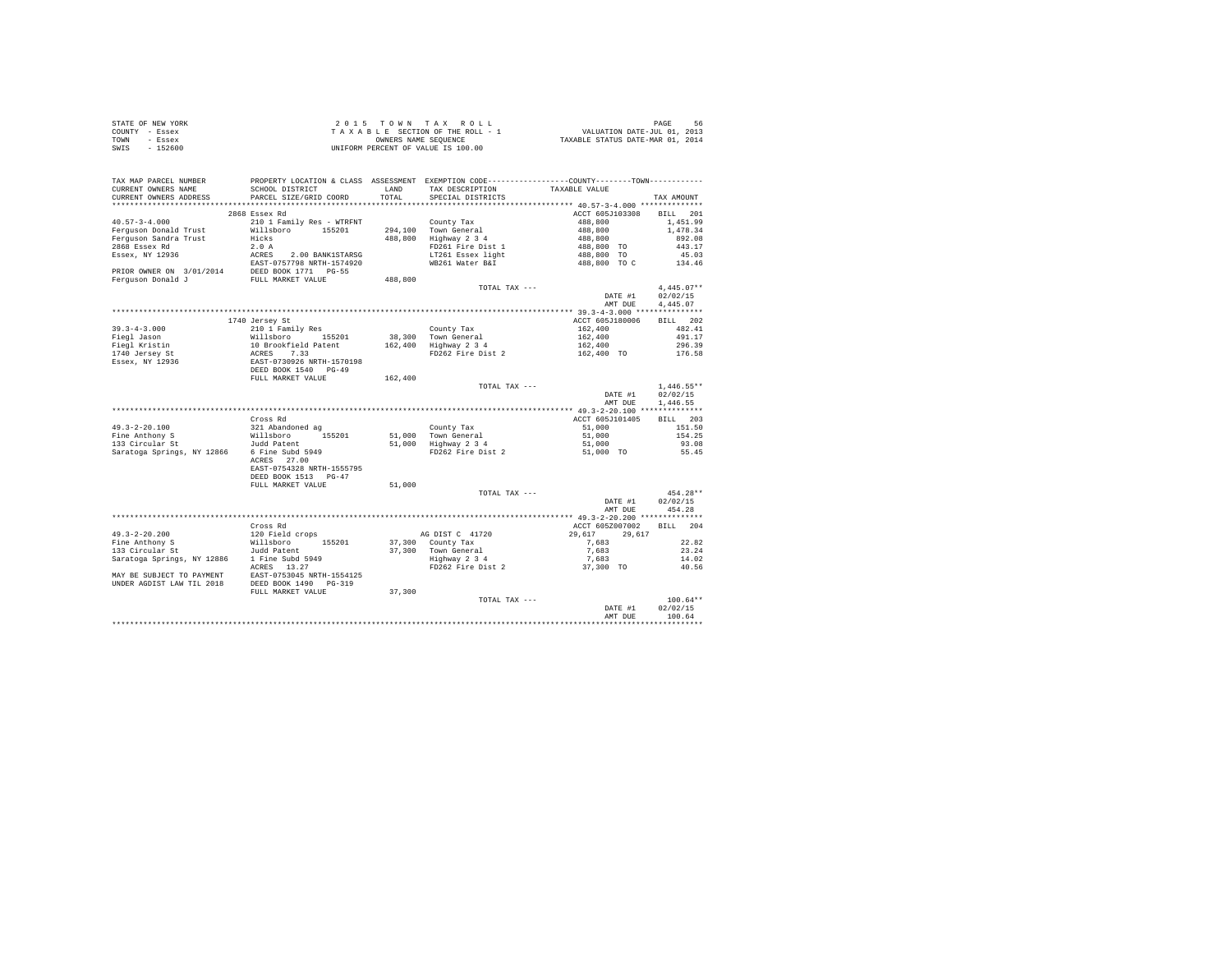|                | STATE OF NEW YORK |  |  |  | $2.0.15$ TOWN TAX ROLL             |  |  |  | 56<br>PAGE                       |
|----------------|-------------------|--|--|--|------------------------------------|--|--|--|----------------------------------|
| COUNTY - Essex |                   |  |  |  | TAXABLE SECTION OF THE ROLL - 1    |  |  |  | VALUATION DATE-JUL 01, 2013      |
| TOWN           | - Essex           |  |  |  | OWNERS NAME SEOUENCE               |  |  |  | TAXABLE STATUS DATE-MAR 01, 2014 |
| SWIS           | $-152600$         |  |  |  | UNIFORM PERCENT OF VALUE IS 100.00 |  |  |  |                                  |

| TAX MAP PARCEL NUMBER<br>CURRENT OWNERS NAME<br>CURRENT OWNERS ADDRESS                 | PROPERTY LOCATION & CLASS ASSESSMENT EXEMPTION CODE----------------COUNTY-------TOWN----------<br>SCHOOL DISTRICT<br>PARCEL SIZE/GRID COORD | LAND<br>TOTAL | TAX DESCRIPTION<br>SPECIAL DISTRICTS        | TAXABLE VALUE             | TAX AMOUNT         |
|----------------------------------------------------------------------------------------|---------------------------------------------------------------------------------------------------------------------------------------------|---------------|---------------------------------------------|---------------------------|--------------------|
| *******************                                                                    |                                                                                                                                             |               |                                             |                           |                    |
|                                                                                        | 2868 Essex Rd                                                                                                                               |               |                                             | ACCT 605J103308           | BILL 201           |
| $40.57 - 3 - 4.000$                                                                    | 210 1 Family Res - WTRFNT                                                                                                                   |               | County Tax                                  | 488,800                   | 1,451.99           |
| Ferguson Donald Trust                                                                  | Willsboro 155201                                                                                                                            |               | 294,100 Town General                        | 488,800                   | 1,478.34           |
| Ferguson Sandra Trust                                                                  | Hicks                                                                                                                                       |               | 488,800 Highway 2 3 4                       | 488,800                   | 892.08             |
| 2868 Essex Rd                                                                          | 2.0A                                                                                                                                        |               | FD261 Fire Dist 1                           | 488,800 TO                | 443.17             |
| Essex, NY 12936                                                                        | ACRES 2.00 BANK1STARSG                                                                                                                      |               | LT261 Essex light                           | 488,800 TO                | 45.03              |
|                                                                                        | EAST-0757798 NRTH-1574920                                                                                                                   |               | WB261 Water B&I                             | 488,800 TO C              | 134.46             |
| PRIOR OWNER ON $3/01/2014$ DEED BOOK 1771 PG-55<br>Ferguson Donald J FULL MARKET VALUE |                                                                                                                                             |               |                                             |                           |                    |
|                                                                                        |                                                                                                                                             | 488,800       | TOTAL TAX ---                               |                           | $4.445.07**$       |
|                                                                                        |                                                                                                                                             |               |                                             | DATE #1                   | 02/02/15           |
|                                                                                        |                                                                                                                                             |               |                                             | AMT DUE                   | 4.445.07           |
|                                                                                        |                                                                                                                                             |               |                                             |                           |                    |
|                                                                                        | 1740 Jersey St                                                                                                                              |               |                                             | ACCT 605J180006           | BILL 202           |
| $39.3 - 4 - 3.000$                                                                     | 210 1 Family Res                                                                                                                            |               | County Tax                                  | 162,400                   | 482.41             |
| Fiegl Jason                                                                            | Willsboro 155201                                                                                                                            |               | 38,300 Town General                         | 162,400                   | 491.17             |
| Fiegl Kristin                                                                          |                                                                                                                                             |               | 162,400 Highway 2 3 4                       | 162,400                   | 296.39             |
| 1740 Jersey St                                                                         |                                                                                                                                             |               | FD262 Fire Dist 2                           | 162,400 TO                | 176.58             |
| Essex, NY 12936                                                                        | 10 Brookfield Patent<br>ACRES 7.33<br>EAST-0730926 NRTH-1570198<br>DEED BOOK 1540 PG-49                                                     |               |                                             |                           |                    |
|                                                                                        |                                                                                                                                             |               |                                             |                           |                    |
|                                                                                        | FULL MARKET VALUE                                                                                                                           | 162,400       |                                             |                           |                    |
|                                                                                        |                                                                                                                                             |               | TOTAL TAX ---                               |                           | $1.446.55**$       |
|                                                                                        |                                                                                                                                             |               |                                             | DATE #1                   | 02/02/15           |
|                                                                                        |                                                                                                                                             |               |                                             | AMT DUE                   | 1,446.55           |
|                                                                                        |                                                                                                                                             |               |                                             |                           |                    |
| $49.3 - 2 - 20.100$                                                                    | Cross Rd<br>321 Abandoned ag                                                                                                                |               |                                             | ACCT 605J101405<br>51,000 | BILL 203<br>151.50 |
| Fine Anthony S                                                                         | Willsboro 155201                                                                                                                            |               | County Tax                                  | 51,000                    | 154.25             |
| 133 Circular St                                                                        | Judd Patent                                                                                                                                 |               | 51,000 Town General<br>51,000 Highway 2 3 4 | 51,000                    | 93.08              |
| Saratoga Springs, NY 12866                                                             | 6 Fine Subd 5949                                                                                                                            |               | FD262 Fire Dist 2                           | 51,000 TO                 | 55.45              |
|                                                                                        | ACRES 27.00                                                                                                                                 |               |                                             |                           |                    |
|                                                                                        | EAST-0754328 NRTH-1555795                                                                                                                   |               |                                             |                           |                    |
|                                                                                        | DEED BOOK 1513 PG-47                                                                                                                        |               |                                             |                           |                    |
|                                                                                        | FULL MARKET VALUE                                                                                                                           | 51,000        |                                             |                           |                    |
|                                                                                        |                                                                                                                                             |               | TOTAL TAX ---                               |                           | 454.28**           |
|                                                                                        |                                                                                                                                             |               |                                             | DATE #1                   | 02/02/15           |
|                                                                                        |                                                                                                                                             |               |                                             | AMT DUE                   | 454.28             |
|                                                                                        |                                                                                                                                             |               |                                             |                           |                    |
|                                                                                        | Cross Rd                                                                                                                                    |               |                                             | ACCT 605Z007002           | BILL 204           |
| $49.3 - 2 - 20.200$                                                                    | 120 Field crops                                                                                                                             |               | AG DIST C 41720                             | 29,617<br>29,617          |                    |
| Fine Anthony S                                                                         | Willsboro 155201                                                                                                                            |               | 37,300 County Tax                           | 7,683                     | 22.82              |
| 133 Circular St<br>Saratoga Springs, NY 12886                                          | Judd Patent<br>1 Fine Subd 5949                                                                                                             |               | 37.300 Town General                         | 7.683<br>7,683            | 23.24<br>14.02     |
|                                                                                        | ACRES 13.27                                                                                                                                 |               | Highway 2 3 4<br>FD262 Fire Dist 2          | 37,300 TO                 | 40.56              |
| MAY BE SUBJECT TO PAYMENT                                                              |                                                                                                                                             |               |                                             |                           |                    |
| UNDER AGDIST LAW TIL 2018                                                              | EAST-0753045 NRTH-1554125<br>DEED BOOK 1490 PG-319                                                                                          |               |                                             |                           |                    |
|                                                                                        | FULL MARKET VALUE                                                                                                                           | 37,300        |                                             |                           |                    |
|                                                                                        |                                                                                                                                             |               | TOTAL TAX ---                               |                           | $100.64**$         |
|                                                                                        |                                                                                                                                             |               |                                             | DATE #1                   | 02/02/15           |
|                                                                                        |                                                                                                                                             |               |                                             | AMT DUE                   | 100.64             |
|                                                                                        |                                                                                                                                             |               |                                             |                           |                    |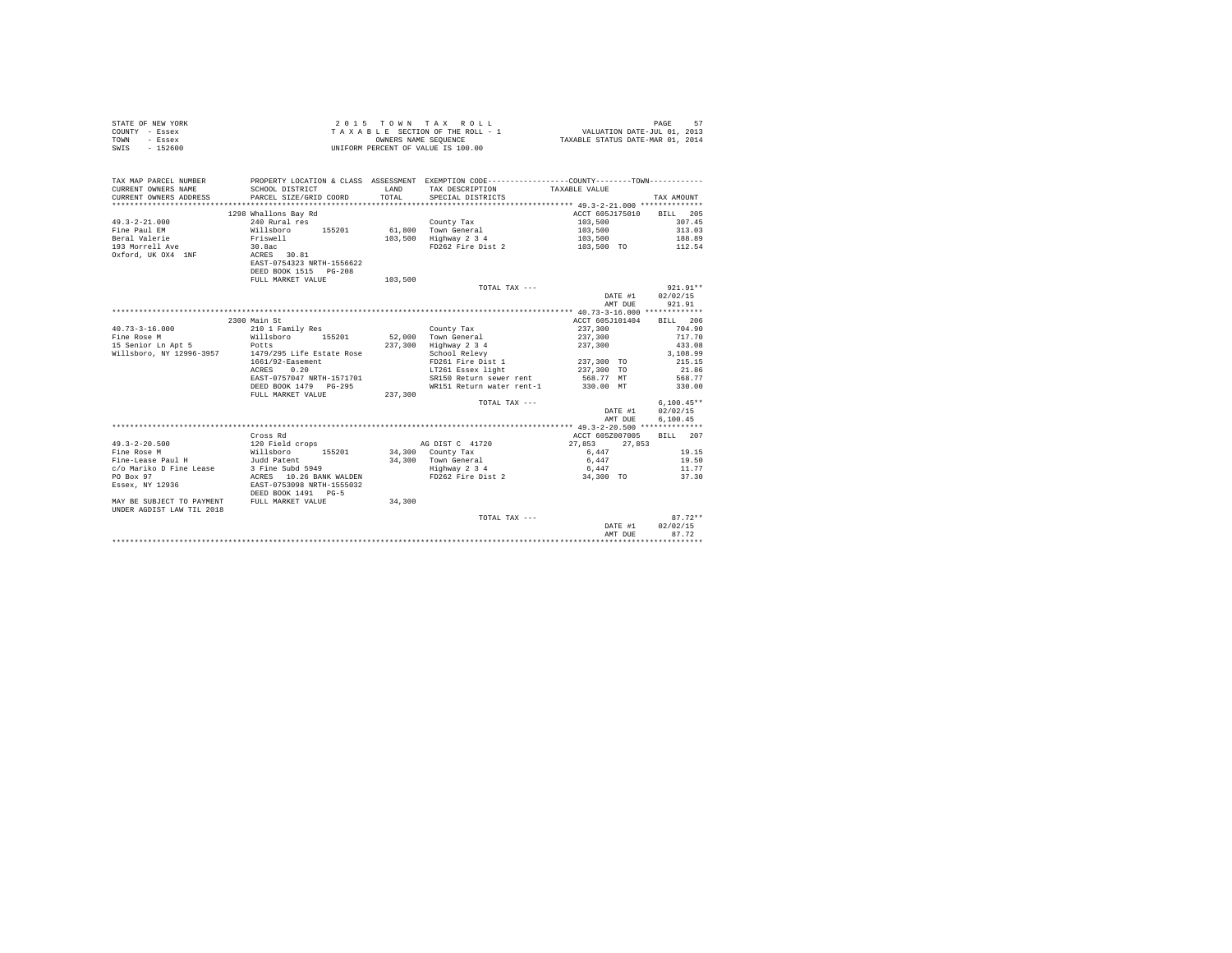|      | STATE OF NEW YORK | 2015 TOWN TAX ROLL                 |                                  | PAGE | 57 |
|------|-------------------|------------------------------------|----------------------------------|------|----|
|      | COUNTY - Essex    | TAXABLE SECTION OF THE ROLL - 1    | VALUATION DATE-JUL 01, 2013      |      |    |
| TOWN | - Essex           | OWNERS NAME SEOUENCE               | TAXABLE STATUS DATE-MAR 01, 2014 |      |    |
| SWIS | $-152600$         | UNIFORM PERCENT OF VALUE IS 100.00 |                                  |      |    |
|      |                   |                                    |                                  |      |    |
|      |                   |                                    |                                  |      |    |

| TAX MAP PARCEL NUMBER<br>CURRENT OWNERS NAME<br>CURRENT OWNERS ADDRESS | SCHOOL DISTRICT<br>PARCEL SIZE/GRID COORD          | LAND<br>TOTAL. | PROPERTY LOCATION & CLASS ASSESSMENT EXEMPTION CODE----------------COUNTY-------TOWN----------<br>TAX DESCRIPTION TAXABLE VALUE<br>SPECIAL DISTRICTS |                          | TAX AMOUNT   |
|------------------------------------------------------------------------|----------------------------------------------------|----------------|------------------------------------------------------------------------------------------------------------------------------------------------------|--------------------------|--------------|
|                                                                        | 1298 Whallons Bay Rd                               |                |                                                                                                                                                      | ACCT 605J175010 BILL 205 |              |
| $49.3 - 2 - 21.000$                                                    | 240 Rural res                                      |                | County Tax                                                                                                                                           | 103,500                  | 307.45       |
|                                                                        |                                                    |                |                                                                                                                                                      | 103,500                  | 313.03       |
| Beral Valerie                                                          | Friswell                                           |                | 103,500 Highway 2 3 4                                                                                                                                | 103,500                  | 188.89       |
| 193 Morrell Ave                                                        | 30.8ac                                             |                | FD262 Fire Dist 2                                                                                                                                    | 103,500 TO               | 112.54       |
| Oxford, UK OX4 1NF ACRES 30.81                                         | EAST-0754323 NRTH-1556622<br>DEED BOOK 1515 PG-208 |                |                                                                                                                                                      |                          |              |
|                                                                        | FULL MARKET VALUE                                  | 103,500        |                                                                                                                                                      |                          |              |
|                                                                        |                                                    |                | TOTAL TAX ---                                                                                                                                        |                          | $921.91**$   |
|                                                                        |                                                    |                |                                                                                                                                                      | DATE #1                  | 02/02/15     |
|                                                                        |                                                    |                |                                                                                                                                                      | AMT DUE                  | 921.91       |
|                                                                        |                                                    |                |                                                                                                                                                      |                          |              |
|                                                                        | 2300 Main St                                       |                |                                                                                                                                                      | ACCT 605J101404          | BILL 206     |
| $40.73 - 3 - 16.000$                                                   | 210 1 Family Res                                   |                | County Tax                                                                                                                                           | 237,300                  | 704.90       |
| Fine Rose M                                                            | Willsboro 155201                                   |                | 52,000 Town General                                                                                                                                  | 237,300                  | 717.70       |
| 15 Senior Ln Apt 5 Potts                                               |                                                    | 237,300        | Highway 2 3 4                                                                                                                                        | 237,300                  | 433.08       |
| Willsboro, NY 12996-3957 1479/295 Life Estate Rose                     |                                                    |                |                                                                                                                                                      |                          | 3,108.99     |
|                                                                        | 1661/92-Easement                                   |                | School Relevy<br>FD261 Fire Dist 1 237,300 TO                                                                                                        |                          | 215.15       |
|                                                                        | 0.20<br>ACRES                                      |                | LT261 Essex light 237,300 TO                                                                                                                         |                          | 21.86        |
|                                                                        | EAST-0757047 NRTH-1571701                          |                | SR150 Return sewer rent                                                                                                                              | 568.77 MT                | 568.77       |
|                                                                        | DEED BOOK 1479 PG-295                              |                | WR151 Return water rent-1                                                                                                                            | 330.00 MT                | 330.00       |
|                                                                        | FULL MARKET VALUE                                  | 237,300        |                                                                                                                                                      |                          |              |
|                                                                        |                                                    |                | TOTAL TAX ---                                                                                                                                        |                          | $6.100.45**$ |
|                                                                        |                                                    |                |                                                                                                                                                      | DATE #1                  | 02/02/15     |
|                                                                        |                                                    |                |                                                                                                                                                      | AMT DUE                  | 6, 100.45    |
|                                                                        |                                                    |                |                                                                                                                                                      |                          |              |
|                                                                        | Cross Rd                                           |                |                                                                                                                                                      | ACCT 605Z007005          | BILL 207     |
| $49.3 - 2 - 20.500$                                                    | 120 Field crops                                    |                | AG DIST C 41720                                                                                                                                      | 27,853 27,853            |              |
|                                                                        |                                                    |                | 34,300 County Tax                                                                                                                                    | 6,447                    | 19.15        |
|                                                                        |                                                    |                | 34,300 Town General                                                                                                                                  | 6,447                    | 19.50        |
| c/o Mariko D Fine Lease 3 Fine Subd 5949                               |                                                    |                | Highway 2 3 4                                                                                                                                        | 6.447                    | 11.77        |
| PO Box 97                                                              | ACRES 10.26 BANK WALDEN                            |                | FD262 Fire Dist 2                                                                                                                                    | 34,300 TO                | 37.30        |
| Essex, NY 12936                                                        | EAST-0753098 NRTH-1555032<br>DEED BOOK 1491 PG-5   |                |                                                                                                                                                      |                          |              |
| MAY BE SUBJECT TO PAYMENT FULL MARKET VALUE                            |                                                    | 34,300         |                                                                                                                                                      |                          |              |
| UNDER AGDIST LAW TIL 2018                                              |                                                    |                |                                                                                                                                                      |                          |              |
|                                                                        |                                                    |                | TOTAL TAX ---                                                                                                                                        |                          | $87.72**$    |
|                                                                        |                                                    |                |                                                                                                                                                      | DATE #1                  | 02/02/15     |
|                                                                        |                                                    |                |                                                                                                                                                      | AMT DUR                  | 87.72        |
|                                                                        |                                                    |                |                                                                                                                                                      |                          |              |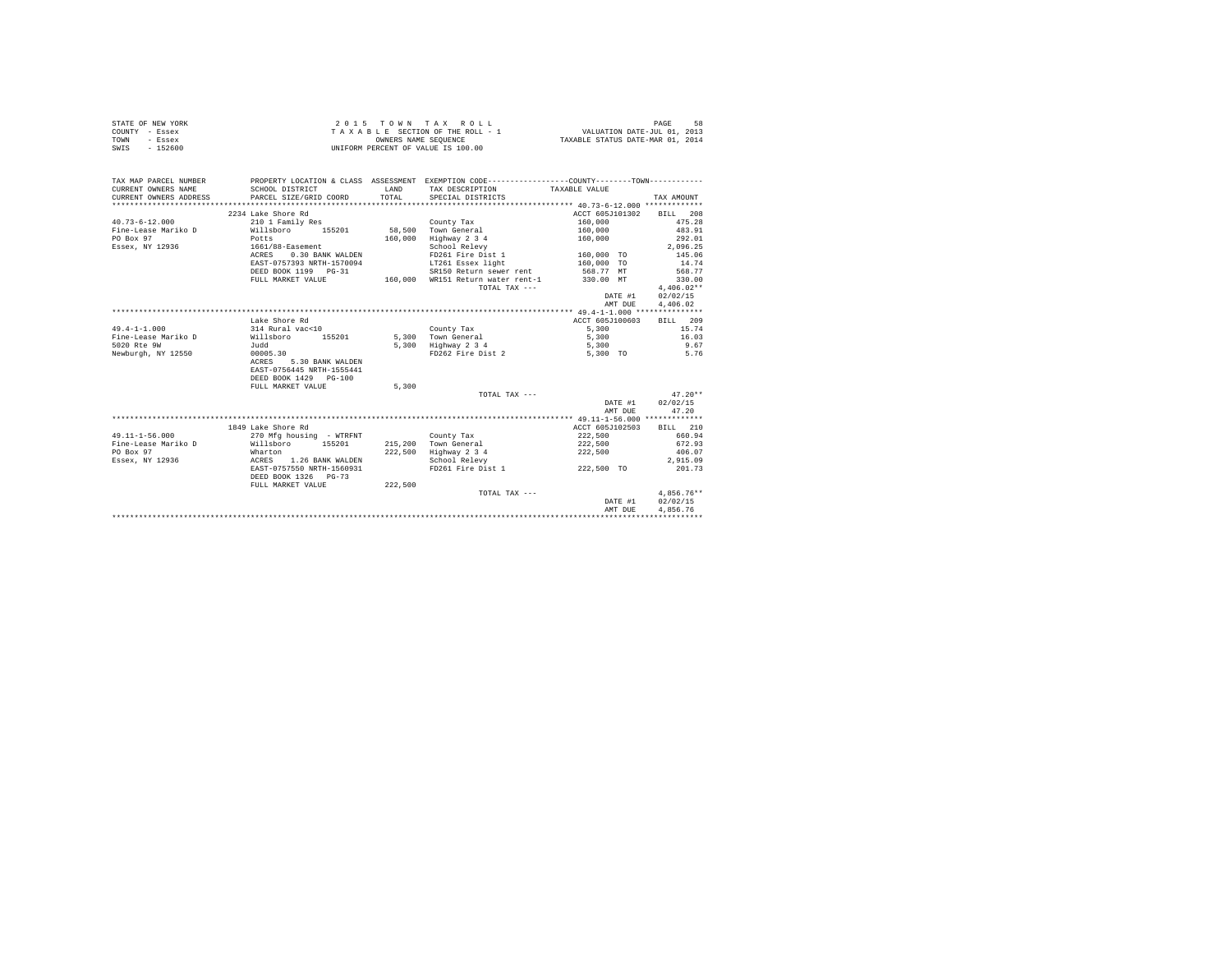| TAX MAP PARCEL NUMBER<br>PROPERTY LOCATION & CLASS ASSESSMENT EXEMPTION CODE----------------COUNTY--------TOWN----------<br>CURRENT OWNERS NAME<br>SCHOOL DISTRICT<br>LAND<br>TAX DESCRIPTION<br>TAXABLE VALUE<br>TOTAL.<br>CURRENT OWNERS ADDRESS<br>PARCEL SIZE/GRID COORD<br>SPECIAL DISTRICTS<br>TAX AMOUNT<br>2234 Lake Shore Rd<br>ACCT 605J101302<br>BILL 208<br>$40.73 - 6 - 12.000$<br>210 1 Family Res<br>County Tax<br>160,000<br>475.28<br>Willsboro 155201<br>58.500 Town General<br>160,000<br>483.91<br>Fine-Lease Mariko D<br>PO Box 97<br>160,000 Highway 2 3 4<br>292.01<br>Potts<br>160,000<br>Essex, NY 12936<br>1661/88-Easement<br>School Relevy<br>2.096.25<br>FD261 Fire Dist 1<br>ACRES 0.30 BANK WALDEN<br>160,000 TO<br>145.06<br>LT261 Essex light<br>EAST-0757393 NRTH-1570094<br>160,000 TO<br>14.74<br>DEED BOOK 1199 PG-31<br>SR150 Return sewer rent<br>568.77 MT<br>568.77<br>FULL MARKET VALUE<br>160,000 WR151 Return water rent-1<br>330.00 MT<br>330.00<br>TOTAL TAX ---<br>$4.406.02**$<br>02/02/15<br>DATE #1<br>AMT DUE<br>4.406.02<br>ACCT 605J100603<br>BILL 209<br>Lake Shore Rd<br>$49.4 - 1 - 1.000$<br>314 Rural vac<10<br>5,300<br>15.74<br>County Tax<br>Willsboro 155201<br>Fine-Lease Mariko D<br>5,300 Town General<br>5,300<br>16.03<br>5,300 Highway 2 3 4<br>5020 Rte 9W<br>9.67<br>Judd<br>5.300<br>Newburgh, NY 12550<br>00005.30<br>FD262 Fire Dist 2<br>5,300 TO<br>5.76<br>5.30 BANK WALDEN<br>ACRES<br>EAST-0756445 NRTH-1555441<br>DEED BOOK 1429 PG-100<br>FULL MARKET VALUE<br>5,300<br>TOTAL TAX ---<br>$47.20**$<br>DATE #1<br>02/02/15<br>AMT DUE<br>47.20<br>ACCT 605J102503<br>1849 Lake Shore Rd<br>BTLL 210<br>$49.11 - 1 - 56.000$<br>270 Mfg housing - WTRFNT<br>222,500<br>660.94<br>County Tax<br>Fine-Lease Mariko D<br>Willsboro<br>215,200 Town General<br>155201<br>222,500<br>672.93<br>PO Box 97<br>222,500 Highway 2 3 4<br>Wharton<br>222,500<br>406.07<br>ACRES 1.26 BANK WALDEN<br>Essex, NY 12936<br>School Relevy<br>2.915.09<br>EAST-0757550 NRTH-1560931<br>FD261 Fire Dist 1<br>222,500 TO<br>201.73<br>DEED BOOK 1326 PG-73<br>FULL MARKET VALUE<br>222,500<br>$4.856.76**$<br>TOTAL TAX ---<br>02/02/15<br>DATE #1 | STATE OF NEW YORK<br>COUNTY - Essex<br>- Essex<br>TOWN<br>$-152600$<br>SWIS |  | 2015 TOWN TAX ROLL<br>$\begin{array}{ccccccccc} \texttt{Z} & \texttt{U} & \texttt{I} & \texttt{I} & \texttt{I} & \texttt{I} & \texttt{I} & \texttt{I} & \texttt{I} & \texttt{I} \\ \texttt{T} & \texttt{A} & \texttt{X} & \texttt{B} & \texttt{B} & \texttt{B} & \texttt{E} & \texttt{SECITON} & \texttt{QHE} & \texttt{THE} & \texttt{BHE} & \texttt{I} & \texttt{I} & \texttt{I} & \texttt{I} & \texttt{I} & \texttt{I} & \texttt{I} & \texttt{I} & \texttt{$<br>UNIFORM PERCENT OF VALUE IS 100.00 |         | 58<br>PAGE |
|----------------------------------------------------------------------------------------------------------------------------------------------------------------------------------------------------------------------------------------------------------------------------------------------------------------------------------------------------------------------------------------------------------------------------------------------------------------------------------------------------------------------------------------------------------------------------------------------------------------------------------------------------------------------------------------------------------------------------------------------------------------------------------------------------------------------------------------------------------------------------------------------------------------------------------------------------------------------------------------------------------------------------------------------------------------------------------------------------------------------------------------------------------------------------------------------------------------------------------------------------------------------------------------------------------------------------------------------------------------------------------------------------------------------------------------------------------------------------------------------------------------------------------------------------------------------------------------------------------------------------------------------------------------------------------------------------------------------------------------------------------------------------------------------------------------------------------------------------------------------------------------------------------------------------------------------------------------------------------------------------------------------------------------------------------------------------------------------------------------------------------------------------------------------------------------------------------------|-----------------------------------------------------------------------------|--|-------------------------------------------------------------------------------------------------------------------------------------------------------------------------------------------------------------------------------------------------------------------------------------------------------------------------------------------------------------------------------------------------------------------------------------------------------------------------------------------------------|---------|------------|
|                                                                                                                                                                                                                                                                                                                                                                                                                                                                                                                                                                                                                                                                                                                                                                                                                                                                                                                                                                                                                                                                                                                                                                                                                                                                                                                                                                                                                                                                                                                                                                                                                                                                                                                                                                                                                                                                                                                                                                                                                                                                                                                                                                                                                |                                                                             |  |                                                                                                                                                                                                                                                                                                                                                                                                                                                                                                       |         |            |
|                                                                                                                                                                                                                                                                                                                                                                                                                                                                                                                                                                                                                                                                                                                                                                                                                                                                                                                                                                                                                                                                                                                                                                                                                                                                                                                                                                                                                                                                                                                                                                                                                                                                                                                                                                                                                                                                                                                                                                                                                                                                                                                                                                                                                |                                                                             |  |                                                                                                                                                                                                                                                                                                                                                                                                                                                                                                       |         |            |
|                                                                                                                                                                                                                                                                                                                                                                                                                                                                                                                                                                                                                                                                                                                                                                                                                                                                                                                                                                                                                                                                                                                                                                                                                                                                                                                                                                                                                                                                                                                                                                                                                                                                                                                                                                                                                                                                                                                                                                                                                                                                                                                                                                                                                |                                                                             |  |                                                                                                                                                                                                                                                                                                                                                                                                                                                                                                       |         |            |
|                                                                                                                                                                                                                                                                                                                                                                                                                                                                                                                                                                                                                                                                                                                                                                                                                                                                                                                                                                                                                                                                                                                                                                                                                                                                                                                                                                                                                                                                                                                                                                                                                                                                                                                                                                                                                                                                                                                                                                                                                                                                                                                                                                                                                |                                                                             |  |                                                                                                                                                                                                                                                                                                                                                                                                                                                                                                       |         |            |
|                                                                                                                                                                                                                                                                                                                                                                                                                                                                                                                                                                                                                                                                                                                                                                                                                                                                                                                                                                                                                                                                                                                                                                                                                                                                                                                                                                                                                                                                                                                                                                                                                                                                                                                                                                                                                                                                                                                                                                                                                                                                                                                                                                                                                |                                                                             |  |                                                                                                                                                                                                                                                                                                                                                                                                                                                                                                       |         |            |
|                                                                                                                                                                                                                                                                                                                                                                                                                                                                                                                                                                                                                                                                                                                                                                                                                                                                                                                                                                                                                                                                                                                                                                                                                                                                                                                                                                                                                                                                                                                                                                                                                                                                                                                                                                                                                                                                                                                                                                                                                                                                                                                                                                                                                |                                                                             |  |                                                                                                                                                                                                                                                                                                                                                                                                                                                                                                       |         |            |
|                                                                                                                                                                                                                                                                                                                                                                                                                                                                                                                                                                                                                                                                                                                                                                                                                                                                                                                                                                                                                                                                                                                                                                                                                                                                                                                                                                                                                                                                                                                                                                                                                                                                                                                                                                                                                                                                                                                                                                                                                                                                                                                                                                                                                |                                                                             |  |                                                                                                                                                                                                                                                                                                                                                                                                                                                                                                       |         |            |
|                                                                                                                                                                                                                                                                                                                                                                                                                                                                                                                                                                                                                                                                                                                                                                                                                                                                                                                                                                                                                                                                                                                                                                                                                                                                                                                                                                                                                                                                                                                                                                                                                                                                                                                                                                                                                                                                                                                                                                                                                                                                                                                                                                                                                |                                                                             |  |                                                                                                                                                                                                                                                                                                                                                                                                                                                                                                       |         |            |
|                                                                                                                                                                                                                                                                                                                                                                                                                                                                                                                                                                                                                                                                                                                                                                                                                                                                                                                                                                                                                                                                                                                                                                                                                                                                                                                                                                                                                                                                                                                                                                                                                                                                                                                                                                                                                                                                                                                                                                                                                                                                                                                                                                                                                |                                                                             |  |                                                                                                                                                                                                                                                                                                                                                                                                                                                                                                       |         |            |
|                                                                                                                                                                                                                                                                                                                                                                                                                                                                                                                                                                                                                                                                                                                                                                                                                                                                                                                                                                                                                                                                                                                                                                                                                                                                                                                                                                                                                                                                                                                                                                                                                                                                                                                                                                                                                                                                                                                                                                                                                                                                                                                                                                                                                |                                                                             |  |                                                                                                                                                                                                                                                                                                                                                                                                                                                                                                       |         |            |
|                                                                                                                                                                                                                                                                                                                                                                                                                                                                                                                                                                                                                                                                                                                                                                                                                                                                                                                                                                                                                                                                                                                                                                                                                                                                                                                                                                                                                                                                                                                                                                                                                                                                                                                                                                                                                                                                                                                                                                                                                                                                                                                                                                                                                |                                                                             |  |                                                                                                                                                                                                                                                                                                                                                                                                                                                                                                       |         |            |
|                                                                                                                                                                                                                                                                                                                                                                                                                                                                                                                                                                                                                                                                                                                                                                                                                                                                                                                                                                                                                                                                                                                                                                                                                                                                                                                                                                                                                                                                                                                                                                                                                                                                                                                                                                                                                                                                                                                                                                                                                                                                                                                                                                                                                |                                                                             |  |                                                                                                                                                                                                                                                                                                                                                                                                                                                                                                       |         |            |
|                                                                                                                                                                                                                                                                                                                                                                                                                                                                                                                                                                                                                                                                                                                                                                                                                                                                                                                                                                                                                                                                                                                                                                                                                                                                                                                                                                                                                                                                                                                                                                                                                                                                                                                                                                                                                                                                                                                                                                                                                                                                                                                                                                                                                |                                                                             |  |                                                                                                                                                                                                                                                                                                                                                                                                                                                                                                       |         |            |
|                                                                                                                                                                                                                                                                                                                                                                                                                                                                                                                                                                                                                                                                                                                                                                                                                                                                                                                                                                                                                                                                                                                                                                                                                                                                                                                                                                                                                                                                                                                                                                                                                                                                                                                                                                                                                                                                                                                                                                                                                                                                                                                                                                                                                |                                                                             |  |                                                                                                                                                                                                                                                                                                                                                                                                                                                                                                       |         |            |
|                                                                                                                                                                                                                                                                                                                                                                                                                                                                                                                                                                                                                                                                                                                                                                                                                                                                                                                                                                                                                                                                                                                                                                                                                                                                                                                                                                                                                                                                                                                                                                                                                                                                                                                                                                                                                                                                                                                                                                                                                                                                                                                                                                                                                |                                                                             |  |                                                                                                                                                                                                                                                                                                                                                                                                                                                                                                       |         |            |
|                                                                                                                                                                                                                                                                                                                                                                                                                                                                                                                                                                                                                                                                                                                                                                                                                                                                                                                                                                                                                                                                                                                                                                                                                                                                                                                                                                                                                                                                                                                                                                                                                                                                                                                                                                                                                                                                                                                                                                                                                                                                                                                                                                                                                |                                                                             |  |                                                                                                                                                                                                                                                                                                                                                                                                                                                                                                       |         |            |
|                                                                                                                                                                                                                                                                                                                                                                                                                                                                                                                                                                                                                                                                                                                                                                                                                                                                                                                                                                                                                                                                                                                                                                                                                                                                                                                                                                                                                                                                                                                                                                                                                                                                                                                                                                                                                                                                                                                                                                                                                                                                                                                                                                                                                |                                                                             |  |                                                                                                                                                                                                                                                                                                                                                                                                                                                                                                       |         |            |
|                                                                                                                                                                                                                                                                                                                                                                                                                                                                                                                                                                                                                                                                                                                                                                                                                                                                                                                                                                                                                                                                                                                                                                                                                                                                                                                                                                                                                                                                                                                                                                                                                                                                                                                                                                                                                                                                                                                                                                                                                                                                                                                                                                                                                |                                                                             |  |                                                                                                                                                                                                                                                                                                                                                                                                                                                                                                       |         |            |
|                                                                                                                                                                                                                                                                                                                                                                                                                                                                                                                                                                                                                                                                                                                                                                                                                                                                                                                                                                                                                                                                                                                                                                                                                                                                                                                                                                                                                                                                                                                                                                                                                                                                                                                                                                                                                                                                                                                                                                                                                                                                                                                                                                                                                |                                                                             |  |                                                                                                                                                                                                                                                                                                                                                                                                                                                                                                       |         |            |
|                                                                                                                                                                                                                                                                                                                                                                                                                                                                                                                                                                                                                                                                                                                                                                                                                                                                                                                                                                                                                                                                                                                                                                                                                                                                                                                                                                                                                                                                                                                                                                                                                                                                                                                                                                                                                                                                                                                                                                                                                                                                                                                                                                                                                |                                                                             |  |                                                                                                                                                                                                                                                                                                                                                                                                                                                                                                       |         |            |
|                                                                                                                                                                                                                                                                                                                                                                                                                                                                                                                                                                                                                                                                                                                                                                                                                                                                                                                                                                                                                                                                                                                                                                                                                                                                                                                                                                                                                                                                                                                                                                                                                                                                                                                                                                                                                                                                                                                                                                                                                                                                                                                                                                                                                |                                                                             |  |                                                                                                                                                                                                                                                                                                                                                                                                                                                                                                       |         |            |
|                                                                                                                                                                                                                                                                                                                                                                                                                                                                                                                                                                                                                                                                                                                                                                                                                                                                                                                                                                                                                                                                                                                                                                                                                                                                                                                                                                                                                                                                                                                                                                                                                                                                                                                                                                                                                                                                                                                                                                                                                                                                                                                                                                                                                |                                                                             |  |                                                                                                                                                                                                                                                                                                                                                                                                                                                                                                       |         |            |
|                                                                                                                                                                                                                                                                                                                                                                                                                                                                                                                                                                                                                                                                                                                                                                                                                                                                                                                                                                                                                                                                                                                                                                                                                                                                                                                                                                                                                                                                                                                                                                                                                                                                                                                                                                                                                                                                                                                                                                                                                                                                                                                                                                                                                |                                                                             |  |                                                                                                                                                                                                                                                                                                                                                                                                                                                                                                       |         |            |
|                                                                                                                                                                                                                                                                                                                                                                                                                                                                                                                                                                                                                                                                                                                                                                                                                                                                                                                                                                                                                                                                                                                                                                                                                                                                                                                                                                                                                                                                                                                                                                                                                                                                                                                                                                                                                                                                                                                                                                                                                                                                                                                                                                                                                |                                                                             |  |                                                                                                                                                                                                                                                                                                                                                                                                                                                                                                       |         |            |
|                                                                                                                                                                                                                                                                                                                                                                                                                                                                                                                                                                                                                                                                                                                                                                                                                                                                                                                                                                                                                                                                                                                                                                                                                                                                                                                                                                                                                                                                                                                                                                                                                                                                                                                                                                                                                                                                                                                                                                                                                                                                                                                                                                                                                |                                                                             |  |                                                                                                                                                                                                                                                                                                                                                                                                                                                                                                       |         |            |
|                                                                                                                                                                                                                                                                                                                                                                                                                                                                                                                                                                                                                                                                                                                                                                                                                                                                                                                                                                                                                                                                                                                                                                                                                                                                                                                                                                                                                                                                                                                                                                                                                                                                                                                                                                                                                                                                                                                                                                                                                                                                                                                                                                                                                |                                                                             |  |                                                                                                                                                                                                                                                                                                                                                                                                                                                                                                       |         |            |
|                                                                                                                                                                                                                                                                                                                                                                                                                                                                                                                                                                                                                                                                                                                                                                                                                                                                                                                                                                                                                                                                                                                                                                                                                                                                                                                                                                                                                                                                                                                                                                                                                                                                                                                                                                                                                                                                                                                                                                                                                                                                                                                                                                                                                |                                                                             |  |                                                                                                                                                                                                                                                                                                                                                                                                                                                                                                       |         |            |
|                                                                                                                                                                                                                                                                                                                                                                                                                                                                                                                                                                                                                                                                                                                                                                                                                                                                                                                                                                                                                                                                                                                                                                                                                                                                                                                                                                                                                                                                                                                                                                                                                                                                                                                                                                                                                                                                                                                                                                                                                                                                                                                                                                                                                |                                                                             |  |                                                                                                                                                                                                                                                                                                                                                                                                                                                                                                       |         |            |
|                                                                                                                                                                                                                                                                                                                                                                                                                                                                                                                                                                                                                                                                                                                                                                                                                                                                                                                                                                                                                                                                                                                                                                                                                                                                                                                                                                                                                                                                                                                                                                                                                                                                                                                                                                                                                                                                                                                                                                                                                                                                                                                                                                                                                |                                                                             |  |                                                                                                                                                                                                                                                                                                                                                                                                                                                                                                       |         |            |
|                                                                                                                                                                                                                                                                                                                                                                                                                                                                                                                                                                                                                                                                                                                                                                                                                                                                                                                                                                                                                                                                                                                                                                                                                                                                                                                                                                                                                                                                                                                                                                                                                                                                                                                                                                                                                                                                                                                                                                                                                                                                                                                                                                                                                |                                                                             |  |                                                                                                                                                                                                                                                                                                                                                                                                                                                                                                       |         |            |
|                                                                                                                                                                                                                                                                                                                                                                                                                                                                                                                                                                                                                                                                                                                                                                                                                                                                                                                                                                                                                                                                                                                                                                                                                                                                                                                                                                                                                                                                                                                                                                                                                                                                                                                                                                                                                                                                                                                                                                                                                                                                                                                                                                                                                |                                                                             |  |                                                                                                                                                                                                                                                                                                                                                                                                                                                                                                       |         |            |
|                                                                                                                                                                                                                                                                                                                                                                                                                                                                                                                                                                                                                                                                                                                                                                                                                                                                                                                                                                                                                                                                                                                                                                                                                                                                                                                                                                                                                                                                                                                                                                                                                                                                                                                                                                                                                                                                                                                                                                                                                                                                                                                                                                                                                |                                                                             |  |                                                                                                                                                                                                                                                                                                                                                                                                                                                                                                       |         |            |
|                                                                                                                                                                                                                                                                                                                                                                                                                                                                                                                                                                                                                                                                                                                                                                                                                                                                                                                                                                                                                                                                                                                                                                                                                                                                                                                                                                                                                                                                                                                                                                                                                                                                                                                                                                                                                                                                                                                                                                                                                                                                                                                                                                                                                |                                                                             |  |                                                                                                                                                                                                                                                                                                                                                                                                                                                                                                       |         |            |
|                                                                                                                                                                                                                                                                                                                                                                                                                                                                                                                                                                                                                                                                                                                                                                                                                                                                                                                                                                                                                                                                                                                                                                                                                                                                                                                                                                                                                                                                                                                                                                                                                                                                                                                                                                                                                                                                                                                                                                                                                                                                                                                                                                                                                |                                                                             |  |                                                                                                                                                                                                                                                                                                                                                                                                                                                                                                       |         |            |
|                                                                                                                                                                                                                                                                                                                                                                                                                                                                                                                                                                                                                                                                                                                                                                                                                                                                                                                                                                                                                                                                                                                                                                                                                                                                                                                                                                                                                                                                                                                                                                                                                                                                                                                                                                                                                                                                                                                                                                                                                                                                                                                                                                                                                |                                                                             |  |                                                                                                                                                                                                                                                                                                                                                                                                                                                                                                       |         |            |
|                                                                                                                                                                                                                                                                                                                                                                                                                                                                                                                                                                                                                                                                                                                                                                                                                                                                                                                                                                                                                                                                                                                                                                                                                                                                                                                                                                                                                                                                                                                                                                                                                                                                                                                                                                                                                                                                                                                                                                                                                                                                                                                                                                                                                |                                                                             |  |                                                                                                                                                                                                                                                                                                                                                                                                                                                                                                       |         |            |
|                                                                                                                                                                                                                                                                                                                                                                                                                                                                                                                                                                                                                                                                                                                                                                                                                                                                                                                                                                                                                                                                                                                                                                                                                                                                                                                                                                                                                                                                                                                                                                                                                                                                                                                                                                                                                                                                                                                                                                                                                                                                                                                                                                                                                |                                                                             |  |                                                                                                                                                                                                                                                                                                                                                                                                                                                                                                       |         |            |
|                                                                                                                                                                                                                                                                                                                                                                                                                                                                                                                                                                                                                                                                                                                                                                                                                                                                                                                                                                                                                                                                                                                                                                                                                                                                                                                                                                                                                                                                                                                                                                                                                                                                                                                                                                                                                                                                                                                                                                                                                                                                                                                                                                                                                |                                                                             |  |                                                                                                                                                                                                                                                                                                                                                                                                                                                                                                       |         |            |
|                                                                                                                                                                                                                                                                                                                                                                                                                                                                                                                                                                                                                                                                                                                                                                                                                                                                                                                                                                                                                                                                                                                                                                                                                                                                                                                                                                                                                                                                                                                                                                                                                                                                                                                                                                                                                                                                                                                                                                                                                                                                                                                                                                                                                |                                                                             |  |                                                                                                                                                                                                                                                                                                                                                                                                                                                                                                       | AMT DUE | 4.856.76   |
|                                                                                                                                                                                                                                                                                                                                                                                                                                                                                                                                                                                                                                                                                                                                                                                                                                                                                                                                                                                                                                                                                                                                                                                                                                                                                                                                                                                                                                                                                                                                                                                                                                                                                                                                                                                                                                                                                                                                                                                                                                                                                                                                                                                                                |                                                                             |  |                                                                                                                                                                                                                                                                                                                                                                                                                                                                                                       |         |            |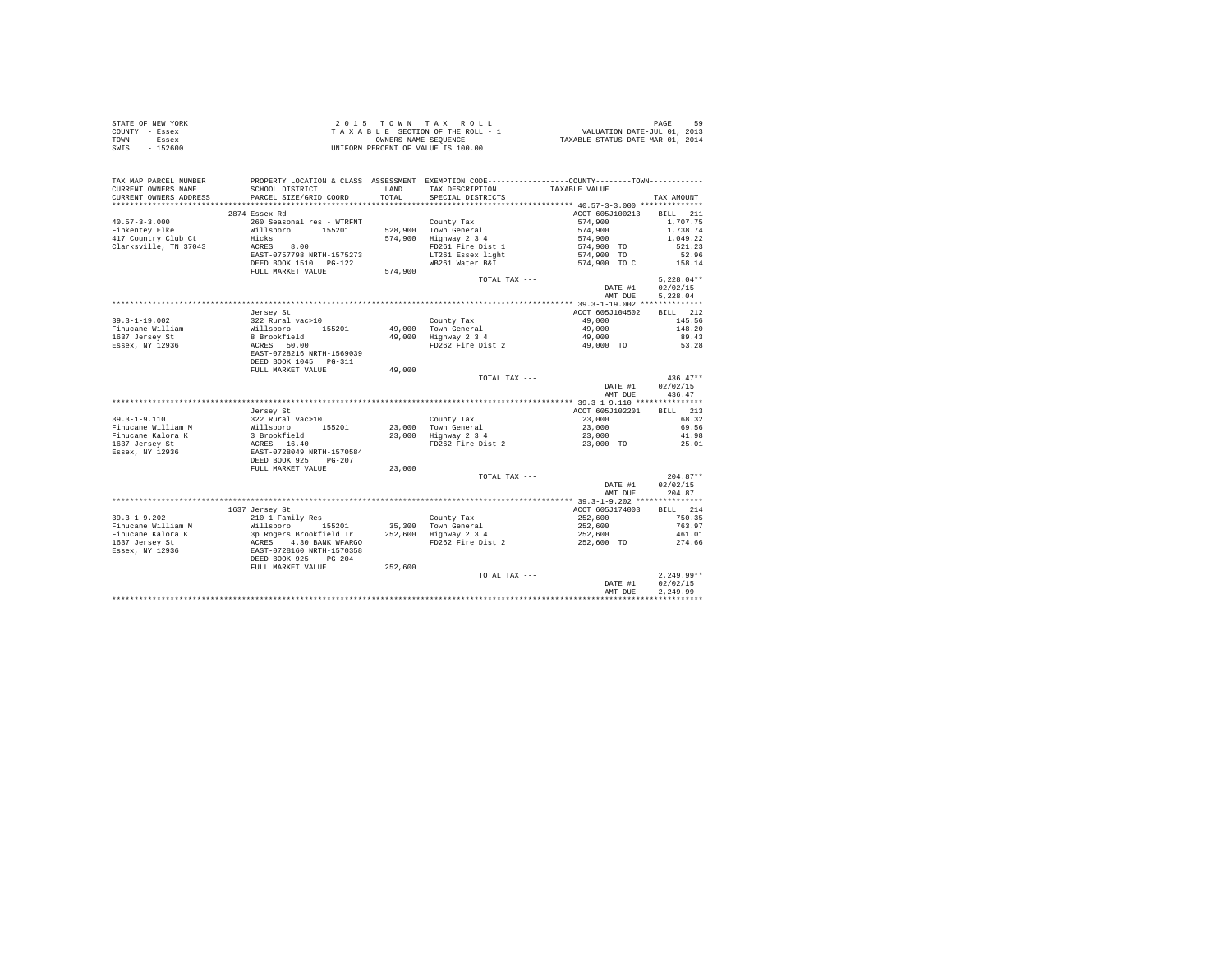|                | STATE OF NEW YORK |                                    |  |  |                      |  |  | 2015 TOWN TAX ROLL              |                                  | PAGE | 59 |
|----------------|-------------------|------------------------------------|--|--|----------------------|--|--|---------------------------------|----------------------------------|------|----|
| COUNTY - Essex |                   |                                    |  |  |                      |  |  | TAXABLE SECTION OF THE ROLL - 1 | VALUATION DATE-JUL 01, 2013      |      |    |
| TOWN           | - Essex           |                                    |  |  | OWNERS NAME SEOUENCE |  |  |                                 | TAXABLE STATUS DATE-MAR 01, 2014 |      |    |
| SWIS           | - 152600          | UNIFORM PERCENT OF VALUE IS 100.00 |  |  |                      |  |  |                                 |                                  |      |    |

| TAX MAP PARCEL NUMBER<br>CURRENT OWNERS NAME        | SCHOOL DISTRICT                                                                | LAND    | PROPERTY LOCATION & CLASS ASSESSMENT EXEMPTION CODE----------------COUNTY--------TOWN----------<br>TAX DESCRIPTION | TAXABLE VALUE              |                      |
|-----------------------------------------------------|--------------------------------------------------------------------------------|---------|--------------------------------------------------------------------------------------------------------------------|----------------------------|----------------------|
| CURRENT OWNERS ADDRESS<br>************************* | PARCEL SIZE/GRID COORD                                                         | TOTAL   | SPECIAL DISTRICTS                                                                                                  |                            | TAX AMOUNT           |
|                                                     |                                                                                |         |                                                                                                                    |                            |                      |
| $40.57 - 3 - 3.000$                                 | 2874 Essex Rd<br>260 Seasonal res - WTRFNT                                     |         |                                                                                                                    | ACCT 605J100213<br>574,900 | BILL 211<br>1,707.75 |
| Finkentev Elke                                      | Willsboro 155201                                                               |         | County Tax<br>528,900 Town General                                                                                 | 574,900                    | 1,738.74             |
| 417 Country Club Ct                                 | Hicks                                                                          |         | 574,900 Highway 2 3 4                                                                                              | 574,900                    | 1,049.22             |
| Clarksville, TN 37043                               | 8.00<br>ACRES                                                                  |         | FD261 Fire Dist 1                                                                                                  | 574,900 TO                 | 521.23               |
|                                                     | EAST-0757798 NRTH-1575273                                                      |         | LT261 Essex light                                                                                                  | 574,900 TO                 | 52.96                |
|                                                     | DEED BOOK 1510    PG-122                                                       |         | WB261 Water B&I                                                                                                    | 574,900 TO C               | 158.14               |
|                                                     | FULL MARKET VALUE                                                              | 574,900 |                                                                                                                    |                            |                      |
|                                                     |                                                                                |         | TOTAL TAX ---                                                                                                      |                            | $5.228.04**$         |
|                                                     |                                                                                |         |                                                                                                                    | DATE #1                    | 02/02/15             |
|                                                     |                                                                                |         |                                                                                                                    | AMT DUE                    | 5,228.04             |
|                                                     |                                                                                |         |                                                                                                                    |                            |                      |
|                                                     | Jersey St                                                                      |         |                                                                                                                    | ACCT 605J104502            | RTLL 212             |
| $39.3 - 1 - 19.002$                                 | 322 Rural vac>10                                                               |         | County Tax                                                                                                         | 49,000                     | 145.56               |
| Finucane William                                    | Willsboro 155201                                                               |         | 49.000 Town General                                                                                                | 49,000                     | 148.20               |
| 1637 Jersey St                                      | 8 Brookfield                                                                   | 49,000  | Highway 2 3 4                                                                                                      | 49,000                     | 89.43                |
| Essex, NY 12936                                     | ACRES 50.00                                                                    |         | FD262 Fire Dist 2                                                                                                  | 49,000 TO                  | 53.28                |
|                                                     | EAST-0728216 NRTH-1569039                                                      |         |                                                                                                                    |                            |                      |
|                                                     | DEED BOOK 1045 PG-311                                                          |         |                                                                                                                    |                            |                      |
|                                                     | FULL MARKET VALUE                                                              | 49,000  |                                                                                                                    |                            |                      |
|                                                     |                                                                                |         | TOTAL TAX ---                                                                                                      |                            | $436.47**$           |
|                                                     |                                                                                |         |                                                                                                                    | DATE #1                    | 02/02/15             |
|                                                     |                                                                                |         |                                                                                                                    | AMT DUE                    | 436.47               |
|                                                     | Jersey St                                                                      |         |                                                                                                                    | ACCT 605J102201            | BILL 213             |
| $39.3 - 1 - 9.110$                                  | 322 Rural vac>10                                                               |         |                                                                                                                    | 23,000                     | 68.32                |
| Finucane William M                                  | 155201                                                                         | 23,000  | County Tax<br>Town General                                                                                         | 23,000                     | 69.56                |
| Finucane Kalora K                                   | Willsboro<br>3 Brookfield                                                      | 23,000  | Highway 2 3 4                                                                                                      | 23,000                     | 41.98                |
| 1637 Jersey St                                      | ACRES 16.40                                                                    |         | FD262 Fire Dist 2                                                                                                  | 23,000 TO                  | 25.01                |
| Essex, NY 12936                                     | EAST-0728049 NRTH-1570584                                                      |         |                                                                                                                    |                            |                      |
|                                                     | DEED BOOK 925<br>PG-207                                                        |         |                                                                                                                    |                            |                      |
|                                                     | FULL MARKET VALUE                                                              | 23,000  |                                                                                                                    |                            |                      |
|                                                     |                                                                                |         | TOTAL TAX ---                                                                                                      |                            | $204.87**$           |
|                                                     |                                                                                |         |                                                                                                                    | DATE #1                    | 02/02/15             |
|                                                     |                                                                                |         |                                                                                                                    | AMT DUE                    | 204.87               |
|                                                     |                                                                                |         |                                                                                                                    |                            |                      |
|                                                     | 1637 Jersey St                                                                 |         |                                                                                                                    | ACCT 605J174003            | BILL 214             |
| $39.3 - 1 - 9.202$                                  | 210 1 Family Res                                                               |         | County Tax                                                                                                         | 252,600                    | 750.35               |
| Finucane William M                                  | Willsboro<br>155201                                                            |         | 35,300 Town General                                                                                                | 252,600                    | 763.97               |
| Finucane Kalora K                                   |                                                                                |         | 252,600 Highway 2 3 4                                                                                              | 252,600                    | 461.01               |
| 1637 Jersey St                                      | 3p Rogers Brookfield Tr<br>ACRES 4.30 BANK WFARGO<br>EAST-0728160 NRTH-1570358 |         | FD262 Fire Dist 2                                                                                                  | 252,600 TO                 | 274.66               |
| Essex, NY 12936                                     |                                                                                |         |                                                                                                                    |                            |                      |
|                                                     | DEED BOOK 925<br>$PG - 204$                                                    |         |                                                                                                                    |                            |                      |
|                                                     | FULL MARKET VALUE                                                              | 252,600 |                                                                                                                    |                            |                      |
|                                                     |                                                                                |         | TOTAL TAX ---                                                                                                      |                            | $2.249.99**$         |
|                                                     |                                                                                |         |                                                                                                                    | DATE #1<br>AMT DUE         | 02/02/15<br>2,249.99 |
|                                                     |                                                                                |         |                                                                                                                    |                            |                      |
|                                                     |                                                                                |         |                                                                                                                    |                            |                      |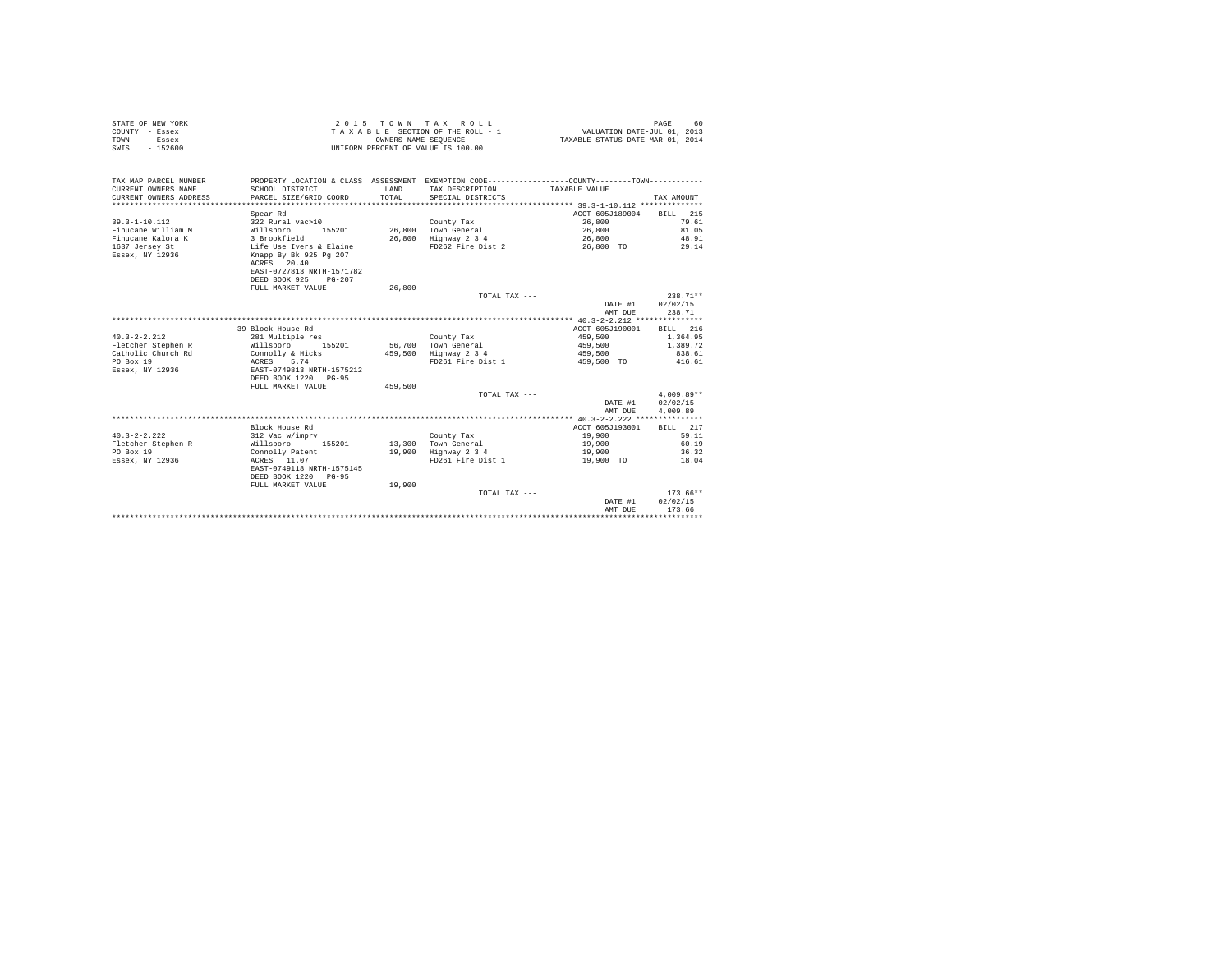| STATE OF NEW YORK | 2015 TOWN TAX ROLL                 | 60<br>PAGE                       |
|-------------------|------------------------------------|----------------------------------|
| COUNTY - Essex    | TAXABLE SECTION OF THE ROLL - 1    | VALUATION DATE-JUL 01, 2013      |
| TOWN<br>- Essex   | OWNERS NAME SEOUENCE               | TAXABLE STATUS DATE-MAR 01, 2014 |
| SWIS<br>$-152600$ | UNIFORM PERCENT OF VALUE IS 100.00 |                                  |

| TAX MAP PARCEL NUMBER<br>CURRENT OWNERS NAME<br>CURRENT OWNERS ADDRESS | SCHOOL DISTRICT<br>PARCEL SIZE/GRID COORD | T.AND<br>TOTAL | PROPERTY LOCATION & CLASS ASSESSMENT EXEMPTION CODE---------------COUNTY-------TOWN----------<br>TAX DESCRIPTION<br>SPECIAL DISTRICTS | TAXABLE VALUE   | TAX AMOUNT             |
|------------------------------------------------------------------------|-------------------------------------------|----------------|---------------------------------------------------------------------------------------------------------------------------------------|-----------------|------------------------|
|                                                                        | Spear Rd                                  |                |                                                                                                                                       | ACCT 605J189004 | BILL 215               |
| $39.3 - 1 - 10.112$                                                    | 322 Rural vac>10                          |                | County Tax                                                                                                                            | 26,800          | 79.61                  |
| Finucane William M                                                     | Willsboro<br>155201                       |                | 26,800 Town General                                                                                                                   | 26,800          | 81.05                  |
| Finucane Kalora K                                                      | 3 Brookfield                              |                | 26,800 Highway 2 3 4                                                                                                                  | 26,800          | 48.91                  |
| 1637 Jersey St                                                         | Life Use Ivers & Elaine                   |                | FD262 Fire Dist 2                                                                                                                     | 26,800 TO       | 29.14                  |
| Essex, NY 12936                                                        | Knapp By Bk 925 Pg 207                    |                |                                                                                                                                       |                 |                        |
|                                                                        | ACRES 20.40                               |                |                                                                                                                                       |                 |                        |
|                                                                        | EAST-0727813 NRTH-1571782                 |                |                                                                                                                                       |                 |                        |
|                                                                        | DEED BOOK 925<br>$PG - 207$               |                |                                                                                                                                       |                 |                        |
|                                                                        | FULL MARKET VALUE                         | 26,800         |                                                                                                                                       |                 |                        |
|                                                                        |                                           |                | TOTAL TAX ---                                                                                                                         |                 | $238.71**$             |
|                                                                        |                                           |                |                                                                                                                                       | DATE #1         | 02/02/15               |
|                                                                        |                                           |                |                                                                                                                                       | AMT DUE         | 238.71                 |
|                                                                        |                                           |                |                                                                                                                                       |                 |                        |
|                                                                        | 39 Block House Rd                         |                |                                                                                                                                       | ACCT 605J190001 | BILL 216               |
| $40.3 - 2 - 2.212$                                                     | 281 Multiple res                          |                | County Tax                                                                                                                            | 459,500         | 1,364.95               |
| Fletcher Stephen R                                                     | Willsboro<br>155201                       |                | 56,700 Town General                                                                                                                   | 459,500         | 1,389.72               |
| Catholic Church Rd                                                     | Connolly & Hicks                          | 459,500        | Highway 2 3 4                                                                                                                         | 459,500         | 838.61                 |
| PO Box 19                                                              | ACRES 5.74                                |                | FD261 Fire Dist 1                                                                                                                     | 459,500 TO      | 416.61                 |
| Essex, NY 12936                                                        | EAST-0749813 NRTH-1575212                 |                |                                                                                                                                       |                 |                        |
|                                                                        | DEED BOOK 1220 PG-95                      |                |                                                                                                                                       |                 |                        |
|                                                                        | FULL MARKET VALUE                         | 459,500        |                                                                                                                                       |                 |                        |
|                                                                        |                                           |                | TOTAL TAX ---                                                                                                                         |                 | $4.009.89**$           |
|                                                                        |                                           |                |                                                                                                                                       | DATE #1         | 02/02/15               |
|                                                                        |                                           |                |                                                                                                                                       | AMT DUE         | 4,009.89               |
|                                                                        |                                           |                |                                                                                                                                       |                 |                        |
|                                                                        | Block House Rd                            |                |                                                                                                                                       | ACCT 605J193001 | BILL 217               |
| $40.3 - 2 - 2.222$                                                     | 312 Vac w/imprv                           |                | County Tax                                                                                                                            | 19,900          | 59.11                  |
| Fletcher Stephen R                                                     | 155201<br>Willsboro                       |                | 13,300 Town General                                                                                                                   | 19,900          | 60.19                  |
| PO Box 19                                                              | Connolly Patent                           |                | 19,900 Highway 2 3 4                                                                                                                  | 19,900          | 36.32                  |
| Essex, NY 12936                                                        | ACRES 11.07                               |                | FD261 Fire Dist 1                                                                                                                     | 19,900 TO       | 18.04                  |
|                                                                        | EAST-0749118 NRTH-1575145                 |                |                                                                                                                                       |                 |                        |
|                                                                        | DEED BOOK 1220 PG-95                      |                |                                                                                                                                       |                 |                        |
|                                                                        | FULL MARKET VALUE                         | 19,900         |                                                                                                                                       |                 |                        |
|                                                                        |                                           |                | TOTAL TAX ---                                                                                                                         |                 | $173.66**$<br>02/02/15 |
|                                                                        |                                           |                |                                                                                                                                       | DATE #1         | 173.66                 |
|                                                                        |                                           |                |                                                                                                                                       | AMT DUE         |                        |
|                                                                        |                                           |                |                                                                                                                                       |                 |                        |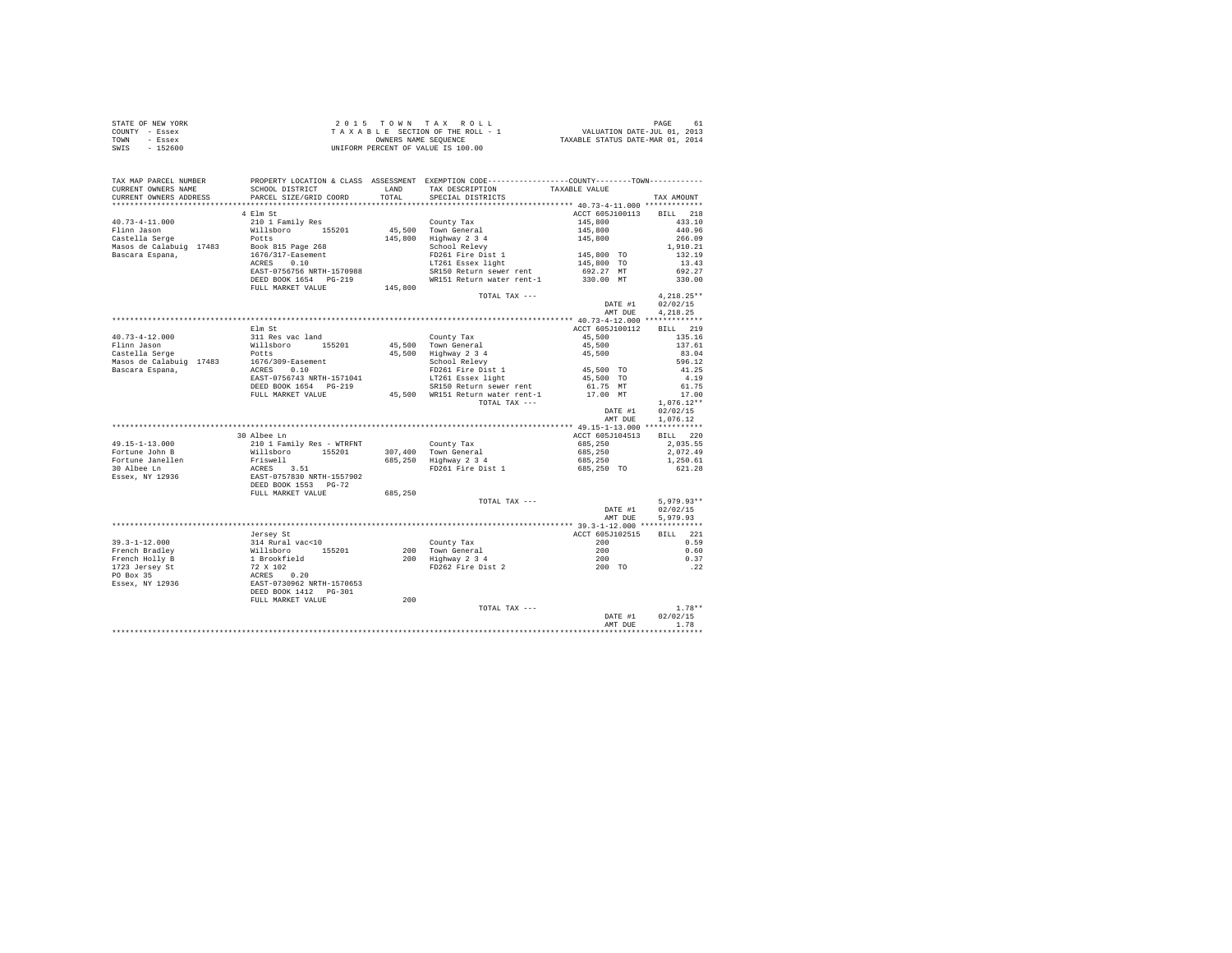|                | STATE OF NEW YORK | 2015 TOWN TAX ROLL                 | PAGE<br>61                       |
|----------------|-------------------|------------------------------------|----------------------------------|
| COUNTY - Essex |                   | TAXABLE SECTION OF THE ROLL - 1    | VALUATION DATE-JUL 01, 2013      |
| TOWN           | - Essex           | OWNERS NAME SEOUENCE               | TAXABLE STATUS DATE-MAR 01, 2014 |
| SWIS           | $-152600$         | UNIFORM PERCENT OF VALUE IS 100.00 |                                  |

| TAX MAP PARCEL NUMBER  |                                                                                  |         | PROPERTY LOCATION & CLASS ASSESSMENT EXEMPTION CODE---------------COUNTY-------TOWN---------        |                                     |                 |                                |
|------------------------|----------------------------------------------------------------------------------|---------|-----------------------------------------------------------------------------------------------------|-------------------------------------|-----------------|--------------------------------|
| CURRENT OWNERS NAME    | SCHOOL DISTRICT                                                                  |         | LAND TAX DESCRIPTION                                                                                | TAXABLE VALUE                       |                 |                                |
| CURRENT OWNERS ADDRESS | PARCEL SIZE/GRID COORD                                                           |         | TOTAL SPECIAL DISTRICTS                                                                             |                                     |                 | TAX AMOUNT                     |
|                        |                                                                                  |         |                                                                                                     |                                     |                 |                                |
|                        | 4 Elm St                                                                         |         |                                                                                                     |                                     | ACCT 605J100113 | BILL 218                       |
| $40.73 - 4 - 11.000$   | 210 1 Family Res                                                                 |         | County Tax                                                                                          | $145,800$<br>$145,800$<br>$145,800$ |                 | 433.10                         |
| Flinn Jason            | Willsboro 155201                                                                 |         | 45,500 Town General<br>145,800 Highway 2 3 4<br>School Relevy                                       |                                     |                 | 440.96                         |
|                        |                                                                                  |         |                                                                                                     |                                     |                 | 266.09                         |
|                        | Castella Serge Potts<br>Masos de Calabuig 17483 Book 815 Page 268                |         |                                                                                                     |                                     |                 | 1,910.21                       |
| Bascara Espana,        | 1676/317-Easement<br>ACRES 0.10                                                  |         | FD261 Fire Dist 1                                                                                   | 145,800 TO                          |                 | 132.19                         |
|                        |                                                                                  |         | LT261 Essex light                                                                                   |                                     | 145,800 TO      | 13.43                          |
|                        | EAST-0756756 NRTH-1570988                                                        |         | SR150 Return sewer rent                                                                             |                                     | 692.27 MT       | 692.27                         |
|                        | DEED BOOK 1654 PG-219                                                            |         | WR151 Return water rent-1                                                                           |                                     | 330.00 MT       | 330.00                         |
|                        | FULL MARKET VALUE                                                                | 145,800 |                                                                                                     |                                     |                 |                                |
|                        |                                                                                  |         | TOTAL TAX ---                                                                                       |                                     |                 | $4.218.25**$                   |
|                        |                                                                                  |         |                                                                                                     |                                     | DATE #1         | 02/02/15                       |
|                        |                                                                                  |         |                                                                                                     |                                     |                 |                                |
|                        |                                                                                  |         |                                                                                                     |                                     | AMT DUE         | 4.218.25                       |
|                        |                                                                                  |         |                                                                                                     |                                     |                 |                                |
|                        |                                                                                  |         |                                                                                                     |                                     |                 | ACCT 605J100112 BILL 219       |
| 40.73-4-12.000         |                                                                                  |         |                                                                                                     | 45,500                              |                 | 135.16                         |
| Flinn Jason            |                                                                                  |         |                                                                                                     | 45,500                              |                 | 137.61                         |
| Castella Serge         |                                                                                  |         | $45,500$ Highway 2 3 4<br>School Relevy                                                             | 45,500                              |                 | 83.04                          |
|                        |                                                                                  |         |                                                                                                     |                                     |                 | 596.12                         |
|                        | Nasos de Calabuig 17483 (1676/309-Easement<br>Bascara Espana, (1676/309-Easement |         | FD261 Fire Dist 1 45,500 TO                                                                         |                                     |                 | 41.25                          |
|                        | EAST-0756743 NRTH-1571041                                                        |         | LT261 Essex light                                                                                   |                                     | 45,500 TO       | 4.19                           |
|                        | DEED BOOK 1654 PG-219                                                            |         | DEED BOOK 1654 PG-219 5R150 Return sewer rent<br>FULL MARKET VALUE 45,500 WR151 Return water rent-1 |                                     | 61.75 MT        | 61.75                          |
|                        |                                                                                  |         |                                                                                                     |                                     | 17.00 MT        | 17.00                          |
|                        |                                                                                  |         | TOTAL TAX ---                                                                                       |                                     |                 | $1.076.12**$                   |
|                        |                                                                                  |         |                                                                                                     |                                     | DATE #1         | 02/02/15                       |
|                        |                                                                                  |         |                                                                                                     |                                     | AMT DUE         | 1.076.12                       |
|                        |                                                                                  |         |                                                                                                     |                                     |                 |                                |
|                        | 30 Albee Ln                                                                      |         |                                                                                                     |                                     | ACCT 605J104513 | BILL 220                       |
| 49.15-1-13.000         |                                                                                  |         | County Tax                                                                                          | 685,250                             |                 | 2,035.55                       |
|                        | 210 1 Family Res - WTRFNT<br>Willsboro 155201                                    |         |                                                                                                     |                                     |                 |                                |
| Fortune John B         |                                                                                  |         | 307,400 Town General<br>685,250 Highway 2 3 4                                                       | 685,250                             |                 | 2.072.49                       |
|                        |                                                                                  |         |                                                                                                     | 685,250                             |                 | 1,250.61                       |
|                        |                                                                                  |         | FD261 Fire Dist 1                                                                                   | 685,250 TO                          |                 | 621.28                         |
|                        |                                                                                  |         |                                                                                                     |                                     |                 |                                |
|                        |                                                                                  |         |                                                                                                     |                                     |                 |                                |
|                        |                                                                                  | 685,250 |                                                                                                     |                                     |                 |                                |
|                        |                                                                                  |         | TOTAL TAX ---                                                                                       |                                     |                 | $5.979.93**$                   |
|                        |                                                                                  |         |                                                                                                     |                                     | DATE #1         | 02/02/15                       |
|                        |                                                                                  |         |                                                                                                     |                                     | AMT DUE         | 5.979.93                       |
|                        |                                                                                  |         |                                                                                                     |                                     |                 |                                |
|                        | Jersey St                                                                        |         |                                                                                                     |                                     | ACCT 605J102515 | BILL 221                       |
|                        |                                                                                  |         | County Tax                                                                                          | 200                                 |                 | 0.59                           |
|                        |                                                                                  |         |                                                                                                     |                                     |                 | 0.60                           |
|                        |                                                                                  |         | 200 Town General 1999<br>200 Highway 234<br>200 Highway 234<br>200 TD262 Fire Dist 2                |                                     |                 | 0.37                           |
|                        |                                                                                  |         |                                                                                                     |                                     |                 | .22                            |
|                        |                                                                                  |         |                                                                                                     |                                     |                 |                                |
|                        |                                                                                  |         |                                                                                                     |                                     |                 |                                |
|                        |                                                                                  |         |                                                                                                     |                                     |                 |                                |
|                        |                                                                                  |         |                                                                                                     |                                     |                 |                                |
|                        | FULL MARKET VALUE                                                                | 200     |                                                                                                     |                                     |                 |                                |
|                        |                                                                                  |         | TOTAL TAX ---                                                                                       |                                     |                 | $1.78**$<br>DATE #1 $02/02/15$ |
|                        |                                                                                  |         |                                                                                                     |                                     |                 |                                |
|                        |                                                                                  |         |                                                                                                     |                                     | AMT DUE         | 1.78                           |
|                        |                                                                                  |         |                                                                                                     |                                     |                 | ***********                    |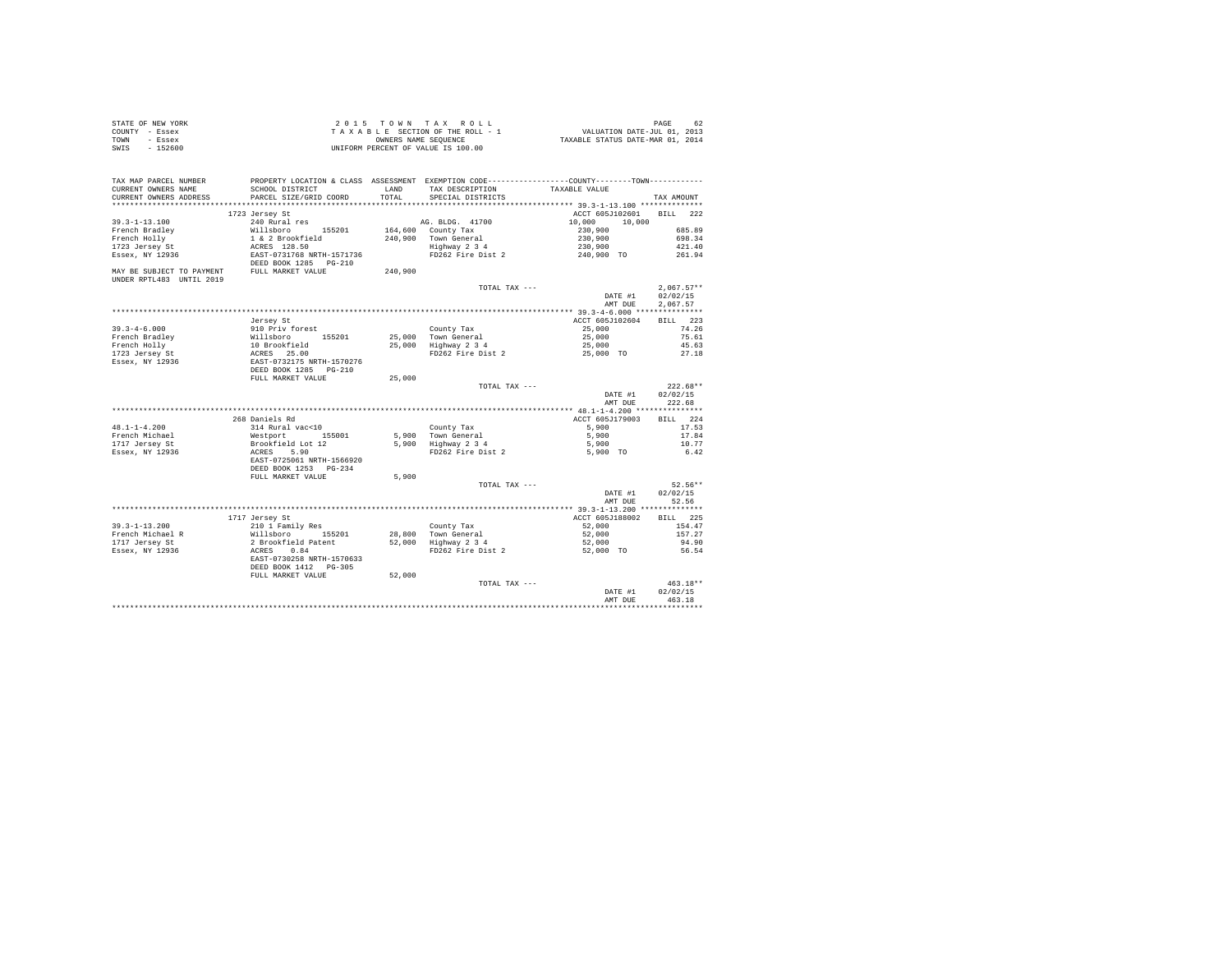| STATE OF NEW YORK<br>COUNTY - Essex<br>- Essex<br>TOWN<br>$-152600$<br>SWIS |                                                                                                                                                                 |               | 2015 TOWN TAX ROLL<br>2015 TOWN TAX ROLL<br>TAXABLE SECTION OF THE ROLL - 1<br>TAXABLE STATURE ON MEURA COMMERCIAL STATURE ON THE POINT COLL - 1<br>UNIFORM PERCENT OF VALUE IS 100.00 |                       | PAGE<br>62           |
|-----------------------------------------------------------------------------|-----------------------------------------------------------------------------------------------------------------------------------------------------------------|---------------|----------------------------------------------------------------------------------------------------------------------------------------------------------------------------------------|-----------------------|----------------------|
| TAX MAP PARCEL NUMBER<br>CURRENT OWNERS NAME<br>CURRENT OWNERS ADDRESS      | PROPERTY LOCATION & CLASS ASSESSMENT EXEMPTION CODE----------------COUNTY-------TOWN----------<br>SCHOOL DISTRICT<br>PARCEL SIZE/GRID COORD                     | LAND<br>TOTAL | TAX DESCRIPTION TAXABLE VALUE<br>SPECIAL DISTRICTS                                                                                                                                     |                       | TAX AMOUNT           |
|                                                                             | 1723 Jersey St                                                                                                                                                  |               |                                                                                                                                                                                        | ACCT 605J102601       | BILL 222             |
| $39.3 - 1 - 13.100$                                                         | 240 Rural res                                                                                                                                                   |               | AG. BLDG. 41700                                                                                                                                                                        | 10,000<br>10,000      |                      |
| French Bradley                                                              |                                                                                                                                                                 |               |                                                                                                                                                                                        | 230,900               | 685.89               |
| French Holly                                                                |                                                                                                                                                                 |               |                                                                                                                                                                                        | 230,900               | 698.34               |
| 1723 Jersey St                                                              |                                                                                                                                                                 |               | AM AND AND THE SALE OF THE 240,900 TOWN General<br>240,900 TOWN General<br>Highway 2 3 4<br>FD262 Fire Dist 2                                                                          | 230,900<br>240,900 TO | 421.40               |
| Essex, NY 12936                                                             | EAST-0731768 NRTH-1571736                                                                                                                                       |               |                                                                                                                                                                                        |                       | 261.94               |
|                                                                             | DEED BOOK 1285 PG-210                                                                                                                                           |               |                                                                                                                                                                                        |                       |                      |
| MAY BE SUBJECT TO PAYMENT FULL MARKET VALUE                                 |                                                                                                                                                                 | 240,900       |                                                                                                                                                                                        |                       |                      |
| UNDER RPTL483 UNTIL 2019                                                    |                                                                                                                                                                 |               |                                                                                                                                                                                        |                       | $2.067.57**$         |
|                                                                             |                                                                                                                                                                 |               | TOTAL TAX ---                                                                                                                                                                          | DATE #1<br>AMT DUE    | 02/02/15<br>2.067.57 |
|                                                                             |                                                                                                                                                                 |               |                                                                                                                                                                                        |                       |                      |
|                                                                             | Jersey St                                                                                                                                                       |               |                                                                                                                                                                                        | ACCT 605J102604       | BILL 223             |
| $39.3 - 4 - 6.000$                                                          | 910 Priv forest                                                                                                                                                 |               |                                                                                                                                                                                        | 25,000                | 74.26                |
| French Bradley                                                              |                                                                                                                                                                 |               | County Tax<br>25,000 Town General<br>25,000 Highway 2 3 4<br>FD262 Fire Dist 2                                                                                                         | 25,000                | 75.61                |
| French Holly                                                                |                                                                                                                                                                 |               |                                                                                                                                                                                        | 25,000                | 45.63                |
| 1723 Jersey St<br>Essex, NY 12936                                           |                                                                                                                                                                 |               |                                                                                                                                                                                        | 25,000 TO             | 27.18                |
|                                                                             | % Millsboro 155201<br>10 Brookfield<br>ACRES 25.00<br>ACRES 25.00<br>DEED BOOK 1285 PG-210<br>DEED BOOK 1285 PG-210<br>FULL MARKET VALUE                        |               |                                                                                                                                                                                        |                       |                      |
|                                                                             |                                                                                                                                                                 | 25,000        |                                                                                                                                                                                        |                       |                      |
|                                                                             |                                                                                                                                                                 |               | TOTAL TAX ---                                                                                                                                                                          |                       | $222.68**$           |
|                                                                             |                                                                                                                                                                 |               |                                                                                                                                                                                        | DATE #1               | 02/02/15             |
|                                                                             |                                                                                                                                                                 |               |                                                                                                                                                                                        | AMT DUE               | 222.68               |
|                                                                             |                                                                                                                                                                 |               |                                                                                                                                                                                        |                       |                      |
|                                                                             | 268 Daniels Rd                                                                                                                                                  |               |                                                                                                                                                                                        | ACCT 605J179003       | BILL 224             |
| $48.1 - 1 - 4.200$                                                          | 314 Rural vac<10                                                                                                                                                |               | County Tax                                                                                                                                                                             | 5,900                 | 17.53                |
| French Michael<br>1717 Jersey St                                            | Westport 155001<br>Brookfield Lot 12                                                                                                                            | 5,900         | Town General<br>Highway 2 3 4                                                                                                                                                          | 5,900                 | 17.84                |
| Essex, NY 12936                                                             |                                                                                                                                                                 | 5,900         | FD262 Fire Dist 2                                                                                                                                                                      | 5,900                 | 10.77<br>6.42        |
|                                                                             | ACRES 5.90<br>EAST-0725061 NRTH-1566920                                                                                                                         |               |                                                                                                                                                                                        | 5,900 TO              |                      |
|                                                                             | DEED BOOK 1253 PG-234                                                                                                                                           |               |                                                                                                                                                                                        |                       |                      |
|                                                                             | FULL MARKET VALUE                                                                                                                                               | 5,900         |                                                                                                                                                                                        |                       |                      |
|                                                                             |                                                                                                                                                                 |               | TOTAL TAX ---                                                                                                                                                                          |                       | $52.56**$            |
|                                                                             |                                                                                                                                                                 |               |                                                                                                                                                                                        | DATE #1               | 02/02/15             |
|                                                                             |                                                                                                                                                                 |               |                                                                                                                                                                                        | AMT DUE               | 52.56                |
|                                                                             |                                                                                                                                                                 |               |                                                                                                                                                                                        |                       |                      |
|                                                                             | 1717 Jersey St                                                                                                                                                  |               |                                                                                                                                                                                        | ACCT 605J188002       | BILL 225             |
| $39.3 - 1 - 13.200$                                                         | 210 1 Family Res                                                                                                                                                |               | County Tax                                                                                                                                                                             | 52,000                | 154.47               |
| French Michael R<br>1717 Jersey St                                          |                                                                                                                                                                 |               |                                                                                                                                                                                        | 52,000<br>52,000      | 157.27<br>94.90      |
| Essex, NY 12936                                                             |                                                                                                                                                                 |               |                                                                                                                                                                                        | $52,000$ TO           | 56.54                |
|                                                                             | Nillaboro 155201 28,800 Town General<br>2 Brookfield Patent 52,000 Town General<br>2 RCRS 0.84<br>RCRS 1.84 SCRT<br>EAST-0730258 NRTH-1570633 FD262 Fire Dist 2 |               |                                                                                                                                                                                        |                       |                      |
|                                                                             | DEED BOOK 1412    PG-305                                                                                                                                        |               |                                                                                                                                                                                        |                       |                      |
|                                                                             | FULL MARKET VALUE                                                                                                                                               | 52,000        |                                                                                                                                                                                        |                       |                      |
|                                                                             |                                                                                                                                                                 |               | TOTAL TAX ---                                                                                                                                                                          |                       | $463.18**$           |
|                                                                             |                                                                                                                                                                 |               |                                                                                                                                                                                        | DATE #1               | 02/02/15             |
|                                                                             |                                                                                                                                                                 |               |                                                                                                                                                                                        | AMT DUE               | 463.18               |
|                                                                             |                                                                                                                                                                 |               |                                                                                                                                                                                        |                       |                      |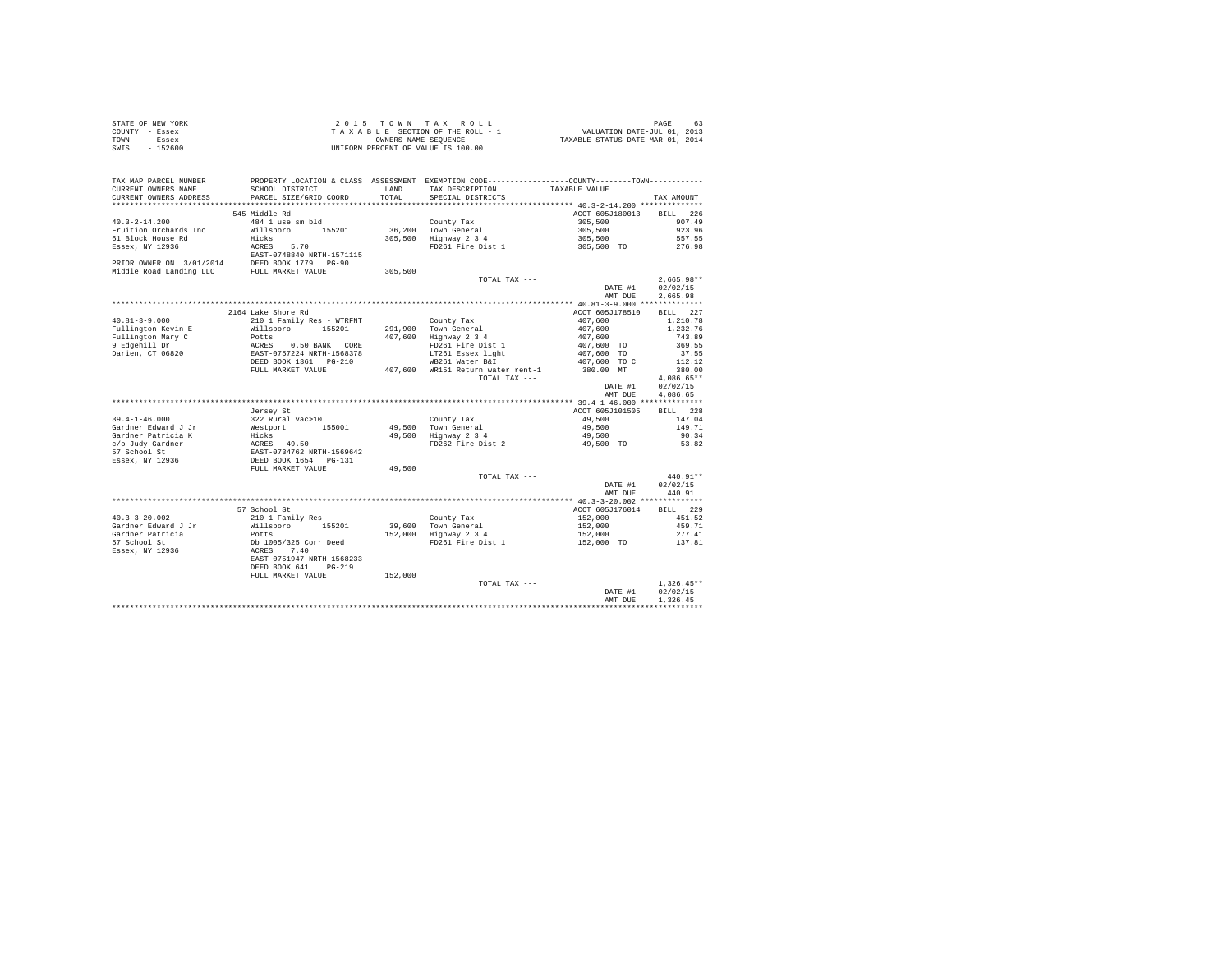|                | STATE OF NEW YORK | 2015 TOWN TAX ROLL                 | 63<br>PAGE                       |
|----------------|-------------------|------------------------------------|----------------------------------|
| COUNTY - Essex |                   | TAXABLE SECTION OF THE ROLL - 1    | VALUATION DATE-JUL 01, 2013      |
| TOWN           | - Essex           | OWNERS NAME SEOUENCE               | TAXABLE STATUS DATE-MAR 01, 2014 |
| SWIS           | $-152600$         | UNIFORM PERCENT OF VALUE IS 100.00 |                                  |

| TAX MAP PARCEL NUMBER<br>CURRENT OWNERS NAME<br>CURRENT OWNERS ADDRESS<br>************************** | PROPERTY LOCATION & CLASS ASSESSMENT EXEMPTION CODE----------------COUNTY-------TOWN----------<br>SCHOOL DISTRICT<br>PARCEL SIZE/GRID COORD | <b>T.AND</b><br>TOTAL | TAX DESCRIPTION<br>SPECIAL DISTRICTS | TAXABLE VALUE                                | TAX AMOUNT         |
|------------------------------------------------------------------------------------------------------|---------------------------------------------------------------------------------------------------------------------------------------------|-----------------------|--------------------------------------|----------------------------------------------|--------------------|
|                                                                                                      | 545 Middle Rd                                                                                                                               |                       |                                      | ACCT 605J180013                              | 226<br><b>BILL</b> |
|                                                                                                      | 484 1 use sm bld                                                                                                                            |                       |                                      |                                              | 907.49             |
| $40.3 - 2 - 14.200$                                                                                  |                                                                                                                                             |                       | County Tax                           | 305,500                                      |                    |
| Fruition Orchards Inc                                                                                | Willsboro 155201                                                                                                                            | 36,200                | Town General                         | 305,500                                      | 923.96             |
| 61 Block House Rd                                                                                    | Hicks                                                                                                                                       | 305,500               | Highway 2 3 4                        | 305,500                                      | 557.55             |
| Essex, NY 12936                                                                                      | ACRES 5.70                                                                                                                                  |                       | FD261 Fire Dist 1                    | 305,500 TO                                   | 276.98             |
|                                                                                                      | EAST-0748840 NRTH-1571115                                                                                                                   |                       |                                      |                                              |                    |
| PRIOR OWNER ON 3/01/2014 DEED BOOK 1779 PG-90                                                        |                                                                                                                                             |                       |                                      |                                              |                    |
| Middle Road Landing LLC FULL MARKET VALUE                                                            |                                                                                                                                             | 305,500               |                                      |                                              |                    |
|                                                                                                      |                                                                                                                                             |                       | TOTAL TAX ---                        |                                              | $2,665.98**$       |
|                                                                                                      |                                                                                                                                             |                       |                                      | DATE #1                                      | 02/02/15           |
|                                                                                                      |                                                                                                                                             |                       |                                      | AMT DUE                                      | 2.665.98           |
|                                                                                                      |                                                                                                                                             |                       |                                      |                                              |                    |
|                                                                                                      | 2164 Lake Shore Rd                                                                                                                          |                       |                                      | ACCT 605J178510                              | <b>BILL</b><br>227 |
| $40.81 - 3 - 9.000$                                                                                  | 210 1 Family Res - WTRFNT                                                                                                                   |                       | County Tax                           | 407,600                                      | 1,210.78           |
| Fullington Kevin E                                                                                   | Willsboro 155201                                                                                                                            | 291,900               | Town General                         | 407,600                                      | 1,232.76           |
| Fullington Mary C                                                                                    | Potts                                                                                                                                       | 407.600               | Highway 2 3 4                        | 407,600                                      | 743.89             |
| 9 Edgehill Dr                                                                                        |                                                                                                                                             |                       | FD261 Fire Dist 1                    | 407,600 TO                                   | 369.55             |
| Darien, CT 06820                                                                                     | ACRES 0.50 BANK CORE<br>EAST-0757224 NRTH-1568378                                                                                           |                       | LT261 Essex light                    | 407,600 TO                                   | 37.55              |
|                                                                                                      | DEED BOOK 1361 PG-210                                                                                                                       |                       | WB261 Water B&I                      | 407,600 TO C                                 | 112.12             |
|                                                                                                      | FULL MARKET VALUE                                                                                                                           |                       | 407,600 WR151 Return water rent-1    | 380.00 MT                                    | 380.00             |
|                                                                                                      |                                                                                                                                             |                       | TOTAL TAX ---                        |                                              | $4.086.65**$       |
|                                                                                                      |                                                                                                                                             |                       |                                      | DATE #1                                      | 02/02/15           |
|                                                                                                      |                                                                                                                                             |                       |                                      | AMT DUE                                      | 4.086.65           |
|                                                                                                      |                                                                                                                                             |                       |                                      | *************** 39.4-1-46.000 ************** |                    |
|                                                                                                      |                                                                                                                                             |                       |                                      | ACCT 605J101505                              | BTT.T. 228         |
|                                                                                                      | Jersey St                                                                                                                                   |                       |                                      |                                              |                    |
| $39.4 - 1 - 46.000$                                                                                  | 322 Rural vac>10                                                                                                                            |                       | County Tax                           | 49,500                                       | 147.04             |
| Gardner Edward J Jr                                                                                  | Westport<br>155001                                                                                                                          |                       | 49,500 Town General                  | 49,500                                       | 149.71             |
| Gardner Patricia K                                                                                   | Hicks                                                                                                                                       | 49,500                | Highway 2 3 4                        | 49,500                                       | 90.34              |
| c/o Judy Gardner                                                                                     | ACRES 49.50                                                                                                                                 |                       | FD262 Fire Dist 2                    | 49,500 TO                                    | 53.82              |
| 57 School St                                                                                         | EAST-0734762 NRTH-1569642                                                                                                                   |                       |                                      |                                              |                    |
| Essex, NY 12936                                                                                      | DEED BOOK 1654 PG-131                                                                                                                       |                       |                                      |                                              |                    |
|                                                                                                      | FULL MARKET VALUE                                                                                                                           | 49,500                |                                      |                                              |                    |
|                                                                                                      |                                                                                                                                             |                       | TOTAL TAX ---                        |                                              | 440.91**           |
|                                                                                                      |                                                                                                                                             |                       |                                      | DATE #1                                      | 02/02/15           |
|                                                                                                      |                                                                                                                                             |                       |                                      | AMT DUE                                      | 440.91             |
|                                                                                                      |                                                                                                                                             |                       |                                      |                                              |                    |
|                                                                                                      | 57 School St                                                                                                                                |                       |                                      | ACCT 605J176014                              | 229<br>BTLL        |
| $40.3 - 3 - 20.002$                                                                                  | 210 1 Family Res                                                                                                                            |                       | County Tax                           | 152,000                                      | 451.52             |
| Gardner Edward J Jr                                                                                  | Willsboro<br>155201                                                                                                                         | 39,600                | Town General                         | 152,000                                      | 459.71             |
| Gardner Patricia                                                                                     | Potts                                                                                                                                       | 152,000               | Highway 2 3 4                        | 152,000                                      | 277.41             |
| 57 School St                                                                                         | Db 1005/325 Corr Deed                                                                                                                       |                       | FD261 Fire Dist 1                    | 152,000 TO                                   | 137.81             |
| Essex, NY 12936                                                                                      | ACRES<br>7.40                                                                                                                               |                       |                                      |                                              |                    |
|                                                                                                      | EAST-0751947 NRTH-1568233                                                                                                                   |                       |                                      |                                              |                    |
|                                                                                                      | DEED BOOK 641<br>$PG-219$                                                                                                                   |                       |                                      |                                              |                    |
|                                                                                                      | FULL MARKET VALUE                                                                                                                           | 152,000               |                                      |                                              |                    |
|                                                                                                      |                                                                                                                                             |                       | TOTAL TAX ---                        |                                              | $1.326.45**$       |
|                                                                                                      |                                                                                                                                             |                       |                                      | DATE #1                                      | 02/02/15           |
|                                                                                                      |                                                                                                                                             |                       |                                      | AMT DUE                                      | 1.326.45           |
|                                                                                                      |                                                                                                                                             |                       |                                      |                                              |                    |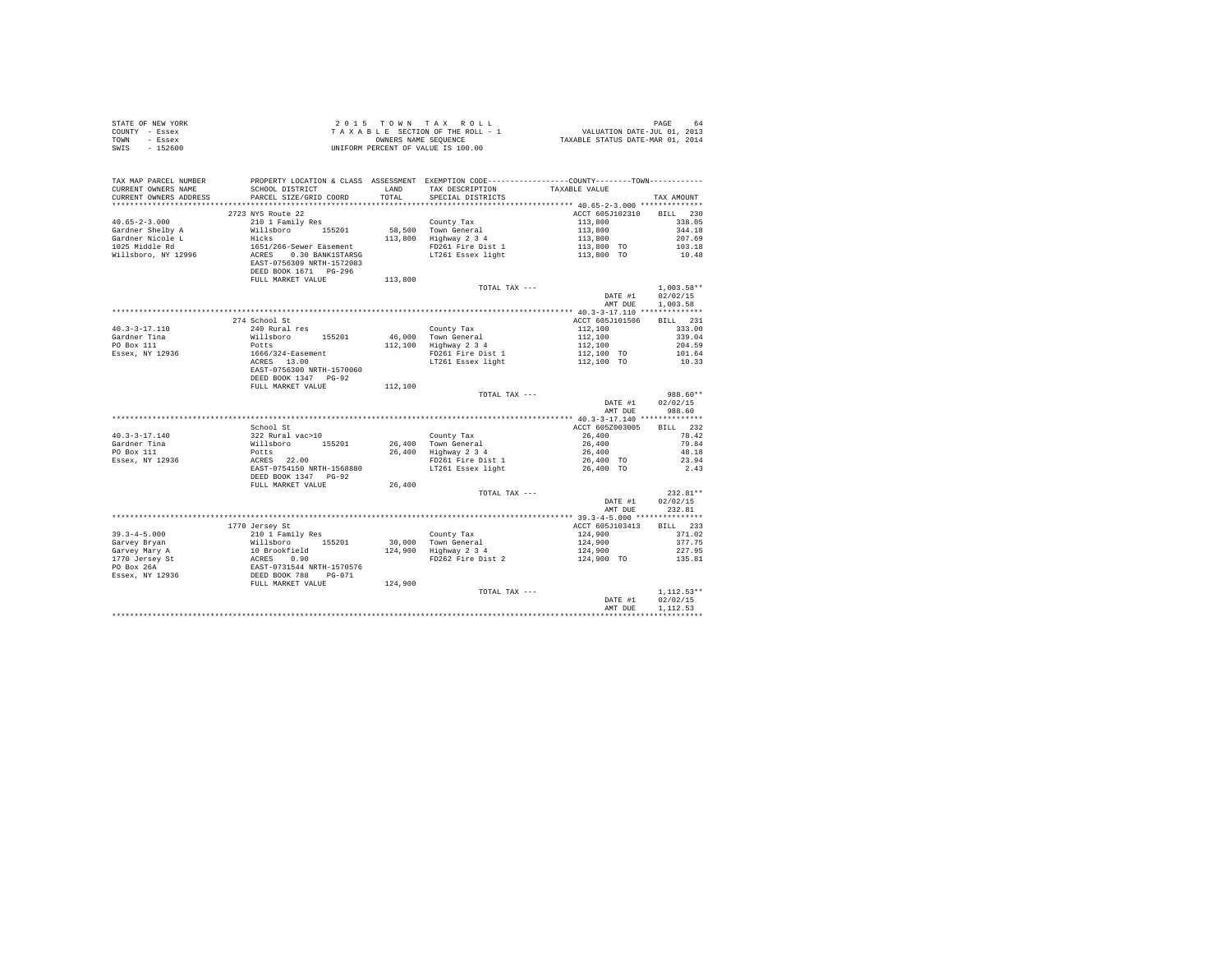| STATE OF NEW YORK<br>COUNTY - Essex<br>TOWN - Essex<br>SWIS - 152600                                                                                                                                                                                                                                                                                        |                           |         |                                                                                                                                                                                                                                                |                                                                                  |                          |
|-------------------------------------------------------------------------------------------------------------------------------------------------------------------------------------------------------------------------------------------------------------------------------------------------------------------------------------------------------------|---------------------------|---------|------------------------------------------------------------------------------------------------------------------------------------------------------------------------------------------------------------------------------------------------|----------------------------------------------------------------------------------|--------------------------|
| TAX MAP PARCEL NUMBER<br>CURRENT OWNERS NAME<br>CURRENT OWNERS ADDRESS PARCEL SIZE/GRID COORD TOTAL                                                                                                                                                                                                                                                         |                           |         | PROPERTY LOCATION & CLASS ASSESSMENT EXEMPTION CODE-----------------COUNTY--------TOWN---------<br>SPECIAL DISTRICTS                                                                                                                           |                                                                                  | TAX AMOUNT               |
|                                                                                                                                                                                                                                                                                                                                                             |                           |         |                                                                                                                                                                                                                                                |                                                                                  |                          |
|                                                                                                                                                                                                                                                                                                                                                             | 2723 NYS Route 22         |         |                                                                                                                                                                                                                                                | ACCT 605J102310 BILL 230                                                         |                          |
| $40.65 - 2 - 3.000$                                                                                                                                                                                                                                                                                                                                         | 210 1 Family Res          |         |                                                                                                                                                                                                                                                |                                                                                  | 338.05                   |
|                                                                                                                                                                                                                                                                                                                                                             |                           |         |                                                                                                                                                                                                                                                |                                                                                  | 344.18                   |
| Gardner Shelby A<br>Gardner Nicole L<br>1025 Middle Rd                                                                                                                                                                                                                                                                                                      |                           |         |                                                                                                                                                                                                                                                |                                                                                  | 207.69<br>103.18         |
| Willsboro, NY 12996                                                                                                                                                                                                                                                                                                                                         |                           |         |                                                                                                                                                                                                                                                | $113,800$<br>$113,800$<br>$113,800$<br>$113,800$<br>$113,800$ TO<br>$113,800$ TO | 10.48                    |
|                                                                                                                                                                                                                                                                                                                                                             | FULL MARKET VALUE 113,800 |         |                                                                                                                                                                                                                                                |                                                                                  |                          |
|                                                                                                                                                                                                                                                                                                                                                             |                           |         | TOTAL TAX ---                                                                                                                                                                                                                                  |                                                                                  | $1.003.58**$             |
|                                                                                                                                                                                                                                                                                                                                                             |                           |         |                                                                                                                                                                                                                                                | DATE #1<br>AMT DUE                                                               | 02/02/15<br>1,003.58     |
|                                                                                                                                                                                                                                                                                                                                                             |                           |         |                                                                                                                                                                                                                                                |                                                                                  |                          |
|                                                                                                                                                                                                                                                                                                                                                             | 274 School St             |         |                                                                                                                                                                                                                                                | ACCT 605J101506                                                                  | BTLL 231                 |
|                                                                                                                                                                                                                                                                                                                                                             |                           |         |                                                                                                                                                                                                                                                |                                                                                  | 333.00<br>339.04         |
|                                                                                                                                                                                                                                                                                                                                                             |                           |         |                                                                                                                                                                                                                                                |                                                                                  | 204.59                   |
|                                                                                                                                                                                                                                                                                                                                                             |                           |         |                                                                                                                                                                                                                                                |                                                                                  | 101.64                   |
|                                                                                                                                                                                                                                                                                                                                                             |                           |         |                                                                                                                                                                                                                                                |                                                                                  | 10.33                    |
|                                                                                                                                                                                                                                                                                                                                                             |                           |         |                                                                                                                                                                                                                                                |                                                                                  |                          |
| $\begin{tabular}{ll} 40.3-3-17.110 & \begin{tabular}{ll} $2/4$ & school St & \end{tabular} \end{tabular} \begin{tabular}{ll} \bf 40.3-3-17.110 & \begin{tabular}{ll} $2/4$ & 240 Rural res \\ \bf 40.3-3-17.110 & 1811 \text{lsboro} & 155201 \\ \bf 40.393 & 155201 & 100 \\ \bf 40.4878 & 13.00 \\ \bf 40.588 & 13.00 \\ \bf 40.788 & 13.00 \\ \bf 40.87$ |                           |         |                                                                                                                                                                                                                                                |                                                                                  |                          |
|                                                                                                                                                                                                                                                                                                                                                             | FULL MARKET VALUE         | 112,100 |                                                                                                                                                                                                                                                |                                                                                  |                          |
|                                                                                                                                                                                                                                                                                                                                                             |                           |         | TOTAL TAX ---                                                                                                                                                                                                                                  | DATE #1                                                                          | 988.60**<br>02/02/15     |
|                                                                                                                                                                                                                                                                                                                                                             |                           |         |                                                                                                                                                                                                                                                |                                                                                  | AMT DUE 988.60           |
|                                                                                                                                                                                                                                                                                                                                                             |                           |         |                                                                                                                                                                                                                                                |                                                                                  |                          |
|                                                                                                                                                                                                                                                                                                                                                             | School St                 |         |                                                                                                                                                                                                                                                | ACCT 605Z003005 BILL 232                                                         |                          |
| $40.3 - 3 - 17.140$                                                                                                                                                                                                                                                                                                                                         |                           |         |                                                                                                                                                                                                                                                |                                                                                  |                          |
| Gardner Tina<br>PO Box 111<br>Essex, NY 12936                                                                                                                                                                                                                                                                                                               |                           |         |                                                                                                                                                                                                                                                |                                                                                  |                          |
|                                                                                                                                                                                                                                                                                                                                                             |                           |         |                                                                                                                                                                                                                                                |                                                                                  |                          |
|                                                                                                                                                                                                                                                                                                                                                             |                           |         |                                                                                                                                                                                                                                                |                                                                                  |                          |
|                                                                                                                                                                                                                                                                                                                                                             |                           |         | 900001 STELL 232 Rural vac>10<br>26,400 County Tax 20000001<br>26,400 Town General 26,400 79.842<br>26,400 POSE 21,00 FOR 21,400 POSE 26,400<br>26,400 PD261 Fire Dist 1<br>26,400 PD261 Fire Dist 1<br>26,400 TO 23.94<br>26,400 TO 23.94<br> |                                                                                  |                          |
|                                                                                                                                                                                                                                                                                                                                                             | FULL MARKET VALUE         | 26,400  |                                                                                                                                                                                                                                                |                                                                                  |                          |
|                                                                                                                                                                                                                                                                                                                                                             |                           |         | TOTAL TAX $---$                                                                                                                                                                                                                                |                                                                                  | $232.81**$               |
|                                                                                                                                                                                                                                                                                                                                                             |                           |         |                                                                                                                                                                                                                                                | DATE #1 02/02/15                                                                 |                          |
|                                                                                                                                                                                                                                                                                                                                                             |                           |         |                                                                                                                                                                                                                                                |                                                                                  | AMT DUE 232.81           |
|                                                                                                                                                                                                                                                                                                                                                             | 1770 Jersey St            |         |                                                                                                                                                                                                                                                | ACCT 605J103413 BILL 233                                                         |                          |
|                                                                                                                                                                                                                                                                                                                                                             |                           |         |                                                                                                                                                                                                                                                |                                                                                  | 371.02                   |
|                                                                                                                                                                                                                                                                                                                                                             |                           |         |                                                                                                                                                                                                                                                |                                                                                  | 377.75                   |
|                                                                                                                                                                                                                                                                                                                                                             |                           |         |                                                                                                                                                                                                                                                |                                                                                  | 227.95                   |
|                                                                                                                                                                                                                                                                                                                                                             |                           |         |                                                                                                                                                                                                                                                |                                                                                  | 135.81                   |
|                                                                                                                                                                                                                                                                                                                                                             |                           |         | County Tax<br>124,900<br>124,900<br>124,900<br>124,900<br>PD262 Fire Dist 2<br>PO262 Fire Dist 2<br>124,900<br>124,900<br>TD262 Fire Dist 2<br>124,900<br>124,900<br>TD262 Fire Dist 2                                                         |                                                                                  |                          |
|                                                                                                                                                                                                                                                                                                                                                             |                           |         |                                                                                                                                                                                                                                                |                                                                                  |                          |
|                                                                                                                                                                                                                                                                                                                                                             |                           |         |                                                                                                                                                                                                                                                |                                                                                  |                          |
|                                                                                                                                                                                                                                                                                                                                                             |                           |         | TOTAL TAX ---                                                                                                                                                                                                                                  | DATE #1                                                                          | $1.112.53**$<br>02/02/15 |
|                                                                                                                                                                                                                                                                                                                                                             |                           |         |                                                                                                                                                                                                                                                | AMT DUE                                                                          | 1,112.53                 |
|                                                                                                                                                                                                                                                                                                                                                             |                           |         |                                                                                                                                                                                                                                                |                                                                                  |                          |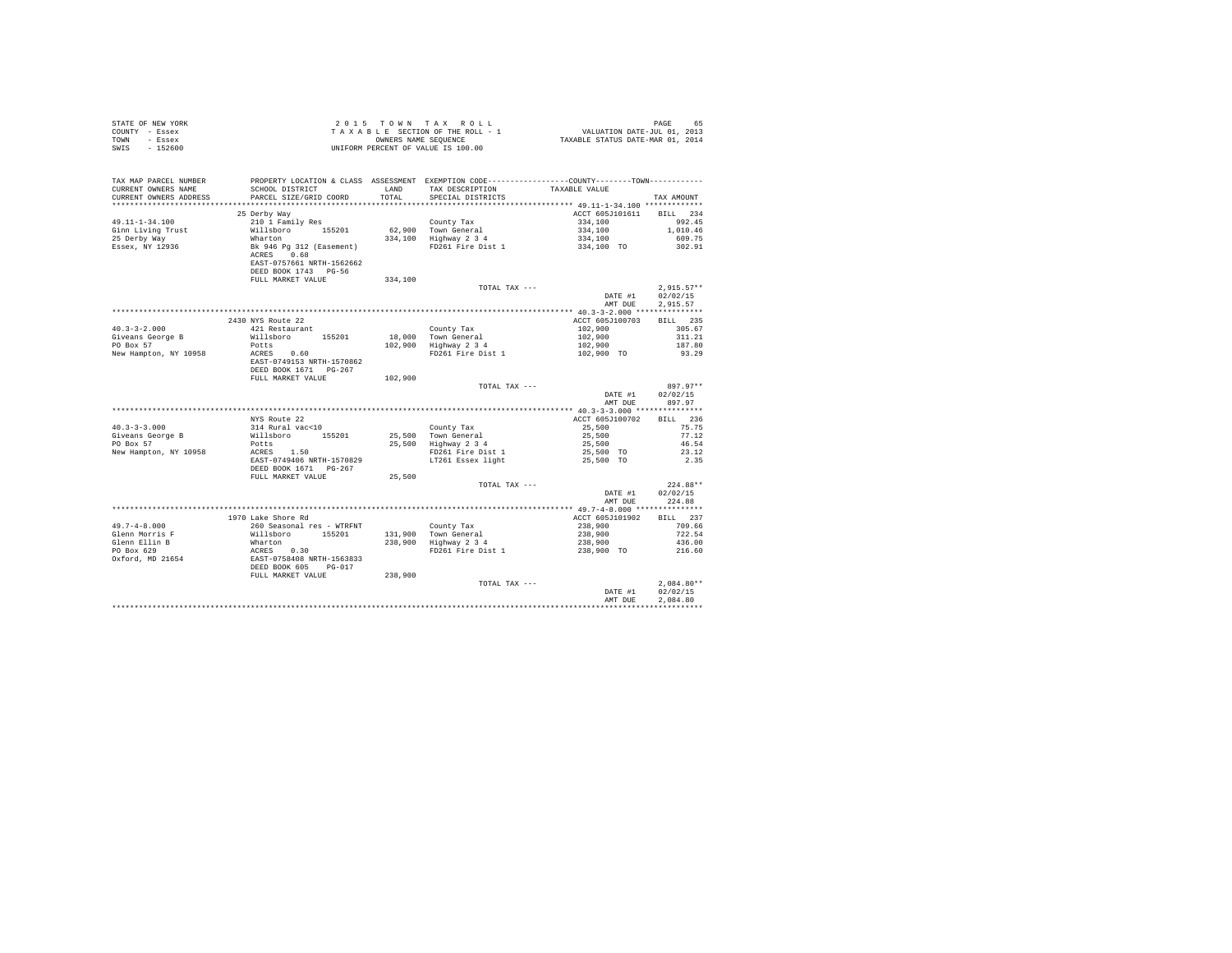| STATE OF NEW YORK<br>COUNTY - Essex<br>TOWN - Essex<br>SWIS - 152600   |                                                                                                        |         | UNIFORM PERCENT OF VALUE IS 100.00                                                                                                              |                                                     |                                      |
|------------------------------------------------------------------------|--------------------------------------------------------------------------------------------------------|---------|-------------------------------------------------------------------------------------------------------------------------------------------------|-----------------------------------------------------|--------------------------------------|
| TAX MAP PARCEL NUMBER<br>CURRENT OWNERS NAME<br>CURRENT OWNERS ADDRESS | SCHOOL DISTRICT<br>PARCEL SIZE/GRID COORD                                                              |         | PROPERTY LOCATION & CLASS ASSESSMENT EXEMPTION CODE---------------COUNTY-------TOWN---------<br>LAND TAX DESCRIPTION<br>TOTAL SPECIAL DISTRICTS | TAXABLE VALUE                                       | TAX AMOUNT                           |
|                                                                        | 25 Derby Way                                                                                           |         |                                                                                                                                                 | ACCT 605J101611 BILL 234                            |                                      |
| $49.11 - 1 - 34.100$                                                   | 210 1 Family Res                                                                                       |         |                                                                                                                                                 | 334,100                                             | 992.45                               |
| Ginn Living Trust                                                      | Willsboro 155201                                                                                       |         |                                                                                                                                                 |                                                     | 1,010.46                             |
| 25 Derby Way                                                           |                                                                                                        |         |                                                                                                                                                 |                                                     | 609.75                               |
| Essex, NY 12936                                                        | Wharton<br>Bk 946 Pg 312 (Easement)<br>ACRES 0.68<br>EAST-0757661 NRTH-1562662<br>DEED BOOK 1743 PG-56 |         | County Tax<br>62,900 Town General<br>334,100 Highway 2 3 4<br>FD261 Fire Dist 1                                                                 | $334,100$<br>$334,100$<br>$334,100$ TO              | 302.91                               |
|                                                                        | FULL MARKET VALUE                                                                                      | 334,100 |                                                                                                                                                 |                                                     |                                      |
|                                                                        |                                                                                                        |         | TOTAL TAX ---                                                                                                                                   | DATE #1<br>AMT DUE                                  | $2,915.57**$<br>02/02/15<br>2.915.57 |
|                                                                        |                                                                                                        |         |                                                                                                                                                 |                                                     |                                      |
|                                                                        | 2430 NYS Route 22                                                                                      |         |                                                                                                                                                 | ACCT 605J100703                                     | BILL 235                             |
| $40.3 - 3 - 2.000$                                                     | 421 Restaurant                                                                                         |         | County Tax<br>18,000 Town General<br>102,900 Highway 2 3 4<br>FD261 Fire Dist 1                                                                 | $102,900$<br>$102,900$<br>$102,900$<br>$102,900$ TO | 305.67                               |
| Giveans George B                                                       | Willsboro 155201                                                                                       |         |                                                                                                                                                 |                                                     | 311.21                               |
| PO Box 57                                                              | Potts<br>Potts<br>ACRES 0.60                                                                           |         |                                                                                                                                                 |                                                     | 187.80                               |
| New Hampton, NY 10958                                                  | EAST-0749153 NRTH-1570862<br>DEED BOOK 1671 PG-267                                                     |         |                                                                                                                                                 |                                                     | 93.29                                |
|                                                                        | FULL MARKET VALUE                                                                                      | 102,900 |                                                                                                                                                 |                                                     |                                      |
|                                                                        |                                                                                                        |         | TOTAL TAX ---                                                                                                                                   | DATE #1<br>AMT DUE                                  | 897.97**<br>02/02/15<br>897.97       |
|                                                                        |                                                                                                        |         |                                                                                                                                                 |                                                     |                                      |
|                                                                        | NYS Route 22                                                                                           |         |                                                                                                                                                 | ACCT 605J100702                                     | BILL 236                             |
| $40.3 - 3 - 3.000$                                                     | 314 Rural vac<10                                                                                       |         |                                                                                                                                                 | 25,500                                              | 75.75<br>77.12                       |
| Giveans George B<br>PO Box 57                                          | Willsboro 155201                                                                                       |         | County Tax<br>25,500 Town General<br>25,500 Highway 2 3 4                                                                                       | 25,500<br>25,500                                    | 46.54                                |
| New Hampton, NY 10958                                                  | Potts<br>ACRES 1.50                                                                                    |         | FD261 Fire Dist 1                                                                                                                               | 25,500 TO                                           | 23.12                                |
|                                                                        | EAST-0749406 NRTH-1570829<br>DEED BOOK 1671 PG-267                                                     |         | LT261 Essex light                                                                                                                               | 25,500 TO                                           | 2.35                                 |
|                                                                        | FULL MARKET VALUE                                                                                      | 25,500  |                                                                                                                                                 |                                                     |                                      |
|                                                                        |                                                                                                        |         | TOTAL TAX ---                                                                                                                                   | DATE #1<br>AMT DUE                                  | $224.88**$<br>02/02/15<br>224.88     |
|                                                                        |                                                                                                        |         |                                                                                                                                                 |                                                     |                                      |
|                                                                        | 1970 Lake Shore Rd                                                                                     |         |                                                                                                                                                 | ACCT 605J101902                                     | BILL 237                             |
|                                                                        |                                                                                                        |         |                                                                                                                                                 | $238,900$<br>$238,900$<br>$238,900$<br>$238,900$ TO | 709.66                               |
|                                                                        |                                                                                                        |         |                                                                                                                                                 |                                                     | 722.54                               |
|                                                                        |                                                                                                        |         |                                                                                                                                                 |                                                     | 436.00<br>216.60                     |
|                                                                        |                                                                                                        |         |                                                                                                                                                 |                                                     |                                      |
|                                                                        |                                                                                                        |         |                                                                                                                                                 |                                                     |                                      |
|                                                                        |                                                                                                        |         |                                                                                                                                                 | DATE #1<br>AMT DUE                                  | $2.084.80**$<br>02/02/15<br>2.084.80 |
|                                                                        |                                                                                                        |         |                                                                                                                                                 |                                                     |                                      |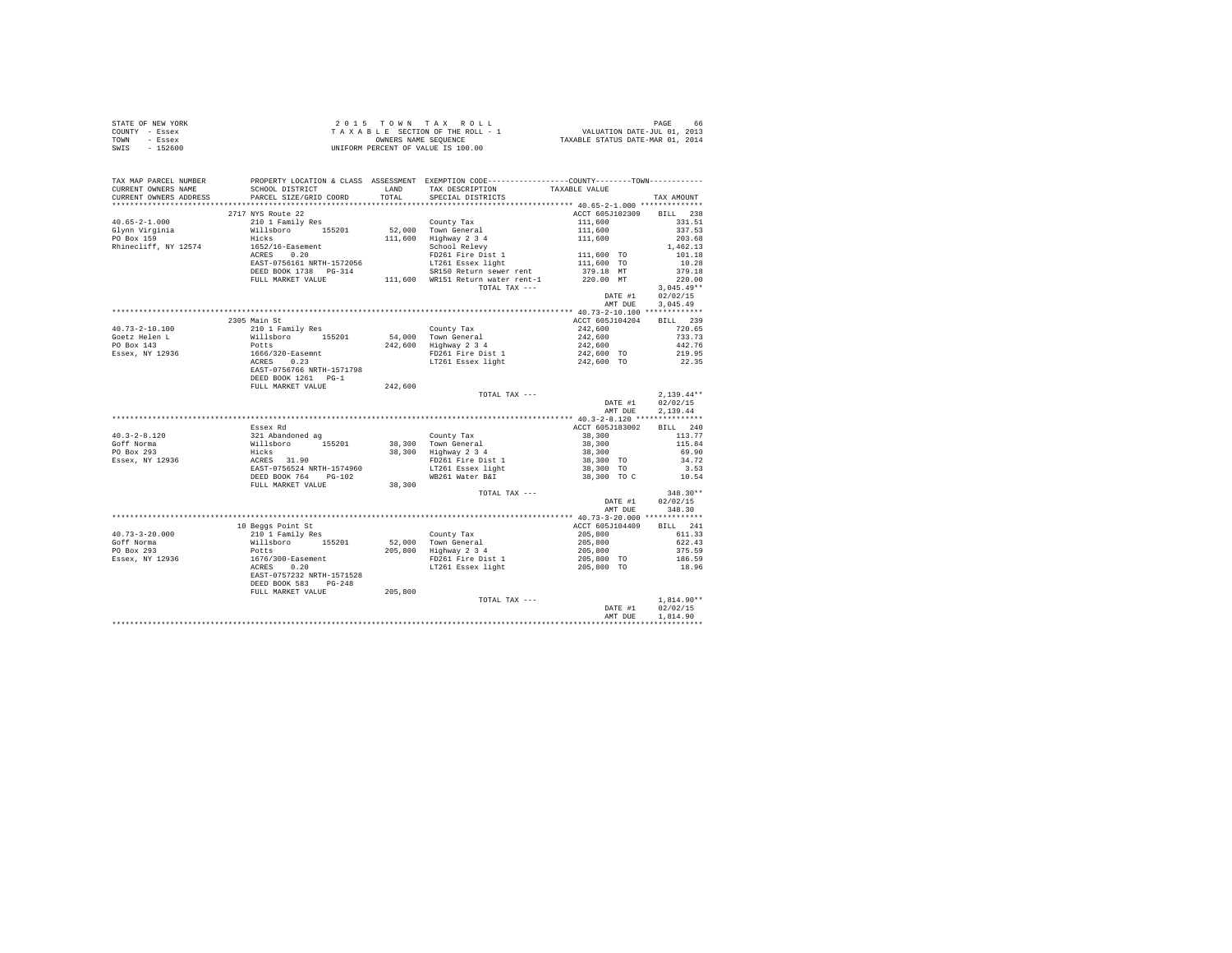|      | STATE OF NEW YORK | 2015 TOWN TAX ROLL                 | 66<br>PAGE                       |
|------|-------------------|------------------------------------|----------------------------------|
|      | COUNTY - Essex    | TAXABLE SECTION OF THE ROLL - 1    | VALUATION DATE-JUL 01, 2013      |
| TOWN | - Essex           | OWNERS NAME SEOUENCE               | TAXABLE STATUS DATE-MAR 01, 2014 |
| SWIS | $-152600$         | UNIFORM PERCENT OF VALUE IS 100.00 |                                  |

| TAX MAP PARCEL NUMBER                          | PROPERTY LOCATION & CLASS ASSESSMENT EXEMPTION CODE-----------------COUNTY-------TOWN----------                                                                                      |         |                                                                                                                                                     |                                                                                           |                                                    |
|------------------------------------------------|--------------------------------------------------------------------------------------------------------------------------------------------------------------------------------------|---------|-----------------------------------------------------------------------------------------------------------------------------------------------------|-------------------------------------------------------------------------------------------|----------------------------------------------------|
| CURRENT OWNERS NAME                            | SCHOOL DISTRICT                                                                                                                                                                      |         | LAND TAX DESCRIPTION TAXABLE VALUE                                                                                                                  |                                                                                           |                                                    |
| CURRENT OWNERS ADDRESS PARCEL SIZE/GRID COORD  |                                                                                                                                                                                      |         | TOTAL SPECIAL DISTRICTS                                                                                                                             |                                                                                           | TAX AMOUNT                                         |
|                                                |                                                                                                                                                                                      |         |                                                                                                                                                     |                                                                                           |                                                    |
|                                                | 2717 NYS Route 22                                                                                                                                                                    |         |                                                                                                                                                     | ACCT 605J102309 BILL 238                                                                  |                                                    |
| $40.65 - 2 - 1.000$                            |                                                                                                                                                                                      |         |                                                                                                                                                     |                                                                                           | 331.51                                             |
| Glynn Virginia<br>PO Box 159                   | 210 1 Family Res County Tax<br>210 1 Family Res 52,000 Town General<br>Hicks 155201 52,000 Tughway 2 3 4<br>1652/16-Easement 111,600 Highway 2 3 4<br>1652/16-Easement School Relevy |         |                                                                                                                                                     | 111,600<br>111,600<br>111,600                                                             | 337.53                                             |
|                                                |                                                                                                                                                                                      |         |                                                                                                                                                     |                                                                                           | 203.68                                             |
| Rhinecliff, NY 12574                           |                                                                                                                                                                                      |         | School Reievy<br>FD261 Fire Dist 1<br>LT261 Essex light<br>--''' Daturn sewer rent                                                                  | 111,600 TO<br>111,600 TO<br>270 18 MT                                                     | 1,462.13                                           |
|                                                | ACRES 0.20<br>EAST-0756161 NRTH-1572056                                                                                                                                              |         |                                                                                                                                                     |                                                                                           | 101.18<br>10.28                                    |
|                                                |                                                                                                                                                                                      |         |                                                                                                                                                     |                                                                                           | 379.18                                             |
|                                                | DEED BOOK 1738 PG-314                                                                                                                                                                |         | SR150 Return sewer rent<br>DEED BOOK 1738 PG-314 SR150 Return sewer rent 379.18 MT<br>FULL MARKET VALUE 111,600 WR151 Return water rent-1 220.00 MT |                                                                                           | 220.00                                             |
|                                                |                                                                                                                                                                                      |         | TOTAL TAX ---                                                                                                                                       |                                                                                           | $3,045.49**$                                       |
|                                                |                                                                                                                                                                                      |         |                                                                                                                                                     |                                                                                           | DATE #1 02/02/15                                   |
|                                                |                                                                                                                                                                                      |         |                                                                                                                                                     | AMT DUE                                                                                   | 3,045.49                                           |
|                                                |                                                                                                                                                                                      |         |                                                                                                                                                     |                                                                                           |                                                    |
|                                                | 2305 Main St                                                                                                                                                                         |         |                                                                                                                                                     | ACCT 605J104204 BILL 239                                                                  |                                                    |
| $40.73 - 2 - 10.100$                           | 2009 Watal Strand Times<br>210 1 Family Res<br>Willshoro 155201<br>Potts<br>2666/320-Easemnt<br>ACRES 0.23<br>EAST-0756766 NRTH-1571798                                              |         | County Tax                                                                                                                                          |                                                                                           |                                                    |
|                                                |                                                                                                                                                                                      |         | 54,000 Town General                                                                                                                                 | $\begin{array}{lll} 242,600 & 720.65 \\ 242,600 & 733.73 \\ 242,600 & 442.76 \end{array}$ |                                                    |
| Goetz Helen L<br>PO Box 143<br>Essex, NY 12936 |                                                                                                                                                                                      |         | 242,600 Highway 2 3 4                                                                                                                               |                                                                                           |                                                    |
|                                                |                                                                                                                                                                                      |         | FD261 Fire Dist 1                                                                                                                                   | 242,600 TO 219.95                                                                         |                                                    |
|                                                |                                                                                                                                                                                      |         | LT261 Essex light                                                                                                                                   | 242,600 TO                                                                                | 22.35                                              |
|                                                |                                                                                                                                                                                      |         |                                                                                                                                                     |                                                                                           |                                                    |
|                                                | DEED BOOK 1261 PG-1                                                                                                                                                                  |         |                                                                                                                                                     |                                                                                           |                                                    |
|                                                | FULL MARKET VALUE                                                                                                                                                                    | 242,600 |                                                                                                                                                     |                                                                                           |                                                    |
|                                                |                                                                                                                                                                                      |         | TOTAL TAX ---                                                                                                                                       |                                                                                           | $2,139.44**$<br>$2,139.44**$<br>DATE #1 $02/02/15$ |
|                                                |                                                                                                                                                                                      |         |                                                                                                                                                     |                                                                                           |                                                    |
|                                                |                                                                                                                                                                                      |         |                                                                                                                                                     | AMT DUE                                                                                   | 2,139.44                                           |
|                                                |                                                                                                                                                                                      |         |                                                                                                                                                     |                                                                                           |                                                    |
|                                                | Essex Rd                                                                                                                                                                             |         |                                                                                                                                                     | ACCT 605J183002 BILL 240                                                                  |                                                    |
| $40.3 - 2 - 8.120$                             |                                                                                                                                                                                      |         |                                                                                                                                                     |                                                                                           | 113.77                                             |
| Goff Norma                                     |                                                                                                                                                                                      |         |                                                                                                                                                     | $38,300$<br>$38,300$<br>$38,300$<br>$38,300$<br>$38,300$ TO<br>$38,300$ TO                | 115.84                                             |
| PO Box 293<br>Essex, NY 12936                  |                                                                                                                                                                                      |         |                                                                                                                                                     |                                                                                           | 69.90                                              |
|                                                |                                                                                                                                                                                      |         |                                                                                                                                                     |                                                                                           | 34.72                                              |
|                                                |                                                                                                                                                                                      |         | ינות ב-1<br>FD261 Fire Dist 1<br>LT261 Essex light<br>WB261 Water B&T                                                                               | 38,300 TO C                                                                               | $\begin{array}{c} 3.53 \\ 10.54 \end{array}$       |
|                                                | FULL MARKET VALUE 38,300                                                                                                                                                             |         |                                                                                                                                                     |                                                                                           |                                                    |
|                                                |                                                                                                                                                                                      |         | TOTAL TAX ---                                                                                                                                       |                                                                                           | $348.30**$                                         |
|                                                |                                                                                                                                                                                      |         |                                                                                                                                                     |                                                                                           | DATE #1 02/02/15                                   |
|                                                |                                                                                                                                                                                      |         |                                                                                                                                                     |                                                                                           | AMT DUE 348.30                                     |
|                                                |                                                                                                                                                                                      |         |                                                                                                                                                     |                                                                                           |                                                    |
|                                                | 10 Beggs Point St                                                                                                                                                                    |         |                                                                                                                                                     | ACCT 605J104409 BILL 241                                                                  |                                                    |
|                                                |                                                                                                                                                                                      |         |                                                                                                                                                     |                                                                                           | 611.33                                             |
|                                                |                                                                                                                                                                                      |         |                                                                                                                                                     |                                                                                           | 622.43                                             |
|                                                |                                                                                                                                                                                      |         |                                                                                                                                                     | $205,800$<br>$205,800$<br>$205,800$                                                       | 375.59                                             |
|                                                |                                                                                                                                                                                      |         | FD261 Fire Dist 1                                                                                                                                   | 205,800 TO 186.59                                                                         |                                                    |
|                                                |                                                                                                                                                                                      |         | LT261 Essex light                                                                                                                                   | 205,800 TO                                                                                | 18.96                                              |
|                                                | EAST-0757232 NRTH-1571528                                                                                                                                                            |         |                                                                                                                                                     |                                                                                           |                                                    |
|                                                | DEED BOOK 583 PG-248                                                                                                                                                                 |         |                                                                                                                                                     |                                                                                           |                                                    |
|                                                | FULL MARKET VALUE                                                                                                                                                                    | 205,800 |                                                                                                                                                     |                                                                                           |                                                    |
|                                                |                                                                                                                                                                                      |         | TOTAL TAX ---                                                                                                                                       |                                                                                           | $1,814.90**$                                       |
|                                                |                                                                                                                                                                                      |         |                                                                                                                                                     |                                                                                           | DATE #1 02/02/15                                   |
|                                                |                                                                                                                                                                                      |         |                                                                                                                                                     | AMT DUE                                                                                   | 1,814.90                                           |
|                                                |                                                                                                                                                                                      |         |                                                                                                                                                     |                                                                                           |                                                    |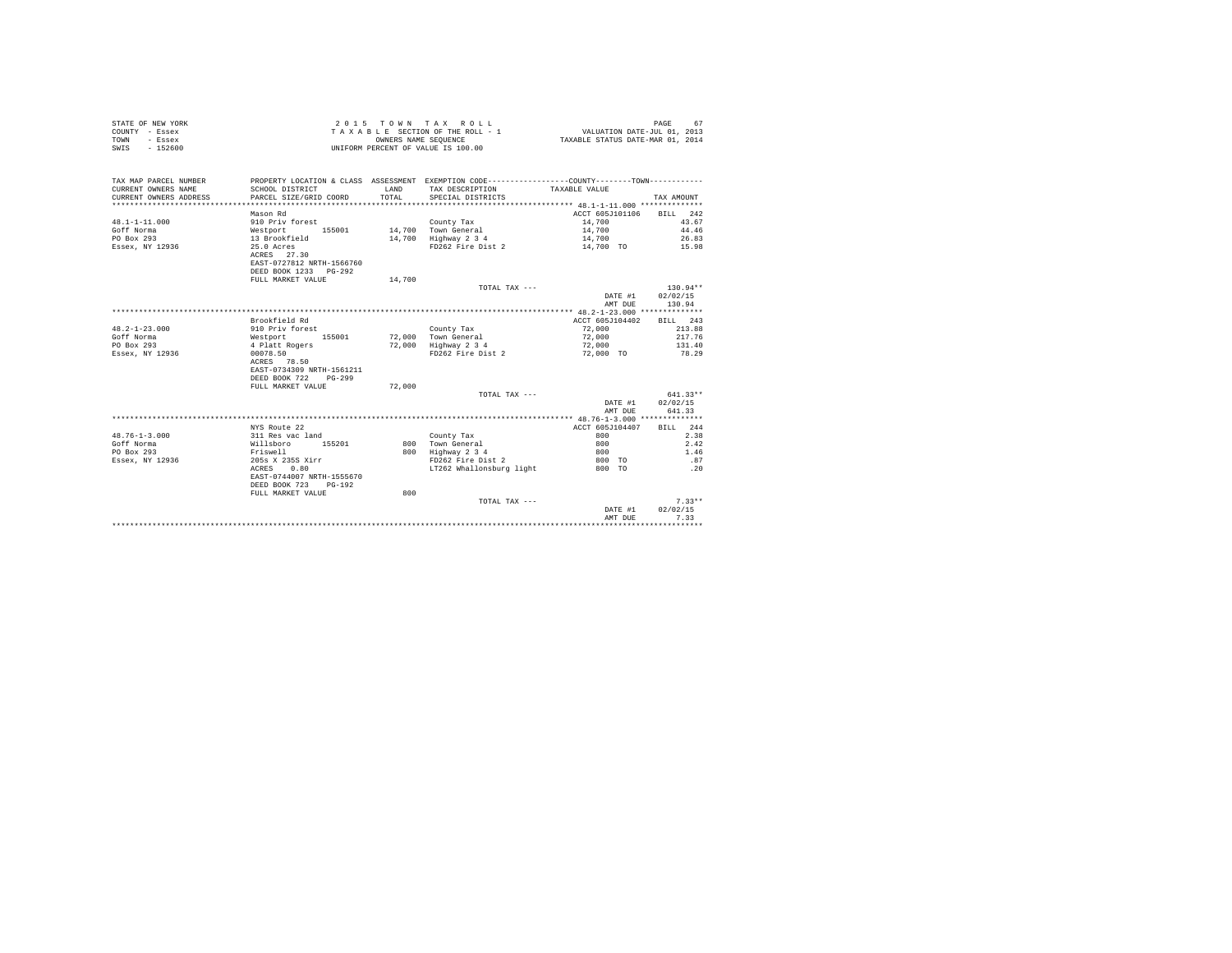| STATE OF NEW YORK<br>COUNTY - Essex<br>- Essex<br>TOWN<br>$-152600$<br>SWIS |                           | OWNERS NAME SEQUENCE | 2015 TOWN TAX ROLL<br>TAXABLE SECTION OF THE ROLL - 1<br>UNIFORM PERCENT OF VALUE IS 100.00     | VALUATION DATE-JUL 01, 2013<br>TAXABLE STATUS DATE-MAR 01, 2014 | PAGE<br>67                       |
|-----------------------------------------------------------------------------|---------------------------|----------------------|-------------------------------------------------------------------------------------------------|-----------------------------------------------------------------|----------------------------------|
| TAX MAP PARCEL NUMBER                                                       |                           |                      | PROPERTY LOCATION & CLASS ASSESSMENT EXEMPTION CODE----------------COUNTY--------TOWN---------- |                                                                 |                                  |
| CURRENT OWNERS NAME                                                         | SCHOOL DISTRICT           | <b>T.AND</b>         | TAX DESCRIPTION                                                                                 | TAXABLE VALUE                                                   |                                  |
| CURRENT OWNERS ADDRESS                                                      | PARCEL SIZE/GRID COORD    | TOTAL                | SPECIAL DISTRICTS                                                                               |                                                                 | TAX AMOUNT                       |
| ************************                                                    |                           |                      |                                                                                                 |                                                                 |                                  |
|                                                                             | Mason Rd                  |                      |                                                                                                 | ACCT 605J101106                                                 | BILL 242                         |
| $48.1 - 1 - 11.000$                                                         | 910 Priv forest           |                      | County Tax                                                                                      | 14,700                                                          | 43.67                            |
| Goff Norma                                                                  | Westport 155001           |                      | 14,700 Town General                                                                             | 14,700                                                          | 44.46                            |
| PO Box 293                                                                  | 13 Brookfield             |                      | 14,700 Highway 2 3 4                                                                            | 14,700                                                          | 26.83                            |
| Essex, NY 12936                                                             | 25.0 Acres                |                      | FD262 Fire Dist 2                                                                               | 14,700 TO                                                       | 15.98                            |
|                                                                             | ACRES 27.30               |                      |                                                                                                 |                                                                 |                                  |
|                                                                             | EAST-0727812 NRTH-1566760 |                      |                                                                                                 |                                                                 |                                  |
|                                                                             | DEED BOOK 1233 PG-292     |                      |                                                                                                 |                                                                 |                                  |
|                                                                             | FULL MARKET VALUE         | 14,700               |                                                                                                 |                                                                 |                                  |
|                                                                             |                           |                      | TOTAL TAX ---                                                                                   | DATE #1<br>AMT DUE                                              | $130.94**$<br>02/02/15<br>130.94 |
|                                                                             |                           |                      |                                                                                                 |                                                                 |                                  |
|                                                                             | Brookfield Rd             |                      |                                                                                                 | ACCT 605J104402                                                 | BILL 243                         |
| $48.2 - 1 - 23.000$                                                         | 910 Priv forest           |                      | County Tax                                                                                      | 72,000                                                          | 213.88                           |
| Goff Norma                                                                  | Westport 155001           |                      | 72.000 Town General                                                                             | 72,000                                                          | 217.76                           |
| PO Box 293                                                                  | 4 Platt Rogers            |                      | 72,000 Highway 2 3 4                                                                            | 72,000                                                          | 131.40                           |
| Essex, NY 12936                                                             | 00078.50                  |                      | FD262 Fire Dist 2                                                                               | 72,000 TO                                                       | 78.29                            |
|                                                                             | ACRES 78.50               |                      |                                                                                                 |                                                                 |                                  |
|                                                                             | EAST-0734309 NRTH-1561211 |                      |                                                                                                 |                                                                 |                                  |
|                                                                             | DEED BOOK 722 PG-299      |                      |                                                                                                 |                                                                 |                                  |
|                                                                             | FULL MARKET VALUE         | 72,000               |                                                                                                 |                                                                 |                                  |
|                                                                             |                           |                      | TOTAL TAX ---                                                                                   |                                                                 | $641.33**$                       |
|                                                                             |                           |                      |                                                                                                 | DATE #1                                                         | 02/02/15                         |
|                                                                             |                           |                      |                                                                                                 | AMT DUE                                                         | 641.33                           |
|                                                                             |                           |                      |                                                                                                 |                                                                 |                                  |
|                                                                             | NYS Route 22              |                      |                                                                                                 | ACCT 605J104407                                                 | RTT.T. 244                       |
| $48.76 - 1 - 3.000$                                                         | 311 Res vac land          |                      | County Tax                                                                                      | 800                                                             | 2.38                             |
| Goff Norma                                                                  | Willsboro 155201          |                      | 800 Town General                                                                                | 800                                                             | 2.42                             |
| PO Box 293                                                                  | Friswell                  |                      | 800 Highway 2 3 4                                                                               | 800                                                             | 1.46                             |
| Essex, NY 12936                                                             | 205s X 235S Xirr          |                      | FD262 Fire Dist 2                                                                               | 800 TO                                                          | .87                              |
|                                                                             | ACRES 0.80                |                      | LT262 Whallonsburg light                                                                        | 800 TO                                                          | .20                              |
|                                                                             | EAST-0744007 NRTH-1555670 |                      |                                                                                                 |                                                                 |                                  |
|                                                                             | DEED BOOK 723<br>PG-192   |                      |                                                                                                 |                                                                 |                                  |
|                                                                             | FULL MARKET VALUE         | 800                  |                                                                                                 |                                                                 |                                  |
|                                                                             |                           |                      | TOTAL TAX ---                                                                                   |                                                                 | $7.33**$                         |
|                                                                             |                           |                      |                                                                                                 | DATE #1                                                         | 02/02/15                         |
|                                                                             |                           |                      |                                                                                                 | AMT DUE                                                         | 7.33                             |
|                                                                             |                           |                      |                                                                                                 | ********************                                            | ***********                      |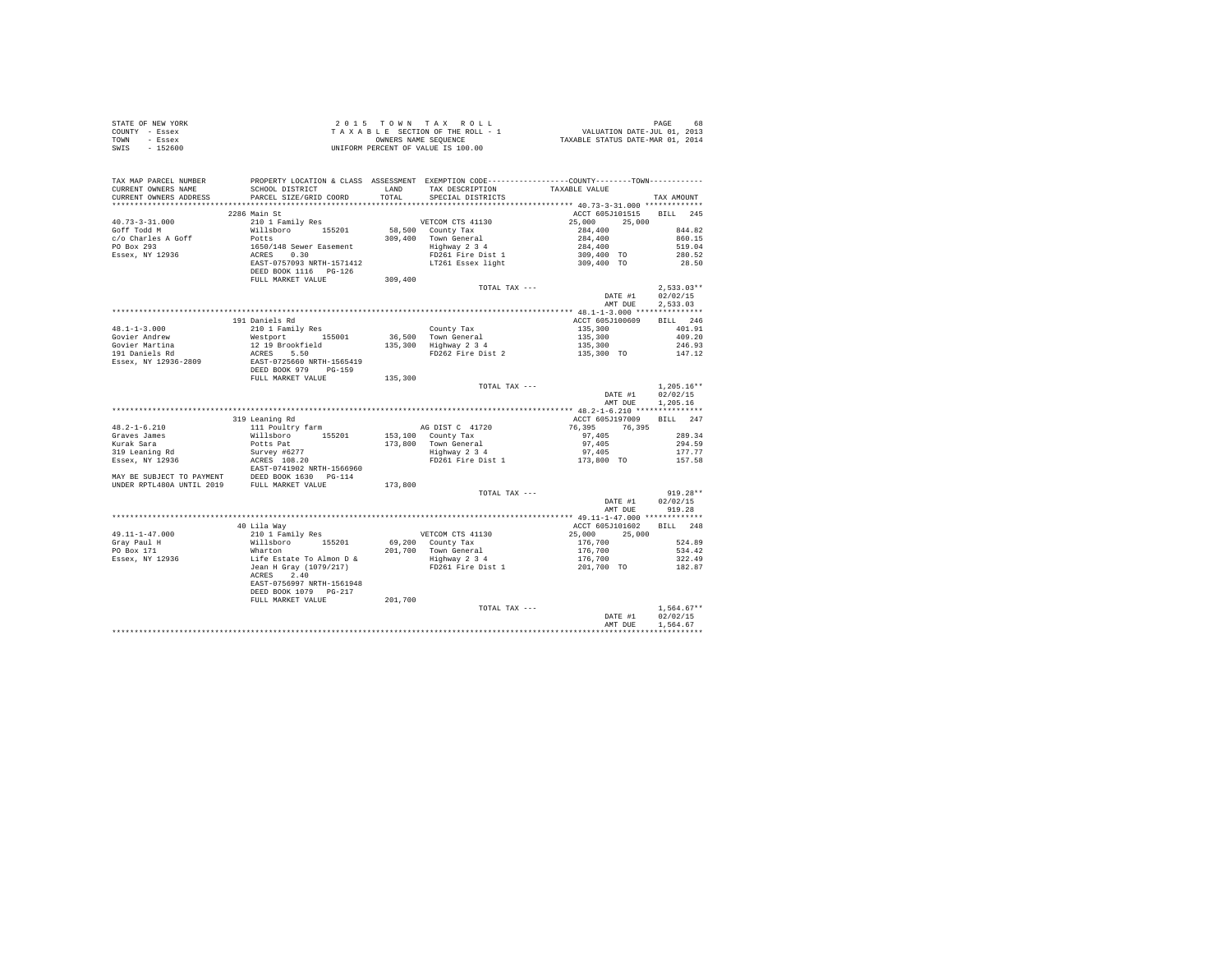| STATE OF NEW YORK<br>COUNTY - Essex<br>TOWN - Essex<br>SWIS - 152600                                                                                                                                                                           |                                                                                       | UNIFORM PERCENT OF VALUE IS 100.00 |                          |              |
|------------------------------------------------------------------------------------------------------------------------------------------------------------------------------------------------------------------------------------------------|---------------------------------------------------------------------------------------|------------------------------------|--------------------------|--------------|
| TAX MAP PARCEL NUMBER PROPERTY LOCATION & CLASS ASSESSMENT EXEMPTION CODE---------------COUNTY--------TOWN----------                                                                                                                           |                                                                                       |                                    |                          | TAX AMOUNT   |
|                                                                                                                                                                                                                                                |                                                                                       |                                    |                          |              |
|                                                                                                                                                                                                                                                | 2286 Main St                                                                          |                                    | ACCT 605J101515 BILL 245 |              |
|                                                                                                                                                                                                                                                |                                                                                       |                                    |                          |              |
|                                                                                                                                                                                                                                                |                                                                                       |                                    |                          |              |
|                                                                                                                                                                                                                                                |                                                                                       |                                    |                          |              |
|                                                                                                                                                                                                                                                |                                                                                       |                                    |                          |              |
|                                                                                                                                                                                                                                                |                                                                                       |                                    |                          |              |
|                                                                                                                                                                                                                                                |                                                                                       |                                    |                          |              |
|                                                                                                                                                                                                                                                |                                                                                       |                                    |                          |              |
|                                                                                                                                                                                                                                                |                                                                                       |                                    |                          |              |
|                                                                                                                                                                                                                                                |                                                                                       | TOTAL TAX $---$                    |                          |              |
|                                                                                                                                                                                                                                                |                                                                                       |                                    | DATE #1 02/02/15         |              |
|                                                                                                                                                                                                                                                |                                                                                       |                                    | AMT DUE                  | 2.533.03     |
|                                                                                                                                                                                                                                                |                                                                                       |                                    |                          |              |
|                                                                                                                                                                                                                                                |                                                                                       |                                    |                          |              |
|                                                                                                                                                                                                                                                |                                                                                       |                                    |                          |              |
|                                                                                                                                                                                                                                                |                                                                                       |                                    |                          |              |
|                                                                                                                                                                                                                                                |                                                                                       |                                    |                          |              |
|                                                                                                                                                                                                                                                |                                                                                       |                                    |                          |              |
|                                                                                                                                                                                                                                                |                                                                                       |                                    |                          |              |
|                                                                                                                                                                                                                                                |                                                                                       |                                    |                          |              |
|                                                                                                                                                                                                                                                |                                                                                       |                                    |                          |              |
|                                                                                                                                                                                                                                                |                                                                                       |                                    |                          |              |
|                                                                                                                                                                                                                                                |                                                                                       |                                    | AMT DUE 1,205.16         |              |
|                                                                                                                                                                                                                                                |                                                                                       |                                    |                          |              |
|                                                                                                                                                                                                                                                |                                                                                       |                                    |                          |              |
|                                                                                                                                                                                                                                                |                                                                                       |                                    |                          |              |
|                                                                                                                                                                                                                                                |                                                                                       |                                    |                          |              |
|                                                                                                                                                                                                                                                |                                                                                       |                                    |                          |              |
|                                                                                                                                                                                                                                                |                                                                                       |                                    |                          |              |
|                                                                                                                                                                                                                                                |                                                                                       |                                    |                          |              |
|                                                                                                                                                                                                                                                |                                                                                       |                                    |                          |              |
|                                                                                                                                                                                                                                                |                                                                                       |                                    |                          |              |
|                                                                                                                                                                                                                                                |                                                                                       |                                    |                          |              |
| 19 Leaning Rd<br>2012 - 16.210 - 2012 - 2013, 2013 - 2014<br>2027 - 2013 - 2014<br>2027 - 2014 - 2015 - 2014 - 2014 - 2014 - 2014 - 2014 - 2014 - 2014 - 2014 - 2014 - 2014<br>2028 - 2014 - 2014 - 2014 - 2014 - 2014 - 2014 - 2014 -         |                                                                                       | TOTAL TAX ---                      |                          | $919.28**$   |
|                                                                                                                                                                                                                                                |                                                                                       |                                    | DATE #1                  | 02/02/15     |
|                                                                                                                                                                                                                                                |                                                                                       |                                    | AMT DUE 919.28           |              |
|                                                                                                                                                                                                                                                |                                                                                       |                                    |                          |              |
| 11-1-47.000 11-1<br>40 Lila Way<br>10 Lila Way<br>The Millshoro 155201 69,200 County Tax<br>The Millshoro 155201 69,200 County Tax<br>PO Box 171 1 What<br>PO Box 171 1 248<br>FO Box 171 1 201,700 70 182.4.89<br>FO Box 171 1 201,700 534.42 |                                                                                       |                                    |                          |              |
|                                                                                                                                                                                                                                                |                                                                                       |                                    |                          |              |
|                                                                                                                                                                                                                                                |                                                                                       |                                    |                          |              |
|                                                                                                                                                                                                                                                |                                                                                       |                                    |                          |              |
|                                                                                                                                                                                                                                                |                                                                                       |                                    |                          |              |
|                                                                                                                                                                                                                                                |                                                                                       |                                    |                          |              |
|                                                                                                                                                                                                                                                | ACRES 2.40                                                                            |                                    |                          |              |
|                                                                                                                                                                                                                                                | لالاقادال المحمد / NRTH-1561948<br>DEED BOOK 1079 PG-217<br>FULL MARKET VALUE 201,700 |                                    |                          |              |
|                                                                                                                                                                                                                                                |                                                                                       |                                    |                          |              |
|                                                                                                                                                                                                                                                |                                                                                       |                                    |                          |              |
|                                                                                                                                                                                                                                                |                                                                                       | TOTAL TAX ---                      |                          | $1.564.67**$ |
|                                                                                                                                                                                                                                                |                                                                                       |                                    | DATE #1 02/02/15         |              |
|                                                                                                                                                                                                                                                |                                                                                       |                                    | AMT DUR                  | 1.564.67     |
|                                                                                                                                                                                                                                                |                                                                                       |                                    |                          | ************ |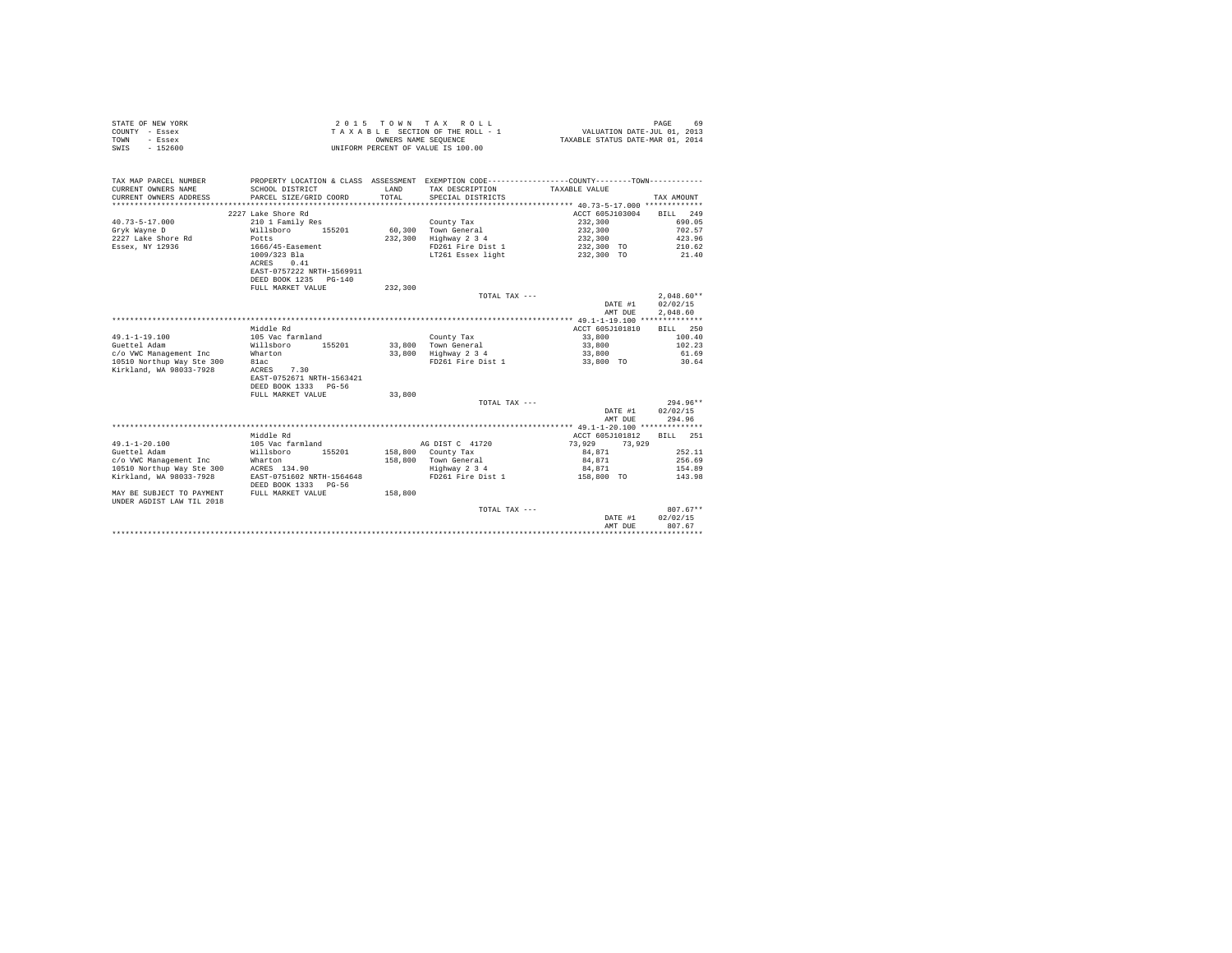| STATE OF NEW YORK | 2015 TOWN TAX ROLL                 | 69<br>PAGE                       |
|-------------------|------------------------------------|----------------------------------|
| COUNTY - Essex    | TAXABLE SECTION OF THE ROLL - 1    | VALUATION DATE-JUL 01, 2013      |
| TOWN<br>- Essex   | OWNERS NAME SEOUENCE               | TAXABLE STATUS DATE-MAR 01, 2014 |
| SWIS<br>$-152600$ | UNIFORM PERCENT OF VALUE IS 100.00 |                                  |

| TAX MAP PARCEL NUMBER<br>CURRENT OWNERS NAME<br>CURRENT OWNERS ADDRESS | PROPERTY LOCATION & CLASS ASSESSMENT EXEMPTION CODE----------------COUNTY-------TOWN----------<br>SCHOOL DISTRICT<br>PARCEL SIZE/GRID COORD | T.AND<br>TOTAL | TAX DESCRIPTION TAXABLE VALUE<br>SPECIAL DISTRICTS |                  | TAX AMOUNT   |
|------------------------------------------------------------------------|---------------------------------------------------------------------------------------------------------------------------------------------|----------------|----------------------------------------------------|------------------|--------------|
|                                                                        | 2227 Lake Shore Rd                                                                                                                          |                |                                                    | ACCT 605J103004  | BILL 249     |
| $40.73 - 5 - 17.000$                                                   | 210 1 Family Res                                                                                                                            |                | County Tax                                         | 232,300          | 690.05       |
| Gryk Wayne D                                                           | Willsboro<br>155201                                                                                                                         |                | 60.300 Town General                                | 232,300          | 702.57       |
| 2227 Lake Shore Rd                                                     | Potts                                                                                                                                       | 232,300        | Highway 2 3 4                                      | 232,300          | 423.96       |
| Essex, NY 12936                                                        | 1666/45-Easement                                                                                                                            |                | FD261 Fire Dist 1                                  | 232,300 TO       | 210.62       |
|                                                                        | 1009/323 Bla                                                                                                                                |                | LT261 Essex light                                  | 232,300 TO       | 21.40        |
|                                                                        | ACRES<br>0.41                                                                                                                               |                |                                                    |                  |              |
|                                                                        | EAST-0757222 NRTH-1569911                                                                                                                   |                |                                                    |                  |              |
|                                                                        | DEED BOOK 1235 PG-140                                                                                                                       |                |                                                    |                  |              |
|                                                                        | FULL MARKET VALUE                                                                                                                           | 232,300        |                                                    |                  |              |
|                                                                        |                                                                                                                                             |                | TOTAL TAX ---                                      |                  | $2.048.60**$ |
|                                                                        |                                                                                                                                             |                |                                                    | DATE #1          | 02/02/15     |
|                                                                        |                                                                                                                                             |                |                                                    |                  | 2.048.60     |
|                                                                        |                                                                                                                                             |                |                                                    | AMT DUE          |              |
|                                                                        |                                                                                                                                             |                |                                                    |                  |              |
|                                                                        | Middle Rd                                                                                                                                   |                |                                                    | ACCT 605J101810  | BILL 250     |
| $49.1 - 1 - 19.100$                                                    | 105 Vac farmland                                                                                                                            |                | County Tax                                         | 33,800           | 100.40       |
| Guettel Adam                                                           | Willsboro<br>155201                                                                                                                         |                | 33,800 Town General                                | 33,800           | 102.23       |
| c/o VWC Management Inc                                                 | Wharton                                                                                                                                     |                | 33,800 Highway 2 3 4                               | 33,800           | 61.69        |
| 10510 Northup Way Ste 300                                              | 81ac                                                                                                                                        |                | FD261 Fire Dist 1                                  | 33,800 TO        | 30.64        |
| Kirkland, WA 98033-7928                                                | ACRES 7.30                                                                                                                                  |                |                                                    |                  |              |
|                                                                        | EAST-0752671 NRTH-1563421                                                                                                                   |                |                                                    |                  |              |
|                                                                        | DEED BOOK 1333 PG-56                                                                                                                        |                |                                                    |                  |              |
|                                                                        | FULL MARKET VALUE                                                                                                                           | 33,800         |                                                    |                  |              |
|                                                                        |                                                                                                                                             |                | TOTAL TAX ---                                      |                  | $294.96**$   |
|                                                                        |                                                                                                                                             |                |                                                    | DATE #1          | 02/02/15     |
|                                                                        |                                                                                                                                             |                |                                                    | AMT DUE          | 294.96       |
|                                                                        |                                                                                                                                             |                |                                                    |                  |              |
|                                                                        | Middle Rd                                                                                                                                   |                |                                                    | ACCT 605J101812  | BILL 251     |
| $49.1 - 1 - 20.100$                                                    | 105 Vac farmland                                                                                                                            |                | AG DIST C 41720                                    | 73.929<br>73.929 |              |
| Guettel Adam                                                           | 155201<br>Willsboro                                                                                                                         |                | 158,800 County Tax                                 | 84,871           | 252.11       |
| c/o VWC Management Inc                                                 | Wharton                                                                                                                                     |                | 158,800 Town General                               | 84,871           | 256.69       |
| 10510 Northup Way Ste 300                                              | ACRES 134.90                                                                                                                                |                | Highway 2 3 4                                      | 84.871           | 154.89       |
| Kirkland, WA 98033-7928                                                | EAST-0751602 NRTH-1564648                                                                                                                   |                | FD261 Fire Dist 1                                  | 158,800 TO       | 143.98       |
|                                                                        | DEED BOOK 1333 PG-56                                                                                                                        |                |                                                    |                  |              |
| MAY BE SUBJECT TO PAYMENT                                              | FULL MARKET VALUE                                                                                                                           | 158,800        |                                                    |                  |              |
| UNDER AGDIST LAW TIL 2018                                              |                                                                                                                                             |                |                                                    |                  |              |
|                                                                        |                                                                                                                                             |                | TOTAL TAX ---                                      |                  | $807.67**$   |
|                                                                        |                                                                                                                                             |                |                                                    | DATE #1          | 02/02/15     |
|                                                                        |                                                                                                                                             |                |                                                    | AMT DUE          | 807.67       |
|                                                                        |                                                                                                                                             |                |                                                    |                  |              |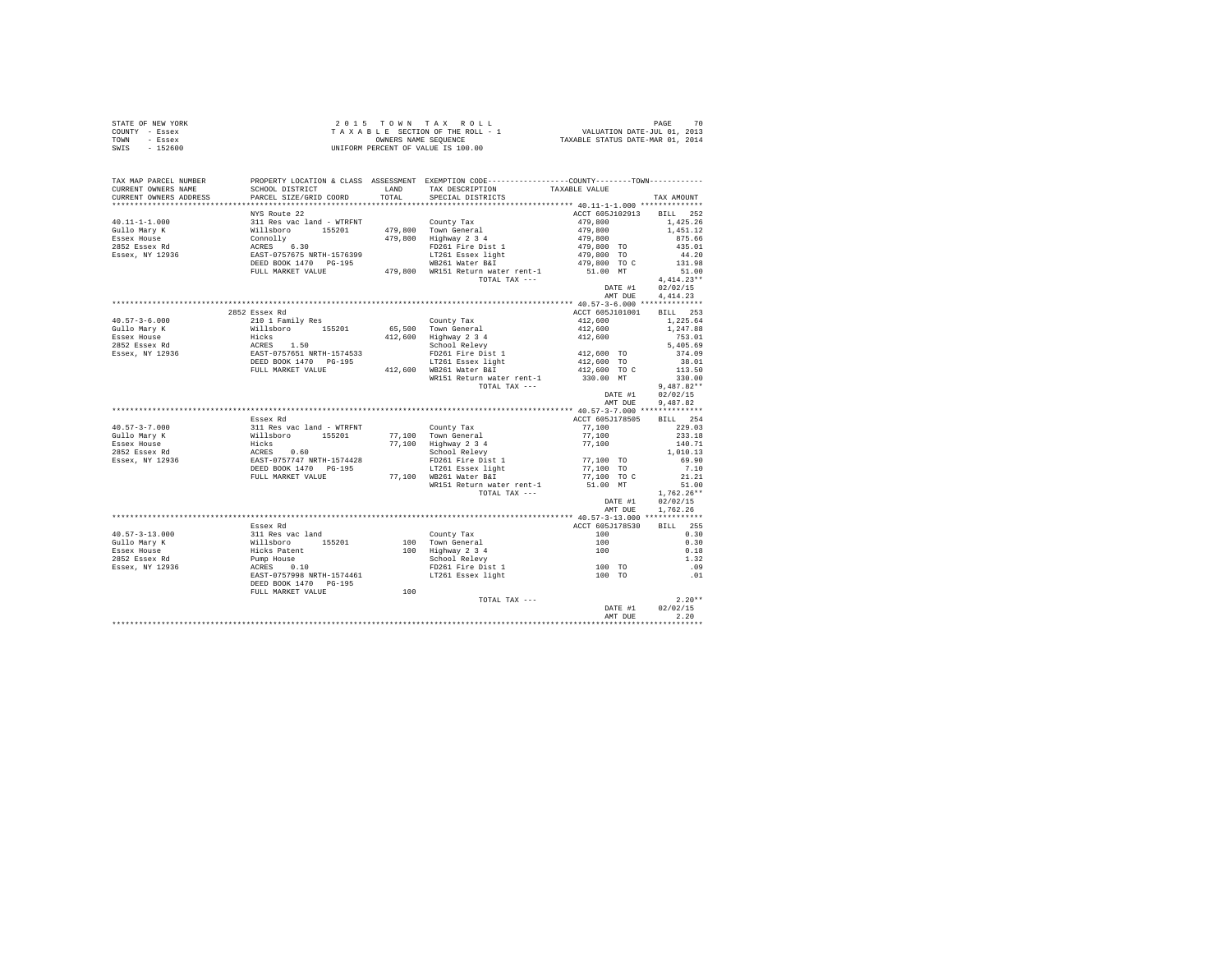|                | STATE OF NEW YORK | 2015 TOWN TAX ROLL                 | 70<br>PAGE                       |
|----------------|-------------------|------------------------------------|----------------------------------|
| COUNTY - Essex |                   | TAXABLE SECTION OF THE ROLL - 1    | VALUATION DATE-JUL 01, 2013      |
| TOWN           | - Essex           | OWNERS NAME SEOUENCE               | TAXABLE STATUS DATE-MAR 01, 2014 |
| SWIS           | $-152600$         | UNIFORM PERCENT OF VALUE IS 100.00 |                                  |

| TAX MAP PARCEL NUMBER<br>CURRENT OWNERS NAME | PROPERTY LOCATION & CLASS ASSESSMENT EXEMPTION CODE---------------COUNTY-------TOWN---------<br>SCHOOL DISTRICT             | LAND  | TAX DESCRIPTION                                            | TAXABLE VALUE                        |                  |
|----------------------------------------------|-----------------------------------------------------------------------------------------------------------------------------|-------|------------------------------------------------------------|--------------------------------------|------------------|
| CURRENT OWNERS ADDRESS                       | PARCEL SIZE/GRID COORD                                                                                                      | TOTAL | SPECIAL DISTRICTS                                          |                                      | TAX AMOUNT       |
|                                              | NYS Route 22                                                                                                                |       |                                                            | ACCT 605J102913                      | BILL 252         |
| $40.11 - 1 - 1.000$                          |                                                                                                                             |       | County Tax                                                 | 479,800                              | 1,425.26         |
| Gullo Mary K                                 |                                                                                                                             |       | 479,800 Town General                                       | 479,800                              | 1,451.12         |
| Essex House                                  |                                                                                                                             |       | 479,800 Highway 2 3 4                                      | 479,800                              | 875.66           |
| 2852 Essex Rd                                |                                                                                                                             |       | FD261 Fire Dist 1                                          | 479,800 TO                           | 435.01           |
| Essex, NY 12936                              |                                                                                                                             |       | LT261 Essex light                                          | 479,800 TO                           | 44.20            |
|                                              |                                                                                                                             |       | WB261 Water B&I                                            | 479,800 TO C                         | 131.98           |
|                                              | FULL MARKET VALUE                                                                                                           |       | 479.800 WR151 Return water rent-1                          | 51.00 MT                             | 51.00            |
|                                              |                                                                                                                             |       | TOTAL TAX ---                                              |                                      | $4.414.23**$     |
|                                              |                                                                                                                             |       |                                                            | DATE #1                              | 02/02/15         |
|                                              |                                                                                                                             |       |                                                            | AMT DUE                              | 4.414.23         |
|                                              |                                                                                                                             |       |                                                            |                                      |                  |
|                                              | 2852 Essex Rd                                                                                                               |       |                                                            | ACCT 605J101001                      | BILL 253         |
| $40.57 - 3 - 6.000$                          | 210 1 Family Res                                                                                                            |       | County Tax                                                 | 412,600                              | 1,225.64         |
| Gullo Marv K                                 | willsboro 155201<br>Hicks<br>ACRES 1.50<br>EAST-0757651 NRTH-1574533<br>DEED BOOK 1470 PG-195<br>DEED BOOK 1470 PG-195      |       | 65.500 Town General                                        | 412,600                              | 1,247.88         |
| Essex House                                  |                                                                                                                             |       | 412,600 Highway 2 3 4                                      | 412,600                              | 753.01           |
| 2852 Essex Rd<br>Essex, NY 12936             |                                                                                                                             |       | School Relevy                                              |                                      | 5,405.69         |
|                                              |                                                                                                                             |       | FD261 Fire Dist 1                                          | 412,600 TO                           | 374.09           |
|                                              |                                                                                                                             |       | LT261 Essex light                                          | 412,600 TO                           | 38.01            |
|                                              | FULL MARKET VALUE                                                                                                           |       | 412,600 WB261 Water B&I<br>WR151 Return water rent-1       | 412,600 TO C                         | 113.50<br>330.00 |
|                                              |                                                                                                                             |       | TOTAL TAX ---                                              | 330.00 MT                            | $9,487.82**$     |
|                                              |                                                                                                                             |       |                                                            | DATE #1                              | 02/02/15         |
|                                              |                                                                                                                             |       |                                                            | AMT DUE                              | 9,487.82         |
|                                              |                                                                                                                             |       |                                                            |                                      |                  |
|                                              | Essex Rd                                                                                                                    |       |                                                            | ACCT 605J178505                      | BILL 254         |
| $40.57 - 3 - 7.000$                          | 3311 Res vac land - WTRFNT<br>Willsboro 155201<br>Hicks<br>RCRES 0.60<br>EAST-0757747 NRTH-1574428<br>DEED BOOK 1470 PG-195 |       | County Tax                                                 | 77,100                               | 229.03           |
| Gullo Mary K                                 |                                                                                                                             |       | 77,100 Town General                                        | 77,100                               | 233.18           |
| Essex House                                  |                                                                                                                             |       | T7,100 Highway 2 3 4<br>School Relevy<br>School Relevy     | 77,100                               | 140.71           |
| 2852 Essex Rd                                |                                                                                                                             |       |                                                            |                                      | 1,010.13         |
| Essex, NY 12936                              |                                                                                                                             |       | FD261 Fire Dist 1                                          | 77,100 TO                            | 69.90            |
|                                              |                                                                                                                             |       | LT261 Essex light                                          | 77.100 TO                            | 7.10             |
|                                              | FULL MARKET VALUE                                                                                                           |       | 77,100 WB261 Water B&I                                     | 77,100 TO C                          | 21.21            |
|                                              |                                                                                                                             |       | WR151 Return water rent-1                                  | 51.00 MT                             | 51.00            |
|                                              |                                                                                                                             |       | TOTAL TAX ---                                              |                                      | $1.762.26**$     |
|                                              |                                                                                                                             |       |                                                            |                                      | DATE #1 02/02/15 |
|                                              |                                                                                                                             |       |                                                            | AMT DUE                              | 1,762.26         |
|                                              |                                                                                                                             |       |                                                            |                                      |                  |
|                                              | Essex Rd                                                                                                                    |       |                                                            | ACCT 605J178530                      | BILL 255         |
| $40.57 - 3 - 13.000$                         |                                                                                                                             |       | County Tax                                                 | 100                                  | 0.30             |
| Gullo Mary K                                 |                                                                                                                             |       | 100 Town General                                           | 100                                  | 0.30<br>0.18     |
| Essex House                                  |                                                                                                                             |       | 100 Highway 2 3 4                                          | 100                                  | 1.32             |
| ESSEX HUGS-<br>2852 ESSEX Rd<br>---- 12936   | SSER AW<br>311 Res vac land<br>Willsboro<br>Hicks Patent<br>Pump House<br>ACRES 0.10<br>EAST-0757998 NRTH-1574461           |       | Eighway 2 3 4<br>School Relevy<br>FD261 Fire Dist 1 100 TO |                                      | .09              |
|                                              |                                                                                                                             |       | LT261 Essex light                                          | 100 TO                               | .01              |
|                                              | DEED BOOK 1470  PG-195                                                                                                      |       |                                                            |                                      |                  |
|                                              | FULL MARKET VALUE                                                                                                           | 100   |                                                            |                                      |                  |
|                                              |                                                                                                                             |       | TOTAL TAX ---                                              |                                      | $2.20**$         |
|                                              |                                                                                                                             |       |                                                            | DATE #1                              | 02/02/15         |
|                                              |                                                                                                                             |       |                                                            | AMT DUE                              | 2.20             |
|                                              |                                                                                                                             |       |                                                            | ************************************ |                  |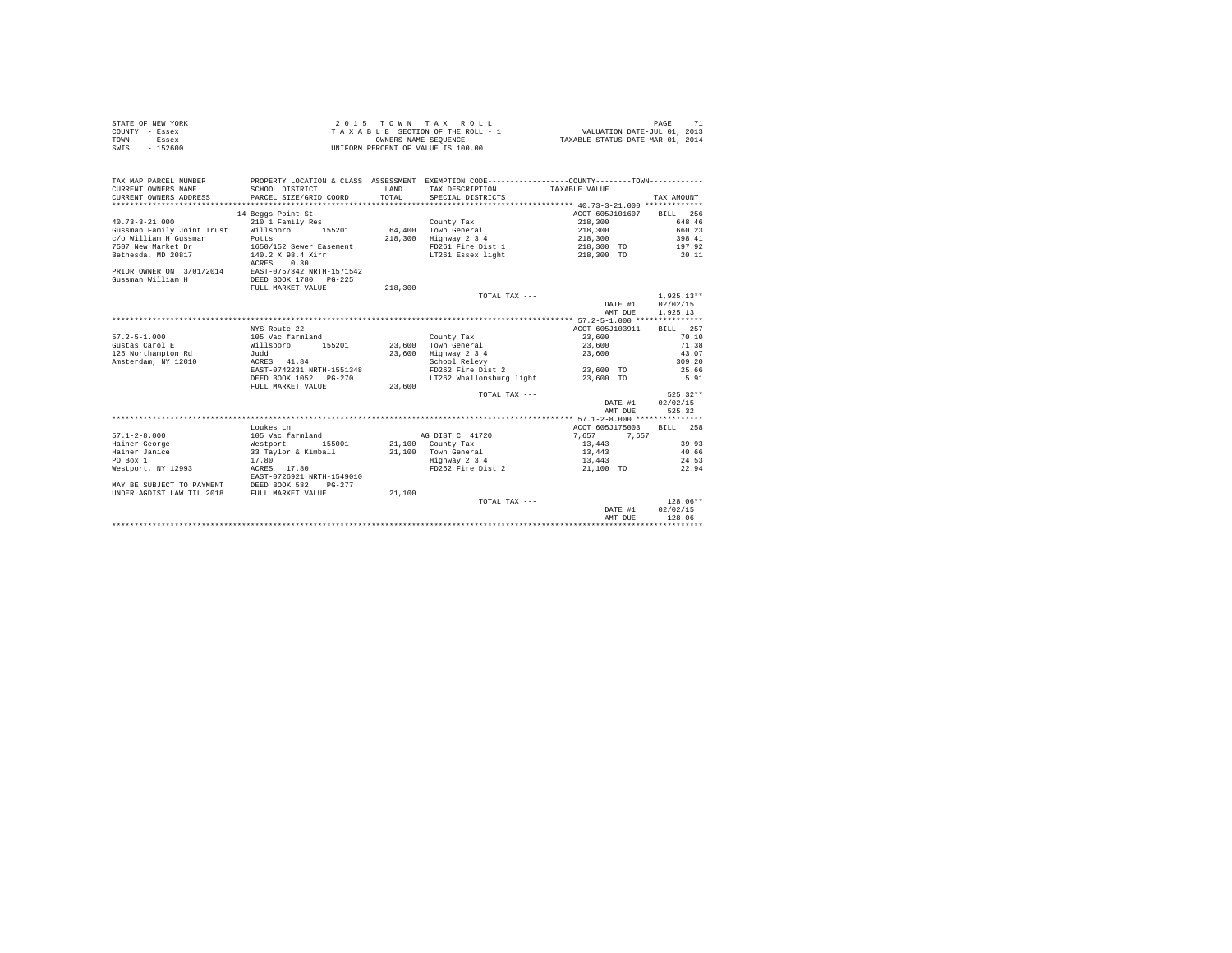| STATE OF NEW YORK | 2015 TOWN TAX ROLL                 | PAGE                             |
|-------------------|------------------------------------|----------------------------------|
| COUNTY - Essex    | TAXABLE SECTION OF THE ROLL - 1    | VALUATION DATE-JUL 01, 2013      |
| TOWN<br>- Essex   | OWNERS NAME SEOUENCE               | TAXABLE STATUS DATE-MAR 01, 2014 |
| $-152600$<br>SWIS | UNIFORM PERCENT OF VALUE IS 100.00 |                                  |

| TAX MAP PARCEL NUMBER<br>CURRENT OWNERS NAME<br>CURRENT OWNERS ADDRESS<br>********************** | SCHOOL DISTRICT<br>PARCEL SIZE/GRID COORD                              | LAND<br>TOTAL | PROPERTY LOCATION & CLASS ASSESSMENT EXEMPTION CODE----------------COUNTY--------TOWN----------<br>TAX DESCRIPTION<br>SPECIAL DISTRICTS | TAXABLE VALUE                         | TAX AMOUNT                           |
|--------------------------------------------------------------------------------------------------|------------------------------------------------------------------------|---------------|-----------------------------------------------------------------------------------------------------------------------------------------|---------------------------------------|--------------------------------------|
| $40.73 - 3 - 21.000$<br>Gussman Family Joint Trust                                               | 14 Beggs Point St<br>210 1 Family Res<br>Willsboro<br>155201           |               | County Tax<br>64.400 Town General                                                                                                       | ACCT 605J101607<br>218,300<br>218,300 | BILL 256<br>648.46<br>660.23         |
| c/o William H Gussman<br>7507 New Market Dr<br>Bethesda, MD 20817                                | Potts<br>1650/152 Sewer Easement<br>140.2 X 98.4 Xirr<br>0.30<br>ACRES | 218,300       | Highway 2 3 4<br>FD261 Fire Dist 1<br>LT261 Essex light                                                                                 | 218,300<br>218,300 TO<br>218,300 TO   | 398.41<br>197.92<br>20.11            |
| PRIOR OWNER ON 3/01/2014 EAST-0757342 NRTH-1571542<br>Gussman William H                          | DEED BOOK 1780<br>$PG-225$<br>FULL MARKET VALUE                        | 218,300       |                                                                                                                                         |                                       |                                      |
|                                                                                                  |                                                                        |               | TOTAL TAX ---                                                                                                                           | DATE #1<br>AMT DUE                    | $1.925.13**$<br>02/02/15<br>1,925.13 |
|                                                                                                  |                                                                        |               |                                                                                                                                         |                                       |                                      |
| $57.2 - 5 - 1.000$                                                                               | NYS Route 22<br>105 Vac farmland                                       |               |                                                                                                                                         | ACCT 605J103911                       | BILL 257<br>70.10                    |
| Gustas Carol E                                                                                   | Willsboro<br>155201                                                    | 23,600        | County Tax<br>Town General                                                                                                              | 23,600<br>23,600                      | 71.38                                |
|                                                                                                  |                                                                        | 23,600        |                                                                                                                                         |                                       | 43.07                                |
| 125 Northampton Rd                                                                               | Judd                                                                   |               | Highway 2 3 4                                                                                                                           | 23,600                                |                                      |
| Amsterdam, NY 12010                                                                              | ACRES 41.84                                                            |               | School Relevy                                                                                                                           |                                       | 309.20                               |
|                                                                                                  | EAST-0742231 NRTH-1551348                                              |               | FD262 Fire Dist 2                                                                                                                       | 23,600 TO                             | 25.66                                |
|                                                                                                  | DEED BOOK 1052 PG-270                                                  |               | LT262 Whallonsburg light                                                                                                                | 23,600 TO                             | 5.91                                 |
|                                                                                                  | FULL MARKET VALUE                                                      | 23,600        |                                                                                                                                         |                                       |                                      |
|                                                                                                  |                                                                        |               | TOTAL TAX ---                                                                                                                           |                                       | $525.32**$                           |
|                                                                                                  |                                                                        |               |                                                                                                                                         | DATE #1                               | 02/02/15                             |
|                                                                                                  |                                                                        |               |                                                                                                                                         | AMT DUE                               | 525.32                               |
|                                                                                                  |                                                                        |               |                                                                                                                                         |                                       |                                      |
|                                                                                                  | Loukes Ln                                                              |               |                                                                                                                                         | ACCT 605J175003                       | 258<br>BTLL.                         |
| $57.1 - 2 - 8.000$                                                                               | 105 Vac farmland                                                       |               | AG DIST C 41720                                                                                                                         | 7.657<br>7.657                        |                                      |
| Hainer George                                                                                    | Westport<br>155001                                                     |               | 21,100 County Tax                                                                                                                       | 13,443                                | 39.93                                |
| Hainer Janice                                                                                    | 33 Taylor & Kimball                                                    | 21,100        | Town General                                                                                                                            | 13,443                                | 40.66                                |
| PO Box 1                                                                                         | 17.80                                                                  |               | Highway 2 3 4                                                                                                                           | 13,443                                | 24.53                                |
| Westport, NY 12993                                                                               | 17.80<br>ACRES<br>EAST-0726921 NRTH-1549010                            |               | FD262 Fire Dist 2                                                                                                                       | 21,100 TO                             | 22.94                                |
| MAY BE SUBJECT TO PAYMENT                                                                        | DEED BOOK 582<br>$PG-277$                                              |               |                                                                                                                                         |                                       |                                      |
| UNDER AGDIST LAW TIL 2018                                                                        | FULL MARKET VALUE                                                      | 21,100        |                                                                                                                                         |                                       |                                      |
|                                                                                                  |                                                                        |               | TOTAL TAX ---                                                                                                                           |                                       | $128.06**$                           |
|                                                                                                  |                                                                        |               |                                                                                                                                         | DATE #1                               | 02/02/15                             |
|                                                                                                  |                                                                        |               |                                                                                                                                         | AMT DUE                               | 128.06                               |
|                                                                                                  |                                                                        |               |                                                                                                                                         |                                       |                                      |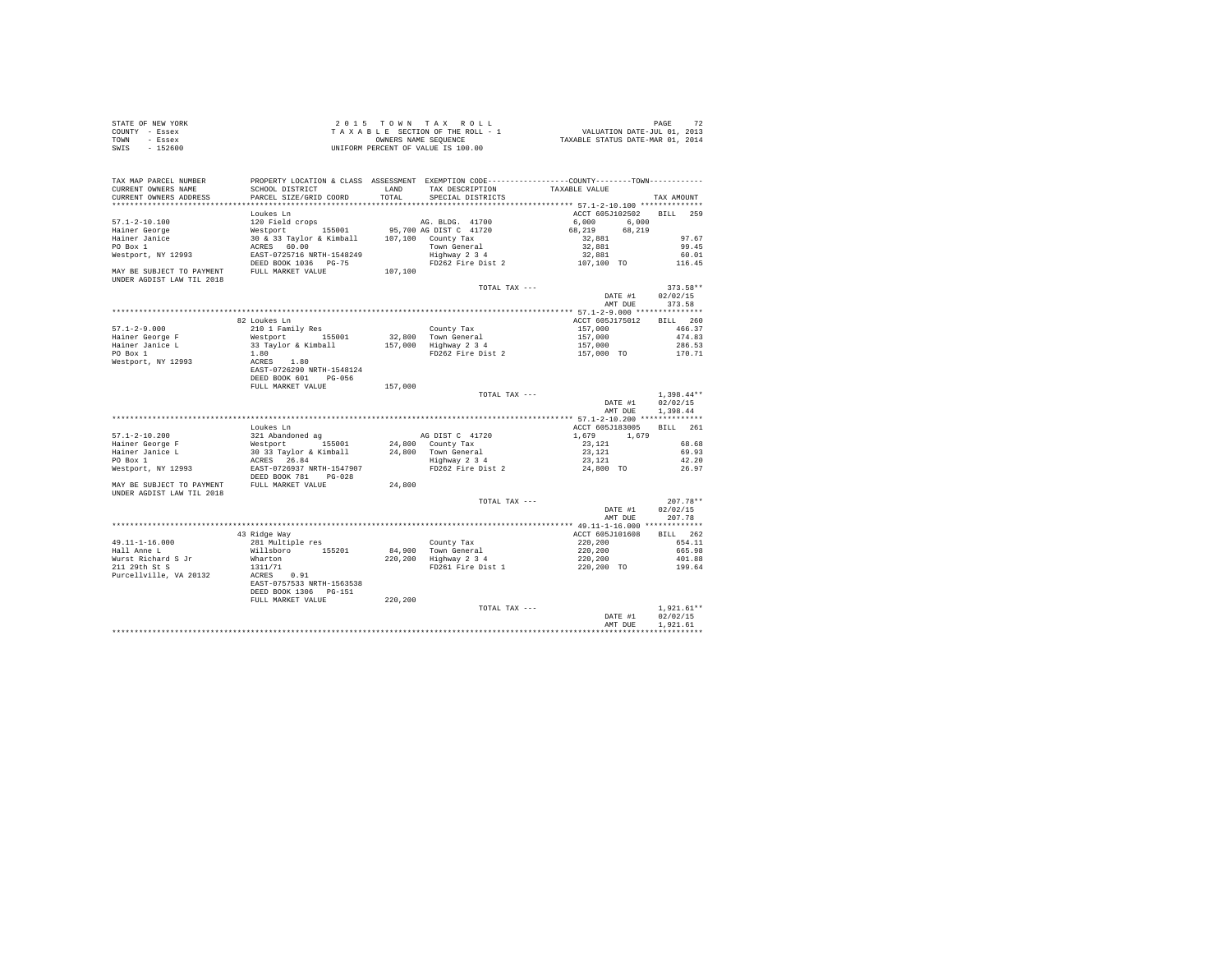| STATE OF NEW YORK | 2015 TOWN TAX ROLL                 | PAGE                             |
|-------------------|------------------------------------|----------------------------------|
| COUNTY - Essex    | TAXABLE SECTION OF THE ROLL - 1    | VALUATION DATE-JUL 01, 2013      |
| TOWN<br>- Essex   | OWNERS NAME SEOUENCE               | TAXABLE STATUS DATE-MAR 01, 2014 |
| $-152600$<br>SWIS | UNIFORM PERCENT OF VALUE IS 100.00 |                                  |

| TAX MAP PARCEL NUMBER<br>CURRENT OWNERS NAME | SCHOOL DISTRICT                                                                       | LAND    | TAX DESCRIPTION                              | PROPERTY LOCATION & CLASS ASSESSMENT EXEMPTION CODE----------------COUNTY--------TOWN----------<br>TAXABLE VALUE |                      |
|----------------------------------------------|---------------------------------------------------------------------------------------|---------|----------------------------------------------|------------------------------------------------------------------------------------------------------------------|----------------------|
| CURRENT OWNERS ADDRESS                       | PARCEL SIZE/GRID COORD                                                                | TOTAL   | SPECIAL DISTRICTS                            |                                                                                                                  | TAX AMOUNT           |
|                                              | Loukes Ln                                                                             |         |                                              | ACCT 605J102502                                                                                                  | BILL 259             |
| $57.1 - 2 - 10.100$                          | 120 Field crops                                                                       |         | AG. BLDG. 41700                              | 6,000<br>6.000                                                                                                   |                      |
| Hainer George                                | Westport 155001                                                                       |         | 95,700 AG DIST C 41720                       | 68,219<br>68,219                                                                                                 |                      |
| Hainer Janice                                | 30 & 33 Taylor & Kimball                                                              |         | 107,100 County Tax                           | 32,881                                                                                                           | 97.67                |
| PO Box 1                                     | ACRES 60.00                                                                           |         | Town General                                 | 32,881                                                                                                           | 99.45                |
| Westport, NY 12993                           | EAST-0725716 NRTH-1548249                                                             |         | Highway 2 3 4                                | 32,881                                                                                                           | 60.01                |
| MAY BE SUBJECT TO PAYMENT FULL MARKET VALUE  | DEED BOOK 1036 PG-75                                                                  |         | FD262 Fire Dist 2                            | 107,100 TO                                                                                                       | 116.45               |
| UNDER AGDIST LAW TIL 2018                    |                                                                                       | 107,100 |                                              |                                                                                                                  |                      |
|                                              |                                                                                       |         | TOTAL TAX ---                                |                                                                                                                  | $373.58**$           |
|                                              |                                                                                       |         |                                              | DATE #1                                                                                                          | 02/02/15             |
|                                              |                                                                                       |         |                                              | AMT DUE                                                                                                          | 373.58               |
|                                              |                                                                                       |         |                                              |                                                                                                                  |                      |
|                                              | 82 Loukes Ln                                                                          |         |                                              | ACCT 605J175012                                                                                                  | BILL 260             |
| $57.1 - 2 - 9.000$                           | 210 1 Family Res                                                                      |         | County Tax                                   | 157,000                                                                                                          | 466.37               |
| Hainer George F                              | Westport<br>155001                                                                    |         | 32,800 Town General                          | 157,000                                                                                                          | 474.83               |
| Hainer Janice L                              | 33 Taylor & Kimball                                                                   |         | 157,000 Highway 2 3 4                        | 157,000                                                                                                          | 286.53               |
| PO Box 1                                     | 1.80                                                                                  |         | FD262 Fire Dist 2                            | 157,000 TO                                                                                                       | 170.71               |
| Westport, NY 12993                           | ACRES 1.80                                                                            |         |                                              |                                                                                                                  |                      |
|                                              | EAST-0726290 NRTH-1548124                                                             |         |                                              |                                                                                                                  |                      |
|                                              | DEED BOOK 601 PG-056                                                                  |         |                                              |                                                                                                                  |                      |
|                                              | FULL MARKET VALUE                                                                     | 157,000 |                                              |                                                                                                                  |                      |
|                                              |                                                                                       |         | TOTAL TAX ---                                |                                                                                                                  | $1,398.44**$         |
|                                              |                                                                                       |         |                                              | DATE #1<br>AMT DUE                                                                                               | 02/02/15<br>1,398.44 |
|                                              |                                                                                       |         |                                              |                                                                                                                  |                      |
|                                              | Loukes Ln                                                                             |         |                                              | ACCT 605J183005                                                                                                  | BILL 261             |
| $57.1 - 2 - 10.200$                          | 321 Abandoned ag                                                                      |         | AG DIST C 41720                              | 1,679 1,679                                                                                                      |                      |
| Hainer George F                              |                                                                                       |         | 24,800 County Tax                            | 23,121                                                                                                           | 68.68                |
| Hainer Janice L                              | Westport 155001<br>30 33 Taylor & Kimball<br>ACRES 26.84<br>EAST-0726937 NRTH-1547907 |         | 24.800 Town General                          | 23.121                                                                                                           | 69.93                |
| PO Box 1                                     |                                                                                       |         | Highway 2 3 4                                | 23,121                                                                                                           | 42.20                |
| Westport, NY 12993                           |                                                                                       |         | FD262 Fire Dist 2                            | 24,800 TO                                                                                                        | 26.97                |
|                                              | DEED BOOK 781 PG-028                                                                  |         |                                              |                                                                                                                  |                      |
| MAY BE SUBJECT TO PAYMENT FULL MARKET VALUE  |                                                                                       | 24,800  |                                              |                                                                                                                  |                      |
| UNDER AGDIST LAW TIL 2018                    |                                                                                       |         |                                              |                                                                                                                  |                      |
|                                              |                                                                                       |         | TOTAL TAX ---                                |                                                                                                                  | $207.78**$           |
|                                              |                                                                                       |         |                                              | DATE #1                                                                                                          | 02/02/15             |
|                                              |                                                                                       |         |                                              | AMT DUE                                                                                                          | 207.78               |
|                                              |                                                                                       |         |                                              |                                                                                                                  |                      |
|                                              | 43 Ridge Way                                                                          |         |                                              | ACCT 605J101608                                                                                                  | BILL 262             |
| $49.11 - 1 - 16.000$                         | 281 Multiple res                                                                      |         | County Tax                                   | 220,200                                                                                                          | 654.11               |
| Hall Anne L<br>Wurst Richard S Jr            | Willsboro 155201<br>Wharton                                                           |         | 84,900 Town General<br>220,200 Highway 2 3 4 | 220,200<br>220,200                                                                                               | 665.98<br>401.88     |
| 211 29th St S                                | 1311/71                                                                               |         | FD261 Fire Dist 1                            | 220,200 TO                                                                                                       | 199.64               |
| Purcellville, VA 20132                       | ACRES 0.91                                                                            |         |                                              |                                                                                                                  |                      |
|                                              | EAST-0757533 NRTH-1563538                                                             |         |                                              |                                                                                                                  |                      |
|                                              | DEED BOOK 1306 PG-151                                                                 |         |                                              |                                                                                                                  |                      |
|                                              | FULL MARKET VALUE                                                                     | 220,200 |                                              |                                                                                                                  |                      |
|                                              |                                                                                       |         | TOTAL TAX ---                                |                                                                                                                  | $1,921.61**$         |
|                                              |                                                                                       |         |                                              | DATE #1                                                                                                          | 02/02/15             |
|                                              |                                                                                       |         |                                              | AMT DUE                                                                                                          | 1.921.61             |
|                                              |                                                                                       |         |                                              |                                                                                                                  |                      |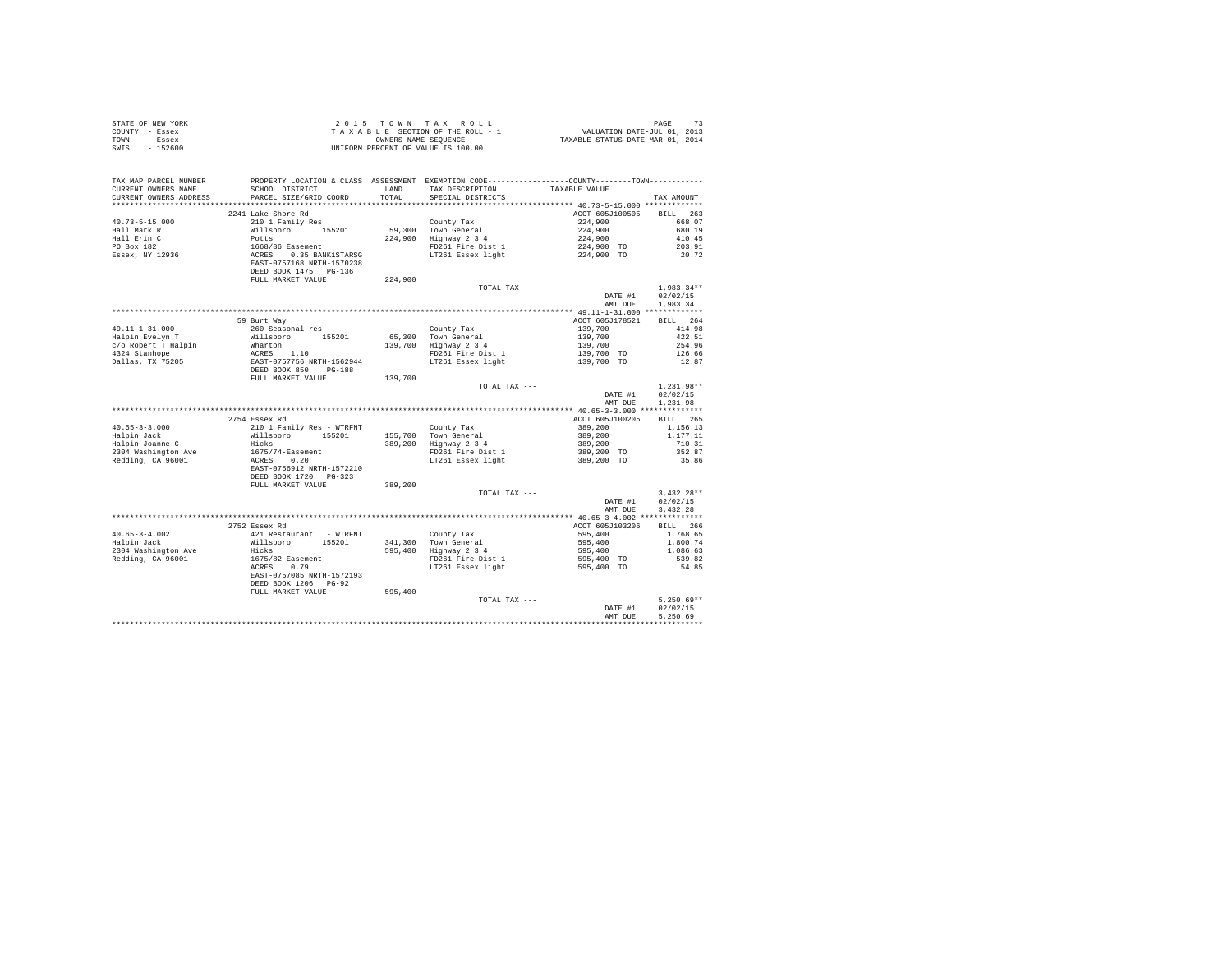| STATE OF NEW YORK<br>COUNTY - Essex<br>TOWN - Essex<br>SWIS - 152600                                                |                                                                                                                                                                   |         | $\begin{tabular}{ccccc} 2 0 1 5 & T 0 W N & T A X & R 0 L L & & & & \text{PAGE} & 73 \\ T A X A B L E & SECTION OF THE ROLL-1 & & & VALUATION DATE-JUL 01, 2013 \\ & & & & & \text{OMNEES} & \text{NALUATION DATE-TUL 01, 2013 \\ & & & & & \text{OMINEN 01, 2014} & & & \text{TAXABLE STATUS DATE-MAR 01, 2014} \\ \end{tabular}$<br>UNIFORM PERCENT OF VALUE IS 100.00 |                                                           |                 |
|---------------------------------------------------------------------------------------------------------------------|-------------------------------------------------------------------------------------------------------------------------------------------------------------------|---------|--------------------------------------------------------------------------------------------------------------------------------------------------------------------------------------------------------------------------------------------------------------------------------------------------------------------------------------------------------------------------|-----------------------------------------------------------|-----------------|
| TAX MAP PARCEL NUMBER PROPERTY LOCATION & CLASS ASSESSMENT EXEMPTION CODE--------------COUNTY--------TOWN---------- |                                                                                                                                                                   |         |                                                                                                                                                                                                                                                                                                                                                                          |                                                           |                 |
| CURRENT OWNERS NAME                                                                                                 | SCHOOL DISTRICT                                                                                                                                                   |         | LAND TAX DESCRIPTION                                                                                                                                                                                                                                                                                                                                                     | TAXABLE VALUE                                             |                 |
| CURRENT OWNERS ADDRESS                                                                                              | PARCEL SIZE/GRID COORD                                                                                                                                            | TOTAL   | SPECIAL DISTRICTS                                                                                                                                                                                                                                                                                                                                                        |                                                           | TAX AMOUNT      |
|                                                                                                                     |                                                                                                                                                                   |         |                                                                                                                                                                                                                                                                                                                                                                          |                                                           |                 |
|                                                                                                                     | 2241 Lake Shore Rd                                                                                                                                                |         |                                                                                                                                                                                                                                                                                                                                                                          | ACCT 605J100505 BILL 263                                  |                 |
| $40.73 - 5 - 15.000$                                                                                                | 210 1 Family Res                                                                                                                                                  |         |                                                                                                                                                                                                                                                                                                                                                                          | 224,900                                                   | 668.07          |
| Hall Mark R                                                                                                         |                                                                                                                                                                   |         | County Tax<br>59,300 Town General<br>224,900 Highway 2 3 4                                                                                                                                                                                                                                                                                                               | 224,900                                                   | 680.19          |
| Hall Erin C<br>PO Box 182                                                                                           |                                                                                                                                                                   |         | 900 Highway 2 3 4<br>FD261 Fire Dist 1 224,900 TO<br>LT261 Essex light 224,900 TO<br>224,900 TO                                                                                                                                                                                                                                                                          |                                                           | 410.45          |
|                                                                                                                     |                                                                                                                                                                   |         |                                                                                                                                                                                                                                                                                                                                                                          |                                                           | 203.91<br>20.72 |
| Essex, NY 12936                                                                                                     | %10-1 ramily Res<br>Willaboro 155201<br>Potts (1668/86 Easement<br>AGRES 0.35 BANK1STARSG<br>AGRES 0.35 BANK1STARSG<br>DEBD BOOK 1475 PG-136<br>PULL MARKET VALUE |         |                                                                                                                                                                                                                                                                                                                                                                          |                                                           |                 |
|                                                                                                                     |                                                                                                                                                                   |         |                                                                                                                                                                                                                                                                                                                                                                          |                                                           |                 |
|                                                                                                                     |                                                                                                                                                                   | 224,900 | TOTAL TAX ---                                                                                                                                                                                                                                                                                                                                                            |                                                           | $1.983.34**$    |
|                                                                                                                     |                                                                                                                                                                   |         |                                                                                                                                                                                                                                                                                                                                                                          | DATE #1                                                   | 02/02/15        |
|                                                                                                                     |                                                                                                                                                                   |         |                                                                                                                                                                                                                                                                                                                                                                          | AMT DUE                                                   | 1,983.34        |
|                                                                                                                     |                                                                                                                                                                   |         |                                                                                                                                                                                                                                                                                                                                                                          |                                                           |                 |
|                                                                                                                     | 59 Burt Way                                                                                                                                                       |         |                                                                                                                                                                                                                                                                                                                                                                          | ACCT 605J178521                                           | BILL 264        |
| $49.11 - 1 - 31.000$                                                                                                | 260 Seasonal res                                                                                                                                                  |         | County Tax                                                                                                                                                                                                                                                                                                                                                               | 139,700                                                   | 414.98          |
| Halpin Evelyn T                                                                                                     | Willsboro 155201                                                                                                                                                  |         | County iax<br>65,300 Town General<br>139,700 Highway 2 3 4                                                                                                                                                                                                                                                                                                               |                                                           | 422.51          |
| $c/o$ Robert T Halpin                                                                                               |                                                                                                                                                                   |         |                                                                                                                                                                                                                                                                                                                                                                          | 139,700<br>139,700<br>139,700<br>139,700 TO<br>139,700 TO | 254.96          |
| 4324 Stanhope                                                                                                       |                                                                                                                                                                   |         | FD261 Fire Dist 1                                                                                                                                                                                                                                                                                                                                                        |                                                           | 126.66          |
| Dallas, TX 75205                                                                                                    | Wharton<br>Marton<br>RCRES 1.10<br>EAST-0757756 NRTH-1562944<br>DEED BOOK 850 PG-188                                                                              |         | LT261 Essex light                                                                                                                                                                                                                                                                                                                                                        |                                                           | 12.87           |
|                                                                                                                     | FULL MARKET VALUE                                                                                                                                                 | 139,700 |                                                                                                                                                                                                                                                                                                                                                                          |                                                           |                 |
|                                                                                                                     |                                                                                                                                                                   |         | TOTAL TAX ---                                                                                                                                                                                                                                                                                                                                                            |                                                           | $1.231.98**$    |
|                                                                                                                     |                                                                                                                                                                   |         |                                                                                                                                                                                                                                                                                                                                                                          | DATE #1                                                   | 02/02/15        |
|                                                                                                                     |                                                                                                                                                                   |         |                                                                                                                                                                                                                                                                                                                                                                          | AMT DUE                                                   | 1.231.98        |
|                                                                                                                     | 2754 Essex Rd                                                                                                                                                     |         |                                                                                                                                                                                                                                                                                                                                                                          | ACCT 605J100205                                           | BILL 265        |
| $40.65 - 3 - 3.000$                                                                                                 | 210 1 Family Res - WTRFNT                                                                                                                                         |         |                                                                                                                                                                                                                                                                                                                                                                          | 389,200                                                   | 1,156.13        |
|                                                                                                                     | Willsboro 155201                                                                                                                                                  |         |                                                                                                                                                                                                                                                                                                                                                                          | 389,200<br>389,200<br>389,200<br>389,200 TO               | 1,177,11        |
| Halpin Jack<br>Halpin Joanne C                                                                                      | Hicks                                                                                                                                                             |         |                                                                                                                                                                                                                                                                                                                                                                          |                                                           | 710.31          |
| 2304 Washington Ave                                                                                                 |                                                                                                                                                                   |         |                                                                                                                                                                                                                                                                                                                                                                          |                                                           | 352.87          |
| Redding, CA 96001                                                                                                   | $1675/74 -$ Easement<br>ACRES 0.20                                                                                                                                |         | County Tax<br>155,700 Town General<br>389,200 Highway 2 3 4<br>FD261 Fire Dist 1<br>LT261 Essex light                                                                                                                                                                                                                                                                    | 389,200 TO                                                | 35.86           |
|                                                                                                                     | EAST-0756912 NRTH-1572210                                                                                                                                         |         |                                                                                                                                                                                                                                                                                                                                                                          |                                                           |                 |
|                                                                                                                     | DEED BOOK 1720 PG-323                                                                                                                                             |         |                                                                                                                                                                                                                                                                                                                                                                          |                                                           |                 |
|                                                                                                                     | FULL MARKET VALUE                                                                                                                                                 | 389,200 |                                                                                                                                                                                                                                                                                                                                                                          |                                                           |                 |
|                                                                                                                     |                                                                                                                                                                   |         | TOTAL TAX ---                                                                                                                                                                                                                                                                                                                                                            |                                                           | $3.432.28**$    |
|                                                                                                                     |                                                                                                                                                                   |         |                                                                                                                                                                                                                                                                                                                                                                          | DATE #1                                                   | 02/02/15        |
|                                                                                                                     |                                                                                                                                                                   |         |                                                                                                                                                                                                                                                                                                                                                                          | AMT DUE                                                   | 3.432.28        |
|                                                                                                                     | 2752 Essex Rd                                                                                                                                                     |         |                                                                                                                                                                                                                                                                                                                                                                          | ACCT 605J103206                                           | <b>BILL</b> 266 |
| $40.65 - 3 - 4.002$                                                                                                 | 421 Restaurant - WTRFNT                                                                                                                                           |         |                                                                                                                                                                                                                                                                                                                                                                          |                                                           | 1,768.65        |
| Halpin Jack                                                                                                         | Willsboro 155201                                                                                                                                                  |         | County Tax<br>141,300 Town General 595,400<br>595,400 Highway 2 3 4<br>595,400 PD261 Fire Dist 1 595,400<br>FO261 Fire Dist 1 595,400 TO<br>DT261 Essex light 595,400 TO                                                                                                                                                                                                 |                                                           | 1,800.74        |
| 2304 Washington Ave                                                                                                 | Hicks                                                                                                                                                             |         |                                                                                                                                                                                                                                                                                                                                                                          |                                                           | 1,086.63        |
| Redding, CA 96001                                                                                                   | $1675/82 -$ Easement                                                                                                                                              |         |                                                                                                                                                                                                                                                                                                                                                                          |                                                           | 539.82          |
|                                                                                                                     | ACRES 0.79                                                                                                                                                        |         |                                                                                                                                                                                                                                                                                                                                                                          |                                                           | 54.85           |
|                                                                                                                     | EAST-0757085 NRTH-1572193                                                                                                                                         |         |                                                                                                                                                                                                                                                                                                                                                                          |                                                           |                 |
|                                                                                                                     | DEED BOOK 1206 PG-92                                                                                                                                              |         |                                                                                                                                                                                                                                                                                                                                                                          |                                                           |                 |
|                                                                                                                     | FULL MARKET VALUE                                                                                                                                                 | 595,400 |                                                                                                                                                                                                                                                                                                                                                                          |                                                           |                 |
|                                                                                                                     |                                                                                                                                                                   |         | TOTAL TAX ---                                                                                                                                                                                                                                                                                                                                                            |                                                           | $5.250.69**$    |
|                                                                                                                     |                                                                                                                                                                   |         |                                                                                                                                                                                                                                                                                                                                                                          | DATE #1                                                   | 02/02/15        |
|                                                                                                                     |                                                                                                                                                                   |         |                                                                                                                                                                                                                                                                                                                                                                          | AMT DUE                                                   | 5.250.69        |
|                                                                                                                     |                                                                                                                                                                   |         |                                                                                                                                                                                                                                                                                                                                                                          |                                                           |                 |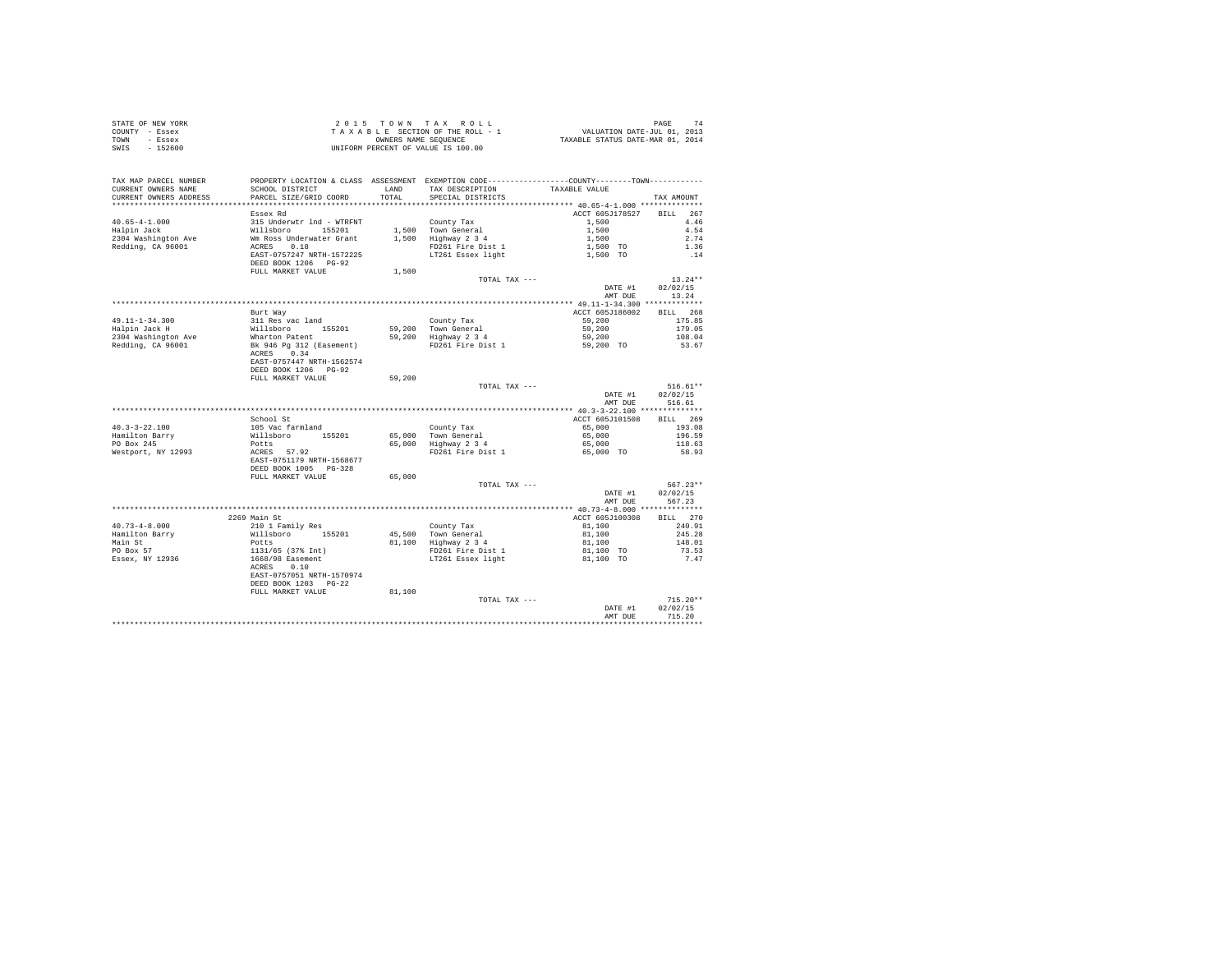| STATE OF NEW YORK | 2015 TOWN TAX ROLL                 | PAGE                             |
|-------------------|------------------------------------|----------------------------------|
| COUNTY - Essex    | TAXABLE SECTION OF THE ROLL - 1    | VALUATION DATE-JUL 01, 2013      |
| TOWN<br>- Essex   | OWNERS NAME SEOUENCE               | TAXABLE STATUS DATE-MAR 01, 2014 |
| SWIS<br>$-152600$ | UNIFORM PERCENT OF VALUE IS 100.00 |                                  |

| TAX MAP PARCEL NUMBER<br>CURRENT OWNERS NAME<br>CURRENT OWNERS ADDRESS | PROPERTY LOCATION & CLASS ASSESSMENT EXEMPTION CODE----------------COUNTY-------TOWN----------<br>SCHOOL DISTRICT<br>PARCEL SIZE/GRID COORD | LAND<br>TOTAL | TAX DESCRIPTION<br>SPECIAL DISTRICTS        | TAXABLE VALUE                                              | TAX AMOUNT |
|------------------------------------------------------------------------|---------------------------------------------------------------------------------------------------------------------------------------------|---------------|---------------------------------------------|------------------------------------------------------------|------------|
| *********************                                                  | **************************                                                                                                                  |               |                                             |                                                            |            |
|                                                                        | Essex Rd                                                                                                                                    |               |                                             | ACCT 605J178527                                            | BILL 267   |
| $40.65 - 4 - 1.000$                                                    | 315 Underwtr 1nd - WTRFNT<br>Willsboro - 155201<br>Wm Ross Underwater Grant<br>ACRES - 0.18                                                 |               | County Tax                                  | 1,500                                                      | 4.46       |
| Halpin Jack                                                            |                                                                                                                                             |               | 1,500 Town General<br>1,500 Highway 2 3 4   | 1,500                                                      | 4.54       |
| 2304 Washington Ave                                                    |                                                                                                                                             |               |                                             | 1,500                                                      | 2.74       |
| Redding, CA 96001                                                      |                                                                                                                                             |               | FD261 Fire Dist 1                           | 1,500 TO                                                   | 1.36       |
|                                                                        | EAST-0757247 NRTH-1572225                                                                                                                   |               | LT261 Essex light                           | 1,500 TO                                                   | .14        |
|                                                                        | DEED BOOK 1206 PG-92<br>FULL MARKET VALUE                                                                                                   | 1,500         |                                             |                                                            |            |
|                                                                        |                                                                                                                                             |               | TOTAL TAX ---                               |                                                            | $13.24**$  |
|                                                                        |                                                                                                                                             |               |                                             | DATE #1                                                    | 02/02/15   |
|                                                                        |                                                                                                                                             |               |                                             | AMT DUE                                                    | 13.24      |
|                                                                        |                                                                                                                                             |               |                                             |                                                            |            |
|                                                                        | Burt Way                                                                                                                                    |               |                                             | ACCT 605J186002                                            | BILL 268   |
| 49.11-1-34.300                                                         |                                                                                                                                             |               | County Tax                                  | 59,200                                                     | 175.85     |
| Halpin Jack H                                                          |                                                                                                                                             |               | 59,200 Town General                         | 59,200                                                     | 179.05     |
| 2304 Washington Ave                                                    |                                                                                                                                             |               | 59,200 Highway 2 3 4                        | 59,200                                                     | 108.04     |
| Redding, CA 96001                                                      | 311 Res vac land<br>Willsboro 155201<br>Wharton Patent<br>Bk 946 Pg 312 (Easement)                                                          |               | FD261 Fire Dist 1                           | 59,200 TO                                                  | 53.67      |
|                                                                        | ACRES 0.34                                                                                                                                  |               |                                             |                                                            |            |
|                                                                        | EAST-0757447 NRTH-1562574                                                                                                                   |               |                                             |                                                            |            |
|                                                                        | DEED BOOK 1206 PG-92                                                                                                                        |               |                                             |                                                            |            |
|                                                                        | FULL MARKET VALUE                                                                                                                           | 59,200        |                                             |                                                            |            |
|                                                                        |                                                                                                                                             |               | TOTAL TAX ---                               |                                                            | $516.61**$ |
|                                                                        |                                                                                                                                             |               |                                             | DATE #1                                                    | 02/02/15   |
|                                                                        |                                                                                                                                             |               |                                             | AMT DUE                                                    | 516.61     |
|                                                                        |                                                                                                                                             |               |                                             |                                                            |            |
|                                                                        | School St                                                                                                                                   |               |                                             | ACCT 605J101508                                            | BILL 269   |
| $40.3 - 3 - 22.100$                                                    |                                                                                                                                             |               | County Tax                                  | 65,000                                                     | 193.08     |
| Hamilton Barry                                                         |                                                                                                                                             |               | 65,000 Town General<br>65,000 Highway 2 3 4 | 65,000                                                     | 196.59     |
| PO Box 245                                                             |                                                                                                                                             |               |                                             | 65,000                                                     | 118.63     |
| Westport, NY 12993                                                     | 105 Vac farmland<br>Willsboro 155201<br>Potts<br>ACRES 57.92                                                                                |               | FD261 Fire Dist 1                           | 65,000 TO                                                  | 58.93      |
|                                                                        | EAST-0751179 NRTH-1568677                                                                                                                   |               |                                             |                                                            |            |
|                                                                        | DEED BOOK 1005 PG-328                                                                                                                       |               |                                             |                                                            |            |
|                                                                        | FULL MARKET VALUE                                                                                                                           | 65,000        |                                             |                                                            |            |
|                                                                        |                                                                                                                                             |               | TOTAL TAX ---                               |                                                            | $567.23**$ |
|                                                                        |                                                                                                                                             |               |                                             | DATE #1                                                    | 02/02/15   |
|                                                                        |                                                                                                                                             |               |                                             | AMT DUE                                                    | 567.23     |
|                                                                        |                                                                                                                                             |               |                                             |                                                            |            |
|                                                                        | 2269 Main St                                                                                                                                |               |                                             | ACCT 605J100308                                            | BILL 270   |
| $40.73 - 4 - 8.000$                                                    | 210 1 Family Res                                                                                                                            |               | County Tax                                  | 81,100                                                     | 240.91     |
| Hamilton Barry                                                         |                                                                                                                                             |               | 45,500 Town General                         | 81,100                                                     | 245.28     |
| Main St                                                                |                                                                                                                                             |               | 81,100 Highway 2 3 4                        | 81,100                                                     | 148.01     |
| PO Box 57                                                              |                                                                                                                                             |               |                                             | FD261 Fire Dist 1 81,100 TO<br>LT261 Essex light 81,100 TO | 73.53      |
| Essex, NY 12936                                                        | %10 1 Family Res<br>Willsboro 155201<br>Potts<br>133/65 (37% Int)<br>1668/98 Easement<br>ACRES 0.10                                         |               |                                             |                                                            | 7.47       |
|                                                                        |                                                                                                                                             |               |                                             |                                                            |            |
|                                                                        | EAST-0757051 NRTH-1570974                                                                                                                   |               |                                             |                                                            |            |
|                                                                        | DEED BOOK 1203 PG-22                                                                                                                        |               |                                             |                                                            |            |
|                                                                        | FULL MARKET VALUE                                                                                                                           | 81,100        |                                             |                                                            |            |
|                                                                        |                                                                                                                                             |               | TOTAL TAX ---                               |                                                            | $715.20**$ |
|                                                                        |                                                                                                                                             |               |                                             | DATE #1                                                    | 02/02/15   |
|                                                                        |                                                                                                                                             |               |                                             | AMT DUE                                                    | 715.20     |
|                                                                        |                                                                                                                                             |               |                                             |                                                            |            |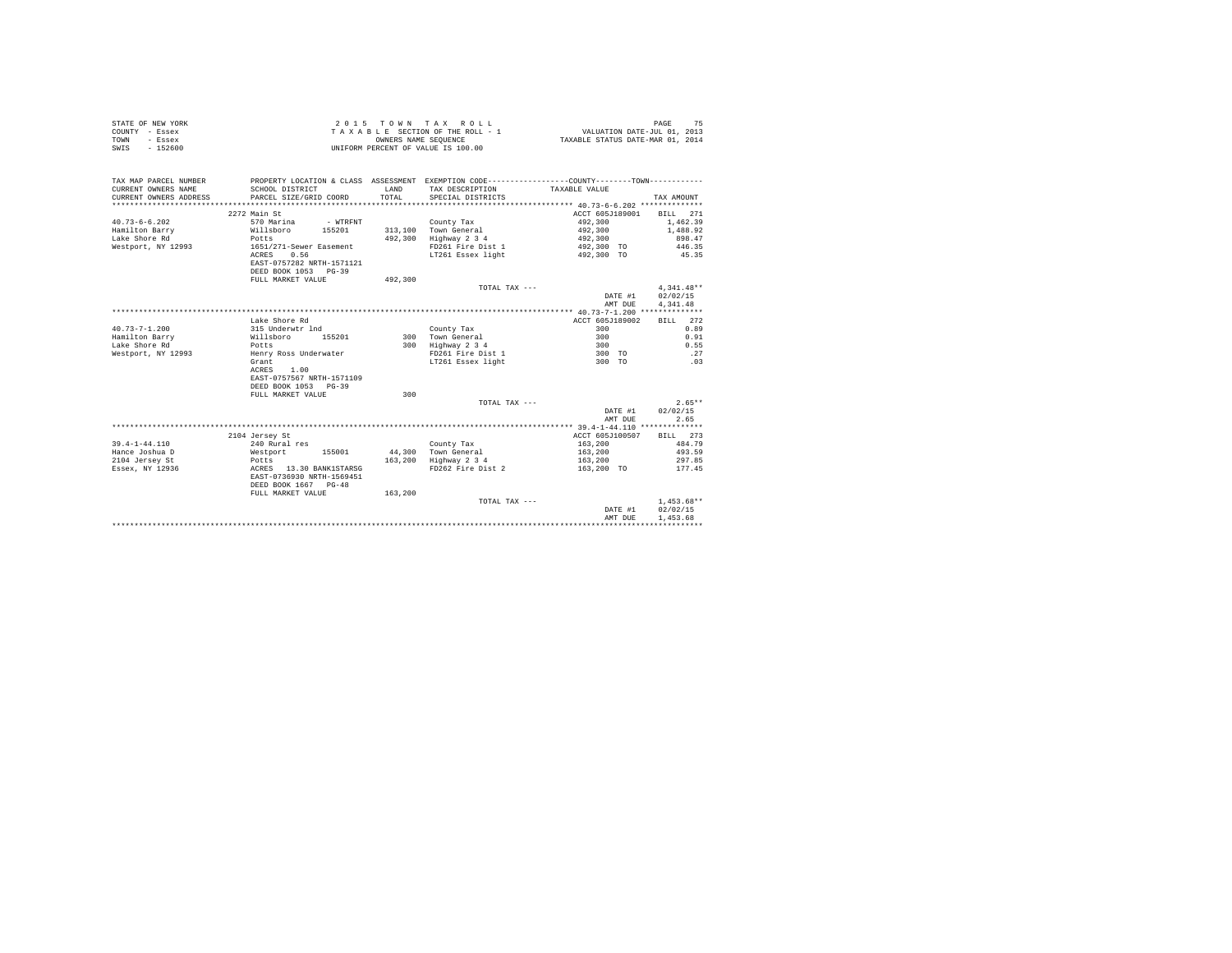| STATE OF NEW YORK | 2015 TOWN TAX ROLL                 | PAGE                             |
|-------------------|------------------------------------|----------------------------------|
| COUNTY - Essex    | TAXABLE SECTION OF THE ROLL - 1    | VALUATION DATE-JUL 01, 2013      |
| TOWN<br>- Essex   | OWNERS NAME SEOUENCE               | TAXABLE STATUS DATE-MAR 01, 2014 |
| SWIS<br>$-152600$ | UNIFORM PERCENT OF VALUE IS 100.00 |                                  |

| TAX MAP PARCEL NUMBER<br>CURRENT OWNERS NAME<br>CURRENT OWNERS ADDRESS<br>************** | SCHOOL DISTRICT<br>PARCEL SIZE/GRID COORD | LAND<br>TOTAL. | PROPERTY LOCATION & CLASS ASSESSMENT EXEMPTION CODE----------------COUNTY--------TOWN----------<br>TAX DESCRIPTION TAXABLE VALUE<br>SPECIAL DISTRICTS |                 | TAX AMOUNT   |
|------------------------------------------------------------------------------------------|-------------------------------------------|----------------|-------------------------------------------------------------------------------------------------------------------------------------------------------|-----------------|--------------|
|                                                                                          | 2272 Main St                              |                |                                                                                                                                                       | ACCT 605J189001 | BILL 271     |
| $40.73 - 6 - 6.202$                                                                      | 570 Marina<br>- WTRFNT                    |                | County Tax                                                                                                                                            | 492,300         | 1,462.39     |
| Hamilton Barry                                                                           | Willsboro<br>155201                       |                | 313,100 Town General                                                                                                                                  | 492,300         | 1,488.92     |
| Lake Shore Rd                                                                            | Potts                                     | 492,300        | Highway 2 3 4                                                                                                                                         | 492,300         | 898.47       |
| Westport, NY 12993                                                                       | 1651/271-Sewer Easement                   |                | FD261 Fire Dist 1                                                                                                                                     | 492,300 TO      | 446.35       |
|                                                                                          | 0.56<br>ACRES                             |                | LT261 Essex light                                                                                                                                     | 492,300 TO      | 45.35        |
|                                                                                          | EAST-0757282 NRTH-1571121                 |                |                                                                                                                                                       |                 |              |
|                                                                                          | DEED BOOK 1053 PG-39                      |                |                                                                                                                                                       |                 |              |
|                                                                                          | FULL MARKET VALUE                         | 492,300        |                                                                                                                                                       |                 |              |
|                                                                                          |                                           |                | TOTAL TAX ---                                                                                                                                         |                 | $4.341.48**$ |
|                                                                                          |                                           |                |                                                                                                                                                       | DATE #1         | 02/02/15     |
|                                                                                          |                                           |                |                                                                                                                                                       | AMT DUE         | 4.341.48     |
|                                                                                          |                                           |                |                                                                                                                                                       |                 |              |
|                                                                                          | Lake Shore Rd                             |                |                                                                                                                                                       | ACCT 605J189002 | BILL 272     |
| $40.73 - 7 - 1.200$                                                                      | 315 Underwtr 1nd                          |                | County Tax                                                                                                                                            | 300             | 0.89         |
| Hamilton Barry                                                                           | Willsboro<br>155201                       |                | 300 Town General                                                                                                                                      | 300             | 0.91         |
| Lake Shore Rd<br>Westport, NY 12993                                                      | Potts<br>Henry Ross Underwater            |                | 300 Highway 2 3 4<br>FD261 Fire Dist 1                                                                                                                | 300<br>300 TO   | 0.55<br>27   |
|                                                                                          | Grant                                     |                | LT261 Essex light                                                                                                                                     | 300 TO          | .03          |
|                                                                                          | ACRES<br>1.00                             |                |                                                                                                                                                       |                 |              |
|                                                                                          | EAST-0757567 NRTH-1571109                 |                |                                                                                                                                                       |                 |              |
|                                                                                          | DEED BOOK 1053 PG-39                      |                |                                                                                                                                                       |                 |              |
|                                                                                          | FULL MARKET VALUE                         | 300            |                                                                                                                                                       |                 |              |
|                                                                                          |                                           |                | TOTAL TAX ---                                                                                                                                         |                 | $2.65**$     |
|                                                                                          |                                           |                |                                                                                                                                                       | DATE #1         | 02/02/15     |
|                                                                                          |                                           |                |                                                                                                                                                       | AMT DUE         | 2.65         |
|                                                                                          |                                           |                |                                                                                                                                                       |                 |              |
|                                                                                          | 2104 Jersey St                            |                |                                                                                                                                                       | ACCT 605J100507 | BILL 273     |
| $39.4 - 1 - 44.110$                                                                      | 240 Rural res                             |                | County Tax                                                                                                                                            | 163,200         | 484.79       |
| Hance Joshua D                                                                           | Westport<br>155001                        |                | 44.300 Town General                                                                                                                                   | 163,200         | 493.59       |
| 2104 Jersey St                                                                           | Potts                                     |                | 163,200 Highway 2 3 4                                                                                                                                 | 163,200         | 297.85       |
| Essex, NY 12936                                                                          | ACRES 13.30 BANK1STARSG                   |                | FD262 Fire Dist 2                                                                                                                                     | 163,200 TO      | 177.45       |
|                                                                                          | EAST-0736930 NRTH-1569451                 |                |                                                                                                                                                       |                 |              |
|                                                                                          | DEED BOOK 1667 PG-48                      |                |                                                                                                                                                       |                 |              |
|                                                                                          | FULL MARKET VALUE                         | 163,200        |                                                                                                                                                       |                 |              |
|                                                                                          |                                           |                | TOTAL TAX ---                                                                                                                                         |                 | $1,453.68**$ |
|                                                                                          |                                           |                |                                                                                                                                                       | DATE #1         | 02/02/15     |
|                                                                                          |                                           |                |                                                                                                                                                       | AMT DUE         | 1,453.68     |
|                                                                                          |                                           |                |                                                                                                                                                       |                 |              |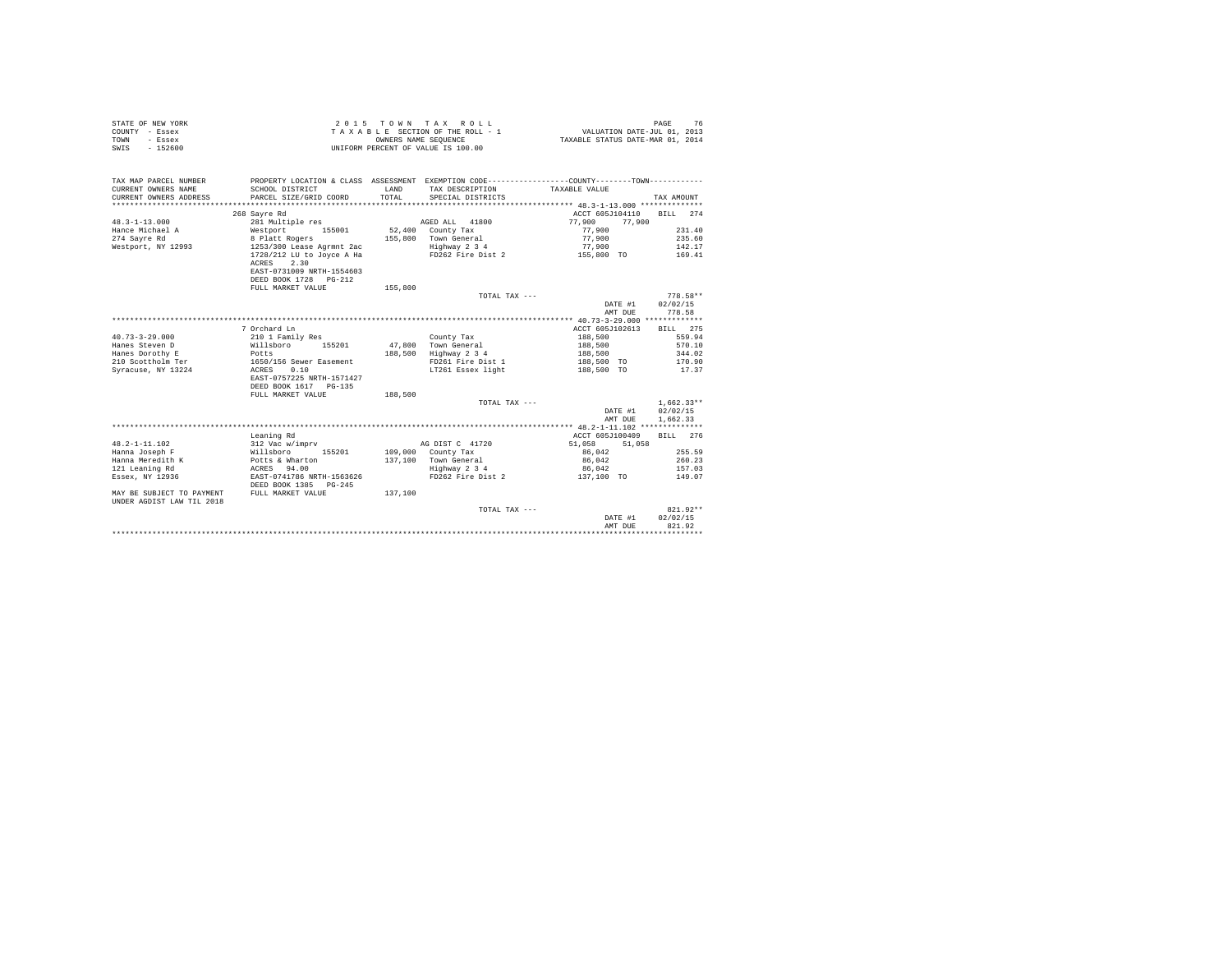| STATE OF NEW YORK<br>COUNTY - Essex<br>TOWN<br>- Essex<br>$-152600$<br>SWIS | 2 0 1 5                                                                                          | OWNERS NAME SEOUENCE | TOWN TAX ROLL<br>TAXABLE SECTION OF THE ROLL - 1<br>UNIFORM PERCENT OF VALUE IS 100.00 | VALUATION DATE-JUL 01, 2013<br>TAXABLE STATUS DATE-MAR 01, 2014                              | 76<br>PAGE   |
|-----------------------------------------------------------------------------|--------------------------------------------------------------------------------------------------|----------------------|----------------------------------------------------------------------------------------|----------------------------------------------------------------------------------------------|--------------|
| TAX MAP PARCEL NUMBER                                                       |                                                                                                  |                      |                                                                                        | PROPERTY LOCATION & CLASS ASSESSMENT EXEMPTION CODE---------------COUNTY-------TOWN--------- |              |
| CURRENT OWNERS NAME<br>CURRENT OWNERS ADDRESS                               | SCHOOL DISTRICT<br>PARCEL SIZE/GRID COORD                                                        | LAND<br>TOTAL        | TAX DESCRIPTION<br>SPECIAL DISTRICTS                                                   | TAXABLE VALUE                                                                                | TAX AMOUNT   |
| **********************                                                      |                                                                                                  |                      |                                                                                        |                                                                                              |              |
|                                                                             | 268 Sayre Rd                                                                                     |                      |                                                                                        | ACCT 605J104110                                                                              | BILL 274     |
| $48.3 - 1 - 13.000$                                                         | 281 Multiple res                                                                                 |                      | AGED ALL<br>41800                                                                      | 77,900<br>77,900                                                                             |              |
| Hance Michael A                                                             | Westport<br>155001                                                                               |                      | 52,400 County Tax                                                                      | 77,900                                                                                       | 231.40       |
| 274 Savre Rd                                                                | 8 Platt Rogers                                                                                   | 155,800              | Town General                                                                           | 77,900                                                                                       | 235.60       |
| Westport, NY 12993                                                          | 1253/300 Lease Agrmnt 2ac                                                                        |                      | Highway 2 3 4                                                                          | 77,900                                                                                       | 142.17       |
|                                                                             | 1728/212 LU to Joyce A Ha<br>2.30<br>ACRES<br>EAST-0731009 NRTH-1554603<br>DEED BOOK 1728 PG-212 |                      | FD262 Fire Dist 2                                                                      | 155,800 TO                                                                                   | 169.41       |
|                                                                             | FULL MARKET VALUE                                                                                | 155,800              |                                                                                        |                                                                                              |              |
|                                                                             |                                                                                                  |                      | TOTAL TAX ---                                                                          |                                                                                              | $778.58**$   |
|                                                                             |                                                                                                  |                      |                                                                                        | DATE #1                                                                                      | 02/02/15     |
|                                                                             |                                                                                                  |                      |                                                                                        | AMT DUE                                                                                      | 778.58       |
|                                                                             |                                                                                                  |                      |                                                                                        |                                                                                              |              |
|                                                                             | 7 Orchard Ln                                                                                     |                      |                                                                                        | ACCT 605J102613                                                                              | BILL 275     |
| $40.73 - 3 - 29.000$                                                        | 210 1 Family Res                                                                                 |                      | County Tax                                                                             | 188,500                                                                                      | 559.94       |
| Hanes Steven D                                                              | 155201<br>Willsboro                                                                              | 47.800               | Town General                                                                           | 188,500                                                                                      | 570.10       |
| Hanes Dorothy E                                                             | Potts                                                                                            | 188,500              | Highway 2 3 4                                                                          | 188,500                                                                                      | 344.02       |
| 210 Scottholm Ter                                                           | 1650/156 Sewer Easement                                                                          |                      | FD261 Fire Dist 1                                                                      | 188,500 TO                                                                                   | 170.90       |
| Syracuse, NY 13224                                                          | 0.10<br>ACRES                                                                                    |                      | LT261 Essex light                                                                      | 188,500 TO                                                                                   | 17.37        |
|                                                                             | EAST-0757225 NRTH-1571427<br>DEED BOOK 1617 PG-135                                               |                      |                                                                                        |                                                                                              |              |
|                                                                             | FULL MARKET VALUE                                                                                | 188,500              |                                                                                        |                                                                                              |              |
|                                                                             |                                                                                                  |                      | TOTAL TAX ---                                                                          |                                                                                              | $1.662.33**$ |
|                                                                             |                                                                                                  |                      |                                                                                        | DATE #1                                                                                      | 02/02/15     |
|                                                                             |                                                                                                  |                      |                                                                                        | AMT DUE                                                                                      | 1,662.33     |
|                                                                             |                                                                                                  |                      |                                                                                        |                                                                                              |              |
|                                                                             | Leaning Rd                                                                                       |                      |                                                                                        | ACCT 605J100409                                                                              | BILL 276     |
| $48.2 - 1 - 11.102$                                                         | 312 Vac w/imprv                                                                                  |                      | AG DIST C 41720                                                                        | 51,058<br>51,058                                                                             |              |
| Hanna Joseph F                                                              | Willsboro<br>155201                                                                              |                      | 109,000 County Tax                                                                     | 86,042                                                                                       | 255.59       |
| Hanna Meredith K                                                            | Potts & Wharton                                                                                  |                      | 137.100 Town General                                                                   | 86,042                                                                                       | 260.23       |
| 121 Leaning Rd                                                              | ACRES 94.00                                                                                      |                      | Highway 2 3 4                                                                          | 86,042                                                                                       | 157.03       |
| Essex, NY 12936                                                             | EAST-0741786 NRTH-1563626<br>DEED BOOK 1385 PG-245                                               |                      | FD262 Fire Dist 2                                                                      | 137,100 TO                                                                                   | 149.07       |
| MAY BE SUBJECT TO PAYMENT<br>UNDER AGDIST LAW TIL 2018                      | FULL MARKET VALUE                                                                                | 137,100              |                                                                                        |                                                                                              |              |
|                                                                             |                                                                                                  |                      | TOTAL TAX ---                                                                          |                                                                                              | 821.92**     |
|                                                                             |                                                                                                  |                      |                                                                                        | DATE #1                                                                                      | 02/02/15     |
|                                                                             |                                                                                                  |                      |                                                                                        | AMT DUE                                                                                      | 821.92       |
|                                                                             |                                                                                                  |                      |                                                                                        |                                                                                              |              |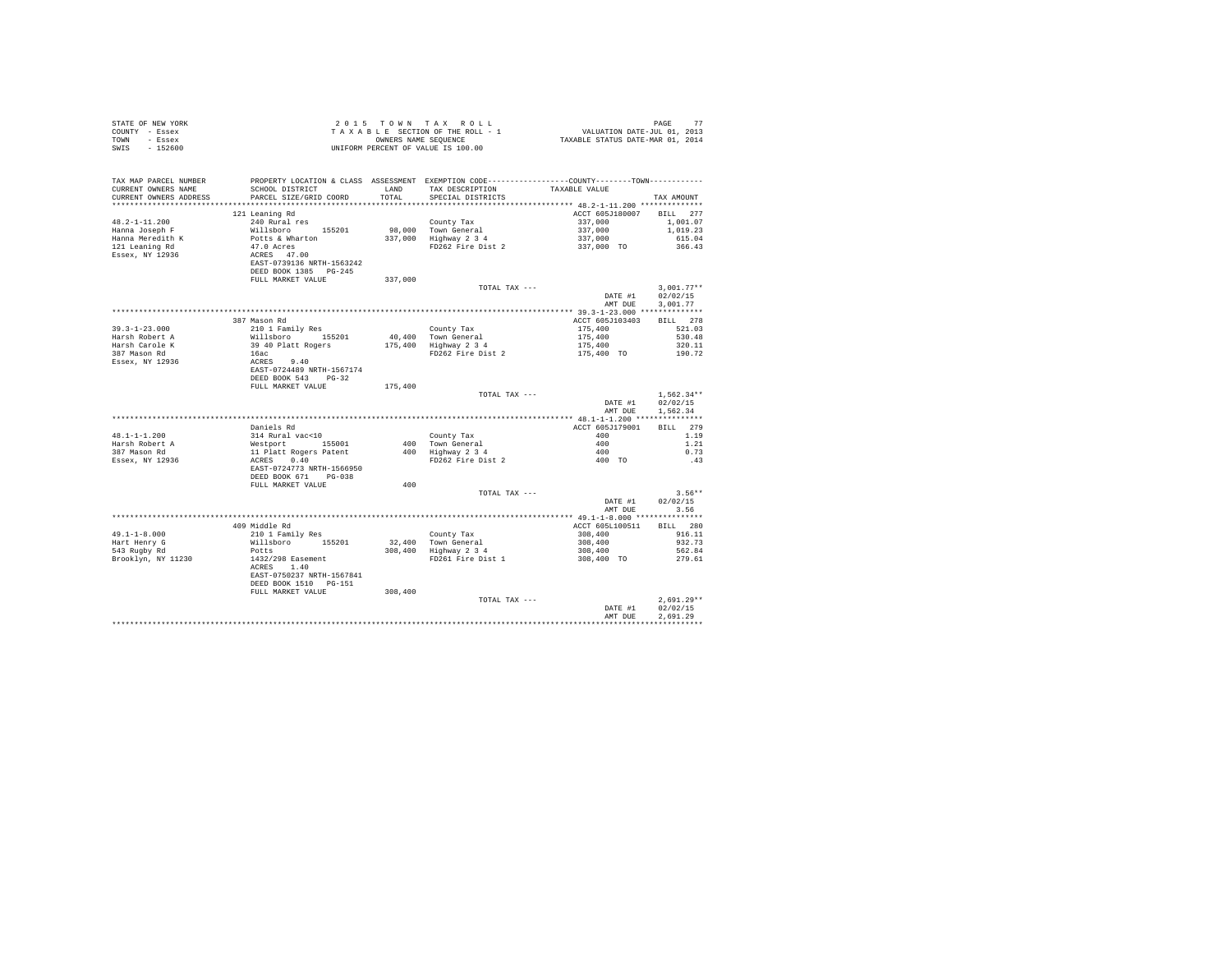| COUNTY - Essex<br>TOWN - Essex<br>SWIS - 152600                                          |                                                                                                                                                                           |         | T A X A B L E SECTION OF THE ROLL - 1 WALUATION DATE-JUL 01, 2013<br>CONBERS NAME SERVICE STATUS DATE-MAR 01, 2014<br>UNIFORM PERCENT OF VALUE IS 100.00                                                                                                                                                                                       |                          |                      |
|------------------------------------------------------------------------------------------|---------------------------------------------------------------------------------------------------------------------------------------------------------------------------|---------|------------------------------------------------------------------------------------------------------------------------------------------------------------------------------------------------------------------------------------------------------------------------------------------------------------------------------------------------|--------------------------|----------------------|
| TAX MAP PARCEL NUMBER                                                                    |                                                                                                                                                                           |         | PROPERTY LOCATION & CLASS ASSESSMENT EXEMPTION CODE----------------COUNTY--------TOWN---------                                                                                                                                                                                                                                                 |                          |                      |
| CURRENT OWNERS NAME<br>CURRENT OWNERS ADDRESS                                            | PARCEL SIZE/GRID COORD TOTAL SPECIAL DISTRICTS                                                                                                                            |         | ${\tt SCH OOL\ DISTRICT} \hspace{2.0cm} {\tt LAND} \hspace{2.0cm} {\tt TAX\ DESCRIFTION} \hspace{2.0cm} {\tt TAXABLE\ VALUE}$                                                                                                                                                                                                                  |                          | TAX AMOUNT           |
|                                                                                          |                                                                                                                                                                           |         |                                                                                                                                                                                                                                                                                                                                                |                          |                      |
|                                                                                          | 121 Leaning Rd                                                                                                                                                            |         |                                                                                                                                                                                                                                                                                                                                                | ACCT 605J180007 BILL 277 |                      |
| $48.2 - 1 - 11.200$                                                                      | 240 Rural res                                                                                                                                                             |         |                                                                                                                                                                                                                                                                                                                                                |                          | 1,001.07             |
|                                                                                          |                                                                                                                                                                           |         |                                                                                                                                                                                                                                                                                                                                                |                          | 1,019.23             |
|                                                                                          |                                                                                                                                                                           |         | $\begin{tabular}{lllllllllllll} & & & & & & & & & & & \\ & & & & & & & & & & & 337,000 \\ 98,000 & {\small  \  \, {\rm row~General} & & & & & 337,000 \\ 337,000 & {\small  \  \, {\rm H}i {\small  \, {\rm g}lway} \ 2 \  \, 3 \  \, 4 & & & 337,000 \\  \  \, {\rm FD262~Fire~Dist~2} & & & 337,000 & {\small  \  \, {\rm TO} \end{tabular}$ |                          | 615.04<br>366.43     |
|                                                                                          | %100 Aurair 168<br>Willshoro 155201<br>Potts & Wharton<br>ACRES 47.00<br>RAST-0739136 NRTH-1563242<br>DEED BOOK 1385 PG-245<br>DEED BOOK 1385 PG-245<br>PULL MARKET VALUE |         |                                                                                                                                                                                                                                                                                                                                                |                          |                      |
| 48.2-1-11.200<br>Hanna Joseph F<br>Hanna Meredith K<br>121 Leaning Rd<br>Essex, NY 12936 |                                                                                                                                                                           |         |                                                                                                                                                                                                                                                                                                                                                |                          |                      |
|                                                                                          |                                                                                                                                                                           |         |                                                                                                                                                                                                                                                                                                                                                |                          |                      |
|                                                                                          |                                                                                                                                                                           | 337,000 |                                                                                                                                                                                                                                                                                                                                                |                          |                      |
|                                                                                          |                                                                                                                                                                           |         | TOTAL TAX ---                                                                                                                                                                                                                                                                                                                                  | DATE #1                  | $3,001.77**$         |
|                                                                                          |                                                                                                                                                                           |         |                                                                                                                                                                                                                                                                                                                                                | AMT DUE                  | 02/02/15<br>3,001.77 |
|                                                                                          |                                                                                                                                                                           |         |                                                                                                                                                                                                                                                                                                                                                |                          |                      |
|                                                                                          | 387 Mason Rd                                                                                                                                                              |         |                                                                                                                                                                                                                                                                                                                                                | ACCT 605J103403 BILL 278 |                      |
|                                                                                          |                                                                                                                                                                           |         |                                                                                                                                                                                                                                                                                                                                                |                          | 521.03               |
|                                                                                          |                                                                                                                                                                           |         |                                                                                                                                                                                                                                                                                                                                                |                          | 530.48               |
|                                                                                          |                                                                                                                                                                           |         |                                                                                                                                                                                                                                                                                                                                                |                          | 320.11               |
|                                                                                          |                                                                                                                                                                           |         |                                                                                                                                                                                                                                                                                                                                                |                          | 190.72               |
|                                                                                          |                                                                                                                                                                           |         |                                                                                                                                                                                                                                                                                                                                                |                          |                      |
|                                                                                          |                                                                                                                                                                           |         |                                                                                                                                                                                                                                                                                                                                                |                          |                      |
|                                                                                          |                                                                                                                                                                           | 175,400 |                                                                                                                                                                                                                                                                                                                                                |                          |                      |
|                                                                                          |                                                                                                                                                                           |         | TOTAL TAX ---                                                                                                                                                                                                                                                                                                                                  | DATE #1                  | $1,562.34**$         |
|                                                                                          |                                                                                                                                                                           |         |                                                                                                                                                                                                                                                                                                                                                |                          | 02/02/15             |
|                                                                                          |                                                                                                                                                                           |         |                                                                                                                                                                                                                                                                                                                                                |                          | AMT DUE 1,562.34     |
|                                                                                          |                                                                                                                                                                           |         |                                                                                                                                                                                                                                                                                                                                                | ACCT 605J179001          | BTLL 279             |
|                                                                                          |                                                                                                                                                                           |         |                                                                                                                                                                                                                                                                                                                                                |                          | 1.19                 |
|                                                                                          |                                                                                                                                                                           |         |                                                                                                                                                                                                                                                                                                                                                |                          | 1.21                 |
|                                                                                          |                                                                                                                                                                           |         |                                                                                                                                                                                                                                                                                                                                                |                          | 0.73                 |
|                                                                                          |                                                                                                                                                                           |         |                                                                                                                                                                                                                                                                                                                                                |                          | .43                  |
|                                                                                          |                                                                                                                                                                           |         |                                                                                                                                                                                                                                                                                                                                                |                          |                      |
|                                                                                          |                                                                                                                                                                           |         |                                                                                                                                                                                                                                                                                                                                                |                          |                      |
|                                                                                          |                                                                                                                                                                           |         |                                                                                                                                                                                                                                                                                                                                                |                          | $3.56**$             |
|                                                                                          |                                                                                                                                                                           |         |                                                                                                                                                                                                                                                                                                                                                | DATE #1                  | 02/02/15             |
|                                                                                          |                                                                                                                                                                           |         |                                                                                                                                                                                                                                                                                                                                                | AMT DUE                  | 3.56                 |
|                                                                                          |                                                                                                                                                                           |         |                                                                                                                                                                                                                                                                                                                                                | ACCT 605L100511          |                      |
|                                                                                          |                                                                                                                                                                           |         |                                                                                                                                                                                                                                                                                                                                                |                          | BILL 280             |
|                                                                                          |                                                                                                                                                                           |         |                                                                                                                                                                                                                                                                                                                                                |                          |                      |
|                                                                                          |                                                                                                                                                                           |         |                                                                                                                                                                                                                                                                                                                                                |                          |                      |
|                                                                                          |                                                                                                                                                                           |         | County Tax 2008,400<br>2008,400 Town General 2008,400<br>2008,400 Highway 2 3 4<br>2008,400 FD261 Fire Dist 1 308,400 562.79<br>279.61                                                                                                                                                                                                         |                          |                      |
|                                                                                          |                                                                                                                                                                           |         |                                                                                                                                                                                                                                                                                                                                                |                          |                      |
|                                                                                          |                                                                                                                                                                           |         |                                                                                                                                                                                                                                                                                                                                                |                          |                      |
|                                                                                          | FULL MARKET VALUE                                                                                                                                                         | 308,400 |                                                                                                                                                                                                                                                                                                                                                |                          |                      |
|                                                                                          |                                                                                                                                                                           |         | TOTAL TAX ---                                                                                                                                                                                                                                                                                                                                  |                          | $2.691.29**$         |
|                                                                                          |                                                                                                                                                                           |         |                                                                                                                                                                                                                                                                                                                                                |                          | DATE #1 02/02/15     |
|                                                                                          |                                                                                                                                                                           |         |                                                                                                                                                                                                                                                                                                                                                | AMT DUE                  | 2.691.29             |
|                                                                                          |                                                                                                                                                                           |         |                                                                                                                                                                                                                                                                                                                                                |                          |                      |

STATE OF NEW YORK  $2015$  T O W N T A X R O L L PAGE 77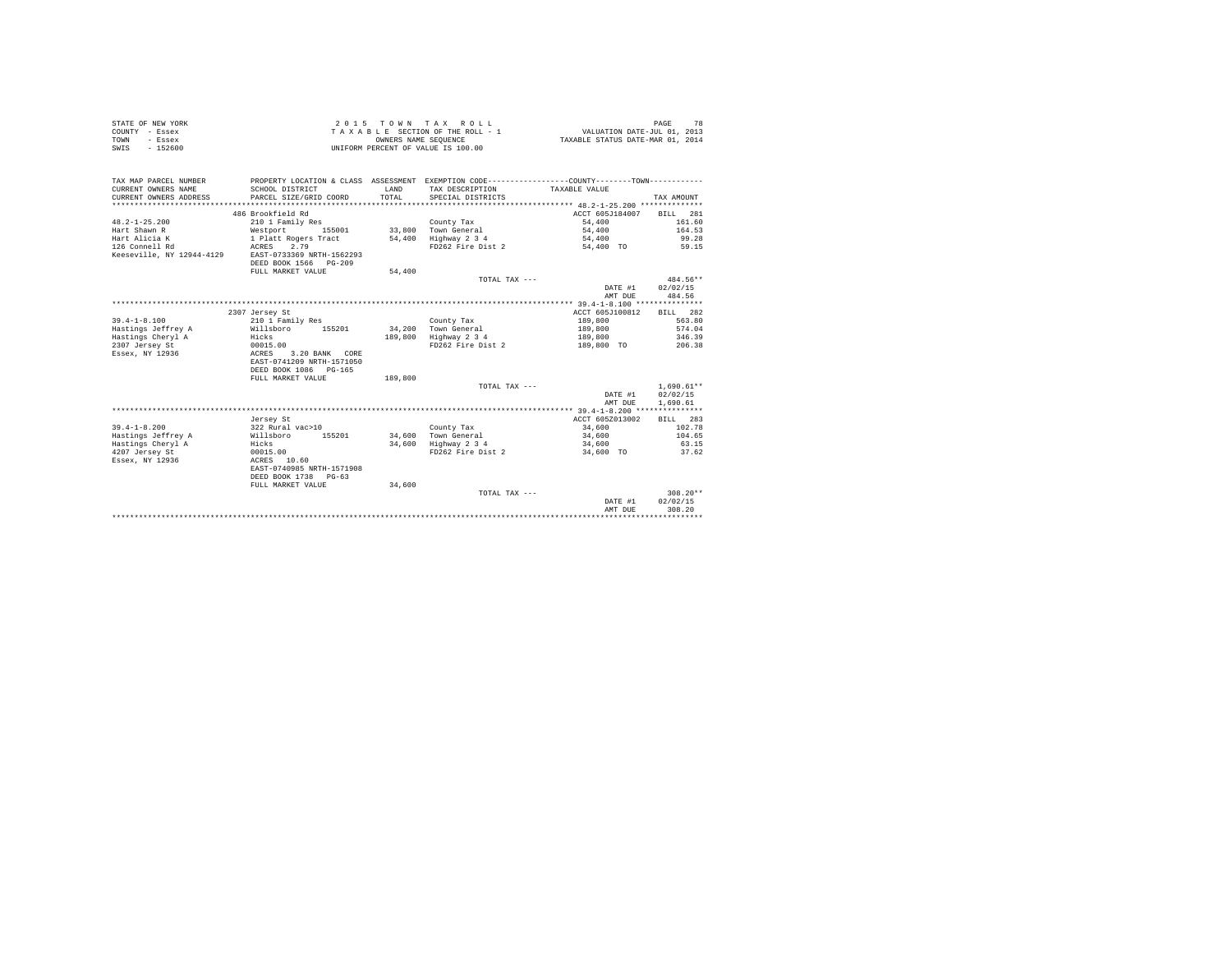| STATE OF NEW YORK | 2015 TOWN TAX ROLL                 | 78<br>PAGE                       |
|-------------------|------------------------------------|----------------------------------|
| COUNTY - Essex    | TAXABLE SECTION OF THE ROLL - 1    | VALUATION DATE-JUL 01, 2013      |
| TOWN<br>- Essex   | OWNERS NAME SEOUENCE               | TAXABLE STATUS DATE-MAR 01, 2014 |
| SWIS<br>$-152600$ | UNIFORM PERCENT OF VALUE IS 100.00 |                                  |

| TAX MAP PARCEL NUMBER                              |                                     |         | PROPERTY LOCATION & CLASS ASSESSMENT EXEMPTION CODE---------------COUNTY-------TOWN---------- |                          |                  |
|----------------------------------------------------|-------------------------------------|---------|-----------------------------------------------------------------------------------------------|--------------------------|------------------|
| CURRENT OWNERS NAME                                | SCHOOL DISTRICT                     | LAND    | TAX DESCRIPTION                                                                               | TAXABLE VALUE            |                  |
| CURRENT OWNERS ADDRESS                             | PARCEL SIZE/GRID COORD              | TOTAL   | SPECIAL DISTRICTS                                                                             |                          | TAX AMOUNT       |
|                                                    |                                     |         |                                                                                               |                          |                  |
|                                                    | 486 Brookfield Rd                   |         |                                                                                               | ACCT 605J184007 BILL 281 |                  |
| $48.2 - 1 - 25.200$                                | 210 1 Family Res                    |         | County Tax                                                                                    | 54,400                   | 161.60           |
| Hart Shawn R                                       | Westport 155001 33,800 Town General |         |                                                                                               | 54,400                   | 164.53           |
| Hart Alicia K                                      | 1 Platt Rogers Tract                |         | 54,400 Highway 2 3 4                                                                          | 54,400                   | 99.28            |
| 126 Connell Rd                                     | ACRES 2.79                          |         | FD262 Fire Dist 2                                                                             | 54,400 TO 59.15          |                  |
| Keeseville, NY 12944-4129                          | EAST-0733369 NRTH-1562293           |         |                                                                                               |                          |                  |
|                                                    | DEED BOOK 1566 PG-209               |         |                                                                                               |                          |                  |
|                                                    | FULL MARKET VALUE                   | 54,400  |                                                                                               |                          |                  |
|                                                    |                                     |         | TOTAL TAX ---                                                                                 |                          | 484.56**         |
|                                                    |                                     |         |                                                                                               | DATE #1                  | 02/02/15         |
|                                                    |                                     |         |                                                                                               | AMT DUE                  | 484.56           |
|                                                    |                                     |         |                                                                                               |                          |                  |
|                                                    | 2307 Jersey St                      |         |                                                                                               | ACCT 605J100812          | BILL 282         |
| $39.4 - 1 - 8.100$                                 | 210 1 Family Res                    |         | County Tax                                                                                    | 189,800                  | 563.80           |
| Hastings Jeffrey A                                 | Willsboro 155201                    |         | 34.200 Town General                                                                           | 189,800                  | 574.04           |
| Hastings Cheryl A                                  |                                     |         | 189,800 Highway 2 3 4                                                                         | 189,800                  | 346.39           |
| 2307 Jersey St                                     | Hicks<br>00015.00                   |         | FD262 Fire Dist 2                                                                             | 189,800 TO               | 206.38           |
| Essex, NY 12936 ACRES                              | 3.20 BANK CORE                      |         |                                                                                               |                          |                  |
|                                                    | EAST-0741209 NRTH-1571050           |         |                                                                                               |                          |                  |
|                                                    | DEED BOOK 1086 PG-165               |         |                                                                                               |                          |                  |
|                                                    | FULL MARKET VALUE                   | 189,800 |                                                                                               |                          |                  |
|                                                    |                                     |         | TOTAL TAX ---                                                                                 |                          | $1.690.61**$     |
|                                                    |                                     |         |                                                                                               |                          | DATE #1 02/02/15 |
|                                                    |                                     |         |                                                                                               | AMT DUE                  | 1,690.61         |
|                                                    |                                     |         |                                                                                               |                          |                  |
|                                                    | Jersey St                           |         |                                                                                               | ACCT 605Z013002          | <b>BILL</b> 283  |
| $39.4 - 1 - 8.200$                                 | 322 Rural vac>10                    |         | County Tax                                                                                    | 34,600                   | 102.78           |
| Hastings Jeffrey A                                 | Willsboro 155201                    |         | 34,600 Town General                                                                           | 34,600                   | 104.65           |
|                                                    |                                     |         | 34,600 Highway 2 3 4                                                                          | 34,600                   | 63.15            |
| Hastings Cheryl A Hicks<br>4207 Jersey St 00015.00 |                                     |         | FD262 Fire Dist 2                                                                             | 34,600 TO                | 37.62            |
| Essex, NY 12936                                    | ACRES 10.60                         |         |                                                                                               |                          |                  |
|                                                    | EAST-0740985 NRTH-1571908           |         |                                                                                               |                          |                  |
|                                                    | DEED BOOK 1738 PG-63                |         |                                                                                               |                          |                  |
|                                                    | FULL MARKET VALUE                   | 34,600  |                                                                                               |                          |                  |
|                                                    |                                     |         | TOTAL TAX ---                                                                                 |                          | $308.20**$       |
|                                                    |                                     |         |                                                                                               | DATE #1                  | 02/02/15         |
|                                                    |                                     |         |                                                                                               | AMT DUE                  | 308.20           |
|                                                    |                                     |         |                                                                                               |                          |                  |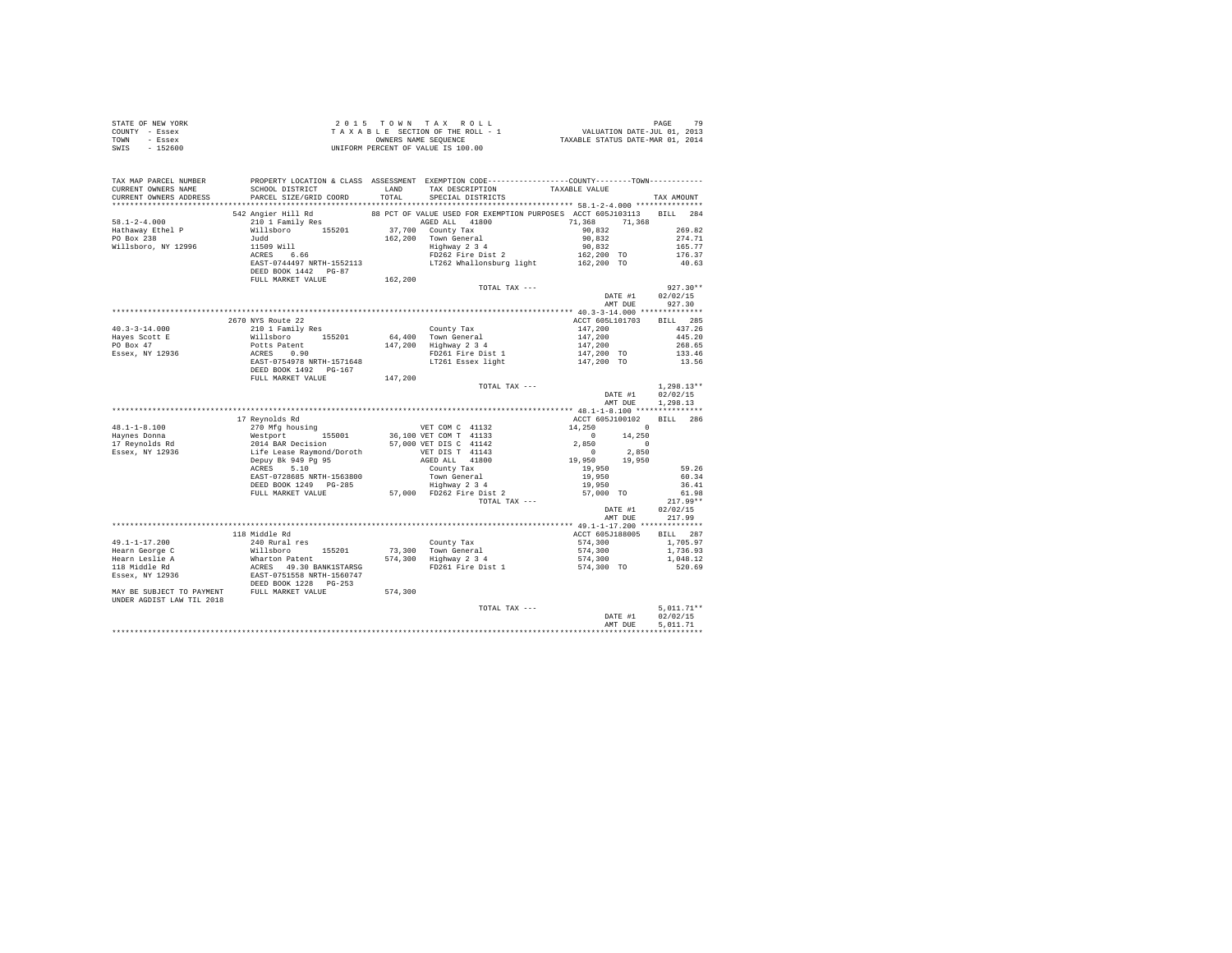| STATE OF NEW YORK<br>COUNTY - Essex<br>TOWN - Essex<br>SWIS - 152600                                                                                                                                                                                                                                                                                                 |                                                                                                  |         |               |                          |                                      |              |  |
|----------------------------------------------------------------------------------------------------------------------------------------------------------------------------------------------------------------------------------------------------------------------------------------------------------------------------------------------------------------------|--------------------------------------------------------------------------------------------------|---------|---------------|--------------------------|--------------------------------------|--------------|--|
| TAX MAP PARCEL NUMBER<br>CURRENT OWNERS NAME                                                                                                                                                                                                                                                                                                                         | PROPERTY LOCATION & CLASS ASSESSMENT EXEMPTION CODE----------------COUNTY--------TOWN----------- |         |               |                          |                                      |              |  |
|                                                                                                                                                                                                                                                                                                                                                                      | SCHOOL DISTRICT LAND TAX DESCRIPTION TAXABLE VALUE                                               |         |               |                          |                                      |              |  |
|                                                                                                                                                                                                                                                                                                                                                                      | CURRENT OWNERS ADDRESS PARCEL SIZE/GRID COORD TOTAL SPECIAL DISTRICTS                            |         |               |                          |                                      | TAX AMOUNT   |  |
| 1991 - 1991 - 1992 - 1992 - 1993 - 1994 - 1994 - 1994 - 1994 - 1994 - 1994 - 1994 - 1994 - 1994 - 1994 - 1994<br>1994 - 1994 - 1994 - 1994 - 1994 - 1994 - 1994 - 1994 - 1994 - 1994 - 1994 - 1994 - 1994 - 1994 - 1994 - 1994<br>                                                                                                                                   |                                                                                                  |         |               |                          |                                      |              |  |
|                                                                                                                                                                                                                                                                                                                                                                      |                                                                                                  |         |               |                          |                                      |              |  |
|                                                                                                                                                                                                                                                                                                                                                                      |                                                                                                  |         |               |                          |                                      |              |  |
|                                                                                                                                                                                                                                                                                                                                                                      |                                                                                                  |         |               |                          |                                      |              |  |
|                                                                                                                                                                                                                                                                                                                                                                      |                                                                                                  |         |               |                          |                                      |              |  |
|                                                                                                                                                                                                                                                                                                                                                                      |                                                                                                  |         |               |                          |                                      |              |  |
|                                                                                                                                                                                                                                                                                                                                                                      |                                                                                                  |         |               |                          |                                      |              |  |
|                                                                                                                                                                                                                                                                                                                                                                      |                                                                                                  |         |               |                          |                                      |              |  |
|                                                                                                                                                                                                                                                                                                                                                                      | FULL MARKET VALUE                                                                                | 162,200 |               |                          |                                      |              |  |
|                                                                                                                                                                                                                                                                                                                                                                      |                                                                                                  |         | TOTAL TAX --- |                          |                                      | $927.30**$   |  |
|                                                                                                                                                                                                                                                                                                                                                                      |                                                                                                  |         |               |                          | DATE #1 02/02/15<br>AMT DUE 927.30   |              |  |
|                                                                                                                                                                                                                                                                                                                                                                      |                                                                                                  |         |               |                          |                                      |              |  |
|                                                                                                                                                                                                                                                                                                                                                                      |                                                                                                  |         |               |                          |                                      |              |  |
|                                                                                                                                                                                                                                                                                                                                                                      | 2670 NYS Route 22                                                                                |         |               | ACCT 605L101703 BILL 285 |                                      |              |  |
|                                                                                                                                                                                                                                                                                                                                                                      |                                                                                                  |         |               |                          |                                      |              |  |
|                                                                                                                                                                                                                                                                                                                                                                      |                                                                                                  |         |               |                          |                                      |              |  |
|                                                                                                                                                                                                                                                                                                                                                                      |                                                                                                  |         |               |                          |                                      |              |  |
|                                                                                                                                                                                                                                                                                                                                                                      |                                                                                                  |         |               |                          |                                      |              |  |
| $\begin{tabular}{lcccc} 40.3-3-14.000 & 2670 NYS \mbox{\small{R10$}} & 2670 NTS \mbox{\small{N10$}} & 2000 NTS \mbox{\small{N20$}} & 2000 NTS \mbox{\small{N10$}} & 2000 NTS \mbox{\small{N20$}} & 2000 NTS \mbox{\small{N20$}} & 2000 NTS \mbox{\small{N20$}} & 2000 NTS \mbox{\small{N20$}} & 2000 NTS \mbox{\small{N20$}} & 2000 NTS \mbox{\small{N20$}} & 445.2$ |                                                                                                  |         |               |                          |                                      |              |  |
|                                                                                                                                                                                                                                                                                                                                                                      |                                                                                                  |         |               |                          |                                      |              |  |
|                                                                                                                                                                                                                                                                                                                                                                      |                                                                                                  |         | TOTAL TAX --- |                          |                                      | $1,298.13**$ |  |
|                                                                                                                                                                                                                                                                                                                                                                      |                                                                                                  |         |               |                          | DATE #1 02/02/15<br>AMT DUE 1,298.13 |              |  |
| 48.1-1-8.100<br>48.1-1-8.100<br>270 MFg housing<br>270 MFg housing<br>270 MFg housing<br>270 MFg housing<br>270 MFg housing<br>270 MFg housing<br>270 MFg housing<br>270 MFg housing<br>270 MFg housing<br>270 MFg housing<br>270 MFg housing<br>270 MFg                                                                                                             |                                                                                                  |         |               |                          |                                      |              |  |
|                                                                                                                                                                                                                                                                                                                                                                      |                                                                                                  |         |               |                          |                                      |              |  |
|                                                                                                                                                                                                                                                                                                                                                                      |                                                                                                  |         |               |                          |                                      |              |  |
|                                                                                                                                                                                                                                                                                                                                                                      |                                                                                                  |         |               |                          |                                      |              |  |
|                                                                                                                                                                                                                                                                                                                                                                      |                                                                                                  |         |               |                          |                                      |              |  |
|                                                                                                                                                                                                                                                                                                                                                                      |                                                                                                  |         |               |                          |                                      |              |  |
|                                                                                                                                                                                                                                                                                                                                                                      |                                                                                                  |         |               |                          |                                      |              |  |
|                                                                                                                                                                                                                                                                                                                                                                      |                                                                                                  |         |               |                          |                                      |              |  |
|                                                                                                                                                                                                                                                                                                                                                                      |                                                                                                  |         |               |                          |                                      |              |  |
|                                                                                                                                                                                                                                                                                                                                                                      |                                                                                                  |         |               |                          |                                      |              |  |
|                                                                                                                                                                                                                                                                                                                                                                      |                                                                                                  |         |               |                          |                                      |              |  |
|                                                                                                                                                                                                                                                                                                                                                                      |                                                                                                  |         |               |                          | DATE #1 02/02/15<br>AMT DUE 217.99   |              |  |
|                                                                                                                                                                                                                                                                                                                                                                      |                                                                                                  |         |               |                          |                                      |              |  |
|                                                                                                                                                                                                                                                                                                                                                                      |                                                                                                  |         |               |                          |                                      |              |  |
|                                                                                                                                                                                                                                                                                                                                                                      |                                                                                                  |         |               |                          |                                      |              |  |
|                                                                                                                                                                                                                                                                                                                                                                      |                                                                                                  |         |               |                          |                                      |              |  |
|                                                                                                                                                                                                                                                                                                                                                                      |                                                                                                  |         |               |                          |                                      |              |  |
|                                                                                                                                                                                                                                                                                                                                                                      |                                                                                                  |         |               |                          |                                      |              |  |
|                                                                                                                                                                                                                                                                                                                                                                      |                                                                                                  |         |               |                          |                                      |              |  |
|                                                                                                                                                                                                                                                                                                                                                                      |                                                                                                  |         |               |                          |                                      |              |  |
|                                                                                                                                                                                                                                                                                                                                                                      |                                                                                                  |         |               |                          |                                      |              |  |
|                                                                                                                                                                                                                                                                                                                                                                      |                                                                                                  |         |               |                          |                                      |              |  |
|                                                                                                                                                                                                                                                                                                                                                                      |                                                                                                  |         | TOTAL TAX --- |                          |                                      | $5,011.71**$ |  |
|                                                                                                                                                                                                                                                                                                                                                                      |                                                                                                  |         |               |                          | DATE #1 02/02/15                     |              |  |
|                                                                                                                                                                                                                                                                                                                                                                      |                                                                                                  |         |               |                          | AMT DUE                              | 5.011.71     |  |
|                                                                                                                                                                                                                                                                                                                                                                      |                                                                                                  |         |               |                          |                                      |              |  |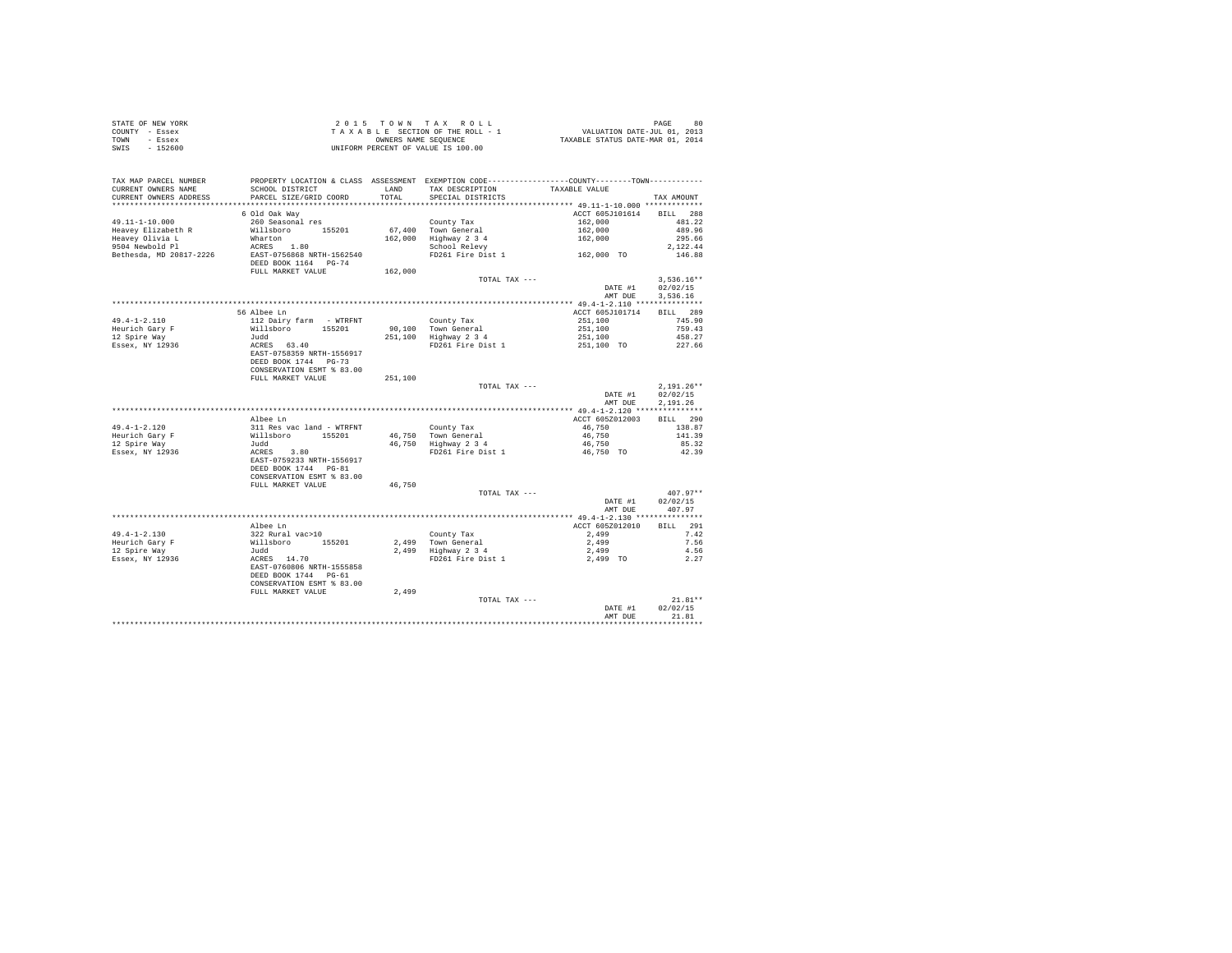|                | STATE OF NEW YORK |  |  | 2015 TOWN TAX ROLL                 |  |  |  | 80<br>PAGE                       |
|----------------|-------------------|--|--|------------------------------------|--|--|--|----------------------------------|
| COUNTY - Essex |                   |  |  | TAXABLE SECTION OF THE ROLL - 1    |  |  |  | VALUATION DATE-JUL 01, 2013      |
| TOWN           | - Essex           |  |  | OWNERS NAME SEOUENCE               |  |  |  | TAXABLE STATUS DATE-MAR 01, 2014 |
| SWIS           | $-152600$         |  |  | UNIFORM PERCENT OF VALUE IS 100.00 |  |  |  |                                  |

| TAX MAP PARCEL NUMBER   | PROPERTY LOCATION & CLASS ASSESSMENT EXEMPTION CODE---------------COUNTY-------TOWN--------- |         |                         |                            |                    |
|-------------------------|----------------------------------------------------------------------------------------------|---------|-------------------------|----------------------------|--------------------|
| CURRENT OWNERS NAME     | SCHOOL DISTRICT                                                                              | LAND    | TAX DESCRIPTION         | TAXABLE VALUE              |                    |
| CURRENT OWNERS ADDRESS  | PARCEL SIZE/GRID COORD                                                                       | TOTAL   | SPECIAL DISTRICTS       |                            | TAX AMOUNT         |
|                         |                                                                                              |         |                         | ACCT 605J101614 BILL 288   |                    |
| $49.11 - 1 - 10.000$    | 6 Old Oak Way<br>260 Seasonal res                                                            |         | County Tax              | 162,000                    | 481.22             |
| Heavey Elizabeth R      | Willsboro 155201                                                                             |         | 67.400 Town General     |                            | 489.96             |
| Heavey Olivia L         | Wharton                                                                                      |         | 162,000 Highway 2 3 4   | 162,000<br>162,000         | 295.66             |
| 9504 Newbold Pl         | ACRES 1.80                                                                                   |         | School Relevy           |                            | 2.122.44           |
| Bethesda, MD 20817-2226 | EAST-0756868 NRTH-1562540                                                                    |         | FD261 Fire Dist 1       | 162,000 TO                 | 146.88             |
|                         | DEED BOOK 1164 PG-74                                                                         |         |                         |                            |                    |
|                         | FULL MARKET VALUE                                                                            | 162,000 |                         |                            |                    |
|                         |                                                                                              |         | TOTAL TAX ---           |                            | $3.536.16**$       |
|                         |                                                                                              |         |                         | DATE #1                    | 02/02/15           |
|                         |                                                                                              |         |                         | AMT DUE                    | 3.536.16           |
|                         |                                                                                              |         |                         |                            |                    |
| $49.4 - 1 - 2.110$      | 56 Albee Ln<br>112 Dairy farm - WTRFNT                                                       |         | County Tax              | ACCT 605J101714<br>251,100 | BILL 289<br>745.90 |
| Heurich Gary F          | Willsboro 155201                                                                             |         | 90,100 Town General     | 251,100                    | 759.43             |
| 12 Spire Way            | Judd                                                                                         |         | 251,100 Highway 2 3 4   | 251,100                    | 458.27             |
| Essex, NY 12936         |                                                                                              |         | FD261 Fire Dist 1       | 251,100 TO                 | 227.66             |
|                         | ACRES 63.40<br>EAST-0758359 NRTH-1556917                                                     |         |                         |                            |                    |
|                         | DEED BOOK 1744 PG-73                                                                         |         |                         |                            |                    |
|                         | CONSERVATION ESMT % 83.00                                                                    |         |                         |                            |                    |
|                         | FULL MARKET VALUE                                                                            | 251,100 |                         |                            |                    |
|                         |                                                                                              |         | TOTAL TAX ---           |                            | $2,191.26**$       |
|                         |                                                                                              |         |                         | DATE #1                    | 02/02/15           |
|                         |                                                                                              |         |                         | AMT DUE                    | 2.191.26           |
|                         |                                                                                              |         |                         |                            |                    |
|                         | Albee Ln                                                                                     |         |                         | ACCT 605Z012003            | BILL 290           |
| $49.4 - 1 - 2.120$      |                                                                                              |         | County Tax              | 46,750                     | 138.87             |
| Heurich Gary F          |                                                                                              |         | 46,750 Town General     | 46,750                     | 141.39             |
| 12 Spire Way            | 311 Res vac land – WTRFNT<br>Willsboro – 155201<br>Judd<br>ACRES – 3.80                      |         | 46,750 Highway 2 3 4    | 46,750                     | 85.32              |
| Essex, NY 12936         |                                                                                              |         | FD261 Fire Dist 1       | 46,750 TO                  | 42.39              |
|                         | EAST-0759233 NRTH-1556917                                                                    |         |                         |                            |                    |
|                         | DEED BOOK 1744 PG-81                                                                         |         |                         |                            |                    |
|                         | CONSERVATION ESMT % 83.00<br>FULL MARKET VALUE                                               | 46,750  |                         |                            |                    |
|                         |                                                                                              |         | TOTAL TAX ---           |                            | $407.97**$         |
|                         |                                                                                              |         |                         | DATE #1                    | 02/02/15           |
|                         |                                                                                              |         |                         |                            | AMT DUE 407.97     |
|                         |                                                                                              |         |                         |                            |                    |
|                         | Albee Ln                                                                                     |         |                         | ACCT 605Z012010 BILL 291   |                    |
| $49.4 - 1 - 2.130$      |                                                                                              |         | County Tax              | 2,499                      | 7.42               |
| Heurich Gary F          |                                                                                              |         | 2,499 Town General      | 2,499                      | 7.56               |
| 12 Spire Way            |                                                                                              |         | $2,499$ Highway $2,3,4$ | 2,499                      | 4.56               |
| Essex, NY 12936         | 322 Rural vac>10<br>Willsboro 155201<br>Judd<br>ACRES 14.70                                  |         |                         | FD261 Fire Dist 1 2,499 TO | 2.27               |
|                         | EAST-0760806 NRTH-1555858                                                                    |         |                         |                            |                    |
|                         | DEED BOOK 1744 PG-61                                                                         |         |                         |                            |                    |
|                         | CONSERVATION ESMT % 83.00                                                                    |         |                         |                            |                    |
|                         | FULL MARKET VALUE                                                                            | 2,499   |                         |                            |                    |
|                         |                                                                                              |         | TOTAL TAX ---           |                            | $21.81**$          |
|                         |                                                                                              |         |                         | DATE #1                    | 02/02/15<br>21.81  |
|                         |                                                                                              |         |                         | AMT DUE                    |                    |
|                         |                                                                                              |         |                         |                            |                    |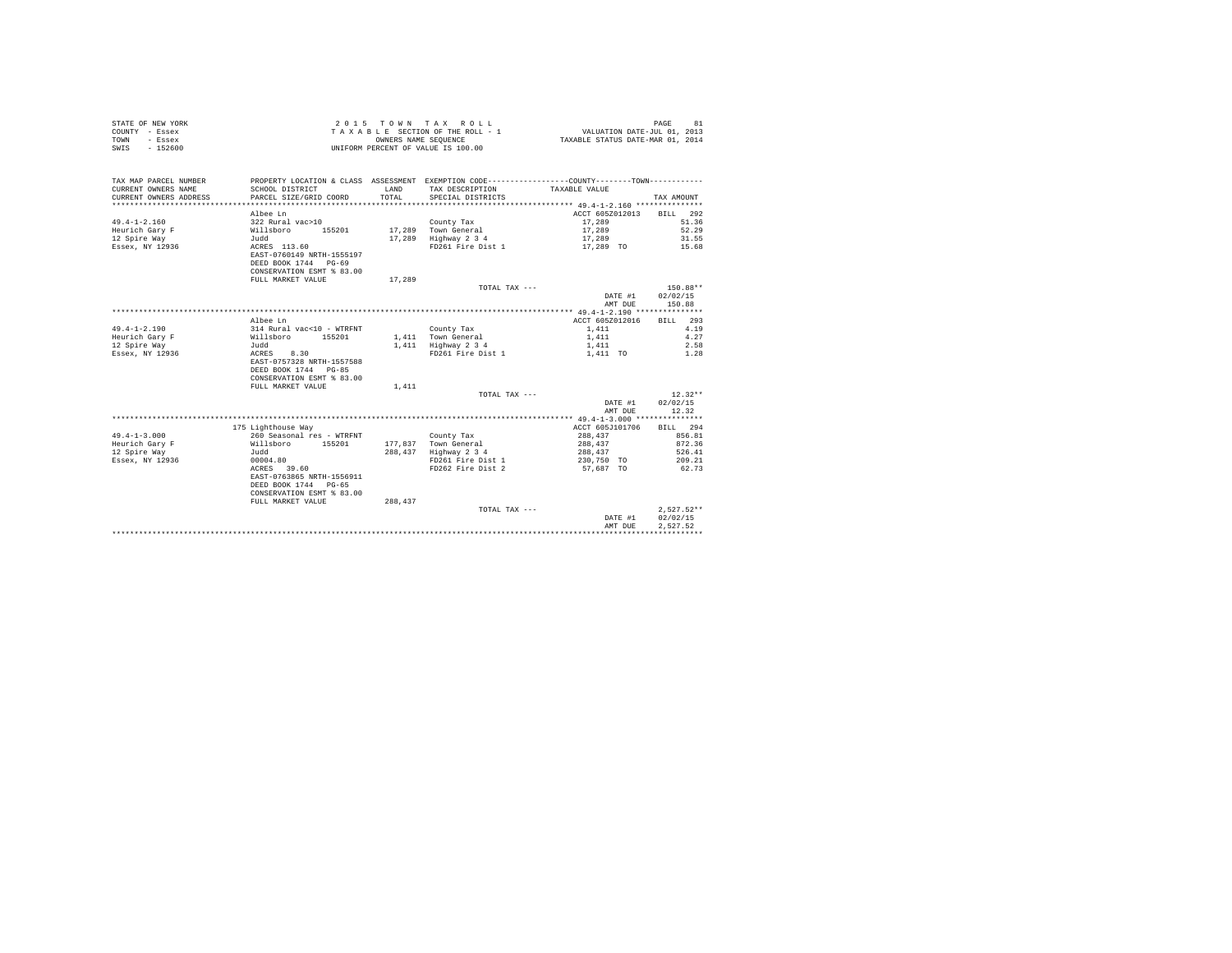| STATE OF NEW YORK<br>COUNTY - Essex<br>- Essex<br>TOWN<br>$-152600$<br>SWIS |                                                                                               |         | 2015 TOWN TAX ROLL<br>TAXABLE SECTION OF THE ROLL - 1<br>OWNERS NAME SEQUENCE<br>UNIFORM PERCENT OF VALUE IS 100.00 | PAGE<br>81<br>VALUATION DATE-JUL 01, 2013<br>TAXABLE STATUS DATE-MAR 01, 2014 |              |  |
|-----------------------------------------------------------------------------|-----------------------------------------------------------------------------------------------|---------|---------------------------------------------------------------------------------------------------------------------|-------------------------------------------------------------------------------|--------------|--|
| TAX MAP PARCEL NUMBER                                                       |                                                                                               |         | PROPERTY LOCATION & CLASS ASSESSMENT EXEMPTION CODE----------------COUNTY--------TOWN----------                     |                                                                               |              |  |
| CURRENT OWNERS NAME                                                         | SCHOOL DISTRICT                                                                               | LAND    | TAX DESCRIPTION                                                                                                     | TAXABLE VALUE                                                                 |              |  |
| CURRENT OWNERS ADDRESS                                                      | PARCEL SIZE/GRID COORD                                                                        | TOTAL.  | SPECIAL DISTRICTS                                                                                                   |                                                                               | TAX AMOUNT   |  |
|                                                                             |                                                                                               |         |                                                                                                                     |                                                                               |              |  |
|                                                                             | Albee Ln                                                                                      |         |                                                                                                                     | ACCT 605Z012013                                                               | BILL 292     |  |
| $49.4 - 1 - 2.160$                                                          | 322 Rural vac>10                                                                              |         | County Tax                                                                                                          | 17,289                                                                        | 51.36        |  |
| Heurich Gary F                                                              | 155201<br>Willsboro                                                                           |         | 17,289 Town General                                                                                                 | 17,289                                                                        | 52.29        |  |
| 12 Spire Way                                                                | Judd                                                                                          |         | 17,289 Highway 2 3 4                                                                                                | 17,289                                                                        | 31.55        |  |
| Essex, NY 12936                                                             | ACRES 113.60                                                                                  |         | FD261 Fire Dist 1                                                                                                   | 17,289 TO                                                                     | 15.68        |  |
|                                                                             | EAST-0760149 NRTH-1555197                                                                     |         |                                                                                                                     |                                                                               |              |  |
|                                                                             | DEED BOOK 1744 PG-69                                                                          |         |                                                                                                                     |                                                                               |              |  |
|                                                                             | CONSERVATION ESMT % 83.00                                                                     |         |                                                                                                                     |                                                                               |              |  |
|                                                                             | FULL MARKET VALUE                                                                             | 17,289  |                                                                                                                     |                                                                               |              |  |
|                                                                             |                                                                                               |         | TOTAL TAX ---                                                                                                       |                                                                               | 150.88**     |  |
|                                                                             |                                                                                               |         |                                                                                                                     | DATE #1                                                                       | 02/02/15     |  |
|                                                                             |                                                                                               |         |                                                                                                                     | AMT DUE                                                                       | 150.88       |  |
|                                                                             |                                                                                               |         |                                                                                                                     |                                                                               |              |  |
|                                                                             | Albee Ln                                                                                      |         |                                                                                                                     | ACCT 605Z012016                                                               | BTT.T. 293   |  |
| $49.4 - 1 - 2.190$                                                          | 314 Rural vac<10 - WTRFNT                                                                     |         | County Tax                                                                                                          | 1,411                                                                         | 4.19         |  |
| Heurich Gary F                                                              | Willsboro<br>155201                                                                           |         | 1.411 Town General                                                                                                  | 1,411                                                                         | 4.27         |  |
| 12 Spire Way                                                                | Judd                                                                                          |         | 1,411 Highway 2 3 4                                                                                                 | 1,411                                                                         | 2.58         |  |
| Essex, NY 12936                                                             | ACRES 8.30<br>EAST-0757328 NRTH-1557588<br>DEED BOOK 1744 PG-85<br>CONSERVATION ESMT % 83.00  |         | FD261 Fire Dist 1                                                                                                   | 1,411 TO                                                                      | 1.28         |  |
|                                                                             | FULL MARKET VALUE                                                                             | 1,411   |                                                                                                                     |                                                                               |              |  |
|                                                                             |                                                                                               |         | TOTAL TAX ---                                                                                                       |                                                                               | $12.32**$    |  |
|                                                                             |                                                                                               |         |                                                                                                                     | DATE #1                                                                       | 02/02/15     |  |
|                                                                             |                                                                                               |         |                                                                                                                     | AMT DUE                                                                       | 12.32        |  |
|                                                                             |                                                                                               |         |                                                                                                                     |                                                                               |              |  |
|                                                                             | 175 Lighthouse Way                                                                            |         |                                                                                                                     | ACCT 605J101706                                                               | BILL 294     |  |
| $49.4 - 1 - 3.000$                                                          | 260 Seasonal res - WTRFNT                                                                     |         | County Tax                                                                                                          | 288,437                                                                       | 856.81       |  |
| Heurich Gary F                                                              | Willsboro<br>155201                                                                           |         | 177.837 Town General                                                                                                | 288,437                                                                       | 872.36       |  |
| 12 Spire Way                                                                | Judd                                                                                          |         | 288,437 Highway 2 3 4                                                                                               | 288,437                                                                       | 526.41       |  |
| Essex, NY 12936                                                             | 00004.80                                                                                      |         | FD261 Fire Dist 1                                                                                                   | 230.750 TO                                                                    | 209.21       |  |
|                                                                             | ACRES 39.60<br>EAST-0763865 NRTH-1556911<br>DEED BOOK 1744 PG-65<br>CONSERVATION ESMT % 83.00 |         | FD262 Fire Dist 2                                                                                                   | 57,687 TO                                                                     | 62.73        |  |
|                                                                             | FULL MARKET VALUE                                                                             | 288,437 |                                                                                                                     |                                                                               |              |  |
|                                                                             |                                                                                               |         | TOTAL TAX ---                                                                                                       |                                                                               | $2.527.52**$ |  |
|                                                                             |                                                                                               |         |                                                                                                                     | DATE #1                                                                       | 02/02/15     |  |
|                                                                             |                                                                                               |         |                                                                                                                     | AMT DUE                                                                       | 2.527.52     |  |
|                                                                             |                                                                                               |         |                                                                                                                     |                                                                               |              |  |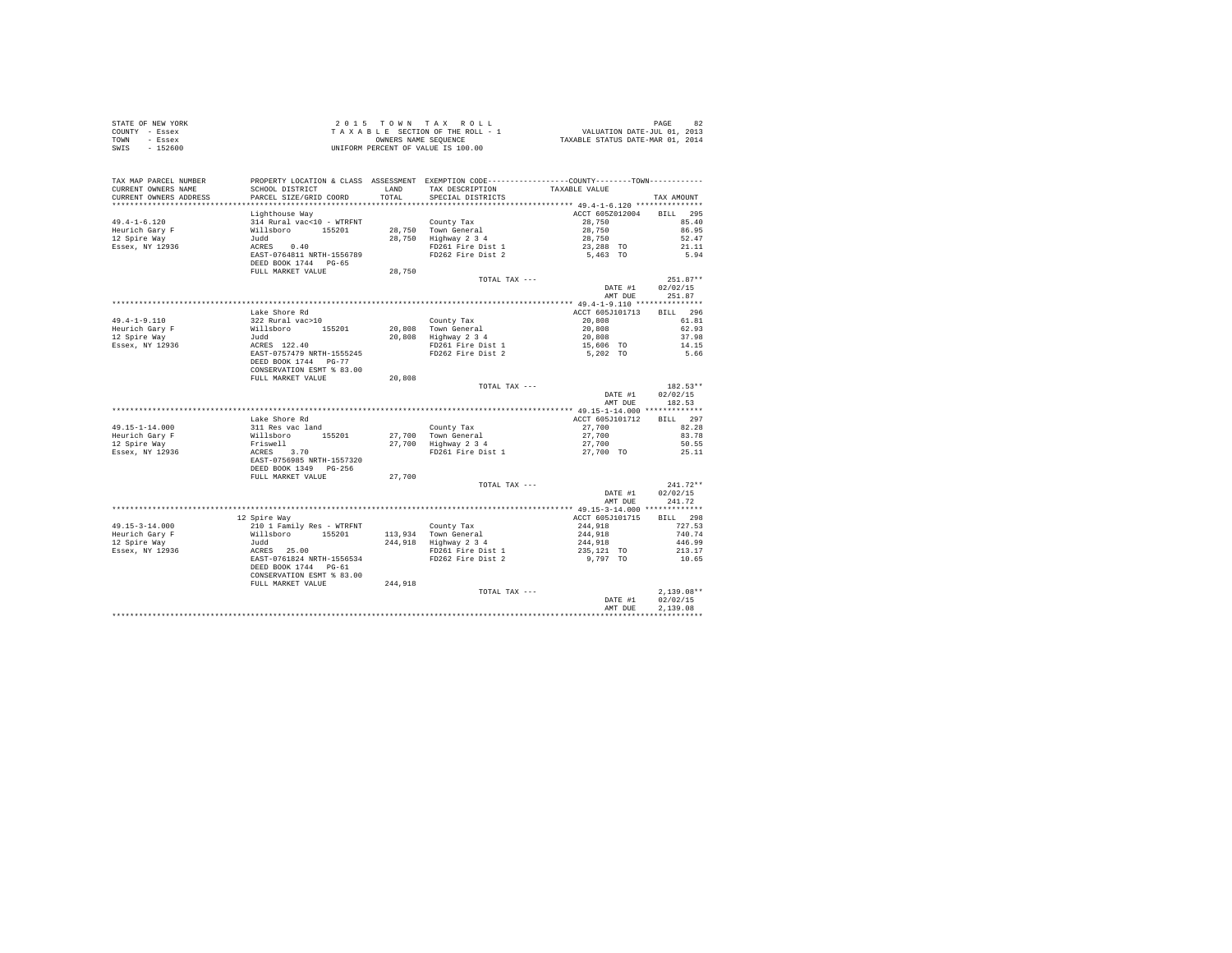| STATE OF NEW YORK<br>COUNTY - Essex<br>TOWN - Essex<br>SWIS - 152600                                                                                                                                                                                                                                                                                                                                       |                                                                                                                                                       |         | UNIFORM PERCENT OF VALUE IS 100.00                                                                                                                    |                                                                                        |                                          |
|------------------------------------------------------------------------------------------------------------------------------------------------------------------------------------------------------------------------------------------------------------------------------------------------------------------------------------------------------------------------------------------------------------|-------------------------------------------------------------------------------------------------------------------------------------------------------|---------|-------------------------------------------------------------------------------------------------------------------------------------------------------|----------------------------------------------------------------------------------------|------------------------------------------|
| TAX MAP PARCEL NUMBER<br>CURRENT OWNERS NAME<br>CURRENT OWNERS ADDRESS                                                                                                                                                                                                                                                                                                                                     | SCHOOL DISTRICT LAND<br>PARCEL SIZE/GRID COORD                                                                                                        | TOTAL   | PROPERTY LOCATION & CLASS ASSESSMENT EXEMPTION CODE----------------COUNTY--------TOWN----------<br>TAX DESCRIPTION TAXABLE VALUE<br>SPECIAL DISTRICTS |                                                                                        | TAX AMOUNT                               |
|                                                                                                                                                                                                                                                                                                                                                                                                            | Lighthouse Way                                                                                                                                        |         |                                                                                                                                                       | ACCT 605Z012004 BILL 295                                                               |                                          |
| $49.4 - 1 - 6.120$<br>Heurich Gary F<br>12 Spire Way<br>Essex, NY 12936                                                                                                                                                                                                                                                                                                                                    | Ligntnouse way<br>314 Rural vac<br>-10 - WTRFNT 728,750 Town General<br>314 Rural vac<br>-155201 28,750 Tighway 2 3 4<br>                             |         |                                                                                                                                                       | 28,750<br>28,750<br>28,750<br>23,288 TO<br>5,463 TO                                    | 85.40<br>86.95<br>52.47<br>21.11<br>5.94 |
|                                                                                                                                                                                                                                                                                                                                                                                                            | FULL MARKET VALUE                                                                                                                                     | 28,750  |                                                                                                                                                       |                                                                                        |                                          |
|                                                                                                                                                                                                                                                                                                                                                                                                            |                                                                                                                                                       |         | TOTAL TAX ---                                                                                                                                         | DATE #1                                                                                | $251.87**$<br>02/02/15<br>AMT DUE 251.87 |
|                                                                                                                                                                                                                                                                                                                                                                                                            |                                                                                                                                                       |         |                                                                                                                                                       |                                                                                        |                                          |
|                                                                                                                                                                                                                                                                                                                                                                                                            | Lake Shore Rd                                                                                                                                         |         |                                                                                                                                                       | ACCT 605J101713<br>20,808 61.81                                                        | BILL 296                                 |
| $\begin{tabular}{lllllllllll} \multicolumn{3}{c }{49.4-1-9.110} & \multicolumn{3}{c }{18.8} & \multicolumn{3}{c }{3.22~Rural vac>10} & \multicolumn{3}{c }{20.808~R}\n \multicolumn{3}{c }{3.22~Rural vac>10} & \multicolumn{3}{c }{12.8} & \multicolumn{3}{c }{12.8} & \multicolumn{3}{c }{20.808~R}\n \multicolumn{3}{c }{Heurich Gary F} & \multicolumn{3}{c }{3.22~Rural vac>10} & \multicolumn{3}{c $ |                                                                                                                                                       |         |                                                                                                                                                       |                                                                                        | 62.93<br>37.98<br>14.15<br>5.66          |
|                                                                                                                                                                                                                                                                                                                                                                                                            |                                                                                                                                                       |         |                                                                                                                                                       |                                                                                        |                                          |
|                                                                                                                                                                                                                                                                                                                                                                                                            | FULL MARKET VALUE                                                                                                                                     | 20,808  | TOTAL TAX ---                                                                                                                                         |                                                                                        | 182.53**                                 |
|                                                                                                                                                                                                                                                                                                                                                                                                            |                                                                                                                                                       |         |                                                                                                                                                       | DATE #1<br>AMT DUE                                                                     | 02/02/15<br>182.53                       |
|                                                                                                                                                                                                                                                                                                                                                                                                            | Lake Shore Rd                                                                                                                                         |         |                                                                                                                                                       | ACCT 605J101712 BILL 297                                                               |                                          |
| $49.15 - 1 - 14.000$                                                                                                                                                                                                                                                                                                                                                                                       |                                                                                                                                                       |         |                                                                                                                                                       |                                                                                        |                                          |
|                                                                                                                                                                                                                                                                                                                                                                                                            |                                                                                                                                                       |         |                                                                                                                                                       |                                                                                        |                                          |
| Heurich Gary F<br>12 Spire Way<br>Essex, NY 12936                                                                                                                                                                                                                                                                                                                                                          | Lake Shore Rd<br>311 Res vac land<br>Willsboro 155201<br>Priswell<br>ERS 3.70<br>ERS 10508 NRTH-1557320<br>DEED BOOK 1349 PG-256<br>PULL MARKET VALUE |         |                                                                                                                                                       | $27,700$<br>$27,700$<br>$27,700$<br>$27,700$<br>$50.55$                                | 25.11                                    |
|                                                                                                                                                                                                                                                                                                                                                                                                            |                                                                                                                                                       | 27,700  |                                                                                                                                                       |                                                                                        |                                          |
|                                                                                                                                                                                                                                                                                                                                                                                                            |                                                                                                                                                       |         | TOTAL TAX ---                                                                                                                                         | DATE #1<br>AMT DUE                                                                     | $241.72**$<br>02/02/15<br>241.72         |
|                                                                                                                                                                                                                                                                                                                                                                                                            |                                                                                                                                                       |         |                                                                                                                                                       |                                                                                        |                                          |
|                                                                                                                                                                                                                                                                                                                                                                                                            | 12 Spire Way                                                                                                                                          |         |                                                                                                                                                       | ACCT 605J101715<br>$244,918$<br>$244,918$<br>$244,918$<br>$235,121$ TO<br>$235,121$ TO | BILL 298<br>727.53<br>740.74             |
|                                                                                                                                                                                                                                                                                                                                                                                                            |                                                                                                                                                       |         |                                                                                                                                                       |                                                                                        | 446.99                                   |
|                                                                                                                                                                                                                                                                                                                                                                                                            | CONSERVATION ESMT % 83.00<br>FULL MARKET VALUE                                                                                                        | 244,918 | County Tax<br>113,934 Town General<br>244,918 Highway 2 3 4<br>FD261 Fire Dist 1<br>FD262 Fire Dist 2                                                 | 9,797 TO                                                                               | 213.17<br>10.65                          |
|                                                                                                                                                                                                                                                                                                                                                                                                            |                                                                                                                                                       |         | TOTAL TAX ---                                                                                                                                         | DATE #1                                                                                | $2.139.08**$<br>02/02/15                 |
|                                                                                                                                                                                                                                                                                                                                                                                                            |                                                                                                                                                       |         |                                                                                                                                                       | AMT DUE                                                                                | 2.139.08                                 |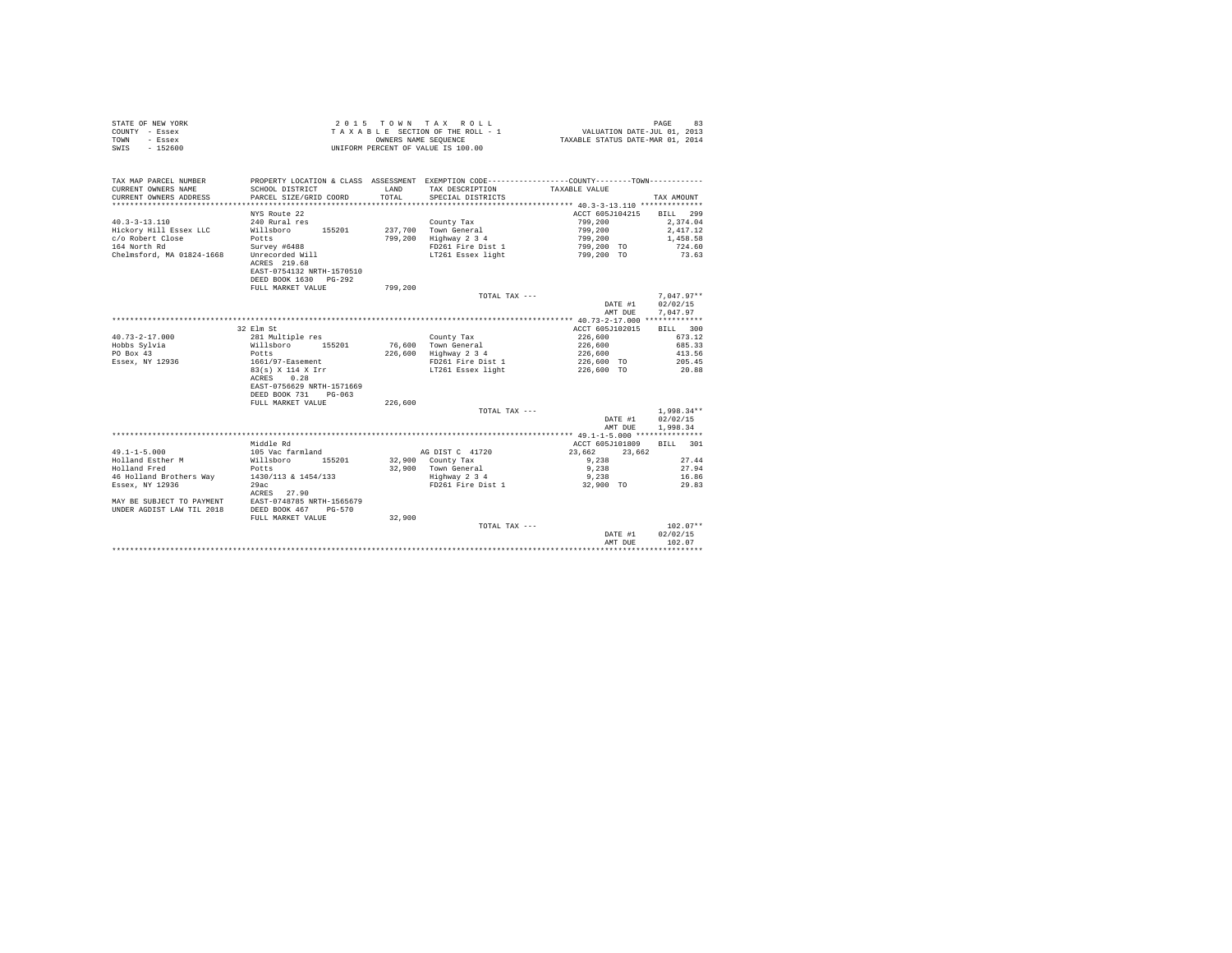|                | STATE OF NEW YORK |  |  |  | 2015 TOWN TAX ROLL                 |  |  |  | PAGE                             |
|----------------|-------------------|--|--|--|------------------------------------|--|--|--|----------------------------------|
| COUNTY - Essex |                   |  |  |  | TAXABLE SECTION OF THE ROLL - 1    |  |  |  | VALUATION DATE-JUL 01, 2013      |
| TOWN           | - Essex           |  |  |  | OWNERS NAME SEOUENCE               |  |  |  | TAXABLE STATUS DATE-MAR 01, 2014 |
| SWIS           | $-152600$         |  |  |  | UNIFORM PERCENT OF VALUE IS 100.00 |  |  |  |                                  |

| TAX MAP PARCEL NUMBER<br>CURRENT OWNERS NAME<br>CURRENT OWNERS ADDRESS                                         | PROPERTY LOCATION & CLASS ASSESSMENT EXEMPTION CODE---------------COUNTY-------TOWN---------<br>SCHOOL DISTRICT<br>PARCEL SIZE/GRID COORD     | LAND<br>TOTAL. | TAX DESCRIPTION<br>SPECIAL DISTRICTS                                                          | TAXABLE VALUE                                                                | TAX AMOUNT                                                      |
|----------------------------------------------------------------------------------------------------------------|-----------------------------------------------------------------------------------------------------------------------------------------------|----------------|-----------------------------------------------------------------------------------------------|------------------------------------------------------------------------------|-----------------------------------------------------------------|
| $40.3 - 3 - 13.110$<br>Hickory Hill Essex LLC<br>c/o Robert Close<br>164 North Rd<br>Chelmsford, MA 01824-1668 | NYS Route 22<br>240 Rural res<br>Willsboro<br>155201<br>Potts<br>Survey #6488<br>Unrecorded Will<br>ACRES 219.68<br>EAST-0754132 NRTH-1570510 | 799,200        | County Tax<br>237,700 Town General<br>Highway 2 3 4<br>FD261 Fire Dist 1<br>LT261 Essex light | ACCT 605J104215<br>799,200<br>799,200<br>799,200<br>799,200 TO<br>799,200 TO | BILL 299<br>2,374.04<br>2,417.12<br>1,458.58<br>724.60<br>73.63 |
|                                                                                                                | DEED BOOK 1630<br>$PG-292$<br>FULL MARKET VALUE                                                                                               | 799,200        | TOTAL TAX ---                                                                                 |                                                                              | $7.047.97**$                                                    |
|                                                                                                                |                                                                                                                                               |                |                                                                                               | DATE #1<br>AMT DUE                                                           | 02/02/15<br>7.047.97                                            |
|                                                                                                                |                                                                                                                                               |                |                                                                                               |                                                                              |                                                                 |
|                                                                                                                | 32 Elm St                                                                                                                                     |                |                                                                                               | ACCT 605J102015                                                              | BILL 300                                                        |
| $40.73 - 2 - 17.000$                                                                                           | 281 Multiple res                                                                                                                              |                | County Tax                                                                                    | 226,600                                                                      | 673.12                                                          |
| Hobbs Sylvia                                                                                                   | Willsboro 155201                                                                                                                              |                | 76,600 Town General                                                                           | 226,600                                                                      | 685.33                                                          |
| PO Box 43                                                                                                      | Potts                                                                                                                                         | 226,600        | Highway 2 3 4                                                                                 | 226,600                                                                      | 413.56                                                          |
| Essex, NY 12936                                                                                                | 1661/97-Easement                                                                                                                              |                | FD261 Fire Dist 1                                                                             | 226,600 TO                                                                   | 205.45                                                          |
|                                                                                                                | 83(s) X 114 X Irr<br>0.28<br>ACRES<br>EAST-0756629 NRTH-1571669<br>DEED BOOK 731<br>$PG-063$                                                  |                | LT261 Essex light                                                                             | 226,600 TO                                                                   | 20.88                                                           |
|                                                                                                                | FULL MARKET VALUE                                                                                                                             | 226,600        |                                                                                               |                                                                              |                                                                 |
|                                                                                                                |                                                                                                                                               |                | TOTAL TAX ---                                                                                 |                                                                              | $1,998.34**$                                                    |
|                                                                                                                |                                                                                                                                               |                |                                                                                               |                                                                              |                                                                 |
|                                                                                                                |                                                                                                                                               |                |                                                                                               | DATE #1                                                                      | 02/02/15                                                        |
|                                                                                                                |                                                                                                                                               |                |                                                                                               | AMT DUE                                                                      | 1,998.34                                                        |
|                                                                                                                |                                                                                                                                               |                |                                                                                               |                                                                              |                                                                 |
|                                                                                                                | Middle Rd                                                                                                                                     |                |                                                                                               | ACCT 605J101809                                                              | 301<br>BILL                                                     |
| $49.1 - 1 - 5.000$                                                                                             | 105 Vac farmland                                                                                                                              |                | AG DIST C 41720                                                                               | 23,662<br>23,662                                                             |                                                                 |
| Holland Esther M                                                                                               | 155201<br>Willsboro                                                                                                                           |                | 32,900 County Tax                                                                             | 9,238                                                                        | 27.44                                                           |
| Holland Fred                                                                                                   | Potts                                                                                                                                         |                | 32,900 Town General                                                                           | 9,238                                                                        | 27.94                                                           |
| 46 Holland Brothers Wav                                                                                        | 1430/113 & 1454/133                                                                                                                           |                | Highway 2 3 4                                                                                 | 9,238                                                                        | 16.86                                                           |
| Essex, NY 12936                                                                                                | 29ac                                                                                                                                          |                | FD261 Fire Dist 1                                                                             | 32,900 TO                                                                    | 29.83                                                           |
|                                                                                                                | ACRES 27.90                                                                                                                                   |                |                                                                                               |                                                                              |                                                                 |
| MAY BE SUBJECT TO PAYMENT                                                                                      | EAST-0748785 NRTH-1565679                                                                                                                     |                |                                                                                               |                                                                              |                                                                 |
| UNDER AGDIST LAW TIL 2018                                                                                      | DEED BOOK 467<br>PG-570                                                                                                                       |                |                                                                                               |                                                                              |                                                                 |
|                                                                                                                | FULL MARKET VALUE                                                                                                                             | 32,900         |                                                                                               |                                                                              |                                                                 |
|                                                                                                                |                                                                                                                                               |                | TOTAL TAX ---                                                                                 |                                                                              | $102.07**$                                                      |
|                                                                                                                |                                                                                                                                               |                |                                                                                               | DATE #1                                                                      | 02/02/15                                                        |
|                                                                                                                |                                                                                                                                               |                |                                                                                               | AMT DUE                                                                      | 102.07                                                          |
|                                                                                                                |                                                                                                                                               |                |                                                                                               |                                                                              |                                                                 |
|                                                                                                                |                                                                                                                                               |                |                                                                                               |                                                                              |                                                                 |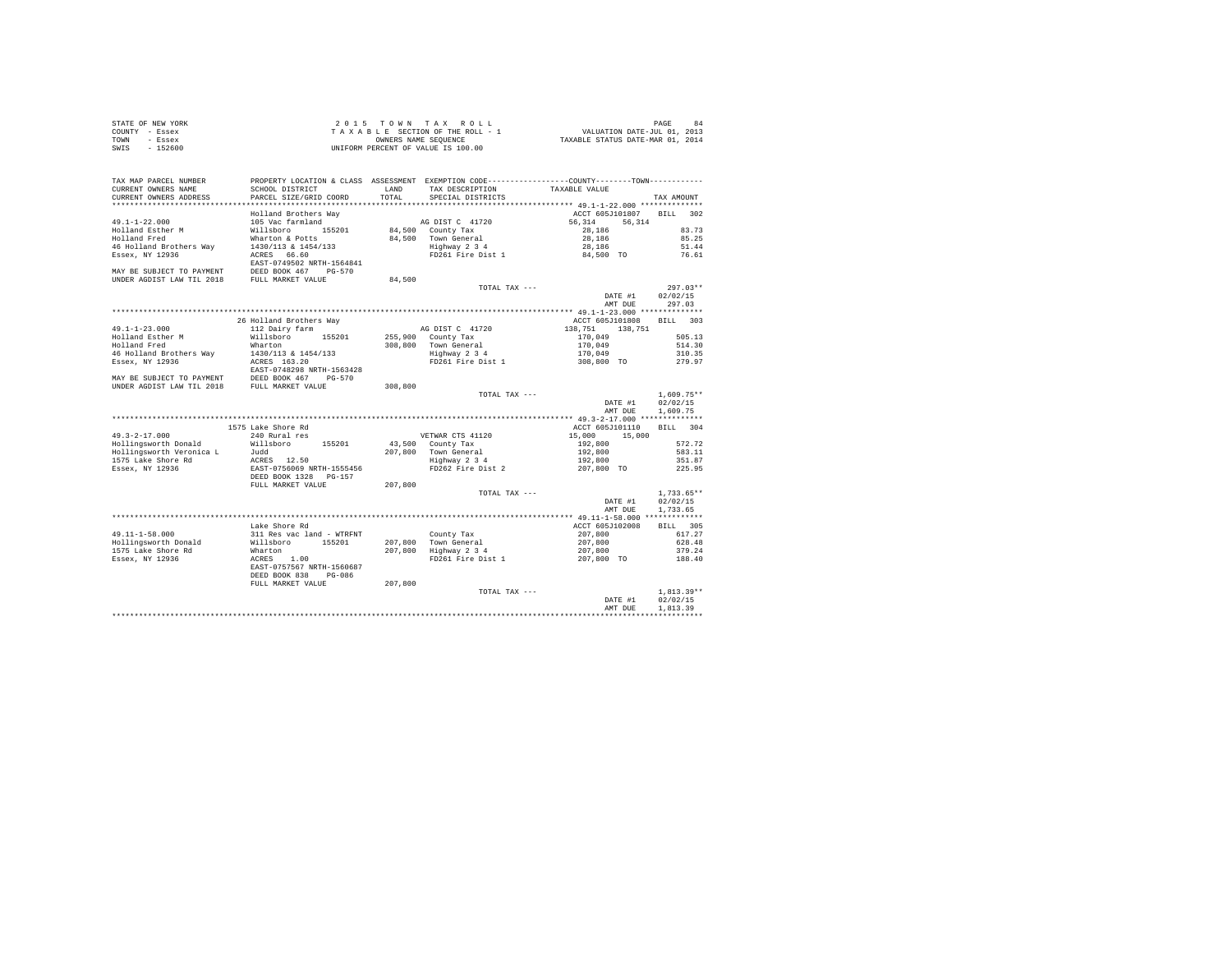| STATE OF NEW YORK         |                                                                                                |         | 2015 TOWN TAX ROLL                   |                                  | 84<br>PAGE   |
|---------------------------|------------------------------------------------------------------------------------------------|---------|--------------------------------------|----------------------------------|--------------|
| COUNTY - Essex            |                                                                                                |         | TAXABLE SECTION OF THE ROLL - 1      | VALUATION DATE-JUL 01, 2013      |              |
| TOWN<br>- Essex           |                                                                                                |         | OWNERS NAME SEQUENCE                 | TAXABLE STATUS DATE-MAR 01, 2014 |              |
| SWIS - 152600             |                                                                                                |         | UNIFORM PERCENT OF VALUE IS 100.00   |                                  |              |
|                           |                                                                                                |         |                                      |                                  |              |
|                           |                                                                                                |         |                                      |                                  |              |
|                           |                                                                                                |         |                                      |                                  |              |
| TAX MAP PARCEL NUMBER     | PROPERTY LOCATION & CLASS ASSESSMENT EXEMPTION CODE----------------COUNTY-------TOWN---------- |         |                                      |                                  |              |
| CURRENT OWNERS NAME       | SCHOOL DISTRICT                                                                                | LAND    | TAX DESCRIPTION                      | TAXABLE VALUE                    |              |
| CURRENT OWNERS ADDRESS    | PARCEL SIZE/GRID COORD                                                                         | TOTAL.  | SPECIAL DISTRICTS                    |                                  | TAX AMOUNT   |
|                           |                                                                                                |         |                                      |                                  |              |
|                           | Holland Brothers Way                                                                           |         |                                      | ACCT 605J101807                  | BILL 302     |
| $49.1 - 1 - 22.000$       | 105 Vac farmland                                                                               |         | AG DIST C 41720                      | 56.314<br>56,314                 |              |
| Holland Esther M          | 155201<br>Willsboro                                                                            |         | 84,500 County Tax                    | 28,186                           | 83.73        |
| Holland Fred              | Wharton & Potts                                                                                |         |                                      | 28,186                           | 85.25        |
| 46 Holland Brothers Way   | 1430/113 & 1454/133                                                                            |         | 84,500 Town General<br>Highway 2 3 4 | 28,186                           | 51.44        |
| Essex, NY 12936           | ACRES 66.60                                                                                    |         | FD261 Fire Dist 1                    | 84,500 TO                        | 76.61        |
|                           | EAST-0749502 NRTH-1564841                                                                      |         |                                      |                                  |              |
|                           |                                                                                                |         |                                      |                                  |              |
| MAY BE SUBJECT TO PAYMENT | DEED BOOK 467 PG-570                                                                           |         |                                      |                                  |              |
| UNDER AGDIST LAW TIL 2018 | FULL MARKET VALUE                                                                              | 84,500  |                                      |                                  |              |
|                           |                                                                                                |         | TOTAL TAX ---                        |                                  | $297.03**$   |
|                           |                                                                                                |         |                                      | DATE #1                          | 02/02/15     |
|                           |                                                                                                |         |                                      | AMT DUE                          | 297.03       |
|                           |                                                                                                |         |                                      |                                  |              |
|                           | 26 Holland Brothers Way                                                                        |         |                                      | ACCT 605J101808                  | BILL 303     |
| $49.1 - 1 - 23.000$       | 112 Dairy farm                                                                                 |         | AG DIST C 41720                      | 138,751 138,751                  |              |
| Holland Esther M          | Willsboro 155201                                                                               |         | 255,900 County Tax                   | 170.049                          | 505.13       |
| Holland Fred              | Wharton                                                                                        |         | 308,800 Town General                 | 170.049                          | 514.30       |
| 46 Holland Brothers Way   | 1430/113 & 1454/133                                                                            |         | Highway 2 3 4                        | 170.049                          | 310.35       |
| Essex, NY 12936           | ACRES 163.20                                                                                   |         | FD261 Fire Dist 1                    | 308,800 TO                       | 279.97       |
|                           | EAST-0748298 NRTH-1563428                                                                      |         |                                      |                                  |              |
| MAY BE SUBJECT TO PAYMENT | DEED BOOK 467 PG-570                                                                           |         |                                      |                                  |              |
| UNDER AGDIST LAW TIL 2018 | FULL MARKET VALUE                                                                              | 308,800 |                                      |                                  |              |
|                           |                                                                                                |         | TOTAL TAX ---                        |                                  | $1.609.75**$ |
|                           |                                                                                                |         |                                      | DATE #1                          | 02/02/15     |
|                           |                                                                                                |         |                                      | AMT DUE                          | 1,609.75     |
|                           |                                                                                                |         |                                      |                                  |              |
|                           | 1575 Lake Shore Rd                                                                             |         |                                      | ACCT 605J101110                  | BILL 304     |
| $49.3 - 2 - 17.000$       | 240 Rural res                                                                                  |         | VETWAR CTS 41120                     | 15,000 15,000                    |              |
| Hollingsworth Donald      | Willsboro 155201                                                                               |         | 43,500 County Tax                    | 192,800                          | 572.72       |
| Hollingsworth Veronica L  | Judd                                                                                           |         | 207,800 Town General                 | 192,800                          | 583.11       |
| 1575 Lake Shore Rd        | ACRES 12.50                                                                                    |         | Highway 2 3 4                        | 192,800                          | 351.87       |
| Essex, NY 12936           | EAST-0756069 NRTH-1555456                                                                      |         | FD262 Fire Dist 2                    | 207,800 TO                       | 225.95       |
|                           |                                                                                                |         |                                      |                                  |              |
|                           | DEED BOOK 1328 PG-157                                                                          |         |                                      |                                  |              |
|                           | FULL MARKET VALUE                                                                              | 207,800 |                                      |                                  |              |

DATE #1 02/02/15 AMT DUE 1,733.65 \*\*\*\*\*\*\*\*\*\*\*\*\*\*\*\*\*\*\*\*\*\*\*\*\*\*\*\*\*\*\*\*\*\*\*\*\*\*\*\*\*\*\*\*\*\*\*\*\*\*\*\*\*\*\*\*\*\*\*\*\*\*\*\*\*\*\*\*\*\*\*\*\*\*\*\*\*\*\*\*\*\*\*\*\*\*\*\*\*\*\*\*\*\*\*\*\*\*\*\*\*\*\* 49.11-1-58.000 \*\*\*\*\*\*\*\*\*\*\*\*\*

11-1-1-50.000 BILL 305<br>
HAR Shore Rd<br>
1911 Hes vac 1and - Wikipedia (1920)<br>
2017, 800 Town General 2017, 800 61-120008 BILL 305<br>
1575 Lake Shore Rd<br>
Highway 2017, 800 Town General 2017, 800 628.48<br>
1.00 201, 800 193201 201 49.11-1-58.000 611.22 11.Res vac land - WTRENT (1997, 1997, 2008) 617.27, 2009 617.27, 2009 617.27<br>1501 1ingsworth Donald Willisboro 155201 207,800 Town General (1997,800 528.48<br>1586ex, NY 12936 - ACRES 1.00 207,800 Fi261

DATE #1 02/02/15 AMT DUE 1,813.39 \*\*\*\*\*\*\*\*\*\*\*\*\*\*\*\*\*\*\*\*\*\*\*\*\*\*\*\*\*\*\*\*\*\*\*\*\*\*\*\*\*\*\*\*\*\*\*\*\*\*\*\*\*\*\*\*\*\*\*\*\*\*\*\*\*\*\*\*\*\*\*\*\*\*\*\*\*\*\*\*\*\*\*\*\*\*\*\*\*\*\*\*\*\*\*\*\*\*\*\*\*\*\*\*\*\*\*\*\*\*\*\*\*\*\*\*\*\*\*\*\*\*\*\*\*\*\*\*\*\*\*\*

EAST-0757567 NRTH-1560687<br>DEED BOOK 838 PG-086<br>FULL MARKET VALUE 207,800

TOTAL TAX ---  $\texttt{DATE}~\#1~~ 02/02/15$ 

TOTAL TAX ---  $\texttt{DATE}~\#1~~ 02/02/15$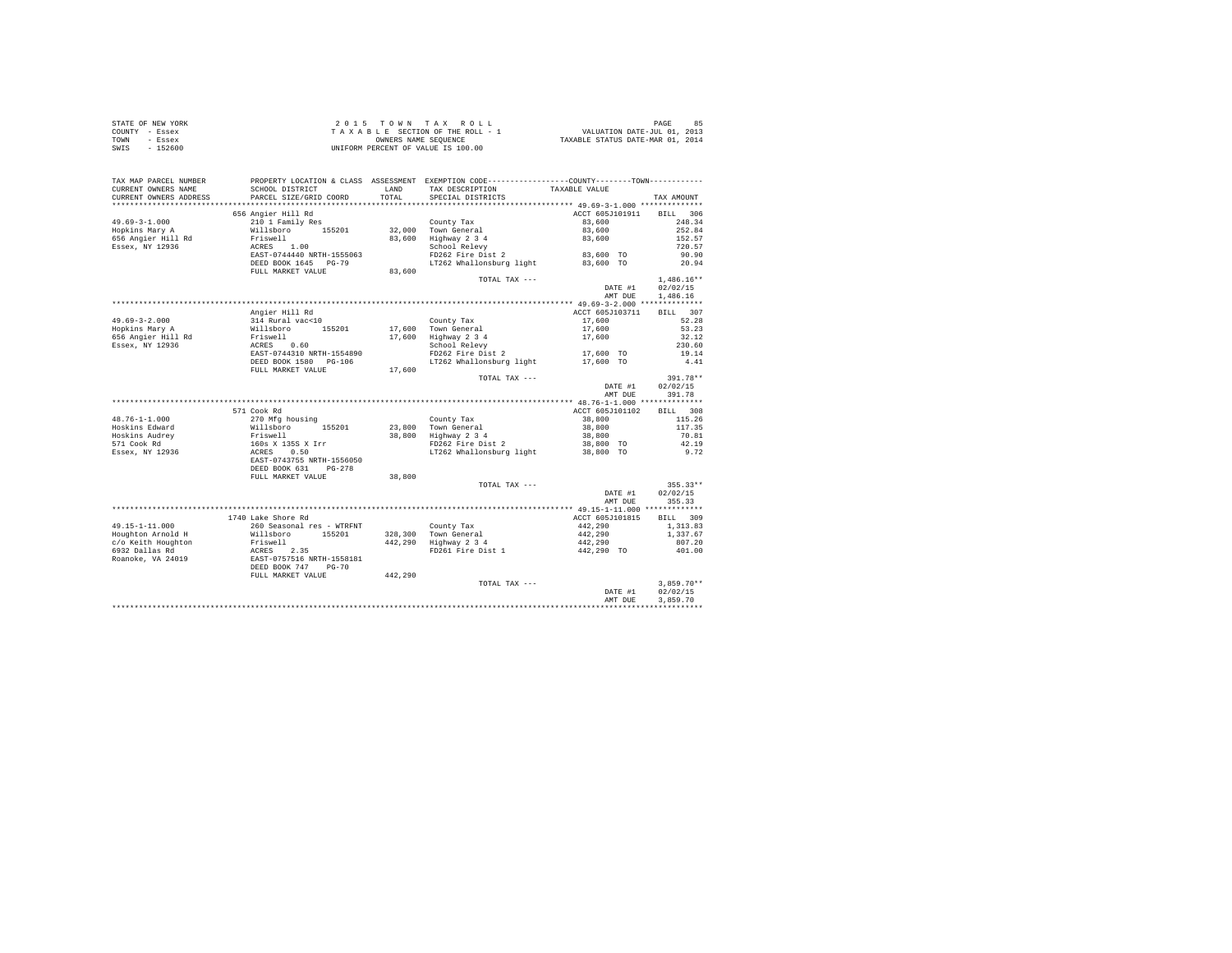| STATE OF NEW YORK      |                                                                                                                                                                                              |         |                                                                                   |                                                     |                 |
|------------------------|----------------------------------------------------------------------------------------------------------------------------------------------------------------------------------------------|---------|-----------------------------------------------------------------------------------|-----------------------------------------------------|-----------------|
| COUNTY - Essex         |                                                                                                                                                                                              |         |                                                                                   |                                                     |                 |
| TOWN - Essex           |                                                                                                                                                                                              |         |                                                                                   |                                                     |                 |
| SWTS<br>$-152600$      |                                                                                                                                                                                              |         |                                                                                   |                                                     |                 |
|                        |                                                                                                                                                                                              |         |                                                                                   |                                                     |                 |
|                        |                                                                                                                                                                                              |         |                                                                                   |                                                     |                 |
| TAX MAP PARCEL NUMBER  | PROPERTY LOCATION & CLASS ASSESSMENT EXEMPTION CODE---------------COUNTY-------TOWN----------                                                                                                |         |                                                                                   |                                                     |                 |
| CURRENT OWNERS NAME    | SCHOOL DISTRICT                                                                                                                                                                              |         | LAND TAX DESCRIPTION                                                              | TAXABLE VALUE                                       |                 |
| CURRENT OWNERS ADDRESS | PARCEL SIZE/GRID COORD                                                                                                                                                                       | TOTAL   | SPECIAL DISTRICTS                                                                 |                                                     | TAX AMOUNT      |
|                        |                                                                                                                                                                                              |         |                                                                                   |                                                     |                 |
|                        | 656 Angier Hill Rd                                                                                                                                                                           |         |                                                                                   | ACCT 605J101911 BILL 306                            |                 |
| $49.69 - 3 - 1.000$    | 210 1 Family Res                                                                                                                                                                             |         | County Tax                                                                        | 83,600                                              | 248.34          |
| Hopkins Mary A         | Willsboro 155201                                                                                                                                                                             |         |                                                                                   | 83,600                                              | 252.84          |
| 656 Angier Hill Rd     | Friswell<br>ACRES 1.00<br>EAST-0744440 NRTH-1555063<br>DEED BOOK 1645 PG-79                                                                                                                  |         | 32,000 Town General<br>83,600 Highway 2 3 4<br>School Relevy<br>FD262 Fire Dist 2 | 83,600                                              | 152.57          |
| Essex, NY 12936        |                                                                                                                                                                                              |         |                                                                                   |                                                     | 720.57          |
|                        |                                                                                                                                                                                              |         |                                                                                   | 83,600 TO                                           | 90.90           |
|                        |                                                                                                                                                                                              |         | LT262 Whallonsburg light                                                          | 83,600 TO                                           | 20.94           |
|                        | FULL MARKET VALUE                                                                                                                                                                            | 83,600  |                                                                                   |                                                     |                 |
|                        |                                                                                                                                                                                              |         | TOTAL TAX ---                                                                     |                                                     | $1.486.16**$    |
|                        |                                                                                                                                                                                              |         |                                                                                   | DATE #1                                             | 02/02/15        |
|                        |                                                                                                                                                                                              |         |                                                                                   | AMT DUE                                             | 1,486.16        |
|                        |                                                                                                                                                                                              |         |                                                                                   |                                                     |                 |
|                        | Angier Hill Rd                                                                                                                                                                               |         |                                                                                   | ACCT 605J103711                                     | BILL 307        |
| $49.69 - 3 - 2.000$    | $314$ Rural $\text{vac} < 10$                                                                                                                                                                |         | County Tax<br>17,600 Town General<br>17,600 Highway 2 3 4<br>School Relevy        | 17,600                                              | 52.28           |
| Hopkins Mary A         |                                                                                                                                                                                              |         |                                                                                   | 17,600                                              | 53.23           |
| 656 Angier Hill Rd     | 314 Kural Vac<10<br>Willsboro 155201<br>Priswell<br>ACRES 0.60<br>EAST-0744310 NRTH-1554890<br>DEED BOOK 1580 PG-106                                                                         |         |                                                                                   | 17,600                                              | 32.12           |
| Essex, NY 12936        |                                                                                                                                                                                              |         |                                                                                   |                                                     | 230.60          |
|                        |                                                                                                                                                                                              |         | $FD262$ Fire Dist 2                                                               | 17,600 TO                                           | 19.14           |
|                        |                                                                                                                                                                                              |         | LT262 Whallonsburg light                                                          | 17,600 TO                                           | 4.41            |
|                        | FULL MARKET VALUE                                                                                                                                                                            | 17,600  |                                                                                   |                                                     |                 |
|                        |                                                                                                                                                                                              |         | TOTAL TAX ---                                                                     |                                                     | 391.78**        |
|                        |                                                                                                                                                                                              |         |                                                                                   | DATE #1                                             | 02/02/15        |
|                        |                                                                                                                                                                                              |         |                                                                                   | AMT DUE                                             | 391.78          |
|                        |                                                                                                                                                                                              |         |                                                                                   |                                                     |                 |
|                        | 571 Cook Rd                                                                                                                                                                                  |         |                                                                                   | ACCT 605J101102                                     | BILL 308        |
| $48.76 - 1 - 1.000$    |                                                                                                                                                                                              |         | County Tax<br>23,800 Town General<br>38,800 Highway 2 3 4<br>FD262 Fire Dist 2    | 38,800                                              | 115.26          |
| Hoskins Edward         |                                                                                                                                                                                              |         |                                                                                   | 38,800                                              | 117.35          |
| Hoskins Audrey         |                                                                                                                                                                                              |         |                                                                                   | 38,800                                              | 70.81           |
| 571 Cook Rd            |                                                                                                                                                                                              |         |                                                                                   | 38,800 TO                                           | 42.19           |
| Essex, NY 12936        |                                                                                                                                                                                              |         | LT262 Whallonsburg light                                                          | 38,800 TO                                           | 9.72            |
|                        |                                                                                                                                                                                              |         |                                                                                   |                                                     |                 |
|                        | 971 COD Rue Robert 155201<br>The Wallsboro 155201<br>Friswell<br>1608 X 1355 X Irr<br>ACRES 0.50<br>EAST-0743755 NRTH-1556050<br>DEED BOX 631<br>THI MARGE 10767 11110-278<br>THI MARGE 1076 |         |                                                                                   |                                                     |                 |
|                        | FULL MARKET VALUE                                                                                                                                                                            | 38,800  |                                                                                   |                                                     |                 |
|                        |                                                                                                                                                                                              |         | TOTAL TAX ---                                                                     |                                                     | $355.33**$      |
|                        |                                                                                                                                                                                              |         |                                                                                   | DATE #1                                             | 02/02/15        |
|                        |                                                                                                                                                                                              |         |                                                                                   | AMT DUE                                             | 355.33          |
|                        |                                                                                                                                                                                              |         |                                                                                   |                                                     |                 |
|                        | 1740 Lake Shore Rd                                                                                                                                                                           |         |                                                                                   | ACCT 605J101815                                     | <b>BILL</b> 309 |
| 49.15-1-11.000         | 260 Seasonal res - WTRFNT                                                                                                                                                                    |         |                                                                                   |                                                     | 1,313.83        |
| Houghton Arnold H      |                                                                                                                                                                                              |         |                                                                                   |                                                     | 1,337.67        |
| c/o Keith Houghton     |                                                                                                                                                                                              |         | County Tax<br>328,300 Town General<br>442,290 Highway 2 3 4                       |                                                     | 807.20          |
| 6932 Dallas Rd         |                                                                                                                                                                                              |         | FD261 Fire Dist 1                                                                 | $442,290$<br>$442,290$<br>$442,290$<br>$442,290$ TO | 401.00          |
| Roanoke, VA 24019      |                                                                                                                                                                                              |         |                                                                                   |                                                     |                 |
|                        |                                                                                                                                                                                              |         |                                                                                   |                                                     |                 |
|                        | FULL MARKET VALUE                                                                                                                                                                            | 442.290 |                                                                                   |                                                     |                 |
|                        |                                                                                                                                                                                              |         | TOTAL TAX ---                                                                     |                                                     | $3.859.70**$    |
|                        |                                                                                                                                                                                              |         |                                                                                   | DATE #1                                             | 02/02/15        |
|                        |                                                                                                                                                                                              |         |                                                                                   | AMT DUE                                             | 3.859.70        |
|                        |                                                                                                                                                                                              |         |                                                                                   |                                                     | ************    |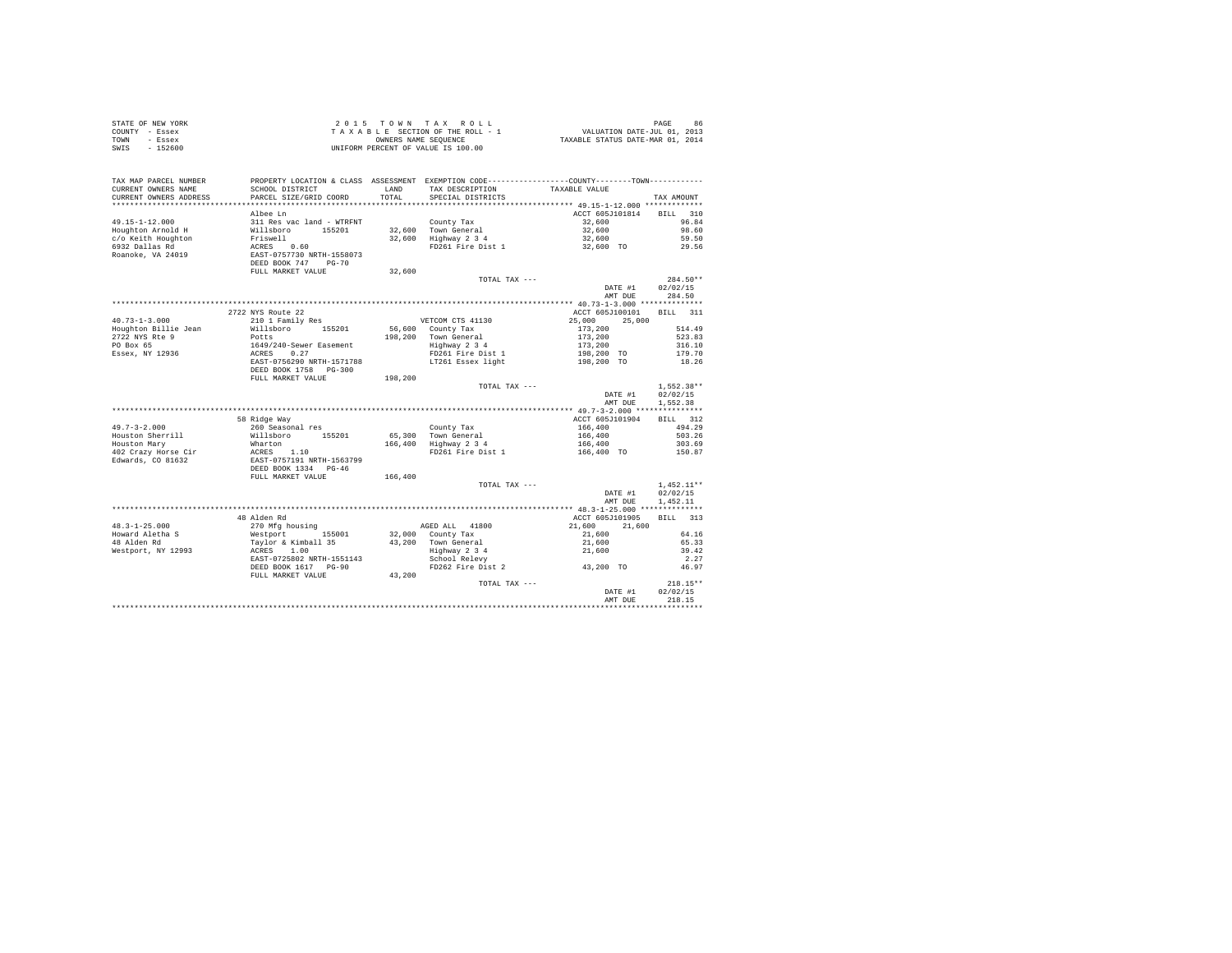| STATE OF NEW YORK<br>COUNTY - Essex<br>TOWN - Essex<br>SWIS - 152600   |                                                                                                                                                                                                                                |               | 2015 TOWN TAX ROLL<br>UNIFORM PERCENT OF VALUE IS 100.00                   |                                  | PAGE<br>86       |
|------------------------------------------------------------------------|--------------------------------------------------------------------------------------------------------------------------------------------------------------------------------------------------------------------------------|---------------|----------------------------------------------------------------------------|----------------------------------|------------------|
| TAX MAP PARCEL NUMBER<br>CURRENT OWNERS NAME<br>CURRENT OWNERS ADDRESS | PROPERTY LOCATION & CLASS ASSESSMENT EXEMPTION CODE----------------COUNTY-------TOWN----------<br>SCHOOL DISTRICT<br>PARCEL SIZE/GRID COORD                                                                                    | LAND<br>TOTAL | TAX DESCRIPTION TAXABLE VALUE<br>SPECIAL DISTRICTS                         |                                  | TAX AMOUNT       |
|                                                                        |                                                                                                                                                                                                                                |               |                                                                            |                                  |                  |
|                                                                        | Albee Ln                                                                                                                                                                                                                       |               |                                                                            | ACCT 605J101814                  | BILL 310         |
| 49.15-1-12.000                                                         |                                                                                                                                                                                                                                |               | County Tax                                                                 | 32,600<br>32,600                 | 96.84            |
| Houghton Arnold H                                                      | ALACE LET AND STATE STATE STATE RESPONDENCE TO A STATE STATE STATE STATE STATE STATE STATE STATE STATE STATE STATE STATE STATE STATE STATE STATE STATE STATE STATE STATE STATE STATE STATE STATE STATE STATE STATE STATE STATE |               | County Tax<br>32,600 Town General<br>32,600 Highway 2 3 4                  |                                  | 98.60<br>59.50   |
| c/o Keith Houghton<br>6932 Dallas Rd                                   |                                                                                                                                                                                                                                |               | FD261 Fire Dist 1                                                          | 32,600<br>32,600 TO              | 29.56            |
| Roanoke, VA 24019                                                      |                                                                                                                                                                                                                                |               |                                                                            |                                  |                  |
|                                                                        |                                                                                                                                                                                                                                |               |                                                                            |                                  |                  |
|                                                                        | FULL MARKET VALUE                                                                                                                                                                                                              | 32,600        |                                                                            |                                  |                  |
|                                                                        |                                                                                                                                                                                                                                |               | TOTAL TAX ---                                                              |                                  | 284.50**         |
|                                                                        |                                                                                                                                                                                                                                |               |                                                                            | DATE #1                          | 02/02/15         |
|                                                                        |                                                                                                                                                                                                                                |               |                                                                            | AMT DUE                          | 284.50           |
|                                                                        |                                                                                                                                                                                                                                |               |                                                                            |                                  |                  |
|                                                                        | 2722 NYS Route 22                                                                                                                                                                                                              |               |                                                                            | ACCT 605J100101 BILL 311         |                  |
| $40.73 - 1 - 3.000$                                                    | 210 1 Family Res                                                                                                                                                                                                               |               | VETCOM CTS 41130                                                           | 25,000                           | 25,000           |
| Houghton Billie Jean                                                   | Willsboro 155201                                                                                                                                                                                                               |               | 56,600 County Tax<br>198,200 Town General<br>Highway 2 3 4                 |                                  | 514.49           |
| 2722 NYS Rte 9                                                         | Potts                                                                                                                                                                                                                          |               |                                                                            |                                  | 523.83           |
| PO Box 65<br>Essex, NY 12936                                           |                                                                                                                                                                                                                                |               |                                                                            |                                  | 316.10<br>179.70 |
|                                                                        | 1649/240-Sewer Easement<br>ACRES 0.27<br>EAST-0756290 NRTH-1571788                                                                                                                                                             |               |                                                                            |                                  | 18.26            |
|                                                                        | DEED BOOK 1758 PG-300                                                                                                                                                                                                          |               |                                                                            |                                  |                  |
|                                                                        | FULL MARKET VALUE                                                                                                                                                                                                              | 198,200       |                                                                            |                                  |                  |
|                                                                        |                                                                                                                                                                                                                                |               | TOTAL TAX ---                                                              |                                  | $1.552.38**$     |
|                                                                        |                                                                                                                                                                                                                                |               |                                                                            | DATE #1                          | 02/02/15         |
|                                                                        |                                                                                                                                                                                                                                |               |                                                                            | AMT DUE                          | 1.552.38         |
|                                                                        |                                                                                                                                                                                                                                |               |                                                                            |                                  |                  |
|                                                                        | 58 Ridge Way                                                                                                                                                                                                                   |               |                                                                            | ACCT 605J101904                  | BILL 312         |
| $49.7 - 3 - 2.000$                                                     | 260 Seasonal res                                                                                                                                                                                                               |               | County Tax                                                                 | 166,400<br>166,400               | 494.29           |
| Houston Sherrill                                                       | Willsboro 155201                                                                                                                                                                                                               |               | County Tax<br>65,300 Town General<br>166,400 Highway 2 3 4                 |                                  | 503.26           |
| Houston Mary<br>402 Crazy Horse Cir                                    |                                                                                                                                                                                                                                |               | FD261 Fire Dist 1                                                          | 166,400<br>166,400 TO            | 303.69<br>150.87 |
| Edwards, CO 81632                                                      | Wharton<br>ACRES 1.10<br>EAST-0757191 NRTH-1563799<br>DEED BOOK 1334 PG-46                                                                                                                                                     |               |                                                                            |                                  |                  |
|                                                                        |                                                                                                                                                                                                                                |               |                                                                            |                                  |                  |
|                                                                        | FULL MARKET VALUE                                                                                                                                                                                                              | 166,400       |                                                                            |                                  |                  |
|                                                                        |                                                                                                                                                                                                                                |               | TOTAL TAX ---                                                              |                                  | $1.452.11**$     |
|                                                                        |                                                                                                                                                                                                                                |               |                                                                            | DATE #1                          | 02/02/15         |
|                                                                        |                                                                                                                                                                                                                                |               |                                                                            | AMT DUE                          | 1,452.11         |
|                                                                        |                                                                                                                                                                                                                                |               |                                                                            |                                  |                  |
|                                                                        | 48 Alden Rd                                                                                                                                                                                                                    |               |                                                                            | ACCT 605J101905                  | BILL 313         |
| $48.3 - 1 - 25.000$                                                    | 270 Mfg housing                                                                                                                                                                                                                |               | AGED ALL 41800                                                             | 21,600                           | 21,600           |
| Howard Aletha S                                                        | 270 mig mousing<br>Westport 155001<br>Taylor & Kimball 35<br>ACRES 1.00<br>EAST-0725802 NRTH-1551143                                                                                                                           |               | 32,000 County Tax<br>43,200 Town General<br>Highway 2 3 4<br>School Relevy | $21,600$<br>$21,600$<br>$21,600$ | 64.16            |
| 48 Alden Rd                                                            |                                                                                                                                                                                                                                |               |                                                                            |                                  | 65.33<br>39.42   |
| Westport, NY 12993                                                     | EAST-0725802 NRTH-1551143                                                                                                                                                                                                      |               |                                                                            |                                  | 2.27             |
|                                                                        | DEED BOOK 1617 PG-90                                                                                                                                                                                                           |               | FD262 Fire Dist 2                                                          | 43,200 TO                        | 46.97            |
|                                                                        | FULL MARKET VALUE 43,200                                                                                                                                                                                                       |               |                                                                            |                                  |                  |
|                                                                        |                                                                                                                                                                                                                                |               | TOTAL TAX ---                                                              |                                  | $218.15**$       |
|                                                                        |                                                                                                                                                                                                                                |               |                                                                            | DATE #1                          | 02/02/15         |
|                                                                        |                                                                                                                                                                                                                                |               |                                                                            | AMT DUE                          | 218.15           |
|                                                                        |                                                                                                                                                                                                                                |               |                                                                            |                                  |                  |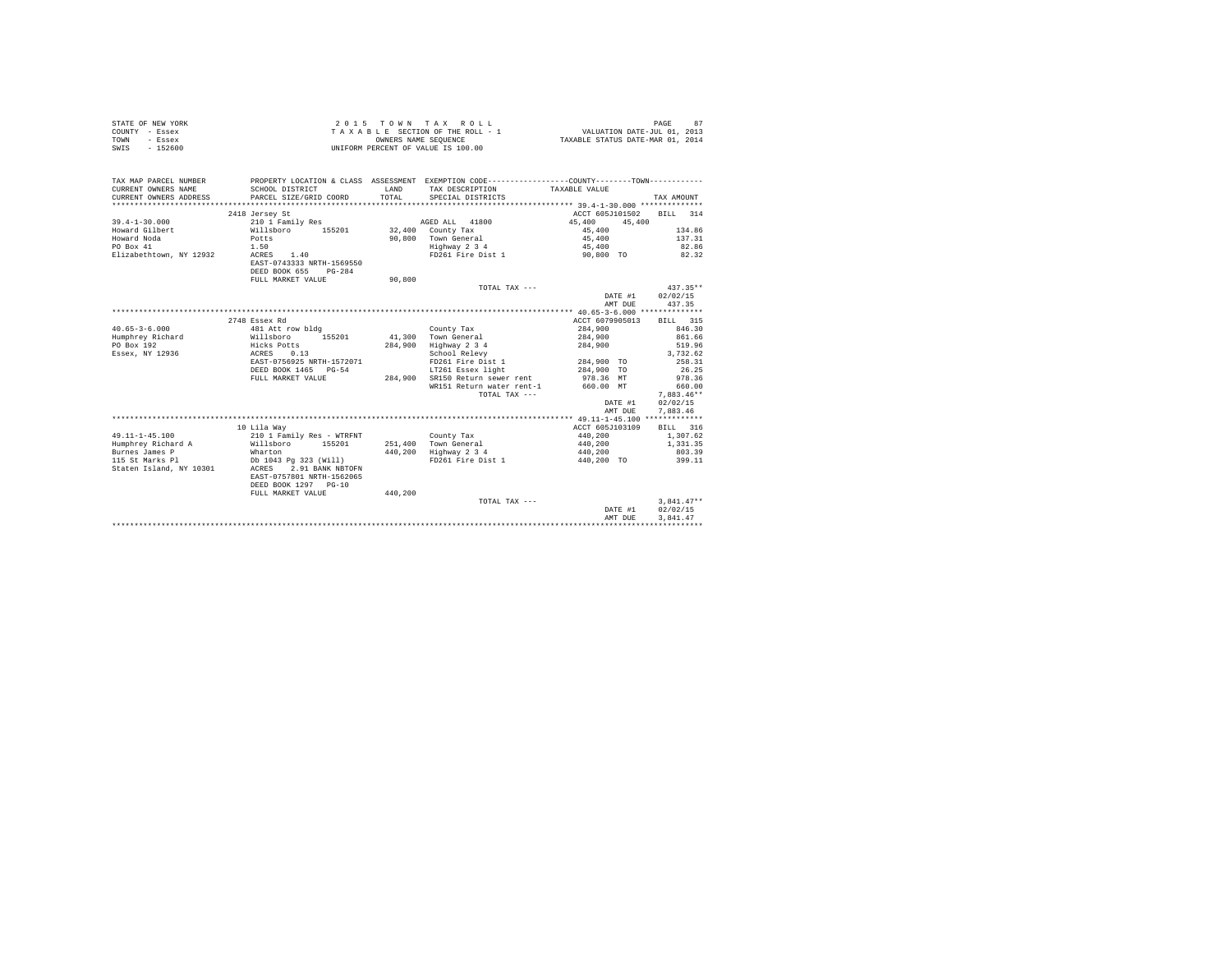| STATE OF NEW YORK<br>COUNTY - Essex<br>- Essex<br>TOWN<br>$-152600$<br>SWIS |                                               |         | 2015 TOWN TAX ROLL<br>UNIFORM PERCENT OF VALUE IS 100.00                                     |                    | PAGE<br>87           |
|-----------------------------------------------------------------------------|-----------------------------------------------|---------|----------------------------------------------------------------------------------------------|--------------------|----------------------|
| TAX MAP PARCEL NUMBER                                                       |                                               |         | PROPERTY LOCATION & CLASS ASSESSMENT EXEMPTION CODE---------------COUNTY-------TOWN--------- |                    |                      |
| CURRENT OWNERS NAME                                                         | SCHOOL DISTRICT                               | LAND    | TAX DESCRIPTION TAXABLE VALUE                                                                |                    |                      |
| CURRENT OWNERS ADDRESS                                                      | PARCEL SIZE/GRID COORD                        | TOTAL   | SPECIAL DISTRICTS                                                                            |                    | TAX AMOUNT           |
|                                                                             |                                               |         |                                                                                              |                    |                      |
|                                                                             | 2418 Jersey St                                |         |                                                                                              | ACCT 605J101502    | BILL 314             |
| $39.4 - 1 - 30.000$                                                         | 210 1 Family Res                              |         | AGED ALL 41800                                                                               | 45,400<br>45,400   |                      |
| Howard Gilbert                                                              | Willsboro 155201                              |         | 32,400 County Tax                                                                            | 45,400             | 134.86               |
| Howard Noda                                                                 | Potts                                         |         | 90,800 Town General                                                                          | 45,400             | 137.31               |
| PO Box 41                                                                   | 1.50                                          |         | Highway 2 3 4<br>FD261 Fire Dist 1 90.800 TO                                                 | 45,400             | 82.86                |
| Elizabethtown, NY 12932                                                     | ACRES 1.40<br>EAST-0743333 NRTH-1569550       |         |                                                                                              |                    | 82.32                |
|                                                                             | DEED BOOK 655<br>$PG-284$                     |         |                                                                                              |                    |                      |
|                                                                             | FULL MARKET VALUE                             | 90,800  |                                                                                              |                    |                      |
|                                                                             |                                               |         | TOTAL TAX ---                                                                                |                    | $437.35**$           |
|                                                                             |                                               |         |                                                                                              | DATE #1 02/02/15   |                      |
|                                                                             |                                               |         |                                                                                              | AMT DUE            | 437.35               |
|                                                                             |                                               |         |                                                                                              |                    |                      |
|                                                                             | 2748 Essex Rd                                 |         |                                                                                              | ACCT 6079905013    | BILL 315             |
| $40.65 - 3 - 6.000$                                                         | 481 Att row bldg                              |         | County Tax                                                                                   | 284,900            | 846.30               |
| Humphrey Richard                                                            | Willsboro 155201                              |         | 41.300 Town General                                                                          | 284,900            | 861.66               |
| PO Box 192                                                                  | Hicks Potts                                   |         | 284,900 Highway 2 3 4                                                                        | 284,900            | 519.96               |
| Essex, NY 12936                                                             | ACRES 0.13                                    |         | School Relevy                                                                                |                    | 3.732.62             |
|                                                                             | EAST-0756925 NRTH-1572071                     |         | FD261 Fire Dist 1                                                                            | 284,900 TO         | 258.31               |
|                                                                             | DEED BOOK 1465 PG-54                          |         | LT261 Essex light                                                                            | 284,900 TO         | 26.25                |
|                                                                             | FULL MARKET VALUE                             |         | 284,900 SR150 Return sewer rent                                                              | 978.36 MT          | 978.36               |
|                                                                             |                                               |         | WR151 Return water rent-1                                                                    | 660.00 MT          | 660.00               |
|                                                                             |                                               |         | TOTAL TAX ---                                                                                |                    | $7.883.46**$         |
|                                                                             |                                               |         |                                                                                              | DATE #1            | 02/02/15             |
|                                                                             |                                               |         |                                                                                              | AMT DUE            | 7.883.46             |
|                                                                             |                                               |         |                                                                                              |                    |                      |
| $49.11 - 1 - 45.100$                                                        | 10 Lila Wav                                   |         |                                                                                              | ACCT 605J103109    | BILL 316<br>1,307.62 |
| Humphrey Richard A                                                          | 210 1 Family Res - WTRFNT<br>Willsboro 155201 |         | County Tax<br>251,400 Town General                                                           | 440,200<br>440,200 | 1,331,35             |
| Burnes James P                                                              | Wharton                                       |         | 440,200 Highway 2 3 4                                                                        | 440,200            | 803.39               |
| 115 St Marks Pl                                                             | Db 1043 Pg 323 (Will)                         |         | FD261 Fire Dist 1                                                                            | 440,200 TO         | 399.11               |
| Staten Island, NY 10301                                                     | ACRES 2.91 BANK NBTOFN                        |         |                                                                                              |                    |                      |
|                                                                             | EAST-0757801 NRTH-1562065                     |         |                                                                                              |                    |                      |
|                                                                             | DEED BOOK 1297 PG-10                          |         |                                                                                              |                    |                      |
|                                                                             | FULL MARKET VALUE                             | 440,200 |                                                                                              |                    |                      |
|                                                                             |                                               |         | TOTAL TAX ---                                                                                |                    | $3.841.47**$         |
|                                                                             |                                               |         |                                                                                              | DATE #1            | 02/02/15             |
|                                                                             |                                               |         |                                                                                              | AMT DUE            | 3.841.47             |
|                                                                             |                                               |         |                                                                                              |                    |                      |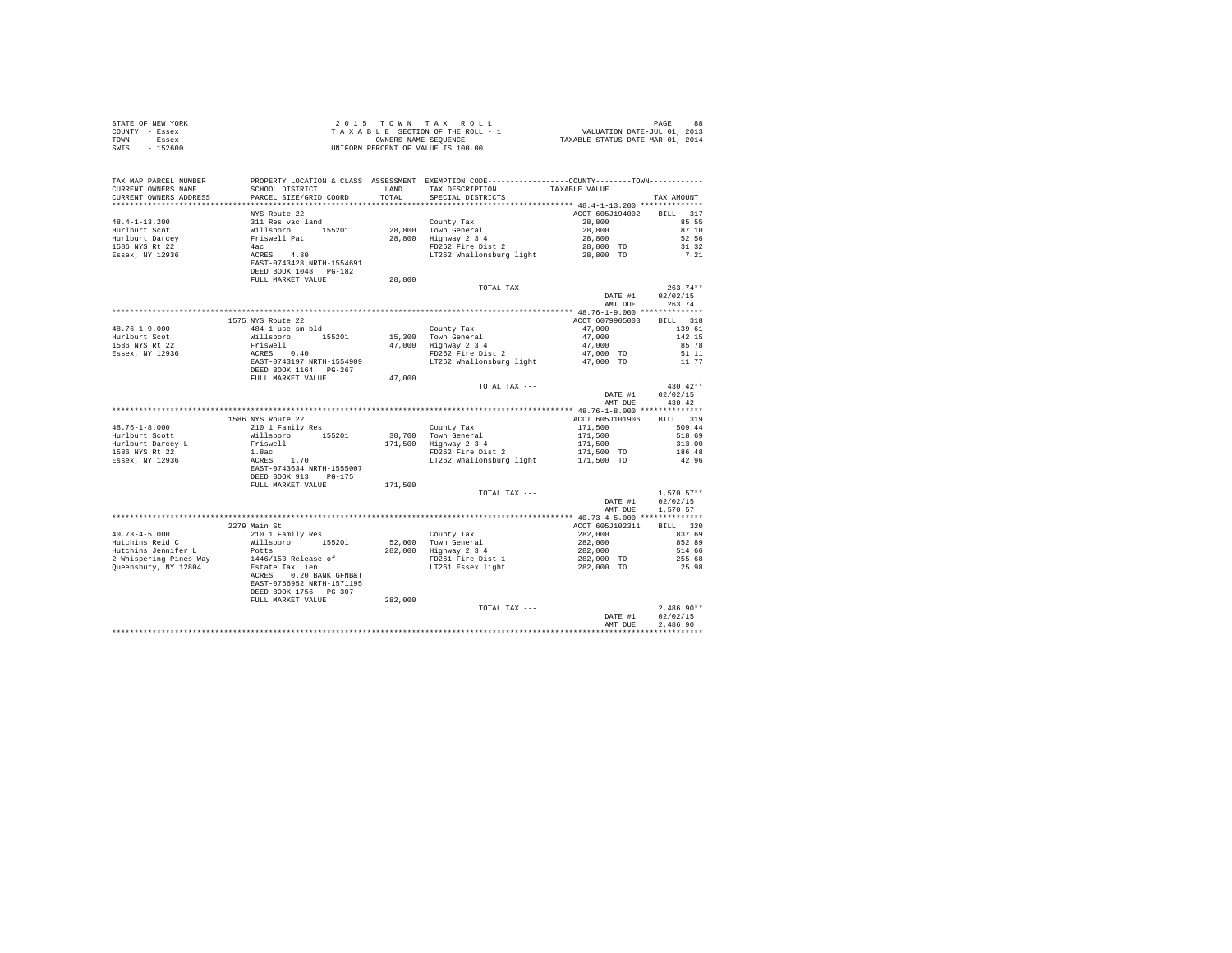| PROPERTY LOCATION & CLASS ASSESSMENT EXEMPTION CODE----------------COUNTY-------TOWN----------<br>TAX MAP PARCEL NUMBER<br>CUPPENT OWNERS NAME<br>LAND TAX DESCRIPTION TAXABLE VALUE<br>CURRENT OWNERS NAME<br>SCHOOL DISTRICT<br>CURRENT OWNERS ADDRESS<br>PARCEL SIZE/GRID COORD<br>TOTAL<br>SPECIAL DISTRICTS<br>TAX AMOUNT<br>*************************<br>NYS Route 22<br>BILL 317<br>ACCT 605J194002<br>85.55<br>87.10<br>52.56<br>31.32<br>7.21<br>FULL MARKET VALUE<br>28,800<br>$263.74**$<br>TOTAL TAX ---<br>DATE #1<br>02/02/15<br>263.74<br>AMT DUE<br>ACCT 6079905003 BILL 318<br>1575 NYS Route 22<br>$\begin{tabular}{l l l l l} & Country Tax & & & & 47,000 \\ 15,300 & Town General & & & 47,000 \\ 47,000 & Highway 2 & 3 & 4 & & 47,000 \\ 47,000 & Highway 2 & 47,000 & TO \\ 17262 & Windlonsburg light & & & 47,000 & TO \\ \end{tabular}$<br>$48.76 - 1 - 9.000$<br>484 1 use sm bld<br>139.61<br>Willsboro 155201<br>Friswell<br>ACRES 0.40<br>EAST-0743197 NRTH-1554909<br>142.15<br>Hurlburt Scot<br>1586 NYS Rt 22<br>85.78<br>Essex, NY 12936<br>51.11<br>11.77<br>DEED BOOK 1164 PG-267<br>FULL MARKET VALUE 47,000<br>TOTAL TAX ---<br>$430.42**$<br>02/02/15<br>DATE #1<br>AMT DUE<br>430.42<br>BILL 319<br>210 1 Family Res<br>$\begin{tabular}{l c c c c c} \multicolumn{1}{c}{\textbf{1} &\textbf{Fam11y} \textbf{ Res}} & \multicolumn{1}{c}{\textbf{County} \textbf{ Tax}} & \multicolumn{1}{c}{\textbf{ACCT 655.101906}} & \multicolumn{1}{c}{\textbf{20}} & \multicolumn{1}{c}{\textbf{20}} & \multicolumn{1}{c}{\textbf{20}} & \multicolumn{1}{c}{\textbf{20}} & \multicolumn{1}{c}{\textbf{20}} & \multicolumn{1}{c}{\textbf{20}} & \multicolumn{1}{c}{\textbf{2$<br>$48.76 - 1 - 8.000$<br>509.44<br>Hurlburt Scott<br>518.69<br>313.00<br>Hurlburt Darcey L<br>1586 NYS Rt 22<br>186.48<br>Essex, NY 12936<br>42.96<br>FULL MARKET VALUE<br>171,500<br>TOTAL TAX ---<br>$1.570.57**$<br>02/02/15<br>DATE #1<br>AMT DUE<br>1,570.57<br>BILL 320<br>2279 Main St<br>ACCT 605J102311<br>210 1 Family Res<br>$40.73 - 4 - 5.000$<br>$\begin{tabular}{ll} & County Tax \\ 52,000 & Town General \\ 282,000 & Highway 2 3 4 \\ & FD261 & Fire Dist 1 \\ & LT261 & Essex light \end{tabular}$<br>$282,000$<br>$282,000$<br>$282,000$<br>$282,000$ TO<br>$282,000$ TO<br>837.69<br>Hutchins Reid C<br>Willsboro 155201<br>852.89<br>Hutchins Jennifer L<br>514.66<br>Potts<br>1446/153 Release of<br>Estate Tax Lien<br>2 Whispering Pines Way<br>255.68<br>Queensbury, NY 12804<br>25.98<br>ACRES 0.20 BANK GFNB&T<br>EAST-0756952 NRTH-1571195<br>DEED BOOK 1756 PG-307<br>282,000<br>FULL MARKET VALUE<br>TOTAL TAX ---<br>$2.486.90**$<br>02/02/15<br>DATE #1<br>2.486.90<br>AMT DUE<br>************ | STATE OF NEW YORK<br>COUNTY - Essex<br>TOWN - Essex<br>SWIS - 152600 | 2015 TOWN TAX ROLL 1 PAGE 88<br>TAXABLE SECTION OF THE ROLL - 1 VALUATION DATE-JUL 01, 2013<br>ONNERS NAME SEQUENCE<br>UNIFORM PERCENT OF VALUE IS 100.00 |  |  |
|----------------------------------------------------------------------------------------------------------------------------------------------------------------------------------------------------------------------------------------------------------------------------------------------------------------------------------------------------------------------------------------------------------------------------------------------------------------------------------------------------------------------------------------------------------------------------------------------------------------------------------------------------------------------------------------------------------------------------------------------------------------------------------------------------------------------------------------------------------------------------------------------------------------------------------------------------------------------------------------------------------------------------------------------------------------------------------------------------------------------------------------------------------------------------------------------------------------------------------------------------------------------------------------------------------------------------------------------------------------------------------------------------------------------------------------------------------------------------------------------------------------------------------------------------------------------------------------------------------------------------------------------------------------------------------------------------------------------------------------------------------------------------------------------------------------------------------------------------------------------------------------------------------------------------------------------------------------------------------------------------------------------------------------------------------------------------------------------------------------------------------------------------------------------------------------------------------------------------------------------------------------------------------------------------------------------------------------------------------------------------------------------------------------------------------------------------------------------------------------------------------------------------------------------------------------------------------------------------------------------------------------------------------------------------------------------------------------------------------------------|----------------------------------------------------------------------|-----------------------------------------------------------------------------------------------------------------------------------------------------------|--|--|
|                                                                                                                                                                                                                                                                                                                                                                                                                                                                                                                                                                                                                                                                                                                                                                                                                                                                                                                                                                                                                                                                                                                                                                                                                                                                                                                                                                                                                                                                                                                                                                                                                                                                                                                                                                                                                                                                                                                                                                                                                                                                                                                                                                                                                                                                                                                                                                                                                                                                                                                                                                                                                                                                                                                                              |                                                                      |                                                                                                                                                           |  |  |
|                                                                                                                                                                                                                                                                                                                                                                                                                                                                                                                                                                                                                                                                                                                                                                                                                                                                                                                                                                                                                                                                                                                                                                                                                                                                                                                                                                                                                                                                                                                                                                                                                                                                                                                                                                                                                                                                                                                                                                                                                                                                                                                                                                                                                                                                                                                                                                                                                                                                                                                                                                                                                                                                                                                                              |                                                                      |                                                                                                                                                           |  |  |
|                                                                                                                                                                                                                                                                                                                                                                                                                                                                                                                                                                                                                                                                                                                                                                                                                                                                                                                                                                                                                                                                                                                                                                                                                                                                                                                                                                                                                                                                                                                                                                                                                                                                                                                                                                                                                                                                                                                                                                                                                                                                                                                                                                                                                                                                                                                                                                                                                                                                                                                                                                                                                                                                                                                                              |                                                                      |                                                                                                                                                           |  |  |
|                                                                                                                                                                                                                                                                                                                                                                                                                                                                                                                                                                                                                                                                                                                                                                                                                                                                                                                                                                                                                                                                                                                                                                                                                                                                                                                                                                                                                                                                                                                                                                                                                                                                                                                                                                                                                                                                                                                                                                                                                                                                                                                                                                                                                                                                                                                                                                                                                                                                                                                                                                                                                                                                                                                                              |                                                                      |                                                                                                                                                           |  |  |
|                                                                                                                                                                                                                                                                                                                                                                                                                                                                                                                                                                                                                                                                                                                                                                                                                                                                                                                                                                                                                                                                                                                                                                                                                                                                                                                                                                                                                                                                                                                                                                                                                                                                                                                                                                                                                                                                                                                                                                                                                                                                                                                                                                                                                                                                                                                                                                                                                                                                                                                                                                                                                                                                                                                                              |                                                                      |                                                                                                                                                           |  |  |
|                                                                                                                                                                                                                                                                                                                                                                                                                                                                                                                                                                                                                                                                                                                                                                                                                                                                                                                                                                                                                                                                                                                                                                                                                                                                                                                                                                                                                                                                                                                                                                                                                                                                                                                                                                                                                                                                                                                                                                                                                                                                                                                                                                                                                                                                                                                                                                                                                                                                                                                                                                                                                                                                                                                                              |                                                                      |                                                                                                                                                           |  |  |
|                                                                                                                                                                                                                                                                                                                                                                                                                                                                                                                                                                                                                                                                                                                                                                                                                                                                                                                                                                                                                                                                                                                                                                                                                                                                                                                                                                                                                                                                                                                                                                                                                                                                                                                                                                                                                                                                                                                                                                                                                                                                                                                                                                                                                                                                                                                                                                                                                                                                                                                                                                                                                                                                                                                                              |                                                                      |                                                                                                                                                           |  |  |
|                                                                                                                                                                                                                                                                                                                                                                                                                                                                                                                                                                                                                                                                                                                                                                                                                                                                                                                                                                                                                                                                                                                                                                                                                                                                                                                                                                                                                                                                                                                                                                                                                                                                                                                                                                                                                                                                                                                                                                                                                                                                                                                                                                                                                                                                                                                                                                                                                                                                                                                                                                                                                                                                                                                                              |                                                                      |                                                                                                                                                           |  |  |
|                                                                                                                                                                                                                                                                                                                                                                                                                                                                                                                                                                                                                                                                                                                                                                                                                                                                                                                                                                                                                                                                                                                                                                                                                                                                                                                                                                                                                                                                                                                                                                                                                                                                                                                                                                                                                                                                                                                                                                                                                                                                                                                                                                                                                                                                                                                                                                                                                                                                                                                                                                                                                                                                                                                                              |                                                                      |                                                                                                                                                           |  |  |
|                                                                                                                                                                                                                                                                                                                                                                                                                                                                                                                                                                                                                                                                                                                                                                                                                                                                                                                                                                                                                                                                                                                                                                                                                                                                                                                                                                                                                                                                                                                                                                                                                                                                                                                                                                                                                                                                                                                                                                                                                                                                                                                                                                                                                                                                                                                                                                                                                                                                                                                                                                                                                                                                                                                                              |                                                                      |                                                                                                                                                           |  |  |
|                                                                                                                                                                                                                                                                                                                                                                                                                                                                                                                                                                                                                                                                                                                                                                                                                                                                                                                                                                                                                                                                                                                                                                                                                                                                                                                                                                                                                                                                                                                                                                                                                                                                                                                                                                                                                                                                                                                                                                                                                                                                                                                                                                                                                                                                                                                                                                                                                                                                                                                                                                                                                                                                                                                                              |                                                                      |                                                                                                                                                           |  |  |
|                                                                                                                                                                                                                                                                                                                                                                                                                                                                                                                                                                                                                                                                                                                                                                                                                                                                                                                                                                                                                                                                                                                                                                                                                                                                                                                                                                                                                                                                                                                                                                                                                                                                                                                                                                                                                                                                                                                                                                                                                                                                                                                                                                                                                                                                                                                                                                                                                                                                                                                                                                                                                                                                                                                                              |                                                                      |                                                                                                                                                           |  |  |
|                                                                                                                                                                                                                                                                                                                                                                                                                                                                                                                                                                                                                                                                                                                                                                                                                                                                                                                                                                                                                                                                                                                                                                                                                                                                                                                                                                                                                                                                                                                                                                                                                                                                                                                                                                                                                                                                                                                                                                                                                                                                                                                                                                                                                                                                                                                                                                                                                                                                                                                                                                                                                                                                                                                                              |                                                                      |                                                                                                                                                           |  |  |
|                                                                                                                                                                                                                                                                                                                                                                                                                                                                                                                                                                                                                                                                                                                                                                                                                                                                                                                                                                                                                                                                                                                                                                                                                                                                                                                                                                                                                                                                                                                                                                                                                                                                                                                                                                                                                                                                                                                                                                                                                                                                                                                                                                                                                                                                                                                                                                                                                                                                                                                                                                                                                                                                                                                                              |                                                                      |                                                                                                                                                           |  |  |
|                                                                                                                                                                                                                                                                                                                                                                                                                                                                                                                                                                                                                                                                                                                                                                                                                                                                                                                                                                                                                                                                                                                                                                                                                                                                                                                                                                                                                                                                                                                                                                                                                                                                                                                                                                                                                                                                                                                                                                                                                                                                                                                                                                                                                                                                                                                                                                                                                                                                                                                                                                                                                                                                                                                                              |                                                                      |                                                                                                                                                           |  |  |
|                                                                                                                                                                                                                                                                                                                                                                                                                                                                                                                                                                                                                                                                                                                                                                                                                                                                                                                                                                                                                                                                                                                                                                                                                                                                                                                                                                                                                                                                                                                                                                                                                                                                                                                                                                                                                                                                                                                                                                                                                                                                                                                                                                                                                                                                                                                                                                                                                                                                                                                                                                                                                                                                                                                                              |                                                                      |                                                                                                                                                           |  |  |
|                                                                                                                                                                                                                                                                                                                                                                                                                                                                                                                                                                                                                                                                                                                                                                                                                                                                                                                                                                                                                                                                                                                                                                                                                                                                                                                                                                                                                                                                                                                                                                                                                                                                                                                                                                                                                                                                                                                                                                                                                                                                                                                                                                                                                                                                                                                                                                                                                                                                                                                                                                                                                                                                                                                                              |                                                                      |                                                                                                                                                           |  |  |
|                                                                                                                                                                                                                                                                                                                                                                                                                                                                                                                                                                                                                                                                                                                                                                                                                                                                                                                                                                                                                                                                                                                                                                                                                                                                                                                                                                                                                                                                                                                                                                                                                                                                                                                                                                                                                                                                                                                                                                                                                                                                                                                                                                                                                                                                                                                                                                                                                                                                                                                                                                                                                                                                                                                                              |                                                                      |                                                                                                                                                           |  |  |
|                                                                                                                                                                                                                                                                                                                                                                                                                                                                                                                                                                                                                                                                                                                                                                                                                                                                                                                                                                                                                                                                                                                                                                                                                                                                                                                                                                                                                                                                                                                                                                                                                                                                                                                                                                                                                                                                                                                                                                                                                                                                                                                                                                                                                                                                                                                                                                                                                                                                                                                                                                                                                                                                                                                                              |                                                                      |                                                                                                                                                           |  |  |
|                                                                                                                                                                                                                                                                                                                                                                                                                                                                                                                                                                                                                                                                                                                                                                                                                                                                                                                                                                                                                                                                                                                                                                                                                                                                                                                                                                                                                                                                                                                                                                                                                                                                                                                                                                                                                                                                                                                                                                                                                                                                                                                                                                                                                                                                                                                                                                                                                                                                                                                                                                                                                                                                                                                                              |                                                                      |                                                                                                                                                           |  |  |
|                                                                                                                                                                                                                                                                                                                                                                                                                                                                                                                                                                                                                                                                                                                                                                                                                                                                                                                                                                                                                                                                                                                                                                                                                                                                                                                                                                                                                                                                                                                                                                                                                                                                                                                                                                                                                                                                                                                                                                                                                                                                                                                                                                                                                                                                                                                                                                                                                                                                                                                                                                                                                                                                                                                                              |                                                                      |                                                                                                                                                           |  |  |
|                                                                                                                                                                                                                                                                                                                                                                                                                                                                                                                                                                                                                                                                                                                                                                                                                                                                                                                                                                                                                                                                                                                                                                                                                                                                                                                                                                                                                                                                                                                                                                                                                                                                                                                                                                                                                                                                                                                                                                                                                                                                                                                                                                                                                                                                                                                                                                                                                                                                                                                                                                                                                                                                                                                                              |                                                                      |                                                                                                                                                           |  |  |
|                                                                                                                                                                                                                                                                                                                                                                                                                                                                                                                                                                                                                                                                                                                                                                                                                                                                                                                                                                                                                                                                                                                                                                                                                                                                                                                                                                                                                                                                                                                                                                                                                                                                                                                                                                                                                                                                                                                                                                                                                                                                                                                                                                                                                                                                                                                                                                                                                                                                                                                                                                                                                                                                                                                                              |                                                                      |                                                                                                                                                           |  |  |
|                                                                                                                                                                                                                                                                                                                                                                                                                                                                                                                                                                                                                                                                                                                                                                                                                                                                                                                                                                                                                                                                                                                                                                                                                                                                                                                                                                                                                                                                                                                                                                                                                                                                                                                                                                                                                                                                                                                                                                                                                                                                                                                                                                                                                                                                                                                                                                                                                                                                                                                                                                                                                                                                                                                                              |                                                                      |                                                                                                                                                           |  |  |
|                                                                                                                                                                                                                                                                                                                                                                                                                                                                                                                                                                                                                                                                                                                                                                                                                                                                                                                                                                                                                                                                                                                                                                                                                                                                                                                                                                                                                                                                                                                                                                                                                                                                                                                                                                                                                                                                                                                                                                                                                                                                                                                                                                                                                                                                                                                                                                                                                                                                                                                                                                                                                                                                                                                                              |                                                                      |                                                                                                                                                           |  |  |
|                                                                                                                                                                                                                                                                                                                                                                                                                                                                                                                                                                                                                                                                                                                                                                                                                                                                                                                                                                                                                                                                                                                                                                                                                                                                                                                                                                                                                                                                                                                                                                                                                                                                                                                                                                                                                                                                                                                                                                                                                                                                                                                                                                                                                                                                                                                                                                                                                                                                                                                                                                                                                                                                                                                                              |                                                                      |                                                                                                                                                           |  |  |
|                                                                                                                                                                                                                                                                                                                                                                                                                                                                                                                                                                                                                                                                                                                                                                                                                                                                                                                                                                                                                                                                                                                                                                                                                                                                                                                                                                                                                                                                                                                                                                                                                                                                                                                                                                                                                                                                                                                                                                                                                                                                                                                                                                                                                                                                                                                                                                                                                                                                                                                                                                                                                                                                                                                                              |                                                                      |                                                                                                                                                           |  |  |
|                                                                                                                                                                                                                                                                                                                                                                                                                                                                                                                                                                                                                                                                                                                                                                                                                                                                                                                                                                                                                                                                                                                                                                                                                                                                                                                                                                                                                                                                                                                                                                                                                                                                                                                                                                                                                                                                                                                                                                                                                                                                                                                                                                                                                                                                                                                                                                                                                                                                                                                                                                                                                                                                                                                                              |                                                                      |                                                                                                                                                           |  |  |
|                                                                                                                                                                                                                                                                                                                                                                                                                                                                                                                                                                                                                                                                                                                                                                                                                                                                                                                                                                                                                                                                                                                                                                                                                                                                                                                                                                                                                                                                                                                                                                                                                                                                                                                                                                                                                                                                                                                                                                                                                                                                                                                                                                                                                                                                                                                                                                                                                                                                                                                                                                                                                                                                                                                                              |                                                                      |                                                                                                                                                           |  |  |
|                                                                                                                                                                                                                                                                                                                                                                                                                                                                                                                                                                                                                                                                                                                                                                                                                                                                                                                                                                                                                                                                                                                                                                                                                                                                                                                                                                                                                                                                                                                                                                                                                                                                                                                                                                                                                                                                                                                                                                                                                                                                                                                                                                                                                                                                                                                                                                                                                                                                                                                                                                                                                                                                                                                                              |                                                                      |                                                                                                                                                           |  |  |
|                                                                                                                                                                                                                                                                                                                                                                                                                                                                                                                                                                                                                                                                                                                                                                                                                                                                                                                                                                                                                                                                                                                                                                                                                                                                                                                                                                                                                                                                                                                                                                                                                                                                                                                                                                                                                                                                                                                                                                                                                                                                                                                                                                                                                                                                                                                                                                                                                                                                                                                                                                                                                                                                                                                                              |                                                                      |                                                                                                                                                           |  |  |
|                                                                                                                                                                                                                                                                                                                                                                                                                                                                                                                                                                                                                                                                                                                                                                                                                                                                                                                                                                                                                                                                                                                                                                                                                                                                                                                                                                                                                                                                                                                                                                                                                                                                                                                                                                                                                                                                                                                                                                                                                                                                                                                                                                                                                                                                                                                                                                                                                                                                                                                                                                                                                                                                                                                                              |                                                                      |                                                                                                                                                           |  |  |
|                                                                                                                                                                                                                                                                                                                                                                                                                                                                                                                                                                                                                                                                                                                                                                                                                                                                                                                                                                                                                                                                                                                                                                                                                                                                                                                                                                                                                                                                                                                                                                                                                                                                                                                                                                                                                                                                                                                                                                                                                                                                                                                                                                                                                                                                                                                                                                                                                                                                                                                                                                                                                                                                                                                                              |                                                                      |                                                                                                                                                           |  |  |
|                                                                                                                                                                                                                                                                                                                                                                                                                                                                                                                                                                                                                                                                                                                                                                                                                                                                                                                                                                                                                                                                                                                                                                                                                                                                                                                                                                                                                                                                                                                                                                                                                                                                                                                                                                                                                                                                                                                                                                                                                                                                                                                                                                                                                                                                                                                                                                                                                                                                                                                                                                                                                                                                                                                                              |                                                                      |                                                                                                                                                           |  |  |
|                                                                                                                                                                                                                                                                                                                                                                                                                                                                                                                                                                                                                                                                                                                                                                                                                                                                                                                                                                                                                                                                                                                                                                                                                                                                                                                                                                                                                                                                                                                                                                                                                                                                                                                                                                                                                                                                                                                                                                                                                                                                                                                                                                                                                                                                                                                                                                                                                                                                                                                                                                                                                                                                                                                                              |                                                                      |                                                                                                                                                           |  |  |
|                                                                                                                                                                                                                                                                                                                                                                                                                                                                                                                                                                                                                                                                                                                                                                                                                                                                                                                                                                                                                                                                                                                                                                                                                                                                                                                                                                                                                                                                                                                                                                                                                                                                                                                                                                                                                                                                                                                                                                                                                                                                                                                                                                                                                                                                                                                                                                                                                                                                                                                                                                                                                                                                                                                                              |                                                                      |                                                                                                                                                           |  |  |
|                                                                                                                                                                                                                                                                                                                                                                                                                                                                                                                                                                                                                                                                                                                                                                                                                                                                                                                                                                                                                                                                                                                                                                                                                                                                                                                                                                                                                                                                                                                                                                                                                                                                                                                                                                                                                                                                                                                                                                                                                                                                                                                                                                                                                                                                                                                                                                                                                                                                                                                                                                                                                                                                                                                                              |                                                                      |                                                                                                                                                           |  |  |
|                                                                                                                                                                                                                                                                                                                                                                                                                                                                                                                                                                                                                                                                                                                                                                                                                                                                                                                                                                                                                                                                                                                                                                                                                                                                                                                                                                                                                                                                                                                                                                                                                                                                                                                                                                                                                                                                                                                                                                                                                                                                                                                                                                                                                                                                                                                                                                                                                                                                                                                                                                                                                                                                                                                                              |                                                                      |                                                                                                                                                           |  |  |
|                                                                                                                                                                                                                                                                                                                                                                                                                                                                                                                                                                                                                                                                                                                                                                                                                                                                                                                                                                                                                                                                                                                                                                                                                                                                                                                                                                                                                                                                                                                                                                                                                                                                                                                                                                                                                                                                                                                                                                                                                                                                                                                                                                                                                                                                                                                                                                                                                                                                                                                                                                                                                                                                                                                                              |                                                                      |                                                                                                                                                           |  |  |
|                                                                                                                                                                                                                                                                                                                                                                                                                                                                                                                                                                                                                                                                                                                                                                                                                                                                                                                                                                                                                                                                                                                                                                                                                                                                                                                                                                                                                                                                                                                                                                                                                                                                                                                                                                                                                                                                                                                                                                                                                                                                                                                                                                                                                                                                                                                                                                                                                                                                                                                                                                                                                                                                                                                                              |                                                                      |                                                                                                                                                           |  |  |
|                                                                                                                                                                                                                                                                                                                                                                                                                                                                                                                                                                                                                                                                                                                                                                                                                                                                                                                                                                                                                                                                                                                                                                                                                                                                                                                                                                                                                                                                                                                                                                                                                                                                                                                                                                                                                                                                                                                                                                                                                                                                                                                                                                                                                                                                                                                                                                                                                                                                                                                                                                                                                                                                                                                                              |                                                                      |                                                                                                                                                           |  |  |
|                                                                                                                                                                                                                                                                                                                                                                                                                                                                                                                                                                                                                                                                                                                                                                                                                                                                                                                                                                                                                                                                                                                                                                                                                                                                                                                                                                                                                                                                                                                                                                                                                                                                                                                                                                                                                                                                                                                                                                                                                                                                                                                                                                                                                                                                                                                                                                                                                                                                                                                                                                                                                                                                                                                                              |                                                                      |                                                                                                                                                           |  |  |
|                                                                                                                                                                                                                                                                                                                                                                                                                                                                                                                                                                                                                                                                                                                                                                                                                                                                                                                                                                                                                                                                                                                                                                                                                                                                                                                                                                                                                                                                                                                                                                                                                                                                                                                                                                                                                                                                                                                                                                                                                                                                                                                                                                                                                                                                                                                                                                                                                                                                                                                                                                                                                                                                                                                                              |                                                                      |                                                                                                                                                           |  |  |
|                                                                                                                                                                                                                                                                                                                                                                                                                                                                                                                                                                                                                                                                                                                                                                                                                                                                                                                                                                                                                                                                                                                                                                                                                                                                                                                                                                                                                                                                                                                                                                                                                                                                                                                                                                                                                                                                                                                                                                                                                                                                                                                                                                                                                                                                                                                                                                                                                                                                                                                                                                                                                                                                                                                                              |                                                                      |                                                                                                                                                           |  |  |
|                                                                                                                                                                                                                                                                                                                                                                                                                                                                                                                                                                                                                                                                                                                                                                                                                                                                                                                                                                                                                                                                                                                                                                                                                                                                                                                                                                                                                                                                                                                                                                                                                                                                                                                                                                                                                                                                                                                                                                                                                                                                                                                                                                                                                                                                                                                                                                                                                                                                                                                                                                                                                                                                                                                                              |                                                                      |                                                                                                                                                           |  |  |
|                                                                                                                                                                                                                                                                                                                                                                                                                                                                                                                                                                                                                                                                                                                                                                                                                                                                                                                                                                                                                                                                                                                                                                                                                                                                                                                                                                                                                                                                                                                                                                                                                                                                                                                                                                                                                                                                                                                                                                                                                                                                                                                                                                                                                                                                                                                                                                                                                                                                                                                                                                                                                                                                                                                                              |                                                                      |                                                                                                                                                           |  |  |
|                                                                                                                                                                                                                                                                                                                                                                                                                                                                                                                                                                                                                                                                                                                                                                                                                                                                                                                                                                                                                                                                                                                                                                                                                                                                                                                                                                                                                                                                                                                                                                                                                                                                                                                                                                                                                                                                                                                                                                                                                                                                                                                                                                                                                                                                                                                                                                                                                                                                                                                                                                                                                                                                                                                                              |                                                                      |                                                                                                                                                           |  |  |
|                                                                                                                                                                                                                                                                                                                                                                                                                                                                                                                                                                                                                                                                                                                                                                                                                                                                                                                                                                                                                                                                                                                                                                                                                                                                                                                                                                                                                                                                                                                                                                                                                                                                                                                                                                                                                                                                                                                                                                                                                                                                                                                                                                                                                                                                                                                                                                                                                                                                                                                                                                                                                                                                                                                                              |                                                                      |                                                                                                                                                           |  |  |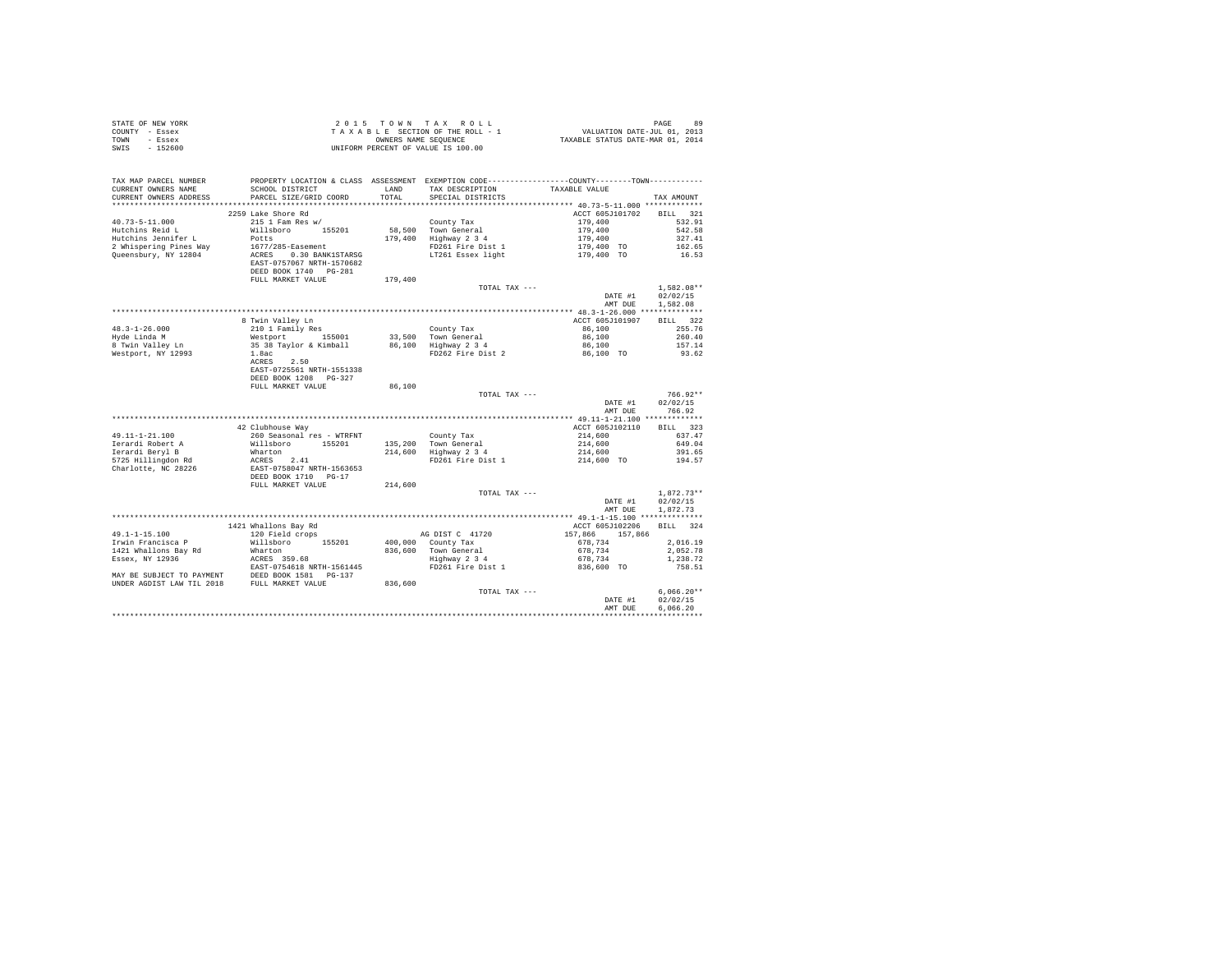| STATE OF NEW YORK<br>COUNTY - Essex<br>TOWN - Essex<br>SWIS - 152600                                                                                                                                                                                                                                                                                                                                             |                                                                                                                                                                                                                                                                                      |                            |                                                                                                                                                                                                                                                                                                                                                                                                                                                     |                                                                                                                         |                                      |
|------------------------------------------------------------------------------------------------------------------------------------------------------------------------------------------------------------------------------------------------------------------------------------------------------------------------------------------------------------------------------------------------------------------|--------------------------------------------------------------------------------------------------------------------------------------------------------------------------------------------------------------------------------------------------------------------------------------|----------------------------|-----------------------------------------------------------------------------------------------------------------------------------------------------------------------------------------------------------------------------------------------------------------------------------------------------------------------------------------------------------------------------------------------------------------------------------------------------|-------------------------------------------------------------------------------------------------------------------------|--------------------------------------|
| TAX MAP PARCEL NUMBER<br>CURRENT OWNERS NAME<br>CURRENT OWNERS ADDRESS PARCEL SIZE/GRID COORD                                                                                                                                                                                                                                                                                                                    | PROPERTY LOCATION & CLASS ASSESSMENT EXEMPTION CODE----------------COUNTY--------TOWN---------                                                                                                                                                                                       | TOTAL                      | SCHOOL DISTRICT TAND TAX DESCRIPTION TAXABLE VALUE<br>SPECIAL DISTRICTS                                                                                                                                                                                                                                                                                                                                                                             |                                                                                                                         | TAX AMOUNT                           |
|                                                                                                                                                                                                                                                                                                                                                                                                                  | 2259 Lake Shore Rd                                                                                                                                                                                                                                                                   |                            |                                                                                                                                                                                                                                                                                                                                                                                                                                                     | ACCT 605J101702 BILL 321                                                                                                |                                      |
| $40.73 - 5 - 11.000$                                                                                                                                                                                                                                                                                                                                                                                             | 215 1 Fam Res w/                                                                                                                                                                                                                                                                     |                            |                                                                                                                                                                                                                                                                                                                                                                                                                                                     |                                                                                                                         | 532.91                               |
| Hutchins Reid L                                                                                                                                                                                                                                                                                                                                                                                                  |                                                                                                                                                                                                                                                                                      |                            |                                                                                                                                                                                                                                                                                                                                                                                                                                                     |                                                                                                                         | 542.58                               |
| Hutchins Jennifer L                                                                                                                                                                                                                                                                                                                                                                                              |                                                                                                                                                                                                                                                                                      |                            | County Tax<br>58,500 Town General<br>179,400 Highway 2 3 4                                                                                                                                                                                                                                                                                                                                                                                          |                                                                                                                         | 327.41                               |
| 2 Whispering Pines Way                                                                                                                                                                                                                                                                                                                                                                                           |                                                                                                                                                                                                                                                                                      |                            |                                                                                                                                                                                                                                                                                                                                                                                                                                                     |                                                                                                                         | 162.65                               |
| Queensbury, NY 12804                                                                                                                                                                                                                                                                                                                                                                                             | DEED BOOK 1740 PG-281                                                                                                                                                                                                                                                                |                            |                                                                                                                                                                                                                                                                                                                                                                                                                                                     | $\begin{array}{r} 179,400 \\ 179,400 \\ 179,400 \\ 179,400 \\ 179,400 \\ \text{TO} \\ 179,400 \\ \text{TO} \end{array}$ | 16.53                                |
|                                                                                                                                                                                                                                                                                                                                                                                                                  | FULL MARKET VALUE                                                                                                                                                                                                                                                                    | 179,400                    |                                                                                                                                                                                                                                                                                                                                                                                                                                                     |                                                                                                                         |                                      |
|                                                                                                                                                                                                                                                                                                                                                                                                                  |                                                                                                                                                                                                                                                                                      |                            | TOTAL TAX ---                                                                                                                                                                                                                                                                                                                                                                                                                                       |                                                                                                                         | 1,582.08**                           |
|                                                                                                                                                                                                                                                                                                                                                                                                                  |                                                                                                                                                                                                                                                                                      |                            |                                                                                                                                                                                                                                                                                                                                                                                                                                                     | DATE #1<br>AMT DUE                                                                                                      | 02/02/15<br>1,582.08                 |
|                                                                                                                                                                                                                                                                                                                                                                                                                  |                                                                                                                                                                                                                                                                                      |                            |                                                                                                                                                                                                                                                                                                                                                                                                                                                     |                                                                                                                         |                                      |
| $48.3 - 1 - 26.000$                                                                                                                                                                                                                                                                                                                                                                                              |                                                                                                                                                                                                                                                                                      |                            |                                                                                                                                                                                                                                                                                                                                                                                                                                                     |                                                                                                                         |                                      |
| Hyde Linda M                                                                                                                                                                                                                                                                                                                                                                                                     |                                                                                                                                                                                                                                                                                      |                            |                                                                                                                                                                                                                                                                                                                                                                                                                                                     |                                                                                                                         |                                      |
|                                                                                                                                                                                                                                                                                                                                                                                                                  |                                                                                                                                                                                                                                                                                      |                            |                                                                                                                                                                                                                                                                                                                                                                                                                                                     |                                                                                                                         |                                      |
| 8 Twin Valley Ln<br>Westport, NY 12993                                                                                                                                                                                                                                                                                                                                                                           |                                                                                                                                                                                                                                                                                      |                            |                                                                                                                                                                                                                                                                                                                                                                                                                                                     |                                                                                                                         |                                      |
|                                                                                                                                                                                                                                                                                                                                                                                                                  | 9 Twin Valley Ln accrossible of the Marian Corporation (1970) and the Marian Corporation (1970) and 210 1 Family Responding to the Marian (1970) and the Marian (1970) and 260,100 minutes (1970) and 260,100 minutes (1970) a<br>EAST-0725561 NRTH-1551338<br>DEED BOOK 1208 PG-327 |                            |                                                                                                                                                                                                                                                                                                                                                                                                                                                     |                                                                                                                         |                                      |
|                                                                                                                                                                                                                                                                                                                                                                                                                  | FULL MARKET VALUE                                                                                                                                                                                                                                                                    | 86,100                     |                                                                                                                                                                                                                                                                                                                                                                                                                                                     |                                                                                                                         |                                      |
|                                                                                                                                                                                                                                                                                                                                                                                                                  |                                                                                                                                                                                                                                                                                      |                            | TOTAL TAX ---                                                                                                                                                                                                                                                                                                                                                                                                                                       |                                                                                                                         | $766.92**$                           |
|                                                                                                                                                                                                                                                                                                                                                                                                                  |                                                                                                                                                                                                                                                                                      |                            |                                                                                                                                                                                                                                                                                                                                                                                                                                                     | DATE #1<br>AMT DUE                                                                                                      | 02/02/15<br>766.92                   |
|                                                                                                                                                                                                                                                                                                                                                                                                                  |                                                                                                                                                                                                                                                                                      |                            |                                                                                                                                                                                                                                                                                                                                                                                                                                                     |                                                                                                                         |                                      |
|                                                                                                                                                                                                                                                                                                                                                                                                                  | 42 Clubhouse Way                                                                                                                                                                                                                                                                     |                            |                                                                                                                                                                                                                                                                                                                                                                                                                                                     | ACCT 605J102110 BILL 323                                                                                                |                                      |
| 49.11-1-21.100                                                                                                                                                                                                                                                                                                                                                                                                   | 260 Seasonal res - WTRFNT                                                                                                                                                                                                                                                            |                            |                                                                                                                                                                                                                                                                                                                                                                                                                                                     |                                                                                                                         |                                      |
|                                                                                                                                                                                                                                                                                                                                                                                                                  |                                                                                                                                                                                                                                                                                      |                            |                                                                                                                                                                                                                                                                                                                                                                                                                                                     |                                                                                                                         |                                      |
|                                                                                                                                                                                                                                                                                                                                                                                                                  |                                                                                                                                                                                                                                                                                      |                            |                                                                                                                                                                                                                                                                                                                                                                                                                                                     |                                                                                                                         |                                      |
| $\begin{tabular}{lllllllllll} \texttt{49.11-121.1} & & & & & \texttt{Willloboro} & & & & \texttt{1974-101} \\ \texttt{Ierardi Robert A} & & & & & \texttt{Willobro} & & & \texttt{1974-101} \\ \texttt{Ierardi Beryl B} & & & & & \texttt{Mcaro} & & \texttt{1075-101} \\ \texttt{Chardote, NC 28226} & & & & & \texttt{DEB DOM NRTI-1563653} & \\ \texttt{DEBDON RTI} & & & & & \texttt{DEBDON NRTI} & \texttt$ |                                                                                                                                                                                                                                                                                      | an Salah<br>Kabupatèn Sula | $\begin{tabular}{lllllllllllll} \multicolumn{4}{c }{\text{County Tax}} & \multicolumn{4}{c }{\text{County Tax}} & \multicolumn{4}{c }{\text{Couly Tax}} & \multicolumn{4}{c }{\text{Couly Tax}} & \multicolumn{4}{c }{\text{Couly Max}} & \multicolumn{4}{c }{\text{C37}}\, .47 \\ \multicolumn{4}{c }{\text{135,200}} & \multicolumn{4}{c }{\text{Total of 630}} & \multicolumn{4}{c }{\text{214,600}} & \multicolumn{4}{c }{\text{637}}\, .47 \\$ |                                                                                                                         |                                      |
|                                                                                                                                                                                                                                                                                                                                                                                                                  | FULL MARKET VALUE                                                                                                                                                                                                                                                                    | 214,600                    |                                                                                                                                                                                                                                                                                                                                                                                                                                                     |                                                                                                                         |                                      |
|                                                                                                                                                                                                                                                                                                                                                                                                                  |                                                                                                                                                                                                                                                                                      |                            | TOTAL TAX ---                                                                                                                                                                                                                                                                                                                                                                                                                                       | DATE #1<br>AMT DUE                                                                                                      | $1.872.73**$<br>02/02/15<br>1,872.73 |
|                                                                                                                                                                                                                                                                                                                                                                                                                  |                                                                                                                                                                                                                                                                                      |                            |                                                                                                                                                                                                                                                                                                                                                                                                                                                     |                                                                                                                         |                                      |
|                                                                                                                                                                                                                                                                                                                                                                                                                  |                                                                                                                                                                                                                                                                                      |                            |                                                                                                                                                                                                                                                                                                                                                                                                                                                     | ACCT 605J102206 BILL 324                                                                                                |                                      |
|                                                                                                                                                                                                                                                                                                                                                                                                                  | 1421 Whallons Bay Rd<br>120 Field crops                                                                                                                                                                                                                                              |                            |                                                                                                                                                                                                                                                                                                                                                                                                                                                     |                                                                                                                         |                                      |
|                                                                                                                                                                                                                                                                                                                                                                                                                  |                                                                                                                                                                                                                                                                                      |                            |                                                                                                                                                                                                                                                                                                                                                                                                                                                     |                                                                                                                         |                                      |
|                                                                                                                                                                                                                                                                                                                                                                                                                  |                                                                                                                                                                                                                                                                                      |                            |                                                                                                                                                                                                                                                                                                                                                                                                                                                     |                                                                                                                         |                                      |
|                                                                                                                                                                                                                                                                                                                                                                                                                  |                                                                                                                                                                                                                                                                                      |                            |                                                                                                                                                                                                                                                                                                                                                                                                                                                     |                                                                                                                         |                                      |
|                                                                                                                                                                                                                                                                                                                                                                                                                  |                                                                                                                                                                                                                                                                                      |                            |                                                                                                                                                                                                                                                                                                                                                                                                                                                     |                                                                                                                         |                                      |
|                                                                                                                                                                                                                                                                                                                                                                                                                  |                                                                                                                                                                                                                                                                                      |                            |                                                                                                                                                                                                                                                                                                                                                                                                                                                     |                                                                                                                         |                                      |
|                                                                                                                                                                                                                                                                                                                                                                                                                  |                                                                                                                                                                                                                                                                                      |                            | TOTAL TAX ---                                                                                                                                                                                                                                                                                                                                                                                                                                       |                                                                                                                         | $6.066.20**$                         |
|                                                                                                                                                                                                                                                                                                                                                                                                                  |                                                                                                                                                                                                                                                                                      |                            |                                                                                                                                                                                                                                                                                                                                                                                                                                                     | DATE #1<br>AMT DUE                                                                                                      | 02/02/15<br>6.066.20                 |
|                                                                                                                                                                                                                                                                                                                                                                                                                  |                                                                                                                                                                                                                                                                                      |                            |                                                                                                                                                                                                                                                                                                                                                                                                                                                     |                                                                                                                         |                                      |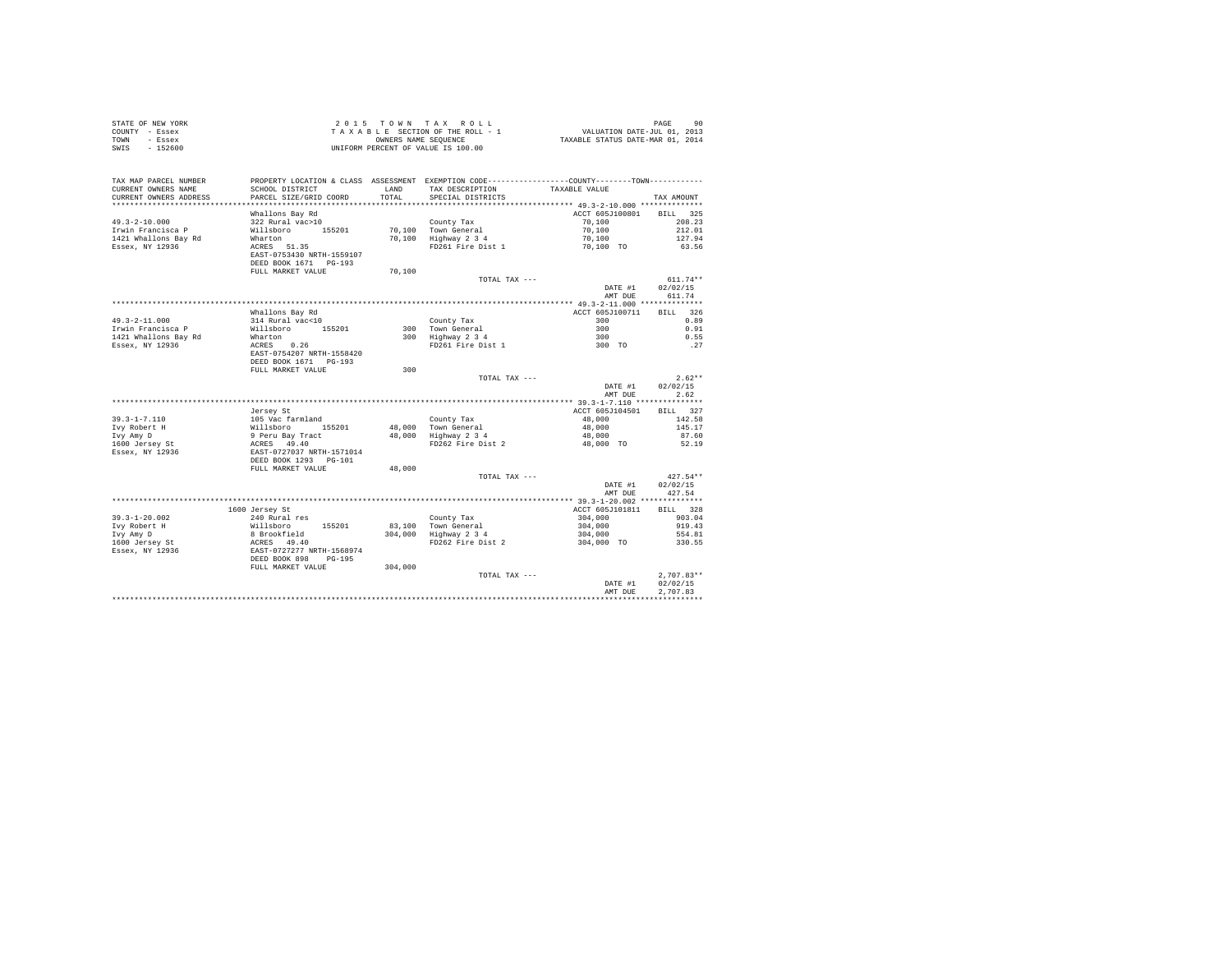| STATE OF NEW YORK<br>- Essex<br>COUNTY<br>TOWN<br>- Essex<br>$-152600$<br>SWIS |                                                                        | UNIFORM PERCENT OF VALUE IS 100.00 | 2015 TOWN TAX ROLL<br>TAXABLE SECTION OF THE ROLL - 1<br>OWNERS NAME SEQUENCE | VALUATION DATE-JUL 01, 2013<br>TAXABLE STATUS DATE-MAR 01, 2014            | 90<br>PAGE                 |
|--------------------------------------------------------------------------------|------------------------------------------------------------------------|------------------------------------|-------------------------------------------------------------------------------|----------------------------------------------------------------------------|----------------------------|
| TAX MAP PARCEL NUMBER<br>CURRENT OWNERS NAME<br>CURRENT OWNERS ADDRESS         | PROPERTY LOCATION & CLASS<br>SCHOOL DISTRICT<br>PARCEL SIZE/GRID COORD | ASSESSMENT<br>LAND<br>TOTAL        | TAX DESCRIPTION<br>SPECIAL DISTRICTS                                          | EXEMPTION CODE----------------COUNTY-------TOWN----------<br>TAXABLE VALUE | TAX AMOUNT                 |
|                                                                                | Whallons Bay Rd                                                        |                                    |                                                                               | ACCT 605J100801                                                            | 325<br>BILL                |
| $49.3 - 2 - 10.000$<br>Trwin Francisca P<br>1421 Whallons Bay Rd               | 322 Rural vac>10<br>155201<br>Willsboro<br>Wharton                     | 70,100<br>70,100                   | County Tax<br>Town General<br>Highway 2 3 4                                   | 70,100<br>70,100<br>70,100                                                 | 208.23<br>212.01<br>127.94 |

| Essex, NY 12936                   | 51.35<br>ACRES<br>EAST-0753430 NRTH-1559107<br>DEED BOOK 1671 PG-193  |         | FD261 Fire Dist 1    | 70.100 TO          | 63.56                                |
|-----------------------------------|-----------------------------------------------------------------------|---------|----------------------|--------------------|--------------------------------------|
|                                   | FULL MARKET VALUE                                                     | 70,100  |                      |                    |                                      |
|                                   |                                                                       |         | TOTAL TAX ---        | DATE #1<br>AMT DUE | $611.74**$<br>02/02/15<br>611.74     |
|                                   |                                                                       |         |                      |                    |                                      |
|                                   | Whallons Bay Rd                                                       |         |                      | ACCT 605J100711    | 326<br><b>BILL</b>                   |
| $49.3 - 2 - 11.000$               | 314 Rural vac<10                                                      |         | County Tax           | 300                | 0.89                                 |
| Irwin Francisca P                 | Willsboro<br>155201                                                   |         | 300 Town General     | 300                | 0.91                                 |
| 1421 Whallons Bay Rd              | Wharton                                                               | 300     | Highway 2 3 4        | 300                | 0.55                                 |
| Essex, NY 12936                   | 0.26<br>ACRES<br>EAST-0754207 NRTH-1558420<br>DEED BOOK 1671 PG-193   |         | FD261 Fire Dist 1    | 300 TO             | .27                                  |
|                                   | FULL MARKET VALUE                                                     | 300     |                      |                    |                                      |
|                                   |                                                                       |         | TOTAL TAX ---        | DATE #1<br>AMT DUE | $2.62**$<br>02/02/15<br>2.62         |
|                                   |                                                                       |         |                      |                    |                                      |
|                                   | Jersey St                                                             |         |                      | ACCT 605J104501    | BILL 327                             |
| $39.3 - 1 - 7.110$                | 105 Vac farmland                                                      |         | County Tax           | 48,000             | 142.58                               |
| Ivy Robert H                      | Willsboro<br>155201                                                   |         | 48.000 Town General  | 48,000             | 145.17                               |
| Ivy Amy D                         | 9 Peru Bay Tract                                                      |         | 48,000 Highway 2 3 4 | 48,000             | 87.60                                |
| 1600 Jersey St<br>Essex, NY 12936 | ACRES 49.40<br>EAST-0727037 NRTH-1571014                              |         | FD262 Fire Dist 2    | 48,000 TO          | 52.19                                |
|                                   | DEED BOOK 1293 PG-101                                                 |         |                      |                    |                                      |
|                                   | FULL MARKET VALUE                                                     | 48,000  |                      |                    |                                      |
|                                   |                                                                       |         | TOTAL TAX ---        | DATE #1            | $427.54**$<br>02/02/15               |
|                                   |                                                                       |         |                      | AMT DUE            | 427.54                               |
|                                   |                                                                       |         |                      |                    |                                      |
|                                   | 1600 Jersey St                                                        |         |                      | ACCT 605J101811    | BILL 328                             |
| $39.3 - 1 - 20.002$               | 240 Rural res                                                         |         | County Tax           | 304,000            | 903.04                               |
| Ivy Robert H                      | Willsboro<br>155201                                                   |         | 83.100 Town General  | 304,000            | 919.43                               |
| Ivy Amy D                         | 8 Brookfield                                                          | 304,000 | Highway 2 3 4        | 304,000            | 554.81                               |
| 1600 Jersey St<br>Essex, NY 12936 | ACRES 49.40<br>EAST-0727277 NRTH-1568974<br>DEED BOOK 898<br>$PG-195$ |         | FD262 Fire Dist 2    | 304,000 TO         | 330.55                               |
|                                   | FULL MARKET VALUE                                                     | 304,000 |                      |                    |                                      |
|                                   |                                                                       |         | TOTAL TAX ---        | DATE #1<br>AMT DUE | $2.707.83**$<br>02/02/15<br>2.707.83 |
|                                   |                                                                       |         |                      |                    |                                      |
|                                   |                                                                       |         |                      |                    |                                      |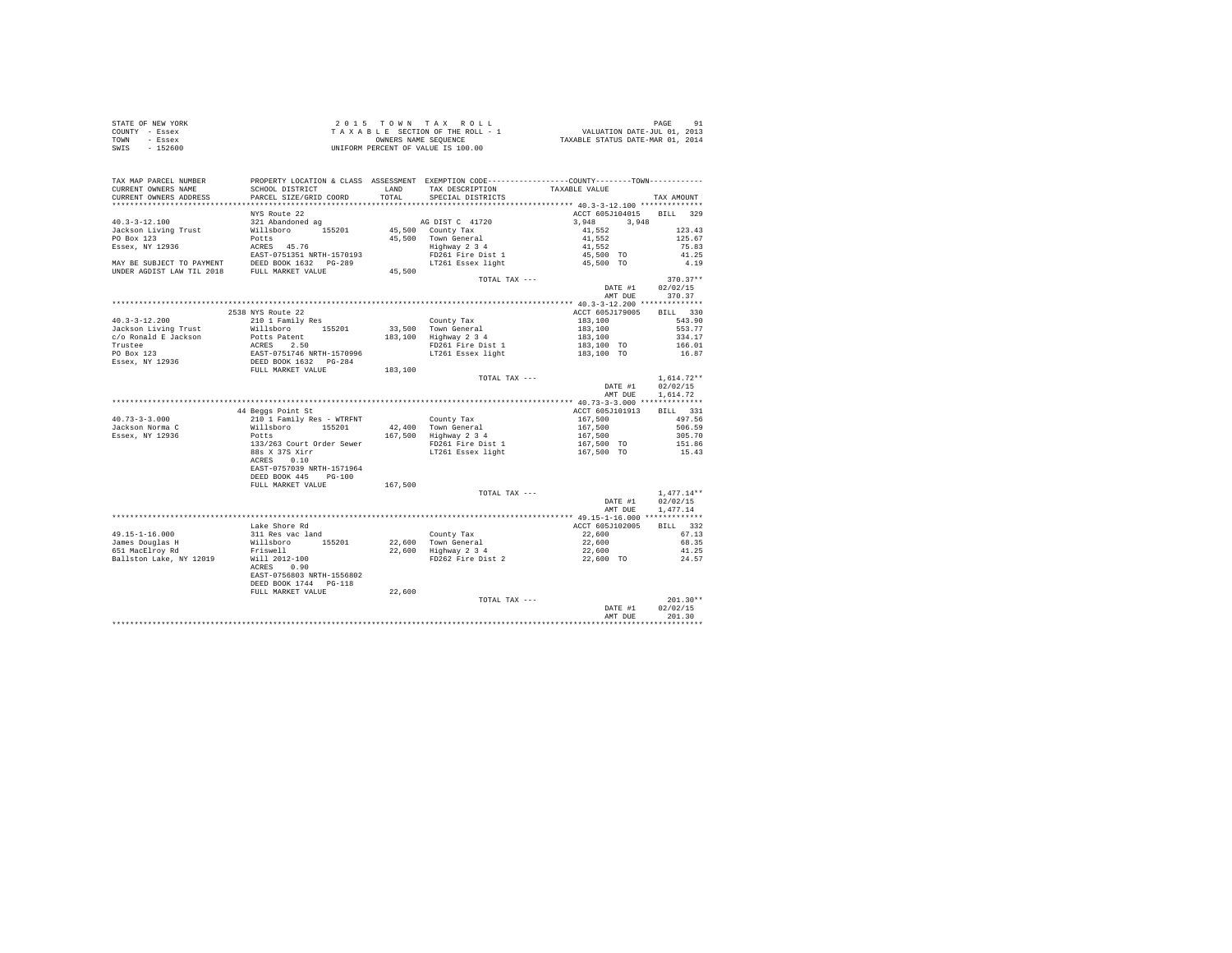| STATE OF NEW YORK<br>COUNTY - Essex<br>TOWN - Essex<br>SWIS - 152600         | TAXABLE SECTION OF the model<br>ONNERS NAME SEQUENCE<br>UNIFORM PERCENT OF VALUE IS 100.00                                                                                                                                                                                                                                                                                                              |         |                                                                                                    |                                                                |                      |
|------------------------------------------------------------------------------|---------------------------------------------------------------------------------------------------------------------------------------------------------------------------------------------------------------------------------------------------------------------------------------------------------------------------------------------------------------------------------------------------------|---------|----------------------------------------------------------------------------------------------------|----------------------------------------------------------------|----------------------|
| TAX MAP PARCEL NUMBER<br>CURRENT OWNERS NAME<br>CURRENT OWNERS ADDRESS       | PROPERTY LOCATION & CLASS ASSESSMENT EXEMPTION CODE----------------COUNTY-------TOWN---------<br>SCHOOL DISTRICT TAND TAX DESCRIPTION<br>PARCEL SIZE/GRID COORD                                                                                                                                                                                                                                         | TOTAL   | SPECIAL DISTRICTS                                                                                  | TAXABLE VALUE                                                  | TAX AMOUNT           |
|                                                                              |                                                                                                                                                                                                                                                                                                                                                                                                         |         |                                                                                                    |                                                                |                      |
|                                                                              | NYS Route 22                                                                                                                                                                                                                                                                                                                                                                                            |         |                                                                                                    | ACCT 605J104015 BILL 329                                       |                      |
| $40.3 - 3 - 12.100$                                                          | 321 Abandoned ag                                                                                                                                                                                                                                                                                                                                                                                        |         | AG DIST C 41720                                                                                    | 3,948 3,948                                                    |                      |
| Jackson Living Trust                                                         |                                                                                                                                                                                                                                                                                                                                                                                                         |         |                                                                                                    | $41,552$<br>$41,552$<br>$41,552$<br>$45,500$ TO<br>$45,500$ TO | 123.43<br>125.67     |
| PO Box 123<br>Essex, NY 12936                                                |                                                                                                                                                                                                                                                                                                                                                                                                         |         |                                                                                                    |                                                                | 75.83                |
|                                                                              |                                                                                                                                                                                                                                                                                                                                                                                                         |         |                                                                                                    |                                                                | 41.25                |
| EAST-0751351 NRTH-1570193<br>MAY BE SUBJECT TO PAYMENT DEED BOOK 1632 PG-289 |                                                                                                                                                                                                                                                                                                                                                                                                         |         |                                                                                                    |                                                                | 4.19                 |
| UNDER AGDIST LAW TIL 2018 FULL MARKET VALUE                                  |                                                                                                                                                                                                                                                                                                                                                                                                         | 45,500  |                                                                                                    |                                                                |                      |
|                                                                              |                                                                                                                                                                                                                                                                                                                                                                                                         |         | TOTAL TAX ---                                                                                      |                                                                | $370.37**$           |
|                                                                              |                                                                                                                                                                                                                                                                                                                                                                                                         |         |                                                                                                    | DATE #1 02/02/15                                               |                      |
|                                                                              |                                                                                                                                                                                                                                                                                                                                                                                                         |         |                                                                                                    | AMT DUE 370.37                                                 |                      |
|                                                                              |                                                                                                                                                                                                                                                                                                                                                                                                         |         |                                                                                                    |                                                                |                      |
|                                                                              | 2538 NYS Route 22                                                                                                                                                                                                                                                                                                                                                                                       |         |                                                                                                    | ACCT 605J179005                                                | BILL 330             |
| $40.3 - 3 - 12.200$                                                          | 210 1 Family Res                                                                                                                                                                                                                                                                                                                                                                                        |         |                                                                                                    | 183,100                                                        | 543.90               |
| Jackson Living Trust                                                         | Willsboro 155201                                                                                                                                                                                                                                                                                                                                                                                        |         | County Tax<br>33,500 Town General<br>183,100 Highway 2 3<br>FD261 Fire Dist 1<br>IT261 Essex light | 183,100<br>183,100<br>183,100 TO                               | 553.77               |
| c/o Ronald E Jackson                                                         |                                                                                                                                                                                                                                                                                                                                                                                                         |         |                                                                                                    |                                                                | 334.17               |
|                                                                              |                                                                                                                                                                                                                                                                                                                                                                                                         |         |                                                                                                    |                                                                | 166.01               |
|                                                                              |                                                                                                                                                                                                                                                                                                                                                                                                         |         |                                                                                                    | 183,100 TO                                                     | 16.87                |
| C/O Achara - Trustee<br>Trustee<br>PO Box 123<br>Essex, NY 12936             | Milleboury<br>Potts Patent 1991<br>ACRES 2.50<br>EAST-0751746 NRTH-1570996<br>DEED BOOK 1632 PO-284<br>DEED BOOK 1632 PO-284<br>FULL MARKET VALUE 183,100                                                                                                                                                                                                                                               |         |                                                                                                    |                                                                |                      |
|                                                                              |                                                                                                                                                                                                                                                                                                                                                                                                         |         |                                                                                                    |                                                                |                      |
|                                                                              |                                                                                                                                                                                                                                                                                                                                                                                                         |         | TOTAL TAX ---                                                                                      |                                                                | $1,614.72**$         |
|                                                                              |                                                                                                                                                                                                                                                                                                                                                                                                         |         |                                                                                                    | DATE #1<br>AMT DUE                                             | 02/02/15<br>1.614.72 |
|                                                                              |                                                                                                                                                                                                                                                                                                                                                                                                         |         |                                                                                                    |                                                                |                      |
|                                                                              | 44 Beggs Point St                                                                                                                                                                                                                                                                                                                                                                                       |         |                                                                                                    | ACCT 605J101913                                                | BILL 331             |
| $40.73 - 3 - 3.000$                                                          | 210 1 Family Res - WTRFNT<br>Willsboro 155201                                                                                                                                                                                                                                                                                                                                                           |         |                                                                                                    |                                                                |                      |
| Jackson Norma C                                                              |                                                                                                                                                                                                                                                                                                                                                                                                         |         |                                                                                                    |                                                                |                      |
| Essex, NY 12936                                                              | Potts                                                                                                                                                                                                                                                                                                                                                                                                   |         |                                                                                                    |                                                                |                      |
|                                                                              | $[0.3] \begin{tabular}{lcccc} \texttt{A1} & \texttt{A2} & \texttt{A3} & \texttt{A4} & \texttt{A5} & \texttt{A6} & \texttt{A7} & \texttt{A8} & \texttt{A8} & \texttt{A9} & \texttt{A9} & \texttt{A9} & \texttt{A9} & \texttt{A9} & \texttt{A9} & \texttt{A9} & \texttt{A9} & \texttt{A9} & \texttt{A9} & \texttt{A9} & \texttt{A9} & \texttt{A9} & \texttt{A9} & \texttt{A9} & \texttt{A9} & \texttt{A9$ |         |                                                                                                    |                                                                |                      |
|                                                                              | 88s X 37S Xirr<br>ACRES 0.10                                                                                                                                                                                                                                                                                                                                                                            |         |                                                                                                    |                                                                |                      |
|                                                                              | EAST-0757039 NRTH-1571964                                                                                                                                                                                                                                                                                                                                                                               |         |                                                                                                    |                                                                |                      |
|                                                                              | DEED BOOK 445 PG-100                                                                                                                                                                                                                                                                                                                                                                                    |         |                                                                                                    |                                                                |                      |
|                                                                              | FULL MARKET VALUE                                                                                                                                                                                                                                                                                                                                                                                       | 167,500 |                                                                                                    |                                                                |                      |
|                                                                              |                                                                                                                                                                                                                                                                                                                                                                                                         |         | TOTAL TAX ---                                                                                      |                                                                | $1.477.14**$         |
|                                                                              |                                                                                                                                                                                                                                                                                                                                                                                                         |         |                                                                                                    | DATE #1                                                        | 02/02/15             |
|                                                                              |                                                                                                                                                                                                                                                                                                                                                                                                         |         |                                                                                                    | AMT DUE                                                        | 1,477.14             |
|                                                                              |                                                                                                                                                                                                                                                                                                                                                                                                         |         |                                                                                                    |                                                                |                      |
|                                                                              | Lake Shore Rd                                                                                                                                                                                                                                                                                                                                                                                           |         |                                                                                                    | ACCT 605J102005                                                | BILL 332             |
| 49.15-1-16.000                                                               |                                                                                                                                                                                                                                                                                                                                                                                                         |         |                                                                                                    | 22,600                                                         | 67.13                |
|                                                                              |                                                                                                                                                                                                                                                                                                                                                                                                         |         |                                                                                                    | 22,600                                                         | 68.35                |
| James Douglas H<br>51 MacElroy Rd<br>651 MacElroy Rd                         |                                                                                                                                                                                                                                                                                                                                                                                                         |         |                                                                                                    |                                                                | 41.25                |
| Ballston Lake, NY 12019                                                      | 011 Res vac land<br>Willsboro 155201 22,600 Town General<br>Friswell 22,600 Town General<br>FISSENCES<br>22,600 Highway 234<br>Will 2012-100<br>ACRES<br>ACRES<br>CONTENT PROPER FORGIFIES<br>22,600 Highway 234<br>PD262 Fire Dist 2                                                                                                                                                                   |         |                                                                                                    | $22,600$<br>22,600 TO                                          | 24.57                |
|                                                                              |                                                                                                                                                                                                                                                                                                                                                                                                         |         |                                                                                                    |                                                                |                      |
|                                                                              | EAST-0756803 NRTH-1556802                                                                                                                                                                                                                                                                                                                                                                               |         |                                                                                                    |                                                                |                      |
|                                                                              |                                                                                                                                                                                                                                                                                                                                                                                                         |         |                                                                                                    |                                                                |                      |
|                                                                              | DEED BOOK 1744 PG-118                                                                                                                                                                                                                                                                                                                                                                                   |         |                                                                                                    |                                                                |                      |
|                                                                              | FULL MARKET VALUE                                                                                                                                                                                                                                                                                                                                                                                       | 22,600  |                                                                                                    |                                                                |                      |
|                                                                              |                                                                                                                                                                                                                                                                                                                                                                                                         |         | TOTAL TAX ---                                                                                      |                                                                | $201.30**$           |
|                                                                              |                                                                                                                                                                                                                                                                                                                                                                                                         |         |                                                                                                    | DATE #1                                                        | 02/02/15             |
|                                                                              |                                                                                                                                                                                                                                                                                                                                                                                                         |         |                                                                                                    | AMT DUE                                                        | 201.30               |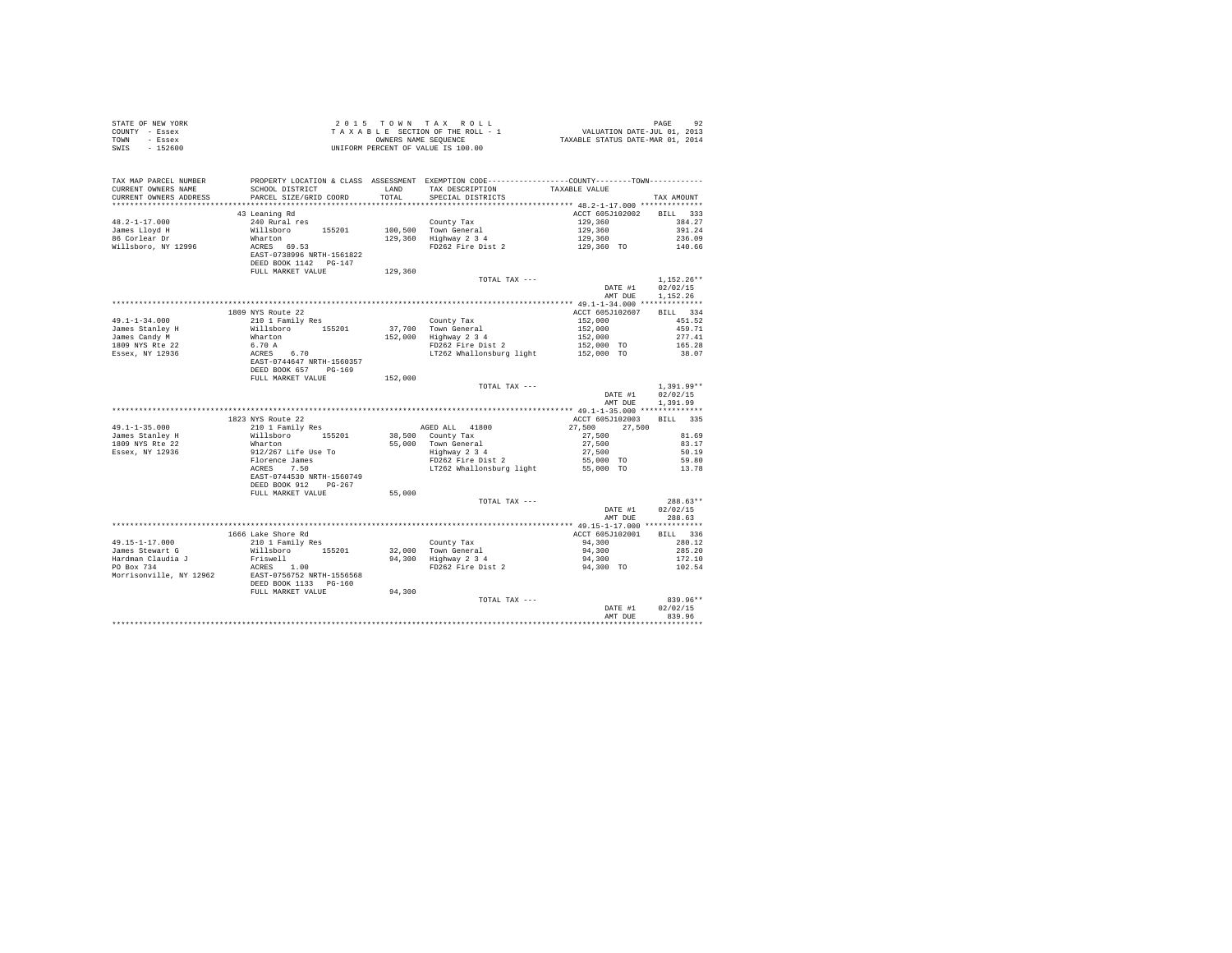| STATE OF NEW YORK                                                     |                                                                                                    |         |                                                                                                                                          |                          |                  |
|-----------------------------------------------------------------------|----------------------------------------------------------------------------------------------------|---------|------------------------------------------------------------------------------------------------------------------------------------------|--------------------------|------------------|
| COUNTY - Essex                                                        |                                                                                                    |         |                                                                                                                                          |                          |                  |
| TOWN - Essex                                                          |                                                                                                    |         |                                                                                                                                          |                          |                  |
| SWIS - 152600                                                         |                                                                                                    |         |                                                                                                                                          |                          |                  |
|                                                                       |                                                                                                    |         |                                                                                                                                          |                          |                  |
|                                                                       |                                                                                                    |         |                                                                                                                                          |                          |                  |
|                                                                       |                                                                                                    |         |                                                                                                                                          |                          |                  |
|                                                                       |                                                                                                    |         |                                                                                                                                          |                          |                  |
| CURRENT OWNERS NAME                                                   |                                                                                                    |         | SCHOOL DISTRICT         LAND     TAX DESCRIPTION         TAXABLE VALUE                                                                   |                          |                  |
| CURRENT OWNERS ADDRESS PARCEL SIZE/GRID COORD TOTAL SPECIAL DISTRICTS |                                                                                                    |         |                                                                                                                                          |                          | TAX AMOUNT       |
|                                                                       |                                                                                                    |         |                                                                                                                                          |                          |                  |
|                                                                       | 43 Leaning Rd                                                                                      |         |                                                                                                                                          | ACCT 605J102002 BILL 333 |                  |
| $48.2 - 1 - 17.000$                                                   | 240 Rural res                                                                                      |         | County Tax                                                                                                                               | 129,360                  | 384.27           |
|                                                                       |                                                                                                    |         |                                                                                                                                          |                          | 391.24           |
| James Lloyd H<br>86 Corlear Dr                                        |                                                                                                    |         |                                                                                                                                          |                          | 236.09           |
| willsboro, NY 12996                                                   | Willsboro 155201<br>Wharton<br>ACRES 69.53<br>EAST-0738996 NRTH-1561822<br>DEED BOOK 1142 PG-147   |         | Councy rax 129,360<br>100,500 Town General 129,360<br>129,360 Highway 2 3 4 129,360<br>FD262 Fire Dist 2 129,360 TO                      |                          | 140.66           |
|                                                                       |                                                                                                    |         |                                                                                                                                          |                          |                  |
|                                                                       |                                                                                                    |         |                                                                                                                                          |                          |                  |
|                                                                       | FULL MARKET VALUE                                                                                  | 129,360 |                                                                                                                                          |                          |                  |
|                                                                       |                                                                                                    |         | TOTAL TAX ---                                                                                                                            |                          | $1.152.26**$     |
|                                                                       |                                                                                                    |         |                                                                                                                                          | DATE #1 02/02/15         |                  |
|                                                                       |                                                                                                    |         |                                                                                                                                          | AMT DUE 1,152.26         |                  |
|                                                                       |                                                                                                    |         |                                                                                                                                          |                          |                  |
|                                                                       |                                                                                                    |         |                                                                                                                                          | ACCT 605J102607 BILL 334 |                  |
|                                                                       | 1809 NYS Route 22                                                                                  |         |                                                                                                                                          |                          |                  |
| $49.1 - 1 - 34.000$                                                   | 210 1 Family Res                                                                                   |         | County Tax<br>152,000 Town General<br>152,000 Highway 2 3 4<br>PD262 Fire Dist 2                                                         | 152,000                  | 451.52           |
|                                                                       |                                                                                                    |         |                                                                                                                                          |                          | 459.71           |
|                                                                       |                                                                                                    |         |                                                                                                                                          |                          | 277.41           |
|                                                                       |                                                                                                    |         | - Town General 1992<br>Highway 2 3 4<br>FD262 Fire Dist 2 152,000<br>FD262 Fire Dist 2 152,000 TO<br>LT262 Whallonsburg light 152,000 TO |                          | 165.28           |
|                                                                       |                                                                                                    |         |                                                                                                                                          |                          | 38.07            |
|                                                                       |                                                                                                    |         |                                                                                                                                          |                          |                  |
|                                                                       |                                                                                                    |         |                                                                                                                                          |                          |                  |
|                                                                       |                                                                                                    | 152,000 |                                                                                                                                          |                          |                  |
|                                                                       |                                                                                                    |         | TOTAL TAX ---                                                                                                                            |                          | $1.391.99**$     |
|                                                                       |                                                                                                    |         |                                                                                                                                          | DATE #1                  | 02/02/15         |
|                                                                       |                                                                                                    |         |                                                                                                                                          |                          | AMT DUE 1.391.99 |
|                                                                       |                                                                                                    |         |                                                                                                                                          |                          |                  |
|                                                                       | 1823 NYS Route 22                                                                                  |         |                                                                                                                                          | ACCT 605J102003 BILL 335 |                  |
| $49.1 - 1 - 35.000$                                                   | 210 1 Family Res                                                                                   |         |                                                                                                                                          |                          |                  |
| James Stanley H<br>1809 NYS Rte 22                                    |                                                                                                    |         |                                                                                                                                          |                          |                  |
|                                                                       |                                                                                                    |         |                                                                                                                                          |                          |                  |
| Essex, NY 12936                                                       |                                                                                                    |         |                                                                                                                                          |                          |                  |
|                                                                       |                                                                                                    |         |                                                                                                                                          |                          |                  |
|                                                                       | xxx + xxxxxx<br>Willsboro 155201<br>Mharton<br>912/267 Life Use To<br>Florence James<br>ACRES 7.50 |         |                                                                                                                                          |                          |                  |
|                                                                       | EAST-0744530 NRTH-1560749                                                                          |         |                                                                                                                                          |                          |                  |
|                                                                       | DEED BOOK 912 PG-267                                                                               |         |                                                                                                                                          |                          |                  |
|                                                                       | FULL MARKET VALUE                                                                                  | 55,000  |                                                                                                                                          |                          |                  |
|                                                                       |                                                                                                    |         | TOTAL TAX ---                                                                                                                            |                          | $288.63**$       |
|                                                                       |                                                                                                    |         |                                                                                                                                          | DATE #1                  | 02/02/15         |
|                                                                       |                                                                                                    |         |                                                                                                                                          | AMT DUE                  | 288.63           |
|                                                                       |                                                                                                    |         |                                                                                                                                          |                          |                  |
|                                                                       |                                                                                                    |         |                                                                                                                                          |                          | BILL 336         |
|                                                                       | 1666 Lake Shore Rd<br>210 1 Family Res                                                             |         |                                                                                                                                          | ACCT 605J102001          | 280.12           |
| 49.15-1-17.000                                                        |                                                                                                    |         |                                                                                                                                          |                          | 285.20           |
| James Stewart G<br>Hardman Claudia J<br>PO Box 734                    |                                                                                                    |         |                                                                                                                                          |                          |                  |
|                                                                       |                                                                                                    |         |                                                                                                                                          |                          | 172.10           |
|                                                                       |                                                                                                    |         |                                                                                                                                          |                          | 102.54           |
| Morrisonville, NY 12962 EAST-0756752 NRTH-1556568                     |                                                                                                    |         |                                                                                                                                          |                          |                  |
|                                                                       | DEED BOOK 1133 PG-160                                                                              |         |                                                                                                                                          |                          |                  |
|                                                                       | FULL MARKET VALUE 94,300                                                                           |         |                                                                                                                                          |                          |                  |
|                                                                       |                                                                                                    |         | TOTAL TAX ---                                                                                                                            |                          | 839.96**         |
|                                                                       |                                                                                                    |         |                                                                                                                                          | DATE #1                  | 02/02/15         |
|                                                                       |                                                                                                    |         |                                                                                                                                          | AMT DUE                  | 839.96           |
|                                                                       |                                                                                                    |         |                                                                                                                                          |                          |                  |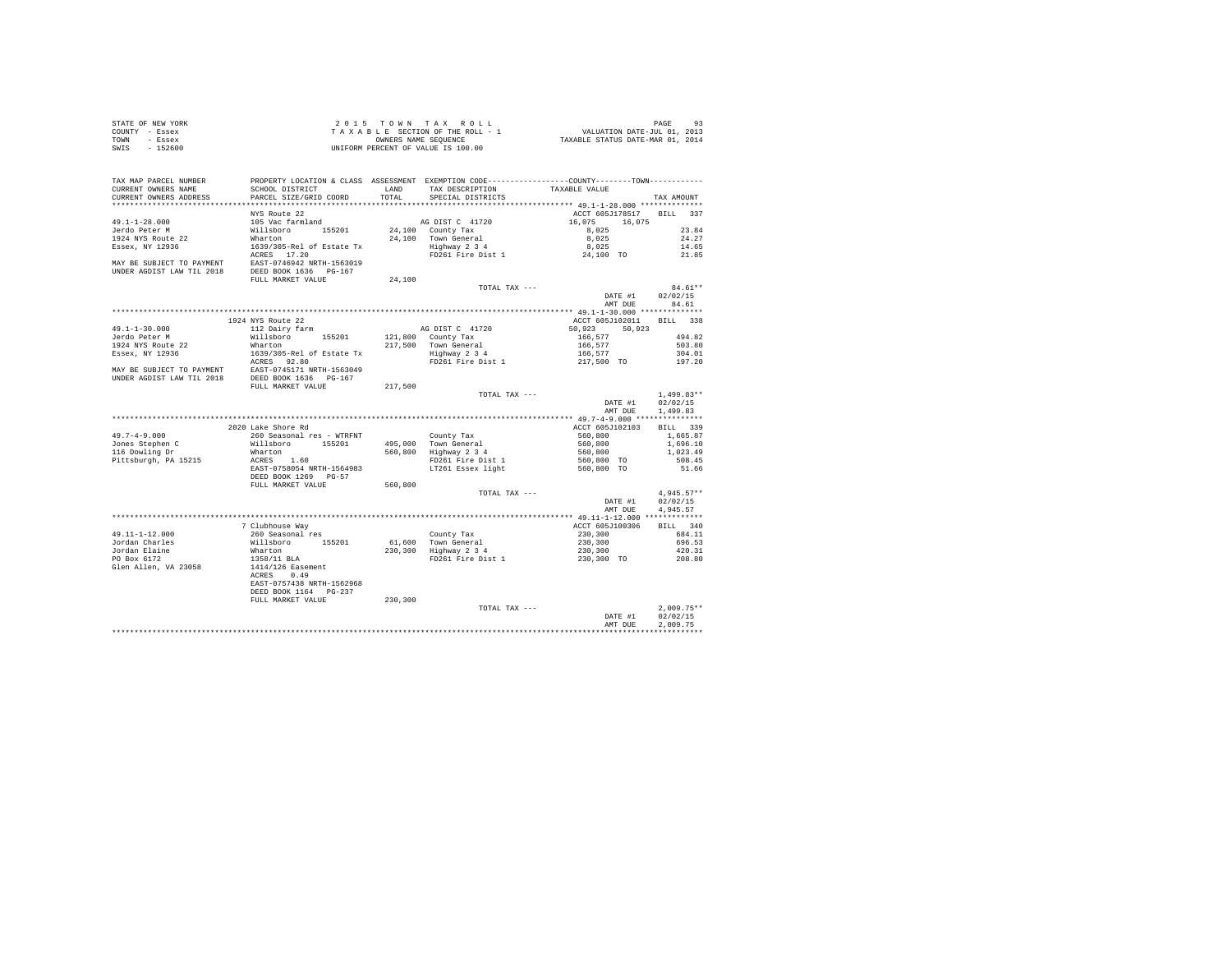| STATE OF NEW YORK<br>COUNTY - Essex<br>TOWN - Essex<br>SWIS - 152600                                                                                                                                                                                                                  |                                                                                                                                                                                                                                                                                                                                                                                                                                                |          |                                                                                             |                          |                                      |
|---------------------------------------------------------------------------------------------------------------------------------------------------------------------------------------------------------------------------------------------------------------------------------------|------------------------------------------------------------------------------------------------------------------------------------------------------------------------------------------------------------------------------------------------------------------------------------------------------------------------------------------------------------------------------------------------------------------------------------------------|----------|---------------------------------------------------------------------------------------------|--------------------------|--------------------------------------|
| TAX MAP PARCEL NUMBER PROPERTY LOCATION & CLASS ASSESSMENT EXEMPTION CODE--------------COUNTY---------TOWN-----------<br>CURRENT OWNERS NAME<br>CURRENT OWNERS ADDRESS                                                                                                                | SCHOOL DISTRICT LAND TAX DESCRIPTION TAXABLE VALUE<br>PARCEL SIZE/GRID COORD                                                                                                                                                                                                                                                                                                                                                                   | TOTAL    | SPECIAL DISTRICTS                                                                           |                          | TAX AMOUNT                           |
|                                                                                                                                                                                                                                                                                       | NYS Route 22                                                                                                                                                                                                                                                                                                                                                                                                                                   |          |                                                                                             | ACCT 605J178517 BILL 337 |                                      |
|                                                                                                                                                                                                                                                                                       |                                                                                                                                                                                                                                                                                                                                                                                                                                                |          |                                                                                             |                          |                                      |
|                                                                                                                                                                                                                                                                                       |                                                                                                                                                                                                                                                                                                                                                                                                                                                |          |                                                                                             |                          |                                      |
|                                                                                                                                                                                                                                                                                       |                                                                                                                                                                                                                                                                                                                                                                                                                                                |          |                                                                                             |                          |                                      |
|                                                                                                                                                                                                                                                                                       |                                                                                                                                                                                                                                                                                                                                                                                                                                                |          |                                                                                             |                          |                                      |
|                                                                                                                                                                                                                                                                                       |                                                                                                                                                                                                                                                                                                                                                                                                                                                |          |                                                                                             |                          |                                      |
|                                                                                                                                                                                                                                                                                       |                                                                                                                                                                                                                                                                                                                                                                                                                                                |          | $\begin{minipage}{.4\linewidth} \texttt{TOTAL } \texttt{TAX} \texttt{ ----} \end{minipage}$ |                          |                                      |
|                                                                                                                                                                                                                                                                                       |                                                                                                                                                                                                                                                                                                                                                                                                                                                |          |                                                                                             |                          | $84.61**$<br>DATE #1 02/02/15        |
|                                                                                                                                                                                                                                                                                       |                                                                                                                                                                                                                                                                                                                                                                                                                                                |          |                                                                                             |                          |                                      |
|                                                                                                                                                                                                                                                                                       |                                                                                                                                                                                                                                                                                                                                                                                                                                                |          |                                                                                             |                          |                                      |
|                                                                                                                                                                                                                                                                                       |                                                                                                                                                                                                                                                                                                                                                                                                                                                |          |                                                                                             |                          |                                      |
|                                                                                                                                                                                                                                                                                       |                                                                                                                                                                                                                                                                                                                                                                                                                                                |          |                                                                                             |                          |                                      |
|                                                                                                                                                                                                                                                                                       |                                                                                                                                                                                                                                                                                                                                                                                                                                                |          |                                                                                             |                          |                                      |
|                                                                                                                                                                                                                                                                                       |                                                                                                                                                                                                                                                                                                                                                                                                                                                |          |                                                                                             |                          |                                      |
|                                                                                                                                                                                                                                                                                       |                                                                                                                                                                                                                                                                                                                                                                                                                                                |          |                                                                                             |                          |                                      |
|                                                                                                                                                                                                                                                                                       |                                                                                                                                                                                                                                                                                                                                                                                                                                                |          |                                                                                             |                          |                                      |
|                                                                                                                                                                                                                                                                                       |                                                                                                                                                                                                                                                                                                                                                                                                                                                |          |                                                                                             |                          |                                      |
|                                                                                                                                                                                                                                                                                       |                                                                                                                                                                                                                                                                                                                                                                                                                                                |          |                                                                                             |                          |                                      |
| NAT DUE 84.61<br>ME DUE 84.61<br>34.61<br>34.61<br>34.61<br>34.61<br>34.61<br>34.61<br>34.61<br>34.61<br>34.61<br>34.61<br>34.61<br>34.61<br>34.61<br>34.82<br>34.82<br>35.923<br>217,500<br>217,500<br>217,500<br>217,500<br>217,500<br>217,500<br>217,500<br>217,500<br>217,500<br> |                                                                                                                                                                                                                                                                                                                                                                                                                                                |          |                                                                                             |                          | AMT DUE 1,499.83                     |
|                                                                                                                                                                                                                                                                                       |                                                                                                                                                                                                                                                                                                                                                                                                                                                |          |                                                                                             |                          |                                      |
|                                                                                                                                                                                                                                                                                       |                                                                                                                                                                                                                                                                                                                                                                                                                                                |          |                                                                                             |                          |                                      |
|                                                                                                                                                                                                                                                                                       |                                                                                                                                                                                                                                                                                                                                                                                                                                                |          |                                                                                             |                          |                                      |
|                                                                                                                                                                                                                                                                                       |                                                                                                                                                                                                                                                                                                                                                                                                                                                |          |                                                                                             |                          |                                      |
|                                                                                                                                                                                                                                                                                       |                                                                                                                                                                                                                                                                                                                                                                                                                                                |          |                                                                                             |                          |                                      |
|                                                                                                                                                                                                                                                                                       |                                                                                                                                                                                                                                                                                                                                                                                                                                                |          |                                                                                             |                          |                                      |
|                                                                                                                                                                                                                                                                                       |                                                                                                                                                                                                                                                                                                                                                                                                                                                |          |                                                                                             |                          |                                      |
|                                                                                                                                                                                                                                                                                       | FULL MARKET VALUE                                                                                                                                                                                                                                                                                                                                                                                                                              |          |                                                                                             |                          |                                      |
|                                                                                                                                                                                                                                                                                       |                                                                                                                                                                                                                                                                                                                                                                                                                                                | 560,800  | TOTAL TAX ---                                                                               |                          | $4,945.57**$                         |
|                                                                                                                                                                                                                                                                                       |                                                                                                                                                                                                                                                                                                                                                                                                                                                |          |                                                                                             |                          | DATE #1 02/02/15<br>AMT DUE 4.945.57 |
|                                                                                                                                                                                                                                                                                       | $\begin{tabular}{l c c c c c c c c} \hline \multicolumn{4}{c c c c} \multicolumn{4}{c c c} \multicolumn{4}{c c c} \multicolumn{4}{c c c} \multicolumn{4}{c c} \multicolumn{4}{c} \multicolumn{4}{c} \multicolumn{4}{c} \multicolumn{4}{c} \multicolumn{4}{c} \multicolumn{4}{c} \multicolumn{4}{c} \multicolumn{4}{c} \multicolumn{4}{c} \multicolumn{4}{c} \multicolumn{4}{c} \multicolumn{4}{c} \multicolumn{4}{c} \multicolumn{4}{c} \mult$ |          |                                                                                             |                          |                                      |
|                                                                                                                                                                                                                                                                                       |                                                                                                                                                                                                                                                                                                                                                                                                                                                |          |                                                                                             |                          |                                      |
|                                                                                                                                                                                                                                                                                       |                                                                                                                                                                                                                                                                                                                                                                                                                                                |          |                                                                                             |                          |                                      |
|                                                                                                                                                                                                                                                                                       |                                                                                                                                                                                                                                                                                                                                                                                                                                                |          |                                                                                             |                          |                                      |
|                                                                                                                                                                                                                                                                                       |                                                                                                                                                                                                                                                                                                                                                                                                                                                |          |                                                                                             |                          |                                      |
| 49.11-1-12.000<br>Jordan Charles<br>Jordan Elaine<br>PO Box 6172<br>Glen Allen, VA 23058                                                                                                                                                                                              |                                                                                                                                                                                                                                                                                                                                                                                                                                                |          |                                                                                             |                          |                                      |
|                                                                                                                                                                                                                                                                                       |                                                                                                                                                                                                                                                                                                                                                                                                                                                |          |                                                                                             |                          |                                      |
|                                                                                                                                                                                                                                                                                       | EAST-0757438 NRTH-1562968                                                                                                                                                                                                                                                                                                                                                                                                                      |          |                                                                                             |                          |                                      |
|                                                                                                                                                                                                                                                                                       | DEED BOOK 1164 PG-237                                                                                                                                                                                                                                                                                                                                                                                                                          |          |                                                                                             |                          |                                      |
|                                                                                                                                                                                                                                                                                       | FULL MARKET VALUE                                                                                                                                                                                                                                                                                                                                                                                                                              | 230, 300 |                                                                                             |                          |                                      |
|                                                                                                                                                                                                                                                                                       |                                                                                                                                                                                                                                                                                                                                                                                                                                                |          | TOTAL TAX ---                                                                               |                          | $2,009.75**$<br>02/02/15             |
|                                                                                                                                                                                                                                                                                       |                                                                                                                                                                                                                                                                                                                                                                                                                                                |          |                                                                                             | DATE #1<br>AMT DUE       | 2.009.75                             |
|                                                                                                                                                                                                                                                                                       |                                                                                                                                                                                                                                                                                                                                                                                                                                                |          |                                                                                             |                          | ************                         |
|                                                                                                                                                                                                                                                                                       |                                                                                                                                                                                                                                                                                                                                                                                                                                                |          |                                                                                             |                          |                                      |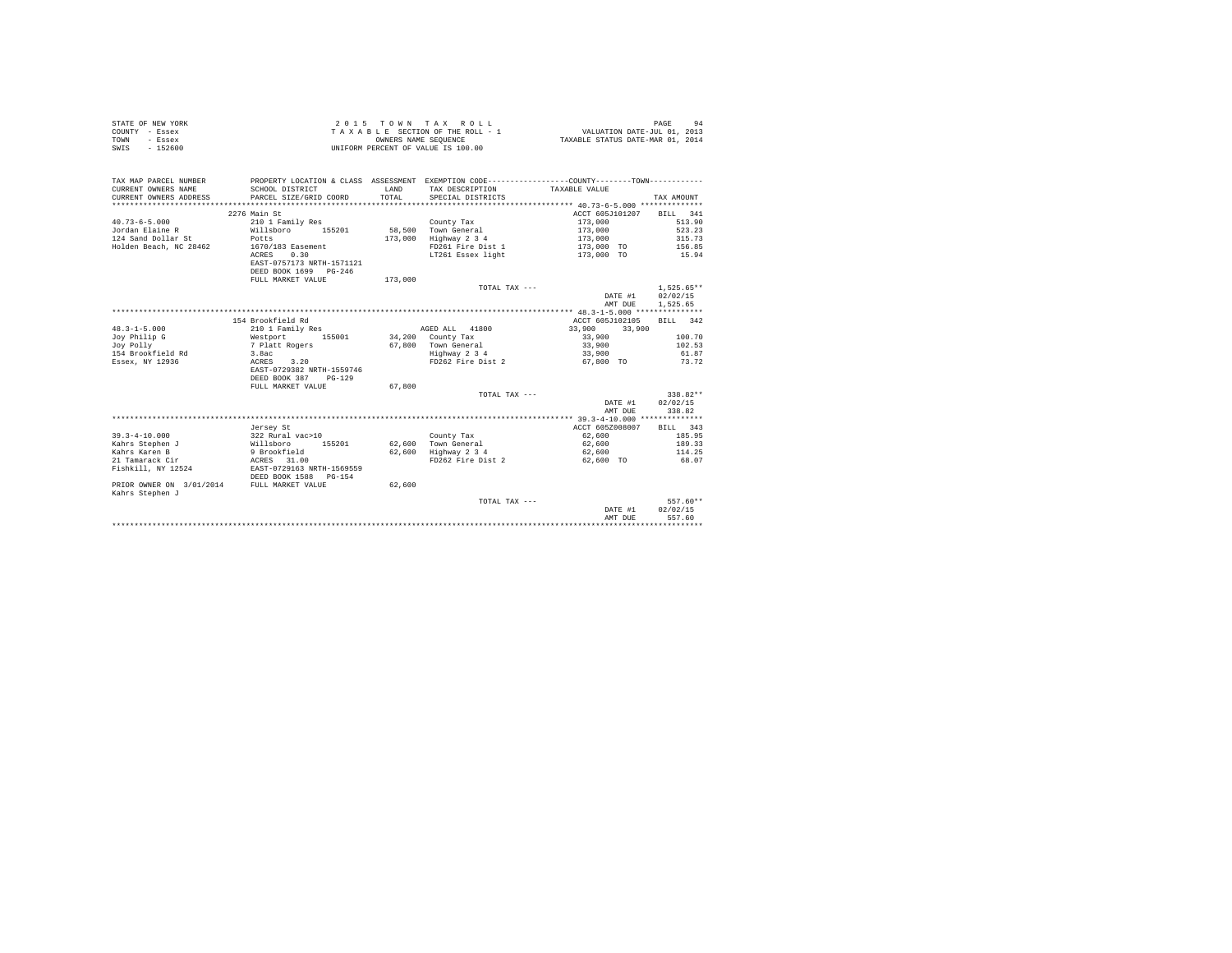| STATE OF NEW YORK<br>COUNTY<br>- Essex<br>TOWN<br>- Essex<br>$-152600$<br>SWIS                     | TAXABLE                                                                                                             | OWNERS NAME SEQUENCE        | 2015 TOWN TAX ROLL<br>SECTION OF THE ROLL - 1<br>UNIFORM PERCENT OF VALUE IS 100.00   | VALUATION DATE-JUL 01, 2013<br>TAXABLE STATUS DATE-MAR 01, 2014 | 94<br>PAGE                                    |
|----------------------------------------------------------------------------------------------------|---------------------------------------------------------------------------------------------------------------------|-----------------------------|---------------------------------------------------------------------------------------|-----------------------------------------------------------------|-----------------------------------------------|
| TAX MAP PARCEL NUMBER<br>CURRENT OWNERS NAME<br>CURRENT OWNERS ADDRESS<br>************************ | PROPERTY LOCATION & CLASS<br>SCHOOL DISTRICT<br>PARCEL SIZE/GRID COORD                                              | ASSESSMENT<br>LAND<br>TOTAL | EXEMPTION CODE----<br>TAX DESCRIPTION<br>SPECIAL DISTRICTS                            | TAXABLE VALUE                                                   | TAX AMOUNT                                    |
|                                                                                                    | 2276 Main St                                                                                                        |                             |                                                                                       | ACCT 605.7101207                                                | 341<br>BILL                                   |
| $40.73 - 6 - 5.000$<br>Jordan Elaine R<br>124 Sand Dollar St<br>Holden Beach, NC 28462             | 210 1 Family Res<br>Willsboro<br>155201<br>Potts<br>1670/183 Easement<br>0.30<br>ACRES<br>EAST-0757173 NRTH-1571121 | 58,500<br>173,000           | County Tax<br>Town General<br>Highway 2 3 4<br>FD261 Fire Dist 1<br>LT261 Essex light | 173,000<br>173,000<br>173,000<br>173,000 TO<br>173,000 TO       | 513.90<br>523.23<br>315.73<br>156.85<br>15.94 |

|                          | DEED BOOK 1699 PG-246<br>FULL MARKET VALUE | 173,000 |                   |                                                |                    |
|--------------------------|--------------------------------------------|---------|-------------------|------------------------------------------------|--------------------|
|                          |                                            |         | TOTAL TAX ---     |                                                | $1.525.65**$       |
|                          |                                            |         |                   | DATE #1                                        | 02/02/15           |
|                          |                                            |         |                   | AMT DUE                                        | 1,525.65           |
|                          |                                            |         |                   |                                                |                    |
|                          | 154 Brookfield Rd                          |         |                   | ACCT 605J102105                                | 342<br><b>BILL</b> |
| $48.3 - 1 - 5.000$       | 210 1 Family Res                           |         | AGED ALL<br>41800 | 33,900<br>33,900                               |                    |
| Joy Philip G             | Westport<br>155001                         | 34,200  | County Tax        | 33,900                                         | 100.70             |
| Joy Polly                | 7 Platt Rogers                             | 67,800  | Town General      | 33,900                                         | 102.53             |
| 154 Brookfield Rd        | 3.8ac                                      |         | Highway 2 3 4     | 33,900                                         | 61.87              |
| Essex, NY 12936          | ACRES<br>3.20                              |         | FD262 Fire Dist 2 | 67.800 TO                                      | 73.72              |
|                          | EAST-0729382 NRTH-1559746                  |         |                   |                                                |                    |
|                          | DEED BOOK 387<br>$PG-129$                  |         |                   |                                                |                    |
|                          | FULL MARKET VALUE                          | 67.800  |                   |                                                |                    |
|                          |                                            |         | TOTAL TAX ---     |                                                | $338.82**$         |
|                          |                                            |         |                   | DATE #1                                        | 02/02/15           |
|                          |                                            |         |                   | AMT DUE                                        | 338.82             |
|                          |                                            |         |                   | ***************** 39.3-4-10.000 ************** |                    |
|                          | Jersey St                                  |         |                   | ACCT 605Z008007                                | 343<br><b>BILL</b> |
| $39.3 - 4 - 10.000$      | 322 Rural vac>10                           |         | County Tax        | 62,600                                         | 185.95             |
| Kahrs Stephen J          | Willsboro<br>155201                        | 62,600  | Town General      | 62,600                                         | 189.33             |
| Kahrs Karen B            | 9 Brookfield                               | 62,600  | Highway 2 3 4     | 62,600                                         | 114.25             |
| 21 Tamarack Cir          | 31.00<br>ACRES                             |         | FD262 Fire Dist 2 | 62,600 TO                                      | 68.07              |
| Fishkill, NY 12524       | EAST-0729163 NRTH-1569559                  |         |                   |                                                |                    |
|                          | DEED BOOK 1588 PG-154                      |         |                   |                                                |                    |
| PRIOR OWNER ON 3/01/2014 | FULL MARKET VALUE                          | 62,600  |                   |                                                |                    |
| Kahrs Stephen J          |                                            |         |                   |                                                |                    |
|                          |                                            |         | TOTAL TAX ---     |                                                | $557.60**$         |
|                          |                                            |         |                   | DATE #1                                        | 02/02/15           |
|                          |                                            |         |                   | AMT DUE<br>*******************************     | 557.60             |
|                          |                                            |         |                   |                                                |                    |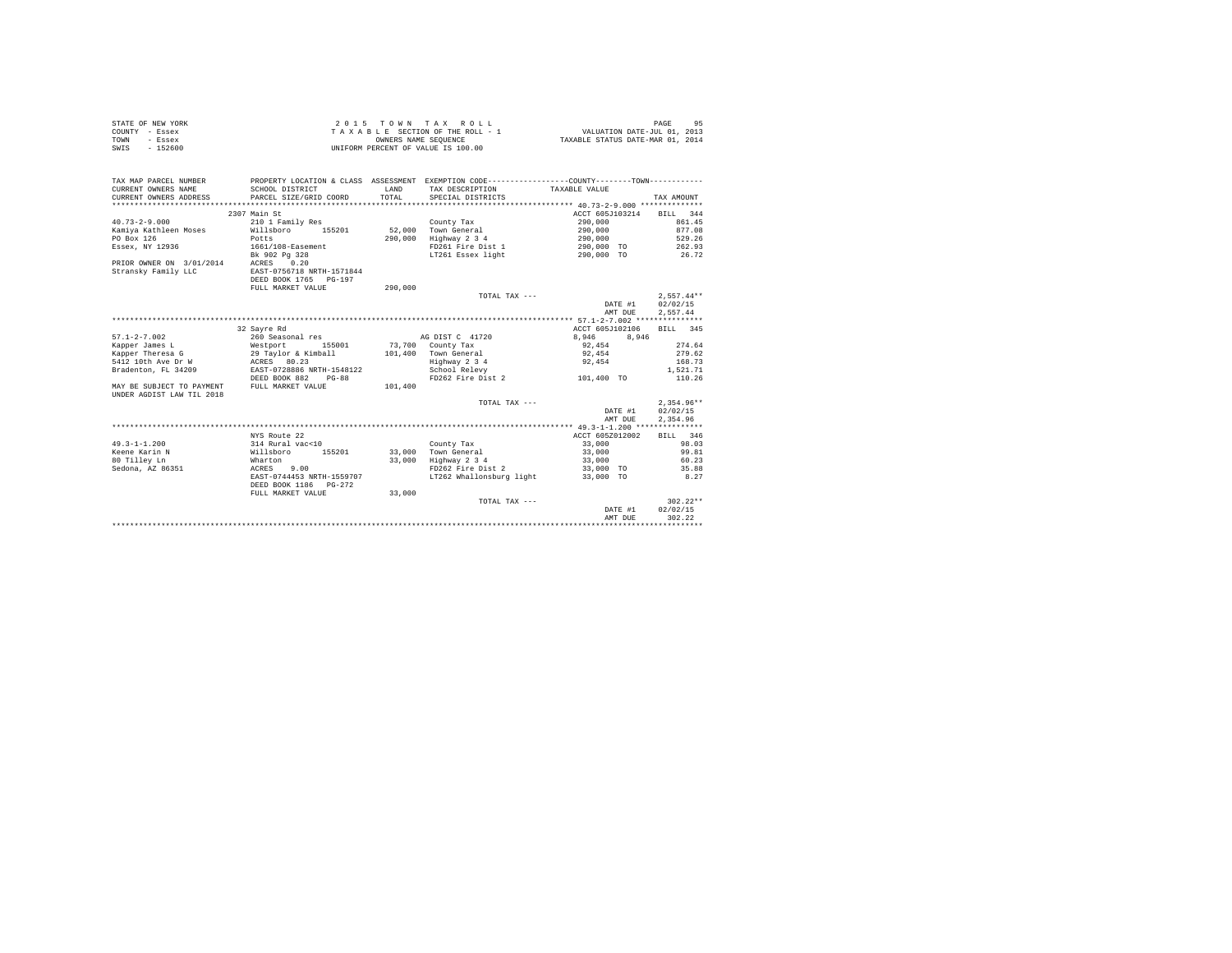|                | STATE OF NEW YORK | 2015 TOWN TAX ROLL                 | 95<br>PAGE                       |
|----------------|-------------------|------------------------------------|----------------------------------|
| COUNTY - Essex |                   | TAXABLE SECTION OF THE ROLL - 1    | VALUATION DATE-JUL 01, 2013      |
| TOWN           | - Essex           | OWNERS NAME SEOUENCE               | TAXABLE STATUS DATE-MAR 01, 2014 |
| SWIS           | $-152600$         | UNIFORM PERCENT OF VALUE IS 100.00 |                                  |

| TAX MAP PARCEL NUMBER<br>CURRENT OWNERS NAME<br>CURRENT OWNERS ADDRESS | SCHOOL DISTRICT<br>PARCEL SIZE/GRID COORD                        | LAND<br>TOTAL. | PROPERTY LOCATION & CLASS ASSESSMENT EXEMPTION CODE----------------COUNTY--------TOWN----------<br>TAX DESCRIPTION TAXABLE VALUE<br>SPECIAL DISTRICTS |                    | TAX AMOUNT                           |
|------------------------------------------------------------------------|------------------------------------------------------------------|----------------|-------------------------------------------------------------------------------------------------------------------------------------------------------|--------------------|--------------------------------------|
|                                                                        | 2307 Main St                                                     |                |                                                                                                                                                       | ACCT 605J103214    | BILL 344                             |
| $40.73 - 2 - 9.000$                                                    | 210 1 Family Res                                                 |                | County Tax                                                                                                                                            | 290,000            | 861.45                               |
| Kamiya Kathleen Moses                                                  | Willsboro<br>155201                                              |                | 52,000 Town General                                                                                                                                   | 290,000            | 877.08                               |
| PO Box 126                                                             | Potts                                                            | 290,000        | Highway 2 3 4                                                                                                                                         | 290,000            | 529.26                               |
| Essex, NY 12936                                                        | 1661/108-Easement                                                |                | FD261 Fire Dist 1                                                                                                                                     | 290,000 TO         | 262.93                               |
|                                                                        | Bk 902 Pg 328                                                    |                | LT261 Essex light                                                                                                                                     | 290,000 TO         | 26.72                                |
| PRIOR OWNER ON 3/01/2014<br>Stransky Family LLC                        | ACRES 0.20<br>EAST-0756718 NRTH-1571844<br>DEED BOOK 1765 PG-197 |                |                                                                                                                                                       |                    |                                      |
|                                                                        | FULL MARKET VALUE                                                | 290,000        |                                                                                                                                                       |                    |                                      |
|                                                                        |                                                                  |                | TOTAL TAX ---                                                                                                                                         |                    | $2.557.44**$                         |
|                                                                        |                                                                  |                |                                                                                                                                                       | DATE #1            | 02/02/15                             |
|                                                                        |                                                                  |                |                                                                                                                                                       | AMT DUE            | 2,557.44                             |
|                                                                        |                                                                  |                |                                                                                                                                                       |                    |                                      |
| $57.1 - 2 - 7.002$                                                     | 32 Savre Rd                                                      |                | AG DIST C 41720                                                                                                                                       | ACCT 605J102106    | BILL 345                             |
|                                                                        | 260 Seasonal res                                                 |                |                                                                                                                                                       | 8,946<br>8,946     |                                      |
|                                                                        |                                                                  |                | 73.700 County Tax<br>101.400 Town General                                                                                                             | 92.454             | 274.64<br>279.62                     |
|                                                                        |                                                                  |                | Highway 2 3 4                                                                                                                                         | 92,454<br>92.454   | 168.73                               |
| Bradenton, FL 34209                                                    |                                                                  |                |                                                                                                                                                       |                    | 1,521.71                             |
|                                                                        | EAST-0728886 NRTH-1548122<br>DEED BOOK 882<br>$PG-88$            |                | School Relevy<br>FD262 Fire Dist 2                                                                                                                    | 101,400 TO         | 110.26                               |
| MAY BE SUBJECT TO PAYMENT<br>UNDER AGDIST LAW TIL 2018                 | FULL MARKET VALUE                                                | 101,400        |                                                                                                                                                       |                    |                                      |
|                                                                        |                                                                  |                | TOTAL TAX ---                                                                                                                                         | DATE #1<br>AMT DUE | $2.354.96**$<br>02/02/15<br>2,354.96 |
|                                                                        |                                                                  |                |                                                                                                                                                       |                    |                                      |
|                                                                        | NYS Route 22                                                     |                |                                                                                                                                                       | ACCT 605Z012002    | BILL 346                             |
| $49.3 - 1 - 1.200$                                                     | 314 Rural vac<10                                                 |                | County Tax                                                                                                                                            | 33,000             | 98.03                                |
| Keene Karin N                                                          | Willsboro<br>155201                                              |                | 33,000 Town General                                                                                                                                   | 33,000             | 99.81                                |
| 80 Tilley Ln                                                           | Wharton                                                          |                | 33,000 Highway 2 3 4                                                                                                                                  | 33,000             | 60.23                                |
| Sedona, AZ 86351                                                       | 9.00<br>ACRES                                                    |                | FD262 Fire Dist 2                                                                                                                                     | 33,000 TO          | 35.88                                |
|                                                                        | EAST-0744453 NRTH-1559707<br>DEED BOOK 1186 PG-272               |                | LT262 Whallonsburg light                                                                                                                              | 33,000 TO          | 8.27                                 |
|                                                                        | FULL MARKET VALUE                                                | 33,000         |                                                                                                                                                       |                    |                                      |
|                                                                        |                                                                  |                | TOTAL TAX ---                                                                                                                                         |                    | $302.22**$                           |
|                                                                        |                                                                  |                |                                                                                                                                                       | DATE #1            | 02/02/15                             |
|                                                                        |                                                                  |                |                                                                                                                                                       | AMT DUE            | 302.22                               |
|                                                                        |                                                                  |                |                                                                                                                                                       |                    |                                      |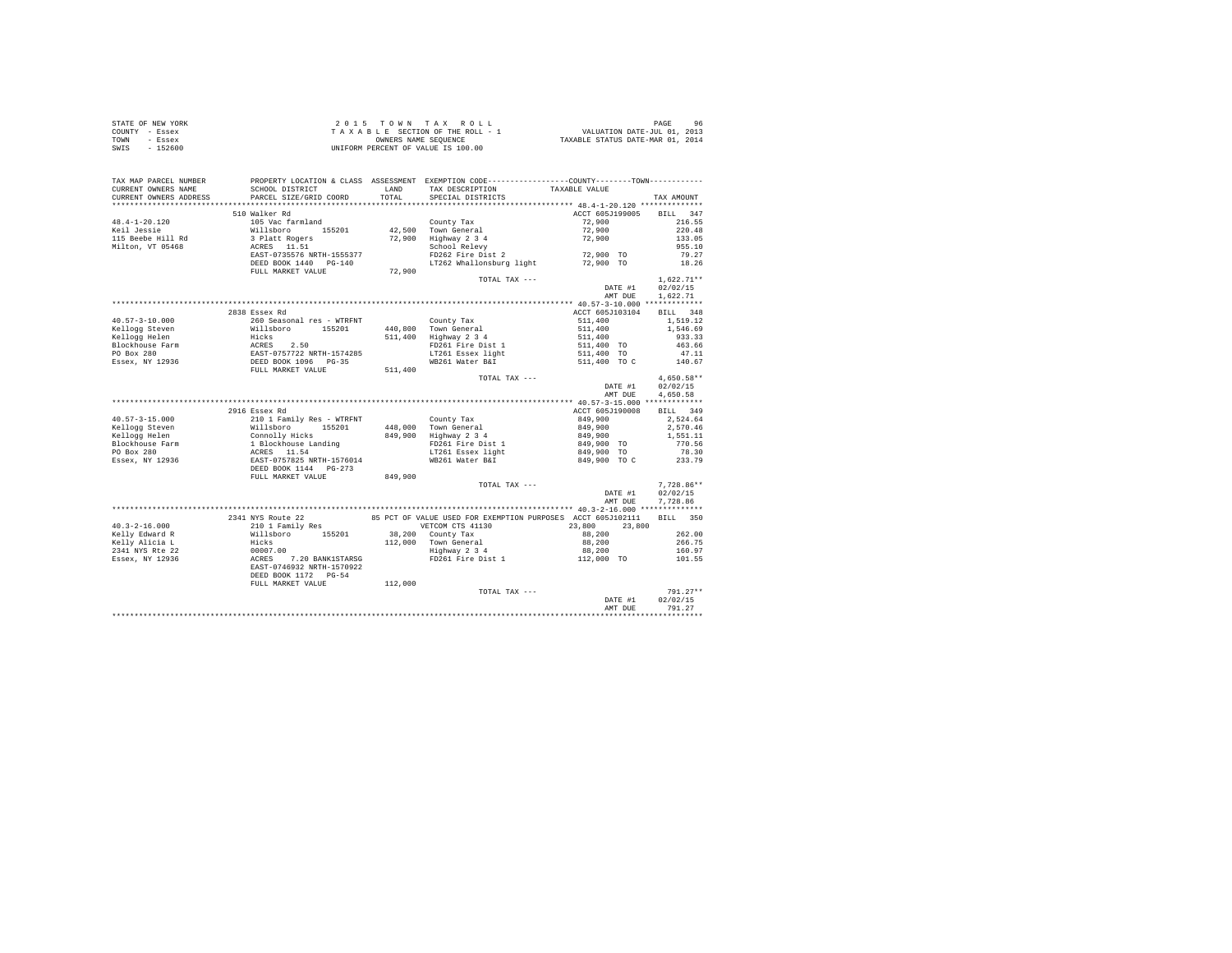| STATE OF NEW YORK | 2015 TOWN TAX ROLL                 | 96<br>PAGE                       |
|-------------------|------------------------------------|----------------------------------|
| COUNTY - Essex    | TAXABLE SECTION OF THE ROLL - 1    | VALUATION DATE-JUL 01, 2013      |
| TOWN<br>- Essex   | OWNERS NAME SEOUENCE               | TAXABLE STATUS DATE-MAR 01, 2014 |
| SWIS<br>$-152600$ | UNIFORM PERCENT OF VALUE IS 100.00 |                                  |

| TAX MAP PARCEL NUMBER<br>CURRENT OWNERS NAME | SCHOOL DISTRICT                                                                                                                                                     |         | PROPERTY LOCATION & CLASS ASSESSMENT EXEMPTION CODE---------------COUNTY-------TOWN----------<br>LAND TAX DESCRIPTION | TAXABLE VALUE                    |                  |
|----------------------------------------------|---------------------------------------------------------------------------------------------------------------------------------------------------------------------|---------|-----------------------------------------------------------------------------------------------------------------------|----------------------------------|------------------|
| CURRENT OWNERS ADDRESS                       | PARCEL SIZE/GRID COORD                                                                                                                                              |         | TOTAL SPECIAL DISTRICTS                                                                                               |                                  | TAX AMOUNT       |
|                                              |                                                                                                                                                                     |         |                                                                                                                       |                                  |                  |
|                                              | 510 Walker Rd                                                                                                                                                       |         |                                                                                                                       | ACCT 605J199005                  | BILL 347         |
| 48.4-1-20.120                                | County Tax<br>Willsboro 155201 42,500 Town General<br>3 Platt Rogers<br>ACRES 11.51<br>2000 Highway 234<br>RECRES 11.51<br>School Relevy<br>RECRES TO School Relevy |         |                                                                                                                       | 72,900                           | 216.55           |
| Keil Jessie                                  |                                                                                                                                                                     |         |                                                                                                                       | $72,900$<br>$72,900$             | 220.48           |
| 115 Beebe Hill Rd                            |                                                                                                                                                                     |         |                                                                                                                       |                                  | 133.05           |
| Milton, VT 05468                             |                                                                                                                                                                     |         |                                                                                                                       |                                  | 955.10           |
|                                              | EAST-0735576 NRTH-1555377                                                                                                                                           |         | $FD262$ Fire Dist 2 72,900 TO                                                                                         |                                  | 79.27            |
|                                              | DEED BOOK 1440 PG-140                                                                                                                                               |         | LT262 Whallonsburg light                                                                                              | 72,900 TO                        | 18.26            |
|                                              | FULL MARKET VALUE                                                                                                                                                   | 72,900  |                                                                                                                       |                                  |                  |
|                                              |                                                                                                                                                                     |         | TOTAL TAX ---                                                                                                         |                                  | $1,622.71**$     |
|                                              |                                                                                                                                                                     |         |                                                                                                                       | DATE #1                          | 02/02/15         |
|                                              |                                                                                                                                                                     |         |                                                                                                                       | AMT DUE                          | 1,622.71         |
|                                              |                                                                                                                                                                     |         |                                                                                                                       |                                  |                  |
|                                              | 2838 Essex Rd                                                                                                                                                       |         |                                                                                                                       | ACCT 605J103104                  | BILL 348         |
|                                              |                                                                                                                                                                     |         |                                                                                                                       | 511,400                          | 1,519.12         |
|                                              |                                                                                                                                                                     |         |                                                                                                                       | 511,400<br>511,400<br>511,400 TO | 1,546.69         |
|                                              |                                                                                                                                                                     |         |                                                                                                                       |                                  | 933.33           |
|                                              |                                                                                                                                                                     |         |                                                                                                                       |                                  | 463.66           |
|                                              |                                                                                                                                                                     |         |                                                                                                                       | 511,400 TO                       | 47.11            |
|                                              |                                                                                                                                                                     |         |                                                                                                                       |                                  |                  |
|                                              |                                                                                                                                                                     |         |                                                                                                                       |                                  |                  |
|                                              |                                                                                                                                                                     |         | TOTAL TAX ---                                                                                                         |                                  | $4.650.58**$     |
|                                              |                                                                                                                                                                     |         |                                                                                                                       | DATE #1                          | 02/02/15         |
|                                              |                                                                                                                                                                     |         |                                                                                                                       | AMT DUE                          | 4,650.58         |
|                                              |                                                                                                                                                                     |         |                                                                                                                       |                                  |                  |
|                                              | 2916 Essex Rd                                                                                                                                                       |         |                                                                                                                       | ACCT 605J190008 BILL 349         |                  |
|                                              |                                                                                                                                                                     |         |                                                                                                                       | 849,900<br>849,900               | 2,524.64         |
|                                              |                                                                                                                                                                     |         |                                                                                                                       |                                  | 2,570.46         |
|                                              |                                                                                                                                                                     |         |                                                                                                                       | 849,900                          | 1,551.11         |
|                                              |                                                                                                                                                                     |         |                                                                                                                       | 849,900 TO                       | 770.56           |
|                                              |                                                                                                                                                                     |         |                                                                                                                       | 849,900 TO                       | 78.30            |
|                                              |                                                                                                                                                                     |         |                                                                                                                       | 849,900 TO C                     | 233.79           |
|                                              |                                                                                                                                                                     |         |                                                                                                                       |                                  |                  |
|                                              | FULL MARKET VALUE                                                                                                                                                   | 849,900 |                                                                                                                       |                                  |                  |
|                                              |                                                                                                                                                                     |         | TOTAL TAX ---                                                                                                         |                                  | $7,728.86**$     |
|                                              |                                                                                                                                                                     |         |                                                                                                                       | DATE $#1$                        | 02/02/15         |
|                                              |                                                                                                                                                                     |         |                                                                                                                       | AMT DUE                          | 7,728.86         |
|                                              |                                                                                                                                                                     |         |                                                                                                                       |                                  |                  |
|                                              | 2341 NYS Route 22                                                                                                                                                   |         | 85 PCT OF VALUE USED FOR EXEMPTION PURPOSES ACCT 605J102111 BILL 350                                                  |                                  |                  |
| $40.3 - 2 - 16.000$                          | 210 1 Family Res                                                                                                                                                    |         | VETCOM CTS 41130                                                                                                      | 23,800 23,800                    |                  |
|                                              |                                                                                                                                                                     |         |                                                                                                                       |                                  | 262.00           |
|                                              |                                                                                                                                                                     |         |                                                                                                                       |                                  | 266.75           |
|                                              |                                                                                                                                                                     |         |                                                                                                                       |                                  | 160.97<br>101.55 |
|                                              |                                                                                                                                                                     |         |                                                                                                                       |                                  |                  |
|                                              |                                                                                                                                                                     |         |                                                                                                                       |                                  |                  |
|                                              | DEED BOOK 1172 PG-54                                                                                                                                                |         |                                                                                                                       |                                  |                  |
|                                              | FULL MARKET VALUE                                                                                                                                                   | 112,000 |                                                                                                                       |                                  |                  |
|                                              |                                                                                                                                                                     |         | TOTAL TAX ---                                                                                                         | DATE #1                          | $791.27**$       |
|                                              |                                                                                                                                                                     |         |                                                                                                                       |                                  | 02/02/15         |
|                                              |                                                                                                                                                                     |         |                                                                                                                       | AMT DUE                          | 791.27           |
|                                              |                                                                                                                                                                     |         |                                                                                                                       |                                  |                  |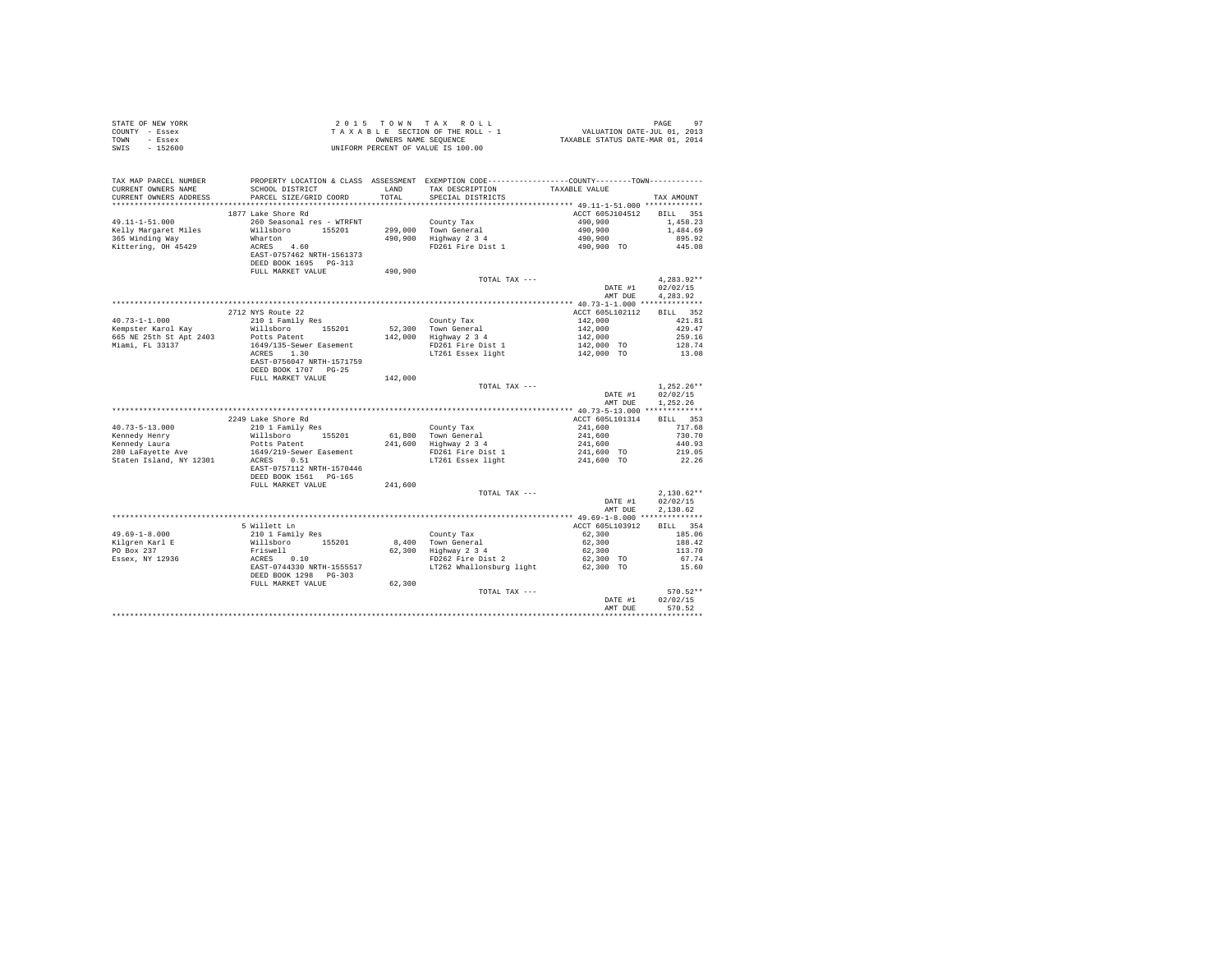| COUNTY - Essex<br>- Essex<br>TOWN<br>$-152600$<br>SWTS | T A X A B L E SECTION OF THE ROLL - :<br>OWNERS NAME SEQUENCE<br>UNIFORM PERCENT OF VALUE IS 100.00                                                                                                                                        |         | T A X A B L E SECTION OF THE ROLL - 1 WALUATION DATE-JUL 01, 2013<br>CONBERS NAME SERVICE STATUS DATE-MAR 01, 2014                                                                                                                                                                                               |                                                     |                          |
|--------------------------------------------------------|--------------------------------------------------------------------------------------------------------------------------------------------------------------------------------------------------------------------------------------------|---------|------------------------------------------------------------------------------------------------------------------------------------------------------------------------------------------------------------------------------------------------------------------------------------------------------------------|-----------------------------------------------------|--------------------------|
| TAX MAP PARCEL NUMBER                                  | PROPERTY LOCATION & CLASS ASSESSMENT EXEMPTION CODE----------------COUNTY-------TOWN----------                                                                                                                                             |         |                                                                                                                                                                                                                                                                                                                  |                                                     |                          |
| CURRENT OWNERS NAME                                    |                                                                                                                                                                                                                                            |         |                                                                                                                                                                                                                                                                                                                  |                                                     |                          |
| CURRENT OWNERS ADDRESS                                 | PARCEL SIZE/GRID COORD                                                                                                                                                                                                                     |         |                                                                                                                                                                                                                                                                                                                  |                                                     | TAX AMOUNT               |
|                                                        | 1877 Lake Shore Rd                                                                                                                                                                                                                         |         |                                                                                                                                                                                                                                                                                                                  | ACCT 605J104512 BILL 351                            |                          |
| 49.11-1-51.000                                         |                                                                                                                                                                                                                                            |         | County Tax<br>299,000 Town General<br>490,900 Highway 2 3 4<br>FD261 Fire Dist 1                                                                                                                                                                                                                                 |                                                     | 1,458.23                 |
| Kelly Margaret Miles                                   | 260 Seasonal res - WTRFNT<br>Willsboro 155201                                                                                                                                                                                              |         |                                                                                                                                                                                                                                                                                                                  | $490,900$<br>$490,900$<br>$490,900$<br>$490,900$ TO | 1,484.69                 |
| 365 Winding Way                                        |                                                                                                                                                                                                                                            |         |                                                                                                                                                                                                                                                                                                                  |                                                     | 895.92                   |
| Kittering, OH 45429                                    |                                                                                                                                                                                                                                            |         |                                                                                                                                                                                                                                                                                                                  |                                                     | 445.08                   |
|                                                        | Wharton<br>ACRES 4.60<br>EAST-0757462 NRTH-1561373                                                                                                                                                                                         |         |                                                                                                                                                                                                                                                                                                                  |                                                     |                          |
|                                                        | DEED BOOK 1695 PG-313                                                                                                                                                                                                                      |         |                                                                                                                                                                                                                                                                                                                  |                                                     |                          |
|                                                        | FULL MARKET VALUE                                                                                                                                                                                                                          | 490,900 |                                                                                                                                                                                                                                                                                                                  |                                                     |                          |
|                                                        |                                                                                                                                                                                                                                            |         | TOTAL TAX ---                                                                                                                                                                                                                                                                                                    | DATE #1                                             | $4.283.92**$<br>02/02/15 |
|                                                        |                                                                                                                                                                                                                                            |         |                                                                                                                                                                                                                                                                                                                  | AMT DUE                                             | 4.283.92                 |
|                                                        |                                                                                                                                                                                                                                            |         |                                                                                                                                                                                                                                                                                                                  |                                                     |                          |
|                                                        | 2712 NYS Route 22                                                                                                                                                                                                                          |         |                                                                                                                                                                                                                                                                                                                  | ACCT 605L102112 BILL 352                            |                          |
|                                                        | 210 1 Family Res                                                                                                                                                                                                                           |         |                                                                                                                                                                                                                                                                                                                  |                                                     | 421.81                   |
| 40.73-1-1.000<br>Kempster Karol Kay                    | Willsboro 155201                                                                                                                                                                                                                           |         |                                                                                                                                                                                                                                                                                                                  |                                                     | 429.47                   |
| 665 NE 25th St Apt 2403                                | Potts Patent<br>1649/135-Sewer Easement                                                                                                                                                                                                    |         |                                                                                                                                                                                                                                                                                                                  |                                                     | 259.16                   |
| Miami, FL 33137                                        |                                                                                                                                                                                                                                            |         | County Tax<br>142,000 Town General 142,000<br>142,000 Highway 2 3 4 142,000<br>142,000 Highway 2 3 4 142,000 TO<br>142,000 TO<br>17261 Essex light 142,000 TO                                                                                                                                                    |                                                     | 128.74                   |
|                                                        |                                                                                                                                                                                                                                            |         |                                                                                                                                                                                                                                                                                                                  |                                                     | 13.08                    |
|                                                        | ACRES 1.30<br>EAST-0756047 NRTH-1571759<br>DEED BOOK 1707 PG-25                                                                                                                                                                            |         |                                                                                                                                                                                                                                                                                                                  |                                                     |                          |
|                                                        | FULL MARKET VALUE                                                                                                                                                                                                                          | 142,000 |                                                                                                                                                                                                                                                                                                                  |                                                     |                          |
|                                                        |                                                                                                                                                                                                                                            |         | TOTAL TAX ---                                                                                                                                                                                                                                                                                                    |                                                     | $1.252.26**$             |
|                                                        |                                                                                                                                                                                                                                            |         |                                                                                                                                                                                                                                                                                                                  | DATE #1                                             | 02/02/15                 |
|                                                        |                                                                                                                                                                                                                                            |         |                                                                                                                                                                                                                                                                                                                  | AMT DUE                                             | 1,252.26                 |
|                                                        |                                                                                                                                                                                                                                            |         |                                                                                                                                                                                                                                                                                                                  |                                                     |                          |
|                                                        | 2249 Lake Shore Rd                                                                                                                                                                                                                         |         |                                                                                                                                                                                                                                                                                                                  | ACCT 605L101314                                     | BILL 353                 |
| $40.73 - 5 - 13.000$                                   | 210 1 Family Res                                                                                                                                                                                                                           |         | County Tax                                                                                                                                                                                                                                                                                                       |                                                     | 717.68                   |
|                                                        |                                                                                                                                                                                                                                            |         |                                                                                                                                                                                                                                                                                                                  |                                                     | 730.70<br>440.93         |
|                                                        |                                                                                                                                                                                                                                            |         |                                                                                                                                                                                                                                                                                                                  |                                                     | 219.05                   |
|                                                        | Examedy Henry Willsboro 155201<br>Kennedy Henry Willsboro 155201<br>280 LaFayette Ave 1649/219-Sewer Easement<br>Staten Island, NY 12301<br>200 LaCRES 0.51<br>200 LaCRES 0.51                                                             |         | $241,600 \mbox{ 201 }\rm{100} \mbox{ 211 }\rm{600} \mbox{ 221 }\rm{600} \mbox{ 234 }\rm{241}, 600 \mbox{ 254 }\rm{241}, 600 \mbox{ 261 }\rm{281} \mbox{ 292 }\rm{294} \mbox{ 201 }\rm{216}\rm{200} \mbox{ 202 }\rm{216}\rm{221} \mbox{ 234 }\rm{241}, 600 \mbox{ 201 }\rm{217}\rm{221 }\rm{238}\rm{241}, 600 \m$ |                                                     | 22.26                    |
|                                                        | EAST-0757112 NRTH-1570446                                                                                                                                                                                                                  |         |                                                                                                                                                                                                                                                                                                                  |                                                     |                          |
|                                                        | DEED BOOK 1561 PG-165                                                                                                                                                                                                                      |         |                                                                                                                                                                                                                                                                                                                  |                                                     |                          |
|                                                        | FULL MARKET VALUE                                                                                                                                                                                                                          | 241,600 |                                                                                                                                                                                                                                                                                                                  |                                                     |                          |
|                                                        |                                                                                                                                                                                                                                            |         | TOTAL TAX ---                                                                                                                                                                                                                                                                                                    | DATE #1                                             | $2,130.62**$<br>02/02/15 |
|                                                        |                                                                                                                                                                                                                                            |         |                                                                                                                                                                                                                                                                                                                  | AMT DUE                                             | 2,130.62                 |
|                                                        |                                                                                                                                                                                                                                            |         |                                                                                                                                                                                                                                                                                                                  |                                                     |                          |
|                                                        | 5 Willett Ln                                                                                                                                                                                                                               |         |                                                                                                                                                                                                                                                                                                                  | ACCT 605L103912                                     | BILL 354                 |
| $49.69 - 1 - 8.000$                                    |                                                                                                                                                                                                                                            |         |                                                                                                                                                                                                                                                                                                                  | 62,300                                              | 185.06                   |
| Kilgren Karl E<br>PO Box 237                           |                                                                                                                                                                                                                                            |         |                                                                                                                                                                                                                                                                                                                  | 62,300<br>62,300                                    | 188.42                   |
|                                                        |                                                                                                                                                                                                                                            |         |                                                                                                                                                                                                                                                                                                                  |                                                     | 113.70                   |
| Essex, NY 12936                                        |                                                                                                                                                                                                                                            |         |                                                                                                                                                                                                                                                                                                                  | 62,300 TO                                           | 67.74                    |
|                                                        | 9 MILLEL LAND ROBBER 155201 COUNTY TAX<br>Willeboro 155201 8,400 Town General<br>Friswell 82,300 Highway 2 3 4<br>RATES 0.10 62,300 Highway 2 3 4<br>RATES 0.10 FD262 Fire Dist 2<br>RATES 17262 Whallonsburg light<br>DEED BOOK 1298 PG-3 |         |                                                                                                                                                                                                                                                                                                                  | 62,300 TO                                           | 15.60                    |
|                                                        | FULL MARKET VALUE 62,300                                                                                                                                                                                                                   |         |                                                                                                                                                                                                                                                                                                                  |                                                     |                          |
|                                                        |                                                                                                                                                                                                                                            |         | TOTAL TAX ---                                                                                                                                                                                                                                                                                                    |                                                     | 570.52**                 |
|                                                        |                                                                                                                                                                                                                                            |         |                                                                                                                                                                                                                                                                                                                  | DATE #1                                             | 02/02/15                 |
|                                                        |                                                                                                                                                                                                                                            |         |                                                                                                                                                                                                                                                                                                                  | AMT DUE                                             | 570.52                   |
|                                                        |                                                                                                                                                                                                                                            |         |                                                                                                                                                                                                                                                                                                                  |                                                     |                          |

STATE OF NEW YORK 2 0 1 5 T O W N T A X R O L L PAGE 97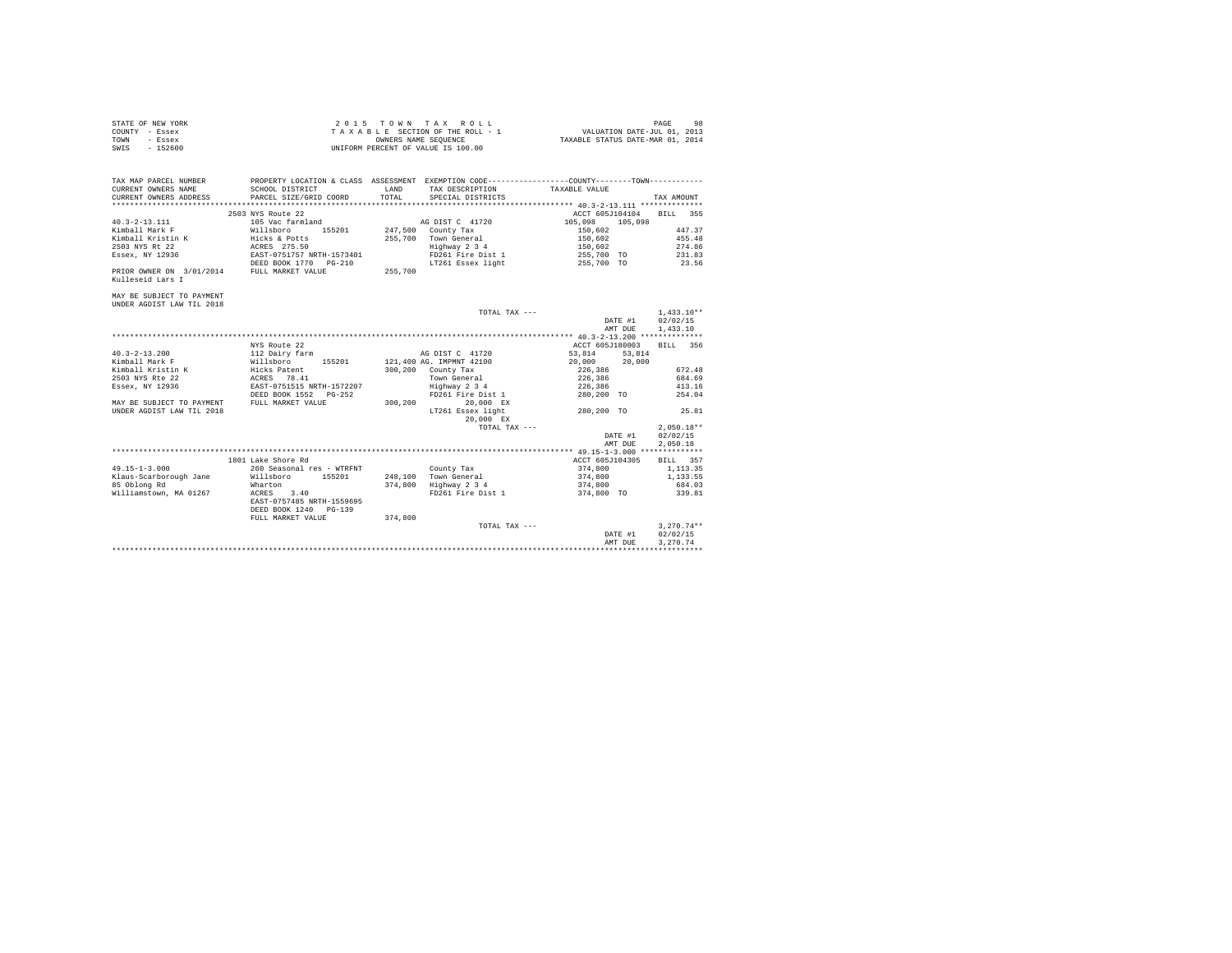| STATE OF NEW YORK | 2015 TOWN TAX ROLL                 | 98<br>PAGE                       |
|-------------------|------------------------------------|----------------------------------|
| COUNTY - Essex    | TAXABLE SECTION OF THE ROLL - 1    | VALUATION DATE-JUL 01, 2013      |
| TOWN<br>- Essex   | OWNERS NAME SEOUENCE               | TAXABLE STATUS DATE-MAR 01, 2014 |
| $-152600$<br>SWIS | UNIFORM PERCENT OF VALUE IS 100.00 |                                  |

| TAX MAP PARCEL NUMBER                      | PROPERTY LOCATION & CLASS ASSESSMENT EXEMPTION CODE---------------COUNTY-------TOWN--------- |         |                       |                          |                 |
|--------------------------------------------|----------------------------------------------------------------------------------------------|---------|-----------------------|--------------------------|-----------------|
| CURRENT OWNERS NAME                        | SCHOOL DISTRICT                                                                              | T.AND   | TAX DESCRIPTION       | TAXABLE VALUE            |                 |
| CURRENT OWNERS ADDRESS                     | PARCEL SIZE/GRID COORD                                                                       | TOTAL   | SPECIAL DISTRICTS     |                          | TAX AMOUNT      |
|                                            |                                                                                              |         |                       |                          |                 |
|                                            | 2503 NYS Route 22                                                                            |         |                       | ACCT 605J104104 BILL 355 |                 |
| $40.3 - 2 - 13.111$                        | 105 Vac farmland                                                                             |         | AG DIST C 41720       | 105,098 105,098          |                 |
| Kimball Mark F Willsboro                   | 155201 247,500 County Tax                                                                    |         |                       | 150,602                  | 447.37          |
| Kimball Kristin K                          |                                                                                              |         | 255.700 Town General  | 150,602                  | 455.48          |
| 2503 NYS Rt 22                             | Hicks & Potts<br>ACRES 275.50                                                                |         | Highway 2 3 4         | 150,602                  | 274.86          |
|                                            |                                                                                              |         | FD261 Fire Dist 1     |                          |                 |
| Essex, NY 12936 EAST-0751757 NRTH-1573401  |                                                                                              |         |                       | 255,700 TO 231.83        |                 |
|                                            | DEED BOOK 1770     PG-210                                                                    |         | LT261 Essex light     | 255,700 TO               | 23.56           |
| PRIOR OWNER ON 3/01/2014 FULL MARKET VALUE |                                                                                              | 255,700 |                       |                          |                 |
| Kulleseid Lars I                           |                                                                                              |         |                       |                          |                 |
|                                            |                                                                                              |         |                       |                          |                 |
| MAY BE SUBJECT TO PAYMENT                  |                                                                                              |         |                       |                          |                 |
| UNDER AGDIST LAW TIL 2018                  |                                                                                              |         |                       |                          |                 |
|                                            |                                                                                              |         | TOTAL TAX ---         |                          | $1.433.10**$    |
|                                            |                                                                                              |         |                       | DATE #1                  | 02/02/15        |
|                                            |                                                                                              |         |                       | AMT DUE                  | 1,433.10        |
|                                            |                                                                                              |         |                       |                          |                 |
|                                            | NYS Route 22                                                                                 |         |                       | ACCT 605J180003          | BILL 356        |
| $40.3 - 2 - 13.200$                        | 112 Dairy farm                                                                               |         | AG DIST C 41720       | 53.814 53.814            |                 |
| Kimball Mark F                             | Willsboro 155201 121,400 AG. IMPMNT 42100                                                    |         |                       | 20,000 20,000            |                 |
|                                            |                                                                                              |         | 300,200 County Tax    |                          | 672.48          |
|                                            |                                                                                              |         | Town General          | 226,386<br>226,386       | 684.69          |
|                                            |                                                                                              |         |                       |                          |                 |
| Essex, NY 12936                            | EAST-0751515 NRTH-1572207                                                                    |         | Highway 2 3 4         | 226,386                  | 413.16          |
|                                            | DEED BOOK 1552 PG-252                                                                        |         | FD261 Fire Dist 1     | 280,200 TO               | 254.04          |
| MAY BE SUBJECT TO PAYMENT                  | FULL MARKET VALUE                                                                            | 300,200 | 20.000 EX             |                          |                 |
| UNDER AGDIST LAW TIL 2018                  |                                                                                              |         | LT261 Essex light     | 280.200 TO 25.81         |                 |
|                                            |                                                                                              |         | 20.000 EX             |                          |                 |
|                                            |                                                                                              |         | TOTAL TAX ---         |                          | $2.050.18**$    |
|                                            |                                                                                              |         |                       | DATE #1                  | 02/02/15        |
|                                            |                                                                                              |         |                       | AMT DUE                  | 2.050.18        |
|                                            |                                                                                              |         |                       |                          |                 |
|                                            | 1801 Lake Shore Rd                                                                           |         |                       | ACCT 605J104305          | <b>BILL 357</b> |
| $49.15 - 1 - 3.000$                        | 260 Seasonal res - WTRFNT                                                                    |         | County Tax            | 374,800                  | 1, 113.35       |
| Klaus-Scarborough Jane                     | Willsboro 155201 248,100 Town General                                                        |         |                       | 374,800                  | 1,133.55        |
| 85 Oblong Rd                               | Wharton                                                                                      |         | 374,800 Highway 2 3 4 | 374,800                  | 684.03          |
| Williamstown, MA 01267                     | ACRES 3.40                                                                                   |         | FD261 Fire Dist 1     | 374,800 TO               | 339.81          |
|                                            | EAST-0757485 NRTH-1559695                                                                    |         |                       |                          |                 |
|                                            | DEED BOOK 1240 PG-139                                                                        |         |                       |                          |                 |
|                                            |                                                                                              |         |                       |                          |                 |
|                                            | FULL MARKET VALUE                                                                            | 374,800 |                       |                          |                 |
|                                            |                                                                                              |         | TOTAL TAX ---         |                          | $3.270.74**$    |
|                                            |                                                                                              |         |                       | DATE #1                  | 02/02/15        |
|                                            |                                                                                              |         |                       | AMT DUE                  | 3.270.74        |
|                                            |                                                                                              |         |                       |                          |                 |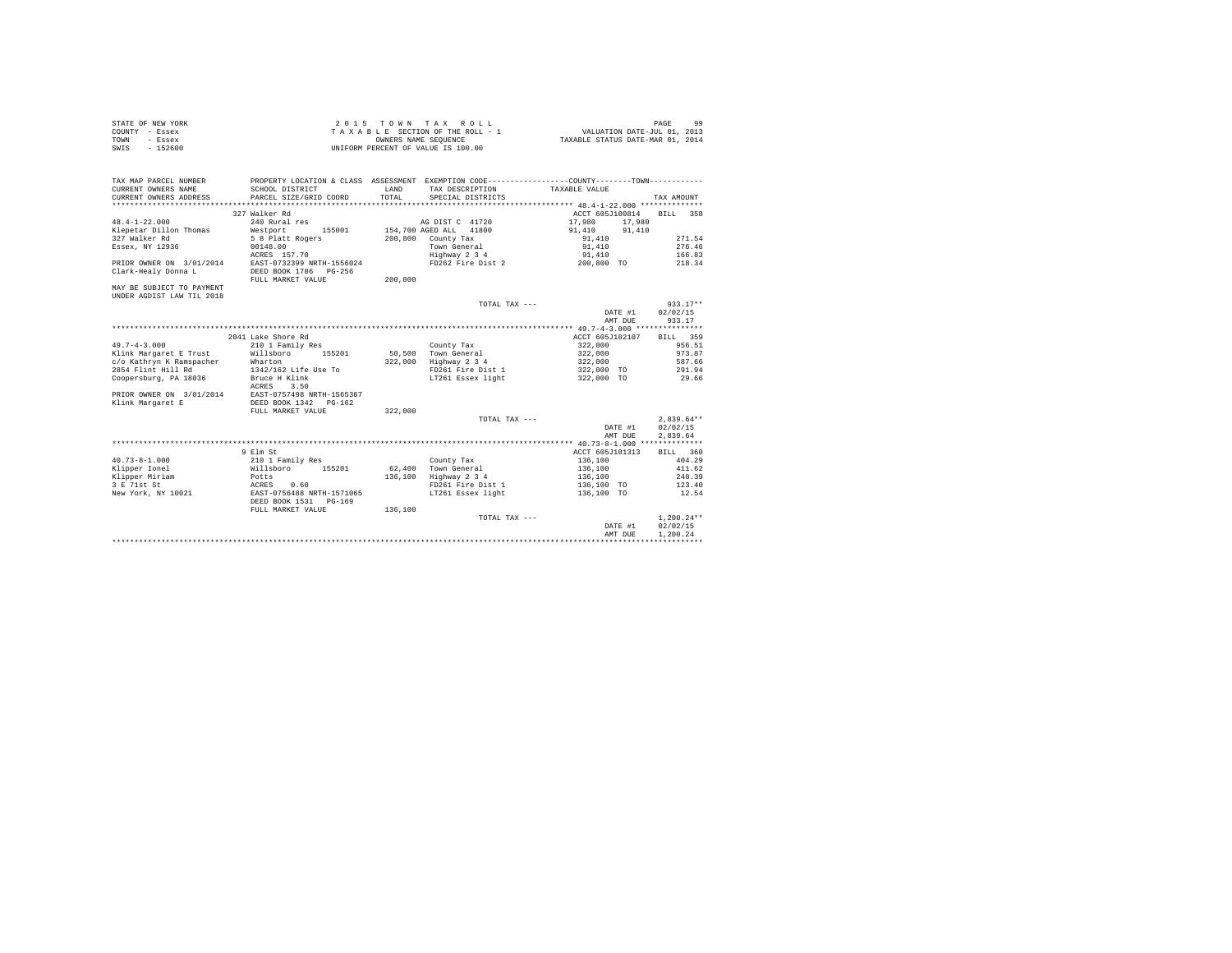| STATE OF NEW YORK | 2015 TOWN TAX ROLL                 | $\Omega$<br>PAGE                 |
|-------------------|------------------------------------|----------------------------------|
| COUNTY - Essex    | TAXABLE SECTION OF THE ROLL - 1    | VALUATION DATE-JUL 01, 2013      |
| TOWN<br>- Essex   | OWNERS NAME SEOUENCE               | TAXABLE STATUS DATE-MAR 01, 2014 |
| SWIS<br>$-152600$ | UNIFORM PERCENT OF VALUE IS 100.00 |                                  |

| TAX MAP PARCEL NUMBER<br>CURRENT OWNERS NAME | PROPERTY LOCATION & CLASS ASSESSMENT EXEMPTION CODE---------------COUNTY-------TOWN---------<br>SCHOOL DISTRICT | LAND    | TAX DESCRIPTION        | TAXABLE VALUE                                 |              |
|----------------------------------------------|-----------------------------------------------------------------------------------------------------------------|---------|------------------------|-----------------------------------------------|--------------|
| CURRENT OWNERS ADDRESS                       | PARCEL SIZE/GRID COORD                                                                                          | TOTAL.  | SPECIAL DISTRICTS      |                                               | TAX AMOUNT   |
|                                              |                                                                                                                 |         |                        |                                               |              |
|                                              | 327 Walker Rd                                                                                                   |         |                        | ACCT 605J100814                               | BILL 358     |
| $48.4 - 1 - 22.000$                          | 240 Rural res                                                                                                   |         | AG DIST C 41720        | 17,980<br>17,980                              |              |
| Klepetar Dillon Thomas                       | Westport<br>155001                                                                                              |         | 154,700 AGED ALL 41800 | 91,410<br>91,410                              |              |
| 327 Walker Rd                                | 5 8 Platt Rogers                                                                                                |         | 200,800 County Tax     | 91,410                                        | 271.54       |
| Essex, NY 12936                              | 00148.00                                                                                                        |         | Town General           | 91,410                                        | 276.46       |
|                                              | ACRES 157.70                                                                                                    |         | Highway 2 3 4          | 91,410                                        | 166.83       |
| PRIOR OWNER ON 3/01/2014                     | EAST-0732399 NRTH-1556024                                                                                       |         | FD262 Fire Dist 2      | 200,800 TO                                    | 218.34       |
| Clark-Healy Donna L                          | DEED BOOK 1786 PG-256                                                                                           |         |                        |                                               |              |
|                                              | FULL MARKET VALUE                                                                                               | 200,800 |                        |                                               |              |
| MAY BE SUBJECT TO PAYMENT                    |                                                                                                                 |         |                        |                                               |              |
| UNDER AGDIST LAW TIL 2018                    |                                                                                                                 |         |                        |                                               |              |
|                                              |                                                                                                                 |         | TOTAL TAX ---          |                                               | $933.17**$   |
|                                              |                                                                                                                 |         |                        | DATE #1                                       | 02/02/15     |
|                                              |                                                                                                                 |         |                        | AMT DUE                                       | 933.17       |
|                                              |                                                                                                                 |         |                        | **************** 49.7-4-3.000 *************** |              |
|                                              | 2041 Lake Shore Rd                                                                                              |         |                        | ACCT 605J102107                               | BILL 359     |
| $49.7 - 4 - 3.000$                           | 210 1 Family Res                                                                                                |         | County Tax             | 322,000                                       | 956.51       |
| Klink Margaret E Trust                       | Willsboro<br>155201                                                                                             |         | 50.500 Town General    | 322,000                                       | 973.87       |
| c/o Kathryn K Ramspacher                     | Wharton                                                                                                         | 322,000 | Highway 2 3 4          | 322,000                                       | 587.66       |
| 2854 Flint Hill Rd                           | 1342/162 Life Use To                                                                                            |         | FD261 Fire Dist 1      | 322,000 TO                                    | 291.94       |
| Coopersburg, PA 18036                        | Bruce H Klink                                                                                                   |         | LT261 Essex light      | 322,000 TO                                    | 29.66        |
|                                              | 3.50<br>ACRES                                                                                                   |         |                        |                                               |              |
| PRIOR OWNER ON 3/01/2014                     | EAST-0757498 NRTH-1565367                                                                                       |         |                        |                                               |              |
| Klink Margaret E                             | DEED BOOK 1342 PG-162                                                                                           |         |                        |                                               |              |
|                                              | FULL MARKET VALUE                                                                                               | 322,000 |                        |                                               |              |
|                                              |                                                                                                                 |         | TOTAL TAX ---          |                                               | $2.839.64**$ |
|                                              |                                                                                                                 |         |                        | DATE #1                                       | 02/02/15     |
|                                              |                                                                                                                 |         |                        | AMT DUE                                       | 2,839.64     |
|                                              |                                                                                                                 |         |                        |                                               |              |
|                                              | 9 Elm St                                                                                                        |         |                        | ACCT 605J101313                               | BILL 360     |
| $40.73 - 8 - 1.000$                          | 210 1 Family Res                                                                                                |         | County Tax             | 136,100                                       | 404.29       |
| Klipper Ionel                                | Willsboro<br>155201                                                                                             | 62,400  | Town General           | 136,100                                       | 411.62       |
| Klipper Miriam                               | Potts                                                                                                           | 136,100 | Highway 2 3 4          | 136,100                                       | 248.39       |
| 3 E 71st St                                  | ACRES<br>0.60                                                                                                   |         | FD261 Fire Dist 1      | 136,100 TO                                    | 123.40       |
| New York, NY 10021                           | EAST-0756488 NRTH-1571065                                                                                       |         | LT261 Essex light      | 136,100 TO                                    | 12.54        |
|                                              | DEED BOOK 1531 PG-169                                                                                           |         |                        |                                               |              |
|                                              | FULL MARKET VALUE                                                                                               | 136,100 |                        |                                               |              |
|                                              |                                                                                                                 |         | TOTAL TAX ---          |                                               | $1.200.24**$ |
|                                              |                                                                                                                 |         |                        | DATE #1                                       | 02/02/15     |
|                                              |                                                                                                                 |         |                        | AMT DUE                                       | 1.200.24     |
|                                              |                                                                                                                 |         |                        |                                               |              |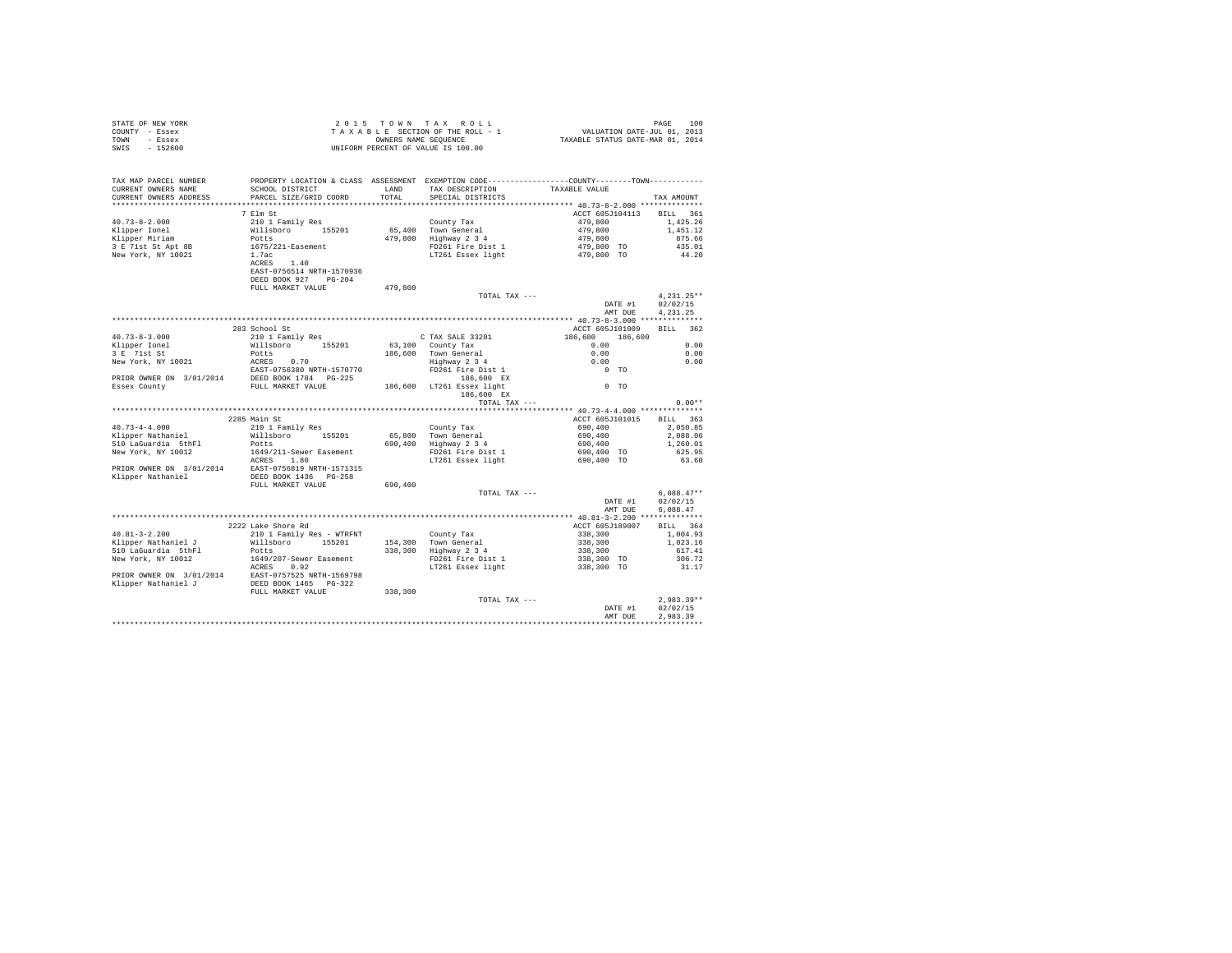|                | STATE OF NEW YORK | 2015 TOWN TAX ROLL                 |  |  |                      |  |  |  | 100<br>PAGE                      |
|----------------|-------------------|------------------------------------|--|--|----------------------|--|--|--|----------------------------------|
| COUNTY - Essex |                   | TAXABLE SECTION OF THE ROLL - 1    |  |  |                      |  |  |  | VALUATION DATE-JUL 01, 2013      |
| TOWN           | - Essex           |                                    |  |  | OWNERS NAME SEOUENCE |  |  |  | TAXABLE STATUS DATE-MAR 01, 2014 |
| SWIS           | $-152600$         | UNIFORM PERCENT OF VALUE IS 100.00 |  |  |                      |  |  |  |                                  |

| TAX MAP PARCEL NUMBER<br>CURRENT OWNERS NAME<br>CURRENT OWNERS ADDRESS           | SCHOOL DISTRICT<br>PARCEL SIZE/GRID COORD | LAND<br>TOTAL | PROPERTY LOCATION & CLASS ASSESSMENT EXEMPTION CODE----------------COUNTY-------TOWN----------<br>TAX DESCRIPTION<br>SPECIAL DISTRICTS | TAXABLE VALUE            | TAX AMOUNT           |
|----------------------------------------------------------------------------------|-------------------------------------------|---------------|----------------------------------------------------------------------------------------------------------------------------------------|--------------------------|----------------------|
|                                                                                  |                                           |               |                                                                                                                                        |                          |                      |
|                                                                                  | 7 Elm St                                  |               |                                                                                                                                        | ACCT 605J104113          | BILL 361             |
| $40.73 - 8 - 2.000$                                                              | 210 1 Family Res                          |               | County Tax                                                                                                                             | 479,800                  | 1,425.26             |
| Klipper Ionel                                                                    | Willsboro 155201                          |               | 65,400 Town General                                                                                                                    | 479,800                  | 1,451.12             |
| Klipper Miriam                                                                   | Potts                                     | 479,800       | $Highway$ 2 3 4                                                                                                                        | 479,800                  | 875.66               |
| 3 E 71st St Apt 8B                                                               | 1675/221-Easement                         |               | FD261 Fire Dist 1                                                                                                                      | 479,800 TO               | 435.01               |
| New York, NY 10021                                                               | 1.7ac                                     |               | LT261 Essex light                                                                                                                      | 479,800 TO               | 44.20                |
|                                                                                  | ACRES 1.40                                |               |                                                                                                                                        |                          |                      |
|                                                                                  | EAST-0756514 NRTH-1570936                 |               |                                                                                                                                        |                          |                      |
|                                                                                  | DEED BOOK 927 PG-204                      | 479.800       |                                                                                                                                        |                          |                      |
|                                                                                  | FULL MARKET VALUE                         |               | TOTAL TAX ---                                                                                                                          |                          | $4,231.25**$         |
|                                                                                  |                                           |               |                                                                                                                                        | DATE #1                  | 02/02/15             |
|                                                                                  |                                           |               |                                                                                                                                        | AMT DUE                  | 4.231.25             |
|                                                                                  |                                           |               |                                                                                                                                        |                          |                      |
|                                                                                  | 283 School St                             |               |                                                                                                                                        | ACCT 605J101009          | BILL 362             |
| $40.73 - 8 - 3.000$                                                              | 210 1 Family Res                          |               | C TAX SALE 33201                                                                                                                       | 186,600 186,600          |                      |
| Klipper Ionel                                                                    | Willsboro 155201                          |               | 63,100 County Tax                                                                                                                      | 0.00                     | 0.00                 |
| 3 E 71st St                                                                      | Potts                                     |               | 186,600 Town General                                                                                                                   | 0.00                     | 0.00                 |
| New York, NY 10021                                                               | ACRES 0.70                                |               | Highway 2 3 4                                                                                                                          | 0.00                     | 0.00                 |
|                                                                                  | EAST-0756380 NRTH-1570770                 |               | FD261 Fire Dist 1                                                                                                                      | $0$ TO                   |                      |
| PRIOR OWNER ON 3/01/2014 BEED BOOK 1784 PG-225<br>Essex County FULL MARKET VALUE |                                           |               | 186,600 EX                                                                                                                             |                          |                      |
|                                                                                  |                                           |               | 186,600 LT261 Essex light                                                                                                              | $0$ TO                   |                      |
|                                                                                  |                                           |               | 186,600 EX                                                                                                                             |                          |                      |
|                                                                                  |                                           |               | TOTAL TAX ---                                                                                                                          |                          | $0.00**$             |
|                                                                                  |                                           |               |                                                                                                                                        |                          |                      |
|                                                                                  | 2285 Main St                              |               |                                                                                                                                        | ACCT 605J101015          | BILL 363             |
| $40.73 - 4 - 4.000$                                                              | 210 1 Family Res                          |               | County Tax                                                                                                                             | 690,400                  | 2,050.85             |
| Klipper Nathaniel<br>510 LaGuardia 5thFl                                         | Willsboro 155201<br>Potts                 |               | 65,800 Town General<br>690,400 Highway 2 3 4                                                                                           | 690,400<br>690,400       | 2,088.06<br>1,260.01 |
| New York, NY 10012                                                               | 1649/211-Sewer Easement                   |               | FD261 Fire Dist 1                                                                                                                      | 690,400 TO               | 625.95               |
|                                                                                  | ACRES 1.80                                |               | LT261 Essex light                                                                                                                      | 690.400 TO               | 63.60                |
| PRIOR OWNER ON 3/01/2014 EAST-0756819 NRTH-1571315                               |                                           |               |                                                                                                                                        |                          |                      |
| Klipper Nathaniel                                                                | DEED BOOK 1436 PG-258                     |               |                                                                                                                                        |                          |                      |
|                                                                                  | FULL MARKET VALUE                         | 690,400       |                                                                                                                                        |                          |                      |
|                                                                                  |                                           |               | TOTAL TAX ---                                                                                                                          |                          | $6,088.47**$         |
|                                                                                  |                                           |               |                                                                                                                                        | DATE #1                  | 02/02/15             |
|                                                                                  |                                           |               |                                                                                                                                        | AMT DUE                  | 6,088.47             |
|                                                                                  |                                           |               |                                                                                                                                        |                          |                      |
|                                                                                  | 2222 Lake Shore Rd                        |               |                                                                                                                                        | ACCT 605J189007          | BILL 364             |
| $40.81 - 3 - 2.200$                                                              | 210 1 Family Res - WTRFNT                 |               | County Tax                                                                                                                             | 338,300                  | 1,004.93             |
| Klipper Nathaniel J                                                              | Willsboro 155201                          |               | 154,300 Town General                                                                                                                   | 338,300                  | 1,023.16             |
| 510 LaGuardia 5thFl                                                              | Potts                                     |               | 338,300 Highway 2 3 4                                                                                                                  | 338,300                  | 617.41               |
| New York, NY 10012                                                               | 1649/207-Sewer Easement                   |               | FD261 Fire Dist 1                                                                                                                      | 338,300 TO<br>338,300 TO | 306.72<br>31.17      |
| RORES 0.92<br>PRIOR OWNER ON 3/01/2014 EAST-0757525 NRTH-1569798                 |                                           |               | LT261 Essex light                                                                                                                      |                          |                      |
| Klipper Nathaniel J                                                              | DEED BOOK 1465 PG-322                     |               |                                                                                                                                        |                          |                      |
|                                                                                  | FULL MARKET VALUE                         | 338,300       |                                                                                                                                        |                          |                      |
|                                                                                  |                                           |               | TOTAL TAX ---                                                                                                                          |                          | $2.983.39**$         |
|                                                                                  |                                           |               |                                                                                                                                        | DATE #1                  | 02/02/15             |
|                                                                                  |                                           |               |                                                                                                                                        | AMT DUE                  | 2.983.39             |
|                                                                                  |                                           |               |                                                                                                                                        |                          |                      |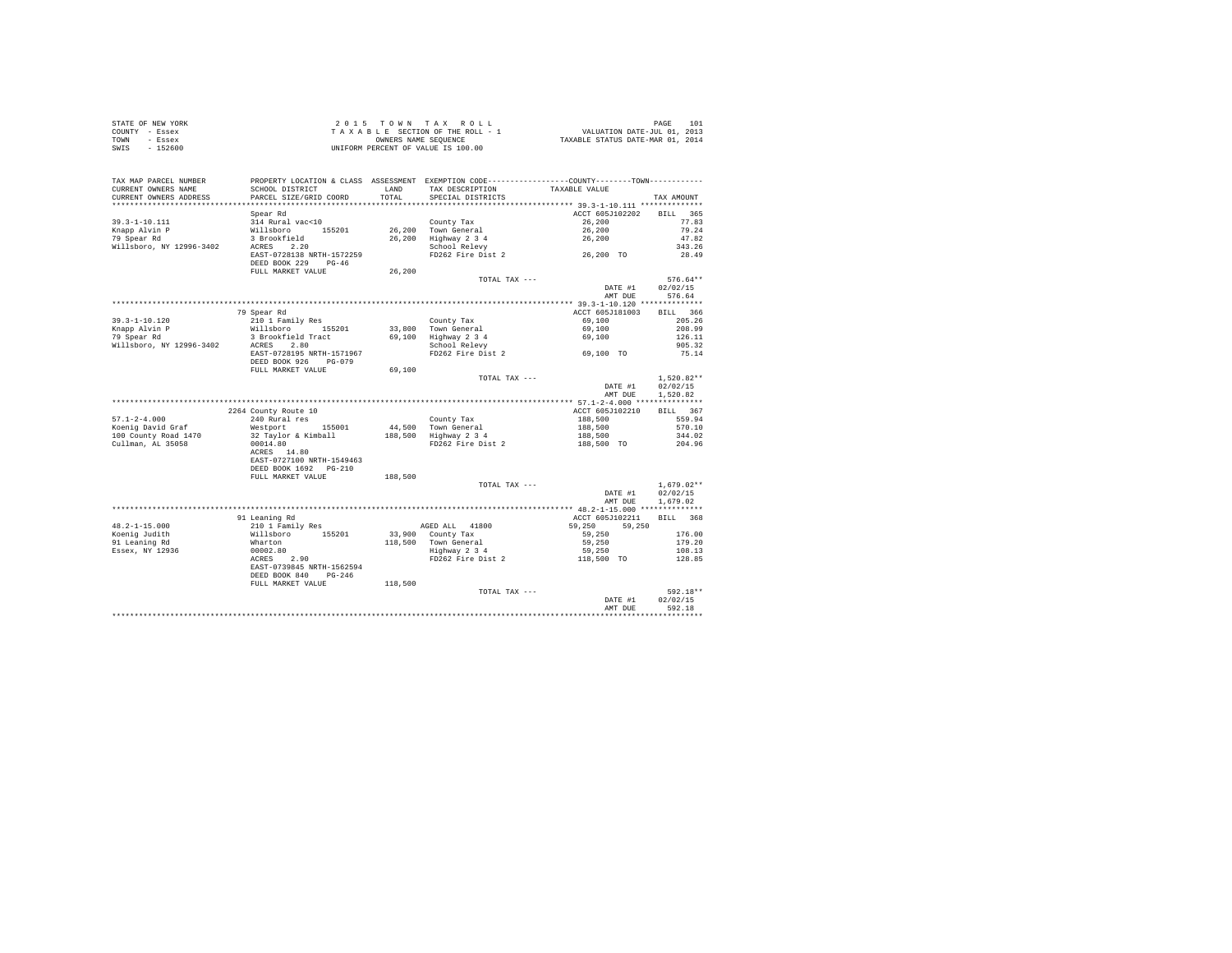| STATE OF NEW YORK | 2015 TOWN TAX ROLL                 | 101<br>PAGE                      |  |
|-------------------|------------------------------------|----------------------------------|--|
| COUNTY - Essex    | TAXABLE SECTION OF THE ROLL - 1    | VALUATION DATE-JUL 01, 2013      |  |
| TOWN<br>- Essex   | OWNERS NAME SEOUENCE               | TAXABLE STATUS DATE-MAR 01, 2014 |  |
| $-152600$<br>SWIS | UNIFORM PERCENT OF VALUE IS 100.00 |                                  |  |

| TAX MAP PARCEL NUMBER    | PROPERTY LOCATION & CLASS ASSESSMENT EXEMPTION CODE----------------COUNTY--------TOWN--------- |           |                     |                                      |                    |
|--------------------------|------------------------------------------------------------------------------------------------|-----------|---------------------|--------------------------------------|--------------------|
| CURRENT OWNERS NAME      | SCHOOL DISTRICT                                                                                | LAND      | TAX DESCRIPTION     | TAXABLE VALUE                        |                    |
| CURRENT OWNERS ADDRESS   | PARCEL SIZE/GRID COORD                                                                         | TOTAL     | SPECIAL DISTRICTS   |                                      | TAX AMOUNT         |
| *********************    | *********************                                                                          | ********* |                     |                                      |                    |
|                          | Spear Rd                                                                                       |           |                     | ACCT 605J102202                      | <b>BILL</b><br>365 |
| $39.3 - 1 - 10.111$      | 314 Rural vac<10                                                                               |           | County Tax          | 26,200                               | 77.83              |
| Knapp Alvin P            | Willsboro<br>155201                                                                            | 26,200    | Town General        | 26,200                               | 79.24              |
| 79 Spear Rd              | 3 Brookfield                                                                                   | 26,200    | Highway 2 3 4       | 26,200                               | 47.82              |
| Willsboro, NY 12996-3402 | ACRES<br>2.20                                                                                  |           | School Relevy       |                                      | 343.26             |
|                          | EAST-0728138 NRTH-1572259                                                                      |           | FD262 Fire Dist 2   | 26,200 TO                            | 28.49              |
|                          | DEED BOOK 229<br>$PG-46$                                                                       |           |                     |                                      |                    |
|                          | FULL MARKET VALUE                                                                              | 26,200    |                     |                                      |                    |
|                          |                                                                                                |           | TOTAL TAX ---       |                                      | $576.64**$         |
|                          |                                                                                                |           |                     | DATE #1                              | 02/02/15           |
|                          |                                                                                                |           |                     | AMT DUE                              | 576.64             |
|                          |                                                                                                |           |                     |                                      |                    |
|                          | 79 Spear Rd                                                                                    |           |                     | ACCT 605J181003                      | BILL 366           |
| $39.3 - 1 - 10.120$      | 210 1 Family Res                                                                               |           | County Tax          | 69,100                               | 205.26             |
| Knapp Alvin P            | Willsboro 155201                                                                               |           | 33,800 Town General | 69,100                               | 208.99             |
| 79 Spear Rd              | 3 Brookfield Tract                                                                             | 69,100    | Highway 2 3 4       | 69,100                               | 126.11             |
| Willsboro, NY 12996-3402 | ACRES 2.80                                                                                     |           | School Relevy       |                                      | 905.32             |
|                          | EAST-0728195 NRTH-1571967                                                                      |           | FD262 Fire Dist 2   | 69,100 TO                            | 75.14              |
|                          | DEED BOOK 926<br>$PG-079$                                                                      |           |                     |                                      |                    |
|                          | FULL MARKET VALUE                                                                              | 69,100    |                     |                                      |                    |
|                          |                                                                                                |           | TOTAL TAX ---       |                                      | $1,520.82**$       |
|                          |                                                                                                |           |                     | DATE #1                              | 02/02/15           |
|                          |                                                                                                |           |                     | AMT DUE                              | 1,520.82           |
|                          |                                                                                                |           |                     |                                      |                    |
|                          | 2264 County Route 10                                                                           |           |                     | ACCT 605J102210                      | BILL 367           |
| $57.1 - 2 - 4.000$       | 240 Rural res                                                                                  |           | County Tax          | 188,500                              | 559.94             |
| Koenig David Graf        | Westport<br>155001                                                                             | 44,500    | Town General        | 188,500                              | 570.10             |
| 100 County Road 1470     | 32 Taylor & Kimball                                                                            | 188,500   | Highway 2 3 4       | 188,500                              | 344.02             |
| Cullman, AL 35058        | 00014.80                                                                                       |           | FD262 Fire Dist 2   | 188,500 TO                           | 204.96             |
|                          | ACRES 14.80                                                                                    |           |                     |                                      |                    |
|                          | EAST-0727100 NRTH-1549463                                                                      |           |                     |                                      |                    |
|                          | DEED BOOK 1692 PG-210                                                                          |           |                     |                                      |                    |
|                          | FULL MARKET VALUE                                                                              | 188,500   |                     |                                      |                    |
|                          |                                                                                                |           | TOTAL TAX ---       |                                      | $1,679.02**$       |
|                          |                                                                                                |           |                     | DATE #1                              | 02/02/15           |
|                          |                                                                                                |           |                     | AMT DUE                              | 1,679.02           |
|                          |                                                                                                |           |                     | ******* 48.2-1-15.000 ************** |                    |
|                          | 91 Leaning Rd                                                                                  |           |                     | ACCT 605J102211                      | BILL 368           |
| $48.2 - 1 - 15.000$      | 210 1 Family Res                                                                               |           | AGED ALL 41800      | 59,250<br>59,250                     |                    |
| Koenig Judith            | Willsboro<br>155201                                                                            | 33,900    | County Tax          | 59,250                               | 176.00             |
| 91 Leaning Rd            | Wharton                                                                                        | 118,500   | Town General        | 59,250                               | 179.20             |
| Essex, NY 12936          | 00002.80                                                                                       |           | Highway 2 3 4       | 59,250                               | 108.13             |
|                          | 2.90<br>ACRES                                                                                  |           | FD262 Fire Dist 2   | 118,500 TO                           | 128.85             |
|                          | EAST-0739845 NRTH-1562594                                                                      |           |                     |                                      |                    |
|                          | DEED BOOK 840<br>$PG-246$                                                                      |           |                     |                                      |                    |
|                          | FULL MARKET VALUE                                                                              | 118,500   |                     |                                      |                    |
|                          |                                                                                                |           | TOTAL TAX ---       |                                      | 592.18**           |
|                          |                                                                                                |           |                     | DATE #1                              | 02/02/15           |
|                          |                                                                                                |           |                     | AMT DUE                              | 592.18             |
|                          |                                                                                                |           |                     |                                      |                    |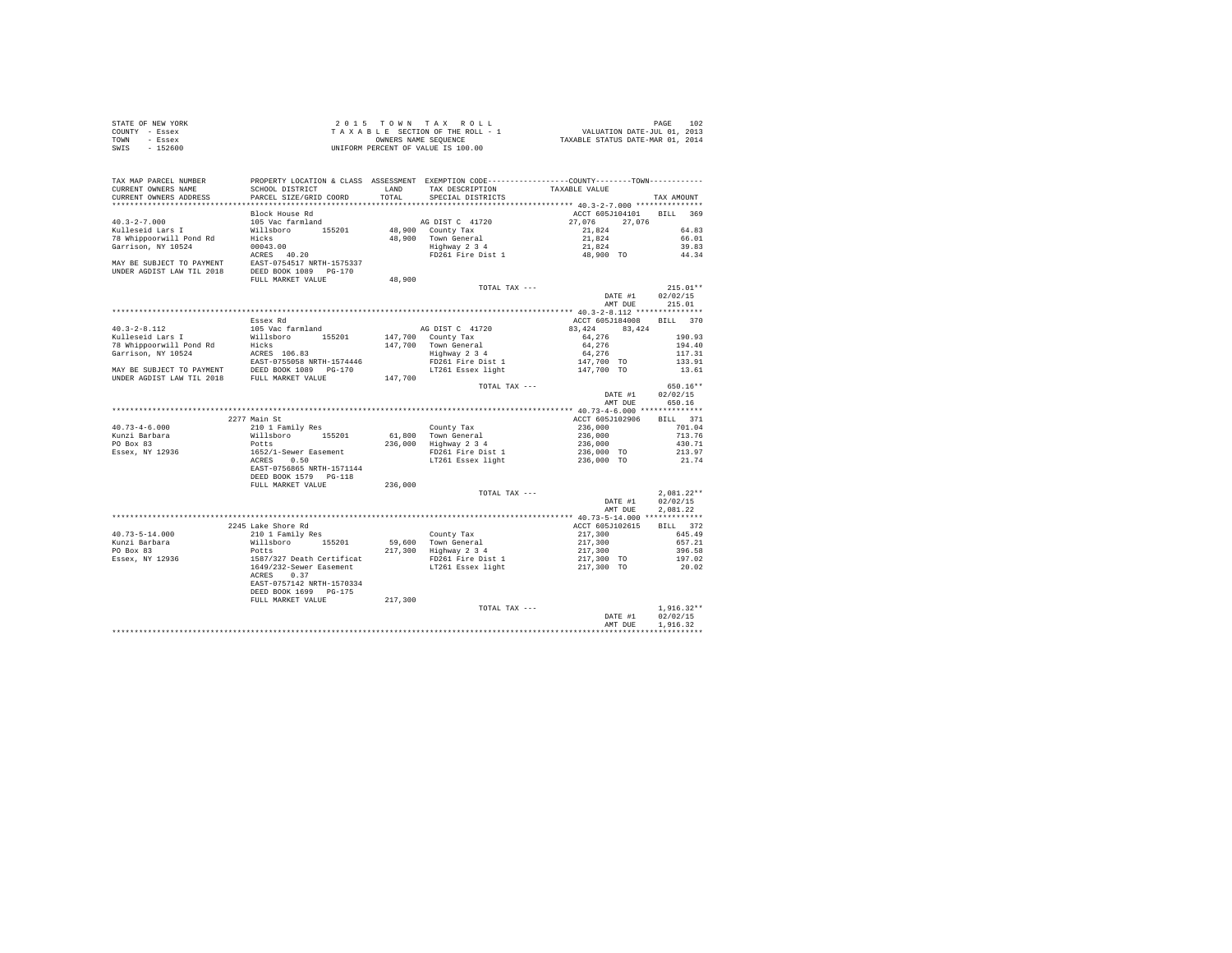| STATE OF NEW YORK<br>COUNTY - Essex<br>TOWN - Essex                                                                                                                                                                                                    |                                                                         |         |                                                                                                                                                                                                                       |                                                                                                                                                                               |                          |
|--------------------------------------------------------------------------------------------------------------------------------------------------------------------------------------------------------------------------------------------------------|-------------------------------------------------------------------------|---------|-----------------------------------------------------------------------------------------------------------------------------------------------------------------------------------------------------------------------|-------------------------------------------------------------------------------------------------------------------------------------------------------------------------------|--------------------------|
| SWIS - 152600                                                                                                                                                                                                                                          |                                                                         |         |                                                                                                                                                                                                                       |                                                                                                                                                                               |                          |
| TAX MAP PARCEL NUMBER     PROPERTY LOCATION & CLASS ASSESSMENT EXEMPTION CODE---------------COUNTY--------TOWN-----------<br>CURRENT OWNERS NAME     SCHOOL DISTRICT     LAND   TAX DESCRIPTION     TAXABLE VALUE                                      |                                                                         |         |                                                                                                                                                                                                                       |                                                                                                                                                                               |                          |
|                                                                                                                                                                                                                                                        |                                                                         |         | LAND TAX DESCRIPTION TAXABLE VALUE                                                                                                                                                                                    |                                                                                                                                                                               |                          |
| CURRENT OWNERS ADDRESS PARCEL SIZE/GRID COORD                                                                                                                                                                                                          |                                                                         | TOTAL   | SPECIAL DISTRICTS                                                                                                                                                                                                     |                                                                                                                                                                               | TAX AMOUNT               |
|                                                                                                                                                                                                                                                        | Block House Rd                                                          |         |                                                                                                                                                                                                                       | ACCT 605J104101 BILL 369                                                                                                                                                      |                          |
|                                                                                                                                                                                                                                                        |                                                                         |         | 48,900 County Tax = 27,076 27,076 27,076 27,076 28,900 County Tax = 21,824 64.83<br>48,900 Town General 21,824 64.83<br>Highway 2 3 4 21,824 64.01<br>FIGURE 21,824 21,824 64.01<br>PD261 Fire Dist 1 48,900 TO 34.34 |                                                                                                                                                                               |                          |
|                                                                                                                                                                                                                                                        |                                                                         |         |                                                                                                                                                                                                                       |                                                                                                                                                                               |                          |
|                                                                                                                                                                                                                                                        |                                                                         |         |                                                                                                                                                                                                                       |                                                                                                                                                                               |                          |
|                                                                                                                                                                                                                                                        |                                                                         |         |                                                                                                                                                                                                                       |                                                                                                                                                                               |                          |
|                                                                                                                                                                                                                                                        |                                                                         |         |                                                                                                                                                                                                                       |                                                                                                                                                                               |                          |
| 40.3-2-7.000<br>MOS 105 Vac farmland<br>Kulleseid Lars I Willsboro<br>78 Whipporwill Pond Rd<br>116.5201<br>78 Whipporwill Pond Rd<br>116.50<br>12008 10043.00<br>1208 1208 1208<br>1208 1208 1209 1209<br>1208 1209 1209 1209<br>1209 1209 1209<br>12 |                                                                         |         |                                                                                                                                                                                                                       |                                                                                                                                                                               |                          |
|                                                                                                                                                                                                                                                        |                                                                         | 48,900  |                                                                                                                                                                                                                       |                                                                                                                                                                               |                          |
|                                                                                                                                                                                                                                                        |                                                                         |         | TOTAL TAX ---                                                                                                                                                                                                         |                                                                                                                                                                               | $215.01**$               |
|                                                                                                                                                                                                                                                        |                                                                         |         |                                                                                                                                                                                                                       | DATE #1 02/02/15<br>AMT DUE 215.01                                                                                                                                            | 02/02/15                 |
|                                                                                                                                                                                                                                                        |                                                                         |         |                                                                                                                                                                                                                       |                                                                                                                                                                               |                          |
|                                                                                                                                                                                                                                                        | Essex Rd                                                                |         |                                                                                                                                                                                                                       | ACCT 605J184008 BILL 370                                                                                                                                                      |                          |
|                                                                                                                                                                                                                                                        |                                                                         |         |                                                                                                                                                                                                                       |                                                                                                                                                                               |                          |
|                                                                                                                                                                                                                                                        |                                                                         |         |                                                                                                                                                                                                                       |                                                                                                                                                                               | 190.93                   |
|                                                                                                                                                                                                                                                        |                                                                         |         |                                                                                                                                                                                                                       |                                                                                                                                                                               | 194.40                   |
|                                                                                                                                                                                                                                                        |                                                                         |         |                                                                                                                                                                                                                       |                                                                                                                                                                               | 117.31                   |
|                                                                                                                                                                                                                                                        |                                                                         |         |                                                                                                                                                                                                                       |                                                                                                                                                                               | 133.91                   |
|                                                                                                                                                                                                                                                        |                                                                         |         |                                                                                                                                                                                                                       |                                                                                                                                                                               | 13.61                    |
|                                                                                                                                                                                                                                                        |                                                                         |         |                                                                                                                                                                                                                       |                                                                                                                                                                               |                          |
|                                                                                                                                                                                                                                                        |                                                                         |         | TOTAL TAX ---                                                                                                                                                                                                         |                                                                                                                                                                               | 650.16**                 |
|                                                                                                                                                                                                                                                        |                                                                         |         |                                                                                                                                                                                                                       | DATE #1 02/02/15<br>AMT DUE 650.16                                                                                                                                            |                          |
|                                                                                                                                                                                                                                                        |                                                                         |         |                                                                                                                                                                                                                       |                                                                                                                                                                               |                          |
|                                                                                                                                                                                                                                                        |                                                                         |         |                                                                                                                                                                                                                       |                                                                                                                                                                               |                          |
|                                                                                                                                                                                                                                                        | 2277 Main St                                                            |         |                                                                                                                                                                                                                       | ACCT 605J102906                                                                                                                                                               | BILL 371                 |
| $40.73 - 4 - 6.000$                                                                                                                                                                                                                                    |                                                                         |         |                                                                                                                                                                                                                       | 236,000 701.04                                                                                                                                                                |                          |
|                                                                                                                                                                                                                                                        |                                                                         |         |                                                                                                                                                                                                                       |                                                                                                                                                                               | 713.76                   |
| Kunzi Barbara<br>PO Box 83                                                                                                                                                                                                                             |                                                                         |         |                                                                                                                                                                                                                       |                                                                                                                                                                               | 430.71                   |
| Essex, NY 12936                                                                                                                                                                                                                                        |                                                                         |         |                                                                                                                                                                                                                       |                                                                                                                                                                               | 213.97                   |
|                                                                                                                                                                                                                                                        |                                                                         |         |                                                                                                                                                                                                                       |                                                                                                                                                                               | 21.74                    |
|                                                                                                                                                                                                                                                        |                                                                         |         |                                                                                                                                                                                                                       |                                                                                                                                                                               |                          |
|                                                                                                                                                                                                                                                        |                                                                         |         |                                                                                                                                                                                                                       |                                                                                                                                                                               |                          |
|                                                                                                                                                                                                                                                        |                                                                         |         |                                                                                                                                                                                                                       |                                                                                                                                                                               | $2.081.22**$             |
|                                                                                                                                                                                                                                                        |                                                                         |         | TOTAL TAX ---                                                                                                                                                                                                         | DATE #1 02/02/15                                                                                                                                                              |                          |
|                                                                                                                                                                                                                                                        |                                                                         |         |                                                                                                                                                                                                                       | AMT DUE                                                                                                                                                                       | 2.081.22                 |
|                                                                                                                                                                                                                                                        |                                                                         |         |                                                                                                                                                                                                                       |                                                                                                                                                                               |                          |
|                                                                                                                                                                                                                                                        | 2245 Lake Shore Rd                                                      |         |                                                                                                                                                                                                                       |                                                                                                                                                                               | BILL 372                 |
|                                                                                                                                                                                                                                                        |                                                                         |         |                                                                                                                                                                                                                       |                                                                                                                                                                               | 645.49                   |
|                                                                                                                                                                                                                                                        |                                                                         |         |                                                                                                                                                                                                                       |                                                                                                                                                                               | 657.21                   |
|                                                                                                                                                                                                                                                        |                                                                         |         |                                                                                                                                                                                                                       |                                                                                                                                                                               | 396.58                   |
|                                                                                                                                                                                                                                                        |                                                                         |         |                                                                                                                                                                                                                       |                                                                                                                                                                               | 197.02                   |
|                                                                                                                                                                                                                                                        |                                                                         |         |                                                                                                                                                                                                                       | ACCT 605<br>217,300<br>217,300<br>217,300<br>217,300<br>217,300<br>217,300<br>217,300<br>217,300<br>217,300<br>217,300<br>217,300<br>217,300<br>217,300<br>217,300<br>217,300 | 20.02                    |
|                                                                                                                                                                                                                                                        |                                                                         |         |                                                                                                                                                                                                                       |                                                                                                                                                                               |                          |
|                                                                                                                                                                                                                                                        |                                                                         |         |                                                                                                                                                                                                                       |                                                                                                                                                                               |                          |
|                                                                                                                                                                                                                                                        |                                                                         | 217,300 |                                                                                                                                                                                                                       |                                                                                                                                                                               |                          |
|                                                                                                                                                                                                                                                        | EAST-0757142 NRTH-1570334<br>DEED BOOK 1699 PG-175<br>FULL MARKET VALUE |         | TOTAL TAX ---                                                                                                                                                                                                         |                                                                                                                                                                               | $1.916.32**$             |
|                                                                                                                                                                                                                                                        |                                                                         |         |                                                                                                                                                                                                                       | DATE #1                                                                                                                                                                       | 02/02/15                 |
|                                                                                                                                                                                                                                                        |                                                                         |         |                                                                                                                                                                                                                       | AMT DUE                                                                                                                                                                       | 1,916.32<br>************ |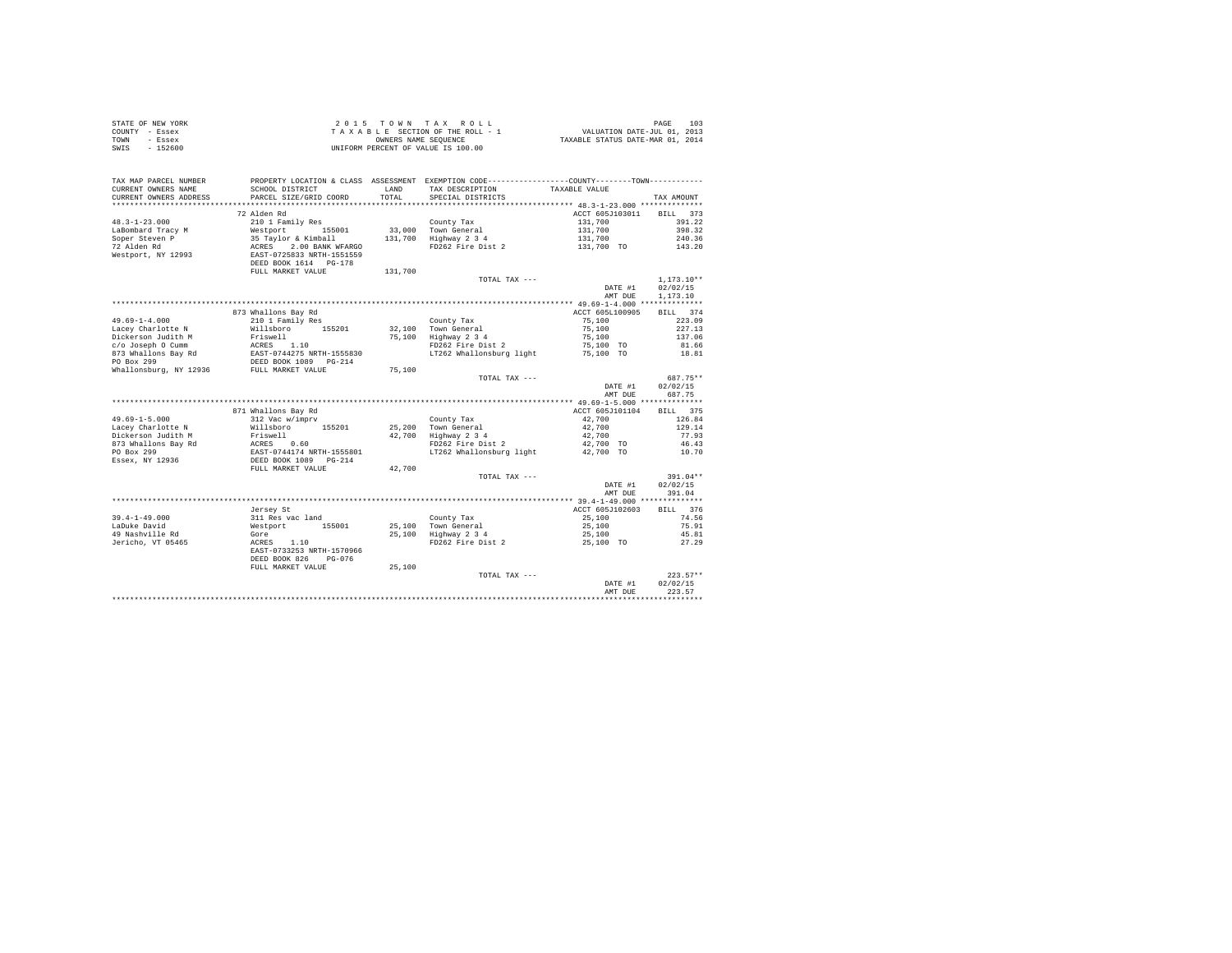| STATE OF NEW YORK |           | 2015 TOWN TAX ROLL                 | 103<br>PAGE                      |
|-------------------|-----------|------------------------------------|----------------------------------|
| COUNTY - Essex    |           | TAXABLE SECTION OF THE ROLL - 1    | VALUATION DATE-JUL 01, 2013      |
| TOWN              | - Essex   | OWNERS NAME SEOUENCE               | TAXABLE STATUS DATE-MAR 01, 2014 |
| SWIS              | $-152600$ | UNIFORM PERCENT OF VALUE IS 100.00 |                                  |
|                   |           |                                    |                                  |
|                   |           |                                    |                                  |
|                   |           |                                    |                                  |

| ***********************<br>72 Alden Rd<br>ACCT 605J103011<br><b>BILL</b><br>373<br>$48.3 - 1 - 23.000$<br>210 1 Family Res<br>131,700<br>391.22<br>County Tax<br>LaBombard Tracy M<br>Westport<br>33,000 Town General<br>131,700<br>398.32<br>155001<br>Soper Steven P<br>35 Taylor & Kimball<br>131,700<br>Highway 2 3 4<br>131,700<br>240.36<br>72 Alden Rd<br>2.00 BANK WFARGO<br>FD262 Fire Dist 2<br>ACRES<br>131,700 TO<br>143.20<br>Westport, NY 12993<br>EAST-0725833 NRTH-1551559<br>DEED BOOK 1614 PG-178<br>FULL MARKET VALUE<br>131,700<br>$1,173.10**$<br>TOTAL TAX ---<br>DATE #1<br>02/02/15<br>AMT DUE<br>1,173.10<br>ACCT 605L100905<br>873 Whallons Bay Rd<br>BTT.T. 374<br>$49.69 - 1 - 4.000$<br>223.09<br>210 1 Family Res<br>County Tax<br>75,100<br>Lacey Charlotte N<br>Willsboro 155201<br>Town General<br>75,100<br>227.13<br>32,100<br>Dickerson Judith M<br>Friswell<br>75,100<br>Highway 2 3 4<br>75,100<br>137.06<br>c/o Joseph 0 Cumm<br>ACRES 1.10<br>FD262 Fire Dist 2<br>75,100 TO<br>81.66<br>873 Whallons Bay Rd<br>EAST-0744275 NRTH-1555830<br>LT262 Whallonsburg light<br>75,100 TO<br>18.81<br>PO Box 299<br>DEED BOOK 1089 PG-214<br>Whallonsburg, NY 12936<br>75,100<br>FULL MARKET VALUE<br>687.75**<br>TOTAL TAX ---<br>02/02/15<br>DATE #1<br>687.75<br>AMT DUE<br>871 Whallons Bay Rd<br>ACCT 605J101104<br>BILL 375<br>$49.69 - 1 - 5.000$<br>42,700<br>126.84<br>312 Vac w/imprv<br>County Tax<br>Lacey Charlotte N<br>Town General<br>42,700<br>129.14<br>Willsboro<br>155201<br>25,200<br>Dickerson Judith M<br>42,700<br>Highway 2 3 4<br>42,700<br>77.93<br>Friswell<br>873 Whallons Bay Rd<br>ACRES<br>0.60<br>FD262 Fire Dist 2<br>42,700 TO<br>46.43<br>PO Box 299<br>EAST-0744174 NRTH-1555801<br>LT262 Whallonsburg light<br>42,700 TO<br>10.70<br>DEED BOOK 1089 PG-214<br>Essex, NY 12936<br>FULL MARKET VALUE<br>42.700<br>$391.04**$<br>TOTAL TAX ---<br>02/02/15<br>DATE #1<br>AMT DUE<br>391.04<br>ACCT 605J102603<br>BILL 376<br>Jersey St<br>$39.4 - 1 - 49.000$<br>311 Res vac land<br>25,100<br>74.56<br>County Tax<br>LaDuke David<br>25,100<br>75.91<br>Westport<br>155001<br>25,100<br>Town General<br>49 Nashville Rd<br>25,100<br>Highway 2 3 4<br>25,100<br>45.81<br>Gore<br>Jericho, VT 05465<br>FD262 Fire Dist 2<br>ACRES<br>1.10<br>25,100 TO<br>27.29<br>EAST-0733253 NRTH-1570966<br>DEED BOOK 826<br>$PG-0.76$<br>FULL MARKET VALUE<br>25,100<br>$223.57**$<br>TOTAL TAX ---<br>02/02/15<br>DATE #1<br>223.57<br>AMT DUE | TAX MAP PARCEL NUMBER<br>CURRENT OWNERS NAME<br>CURRENT OWNERS ADDRESS | SCHOOL DISTRICT<br>PARCEL SIZE/GRID COORD | LAND<br>TOTAL | PROPERTY LOCATION & CLASS ASSESSMENT EXEMPTION CODE----------------COUNTY-------TOWN----------<br>TAX DESCRIPTION<br>SPECIAL DISTRICTS | TAXABLE VALUE | TAX AMOUNT |
|----------------------------------------------------------------------------------------------------------------------------------------------------------------------------------------------------------------------------------------------------------------------------------------------------------------------------------------------------------------------------------------------------------------------------------------------------------------------------------------------------------------------------------------------------------------------------------------------------------------------------------------------------------------------------------------------------------------------------------------------------------------------------------------------------------------------------------------------------------------------------------------------------------------------------------------------------------------------------------------------------------------------------------------------------------------------------------------------------------------------------------------------------------------------------------------------------------------------------------------------------------------------------------------------------------------------------------------------------------------------------------------------------------------------------------------------------------------------------------------------------------------------------------------------------------------------------------------------------------------------------------------------------------------------------------------------------------------------------------------------------------------------------------------------------------------------------------------------------------------------------------------------------------------------------------------------------------------------------------------------------------------------------------------------------------------------------------------------------------------------------------------------------------------------------------------------------------------------------------------------------------------------------------------------------------------------------------------------------------------------------------------------------------------------------------------------------------------------------------------------------------|------------------------------------------------------------------------|-------------------------------------------|---------------|----------------------------------------------------------------------------------------------------------------------------------------|---------------|------------|
|                                                                                                                                                                                                                                                                                                                                                                                                                                                                                                                                                                                                                                                                                                                                                                                                                                                                                                                                                                                                                                                                                                                                                                                                                                                                                                                                                                                                                                                                                                                                                                                                                                                                                                                                                                                                                                                                                                                                                                                                                                                                                                                                                                                                                                                                                                                                                                                                                                                                                                          |                                                                        |                                           |               |                                                                                                                                        |               |            |
|                                                                                                                                                                                                                                                                                                                                                                                                                                                                                                                                                                                                                                                                                                                                                                                                                                                                                                                                                                                                                                                                                                                                                                                                                                                                                                                                                                                                                                                                                                                                                                                                                                                                                                                                                                                                                                                                                                                                                                                                                                                                                                                                                                                                                                                                                                                                                                                                                                                                                                          |                                                                        |                                           |               |                                                                                                                                        |               |            |
|                                                                                                                                                                                                                                                                                                                                                                                                                                                                                                                                                                                                                                                                                                                                                                                                                                                                                                                                                                                                                                                                                                                                                                                                                                                                                                                                                                                                                                                                                                                                                                                                                                                                                                                                                                                                                                                                                                                                                                                                                                                                                                                                                                                                                                                                                                                                                                                                                                                                                                          |                                                                        |                                           |               |                                                                                                                                        |               |            |
|                                                                                                                                                                                                                                                                                                                                                                                                                                                                                                                                                                                                                                                                                                                                                                                                                                                                                                                                                                                                                                                                                                                                                                                                                                                                                                                                                                                                                                                                                                                                                                                                                                                                                                                                                                                                                                                                                                                                                                                                                                                                                                                                                                                                                                                                                                                                                                                                                                                                                                          |                                                                        |                                           |               |                                                                                                                                        |               |            |
|                                                                                                                                                                                                                                                                                                                                                                                                                                                                                                                                                                                                                                                                                                                                                                                                                                                                                                                                                                                                                                                                                                                                                                                                                                                                                                                                                                                                                                                                                                                                                                                                                                                                                                                                                                                                                                                                                                                                                                                                                                                                                                                                                                                                                                                                                                                                                                                                                                                                                                          |                                                                        |                                           |               |                                                                                                                                        |               |            |
|                                                                                                                                                                                                                                                                                                                                                                                                                                                                                                                                                                                                                                                                                                                                                                                                                                                                                                                                                                                                                                                                                                                                                                                                                                                                                                                                                                                                                                                                                                                                                                                                                                                                                                                                                                                                                                                                                                                                                                                                                                                                                                                                                                                                                                                                                                                                                                                                                                                                                                          |                                                                        |                                           |               |                                                                                                                                        |               |            |
|                                                                                                                                                                                                                                                                                                                                                                                                                                                                                                                                                                                                                                                                                                                                                                                                                                                                                                                                                                                                                                                                                                                                                                                                                                                                                                                                                                                                                                                                                                                                                                                                                                                                                                                                                                                                                                                                                                                                                                                                                                                                                                                                                                                                                                                                                                                                                                                                                                                                                                          |                                                                        |                                           |               |                                                                                                                                        |               |            |
|                                                                                                                                                                                                                                                                                                                                                                                                                                                                                                                                                                                                                                                                                                                                                                                                                                                                                                                                                                                                                                                                                                                                                                                                                                                                                                                                                                                                                                                                                                                                                                                                                                                                                                                                                                                                                                                                                                                                                                                                                                                                                                                                                                                                                                                                                                                                                                                                                                                                                                          |                                                                        |                                           |               |                                                                                                                                        |               |            |
|                                                                                                                                                                                                                                                                                                                                                                                                                                                                                                                                                                                                                                                                                                                                                                                                                                                                                                                                                                                                                                                                                                                                                                                                                                                                                                                                                                                                                                                                                                                                                                                                                                                                                                                                                                                                                                                                                                                                                                                                                                                                                                                                                                                                                                                                                                                                                                                                                                                                                                          |                                                                        |                                           |               |                                                                                                                                        |               |            |
|                                                                                                                                                                                                                                                                                                                                                                                                                                                                                                                                                                                                                                                                                                                                                                                                                                                                                                                                                                                                                                                                                                                                                                                                                                                                                                                                                                                                                                                                                                                                                                                                                                                                                                                                                                                                                                                                                                                                                                                                                                                                                                                                                                                                                                                                                                                                                                                                                                                                                                          |                                                                        |                                           |               |                                                                                                                                        |               |            |
|                                                                                                                                                                                                                                                                                                                                                                                                                                                                                                                                                                                                                                                                                                                                                                                                                                                                                                                                                                                                                                                                                                                                                                                                                                                                                                                                                                                                                                                                                                                                                                                                                                                                                                                                                                                                                                                                                                                                                                                                                                                                                                                                                                                                                                                                                                                                                                                                                                                                                                          |                                                                        |                                           |               |                                                                                                                                        |               |            |
|                                                                                                                                                                                                                                                                                                                                                                                                                                                                                                                                                                                                                                                                                                                                                                                                                                                                                                                                                                                                                                                                                                                                                                                                                                                                                                                                                                                                                                                                                                                                                                                                                                                                                                                                                                                                                                                                                                                                                                                                                                                                                                                                                                                                                                                                                                                                                                                                                                                                                                          |                                                                        |                                           |               |                                                                                                                                        |               |            |
|                                                                                                                                                                                                                                                                                                                                                                                                                                                                                                                                                                                                                                                                                                                                                                                                                                                                                                                                                                                                                                                                                                                                                                                                                                                                                                                                                                                                                                                                                                                                                                                                                                                                                                                                                                                                                                                                                                                                                                                                                                                                                                                                                                                                                                                                                                                                                                                                                                                                                                          |                                                                        |                                           |               |                                                                                                                                        |               |            |
|                                                                                                                                                                                                                                                                                                                                                                                                                                                                                                                                                                                                                                                                                                                                                                                                                                                                                                                                                                                                                                                                                                                                                                                                                                                                                                                                                                                                                                                                                                                                                                                                                                                                                                                                                                                                                                                                                                                                                                                                                                                                                                                                                                                                                                                                                                                                                                                                                                                                                                          |                                                                        |                                           |               |                                                                                                                                        |               |            |
|                                                                                                                                                                                                                                                                                                                                                                                                                                                                                                                                                                                                                                                                                                                                                                                                                                                                                                                                                                                                                                                                                                                                                                                                                                                                                                                                                                                                                                                                                                                                                                                                                                                                                                                                                                                                                                                                                                                                                                                                                                                                                                                                                                                                                                                                                                                                                                                                                                                                                                          |                                                                        |                                           |               |                                                                                                                                        |               |            |
|                                                                                                                                                                                                                                                                                                                                                                                                                                                                                                                                                                                                                                                                                                                                                                                                                                                                                                                                                                                                                                                                                                                                                                                                                                                                                                                                                                                                                                                                                                                                                                                                                                                                                                                                                                                                                                                                                                                                                                                                                                                                                                                                                                                                                                                                                                                                                                                                                                                                                                          |                                                                        |                                           |               |                                                                                                                                        |               |            |
|                                                                                                                                                                                                                                                                                                                                                                                                                                                                                                                                                                                                                                                                                                                                                                                                                                                                                                                                                                                                                                                                                                                                                                                                                                                                                                                                                                                                                                                                                                                                                                                                                                                                                                                                                                                                                                                                                                                                                                                                                                                                                                                                                                                                                                                                                                                                                                                                                                                                                                          |                                                                        |                                           |               |                                                                                                                                        |               |            |
|                                                                                                                                                                                                                                                                                                                                                                                                                                                                                                                                                                                                                                                                                                                                                                                                                                                                                                                                                                                                                                                                                                                                                                                                                                                                                                                                                                                                                                                                                                                                                                                                                                                                                                                                                                                                                                                                                                                                                                                                                                                                                                                                                                                                                                                                                                                                                                                                                                                                                                          |                                                                        |                                           |               |                                                                                                                                        |               |            |
|                                                                                                                                                                                                                                                                                                                                                                                                                                                                                                                                                                                                                                                                                                                                                                                                                                                                                                                                                                                                                                                                                                                                                                                                                                                                                                                                                                                                                                                                                                                                                                                                                                                                                                                                                                                                                                                                                                                                                                                                                                                                                                                                                                                                                                                                                                                                                                                                                                                                                                          |                                                                        |                                           |               |                                                                                                                                        |               |            |
|                                                                                                                                                                                                                                                                                                                                                                                                                                                                                                                                                                                                                                                                                                                                                                                                                                                                                                                                                                                                                                                                                                                                                                                                                                                                                                                                                                                                                                                                                                                                                                                                                                                                                                                                                                                                                                                                                                                                                                                                                                                                                                                                                                                                                                                                                                                                                                                                                                                                                                          |                                                                        |                                           |               |                                                                                                                                        |               |            |
|                                                                                                                                                                                                                                                                                                                                                                                                                                                                                                                                                                                                                                                                                                                                                                                                                                                                                                                                                                                                                                                                                                                                                                                                                                                                                                                                                                                                                                                                                                                                                                                                                                                                                                                                                                                                                                                                                                                                                                                                                                                                                                                                                                                                                                                                                                                                                                                                                                                                                                          |                                                                        |                                           |               |                                                                                                                                        |               |            |
|                                                                                                                                                                                                                                                                                                                                                                                                                                                                                                                                                                                                                                                                                                                                                                                                                                                                                                                                                                                                                                                                                                                                                                                                                                                                                                                                                                                                                                                                                                                                                                                                                                                                                                                                                                                                                                                                                                                                                                                                                                                                                                                                                                                                                                                                                                                                                                                                                                                                                                          |                                                                        |                                           |               |                                                                                                                                        |               |            |
|                                                                                                                                                                                                                                                                                                                                                                                                                                                                                                                                                                                                                                                                                                                                                                                                                                                                                                                                                                                                                                                                                                                                                                                                                                                                                                                                                                                                                                                                                                                                                                                                                                                                                                                                                                                                                                                                                                                                                                                                                                                                                                                                                                                                                                                                                                                                                                                                                                                                                                          |                                                                        |                                           |               |                                                                                                                                        |               |            |
|                                                                                                                                                                                                                                                                                                                                                                                                                                                                                                                                                                                                                                                                                                                                                                                                                                                                                                                                                                                                                                                                                                                                                                                                                                                                                                                                                                                                                                                                                                                                                                                                                                                                                                                                                                                                                                                                                                                                                                                                                                                                                                                                                                                                                                                                                                                                                                                                                                                                                                          |                                                                        |                                           |               |                                                                                                                                        |               |            |
|                                                                                                                                                                                                                                                                                                                                                                                                                                                                                                                                                                                                                                                                                                                                                                                                                                                                                                                                                                                                                                                                                                                                                                                                                                                                                                                                                                                                                                                                                                                                                                                                                                                                                                                                                                                                                                                                                                                                                                                                                                                                                                                                                                                                                                                                                                                                                                                                                                                                                                          |                                                                        |                                           |               |                                                                                                                                        |               |            |
|                                                                                                                                                                                                                                                                                                                                                                                                                                                                                                                                                                                                                                                                                                                                                                                                                                                                                                                                                                                                                                                                                                                                                                                                                                                                                                                                                                                                                                                                                                                                                                                                                                                                                                                                                                                                                                                                                                                                                                                                                                                                                                                                                                                                                                                                                                                                                                                                                                                                                                          |                                                                        |                                           |               |                                                                                                                                        |               |            |
|                                                                                                                                                                                                                                                                                                                                                                                                                                                                                                                                                                                                                                                                                                                                                                                                                                                                                                                                                                                                                                                                                                                                                                                                                                                                                                                                                                                                                                                                                                                                                                                                                                                                                                                                                                                                                                                                                                                                                                                                                                                                                                                                                                                                                                                                                                                                                                                                                                                                                                          |                                                                        |                                           |               |                                                                                                                                        |               |            |
|                                                                                                                                                                                                                                                                                                                                                                                                                                                                                                                                                                                                                                                                                                                                                                                                                                                                                                                                                                                                                                                                                                                                                                                                                                                                                                                                                                                                                                                                                                                                                                                                                                                                                                                                                                                                                                                                                                                                                                                                                                                                                                                                                                                                                                                                                                                                                                                                                                                                                                          |                                                                        |                                           |               |                                                                                                                                        |               |            |
|                                                                                                                                                                                                                                                                                                                                                                                                                                                                                                                                                                                                                                                                                                                                                                                                                                                                                                                                                                                                                                                                                                                                                                                                                                                                                                                                                                                                                                                                                                                                                                                                                                                                                                                                                                                                                                                                                                                                                                                                                                                                                                                                                                                                                                                                                                                                                                                                                                                                                                          |                                                                        |                                           |               |                                                                                                                                        |               |            |
|                                                                                                                                                                                                                                                                                                                                                                                                                                                                                                                                                                                                                                                                                                                                                                                                                                                                                                                                                                                                                                                                                                                                                                                                                                                                                                                                                                                                                                                                                                                                                                                                                                                                                                                                                                                                                                                                                                                                                                                                                                                                                                                                                                                                                                                                                                                                                                                                                                                                                                          |                                                                        |                                           |               |                                                                                                                                        |               |            |
|                                                                                                                                                                                                                                                                                                                                                                                                                                                                                                                                                                                                                                                                                                                                                                                                                                                                                                                                                                                                                                                                                                                                                                                                                                                                                                                                                                                                                                                                                                                                                                                                                                                                                                                                                                                                                                                                                                                                                                                                                                                                                                                                                                                                                                                                                                                                                                                                                                                                                                          |                                                                        |                                           |               |                                                                                                                                        |               |            |
|                                                                                                                                                                                                                                                                                                                                                                                                                                                                                                                                                                                                                                                                                                                                                                                                                                                                                                                                                                                                                                                                                                                                                                                                                                                                                                                                                                                                                                                                                                                                                                                                                                                                                                                                                                                                                                                                                                                                                                                                                                                                                                                                                                                                                                                                                                                                                                                                                                                                                                          |                                                                        |                                           |               |                                                                                                                                        |               |            |
|                                                                                                                                                                                                                                                                                                                                                                                                                                                                                                                                                                                                                                                                                                                                                                                                                                                                                                                                                                                                                                                                                                                                                                                                                                                                                                                                                                                                                                                                                                                                                                                                                                                                                                                                                                                                                                                                                                                                                                                                                                                                                                                                                                                                                                                                                                                                                                                                                                                                                                          |                                                                        |                                           |               |                                                                                                                                        |               |            |
|                                                                                                                                                                                                                                                                                                                                                                                                                                                                                                                                                                                                                                                                                                                                                                                                                                                                                                                                                                                                                                                                                                                                                                                                                                                                                                                                                                                                                                                                                                                                                                                                                                                                                                                                                                                                                                                                                                                                                                                                                                                                                                                                                                                                                                                                                                                                                                                                                                                                                                          |                                                                        |                                           |               |                                                                                                                                        |               |            |
|                                                                                                                                                                                                                                                                                                                                                                                                                                                                                                                                                                                                                                                                                                                                                                                                                                                                                                                                                                                                                                                                                                                                                                                                                                                                                                                                                                                                                                                                                                                                                                                                                                                                                                                                                                                                                                                                                                                                                                                                                                                                                                                                                                                                                                                                                                                                                                                                                                                                                                          |                                                                        |                                           |               |                                                                                                                                        |               |            |
|                                                                                                                                                                                                                                                                                                                                                                                                                                                                                                                                                                                                                                                                                                                                                                                                                                                                                                                                                                                                                                                                                                                                                                                                                                                                                                                                                                                                                                                                                                                                                                                                                                                                                                                                                                                                                                                                                                                                                                                                                                                                                                                                                                                                                                                                                                                                                                                                                                                                                                          |                                                                        |                                           |               |                                                                                                                                        |               |            |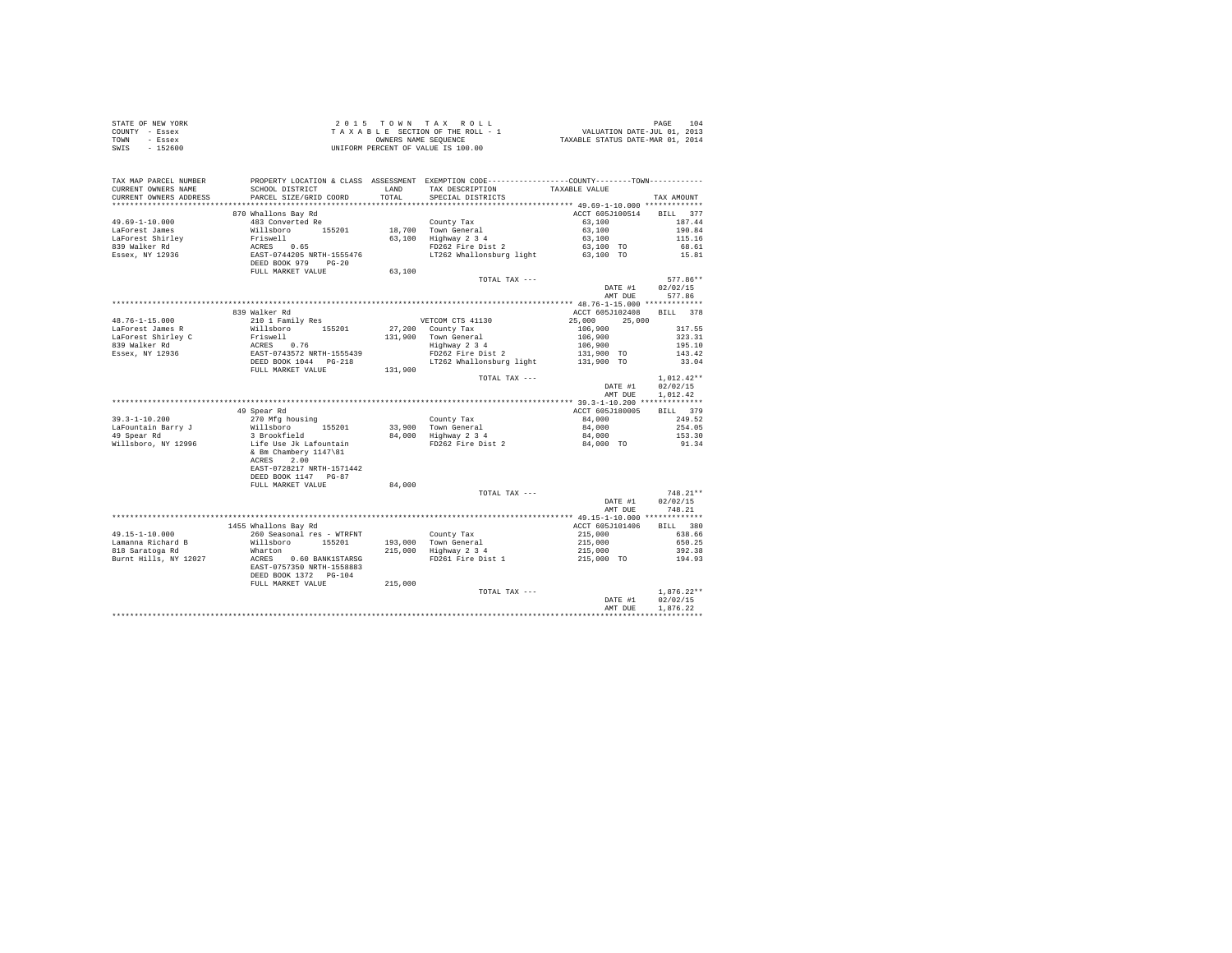| STATE OF NEW YORK                                                                                                                                                                                                                                                                                                                                                                                       |                                                                                                                                                           |        |               |                                                                                                                                |                                  |
|---------------------------------------------------------------------------------------------------------------------------------------------------------------------------------------------------------------------------------------------------------------------------------------------------------------------------------------------------------------------------------------------------------|-----------------------------------------------------------------------------------------------------------------------------------------------------------|--------|---------------|--------------------------------------------------------------------------------------------------------------------------------|----------------------------------|
| COUNTY - Essex                                                                                                                                                                                                                                                                                                                                                                                          |                                                                                                                                                           |        |               |                                                                                                                                |                                  |
| TOWN - Essex                                                                                                                                                                                                                                                                                                                                                                                            |                                                                                                                                                           |        |               |                                                                                                                                |                                  |
| SWIS - 152600                                                                                                                                                                                                                                                                                                                                                                                           | 2015 TOWN TAX ROLL<br>TAXABLE SECTION OF THE ROLL - 1<br>ONNERS NAME SEQUENCE<br>UNIFORM PERCENT OF VALUE IS 100.00<br>UNIFORM PERCENT OF VALUE IS 100.00 |        |               |                                                                                                                                |                                  |
|                                                                                                                                                                                                                                                                                                                                                                                                         |                                                                                                                                                           |        |               |                                                                                                                                |                                  |
|                                                                                                                                                                                                                                                                                                                                                                                                         |                                                                                                                                                           |        |               |                                                                                                                                |                                  |
|                                                                                                                                                                                                                                                                                                                                                                                                         |                                                                                                                                                           |        |               |                                                                                                                                |                                  |
|                                                                                                                                                                                                                                                                                                                                                                                                         |                                                                                                                                                           |        |               |                                                                                                                                |                                  |
|                                                                                                                                                                                                                                                                                                                                                                                                         |                                                                                                                                                           |        |               |                                                                                                                                |                                  |
|                                                                                                                                                                                                                                                                                                                                                                                                         |                                                                                                                                                           |        |               |                                                                                                                                |                                  |
|                                                                                                                                                                                                                                                                                                                                                                                                         |                                                                                                                                                           |        |               |                                                                                                                                |                                  |
|                                                                                                                                                                                                                                                                                                                                                                                                         | 870 Whallons Bay Rd                                                                                                                                       |        |               | ACCT 605J100514 BILL 377                                                                                                       |                                  |
|                                                                                                                                                                                                                                                                                                                                                                                                         |                                                                                                                                                           |        |               | $\begin{array}{cccc} 63\,, 100 & & & & & 187\,.44 \\ 63\,, 100 & & & & & 190\,.84 \\ 63\,, 100 & & & & & 115\,.16 \end{array}$ |                                  |
|                                                                                                                                                                                                                                                                                                                                                                                                         |                                                                                                                                                           |        |               |                                                                                                                                |                                  |
|                                                                                                                                                                                                                                                                                                                                                                                                         |                                                                                                                                                           |        |               |                                                                                                                                |                                  |
|                                                                                                                                                                                                                                                                                                                                                                                                         |                                                                                                                                                           |        |               |                                                                                                                                | 68.61                            |
|                                                                                                                                                                                                                                                                                                                                                                                                         |                                                                                                                                                           |        |               |                                                                                                                                | 15.81                            |
|                                                                                                                                                                                                                                                                                                                                                                                                         |                                                                                                                                                           |        |               |                                                                                                                                |                                  |
|                                                                                                                                                                                                                                                                                                                                                                                                         |                                                                                                                                                           |        |               |                                                                                                                                |                                  |
|                                                                                                                                                                                                                                                                                                                                                                                                         |                                                                                                                                                           |        |               |                                                                                                                                | $577.86**$                       |
|                                                                                                                                                                                                                                                                                                                                                                                                         |                                                                                                                                                           |        | TOTAL TAX --- |                                                                                                                                |                                  |
|                                                                                                                                                                                                                                                                                                                                                                                                         |                                                                                                                                                           |        |               |                                                                                                                                | DATE #1 02/02/15                 |
|                                                                                                                                                                                                                                                                                                                                                                                                         |                                                                                                                                                           |        |               |                                                                                                                                | AMT DUE 577.86                   |
|                                                                                                                                                                                                                                                                                                                                                                                                         |                                                                                                                                                           |        |               |                                                                                                                                |                                  |
|                                                                                                                                                                                                                                                                                                                                                                                                         | 839 Walker Rd                                                                                                                                             |        |               | ACCT 605J102408 BILL 378                                                                                                       |                                  |
|                                                                                                                                                                                                                                                                                                                                                                                                         |                                                                                                                                                           |        |               |                                                                                                                                |                                  |
|                                                                                                                                                                                                                                                                                                                                                                                                         |                                                                                                                                                           |        |               |                                                                                                                                |                                  |
|                                                                                                                                                                                                                                                                                                                                                                                                         |                                                                                                                                                           |        |               |                                                                                                                                |                                  |
|                                                                                                                                                                                                                                                                                                                                                                                                         |                                                                                                                                                           |        |               |                                                                                                                                |                                  |
|                                                                                                                                                                                                                                                                                                                                                                                                         |                                                                                                                                                           |        |               |                                                                                                                                |                                  |
|                                                                                                                                                                                                                                                                                                                                                                                                         |                                                                                                                                                           |        |               |                                                                                                                                |                                  |
| $\begin{tabular}{l c c c c c} \multicolumn{3}{c c c c} \multicolumn{3}{c c c} \multicolumn{3}{c c c} \multicolumn{3}{c c c} \multicolumn{3}{c c c} \multicolumn{3}{c c c} \multicolumn{3}{c c c} \multicolumn{3}{c c c} \multicolumn{3}{c c c} \multicolumn{3}{c c c} \multicolumn{3}{c c c} \multicolumn{3}{c c c} \multicolumn{3}{c c c} \multicolumn{3}{c c c} \multicolumn{3}{c c c} \multicolumn{$ |                                                                                                                                                           |        |               |                                                                                                                                |                                  |
|                                                                                                                                                                                                                                                                                                                                                                                                         |                                                                                                                                                           |        | TOTAL TAX --- |                                                                                                                                | $1,012.42**$                     |
|                                                                                                                                                                                                                                                                                                                                                                                                         |                                                                                                                                                           |        |               |                                                                                                                                | DATE #1 02/02/15                 |
|                                                                                                                                                                                                                                                                                                                                                                                                         |                                                                                                                                                           |        |               |                                                                                                                                |                                  |
|                                                                                                                                                                                                                                                                                                                                                                                                         |                                                                                                                                                           |        |               |                                                                                                                                |                                  |
|                                                                                                                                                                                                                                                                                                                                                                                                         |                                                                                                                                                           |        |               |                                                                                                                                | AMT DUE 1.012.42                 |
|                                                                                                                                                                                                                                                                                                                                                                                                         |                                                                                                                                                           |        |               |                                                                                                                                |                                  |
|                                                                                                                                                                                                                                                                                                                                                                                                         | 49 Spear Rd                                                                                                                                               |        |               | ACCT 605J180005                                                                                                                | BILL 379                         |
|                                                                                                                                                                                                                                                                                                                                                                                                         |                                                                                                                                                           |        |               |                                                                                                                                |                                  |
|                                                                                                                                                                                                                                                                                                                                                                                                         |                                                                                                                                                           |        |               |                                                                                                                                |                                  |
|                                                                                                                                                                                                                                                                                                                                                                                                         |                                                                                                                                                           |        |               |                                                                                                                                |                                  |
|                                                                                                                                                                                                                                                                                                                                                                                                         |                                                                                                                                                           |        |               |                                                                                                                                |                                  |
|                                                                                                                                                                                                                                                                                                                                                                                                         |                                                                                                                                                           |        |               |                                                                                                                                |                                  |
|                                                                                                                                                                                                                                                                                                                                                                                                         | ACRES 2.00                                                                                                                                                |        |               |                                                                                                                                |                                  |
|                                                                                                                                                                                                                                                                                                                                                                                                         | EAST-0728217 NRTH-1571442                                                                                                                                 |        |               |                                                                                                                                |                                  |
|                                                                                                                                                                                                                                                                                                                                                                                                         | DEED BOOK 1147 PG-87                                                                                                                                      |        |               |                                                                                                                                |                                  |
|                                                                                                                                                                                                                                                                                                                                                                                                         | FULL MARKET VALUE                                                                                                                                         | 84,000 |               |                                                                                                                                |                                  |
|                                                                                                                                                                                                                                                                                                                                                                                                         |                                                                                                                                                           |        |               |                                                                                                                                | $748.21**$                       |
|                                                                                                                                                                                                                                                                                                                                                                                                         |                                                                                                                                                           |        | TOTAL TAX --- |                                                                                                                                | $748.21**$<br>DATE #1 $02/02/15$ |
|                                                                                                                                                                                                                                                                                                                                                                                                         |                                                                                                                                                           |        |               |                                                                                                                                | AMT DUE 748.21                   |
|                                                                                                                                                                                                                                                                                                                                                                                                         |                                                                                                                                                           |        |               |                                                                                                                                |                                  |
|                                                                                                                                                                                                                                                                                                                                                                                                         |                                                                                                                                                           |        |               |                                                                                                                                |                                  |
|                                                                                                                                                                                                                                                                                                                                                                                                         |                                                                                                                                                           |        |               |                                                                                                                                |                                  |
|                                                                                                                                                                                                                                                                                                                                                                                                         |                                                                                                                                                           |        |               |                                                                                                                                |                                  |
|                                                                                                                                                                                                                                                                                                                                                                                                         |                                                                                                                                                           |        |               |                                                                                                                                |                                  |
|                                                                                                                                                                                                                                                                                                                                                                                                         |                                                                                                                                                           |        |               |                                                                                                                                |                                  |
|                                                                                                                                                                                                                                                                                                                                                                                                         |                                                                                                                                                           |        |               |                                                                                                                                |                                  |
|                                                                                                                                                                                                                                                                                                                                                                                                         |                                                                                                                                                           |        |               |                                                                                                                                |                                  |
|                                                                                                                                                                                                                                                                                                                                                                                                         |                                                                                                                                                           |        |               |                                                                                                                                |                                  |
|                                                                                                                                                                                                                                                                                                                                                                                                         | FULL MARKET VALUE 215,000                                                                                                                                 |        |               |                                                                                                                                |                                  |
|                                                                                                                                                                                                                                                                                                                                                                                                         |                                                                                                                                                           |        | TOTAL TAX --- |                                                                                                                                | $1.876.22**$                     |
|                                                                                                                                                                                                                                                                                                                                                                                                         |                                                                                                                                                           |        |               |                                                                                                                                | DATE #1 02/02/15                 |
|                                                                                                                                                                                                                                                                                                                                                                                                         |                                                                                                                                                           |        |               | AMT DUE                                                                                                                        | 1,876.22<br>************         |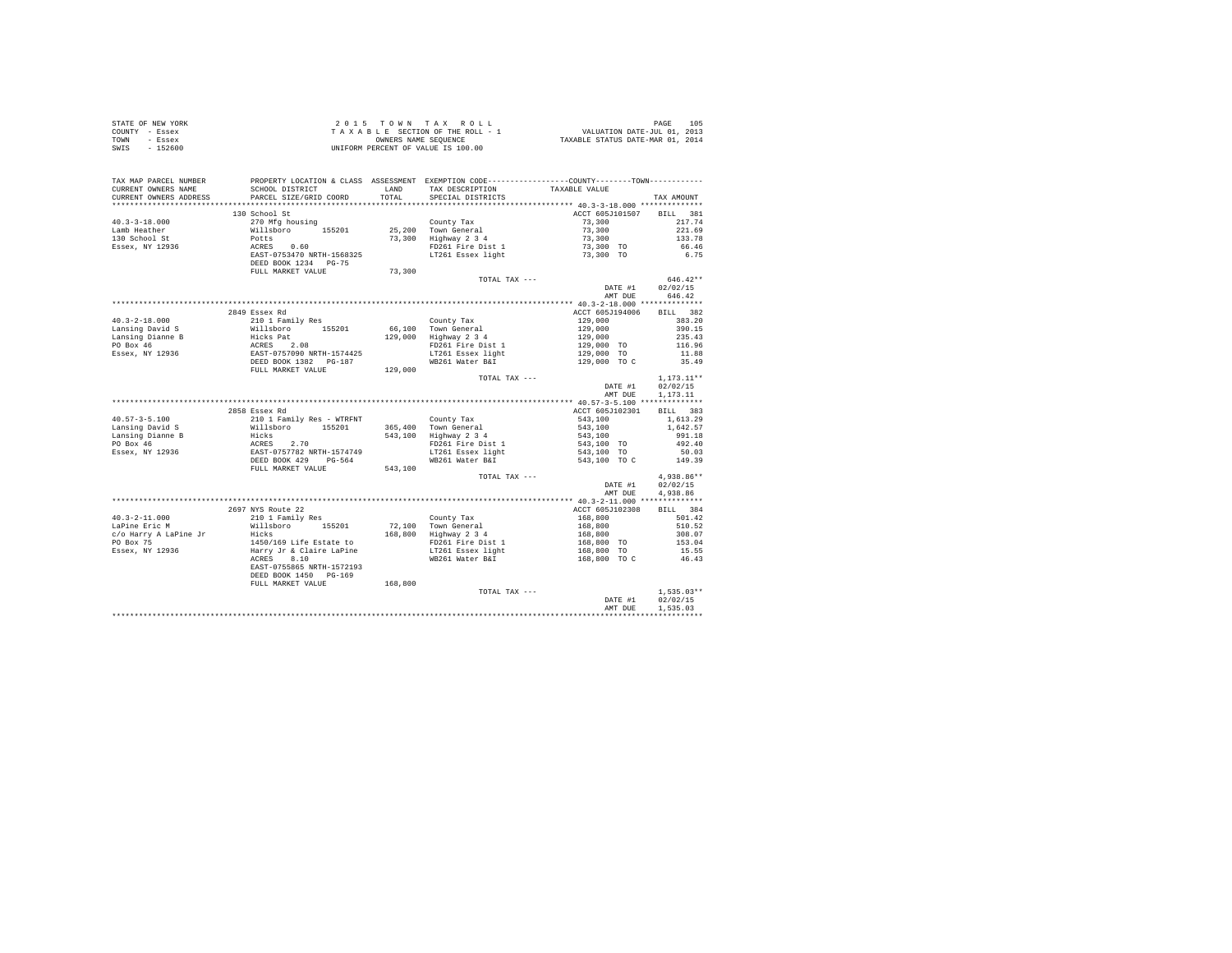|                | STATE OF NEW YORK | 2015 TOWN TAX ROLL                 | 105<br>PAGE                      |
|----------------|-------------------|------------------------------------|----------------------------------|
| COUNTY - Essex |                   | TAXABLE SECTION OF THE ROLL - 1    | VALUATION DATE-JUL 01, 2013      |
| TOWN           | - Essex           | OWNERS NAME SEOUENCE               | TAXABLE STATUS DATE-MAR 01, 2014 |
| SWIS           | $-152600$         | UNIFORM PERCENT OF VALUE IS 100.00 |                                  |

| TAX MAP PARCEL NUMBER<br>CURRENT OWNERS NAME     | SCHOOL DISTRICT                                                                                                                                                      | LAND    | PROPERTY LOCATION & CLASS ASSESSMENT EXEMPTION CODE---------------COUNTY-------TOWN---------<br>TAX DESCRIPTION | TAXABLE VALUE                                                                                                                                                                                                                                                                                        |                      |
|--------------------------------------------------|----------------------------------------------------------------------------------------------------------------------------------------------------------------------|---------|-----------------------------------------------------------------------------------------------------------------|------------------------------------------------------------------------------------------------------------------------------------------------------------------------------------------------------------------------------------------------------------------------------------------------------|----------------------|
| CURRENT OWNERS ADDRESS                           | PARCEL SIZE/GRID COORD                                                                                                                                               | TOTAL   | SPECIAL DISTRICTS                                                                                               |                                                                                                                                                                                                                                                                                                      | TAX AMOUNT           |
| ***********************                          |                                                                                                                                                                      |         |                                                                                                                 |                                                                                                                                                                                                                                                                                                      |                      |
|                                                  | 130 School St                                                                                                                                                        |         |                                                                                                                 | ACCT 605J101507 BILL 381                                                                                                                                                                                                                                                                             |                      |
| $40.3 - 3 - 18.000$                              | 270 Mfa housina                                                                                                                                                      |         | County Tax                                                                                                      | 73,300                                                                                                                                                                                                                                                                                               | 217.74               |
| Lamb Heather                                     |                                                                                                                                                                      |         | 25,200 Town General                                                                                             | 73,300                                                                                                                                                                                                                                                                                               | 221.69               |
| 130 School St                                    |                                                                                                                                                                      |         | 73,300 Highway 2 3 4                                                                                            | 73,300                                                                                                                                                                                                                                                                                               | 133.78               |
| Essex, NY 12936                                  |                                                                                                                                                                      |         | Highway $\frac{2}{3}$ $\frac{3}{4}$<br>FD261 Fire Dist 1                                                        | $73,300$ TO<br>$73,300$ TO                                                                                                                                                                                                                                                                           | 66.46                |
|                                                  |                                                                                                                                                                      |         | LT261 Essex light                                                                                               |                                                                                                                                                                                                                                                                                                      | 6.75                 |
|                                                  | 270 Mfg housing<br>Willsboro<br>Dotts<br>ACRES 0.60<br>EAST-0753470 NRTH-1568325<br>DEED BOOK 1234 PG-75                                                             |         |                                                                                                                 |                                                                                                                                                                                                                                                                                                      |                      |
|                                                  | FULL MARKET VALUE                                                                                                                                                    | 73,300  |                                                                                                                 |                                                                                                                                                                                                                                                                                                      |                      |
|                                                  |                                                                                                                                                                      |         | TOTAL TAX ---                                                                                                   |                                                                                                                                                                                                                                                                                                      | 646.42**             |
|                                                  |                                                                                                                                                                      |         |                                                                                                                 | DATE #1                                                                                                                                                                                                                                                                                              | 02/02/15             |
|                                                  |                                                                                                                                                                      |         |                                                                                                                 | AMT DUE                                                                                                                                                                                                                                                                                              | 646.42               |
|                                                  |                                                                                                                                                                      |         |                                                                                                                 |                                                                                                                                                                                                                                                                                                      |                      |
|                                                  | 2849 Essex Rd                                                                                                                                                        |         |                                                                                                                 | ACCT 605J194006                                                                                                                                                                                                                                                                                      | BILL 382             |
|                                                  |                                                                                                                                                                      |         | County Tax                                                                                                      |                                                                                                                                                                                                                                                                                                      |                      |
|                                                  |                                                                                                                                                                      |         | 66,100 Town General<br>129,000 Highway 2 3 4                                                                    |                                                                                                                                                                                                                                                                                                      |                      |
|                                                  |                                                                                                                                                                      |         |                                                                                                                 |                                                                                                                                                                                                                                                                                                      |                      |
|                                                  |                                                                                                                                                                      |         | FD261 Fire Dist 1<br>FD261 File Dipp.<br>LT261 Essex light                                                      |                                                                                                                                                                                                                                                                                                      |                      |
|                                                  |                                                                                                                                                                      |         |                                                                                                                 |                                                                                                                                                                                                                                                                                                      |                      |
|                                                  |                                                                                                                                                                      |         |                                                                                                                 |                                                                                                                                                                                                                                                                                                      |                      |
|                                                  | FULL MARKET VALUE 129,000                                                                                                                                            |         |                                                                                                                 |                                                                                                                                                                                                                                                                                                      |                      |
|                                                  |                                                                                                                                                                      |         | TOTAL TAX ---                                                                                                   |                                                                                                                                                                                                                                                                                                      | $1,173.11**$         |
|                                                  |                                                                                                                                                                      |         |                                                                                                                 | DATE #1                                                                                                                                                                                                                                                                                              | 02/02/15             |
|                                                  |                                                                                                                                                                      |         |                                                                                                                 | AMT DUE                                                                                                                                                                                                                                                                                              | 1,173.11             |
|                                                  |                                                                                                                                                                      |         |                                                                                                                 |                                                                                                                                                                                                                                                                                                      |                      |
|                                                  | 2858 Essex Rd                                                                                                                                                        |         |                                                                                                                 | ACCT 605J102301                                                                                                                                                                                                                                                                                      | BILL 383             |
| $40.57 - 3 - 5.100$                              |                                                                                                                                                                      |         | County Tax<br>365,400 Town General                                                                              |                                                                                                                                                                                                                                                                                                      | 1,613.29             |
| Lansing David S                                  |                                                                                                                                                                      |         |                                                                                                                 | $543,100$<br>$543,100$<br>$543,100$<br>$543,100$ TO<br>$543,100$ TO                                                                                                                                                                                                                                  | 1,642.57             |
| Lansing Dianne B<br>PO Box 46<br>Essex, NY 12936 |                                                                                                                                                                      |         | 543,100 Highway 2 3 4                                                                                           |                                                                                                                                                                                                                                                                                                      | 991.18               |
|                                                  |                                                                                                                                                                      |         | FD261 Fire Dist 1                                                                                               |                                                                                                                                                                                                                                                                                                      | 492.40               |
|                                                  |                                                                                                                                                                      |         | LT261 Essex light                                                                                               |                                                                                                                                                                                                                                                                                                      | 50.03                |
|                                                  | %3368846 Au<br>210 1 Family Res - WTRFNT<br>Willsboro 155201 365,400<br>Hicks 2.70<br>EAST-0757782 NRTH-1574749<br>DEED BOOK 429 PG-564<br>FULL MARKET VALUE 543,100 |         | WB261 Water B&I                                                                                                 | 543,100 TO C 149.39                                                                                                                                                                                                                                                                                  |                      |
|                                                  |                                                                                                                                                                      |         |                                                                                                                 |                                                                                                                                                                                                                                                                                                      |                      |
|                                                  |                                                                                                                                                                      |         | TOTAL TAX ---                                                                                                   |                                                                                                                                                                                                                                                                                                      | $4,938.86**$         |
|                                                  |                                                                                                                                                                      |         |                                                                                                                 | DATE #1<br>AMT DUE                                                                                                                                                                                                                                                                                   | 02/02/15<br>4,938.86 |
|                                                  |                                                                                                                                                                      |         |                                                                                                                 |                                                                                                                                                                                                                                                                                                      |                      |
|                                                  | 2697 NYS Route 22                                                                                                                                                    |         |                                                                                                                 | ACCT 605J102308                                                                                                                                                                                                                                                                                      | BILL 384             |
| $40.3 - 2 - 11.000$                              |                                                                                                                                                                      |         | County Tax                                                                                                      |                                                                                                                                                                                                                                                                                                      | 501.42               |
| LaPine Eric M                                    |                                                                                                                                                                      |         |                                                                                                                 |                                                                                                                                                                                                                                                                                                      | 510.52               |
| c/o Harry A LaPine Jr                            |                                                                                                                                                                      |         | 72,100 Town General<br>168,800 Highway 2 3 4                                                                    |                                                                                                                                                                                                                                                                                                      | 308.07               |
| PO Box 75                                        |                                                                                                                                                                      |         | FD261 Fire Dist 1                                                                                               |                                                                                                                                                                                                                                                                                                      | 153.04               |
| Essex, NY 12936                                  | 2000 Autor 2010<br>210 1 Family Res<br>Willaboro 155201<br>Hicks<br>1450/169 Life Estate to<br>Harry Jr & Claire LaPine<br>ACRES 8.10                                |         | LT261 Essex light                                                                                               | $\begin{array}{r} \text{168,800} \\ \text{168,800} \\ \text{168,800} \\ \text{168,800} \\ \text{168,800} \text{ \textcolor{red}{\text{TO}}} \\ \text{168,800} \text{ \textcolor{red}{\text{TO}}} \\ \text{168,800} \text{ \textcolor{red}{\text{TO}}} \text{ \textcolor{red}{\text{C}}} \end{array}$ | 15.55                |
|                                                  |                                                                                                                                                                      |         | WB261 Water B&I                                                                                                 |                                                                                                                                                                                                                                                                                                      | 46.43                |
|                                                  | EAST-0755865 NRTH-1572193                                                                                                                                            |         |                                                                                                                 |                                                                                                                                                                                                                                                                                                      |                      |
|                                                  | DEED BOOK 1450 PG-169                                                                                                                                                |         |                                                                                                                 |                                                                                                                                                                                                                                                                                                      |                      |
|                                                  | FULL MARKET VALUE                                                                                                                                                    | 168,800 |                                                                                                                 |                                                                                                                                                                                                                                                                                                      |                      |
|                                                  |                                                                                                                                                                      |         | TOTAL TAX ---                                                                                                   |                                                                                                                                                                                                                                                                                                      | $1,535.03**$         |
|                                                  |                                                                                                                                                                      |         |                                                                                                                 | DATE #1                                                                                                                                                                                                                                                                                              | 02/02/15             |
|                                                  |                                                                                                                                                                      |         |                                                                                                                 | AMT DUE                                                                                                                                                                                                                                                                                              | 1,535.03             |
|                                                  |                                                                                                                                                                      |         |                                                                                                                 |                                                                                                                                                                                                                                                                                                      |                      |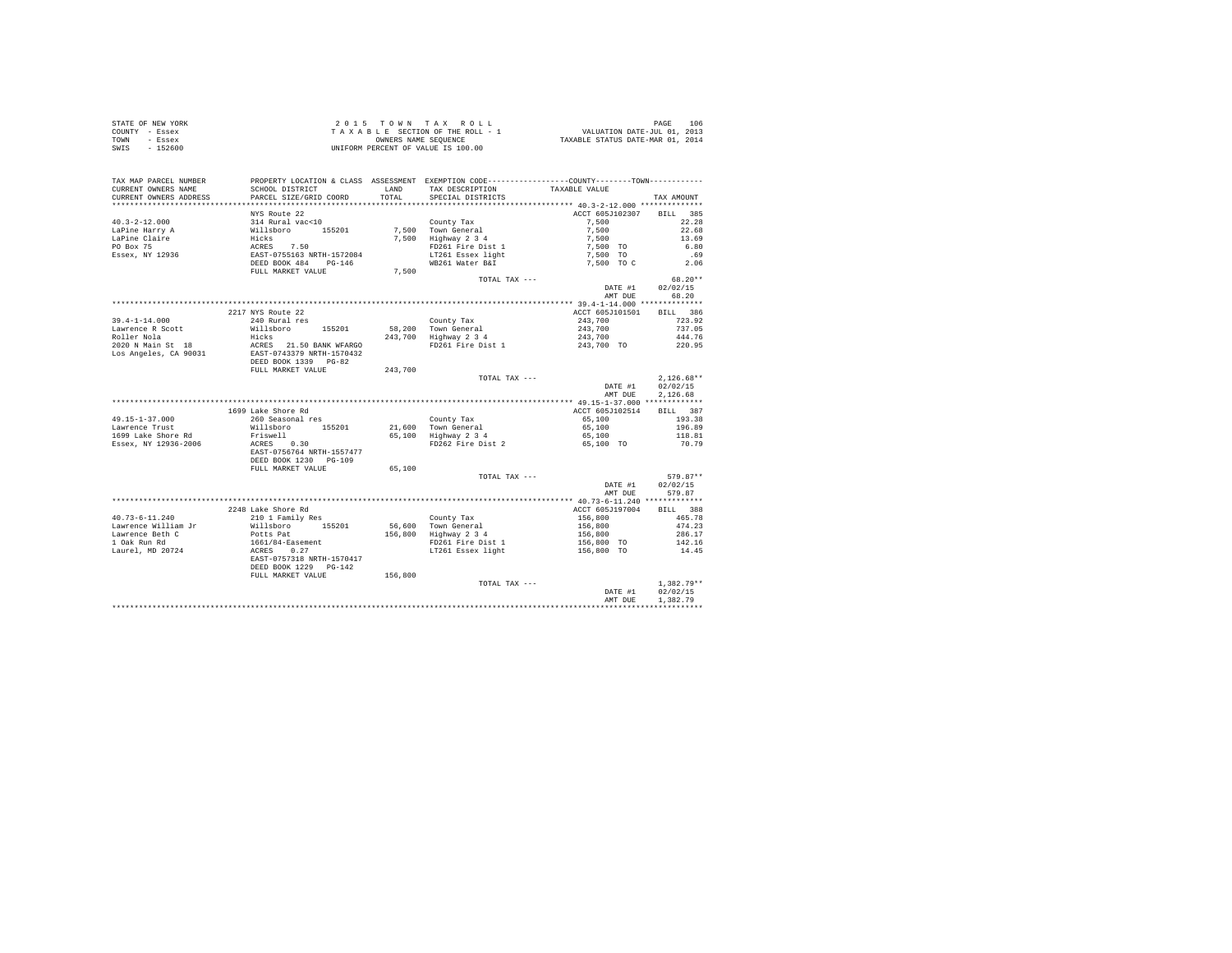| STATE OF NEW YORK | 2015 TOWN TAX ROLL                 | 106<br>PAGE                      |
|-------------------|------------------------------------|----------------------------------|
| COUNTY - Essex    | TAXABLE SECTION OF THE ROLL - 1    | VALUATION DATE-JUL 01, 2013      |
| TOWN<br>- Essex   | OWNERS NAME SEOUENCE               | TAXABLE STATUS DATE-MAR 01, 2014 |
| $-152600$<br>SWIS | UNIFORM PERCENT OF VALUE IS 100.00 |                                  |

| .<br>**************************** 40.3-2-12.000 *********<br>.<br>NYS Route 22<br>ACCT 605J102307<br><b>BILL</b><br>385<br>$40.3 - 2 - 12.000$<br>314 Rural vac<10<br>7.500<br>22.28<br>County Tax<br>7,500 Town General<br>7,500<br>22.68<br>LaPine Harry A<br>Willsboro<br>155201<br>LaPine Claire<br>Hicks<br>7.500<br>Highway 2 3 4<br>7,500<br>13.69<br>PO Box 75<br>ACRES 7.50<br>EAST-0755163 NRTH-1572084<br>FD261 Fire Dist 1<br>7.500 TO<br>6.80<br>LT261 Essex light<br>Essex, NY 12936<br>7,500 TO<br>.69<br>DEED BOOK 484<br>$PG-146$<br>WB261 Water B&I<br>7,500 TO C<br>2.06<br>FULL MARKET VALUE<br>7,500<br>68.20**<br>TOTAL TAX ---<br>02/02/15<br>DATE #1<br>68.20<br>AMT DUE<br>2217 NYS Route 22<br>ACCT 605J101501<br>BILL 386<br>$39.4 - 1 - 14.000$<br>240 Rural res<br>243,700<br>723.92<br>County Tax<br>58,200<br>Town General<br>737.05<br>Lawrence R Scott<br>Willsboro<br>155201<br>243,700<br>Roller Nola<br>Hicks<br>243,700 Highway 2 3 4<br>243,700<br>444.76<br>2020 N Main St 18<br>ACRES 21.50 BANK WFARGO<br>FD261 Fire Dist 1<br>243,700 TO<br>220.95<br>Los Angeles, CA 90031<br>EAST-0743379 NRTH-1570432<br>DEED BOOK 1339 PG-82<br>FULL MARKET VALUE<br>243,700<br>$2.126.68**$<br>TOTAL TAX ---<br>DATE #1<br>02/02/15<br>2.126.68<br>AMT DUE<br>1699 Lake Shore Rd<br>ACCT 605J102514<br>BILL 387<br>193.38<br>260 Seasonal res<br>County Tax<br>65,100<br>Willsboro<br>155201<br>21,600 Town General<br>65,100<br>196.89<br>Friswell<br>65,100 Highway 2 3 4<br>65,100<br>118.81<br>ACRES 0.30<br>FD262 Fire Dist 2<br>70.79<br>65,100 TO<br>EAST-0756764 NRTH-1557477<br>DEED BOOK 1230 PG-109<br>FULL MARKET VALUE<br>65,100<br>$579.87**$<br>TOTAL TAX ---<br>02/02/15<br>DATE #1<br>579.87<br>AMT DUE<br>2248 Lake Shore Rd<br>ACCT 605J197004<br>BILL 388<br>$40.73 - 6 - 11.240$<br>210 1 Family Res<br>156,800<br>465.78<br>County Tax<br>Lawrence William Jr<br>56,600<br>Town General<br>Willsboro<br>155201<br>156,800<br>474.23<br>156,800<br>Lawrence Beth C<br>Highway 2 3 4<br>156,800<br>286.17<br>Potts Pat<br>1 Oak Run Rd<br>1661/84-Easement<br>FD261 Fire Dist 1<br>156,800 TO<br>142.16<br>Laurel, MD 20724<br>0.27<br>14.45<br>ACRES<br>LT261 Essex light<br>156,800 TO<br>EAST-0757318 NRTH-1570417<br>DEED BOOK 1229 PG-142<br>FULL MARKET VALUE<br>156,800<br>$1,382.79**$<br>TOTAL TAX ---<br>02/02/15<br>DATE #1<br>1,382.79<br>AMT DUE | TAX MAP PARCEL NUMBER<br>CURRENT OWNERS NAME | SCHOOL DISTRICT        | LAND  | TAX DESCRIPTION   | PROPERTY LOCATION & CLASS ASSESSMENT EXEMPTION CODE----------------COUNTY-------TOWN----------<br>TAXABLE VALUE |            |
|------------------------------------------------------------------------------------------------------------------------------------------------------------------------------------------------------------------------------------------------------------------------------------------------------------------------------------------------------------------------------------------------------------------------------------------------------------------------------------------------------------------------------------------------------------------------------------------------------------------------------------------------------------------------------------------------------------------------------------------------------------------------------------------------------------------------------------------------------------------------------------------------------------------------------------------------------------------------------------------------------------------------------------------------------------------------------------------------------------------------------------------------------------------------------------------------------------------------------------------------------------------------------------------------------------------------------------------------------------------------------------------------------------------------------------------------------------------------------------------------------------------------------------------------------------------------------------------------------------------------------------------------------------------------------------------------------------------------------------------------------------------------------------------------------------------------------------------------------------------------------------------------------------------------------------------------------------------------------------------------------------------------------------------------------------------------------------------------------------------------------------------------------------------------------------------------------------------------------------------------------------------------------------------------------------------------------------------------------------------------------------------------------------------|----------------------------------------------|------------------------|-------|-------------------|-----------------------------------------------------------------------------------------------------------------|------------|
|                                                                                                                                                                                                                                                                                                                                                                                                                                                                                                                                                                                                                                                                                                                                                                                                                                                                                                                                                                                                                                                                                                                                                                                                                                                                                                                                                                                                                                                                                                                                                                                                                                                                                                                                                                                                                                                                                                                                                                                                                                                                                                                                                                                                                                                                                                                                                                                                                  | CURRENT OWNERS ADDRESS                       | PARCEL SIZE/GRID COORD | TOTAL | SPECIAL DISTRICTS |                                                                                                                 | TAX AMOUNT |
|                                                                                                                                                                                                                                                                                                                                                                                                                                                                                                                                                                                                                                                                                                                                                                                                                                                                                                                                                                                                                                                                                                                                                                                                                                                                                                                                                                                                                                                                                                                                                                                                                                                                                                                                                                                                                                                                                                                                                                                                                                                                                                                                                                                                                                                                                                                                                                                                                  |                                              |                        |       |                   |                                                                                                                 |            |
|                                                                                                                                                                                                                                                                                                                                                                                                                                                                                                                                                                                                                                                                                                                                                                                                                                                                                                                                                                                                                                                                                                                                                                                                                                                                                                                                                                                                                                                                                                                                                                                                                                                                                                                                                                                                                                                                                                                                                                                                                                                                                                                                                                                                                                                                                                                                                                                                                  |                                              |                        |       |                   |                                                                                                                 |            |
|                                                                                                                                                                                                                                                                                                                                                                                                                                                                                                                                                                                                                                                                                                                                                                                                                                                                                                                                                                                                                                                                                                                                                                                                                                                                                                                                                                                                                                                                                                                                                                                                                                                                                                                                                                                                                                                                                                                                                                                                                                                                                                                                                                                                                                                                                                                                                                                                                  |                                              |                        |       |                   |                                                                                                                 |            |
|                                                                                                                                                                                                                                                                                                                                                                                                                                                                                                                                                                                                                                                                                                                                                                                                                                                                                                                                                                                                                                                                                                                                                                                                                                                                                                                                                                                                                                                                                                                                                                                                                                                                                                                                                                                                                                                                                                                                                                                                                                                                                                                                                                                                                                                                                                                                                                                                                  |                                              |                        |       |                   |                                                                                                                 |            |
|                                                                                                                                                                                                                                                                                                                                                                                                                                                                                                                                                                                                                                                                                                                                                                                                                                                                                                                                                                                                                                                                                                                                                                                                                                                                                                                                                                                                                                                                                                                                                                                                                                                                                                                                                                                                                                                                                                                                                                                                                                                                                                                                                                                                                                                                                                                                                                                                                  |                                              |                        |       |                   |                                                                                                                 |            |
|                                                                                                                                                                                                                                                                                                                                                                                                                                                                                                                                                                                                                                                                                                                                                                                                                                                                                                                                                                                                                                                                                                                                                                                                                                                                                                                                                                                                                                                                                                                                                                                                                                                                                                                                                                                                                                                                                                                                                                                                                                                                                                                                                                                                                                                                                                                                                                                                                  |                                              |                        |       |                   |                                                                                                                 |            |
|                                                                                                                                                                                                                                                                                                                                                                                                                                                                                                                                                                                                                                                                                                                                                                                                                                                                                                                                                                                                                                                                                                                                                                                                                                                                                                                                                                                                                                                                                                                                                                                                                                                                                                                                                                                                                                                                                                                                                                                                                                                                                                                                                                                                                                                                                                                                                                                                                  |                                              |                        |       |                   |                                                                                                                 |            |
|                                                                                                                                                                                                                                                                                                                                                                                                                                                                                                                                                                                                                                                                                                                                                                                                                                                                                                                                                                                                                                                                                                                                                                                                                                                                                                                                                                                                                                                                                                                                                                                                                                                                                                                                                                                                                                                                                                                                                                                                                                                                                                                                                                                                                                                                                                                                                                                                                  |                                              |                        |       |                   |                                                                                                                 |            |
|                                                                                                                                                                                                                                                                                                                                                                                                                                                                                                                                                                                                                                                                                                                                                                                                                                                                                                                                                                                                                                                                                                                                                                                                                                                                                                                                                                                                                                                                                                                                                                                                                                                                                                                                                                                                                                                                                                                                                                                                                                                                                                                                                                                                                                                                                                                                                                                                                  |                                              |                        |       |                   |                                                                                                                 |            |
|                                                                                                                                                                                                                                                                                                                                                                                                                                                                                                                                                                                                                                                                                                                                                                                                                                                                                                                                                                                                                                                                                                                                                                                                                                                                                                                                                                                                                                                                                                                                                                                                                                                                                                                                                                                                                                                                                                                                                                                                                                                                                                                                                                                                                                                                                                                                                                                                                  |                                              |                        |       |                   |                                                                                                                 |            |
|                                                                                                                                                                                                                                                                                                                                                                                                                                                                                                                                                                                                                                                                                                                                                                                                                                                                                                                                                                                                                                                                                                                                                                                                                                                                                                                                                                                                                                                                                                                                                                                                                                                                                                                                                                                                                                                                                                                                                                                                                                                                                                                                                                                                                                                                                                                                                                                                                  |                                              |                        |       |                   |                                                                                                                 |            |
|                                                                                                                                                                                                                                                                                                                                                                                                                                                                                                                                                                                                                                                                                                                                                                                                                                                                                                                                                                                                                                                                                                                                                                                                                                                                                                                                                                                                                                                                                                                                                                                                                                                                                                                                                                                                                                                                                                                                                                                                                                                                                                                                                                                                                                                                                                                                                                                                                  |                                              |                        |       |                   |                                                                                                                 |            |
|                                                                                                                                                                                                                                                                                                                                                                                                                                                                                                                                                                                                                                                                                                                                                                                                                                                                                                                                                                                                                                                                                                                                                                                                                                                                                                                                                                                                                                                                                                                                                                                                                                                                                                                                                                                                                                                                                                                                                                                                                                                                                                                                                                                                                                                                                                                                                                                                                  |                                              |                        |       |                   |                                                                                                                 |            |
|                                                                                                                                                                                                                                                                                                                                                                                                                                                                                                                                                                                                                                                                                                                                                                                                                                                                                                                                                                                                                                                                                                                                                                                                                                                                                                                                                                                                                                                                                                                                                                                                                                                                                                                                                                                                                                                                                                                                                                                                                                                                                                                                                                                                                                                                                                                                                                                                                  |                                              |                        |       |                   |                                                                                                                 |            |
|                                                                                                                                                                                                                                                                                                                                                                                                                                                                                                                                                                                                                                                                                                                                                                                                                                                                                                                                                                                                                                                                                                                                                                                                                                                                                                                                                                                                                                                                                                                                                                                                                                                                                                                                                                                                                                                                                                                                                                                                                                                                                                                                                                                                                                                                                                                                                                                                                  |                                              |                        |       |                   |                                                                                                                 |            |
|                                                                                                                                                                                                                                                                                                                                                                                                                                                                                                                                                                                                                                                                                                                                                                                                                                                                                                                                                                                                                                                                                                                                                                                                                                                                                                                                                                                                                                                                                                                                                                                                                                                                                                                                                                                                                                                                                                                                                                                                                                                                                                                                                                                                                                                                                                                                                                                                                  |                                              |                        |       |                   |                                                                                                                 |            |
|                                                                                                                                                                                                                                                                                                                                                                                                                                                                                                                                                                                                                                                                                                                                                                                                                                                                                                                                                                                                                                                                                                                                                                                                                                                                                                                                                                                                                                                                                                                                                                                                                                                                                                                                                                                                                                                                                                                                                                                                                                                                                                                                                                                                                                                                                                                                                                                                                  |                                              |                        |       |                   |                                                                                                                 |            |
|                                                                                                                                                                                                                                                                                                                                                                                                                                                                                                                                                                                                                                                                                                                                                                                                                                                                                                                                                                                                                                                                                                                                                                                                                                                                                                                                                                                                                                                                                                                                                                                                                                                                                                                                                                                                                                                                                                                                                                                                                                                                                                                                                                                                                                                                                                                                                                                                                  |                                              |                        |       |                   |                                                                                                                 |            |
|                                                                                                                                                                                                                                                                                                                                                                                                                                                                                                                                                                                                                                                                                                                                                                                                                                                                                                                                                                                                                                                                                                                                                                                                                                                                                                                                                                                                                                                                                                                                                                                                                                                                                                                                                                                                                                                                                                                                                                                                                                                                                                                                                                                                                                                                                                                                                                                                                  |                                              |                        |       |                   |                                                                                                                 |            |
|                                                                                                                                                                                                                                                                                                                                                                                                                                                                                                                                                                                                                                                                                                                                                                                                                                                                                                                                                                                                                                                                                                                                                                                                                                                                                                                                                                                                                                                                                                                                                                                                                                                                                                                                                                                                                                                                                                                                                                                                                                                                                                                                                                                                                                                                                                                                                                                                                  |                                              |                        |       |                   |                                                                                                                 |            |
|                                                                                                                                                                                                                                                                                                                                                                                                                                                                                                                                                                                                                                                                                                                                                                                                                                                                                                                                                                                                                                                                                                                                                                                                                                                                                                                                                                                                                                                                                                                                                                                                                                                                                                                                                                                                                                                                                                                                                                                                                                                                                                                                                                                                                                                                                                                                                                                                                  |                                              |                        |       |                   |                                                                                                                 |            |
|                                                                                                                                                                                                                                                                                                                                                                                                                                                                                                                                                                                                                                                                                                                                                                                                                                                                                                                                                                                                                                                                                                                                                                                                                                                                                                                                                                                                                                                                                                                                                                                                                                                                                                                                                                                                                                                                                                                                                                                                                                                                                                                                                                                                                                                                                                                                                                                                                  |                                              |                        |       |                   |                                                                                                                 |            |
|                                                                                                                                                                                                                                                                                                                                                                                                                                                                                                                                                                                                                                                                                                                                                                                                                                                                                                                                                                                                                                                                                                                                                                                                                                                                                                                                                                                                                                                                                                                                                                                                                                                                                                                                                                                                                                                                                                                                                                                                                                                                                                                                                                                                                                                                                                                                                                                                                  |                                              |                        |       |                   |                                                                                                                 |            |
|                                                                                                                                                                                                                                                                                                                                                                                                                                                                                                                                                                                                                                                                                                                                                                                                                                                                                                                                                                                                                                                                                                                                                                                                                                                                                                                                                                                                                                                                                                                                                                                                                                                                                                                                                                                                                                                                                                                                                                                                                                                                                                                                                                                                                                                                                                                                                                                                                  |                                              |                        |       |                   |                                                                                                                 |            |
|                                                                                                                                                                                                                                                                                                                                                                                                                                                                                                                                                                                                                                                                                                                                                                                                                                                                                                                                                                                                                                                                                                                                                                                                                                                                                                                                                                                                                                                                                                                                                                                                                                                                                                                                                                                                                                                                                                                                                                                                                                                                                                                                                                                                                                                                                                                                                                                                                  |                                              |                        |       |                   |                                                                                                                 |            |
|                                                                                                                                                                                                                                                                                                                                                                                                                                                                                                                                                                                                                                                                                                                                                                                                                                                                                                                                                                                                                                                                                                                                                                                                                                                                                                                                                                                                                                                                                                                                                                                                                                                                                                                                                                                                                                                                                                                                                                                                                                                                                                                                                                                                                                                                                                                                                                                                                  |                                              |                        |       |                   |                                                                                                                 |            |
|                                                                                                                                                                                                                                                                                                                                                                                                                                                                                                                                                                                                                                                                                                                                                                                                                                                                                                                                                                                                                                                                                                                                                                                                                                                                                                                                                                                                                                                                                                                                                                                                                                                                                                                                                                                                                                                                                                                                                                                                                                                                                                                                                                                                                                                                                                                                                                                                                  | 49.15-1-37.000                               |                        |       |                   |                                                                                                                 |            |
|                                                                                                                                                                                                                                                                                                                                                                                                                                                                                                                                                                                                                                                                                                                                                                                                                                                                                                                                                                                                                                                                                                                                                                                                                                                                                                                                                                                                                                                                                                                                                                                                                                                                                                                                                                                                                                                                                                                                                                                                                                                                                                                                                                                                                                                                                                                                                                                                                  | Lawrence Trust                               |                        |       |                   |                                                                                                                 |            |
|                                                                                                                                                                                                                                                                                                                                                                                                                                                                                                                                                                                                                                                                                                                                                                                                                                                                                                                                                                                                                                                                                                                                                                                                                                                                                                                                                                                                                                                                                                                                                                                                                                                                                                                                                                                                                                                                                                                                                                                                                                                                                                                                                                                                                                                                                                                                                                                                                  | 1699 Lake Shore Rd                           |                        |       |                   |                                                                                                                 |            |
|                                                                                                                                                                                                                                                                                                                                                                                                                                                                                                                                                                                                                                                                                                                                                                                                                                                                                                                                                                                                                                                                                                                                                                                                                                                                                                                                                                                                                                                                                                                                                                                                                                                                                                                                                                                                                                                                                                                                                                                                                                                                                                                                                                                                                                                                                                                                                                                                                  | Essex, NY 12936-2006                         |                        |       |                   |                                                                                                                 |            |
|                                                                                                                                                                                                                                                                                                                                                                                                                                                                                                                                                                                                                                                                                                                                                                                                                                                                                                                                                                                                                                                                                                                                                                                                                                                                                                                                                                                                                                                                                                                                                                                                                                                                                                                                                                                                                                                                                                                                                                                                                                                                                                                                                                                                                                                                                                                                                                                                                  |                                              |                        |       |                   |                                                                                                                 |            |
|                                                                                                                                                                                                                                                                                                                                                                                                                                                                                                                                                                                                                                                                                                                                                                                                                                                                                                                                                                                                                                                                                                                                                                                                                                                                                                                                                                                                                                                                                                                                                                                                                                                                                                                                                                                                                                                                                                                                                                                                                                                                                                                                                                                                                                                                                                                                                                                                                  |                                              |                        |       |                   |                                                                                                                 |            |
|                                                                                                                                                                                                                                                                                                                                                                                                                                                                                                                                                                                                                                                                                                                                                                                                                                                                                                                                                                                                                                                                                                                                                                                                                                                                                                                                                                                                                                                                                                                                                                                                                                                                                                                                                                                                                                                                                                                                                                                                                                                                                                                                                                                                                                                                                                                                                                                                                  |                                              |                        |       |                   |                                                                                                                 |            |
|                                                                                                                                                                                                                                                                                                                                                                                                                                                                                                                                                                                                                                                                                                                                                                                                                                                                                                                                                                                                                                                                                                                                                                                                                                                                                                                                                                                                                                                                                                                                                                                                                                                                                                                                                                                                                                                                                                                                                                                                                                                                                                                                                                                                                                                                                                                                                                                                                  |                                              |                        |       |                   |                                                                                                                 |            |
|                                                                                                                                                                                                                                                                                                                                                                                                                                                                                                                                                                                                                                                                                                                                                                                                                                                                                                                                                                                                                                                                                                                                                                                                                                                                                                                                                                                                                                                                                                                                                                                                                                                                                                                                                                                                                                                                                                                                                                                                                                                                                                                                                                                                                                                                                                                                                                                                                  |                                              |                        |       |                   |                                                                                                                 |            |
|                                                                                                                                                                                                                                                                                                                                                                                                                                                                                                                                                                                                                                                                                                                                                                                                                                                                                                                                                                                                                                                                                                                                                                                                                                                                                                                                                                                                                                                                                                                                                                                                                                                                                                                                                                                                                                                                                                                                                                                                                                                                                                                                                                                                                                                                                                                                                                                                                  |                                              |                        |       |                   |                                                                                                                 |            |
|                                                                                                                                                                                                                                                                                                                                                                                                                                                                                                                                                                                                                                                                                                                                                                                                                                                                                                                                                                                                                                                                                                                                                                                                                                                                                                                                                                                                                                                                                                                                                                                                                                                                                                                                                                                                                                                                                                                                                                                                                                                                                                                                                                                                                                                                                                                                                                                                                  |                                              |                        |       |                   |                                                                                                                 |            |
|                                                                                                                                                                                                                                                                                                                                                                                                                                                                                                                                                                                                                                                                                                                                                                                                                                                                                                                                                                                                                                                                                                                                                                                                                                                                                                                                                                                                                                                                                                                                                                                                                                                                                                                                                                                                                                                                                                                                                                                                                                                                                                                                                                                                                                                                                                                                                                                                                  |                                              |                        |       |                   |                                                                                                                 |            |
|                                                                                                                                                                                                                                                                                                                                                                                                                                                                                                                                                                                                                                                                                                                                                                                                                                                                                                                                                                                                                                                                                                                                                                                                                                                                                                                                                                                                                                                                                                                                                                                                                                                                                                                                                                                                                                                                                                                                                                                                                                                                                                                                                                                                                                                                                                                                                                                                                  |                                              |                        |       |                   |                                                                                                                 |            |
|                                                                                                                                                                                                                                                                                                                                                                                                                                                                                                                                                                                                                                                                                                                                                                                                                                                                                                                                                                                                                                                                                                                                                                                                                                                                                                                                                                                                                                                                                                                                                                                                                                                                                                                                                                                                                                                                                                                                                                                                                                                                                                                                                                                                                                                                                                                                                                                                                  |                                              |                        |       |                   |                                                                                                                 |            |
|                                                                                                                                                                                                                                                                                                                                                                                                                                                                                                                                                                                                                                                                                                                                                                                                                                                                                                                                                                                                                                                                                                                                                                                                                                                                                                                                                                                                                                                                                                                                                                                                                                                                                                                                                                                                                                                                                                                                                                                                                                                                                                                                                                                                                                                                                                                                                                                                                  |                                              |                        |       |                   |                                                                                                                 |            |
|                                                                                                                                                                                                                                                                                                                                                                                                                                                                                                                                                                                                                                                                                                                                                                                                                                                                                                                                                                                                                                                                                                                                                                                                                                                                                                                                                                                                                                                                                                                                                                                                                                                                                                                                                                                                                                                                                                                                                                                                                                                                                                                                                                                                                                                                                                                                                                                                                  |                                              |                        |       |                   |                                                                                                                 |            |
|                                                                                                                                                                                                                                                                                                                                                                                                                                                                                                                                                                                                                                                                                                                                                                                                                                                                                                                                                                                                                                                                                                                                                                                                                                                                                                                                                                                                                                                                                                                                                                                                                                                                                                                                                                                                                                                                                                                                                                                                                                                                                                                                                                                                                                                                                                                                                                                                                  |                                              |                        |       |                   |                                                                                                                 |            |
|                                                                                                                                                                                                                                                                                                                                                                                                                                                                                                                                                                                                                                                                                                                                                                                                                                                                                                                                                                                                                                                                                                                                                                                                                                                                                                                                                                                                                                                                                                                                                                                                                                                                                                                                                                                                                                                                                                                                                                                                                                                                                                                                                                                                                                                                                                                                                                                                                  |                                              |                        |       |                   |                                                                                                                 |            |
|                                                                                                                                                                                                                                                                                                                                                                                                                                                                                                                                                                                                                                                                                                                                                                                                                                                                                                                                                                                                                                                                                                                                                                                                                                                                                                                                                                                                                                                                                                                                                                                                                                                                                                                                                                                                                                                                                                                                                                                                                                                                                                                                                                                                                                                                                                                                                                                                                  |                                              |                        |       |                   |                                                                                                                 |            |
|                                                                                                                                                                                                                                                                                                                                                                                                                                                                                                                                                                                                                                                                                                                                                                                                                                                                                                                                                                                                                                                                                                                                                                                                                                                                                                                                                                                                                                                                                                                                                                                                                                                                                                                                                                                                                                                                                                                                                                                                                                                                                                                                                                                                                                                                                                                                                                                                                  |                                              |                        |       |                   |                                                                                                                 |            |
|                                                                                                                                                                                                                                                                                                                                                                                                                                                                                                                                                                                                                                                                                                                                                                                                                                                                                                                                                                                                                                                                                                                                                                                                                                                                                                                                                                                                                                                                                                                                                                                                                                                                                                                                                                                                                                                                                                                                                                                                                                                                                                                                                                                                                                                                                                                                                                                                                  |                                              |                        |       |                   |                                                                                                                 |            |
|                                                                                                                                                                                                                                                                                                                                                                                                                                                                                                                                                                                                                                                                                                                                                                                                                                                                                                                                                                                                                                                                                                                                                                                                                                                                                                                                                                                                                                                                                                                                                                                                                                                                                                                                                                                                                                                                                                                                                                                                                                                                                                                                                                                                                                                                                                                                                                                                                  |                                              |                        |       |                   |                                                                                                                 |            |
|                                                                                                                                                                                                                                                                                                                                                                                                                                                                                                                                                                                                                                                                                                                                                                                                                                                                                                                                                                                                                                                                                                                                                                                                                                                                                                                                                                                                                                                                                                                                                                                                                                                                                                                                                                                                                                                                                                                                                                                                                                                                                                                                                                                                                                                                                                                                                                                                                  |                                              |                        |       |                   |                                                                                                                 |            |
|                                                                                                                                                                                                                                                                                                                                                                                                                                                                                                                                                                                                                                                                                                                                                                                                                                                                                                                                                                                                                                                                                                                                                                                                                                                                                                                                                                                                                                                                                                                                                                                                                                                                                                                                                                                                                                                                                                                                                                                                                                                                                                                                                                                                                                                                                                                                                                                                                  |                                              |                        |       |                   |                                                                                                                 |            |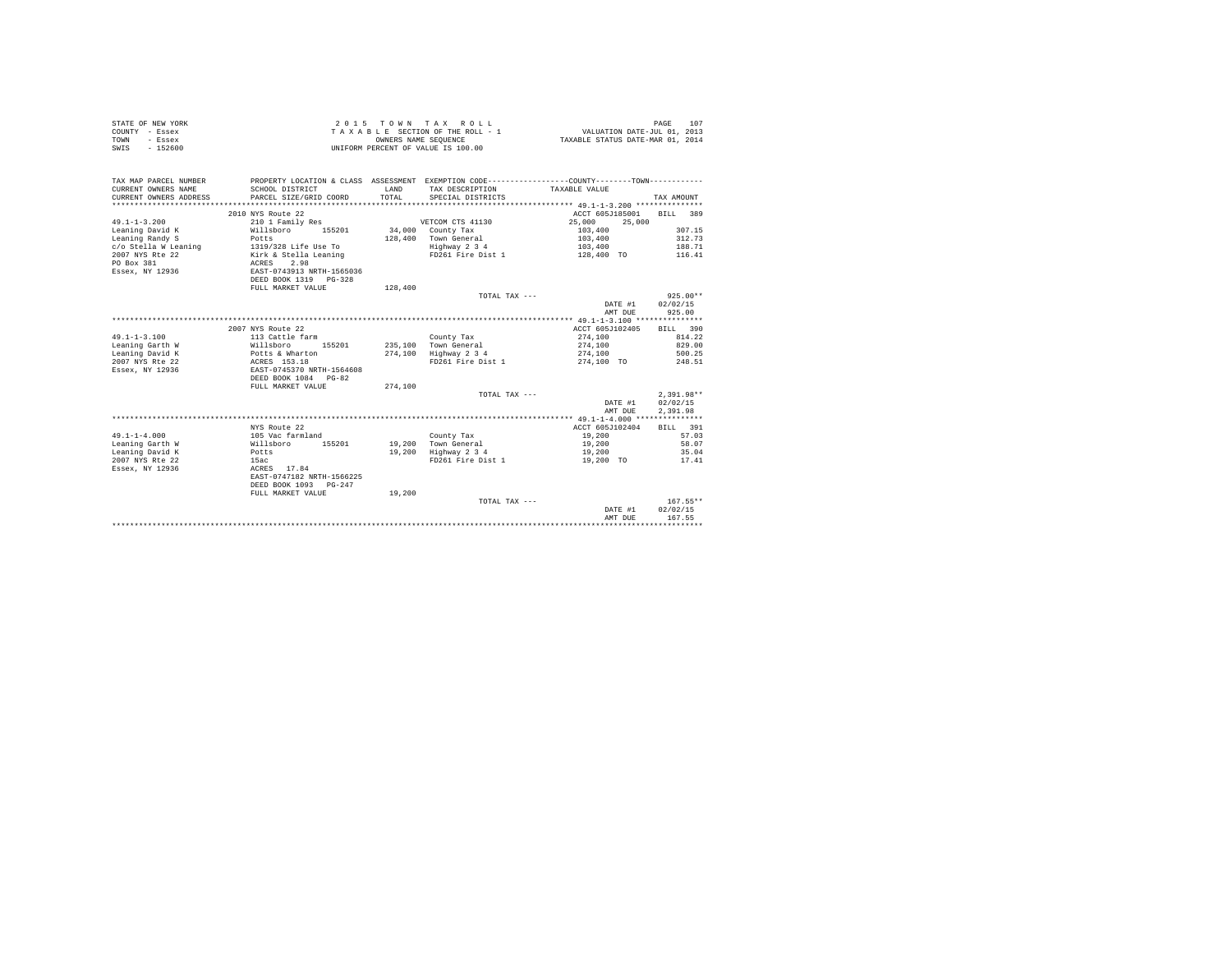| STATE OF NEW YORK<br>COUNTY - Essex<br>- Essex<br>TOWN<br>$-152600$<br>SWIS | 2 0 1 5                                   | TOWN<br>OWNERS NAME SEOUENCE | TAX ROLL<br>TAXABLE SECTION OF THE ROLL - 1<br>UNIFORM PERCENT OF VALUE IS 100.00            | VALUATION DATE-JUL 01, 2013<br>TAXABLE STATUS DATE-MAR 01, 2014 | 107<br>PAGE        |
|-----------------------------------------------------------------------------|-------------------------------------------|------------------------------|----------------------------------------------------------------------------------------------|-----------------------------------------------------------------|--------------------|
| TAX MAP PARCEL NUMBER                                                       |                                           |                              | PROPERTY LOCATION & CLASS ASSESSMENT EXEMPTION CODE---------------COUNTY-------TOWN--------- |                                                                 |                    |
| CURRENT OWNERS NAME<br>CURRENT OWNERS ADDRESS                               | SCHOOL DISTRICT<br>PARCEL SIZE/GRID COORD | LAND<br>TOTAL                | TAX DESCRIPTION<br>SPECIAL DISTRICTS                                                         | TAXABLE VALUE                                                   | TAX AMOUNT         |
| **************************                                                  |                                           |                              |                                                                                              |                                                                 |                    |
|                                                                             | 2010 NYS Route 22                         |                              |                                                                                              | ACCT 605J185001                                                 | 389<br><b>BILL</b> |
| $49.1 - 1 - 3.200$                                                          | 210 1 Family Res                          |                              | VETCOM CTS 41130                                                                             | 25,000<br>25,000                                                |                    |
| Leaning David K                                                             | 155201<br>Willsboro                       |                              | 34,000 County Tax                                                                            | 103,400                                                         | 307.15             |
| Leaning Randy S                                                             | Potts                                     | 128,400                      | Town General                                                                                 | 103,400                                                         | 312.73             |
| c/o Stella W Leaning<br>2007 NYS Rte 22                                     | 1319/328 Life Use To                      |                              | Highway 2 3 4<br>FD261 Fire Dist 1                                                           | 103,400                                                         | 188.71<br>116.41   |
| PO Box 381                                                                  | Kirk & Stella Leaning<br>2.98<br>ACRES    |                              |                                                                                              | 128,400 TO                                                      |                    |
| Essex, NY 12936                                                             | EAST-0743913 NRTH-1565036                 |                              |                                                                                              |                                                                 |                    |
|                                                                             | DEED BOOK 1319 PG-328                     |                              |                                                                                              |                                                                 |                    |
|                                                                             | FULL MARKET VALUE                         | 128,400                      |                                                                                              |                                                                 |                    |
|                                                                             |                                           |                              | TOTAL TAX ---                                                                                |                                                                 | $925.00**$         |
|                                                                             |                                           |                              |                                                                                              | DATE #1                                                         | 02/02/15           |
|                                                                             |                                           |                              |                                                                                              | AMT DUE                                                         | 925.00             |
|                                                                             |                                           |                              |                                                                                              |                                                                 |                    |
|                                                                             | 2007 NYS Route 22                         |                              |                                                                                              | ACCT 605J102405                                                 | BILL 390           |
| $49.1 - 1 - 3.100$                                                          | 113 Cattle farm                           |                              | County Tax                                                                                   | 274,100                                                         | 814.22             |
| Leaning Garth W                                                             | Willsboro<br>155201                       | 235,100                      | Town General                                                                                 | 274,100                                                         | 829.00<br>500.25   |
| Leaning David K<br>2007 NYS Rte 22                                          | Potts & Wharton<br>ACRES 153.18           | 274,100                      | Highway 2 3 4<br>FD261 Fire Dist 1                                                           | 274,100<br>274,100 TO                                           | 248.51             |
| Essex, NY 12936                                                             | EAST-0745370 NRTH-1564608                 |                              |                                                                                              |                                                                 |                    |
|                                                                             | DEED BOOK 1084<br>$PG-82$                 |                              |                                                                                              |                                                                 |                    |
|                                                                             | FULL MARKET VALUE                         | 274,100                      |                                                                                              |                                                                 |                    |
|                                                                             |                                           |                              | TOTAL TAX ---                                                                                |                                                                 | $2,391.98**$       |
|                                                                             |                                           |                              |                                                                                              | DATE #1                                                         | 02/02/15           |
|                                                                             |                                           |                              |                                                                                              | AMT DUE                                                         | 2,391.98           |
|                                                                             |                                           |                              |                                                                                              |                                                                 |                    |
|                                                                             | NYS Route 22                              |                              |                                                                                              | ACCT 605J102404                                                 | 391<br>RTLL.       |
| $49.1 - 1 - 4.000$                                                          | 105 Vac farmland                          |                              | County Tax                                                                                   | 19,200                                                          | 57.03              |
| Leaning Garth W                                                             | 155201<br>Willsboro                       | 19,200<br>19,200             | Town General                                                                                 | 19,200                                                          | 58.07<br>35.04     |
| Leaning David K<br>2007 NYS Rte 22                                          | Potts<br>15ac                             |                              | Highway 2 3 4<br>FD261 Fire Dist 1                                                           | 19,200<br>19,200 TO                                             | 17.41              |
| Essex, NY 12936                                                             | ACRES 17.84                               |                              |                                                                                              |                                                                 |                    |
|                                                                             | EAST-0747182 NRTH-1566225                 |                              |                                                                                              |                                                                 |                    |
|                                                                             | DEED BOOK 1093 PG-247                     |                              |                                                                                              |                                                                 |                    |
|                                                                             | FULL MARKET VALUE                         | 19,200                       |                                                                                              |                                                                 |                    |
|                                                                             |                                           |                              | TOTAL TAX ---                                                                                |                                                                 | $167.55**$         |
|                                                                             |                                           |                              |                                                                                              | DATE #1                                                         | 02/02/15           |
|                                                                             |                                           |                              |                                                                                              | AMT DUE                                                         | 167.55             |
|                                                                             |                                           |                              |                                                                                              |                                                                 |                    |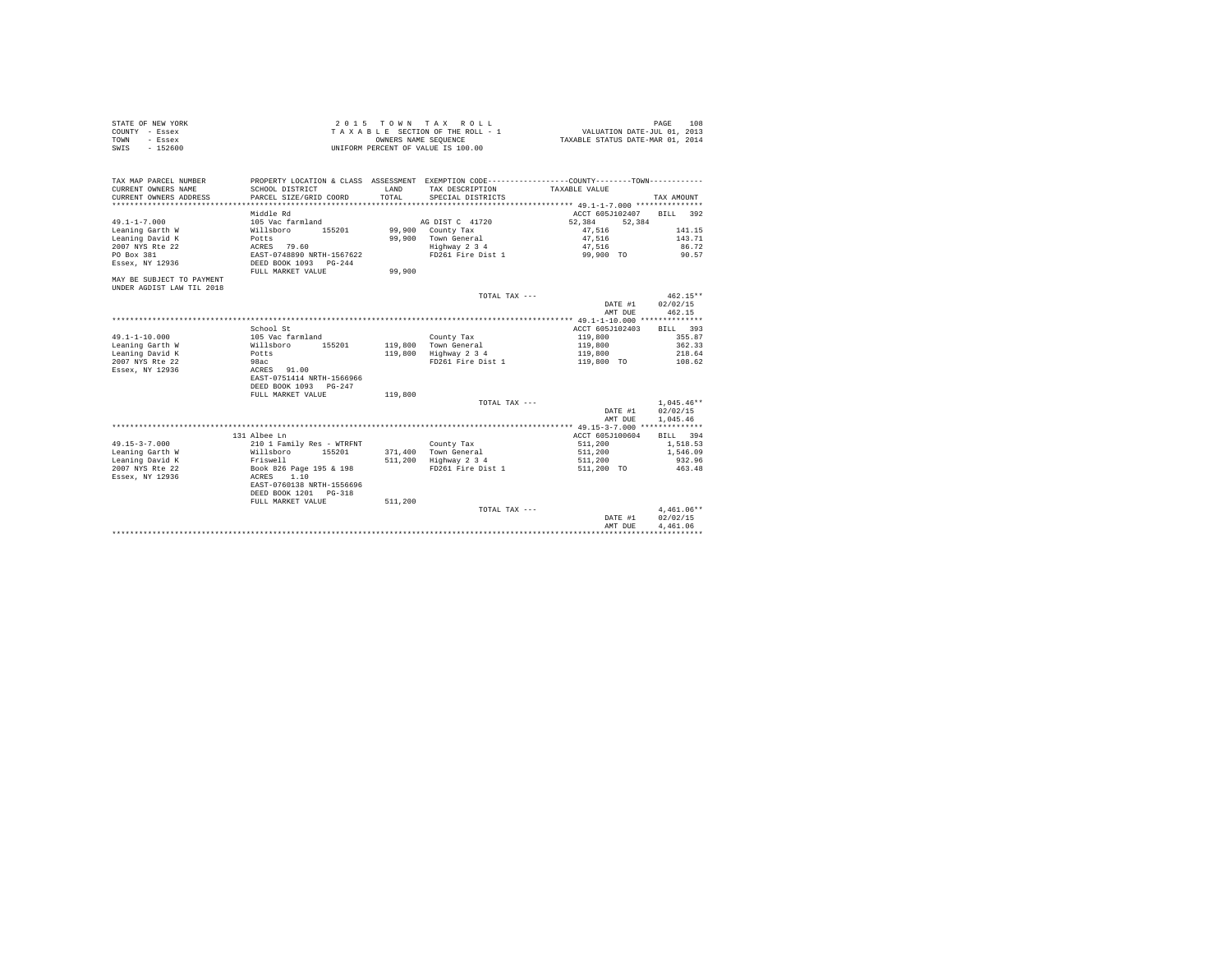| STATE OF NEW YORK | 2015 TOWN TAX ROLL                 | 108<br>PAGE                      |
|-------------------|------------------------------------|----------------------------------|
| COUNTY - Essex    | TAXABLE SECTION OF THE ROLL - 1    | VALUATION DATE-JUL 01, 2013      |
| TOWN<br>- Essex   | OWNERS NAME SEOUENCE               | TAXABLE STATUS DATE-MAR 01, 2014 |
| - 152600<br>SWIS  | UNIFORM PERCENT OF VALUE IS 100.00 |                                  |

| SCHOOL DISTRICT<br>T.AND<br>TAX DESCRIPTION<br>TAXABLE VALUE<br>TOTAL.<br>PARCEL SIZE/GRID COORD<br>SPECIAL DISTRICTS<br>TAX AMOUNT<br>Middle Rd<br>ACCT 605J102407 BILL 392<br>$49.1 - 1 - 7.000$<br>105 Vac farmland<br>AG DIST C 41720<br>52.384<br>52,384<br>Leaning Garth W<br>Willsboro<br>155201<br>99,900 County Tax<br>141.15<br>47.516<br>143.71<br>Leaning David K<br>99.900 Town General<br>47.516<br>Potts<br>ACRES 79.60<br>Highway 2 3 4<br>86.72<br>2007 NYS Rte 22<br>47.516<br>FD261 Fire Dist 1 99,900 TO<br>PO Box 381<br>EAST-0748890 NRTH-1567622<br>90.57<br>Essex, NY 12936<br>DEED BOOK 1093 PG-244<br>99,900<br>FULL MARKET VALUE<br>$462.15**$<br>TOTAL TAX ---<br>02/02/15<br>DATE #1<br>462.15<br>AMT DUE<br>School St<br>ACCT 605J102403<br>BILL 393<br>105 Vac farmland<br>119,800<br>355.87<br>County Tax<br>Leaning Garth W<br>119,800 Town General<br>119,800<br>362.33<br>Willsboro<br>155201<br>.<br>Potts<br>119,800 Highway 2 3 4<br>218.64<br>119,800<br>2007 NYS Rte 22<br>98ac<br>FD261 Fire Dist 1<br>119,800 TO 108.62<br>Essex, NY 12936<br>ACRES 91.00<br>EAST-0751414 NRTH-1566966<br>DEED BOOK 1093 PG-247<br>119,800<br>FULL MARKET VALUE<br>$1.045.46**$<br>TOTAL TAX ---<br>02/02/15<br>DATE #1<br>AMT DUE<br>1.045.46<br>131 Albee Ln<br>ACCT 605J100604<br>BILL 394<br>$49.15 - 3 - 7.000$<br>210 1 Family Res - WTRFNT<br>511,200<br>1,518.53<br>County Tax<br>Leaning Garth W<br>Willsboro<br>155201<br>371,400 Town General<br>511,200<br>1,546.09<br>932.96<br>Leaning David K<br>Friswell<br>511,200 Highway 2 3 4<br>511,200<br>Book 826 Page 195 & 198<br>2007 NYS Rte 22<br>FD261 Fire Dist 1<br>511,200 TO<br>463.48<br>Essex, NY 12936<br>ACRES<br>1.10<br>EAST-0760138 NRTH-1556696<br>DEED BOOK 1201 PG-318<br>511,200<br>FULL MARKET VALUE<br>$4.461.06**$<br>TOTAL TAX ---<br>02/02/15<br>DATE #1<br>4.461.06<br>AMT DUE | TAX MAP PARCEL NUMBER     | PROPERTY LOCATION & CLASS ASSESSMENT EXEMPTION CODE----------------COUNTY-------TOWN---------- |  |  |
|--------------------------------------------------------------------------------------------------------------------------------------------------------------------------------------------------------------------------------------------------------------------------------------------------------------------------------------------------------------------------------------------------------------------------------------------------------------------------------------------------------------------------------------------------------------------------------------------------------------------------------------------------------------------------------------------------------------------------------------------------------------------------------------------------------------------------------------------------------------------------------------------------------------------------------------------------------------------------------------------------------------------------------------------------------------------------------------------------------------------------------------------------------------------------------------------------------------------------------------------------------------------------------------------------------------------------------------------------------------------------------------------------------------------------------------------------------------------------------------------------------------------------------------------------------------------------------------------------------------------------------------------------------------------------------------------------------------------------------------------------------------------------------------------------------------------------------------------------------------------------------------------|---------------------------|------------------------------------------------------------------------------------------------|--|--|
|                                                                                                                                                                                                                                                                                                                                                                                                                                                                                                                                                                                                                                                                                                                                                                                                                                                                                                                                                                                                                                                                                                                                                                                                                                                                                                                                                                                                                                                                                                                                                                                                                                                                                                                                                                                                                                                                                            | CURRENT OWNERS NAME       |                                                                                                |  |  |
|                                                                                                                                                                                                                                                                                                                                                                                                                                                                                                                                                                                                                                                                                                                                                                                                                                                                                                                                                                                                                                                                                                                                                                                                                                                                                                                                                                                                                                                                                                                                                                                                                                                                                                                                                                                                                                                                                            | CURRENT OWNERS ADDRESS    |                                                                                                |  |  |
|                                                                                                                                                                                                                                                                                                                                                                                                                                                                                                                                                                                                                                                                                                                                                                                                                                                                                                                                                                                                                                                                                                                                                                                                                                                                                                                                                                                                                                                                                                                                                                                                                                                                                                                                                                                                                                                                                            |                           |                                                                                                |  |  |
|                                                                                                                                                                                                                                                                                                                                                                                                                                                                                                                                                                                                                                                                                                                                                                                                                                                                                                                                                                                                                                                                                                                                                                                                                                                                                                                                                                                                                                                                                                                                                                                                                                                                                                                                                                                                                                                                                            |                           |                                                                                                |  |  |
|                                                                                                                                                                                                                                                                                                                                                                                                                                                                                                                                                                                                                                                                                                                                                                                                                                                                                                                                                                                                                                                                                                                                                                                                                                                                                                                                                                                                                                                                                                                                                                                                                                                                                                                                                                                                                                                                                            |                           |                                                                                                |  |  |
|                                                                                                                                                                                                                                                                                                                                                                                                                                                                                                                                                                                                                                                                                                                                                                                                                                                                                                                                                                                                                                                                                                                                                                                                                                                                                                                                                                                                                                                                                                                                                                                                                                                                                                                                                                                                                                                                                            |                           |                                                                                                |  |  |
|                                                                                                                                                                                                                                                                                                                                                                                                                                                                                                                                                                                                                                                                                                                                                                                                                                                                                                                                                                                                                                                                                                                                                                                                                                                                                                                                                                                                                                                                                                                                                                                                                                                                                                                                                                                                                                                                                            |                           |                                                                                                |  |  |
|                                                                                                                                                                                                                                                                                                                                                                                                                                                                                                                                                                                                                                                                                                                                                                                                                                                                                                                                                                                                                                                                                                                                                                                                                                                                                                                                                                                                                                                                                                                                                                                                                                                                                                                                                                                                                                                                                            |                           |                                                                                                |  |  |
|                                                                                                                                                                                                                                                                                                                                                                                                                                                                                                                                                                                                                                                                                                                                                                                                                                                                                                                                                                                                                                                                                                                                                                                                                                                                                                                                                                                                                                                                                                                                                                                                                                                                                                                                                                                                                                                                                            |                           |                                                                                                |  |  |
|                                                                                                                                                                                                                                                                                                                                                                                                                                                                                                                                                                                                                                                                                                                                                                                                                                                                                                                                                                                                                                                                                                                                                                                                                                                                                                                                                                                                                                                                                                                                                                                                                                                                                                                                                                                                                                                                                            |                           |                                                                                                |  |  |
|                                                                                                                                                                                                                                                                                                                                                                                                                                                                                                                                                                                                                                                                                                                                                                                                                                                                                                                                                                                                                                                                                                                                                                                                                                                                                                                                                                                                                                                                                                                                                                                                                                                                                                                                                                                                                                                                                            | MAY BE SUBJECT TO PAYMENT |                                                                                                |  |  |
|                                                                                                                                                                                                                                                                                                                                                                                                                                                                                                                                                                                                                                                                                                                                                                                                                                                                                                                                                                                                                                                                                                                                                                                                                                                                                                                                                                                                                                                                                                                                                                                                                                                                                                                                                                                                                                                                                            | UNDER AGDIST LAW TIL 2018 |                                                                                                |  |  |
|                                                                                                                                                                                                                                                                                                                                                                                                                                                                                                                                                                                                                                                                                                                                                                                                                                                                                                                                                                                                                                                                                                                                                                                                                                                                                                                                                                                                                                                                                                                                                                                                                                                                                                                                                                                                                                                                                            |                           |                                                                                                |  |  |
|                                                                                                                                                                                                                                                                                                                                                                                                                                                                                                                                                                                                                                                                                                                                                                                                                                                                                                                                                                                                                                                                                                                                                                                                                                                                                                                                                                                                                                                                                                                                                                                                                                                                                                                                                                                                                                                                                            |                           |                                                                                                |  |  |
|                                                                                                                                                                                                                                                                                                                                                                                                                                                                                                                                                                                                                                                                                                                                                                                                                                                                                                                                                                                                                                                                                                                                                                                                                                                                                                                                                                                                                                                                                                                                                                                                                                                                                                                                                                                                                                                                                            |                           |                                                                                                |  |  |
|                                                                                                                                                                                                                                                                                                                                                                                                                                                                                                                                                                                                                                                                                                                                                                                                                                                                                                                                                                                                                                                                                                                                                                                                                                                                                                                                                                                                                                                                                                                                                                                                                                                                                                                                                                                                                                                                                            |                           |                                                                                                |  |  |
|                                                                                                                                                                                                                                                                                                                                                                                                                                                                                                                                                                                                                                                                                                                                                                                                                                                                                                                                                                                                                                                                                                                                                                                                                                                                                                                                                                                                                                                                                                                                                                                                                                                                                                                                                                                                                                                                                            |                           |                                                                                                |  |  |
|                                                                                                                                                                                                                                                                                                                                                                                                                                                                                                                                                                                                                                                                                                                                                                                                                                                                                                                                                                                                                                                                                                                                                                                                                                                                                                                                                                                                                                                                                                                                                                                                                                                                                                                                                                                                                                                                                            | $49.1 - 1 - 10.000$       |                                                                                                |  |  |
|                                                                                                                                                                                                                                                                                                                                                                                                                                                                                                                                                                                                                                                                                                                                                                                                                                                                                                                                                                                                                                                                                                                                                                                                                                                                                                                                                                                                                                                                                                                                                                                                                                                                                                                                                                                                                                                                                            |                           |                                                                                                |  |  |
|                                                                                                                                                                                                                                                                                                                                                                                                                                                                                                                                                                                                                                                                                                                                                                                                                                                                                                                                                                                                                                                                                                                                                                                                                                                                                                                                                                                                                                                                                                                                                                                                                                                                                                                                                                                                                                                                                            | Leaning David K           |                                                                                                |  |  |
|                                                                                                                                                                                                                                                                                                                                                                                                                                                                                                                                                                                                                                                                                                                                                                                                                                                                                                                                                                                                                                                                                                                                                                                                                                                                                                                                                                                                                                                                                                                                                                                                                                                                                                                                                                                                                                                                                            |                           |                                                                                                |  |  |
|                                                                                                                                                                                                                                                                                                                                                                                                                                                                                                                                                                                                                                                                                                                                                                                                                                                                                                                                                                                                                                                                                                                                                                                                                                                                                                                                                                                                                                                                                                                                                                                                                                                                                                                                                                                                                                                                                            |                           |                                                                                                |  |  |
|                                                                                                                                                                                                                                                                                                                                                                                                                                                                                                                                                                                                                                                                                                                                                                                                                                                                                                                                                                                                                                                                                                                                                                                                                                                                                                                                                                                                                                                                                                                                                                                                                                                                                                                                                                                                                                                                                            |                           |                                                                                                |  |  |
|                                                                                                                                                                                                                                                                                                                                                                                                                                                                                                                                                                                                                                                                                                                                                                                                                                                                                                                                                                                                                                                                                                                                                                                                                                                                                                                                                                                                                                                                                                                                                                                                                                                                                                                                                                                                                                                                                            |                           |                                                                                                |  |  |
|                                                                                                                                                                                                                                                                                                                                                                                                                                                                                                                                                                                                                                                                                                                                                                                                                                                                                                                                                                                                                                                                                                                                                                                                                                                                                                                                                                                                                                                                                                                                                                                                                                                                                                                                                                                                                                                                                            |                           |                                                                                                |  |  |
|                                                                                                                                                                                                                                                                                                                                                                                                                                                                                                                                                                                                                                                                                                                                                                                                                                                                                                                                                                                                                                                                                                                                                                                                                                                                                                                                                                                                                                                                                                                                                                                                                                                                                                                                                                                                                                                                                            |                           |                                                                                                |  |  |
|                                                                                                                                                                                                                                                                                                                                                                                                                                                                                                                                                                                                                                                                                                                                                                                                                                                                                                                                                                                                                                                                                                                                                                                                                                                                                                                                                                                                                                                                                                                                                                                                                                                                                                                                                                                                                                                                                            |                           |                                                                                                |  |  |
|                                                                                                                                                                                                                                                                                                                                                                                                                                                                                                                                                                                                                                                                                                                                                                                                                                                                                                                                                                                                                                                                                                                                                                                                                                                                                                                                                                                                                                                                                                                                                                                                                                                                                                                                                                                                                                                                                            |                           |                                                                                                |  |  |
|                                                                                                                                                                                                                                                                                                                                                                                                                                                                                                                                                                                                                                                                                                                                                                                                                                                                                                                                                                                                                                                                                                                                                                                                                                                                                                                                                                                                                                                                                                                                                                                                                                                                                                                                                                                                                                                                                            |                           |                                                                                                |  |  |
|                                                                                                                                                                                                                                                                                                                                                                                                                                                                                                                                                                                                                                                                                                                                                                                                                                                                                                                                                                                                                                                                                                                                                                                                                                                                                                                                                                                                                                                                                                                                                                                                                                                                                                                                                                                                                                                                                            |                           |                                                                                                |  |  |
|                                                                                                                                                                                                                                                                                                                                                                                                                                                                                                                                                                                                                                                                                                                                                                                                                                                                                                                                                                                                                                                                                                                                                                                                                                                                                                                                                                                                                                                                                                                                                                                                                                                                                                                                                                                                                                                                                            |                           |                                                                                                |  |  |
|                                                                                                                                                                                                                                                                                                                                                                                                                                                                                                                                                                                                                                                                                                                                                                                                                                                                                                                                                                                                                                                                                                                                                                                                                                                                                                                                                                                                                                                                                                                                                                                                                                                                                                                                                                                                                                                                                            |                           |                                                                                                |  |  |
|                                                                                                                                                                                                                                                                                                                                                                                                                                                                                                                                                                                                                                                                                                                                                                                                                                                                                                                                                                                                                                                                                                                                                                                                                                                                                                                                                                                                                                                                                                                                                                                                                                                                                                                                                                                                                                                                                            |                           |                                                                                                |  |  |
|                                                                                                                                                                                                                                                                                                                                                                                                                                                                                                                                                                                                                                                                                                                                                                                                                                                                                                                                                                                                                                                                                                                                                                                                                                                                                                                                                                                                                                                                                                                                                                                                                                                                                                                                                                                                                                                                                            |                           |                                                                                                |  |  |
|                                                                                                                                                                                                                                                                                                                                                                                                                                                                                                                                                                                                                                                                                                                                                                                                                                                                                                                                                                                                                                                                                                                                                                                                                                                                                                                                                                                                                                                                                                                                                                                                                                                                                                                                                                                                                                                                                            |                           |                                                                                                |  |  |
|                                                                                                                                                                                                                                                                                                                                                                                                                                                                                                                                                                                                                                                                                                                                                                                                                                                                                                                                                                                                                                                                                                                                                                                                                                                                                                                                                                                                                                                                                                                                                                                                                                                                                                                                                                                                                                                                                            |                           |                                                                                                |  |  |
|                                                                                                                                                                                                                                                                                                                                                                                                                                                                                                                                                                                                                                                                                                                                                                                                                                                                                                                                                                                                                                                                                                                                                                                                                                                                                                                                                                                                                                                                                                                                                                                                                                                                                                                                                                                                                                                                                            |                           |                                                                                                |  |  |
|                                                                                                                                                                                                                                                                                                                                                                                                                                                                                                                                                                                                                                                                                                                                                                                                                                                                                                                                                                                                                                                                                                                                                                                                                                                                                                                                                                                                                                                                                                                                                                                                                                                                                                                                                                                                                                                                                            |                           |                                                                                                |  |  |
|                                                                                                                                                                                                                                                                                                                                                                                                                                                                                                                                                                                                                                                                                                                                                                                                                                                                                                                                                                                                                                                                                                                                                                                                                                                                                                                                                                                                                                                                                                                                                                                                                                                                                                                                                                                                                                                                                            |                           |                                                                                                |  |  |
|                                                                                                                                                                                                                                                                                                                                                                                                                                                                                                                                                                                                                                                                                                                                                                                                                                                                                                                                                                                                                                                                                                                                                                                                                                                                                                                                                                                                                                                                                                                                                                                                                                                                                                                                                                                                                                                                                            |                           |                                                                                                |  |  |
|                                                                                                                                                                                                                                                                                                                                                                                                                                                                                                                                                                                                                                                                                                                                                                                                                                                                                                                                                                                                                                                                                                                                                                                                                                                                                                                                                                                                                                                                                                                                                                                                                                                                                                                                                                                                                                                                                            |                           |                                                                                                |  |  |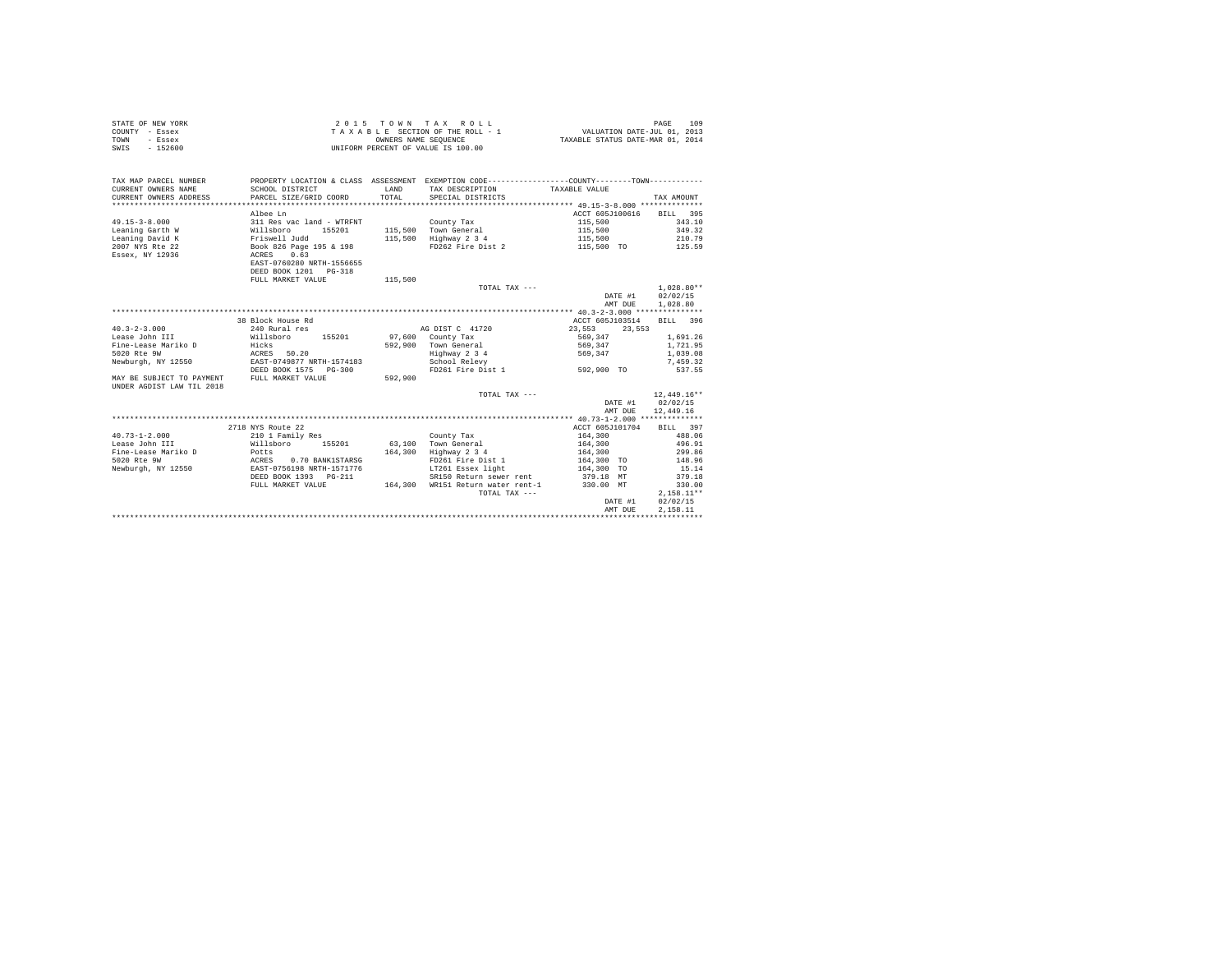|                | STATE OF NEW YORK |  |  |  | 2015 TOWN TAX ROLL                 |  |  |  | 109<br>PAGE                      |
|----------------|-------------------|--|--|--|------------------------------------|--|--|--|----------------------------------|
| COUNTY - Essex |                   |  |  |  | TAXABLE SECTION OF THE ROLL - 1    |  |  |  | VALUATION DATE-JUL 01, 2013      |
| TOWN           | - Essex           |  |  |  | OWNERS NAME SEOUENCE               |  |  |  | TAXABLE STATUS DATE-MAR 01, 2014 |
| SWIS           | $-152600$         |  |  |  | UNIFORM PERCENT OF VALUE IS 100.00 |  |  |  |                                  |

| TAX MAP PARCEL NUMBER<br>CURRENT OWNERS NAME<br>CURRENT OWNERS ADDRESS   | SCHOOL DISTRICT<br>PARCEL SIZE/GRID COORD    | <b>T.AND</b><br>TOTAL | PROPERTY LOCATION & CLASS ASSESSMENT EXEMPTION CODE---------------COUNTY-------TOWN---------<br>TAX DESCRIPTION<br>SPECIAL DISTRICTS | TAXABLE VALUE    | TAX AMOUNT    |
|--------------------------------------------------------------------------|----------------------------------------------|-----------------------|--------------------------------------------------------------------------------------------------------------------------------------|------------------|---------------|
|                                                                          | Albee Ln                                     |                       |                                                                                                                                      | ACCT 605J100616  | BILL 395      |
| $49.15 - 3 - 8.000$                                                      | 311 Res vac land - WTRFNT                    |                       | County Tax                                                                                                                           | 115,500          | 343.10        |
| Leaning Garth W                                                          | Willsboro<br>155201                          |                       | 115,500 Town General                                                                                                                 | 115,500          | 349.32        |
| Leaning David K                                                          | Friswell Judd                                | 115,500               | Highway 2 3 4                                                                                                                        | 115,500          | 210.79        |
| 2007 NYS Rte 22                                                          | Book 826 Page 195 & 198                      |                       | FD262 Fire Dist 2                                                                                                                    | 115,500 TO       | 125.59        |
| Essex, NY 12936                                                          | 0.63<br>ACRES                                |                       |                                                                                                                                      |                  |               |
|                                                                          | EAST-0760280 NRTH-1556655                    |                       |                                                                                                                                      |                  |               |
|                                                                          | DEED BOOK 1201 PG-318                        |                       |                                                                                                                                      |                  |               |
|                                                                          | FULL MARKET VALUE                            | 115,500               |                                                                                                                                      |                  |               |
|                                                                          |                                              |                       | TOTAL TAX ---                                                                                                                        |                  | $1.028.80**$  |
|                                                                          |                                              |                       |                                                                                                                                      | DATE #1          | 02/02/15      |
|                                                                          |                                              |                       |                                                                                                                                      | AMT DUE          | 1,028.80      |
|                                                                          |                                              |                       |                                                                                                                                      |                  |               |
|                                                                          | 38 Block House Rd                            |                       |                                                                                                                                      | ACCT 605J103514  | RTLL 396      |
| $40.3 - 2 - 3.000$                                                       | 240 Rural res                                |                       | AG DIST C 41720                                                                                                                      | 23,553<br>23,553 |               |
| Lease John III                                                           | Willsboro<br>155201                          |                       | 97,600 County Tax                                                                                                                    | 569,347          | 1,691.26      |
| Fine-Lease Mariko D                                                      | Hicks                                        | 592,900               | Town General                                                                                                                         | 569,347          | 1,721.95      |
| 5020 Rte 9W                                                              | $ACRES$ 50.20                                |                       | Highway 2 3 4                                                                                                                        | 569,347          | 1,039.08      |
|                                                                          | Newburgh, NY 12550 EAST-0749877 NRTH-1574183 |                       | School Relevy                                                                                                                        |                  | 7,459.32      |
|                                                                          | DEED BOOK 1575 PG-300                        |                       | FD261 Fire Dist 1                                                                                                                    | 592,900 TO       | 537.55        |
| MAY BE SUBJECT TO PAYMENT FULL MARKET VALUE<br>UNDER AGDIST LAW TIL 2018 |                                              | 592,900               |                                                                                                                                      |                  |               |
|                                                                          |                                              |                       | TOTAL TAX ---                                                                                                                        |                  | $12.449.16**$ |
|                                                                          |                                              |                       |                                                                                                                                      | DATE #1          | 02/02/15      |
|                                                                          |                                              |                       |                                                                                                                                      | AMT DUE          | 12,449.16     |
|                                                                          |                                              |                       |                                                                                                                                      |                  |               |
|                                                                          | 2718 NYS Route 22                            |                       |                                                                                                                                      | ACCT 605J101704  | BILL 397      |
| $40.73 - 1 - 2.000$                                                      | 210 1 Family Res                             |                       | County Tax                                                                                                                           | 164,300          | 488.06        |
| Lease John III                                                           | Willsboro<br>155201                          | 63,100                | Town General                                                                                                                         | 164,300          | 496.91        |
| Fine-Lease Mariko D                                                      |                                              | 164,300               | Highway 2 3 4                                                                                                                        | 164,300          | 299.86        |
| 5020 Rte 9W                                                              | Potts<br>ACRES<br>0.70 BANK1STARSG           |                       | FD261 Fire Dist 1                                                                                                                    | 164,300 TO       | 148.96        |
| Newburgh, NY 12550                                                       | EAST-0756198 NRTH-1571776                    |                       | LT261 Essex light                                                                                                                    | 164,300 TO       | 15.14         |
|                                                                          | DEED BOOK 1393 PG-211                        |                       | SR150 Return sewer rent 379.18 MT                                                                                                    |                  | 379.18        |
|                                                                          | FULL MARKET VALUE                            | 164,300               | WR151 Return water rent-1                                                                                                            | 330.00 MT        | 330.00        |
|                                                                          |                                              |                       | TOTAL TAX ---                                                                                                                        |                  | $2.158.11**$  |
|                                                                          |                                              |                       |                                                                                                                                      | DATE #1          | 02/02/15      |
|                                                                          |                                              |                       |                                                                                                                                      | AMT DUE          | 2.158.11      |
|                                                                          |                                              |                       |                                                                                                                                      |                  |               |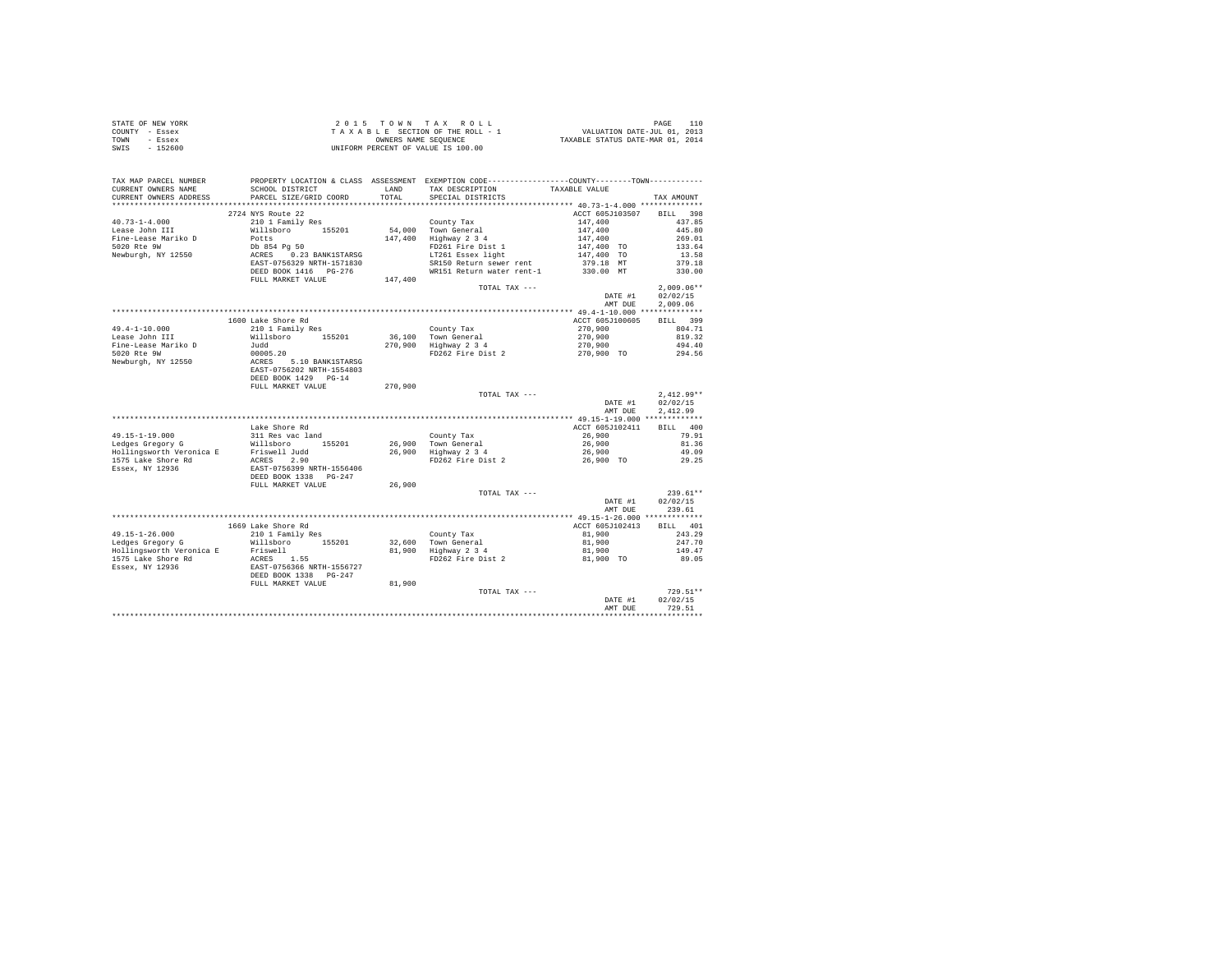|                | STATE OF NEW YORK |  |  |  | 2015 TOWN TAX ROLL                 |  |  |  |  | PAGE                             |
|----------------|-------------------|--|--|--|------------------------------------|--|--|--|--|----------------------------------|
| COUNTY - Essex |                   |  |  |  | TAXABLE SECTION OF THE ROLL - 1    |  |  |  |  | VALUATION DATE-JUL 01, 2013      |
| TOWN           | - Essex           |  |  |  | OWNERS NAME SEOUENCE               |  |  |  |  | TAXABLE STATUS DATE-MAR 01, 2014 |
| SWIS           | $-152600$         |  |  |  | UNIFORM PERCENT OF VALUE IS 100.00 |  |  |  |  |                                  |

| TAX MAP PARCEL NUMBER<br>CURRENT OWNERS NAME | SCHOOL DISTRICT           | LAND    | PROPERTY LOCATION & CLASS ASSESSMENT EXEMPTION CODE----------------COUNTY-------TOWN----------<br>TAX DESCRIPTION | TAXABLE VALUE   |                    |
|----------------------------------------------|---------------------------|---------|-------------------------------------------------------------------------------------------------------------------|-----------------|--------------------|
| CURRENT OWNERS ADDRESS                       | PARCEL SIZE/GRID COORD    | TOTAL.  | SPECIAL DISTRICTS                                                                                                 |                 | TAX AMOUNT         |
|                                              |                           |         |                                                                                                                   |                 |                    |
|                                              | 2724 NYS Route 22         |         |                                                                                                                   | ACCT 605J103507 | 398<br><b>BILL</b> |
| $40.73 - 1 - 4.000$                          | 210 1 Family Res          |         | County Tax                                                                                                        | 147,400         | 437.85             |
| Lease John III                               | Willsboro 155201          |         | 54.000 Town General                                                                                               | 147,400         | 445.80             |
| Fine-Lease Mariko D                          | Potts                     |         | 147,400 Highway 2 3 4                                                                                             | 147,400         | 269.01             |
| 5020 Rte 9W                                  | Db 854 Pa 50              |         | FD261 Fire Dist 1                                                                                                 | 147,400 TO      | 133.64             |
| Newburgh, NY 12550                           | ACRES 0.23 BANK1STARSG    |         | LT261 Essex light                                                                                                 | 147,400 TO      | 13.58              |
|                                              | EAST-0756329 NRTH-1571830 |         | SR150 Return sewer rent                                                                                           | 379.18 MT       | 379.18             |
|                                              | DEED BOOK 1416    PG-276  |         | WR151 Return water rent-1                                                                                         | 330.00 MT       | 330.00             |
|                                              | FULL MARKET VALUE         | 147,400 |                                                                                                                   |                 |                    |
|                                              |                           |         | TOTAL TAX ---                                                                                                     |                 | $2.009.06**$       |
|                                              |                           |         |                                                                                                                   | DATE #1         | 02/02/15           |
|                                              |                           |         |                                                                                                                   | AMT DUE         | 2.009.06           |
|                                              |                           |         |                                                                                                                   |                 |                    |
|                                              | 1600 Lake Shore Rd        |         |                                                                                                                   | ACCT 605J100605 | BILL 399           |
| $49.4 - 1 - 10.000$                          | 210 1 Family Res          |         | County Tax                                                                                                        | 270,900         | 804.71             |
| Lease John III                               | Willsboro 155201          |         | 36,100 Town General<br>270,900 Highway 2 3 4                                                                      | 270,900         | 819.32             |
| Fine-Lease Mariko D                          | Judd                      |         |                                                                                                                   | 270,900         | 494.40             |
| 5020 Rte 9W                                  | 00005.20                  |         | FD262 Fire Dist 2                                                                                                 | 270.900 TO      | 294.56             |
| Newburgh, NY 12550                           | ACRES 5.10 BANK1STARSG    |         |                                                                                                                   |                 |                    |
|                                              | EAST-0756202 NRTH-1554803 |         |                                                                                                                   |                 |                    |
|                                              | DEED BOOK 1429 PG-14      |         |                                                                                                                   |                 |                    |
|                                              | FULL MARKET VALUE         | 270,900 |                                                                                                                   |                 |                    |
|                                              |                           |         | TOTAL TAX ---                                                                                                     |                 | $2.412.99**$       |
|                                              |                           |         |                                                                                                                   | DATE #1         | 02/02/15           |
|                                              |                           |         |                                                                                                                   | AMT DUE         | 2.412.99           |
|                                              |                           |         |                                                                                                                   |                 |                    |
|                                              | Lake Shore Rd             |         |                                                                                                                   | ACCT 605J102411 | BILL 400           |
| $49.15 - 1 - 19.000$                         | 311 Res vac land          |         | County Tax                                                                                                        | 26,900          | 79.91              |
| Ledges Gregory G                             | Willsboro 155201          |         |                                                                                                                   | 26,900          | 81.36              |
| Hollingsworth Veronica E                     | Friswell Judd             |         | 26,900 Town General<br>26,900 Highway 2 3 4                                                                       | 26,900          | 49.09              |
| 1575 Lake Shore Rd                           | ACRES 2.90                |         | FD262 Fire Dist 2                                                                                                 | 26,900 TO       | 29.25              |
| Essex, NY 12936                              | EAST-0756399 NRTH-1556406 |         |                                                                                                                   |                 |                    |
|                                              | DEED BOOK 1338 PG-247     |         |                                                                                                                   |                 |                    |
|                                              | FULL MARKET VALUE         | 26,900  |                                                                                                                   |                 |                    |
|                                              |                           |         | TOTAL TAX ---                                                                                                     |                 | $239.61**$         |
|                                              |                           |         |                                                                                                                   | DATE #1         | 02/02/15           |
|                                              |                           |         |                                                                                                                   | AMT DUE         | 239.61             |
|                                              |                           |         |                                                                                                                   |                 |                    |
|                                              | 1669 Lake Shore Rd        |         |                                                                                                                   | ACCT 605J102413 | BILL 401           |
| $49.15 - 1 - 26.000$                         | 210 1 Family Res          |         | County Tax                                                                                                        | 81,900          | 243.29             |
| Ledges Gregory G                             | Willsboro 155201          |         | 32,600 Town General                                                                                               | 81,900          | 247.70             |
| Hollingsworth Veronica E                     | Friswell                  |         |                                                                                                                   | 81,900          | 149.47             |
| 1575 Lake Shore Rd                           | ACRES 1.55                |         | 22,000 1000 1000 90001<br>81,900 Highway 2 3 4<br>FD262 Fire Dist 2                                               | 81,900 TO       | 89.05              |
| Essex, NY 12936                              | EAST-0756366 NRTH-1556727 |         |                                                                                                                   |                 |                    |
|                                              | DEED BOOK 1338 PG-247     |         |                                                                                                                   |                 |                    |
|                                              | FULL MARKET VALUE         | 81,900  |                                                                                                                   |                 |                    |
|                                              |                           |         | TOTAL TAX ---                                                                                                     |                 | 729.51**           |
|                                              |                           |         |                                                                                                                   | DATE #1         | 02/02/15           |
|                                              |                           |         |                                                                                                                   | AMT DUE         | 729.51             |
|                                              |                           |         |                                                                                                                   |                 |                    |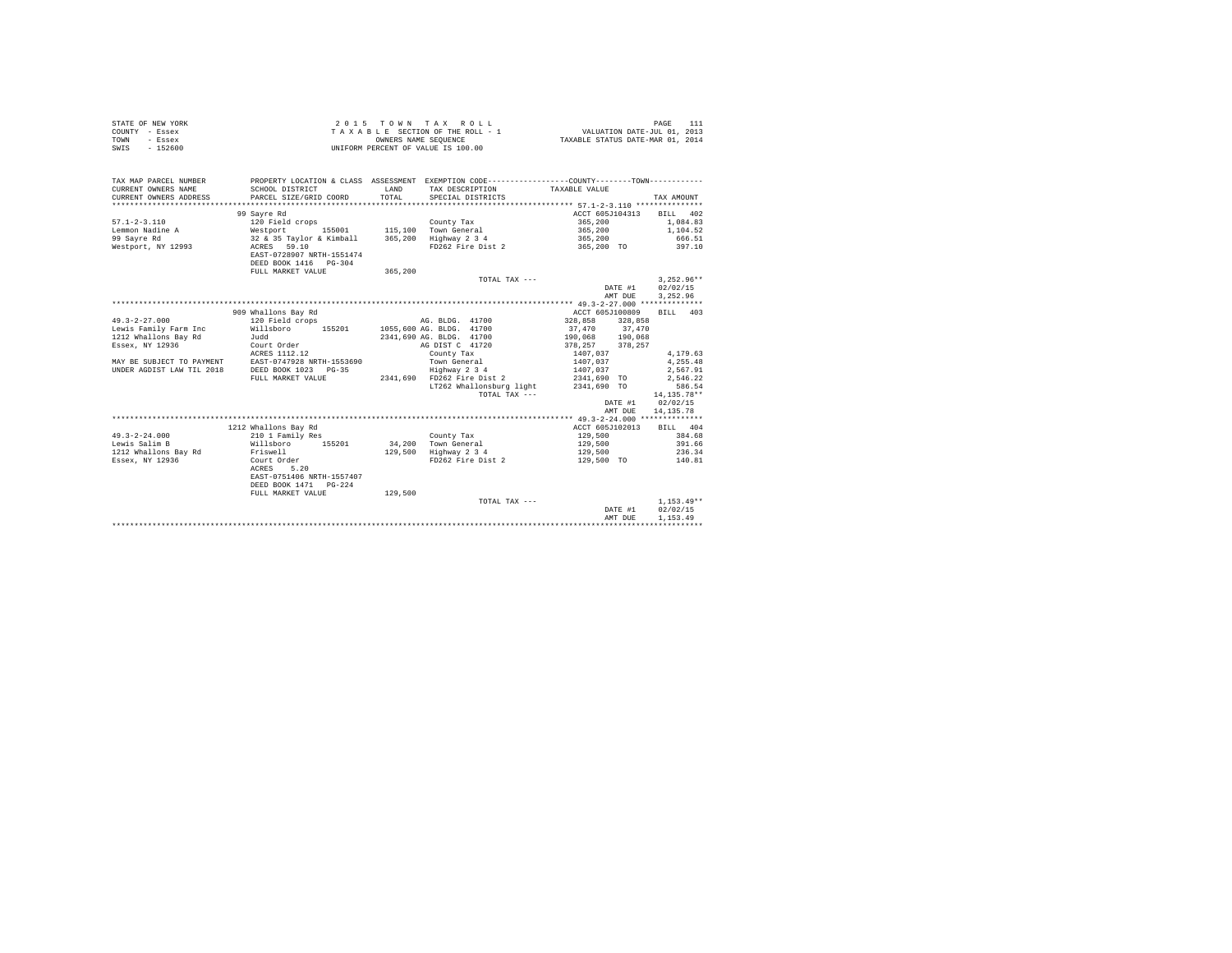| COUNTY - Essex<br>TOWN<br>- Essex<br>$-152600$<br>SWTS |                                                                                                                                                                                    | VALUATION DATE-JUL 01, 2013<br>TAXABLE STATUS DATE-MAR 01, 2014<br>TAXABLE SECTION OF THE ROLL - 1<br>OWNERS NAME SEQUENCE<br>UNIFORM PERCENT OF VALUE IS 100.00 |                                                                                              |                                                                                            |                  |  |
|--------------------------------------------------------|------------------------------------------------------------------------------------------------------------------------------------------------------------------------------------|------------------------------------------------------------------------------------------------------------------------------------------------------------------|----------------------------------------------------------------------------------------------|--------------------------------------------------------------------------------------------|------------------|--|
|                                                        |                                                                                                                                                                                    |                                                                                                                                                                  |                                                                                              |                                                                                            |                  |  |
| TAX MAP PARCEL NUMBER                                  |                                                                                                                                                                                    |                                                                                                                                                                  | PROPERTY LOCATION & CLASS ASSESSMENT EXEMPTION CODE---------------COUNTY-------TOWN--------- |                                                                                            |                  |  |
| CURRENT OWNERS NAME                                    | SCHOOL DISTRICT                                                                                                                                                                    |                                                                                                                                                                  | TAX DESCRIPTION TAXABLE VALUE<br>LAND TAX DESCRIPTION TOTAL SPECIAL DISTRICTS                |                                                                                            |                  |  |
| CURRENT OWNERS ADDRESS<br>*********************        | PARCEL SIZE/GRID COORD                                                                                                                                                             |                                                                                                                                                                  |                                                                                              |                                                                                            | TAX AMOUNT       |  |
|                                                        | 99 Sayre Rd                                                                                                                                                                        |                                                                                                                                                                  |                                                                                              | ACCT 605J104313 BILL 402                                                                   |                  |  |
| $57.1 - 2 - 3.110$                                     |                                                                                                                                                                                    |                                                                                                                                                                  |                                                                                              |                                                                                            | 1,084.83         |  |
|                                                        |                                                                                                                                                                                    |                                                                                                                                                                  |                                                                                              | 365, 200<br>365, 200<br>365, 200                                                           | 1,104.52         |  |
| Lemmon Nadine A<br>99 Sayre Rd                         |                                                                                                                                                                                    |                                                                                                                                                                  |                                                                                              |                                                                                            | 666.51           |  |
| Westport, NY 12993                                     | County Tax<br>120 Field crops<br>155001 115,100 Town General<br>132 & 35 Taylor & Kimball 365,200 Highway 2 3 4<br>2 ACRES - 59.10<br>165,200 Highway 2 3 4<br>2 PD262 Fire bist 2 |                                                                                                                                                                  | FD262 Fire Dist 2                                                                            | 365,200 TO                                                                                 | 397.10           |  |
|                                                        | EAST-0728907 NRTH-1551474                                                                                                                                                          |                                                                                                                                                                  |                                                                                              |                                                                                            |                  |  |
|                                                        | DEED BOOK 1416 PG-304                                                                                                                                                              |                                                                                                                                                                  |                                                                                              |                                                                                            |                  |  |
|                                                        | FULL MARKET VALUE                                                                                                                                                                  | 365,200                                                                                                                                                          |                                                                                              |                                                                                            |                  |  |
|                                                        |                                                                                                                                                                                    |                                                                                                                                                                  | TOTAL TAX ---                                                                                |                                                                                            | $3,252.96**$     |  |
|                                                        |                                                                                                                                                                                    |                                                                                                                                                                  |                                                                                              |                                                                                            | DATE #1 02/02/15 |  |
|                                                        |                                                                                                                                                                                    |                                                                                                                                                                  |                                                                                              | AMT DUE                                                                                    | 3,252.96         |  |
|                                                        |                                                                                                                                                                                    |                                                                                                                                                                  |                                                                                              |                                                                                            |                  |  |
|                                                        | 909 Whallons Bay Rd                                                                                                                                                                |                                                                                                                                                                  |                                                                                              | ACCT 605J100809                                                                            | BILL 403         |  |
| $49.3 - 2 - 27.000$                                    | 120 Field crops                                                                                                                                                                    |                                                                                                                                                                  | AG. BLDG. 41700                                                                              | 328,858 328,858                                                                            |                  |  |
|                                                        | Lewis Family Farm Inc Millsboro 155201 1055,600 AG. BLDG. 41700                                                                                                                    |                                                                                                                                                                  |                                                                                              |                                                                                            |                  |  |
| 1212 Whallons Bay Rd                                   | Judd                                                                                                                                                                               |                                                                                                                                                                  | 2341,690 AG. BLDG. 41700                                                                     | $\begin{array}{ccc} 37,470 & 37,470 \\ 190,068 & 190,068 \\ 378,257 & 378,257 \end{array}$ |                  |  |
| Essex, NY 12936                                        | Court Order<br>ACRES 1112.12                                                                                                                                                       |                                                                                                                                                                  | AG DIST C 41720                                                                              |                                                                                            |                  |  |
|                                                        |                                                                                                                                                                                    |                                                                                                                                                                  | County Tax                                                                                   | $1407,037$<br>$1407,037$<br>$1407,037$<br>$2341,690$ TO                                    | 4,179.63         |  |
|                                                        | MAY BE SUBJECT TO PAYMENT EAST-0747928 NRTH-1553690 Town General                                                                                                                   |                                                                                                                                                                  |                                                                                              |                                                                                            | 4,255.48         |  |
| UNDER AGDIST LAW TIL 2018 DEED BOOK 1023 PG-35         |                                                                                                                                                                                    |                                                                                                                                                                  | Highway 2 3 4                                                                                |                                                                                            | 2,567.91         |  |
|                                                        | FULL MARKET VALUE                                                                                                                                                                  |                                                                                                                                                                  | 2341,690 FD262 Fire Dist 2                                                                   |                                                                                            | 2,546.22         |  |
|                                                        |                                                                                                                                                                                    |                                                                                                                                                                  | LT262 Whallonsburg light                                                                     | 2341,690 TO                                                                                | 586.54           |  |
|                                                        |                                                                                                                                                                                    |                                                                                                                                                                  | TOTAL TAX ---                                                                                |                                                                                            | 14,135.78**      |  |
|                                                        |                                                                                                                                                                                    |                                                                                                                                                                  |                                                                                              | DATE #1 02/02/15                                                                           |                  |  |
|                                                        |                                                                                                                                                                                    |                                                                                                                                                                  |                                                                                              | AMT DUE                                                                                    | 14, 135.78       |  |
|                                                        | 1212 Whallons Bay Rd                                                                                                                                                               |                                                                                                                                                                  |                                                                                              | ACCT 605J102013 BILL 404                                                                   |                  |  |
| $49.3 - 2 - 24.000$                                    |                                                                                                                                                                                    |                                                                                                                                                                  | County Tax                                                                                   |                                                                                            |                  |  |
| Lewis Salim B                                          | 210 1 Family Res<br>Willsboro 155201                                                                                                                                               |                                                                                                                                                                  |                                                                                              | $129,500$<br>$129,500$                                                                     | 384.68<br>391.66 |  |
| 1212 Whallons Bay Rd Friswell                          |                                                                                                                                                                                    |                                                                                                                                                                  | 34,200 Town General<br>129,500 Highway 2 3 4                                                 | 129,500                                                                                    | 236.34           |  |
| Essex, NY 12936                                        | Court Order                                                                                                                                                                        |                                                                                                                                                                  | FD262 Fire Dist 2                                                                            | 129,500 TO                                                                                 | 140.81           |  |
|                                                        | 5.20<br>ACRES                                                                                                                                                                      |                                                                                                                                                                  |                                                                                              |                                                                                            |                  |  |
|                                                        | EAST-0751406 NRTH-1557407                                                                                                                                                          |                                                                                                                                                                  |                                                                                              |                                                                                            |                  |  |
|                                                        | DEED BOOK 1471 PG-224                                                                                                                                                              |                                                                                                                                                                  |                                                                                              |                                                                                            |                  |  |
|                                                        | FULL MARKET VALUE                                                                                                                                                                  | 129,500                                                                                                                                                          |                                                                                              |                                                                                            |                  |  |
|                                                        |                                                                                                                                                                                    |                                                                                                                                                                  | TOTAL TAX ---                                                                                |                                                                                            | $1,153.49**$     |  |
|                                                        |                                                                                                                                                                                    |                                                                                                                                                                  |                                                                                              | DATE #1                                                                                    | 02/02/15         |  |
|                                                        |                                                                                                                                                                                    |                                                                                                                                                                  |                                                                                              | AMT DUE                                                                                    | 1,153.49         |  |
|                                                        |                                                                                                                                                                                    |                                                                                                                                                                  |                                                                                              |                                                                                            |                  |  |

STATE OF NEW YORK 2015 TOWN TAX ROLL PAGE 111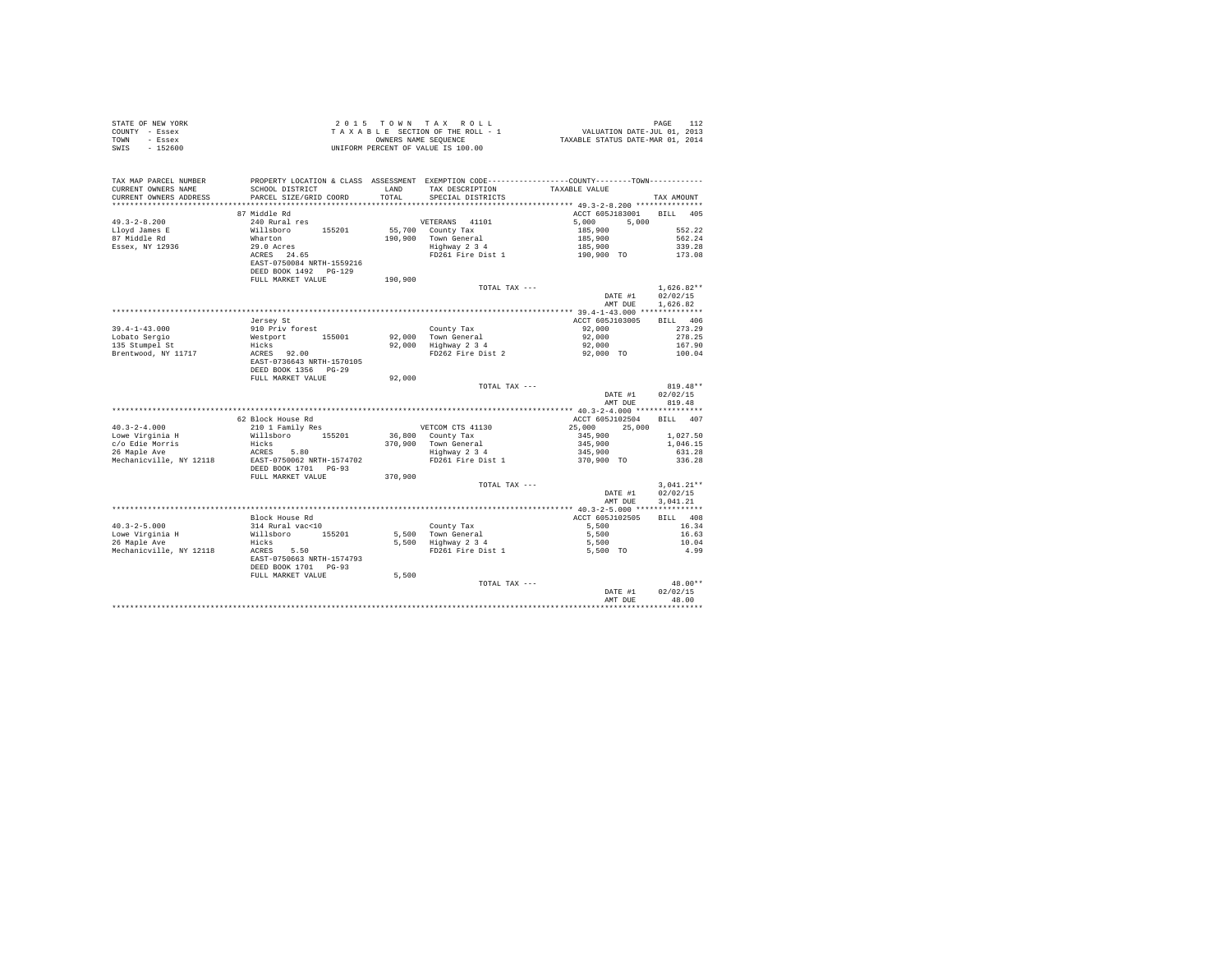| STATE OF NEW YORK<br>COUNTY - Essex<br>TOWN<br>- Essex<br>SWIS - 152600 |                                                   |               | 2015 TOWN TAX ROLL<br>$\begin{array}{cccccc} 2&0&1&5&\texttt{T} &0&\texttt{W} &\texttt{N} &\texttt{R} &\texttt{A} &\texttt{R} &0&\texttt{L} &\texttt{L} \\ \texttt{T} & \texttt{A} & \texttt{X} & \texttt{B} & \texttt{E} & \texttt{S} &\texttt{C} &\texttt{T} &\texttt{M} &\texttt{S} &\texttt{S} &\texttt{S} &\texttt{S} &\texttt{S} &\texttt{S} &\texttt{S} &\texttt{S} &\texttt{S} &\texttt{S} &\texttt{S} &\texttt{S}$<br>UNIFORM PERCENT OF VALUE IS 100.00 |                               | PAGE<br>112                      |
|-------------------------------------------------------------------------|---------------------------------------------------|---------------|-------------------------------------------------------------------------------------------------------------------------------------------------------------------------------------------------------------------------------------------------------------------------------------------------------------------------------------------------------------------------------------------------------------------------------------------------------------------|-------------------------------|----------------------------------|
| TAX MAP PARCEL NUMBER<br>CURRENT OWNERS NAME<br>CURRENT OWNERS ADDRESS  | SCHOOL DISTRICT<br>PARCEL SIZE/GRID COORD         | LAND<br>TOTAL | PROPERTY LOCATION & CLASS ASSESSMENT EXEMPTION CODE----------------COUNTY-------TOWN----------<br>TAX DESCRIPTION<br>SPECIAL DISTRICTS                                                                                                                                                                                                                                                                                                                            | TAXABLE VALUE                 | TAX AMOUNT                       |
|                                                                         | ba efbbim 58                                      |               |                                                                                                                                                                                                                                                                                                                                                                                                                                                                   | ACCT 605J183001 BILL 405      |                                  |
| $49.3 - 2 - 8.200$                                                      | 240 Rural res                                     |               | VETERANS 41101                                                                                                                                                                                                                                                                                                                                                                                                                                                    | 5,000<br>5,000                |                                  |
| Lloyd James E                                                           | Willsboro 155201                                  |               |                                                                                                                                                                                                                                                                                                                                                                                                                                                                   | 185,900                       | 552.22                           |
| 87 Middle Rd                                                            |                                                   |               | 55,700 County Tax<br>190,900 Town General                                                                                                                                                                                                                                                                                                                                                                                                                         | 185,900                       | 562.24                           |
| Essex, NY 12936                                                         | Wharton<br>29.0 Acres                             |               | Town General<br>Highway 2 3 4                                                                                                                                                                                                                                                                                                                                                                                                                                     | 185,900<br>190,900 TO         | 339.28                           |
|                                                                         | ACRES 24.65<br>EAST-0750084 NRTH-1559216          |               | FD261 Fire Dist 1                                                                                                                                                                                                                                                                                                                                                                                                                                                 |                               | 173.08                           |
|                                                                         | DEED BOOK 1492   PG-129<br>FULL MARKET VALUE      | 190,900       |                                                                                                                                                                                                                                                                                                                                                                                                                                                                   |                               |                                  |
|                                                                         |                                                   |               | TOTAL TAX ---                                                                                                                                                                                                                                                                                                                                                                                                                                                     |                               | $1,626.82**$                     |
|                                                                         |                                                   |               |                                                                                                                                                                                                                                                                                                                                                                                                                                                                   | DATE #1<br>AMT DUE            | 02/02/15<br>1.626.82             |
|                                                                         |                                                   |               |                                                                                                                                                                                                                                                                                                                                                                                                                                                                   |                               |                                  |
|                                                                         | Jersey St                                         |               |                                                                                                                                                                                                                                                                                                                                                                                                                                                                   | ACCT 605J103005               | BILL 406                         |
| $39.4 - 1 - 43.000$                                                     | 910 Priv forest                                   |               | County Tax<br>92,000 Town General<br>92,000 Highway 2 3 4                                                                                                                                                                                                                                                                                                                                                                                                         | 92,000                        | 273.29                           |
| Lobato Sergio<br>135 Stumpel St                                         | Westport 155001                                   |               |                                                                                                                                                                                                                                                                                                                                                                                                                                                                   | 92,000<br>92,000              | 278.25<br>167.90                 |
| Brentwood, NY 11717                                                     | Hicks<br>ACRES 92.00                              |               | FD262 Fire Dist 2                                                                                                                                                                                                                                                                                                                                                                                                                                                 | 92.000 TO                     | 100.04                           |
|                                                                         | EAST-0736643 NRTH-1570105<br>DEED BOOK 1356 PG-29 |               |                                                                                                                                                                                                                                                                                                                                                                                                                                                                   |                               |                                  |
|                                                                         | FULL MARKET VALUE                                 | 92,000        |                                                                                                                                                                                                                                                                                                                                                                                                                                                                   |                               |                                  |
|                                                                         |                                                   |               | TOTAL TAX ---                                                                                                                                                                                                                                                                                                                                                                                                                                                     | DATE #1<br>AMT DUE            | $819.48**$<br>02/02/15<br>819.48 |
|                                                                         |                                                   |               |                                                                                                                                                                                                                                                                                                                                                                                                                                                                   |                               |                                  |
|                                                                         | 62 Block House Rd                                 |               |                                                                                                                                                                                                                                                                                                                                                                                                                                                                   | ACCT 605J102504               | BILL 407                         |
| $40.3 - 2 - 4.000$                                                      | 210 1 Family Res                                  |               | VETCOM CTS 41130                                                                                                                                                                                                                                                                                                                                                                                                                                                  | 25,000<br>25,000              |                                  |
| Lowe Virginia H                                                         | Willsboro 155201                                  |               | 36,800 County Tax<br>370,900 Town General<br>Highway 2 3 4                                                                                                                                                                                                                                                                                                                                                                                                        | 345,900<br>345,900<br>345,900 | 1,027.50                         |
| c/o Edie Morris<br>26 Maple Ave                                         | Hicks<br>ACRES 5.80                               |               |                                                                                                                                                                                                                                                                                                                                                                                                                                                                   |                               | 1,046.15                         |
| Mechanicville, NY 12118                                                 | EAST-0750062 NRTH-1574702                         |               | FD261 Fire Dist 1                                                                                                                                                                                                                                                                                                                                                                                                                                                 | 370,900 TO                    | 631.28<br>336.28                 |
|                                                                         | DEED BOOK 1701 PG-93<br>FULL MARKET VALUE         | 370,900       |                                                                                                                                                                                                                                                                                                                                                                                                                                                                   |                               |                                  |
|                                                                         |                                                   |               | TOTAL TAX ---                                                                                                                                                                                                                                                                                                                                                                                                                                                     |                               | $3.041.21**$                     |
|                                                                         |                                                   |               |                                                                                                                                                                                                                                                                                                                                                                                                                                                                   | DATE #1<br>AMT DUE            | 02/02/15<br>3.041.21             |
|                                                                         |                                                   |               |                                                                                                                                                                                                                                                                                                                                                                                                                                                                   |                               |                                  |
|                                                                         | Block House Rd                                    |               |                                                                                                                                                                                                                                                                                                                                                                                                                                                                   | ACCT 605J102505               | BILL 408                         |
| $40.3 - 2 - 5.000$                                                      | 314 Rural vac<10                                  |               |                                                                                                                                                                                                                                                                                                                                                                                                                                                                   | 5,500                         | 16.34                            |
| Lowe Virginia H<br>26 Maple Ave                                         | Willsboro 155201                                  |               | County Tax<br>5,500 Town General<br>5,500 Highway 2 3 4<br>FD261 Fire Dist 1                                                                                                                                                                                                                                                                                                                                                                                      | 5,500                         | 16.63<br>10.04                   |
| Mechanicville, NY 12118                                                 | Hicks<br>ACRES 5.50                               |               |                                                                                                                                                                                                                                                                                                                                                                                                                                                                   | $5,500$<br>$5,500$ TO         | 4.99                             |
|                                                                         | EAST-0750663 NRTH-1574793<br>DEED BOOK 1701 PG-93 |               |                                                                                                                                                                                                                                                                                                                                                                                                                                                                   |                               |                                  |
|                                                                         | FULL MARKET VALUE                                 | 5,500         |                                                                                                                                                                                                                                                                                                                                                                                                                                                                   |                               |                                  |
|                                                                         |                                                   |               | TOTAL TAX ---                                                                                                                                                                                                                                                                                                                                                                                                                                                     |                               | 48.00**                          |
|                                                                         |                                                   |               |                                                                                                                                                                                                                                                                                                                                                                                                                                                                   | DATE #1<br>AMT DHE            | 02/02/15<br>48.00                |
|                                                                         |                                                   |               |                                                                                                                                                                                                                                                                                                                                                                                                                                                                   |                               |                                  |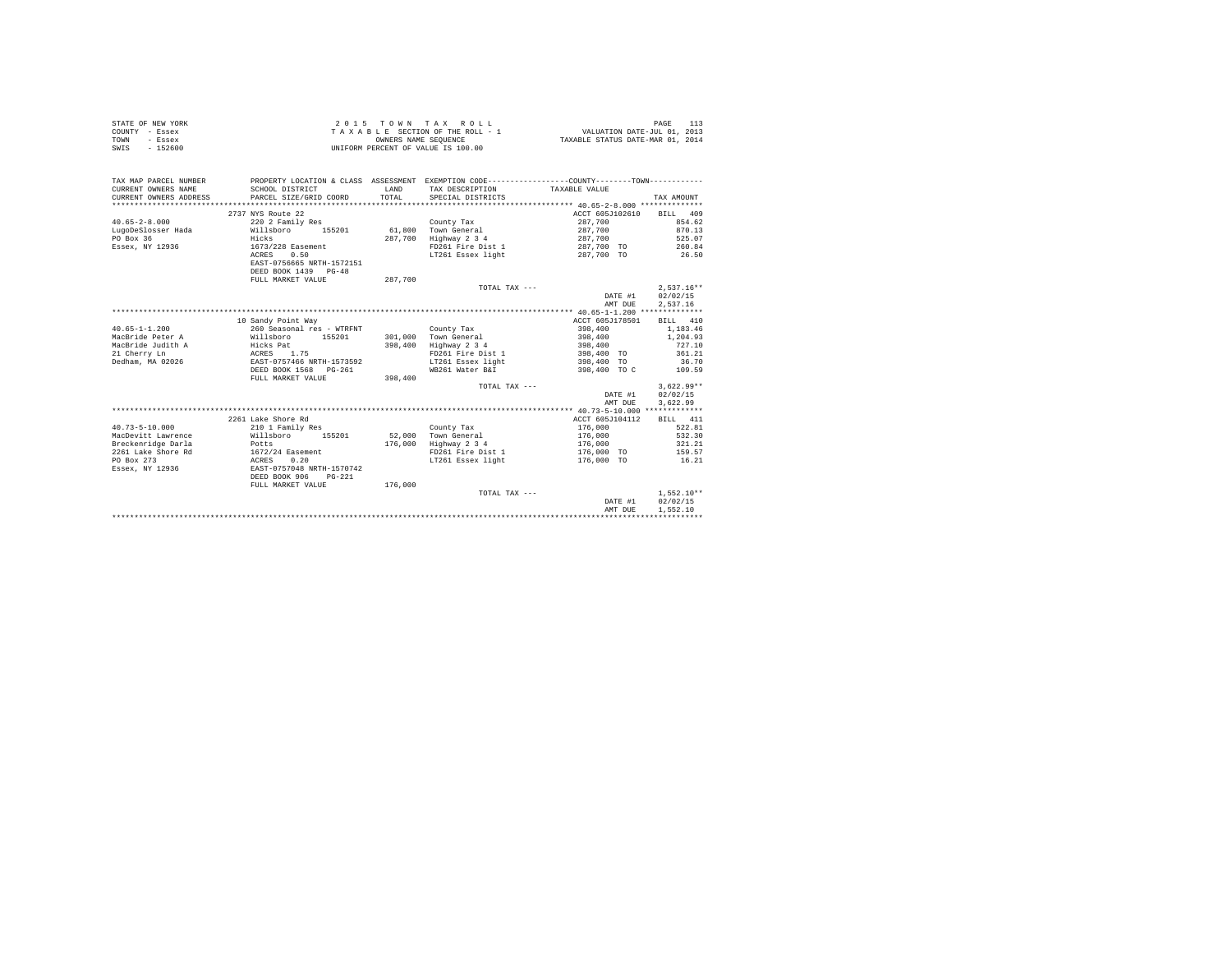|                | STATE OF NEW YORK |  |  |  | 2015 TOWN TAX ROLL                 |  |  |  |  | PAGE                             |
|----------------|-------------------|--|--|--|------------------------------------|--|--|--|--|----------------------------------|
| COUNTY - Essex |                   |  |  |  | TAXABLE SECTION OF THE ROLL - 1    |  |  |  |  | VALUATION DATE-JUL 01, 2013      |
| TOWN           | - Essex           |  |  |  | OWNERS NAME SEOUENCE               |  |  |  |  | TAXABLE STATUS DATE-MAR 01, 2014 |
| SWIS           | $-152600$         |  |  |  | UNIFORM PERCENT OF VALUE IS 100.00 |  |  |  |  |                                  |

| TAX MAP PARCEL NUMBER<br>CURRENT OWNERS NAME<br>CURRENT OWNERS ADDRESS<br>*********************** | SCHOOL DISTRICT<br>PARCEL SIZE/GRID COORD         | LAND<br>TOTAL | PROPERTY LOCATION & CLASS ASSESSMENT EXEMPTION CODE----------------COUNTY-------TOWN----------<br>TAX DESCRIPTION<br>SPECIAL DISTRICTS | TAXABLE VALUE   | TAX AMOUNT   |
|---------------------------------------------------------------------------------------------------|---------------------------------------------------|---------------|----------------------------------------------------------------------------------------------------------------------------------------|-----------------|--------------|
|                                                                                                   | 2737 NYS Route 22                                 |               |                                                                                                                                        | ACCT 605J102610 | BILL 409     |
| $40.65 - 2 - 8.000$                                                                               | 220 2 Family Res                                  |               | County Tax                                                                                                                             | 287.700         | 854.62       |
| LugoDeSlosser Hada                                                                                | Willsboro<br>155201                               | 61,800        | Town General                                                                                                                           | 287,700         | 870.13       |
| PO Box 36                                                                                         | Hicks                                             | 287.700       | Highway 2 3 4                                                                                                                          | 287,700         | 525.07       |
| Essex, NY 12936                                                                                   | 1673/228 Easement                                 |               | FD261 Fire Dist 1                                                                                                                      | 287,700 TO      | 260.84       |
|                                                                                                   | ACRES<br>0.50                                     |               | LT261 Essex light                                                                                                                      | 287,700 TO      | 26.50        |
|                                                                                                   | EAST-0756665 NRTH-1572151<br>DEED BOOK 1439 PG-48 |               |                                                                                                                                        |                 |              |
|                                                                                                   | FULL MARKET VALUE                                 | 287,700       |                                                                                                                                        |                 |              |
|                                                                                                   |                                                   |               | TOTAL TAX ---                                                                                                                          |                 | $2.537.16**$ |
|                                                                                                   |                                                   |               |                                                                                                                                        | DATE #1         | 02/02/15     |
|                                                                                                   |                                                   |               |                                                                                                                                        | AMT DUE         | 2,537.16     |
|                                                                                                   |                                                   |               |                                                                                                                                        |                 |              |
|                                                                                                   | 10 Sandy Point Way                                |               |                                                                                                                                        | ACCT 605J178501 | BILL 410     |
| $40.65 - 1 - 1.200$                                                                               | 260 Seasonal res - WTRFNT                         |               | County Tax                                                                                                                             | 398,400         | 1,183,46     |
| MacBride Peter A                                                                                  | Willsboro<br>155201                               | 301,000       | Town General                                                                                                                           | 398,400         | 1,204.93     |
| MacBride Judith A                                                                                 | Hicks Pat                                         | 398,400       | Highway 2 3 4                                                                                                                          | 398,400         | 727.10       |
| 21 Cherry Ln                                                                                      | ACRES 1.75                                        |               | FD261 Fire Dist 1                                                                                                                      | 398,400 TO      | 361.21       |
| Dedham, MA 02026                                                                                  | EAST-0757466 NRTH-1573592                         |               | LT261 Essex light                                                                                                                      | 398,400 TO      | 36.70        |
|                                                                                                   | DEED BOOK 1568<br>$PG-261$                        |               | WB261 Water B&I                                                                                                                        | 398,400 TO C    | 109.59       |
|                                                                                                   | FULL MARKET VALUE                                 | 398,400       |                                                                                                                                        |                 |              |
|                                                                                                   |                                                   |               | TOTAL TAX ---                                                                                                                          |                 | $3,622.99**$ |
|                                                                                                   |                                                   |               |                                                                                                                                        | DATE #1         | 02/02/15     |
|                                                                                                   |                                                   |               |                                                                                                                                        | AMT DUE         | 3.622.99     |
|                                                                                                   |                                                   |               |                                                                                                                                        |                 |              |
|                                                                                                   | 2261 Lake Shore Rd                                |               |                                                                                                                                        | ACCT 605J104112 | BILL 411     |
| $40.73 - 5 - 10.000$                                                                              | 210 1 Family Res                                  |               | County Tax                                                                                                                             | 176,000         | 522.81       |
| MacDevitt Lawrence                                                                                | Willsboro<br>155201                               | 52,000        | Town General                                                                                                                           | 176,000         | 532.30       |
| Breckenridge Darla                                                                                | Potts                                             | 176,000       | Highway 2 3 4                                                                                                                          | 176,000         | 321.21       |
| 2261 Lake Shore Rd                                                                                | 1672/24 Easement                                  |               | FD261 Fire Dist 1                                                                                                                      | 176,000 TO      | 159.57       |
| PO Box 273                                                                                        | 0.20<br>ACRES                                     |               | LT261 Essex light                                                                                                                      | 176,000 TO      | 16.21        |
| Essex, NY 12936                                                                                   | EAST-0757048 NRTH-1570742                         |               |                                                                                                                                        |                 |              |
|                                                                                                   | DEED BOOK 906<br>$PG-221$                         |               |                                                                                                                                        |                 |              |
|                                                                                                   | FULL MARKET VALUE                                 | 176,000       |                                                                                                                                        |                 |              |
|                                                                                                   |                                                   |               | TOTAL TAX ---                                                                                                                          |                 | $1.552.10**$ |
|                                                                                                   |                                                   |               |                                                                                                                                        | DATE #1         | 02/02/15     |
|                                                                                                   |                                                   |               |                                                                                                                                        | AMT DUE         | 1.552.10     |
|                                                                                                   |                                                   |               |                                                                                                                                        |                 |              |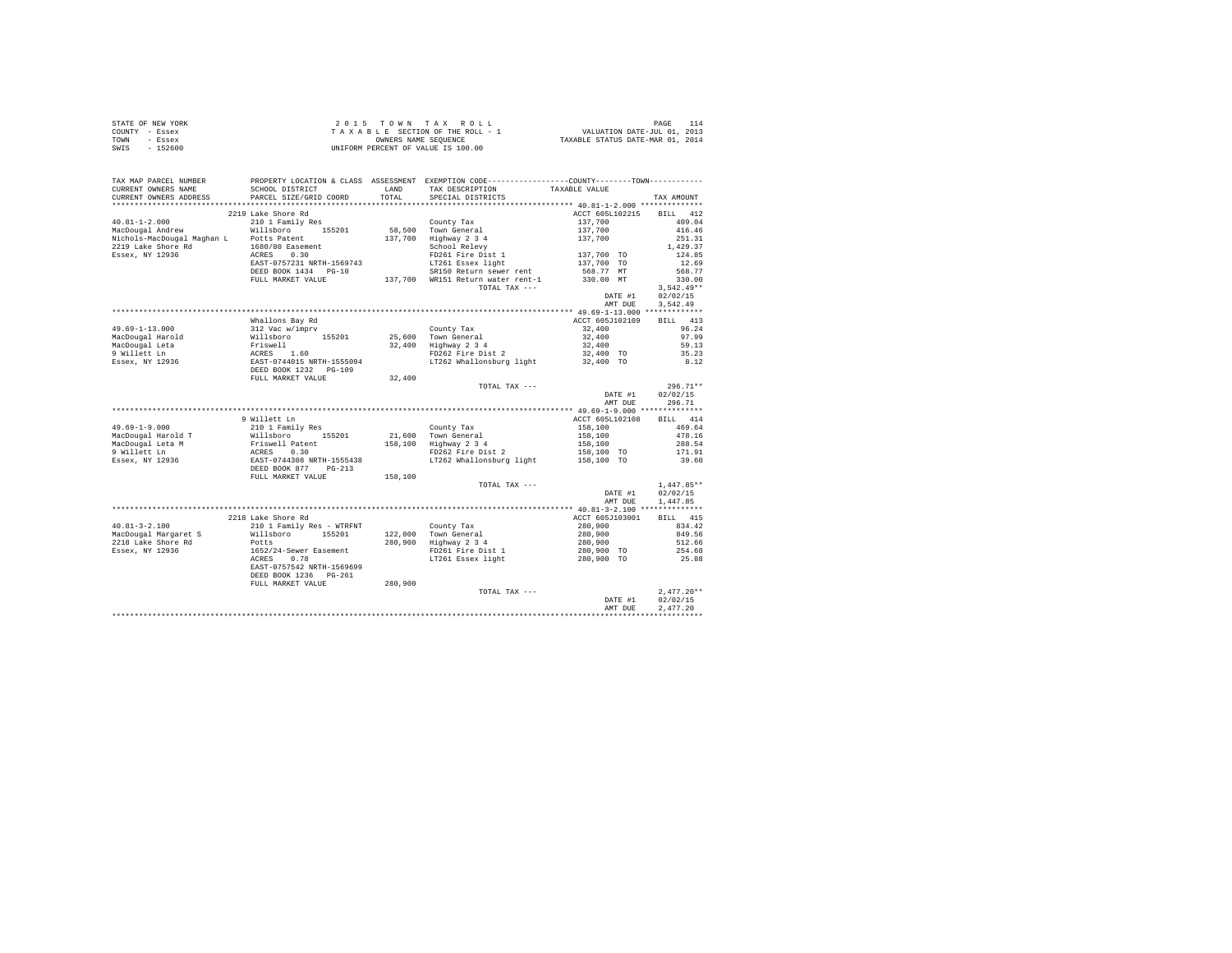| STATE OF NEW YORK | 2015 TOWN TAX ROLL                 | PAGE                             |
|-------------------|------------------------------------|----------------------------------|
| COUNTY - Essex    | TAXABLE SECTION OF THE ROLL - 1    | VALUATION DATE-JUL 01, 2013      |
| TOWN<br>- Essex   | OWNERS NAME SEOUENCE               | TAXABLE STATUS DATE-MAR 01, 2014 |
| $-152600$<br>SWIS | UNIFORM PERCENT OF VALUE IS 100.00 |                                  |

| TAX MAP PARCEL NUMBER<br>CURRENT OWNERS NAME | SCHOOL DISTRICT<br>SCHOOL DISTRICT<br>PARCEL SIZE/GRID COORD                                                                                                                                                                                          |         | PROPERTY LOCATION & CLASS ASSESSMENT EXEMPTION CODE-----------------COUNTY--------TOWN----------<br>LAND TAX DESCRIPTION | TAXABLE VALUE                       |                 |
|----------------------------------------------|-------------------------------------------------------------------------------------------------------------------------------------------------------------------------------------------------------------------------------------------------------|---------|--------------------------------------------------------------------------------------------------------------------------|-------------------------------------|-----------------|
| CURRENT OWNERS ADDRESS                       |                                                                                                                                                                                                                                                       |         | TOTAL SPECIAL DISTRICTS                                                                                                  |                                     | TAX AMOUNT      |
|                                              |                                                                                                                                                                                                                                                       |         |                                                                                                                          |                                     |                 |
|                                              | 2219 Lake Shore Rd                                                                                                                                                                                                                                    |         |                                                                                                                          | ACCT 605L102215                     | BILL 412        |
| $40.81 - 1 - 2.000$                          | 210 1 Family Res                                                                                                                                                                                                                                      |         | County Tax                                                                                                               |                                     | 409.04          |
|                                              | MacDougal Andrew Millsboro 155201                                                                                                                                                                                                                     |         | 58,500 Town General<br>137,700 Highway 2 3 4                                                                             |                                     | 416.46          |
|                                              |                                                                                                                                                                                                                                                       |         |                                                                                                                          | $137,700$<br>$137,700$<br>$137,700$ | 251.31          |
|                                              |                                                                                                                                                                                                                                                       |         | Highway 2 3 4<br>School Relevy<br>FD261 Fire Dist 1 1 137,700 TO<br>The Transverse Hight 137,700 TO<br>137,700 TO        |                                     | 1,429.37        |
|                                              |                                                                                                                                                                                                                                                       |         |                                                                                                                          |                                     | 124.85          |
|                                              |                                                                                                                                                                                                                                                       |         |                                                                                                                          |                                     | 12.69           |
|                                              | DEED BOOK 1434 PG-10<br>DEED BOOK 1434 PG-10 SR150 Return sewer rent<br>FULL MARKET VALUE 137,700 WR151 Return water rent-1                                                                                                                           |         | SR150 Return sewer rent                                                                                                  | 568.77 MT                           | 568.77          |
|                                              |                                                                                                                                                                                                                                                       |         |                                                                                                                          | 330.00 MT                           | 330.00          |
|                                              |                                                                                                                                                                                                                                                       |         | TOTAL TAX ---                                                                                                            |                                     | $3,542.49**$    |
|                                              |                                                                                                                                                                                                                                                       |         |                                                                                                                          | DATE #1                             | 02/02/15        |
|                                              |                                                                                                                                                                                                                                                       |         |                                                                                                                          | AMT DUE                             | 3,542.49        |
|                                              |                                                                                                                                                                                                                                                       |         |                                                                                                                          |                                     |                 |
|                                              | Whallons Bay Rd                                                                                                                                                                                                                                       |         |                                                                                                                          | ACCT 605J102109                     | BILL 413        |
|                                              |                                                                                                                                                                                                                                                       |         | County Tax                                                                                                               | 32,400                              | 96.24           |
|                                              |                                                                                                                                                                                                                                                       |         | 25,600 Town General<br>32,400 Highway 2 3 4                                                                              | 32,400<br>32,400                    | 97.99           |
|                                              |                                                                                                                                                                                                                                                       |         | FD262 Fire Dist 2                                                                                                        |                                     | 59.13           |
|                                              |                                                                                                                                                                                                                                                       |         | LT262 Whallonsburg light 32,400 TO 8.12                                                                                  | 32,400 TO                           | 35.23           |
|                                              | 49.69-1-13.000<br>MacDougal Harold<br>MacDougal Harold<br>MacDougal Hata<br>Millett Ln<br>2011<br>2013<br>2013<br>2014015 NRTH-1555094<br>2028<br>2028<br>2028<br>2028<br>2028<br>2028<br>2028<br>2028<br>2028<br>2028<br>2028<br>2028<br>2028<br>202 |         |                                                                                                                          |                                     |                 |
|                                              | FULL MARKET VALUE                                                                                                                                                                                                                                     | 32,400  |                                                                                                                          |                                     |                 |
|                                              |                                                                                                                                                                                                                                                       |         | TOTAL TAX ---                                                                                                            |                                     | $296.71**$      |
|                                              |                                                                                                                                                                                                                                                       |         |                                                                                                                          | DATE #1                             | 02/02/15        |
|                                              |                                                                                                                                                                                                                                                       |         |                                                                                                                          | AMT DUE                             | 296.71          |
|                                              |                                                                                                                                                                                                                                                       |         |                                                                                                                          |                                     |                 |
|                                              | 9 Willett Ln                                                                                                                                                                                                                                          |         |                                                                                                                          | ACCT 605L102108                     | BILL 414        |
| $49.69 - 1 - 9.000$                          | 210 1 Family Res                                                                                                                                                                                                                                      |         | County Tax                                                                                                               | 158,100                             | 469.64          |
|                                              |                                                                                                                                                                                                                                                       |         |                                                                                                                          |                                     | 478.16          |
|                                              |                                                                                                                                                                                                                                                       |         |                                                                                                                          | 158,100<br>158,100                  | 288.54          |
|                                              |                                                                                                                                                                                                                                                       |         | FD262 Fire Dist 2                                                                                                        | $158, 100$ TO                       | 171.91          |
|                                              | MacDougal Harold T<br>MacDougal Leta M<br>MacDougal Leta M<br>MacDougal Leta M<br>Priswell Pack Construction (155201 21,600 Town General<br>PRISM PRISM PRISM PRISM PRISM PRISM PRISM PRISM PRISM PRISM PRISM PRISM PRISM PRISM PRISM PR              |         | LT262 Whallonsburg light                                                                                                 | 158,100 TO                          | 39.60           |
|                                              |                                                                                                                                                                                                                                                       |         |                                                                                                                          |                                     |                 |
|                                              | FULL MARKET VALUE                                                                                                                                                                                                                                     | 158,100 |                                                                                                                          |                                     |                 |
|                                              |                                                                                                                                                                                                                                                       |         | TOTAL TAX ---                                                                                                            |                                     | $1,447.85**$    |
|                                              |                                                                                                                                                                                                                                                       |         |                                                                                                                          | DATE #1                             | 02/02/15        |
|                                              |                                                                                                                                                                                                                                                       |         |                                                                                                                          | AMT DUE                             | 1,447.85        |
|                                              |                                                                                                                                                                                                                                                       |         |                                                                                                                          |                                     |                 |
|                                              | 2218 Lake Shore Rd                                                                                                                                                                                                                                    |         |                                                                                                                          | ACCT 605J103001                     | BILL 415        |
| $40.81 - 3 - 2.100$                          | 210 1 Family Res - WTRFNT                                                                                                                                                                                                                             |         |                                                                                                                          |                                     | 834.42          |
|                                              | MacDougal Margaret S Willsboro 155201                                                                                                                                                                                                                 |         | County Tax<br>122,000 Town General                                                                                       | 280,900<br>280,900                  | 849.56          |
| 2218 Lake Shore Rd                           | Potts                                                                                                                                                                                                                                                 |         | 280,900 Highway 2 3 4                                                                                                    | 280,900                             | 512.66          |
| Essex, NY 12936                              |                                                                                                                                                                                                                                                       |         |                                                                                                                          | 280,900 TO                          |                 |
|                                              | 1652/24-Sewer Easement<br>ACRES 0.78                                                                                                                                                                                                                  |         | FD261 Fire Dist 1<br>LT261 Essex light                                                                                   | 280,900 TO                          | 254.68<br>25.88 |
|                                              | EAST-0757542 NRTH-1569699                                                                                                                                                                                                                             |         |                                                                                                                          |                                     |                 |
|                                              | DEED BOOK 1236 PG-261                                                                                                                                                                                                                                 |         |                                                                                                                          |                                     |                 |
|                                              | FULL MARKET VALUE                                                                                                                                                                                                                                     | 280,900 |                                                                                                                          |                                     |                 |
|                                              |                                                                                                                                                                                                                                                       |         | TOTAL TAX ---                                                                                                            |                                     | $2,477.20**$    |
|                                              |                                                                                                                                                                                                                                                       |         |                                                                                                                          | DATE #1                             | 02/02/15        |
|                                              |                                                                                                                                                                                                                                                       |         |                                                                                                                          | AMT DUE                             | 2,477.20        |
|                                              |                                                                                                                                                                                                                                                       |         |                                                                                                                          |                                     |                 |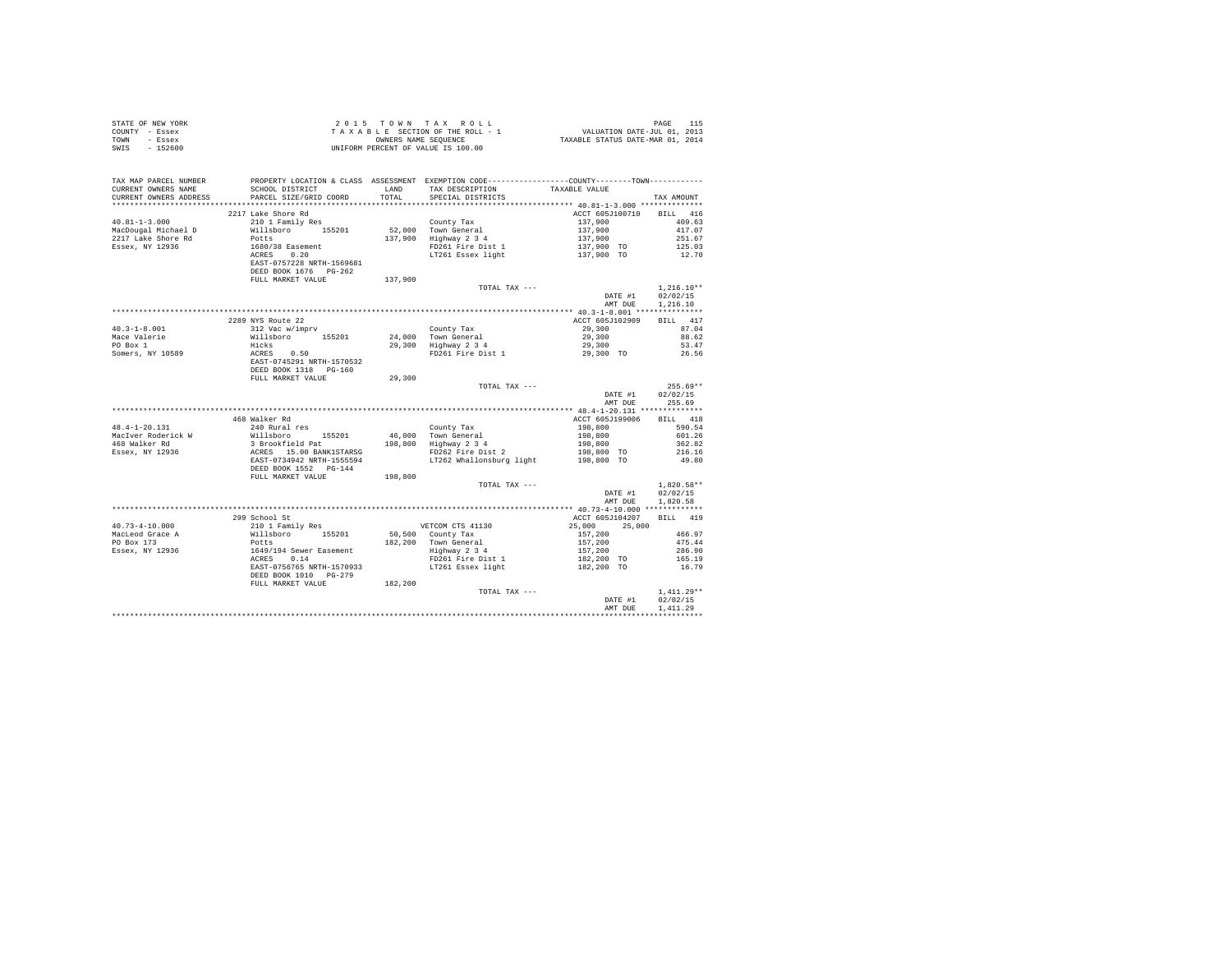| STATE OF NEW YORK |                                                                                                                                                                                                                                                                                                                                                                                                                                   |         |                                                                                                                                                                                                                                                      |                                                         |                  |
|-------------------|-----------------------------------------------------------------------------------------------------------------------------------------------------------------------------------------------------------------------------------------------------------------------------------------------------------------------------------------------------------------------------------------------------------------------------------|---------|------------------------------------------------------------------------------------------------------------------------------------------------------------------------------------------------------------------------------------------------------|---------------------------------------------------------|------------------|
| COUNTY - Essex    | 2015 TOWN TAX ROLL<br>TAXABLE SECTION OF THE ROLL - 1<br>ONNERS NAME SEQUENCE<br>UNIFORM PERCENT OF VALUE IS 100.00<br>UNIFORM PERCENT OF VALUE IS 100.00                                                                                                                                                                                                                                                                         |         |                                                                                                                                                                                                                                                      |                                                         |                  |
| TOWN - Essex      |                                                                                                                                                                                                                                                                                                                                                                                                                                   |         |                                                                                                                                                                                                                                                      |                                                         |                  |
| SWIS - 152600     |                                                                                                                                                                                                                                                                                                                                                                                                                                   |         |                                                                                                                                                                                                                                                      |                                                         |                  |
|                   |                                                                                                                                                                                                                                                                                                                                                                                                                                   |         |                                                                                                                                                                                                                                                      |                                                         |                  |
|                   |                                                                                                                                                                                                                                                                                                                                                                                                                                   |         |                                                                                                                                                                                                                                                      |                                                         |                  |
|                   |                                                                                                                                                                                                                                                                                                                                                                                                                                   |         |                                                                                                                                                                                                                                                      |                                                         |                  |
|                   |                                                                                                                                                                                                                                                                                                                                                                                                                                   |         |                                                                                                                                                                                                                                                      |                                                         |                  |
|                   |                                                                                                                                                                                                                                                                                                                                                                                                                                   |         |                                                                                                                                                                                                                                                      |                                                         |                  |
|                   | CURRENT OWNERS NAME<br>CURRENT OWNERS ADDRESS PARCEL SIZE/GRID COORD                                                                                                                                                                                                                                                                                                                                                              | TOTAL   | SPECIAL DISTRICTS                                                                                                                                                                                                                                    |                                                         | TAX AMOUNT       |
|                   |                                                                                                                                                                                                                                                                                                                                                                                                                                   |         |                                                                                                                                                                                                                                                      |                                                         |                  |
|                   | 2217 Lake Shore Rd                                                                                                                                                                                                                                                                                                                                                                                                                |         |                                                                                                                                                                                                                                                      | ACCT 605J100710 BILL 416                                |                  |
|                   |                                                                                                                                                                                                                                                                                                                                                                                                                                   |         | County Tax<br>52,000 Town General<br>137,900 Highway 2 3 4<br>FIGN PDE 1 37,900 1251.67<br>FIGN PDE 1 2 3 4<br>FIGN PDE 1 2 3 4<br>FIGN PDE 1 2 3 4<br>FIGN PDE 1 2 3 4<br>FIGN PDE 1 2 3 4<br>FIGN PDE 1 2 3 4<br>LITE 1 37,900 TO 125.03<br>137,90 |                                                         |                  |
|                   |                                                                                                                                                                                                                                                                                                                                                                                                                                   |         |                                                                                                                                                                                                                                                      |                                                         |                  |
|                   |                                                                                                                                                                                                                                                                                                                                                                                                                                   |         |                                                                                                                                                                                                                                                      |                                                         |                  |
|                   |                                                                                                                                                                                                                                                                                                                                                                                                                                   |         |                                                                                                                                                                                                                                                      |                                                         |                  |
|                   |                                                                                                                                                                                                                                                                                                                                                                                                                                   |         |                                                                                                                                                                                                                                                      |                                                         |                  |
|                   |                                                                                                                                                                                                                                                                                                                                                                                                                                   |         |                                                                                                                                                                                                                                                      |                                                         |                  |
|                   |                                                                                                                                                                                                                                                                                                                                                                                                                                   |         |                                                                                                                                                                                                                                                      |                                                         |                  |
|                   |                                                                                                                                                                                                                                                                                                                                                                                                                                   |         |                                                                                                                                                                                                                                                      |                                                         |                  |
|                   |                                                                                                                                                                                                                                                                                                                                                                                                                                   | 137,900 |                                                                                                                                                                                                                                                      |                                                         |                  |
|                   | $\begin{tabular}{ll} 40.81-1-3.000 & \begin{tabular}{ll} \texttt{241} & \texttt{2421} & \texttt{2432} & \texttt{2433} & \texttt{2434} & \texttt{2435} \\ \texttt{MacDouga1 Michael D} & & & & & & \\ \texttt{2217 Lake Since Rd} & & & & & \\ \texttt{2218} & & & & & \\ \texttt{2219 The A} & & & & & \\ \texttt{2219 The A} & & & & & \\ \texttt{2210 The A} & & & & & \\ \texttt{2210 The A} & & & & & \\ \texttt{2211 The A}$ |         | TOTAL TAX ---                                                                                                                                                                                                                                        |                                                         | $1,216.10**$     |
|                   |                                                                                                                                                                                                                                                                                                                                                                                                                                   |         |                                                                                                                                                                                                                                                      |                                                         | DATE #1 02/02/15 |
|                   |                                                                                                                                                                                                                                                                                                                                                                                                                                   |         |                                                                                                                                                                                                                                                      |                                                         | AMT DUE 1,216.10 |
|                   |                                                                                                                                                                                                                                                                                                                                                                                                                                   |         |                                                                                                                                                                                                                                                      |                                                         |                  |
|                   | 2289 NYS Route 22                                                                                                                                                                                                                                                                                                                                                                                                                 |         |                                                                                                                                                                                                                                                      | ACCT 605J102909 BILL 417                                |                  |
|                   |                                                                                                                                                                                                                                                                                                                                                                                                                                   |         |                                                                                                                                                                                                                                                      |                                                         |                  |
|                   |                                                                                                                                                                                                                                                                                                                                                                                                                                   |         |                                                                                                                                                                                                                                                      |                                                         |                  |
|                   |                                                                                                                                                                                                                                                                                                                                                                                                                                   |         |                                                                                                                                                                                                                                                      | $29,300$<br>$29,300$<br>$29,300$<br>$29,300$<br>$53.47$ |                  |
|                   |                                                                                                                                                                                                                                                                                                                                                                                                                                   |         |                                                                                                                                                                                                                                                      |                                                         | 26.56            |
|                   |                                                                                                                                                                                                                                                                                                                                                                                                                                   |         |                                                                                                                                                                                                                                                      |                                                         |                  |
|                   |                                                                                                                                                                                                                                                                                                                                                                                                                                   |         |                                                                                                                                                                                                                                                      |                                                         |                  |
|                   | $\begin{tabular}{lcccc} 40.3-1-8.001 & 2289 NTS Rout 22 & 2289 NTS Cout 22 & 2289 NTS Cout 22 & 2289 NTS Cout 22 & 2289 NTS Cout 22 & 2289 NTS Cout 22 & 2289 NTS Cout 22 & 2289 NTS Cout 22 & 2289 NTS Cout 22 & 2289 NTS Cout 22 & 2289 NTS Cout 22 & 2289 NTS Cout 22 & 2289 NTS Cout 22 & 2289 NTS Cout 22 & 2289 NTS Cout 22 & 2$                                                                                            |         |                                                                                                                                                                                                                                                      |                                                         |                  |
|                   |                                                                                                                                                                                                                                                                                                                                                                                                                                   |         |                                                                                                                                                                                                                                                      |                                                         | $255.69**$       |
|                   |                                                                                                                                                                                                                                                                                                                                                                                                                                   |         | TOTAL TAX ---                                                                                                                                                                                                                                        |                                                         |                  |
|                   |                                                                                                                                                                                                                                                                                                                                                                                                                                   |         |                                                                                                                                                                                                                                                      |                                                         | DATE #1 02/02/15 |
|                   |                                                                                                                                                                                                                                                                                                                                                                                                                                   |         |                                                                                                                                                                                                                                                      |                                                         | AMT DUE 255.69   |
|                   |                                                                                                                                                                                                                                                                                                                                                                                                                                   |         |                                                                                                                                                                                                                                                      |                                                         |                  |
|                   | 468 Walker Rd                                                                                                                                                                                                                                                                                                                                                                                                                     |         |                                                                                                                                                                                                                                                      | ACCT 605J199006 BILL 418                                |                  |
|                   |                                                                                                                                                                                                                                                                                                                                                                                                                                   |         |                                                                                                                                                                                                                                                      |                                                         |                  |
|                   |                                                                                                                                                                                                                                                                                                                                                                                                                                   |         |                                                                                                                                                                                                                                                      |                                                         |                  |
|                   |                                                                                                                                                                                                                                                                                                                                                                                                                                   |         |                                                                                                                                                                                                                                                      |                                                         |                  |
|                   |                                                                                                                                                                                                                                                                                                                                                                                                                                   |         |                                                                                                                                                                                                                                                      |                                                         |                  |
|                   |                                                                                                                                                                                                                                                                                                                                                                                                                                   |         |                                                                                                                                                                                                                                                      |                                                         |                  |
|                   |                                                                                                                                                                                                                                                                                                                                                                                                                                   |         |                                                                                                                                                                                                                                                      |                                                         |                  |
|                   | DEED BOOK 1552 PG-144<br>FULL MARKET VALUE 198,800                                                                                                                                                                                                                                                                                                                                                                                |         |                                                                                                                                                                                                                                                      |                                                         |                  |
|                   |                                                                                                                                                                                                                                                                                                                                                                                                                                   |         | TOTAL TAX ---                                                                                                                                                                                                                                        |                                                         | $1.820.58**$     |
|                   |                                                                                                                                                                                                                                                                                                                                                                                                                                   |         |                                                                                                                                                                                                                                                      |                                                         | DATE #1 02/02/15 |
|                   |                                                                                                                                                                                                                                                                                                                                                                                                                                   |         |                                                                                                                                                                                                                                                      |                                                         | AMT DUE 1,820.58 |
|                   |                                                                                                                                                                                                                                                                                                                                                                                                                                   |         |                                                                                                                                                                                                                                                      |                                                         |                  |
|                   |                                                                                                                                                                                                                                                                                                                                                                                                                                   |         |                                                                                                                                                                                                                                                      | ACCT 605J104207 BILL 419                                |                  |
|                   |                                                                                                                                                                                                                                                                                                                                                                                                                                   |         |                                                                                                                                                                                                                                                      |                                                         |                  |
|                   |                                                                                                                                                                                                                                                                                                                                                                                                                                   |         |                                                                                                                                                                                                                                                      |                                                         |                  |
|                   |                                                                                                                                                                                                                                                                                                                                                                                                                                   |         |                                                                                                                                                                                                                                                      |                                                         | 466.97           |
|                   |                                                                                                                                                                                                                                                                                                                                                                                                                                   |         |                                                                                                                                                                                                                                                      |                                                         | 475.44           |
|                   |                                                                                                                                                                                                                                                                                                                                                                                                                                   |         |                                                                                                                                                                                                                                                      |                                                         | 286.90           |
|                   |                                                                                                                                                                                                                                                                                                                                                                                                                                   |         |                                                                                                                                                                                                                                                      |                                                         | 165.19           |
|                   |                                                                                                                                                                                                                                                                                                                                                                                                                                   |         |                                                                                                                                                                                                                                                      |                                                         | 16.79            |
|                   |                                                                                                                                                                                                                                                                                                                                                                                                                                   |         |                                                                                                                                                                                                                                                      |                                                         |                  |
|                   |                                                                                                                                                                                                                                                                                                                                                                                                                                   |         |                                                                                                                                                                                                                                                      |                                                         |                  |
|                   |                                                                                                                                                                                                                                                                                                                                                                                                                                   |         | TOTAL TAX ---                                                                                                                                                                                                                                        |                                                         | $1.411.29**$     |
|                   |                                                                                                                                                                                                                                                                                                                                                                                                                                   |         |                                                                                                                                                                                                                                                      |                                                         | DATE #1 02/02/15 |
|                   |                                                                                                                                                                                                                                                                                                                                                                                                                                   |         |                                                                                                                                                                                                                                                      | AMT DUE                                                 | 1,411.29         |
|                   |                                                                                                                                                                                                                                                                                                                                                                                                                                   |         |                                                                                                                                                                                                                                                      |                                                         |                  |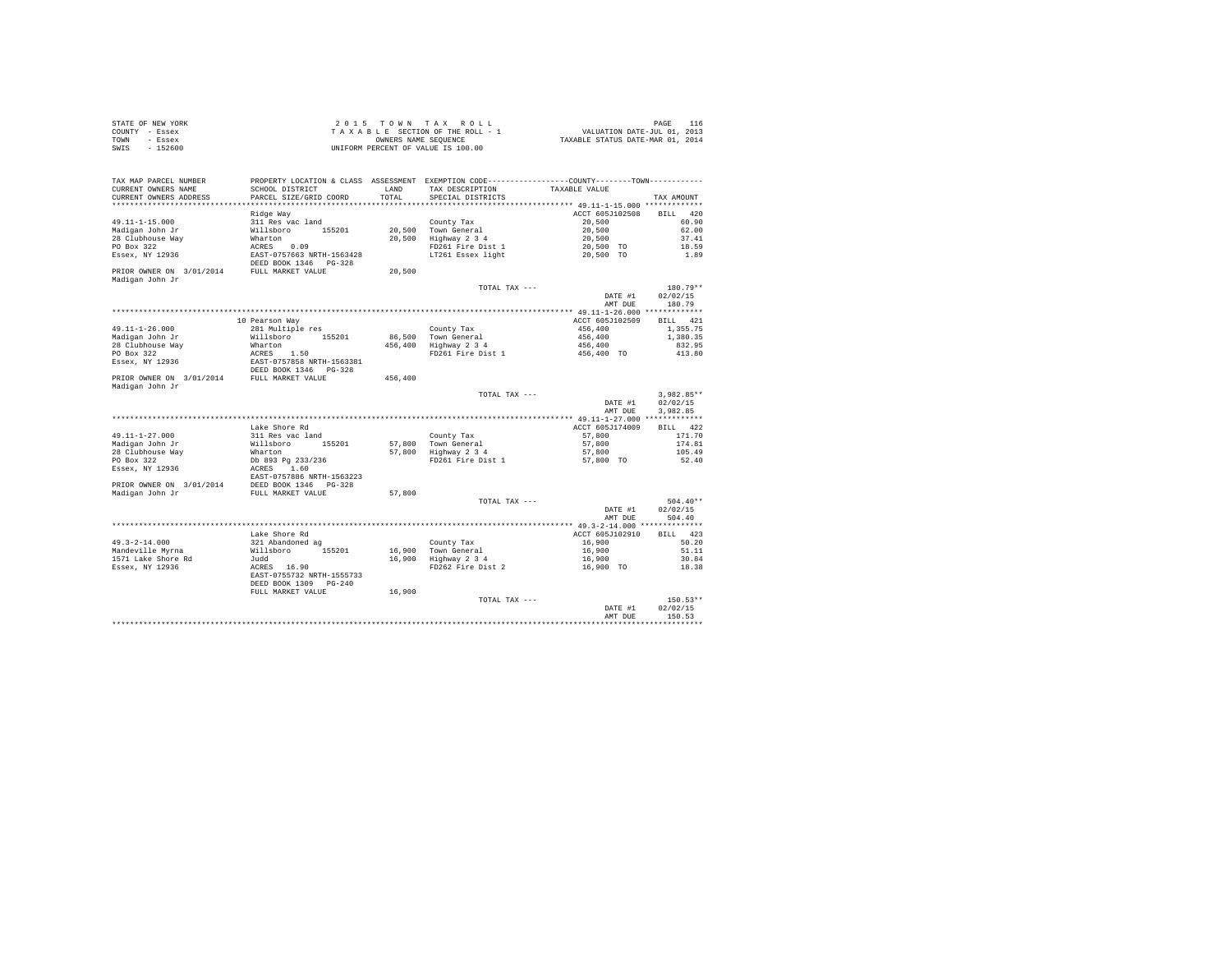| STATE OF NEW YORK | $2.0.15$ TOWN TAX ROLL             | PAGE                             |
|-------------------|------------------------------------|----------------------------------|
| COUNTY - Essex    | TAXABLE SECTION OF THE ROLL - 1    | VALUATION DATE-JUL 01, 2013      |
| TOWN<br>- Essex   | OWNERS NAME SEOUENCE               | TAXABLE STATUS DATE-MAR 01, 2014 |
| $-152600$<br>SWIS | UNIFORM PERCENT OF VALUE IS 100.00 |                                  |

| TAX MAP PARCEL NUMBER                                         |                                                    |         |                       | PROPERTY LOCATION & CLASS ASSESSMENT EXEMPTION CODE----------------COUNTY--------TOWN---------- |                    |
|---------------------------------------------------------------|----------------------------------------------------|---------|-----------------------|-------------------------------------------------------------------------------------------------|--------------------|
| CURRENT OWNERS NAME                                           | SCHOOL DISTRICT                                    | LAND    | TAX DESCRIPTION       | TAXABLE VALUE                                                                                   |                    |
| CURRENT OWNERS ADDRESS                                        | PARCEL SIZE/GRID COORD                             | TOTAL   | SPECIAL DISTRICTS     |                                                                                                 | TAX AMOUNT         |
|                                                               |                                                    |         |                       |                                                                                                 |                    |
|                                                               | Ridge Way                                          |         |                       | ACCT 605J102508                                                                                 | BILL 420           |
| $49.11 - 1 - 15.000$                                          | 311 Res vac land                                   |         | County Tax            | 20,500                                                                                          | 60.90              |
| Madigan John Jr                                               | Willsboro 155201                                   |         | 20,500 Town General   | 20,500                                                                                          | 62.00              |
| 28 Clubhouse Way                                              | Wharton                                            |         | 20,500 Highway 2 3 4  | 20,500                                                                                          | 37.41              |
| PO Box 322                                                    | ACRES 0.09                                         |         | FD261 Fire Dist 1     | 20,500 TO                                                                                       | 18.59              |
| Essex, NY 12936                                               | EAST-0757663 NRTH-1563428<br>DEED BOOK 1346 PG-328 |         | LT261 Essex light     | 20,500 TO                                                                                       | 1.89               |
| PRIOR OWNER ON 3/01/2014 FULL MARKET VALUE<br>Madigan John Jr |                                                    | 20,500  |                       |                                                                                                 |                    |
|                                                               |                                                    |         | TOTAL TAX ---         |                                                                                                 | 180.79**           |
|                                                               |                                                    |         |                       | DATE #1                                                                                         | 02/02/15           |
|                                                               |                                                    |         |                       | AMT DUE                                                                                         | 180.79             |
|                                                               |                                                    |         |                       |                                                                                                 |                    |
|                                                               | 10 Pearson Way                                     |         |                       | ACCT 605J102509 BILL 421                                                                        |                    |
| $49.11 - 1 - 26.000$                                          | 281 Multiple res                                   |         | County Tax            | 456,400                                                                                         | 1,355.75           |
| Madigan John Jr                                               | Willsboro 155201                                   |         | 86.500 Town General   | 456,400                                                                                         | 1,380.35           |
| 28 Clubhouse Way                                              | Wharton                                            |         | 456,400 Highway 2 3 4 | 456,400                                                                                         | 832.95             |
| PO Box 322                                                    | ACRES 1.50                                         |         | FD261 Fire Dist 1     | 456,400 TO                                                                                      | 413.80             |
| Essex, NY 12936                                               | EAST-0757858 NRTH-1563381                          |         |                       |                                                                                                 |                    |
|                                                               | DEED BOOK 1346 PG-328                              |         |                       |                                                                                                 |                    |
| PRIOR OWNER ON 3/01/2014 FULL MARKET VALUE                    |                                                    | 456,400 |                       |                                                                                                 |                    |
| Madigan John Jr                                               |                                                    |         |                       |                                                                                                 |                    |
|                                                               |                                                    |         | TOTAL TAX ---         |                                                                                                 | 3,982.85**         |
|                                                               |                                                    |         |                       | DATE #1                                                                                         | 02/02/15           |
|                                                               |                                                    |         |                       | AMT DUE                                                                                         | 3.982.85           |
|                                                               |                                                    |         |                       |                                                                                                 |                    |
|                                                               | Lake Shore Rd                                      |         |                       | ACCT 605J174009                                                                                 | BILL 422           |
| 49.11-1-27.000                                                | 311 Res vac land                                   |         | County Tax            | 57,800                                                                                          | 171.70             |
| Madigan John Jr                                               | Willsboro 155201                                   |         | 57,800 Town General   | 57,800                                                                                          | 174.81             |
| 28 Clubhouse Way                                              | Wharton                                            |         | 57,800 Highway 2 3 4  | 57,800                                                                                          | 105.49             |
| PO Box 322                                                    | Db 893 Pg 233/236                                  |         | FD261 Fire Dist 1     | 57,800 TO                                                                                       | 52.40              |
| Essex, NY 12936                                               | ACRES 1.60                                         |         |                       |                                                                                                 |                    |
|                                                               | EAST-0757886 NRTH-1563223                          |         |                       |                                                                                                 |                    |
|                                                               |                                                    |         |                       |                                                                                                 |                    |
|                                                               |                                                    | 57,800  |                       |                                                                                                 |                    |
|                                                               |                                                    |         | TOTAL TAX ---         |                                                                                                 | $504.40**$         |
|                                                               |                                                    |         |                       | DATE #1                                                                                         | 02/02/15           |
|                                                               |                                                    |         |                       | AMT DUE                                                                                         | 504.40             |
|                                                               |                                                    |         |                       |                                                                                                 |                    |
|                                                               | Lake Shore Rd                                      |         |                       | ACCT 605J102910                                                                                 | BILL 423           |
| $49.3 - 2 - 14.000$                                           | 321 Abandoned ag                                   |         | County Tax            | 16,900                                                                                          | 50.20              |
| Mandeville Myrna                                              | Willsboro 155201                                   |         | 16,900 Town General   | 16,900                                                                                          | 51.11              |
| 1571 Lake Shore Rd                                            | Judd                                               |         | 16,900 Highway 2 3 4  | 16,900                                                                                          | 30.84              |
| Essex, NY 12936                                               | ACRES 16.90                                        |         | FD262 Fire Dist 2     | 16,900 TO                                                                                       | 18.38              |
|                                                               | EAST-0755732 NRTH-1555733                          |         |                       |                                                                                                 |                    |
|                                                               | DEED BOOK 1309 PG-240                              |         |                       |                                                                                                 |                    |
|                                                               |                                                    |         |                       |                                                                                                 |                    |
|                                                               |                                                    |         |                       |                                                                                                 |                    |
|                                                               | FULL MARKET VALUE                                  | 16,900  |                       |                                                                                                 |                    |
|                                                               |                                                    |         | TOTAL TAX ---         |                                                                                                 | $150.53**$         |
|                                                               |                                                    |         |                       | DATE #1<br>AMT DUE                                                                              | 02/02/15<br>150.53 |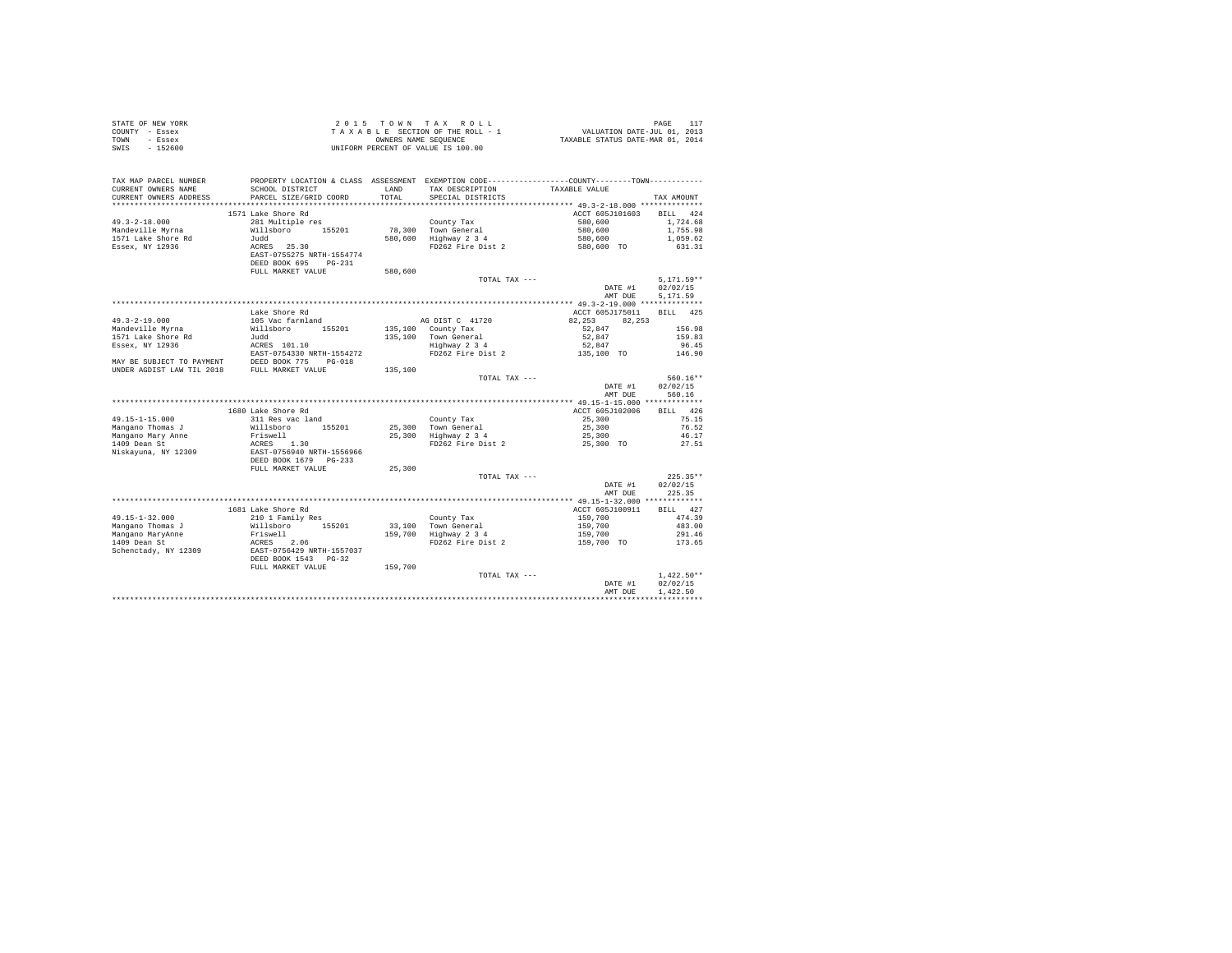| STATE OF NEW YORK      |                                                                              |         | 2015 TOWN TAX ROLL                                                                                  |                                                                             |              |
|------------------------|------------------------------------------------------------------------------|---------|-----------------------------------------------------------------------------------------------------|-----------------------------------------------------------------------------|--------------|
| COUNTY - Essex         |                                                                              |         |                                                                                                     |                                                                             |              |
| TOWN - Essex           |                                                                              |         | T A X A B L E SECTION OF THE ROLL - 1<br>OWNERS NAME SEQUENCE<br>UNIFORM PERCENT OF VALUE IS 100.00 | PAGE 117<br>VALUATION DATE-JUL 01, 2013<br>TAXABLE STATUS DATE-MAR 01, 2014 |              |
| $-152600$<br>SWIS      |                                                                              |         |                                                                                                     |                                                                             |              |
|                        |                                                                              |         |                                                                                                     |                                                                             |              |
|                        |                                                                              |         |                                                                                                     |                                                                             |              |
|                        |                                                                              |         |                                                                                                     |                                                                             |              |
| TAX MAP PARCEL NUMBER  |                                                                              |         | PROPERTY LOCATION & CLASS ASSESSMENT EXEMPTION CODE-----------------COUNTY-------TOWN----------     |                                                                             |              |
| CURRENT OWNERS NAME    | SCHOOL DISTRICT                                                              | LAND    | TAX DESCRIPTION                                                                                     | TAXABLE VALUE                                                               |              |
|                        |                                                                              |         |                                                                                                     |                                                                             |              |
| CURRENT OWNERS ADDRESS | PARCEL SIZE/GRID COORD                                                       | TOTAL   | SPECIAL DISTRICTS                                                                                   |                                                                             | TAX AMOUNT   |
|                        |                                                                              |         |                                                                                                     |                                                                             |              |
|                        | 1571 Lake Shore Rd                                                           |         |                                                                                                     | ACCT 605J101603                                                             | BILL 424     |
| $49.3 - 2 - 18.000$    | 281 Multiple res                                                             |         | County Tax                                                                                          | 580,600                                                                     | 1,724.68     |
| Mandeville Myrna       | Willsboro 155201                                                             |         | 78,300 Town General                                                                                 | 580,600                                                                     | 1,755.98     |
| 1571 Lake Shore Rd     | Judd                                                                         |         | 580,600 Highway 2 3 4                                                                               |                                                                             | 1,059.62     |
| Essex, NY 12936        | ACRES 25.30                                                                  |         | FD262 Fire Dist 2                                                                                   | 580,600<br>580,600 TO                                                       | 631.31       |
|                        | EAST-0755275 NRTH-1554774                                                    |         |                                                                                                     |                                                                             |              |
|                        | DEED BOOK 695 PG-231                                                         |         |                                                                                                     |                                                                             |              |
|                        | FULL MARKET VALUE                                                            | 580,600 |                                                                                                     |                                                                             |              |
|                        |                                                                              |         |                                                                                                     |                                                                             | $5.171.59**$ |
|                        |                                                                              |         | TOTAL TAX ---                                                                                       |                                                                             |              |
|                        |                                                                              |         |                                                                                                     | DATE #1                                                                     | 02/02/15     |
|                        |                                                                              |         |                                                                                                     | AMT DUE                                                                     | 5.171.59     |
|                        |                                                                              |         |                                                                                                     |                                                                             |              |
|                        | Lake Shore Rd                                                                |         |                                                                                                     | ACCT 605J175011                                                             | BILL 425     |
| $49.3 - 2 - 19.000$    | 105 Vac farmland                                                             |         | AG DIST C 41720                                                                                     | 82.253<br>82.253                                                            |              |
| Mandeville Myrna       | Willsboro<br>155201                                                          |         |                                                                                                     | 52,847                                                                      | 156.98       |
| 1571 Lake Shore Rd     | Judd                                                                         |         | 135,100 County Tax<br>135,100 Town General<br>Highway 2 3 4                                         | 52,847                                                                      | 159.83       |
| Essex, NY 12936        | ACRES 101.10                                                                 |         |                                                                                                     | 52,847                                                                      | 96.45        |
|                        | EAST-0754330 NRTH-1554272                                                    |         | FD262 Fire Dist 2                                                                                   | 135,100 TO                                                                  | 146.90       |
|                        |                                                                              |         |                                                                                                     |                                                                             |              |
|                        |                                                                              |         |                                                                                                     |                                                                             |              |
|                        |                                                                              | 135,100 |                                                                                                     |                                                                             |              |
|                        |                                                                              |         | TOTAL TAX ---                                                                                       |                                                                             | $560.16**$   |
|                        |                                                                              |         |                                                                                                     | DATE #1                                                                     | 02/02/15     |
|                        |                                                                              |         |                                                                                                     | AMT DUR                                                                     | 560.16       |
|                        |                                                                              |         |                                                                                                     |                                                                             |              |
|                        | 1680 Lake Shore Rd                                                           |         |                                                                                                     | ACCT 605J102006                                                             | BILL 426     |
| 49.15-1-15.000         | 311 Res vac land                                                             |         | County Tax<br>25,300 Town General<br>25,300 Highway 2 3 4                                           | 25,300                                                                      | 75.15        |
| Mangano Thomas J       | Willsboro 155201                                                             |         |                                                                                                     | 25,300                                                                      | 76.52        |
| Mangano Mary Anne      |                                                                              |         |                                                                                                     | 25,300                                                                      | 46.17        |
| 1409 Dean St           |                                                                              |         | FD262 Fire Dist 2                                                                                   | 25,300 TO                                                                   | 27.51        |
| Niskayuna, NY 12309    | Friswell<br>RCRES 1.30<br>EAST-0756940 NRTH-1556966<br>DEED BOOK 1679 PG-233 |         |                                                                                                     |                                                                             |              |
|                        |                                                                              |         |                                                                                                     |                                                                             |              |
|                        | FULL MARKET VALUE                                                            | 25,300  |                                                                                                     |                                                                             |              |
|                        |                                                                              |         |                                                                                                     |                                                                             | $225.35**$   |
|                        |                                                                              |         | TOTAL TAX ---                                                                                       |                                                                             |              |
|                        |                                                                              |         |                                                                                                     | DATE #1                                                                     | 02/02/15     |
|                        |                                                                              |         |                                                                                                     | AMT DUE                                                                     | 225.35       |
|                        |                                                                              |         |                                                                                                     |                                                                             |              |
|                        | 1681 Lake Shore Rd                                                           |         |                                                                                                     | ACCT 605J100911                                                             | BILL 427     |
| $49.15 - 1 - 32.000$   | 210 1 Family Res                                                             |         | County Tax                                                                                          | 159,700                                                                     | 474.39       |
| Mangano Thomas J       | Willsboro 155201                                                             |         |                                                                                                     |                                                                             | 483.00       |
| Mangano MaryAnne       | Friswell<br>ACRES 2.06<br>EAST-0756429 NRTH-1557037<br>DEED BOOK 1543 PG-32  |         | 33,100 Town General<br>159,700 Highway 2 3 4                                                        | 159,700<br>159,700<br>159,700 TO                                            | 291.46       |
| $1409$ Dean St         |                                                                              |         | FD262 Fire Dist 2                                                                                   |                                                                             | 173.65       |
| Schenctady, NY 12309   |                                                                              |         |                                                                                                     |                                                                             |              |
|                        |                                                                              |         |                                                                                                     |                                                                             |              |
|                        |                                                                              |         |                                                                                                     |                                                                             |              |
|                        | FULL MARKET VALUE                                                            | 159,700 |                                                                                                     |                                                                             |              |
|                        |                                                                              |         | TOTAL TAX ---                                                                                       |                                                                             | $1.422.50**$ |
|                        |                                                                              |         |                                                                                                     | DATE #1                                                                     | 02/02/15     |
|                        |                                                                              |         |                                                                                                     | AMT DUE                                                                     | 1.422.50     |
|                        |                                                                              |         |                                                                                                     |                                                                             |              |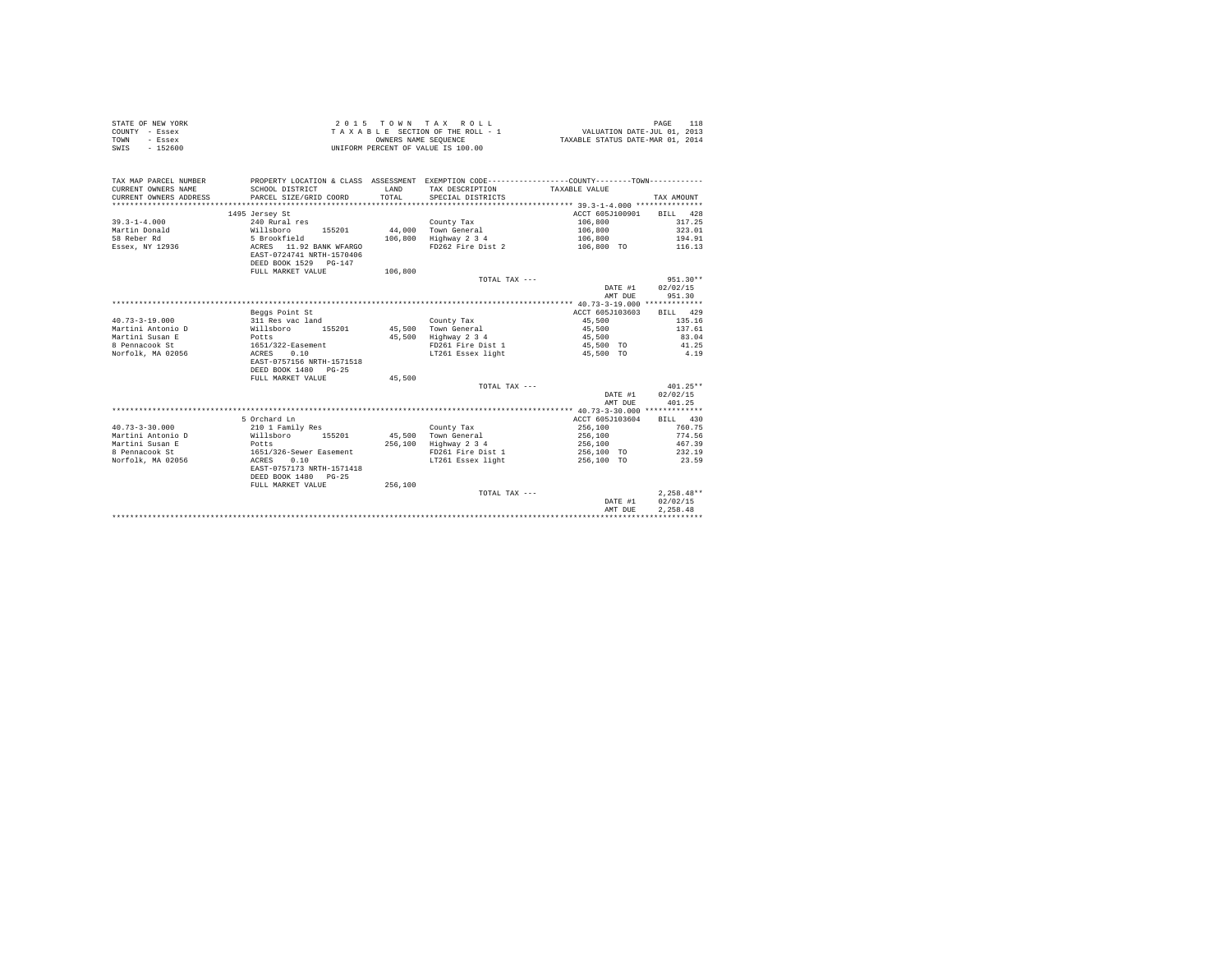| STATE OF NEW YORK<br>COUNTY<br>- Essex<br>TOWN<br>- Essex<br>$-152600$<br>SWIS |                            |         | 2015 TOWN TAX ROLL<br>OWNERS NAME SEQUENCE<br>UNIFORM PERCENT OF VALUE IS 100.00 | TAXABLE SECTION OF THE ROLL - 1 VALUATION DATE-JUL 01, 2013<br>TAXABLE STATUS DATE-MAR 01, 2014 | 118<br>PAGE      |
|--------------------------------------------------------------------------------|----------------------------|---------|----------------------------------------------------------------------------------|-------------------------------------------------------------------------------------------------|------------------|
| TAX MAP PARCEL NUMBER                                                          |                            |         |                                                                                  | PROPERTY LOCATION & CLASS ASSESSMENT EXEMPTION CODE----------------COUNTY-------TOWN----------  |                  |
| CURRENT OWNERS NAME                                                            | SCHOOL DISTRICT            | LAND    | TAX DESCRIPTION TAXABLE VALUE                                                    |                                                                                                 |                  |
| CURRENT OWNERS ADDRESS PARCEL SIZE/GRID COORD TOTAL                            |                            |         | SPECIAL DISTRICTS                                                                |                                                                                                 | TAX AMOUNT       |
|                                                                                |                            |         |                                                                                  |                                                                                                 |                  |
|                                                                                | 1495 Jersey St             |         |                                                                                  | ACCT 605J100901                                                                                 | BILL 428         |
| $39.3 - 1 - 4.000$                                                             | 240 Rural res              |         | County Tax                                                                       | 106,800                                                                                         | 317.25           |
| Martin Donald                                                                  | Willsboro<br>155201 44,000 |         | Town General                                                                     | 106,800                                                                                         | 323.01           |
| 58 Reber Rd                                                                    | 5 Brookfield               | 106,800 | Highway 2 3 4                                                                    | 106,800                                                                                         | 194.91           |
| Essex, NY 12936                                                                | ACRES 11.92 BANK WFARGO    |         | FD262 Fire Dist 2                                                                | 106,800 TO                                                                                      | 116.13           |
|                                                                                | EAST-0724741 NRTH-1570406  |         |                                                                                  |                                                                                                 |                  |
|                                                                                | DEED BOOK 1529 PG-147      |         |                                                                                  |                                                                                                 |                  |
|                                                                                | FULL MARKET VALUE          | 106,800 |                                                                                  |                                                                                                 |                  |
|                                                                                |                            |         | TOTAL TAX $---$                                                                  |                                                                                                 | $951.30**$       |
|                                                                                |                            |         |                                                                                  |                                                                                                 | DATE #1 02/02/15 |
|                                                                                |                            |         |                                                                                  | AMT DUE                                                                                         | 951.30           |
|                                                                                |                            |         |                                                                                  |                                                                                                 |                  |
|                                                                                | Bonne Bolish Br            |         |                                                                                  | $5.0000$ $6.05300000$ $0.757$ $0.000$                                                           |                  |

|                      | Beggs Point St            |         |                   |            |           | ACCT 605J103603 | <b>BILL</b> | 429          |  |
|----------------------|---------------------------|---------|-------------------|------------|-----------|-----------------|-------------|--------------|--|
| $40.73 - 3 - 19.000$ | 311 Res vac land          |         | County Tax        | 45,500     |           |                 |             | 135.16       |  |
| Martini Antonio D    | Willsboro<br>155201       | 45,500  | Town General      | 45,500     |           |                 |             | 137.61       |  |
| Martini Susan E      | Potts                     | 45,500  | Highway 2 3 4     | 45,500     |           |                 |             | 83.04        |  |
| 8 Pennacook St       | 1651/322-Easement         |         | FD261 Fire Dist 1 |            | 45,500 TO |                 |             | 41.25        |  |
| Norfolk, MA 02056    | 0.10<br>ACRES             |         | LT261 Essex light |            | 45,500 TO |                 |             | 4.19         |  |
|                      | EAST-0757156 NRTH-1571518 |         |                   |            |           |                 |             |              |  |
|                      | DEED BOOK 1480 PG-25      |         |                   |            |           |                 |             |              |  |
|                      | FULL MARKET VALUE         | 45,500  |                   |            |           |                 |             |              |  |
|                      |                           |         | TOTAL TAX $---$   |            |           |                 |             | $401.25**$   |  |
|                      |                           |         |                   |            |           | DATE #1         | 02/02/15    |              |  |
|                      |                           |         |                   |            |           | AMT DUE         |             | 401.25       |  |
|                      |                           |         |                   |            |           |                 |             |              |  |
|                      | 5 Orchard Ln              |         |                   |            |           | ACCT 605J103604 | BILL 430    |              |  |
| $40.73 - 3 - 30.000$ | 210 1 Family Res          |         | County Tax        | 256,100    |           |                 |             | 760.75       |  |
| Martini Antonio D    | Willsboro<br>155201       | 45,500  | Town General      | 256,100    |           |                 |             | 774.56       |  |
| Martini Susan E      | Potts                     | 256,100 | Highway 2 3 4     | 256,100    |           |                 |             | 467.39       |  |
| 8 Pennacook St       | 1651/326-Sewer Easement   |         | FD261 Fire Dist 1 | 256,100 TO |           |                 |             | 232.19       |  |
| Norfolk, MA 02056    | 0.10<br>ACRES             |         | LT261 Essex light | 256,100 TO |           |                 |             | 23.59        |  |
|                      | EAST-0757173 NRTH-1571418 |         |                   |            |           |                 |             |              |  |
|                      | DEED BOOK 1480 PG-25      |         |                   |            |           |                 |             |              |  |
|                      | FULL MARKET VALUE         | 256,100 |                   |            |           |                 |             |              |  |
|                      |                           |         | TOTAL TAX ---     |            |           |                 |             | $2,258.48**$ |  |
|                      |                           |         |                   |            |           | DATE #1         | 02/02/15    |              |  |
|                      |                           |         |                   |            |           | AMT DUE         | 2.258.48    |              |  |
|                      |                           |         |                   |            |           |                 |             |              |  |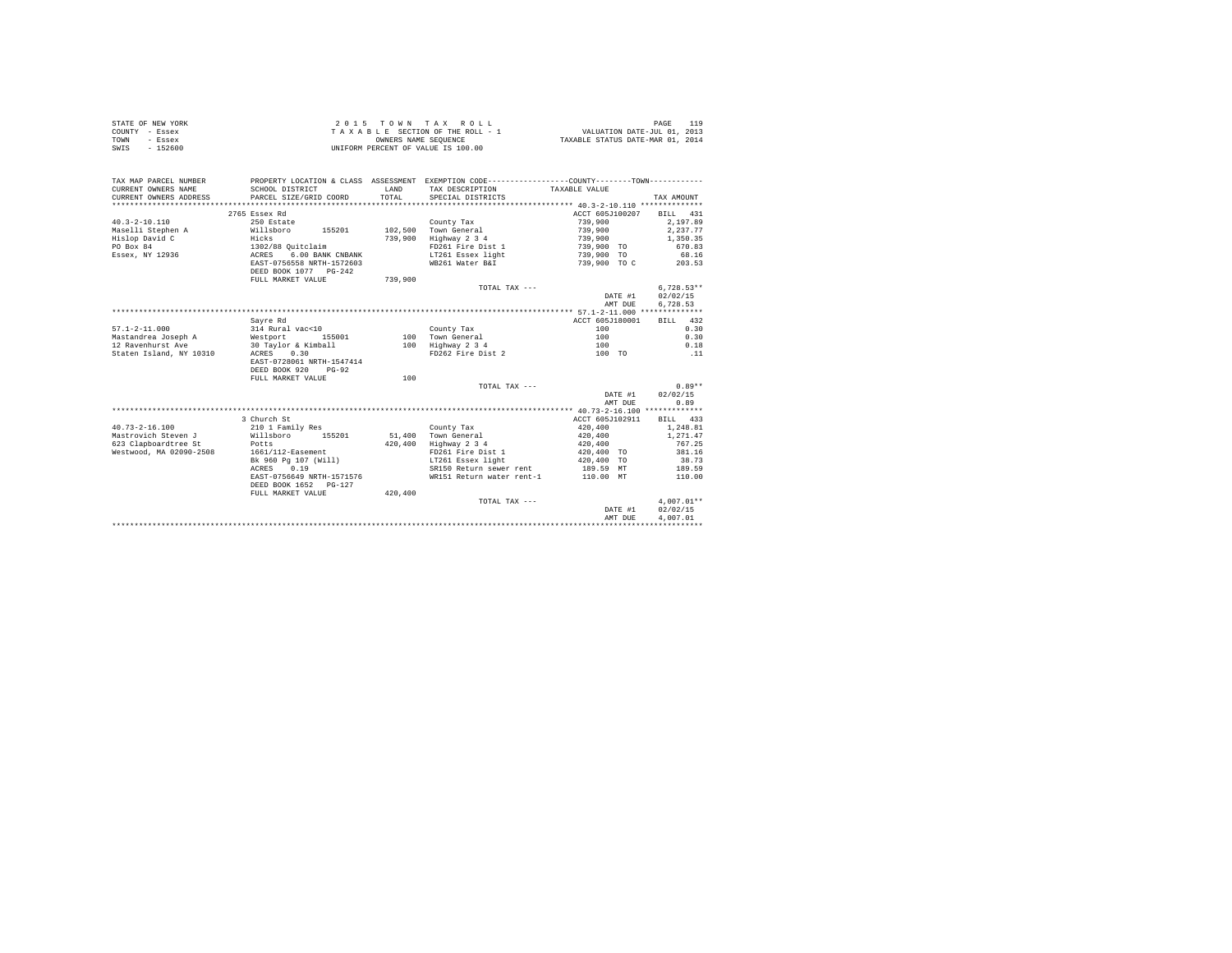| STATE OF NEW YORK | 2015 TOWN TAX ROLL                 | PAGE                             |
|-------------------|------------------------------------|----------------------------------|
| COUNTY - Essex    | TAXABLE SECTION OF THE ROLL - 1    | VALUATION DATE-JUL 01, 2013      |
| TOWN<br>- Essex   | OWNERS NAME SEOUENCE               | TAXABLE STATUS DATE-MAR 01, 2014 |
| $-152600$<br>SWIS | UNIFORM PERCENT OF VALUE IS 100.00 |                                  |

| TAX MAP PARCEL NUMBER<br>CURRENT OWNERS NAME<br>CURRENT OWNERS ADDRESS | SCHOOL DISTRICT<br>PARCEL SIZE/GRID COORD                | T.AND<br>TOTAL | PROPERTY LOCATION & CLASS ASSESSMENT EXEMPTION CODE----------------COUNTY-------TOWN----------<br>TAX DESCRIPTION TAXABLE VALUE<br>SPECIAL DISTRICTS |                 | TAX AMOUNT   |
|------------------------------------------------------------------------|----------------------------------------------------------|----------------|------------------------------------------------------------------------------------------------------------------------------------------------------|-----------------|--------------|
|                                                                        | 2765 Essex Rd                                            |                |                                                                                                                                                      | ACCT 605J100207 | BILL 431     |
| $40.3 - 2 - 10.110$                                                    | 250 Estate                                               |                | County Tax                                                                                                                                           | 739,900         | 2.197.89     |
| Maselli Stephen A                                                      | 155201<br>Willsboro                                      | 102,500        | Town General                                                                                                                                         | 739,900         | 2,237.77     |
| Hislop David C                                                         | Hicks                                                    | 739,900        | Highway 2 3 4                                                                                                                                        | 739,900         | 1,350.35     |
| PO Box 84                                                              |                                                          |                | FD261 Fire Dist 1                                                                                                                                    | 739,900 TO      | 670.83       |
| Essex, NY 12936                                                        | 1302/88 Quitclaim<br>ACRES 6.00 BANK<br>6.00 BANK CNBANK |                | LT261 Essex light                                                                                                                                    | 739,900 TO      | 68.16        |
|                                                                        | EAST-0756558 NRTH-1572603                                |                | WB261 Water B&I                                                                                                                                      | 739,900 TO C    | 203.53       |
|                                                                        | DEED BOOK 1077 PG-242                                    |                |                                                                                                                                                      |                 |              |
|                                                                        | FULL MARKET VALUE                                        | 739,900        |                                                                                                                                                      |                 |              |
|                                                                        |                                                          |                | TOTAL TAX ---                                                                                                                                        |                 | $6.728.53**$ |
|                                                                        |                                                          |                |                                                                                                                                                      | DATE #1         | 02/02/15     |
|                                                                        |                                                          |                |                                                                                                                                                      | AMT DUE         | 6,728.53     |
|                                                                        |                                                          |                |                                                                                                                                                      |                 |              |
|                                                                        | Savre Rd                                                 |                |                                                                                                                                                      | ACCT 605J180001 | BILL 432     |
| $57.1 - 2 - 11.000$                                                    | 314 Rural vac<10                                         |                | County Tax                                                                                                                                           | 100             | 0.30         |
| Mastandrea Joseph A                                                    | Westport<br>155001                                       |                | 100 Town General                                                                                                                                     | 100             | 0.30         |
| 12 Ravenhurst Ave                                                      | 30 Tavlor & Kimball                                      |                |                                                                                                                                                      | 100             | 0.18         |
| Staten Island, NY 10310                                                | 0.30<br>ACRES                                            |                | 100 Highway 2 3 4<br>FD262 Fire Dist 2                                                                                                               | 100 TO          | $\ldots$ 11  |
|                                                                        | EAST-0728061 NRTH-1547414                                |                |                                                                                                                                                      |                 |              |
|                                                                        | DEED BOOK 920<br>$PG-92$                                 |                |                                                                                                                                                      |                 |              |
|                                                                        | FULL MARKET VALUE                                        | 100            |                                                                                                                                                      |                 |              |
|                                                                        |                                                          |                | TOTAL TAX ---                                                                                                                                        |                 | $0.89**$     |
|                                                                        |                                                          |                |                                                                                                                                                      | DATE #1         | 02/02/15     |
|                                                                        |                                                          |                |                                                                                                                                                      | AMT DUE         | 0.89         |
|                                                                        |                                                          |                |                                                                                                                                                      |                 |              |
|                                                                        | 3 Church St                                              |                |                                                                                                                                                      | ACCT 605J102911 | BILL 433     |
| $40.73 - 2 - 16.100$                                                   | 210 1 Family Res                                         |                | County Tax                                                                                                                                           | 420,400         | 1,248.81     |
| Mastrovich Steven J                                                    | Willsboro<br>155201                                      | 51,400         | Town General                                                                                                                                         | 420,400         | 1,271.47     |
| 623 Clapboardtree St                                                   | Potts                                                    | 420,400        | Highway 2 3 4                                                                                                                                        | 420,400         | 767.25       |
| Westwood, MA 02090-2508                                                | 1661/112-Easement                                        |                | FD261 Fire Dist 1                                                                                                                                    | 420,400 TO      | 381.16       |
|                                                                        | Bk 960 Pg 107 (Will)                                     |                | LT261 Essex light                                                                                                                                    | 420,400 TO      | 38.73        |
|                                                                        | ACRES<br>0.19                                            |                | SR150 Return sewer rent                                                                                                                              | 189.59 MT       | 189.59       |
|                                                                        | EAST-0756649 NRTH-1571576                                |                | WR151 Return water rent-1                                                                                                                            | 110.00 MT       | 110.00       |
|                                                                        | DEED BOOK 1652 PG-127                                    |                |                                                                                                                                                      |                 |              |
|                                                                        | FULL MARKET VALUE                                        | 420,400        |                                                                                                                                                      |                 |              |
|                                                                        |                                                          |                | TOTAL TAX ---                                                                                                                                        |                 | $4.007.01**$ |
|                                                                        |                                                          |                |                                                                                                                                                      | DATE #1         | 02/02/15     |
|                                                                        |                                                          |                |                                                                                                                                                      | AMT DUE         | 4.007.01     |
|                                                                        |                                                          |                |                                                                                                                                                      |                 |              |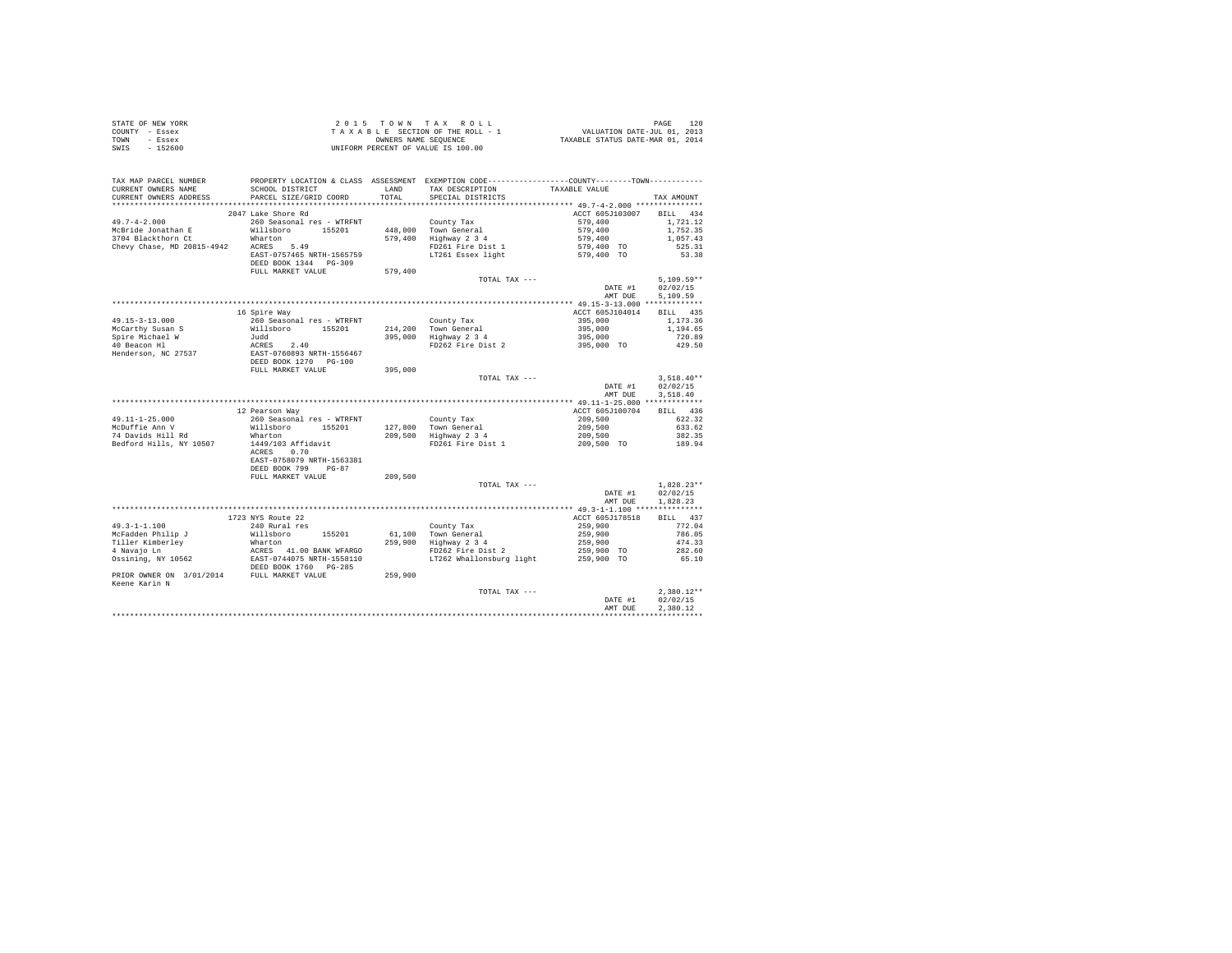|                | STATE OF NEW YORK |  |  |  | 2015 TOWN TAX ROLL                 |  |  |  | 120<br>PAGE                      |
|----------------|-------------------|--|--|--|------------------------------------|--|--|--|----------------------------------|
| COUNTY - Essex |                   |  |  |  | TAXABLE SECTION OF THE ROLL - 1    |  |  |  | VALUATION DATE-JUL 01, 2013      |
| TOWN           | - Essex           |  |  |  | OWNERS NAME SEOUENCE               |  |  |  | TAXABLE STATUS DATE-MAR 01, 2014 |
| SWIS           | $-152600$         |  |  |  | UNIFORM PERCENT OF VALUE IS 100.00 |  |  |  |                                  |

| TAX MAP PARCEL NUMBER<br>CURRENT OWNERS NAME<br>CURRENT OWNERS ADDRESS | SCHOOL DISTRICT<br>PARCEL SIZE/GRID COORD | LAND<br>TOTAL. | PROPERTY LOCATION & CLASS ASSESSMENT EXEMPTION CODE---------------COUNTY-------TOWN---------<br>TAX DESCRIPTION<br>SPECIAL DISTRICTS | TAXABLE VALUE                        | TAX AMOUNT   |
|------------------------------------------------------------------------|-------------------------------------------|----------------|--------------------------------------------------------------------------------------------------------------------------------------|--------------------------------------|--------------|
| *******************                                                    | *************************                 | .              | *********************************** 49.7-4-2.000 ***************                                                                     |                                      |              |
|                                                                        | 2047 Lake Shore Rd                        |                |                                                                                                                                      | ACCT 605J103007                      | BILL 434     |
| $49.7 - 4 - 2.000$                                                     | 260 Seasonal res - WTRFNT                 |                | County Tax                                                                                                                           | 579,400                              | 1,721.12     |
| McBride Jonathan E                                                     | Willsboro<br>155201                       | 448,000        | Town General                                                                                                                         | 579,400                              | 1.752.35     |
| 3704 Blackthorn Ct                                                     | Wharton                                   | 579,400        | Highway 2 3 4                                                                                                                        | 579,400                              | 1,057.43     |
| Chevy Chase, MD 20815-4942                                             | ACRES<br>5.49                             |                | FD261 Fire Dist 1                                                                                                                    | 579,400 TO                           | 525.31       |
|                                                                        | EAST-0757465 NRTH-1565759                 |                | LT261 Essex light                                                                                                                    | 579,400 TO                           | 53.38        |
|                                                                        | DEED BOOK 1344 PG-309                     |                |                                                                                                                                      |                                      |              |
|                                                                        | FULL MARKET VALUE                         | 579,400        |                                                                                                                                      |                                      |              |
|                                                                        |                                           |                | TOTAL TAX ---                                                                                                                        |                                      | $5,109.59**$ |
|                                                                        |                                           |                |                                                                                                                                      | DATE #1                              | 02/02/15     |
|                                                                        |                                           |                |                                                                                                                                      | AMT DUE                              | 5,109.59     |
|                                                                        |                                           |                |                                                                                                                                      |                                      |              |
|                                                                        | 16 Spire Way                              |                |                                                                                                                                      | ACCT 605J104014                      | BILL 435     |
| $49.15 - 3 - 13.000$                                                   | 260 Seasonal res - WTRFNT                 |                | County Tax                                                                                                                           | 395,000                              | 1,173.36     |
| McCarthy Susan S                                                       | Willsboro<br>155201                       | 214,200        | Town General                                                                                                                         | 395,000                              | 1,194.65     |
| Spire Michael W                                                        | Judd                                      | 395,000        | Highway 2 3 4                                                                                                                        | 395,000                              | 720.89       |
| 40 Beacon Hl                                                           | ACRES 2.40                                |                | FD262 Fire Dist 2                                                                                                                    | 395,000 TO                           | 429.50       |
| Henderson, NC 27537                                                    | EAST-0760893 NRTH-1556467                 |                |                                                                                                                                      |                                      |              |
|                                                                        | DEED BOOK 1270 PG-100                     |                |                                                                                                                                      |                                      |              |
|                                                                        | FULL MARKET VALUE                         | 395,000        |                                                                                                                                      |                                      |              |
|                                                                        |                                           |                | TOTAL TAX ---                                                                                                                        |                                      | $3,518.40**$ |
|                                                                        |                                           |                |                                                                                                                                      | DATE #1                              | 02/02/15     |
|                                                                        |                                           |                |                                                                                                                                      | AMT DUE                              | 3.518.40     |
|                                                                        |                                           |                |                                                                                                                                      |                                      |              |
|                                                                        | 12 Pearson Way                            |                |                                                                                                                                      | ACCT 605J100704                      | BILL 436     |
| $49.11 - 1 - 25.000$                                                   | 260 Seasonal res - WTRFNT                 |                | County Tax                                                                                                                           | 209,500                              | 622.32       |
| McDuffie Ann V                                                         | Willsboro<br>155201                       | 127,800        | Town General                                                                                                                         | 209,500                              | 633.62       |
| 74 Davids Hill Rd                                                      | Wharton                                   | 209,500        | Highway 2 3 4                                                                                                                        | 209,500                              | 382.35       |
| Bedford Hills, NY 10507                                                | 1449/103 Affidavit                        |                | FD261 Fire Dist 1                                                                                                                    | 209,500 TO                           | 189.94       |
|                                                                        | ACRES<br>0.70                             |                |                                                                                                                                      |                                      |              |
|                                                                        | EAST-0758079 NRTH-1563381                 |                |                                                                                                                                      |                                      |              |
|                                                                        | DEED BOOK 799<br>$PG-87$                  |                |                                                                                                                                      |                                      |              |
|                                                                        | FULL MARKET VALUE                         | 209,500        |                                                                                                                                      |                                      |              |
|                                                                        |                                           |                | TOTAL TAX ---                                                                                                                        |                                      | $1.828.23**$ |
|                                                                        |                                           |                |                                                                                                                                      | DATE #1                              | 02/02/15     |
|                                                                        |                                           |                |                                                                                                                                      | AMT DUE                              | 1.828.23     |
|                                                                        |                                           |                |                                                                                                                                      | ******* 49.3-1-1.100 *************** |              |
|                                                                        | 1723 NYS Route 22                         |                |                                                                                                                                      | ACCT 605J178518                      | BILL 437     |
| $49.3 - 1 - 1.100$                                                     | 240 Rural res                             |                | County Tax                                                                                                                           | 259,900                              | 772.04       |
| McFadden Philip J                                                      | 155201<br>Willsboro                       | 61,100         | Town General                                                                                                                         | 259,900                              | 786.05       |
| Tiller Kimberley                                                       | Wharton                                   | 259,900        | Highway 2 3 4                                                                                                                        | 259,900                              | 474.33       |
| 4 Navajo Ln                                                            | ACRES 41.00 BANK WFARGO                   |                | FD262 Fire Dist 2                                                                                                                    | 259,900 TO                           | 282.60       |
| Ossining, NY 10562                                                     | EAST-0744075 NRTH-1558110                 |                | LT262 Whallonsburg light                                                                                                             | 259,900 TO                           | 65.10        |
|                                                                        | DEED BOOK 1760 PG-285                     |                |                                                                                                                                      |                                      |              |
| PRIOR OWNER ON 3/01/2014                                               | FULL MARKET VALUE                         | 259,900        |                                                                                                                                      |                                      |              |
| Keene Karin N                                                          |                                           |                |                                                                                                                                      |                                      |              |
|                                                                        |                                           |                | TOTAL TAX ---                                                                                                                        |                                      | $2.380.12**$ |
|                                                                        |                                           |                |                                                                                                                                      | DATE #1                              | 02/02/15     |
|                                                                        |                                           |                |                                                                                                                                      | AMT DUE                              | 2.380.12     |
|                                                                        |                                           |                |                                                                                                                                      |                                      |              |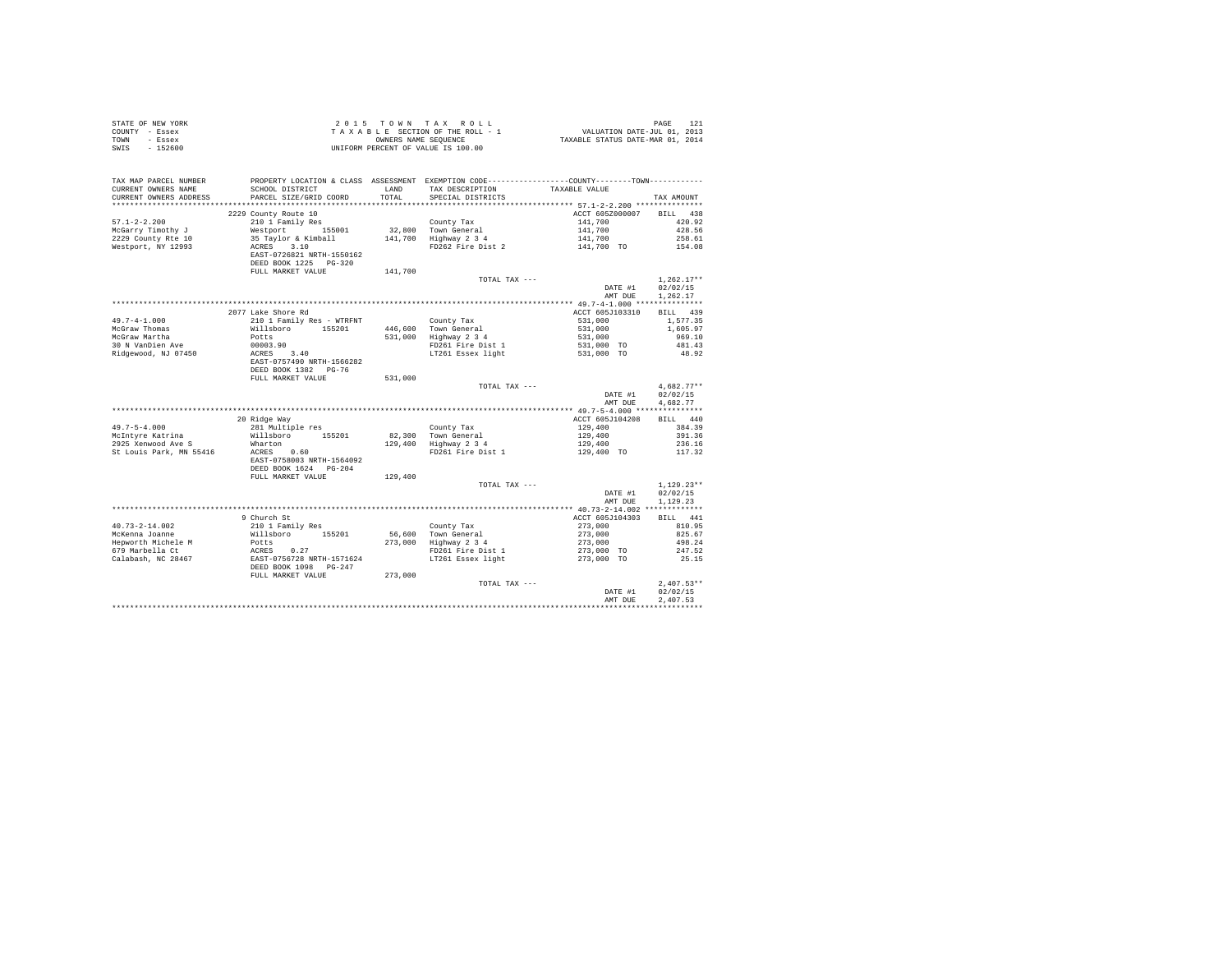| TAX MAP PARCEL NUMBER<br>PROPERTY LOCATION & CLASS ASSESSMENT EXEMPTION CODE----------------COUNTY-------TOWN----------<br>TAX DESCRIPTION<br>CURRENT OWNERS NAME<br>SCHOOL DISTRICT<br>LAND<br>TAXABLE VALUE<br>PARCEL SIZE/GRID COORD<br>TOTAL<br>SPECIAL DISTRICTS<br>CURRENT OWNERS ADDRESS<br>TAX AMOUNT<br>BTLL 438<br>2229 County Route 10<br>ACCT 605Z000007<br>$57.1 - 2 - 2.200$<br>210 1 Family Res<br>County Tax<br>141,700<br>420.92<br>$32,800$ Town General<br>$141,700$ Highway $2$ 3 4<br>141,700<br>McGarry Timothy J<br>Westport 155001<br>428.56<br>35 Taylor & Kimball<br>141,700<br>141,700 TO<br>2229 County Rte 10<br>258.61<br>FD262 Fire Dist 2<br>Westport, NY 12993<br>ACRES 3.10<br>154.08<br>EAST-0726821 NRTH-1550162<br>DEED BOOK 1225 PG-320<br>FULL MARKET VALUE<br>141,700<br>$1.262.17**$<br>TOTAL TAX ---<br>DATE #1<br>02/02/15<br>AMT DUE<br>1.262.17<br>2077 Lake Shore Rd<br>ACCT 605J103310<br>BILL 439<br>$49.7 - 4 - 1.000$<br>210 1 Family Res - WTRFNT<br>531,000<br>County Tax<br>1,577.35<br>County Tax<br>Town General<br>Highway 2 3 4<br>McGraw Thomas<br>McGraw Martha<br>$531,000$<br>$531,000$<br>$531,000$ TO<br>$531,000$ TO<br>Willsboro 155201<br>446,600<br>1,605.97<br>531,000<br>Potts<br>969.10<br>30 N VanDien Ave<br>00003.90<br>FD261 Fire Dist 1<br>481.43<br>LT261 Essex light<br>ACRES 3.40<br>Ridgewood, NJ 07450<br>48.92<br>EAST-0757490 NRTH-1566282<br>DEED BOOK 1382 PG-76<br>FULL MARKET VALUE<br>531,000<br>$4.682.77**$<br>TOTAL TAX ---<br>02/02/15<br>DATE #1<br>AMT DUE<br>4.682.77<br>BILL 440<br>20 Ridge Way<br>ACCT 605J104208<br>$49.7 - 5 - 4.000$<br>281 Multiple res<br>129,400<br>384.39<br>County Tax<br>Town General<br>Highway 2 3 4<br>McIntvre Katrina<br>82,300<br>129,400<br>Willsboro 155201<br>391.36<br>Wharton<br>129,400<br>129,400<br>236.16<br>St Louis Park, MN 55416<br>ACRES 0.60<br>FD261 Fire Dist 1<br>129,400 TO<br>117.32<br>EAST-0758003 NRTH-1564092<br>DEED BOOK 1624 PG-204<br>129,400<br>FULL MARKET VALUE<br>$1.129.23**$<br>TOTAL TAX ---<br>02/02/15<br>DATE #1<br>AMT DUE<br>1.129.23<br>9 Church St<br>ACCT 605J104303<br>BILL 441<br>210 1 Family Res<br>$40.73 - 2 - 14.002$<br>County Tax<br>273,000<br>810.95<br>Town General<br>Highway 2 3 4<br>273,000<br>McKenna Joanne<br>Willsboro 155201<br>56,600<br>825.67<br>273,000<br>273,000 TO<br>Hepworth Michele M<br>273,000<br>Potts<br>498.24<br>FOCLS<br>ACRES 0.27<br>EAST-0756728 NRTH-1571624<br>679 Marbella Ct<br>FD261 Fire Dist 1<br>247.52<br>273,000 TO<br>Calabash, NC 28467<br>LT261 Essex light<br>25.15<br>DEED BOOK 1098 PG-247<br>FULL MARKET VALUE<br>273,000<br>$2.407.53**$<br>TOTAL TAX ---<br>02/02/15<br>DATE #1<br>2.407.53<br>AMT DUE | STATE OF NEW YORK<br>COUNTY - Essex<br>TOWN<br>- Essex<br>$-152600$<br>SWIS |  | 2015 TOWN TAX ROLL<br>$\begin{array}{lcl} \texttt{2} & \texttt{0} & \texttt{1} & \texttt{5} & \texttt{0} & \texttt{W} \\ \texttt{3} & \texttt{4} & \texttt{5} & \texttt{5} & \texttt{C} \\ \texttt{4} & \texttt{5} & \texttt{5} & \texttt{C} \\ \texttt{5} & \texttt{6} & \texttt{6} & \texttt{7} & \texttt{7} \\ \texttt{6} & \texttt{6} & \texttt{7} & \texttt{7} \\ \texttt{7} & \texttt{8} & \texttt{9} & \texttt{1} \\ \texttt{9} & \texttt{1} & \text$<br>UNIFORM PERCENT OF VALUE IS 100.00 | PAGE<br>121 |
|-----------------------------------------------------------------------------------------------------------------------------------------------------------------------------------------------------------------------------------------------------------------------------------------------------------------------------------------------------------------------------------------------------------------------------------------------------------------------------------------------------------------------------------------------------------------------------------------------------------------------------------------------------------------------------------------------------------------------------------------------------------------------------------------------------------------------------------------------------------------------------------------------------------------------------------------------------------------------------------------------------------------------------------------------------------------------------------------------------------------------------------------------------------------------------------------------------------------------------------------------------------------------------------------------------------------------------------------------------------------------------------------------------------------------------------------------------------------------------------------------------------------------------------------------------------------------------------------------------------------------------------------------------------------------------------------------------------------------------------------------------------------------------------------------------------------------------------------------------------------------------------------------------------------------------------------------------------------------------------------------------------------------------------------------------------------------------------------------------------------------------------------------------------------------------------------------------------------------------------------------------------------------------------------------------------------------------------------------------------------------------------------------------------------------------------------------------------------------------------------------------------------------------------------------------------------------------------------------------------------------------------------------------------------------------------------------------------------------------------------------|-----------------------------------------------------------------------------|--|----------------------------------------------------------------------------------------------------------------------------------------------------------------------------------------------------------------------------------------------------------------------------------------------------------------------------------------------------------------------------------------------------------------------------------------------------------------------------------------------------|-------------|
|                                                                                                                                                                                                                                                                                                                                                                                                                                                                                                                                                                                                                                                                                                                                                                                                                                                                                                                                                                                                                                                                                                                                                                                                                                                                                                                                                                                                                                                                                                                                                                                                                                                                                                                                                                                                                                                                                                                                                                                                                                                                                                                                                                                                                                                                                                                                                                                                                                                                                                                                                                                                                                                                                                                                               |                                                                             |  |                                                                                                                                                                                                                                                                                                                                                                                                                                                                                                    |             |
|                                                                                                                                                                                                                                                                                                                                                                                                                                                                                                                                                                                                                                                                                                                                                                                                                                                                                                                                                                                                                                                                                                                                                                                                                                                                                                                                                                                                                                                                                                                                                                                                                                                                                                                                                                                                                                                                                                                                                                                                                                                                                                                                                                                                                                                                                                                                                                                                                                                                                                                                                                                                                                                                                                                                               |                                                                             |  |                                                                                                                                                                                                                                                                                                                                                                                                                                                                                                    |             |
|                                                                                                                                                                                                                                                                                                                                                                                                                                                                                                                                                                                                                                                                                                                                                                                                                                                                                                                                                                                                                                                                                                                                                                                                                                                                                                                                                                                                                                                                                                                                                                                                                                                                                                                                                                                                                                                                                                                                                                                                                                                                                                                                                                                                                                                                                                                                                                                                                                                                                                                                                                                                                                                                                                                                               |                                                                             |  |                                                                                                                                                                                                                                                                                                                                                                                                                                                                                                    |             |
|                                                                                                                                                                                                                                                                                                                                                                                                                                                                                                                                                                                                                                                                                                                                                                                                                                                                                                                                                                                                                                                                                                                                                                                                                                                                                                                                                                                                                                                                                                                                                                                                                                                                                                                                                                                                                                                                                                                                                                                                                                                                                                                                                                                                                                                                                                                                                                                                                                                                                                                                                                                                                                                                                                                                               |                                                                             |  |                                                                                                                                                                                                                                                                                                                                                                                                                                                                                                    |             |
|                                                                                                                                                                                                                                                                                                                                                                                                                                                                                                                                                                                                                                                                                                                                                                                                                                                                                                                                                                                                                                                                                                                                                                                                                                                                                                                                                                                                                                                                                                                                                                                                                                                                                                                                                                                                                                                                                                                                                                                                                                                                                                                                                                                                                                                                                                                                                                                                                                                                                                                                                                                                                                                                                                                                               |                                                                             |  |                                                                                                                                                                                                                                                                                                                                                                                                                                                                                                    |             |
|                                                                                                                                                                                                                                                                                                                                                                                                                                                                                                                                                                                                                                                                                                                                                                                                                                                                                                                                                                                                                                                                                                                                                                                                                                                                                                                                                                                                                                                                                                                                                                                                                                                                                                                                                                                                                                                                                                                                                                                                                                                                                                                                                                                                                                                                                                                                                                                                                                                                                                                                                                                                                                                                                                                                               |                                                                             |  |                                                                                                                                                                                                                                                                                                                                                                                                                                                                                                    |             |
|                                                                                                                                                                                                                                                                                                                                                                                                                                                                                                                                                                                                                                                                                                                                                                                                                                                                                                                                                                                                                                                                                                                                                                                                                                                                                                                                                                                                                                                                                                                                                                                                                                                                                                                                                                                                                                                                                                                                                                                                                                                                                                                                                                                                                                                                                                                                                                                                                                                                                                                                                                                                                                                                                                                                               |                                                                             |  |                                                                                                                                                                                                                                                                                                                                                                                                                                                                                                    |             |
|                                                                                                                                                                                                                                                                                                                                                                                                                                                                                                                                                                                                                                                                                                                                                                                                                                                                                                                                                                                                                                                                                                                                                                                                                                                                                                                                                                                                                                                                                                                                                                                                                                                                                                                                                                                                                                                                                                                                                                                                                                                                                                                                                                                                                                                                                                                                                                                                                                                                                                                                                                                                                                                                                                                                               |                                                                             |  |                                                                                                                                                                                                                                                                                                                                                                                                                                                                                                    |             |
|                                                                                                                                                                                                                                                                                                                                                                                                                                                                                                                                                                                                                                                                                                                                                                                                                                                                                                                                                                                                                                                                                                                                                                                                                                                                                                                                                                                                                                                                                                                                                                                                                                                                                                                                                                                                                                                                                                                                                                                                                                                                                                                                                                                                                                                                                                                                                                                                                                                                                                                                                                                                                                                                                                                                               |                                                                             |  |                                                                                                                                                                                                                                                                                                                                                                                                                                                                                                    |             |
|                                                                                                                                                                                                                                                                                                                                                                                                                                                                                                                                                                                                                                                                                                                                                                                                                                                                                                                                                                                                                                                                                                                                                                                                                                                                                                                                                                                                                                                                                                                                                                                                                                                                                                                                                                                                                                                                                                                                                                                                                                                                                                                                                                                                                                                                                                                                                                                                                                                                                                                                                                                                                                                                                                                                               |                                                                             |  |                                                                                                                                                                                                                                                                                                                                                                                                                                                                                                    |             |
|                                                                                                                                                                                                                                                                                                                                                                                                                                                                                                                                                                                                                                                                                                                                                                                                                                                                                                                                                                                                                                                                                                                                                                                                                                                                                                                                                                                                                                                                                                                                                                                                                                                                                                                                                                                                                                                                                                                                                                                                                                                                                                                                                                                                                                                                                                                                                                                                                                                                                                                                                                                                                                                                                                                                               |                                                                             |  |                                                                                                                                                                                                                                                                                                                                                                                                                                                                                                    |             |
|                                                                                                                                                                                                                                                                                                                                                                                                                                                                                                                                                                                                                                                                                                                                                                                                                                                                                                                                                                                                                                                                                                                                                                                                                                                                                                                                                                                                                                                                                                                                                                                                                                                                                                                                                                                                                                                                                                                                                                                                                                                                                                                                                                                                                                                                                                                                                                                                                                                                                                                                                                                                                                                                                                                                               |                                                                             |  |                                                                                                                                                                                                                                                                                                                                                                                                                                                                                                    |             |
|                                                                                                                                                                                                                                                                                                                                                                                                                                                                                                                                                                                                                                                                                                                                                                                                                                                                                                                                                                                                                                                                                                                                                                                                                                                                                                                                                                                                                                                                                                                                                                                                                                                                                                                                                                                                                                                                                                                                                                                                                                                                                                                                                                                                                                                                                                                                                                                                                                                                                                                                                                                                                                                                                                                                               |                                                                             |  |                                                                                                                                                                                                                                                                                                                                                                                                                                                                                                    |             |
|                                                                                                                                                                                                                                                                                                                                                                                                                                                                                                                                                                                                                                                                                                                                                                                                                                                                                                                                                                                                                                                                                                                                                                                                                                                                                                                                                                                                                                                                                                                                                                                                                                                                                                                                                                                                                                                                                                                                                                                                                                                                                                                                                                                                                                                                                                                                                                                                                                                                                                                                                                                                                                                                                                                                               |                                                                             |  |                                                                                                                                                                                                                                                                                                                                                                                                                                                                                                    |             |
|                                                                                                                                                                                                                                                                                                                                                                                                                                                                                                                                                                                                                                                                                                                                                                                                                                                                                                                                                                                                                                                                                                                                                                                                                                                                                                                                                                                                                                                                                                                                                                                                                                                                                                                                                                                                                                                                                                                                                                                                                                                                                                                                                                                                                                                                                                                                                                                                                                                                                                                                                                                                                                                                                                                                               |                                                                             |  |                                                                                                                                                                                                                                                                                                                                                                                                                                                                                                    |             |
|                                                                                                                                                                                                                                                                                                                                                                                                                                                                                                                                                                                                                                                                                                                                                                                                                                                                                                                                                                                                                                                                                                                                                                                                                                                                                                                                                                                                                                                                                                                                                                                                                                                                                                                                                                                                                                                                                                                                                                                                                                                                                                                                                                                                                                                                                                                                                                                                                                                                                                                                                                                                                                                                                                                                               |                                                                             |  |                                                                                                                                                                                                                                                                                                                                                                                                                                                                                                    |             |
|                                                                                                                                                                                                                                                                                                                                                                                                                                                                                                                                                                                                                                                                                                                                                                                                                                                                                                                                                                                                                                                                                                                                                                                                                                                                                                                                                                                                                                                                                                                                                                                                                                                                                                                                                                                                                                                                                                                                                                                                                                                                                                                                                                                                                                                                                                                                                                                                                                                                                                                                                                                                                                                                                                                                               |                                                                             |  |                                                                                                                                                                                                                                                                                                                                                                                                                                                                                                    |             |
|                                                                                                                                                                                                                                                                                                                                                                                                                                                                                                                                                                                                                                                                                                                                                                                                                                                                                                                                                                                                                                                                                                                                                                                                                                                                                                                                                                                                                                                                                                                                                                                                                                                                                                                                                                                                                                                                                                                                                                                                                                                                                                                                                                                                                                                                                                                                                                                                                                                                                                                                                                                                                                                                                                                                               |                                                                             |  |                                                                                                                                                                                                                                                                                                                                                                                                                                                                                                    |             |
|                                                                                                                                                                                                                                                                                                                                                                                                                                                                                                                                                                                                                                                                                                                                                                                                                                                                                                                                                                                                                                                                                                                                                                                                                                                                                                                                                                                                                                                                                                                                                                                                                                                                                                                                                                                                                                                                                                                                                                                                                                                                                                                                                                                                                                                                                                                                                                                                                                                                                                                                                                                                                                                                                                                                               |                                                                             |  |                                                                                                                                                                                                                                                                                                                                                                                                                                                                                                    |             |
|                                                                                                                                                                                                                                                                                                                                                                                                                                                                                                                                                                                                                                                                                                                                                                                                                                                                                                                                                                                                                                                                                                                                                                                                                                                                                                                                                                                                                                                                                                                                                                                                                                                                                                                                                                                                                                                                                                                                                                                                                                                                                                                                                                                                                                                                                                                                                                                                                                                                                                                                                                                                                                                                                                                                               |                                                                             |  |                                                                                                                                                                                                                                                                                                                                                                                                                                                                                                    |             |
|                                                                                                                                                                                                                                                                                                                                                                                                                                                                                                                                                                                                                                                                                                                                                                                                                                                                                                                                                                                                                                                                                                                                                                                                                                                                                                                                                                                                                                                                                                                                                                                                                                                                                                                                                                                                                                                                                                                                                                                                                                                                                                                                                                                                                                                                                                                                                                                                                                                                                                                                                                                                                                                                                                                                               |                                                                             |  |                                                                                                                                                                                                                                                                                                                                                                                                                                                                                                    |             |
|                                                                                                                                                                                                                                                                                                                                                                                                                                                                                                                                                                                                                                                                                                                                                                                                                                                                                                                                                                                                                                                                                                                                                                                                                                                                                                                                                                                                                                                                                                                                                                                                                                                                                                                                                                                                                                                                                                                                                                                                                                                                                                                                                                                                                                                                                                                                                                                                                                                                                                                                                                                                                                                                                                                                               |                                                                             |  |                                                                                                                                                                                                                                                                                                                                                                                                                                                                                                    |             |
|                                                                                                                                                                                                                                                                                                                                                                                                                                                                                                                                                                                                                                                                                                                                                                                                                                                                                                                                                                                                                                                                                                                                                                                                                                                                                                                                                                                                                                                                                                                                                                                                                                                                                                                                                                                                                                                                                                                                                                                                                                                                                                                                                                                                                                                                                                                                                                                                                                                                                                                                                                                                                                                                                                                                               |                                                                             |  |                                                                                                                                                                                                                                                                                                                                                                                                                                                                                                    |             |
|                                                                                                                                                                                                                                                                                                                                                                                                                                                                                                                                                                                                                                                                                                                                                                                                                                                                                                                                                                                                                                                                                                                                                                                                                                                                                                                                                                                                                                                                                                                                                                                                                                                                                                                                                                                                                                                                                                                                                                                                                                                                                                                                                                                                                                                                                                                                                                                                                                                                                                                                                                                                                                                                                                                                               | 2925 Xenwood Ave S                                                          |  |                                                                                                                                                                                                                                                                                                                                                                                                                                                                                                    |             |
|                                                                                                                                                                                                                                                                                                                                                                                                                                                                                                                                                                                                                                                                                                                                                                                                                                                                                                                                                                                                                                                                                                                                                                                                                                                                                                                                                                                                                                                                                                                                                                                                                                                                                                                                                                                                                                                                                                                                                                                                                                                                                                                                                                                                                                                                                                                                                                                                                                                                                                                                                                                                                                                                                                                                               |                                                                             |  |                                                                                                                                                                                                                                                                                                                                                                                                                                                                                                    |             |
|                                                                                                                                                                                                                                                                                                                                                                                                                                                                                                                                                                                                                                                                                                                                                                                                                                                                                                                                                                                                                                                                                                                                                                                                                                                                                                                                                                                                                                                                                                                                                                                                                                                                                                                                                                                                                                                                                                                                                                                                                                                                                                                                                                                                                                                                                                                                                                                                                                                                                                                                                                                                                                                                                                                                               |                                                                             |  |                                                                                                                                                                                                                                                                                                                                                                                                                                                                                                    |             |
|                                                                                                                                                                                                                                                                                                                                                                                                                                                                                                                                                                                                                                                                                                                                                                                                                                                                                                                                                                                                                                                                                                                                                                                                                                                                                                                                                                                                                                                                                                                                                                                                                                                                                                                                                                                                                                                                                                                                                                                                                                                                                                                                                                                                                                                                                                                                                                                                                                                                                                                                                                                                                                                                                                                                               |                                                                             |  |                                                                                                                                                                                                                                                                                                                                                                                                                                                                                                    |             |
|                                                                                                                                                                                                                                                                                                                                                                                                                                                                                                                                                                                                                                                                                                                                                                                                                                                                                                                                                                                                                                                                                                                                                                                                                                                                                                                                                                                                                                                                                                                                                                                                                                                                                                                                                                                                                                                                                                                                                                                                                                                                                                                                                                                                                                                                                                                                                                                                                                                                                                                                                                                                                                                                                                                                               |                                                                             |  |                                                                                                                                                                                                                                                                                                                                                                                                                                                                                                    |             |
|                                                                                                                                                                                                                                                                                                                                                                                                                                                                                                                                                                                                                                                                                                                                                                                                                                                                                                                                                                                                                                                                                                                                                                                                                                                                                                                                                                                                                                                                                                                                                                                                                                                                                                                                                                                                                                                                                                                                                                                                                                                                                                                                                                                                                                                                                                                                                                                                                                                                                                                                                                                                                                                                                                                                               |                                                                             |  |                                                                                                                                                                                                                                                                                                                                                                                                                                                                                                    |             |
|                                                                                                                                                                                                                                                                                                                                                                                                                                                                                                                                                                                                                                                                                                                                                                                                                                                                                                                                                                                                                                                                                                                                                                                                                                                                                                                                                                                                                                                                                                                                                                                                                                                                                                                                                                                                                                                                                                                                                                                                                                                                                                                                                                                                                                                                                                                                                                                                                                                                                                                                                                                                                                                                                                                                               |                                                                             |  |                                                                                                                                                                                                                                                                                                                                                                                                                                                                                                    |             |
|                                                                                                                                                                                                                                                                                                                                                                                                                                                                                                                                                                                                                                                                                                                                                                                                                                                                                                                                                                                                                                                                                                                                                                                                                                                                                                                                                                                                                                                                                                                                                                                                                                                                                                                                                                                                                                                                                                                                                                                                                                                                                                                                                                                                                                                                                                                                                                                                                                                                                                                                                                                                                                                                                                                                               |                                                                             |  |                                                                                                                                                                                                                                                                                                                                                                                                                                                                                                    |             |
|                                                                                                                                                                                                                                                                                                                                                                                                                                                                                                                                                                                                                                                                                                                                                                                                                                                                                                                                                                                                                                                                                                                                                                                                                                                                                                                                                                                                                                                                                                                                                                                                                                                                                                                                                                                                                                                                                                                                                                                                                                                                                                                                                                                                                                                                                                                                                                                                                                                                                                                                                                                                                                                                                                                                               |                                                                             |  |                                                                                                                                                                                                                                                                                                                                                                                                                                                                                                    |             |
|                                                                                                                                                                                                                                                                                                                                                                                                                                                                                                                                                                                                                                                                                                                                                                                                                                                                                                                                                                                                                                                                                                                                                                                                                                                                                                                                                                                                                                                                                                                                                                                                                                                                                                                                                                                                                                                                                                                                                                                                                                                                                                                                                                                                                                                                                                                                                                                                                                                                                                                                                                                                                                                                                                                                               |                                                                             |  |                                                                                                                                                                                                                                                                                                                                                                                                                                                                                                    |             |
|                                                                                                                                                                                                                                                                                                                                                                                                                                                                                                                                                                                                                                                                                                                                                                                                                                                                                                                                                                                                                                                                                                                                                                                                                                                                                                                                                                                                                                                                                                                                                                                                                                                                                                                                                                                                                                                                                                                                                                                                                                                                                                                                                                                                                                                                                                                                                                                                                                                                                                                                                                                                                                                                                                                                               |                                                                             |  |                                                                                                                                                                                                                                                                                                                                                                                                                                                                                                    |             |
|                                                                                                                                                                                                                                                                                                                                                                                                                                                                                                                                                                                                                                                                                                                                                                                                                                                                                                                                                                                                                                                                                                                                                                                                                                                                                                                                                                                                                                                                                                                                                                                                                                                                                                                                                                                                                                                                                                                                                                                                                                                                                                                                                                                                                                                                                                                                                                                                                                                                                                                                                                                                                                                                                                                                               |                                                                             |  |                                                                                                                                                                                                                                                                                                                                                                                                                                                                                                    |             |
|                                                                                                                                                                                                                                                                                                                                                                                                                                                                                                                                                                                                                                                                                                                                                                                                                                                                                                                                                                                                                                                                                                                                                                                                                                                                                                                                                                                                                                                                                                                                                                                                                                                                                                                                                                                                                                                                                                                                                                                                                                                                                                                                                                                                                                                                                                                                                                                                                                                                                                                                                                                                                                                                                                                                               |                                                                             |  |                                                                                                                                                                                                                                                                                                                                                                                                                                                                                                    |             |
|                                                                                                                                                                                                                                                                                                                                                                                                                                                                                                                                                                                                                                                                                                                                                                                                                                                                                                                                                                                                                                                                                                                                                                                                                                                                                                                                                                                                                                                                                                                                                                                                                                                                                                                                                                                                                                                                                                                                                                                                                                                                                                                                                                                                                                                                                                                                                                                                                                                                                                                                                                                                                                                                                                                                               |                                                                             |  |                                                                                                                                                                                                                                                                                                                                                                                                                                                                                                    |             |
|                                                                                                                                                                                                                                                                                                                                                                                                                                                                                                                                                                                                                                                                                                                                                                                                                                                                                                                                                                                                                                                                                                                                                                                                                                                                                                                                                                                                                                                                                                                                                                                                                                                                                                                                                                                                                                                                                                                                                                                                                                                                                                                                                                                                                                                                                                                                                                                                                                                                                                                                                                                                                                                                                                                                               |                                                                             |  |                                                                                                                                                                                                                                                                                                                                                                                                                                                                                                    |             |
|                                                                                                                                                                                                                                                                                                                                                                                                                                                                                                                                                                                                                                                                                                                                                                                                                                                                                                                                                                                                                                                                                                                                                                                                                                                                                                                                                                                                                                                                                                                                                                                                                                                                                                                                                                                                                                                                                                                                                                                                                                                                                                                                                                                                                                                                                                                                                                                                                                                                                                                                                                                                                                                                                                                                               |                                                                             |  |                                                                                                                                                                                                                                                                                                                                                                                                                                                                                                    |             |
|                                                                                                                                                                                                                                                                                                                                                                                                                                                                                                                                                                                                                                                                                                                                                                                                                                                                                                                                                                                                                                                                                                                                                                                                                                                                                                                                                                                                                                                                                                                                                                                                                                                                                                                                                                                                                                                                                                                                                                                                                                                                                                                                                                                                                                                                                                                                                                                                                                                                                                                                                                                                                                                                                                                                               |                                                                             |  |                                                                                                                                                                                                                                                                                                                                                                                                                                                                                                    |             |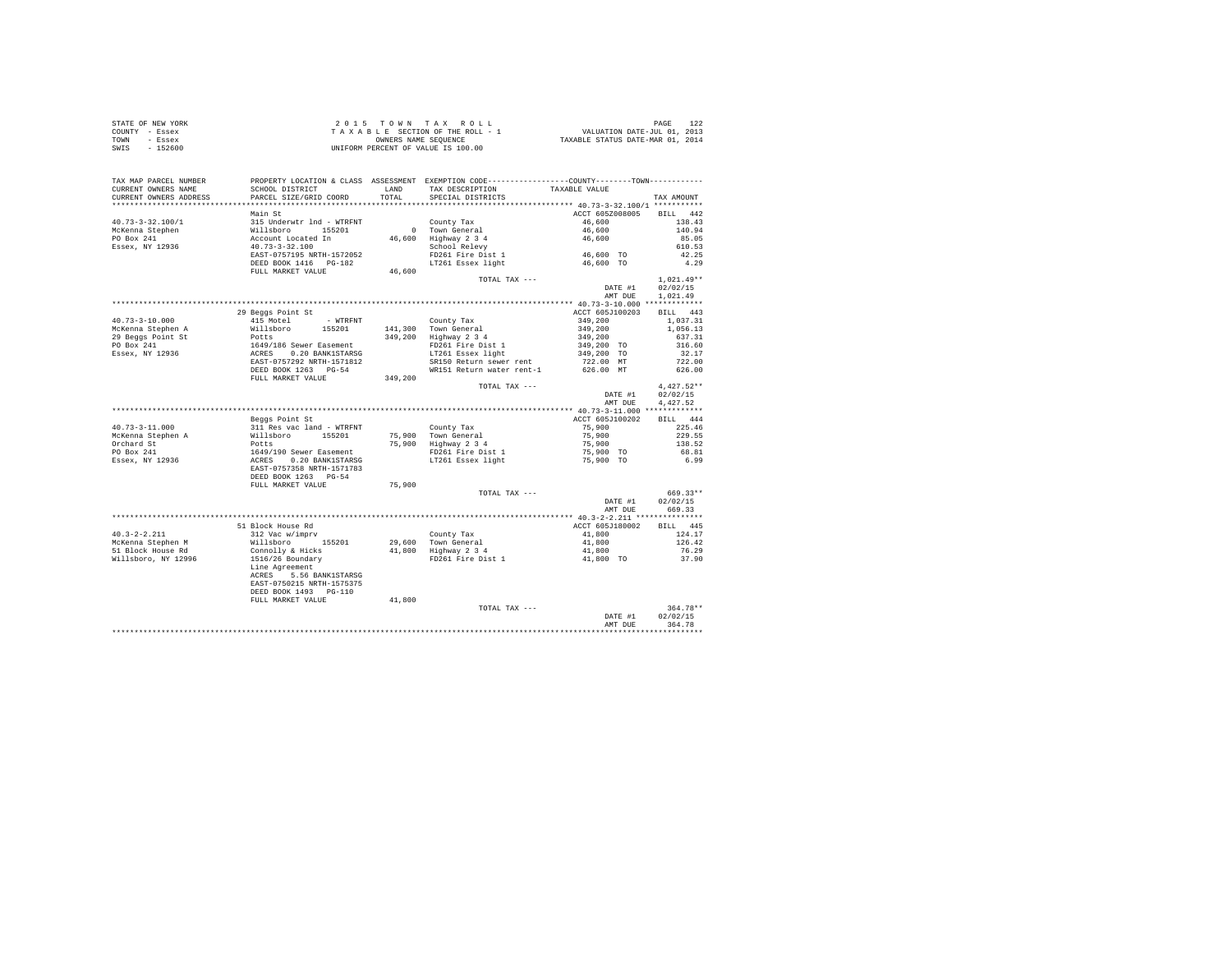|                | STATE OF NEW YORK | 2015 TOWN TAX ROLL                 | PAGE                             |
|----------------|-------------------|------------------------------------|----------------------------------|
| COUNTY - Essex |                   | TAXABLE SECTION OF THE ROLL - 1    | VALUATION DATE-JUL 01, 2013      |
| TOWN           | - Essex           | OWNERS NAME SEOUENCE               | TAXABLE STATUS DATE-MAR 01, 2014 |
| SWIS           | $-152600$         | UNIFORM PERCENT OF VALUE IS 100.00 |                                  |

| TAX MAP PARCEL NUMBER<br>CURRENT OWNERS NAME<br>CURRENT OWNERS ADDRESS | PROPERTY LOCATION & CLASS ASSESSMENT EXEMPTION CODE----------------COUNTY-------TOWN---------<br>SCHOOL DISTRICT<br>PARCEL SIZE/GRID COORD | TOTAL   | LAND TAX DESCRIPTION<br>SPECIAL DISTRICTS                 | TAXABLE VALUE          |         | TAX AMOUNT   |
|------------------------------------------------------------------------|--------------------------------------------------------------------------------------------------------------------------------------------|---------|-----------------------------------------------------------|------------------------|---------|--------------|
|                                                                        |                                                                                                                                            |         |                                                           |                        |         |              |
|                                                                        | Main St                                                                                                                                    |         |                                                           | ACCT 605Z008005        |         | BILL 442     |
| $40.73 - 3 - 32.100 / 1$                                               | 315 Underwir 1nd - WTRFNT<br>Willsboro 155201<br>Account Located In<br>40.73-3-32.100                                                      |         | County Tax                                                | 46,600                 |         | 138.43       |
| McKenna Stephen                                                        |                                                                                                                                            |         |                                                           | 46,600<br>46,600       |         | 140.94       |
| PO Box 241                                                             |                                                                                                                                            |         | 0 Town General<br>46,600 Highway 2 3 4                    |                        |         | 85.05        |
| Essex, NY 12936                                                        |                                                                                                                                            |         | School Relevy                                             |                        |         | 610.53       |
|                                                                        | EAST-0757195 NRTH-1572052                                                                                                                  |         | FD261 Fire Dist 1                                         |                        |         | 42.25        |
|                                                                        | DEED BOOK 1416    PG-182                                                                                                                   |         | LT261 Essex light                                         | 46,600 TO<br>46,600 TO |         | 4.29         |
|                                                                        | FULL MARKET VALUE                                                                                                                          | 46,600  | TOTAL TAX ---                                             |                        |         | $1.021.49**$ |
|                                                                        |                                                                                                                                            |         |                                                           |                        | DATE #1 | 02/02/15     |
|                                                                        |                                                                                                                                            |         |                                                           |                        | AMT DUE | 1.021.49     |
|                                                                        |                                                                                                                                            |         |                                                           |                        |         |              |
|                                                                        | 29 Beggs Point St                                                                                                                          |         |                                                           | ACCT 605J100203        |         | BILL 443     |
| $40.73 - 3 - 10.000$                                                   | 415 Motel<br>- WTRFNT                                                                                                                      |         | County Tax                                                | 349,200                |         | 1,037.31     |
| McKenna Stephen A                                                      |                                                                                                                                            |         | 141,300 Town General                                      | 349,200                |         | 1,056.13     |
| 29 Beggs Point St                                                      | 113 Model<br>Willsboro 15201<br>Potts<br>1649/186 Sewer Easement<br>ACRES 0.20 BANK1STARSG<br>EAST-0757292 NRTH-1571812                    |         | 349,200 Highway 2 3 4                                     | 349,200                |         | 637.31       |
| PO Box 241                                                             |                                                                                                                                            |         | FD261 Fire Dist 1                                         | 349,200 TO             |         | 316.60       |
| Essex, NY 12936                                                        |                                                                                                                                            |         | LT261 Essex light                                         | 349,200 TO             |         | 32.17        |
|                                                                        |                                                                                                                                            |         | SR150 Return sewer rent                                   | 722.00 MT              |         | 722.00       |
|                                                                        | DEED BOOK 1263 PG-54                                                                                                                       |         | WR151 Return water rent-1                                 | 626.00 MT              |         | 626.00       |
|                                                                        | FULL MARKET VALUE                                                                                                                          | 349,200 | TOTAL TAX ---                                             |                        |         | $4.427.52**$ |
|                                                                        |                                                                                                                                            |         |                                                           |                        | DATE #1 | 02/02/15     |
|                                                                        |                                                                                                                                            |         |                                                           |                        | AMT DUE | 4.427.52     |
|                                                                        |                                                                                                                                            |         |                                                           |                        |         |              |
|                                                                        | Beggs Point St                                                                                                                             |         |                                                           | ACCT 605J100202        |         | BILL 444     |
| $40.73 - 3 - 11.000$                                                   | 311 Res vac land - WTRFNT                                                                                                                  |         | County Tax                                                | 75,900                 |         | 225.46       |
| McKenna Stephen A                                                      |                                                                                                                                            |         | 75,900 Town General<br>75,900 Highway 2 3 4               |                        |         | 229.55       |
| Orchard St                                                             |                                                                                                                                            |         |                                                           | 75,900<br>75,900       |         | 138.52       |
| PO Box 241                                                             |                                                                                                                                            |         | FD261 Fire Dist 1                                         | 75,900 TO              |         | 68.81        |
| Essex, NY 12936                                                        | % Millsboro 155201<br>Potts<br>1649/190 Sewer Easement<br>1649/190 Sewer Easement<br>ACRES 0.20 BANK1STARSG<br>EAST-0757358 NRTH-1571783   |         | LT261 Essex light                                         | 75,900 TO              |         | 6.99         |
|                                                                        |                                                                                                                                            |         |                                                           |                        |         |              |
|                                                                        | DEED BOOK 1263 PG-54                                                                                                                       |         |                                                           |                        |         |              |
|                                                                        | FULL MARKET VALUE                                                                                                                          | 75,900  | TOTAL TAX ---                                             |                        |         | 669.33**     |
|                                                                        |                                                                                                                                            |         |                                                           |                        | DATE #1 | 02/02/15     |
|                                                                        |                                                                                                                                            |         |                                                           |                        | AMT DUE | 669.33       |
|                                                                        |                                                                                                                                            |         |                                                           |                        |         |              |
|                                                                        | 51 Block House Rd                                                                                                                          |         |                                                           | ACCT 605J180002        |         | BILL 445     |
| $40.3 - 2 - 2.211$                                                     | 312 Vac w/imprv                                                                                                                            |         |                                                           | 41,800                 |         | 124.17       |
| McKenna Stephen M                                                      | Willsboro<br>155201                                                                                                                        |         |                                                           | 41,800                 |         | 126.42       |
| 51 Block House Rd                                                      | Connolly & Hicks                                                                                                                           |         | County Tax<br>29,600 Town General<br>41,800 Highway 2 3 4 | 41,800                 |         | 76.29        |
| Willsboro, NY 12996                                                    | 1516/26 Boundary                                                                                                                           |         | FD261 Fire Dist 1                                         | 41,800 TO              |         | 37.90        |
|                                                                        | Line Agreement                                                                                                                             |         |                                                           |                        |         |              |
|                                                                        | ACRES 5.56 BANK1STARSG                                                                                                                     |         |                                                           |                        |         |              |
|                                                                        | EAST-0750215 NRTH-1575375                                                                                                                  |         |                                                           |                        |         |              |
|                                                                        | DEED BOOK 1493 PG-110<br>FULL MARKET VALUE                                                                                                 | 41,800  |                                                           |                        |         |              |
|                                                                        |                                                                                                                                            |         | TOTAL TAX ---                                             |                        |         | $364.78**$   |
|                                                                        |                                                                                                                                            |         |                                                           |                        | DATE #1 | 02/02/15     |
|                                                                        |                                                                                                                                            |         |                                                           |                        | AMT DUE | 364.78       |
|                                                                        |                                                                                                                                            |         |                                                           |                        |         |              |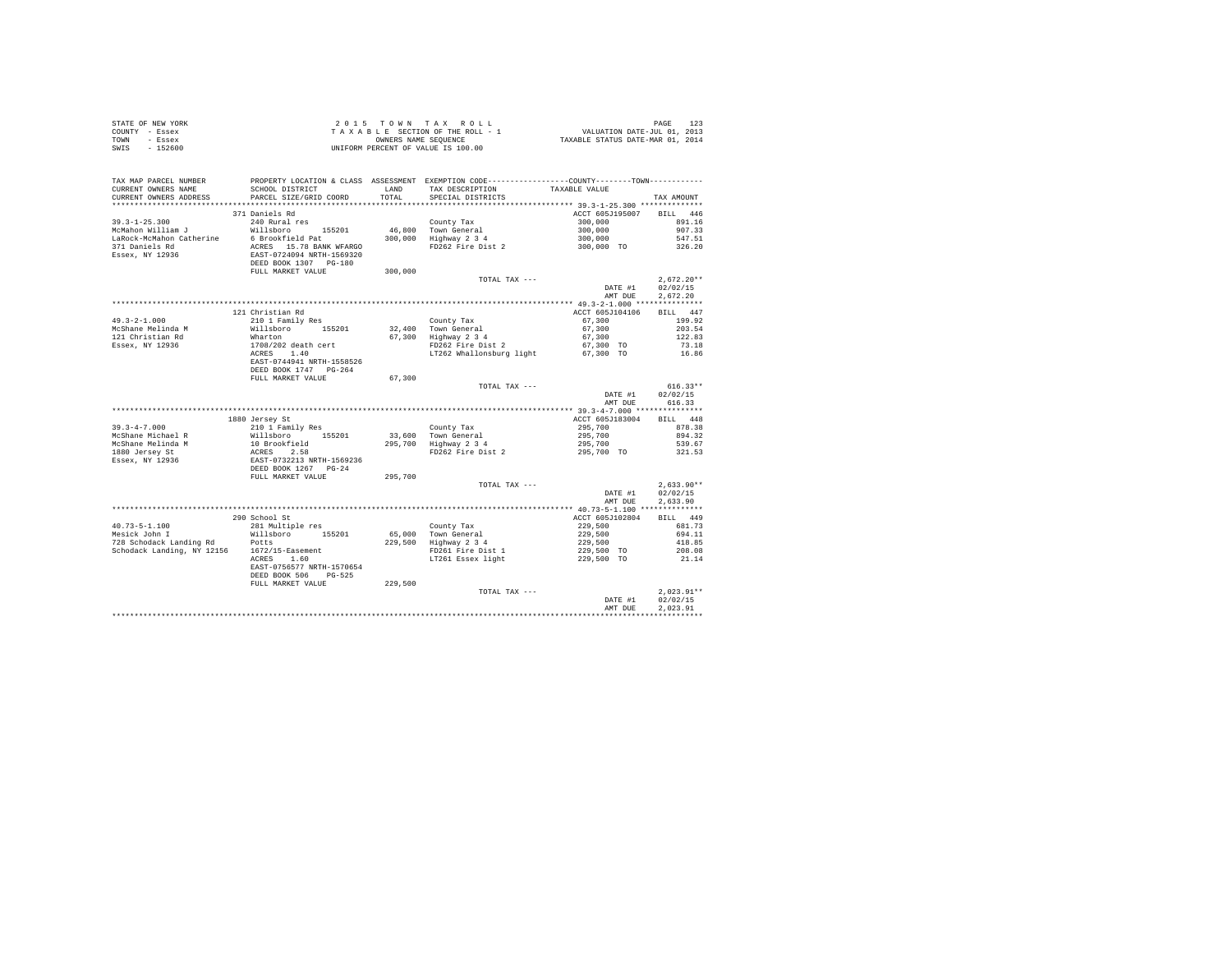| COUNTY - Essex<br>TOWN - Essex<br>$-152600$<br>SWTS |                                                                                                                                                                                                                                                                                                                                                                                              | TAXABLE SECTION OF THE ROLL - 1 WALUATION DATE-JUL 01, 2013<br>CONBERS NAME SEQUENCE TRANSLE STATUS DATE-MAR 01, 2014<br>T A X A B LE SECTION OF THE ROLL - 1<br>ONNERS NAME SEQUENCE<br>UNIFORM PERCENT OF VALUE IS 100.00 |                                                                                                                                                                                                                                                                                                                                                                        |                                                                                                                                               |                  |  |  |  |  |
|-----------------------------------------------------|----------------------------------------------------------------------------------------------------------------------------------------------------------------------------------------------------------------------------------------------------------------------------------------------------------------------------------------------------------------------------------------------|-----------------------------------------------------------------------------------------------------------------------------------------------------------------------------------------------------------------------------|------------------------------------------------------------------------------------------------------------------------------------------------------------------------------------------------------------------------------------------------------------------------------------------------------------------------------------------------------------------------|-----------------------------------------------------------------------------------------------------------------------------------------------|------------------|--|--|--|--|
|                                                     | TAX MAP PARCEL NUMBER PROPERTY LOCATION & CLASS ASSESSMENT EXEMPTION CODE---------------COUNTY--------TOWN----------                                                                                                                                                                                                                                                                         |                                                                                                                                                                                                                             |                                                                                                                                                                                                                                                                                                                                                                        |                                                                                                                                               |                  |  |  |  |  |
| CURRENT OWNERS NAME                                 |                                                                                                                                                                                                                                                                                                                                                                                              |                                                                                                                                                                                                                             |                                                                                                                                                                                                                                                                                                                                                                        |                                                                                                                                               |                  |  |  |  |  |
| CURRENT OWNERS ADDRESS                              | PARCEL SIZE/GRID COORD                                                                                                                                                                                                                                                                                                                                                                       |                                                                                                                                                                                                                             |                                                                                                                                                                                                                                                                                                                                                                        |                                                                                                                                               | TAX AMOUNT       |  |  |  |  |
|                                                     |                                                                                                                                                                                                                                                                                                                                                                                              |                                                                                                                                                                                                                             |                                                                                                                                                                                                                                                                                                                                                                        |                                                                                                                                               |                  |  |  |  |  |
|                                                     | 371 Daniels Rd                                                                                                                                                                                                                                                                                                                                                                               |                                                                                                                                                                                                                             |                                                                                                                                                                                                                                                                                                                                                                        | ACCT 605J195007 BILL 446                                                                                                                      |                  |  |  |  |  |
|                                                     |                                                                                                                                                                                                                                                                                                                                                                                              |                                                                                                                                                                                                                             |                                                                                                                                                                                                                                                                                                                                                                        |                                                                                                                                               | 891.16           |  |  |  |  |
|                                                     |                                                                                                                                                                                                                                                                                                                                                                                              |                                                                                                                                                                                                                             |                                                                                                                                                                                                                                                                                                                                                                        |                                                                                                                                               | 907.33           |  |  |  |  |
|                                                     |                                                                                                                                                                                                                                                                                                                                                                                              |                                                                                                                                                                                                                             |                                                                                                                                                                                                                                                                                                                                                                        |                                                                                                                                               | 547.51           |  |  |  |  |
|                                                     |                                                                                                                                                                                                                                                                                                                                                                                              |                                                                                                                                                                                                                             |                                                                                                                                                                                                                                                                                                                                                                        |                                                                                                                                               | 326.20           |  |  |  |  |
|                                                     |                                                                                                                                                                                                                                                                                                                                                                                              |                                                                                                                                                                                                                             |                                                                                                                                                                                                                                                                                                                                                                        |                                                                                                                                               |                  |  |  |  |  |
|                                                     |                                                                                                                                                                                                                                                                                                                                                                                              |                                                                                                                                                                                                                             |                                                                                                                                                                                                                                                                                                                                                                        |                                                                                                                                               |                  |  |  |  |  |
|                                                     |                                                                                                                                                                                                                                                                                                                                                                                              |                                                                                                                                                                                                                             | TOTAL TAX ---                                                                                                                                                                                                                                                                                                                                                          |                                                                                                                                               | $2,672.20**$     |  |  |  |  |
|                                                     |                                                                                                                                                                                                                                                                                                                                                                                              |                                                                                                                                                                                                                             |                                                                                                                                                                                                                                                                                                                                                                        | DATE #1                                                                                                                                       | 02/02/15         |  |  |  |  |
|                                                     |                                                                                                                                                                                                                                                                                                                                                                                              |                                                                                                                                                                                                                             |                                                                                                                                                                                                                                                                                                                                                                        | AMT DUE                                                                                                                                       | 2.672.20         |  |  |  |  |
|                                                     |                                                                                                                                                                                                                                                                                                                                                                                              |                                                                                                                                                                                                                             |                                                                                                                                                                                                                                                                                                                                                                        |                                                                                                                                               |                  |  |  |  |  |
|                                                     | 121 Christian Rd                                                                                                                                                                                                                                                                                                                                                                             |                                                                                                                                                                                                                             |                                                                                                                                                                                                                                                                                                                                                                        | ACCT 605J104106 BILL 447                                                                                                                      |                  |  |  |  |  |
| $49.3 - 2 - 1.000$                                  |                                                                                                                                                                                                                                                                                                                                                                                              |                                                                                                                                                                                                                             |                                                                                                                                                                                                                                                                                                                                                                        |                                                                                                                                               |                  |  |  |  |  |
| McShane Melinda M                                   |                                                                                                                                                                                                                                                                                                                                                                                              |                                                                                                                                                                                                                             |                                                                                                                                                                                                                                                                                                                                                                        | $\begin{array}{llll} 67,300 & \quad & 199.92 \\ 67,300 & \quad & 203.54 \\ 67,300 & \quad & 122.83 \\ 67,300 & \quad & 123.18 \\ \end{array}$ |                  |  |  |  |  |
| 121 Christian Rd                                    |                                                                                                                                                                                                                                                                                                                                                                                              |                                                                                                                                                                                                                             |                                                                                                                                                                                                                                                                                                                                                                        |                                                                                                                                               |                  |  |  |  |  |
| Essex, NY 12936                                     |                                                                                                                                                                                                                                                                                                                                                                                              |                                                                                                                                                                                                                             |                                                                                                                                                                                                                                                                                                                                                                        |                                                                                                                                               |                  |  |  |  |  |
|                                                     |                                                                                                                                                                                                                                                                                                                                                                                              |                                                                                                                                                                                                                             | LT262 Whallonsburg light 67,300 TO 16.86                                                                                                                                                                                                                                                                                                                               |                                                                                                                                               |                  |  |  |  |  |
|                                                     |                                                                                                                                                                                                                                                                                                                                                                                              |                                                                                                                                                                                                                             |                                                                                                                                                                                                                                                                                                                                                                        |                                                                                                                                               |                  |  |  |  |  |
|                                                     |                                                                                                                                                                                                                                                                                                                                                                                              |                                                                                                                                                                                                                             |                                                                                                                                                                                                                                                                                                                                                                        |                                                                                                                                               |                  |  |  |  |  |
|                                                     | FULL MARKET VALUE                                                                                                                                                                                                                                                                                                                                                                            | 67,300                                                                                                                                                                                                                      |                                                                                                                                                                                                                                                                                                                                                                        |                                                                                                                                               |                  |  |  |  |  |
|                                                     |                                                                                                                                                                                                                                                                                                                                                                                              |                                                                                                                                                                                                                             | TOTAL TAX ---                                                                                                                                                                                                                                                                                                                                                          |                                                                                                                                               | $616.33**$       |  |  |  |  |
|                                                     |                                                                                                                                                                                                                                                                                                                                                                                              |                                                                                                                                                                                                                             |                                                                                                                                                                                                                                                                                                                                                                        | DATE #1 02/02/15                                                                                                                              |                  |  |  |  |  |
|                                                     |                                                                                                                                                                                                                                                                                                                                                                                              |                                                                                                                                                                                                                             |                                                                                                                                                                                                                                                                                                                                                                        | AMT DUE                                                                                                                                       | 616.33           |  |  |  |  |
|                                                     |                                                                                                                                                                                                                                                                                                                                                                                              |                                                                                                                                                                                                                             |                                                                                                                                                                                                                                                                                                                                                                        |                                                                                                                                               |                  |  |  |  |  |
|                                                     |                                                                                                                                                                                                                                                                                                                                                                                              |                                                                                                                                                                                                                             |                                                                                                                                                                                                                                                                                                                                                                        |                                                                                                                                               |                  |  |  |  |  |
|                                                     |                                                                                                                                                                                                                                                                                                                                                                                              |                                                                                                                                                                                                                             |                                                                                                                                                                                                                                                                                                                                                                        |                                                                                                                                               |                  |  |  |  |  |
|                                                     |                                                                                                                                                                                                                                                                                                                                                                                              |                                                                                                                                                                                                                             |                                                                                                                                                                                                                                                                                                                                                                        |                                                                                                                                               |                  |  |  |  |  |
|                                                     |                                                                                                                                                                                                                                                                                                                                                                                              |                                                                                                                                                                                                                             |                                                                                                                                                                                                                                                                                                                                                                        |                                                                                                                                               |                  |  |  |  |  |
|                                                     |                                                                                                                                                                                                                                                                                                                                                                                              |                                                                                                                                                                                                                             |                                                                                                                                                                                                                                                                                                                                                                        |                                                                                                                                               |                  |  |  |  |  |
|                                                     |                                                                                                                                                                                                                                                                                                                                                                                              |                                                                                                                                                                                                                             |                                                                                                                                                                                                                                                                                                                                                                        |                                                                                                                                               |                  |  |  |  |  |
|                                                     |                                                                                                                                                                                                                                                                                                                                                                                              |                                                                                                                                                                                                                             |                                                                                                                                                                                                                                                                                                                                                                        |                                                                                                                                               |                  |  |  |  |  |
|                                                     | $\begin{tabular}{lcccc} $3^\star$, $3^\star$-4^\star$-7, UUU$ & & & & \\ $3^\star$, $5^\star$-4^\star$-7, UUU$ & & & \\ $M\text{CShane Michael R} & \text{Willoboro} & 155201 & 33,600 & 70\text{wr General} & & 295,700 & 873.804 & \text{BILL} & 448.804 & \text{MCl} \\ $M\text{CShane Melinda M} & 10\text{ Broschfield} & 32,600 & 70\text{wr General} & 295,700 & 894.32 & \text{MCl}$ |                                                                                                                                                                                                                             |                                                                                                                                                                                                                                                                                                                                                                        |                                                                                                                                               |                  |  |  |  |  |
|                                                     |                                                                                                                                                                                                                                                                                                                                                                                              |                                                                                                                                                                                                                             |                                                                                                                                                                                                                                                                                                                                                                        |                                                                                                                                               | DATE #1 02/02/15 |  |  |  |  |
|                                                     |                                                                                                                                                                                                                                                                                                                                                                                              |                                                                                                                                                                                                                             |                                                                                                                                                                                                                                                                                                                                                                        | AMT DUE                                                                                                                                       | 2,633.90         |  |  |  |  |
|                                                     |                                                                                                                                                                                                                                                                                                                                                                                              |                                                                                                                                                                                                                             | $\begin{array}{cccc} \texttt{Country Tax} & 40.73-5-1.100 & \texttt{1111} & \texttt{149} \\ & & \texttt{ACT 605J102804} & \texttt{BILL} & 449.173 \\ \texttt{65,000} & \texttt{Tour} & \texttt{General} & 229,500 & 694.11 \\ & & 229,500 & 694.11 & 229,500 & 418.85 \\ & & \texttt{FP261} & \texttt{Fire Dist 1} & 229,500 & \texttt{TO 208.08} \\ & & \texttt{LT26$ |                                                                                                                                               |                  |  |  |  |  |
|                                                     | 290 School St                                                                                                                                                                                                                                                                                                                                                                                |                                                                                                                                                                                                                             |                                                                                                                                                                                                                                                                                                                                                                        |                                                                                                                                               |                  |  |  |  |  |
| 40.73-5-1.100<br>Mesick John I                      | 281 Multiple res                                                                                                                                                                                                                                                                                                                                                                             |                                                                                                                                                                                                                             |                                                                                                                                                                                                                                                                                                                                                                        |                                                                                                                                               |                  |  |  |  |  |
|                                                     |                                                                                                                                                                                                                                                                                                                                                                                              |                                                                                                                                                                                                                             |                                                                                                                                                                                                                                                                                                                                                                        |                                                                                                                                               |                  |  |  |  |  |
|                                                     |                                                                                                                                                                                                                                                                                                                                                                                              |                                                                                                                                                                                                                             |                                                                                                                                                                                                                                                                                                                                                                        |                                                                                                                                               |                  |  |  |  |  |
|                                                     |                                                                                                                                                                                                                                                                                                                                                                                              |                                                                                                                                                                                                                             |                                                                                                                                                                                                                                                                                                                                                                        |                                                                                                                                               |                  |  |  |  |  |
|                                                     | EAST-0756577 NRTH-1570654                                                                                                                                                                                                                                                                                                                                                                    |                                                                                                                                                                                                                             |                                                                                                                                                                                                                                                                                                                                                                        |                                                                                                                                               |                  |  |  |  |  |
|                                                     | DEED BOOK 506 PG-525                                                                                                                                                                                                                                                                                                                                                                         |                                                                                                                                                                                                                             |                                                                                                                                                                                                                                                                                                                                                                        |                                                                                                                                               |                  |  |  |  |  |
|                                                     | FULL MARKET VALUE 229,500                                                                                                                                                                                                                                                                                                                                                                    |                                                                                                                                                                                                                             |                                                                                                                                                                                                                                                                                                                                                                        |                                                                                                                                               |                  |  |  |  |  |
|                                                     |                                                                                                                                                                                                                                                                                                                                                                                              |                                                                                                                                                                                                                             | TOTAL TAX ---                                                                                                                                                                                                                                                                                                                                                          |                                                                                                                                               | $2.023.91**$     |  |  |  |  |
|                                                     |                                                                                                                                                                                                                                                                                                                                                                                              |                                                                                                                                                                                                                             |                                                                                                                                                                                                                                                                                                                                                                        | DATE #1                                                                                                                                       | 02/02/15         |  |  |  |  |
|                                                     |                                                                                                                                                                                                                                                                                                                                                                                              |                                                                                                                                                                                                                             |                                                                                                                                                                                                                                                                                                                                                                        | AMT DUE                                                                                                                                       | 2.023.91         |  |  |  |  |
|                                                     |                                                                                                                                                                                                                                                                                                                                                                                              |                                                                                                                                                                                                                             |                                                                                                                                                                                                                                                                                                                                                                        |                                                                                                                                               |                  |  |  |  |  |

STATE OF NEW YORK 2015 TOWN TAX ROLL PAGE 123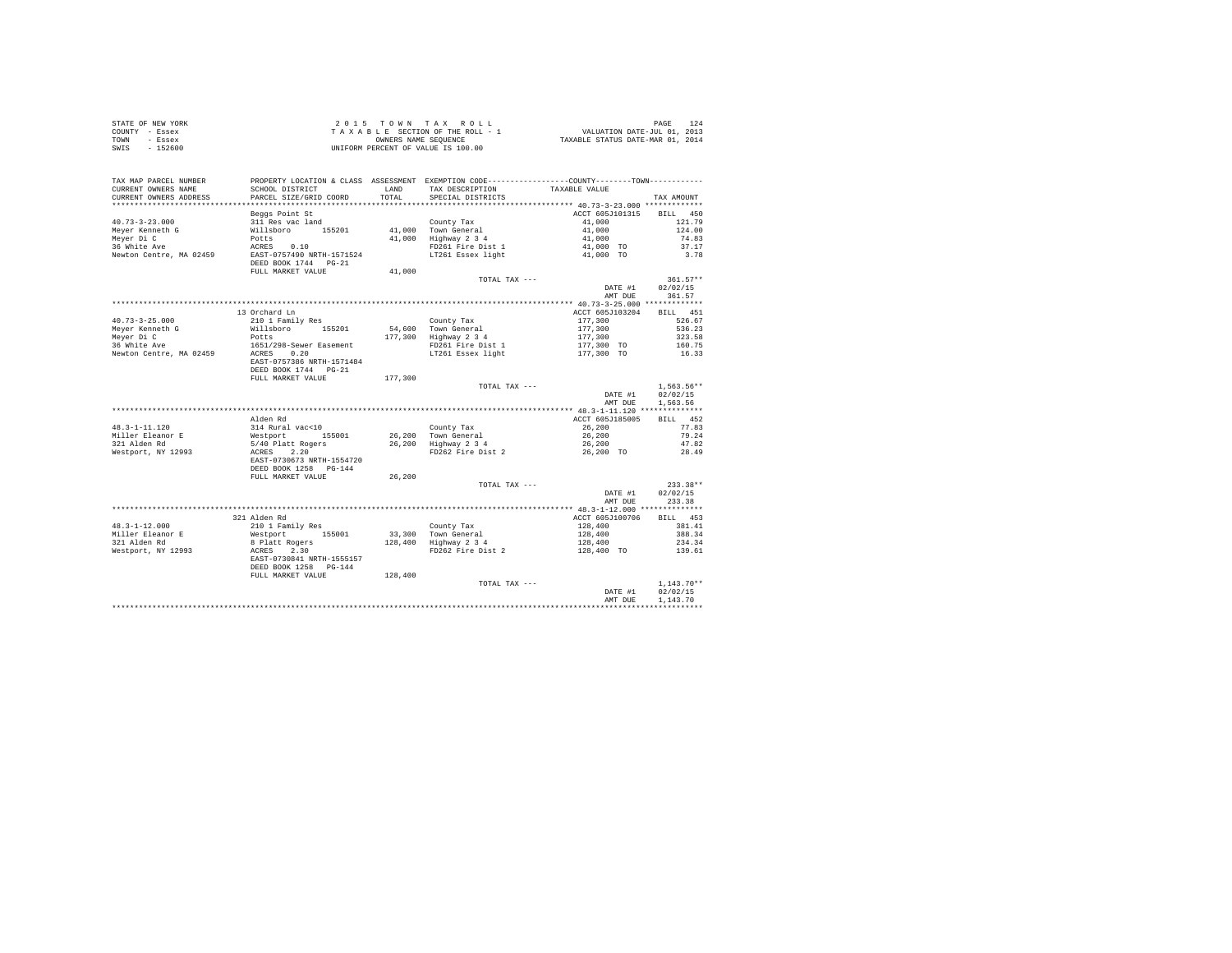| STATE OF NEW YORK | 2015 TOWN TAX ROLL                 | 124<br>PAGE                      |
|-------------------|------------------------------------|----------------------------------|
| COUNTY - Essex    | TAXABLE SECTION OF THE ROLL - 1    | VALUATION DATE-JUL 01, 2013      |
| TOWN<br>- Essex   | OWNERS NAME SEOUENCE               | TAXABLE STATUS DATE-MAR 01, 2014 |
| $-152600$<br>SWIS | UNIFORM PERCENT OF VALUE IS 100.00 |                                  |

| TAX MAP PARCEL NUMBER<br>CURRENT OWNERS NAME<br>CURRENT OWNERS ADDRESS | PROPERTY LOCATION & CLASS ASSESSMENT EXEMPTION CODE---------------COUNTY-------TOWN---------<br>SCHOOL DISTRICT<br>PARCEL SIZE/GRID COORD | LAND<br>TOTAL | TAX DESCRIPTION<br>SPECIAL DISTRICTS | TAXABLE VALUE                        | TAX AMOUNT   |
|------------------------------------------------------------------------|-------------------------------------------------------------------------------------------------------------------------------------------|---------------|--------------------------------------|--------------------------------------|--------------|
| **************************                                             |                                                                                                                                           |               |                                      |                                      |              |
|                                                                        | Beggs Point St                                                                                                                            |               |                                      | ACCT 605J101315                      | BILL 450     |
| $40.73 - 3 - 23.000$                                                   | 311 Res vac land                                                                                                                          |               | County Tax                           | 41,000                               | 121.79       |
| Meyer Kenneth G                                                        | Willsboro 155201                                                                                                                          |               | 41.000 Town General                  | 41,000                               | 124.00       |
| Meyer Di C                                                             | Potts                                                                                                                                     | 41,000        | Highway 2 3 4                        | 41,000                               | 74.83        |
| 36 White Ave                                                           | ACRES 0.10                                                                                                                                |               | FD261 Fire Dist 1                    | 41,000 TO                            | 37.17        |
|                                                                        |                                                                                                                                           |               |                                      |                                      | 3.78         |
| Newton Centre, MA 02459                                                | EAST-0757490 NRTH-1571524                                                                                                                 |               | LT261 Essex light                    | 41,000 TO                            |              |
|                                                                        | DEED BOOK 1744 PG-21                                                                                                                      |               |                                      |                                      |              |
|                                                                        | FULL MARKET VALUE                                                                                                                         | 41,000        |                                      |                                      |              |
|                                                                        |                                                                                                                                           |               | TOTAL TAX ---                        |                                      | $361.57**$   |
|                                                                        |                                                                                                                                           |               |                                      | DATE #1                              | 02/02/15     |
|                                                                        |                                                                                                                                           |               |                                      | AMT DUE                              | 361.57       |
|                                                                        |                                                                                                                                           |               |                                      | ******* 40.73-3-25.000 ************* |              |
|                                                                        | 13 Orchard Ln                                                                                                                             |               |                                      | ACCT 605J103204                      | BILL 451     |
| $40.73 - 3 - 25.000$                                                   | 210 1 Family Res                                                                                                                          |               | County Tax                           | 177,300                              | 526.67       |
| Mever Kenneth G                                                        | Willsboro<br>155201                                                                                                                       |               | 54.600 Town General                  | 177.300                              | 536.23       |
| Meyer Di C                                                             | Potts                                                                                                                                     |               | 177,300 Highway 2 3 4                | 177,300                              | 323.58       |
| 36 White Ave                                                           | 1651/298-Sewer Easement                                                                                                                   |               | FD261 Fire Dist 1                    | 177,300 TO                           | 160.75       |
| Newton Centre, MA 02459                                                | ACRES 0.20                                                                                                                                |               | LT261 Essex light                    | 177,300 TO                           | 16.33        |
|                                                                        | EAST-0757386 NRTH-1571484                                                                                                                 |               |                                      |                                      |              |
|                                                                        | DEED BOOK 1744 PG-21                                                                                                                      |               |                                      |                                      |              |
|                                                                        | FULL MARKET VALUE                                                                                                                         | 177,300       |                                      |                                      |              |
|                                                                        |                                                                                                                                           |               | TOTAL TAX ---                        |                                      | $1.563.56**$ |
|                                                                        |                                                                                                                                           |               |                                      | DATE #1                              | 02/02/15     |
|                                                                        |                                                                                                                                           |               |                                      | AMT DUE                              | 1.563.56     |
|                                                                        |                                                                                                                                           |               |                                      |                                      |              |
|                                                                        | Alden Rd                                                                                                                                  |               |                                      | ACCT 605J185005                      | BILL 452     |
| $48.3 - 1 - 11.120$                                                    |                                                                                                                                           |               |                                      |                                      | 77.83        |
|                                                                        | 314 Rural vac<10                                                                                                                          |               | County Tax                           | 26,200                               |              |
| Miller Eleanor E                                                       | Westport 155001                                                                                                                           |               | 26.200 Town General                  | 26,200                               | 79.24        |
| 321 Alden Rd                                                           | 5/40 Platt Rogers                                                                                                                         |               | 26,200 Highway 2 3 4                 | 26,200                               | 47.82        |
| Westport, NY 12993                                                     | 2.20<br>ACRES                                                                                                                             |               | FD262 Fire Dist 2                    | 26,200 TO                            | 28.49        |
|                                                                        | EAST-0730673 NRTH-1554720                                                                                                                 |               |                                      |                                      |              |
|                                                                        | DEED BOOK 1258 PG-144                                                                                                                     |               |                                      |                                      |              |
|                                                                        | FULL MARKET VALUE                                                                                                                         | 26,200        |                                      |                                      |              |
|                                                                        |                                                                                                                                           |               | TOTAL TAX ---                        |                                      | $233.38**$   |
|                                                                        |                                                                                                                                           |               |                                      | DATE #1                              | 02/02/15     |
|                                                                        |                                                                                                                                           |               |                                      | AMT DUE                              | 233.38       |
|                                                                        |                                                                                                                                           |               |                                      |                                      |              |
|                                                                        | 321 Alden Rd                                                                                                                              |               |                                      | ACCT 605J100706                      | BILL 453     |
| $48.3 - 1 - 12.000$                                                    | 210 1 Family Res                                                                                                                          |               | County Tax                           | 128,400                              | 381.41       |
| Miller Eleanor E                                                       | Westport<br>155001                                                                                                                        |               | 33,300 Town General                  | 128,400                              | 388.34       |
| 321 Alden Rd                                                           | 8 Platt Rogers                                                                                                                            |               | 128,400 Highway 2 3 4                | 128,400                              | 234.34       |
| Westport, NY 12993                                                     | 2.30<br>ACRES                                                                                                                             |               | FD262 Fire Dist 2                    | 128,400 TO                           | 139.61       |
|                                                                        | EAST-0730841 NRTH-1555157                                                                                                                 |               |                                      |                                      |              |
|                                                                        | DEED BOOK 1258 PG-144                                                                                                                     |               |                                      |                                      |              |
|                                                                        | FULL MARKET VALUE                                                                                                                         | 128,400       |                                      |                                      |              |
|                                                                        |                                                                                                                                           |               | TOTAL TAX ---                        |                                      | $1,143.70**$ |
|                                                                        |                                                                                                                                           |               |                                      | DATE #1                              | 02/02/15     |
|                                                                        |                                                                                                                                           |               |                                      | AMT DUE                              | 1,143.70     |
|                                                                        |                                                                                                                                           |               |                                      |                                      |              |
|                                                                        |                                                                                                                                           |               |                                      |                                      |              |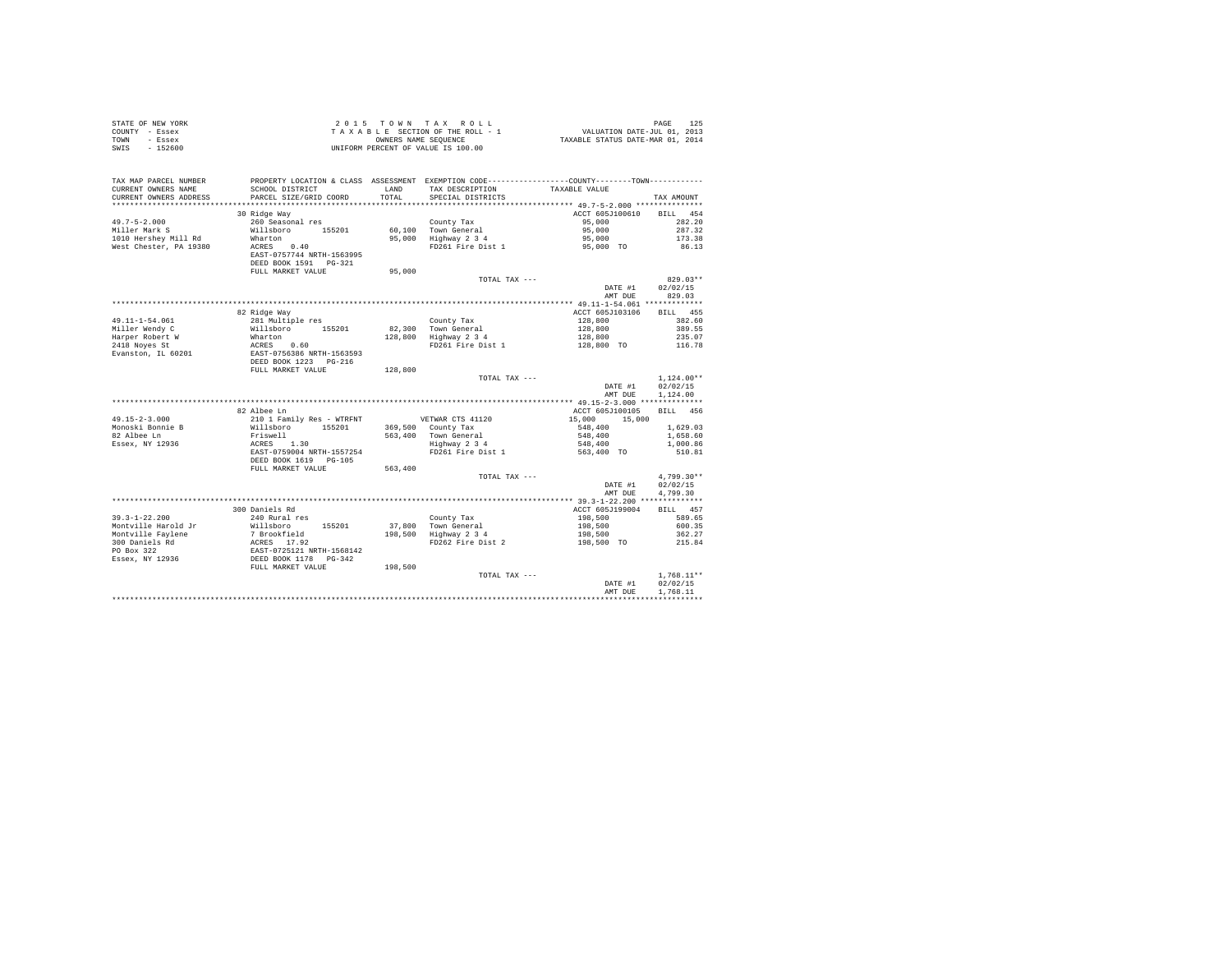| COUNTY - Essex<br>TOWN - Essex<br>SWIS - 152600 |                                                                                                                                                                                                                                          | T A X A B L E SECTION OF THE KOLL - 1<br>OWNIFORM PERCENT OF VALUE SEQUENCE<br>UNIFORM PERCENT OF VALUE IS 100.00 |                                                                                                                                                                           |                                                                                                                                           |                              |  |  |
|-------------------------------------------------|------------------------------------------------------------------------------------------------------------------------------------------------------------------------------------------------------------------------------------------|-------------------------------------------------------------------------------------------------------------------|---------------------------------------------------------------------------------------------------------------------------------------------------------------------------|-------------------------------------------------------------------------------------------------------------------------------------------|------------------------------|--|--|
|                                                 |                                                                                                                                                                                                                                          |                                                                                                                   |                                                                                                                                                                           |                                                                                                                                           |                              |  |  |
| TAX MAP PARCEL NUMBER                           | PROPERTY LOCATION & CLASS ASSESSMENT EXEMPTION CODE----------------COUNTY-------TOWN----------                                                                                                                                           |                                                                                                                   |                                                                                                                                                                           |                                                                                                                                           |                              |  |  |
| CURRENT OWNERS NAME                             | SCHOOL DISTRICT                                                                                                                                                                                                                          |                                                                                                                   | LAND TAX DESCRIPTION TAXABLE VALUE                                                                                                                                        |                                                                                                                                           |                              |  |  |
| CURRENT OWNERS ADDRESS                          | PARCEL SIZE/GRID COORD                                                                                                                                                                                                                   |                                                                                                                   | TOTAL SPECIAL DISTRICTS                                                                                                                                                   |                                                                                                                                           | TAX AMOUNT                   |  |  |
|                                                 |                                                                                                                                                                                                                                          |                                                                                                                   |                                                                                                                                                                           |                                                                                                                                           |                              |  |  |
|                                                 | 30 Ridge Way<br>260 Seasonal res                                                                                                                                                                                                         |                                                                                                                   |                                                                                                                                                                           | ACCT 605J100610                                                                                                                           | BILL 454                     |  |  |
| $49.7 - 5 - 2.000$<br>Miller Mark S             | Willsboro 155201                                                                                                                                                                                                                         |                                                                                                                   | County Tax                                                                                                                                                                | 95,000                                                                                                                                    | 282.20<br>287.32             |  |  |
| 1010 Hershey Mill Rd                            |                                                                                                                                                                                                                                          |                                                                                                                   |                                                                                                                                                                           |                                                                                                                                           | 173.38                       |  |  |
| West Chester, PA 19380                          | Wharton<br>ACRES 0.40                                                                                                                                                                                                                    |                                                                                                                   | 60,100 Town General 55,000<br>95,000 Highway 234 95,000<br>PD261 Fire Dist 1 95,000 TO                                                                                    |                                                                                                                                           | 86.13                        |  |  |
|                                                 | EAST-0757744 NRTH-1563995                                                                                                                                                                                                                |                                                                                                                   |                                                                                                                                                                           |                                                                                                                                           |                              |  |  |
|                                                 | DEED BOOK 1591    PG-321                                                                                                                                                                                                                 |                                                                                                                   |                                                                                                                                                                           |                                                                                                                                           |                              |  |  |
|                                                 | FULL MARKET VALUE                                                                                                                                                                                                                        | 95,000                                                                                                            |                                                                                                                                                                           |                                                                                                                                           |                              |  |  |
|                                                 |                                                                                                                                                                                                                                          |                                                                                                                   | TOTAL TAX ---                                                                                                                                                             |                                                                                                                                           | $829.03**$                   |  |  |
|                                                 |                                                                                                                                                                                                                                          |                                                                                                                   |                                                                                                                                                                           | DATE #1                                                                                                                                   | 02/02/15                     |  |  |
|                                                 |                                                                                                                                                                                                                                          |                                                                                                                   |                                                                                                                                                                           |                                                                                                                                           | AMT DUE 829.03               |  |  |
|                                                 |                                                                                                                                                                                                                                          |                                                                                                                   |                                                                                                                                                                           | ACCT 605J103106 BILL 455                                                                                                                  |                              |  |  |
|                                                 | 82 Ridge Way                                                                                                                                                                                                                             |                                                                                                                   |                                                                                                                                                                           |                                                                                                                                           |                              |  |  |
| 49.11-1-54.061<br>Miller Wendy C                |                                                                                                                                                                                                                                          |                                                                                                                   | County Tax<br>82,300 Town General<br>128,800 Highway 2 3 4                                                                                                                |                                                                                                                                           |                              |  |  |
|                                                 |                                                                                                                                                                                                                                          |                                                                                                                   |                                                                                                                                                                           |                                                                                                                                           |                              |  |  |
|                                                 |                                                                                                                                                                                                                                          |                                                                                                                   | FD261 Fire Dist 1                                                                                                                                                         | $\begin{array}{cccc} 128,800 & & & & 382.60 \\ 128,800 & & & & 389.55 \\ 128,800 & & & & 235.07 \\ 128,800 & & & & 215.07 \\ \end{array}$ |                              |  |  |
|                                                 |                                                                                                                                                                                                                                          |                                                                                                                   |                                                                                                                                                                           |                                                                                                                                           |                              |  |  |
|                                                 |                                                                                                                                                                                                                                          |                                                                                                                   |                                                                                                                                                                           |                                                                                                                                           |                              |  |  |
|                                                 | FULL MARKET VALUE                                                                                                                                                                                                                        | 128,800                                                                                                           |                                                                                                                                                                           |                                                                                                                                           |                              |  |  |
|                                                 |                                                                                                                                                                                                                                          |                                                                                                                   | TOTAL TAX ---                                                                                                                                                             |                                                                                                                                           | $1.124.00**$                 |  |  |
|                                                 |                                                                                                                                                                                                                                          |                                                                                                                   |                                                                                                                                                                           | AMT DUE                                                                                                                                   | DATE #1 02/02/15<br>1,124.00 |  |  |
|                                                 |                                                                                                                                                                                                                                          |                                                                                                                   |                                                                                                                                                                           |                                                                                                                                           |                              |  |  |
|                                                 | 82 Albee Ln                                                                                                                                                                                                                              |                                                                                                                   |                                                                                                                                                                           | ACCT 605J100105                                                                                                                           | BILL 456                     |  |  |
| $49.15 - 2 - 3.000$                             |                                                                                                                                                                                                                                          |                                                                                                                   |                                                                                                                                                                           |                                                                                                                                           |                              |  |  |
|                                                 |                                                                                                                                                                                                                                          |                                                                                                                   |                                                                                                                                                                           |                                                                                                                                           |                              |  |  |
| Monoski Bonnie B<br>82 Albee Ln                 |                                                                                                                                                                                                                                          |                                                                                                                   |                                                                                                                                                                           |                                                                                                                                           |                              |  |  |
| Essex, NY 12936                                 |                                                                                                                                                                                                                                          |                                                                                                                   |                                                                                                                                                                           |                                                                                                                                           |                              |  |  |
|                                                 | 10.01 Eamily Res - WTRFNT<br>15201 B5201 369,500 County Tax<br>15200 155201 369,500 County Tax<br>Friswell 155201 563,400 Town General 548,400 1,629.03<br>2018 EAST-0759004 NRTH-1557254 Highway 2 34 548,400 1,000.86<br>2018 EAST-075 |                                                                                                                   |                                                                                                                                                                           |                                                                                                                                           |                              |  |  |
|                                                 | DEED BOOK 1619 PG-105                                                                                                                                                                                                                    |                                                                                                                   |                                                                                                                                                                           |                                                                                                                                           |                              |  |  |
|                                                 | FULL MARKET VALUE                                                                                                                                                                                                                        | 563,400                                                                                                           | TOTAL TAX ---                                                                                                                                                             |                                                                                                                                           | $4.799.30**$                 |  |  |
|                                                 |                                                                                                                                                                                                                                          |                                                                                                                   |                                                                                                                                                                           | DATE #1                                                                                                                                   | 02/02/15                     |  |  |
|                                                 |                                                                                                                                                                                                                                          |                                                                                                                   |                                                                                                                                                                           | AMT DUE                                                                                                                                   | 4,799.30                     |  |  |
|                                                 |                                                                                                                                                                                                                                          |                                                                                                                   |                                                                                                                                                                           |                                                                                                                                           |                              |  |  |
|                                                 | 300 Daniels Rd                                                                                                                                                                                                                           |                                                                                                                   |                                                                                                                                                                           | ACCT 605J199004                                                                                                                           | BILL 457                     |  |  |
| $39.3 - 1 - 22.200$                             | 240 Rural res                                                                                                                                                                                                                            |                                                                                                                   | County Tax 198,500<br>37,800 Town General 198,500 600.35<br>198,500 Highway 2 3 4 198,500 600.35<br>198,500 FIDEO FIRE 2 198,500 362.27<br>PIDEO FIRE 2 198,500 TO 215.84 |                                                                                                                                           |                              |  |  |
|                                                 |                                                                                                                                                                                                                                          |                                                                                                                   |                                                                                                                                                                           |                                                                                                                                           |                              |  |  |
|                                                 |                                                                                                                                                                                                                                          |                                                                                                                   |                                                                                                                                                                           |                                                                                                                                           |                              |  |  |
|                                                 |                                                                                                                                                                                                                                          |                                                                                                                   |                                                                                                                                                                           |                                                                                                                                           |                              |  |  |
|                                                 |                                                                                                                                                                                                                                          |                                                                                                                   |                                                                                                                                                                           |                                                                                                                                           |                              |  |  |
|                                                 |                                                                                                                                                                                                                                          | 198,500                                                                                                           |                                                                                                                                                                           |                                                                                                                                           |                              |  |  |
|                                                 |                                                                                                                                                                                                                                          |                                                                                                                   | TOTAL TAX ---                                                                                                                                                             |                                                                                                                                           | $1.768.11**$                 |  |  |
|                                                 |                                                                                                                                                                                                                                          |                                                                                                                   |                                                                                                                                                                           | DATE #1                                                                                                                                   | 02/02/15                     |  |  |
|                                                 |                                                                                                                                                                                                                                          |                                                                                                                   |                                                                                                                                                                           | AMT DUE                                                                                                                                   | 1.768.11                     |  |  |
|                                                 |                                                                                                                                                                                                                                          |                                                                                                                   |                                                                                                                                                                           |                                                                                                                                           |                              |  |  |

STATE OF NEW YORK **2015** TO W N TAX R O L L PAGE 125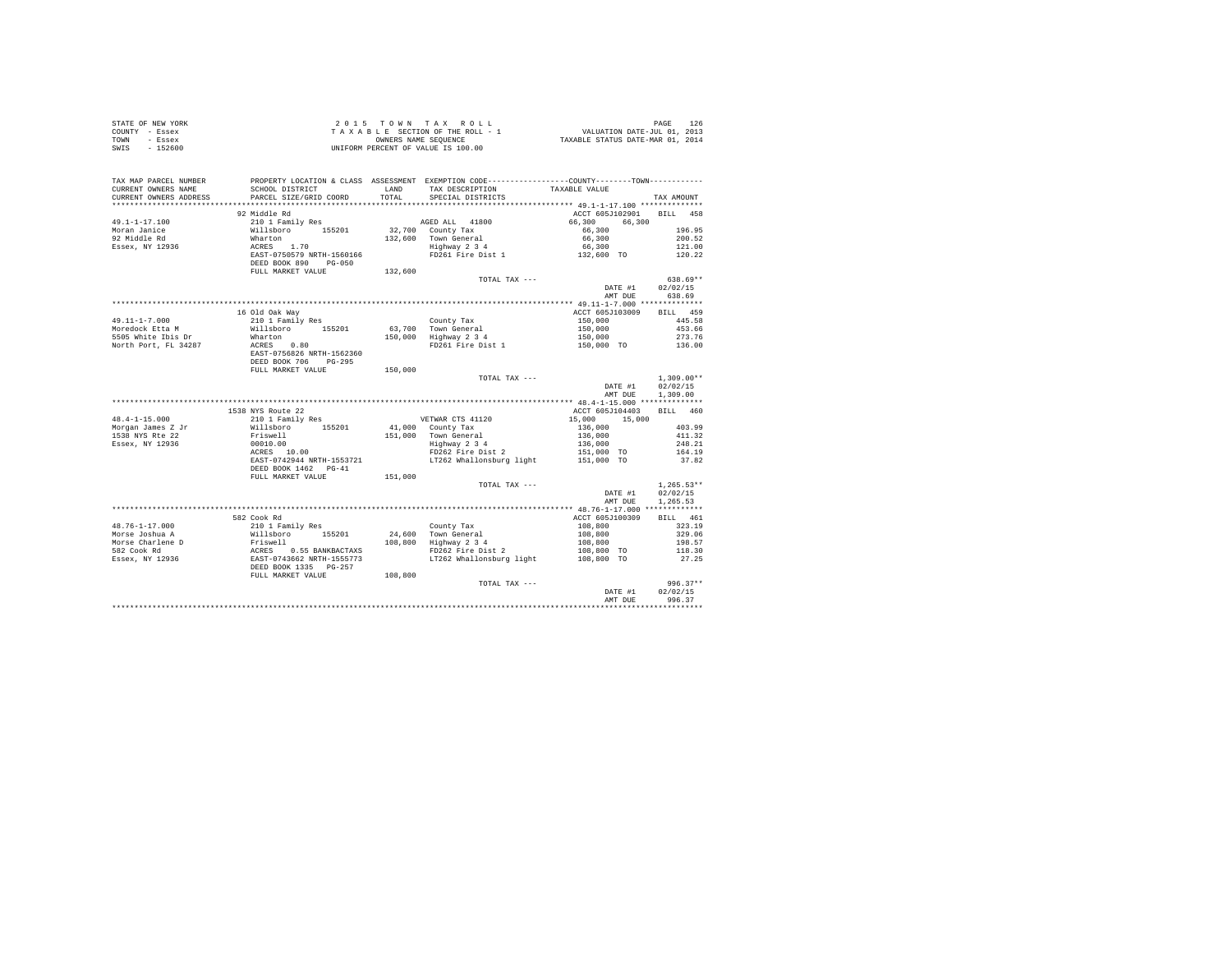| STATE OF NEW YORK                                                                                                                                                                                                                                                                                                                                                                                       |                        |         |                                                                                                                                                                                                                                   |                          |              |
|---------------------------------------------------------------------------------------------------------------------------------------------------------------------------------------------------------------------------------------------------------------------------------------------------------------------------------------------------------------------------------------------------------|------------------------|---------|-----------------------------------------------------------------------------------------------------------------------------------------------------------------------------------------------------------------------------------|--------------------------|--------------|
| COUNTY - Essex                                                                                                                                                                                                                                                                                                                                                                                          |                        |         |                                                                                                                                                                                                                                   |                          |              |
| TOWN - Essex                                                                                                                                                                                                                                                                                                                                                                                            |                        |         |                                                                                                                                                                                                                                   |                          |              |
| SWIS - 152600                                                                                                                                                                                                                                                                                                                                                                                           |                        |         |                                                                                                                                                                                                                                   |                          |              |
|                                                                                                                                                                                                                                                                                                                                                                                                         |                        |         |                                                                                                                                                                                                                                   |                          |              |
|                                                                                                                                                                                                                                                                                                                                                                                                         |                        |         |                                                                                                                                                                                                                                   |                          |              |
|                                                                                                                                                                                                                                                                                                                                                                                                         |                        |         |                                                                                                                                                                                                                                   |                          |              |
|                                                                                                                                                                                                                                                                                                                                                                                                         |                        |         |                                                                                                                                                                                                                                   |                          |              |
|                                                                                                                                                                                                                                                                                                                                                                                                         |                        |         |                                                                                                                                                                                                                                   |                          |              |
| CURRENT OWNERS ADDRESS                                                                                                                                                                                                                                                                                                                                                                                  | PARCEL SIZE/GRID COORD |         | TOTAL SPECIAL DISTRICTS                                                                                                                                                                                                           |                          | TAX AMOUNT   |
| $\begin{tabular}{l c c c c c c c c} \multicolumn{3}{c c c c c} \multicolumn{3}{c c c c} \multicolumn{3}{c c c c} \multicolumn{3}{c c c c} \multicolumn{3}{c c c} \multicolumn{3}{c c c} \multicolumn{3}{c c c} \multicolumn{3}{c c c} \multicolumn{3}{c c c} \multicolumn{3}{c c c} \multicolumn{3}{c c c} \multicolumn{3}{c c c} \multicolumn{3}{c c c} \multicolumn{3}{c c c} \multicolumn$           |                        |         |                                                                                                                                                                                                                                   |                          |              |
|                                                                                                                                                                                                                                                                                                                                                                                                         |                        |         |                                                                                                                                                                                                                                   |                          |              |
|                                                                                                                                                                                                                                                                                                                                                                                                         |                        |         |                                                                                                                                                                                                                                   |                          |              |
|                                                                                                                                                                                                                                                                                                                                                                                                         |                        |         |                                                                                                                                                                                                                                   |                          |              |
|                                                                                                                                                                                                                                                                                                                                                                                                         |                        |         |                                                                                                                                                                                                                                   |                          |              |
|                                                                                                                                                                                                                                                                                                                                                                                                         |                        |         |                                                                                                                                                                                                                                   |                          |              |
|                                                                                                                                                                                                                                                                                                                                                                                                         |                        |         |                                                                                                                                                                                                                                   |                          |              |
|                                                                                                                                                                                                                                                                                                                                                                                                         |                        |         |                                                                                                                                                                                                                                   |                          |              |
|                                                                                                                                                                                                                                                                                                                                                                                                         |                        |         |                                                                                                                                                                                                                                   |                          |              |
|                                                                                                                                                                                                                                                                                                                                                                                                         |                        |         | TOTAL TAX ---                                                                                                                                                                                                                     |                          | $638.69**$   |
|                                                                                                                                                                                                                                                                                                                                                                                                         |                        |         |                                                                                                                                                                                                                                   | DATE #1 02/02/15         |              |
|                                                                                                                                                                                                                                                                                                                                                                                                         |                        |         |                                                                                                                                                                                                                                   | AMT DUE 638.69           |              |
|                                                                                                                                                                                                                                                                                                                                                                                                         |                        |         |                                                                                                                                                                                                                                   |                          |              |
|                                                                                                                                                                                                                                                                                                                                                                                                         | 16 Old Oak Way         |         |                                                                                                                                                                                                                                   | ACCT 605J103009 BILL 459 |              |
|                                                                                                                                                                                                                                                                                                                                                                                                         |                        |         |                                                                                                                                                                                                                                   |                          |              |
|                                                                                                                                                                                                                                                                                                                                                                                                         |                        |         |                                                                                                                                                                                                                                   |                          |              |
|                                                                                                                                                                                                                                                                                                                                                                                                         |                        |         | 0011 12 2011 2014 2015<br>263,700 100 1455.58<br>263,700 100 1455.66<br>263.66 150,000 1455.66<br>273.76 150,000 10 150,000 150,000 136.00<br>273.76 150,000 150,000 136.00                                                       |                          |              |
|                                                                                                                                                                                                                                                                                                                                                                                                         |                        |         |                                                                                                                                                                                                                                   |                          |              |
|                                                                                                                                                                                                                                                                                                                                                                                                         |                        |         |                                                                                                                                                                                                                                   |                          |              |
|                                                                                                                                                                                                                                                                                                                                                                                                         |                        |         |                                                                                                                                                                                                                                   |                          |              |
|                                                                                                                                                                                                                                                                                                                                                                                                         | FULL MARKET VALUE      | 150,000 |                                                                                                                                                                                                                                   |                          |              |
|                                                                                                                                                                                                                                                                                                                                                                                                         |                        |         | TOTAL TAX ---                                                                                                                                                                                                                     |                          | $1.309.00**$ |
|                                                                                                                                                                                                                                                                                                                                                                                                         |                        |         |                                                                                                                                                                                                                                   | DATE #1 02/02/15         |              |
|                                                                                                                                                                                                                                                                                                                                                                                                         |                        |         |                                                                                                                                                                                                                                   | AMT DUE 1.309.00         |              |
|                                                                                                                                                                                                                                                                                                                                                                                                         |                        |         |                                                                                                                                                                                                                                   |                          |              |
|                                                                                                                                                                                                                                                                                                                                                                                                         | 1538 NYS Route 22      |         |                                                                                                                                                                                                                                   | ACCT 605J104403 BILL 460 |              |
| $48.4 - 1 - 15.000$                                                                                                                                                                                                                                                                                                                                                                                     | 210 1 Family Res       |         | VETWAR CTS 41120<br>41,000 County Tax 1990 15,000 15,000 403.99<br>136,000 403.99 4 1136,000 403.99 4 113.32<br>Highway 2 3 4 136,000 1248.21<br>FD262 Fire Dist 2 115,000 TO 164.19<br>17262 Whallonsburg light 151,000 TO 37.82 |                          |              |
|                                                                                                                                                                                                                                                                                                                                                                                                         |                        |         |                                                                                                                                                                                                                                   |                          |              |
| Morgan James Z Jr<br>1538 NYS Rte 22                                                                                                                                                                                                                                                                                                                                                                    |                        |         |                                                                                                                                                                                                                                   |                          |              |
| Essex, NY 12936                                                                                                                                                                                                                                                                                                                                                                                         |                        |         |                                                                                                                                                                                                                                   |                          |              |
|                                                                                                                                                                                                                                                                                                                                                                                                         |                        |         |                                                                                                                                                                                                                                   |                          |              |
|                                                                                                                                                                                                                                                                                                                                                                                                         |                        |         |                                                                                                                                                                                                                                   |                          |              |
|                                                                                                                                                                                                                                                                                                                                                                                                         |                        |         |                                                                                                                                                                                                                                   |                          |              |
|                                                                                                                                                                                                                                                                                                                                                                                                         | FULL MARKET VALUE      | 151,000 |                                                                                                                                                                                                                                   |                          |              |
|                                                                                                                                                                                                                                                                                                                                                                                                         |                        |         | TOTAL TAX ---                                                                                                                                                                                                                     |                          | $1,265.53**$ |
|                                                                                                                                                                                                                                                                                                                                                                                                         |                        |         |                                                                                                                                                                                                                                   | DATE #1 02/02/15         |              |
|                                                                                                                                                                                                                                                                                                                                                                                                         |                        |         |                                                                                                                                                                                                                                   |                          |              |
|                                                                                                                                                                                                                                                                                                                                                                                                         |                        |         |                                                                                                                                                                                                                                   | AMT DUE 1,265.53         |              |
|                                                                                                                                                                                                                                                                                                                                                                                                         | 582 Cook Rd            |         |                                                                                                                                                                                                                                   |                          |              |
| $\begin{tabular}{l c c c c c} \multicolumn{3}{c c c c} \multicolumn{3}{c c c} \multicolumn{3}{c c c} \multicolumn{3}{c c c} \multicolumn{3}{c c c} \multicolumn{3}{c c c} \multicolumn{3}{c c c} \multicolumn{3}{c c c} \multicolumn{3}{c c c} \multicolumn{3}{c c c} \multicolumn{3}{c c c} \multicolumn{3}{c c c} \multicolumn{3}{c c c} \multicolumn{3}{c c c} \multicolumn{3}{c c c} \multicolumn{$ |                        |         |                                                                                                                                                                                                                                   | ACCT 605J100309          | BILL 461     |
|                                                                                                                                                                                                                                                                                                                                                                                                         |                        |         |                                                                                                                                                                                                                                   |                          | 323.19       |
|                                                                                                                                                                                                                                                                                                                                                                                                         |                        |         |                                                                                                                                                                                                                                   |                          | 329.06       |
|                                                                                                                                                                                                                                                                                                                                                                                                         |                        |         |                                                                                                                                                                                                                                   |                          | 198.57       |
|                                                                                                                                                                                                                                                                                                                                                                                                         |                        |         |                                                                                                                                                                                                                                   |                          | 118.30       |
|                                                                                                                                                                                                                                                                                                                                                                                                         |                        |         |                                                                                                                                                                                                                                   |                          | 27.25        |
|                                                                                                                                                                                                                                                                                                                                                                                                         |                        |         |                                                                                                                                                                                                                                   |                          |              |
|                                                                                                                                                                                                                                                                                                                                                                                                         |                        |         |                                                                                                                                                                                                                                   |                          |              |
|                                                                                                                                                                                                                                                                                                                                                                                                         |                        |         | TOTAL TAX ---                                                                                                                                                                                                                     |                          | $996.37**$   |
|                                                                                                                                                                                                                                                                                                                                                                                                         |                        |         |                                                                                                                                                                                                                                   | DATE #1                  | 02/02/15     |
|                                                                                                                                                                                                                                                                                                                                                                                                         |                        |         |                                                                                                                                                                                                                                   | AMT DUE                  | 996.37       |
|                                                                                                                                                                                                                                                                                                                                                                                                         |                        |         |                                                                                                                                                                                                                                   |                          |              |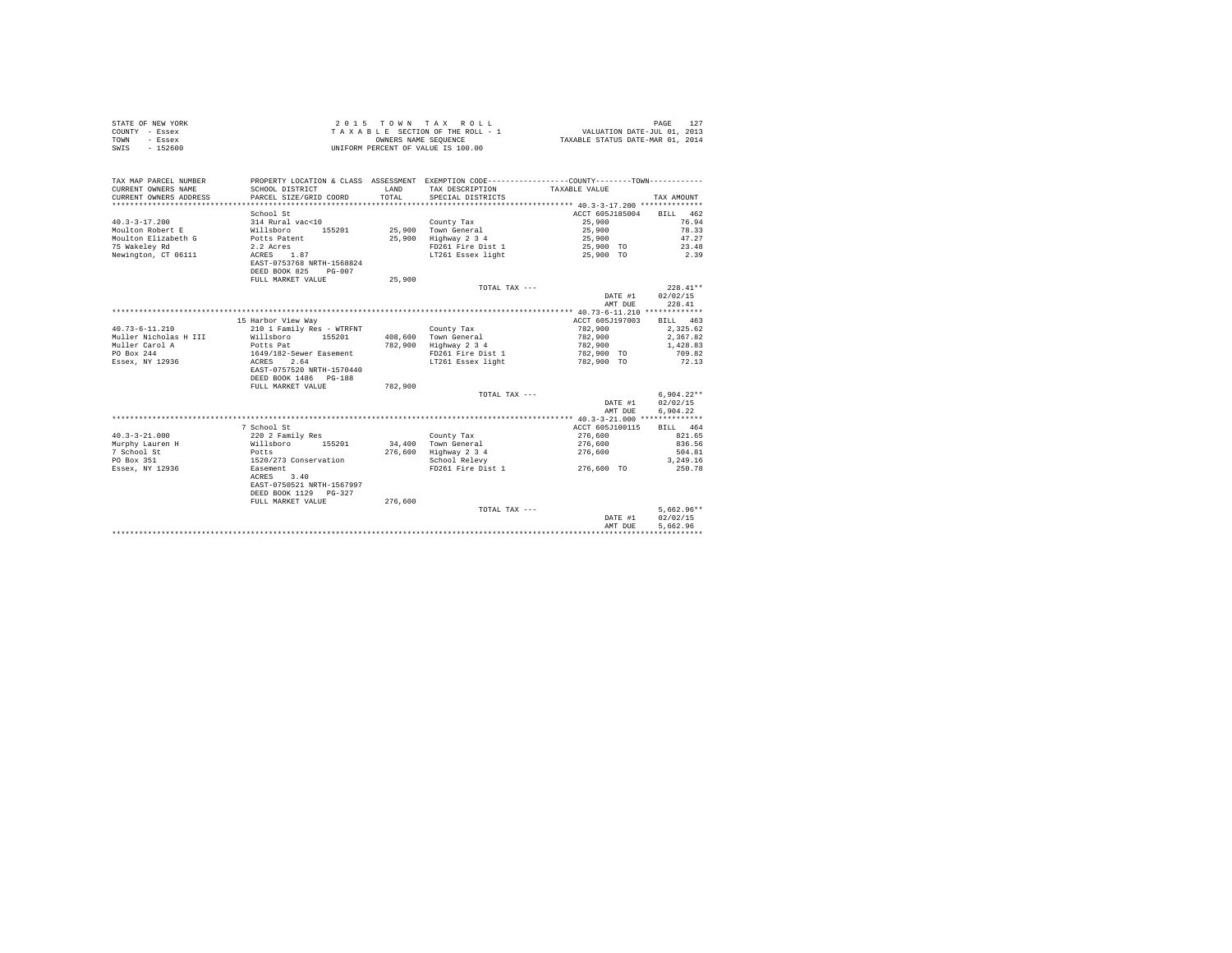| PROPERTY LOCATION & CLASS ASSESSMENT EXEMPTION CODE---------------COUNTY-------TOWN---------<br>TAX MAP PARCEL NUMBER<br>CURRENT OWNERS NAME<br>LAND<br>SCHOOL DISTRICT<br>TAX DESCRIPTION<br>TAXABLE VALUE<br>CURRENT OWNERS ADDRESS<br>PARCEL SIZE/GRID COORD<br>TOTAL<br>SPECIAL DISTRICTS<br>TAX AMOUNT<br>School St<br>ACCT 605J185004<br>BILL 462<br>25,900<br>$40.3 - 3 - 17.200$<br>314 Rural vac<10<br>76.94<br>County Tax<br>Moulton Robert E<br>78.33<br>Willsboro<br>155201<br>25,900 Town General<br>25,900<br>Moulton Elizabeth G<br>47.27<br>Potts Patent<br>25,900 Highway 2 3 4<br>25,900<br>75 Wakeley Rd<br>2.2 Acres<br>FD261 Fire Dist 1<br>23.48<br>25,900 TO<br>Newington, CT 06111<br>ACRES 1.87<br>LT261 Essex light<br>2.39<br>25,900 TO<br>EAST-0753768 NRTH-1568824<br>DEED BOOK 825 PG-007<br>FULL MARKET VALUE<br>25,900<br>$228.41**$<br>TOTAL TAX ---<br>02/02/15<br>DATE #1<br>228.41<br>AMT DUE<br>15 Harbor View Way<br>ACCT 605J197003<br>BILL 463<br>$40.73 - 6 - 11.210$<br>210 1 Family Res - WTRFNT<br>782,900<br>2.325.62<br>County Tax<br>Muller Nicholas H III<br>Willsboro 155201<br>408,600 Town General<br>782,900<br>2.367.82<br>Muller Carol A<br>Potts Pat<br>782,900 Highway 2 3 4<br>1,428.83<br>782,900<br>PO Box 244<br>1649/182-Sewer Easement<br>FD261 Fire Dist 1<br>782,900 TO<br>709.82<br>Essex, NY 12936<br>ACRES 2.64<br>LT261 Essex light<br>782,900 TO<br>72.13<br>EAST-0757520 NRTH-1570440<br>DEED BOOK 1486 PG-188<br>FULL MARKET VALUE<br>782,900<br>$6.904.22**$<br>TOTAL TAX ---<br>DATE #1<br>02/02/15<br>6,904.22<br>AMT DUE<br>7 School St<br>ACCT 605J100115<br>BILL 464<br>$40.3 - 3 - 21.000$<br>220 2 Family Res<br>276,600<br>821.65<br>County Tax<br>Murphy Lauren H<br>155201<br>34,400 Town General<br>836.56<br>Willsboro<br>276,600<br>7 School St<br>276,600 Highway 2 3 4<br>276,600<br>Potts<br>504.81<br>PO Box 351<br>1520/273 Conservation<br>3,249.16<br>School Relevy<br>FD261 Fire Dist 1<br>250.78<br>Essex, NY 12936<br>Easement<br>276,600 TO<br>3.40<br>ACRES<br>EAST-0750521 NRTH-1567997<br>DEED BOOK 1129 PG-327<br>FULL MARKET VALUE<br>276.600<br>$5,662.96**$<br>TOTAL TAX ---<br>02/02/15<br>DATE #1<br>5.662.96<br>AMT DUE | STATE OF NEW YORK<br>COUNTY - Essex<br>TOWN<br>- Essex<br>$-152600$<br>SWIS | OWNERS NAME SEQUENCE | 2015 TOWN TAX ROLL<br>TAXABLE SECTION OF THE ROLL - 1<br>UNIFORM PERCENT OF VALUE IS 100.00 | VALUATION DATE-JUL 01, 2013<br>TAXABLE STATUS DATE-MAR 01, 2014 | 127<br>PAGE |
|-----------------------------------------------------------------------------------------------------------------------------------------------------------------------------------------------------------------------------------------------------------------------------------------------------------------------------------------------------------------------------------------------------------------------------------------------------------------------------------------------------------------------------------------------------------------------------------------------------------------------------------------------------------------------------------------------------------------------------------------------------------------------------------------------------------------------------------------------------------------------------------------------------------------------------------------------------------------------------------------------------------------------------------------------------------------------------------------------------------------------------------------------------------------------------------------------------------------------------------------------------------------------------------------------------------------------------------------------------------------------------------------------------------------------------------------------------------------------------------------------------------------------------------------------------------------------------------------------------------------------------------------------------------------------------------------------------------------------------------------------------------------------------------------------------------------------------------------------------------------------------------------------------------------------------------------------------------------------------------------------------------------------------------------------------------------------------------------------------------------------------------------------------------------------------------------------------------------------------------|-----------------------------------------------------------------------------|----------------------|---------------------------------------------------------------------------------------------|-----------------------------------------------------------------|-------------|
|                                                                                                                                                                                                                                                                                                                                                                                                                                                                                                                                                                                                                                                                                                                                                                                                                                                                                                                                                                                                                                                                                                                                                                                                                                                                                                                                                                                                                                                                                                                                                                                                                                                                                                                                                                                                                                                                                                                                                                                                                                                                                                                                                                                                                                   |                                                                             |                      |                                                                                             |                                                                 |             |
|                                                                                                                                                                                                                                                                                                                                                                                                                                                                                                                                                                                                                                                                                                                                                                                                                                                                                                                                                                                                                                                                                                                                                                                                                                                                                                                                                                                                                                                                                                                                                                                                                                                                                                                                                                                                                                                                                                                                                                                                                                                                                                                                                                                                                                   |                                                                             |                      |                                                                                             |                                                                 |             |
|                                                                                                                                                                                                                                                                                                                                                                                                                                                                                                                                                                                                                                                                                                                                                                                                                                                                                                                                                                                                                                                                                                                                                                                                                                                                                                                                                                                                                                                                                                                                                                                                                                                                                                                                                                                                                                                                                                                                                                                                                                                                                                                                                                                                                                   |                                                                             |                      |                                                                                             |                                                                 |             |
|                                                                                                                                                                                                                                                                                                                                                                                                                                                                                                                                                                                                                                                                                                                                                                                                                                                                                                                                                                                                                                                                                                                                                                                                                                                                                                                                                                                                                                                                                                                                                                                                                                                                                                                                                                                                                                                                                                                                                                                                                                                                                                                                                                                                                                   |                                                                             |                      |                                                                                             |                                                                 |             |
|                                                                                                                                                                                                                                                                                                                                                                                                                                                                                                                                                                                                                                                                                                                                                                                                                                                                                                                                                                                                                                                                                                                                                                                                                                                                                                                                                                                                                                                                                                                                                                                                                                                                                                                                                                                                                                                                                                                                                                                                                                                                                                                                                                                                                                   |                                                                             |                      |                                                                                             |                                                                 |             |
|                                                                                                                                                                                                                                                                                                                                                                                                                                                                                                                                                                                                                                                                                                                                                                                                                                                                                                                                                                                                                                                                                                                                                                                                                                                                                                                                                                                                                                                                                                                                                                                                                                                                                                                                                                                                                                                                                                                                                                                                                                                                                                                                                                                                                                   |                                                                             |                      |                                                                                             |                                                                 |             |
|                                                                                                                                                                                                                                                                                                                                                                                                                                                                                                                                                                                                                                                                                                                                                                                                                                                                                                                                                                                                                                                                                                                                                                                                                                                                                                                                                                                                                                                                                                                                                                                                                                                                                                                                                                                                                                                                                                                                                                                                                                                                                                                                                                                                                                   |                                                                             |                      |                                                                                             |                                                                 |             |
|                                                                                                                                                                                                                                                                                                                                                                                                                                                                                                                                                                                                                                                                                                                                                                                                                                                                                                                                                                                                                                                                                                                                                                                                                                                                                                                                                                                                                                                                                                                                                                                                                                                                                                                                                                                                                                                                                                                                                                                                                                                                                                                                                                                                                                   |                                                                             |                      |                                                                                             |                                                                 |             |
|                                                                                                                                                                                                                                                                                                                                                                                                                                                                                                                                                                                                                                                                                                                                                                                                                                                                                                                                                                                                                                                                                                                                                                                                                                                                                                                                                                                                                                                                                                                                                                                                                                                                                                                                                                                                                                                                                                                                                                                                                                                                                                                                                                                                                                   |                                                                             |                      |                                                                                             |                                                                 |             |
|                                                                                                                                                                                                                                                                                                                                                                                                                                                                                                                                                                                                                                                                                                                                                                                                                                                                                                                                                                                                                                                                                                                                                                                                                                                                                                                                                                                                                                                                                                                                                                                                                                                                                                                                                                                                                                                                                                                                                                                                                                                                                                                                                                                                                                   |                                                                             |                      |                                                                                             |                                                                 |             |
|                                                                                                                                                                                                                                                                                                                                                                                                                                                                                                                                                                                                                                                                                                                                                                                                                                                                                                                                                                                                                                                                                                                                                                                                                                                                                                                                                                                                                                                                                                                                                                                                                                                                                                                                                                                                                                                                                                                                                                                                                                                                                                                                                                                                                                   |                                                                             |                      |                                                                                             |                                                                 |             |
|                                                                                                                                                                                                                                                                                                                                                                                                                                                                                                                                                                                                                                                                                                                                                                                                                                                                                                                                                                                                                                                                                                                                                                                                                                                                                                                                                                                                                                                                                                                                                                                                                                                                                                                                                                                                                                                                                                                                                                                                                                                                                                                                                                                                                                   |                                                                             |                      |                                                                                             |                                                                 |             |
|                                                                                                                                                                                                                                                                                                                                                                                                                                                                                                                                                                                                                                                                                                                                                                                                                                                                                                                                                                                                                                                                                                                                                                                                                                                                                                                                                                                                                                                                                                                                                                                                                                                                                                                                                                                                                                                                                                                                                                                                                                                                                                                                                                                                                                   |                                                                             |                      |                                                                                             |                                                                 |             |
|                                                                                                                                                                                                                                                                                                                                                                                                                                                                                                                                                                                                                                                                                                                                                                                                                                                                                                                                                                                                                                                                                                                                                                                                                                                                                                                                                                                                                                                                                                                                                                                                                                                                                                                                                                                                                                                                                                                                                                                                                                                                                                                                                                                                                                   |                                                                             |                      |                                                                                             |                                                                 |             |
|                                                                                                                                                                                                                                                                                                                                                                                                                                                                                                                                                                                                                                                                                                                                                                                                                                                                                                                                                                                                                                                                                                                                                                                                                                                                                                                                                                                                                                                                                                                                                                                                                                                                                                                                                                                                                                                                                                                                                                                                                                                                                                                                                                                                                                   |                                                                             |                      |                                                                                             |                                                                 |             |
|                                                                                                                                                                                                                                                                                                                                                                                                                                                                                                                                                                                                                                                                                                                                                                                                                                                                                                                                                                                                                                                                                                                                                                                                                                                                                                                                                                                                                                                                                                                                                                                                                                                                                                                                                                                                                                                                                                                                                                                                                                                                                                                                                                                                                                   |                                                                             |                      |                                                                                             |                                                                 |             |
|                                                                                                                                                                                                                                                                                                                                                                                                                                                                                                                                                                                                                                                                                                                                                                                                                                                                                                                                                                                                                                                                                                                                                                                                                                                                                                                                                                                                                                                                                                                                                                                                                                                                                                                                                                                                                                                                                                                                                                                                                                                                                                                                                                                                                                   |                                                                             |                      |                                                                                             |                                                                 |             |
|                                                                                                                                                                                                                                                                                                                                                                                                                                                                                                                                                                                                                                                                                                                                                                                                                                                                                                                                                                                                                                                                                                                                                                                                                                                                                                                                                                                                                                                                                                                                                                                                                                                                                                                                                                                                                                                                                                                                                                                                                                                                                                                                                                                                                                   |                                                                             |                      |                                                                                             |                                                                 |             |
|                                                                                                                                                                                                                                                                                                                                                                                                                                                                                                                                                                                                                                                                                                                                                                                                                                                                                                                                                                                                                                                                                                                                                                                                                                                                                                                                                                                                                                                                                                                                                                                                                                                                                                                                                                                                                                                                                                                                                                                                                                                                                                                                                                                                                                   |                                                                             |                      |                                                                                             |                                                                 |             |
|                                                                                                                                                                                                                                                                                                                                                                                                                                                                                                                                                                                                                                                                                                                                                                                                                                                                                                                                                                                                                                                                                                                                                                                                                                                                                                                                                                                                                                                                                                                                                                                                                                                                                                                                                                                                                                                                                                                                                                                                                                                                                                                                                                                                                                   |                                                                             |                      |                                                                                             |                                                                 |             |
|                                                                                                                                                                                                                                                                                                                                                                                                                                                                                                                                                                                                                                                                                                                                                                                                                                                                                                                                                                                                                                                                                                                                                                                                                                                                                                                                                                                                                                                                                                                                                                                                                                                                                                                                                                                                                                                                                                                                                                                                                                                                                                                                                                                                                                   |                                                                             |                      |                                                                                             |                                                                 |             |
|                                                                                                                                                                                                                                                                                                                                                                                                                                                                                                                                                                                                                                                                                                                                                                                                                                                                                                                                                                                                                                                                                                                                                                                                                                                                                                                                                                                                                                                                                                                                                                                                                                                                                                                                                                                                                                                                                                                                                                                                                                                                                                                                                                                                                                   |                                                                             |                      |                                                                                             |                                                                 |             |
|                                                                                                                                                                                                                                                                                                                                                                                                                                                                                                                                                                                                                                                                                                                                                                                                                                                                                                                                                                                                                                                                                                                                                                                                                                                                                                                                                                                                                                                                                                                                                                                                                                                                                                                                                                                                                                                                                                                                                                                                                                                                                                                                                                                                                                   |                                                                             |                      |                                                                                             |                                                                 |             |
|                                                                                                                                                                                                                                                                                                                                                                                                                                                                                                                                                                                                                                                                                                                                                                                                                                                                                                                                                                                                                                                                                                                                                                                                                                                                                                                                                                                                                                                                                                                                                                                                                                                                                                                                                                                                                                                                                                                                                                                                                                                                                                                                                                                                                                   |                                                                             |                      |                                                                                             |                                                                 |             |
|                                                                                                                                                                                                                                                                                                                                                                                                                                                                                                                                                                                                                                                                                                                                                                                                                                                                                                                                                                                                                                                                                                                                                                                                                                                                                                                                                                                                                                                                                                                                                                                                                                                                                                                                                                                                                                                                                                                                                                                                                                                                                                                                                                                                                                   |                                                                             |                      |                                                                                             |                                                                 |             |
|                                                                                                                                                                                                                                                                                                                                                                                                                                                                                                                                                                                                                                                                                                                                                                                                                                                                                                                                                                                                                                                                                                                                                                                                                                                                                                                                                                                                                                                                                                                                                                                                                                                                                                                                                                                                                                                                                                                                                                                                                                                                                                                                                                                                                                   |                                                                             |                      |                                                                                             |                                                                 |             |
|                                                                                                                                                                                                                                                                                                                                                                                                                                                                                                                                                                                                                                                                                                                                                                                                                                                                                                                                                                                                                                                                                                                                                                                                                                                                                                                                                                                                                                                                                                                                                                                                                                                                                                                                                                                                                                                                                                                                                                                                                                                                                                                                                                                                                                   |                                                                             |                      |                                                                                             |                                                                 |             |
|                                                                                                                                                                                                                                                                                                                                                                                                                                                                                                                                                                                                                                                                                                                                                                                                                                                                                                                                                                                                                                                                                                                                                                                                                                                                                                                                                                                                                                                                                                                                                                                                                                                                                                                                                                                                                                                                                                                                                                                                                                                                                                                                                                                                                                   |                                                                             |                      |                                                                                             |                                                                 |             |
|                                                                                                                                                                                                                                                                                                                                                                                                                                                                                                                                                                                                                                                                                                                                                                                                                                                                                                                                                                                                                                                                                                                                                                                                                                                                                                                                                                                                                                                                                                                                                                                                                                                                                                                                                                                                                                                                                                                                                                                                                                                                                                                                                                                                                                   |                                                                             |                      |                                                                                             |                                                                 |             |
|                                                                                                                                                                                                                                                                                                                                                                                                                                                                                                                                                                                                                                                                                                                                                                                                                                                                                                                                                                                                                                                                                                                                                                                                                                                                                                                                                                                                                                                                                                                                                                                                                                                                                                                                                                                                                                                                                                                                                                                                                                                                                                                                                                                                                                   |                                                                             |                      |                                                                                             |                                                                 |             |
|                                                                                                                                                                                                                                                                                                                                                                                                                                                                                                                                                                                                                                                                                                                                                                                                                                                                                                                                                                                                                                                                                                                                                                                                                                                                                                                                                                                                                                                                                                                                                                                                                                                                                                                                                                                                                                                                                                                                                                                                                                                                                                                                                                                                                                   |                                                                             |                      |                                                                                             |                                                                 |             |
|                                                                                                                                                                                                                                                                                                                                                                                                                                                                                                                                                                                                                                                                                                                                                                                                                                                                                                                                                                                                                                                                                                                                                                                                                                                                                                                                                                                                                                                                                                                                                                                                                                                                                                                                                                                                                                                                                                                                                                                                                                                                                                                                                                                                                                   |                                                                             |                      |                                                                                             |                                                                 |             |
|                                                                                                                                                                                                                                                                                                                                                                                                                                                                                                                                                                                                                                                                                                                                                                                                                                                                                                                                                                                                                                                                                                                                                                                                                                                                                                                                                                                                                                                                                                                                                                                                                                                                                                                                                                                                                                                                                                                                                                                                                                                                                                                                                                                                                                   |                                                                             |                      |                                                                                             |                                                                 |             |
|                                                                                                                                                                                                                                                                                                                                                                                                                                                                                                                                                                                                                                                                                                                                                                                                                                                                                                                                                                                                                                                                                                                                                                                                                                                                                                                                                                                                                                                                                                                                                                                                                                                                                                                                                                                                                                                                                                                                                                                                                                                                                                                                                                                                                                   |                                                                             |                      |                                                                                             |                                                                 |             |
|                                                                                                                                                                                                                                                                                                                                                                                                                                                                                                                                                                                                                                                                                                                                                                                                                                                                                                                                                                                                                                                                                                                                                                                                                                                                                                                                                                                                                                                                                                                                                                                                                                                                                                                                                                                                                                                                                                                                                                                                                                                                                                                                                                                                                                   |                                                                             |                      |                                                                                             |                                                                 |             |
|                                                                                                                                                                                                                                                                                                                                                                                                                                                                                                                                                                                                                                                                                                                                                                                                                                                                                                                                                                                                                                                                                                                                                                                                                                                                                                                                                                                                                                                                                                                                                                                                                                                                                                                                                                                                                                                                                                                                                                                                                                                                                                                                                                                                                                   |                                                                             |                      |                                                                                             |                                                                 |             |
|                                                                                                                                                                                                                                                                                                                                                                                                                                                                                                                                                                                                                                                                                                                                                                                                                                                                                                                                                                                                                                                                                                                                                                                                                                                                                                                                                                                                                                                                                                                                                                                                                                                                                                                                                                                                                                                                                                                                                                                                                                                                                                                                                                                                                                   |                                                                             |                      |                                                                                             |                                                                 |             |
|                                                                                                                                                                                                                                                                                                                                                                                                                                                                                                                                                                                                                                                                                                                                                                                                                                                                                                                                                                                                                                                                                                                                                                                                                                                                                                                                                                                                                                                                                                                                                                                                                                                                                                                                                                                                                                                                                                                                                                                                                                                                                                                                                                                                                                   |                                                                             |                      |                                                                                             |                                                                 |             |
|                                                                                                                                                                                                                                                                                                                                                                                                                                                                                                                                                                                                                                                                                                                                                                                                                                                                                                                                                                                                                                                                                                                                                                                                                                                                                                                                                                                                                                                                                                                                                                                                                                                                                                                                                                                                                                                                                                                                                                                                                                                                                                                                                                                                                                   |                                                                             |                      |                                                                                             |                                                                 |             |
|                                                                                                                                                                                                                                                                                                                                                                                                                                                                                                                                                                                                                                                                                                                                                                                                                                                                                                                                                                                                                                                                                                                                                                                                                                                                                                                                                                                                                                                                                                                                                                                                                                                                                                                                                                                                                                                                                                                                                                                                                                                                                                                                                                                                                                   |                                                                             |                      |                                                                                             |                                                                 |             |
|                                                                                                                                                                                                                                                                                                                                                                                                                                                                                                                                                                                                                                                                                                                                                                                                                                                                                                                                                                                                                                                                                                                                                                                                                                                                                                                                                                                                                                                                                                                                                                                                                                                                                                                                                                                                                                                                                                                                                                                                                                                                                                                                                                                                                                   |                                                                             |                      |                                                                                             |                                                                 |             |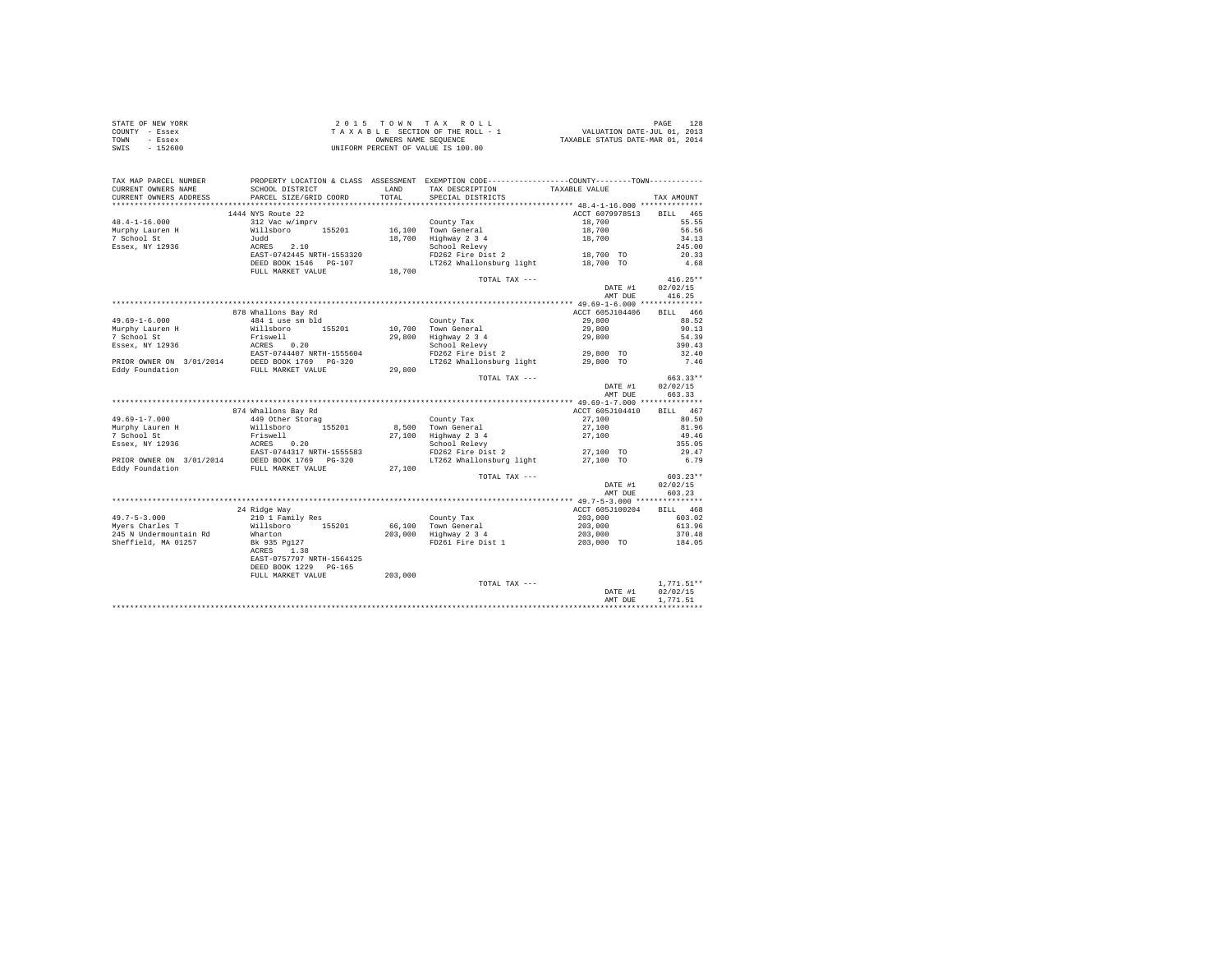| STATE OF NEW YORK | 2015 TOWN TAX ROLL                 | PAGE                             |
|-------------------|------------------------------------|----------------------------------|
| COUNTY - Essex    | TAXABLE SECTION OF THE ROLL - 1    | VALUATION DATE-JUL 01, 2013      |
| TOWN<br>- Essex   | OWNERS NAME SEOUENCE               | TAXABLE STATUS DATE-MAR 01, 2014 |
| $-152600$<br>SWIS | UNIFORM PERCENT OF VALUE IS 100.00 |                                  |

| TAX MAP PARCEL NUMBER<br>CURRENT OWNERS NAME | SCHOOL DISTRICT                                    | LAND    | PROPERTY LOCATION & CLASS ASSESSMENT EXEMPTION CODE----------------COUNTY-------TOWN----------<br>TAX DESCRIPTION | TAXABLE VALUE   |                          |
|----------------------------------------------|----------------------------------------------------|---------|-------------------------------------------------------------------------------------------------------------------|-----------------|--------------------------|
| CURRENT OWNERS ADDRESS                       | PARCEL SIZE/GRID COORD                             | TOTAL.  | SPECIAL DISTRICTS                                                                                                 |                 | TAX AMOUNT               |
| **********************                       |                                                    |         |                                                                                                                   |                 |                          |
|                                              | 1444 NYS Route 22                                  |         |                                                                                                                   | ACCT 6079978513 | <b>BILL</b><br>465       |
| $48.4 - 1 - 16.000$                          | 312 Vac w/imprv                                    |         | County Tax                                                                                                        | 18,700          | 55.55                    |
| Murphy Lauren H                              | Willsboro 155201                                   |         | 16,100 Town General                                                                                               | 18,700          | 56.56                    |
| 7 School St                                  | Judd                                               |         | 18,700 Highway 2 3 4                                                                                              | 18,700          | 34.13                    |
| Essex, NY 12936                              | ACRES 2.10                                         |         | School Relevy                                                                                                     |                 | 245.00                   |
|                                              | EAST-0742445 NRTH-1553320                          |         | FD262 Fire Dist 2                                                                                                 | 18,700 TO       | 20.33                    |
|                                              | DEED BOOK 1546 PG-107                              |         | LT262 Whallonsburg light 18,700 TO                                                                                |                 | 4.68                     |
|                                              | FULL MARKET VALUE                                  | 18,700  |                                                                                                                   |                 |                          |
|                                              |                                                    |         | TOTAL TAX ---                                                                                                     |                 | $416.25**$               |
|                                              |                                                    |         |                                                                                                                   | DATE #1         | 02/02/15                 |
|                                              |                                                    |         |                                                                                                                   | AMT DUE         | 416.25                   |
|                                              |                                                    |         |                                                                                                                   |                 |                          |
|                                              | 878 Whallons Bay Rd                                |         |                                                                                                                   | ACCT 605J104406 | BILL 466                 |
| $49.69 - 1 - 6.000$                          | 484 1 use sm bld                                   |         | County Tax                                                                                                        | 29,800          | 88.52                    |
| Murphy Lauren H                              | Willsboro 155201                                   |         | 10,700 Town General                                                                                               | 29,800          | 90.13                    |
| 7 School St                                  | Friswell                                           |         |                                                                                                                   | 29,800          | 54.39                    |
|                                              |                                                    |         | 29,800 Highway 2 3 4                                                                                              |                 | 390.43                   |
|                                              |                                                    |         | School Relevy<br>FD262 Fire Dist 2                                                                                |                 | 32.40                    |
|                                              |                                                    |         |                                                                                                                   | 29,800 TO       |                          |
|                                              |                                                    | 29,800  | LT262 Whallonsburg light                                                                                          | 29,800 TO       | 7.46                     |
|                                              |                                                    |         |                                                                                                                   |                 | 663.33**                 |
|                                              |                                                    |         | TOTAL TAX ---                                                                                                     | DATE #1         | 02/02/15                 |
|                                              |                                                    |         |                                                                                                                   | AMT DUE         | 663.33                   |
|                                              |                                                    |         |                                                                                                                   |                 |                          |
|                                              | 874 Whallons Bay Rd                                |         |                                                                                                                   | ACCT 605J104410 | BILL 467                 |
| 49.69-1-7.000                                | 449 Other Storag                                   |         | County Tax                                                                                                        | 27,100          | 80.50                    |
| Murphy Lauren H                              | Willsboro 155201                                   |         | 8.500 Town General                                                                                                | 27,100          | 81.96                    |
| 7 School St                                  | Friswell                                           |         |                                                                                                                   |                 | 49.46                    |
|                                              | ACRES 0.20                                         |         | 27,100 Highway 2 3 4                                                                                              | 27,100          | 355.05                   |
| Essex, NY 12936                              |                                                    |         | School Relevy<br>FD262 Fire Dist 2                                                                                |                 |                          |
|                                              | EAST-0744317 NRTH-1555583<br>DEED BOOK 1769 PG-320 |         |                                                                                                                   | 27,100 TO       | 29.47                    |
| PRIOR OWNER ON 3/01/2014                     |                                                    |         | LT262 Whallonsburg light                                                                                          | 27,100 TO       | 6.79                     |
| Eddy Foundation                              | FULL MARKET VALUE                                  | 27,100  |                                                                                                                   |                 | $603.23**$               |
|                                              |                                                    |         | TOTAL TAX ---                                                                                                     | DATE #1         | 02/02/15                 |
|                                              |                                                    |         |                                                                                                                   | AMT DUE         | 603.23                   |
|                                              |                                                    |         |                                                                                                                   |                 |                          |
|                                              | 24 Ridge Way                                       |         |                                                                                                                   | ACCT 605J100204 | BILL 468                 |
| $49.7 - 5 - 3.000$                           |                                                    |         |                                                                                                                   | 203,000         | 603.02                   |
| Mvers Charles T                              | 210 1 Family Res<br>Willsboro 155201               |         | County Tax<br>66.100 Town General                                                                                 | 203,000         | 613.96                   |
| 245 N Undermountain Rd                       |                                                    |         |                                                                                                                   |                 |                          |
|                                              | Wharton                                            |         | 203,000 Highway 2 3 4                                                                                             | 203,000         | 370.48                   |
| Sheffield, MA 01257                          | Bk 935 Pg127                                       |         | FD261 Fire Dist 1                                                                                                 | 203,000 TO      | 184.05                   |
|                                              | 1.38<br>ACRES<br>EAST-0757797 NRTH-1564125         |         |                                                                                                                   |                 |                          |
|                                              |                                                    |         |                                                                                                                   |                 |                          |
|                                              | DEED BOOK 1229 PG-165                              |         |                                                                                                                   |                 |                          |
|                                              | FULL MARKET VALUE                                  | 203,000 | TOTAL TAX ---                                                                                                     |                 |                          |
|                                              |                                                    |         |                                                                                                                   |                 | $1,771.51**$<br>02/02/15 |
|                                              |                                                    |         |                                                                                                                   | DATE #1         |                          |
|                                              |                                                    |         |                                                                                                                   | AMT DUE         | 1,771.51                 |
|                                              |                                                    |         |                                                                                                                   |                 |                          |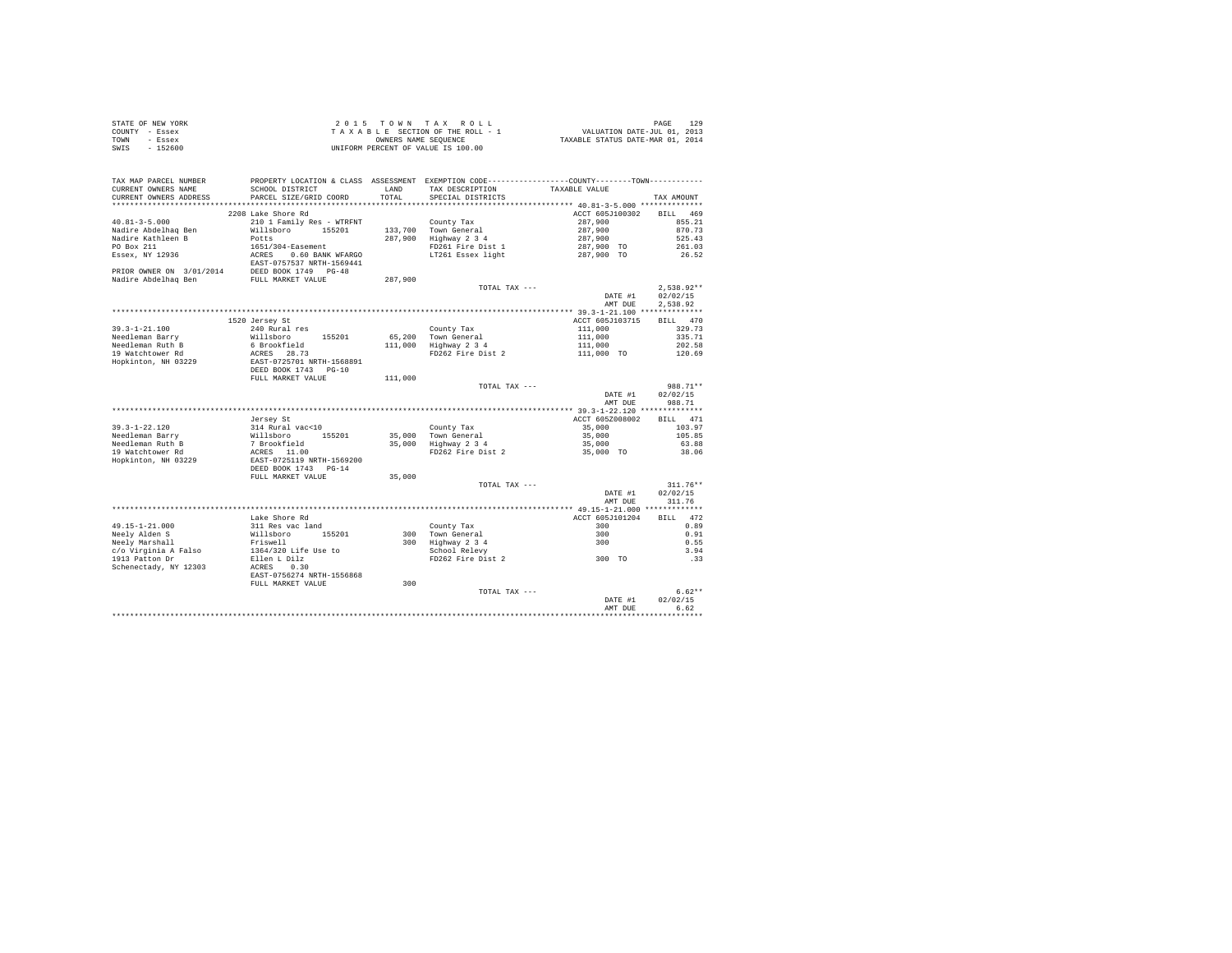|                | STATE OF NEW YORK |  |  |  | $2.0.15$ TOWN TAX ROLL             |  |  |  | 129<br>PAGE                      |
|----------------|-------------------|--|--|--|------------------------------------|--|--|--|----------------------------------|
| COUNTY - Essex |                   |  |  |  | TAXABLE SECTION OF THE ROLL - 1    |  |  |  | VALUATION DATE-JUL 01, 2013      |
| TOWN           | - Essex           |  |  |  | OWNERS NAME SEOUENCE               |  |  |  | TAXABLE STATUS DATE-MAR 01, 2014 |
| SWIS           | $-152600$         |  |  |  | UNIFORM PERCENT OF VALUE IS 100.00 |  |  |  |                                  |

| TAX MAP PARCEL NUMBER<br>CURRENT OWNERS NAME<br>CURRENT OWNERS ADDRESS | PROPERTY LOCATION & CLASS ASSESSMENT EXEMPTION CODE---------------COUNTY-------TOWN---------<br>SCHOOL DISTRICT<br>PARCEL SIZE/GRID COORD | LAND<br>TOTAL. | TAX DESCRIPTION<br>SPECIAL DISTRICTS                             | TAXABLE VALUE                          | TAX AMOUNT             |
|------------------------------------------------------------------------|-------------------------------------------------------------------------------------------------------------------------------------------|----------------|------------------------------------------------------------------|----------------------------------------|------------------------|
| *******************                                                    | ************************                                                                                                                  | .              | *********************************** 40.81-3-5.000 ************** |                                        |                        |
|                                                                        | 2208 Lake Shore Rd                                                                                                                        |                |                                                                  | ACCT 605J100302                        | <b>BILL</b><br>469     |
| $40.81 - 3 - 5.000$                                                    | 210 1 Family Res - WTRFNT                                                                                                                 |                | County Tax                                                       | 287,900                                | 855.21                 |
| Nadire Abdelhaq Ben                                                    | Willsboro 155201                                                                                                                          |                | 133,700 Town General                                             | 287,900                                | 870.73                 |
| Nadire Kathleen B                                                      | Potts                                                                                                                                     | 287.900        | Highway 2 3 4                                                    | 287,900                                | 525.43                 |
| PO Box 211                                                             | 1651/304-Easement                                                                                                                         |                | FD261 Fire Dist 1                                                | 287,900 TO                             | 261.03                 |
| Essex, NY 12936                                                        | ACRES 0.60 BANK WFARGO                                                                                                                    |                | LT261 Essex light                                                | 287,900 TO                             | 26.52                  |
|                                                                        | EAST-0757537 NRTH-1569441                                                                                                                 |                |                                                                  |                                        |                        |
| PRIOR OWNER ON 3/01/2014                                               | DEED BOOK 1749 PG-48                                                                                                                      |                |                                                                  |                                        |                        |
| Nadire Abdelhaq Ben                                                    | FULL MARKET VALUE                                                                                                                         | 287,900        |                                                                  |                                        |                        |
|                                                                        |                                                                                                                                           |                | TOTAL TAX ---                                                    |                                        | $2.538.92**$           |
|                                                                        |                                                                                                                                           |                |                                                                  | DATE #1                                | 02/02/15               |
|                                                                        |                                                                                                                                           |                |                                                                  | AMT DUE                                | 2.538.92               |
|                                                                        |                                                                                                                                           |                |                                                                  |                                        |                        |
|                                                                        | 1520 Jersey St                                                                                                                            |                |                                                                  | ACCT 605J103715                        | RTT.T.<br>470          |
| $39.3 - 1 - 21.100$                                                    | 240 Rural res                                                                                                                             |                | County Tax                                                       | 111,000                                | 329.73                 |
| Needleman Barry                                                        | Willsboro<br>155201                                                                                                                       |                | 65,200 Town General                                              | 111,000                                | 335.71                 |
| Needleman Ruth B                                                       | 6 Brookfield                                                                                                                              |                | 111,000 Highway 2 3 4                                            | 111,000                                | 202.58                 |
| 19 Watchtower Rd                                                       | ACRES 28.73                                                                                                                               |                | FD262 Fire Dist 2                                                | 111,000 TO                             | 120.69                 |
| Hopkinton, NH 03229                                                    | EAST-0725701 NRTH-1568891                                                                                                                 |                |                                                                  |                                        |                        |
|                                                                        | DEED BOOK 1743 PG-10                                                                                                                      |                |                                                                  |                                        |                        |
|                                                                        | FULL MARKET VALUE                                                                                                                         | 111,000        |                                                                  |                                        |                        |
|                                                                        |                                                                                                                                           |                | TOTAL TAX ---                                                    |                                        | 988.71**               |
|                                                                        |                                                                                                                                           |                |                                                                  | DATE #1                                | 02/02/15               |
|                                                                        |                                                                                                                                           |                |                                                                  | AMT DUE                                | 988.71                 |
|                                                                        |                                                                                                                                           |                |                                                                  | ********* 39.3-1-22.120 ************** |                        |
|                                                                        | Jersey St                                                                                                                                 |                |                                                                  | ACCT 605Z008002                        | 471<br>BILL            |
| $39.3 - 1 - 22.120$                                                    | 314 Rural vac<10                                                                                                                          |                | County Tax                                                       | 35,000                                 | 103.97                 |
| Needleman Barry                                                        | Willsboro 155201                                                                                                                          | 35,000         | Town General                                                     | 35,000                                 | 105.85                 |
| Needleman Ruth B                                                       | 7 Brookfield                                                                                                                              | 35,000         | Highway 2 3 4                                                    | 35,000                                 | 63.88                  |
| 19 Watchtower Rd                                                       | ACRES 11.00                                                                                                                               |                | FD262 Fire Dist 2                                                | 35,000 TO                              | 38.06                  |
| Hopkinton, NH 03229                                                    | EAST-0725119 NRTH-1569200                                                                                                                 |                |                                                                  |                                        |                        |
|                                                                        | DEED BOOK 1743 PG-14                                                                                                                      |                |                                                                  |                                        |                        |
|                                                                        | FULL MARKET VALUE                                                                                                                         | 35,000         |                                                                  |                                        |                        |
|                                                                        |                                                                                                                                           |                | TOTAL TAX ---                                                    | DATE #1                                | $311.76**$<br>02/02/15 |
|                                                                        |                                                                                                                                           |                |                                                                  | AMT DUE                                | 311.76                 |
|                                                                        |                                                                                                                                           |                |                                                                  | ***** 49.15-1-21.000 *************     |                        |
|                                                                        | Lake Shore Rd                                                                                                                             |                |                                                                  | ACCT 605J101204                        | BILL 472               |
| $49.15 - 1 - 21.000$                                                   | 311 Res vac land                                                                                                                          |                | County Tax                                                       | 300                                    | 0.89                   |
| Neely Alden S                                                          | Willsboro<br>155201                                                                                                                       |                | 300 Town General                                                 | 300                                    | 0.91                   |
| Neely Marshall                                                         | Friswell                                                                                                                                  |                | 300 Highway 2 3 4                                                | 300                                    | 0.55                   |
| c/o Virginia A Falso                                                   | 1364/320 Life Use to                                                                                                                      |                | School Relevy                                                    |                                        | 3.94                   |
| 1913 Patton Dr                                                         | Ellen L Dilz                                                                                                                              |                | FD262 Fire Dist 2                                                | 300 TO                                 | .33                    |
| Schenectady, NY 12303                                                  | ACRES 0.30                                                                                                                                |                |                                                                  |                                        |                        |
|                                                                        | EAST-0756274 NRTH-1556868                                                                                                                 |                |                                                                  |                                        |                        |
|                                                                        | FULL MARKET VALUE                                                                                                                         | 300            |                                                                  |                                        |                        |
|                                                                        |                                                                                                                                           |                | TOTAL TAX ---                                                    |                                        | $6.62**$               |
|                                                                        |                                                                                                                                           |                |                                                                  | DATE #1                                | 02/02/15               |
|                                                                        |                                                                                                                                           |                |                                                                  | AMT DUE                                | 6.62                   |
|                                                                        |                                                                                                                                           |                |                                                                  |                                        |                        |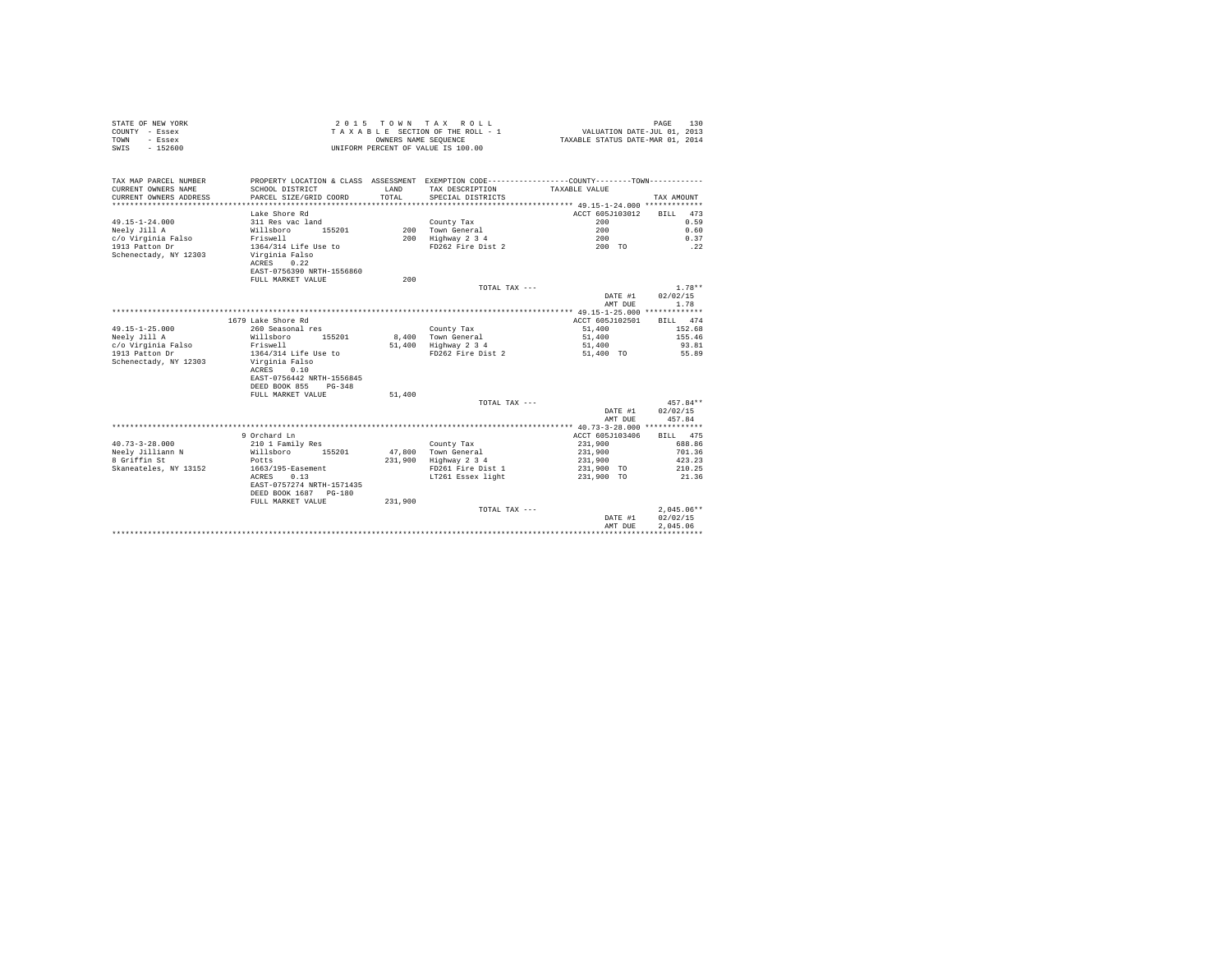| UNIFORM PERCENT OF VALUE IS 100.00<br>PROPERTY LOCATION & CLASS ASSESSMENT EXEMPTION CODE---------------COUNTY-------TOWN---------<br>SCHOOL DISTRICT<br>LAND<br>TAX DESCRIPTION<br>TAXABLE VALUE<br>PARCEL SIZE/GRID COORD<br>TOTAL<br>SPECIAL DISTRICTS<br>TAX AMOUNT<br>ACCT 605J103012<br>Lake Shore Rd<br>473<br>BILL<br>$49.15 - 1 - 24.000$<br>200<br>0.59<br>311 Res vac land<br>County Tax<br>Neelv Jill A<br>155201<br>200 Town General<br>200<br>0.60<br>Willsboro<br>c/o Virginia Falso<br>200 Highway 2 3 4<br>200<br>0.37<br>Friswell<br>1913 Patton Dr<br>1364/314 Life Use to<br>FD262 Fire Dist 2<br>200 TO<br>.22<br>Schenectady, NY 12303<br>Virginia Falso<br>ACRES<br>0.22<br>EAST-0756390 NRTH-1556860<br>FULL MARKET VALUE<br>200<br>$1.78**$<br>TOTAL TAX ---<br>02/02/15<br>DATE #1<br>AMT DUE<br>1.78<br>1679 Lake Shore Rd<br>ACCT 605J102501<br>474<br><b>BILL</b><br>$49.15 - 1 - 25.000$<br>51,400<br>260 Seasonal res<br>152.68<br>County Tax<br>155201<br>8,400<br>Neely Jill A<br>Willsboro<br>Town General<br>51,400<br>155.46<br>c/o Virginia Falso<br>Highway 2 3 4<br>Friswell<br>51,400<br>51,400<br>93.81<br>1913 Patton Dr<br>1364/314 Life Use to<br>FD262 Fire Dist 2<br>51,400 TO<br>55.89<br>Schenectady, NY 12303<br>Virginia Falso<br>ACRES<br>0.10<br>EAST-0756442 NRTH-1556845<br>DEED BOOK 855<br>$PG-348$<br>51,400<br>FULL MARKET VALUE<br>$457.84**$<br>TOTAL TAX ---<br>02/02/15<br>DATE #1<br>AMT DUE<br>457.84<br>9 Orchard Ln<br>ACCT 605J103406<br>BILL 475<br>$40.73 - 3 - 28.000$<br>210 1 Family Res<br>231,900<br>688.86<br>County Tax<br>Neely Jilliann N<br>Willsboro<br>155201<br>47,800<br>231,900<br>701.36<br>Town General<br>8 Griffin St<br>231,900<br>Highway 2 3 4<br>231,900<br>423.23<br>Potts<br>Skaneateles, NY 13152<br>1663/195-Easement<br>FD261 Fire Dist 1<br>231,900 TO<br>210.25<br>0.13<br>21.36<br>ACRES<br>LT261 Essex light<br>231,900 TO<br>EAST-0757274 NRTH-1571435<br>DEED BOOK 1687 PG-180<br>231,900<br>FULL MARKET VALUE<br>$2.045.06**$<br>TOTAL TAX ---<br>02/02/15<br>DATE #1<br>AMT DUE<br>2.045.06 | COUNTY - Essex<br>TOWN<br>- Essex | OWNERS NAME SEQUENCE | TAXABLE SECTION OF THE ROLL - 1 | VALUATION DATE-JUL 01, 2013<br>TAXABLE STATUS DATE-MAR 01, 2014 |  |
|------------------------------------------------------------------------------------------------------------------------------------------------------------------------------------------------------------------------------------------------------------------------------------------------------------------------------------------------------------------------------------------------------------------------------------------------------------------------------------------------------------------------------------------------------------------------------------------------------------------------------------------------------------------------------------------------------------------------------------------------------------------------------------------------------------------------------------------------------------------------------------------------------------------------------------------------------------------------------------------------------------------------------------------------------------------------------------------------------------------------------------------------------------------------------------------------------------------------------------------------------------------------------------------------------------------------------------------------------------------------------------------------------------------------------------------------------------------------------------------------------------------------------------------------------------------------------------------------------------------------------------------------------------------------------------------------------------------------------------------------------------------------------------------------------------------------------------------------------------------------------------------------------------------------------------------------------------------------------------------------------------------------------------------------------------------------------------------------------|-----------------------------------|----------------------|---------------------------------|-----------------------------------------------------------------|--|
|                                                                                                                                                                                                                                                                                                                                                                                                                                                                                                                                                                                                                                                                                                                                                                                                                                                                                                                                                                                                                                                                                                                                                                                                                                                                                                                                                                                                                                                                                                                                                                                                                                                                                                                                                                                                                                                                                                                                                                                                                                                                                                      | $-152600$<br>SWIS                 |                      |                                 |                                                                 |  |
|                                                                                                                                                                                                                                                                                                                                                                                                                                                                                                                                                                                                                                                                                                                                                                                                                                                                                                                                                                                                                                                                                                                                                                                                                                                                                                                                                                                                                                                                                                                                                                                                                                                                                                                                                                                                                                                                                                                                                                                                                                                                                                      | TAX MAP PARCEL NUMBER             |                      |                                 |                                                                 |  |
|                                                                                                                                                                                                                                                                                                                                                                                                                                                                                                                                                                                                                                                                                                                                                                                                                                                                                                                                                                                                                                                                                                                                                                                                                                                                                                                                                                                                                                                                                                                                                                                                                                                                                                                                                                                                                                                                                                                                                                                                                                                                                                      | CURRENT OWNERS NAME               |                      |                                 |                                                                 |  |
|                                                                                                                                                                                                                                                                                                                                                                                                                                                                                                                                                                                                                                                                                                                                                                                                                                                                                                                                                                                                                                                                                                                                                                                                                                                                                                                                                                                                                                                                                                                                                                                                                                                                                                                                                                                                                                                                                                                                                                                                                                                                                                      | CURRENT OWNERS ADDRESS            |                      |                                 |                                                                 |  |
|                                                                                                                                                                                                                                                                                                                                                                                                                                                                                                                                                                                                                                                                                                                                                                                                                                                                                                                                                                                                                                                                                                                                                                                                                                                                                                                                                                                                                                                                                                                                                                                                                                                                                                                                                                                                                                                                                                                                                                                                                                                                                                      |                                   |                      |                                 |                                                                 |  |
|                                                                                                                                                                                                                                                                                                                                                                                                                                                                                                                                                                                                                                                                                                                                                                                                                                                                                                                                                                                                                                                                                                                                                                                                                                                                                                                                                                                                                                                                                                                                                                                                                                                                                                                                                                                                                                                                                                                                                                                                                                                                                                      |                                   |                      |                                 |                                                                 |  |
|                                                                                                                                                                                                                                                                                                                                                                                                                                                                                                                                                                                                                                                                                                                                                                                                                                                                                                                                                                                                                                                                                                                                                                                                                                                                                                                                                                                                                                                                                                                                                                                                                                                                                                                                                                                                                                                                                                                                                                                                                                                                                                      |                                   |                      |                                 |                                                                 |  |
|                                                                                                                                                                                                                                                                                                                                                                                                                                                                                                                                                                                                                                                                                                                                                                                                                                                                                                                                                                                                                                                                                                                                                                                                                                                                                                                                                                                                                                                                                                                                                                                                                                                                                                                                                                                                                                                                                                                                                                                                                                                                                                      |                                   |                      |                                 |                                                                 |  |
|                                                                                                                                                                                                                                                                                                                                                                                                                                                                                                                                                                                                                                                                                                                                                                                                                                                                                                                                                                                                                                                                                                                                                                                                                                                                                                                                                                                                                                                                                                                                                                                                                                                                                                                                                                                                                                                                                                                                                                                                                                                                                                      |                                   |                      |                                 |                                                                 |  |
|                                                                                                                                                                                                                                                                                                                                                                                                                                                                                                                                                                                                                                                                                                                                                                                                                                                                                                                                                                                                                                                                                                                                                                                                                                                                                                                                                                                                                                                                                                                                                                                                                                                                                                                                                                                                                                                                                                                                                                                                                                                                                                      |                                   |                      |                                 |                                                                 |  |
|                                                                                                                                                                                                                                                                                                                                                                                                                                                                                                                                                                                                                                                                                                                                                                                                                                                                                                                                                                                                                                                                                                                                                                                                                                                                                                                                                                                                                                                                                                                                                                                                                                                                                                                                                                                                                                                                                                                                                                                                                                                                                                      |                                   |                      |                                 |                                                                 |  |
|                                                                                                                                                                                                                                                                                                                                                                                                                                                                                                                                                                                                                                                                                                                                                                                                                                                                                                                                                                                                                                                                                                                                                                                                                                                                                                                                                                                                                                                                                                                                                                                                                                                                                                                                                                                                                                                                                                                                                                                                                                                                                                      |                                   |                      |                                 |                                                                 |  |
|                                                                                                                                                                                                                                                                                                                                                                                                                                                                                                                                                                                                                                                                                                                                                                                                                                                                                                                                                                                                                                                                                                                                                                                                                                                                                                                                                                                                                                                                                                                                                                                                                                                                                                                                                                                                                                                                                                                                                                                                                                                                                                      |                                   |                      |                                 |                                                                 |  |
|                                                                                                                                                                                                                                                                                                                                                                                                                                                                                                                                                                                                                                                                                                                                                                                                                                                                                                                                                                                                                                                                                                                                                                                                                                                                                                                                                                                                                                                                                                                                                                                                                                                                                                                                                                                                                                                                                                                                                                                                                                                                                                      |                                   |                      |                                 |                                                                 |  |
|                                                                                                                                                                                                                                                                                                                                                                                                                                                                                                                                                                                                                                                                                                                                                                                                                                                                                                                                                                                                                                                                                                                                                                                                                                                                                                                                                                                                                                                                                                                                                                                                                                                                                                                                                                                                                                                                                                                                                                                                                                                                                                      |                                   |                      |                                 |                                                                 |  |
|                                                                                                                                                                                                                                                                                                                                                                                                                                                                                                                                                                                                                                                                                                                                                                                                                                                                                                                                                                                                                                                                                                                                                                                                                                                                                                                                                                                                                                                                                                                                                                                                                                                                                                                                                                                                                                                                                                                                                                                                                                                                                                      |                                   |                      |                                 |                                                                 |  |
|                                                                                                                                                                                                                                                                                                                                                                                                                                                                                                                                                                                                                                                                                                                                                                                                                                                                                                                                                                                                                                                                                                                                                                                                                                                                                                                                                                                                                                                                                                                                                                                                                                                                                                                                                                                                                                                                                                                                                                                                                                                                                                      |                                   |                      |                                 |                                                                 |  |
|                                                                                                                                                                                                                                                                                                                                                                                                                                                                                                                                                                                                                                                                                                                                                                                                                                                                                                                                                                                                                                                                                                                                                                                                                                                                                                                                                                                                                                                                                                                                                                                                                                                                                                                                                                                                                                                                                                                                                                                                                                                                                                      |                                   |                      |                                 |                                                                 |  |
|                                                                                                                                                                                                                                                                                                                                                                                                                                                                                                                                                                                                                                                                                                                                                                                                                                                                                                                                                                                                                                                                                                                                                                                                                                                                                                                                                                                                                                                                                                                                                                                                                                                                                                                                                                                                                                                                                                                                                                                                                                                                                                      |                                   |                      |                                 |                                                                 |  |
|                                                                                                                                                                                                                                                                                                                                                                                                                                                                                                                                                                                                                                                                                                                                                                                                                                                                                                                                                                                                                                                                                                                                                                                                                                                                                                                                                                                                                                                                                                                                                                                                                                                                                                                                                                                                                                                                                                                                                                                                                                                                                                      |                                   |                      |                                 |                                                                 |  |
|                                                                                                                                                                                                                                                                                                                                                                                                                                                                                                                                                                                                                                                                                                                                                                                                                                                                                                                                                                                                                                                                                                                                                                                                                                                                                                                                                                                                                                                                                                                                                                                                                                                                                                                                                                                                                                                                                                                                                                                                                                                                                                      |                                   |                      |                                 |                                                                 |  |
|                                                                                                                                                                                                                                                                                                                                                                                                                                                                                                                                                                                                                                                                                                                                                                                                                                                                                                                                                                                                                                                                                                                                                                                                                                                                                                                                                                                                                                                                                                                                                                                                                                                                                                                                                                                                                                                                                                                                                                                                                                                                                                      |                                   |                      |                                 |                                                                 |  |
|                                                                                                                                                                                                                                                                                                                                                                                                                                                                                                                                                                                                                                                                                                                                                                                                                                                                                                                                                                                                                                                                                                                                                                                                                                                                                                                                                                                                                                                                                                                                                                                                                                                                                                                                                                                                                                                                                                                                                                                                                                                                                                      |                                   |                      |                                 |                                                                 |  |
|                                                                                                                                                                                                                                                                                                                                                                                                                                                                                                                                                                                                                                                                                                                                                                                                                                                                                                                                                                                                                                                                                                                                                                                                                                                                                                                                                                                                                                                                                                                                                                                                                                                                                                                                                                                                                                                                                                                                                                                                                                                                                                      |                                   |                      |                                 |                                                                 |  |
|                                                                                                                                                                                                                                                                                                                                                                                                                                                                                                                                                                                                                                                                                                                                                                                                                                                                                                                                                                                                                                                                                                                                                                                                                                                                                                                                                                                                                                                                                                                                                                                                                                                                                                                                                                                                                                                                                                                                                                                                                                                                                                      |                                   |                      |                                 |                                                                 |  |
|                                                                                                                                                                                                                                                                                                                                                                                                                                                                                                                                                                                                                                                                                                                                                                                                                                                                                                                                                                                                                                                                                                                                                                                                                                                                                                                                                                                                                                                                                                                                                                                                                                                                                                                                                                                                                                                                                                                                                                                                                                                                                                      |                                   |                      |                                 |                                                                 |  |
|                                                                                                                                                                                                                                                                                                                                                                                                                                                                                                                                                                                                                                                                                                                                                                                                                                                                                                                                                                                                                                                                                                                                                                                                                                                                                                                                                                                                                                                                                                                                                                                                                                                                                                                                                                                                                                                                                                                                                                                                                                                                                                      |                                   |                      |                                 |                                                                 |  |
|                                                                                                                                                                                                                                                                                                                                                                                                                                                                                                                                                                                                                                                                                                                                                                                                                                                                                                                                                                                                                                                                                                                                                                                                                                                                                                                                                                                                                                                                                                                                                                                                                                                                                                                                                                                                                                                                                                                                                                                                                                                                                                      |                                   |                      |                                 |                                                                 |  |
|                                                                                                                                                                                                                                                                                                                                                                                                                                                                                                                                                                                                                                                                                                                                                                                                                                                                                                                                                                                                                                                                                                                                                                                                                                                                                                                                                                                                                                                                                                                                                                                                                                                                                                                                                                                                                                                                                                                                                                                                                                                                                                      |                                   |                      |                                 |                                                                 |  |
|                                                                                                                                                                                                                                                                                                                                                                                                                                                                                                                                                                                                                                                                                                                                                                                                                                                                                                                                                                                                                                                                                                                                                                                                                                                                                                                                                                                                                                                                                                                                                                                                                                                                                                                                                                                                                                                                                                                                                                                                                                                                                                      |                                   |                      |                                 |                                                                 |  |
|                                                                                                                                                                                                                                                                                                                                                                                                                                                                                                                                                                                                                                                                                                                                                                                                                                                                                                                                                                                                                                                                                                                                                                                                                                                                                                                                                                                                                                                                                                                                                                                                                                                                                                                                                                                                                                                                                                                                                                                                                                                                                                      |                                   |                      |                                 |                                                                 |  |
|                                                                                                                                                                                                                                                                                                                                                                                                                                                                                                                                                                                                                                                                                                                                                                                                                                                                                                                                                                                                                                                                                                                                                                                                                                                                                                                                                                                                                                                                                                                                                                                                                                                                                                                                                                                                                                                                                                                                                                                                                                                                                                      |                                   |                      |                                 |                                                                 |  |
|                                                                                                                                                                                                                                                                                                                                                                                                                                                                                                                                                                                                                                                                                                                                                                                                                                                                                                                                                                                                                                                                                                                                                                                                                                                                                                                                                                                                                                                                                                                                                                                                                                                                                                                                                                                                                                                                                                                                                                                                                                                                                                      |                                   |                      |                                 |                                                                 |  |
|                                                                                                                                                                                                                                                                                                                                                                                                                                                                                                                                                                                                                                                                                                                                                                                                                                                                                                                                                                                                                                                                                                                                                                                                                                                                                                                                                                                                                                                                                                                                                                                                                                                                                                                                                                                                                                                                                                                                                                                                                                                                                                      |                                   |                      |                                 |                                                                 |  |
|                                                                                                                                                                                                                                                                                                                                                                                                                                                                                                                                                                                                                                                                                                                                                                                                                                                                                                                                                                                                                                                                                                                                                                                                                                                                                                                                                                                                                                                                                                                                                                                                                                                                                                                                                                                                                                                                                                                                                                                                                                                                                                      |                                   |                      |                                 |                                                                 |  |
|                                                                                                                                                                                                                                                                                                                                                                                                                                                                                                                                                                                                                                                                                                                                                                                                                                                                                                                                                                                                                                                                                                                                                                                                                                                                                                                                                                                                                                                                                                                                                                                                                                                                                                                                                                                                                                                                                                                                                                                                                                                                                                      |                                   |                      |                                 |                                                                 |  |
|                                                                                                                                                                                                                                                                                                                                                                                                                                                                                                                                                                                                                                                                                                                                                                                                                                                                                                                                                                                                                                                                                                                                                                                                                                                                                                                                                                                                                                                                                                                                                                                                                                                                                                                                                                                                                                                                                                                                                                                                                                                                                                      |                                   |                      |                                 |                                                                 |  |
|                                                                                                                                                                                                                                                                                                                                                                                                                                                                                                                                                                                                                                                                                                                                                                                                                                                                                                                                                                                                                                                                                                                                                                                                                                                                                                                                                                                                                                                                                                                                                                                                                                                                                                                                                                                                                                                                                                                                                                                                                                                                                                      |                                   |                      |                                 |                                                                 |  |
|                                                                                                                                                                                                                                                                                                                                                                                                                                                                                                                                                                                                                                                                                                                                                                                                                                                                                                                                                                                                                                                                                                                                                                                                                                                                                                                                                                                                                                                                                                                                                                                                                                                                                                                                                                                                                                                                                                                                                                                                                                                                                                      |                                   |                      |                                 |                                                                 |  |
|                                                                                                                                                                                                                                                                                                                                                                                                                                                                                                                                                                                                                                                                                                                                                                                                                                                                                                                                                                                                                                                                                                                                                                                                                                                                                                                                                                                                                                                                                                                                                                                                                                                                                                                                                                                                                                                                                                                                                                                                                                                                                                      |                                   |                      |                                 |                                                                 |  |
|                                                                                                                                                                                                                                                                                                                                                                                                                                                                                                                                                                                                                                                                                                                                                                                                                                                                                                                                                                                                                                                                                                                                                                                                                                                                                                                                                                                                                                                                                                                                                                                                                                                                                                                                                                                                                                                                                                                                                                                                                                                                                                      |                                   |                      |                                 |                                                                 |  |
|                                                                                                                                                                                                                                                                                                                                                                                                                                                                                                                                                                                                                                                                                                                                                                                                                                                                                                                                                                                                                                                                                                                                                                                                                                                                                                                                                                                                                                                                                                                                                                                                                                                                                                                                                                                                                                                                                                                                                                                                                                                                                                      |                                   |                      |                                 |                                                                 |  |
|                                                                                                                                                                                                                                                                                                                                                                                                                                                                                                                                                                                                                                                                                                                                                                                                                                                                                                                                                                                                                                                                                                                                                                                                                                                                                                                                                                                                                                                                                                                                                                                                                                                                                                                                                                                                                                                                                                                                                                                                                                                                                                      |                                   |                      |                                 |                                                                 |  |
|                                                                                                                                                                                                                                                                                                                                                                                                                                                                                                                                                                                                                                                                                                                                                                                                                                                                                                                                                                                                                                                                                                                                                                                                                                                                                                                                                                                                                                                                                                                                                                                                                                                                                                                                                                                                                                                                                                                                                                                                                                                                                                      |                                   |                      |                                 |                                                                 |  |

STATE OF NEW YORK **2015** TO W N TAX R O L L PAGE 130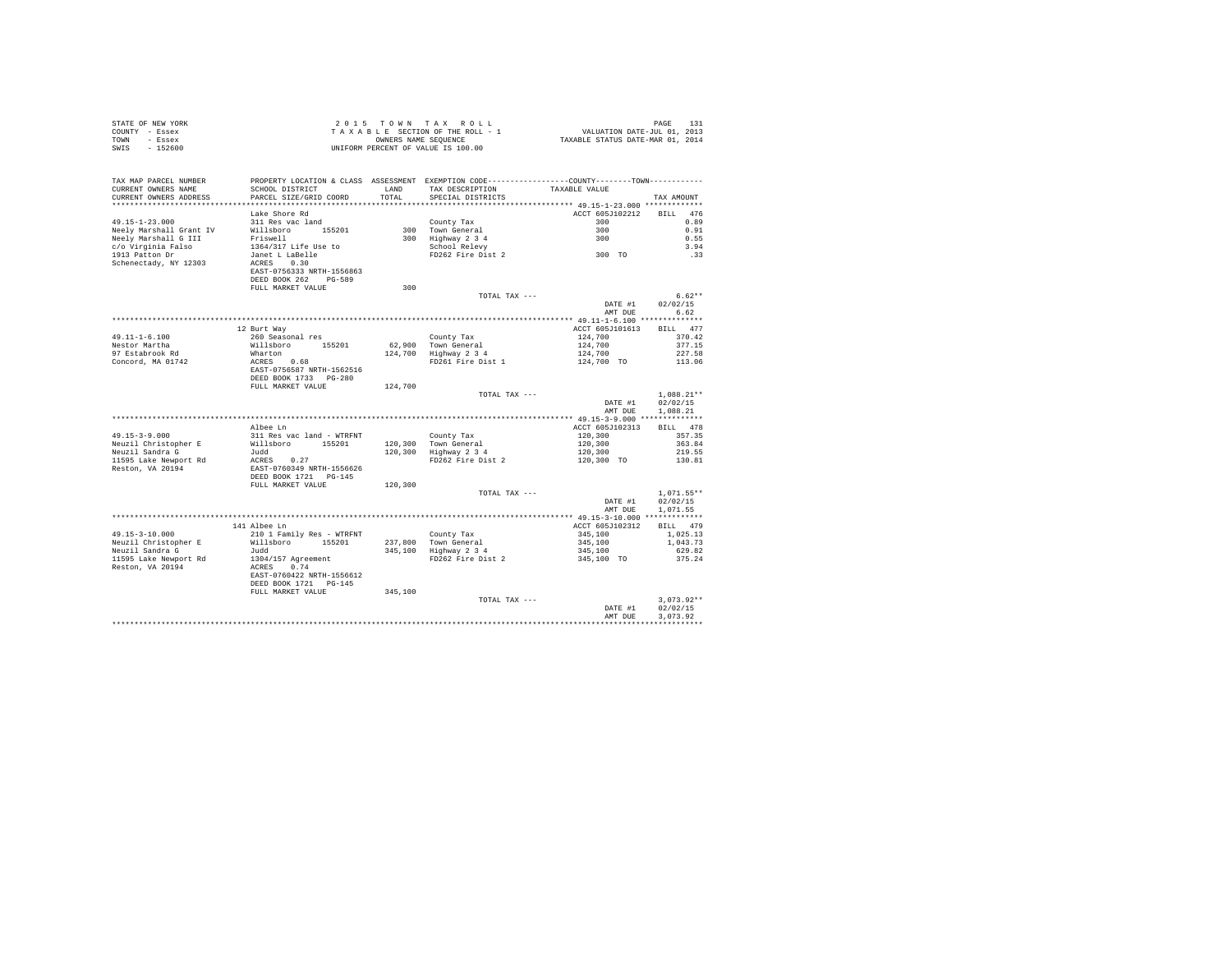|      | STATE OF NEW YORK | 2015 TOWN TAX ROLL                 | PAGE                             |
|------|-------------------|------------------------------------|----------------------------------|
|      | COUNTY - Essex    | TAXABLE SECTION OF THE ROLL - 1    | VALUATION DATE-JUL 01, 2013      |
| TOWN | $-$ Essex         | OWNERS NAME SEOUENCE               | TAXABLE STATUS DATE-MAR 01, 2014 |
| SWIS | $-152600$         | UNIFORM PERCENT OF VALUE IS 100.00 |                                  |

| TAX MAP PARCEL NUMBER<br>CURRENT OWNERS NAME<br>CURRENT OWNERS ADDRESS | PROPERTY LOCATION & CLASS ASSESSMENT EXEMPTION CODE-----------<br>SCHOOL DISTRICT<br>PARCEL SIZE/GRID COORD | LAND<br>TOTAL | TAX DESCRIPTION<br>SPECIAL DISTRICTS                             | -----COUNTY-------TOWN-----------<br>TAXABLE VALUE | TAX AMOUNT         |
|------------------------------------------------------------------------|-------------------------------------------------------------------------------------------------------------|---------------|------------------------------------------------------------------|----------------------------------------------------|--------------------|
| *********************                                                  |                                                                                                             | ************  | *********************************** 49.15-1-23.000 ************* |                                                    |                    |
|                                                                        |                                                                                                             |               |                                                                  |                                                    |                    |
|                                                                        | Lake Shore Rd                                                                                               |               |                                                                  | ACCT 605J102212                                    | 476<br><b>BILL</b> |
| $49.15 - 1 - 23.000$                                                   | 311 Res vac land                                                                                            |               | County Tax                                                       | 300                                                | 0.89               |
| Neely Marshall Grant IV                                                | Willsboro<br>155201                                                                                         | 300           | Town General                                                     | 300                                                | 0.91               |
| Neely Marshall G III                                                   | Friswell                                                                                                    | 300           | Highway 2 3 4                                                    | 300                                                | 0.55               |
| c/o Virginia Falso                                                     | 1364/317 Life Use to                                                                                        |               | School Relevy                                                    |                                                    | 3.94               |
| 1913 Patton Dr                                                         | Janet L LaBelle                                                                                             |               | FD262 Fire Dist 2                                                | 300 TO                                             | .33                |
| Schenectady, NY 12303                                                  | 0.30<br>ACRES                                                                                               |               |                                                                  |                                                    |                    |
|                                                                        | EAST-0756333 NRTH-1556863                                                                                   |               |                                                                  |                                                    |                    |
|                                                                        | DEED BOOK 262<br>$PG - 589$                                                                                 |               |                                                                  |                                                    |                    |
|                                                                        | FULL MARKET VALUE                                                                                           | 300           |                                                                  |                                                    |                    |
|                                                                        |                                                                                                             |               | TOTAL TAX ---                                                    |                                                    | $6.62**$           |
|                                                                        |                                                                                                             |               |                                                                  | DATE #1                                            | 02/02/15           |
|                                                                        |                                                                                                             |               |                                                                  | AMT DUE                                            | 6.62               |
|                                                                        |                                                                                                             |               |                                                                  | ************ 49.11-1-6.100 **************          |                    |
|                                                                        | 12 Burt Way                                                                                                 |               |                                                                  | ACCT 605J101613                                    | BILL 477           |
| $49.11 - 1 - 6.100$                                                    | 260 Seasonal res                                                                                            |               | County Tax                                                       | 124,700                                            | 370.42             |
| Nestor Martha                                                          | Willsboro<br>155201                                                                                         | 62,900        | Town General                                                     | 124,700                                            | 377.15             |
| 97 Estabrook Rd                                                        | Wharton                                                                                                     | 124,700       | Highway 2 3 4                                                    | 124,700                                            | 227.58             |
| Concord, MA 01742                                                      | ACRES 0.68                                                                                                  |               | FD261 Fire Dist 1                                                | 124,700 TO                                         | 113.06             |
|                                                                        | EAST-0756587 NRTH-1562516                                                                                   |               |                                                                  |                                                    |                    |
|                                                                        | DEED BOOK 1733 PG-280                                                                                       |               |                                                                  |                                                    |                    |
|                                                                        | FULL MARKET VALUE                                                                                           | 124,700       |                                                                  |                                                    |                    |
|                                                                        |                                                                                                             |               | TOTAL TAX ---                                                    |                                                    | $1.088.21**$       |
|                                                                        |                                                                                                             |               |                                                                  | DATE #1                                            | 02/02/15           |
|                                                                        |                                                                                                             |               |                                                                  | AMT DUE                                            | 1,088.21           |
|                                                                        |                                                                                                             |               |                                                                  | ************ 49.15-3-9.000 **************          |                    |
|                                                                        | Albee Ln                                                                                                    |               |                                                                  | ACCT 605J102313                                    | BILL 478           |
| $49.15 - 3 - 9.000$                                                    | 311 Res vac land - WTRFNT                                                                                   |               | County Tax                                                       | 120,300                                            | 357.35             |
| Neuzil Christopher E                                                   | Willsboro<br>155201                                                                                         | 120,300       | Town General                                                     | 120,300                                            | 363.84             |
| Neuzil Sandra G                                                        | Judd                                                                                                        | 120,300       |                                                                  | 120,300                                            | 219.55             |
|                                                                        | ACRES<br>0.27                                                                                               |               | Highway 2 3 4<br>FD262 Fire Dist 2                               |                                                    |                    |
| 11595 Lake Newport Rd                                                  |                                                                                                             |               |                                                                  | 120,300 TO                                         | 130.81             |
| Reston, VA 20194                                                       | EAST-0760349 NRTH-1556626                                                                                   |               |                                                                  |                                                    |                    |
|                                                                        | DEED BOOK 1721 PG-145                                                                                       |               |                                                                  |                                                    |                    |
|                                                                        | FULL MARKET VALUE                                                                                           | 120,300       |                                                                  |                                                    | $1.071.55**$       |
|                                                                        |                                                                                                             |               | TOTAL TAX ---                                                    | DATE #1                                            | 02/02/15           |
|                                                                        |                                                                                                             |               |                                                                  |                                                    |                    |
|                                                                        |                                                                                                             |               |                                                                  | AMT DUE                                            | 1,071.55           |
|                                                                        |                                                                                                             |               |                                                                  |                                                    |                    |
|                                                                        | 141 Albee Ln                                                                                                |               |                                                                  | ACCT 605J102312                                    | BILL 479           |
| $49.15 - 3 - 10.000$                                                   | 210 1 Family Res - WTRFNT                                                                                   |               | County Tax                                                       | 345,100                                            | 1,025.13           |
| Neuzil Christopher E                                                   | Willsboro<br>155201                                                                                         | 237,800       | Town General                                                     | 345,100                                            | 1,043.73           |
| Neuzil Sandra G                                                        | Judd                                                                                                        | 345,100       | Highway 2 3 4                                                    | 345,100                                            | 629.82             |
| 11595 Lake Newport Rd                                                  | 1304/157 Agreement                                                                                          |               | FD262 Fire Dist 2                                                | 345,100 TO                                         | 375.24             |
| Reston, VA 20194                                                       | 0.74<br>ACRES                                                                                               |               |                                                                  |                                                    |                    |
|                                                                        | EAST-0760422 NRTH-1556612                                                                                   |               |                                                                  |                                                    |                    |
|                                                                        | DEED BOOK 1721 PG-145                                                                                       |               |                                                                  |                                                    |                    |
|                                                                        | FULL MARKET VALUE                                                                                           | 345,100       |                                                                  |                                                    |                    |
|                                                                        |                                                                                                             |               | TOTAL TAX ---                                                    |                                                    | $3.073.92**$       |
|                                                                        |                                                                                                             |               |                                                                  | DATE #1                                            | 02/02/15           |
|                                                                        |                                                                                                             |               |                                                                  | AMT DUE                                            | 3.073.92           |
|                                                                        |                                                                                                             |               |                                                                  |                                                    |                    |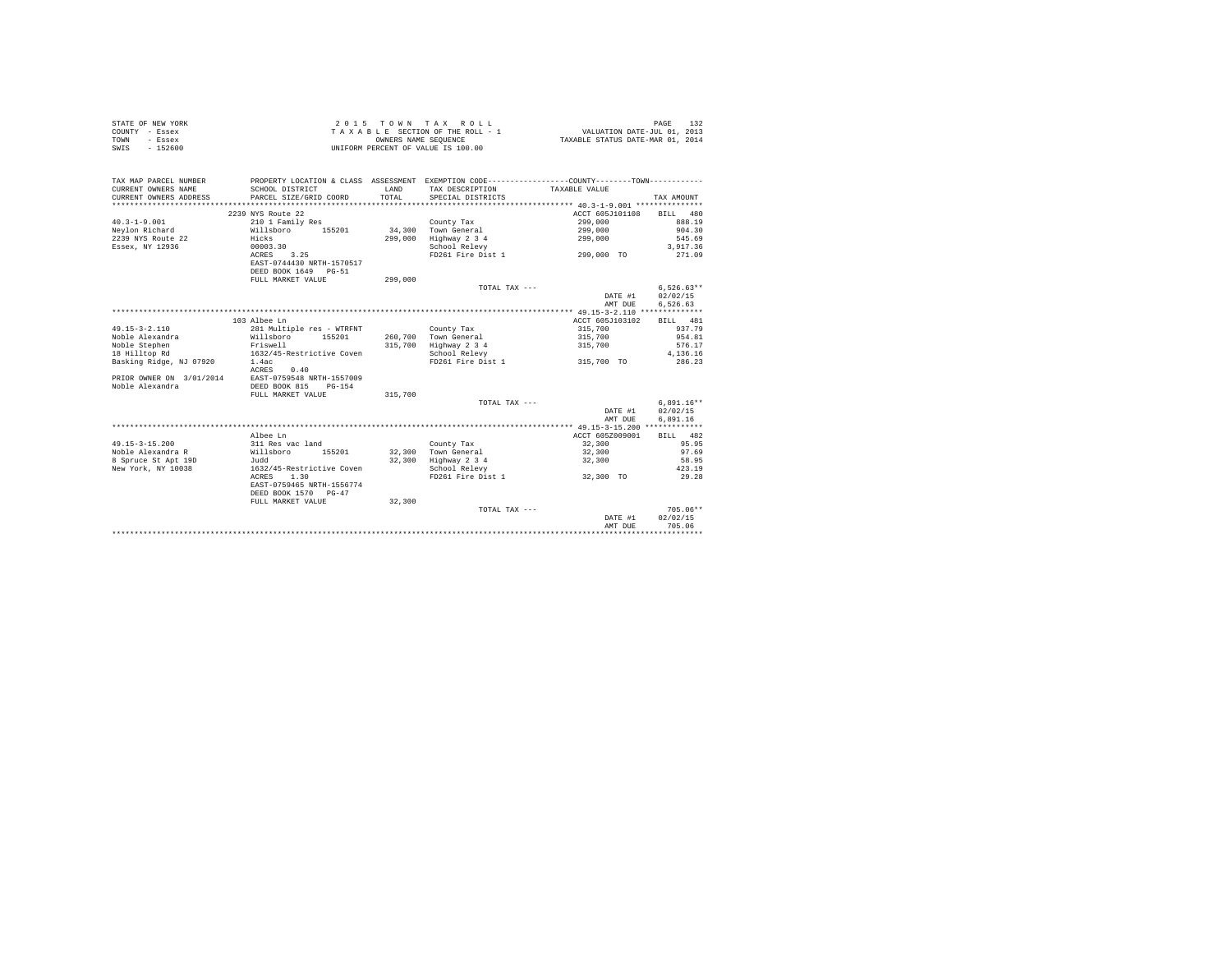| COUNTY - Essex<br>TOWN<br>- Essex<br>$-152600$<br>SWIS |                                                  | OWNERS NAME SEQUENCE | TAXABLE SECTION OF THE ROLL - 1<br>UNIFORM PERCENT OF VALUE IS 100.00                        | VALUATION DATE-JUL 01, 2013<br>TAXABLE STATUS DATE-MAR 01, 2014 |                          |
|--------------------------------------------------------|--------------------------------------------------|----------------------|----------------------------------------------------------------------------------------------|-----------------------------------------------------------------|--------------------------|
|                                                        |                                                  |                      |                                                                                              |                                                                 |                          |
| TAX MAP PARCEL NUMBER                                  |                                                  |                      | PROPERTY LOCATION & CLASS ASSESSMENT EXEMPTION CODE---------------COUNTY-------TOWN--------- |                                                                 |                          |
| CURRENT OWNERS NAME                                    | SCHOOL DISTRICT                                  | LAND                 | TAX DESCRIPTION                                                                              | TAXABLE VALUE                                                   |                          |
| CURRENT OWNERS ADDRESS                                 | PARCEL SIZE/GRID COORD                           | TOTAL                | SPECIAL DISTRICTS                                                                            |                                                                 | TAX AMOUNT               |
|                                                        |                                                  |                      |                                                                                              |                                                                 |                          |
|                                                        | 2239 NYS Route 22                                |                      |                                                                                              | ACCT 605J101108                                                 | 480<br><b>BILL</b>       |
| $40.3 - 1 - 9.001$                                     | 210 1 Family Res                                 |                      | County Tax                                                                                   | 299,000                                                         | 888.19                   |
| Neylon Richard                                         | Willsboro<br>155201                              | 34,300               | Town General                                                                                 | 299,000                                                         | 904.30                   |
| 2239 NYS Route 22                                      | Hicks                                            | 299,000              | Highway 2 3 4                                                                                | 299,000                                                         | 545.69                   |
| Essex, NY 12936                                        | 00003.30                                         |                      | School Relevy                                                                                |                                                                 | 3.917.36                 |
|                                                        | ACRES<br>3.25                                    |                      | FD261 Fire Dist 1                                                                            | 299,000 TO                                                      | 271.09                   |
|                                                        | EAST-0744430 NRTH-1570517                        |                      |                                                                                              |                                                                 |                          |
|                                                        | DEED BOOK 1649<br>$PG - 51$                      |                      |                                                                                              |                                                                 |                          |
|                                                        | FULL MARKET VALUE                                | 299,000              | TOTAL TAX ---                                                                                |                                                                 |                          |
|                                                        |                                                  |                      |                                                                                              | DATE #1                                                         | $6,526.63**$<br>02/02/15 |
|                                                        |                                                  |                      |                                                                                              |                                                                 |                          |
|                                                        |                                                  |                      |                                                                                              | AMT DUE                                                         | 6,526.63                 |
|                                                        | 103 Albee Ln                                     |                      |                                                                                              | ACCT 605J103102                                                 | 481                      |
| $49.15 - 3 - 2.110$                                    |                                                  |                      |                                                                                              |                                                                 | <b>BILL</b><br>937.79    |
| Noble Alexandra                                        | 281 Multiple res - WTRFNT<br>Willsboro<br>155201 |                      | County Tax<br>Town General                                                                   | 315,700                                                         | 954.81                   |
|                                                        | Friswell                                         | 260,700              |                                                                                              | 315,700                                                         | 576.17                   |
| Noble Stephen                                          | 1632/45-Restrictive Coven                        | 315,700              | Highway 2 3 4                                                                                | 315,700                                                         | 4.136.16                 |
| 18 Hilltop Rd                                          |                                                  |                      | School Relevy<br>FD261 Fire Dist 1                                                           |                                                                 | 286.23                   |
| Basking Ridge, NJ 07920                                | 1.4ac<br>ACRES<br>0.40                           |                      |                                                                                              | 315,700 TO                                                      |                          |
| PRIOR OWNER ON 3/01/2014                               | EAST-0759548 NRTH-1557009                        |                      |                                                                                              |                                                                 |                          |
| Noble Alexandra                                        | DEED BOOK 815<br>$PG-154$                        |                      |                                                                                              |                                                                 |                          |
|                                                        | FULL MARKET VALUE                                | 315,700              |                                                                                              |                                                                 |                          |
|                                                        |                                                  |                      | TOTAL TAX ---                                                                                |                                                                 | $6,891.16**$             |
|                                                        |                                                  |                      |                                                                                              | DATE #1                                                         | 02/02/15                 |
|                                                        |                                                  |                      |                                                                                              | AMT DUE                                                         | 6.891.16                 |
|                                                        |                                                  |                      |                                                                                              |                                                                 |                          |
|                                                        | Albee Ln                                         |                      |                                                                                              | ACCT 605Z009001                                                 | BILL 482                 |
| $49.15 - 3 - 15.200$                                   | 311 Res vac land                                 |                      | County Tax                                                                                   | 32,300                                                          | 95.95                    |
| Noble Alexandra R                                      | 155201<br>Willsboro                              | 32,300               | Town General                                                                                 | 32,300                                                          | 97.69                    |
| 8 Spruce St Apt 19D                                    | Judd                                             | 32,300               | Highway 2 3 4                                                                                | 32,300                                                          | 58.95                    |
| New York, NY 10038                                     | 1632/45-Restrictive Coven                        |                      | School Relevy                                                                                |                                                                 | 423.19                   |
|                                                        | 1.30<br>ACRES                                    |                      | FD261 Fire Dist 1                                                                            | 32,300 TO                                                       | 29.28                    |
|                                                        | EAST-0759465 NRTH-1556774                        |                      |                                                                                              |                                                                 |                          |
|                                                        | DEED BOOK 1570 PG-47                             |                      |                                                                                              |                                                                 |                          |
|                                                        | FULL MARKET VALUE                                | 32,300               |                                                                                              |                                                                 |                          |
|                                                        |                                                  |                      | TOTAL TAX ---                                                                                |                                                                 | $705.06**$               |
|                                                        |                                                  |                      |                                                                                              | DATE #1                                                         | 02/02/15                 |
|                                                        |                                                  |                      |                                                                                              | AMT DUE                                                         | 705.06                   |
|                                                        |                                                  |                      |                                                                                              |                                                                 |                          |

STATE OF NEW YORK 2 0 1 5 T O W N T A X R O L L PAGE 132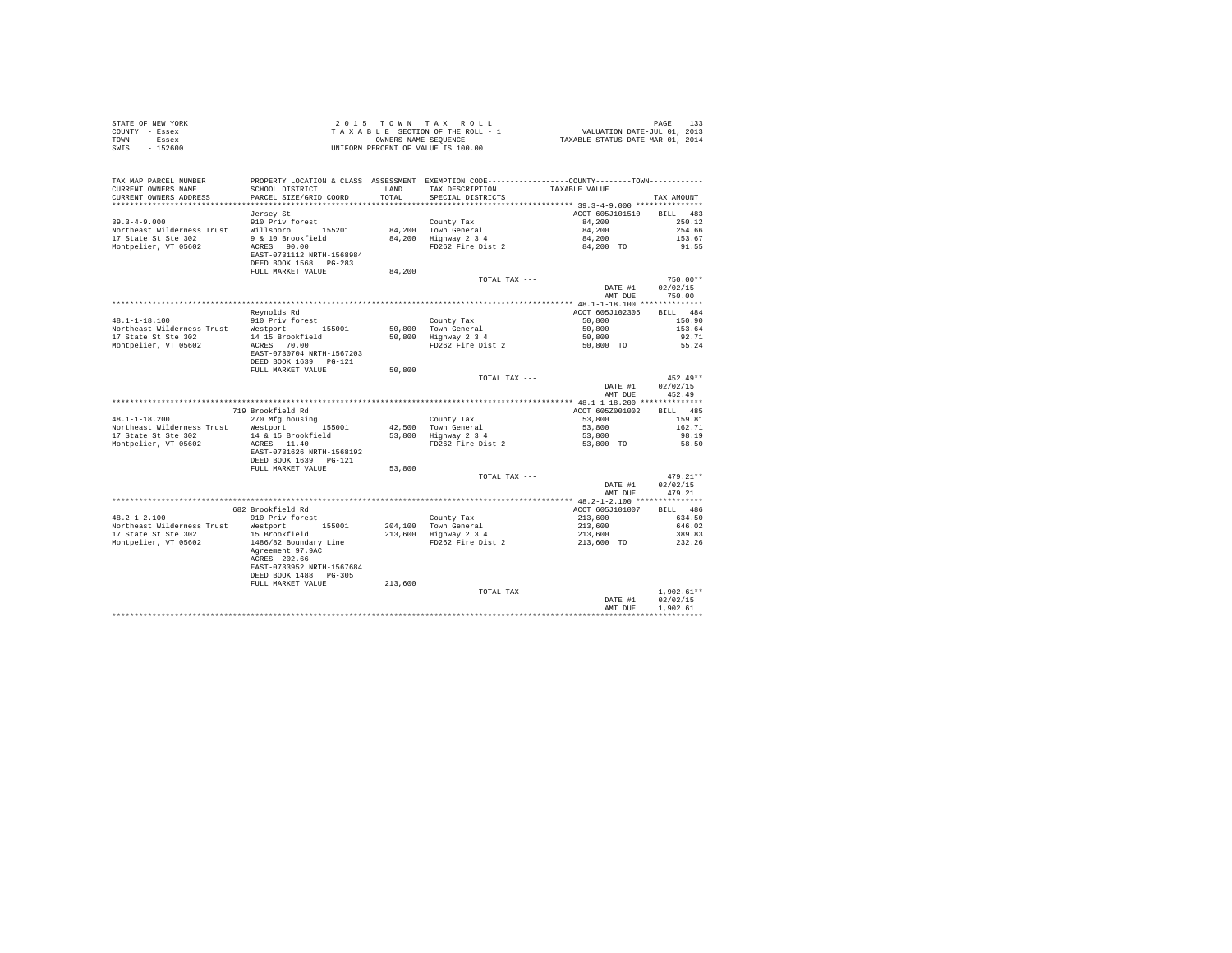| STATE OF NEW YORK<br>COUNTY - Essex<br>- Essex<br>TOWN<br>SWIS - 152600 |                                                                                                                                            |                       | UNIFORM PERCENT OF VALUE IS 100.00                        |                                                                                                  |                  |
|-------------------------------------------------------------------------|--------------------------------------------------------------------------------------------------------------------------------------------|-----------------------|-----------------------------------------------------------|--------------------------------------------------------------------------------------------------|------------------|
| TAX MAP PARCEL NUMBER<br>CURRENT OWNERS NAME<br>CURRENT OWNERS ADDRESS  | PROPERTY LOCATION & CLASS ASSESSMENT EXEMPTION CODE----------------COUNTY-------TOWN---------<br>SCHOOL DISTRICT<br>PARCEL SIZE/GRID COORD | <b>T.AND</b><br>TOTAL | TAX DESCRIPTION<br>SPECIAL DISTRICTS                      | TAXABLE VALUE                                                                                    | TAX AMOUNT       |
|                                                                         |                                                                                                                                            |                       |                                                           |                                                                                                  |                  |
|                                                                         | Jersey St                                                                                                                                  |                       |                                                           | ACCT 605J101510                                                                                  | BILL 483         |
| $39.3 - 4 - 9.000$                                                      | 910 Priv forest<br>Willsboro 155201                                                                                                        |                       | County Tax                                                | 84,200                                                                                           | 250.12           |
| Northeast Wilderness Trust<br>17 State St Ste 302                       |                                                                                                                                            |                       | 84,200 Town General<br>84,200 Highway 2 3 4               | 84,200                                                                                           | 254.66<br>153.67 |
| Montpelier, VT 05602                                                    | 9 & 10 Brookfield<br>ACRES 90.00                                                                                                           |                       | FD262 Fire Dist 2                                         |                                                                                                  | 91.55            |
|                                                                         | EAST-0731112 NRTH-1568984<br>DEED BOOK 1568 PG-283                                                                                         |                       |                                                           | $84,200$<br>$84,200$ TO                                                                          |                  |
|                                                                         | FULL MARKET VALUE                                                                                                                          | 84,200                |                                                           |                                                                                                  |                  |
|                                                                         |                                                                                                                                            |                       | TOTAL TAX ---                                             |                                                                                                  | $750.00**$       |
|                                                                         |                                                                                                                                            |                       |                                                           | DATE #1                                                                                          | 02/02/15         |
|                                                                         |                                                                                                                                            |                       |                                                           | AMT DUE                                                                                          | 750.00           |
|                                                                         |                                                                                                                                            |                       |                                                           |                                                                                                  |                  |
|                                                                         | Revnolds Rd                                                                                                                                |                       |                                                           | ACCT 605J102305                                                                                  | BILL 484         |
| 48.1-1-18.100                                                           | 910 Priv forest                                                                                                                            |                       | County Tax<br>50,800 Town General<br>50,800 Highway 2 3 4 | 50,800                                                                                           | 150.90           |
| Northeast Wilderness Trust                                              | Westport 155001                                                                                                                            |                       |                                                           | 50,800                                                                                           | 153.64           |
| 17 State St Ste 302                                                     | 14 15 Brookfield<br>ACRES 70.00                                                                                                            |                       |                                                           | 50,800                                                                                           | 92.71            |
| Montpelier, VT 05602                                                    |                                                                                                                                            |                       | FD262 Fire Dist 2                                         | 50,800 TO                                                                                        | 55.24            |
|                                                                         | EAST-0730704 NRTH-1567203                                                                                                                  |                       |                                                           |                                                                                                  |                  |
|                                                                         | DEED BOOK 1639 PG-121                                                                                                                      |                       |                                                           |                                                                                                  |                  |
|                                                                         | FULL MARKET VALUE                                                                                                                          | 50,800                | TOTAL TAX ---                                             |                                                                                                  | $452.49**$       |
|                                                                         |                                                                                                                                            |                       |                                                           | DATE #1                                                                                          | 02/02/15         |
|                                                                         |                                                                                                                                            |                       |                                                           | AMT DUE                                                                                          | 452.49           |
|                                                                         |                                                                                                                                            |                       |                                                           |                                                                                                  |                  |
|                                                                         | 719 Brookfield Rd                                                                                                                          |                       |                                                           | ACCT 605Z001002                                                                                  | BILL 485         |
| $48.1 - 1 - 18.200$                                                     | 270 Mfg housing                                                                                                                            |                       | County Tax                                                | 53,800                                                                                           | 159.81           |
| Northeast Wilderness Trust                                              | Westport 155001                                                                                                                            |                       |                                                           | 53,800                                                                                           | 162.71           |
| 17 State St Ste 302                                                     | 14 & 15 Brookfield                                                                                                                         |                       | 42,500 Town General<br>53,800 Highway 2 3 4               | 53,800                                                                                           | 98.19            |
| Montpelier, VT 05602                                                    | ACRES 11.40                                                                                                                                |                       | FD262 Fire Dist 2                                         | 53,800 TO                                                                                        | 58.50            |
|                                                                         | EAST-0731626 NRTH-1568192                                                                                                                  |                       |                                                           |                                                                                                  |                  |
|                                                                         | DEED BOOK 1639 PG-121                                                                                                                      |                       |                                                           |                                                                                                  |                  |
|                                                                         | FULL MARKET VALUE                                                                                                                          | 53,800                |                                                           |                                                                                                  |                  |
|                                                                         |                                                                                                                                            |                       | TOTAL TAX ---                                             |                                                                                                  | $479.21**$       |
|                                                                         |                                                                                                                                            |                       |                                                           | DATE #1                                                                                          | 02/02/15         |
|                                                                         |                                                                                                                                            |                       |                                                           | AMT DUE                                                                                          | 479.21           |
|                                                                         |                                                                                                                                            |                       |                                                           |                                                                                                  |                  |
|                                                                         | 682 Brookfield Rd                                                                                                                          |                       |                                                           | ACCT 605J101007                                                                                  | BILL 486         |
| $48.2 - 1 - 2.100$                                                      | 910 Priv forest                                                                                                                            |                       | County Tax                                                | 213,600                                                                                          | 634.50           |
| Northeast Wilderness Trust                                              | Westport 155001                                                                                                                            |                       | 204,100 Town General<br>213,600 Highway 2 3 4             | Town General 213,600 646.02<br>Highway 234 213,600 389.83<br>FD262 Fire Dist 2 213,600 TO 232.26 |                  |
| 17 State St Ste 302                                                     | 15 Brookfield                                                                                                                              |                       |                                                           |                                                                                                  |                  |
| Montpelier, VT 05602                                                    | 1486/82 Boundary Line<br>Agreement 97.9AC<br>ACRES 202.66                                                                                  |                       |                                                           |                                                                                                  |                  |
|                                                                         | EAST-0733952 NRTH-1567684<br>DEED BOOK 1488 PG-305                                                                                         |                       |                                                           |                                                                                                  |                  |
|                                                                         | FULL MARKET VALUE                                                                                                                          | 213,600               |                                                           |                                                                                                  |                  |
|                                                                         |                                                                                                                                            |                       | TOTAL TAX ---                                             |                                                                                                  | $1.902.61**$     |
|                                                                         |                                                                                                                                            |                       |                                                           | DATE #1                                                                                          | 02/02/15         |
|                                                                         |                                                                                                                                            |                       |                                                           | AMT DUE                                                                                          | 1,902.61         |
|                                                                         |                                                                                                                                            |                       |                                                           |                                                                                                  |                  |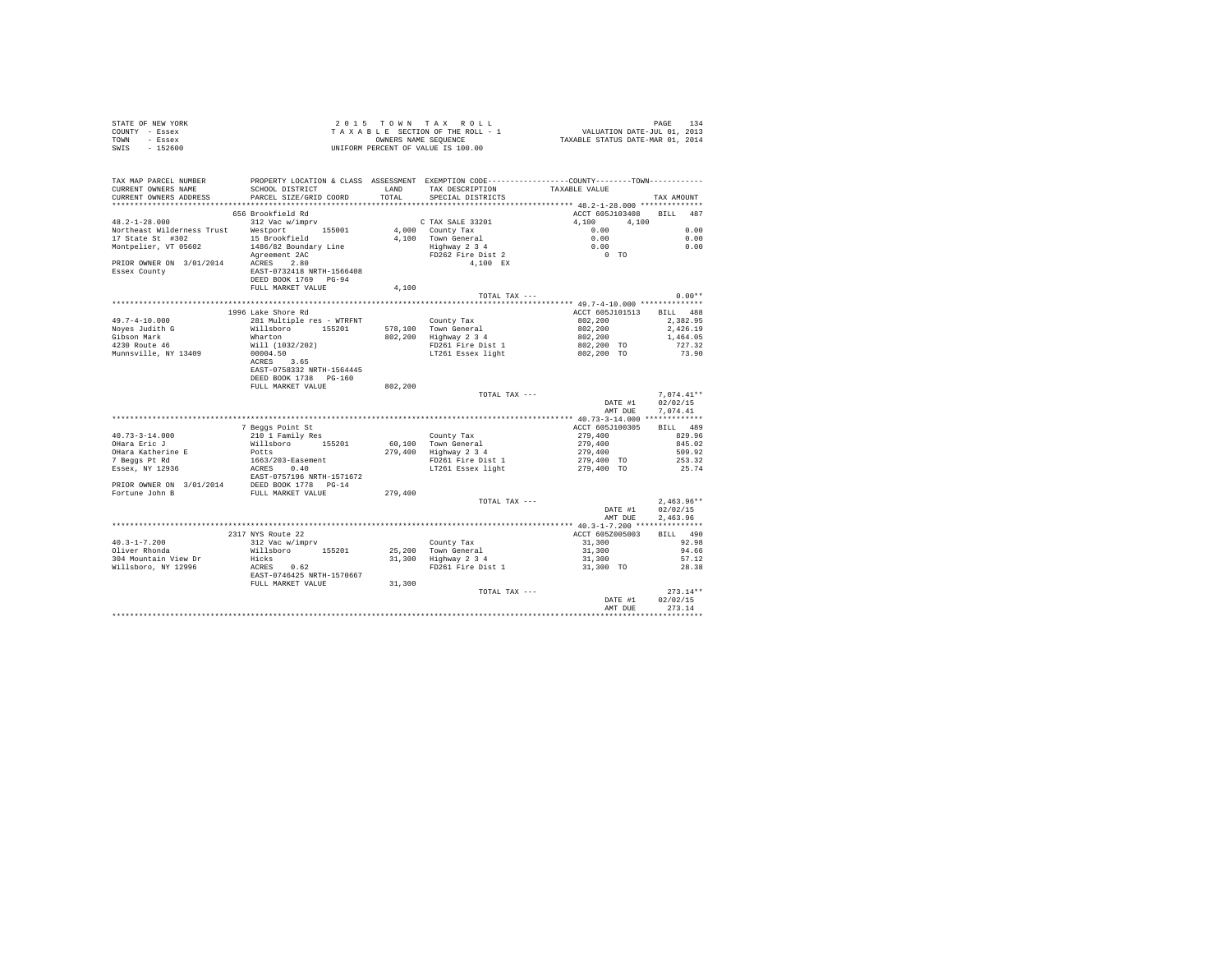| STATE OF NEW YORK | $2.0.15$ TOWN TAX ROLL             | PAGE                             |
|-------------------|------------------------------------|----------------------------------|
| COUNTY - Essex    | TAXABLE SECTION OF THE ROLL - 1    | VALUATION DATE-JUL 01, 2013      |
| TOWN<br>- Essex   | OWNERS NAME SEOUENCE               | TAXABLE STATUS DATE-MAR 01, 2014 |
| - 152600<br>SWIS  | UNIFORM PERCENT OF VALUE IS 100.00 |                                  |

| TAX MAP PARCEL NUMBER<br>CURRENT OWNERS NAME<br>CURRENT OWNERS ADDRESS | SCHOOL DISTRICT<br>PARCEL SIZE/GRID COORD                    | LAND<br>TOTAL | TAX DESCRIPTION<br>SPECIAL DISTRICTS         | PROPERTY LOCATION & CLASS ASSESSMENT EXEMPTION CODE----------------COUNTY--------TOWN----------<br>TAXABLE VALUE | TAX AMOUNT   |
|------------------------------------------------------------------------|--------------------------------------------------------------|---------------|----------------------------------------------|------------------------------------------------------------------------------------------------------------------|--------------|
| *********************                                                  | ***************************                                  |               |                                              |                                                                                                                  |              |
| $48.2 - 1 - 28.000$                                                    | 656 Brookfield Rd<br>312 Vac w/imprv                         |               | C TAX SALE 33201                             | ACCT 605J103408 BILL<br>4,100<br>4,100                                                                           | 487          |
| Northeast Wilderness Trust                                             | Westport<br>155001                                           |               | 4,000 County Tax                             | 0.00                                                                                                             | 0.00         |
| 17 State St #302                                                       | 15 Brookfield                                                |               | 4.100 Town General                           | 0.00                                                                                                             | 0.00         |
| Montpelier, VT 05602                                                   | 1486/82 Boundary Line                                        |               | Highway 2 3 4<br>FD262 Fire Dist 2           | 0.00                                                                                                             | 0.00         |
|                                                                        | Agreement 2AC                                                |               |                                              | $0$ TO                                                                                                           |              |
| PRIOR OWNER ON 3/01/2014 ACRES 2.80                                    |                                                              |               | 4.100 EX                                     |                                                                                                                  |              |
| Essex County                                                           | EAST-0732418 NRTH-1566408<br>DEED BOOK 1769 PG-94            |               |                                              |                                                                                                                  |              |
|                                                                        | FULL MARKET VALUE                                            | 4,100         |                                              |                                                                                                                  |              |
|                                                                        |                                                              |               | TOTAL TAX ---                                |                                                                                                                  | $0.00**$     |
|                                                                        |                                                              |               |                                              |                                                                                                                  |              |
|                                                                        | 1996 Lake Shore Rd                                           |               |                                              | ACCT 605J101513                                                                                                  | BILL 488     |
| $49.7 - 4 - 10.000$                                                    | 281 Multiple res - WTRFNT                                    |               | County Tax                                   | 802,200                                                                                                          | 2.382.95     |
| Noyes Judith G<br>Gibson Mark<br>4230 Route 46                         | Willsboro 155201                                             |               | 578.100 Town General                         | 802,200                                                                                                          | 2,426.19     |
|                                                                        | Wharton                                                      |               | 802,200 Highway 2 3 4                        | 802,200                                                                                                          | 1,464.05     |
|                                                                        | Will (1032/202)                                              |               | FD261 Fire Dist 1                            | 802,200 TO                                                                                                       | 727.32       |
| Munnsville, NY 13409                                                   | 00004.50                                                     |               | LT261 Essex light                            | 802,200 TO                                                                                                       | 73.90        |
|                                                                        | ACRES 3.65                                                   |               |                                              |                                                                                                                  |              |
|                                                                        | EAST-0758332 NRTH-1564445                                    |               |                                              |                                                                                                                  |              |
|                                                                        | DEED BOOK 1738 PG-160                                        |               |                                              |                                                                                                                  |              |
|                                                                        | FULL MARKET VALUE                                            | 802,200       |                                              |                                                                                                                  |              |
|                                                                        |                                                              |               | TOTAL TAX ---                                |                                                                                                                  | $7,074.41**$ |
|                                                                        |                                                              |               |                                              | DATE #1                                                                                                          | 02/02/15     |
|                                                                        |                                                              |               |                                              | AMT DUE                                                                                                          | 7.074.41     |
|                                                                        |                                                              |               |                                              | **************** 40.73-3-14.000 *************                                                                    |              |
|                                                                        | 7 Beggs Point St                                             |               |                                              | ACCT 605J100305                                                                                                  | BILL 489     |
| $40.73 - 3 - 14.000$                                                   | 210 1 Family Res                                             |               | County Tax                                   | 279,400                                                                                                          | 829.96       |
| OHara Eric J                                                           | Willsboro 155201                                             |               | 60,100 Town General<br>279,400 Highway 2 3 4 | 279,400                                                                                                          | 845.02       |
| OHara Katherine E                                                      | Potts                                                        |               |                                              | 279,400                                                                                                          | 509.92       |
| 7 Beggs Pt Rd                                                          |                                                              |               | FD261 Fire Dist 1                            | 279,400 TO                                                                                                       | 253.32       |
| Essex, NY 12936                                                        | 1663/203-Easement<br>ACRES 0.40<br>EAST-0757196 NRTH-1571672 |               | LT261 Essex light                            | 279,400 TO                                                                                                       | 25.74        |
|                                                                        |                                                              |               |                                              |                                                                                                                  |              |
|                                                                        | PRIOR OWNER ON 3/01/2014 DEED BOOK 1778 PG-14                |               |                                              |                                                                                                                  |              |
| Fortune John B                                                         | FULL MARKET VALUE                                            | 279,400       |                                              |                                                                                                                  |              |
|                                                                        |                                                              |               | TOTAL TAX ---                                |                                                                                                                  | $2.463.96**$ |
|                                                                        |                                                              |               |                                              |                                                                                                                  |              |
|                                                                        |                                                              |               |                                              | DATE #1                                                                                                          | 02/02/15     |
|                                                                        |                                                              |               |                                              | AMT DUE                                                                                                          | 2.463.96     |
|                                                                        |                                                              |               |                                              |                                                                                                                  |              |
|                                                                        | 2317 NYS Route 22                                            |               |                                              | ACCT 605Z005003                                                                                                  | BILL 490     |
| $40.3 - 1 - 7.200$                                                     | 312 Vac w/imprv                                              |               | County Tax                                   | 31,300                                                                                                           | 92.98        |
| Oliver Rhonda                                                          | Willsboro 155201                                             |               | 25,200 Town General<br>31,300 Highway 2 3 4  | 31,300                                                                                                           | 94.66        |
| 304 Mountain View Dr                                                   | Hicks                                                        |               |                                              | 31,300                                                                                                           | 57.12        |
| Willsboro, NY 12996                                                    | ACRES 0.62                                                   |               | FD261 Fire Dist 1                            | 31,300 TO                                                                                                        | 28.38        |
|                                                                        | EAST-0746425 NRTH-1570667                                    |               |                                              |                                                                                                                  |              |
|                                                                        | FULL MARKET VALUE                                            | 31,300        |                                              |                                                                                                                  |              |
|                                                                        |                                                              |               | TOTAL TAX ---                                |                                                                                                                  | $273.14**$   |
|                                                                        |                                                              |               |                                              | DATE #1                                                                                                          | 02/02/15     |
|                                                                        |                                                              |               |                                              | AMT DUE                                                                                                          | 273.14       |
|                                                                        |                                                              |               |                                              |                                                                                                                  |              |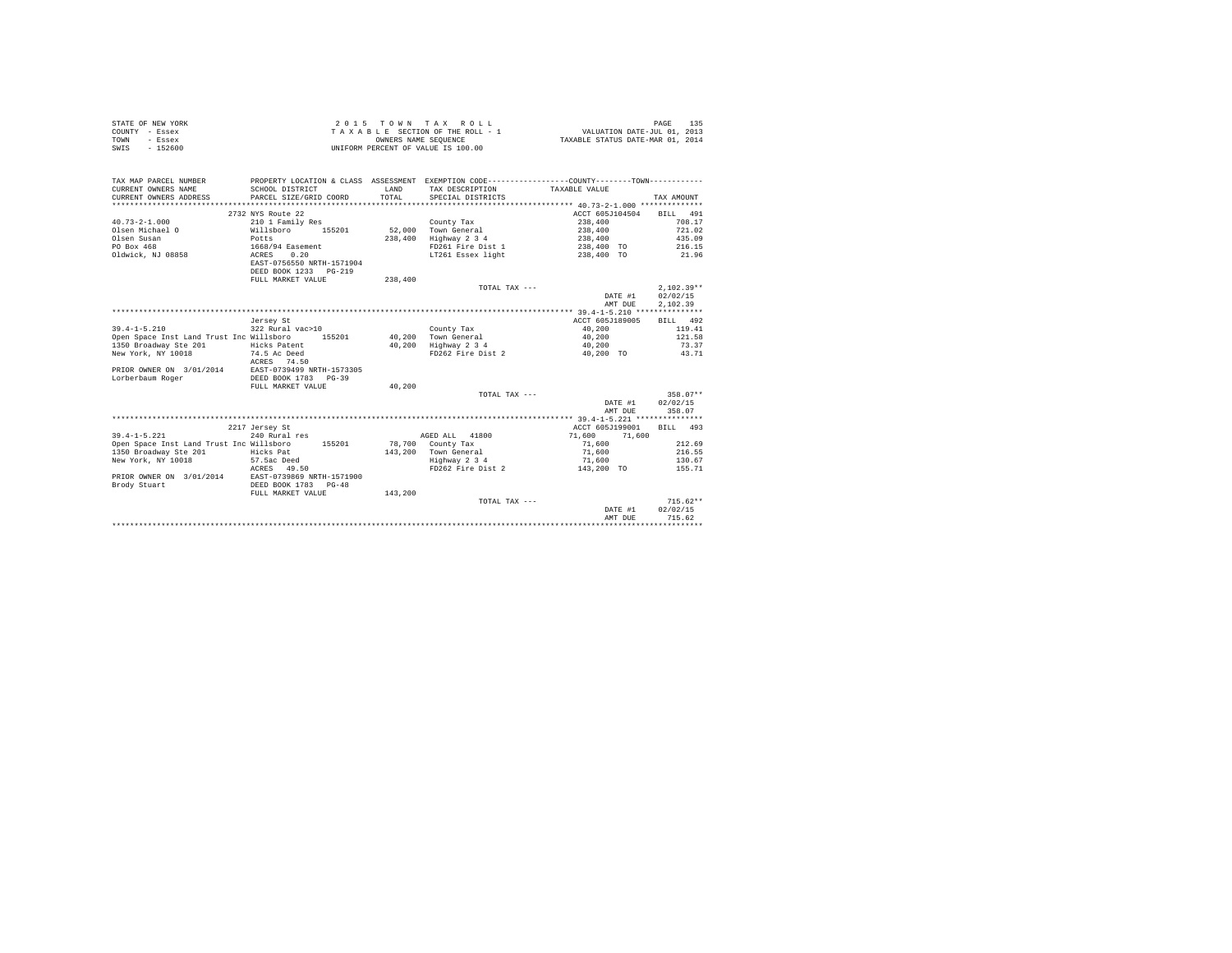|                | STATE OF NEW YORK |  |  |  | $2.0.15$ TOWN TAX ROLL             |  |  |  | 135<br>PAGE                      |
|----------------|-------------------|--|--|--|------------------------------------|--|--|--|----------------------------------|
| COUNTY - Essex |                   |  |  |  | TAXABLE SECTION OF THE ROLL - 1    |  |  |  | VALUATION DATE-JUL 01, 2013      |
| TOWN           | - Essex           |  |  |  | OWNERS NAME SEOUENCE               |  |  |  | TAXABLE STATUS DATE-MAR 01, 2014 |
| SWIS           | $-152600$         |  |  |  | UNIFORM PERCENT OF VALUE IS 100.00 |  |  |  |                                  |

| TAX MAP PARCEL NUMBER<br>CURRENT OWNERS NAME<br>CURRENT OWNERS ADDRESS | PROPERTY LOCATION & CLASS ASSESSMENT EXEMPTION CODE----------------COUNTY-------TOWN----------<br>SCHOOL DISTRICT<br>PARCEL SIZE/GRID COORD | <b>T.AND</b><br>TOTAL | TAX DESCRIPTION<br>SPECIAL DISTRICTS | TAXABLE VALUE    | TAX AMOUNT   |
|------------------------------------------------------------------------|---------------------------------------------------------------------------------------------------------------------------------------------|-----------------------|--------------------------------------|------------------|--------------|
|                                                                        | 2732 NYS Route 22                                                                                                                           |                       |                                      | ACCT 605J104504  | BILL 491     |
| $40.73 - 2 - 1.000$                                                    | 210 1 Family Res                                                                                                                            |                       | County Tax                           | 238,400          | 708.17       |
| Olsen Michael O                                                        | 155201<br>Willsboro                                                                                                                         |                       | 52.000 Town General                  | 238,400          | 721.02       |
| Olsen Susan                                                            | Potts                                                                                                                                       | 238,400               | Highway 2 3 4                        | 238,400          | 435.09       |
| PO Box 468                                                             | 1668/94 Easement                                                                                                                            |                       | FD261 Fire Dist 1                    | 238,400 TO       | 216.15       |
| Oldwick, NJ 08858                                                      | 0.20<br>ACRES                                                                                                                               |                       | LT261 Essex light                    | 238,400 TO       | 21.96        |
|                                                                        | EAST-0756550 NRTH-1571904                                                                                                                   |                       |                                      |                  |              |
|                                                                        | DEED BOOK 1233 PG-219                                                                                                                       |                       |                                      |                  |              |
|                                                                        | FULL MARKET VALUE                                                                                                                           | 238,400               |                                      |                  |              |
|                                                                        |                                                                                                                                             |                       | TOTAL TAX ---                        |                  | $2.102.39**$ |
|                                                                        |                                                                                                                                             |                       |                                      | DATE #1          | 02/02/15     |
|                                                                        |                                                                                                                                             |                       |                                      | AMT DUE          | 2,102.39     |
|                                                                        |                                                                                                                                             |                       |                                      |                  |              |
|                                                                        | Jersey St                                                                                                                                   |                       |                                      | ACCT 605J189005  | BILL 492     |
| $39.4 - 1 - 5.210$                                                     | 322 Rural vac>10                                                                                                                            |                       | County Tax                           | 40,200           | 119.41       |
| Open Space Inst Land Trust Inc Willsboro                               | 155201                                                                                                                                      |                       | 40.200 Town General                  | 40,200           | 121.58       |
| 1350 Broadway Ste 201                                                  | Hicks Patent                                                                                                                                |                       | 40,200 Highway 2 3 4                 | 40,200           | 73.37        |
| New York, NY 10018                                                     | 74.5 Ac Deed                                                                                                                                |                       | FD262 Fire Dist 2                    | 40.200 TO        | 43.71        |
|                                                                        | ACRES 74.50                                                                                                                                 |                       |                                      |                  |              |
| PRIOR OWNER ON 3/01/2014 EAST-0739499 NRTH-1573305                     |                                                                                                                                             |                       |                                      |                  |              |
| Lorberbaum Roger                                                       | DEED BOOK 1783 PG-39                                                                                                                        |                       |                                      |                  |              |
|                                                                        | FULL MARKET VALUE                                                                                                                           | 40.200                |                                      |                  |              |
|                                                                        |                                                                                                                                             |                       | TOTAL TAX ---                        |                  | $358.07**$   |
|                                                                        |                                                                                                                                             |                       |                                      | DATE #1          | 02/02/15     |
|                                                                        |                                                                                                                                             |                       |                                      | AMT DUE          | 358.07       |
|                                                                        |                                                                                                                                             |                       |                                      |                  |              |
|                                                                        | 2217 Jersey St                                                                                                                              |                       |                                      | ACCT 605J199001  | BILL 493     |
| $39.4 - 1 - 5.221$                                                     | 240 Rural res                                                                                                                               |                       | AGED ALL 41800                       | 71,600<br>71,600 |              |
| Open Space Inst Land Trust Inc Willsboro                               | 155201                                                                                                                                      |                       | 78,700 County Tax                    | 71,600           | 212.69       |
| 1350 Broadway Ste 201                                                  | Hicks Pat                                                                                                                                   |                       | 143.200 Town General                 | 71,600           | 216.55       |
| New York, NY 10018                                                     | 57.5ac Deed                                                                                                                                 |                       | Highway 2 3 4                        | 71,600           | 130.67       |
|                                                                        | ACRES 49.50                                                                                                                                 |                       | FD262 Fire Dist 2                    | 143,200 TO       | 155.71       |
| PRIOR OWNER ON 3/01/2014                                               | EAST-0739869 NRTH-1571900                                                                                                                   |                       |                                      |                  |              |
| Brody Stuart                                                           | DEED BOOK 1783 PG-48                                                                                                                        |                       |                                      |                  |              |
|                                                                        | FULL MARKET VALUE                                                                                                                           | 143,200               |                                      |                  |              |
|                                                                        |                                                                                                                                             |                       | TOTAL TAX ---                        |                  | $715.62**$   |
|                                                                        |                                                                                                                                             |                       |                                      | DATE #1          | 02/02/15     |
|                                                                        |                                                                                                                                             |                       |                                      | AMT DUE          | 715.62       |
|                                                                        |                                                                                                                                             |                       |                                      |                  |              |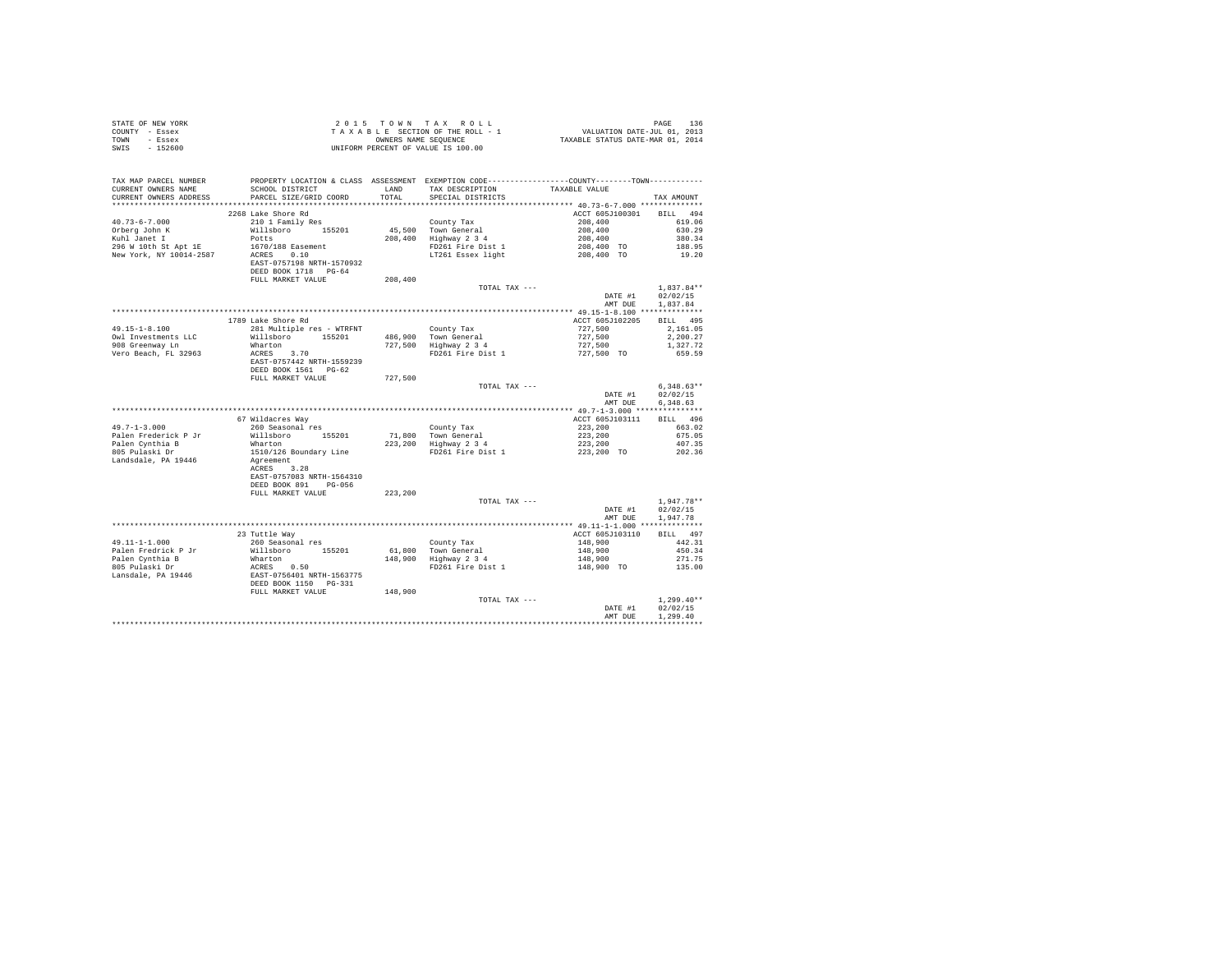| STATE OF NEW YORK<br>COUNTY - Essex<br>TOWN - Essex<br>SWIS - 152600 |                                                                                                                                                                                            |         | UNIFORM PERCENT OF VALUE IS 100.00                                               |                                                     |                      |
|----------------------------------------------------------------------|--------------------------------------------------------------------------------------------------------------------------------------------------------------------------------------------|---------|----------------------------------------------------------------------------------|-----------------------------------------------------|----------------------|
| TAX MAP PARCEL NUMBER                                                | PROPERTY LOCATION & CLASS ASSESSMENT EXEMPTION CODE---------------COUNTY-------TOWN----------                                                                                              |         |                                                                                  |                                                     |                      |
| CURRENT OWNERS NAME                                                  | SCHOOL DISTRICT                                                                                                                                                                            | LAND    | TAX DESCRIPTION                                                                  | TAXABLE VALUE                                       |                      |
| CURRENT OWNERS ADDRESS                                               | PARCEL SIZE/GRID COORD                                                                                                                                                                     | TOTAL   | SPECIAL DISTRICTS                                                                |                                                     | TAX AMOUNT           |
|                                                                      |                                                                                                                                                                                            |         |                                                                                  |                                                     |                      |
|                                                                      | 2268 Lake Shore Rd                                                                                                                                                                         |         |                                                                                  | ACCT 605J100301 BILL 494                            |                      |
| $40.73 - 6 - 7.000$<br>Orberg John K                                 | 210 1 Family Res<br>Willsboro 155201                                                                                                                                                       |         | County Tax<br>45,500 Town General<br>208,400 Highway 2 3 4                       |                                                     | 619.06<br>630.29     |
| Kuhl Janet I                                                         | Potts                                                                                                                                                                                      |         |                                                                                  |                                                     | 380.34               |
| 296 W 10th St Apt 1E                                                 | 1670/188 Easement                                                                                                                                                                          |         |                                                                                  |                                                     | 188.95               |
| New York, NY 10014-2587                                              | 16707188 Easement<br>ACRES 0.10                                                                                                                                                            |         |                                                                                  |                                                     | 19.20                |
|                                                                      | EAST-0757198 NRTH-1570932<br>DEED BOOK 1718 PG-64                                                                                                                                          |         |                                                                                  |                                                     |                      |
|                                                                      | FULL MARKET VALUE                                                                                                                                                                          | 208,400 |                                                                                  |                                                     |                      |
|                                                                      |                                                                                                                                                                                            |         | TOTAL TAX ---                                                                    |                                                     | $1.837.84**$         |
|                                                                      |                                                                                                                                                                                            |         |                                                                                  | DATE #1<br>AMT DUE                                  | 02/02/15<br>1,837.84 |
|                                                                      |                                                                                                                                                                                            |         |                                                                                  |                                                     |                      |
|                                                                      | 1789 Lake Shore Rd                                                                                                                                                                         |         |                                                                                  | ACCT 605J102205                                     | BILL 495             |
| $49.15 - 1 - 8.100$                                                  | 281 Multiple res - WTRFNT                                                                                                                                                                  |         | County Tax<br>486,900 Town General<br>727,500 Highway 2 3 4                      | 727,500                                             | 2,161.05             |
| Owl Investments LLC                                                  | Willsboro 155201                                                                                                                                                                           |         |                                                                                  | 727,500                                             | 2,200.27             |
| 908 Greenway Ln<br>Vero Beach, FL 32963                              |                                                                                                                                                                                            |         | FD261 Fire Dist 1                                                                | $727,500$<br>$727,500$ TO                           | 1,327.72<br>659.59   |
|                                                                      | $ACRES$ 3.70<br>$ACRES$ 3.70<br>EAST-0757442 NRTH-1559239                                                                                                                                  |         |                                                                                  |                                                     |                      |
|                                                                      | DEED BOOK 1561 PG-62                                                                                                                                                                       |         |                                                                                  |                                                     |                      |
|                                                                      | FULL MARKET VALUE                                                                                                                                                                          | 727.500 |                                                                                  |                                                     |                      |
|                                                                      |                                                                                                                                                                                            |         | TOTAL TAX ---                                                                    |                                                     | $6.348.63**$         |
|                                                                      |                                                                                                                                                                                            |         |                                                                                  | DATE #1                                             | 02/02/15             |
|                                                                      |                                                                                                                                                                                            |         |                                                                                  | AMT DUE                                             | 6.348.63             |
|                                                                      | 67 Wildacres Way                                                                                                                                                                           |         |                                                                                  | ACCT 605J103111                                     | BILL 496             |
| $49.7 - 1 - 3.000$                                                   | 260 Seasonal res                                                                                                                                                                           |         |                                                                                  |                                                     | 663.02               |
| Palen Frederick P Jr                                                 | Willsboro 155201                                                                                                                                                                           |         |                                                                                  |                                                     | 675.05               |
| Palen Cynthia B                                                      | Wharton                                                                                                                                                                                    |         | County Tax<br>71,800 Town General<br>223,200 Highway 2 3 4                       |                                                     | 407.35               |
| 805 Pulaski Dr                                                       | 1510/126 Boundary Line                                                                                                                                                                     |         | FD261 Fire Dist 1                                                                | $223,200$<br>$223,200$<br>$223,200$<br>$223,200$    | 202.36               |
| Landsdale, PA 19446                                                  | Agreement                                                                                                                                                                                  |         |                                                                                  |                                                     |                      |
|                                                                      | ACRES 3.28                                                                                                                                                                                 |         |                                                                                  |                                                     |                      |
|                                                                      | EAST-0757083 NRTH-1564310<br>DEED BOOK 891 PG-056                                                                                                                                          |         |                                                                                  |                                                     |                      |
|                                                                      | FULL MARKET VALUE                                                                                                                                                                          | 223,200 |                                                                                  |                                                     |                      |
|                                                                      |                                                                                                                                                                                            |         | TOTAL TAX ---                                                                    |                                                     | $1,947.78**$         |
|                                                                      |                                                                                                                                                                                            |         |                                                                                  | DATE #1                                             | 02/02/15             |
|                                                                      |                                                                                                                                                                                            |         |                                                                                  | AMT DUE                                             | 1,947.78             |
|                                                                      |                                                                                                                                                                                            |         |                                                                                  |                                                     |                      |
|                                                                      | 23 Tuttle Way                                                                                                                                                                              |         |                                                                                  | ACCT 605J103110                                     | BILL 497             |
| $49.11 - 1 - 1.000$                                                  | 260 Seasonal res<br>Willsboro 155201                                                                                                                                                       |         |                                                                                  |                                                     | 442.31               |
| Palen Fredrick P Jr                                                  |                                                                                                                                                                                            |         |                                                                                  |                                                     | 450.34<br>271.75     |
|                                                                      |                                                                                                                                                                                            |         | County Tax<br>148,900 Town General<br>148,900 Highway 2 3 4<br>FD261 Fire Dist 1 | $148,900$<br>$148,900$<br>$148,900$<br>$148,900$ TO | 135.00               |
|                                                                      | Palen Cyclinia B<br>Palen Cynthia B<br>805 Pulaski Dr<br>805 Pulaski Dr<br>Bansdale, PA 19446<br>DEED BOOK 1150<br>DEED BOOK 1150<br>DEED BOOK 1150<br>DEED BOOK 1150<br>PULL MARKET VALUE |         |                                                                                  |                                                     |                      |
|                                                                      |                                                                                                                                                                                            |         |                                                                                  |                                                     |                      |
|                                                                      |                                                                                                                                                                                            | 148,900 |                                                                                  |                                                     |                      |
|                                                                      |                                                                                                                                                                                            |         | TOTAL TAX ---                                                                    |                                                     | $1.299.40**$         |
|                                                                      |                                                                                                                                                                                            |         |                                                                                  | DATE #1<br>AMT DUE                                  | 02/02/15<br>1.299.40 |
|                                                                      |                                                                                                                                                                                            |         |                                                                                  |                                                     | ************         |
|                                                                      |                                                                                                                                                                                            |         |                                                                                  |                                                     |                      |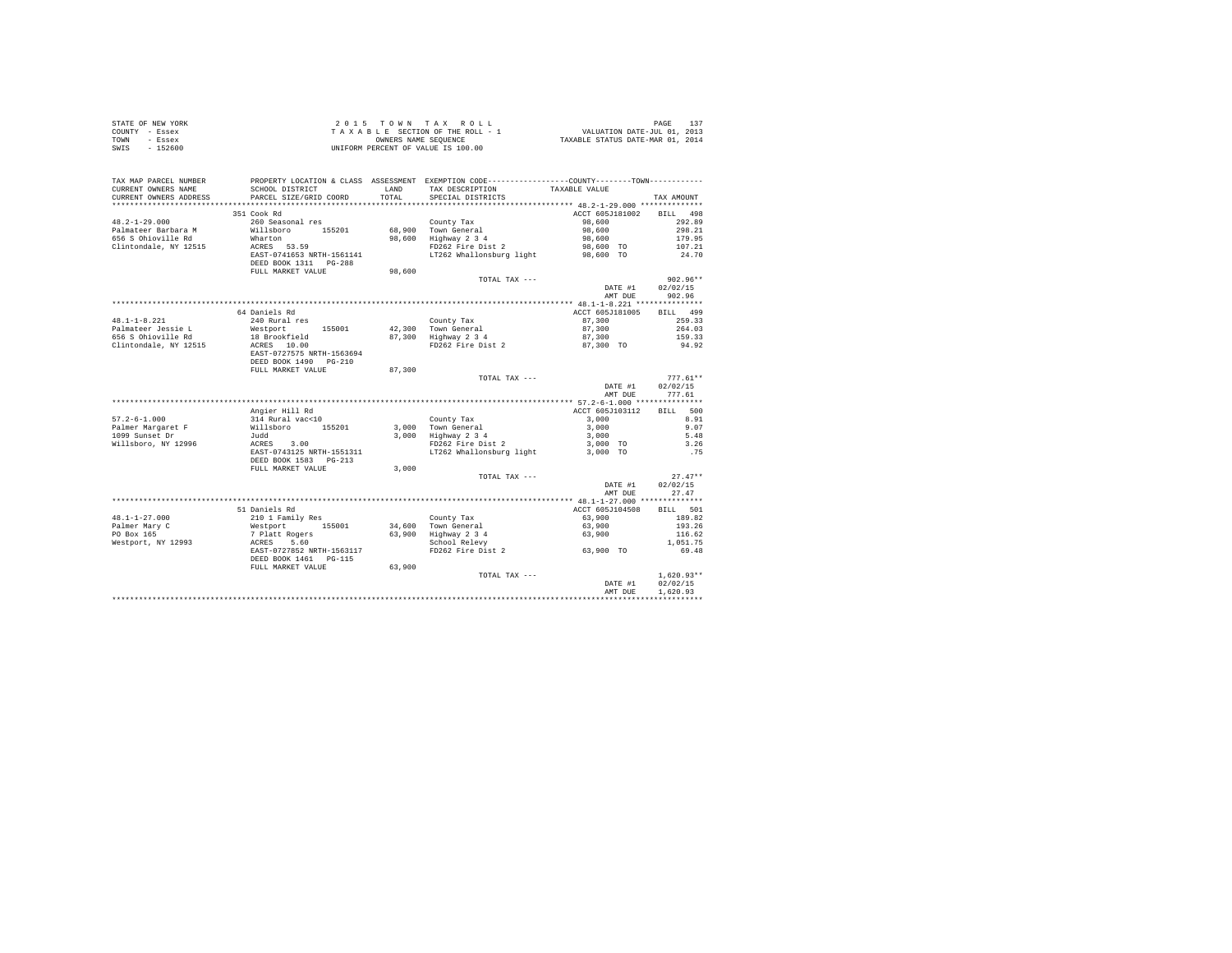| STATE OF NEW YORK      |                                      | 2015 TOWN TAX ROLL                 | 137<br>PAGE                                                   |
|------------------------|--------------------------------------|------------------------------------|---------------------------------------------------------------|
| COUNTY<br>- Essex      |                                      | TAXABLE SECTION OF THE ROLL - 1    | VALUATION DATE-JUL 01, 2013                                   |
| TOWN<br>- Essex        |                                      | OWNERS NAME SEOUENCE               | TAXABLE STATUS DATE-MAR 01, 2014                              |
| $-152600$<br>SWIS      |                                      | UNIFORM PERCENT OF VALUE IS 100.00 |                                                               |
|                        |                                      |                                    |                                                               |
|                        |                                      |                                    |                                                               |
|                        |                                      |                                    |                                                               |
| TAX MAP PARCEL NUMBER  | PROPERTY LOCATION & CLASS ASSESSMENT |                                    | EXEMPTION CODE-----------------COUNTY--------TOWN------------ |
| CURRENT OWNERS NAME    | SCHOOL DISTRICT                      | TAX DESCRIPTION<br>LAND            | TAXABLE VALUE                                                 |
| CURRENT OWNERS ADDRESS | PARCEL SIZE/GRID COORD               | TOTAL<br>SPECIAL DISTRICTS         | TAX AMOUNT                                                    |

| CUKKENI UWNEKS ADDKESS<br>. | RAKCEP STREVGKID COOKD       | TUIAP  |                          |                                          | IAA AMUUNI         |
|-----------------------------|------------------------------|--------|--------------------------|------------------------------------------|--------------------|
|                             |                              |        |                          | **************** 48.2-1-29.000 ********* |                    |
|                             | 351 Cook Rd                  |        |                          | ACCT 605J181002                          | 498<br><b>BILL</b> |
| $48.2 - 1 - 29.000$         | 260 Seasonal res             |        | County Tax               | 98,600                                   | 292.89             |
| Palmateer Barbara M         | Willsboro<br>155201          |        | 68.900 Town General      | 98,600                                   | 298.21             |
| 656 S Ohioville Rd          | Wharton                      | 98,600 | Highway 2 3 4            | 98,600                                   | 179.95             |
| Clintondale, NY 12515       | ACRES 53.59                  |        | FD262 Fire Dist 2        | 98,600 TO                                | 107.21             |
|                             | EAST-0741653 NRTH-1561141    |        | LT262 Whallonsburg light | 98,600 TO                                | 24.70              |
|                             |                              |        |                          |                                          |                    |
|                             | DEED BOOK 1311 PG-288        |        |                          |                                          |                    |
|                             | FULL MARKET VALUE            | 98,600 |                          |                                          |                    |
|                             |                              |        | TOTAL TAX ---            |                                          | $902.96**$         |
|                             |                              |        |                          | DATE #1                                  | 02/02/15           |
|                             |                              |        |                          | AMT DUE                                  | 902.96             |
|                             |                              |        |                          |                                          |                    |
|                             | 64 Daniels Rd                |        |                          | ACCT 605J181005                          | 499<br><b>BILL</b> |
| $48.1 - 1 - 8.221$          | 240 Rural res                |        | County Tax               | 87,300                                   | 259.33             |
| Palmateer Jessie L          | Westport<br>155001           |        | 42,300 Town General      | 87,300                                   | 264.03             |
|                             |                              |        |                          |                                          |                    |
| 656 S Ohioville Rd          | 18 Brookfield                |        | 87,300 Highway 2 3 4     | 87,300                                   | 159.33             |
| Clintondale, NY 12515       | ACRES 10.00                  |        | FD262 Fire Dist 2        | 87,300 TO                                | 94.92              |
|                             | EAST-0727575 NRTH-1563694    |        |                          |                                          |                    |
|                             | DEED BOOK 1490 PG-210        |        |                          |                                          |                    |
|                             | FULL MARKET VALUE            | 87,300 |                          |                                          |                    |
|                             |                              |        | TOTAL TAX ---            |                                          | $777.61**$         |
|                             |                              |        |                          | DATE #1                                  | 02/02/15           |
|                             |                              |        |                          | AMT DUE                                  | 777.61             |
|                             |                              |        |                          |                                          |                    |
|                             | Angier Hill Rd               |        |                          | ACCT 605J103112                          | BILL 500           |
|                             | 314 Rural vac<10             |        |                          | 3,000                                    | 8.91               |
| $57.2 - 6 - 1.000$          |                              |        | County Tax               |                                          |                    |
| Palmer Margaret F           | Willsboro<br>155201          |        | 3.000 Town General       | 3,000                                    | 9.07               |
| 1099 Sunset Dr              | Judd                         |        | 3,000 Highway 2 3 4      | 3,000                                    | 5.48               |
| Willsboro, NY 12996         | 3.00<br>ACRES                |        | FD262 Fire Dist 2        | 3,000 TO                                 | 3.26               |
|                             | EAST-0743125 NRTH-1551311    |        | LT262 Whallonsburg light | 3,000 TO                                 | .75                |
|                             | DEED BOOK 1583 PG-213        |        |                          |                                          |                    |
|                             | FULL MARKET VALUE            | 3,000  |                          |                                          |                    |
|                             |                              |        | TOTAL TAX ---            |                                          | $27.47**$          |
|                             |                              |        |                          | DATE #1                                  | 02/02/15           |
|                             |                              |        |                          | AMT DUE                                  | 27.47              |
|                             |                              |        |                          |                                          |                    |
|                             |                              |        |                          |                                          |                    |
|                             | 51 Daniels Rd                |        |                          | ACCT 605J104508                          | BILL 501           |
| $48.1 - 1 - 27.000$         | 210 1 Family Res<br>Westport |        | County Tax               | 63,900                                   | 189.82             |
| Palmer Mary C               | 155001                       |        | 34,600 Town General      | 63,900                                   | 193.26             |
| PO Box 165                  | 7 Platt Rogers               |        | 63,900 Highway 2 3 4     | 63,900                                   | 116.62             |
| Westport, NY 12993          | 5.60<br>ACRES                |        | School Relevy            |                                          | 1,051.75           |
|                             | EAST-0727852 NRTH-1563117    |        | FD262 Fire Dist 2        | 63,900 TO                                | 69.48              |
|                             | DEED BOOK 1461 PG-115        |        |                          |                                          |                    |
|                             | FULL MARKET VALUE            | 63,900 |                          |                                          |                    |
|                             |                              |        | TOTAL TAX ---            |                                          | $1,620.93**$       |
|                             |                              |        |                          |                                          |                    |
|                             |                              |        |                          | DATE #1                                  | 02/02/15           |
|                             |                              |        |                          | AMT DUE                                  | 1.620.93           |
|                             |                              |        |                          |                                          |                    |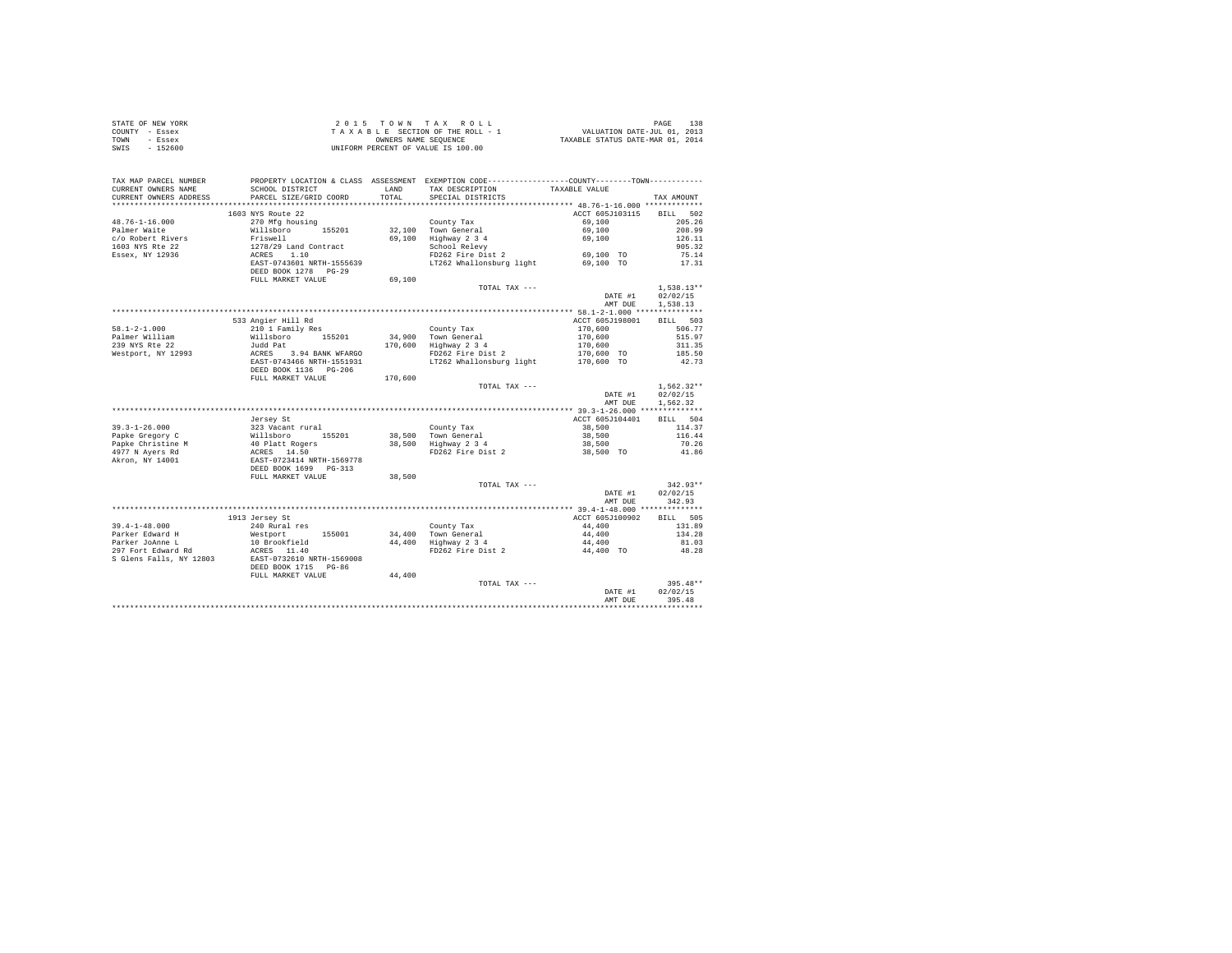|                | STATE OF NEW YORK | 2015 TOWN TAX ROLL                 | 138<br>PAGE                      |
|----------------|-------------------|------------------------------------|----------------------------------|
| COUNTY - Essex |                   | TAXABLE SECTION OF THE ROLL - 1    | VALUATION DATE-JUL 01, 2013      |
| TOWN           | - Essex           | OWNERS NAME SEOUENCE               | TAXABLE STATUS DATE-MAR 01, 2014 |
| SWIS           | $-152600$         | UNIFORM PERCENT OF VALUE IS 100.00 |                                  |

| ***********************<br>*****************************<br>1603 NYS Route 22<br>ACCT 605J103115<br><b>BILL</b><br>502<br>$48.76 - 1 - 16.000$<br>205.26<br>270 Mfg housing<br>County Tax<br>69,100<br>Willsboro<br>32,100 Town General<br>69,100<br>208.99<br>Palmer Waite<br>155201<br>c/o Robert Rivers<br>69.100 Highway 2 3 4<br>Friswell<br>69,100<br>126.11<br>1603 NYS Rte 22<br>School Relevy<br>1278/29 Land Contract<br>905.32<br>$69,100$ TO<br>ACRES 1.10<br>Essex, NY 12936<br>FD262 Fire Dist 2<br>75.14<br>EAST-0743601 NRTH-1555639<br>LT262 Whallonsburg light<br>17.31<br>69,100 TO<br>DEED BOOK 1278 PG-29<br>FULL MARKET VALUE<br>69,100<br>$1,538.13**$<br>TOTAL TAX ---<br>02/02/15<br>DATE #1<br>1.538.13<br>AMT DUE<br>533 Angier Hill Rd<br>ACCT 605J198001<br>BILL 503<br>$58.1 - 2 - 1.000$<br>210 1 Family Res<br>170,600<br>County Tax<br>506.77<br>34.900 Town General<br>Palmer William<br>Willsboro 155201<br>170,600<br>515.97<br>170,600 Highway 2 3 4<br>170,600<br>239 NYS Rte 22<br>311.35<br>Judd Pat<br>Westport, NY 12993<br>ACRES 3.94 BANK WFARGO<br>FD262 Fire Dist 2<br>170,600 TO<br>185.50<br>EAST-0743466 NRTH-1551931<br>LT262 Whallonsburg light<br>170,600 TO<br>42.73<br>DEED BOOK 1136 PG-206<br>FULL MARKET VALUE<br>170,600<br>$1.562.32**$<br>TOTAL TAX ---<br>02/02/15<br>DATE #1<br>AMT DUE<br>1,562.32<br>ACCT 605J104401<br>Jersey St<br>BILL 504<br>$39.3 - 1 - 26.000$<br>323 Vacant rural<br>38,500<br>114.37<br>County Tax<br>525 vacant rurar<br>Willsboro 155201<br>Papke Gregory C<br>38,500 Town General<br>38,500<br>116.44<br>38.500 Highway 2 3 4<br>Papke Christine M<br>40 Platt Rogers<br>ACRES 14.50<br>38,500<br>70.26<br>FD262 Fire Dist 2<br>4977 N Avers Rd<br>41.86<br>38,500 TO<br>Akron, NY 14001<br>EAST-0723414 NRTH-1569778<br>DEED BOOK 1699 PG-313<br>FULL MARKET VALUE<br>38,500<br>$342.93**$<br>TOTAL TAX ---<br>02/02/15<br>DATE #1<br>AMT DUE<br>342.93<br>ACCT 605J100902<br>BILL 505<br>1913 Jersey St<br>$39.4 - 1 - 48.000$<br>240 Rural res<br>44,400<br>131.89<br>County Tax<br>Parker Edward H<br>34,400 Town General<br>Westport 155001<br>10 Brookfield<br>44,400<br>134.28<br>44,400 Highway 2 3 4<br>Parker JoAnne L<br>44,400<br>81.03<br>FD262 Fire Dist 2<br>297 Fort Edward Rd<br>ACRES 11.40<br>48.28<br>44,400 TO<br>S Glens Falls, NY 12803<br>EAST-0732610 NRTH-1569008<br>DEED BOOK 1715 PG-86<br>44,400<br>FULL MARKET VALUE<br>$395.48**$<br>TOTAL TAX ---<br>02/02/15<br>DATE #1<br>395.48<br>AMT DUE | TAX MAP PARCEL NUMBER<br>CURRENT OWNERS NAME<br>CURRENT OWNERS ADDRESS | SCHOOL DISTRICT<br>PARCEL SIZE/GRID COORD | LAND<br>TOTAL | PROPERTY LOCATION & CLASS ASSESSMENT EXEMPTION CODE----------------COUNTY-------TOWN----------<br>TAX DESCRIPTION<br>SPECIAL DISTRICTS | TAXABLE VALUE | TAX AMOUNT |
|--------------------------------------------------------------------------------------------------------------------------------------------------------------------------------------------------------------------------------------------------------------------------------------------------------------------------------------------------------------------------------------------------------------------------------------------------------------------------------------------------------------------------------------------------------------------------------------------------------------------------------------------------------------------------------------------------------------------------------------------------------------------------------------------------------------------------------------------------------------------------------------------------------------------------------------------------------------------------------------------------------------------------------------------------------------------------------------------------------------------------------------------------------------------------------------------------------------------------------------------------------------------------------------------------------------------------------------------------------------------------------------------------------------------------------------------------------------------------------------------------------------------------------------------------------------------------------------------------------------------------------------------------------------------------------------------------------------------------------------------------------------------------------------------------------------------------------------------------------------------------------------------------------------------------------------------------------------------------------------------------------------------------------------------------------------------------------------------------------------------------------------------------------------------------------------------------------------------------------------------------------------------------------------------------------------------------------------------------------------------------------------------------------------------------------------------------------------------------------------------------------------------------|------------------------------------------------------------------------|-------------------------------------------|---------------|----------------------------------------------------------------------------------------------------------------------------------------|---------------|------------|
|                                                                                                                                                                                                                                                                                                                                                                                                                                                                                                                                                                                                                                                                                                                                                                                                                                                                                                                                                                                                                                                                                                                                                                                                                                                                                                                                                                                                                                                                                                                                                                                                                                                                                                                                                                                                                                                                                                                                                                                                                                                                                                                                                                                                                                                                                                                                                                                                                                                                                                                          |                                                                        |                                           |               |                                                                                                                                        |               |            |
|                                                                                                                                                                                                                                                                                                                                                                                                                                                                                                                                                                                                                                                                                                                                                                                                                                                                                                                                                                                                                                                                                                                                                                                                                                                                                                                                                                                                                                                                                                                                                                                                                                                                                                                                                                                                                                                                                                                                                                                                                                                                                                                                                                                                                                                                                                                                                                                                                                                                                                                          |                                                                        |                                           |               |                                                                                                                                        |               |            |
|                                                                                                                                                                                                                                                                                                                                                                                                                                                                                                                                                                                                                                                                                                                                                                                                                                                                                                                                                                                                                                                                                                                                                                                                                                                                                                                                                                                                                                                                                                                                                                                                                                                                                                                                                                                                                                                                                                                                                                                                                                                                                                                                                                                                                                                                                                                                                                                                                                                                                                                          |                                                                        |                                           |               |                                                                                                                                        |               |            |
|                                                                                                                                                                                                                                                                                                                                                                                                                                                                                                                                                                                                                                                                                                                                                                                                                                                                                                                                                                                                                                                                                                                                                                                                                                                                                                                                                                                                                                                                                                                                                                                                                                                                                                                                                                                                                                                                                                                                                                                                                                                                                                                                                                                                                                                                                                                                                                                                                                                                                                                          |                                                                        |                                           |               |                                                                                                                                        |               |            |
|                                                                                                                                                                                                                                                                                                                                                                                                                                                                                                                                                                                                                                                                                                                                                                                                                                                                                                                                                                                                                                                                                                                                                                                                                                                                                                                                                                                                                                                                                                                                                                                                                                                                                                                                                                                                                                                                                                                                                                                                                                                                                                                                                                                                                                                                                                                                                                                                                                                                                                                          |                                                                        |                                           |               |                                                                                                                                        |               |            |
|                                                                                                                                                                                                                                                                                                                                                                                                                                                                                                                                                                                                                                                                                                                                                                                                                                                                                                                                                                                                                                                                                                                                                                                                                                                                                                                                                                                                                                                                                                                                                                                                                                                                                                                                                                                                                                                                                                                                                                                                                                                                                                                                                                                                                                                                                                                                                                                                                                                                                                                          |                                                                        |                                           |               |                                                                                                                                        |               |            |
|                                                                                                                                                                                                                                                                                                                                                                                                                                                                                                                                                                                                                                                                                                                                                                                                                                                                                                                                                                                                                                                                                                                                                                                                                                                                                                                                                                                                                                                                                                                                                                                                                                                                                                                                                                                                                                                                                                                                                                                                                                                                                                                                                                                                                                                                                                                                                                                                                                                                                                                          |                                                                        |                                           |               |                                                                                                                                        |               |            |
|                                                                                                                                                                                                                                                                                                                                                                                                                                                                                                                                                                                                                                                                                                                                                                                                                                                                                                                                                                                                                                                                                                                                                                                                                                                                                                                                                                                                                                                                                                                                                                                                                                                                                                                                                                                                                                                                                                                                                                                                                                                                                                                                                                                                                                                                                                                                                                                                                                                                                                                          |                                                                        |                                           |               |                                                                                                                                        |               |            |
|                                                                                                                                                                                                                                                                                                                                                                                                                                                                                                                                                                                                                                                                                                                                                                                                                                                                                                                                                                                                                                                                                                                                                                                                                                                                                                                                                                                                                                                                                                                                                                                                                                                                                                                                                                                                                                                                                                                                                                                                                                                                                                                                                                                                                                                                                                                                                                                                                                                                                                                          |                                                                        |                                           |               |                                                                                                                                        |               |            |
|                                                                                                                                                                                                                                                                                                                                                                                                                                                                                                                                                                                                                                                                                                                                                                                                                                                                                                                                                                                                                                                                                                                                                                                                                                                                                                                                                                                                                                                                                                                                                                                                                                                                                                                                                                                                                                                                                                                                                                                                                                                                                                                                                                                                                                                                                                                                                                                                                                                                                                                          |                                                                        |                                           |               |                                                                                                                                        |               |            |
|                                                                                                                                                                                                                                                                                                                                                                                                                                                                                                                                                                                                                                                                                                                                                                                                                                                                                                                                                                                                                                                                                                                                                                                                                                                                                                                                                                                                                                                                                                                                                                                                                                                                                                                                                                                                                                                                                                                                                                                                                                                                                                                                                                                                                                                                                                                                                                                                                                                                                                                          |                                                                        |                                           |               |                                                                                                                                        |               |            |
|                                                                                                                                                                                                                                                                                                                                                                                                                                                                                                                                                                                                                                                                                                                                                                                                                                                                                                                                                                                                                                                                                                                                                                                                                                                                                                                                                                                                                                                                                                                                                                                                                                                                                                                                                                                                                                                                                                                                                                                                                                                                                                                                                                                                                                                                                                                                                                                                                                                                                                                          |                                                                        |                                           |               |                                                                                                                                        |               |            |
|                                                                                                                                                                                                                                                                                                                                                                                                                                                                                                                                                                                                                                                                                                                                                                                                                                                                                                                                                                                                                                                                                                                                                                                                                                                                                                                                                                                                                                                                                                                                                                                                                                                                                                                                                                                                                                                                                                                                                                                                                                                                                                                                                                                                                                                                                                                                                                                                                                                                                                                          |                                                                        |                                           |               |                                                                                                                                        |               |            |
|                                                                                                                                                                                                                                                                                                                                                                                                                                                                                                                                                                                                                                                                                                                                                                                                                                                                                                                                                                                                                                                                                                                                                                                                                                                                                                                                                                                                                                                                                                                                                                                                                                                                                                                                                                                                                                                                                                                                                                                                                                                                                                                                                                                                                                                                                                                                                                                                                                                                                                                          |                                                                        |                                           |               |                                                                                                                                        |               |            |
|                                                                                                                                                                                                                                                                                                                                                                                                                                                                                                                                                                                                                                                                                                                                                                                                                                                                                                                                                                                                                                                                                                                                                                                                                                                                                                                                                                                                                                                                                                                                                                                                                                                                                                                                                                                                                                                                                                                                                                                                                                                                                                                                                                                                                                                                                                                                                                                                                                                                                                                          |                                                                        |                                           |               |                                                                                                                                        |               |            |
|                                                                                                                                                                                                                                                                                                                                                                                                                                                                                                                                                                                                                                                                                                                                                                                                                                                                                                                                                                                                                                                                                                                                                                                                                                                                                                                                                                                                                                                                                                                                                                                                                                                                                                                                                                                                                                                                                                                                                                                                                                                                                                                                                                                                                                                                                                                                                                                                                                                                                                                          |                                                                        |                                           |               |                                                                                                                                        |               |            |
|                                                                                                                                                                                                                                                                                                                                                                                                                                                                                                                                                                                                                                                                                                                                                                                                                                                                                                                                                                                                                                                                                                                                                                                                                                                                                                                                                                                                                                                                                                                                                                                                                                                                                                                                                                                                                                                                                                                                                                                                                                                                                                                                                                                                                                                                                                                                                                                                                                                                                                                          |                                                                        |                                           |               |                                                                                                                                        |               |            |
|                                                                                                                                                                                                                                                                                                                                                                                                                                                                                                                                                                                                                                                                                                                                                                                                                                                                                                                                                                                                                                                                                                                                                                                                                                                                                                                                                                                                                                                                                                                                                                                                                                                                                                                                                                                                                                                                                                                                                                                                                                                                                                                                                                                                                                                                                                                                                                                                                                                                                                                          |                                                                        |                                           |               |                                                                                                                                        |               |            |
|                                                                                                                                                                                                                                                                                                                                                                                                                                                                                                                                                                                                                                                                                                                                                                                                                                                                                                                                                                                                                                                                                                                                                                                                                                                                                                                                                                                                                                                                                                                                                                                                                                                                                                                                                                                                                                                                                                                                                                                                                                                                                                                                                                                                                                                                                                                                                                                                                                                                                                                          |                                                                        |                                           |               |                                                                                                                                        |               |            |
|                                                                                                                                                                                                                                                                                                                                                                                                                                                                                                                                                                                                                                                                                                                                                                                                                                                                                                                                                                                                                                                                                                                                                                                                                                                                                                                                                                                                                                                                                                                                                                                                                                                                                                                                                                                                                                                                                                                                                                                                                                                                                                                                                                                                                                                                                                                                                                                                                                                                                                                          |                                                                        |                                           |               |                                                                                                                                        |               |            |
|                                                                                                                                                                                                                                                                                                                                                                                                                                                                                                                                                                                                                                                                                                                                                                                                                                                                                                                                                                                                                                                                                                                                                                                                                                                                                                                                                                                                                                                                                                                                                                                                                                                                                                                                                                                                                                                                                                                                                                                                                                                                                                                                                                                                                                                                                                                                                                                                                                                                                                                          |                                                                        |                                           |               |                                                                                                                                        |               |            |
|                                                                                                                                                                                                                                                                                                                                                                                                                                                                                                                                                                                                                                                                                                                                                                                                                                                                                                                                                                                                                                                                                                                                                                                                                                                                                                                                                                                                                                                                                                                                                                                                                                                                                                                                                                                                                                                                                                                                                                                                                                                                                                                                                                                                                                                                                                                                                                                                                                                                                                                          |                                                                        |                                           |               |                                                                                                                                        |               |            |
|                                                                                                                                                                                                                                                                                                                                                                                                                                                                                                                                                                                                                                                                                                                                                                                                                                                                                                                                                                                                                                                                                                                                                                                                                                                                                                                                                                                                                                                                                                                                                                                                                                                                                                                                                                                                                                                                                                                                                                                                                                                                                                                                                                                                                                                                                                                                                                                                                                                                                                                          |                                                                        |                                           |               |                                                                                                                                        |               |            |
|                                                                                                                                                                                                                                                                                                                                                                                                                                                                                                                                                                                                                                                                                                                                                                                                                                                                                                                                                                                                                                                                                                                                                                                                                                                                                                                                                                                                                                                                                                                                                                                                                                                                                                                                                                                                                                                                                                                                                                                                                                                                                                                                                                                                                                                                                                                                                                                                                                                                                                                          |                                                                        |                                           |               |                                                                                                                                        |               |            |
|                                                                                                                                                                                                                                                                                                                                                                                                                                                                                                                                                                                                                                                                                                                                                                                                                                                                                                                                                                                                                                                                                                                                                                                                                                                                                                                                                                                                                                                                                                                                                                                                                                                                                                                                                                                                                                                                                                                                                                                                                                                                                                                                                                                                                                                                                                                                                                                                                                                                                                                          |                                                                        |                                           |               |                                                                                                                                        |               |            |
|                                                                                                                                                                                                                                                                                                                                                                                                                                                                                                                                                                                                                                                                                                                                                                                                                                                                                                                                                                                                                                                                                                                                                                                                                                                                                                                                                                                                                                                                                                                                                                                                                                                                                                                                                                                                                                                                                                                                                                                                                                                                                                                                                                                                                                                                                                                                                                                                                                                                                                                          |                                                                        |                                           |               |                                                                                                                                        |               |            |
|                                                                                                                                                                                                                                                                                                                                                                                                                                                                                                                                                                                                                                                                                                                                                                                                                                                                                                                                                                                                                                                                                                                                                                                                                                                                                                                                                                                                                                                                                                                                                                                                                                                                                                                                                                                                                                                                                                                                                                                                                                                                                                                                                                                                                                                                                                                                                                                                                                                                                                                          |                                                                        |                                           |               |                                                                                                                                        |               |            |
|                                                                                                                                                                                                                                                                                                                                                                                                                                                                                                                                                                                                                                                                                                                                                                                                                                                                                                                                                                                                                                                                                                                                                                                                                                                                                                                                                                                                                                                                                                                                                                                                                                                                                                                                                                                                                                                                                                                                                                                                                                                                                                                                                                                                                                                                                                                                                                                                                                                                                                                          |                                                                        |                                           |               |                                                                                                                                        |               |            |
|                                                                                                                                                                                                                                                                                                                                                                                                                                                                                                                                                                                                                                                                                                                                                                                                                                                                                                                                                                                                                                                                                                                                                                                                                                                                                                                                                                                                                                                                                                                                                                                                                                                                                                                                                                                                                                                                                                                                                                                                                                                                                                                                                                                                                                                                                                                                                                                                                                                                                                                          |                                                                        |                                           |               |                                                                                                                                        |               |            |
|                                                                                                                                                                                                                                                                                                                                                                                                                                                                                                                                                                                                                                                                                                                                                                                                                                                                                                                                                                                                                                                                                                                                                                                                                                                                                                                                                                                                                                                                                                                                                                                                                                                                                                                                                                                                                                                                                                                                                                                                                                                                                                                                                                                                                                                                                                                                                                                                                                                                                                                          |                                                                        |                                           |               |                                                                                                                                        |               |            |
|                                                                                                                                                                                                                                                                                                                                                                                                                                                                                                                                                                                                                                                                                                                                                                                                                                                                                                                                                                                                                                                                                                                                                                                                                                                                                                                                                                                                                                                                                                                                                                                                                                                                                                                                                                                                                                                                                                                                                                                                                                                                                                                                                                                                                                                                                                                                                                                                                                                                                                                          |                                                                        |                                           |               |                                                                                                                                        |               |            |
|                                                                                                                                                                                                                                                                                                                                                                                                                                                                                                                                                                                                                                                                                                                                                                                                                                                                                                                                                                                                                                                                                                                                                                                                                                                                                                                                                                                                                                                                                                                                                                                                                                                                                                                                                                                                                                                                                                                                                                                                                                                                                                                                                                                                                                                                                                                                                                                                                                                                                                                          |                                                                        |                                           |               |                                                                                                                                        |               |            |
|                                                                                                                                                                                                                                                                                                                                                                                                                                                                                                                                                                                                                                                                                                                                                                                                                                                                                                                                                                                                                                                                                                                                                                                                                                                                                                                                                                                                                                                                                                                                                                                                                                                                                                                                                                                                                                                                                                                                                                                                                                                                                                                                                                                                                                                                                                                                                                                                                                                                                                                          |                                                                        |                                           |               |                                                                                                                                        |               |            |
|                                                                                                                                                                                                                                                                                                                                                                                                                                                                                                                                                                                                                                                                                                                                                                                                                                                                                                                                                                                                                                                                                                                                                                                                                                                                                                                                                                                                                                                                                                                                                                                                                                                                                                                                                                                                                                                                                                                                                                                                                                                                                                                                                                                                                                                                                                                                                                                                                                                                                                                          |                                                                        |                                           |               |                                                                                                                                        |               |            |
|                                                                                                                                                                                                                                                                                                                                                                                                                                                                                                                                                                                                                                                                                                                                                                                                                                                                                                                                                                                                                                                                                                                                                                                                                                                                                                                                                                                                                                                                                                                                                                                                                                                                                                                                                                                                                                                                                                                                                                                                                                                                                                                                                                                                                                                                                                                                                                                                                                                                                                                          |                                                                        |                                           |               |                                                                                                                                        |               |            |
|                                                                                                                                                                                                                                                                                                                                                                                                                                                                                                                                                                                                                                                                                                                                                                                                                                                                                                                                                                                                                                                                                                                                                                                                                                                                                                                                                                                                                                                                                                                                                                                                                                                                                                                                                                                                                                                                                                                                                                                                                                                                                                                                                                                                                                                                                                                                                                                                                                                                                                                          |                                                                        |                                           |               |                                                                                                                                        |               |            |
|                                                                                                                                                                                                                                                                                                                                                                                                                                                                                                                                                                                                                                                                                                                                                                                                                                                                                                                                                                                                                                                                                                                                                                                                                                                                                                                                                                                                                                                                                                                                                                                                                                                                                                                                                                                                                                                                                                                                                                                                                                                                                                                                                                                                                                                                                                                                                                                                                                                                                                                          |                                                                        |                                           |               |                                                                                                                                        |               |            |
|                                                                                                                                                                                                                                                                                                                                                                                                                                                                                                                                                                                                                                                                                                                                                                                                                                                                                                                                                                                                                                                                                                                                                                                                                                                                                                                                                                                                                                                                                                                                                                                                                                                                                                                                                                                                                                                                                                                                                                                                                                                                                                                                                                                                                                                                                                                                                                                                                                                                                                                          |                                                                        |                                           |               |                                                                                                                                        |               |            |
|                                                                                                                                                                                                                                                                                                                                                                                                                                                                                                                                                                                                                                                                                                                                                                                                                                                                                                                                                                                                                                                                                                                                                                                                                                                                                                                                                                                                                                                                                                                                                                                                                                                                                                                                                                                                                                                                                                                                                                                                                                                                                                                                                                                                                                                                                                                                                                                                                                                                                                                          |                                                                        |                                           |               |                                                                                                                                        |               |            |
|                                                                                                                                                                                                                                                                                                                                                                                                                                                                                                                                                                                                                                                                                                                                                                                                                                                                                                                                                                                                                                                                                                                                                                                                                                                                                                                                                                                                                                                                                                                                                                                                                                                                                                                                                                                                                                                                                                                                                                                                                                                                                                                                                                                                                                                                                                                                                                                                                                                                                                                          |                                                                        |                                           |               |                                                                                                                                        |               |            |
|                                                                                                                                                                                                                                                                                                                                                                                                                                                                                                                                                                                                                                                                                                                                                                                                                                                                                                                                                                                                                                                                                                                                                                                                                                                                                                                                                                                                                                                                                                                                                                                                                                                                                                                                                                                                                                                                                                                                                                                                                                                                                                                                                                                                                                                                                                                                                                                                                                                                                                                          |                                                                        |                                           |               |                                                                                                                                        |               |            |
|                                                                                                                                                                                                                                                                                                                                                                                                                                                                                                                                                                                                                                                                                                                                                                                                                                                                                                                                                                                                                                                                                                                                                                                                                                                                                                                                                                                                                                                                                                                                                                                                                                                                                                                                                                                                                                                                                                                                                                                                                                                                                                                                                                                                                                                                                                                                                                                                                                                                                                                          |                                                                        |                                           |               |                                                                                                                                        |               |            |
|                                                                                                                                                                                                                                                                                                                                                                                                                                                                                                                                                                                                                                                                                                                                                                                                                                                                                                                                                                                                                                                                                                                                                                                                                                                                                                                                                                                                                                                                                                                                                                                                                                                                                                                                                                                                                                                                                                                                                                                                                                                                                                                                                                                                                                                                                                                                                                                                                                                                                                                          |                                                                        |                                           |               |                                                                                                                                        |               |            |
|                                                                                                                                                                                                                                                                                                                                                                                                                                                                                                                                                                                                                                                                                                                                                                                                                                                                                                                                                                                                                                                                                                                                                                                                                                                                                                                                                                                                                                                                                                                                                                                                                                                                                                                                                                                                                                                                                                                                                                                                                                                                                                                                                                                                                                                                                                                                                                                                                                                                                                                          |                                                                        |                                           |               |                                                                                                                                        |               |            |
|                                                                                                                                                                                                                                                                                                                                                                                                                                                                                                                                                                                                                                                                                                                                                                                                                                                                                                                                                                                                                                                                                                                                                                                                                                                                                                                                                                                                                                                                                                                                                                                                                                                                                                                                                                                                                                                                                                                                                                                                                                                                                                                                                                                                                                                                                                                                                                                                                                                                                                                          |                                                                        |                                           |               |                                                                                                                                        |               |            |
|                                                                                                                                                                                                                                                                                                                                                                                                                                                                                                                                                                                                                                                                                                                                                                                                                                                                                                                                                                                                                                                                                                                                                                                                                                                                                                                                                                                                                                                                                                                                                                                                                                                                                                                                                                                                                                                                                                                                                                                                                                                                                                                                                                                                                                                                                                                                                                                                                                                                                                                          |                                                                        |                                           |               |                                                                                                                                        |               |            |
|                                                                                                                                                                                                                                                                                                                                                                                                                                                                                                                                                                                                                                                                                                                                                                                                                                                                                                                                                                                                                                                                                                                                                                                                                                                                                                                                                                                                                                                                                                                                                                                                                                                                                                                                                                                                                                                                                                                                                                                                                                                                                                                                                                                                                                                                                                                                                                                                                                                                                                                          |                                                                        |                                           |               |                                                                                                                                        |               |            |
|                                                                                                                                                                                                                                                                                                                                                                                                                                                                                                                                                                                                                                                                                                                                                                                                                                                                                                                                                                                                                                                                                                                                                                                                                                                                                                                                                                                                                                                                                                                                                                                                                                                                                                                                                                                                                                                                                                                                                                                                                                                                                                                                                                                                                                                                                                                                                                                                                                                                                                                          |                                                                        |                                           |               |                                                                                                                                        |               |            |
|                                                                                                                                                                                                                                                                                                                                                                                                                                                                                                                                                                                                                                                                                                                                                                                                                                                                                                                                                                                                                                                                                                                                                                                                                                                                                                                                                                                                                                                                                                                                                                                                                                                                                                                                                                                                                                                                                                                                                                                                                                                                                                                                                                                                                                                                                                                                                                                                                                                                                                                          |                                                                        |                                           |               |                                                                                                                                        |               |            |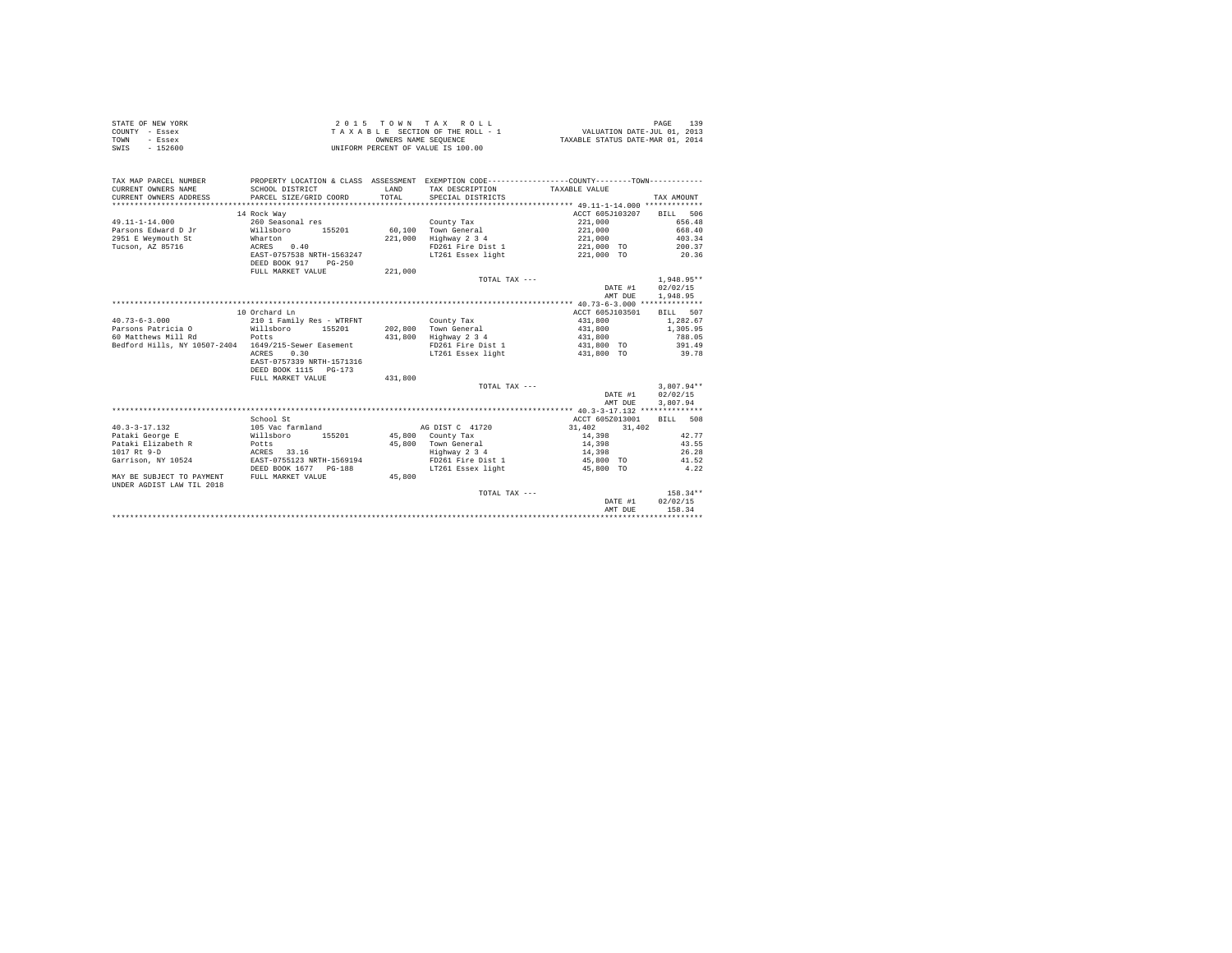| STATE OF NEW YORK | 2015 TOWN TAX ROLL                 | 139<br>PAGE                      |
|-------------------|------------------------------------|----------------------------------|
| COUNTY - Essex    | TAXABLE SECTION OF THE ROLL - 1    | VALUATION DATE-JUL 01, 2013      |
| TOWN<br>- Essex   | OWNERS NAME SEOUENCE               | TAXABLE STATUS DATE-MAR 01, 2014 |
| $-152600$<br>SWIS | UNIFORM PERCENT OF VALUE IS 100.00 |                                  |

| TAX MAP PARCEL NUMBER<br>CURRENT OWNERS NAME<br>CURRENT OWNERS ADDRESS | SCHOOL DISTRICT<br>PARCEL SIZE/GRID COORD | <b>T.AND</b><br>TOTAL | PROPERTY LOCATION & CLASS ASSESSMENT EXEMPTION CODE---------------COUNTY-------TOWN---------<br>TAX DESCRIPTION<br>SPECIAL DISTRICTS | TAXABLE VALUE     | TAX AMOUNT   |
|------------------------------------------------------------------------|-------------------------------------------|-----------------------|--------------------------------------------------------------------------------------------------------------------------------------|-------------------|--------------|
|                                                                        | 14 Rock Way                               |                       |                                                                                                                                      | ACCT 605J103207   | BTLL 506     |
| $49.11 - 1 - 14.000$                                                   | 260 Seasonal res                          |                       | County Tax                                                                                                                           | 221,000           | 656.48       |
| Parsons Edward D Jr                                                    | Willsboro<br>155201                       |                       | 60.100 Town General                                                                                                                  | 221,000           | 668.40       |
| 2951 E Weymouth St                                                     | Wharton                                   | 221,000               | Highway 2 3 4                                                                                                                        | 221,000           | 403.34       |
| Tucson, AZ 85716                                                       | 0.40<br>ACRES                             |                       | FD261 Fire Dist 1                                                                                                                    | 221,000 TO 200.37 |              |
|                                                                        | EAST-0757538 NRTH-1563247                 |                       | LT261 Essex light                                                                                                                    | 221,000 TO 20.36  |              |
|                                                                        | DEED BOOK 917<br>$PG-250$                 |                       |                                                                                                                                      |                   |              |
|                                                                        | FULL MARKET VALUE                         | 221,000               |                                                                                                                                      |                   |              |
|                                                                        |                                           |                       | TOTAL TAX $---$                                                                                                                      |                   | 1,948.95**   |
|                                                                        |                                           |                       |                                                                                                                                      | DATE #1           | 02/02/15     |
|                                                                        |                                           |                       |                                                                                                                                      | AMT DUE           | 1,948.95     |
|                                                                        |                                           |                       |                                                                                                                                      |                   |              |
|                                                                        | 10 Orchard Ln                             |                       |                                                                                                                                      | ACCT 605J103501   | BILL 507     |
| $40.73 - 6 - 3.000$                                                    | 210 1 Family Res - WTRFNT                 |                       | County Tax                                                                                                                           | 431,800           | 1,282.67     |
| Parsons Patricia 0 Willsboro                                           | 155201                                    | 202,800               | Town General                                                                                                                         | 431,800           | 1,305.95     |
| 60 Matthews Mill Rd                                                    | Potts                                     | 431,800               | Highway 2 3 4                                                                                                                        | 431,800           | 788.05       |
| Bedford Hills, NY 10507-2404 1649/215-Sewer Easement                   |                                           |                       | FD261 Fire Dist 1                                                                                                                    | 431,800 TO        | 391.49       |
|                                                                        | 0.30<br><b>ACRES</b>                      |                       | LT261 Essex light                                                                                                                    | 431,800 TO        | 39.78        |
|                                                                        | EAST-0757339 NRTH-1571316                 |                       |                                                                                                                                      |                   |              |
|                                                                        | DEED BOOK 1115 PG-173                     |                       |                                                                                                                                      |                   |              |
|                                                                        | FULL MARKET VALUE                         | 431,800               |                                                                                                                                      |                   |              |
|                                                                        |                                           |                       | TOTAL TAX ---                                                                                                                        |                   | $3.807.94**$ |
|                                                                        |                                           |                       |                                                                                                                                      | DATE #1           | 02/02/15     |
|                                                                        |                                           |                       |                                                                                                                                      | AMT DUE           | 3,807.94     |
|                                                                        |                                           |                       |                                                                                                                                      |                   |              |
|                                                                        | School St                                 |                       |                                                                                                                                      | ACCT 605Z013001   | BTT.T. 508   |
| $40.3 - 3 - 17.132$                                                    | 105 Vac farmland                          |                       | AG DIST C 41720                                                                                                                      | 31,402<br>31,402  |              |
| Pataki George E                                                        | 155201 45,800 County Tax<br>Willsboro     |                       |                                                                                                                                      | 14,398            | 42.77        |
| Pataki Elizabeth R                                                     | Potts                                     |                       | 45,800 Town General                                                                                                                  | 14,398            | 43.55        |
| 1017 Rt 9-D                                                            | ACRES 33.16                               |                       | Highway 2 3 4                                                                                                                        | 14,398            | 26.28        |
| Garrison, NY 10524                                                     | EAST-0755123 NRTH-1569194                 |                       | FD261 Fire Dist 1                                                                                                                    | 45,800 TO         | 41.52        |
|                                                                        | DEED BOOK 1677 PG-188                     |                       | LT261 Essex light                                                                                                                    | 45,800 TO         | 4.22         |
| MAY BE SUBJECT TO PAYMENT                                              | FULL MARKET VALUE                         | 45,800                |                                                                                                                                      |                   |              |
| UNDER AGDIST LAW TIL 2018                                              |                                           |                       | TOTAL TAX ---                                                                                                                        |                   | $158.34**$   |
|                                                                        |                                           |                       |                                                                                                                                      | DATE #1           | 02/02/15     |
|                                                                        |                                           |                       |                                                                                                                                      | AMT DUE           | 158.34       |
|                                                                        |                                           |                       |                                                                                                                                      |                   |              |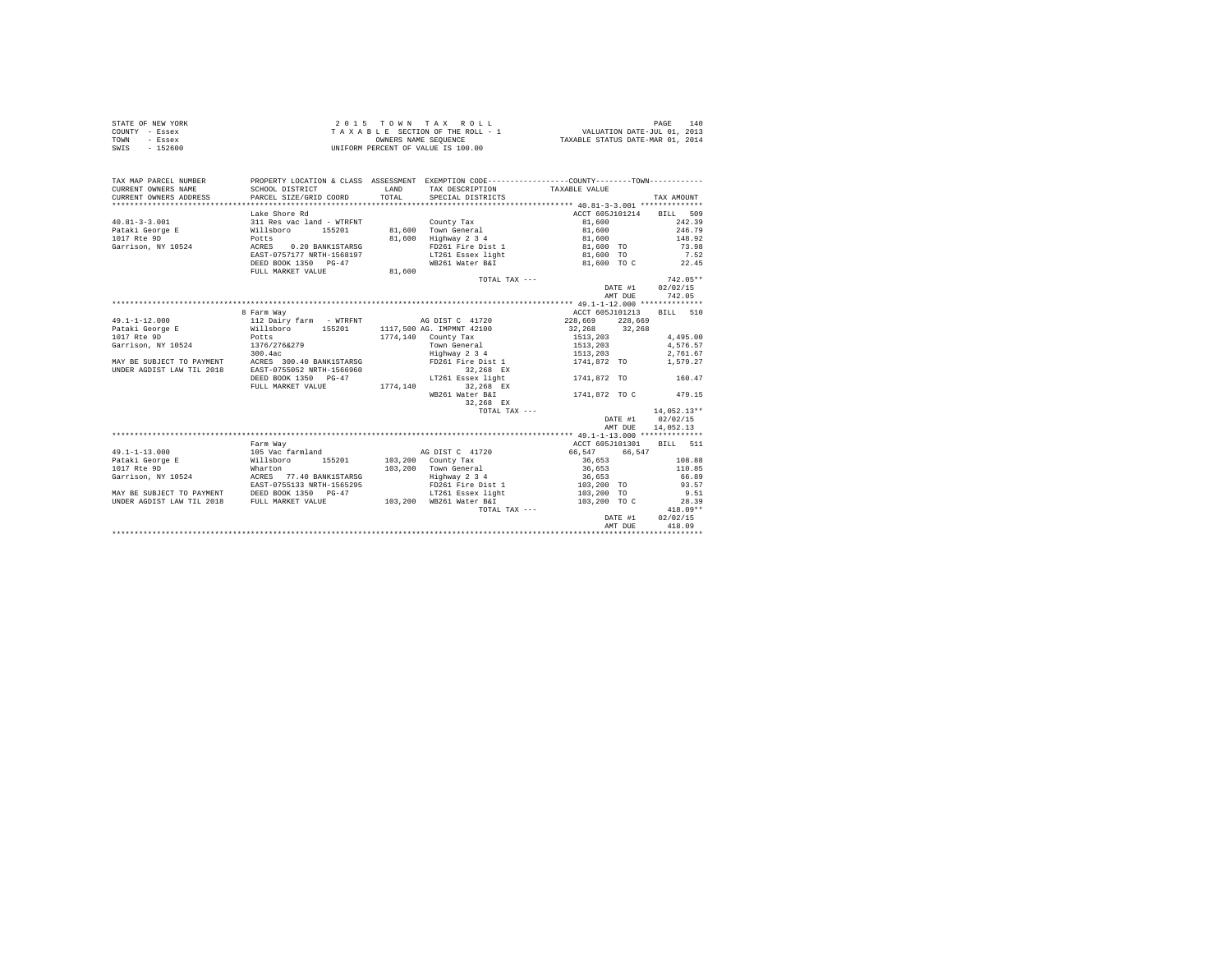| STATE OF NEW YORK | 2015 TOWN TAX ROLL                 | 140<br>PAGE                      |
|-------------------|------------------------------------|----------------------------------|
| COUNTY - Essex    | TAXABLE SECTION OF THE ROLL - 1    | VALUATION DATE-JUL 01, 2013      |
| TOWN<br>- Essex   | OWNERS NAME SEOUENCE               | TAXABLE STATUS DATE-MAR 01, 2014 |
| $-152600$<br>SWIS | UNIFORM PERCENT OF VALUE IS 100.00 |                                  |

| TAX MAP PARCEL NUMBER                       | PROPERTY LOCATION & CLASS ASSESSMENT EXEMPTION CODE----------------COUNTY--------TOWN---------- |                      |                             |                             |                          |
|---------------------------------------------|-------------------------------------------------------------------------------------------------|----------------------|-----------------------------|-----------------------------|--------------------------|
| CURRENT OWNERS NAME                         | SCHOOL DISTRICT                                                                                 | <b>T.AND</b>         | TAX DESCRIPTION             | TAXABLE VALUE               |                          |
| CURRENT OWNERS ADDRESS                      | PARCEL SIZE/GRID COORD                                                                          | TOTAL.               | SPECIAL DISTRICTS           |                             | TAX AMOUNT               |
|                                             |                                                                                                 |                      |                             |                             |                          |
|                                             | Lake Shore Rd                                                                                   |                      |                             |                             | ACCT 605J101214 BILL 509 |
| $40.81 - 3 - 3.001$                         | 311 Res vac land - WTRFNT                                                                       |                      | County Tax                  | 81,600                      | 242.39                   |
| Pataki George E Willsboro                   | 155201                                                                                          |                      | 81,600 Town General 81,600  |                             | 246.79                   |
|                                             |                                                                                                 |                      | 81.600 Highway 2 3 4        | 81,600                      | 148.92                   |
|                                             |                                                                                                 |                      |                             | FD261 Fire Dist 1 81,600 TO | 73.98                    |
|                                             | EAST-0757177 NRTH-1568197                                                                       |                      |                             | LT261 Essex light 81,600 TO | 7.52                     |
|                                             | DEED BOOK 1350 PG-47                                                                            |                      | WB261 Water B&I             | 81,600 TO C                 | 22.45                    |
|                                             | FULL MARKET VALUE                                                                               | $\bf 81$ , $\bf 600$ |                             |                             |                          |
|                                             |                                                                                                 |                      | TOTAL TAX ---               |                             | $742.05**$               |
|                                             |                                                                                                 |                      |                             | DATE #1                     | 02/02/15                 |
|                                             |                                                                                                 |                      |                             | AMT DUE                     | 742.05                   |
|                                             |                                                                                                 |                      |                             |                             |                          |
|                                             | 8 Farm Way                                                                                      |                      |                             | ACCT 605J101213             | BILL 510                 |
| $49.1 - 1 - 12.000$                         | 112 Dairy farm - WTRFNT MG DIST C 41720                                                         |                      |                             | 228,669 228,669             |                          |
|                                             |                                                                                                 |                      | 1117,500 AG. IMPMNT 42100   | 32.268 32.268               |                          |
| 1017 Rte 9D                                 |                                                                                                 |                      | $1774.140$ County Tax       | 1513, 203                   | 4.495.00                 |
| Garrison, NY 10524                          |                                                                                                 |                      | Town General                | 1513,203<br>1513,203        | 4.576.57                 |
|                                             |                                                                                                 |                      | $Highway$ 2 3 4             |                             | 2.761.67                 |
|                                             | MAY BE SUBJECT TO PAYMENT ACRES 300.40 BANK1STARSG FD261 Fire Dist 1                            |                      |                             | 1741,872 TO                 | 1,579.27                 |
| UNDER AGDIST LAW TIL 2018                   | EAST-0755052 NRTH-1566960                                                                       |                      | 32,268 EX                   |                             |                          |
|                                             | DEED BOOK 1350 PG-47                                                                            |                      | LT261 Essex light           | 1741,872 TO                 | 160.47                   |
|                                             | FULL MARKET VALUE                                                                               | 1774.140             | 32.268 EX                   |                             |                          |
|                                             |                                                                                                 |                      | WB261 Water B&I             | 1741,872 TO C               | 479.15                   |
|                                             |                                                                                                 |                      | 32.268 EX                   |                             |                          |
|                                             |                                                                                                 |                      | TOTAL TAX ---               |                             | $14,052.13**$            |
|                                             |                                                                                                 |                      |                             | DATE #1                     | 02/02/15                 |
|                                             |                                                                                                 |                      |                             | AMT DUE                     | 14,052.13                |
|                                             |                                                                                                 |                      |                             |                             |                          |
|                                             | Farm Way                                                                                        |                      |                             | ACCT 605J101301             | BILL 511                 |
| $49.1 - 1 - 13.000$                         | 105 Vac farmland<br>Willsboro 155201                                                            |                      | AG DIST C 41720             | 66,547 66,547               |                          |
| Pataki George E                             |                                                                                                 |                      | $103.200$ County Tax        | 36,653                      | 108.88                   |
| 1017 Rte 9D                                 | Wharton                                                                                         |                      | 103.200 Town General 36.653 |                             | 110.85                   |
|                                             |                                                                                                 |                      | Highway 2 3 4               | 36,653<br>103,200 TO        | 66.89<br>93.57           |
|                                             |                                                                                                 |                      | FD261 Fire Dist 1           |                             |                          |
|                                             | MAY BE SUBJECT TO PAYMENT DEED BOOK 1350 PG-47                                                  |                      | LT261 Essex light           | 103,200 TO                  | 9.51                     |
| UNDER AGDIST LAW TIL 2018 FULL MARKET VALUE |                                                                                                 |                      | 103,200 WB261 Water B&I     | 103,200 TO C                | 28.39                    |
|                                             |                                                                                                 |                      | TOTAL TAX ---               |                             | $418.09**$               |
|                                             |                                                                                                 |                      |                             | DATE #1                     | 02/02/15                 |
|                                             |                                                                                                 |                      |                             | AMT DUE                     | 418.09                   |
|                                             |                                                                                                 |                      |                             |                             |                          |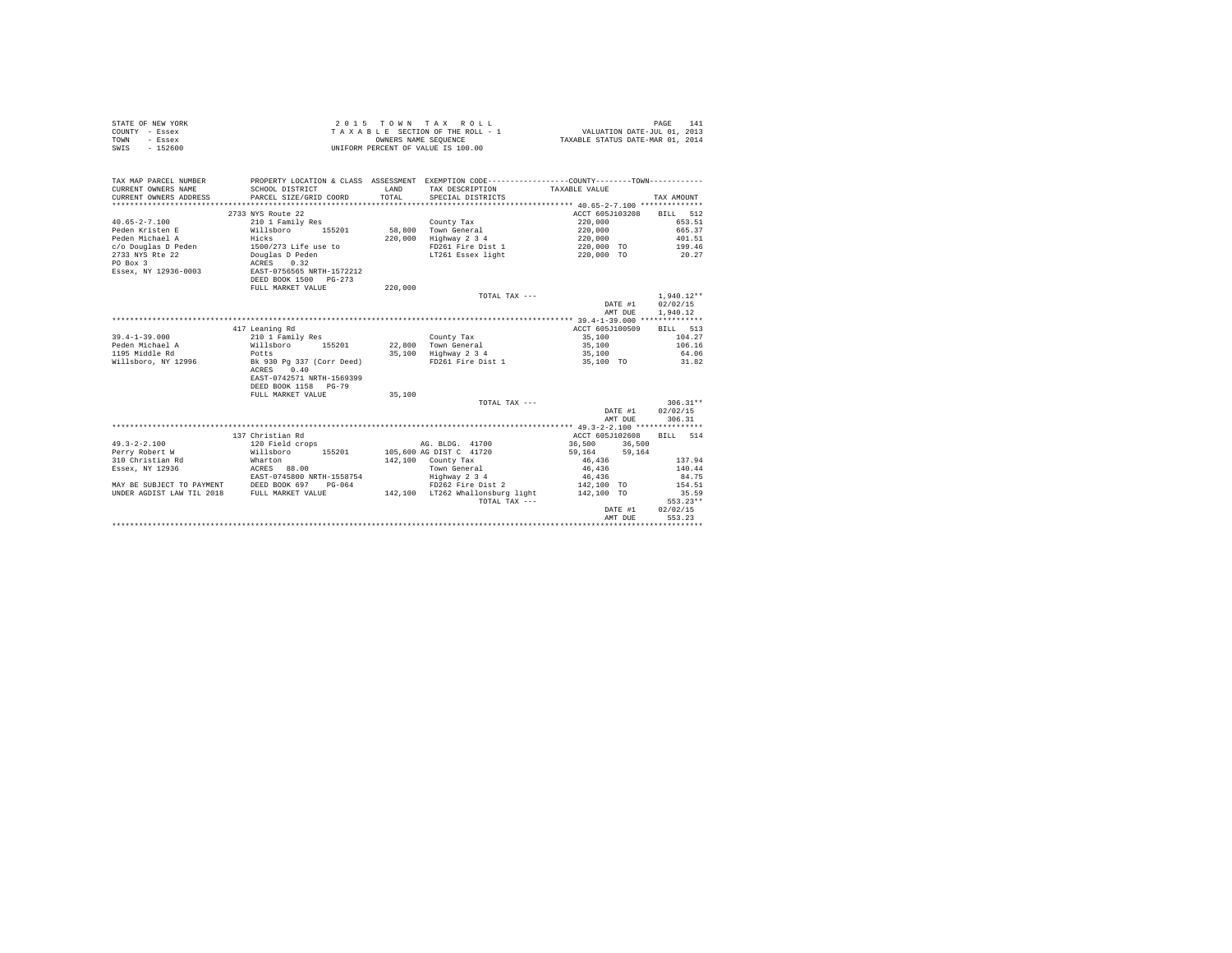|      | STATE OF NEW YORK | $2.0.15$ TOWN TAX ROLL             | PAGE                             |
|------|-------------------|------------------------------------|----------------------------------|
|      | COUNTY - Essex    | TAXABLE SECTION OF THE ROLL - 1    | VALUATION DATE-JUL 01, 2013      |
| TOWN | - Essex           | OWNERS NAME SEOUENCE               | TAXABLE STATUS DATE-MAR 01, 2014 |
| SWIS | $-152600$         | UNIFORM PERCENT OF VALUE IS 100.00 |                                  |

| TAX MAP PARCEL NUMBER<br>CURRENT OWNERS NAME<br>CURRENT OWNERS ADDRESS | SCHOOL DISTRICT<br>PARCEL SIZE/GRID COORD  | LAND<br>TOTAL. | TAX DESCRIPTION TAXABLE VALUE<br>SPECIAL DISTRICTS | PROPERTY LOCATION & CLASS ASSESSMENT EXEMPTION CODE----------------COUNTY--------TOWN---------- | TAX AMOUNT       |
|------------------------------------------------------------------------|--------------------------------------------|----------------|----------------------------------------------------|-------------------------------------------------------------------------------------------------|------------------|
|                                                                        | 2733 NYS Route 22                          |                |                                                    | ACCT 605J103208                                                                                 | BILL 512         |
| $40.65 - 2 - 7.100$                                                    | 210 1 Family Res                           |                | County Tax                                         | 220,000                                                                                         | 653.51           |
| Peden Kristen E                                                        | willsboro 155201                           |                | 58,800 Town General                                | 220,000                                                                                         | 665.37           |
| and Hicks<br>Peden Michael A                                           |                                            | 220,000        | Highway 2 3 4                                      | 220,000                                                                                         | 401.51           |
| c/o Douglas D Peden 1500/273 Life use to                               |                                            |                | FD261 Fire Dist 1                                  | 220,000 TO 199.46                                                                               |                  |
| 2733 NYS Rte 22                                                        |                                            |                | LT261 Essex light                                  | 220,000 TO                                                                                      | 20.27            |
| PO Box 3                                                               | Douglas D Peden<br>ACRES 0.32              |                |                                                    |                                                                                                 |                  |
| Essex, NY 12936-0003                                                   | EAST-0756565 NRTH-1572212                  |                |                                                    |                                                                                                 |                  |
|                                                                        | DEED BOOK 1500 PG-273                      |                |                                                    |                                                                                                 |                  |
|                                                                        | FULL MARKET VALUE                          | 220,000        |                                                    |                                                                                                 |                  |
|                                                                        |                                            |                | TOTAL TAX ---                                      |                                                                                                 | $1.940.12**$     |
|                                                                        |                                            |                |                                                    | DATE #1                                                                                         | 02/02/15         |
|                                                                        |                                            |                |                                                    | AMT DUE                                                                                         | 1,940.12         |
|                                                                        |                                            |                |                                                    |                                                                                                 |                  |
|                                                                        | 417 Leaning Rd                             |                |                                                    | ACCT 605J100509                                                                                 | BILL 513         |
| $39.4 - 1 - 39.000$                                                    | 210 1 Family Res                           |                | County Tax                                         | 35,100                                                                                          | 104.27           |
| Peden Michael A                                                        | Willsboro<br>Potts<br>155201               |                | 22.800 Town General                                | 35,100                                                                                          | 106.16           |
| 1195 Middle Rd<br>Willsboro, NY 12996 Bk 930 Pg 337 (Corr Deed)        |                                            |                | 35,100 Highway 2 3 4                               | 35,100                                                                                          | 64.06            |
|                                                                        |                                            |                |                                                    | FD261 Fire Dist 1 35,100 TO 31.82                                                               |                  |
|                                                                        | 0.40<br>ACRES<br>EAST-0742571 NRTH-1569399 |                |                                                    |                                                                                                 |                  |
|                                                                        | DEED BOOK 1158 PG-79                       |                |                                                    |                                                                                                 |                  |
|                                                                        | FULL MARKET VALUE                          | 35,100         |                                                    |                                                                                                 |                  |
|                                                                        |                                            |                | TOTAL TAX ---                                      |                                                                                                 | $306.31**$       |
|                                                                        |                                            |                |                                                    |                                                                                                 | DATE #1 02/02/15 |
|                                                                        |                                            |                |                                                    | AMT DUE                                                                                         | 306.31           |
|                                                                        |                                            |                |                                                    |                                                                                                 |                  |
|                                                                        | 137 Christian Rd                           |                |                                                    | ACCT 605J102608                                                                                 | BILL 514         |
| $49.3 - 2 - 2.100$                                                     | 120 Field crops                            |                | AG. BLDG. 41700                                    | 36,500<br>36,500                                                                                |                  |
| Perry Robert W                                                         | Willsboro 155201                           |                | 105,600 AG DIST C 41720                            | 59,164<br>59,164                                                                                |                  |
| 310 Christian Rd                                                       | Wharton                                    |                | $142.100$ County Tax                               | 46,436                                                                                          | 137.94           |
| Essex, NY 12936                                                        | ACRES 88.00                                |                | Town General                                       | 46,436                                                                                          | 140.44           |
|                                                                        | EAST-0745800 NRTH-1558754                  |                | Highway 2 3 4                                      | 46,436                                                                                          | 84.75            |
| MAY BE SUBJECT TO PAYMENT DEED BOOK 697                                | $PG-064$                                   |                | FD262 Fire Dist 2                                  | 142,100 TO                                                                                      | 154.51           |
| UNDER AGDIST LAW TIL 2018 FULL MARKET VALUE                            |                                            |                | 142,100 LT262 Whallonsburg light                   | 142,100 TO                                                                                      | 35.59            |
|                                                                        |                                            |                | TOTAL TAX ---                                      |                                                                                                 | $553.23**$       |
|                                                                        |                                            |                |                                                    | DATE #1                                                                                         | 02/02/15         |
|                                                                        |                                            |                |                                                    | AMT DUE                                                                                         | 553.23           |
|                                                                        |                                            |                |                                                    |                                                                                                 |                  |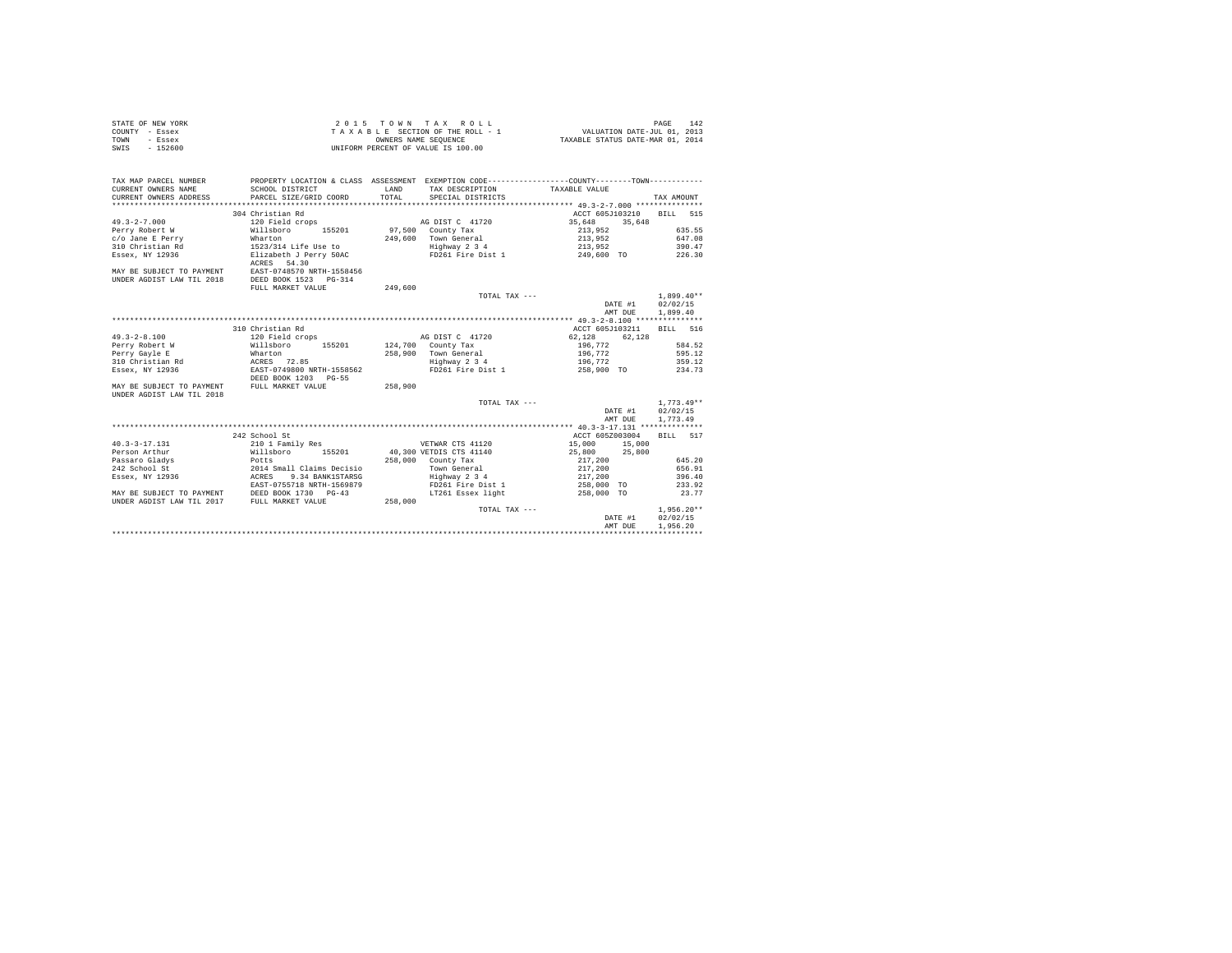| STATE OF NEW YORK | 2015 TOWN TAX ROLL                 | 142<br>PAGE                      |
|-------------------|------------------------------------|----------------------------------|
| COUNTY - Essex    | TAXABLE SECTION OF THE ROLL - 1    | VALUATION DATE-JUL 01, 2013      |
| TOWN<br>- Essex   | OWNERS NAME SEOUENCE               | TAXABLE STATUS DATE-MAR 01, 2014 |
| - 152600<br>SWIS  | UNIFORM PERCENT OF VALUE IS 100.00 |                                  |

| TAX MAP PARCEL NUMBER<br>CURRENT OWNERS NAME<br>CURRENT OWNERS ADDRESS | SCHOOL DISTRICT<br>PARCEL SIZE/GRID COORD | <b>T.AND</b><br>TOTAL. | TAX DESCRIPTION TAXABLE VALUE<br>SPECIAL DISTRICTS | PROPERTY LOCATION & CLASS ASSESSMENT EXEMPTION CODE----------------COUNTY--------TOWN---------- | TAX AMOUNT   |
|------------------------------------------------------------------------|-------------------------------------------|------------------------|----------------------------------------------------|-------------------------------------------------------------------------------------------------|--------------|
|                                                                        | 304 Christian Rd                          |                        |                                                    | ACCT 605J103210                                                                                 | RTLL 515     |
| $49.3 - 2 - 7.000$                                                     | 120 Field crops                           |                        | AG DIST C 41720                                    | 35,648<br>35,648                                                                                |              |
| Perry Robert W                                                         | Willsboro 155201                          |                        | 97.500 County Tax                                  | 213,952                                                                                         | 635.55       |
| c/o Jane E Perry                                                       | Wharton                                   |                        | 249.600 Town General                               | 213,952                                                                                         | 647.08       |
| 310 Christian Rd                                                       | 1523/314 Life Use to                      |                        | Highway 2 3 4                                      | 213,952                                                                                         | 390.47       |
| Essex, NY 12936                                                        | Elizabeth J Perry 50AC                    |                        | FD261 Fire Dist 1                                  | 249,600 TO                                                                                      | 226.30       |
|                                                                        | ACRES 54.30                               |                        |                                                    |                                                                                                 |              |
| MAY BE SUBJECT TO PAYMENT                                              | EAST-0748570 NRTH-1558456                 |                        |                                                    |                                                                                                 |              |
| UNDER AGDIST LAW TIL 2018                                              | DEED BOOK 1523 PG-314                     |                        |                                                    |                                                                                                 |              |
|                                                                        | FULL MARKET VALUE                         | 249,600                |                                                    |                                                                                                 |              |
|                                                                        |                                           |                        | TOTAL TAX ---                                      |                                                                                                 | $1.899.40**$ |
|                                                                        |                                           |                        |                                                    | DATE #1                                                                                         | 02/02/15     |
|                                                                        |                                           |                        |                                                    | AMT DUE                                                                                         | 1,899.40     |
|                                                                        |                                           |                        |                                                    |                                                                                                 |              |
|                                                                        | 310 Christian Rd                          |                        |                                                    | ACCT 605J103211                                                                                 | RTLL 516     |
| $49.3 - 2 - 8.100$                                                     | 120 Field crops                           |                        | AG DIST C 41720                                    | 62.128<br>62.128                                                                                |              |
| Perry Robert W                                                         | Willsboro<br>155201                       |                        | 124,700 County Tax                                 | 196,772                                                                                         | 584.52       |
| Perry Gayle E                                                          | Wharton                                   |                        | 258,900 Town General                               | 196,772                                                                                         | 595.12       |
| 310 Christian Rd                                                       | ACRES 72.85                               |                        | Highway 2 3 4                                      | 196,772                                                                                         | 359.12       |
| Essex, NY 12936                                                        | EAST-0749800 NRTH-1558562                 |                        | FD261 Fire Dist 1                                  | 258,900 TO 234.73                                                                               |              |
|                                                                        | DEED BOOK 1203 PG-55                      |                        |                                                    |                                                                                                 |              |
| MAY BE SUBJECT TO PAYMENT                                              | FULL MARKET VALUE                         | 258,900                |                                                    |                                                                                                 |              |
| UNDER AGDIST LAW TIL 2018                                              |                                           |                        |                                                    |                                                                                                 |              |
|                                                                        |                                           |                        | TOTAL TAX ---                                      |                                                                                                 | $1.773.49**$ |
|                                                                        |                                           |                        |                                                    | DATE #1                                                                                         | 02/02/15     |
|                                                                        |                                           |                        |                                                    | AMT DUE                                                                                         | 1,773.49     |
|                                                                        |                                           |                        |                                                    |                                                                                                 |              |
|                                                                        | 242 School St                             |                        |                                                    | ACCT 605Z003004                                                                                 | BILL 517     |
| $40.3 - 3 - 17.131$                                                    | 210 1 Family Res                          |                        | VETWAR CTS 41120                                   | 15,000<br>15,000                                                                                |              |
| Person Arthur                                                          | Willsboro<br>155201                       |                        | 40,300 VETDIS CTS 41140                            | 25,800<br>25,800                                                                                |              |
| Passaro Gladys                                                         | Potts                                     |                        | 258,000 County Tax                                 | 217,200                                                                                         | 645.20       |
| 242 School St                                                          | 2014 Small Claims Decisio                 |                        | Town General                                       | 217,200                                                                                         | 656.91       |
| Essex, NY 12936                                                        | 9.34 BANK1STARSG<br>ACRES                 |                        | Highway 2 3 4                                      | 217,200                                                                                         | 396.40       |
|                                                                        | EAST-0755718 NRTH-1569879                 |                        | FD261 Fire Dist 1                                  | 258,000 TO                                                                                      | 233.92       |
| MAY BE SUBJECT TO PAYMENT                                              | DEED BOOK 1730 PG-43                      |                        | LT261 Essex light                                  | 258,000 TO                                                                                      | 23.77        |
| UNDER AGDIST LAW TIL 2017                                              | FULL MARKET VALUE                         | 258,000                |                                                    |                                                                                                 |              |
|                                                                        |                                           |                        | TOTAL TAX ---                                      |                                                                                                 | $1.956.20**$ |
|                                                                        |                                           |                        |                                                    | DATE #1                                                                                         | 02/02/15     |
|                                                                        |                                           |                        |                                                    | AMT DUE                                                                                         | 1.956.20     |
|                                                                        |                                           |                        |                                                    |                                                                                                 |              |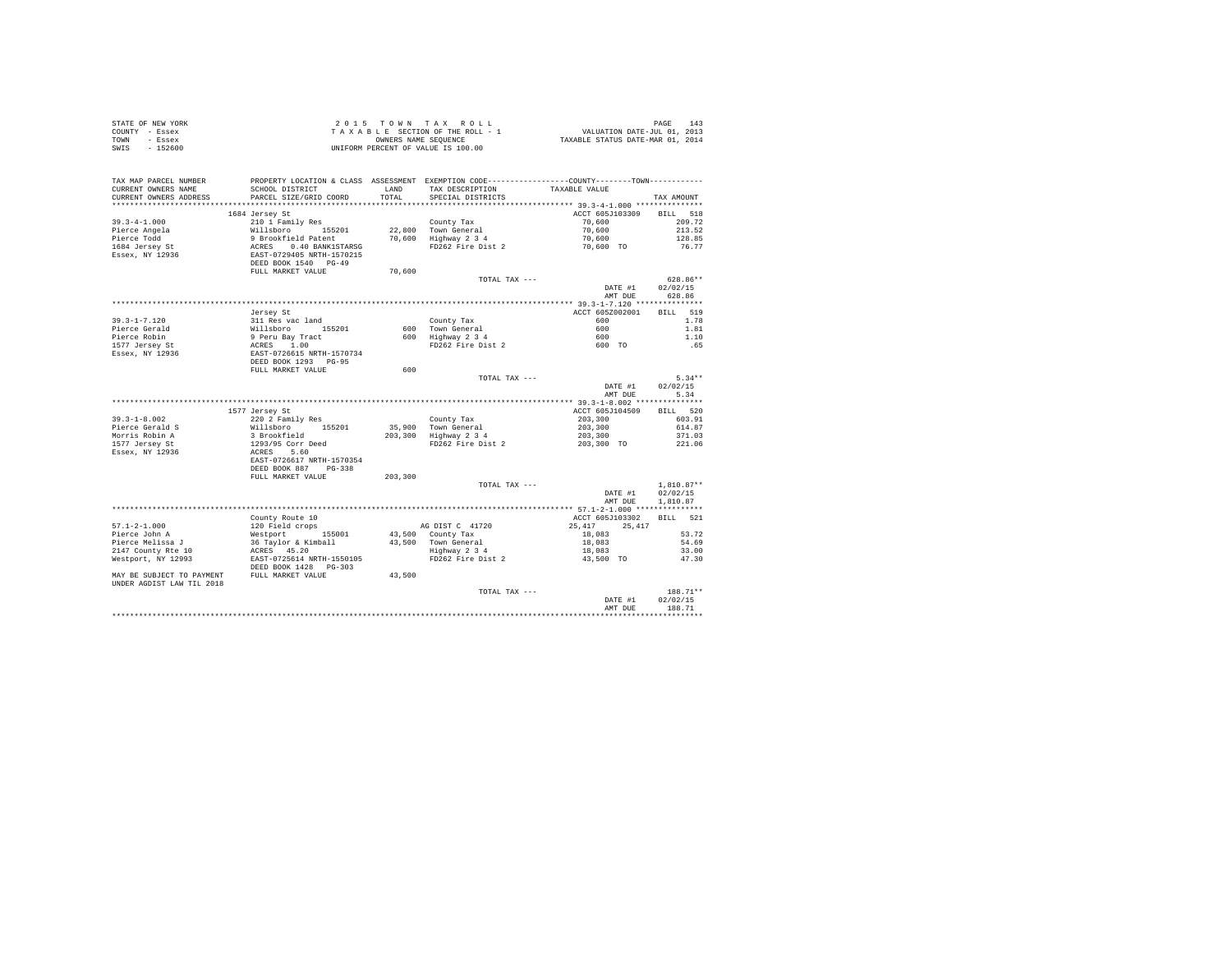| STATE OF NEW YORK<br>COUNTY - Essex<br>TOWN - Essex<br>SWIS - 152600                                                                                                                                                                                                                                                                                               | T A X A B L E JELLENDER SEQUENCE<br>OWNERS NAME SEQUENCE<br>UNIFORM PERCENT OF VALUE IS 100.00                                                                         |         |                                                                                                                     |                                                     |                    |
|--------------------------------------------------------------------------------------------------------------------------------------------------------------------------------------------------------------------------------------------------------------------------------------------------------------------------------------------------------------------|------------------------------------------------------------------------------------------------------------------------------------------------------------------------|---------|---------------------------------------------------------------------------------------------------------------------|-----------------------------------------------------|--------------------|
| TAX MAP PARCEL NUMBER<br>CURRENT OWNERS NAME<br>CURRENT OWNERS ADDRESS                                                                                                                                                                                                                                                                                             | PROPERTY LOCATION & CLASS ASSESSMENT EXEMPTION CODE----------------COUNTY--------TOWN---------<br>SCHOOL DISTRICT TAND TAX DESCRIPTION<br>PARCEL SIZE/GRID COORD TOTAL |         | SPECIAL DISTRICTS                                                                                                   | TAXABLE VALUE                                       | TAX AMOUNT         |
|                                                                                                                                                                                                                                                                                                                                                                    |                                                                                                                                                                        |         |                                                                                                                     |                                                     |                    |
|                                                                                                                                                                                                                                                                                                                                                                    | 1684 Jersey St                                                                                                                                                         |         |                                                                                                                     | ACCT 605J103309 BILL 518                            |                    |
| $39.3 - 4 - 1.000$                                                                                                                                                                                                                                                                                                                                                 |                                                                                                                                                                        |         |                                                                                                                     |                                                     | 209.72             |
|                                                                                                                                                                                                                                                                                                                                                                    |                                                                                                                                                                        |         |                                                                                                                     |                                                     | 213.52             |
|                                                                                                                                                                                                                                                                                                                                                                    |                                                                                                                                                                        |         |                                                                                                                     |                                                     | 128.85             |
|                                                                                                                                                                                                                                                                                                                                                                    |                                                                                                                                                                        |         |                                                                                                                     |                                                     | 76.77              |
| 39---<br>Pierce Angela<br>Pierce Todd<br>1684 Jersey St<br>Essex, NY 12936                                                                                                                                                                                                                                                                                         |                                                                                                                                                                        |         |                                                                                                                     |                                                     |                    |
|                                                                                                                                                                                                                                                                                                                                                                    | FULL MARKET VALUE                                                                                                                                                      | 70,600  |                                                                                                                     |                                                     |                    |
|                                                                                                                                                                                                                                                                                                                                                                    |                                                                                                                                                                        |         | TOTAL TAX ---                                                                                                       |                                                     | 628.86**           |
|                                                                                                                                                                                                                                                                                                                                                                    |                                                                                                                                                                        |         |                                                                                                                     | DATE #1<br>AMT DUE                                  | 02/02/15<br>628.86 |
|                                                                                                                                                                                                                                                                                                                                                                    |                                                                                                                                                                        |         |                                                                                                                     |                                                     |                    |
|                                                                                                                                                                                                                                                                                                                                                                    | Jersev St                                                                                                                                                              |         |                                                                                                                     | ACCT 605Z002001                                     | BILL 519           |
|                                                                                                                                                                                                                                                                                                                                                                    |                                                                                                                                                                        |         | County Tax<br>600 Town General 600<br>600 Highway 2 3 4 600<br>FD262 Fire Dist 2 600 TO<br>FD262 Fire Dist 2 600 TO | 600                                                 | 1.78               |
|                                                                                                                                                                                                                                                                                                                                                                    |                                                                                                                                                                        |         |                                                                                                                     |                                                     | 1.81               |
|                                                                                                                                                                                                                                                                                                                                                                    |                                                                                                                                                                        |         |                                                                                                                     |                                                     | 1.10               |
|                                                                                                                                                                                                                                                                                                                                                                    |                                                                                                                                                                        |         |                                                                                                                     |                                                     | .65                |
|                                                                                                                                                                                                                                                                                                                                                                    |                                                                                                                                                                        |         |                                                                                                                     |                                                     |                    |
| $\begin{tabular}{lllllllllll} &\mbox{J=1-7.120}&\mbox{J=3-2.1-7.120}&\mbox{J=11 Res}\text{ s}\&\mbox{311 Res}\text{ v}\&\mbox{321 Res}\text{ v}\&\mbox{331 Res}\text{ v}\&\mbox{341 Res}\text{ v}\&\mbox{35201}\\ \mbox{Pierre Robin}&9\mbox{ Pervu }3\mbox{ T-2.1}\&\mbox{1577 J=resy St}&\mbox{2081 S}&\mbox{2081 S}&\mbox{2081 S}&\mbox{2081 S}&\mbox{2081 S}&$ |                                                                                                                                                                        |         |                                                                                                                     |                                                     |                    |
|                                                                                                                                                                                                                                                                                                                                                                    |                                                                                                                                                                        | 600     |                                                                                                                     |                                                     |                    |
|                                                                                                                                                                                                                                                                                                                                                                    |                                                                                                                                                                        |         | TOTAL TAX ---                                                                                                       |                                                     | $5.34**$           |
|                                                                                                                                                                                                                                                                                                                                                                    |                                                                                                                                                                        |         |                                                                                                                     | DATE #1                                             | 02/02/15           |
|                                                                                                                                                                                                                                                                                                                                                                    |                                                                                                                                                                        |         |                                                                                                                     | AMT DUE                                             | 5.34               |
|                                                                                                                                                                                                                                                                                                                                                                    |                                                                                                                                                                        |         |                                                                                                                     |                                                     |                    |
|                                                                                                                                                                                                                                                                                                                                                                    | 1577 Jersey St                                                                                                                                                         |         |                                                                                                                     | ACCT 605J104509                                     | BILL 520           |
| $39.3 - 1 - 8.002$                                                                                                                                                                                                                                                                                                                                                 | 220 2 Family Res                                                                                                                                                       |         |                                                                                                                     |                                                     | 603.91             |
|                                                                                                                                                                                                                                                                                                                                                                    |                                                                                                                                                                        |         |                                                                                                                     |                                                     | 614.87             |
| Pierce Gerald S<br>Morris Robin A<br>1555 Inneru                                                                                                                                                                                                                                                                                                                   |                                                                                                                                                                        |         | County Tax<br>35,900 Town General<br>203,300 Highway 2 3 4<br>FD262 Fire Dist 2                                     | $203,300$<br>$203,300$<br>$203,300$<br>$203,300$ TO | 371.03             |
| 1577 Jersey St                                                                                                                                                                                                                                                                                                                                                     |                                                                                                                                                                        |         |                                                                                                                     |                                                     | 221.06             |
| Essex, NY 12936                                                                                                                                                                                                                                                                                                                                                    | --- 1 -- 1 ---- 1<br>Willsboro - 155201<br>3 Brookfield<br>1293/95 Corr Deed<br>ACRES - 5.60<br>EAST-0726617 NRTH-1570354                                              |         |                                                                                                                     |                                                     |                    |
|                                                                                                                                                                                                                                                                                                                                                                    |                                                                                                                                                                        |         |                                                                                                                     |                                                     |                    |
|                                                                                                                                                                                                                                                                                                                                                                    | DEED BOOK 887 PG-338                                                                                                                                                   |         |                                                                                                                     |                                                     |                    |
|                                                                                                                                                                                                                                                                                                                                                                    | FULL MARKET VALUE                                                                                                                                                      | 203,300 |                                                                                                                     |                                                     |                    |
|                                                                                                                                                                                                                                                                                                                                                                    |                                                                                                                                                                        |         | TOTAL TAX ---                                                                                                       | DATE #1                                             | $1.810.87**$       |
|                                                                                                                                                                                                                                                                                                                                                                    |                                                                                                                                                                        |         |                                                                                                                     |                                                     | 02/02/15           |
|                                                                                                                                                                                                                                                                                                                                                                    |                                                                                                                                                                        |         |                                                                                                                     | AMT DUE                                             | 1,810.87           |
|                                                                                                                                                                                                                                                                                                                                                                    |                                                                                                                                                                        |         |                                                                                                                     |                                                     |                    |
|                                                                                                                                                                                                                                                                                                                                                                    |                                                                                                                                                                        |         |                                                                                                                     | ACCT 605J103302 BILL 521                            |                    |
|                                                                                                                                                                                                                                                                                                                                                                    |                                                                                                                                                                        |         |                                                                                                                     | 25, 417 25, 417                                     |                    |
|                                                                                                                                                                                                                                                                                                                                                                    |                                                                                                                                                                        |         |                                                                                                                     |                                                     | 53.72              |
|                                                                                                                                                                                                                                                                                                                                                                    |                                                                                                                                                                        |         |                                                                                                                     |                                                     | 54.69              |
|                                                                                                                                                                                                                                                                                                                                                                    |                                                                                                                                                                        |         |                                                                                                                     |                                                     | 33.00              |
|                                                                                                                                                                                                                                                                                                                                                                    |                                                                                                                                                                        |         |                                                                                                                     |                                                     | 47.30              |
| UNDER AGDIST LAW TIL 2018                                                                                                                                                                                                                                                                                                                                          |                                                                                                                                                                        |         |                                                                                                                     |                                                     |                    |
|                                                                                                                                                                                                                                                                                                                                                                    |                                                                                                                                                                        |         | TOTAL TAX ---                                                                                                       |                                                     | 188.71**           |
|                                                                                                                                                                                                                                                                                                                                                                    |                                                                                                                                                                        |         |                                                                                                                     | DATE #1                                             | 02/02/15           |
|                                                                                                                                                                                                                                                                                                                                                                    |                                                                                                                                                                        |         |                                                                                                                     | AMT DUE                                             | 188.71             |
|                                                                                                                                                                                                                                                                                                                                                                    |                                                                                                                                                                        |         |                                                                                                                     |                                                     | .                  |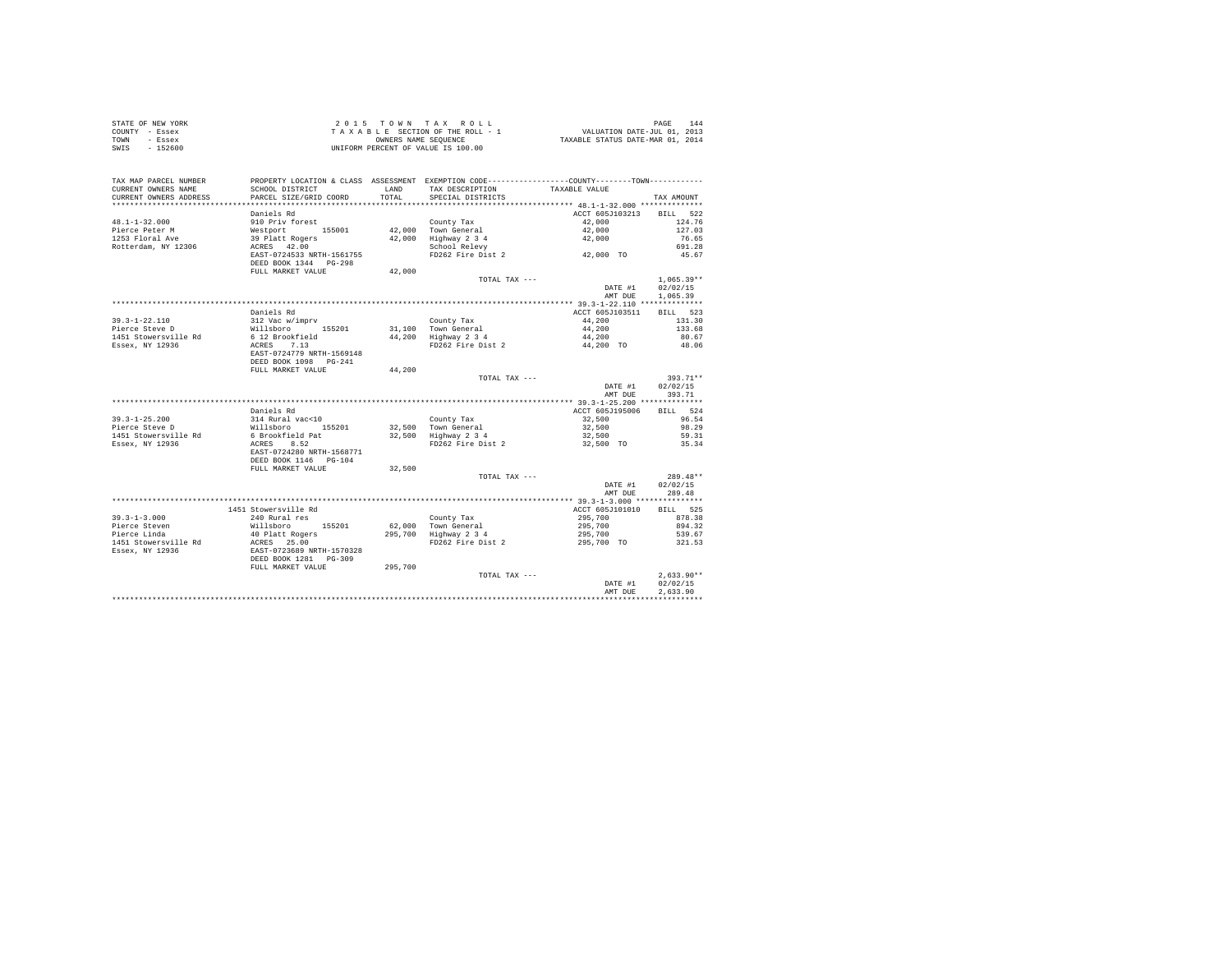| STATE OF NEW YORK | $2.0.15$ TOWN TAX ROLL             | 144<br>PAGE                      |
|-------------------|------------------------------------|----------------------------------|
| COUNTY - Essex    | TAXABLE SECTION OF THE ROLL - 1    | VALUATION DATE-JUL 01, 2013      |
| TOWN<br>- Essex   | OWNERS NAME SEOUENCE               | TAXABLE STATUS DATE-MAR 01, 2014 |
| SWIS<br>$-152600$ | UNIFORM PERCENT OF VALUE IS 100.00 |                                  |

| TAX MAP PARCEL NUMBER<br>CURRENT OWNERS NAME | PROPERTY LOCATION & CLASS ASSESSMENT EXEMPTION CODE----------------COUNTY--------TOWN----------<br>SCHOOL DISTRICT | LAND    | TAX DESCRIPTION                       | TAXABLE VALUE      |                        |
|----------------------------------------------|--------------------------------------------------------------------------------------------------------------------|---------|---------------------------------------|--------------------|------------------------|
| CURRENT OWNERS ADDRESS                       | PARCEL SIZE/GRID COORD                                                                                             | TOTAL   | SPECIAL DISTRICTS                     |                    | TAX AMOUNT             |
|                                              | Daniels Rd                                                                                                         |         |                                       | ACCT 605J103213    | BILL 522               |
| $48.1 - 1 - 32.000$<br>Pierce Peter M        | 910 Priv forest<br>Westport 155001                                                                                 |         | County Tax<br>42.000 Town General     | 42,000<br>42,000   | 124.76<br>127.03       |
| 1253 Floral Ave<br>Rotterdam, NY 12306       | 39 Platt Rogers<br>ACRES 42.00                                                                                     |         | 42,000 Highway 2 3 4<br>School Relevy | 42,000             | 76.65<br>691.28        |
|                                              | EAST-0724533 NRTH-1561755<br>DEED BOOK 1344 PG-298<br>FULL MARKET VALUE                                            | 42,000  | FD262 Fire Dist 2                     | 42,000 TO          | 45.67                  |
|                                              |                                                                                                                    |         | TOTAL TAX ---                         |                    | $1,065.39**$           |
|                                              |                                                                                                                    |         |                                       | DATE #1<br>AMT DUE | 02/02/15<br>1,065.39   |
|                                              |                                                                                                                    |         |                                       |                    |                        |
|                                              | Daniels Rd                                                                                                         |         |                                       | ACCT 605J103511    | BILL 523               |
| $39.3 - 1 - 22.110$                          | 312 Vac w/imprv                                                                                                    |         | County Tax                            | 44,200             | 131.30                 |
| Pierce Steve D                               | Willsboro 155201                                                                                                   |         | 31,100 Town General                   | 44,200             | 133.68                 |
| 1451 Stowersville Rd                         | 6 12 Brookfield                                                                                                    |         | 44,200 Highway 2 3 4                  | 44,200             | 80.67                  |
| Essex, NY 12936                              | ACRES 7.13<br>EAST-0724779 NRTH-1569148<br>DEED BOOK 1098 PG-241                                                   |         | FD262 Fire Dist 2                     | 44,200 TO          | 48.06                  |
|                                              | FULL MARKET VALUE                                                                                                  | 44,200  |                                       |                    |                        |
|                                              |                                                                                                                    |         | TOTAL TAX ---                         |                    | $393.71**$             |
|                                              |                                                                                                                    |         |                                       | DATE #1            | 02/02/15               |
|                                              |                                                                                                                    |         |                                       | AMT DUE            | 393.71                 |
|                                              |                                                                                                                    |         |                                       |                    |                        |
|                                              | Daniels Rd                                                                                                         |         |                                       | ACCT 605J195006    | BILL 524               |
| $39.3 - 1 - 25.200$                          | 314 Rural vac<10                                                                                                   |         | County Tax                            | 32,500             | 96.54                  |
| Pierce Steve D                               | Willsboro 155201<br>6 Brookfield Pat                                                                               |         | 32.500 Town General                   | 32,500             | 98.29                  |
| 1451 Stowersville Rd                         |                                                                                                                    |         | 32,500 Highway 2 3 4                  | 32,500             | 59.31                  |
| Essex, NY 12936                              | ACRES 8.52<br>EAST-0724280 NRTH-1568771<br>DEED BOOK 1146 PG-104                                                   |         | FD262 Fire Dist 2                     | 32,500 TO          | 35.34                  |
|                                              | FULL MARKET VALUE                                                                                                  | 32,500  |                                       |                    |                        |
|                                              |                                                                                                                    |         | TOTAL TAX ---                         | DATE #1            | $289.48**$<br>02/02/15 |
|                                              |                                                                                                                    |         |                                       | AMT DUE            | 289.48                 |
|                                              | 1451 Stowersville Rd                                                                                               |         |                                       | ACCT 605J101010    | BILL 525               |
| $39.3 - 1 - 3.000$                           |                                                                                                                    |         |                                       |                    | 878.38                 |
| Pierce Steven                                | 240 Rural res<br>155201                                                                                            |         | County Tax<br>62,000 Town General     | 295,700<br>295,700 | 894.32                 |
| Pierce Linda                                 | Willsboro 155201<br>40 Platt Rogers                                                                                |         | 295,700 Highway 2 3 4                 | 295,700            | 539.67                 |
| 1451 Stowersville Rd                         |                                                                                                                    |         | FD262 Fire Dist 2                     | 295,700 TO         | 321.53                 |
| Essex, NY 12936                              | ACRES 25.00<br>EAST-0723689 NRTH-1570328<br>DEED BOOK 1281 PG-309                                                  |         |                                       |                    |                        |
|                                              | FULL MARKET VALUE                                                                                                  | 295,700 |                                       |                    |                        |
|                                              |                                                                                                                    |         | TOTAL TAX ---                         |                    | $2.633.90**$           |
|                                              |                                                                                                                    |         |                                       | DATE #1            | 02/02/15               |
|                                              |                                                                                                                    |         |                                       | AMT DUE            | 2,633.90               |
|                                              |                                                                                                                    |         |                                       |                    |                        |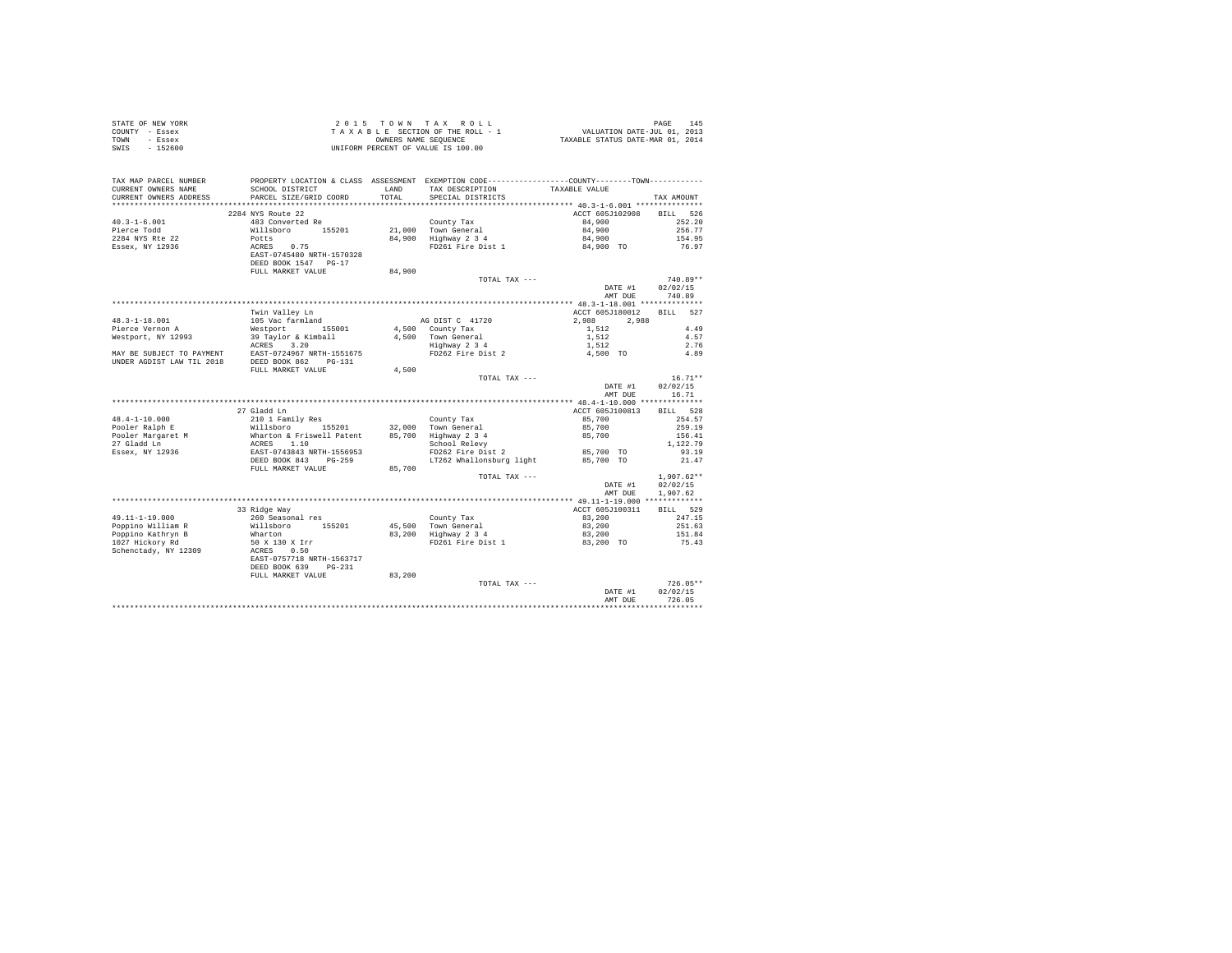| TAX MAP PARCEL NUMBER<br>PROPERTY LOCATION & CLASS ASSESSMENT EXEMPTION CODE----------------COUNTY-------TOWN---------<br>CURRENT OWNERS NAME<br>CURRENT OWNERS ADDRESS<br>TAX AMOUNT<br>ACCT 605J102908 BILL 526<br>2284 NYS Route 22<br>483 Converted Re<br>483 Converted Re<br>Willsboro 155201 21,000 Town General<br>Potts 0.75 84,900 Highway 2 3 4<br>REES 0.75 84,900 Highway 2 3 4<br>REES 1745480 NRTH-1570328<br>PERT RONT 1647 POST<br>$40.3 - 1 - 6.001$<br>84.900<br>252.20<br>84,900<br>Pierce Todd<br>256.77<br>2284 NYS Rte 22<br>Essex, NY 12936<br>84,900<br>154.95<br>84,900 TO<br>76.97<br>DEED BOOK 1547 PG-17<br>FULL MARKET VALUE<br>84,900<br>TOTAL TAX ---<br>$740.89**$<br>DATE #1<br>02/02/15<br>AMT DUE 740.89<br>ACCT 605J180012 BILL 527<br>$\begin{tabular}{lllllllllllll} \textbf{A}\textbf{G}\textbf{DIST C} & 41720 & & & 2,988 & & 2,988 \\ \textbf{A}\textbf{,}500 & \textbf{Count} \textbf{Tax} & & 1,512 & & \\ \textbf{A}\textbf{,}500 & \textbf{Down} \textbf{ General} & & 1,512 & \\ \textbf{H2Hawy 2 3 4} & & 1,512 & & \\ \textbf{F2Hawy 2 5 4} & & 1,512 & & \\ \textbf{A}\textbf{,}500 & \textbf{TO} & & \\ \end{tabular}$<br>2,988 2,988<br>4.49<br>4.57<br>2.76<br>4.89<br>4.500<br>$16.71**$<br>TOTAL TAX ---<br>DATE #1<br>02/02/15<br>AMT DUE<br>16.71<br>27 Gladd Ln<br>ACCT 605J100813<br>BILL 528<br>$\begin{tabular}{lllllllllll} \textbf{48.4--1-10.000} & \textbf{210 1 Pauli Dem} \\ \textbf{48.4--1-10.000} & \textbf{210 1 Pauli Dem} \\ \textbf{Pooler Ralph E} & \textbf{Willisboro} & 155201 & 32,000 & \text{Town General} \\ \textbf{Pooler Maygaret M} & \textbf{Wharton & Friswell Patent} & 85,700 & \text{Town General} \\ \textbf{27.000} & \textbf{28.700} & 1.10 & 155201 & 32,000 & \text$<br>254.57<br>259.19<br>156.41<br>1,122.79<br>93.19<br>21.47<br>FULL MARKET VALUE 85,700<br>TOTAL TAX ---<br>$1.907.62**$<br>02/02/15<br>DATE #1<br>AMT DUE<br>1,907.62<br>33 Ridge Way<br>BTLL 529<br>ACCT 605J100311<br>33 Ridge Way<br>260 Seasonal res<br>Willsboro 155201<br>Wharton<br>50 x 130 x Irr<br>ACRES 0.50<br>EAST-0757718 NRTH-1563717<br>49.11-1-19.000<br>83,200<br>247.15<br>251.63<br>Poppino William R<br>Poppino Kathryn B<br>1027 Hickory Rd<br>151.84<br>75.43<br>Schenctady, NY 12309<br>DEED BOOK 639 PG-231<br>FULL MARKET VALUE<br>83,200<br>$726.05**$<br>TOTAL TAX ---<br>02/02/15<br>DATE #1<br>726.05<br>AMT DUR<br> | STATE OF NEW YORK<br>COUNTY - Essex<br>TOWN - Essex<br>SWIS - 152600 |  | UNIFORM PERCENT OF VALUE IS 100.00 |  |
|--------------------------------------------------------------------------------------------------------------------------------------------------------------------------------------------------------------------------------------------------------------------------------------------------------------------------------------------------------------------------------------------------------------------------------------------------------------------------------------------------------------------------------------------------------------------------------------------------------------------------------------------------------------------------------------------------------------------------------------------------------------------------------------------------------------------------------------------------------------------------------------------------------------------------------------------------------------------------------------------------------------------------------------------------------------------------------------------------------------------------------------------------------------------------------------------------------------------------------------------------------------------------------------------------------------------------------------------------------------------------------------------------------------------------------------------------------------------------------------------------------------------------------------------------------------------------------------------------------------------------------------------------------------------------------------------------------------------------------------------------------------------------------------------------------------------------------------------------------------------------------------------------------------------------------------------------------------------------------------------------------------------------------------------------------------------------------------------------------------------------------------------------------------------------------------------------------------------------------------------------------------------------------------------------------------------------------------------------------------------------------------------------------------------------|----------------------------------------------------------------------|--|------------------------------------|--|
|                                                                                                                                                                                                                                                                                                                                                                                                                                                                                                                                                                                                                                                                                                                                                                                                                                                                                                                                                                                                                                                                                                                                                                                                                                                                                                                                                                                                                                                                                                                                                                                                                                                                                                                                                                                                                                                                                                                                                                                                                                                                                                                                                                                                                                                                                                                                                                                                                          |                                                                      |  |                                    |  |
|                                                                                                                                                                                                                                                                                                                                                                                                                                                                                                                                                                                                                                                                                                                                                                                                                                                                                                                                                                                                                                                                                                                                                                                                                                                                                                                                                                                                                                                                                                                                                                                                                                                                                                                                                                                                                                                                                                                                                                                                                                                                                                                                                                                                                                                                                                                                                                                                                          |                                                                      |  |                                    |  |
|                                                                                                                                                                                                                                                                                                                                                                                                                                                                                                                                                                                                                                                                                                                                                                                                                                                                                                                                                                                                                                                                                                                                                                                                                                                                                                                                                                                                                                                                                                                                                                                                                                                                                                                                                                                                                                                                                                                                                                                                                                                                                                                                                                                                                                                                                                                                                                                                                          |                                                                      |  |                                    |  |
|                                                                                                                                                                                                                                                                                                                                                                                                                                                                                                                                                                                                                                                                                                                                                                                                                                                                                                                                                                                                                                                                                                                                                                                                                                                                                                                                                                                                                                                                                                                                                                                                                                                                                                                                                                                                                                                                                                                                                                                                                                                                                                                                                                                                                                                                                                                                                                                                                          |                                                                      |  |                                    |  |
|                                                                                                                                                                                                                                                                                                                                                                                                                                                                                                                                                                                                                                                                                                                                                                                                                                                                                                                                                                                                                                                                                                                                                                                                                                                                                                                                                                                                                                                                                                                                                                                                                                                                                                                                                                                                                                                                                                                                                                                                                                                                                                                                                                                                                                                                                                                                                                                                                          |                                                                      |  |                                    |  |
|                                                                                                                                                                                                                                                                                                                                                                                                                                                                                                                                                                                                                                                                                                                                                                                                                                                                                                                                                                                                                                                                                                                                                                                                                                                                                                                                                                                                                                                                                                                                                                                                                                                                                                                                                                                                                                                                                                                                                                                                                                                                                                                                                                                                                                                                                                                                                                                                                          |                                                                      |  |                                    |  |
|                                                                                                                                                                                                                                                                                                                                                                                                                                                                                                                                                                                                                                                                                                                                                                                                                                                                                                                                                                                                                                                                                                                                                                                                                                                                                                                                                                                                                                                                                                                                                                                                                                                                                                                                                                                                                                                                                                                                                                                                                                                                                                                                                                                                                                                                                                                                                                                                                          |                                                                      |  |                                    |  |
|                                                                                                                                                                                                                                                                                                                                                                                                                                                                                                                                                                                                                                                                                                                                                                                                                                                                                                                                                                                                                                                                                                                                                                                                                                                                                                                                                                                                                                                                                                                                                                                                                                                                                                                                                                                                                                                                                                                                                                                                                                                                                                                                                                                                                                                                                                                                                                                                                          |                                                                      |  |                                    |  |
|                                                                                                                                                                                                                                                                                                                                                                                                                                                                                                                                                                                                                                                                                                                                                                                                                                                                                                                                                                                                                                                                                                                                                                                                                                                                                                                                                                                                                                                                                                                                                                                                                                                                                                                                                                                                                                                                                                                                                                                                                                                                                                                                                                                                                                                                                                                                                                                                                          |                                                                      |  |                                    |  |
|                                                                                                                                                                                                                                                                                                                                                                                                                                                                                                                                                                                                                                                                                                                                                                                                                                                                                                                                                                                                                                                                                                                                                                                                                                                                                                                                                                                                                                                                                                                                                                                                                                                                                                                                                                                                                                                                                                                                                                                                                                                                                                                                                                                                                                                                                                                                                                                                                          |                                                                      |  |                                    |  |
|                                                                                                                                                                                                                                                                                                                                                                                                                                                                                                                                                                                                                                                                                                                                                                                                                                                                                                                                                                                                                                                                                                                                                                                                                                                                                                                                                                                                                                                                                                                                                                                                                                                                                                                                                                                                                                                                                                                                                                                                                                                                                                                                                                                                                                                                                                                                                                                                                          |                                                                      |  |                                    |  |
|                                                                                                                                                                                                                                                                                                                                                                                                                                                                                                                                                                                                                                                                                                                                                                                                                                                                                                                                                                                                                                                                                                                                                                                                                                                                                                                                                                                                                                                                                                                                                                                                                                                                                                                                                                                                                                                                                                                                                                                                                                                                                                                                                                                                                                                                                                                                                                                                                          |                                                                      |  |                                    |  |
|                                                                                                                                                                                                                                                                                                                                                                                                                                                                                                                                                                                                                                                                                                                                                                                                                                                                                                                                                                                                                                                                                                                                                                                                                                                                                                                                                                                                                                                                                                                                                                                                                                                                                                                                                                                                                                                                                                                                                                                                                                                                                                                                                                                                                                                                                                                                                                                                                          |                                                                      |  |                                    |  |
|                                                                                                                                                                                                                                                                                                                                                                                                                                                                                                                                                                                                                                                                                                                                                                                                                                                                                                                                                                                                                                                                                                                                                                                                                                                                                                                                                                                                                                                                                                                                                                                                                                                                                                                                                                                                                                                                                                                                                                                                                                                                                                                                                                                                                                                                                                                                                                                                                          |                                                                      |  |                                    |  |
|                                                                                                                                                                                                                                                                                                                                                                                                                                                                                                                                                                                                                                                                                                                                                                                                                                                                                                                                                                                                                                                                                                                                                                                                                                                                                                                                                                                                                                                                                                                                                                                                                                                                                                                                                                                                                                                                                                                                                                                                                                                                                                                                                                                                                                                                                                                                                                                                                          |                                                                      |  |                                    |  |
|                                                                                                                                                                                                                                                                                                                                                                                                                                                                                                                                                                                                                                                                                                                                                                                                                                                                                                                                                                                                                                                                                                                                                                                                                                                                                                                                                                                                                                                                                                                                                                                                                                                                                                                                                                                                                                                                                                                                                                                                                                                                                                                                                                                                                                                                                                                                                                                                                          |                                                                      |  |                                    |  |
|                                                                                                                                                                                                                                                                                                                                                                                                                                                                                                                                                                                                                                                                                                                                                                                                                                                                                                                                                                                                                                                                                                                                                                                                                                                                                                                                                                                                                                                                                                                                                                                                                                                                                                                                                                                                                                                                                                                                                                                                                                                                                                                                                                                                                                                                                                                                                                                                                          |                                                                      |  |                                    |  |
|                                                                                                                                                                                                                                                                                                                                                                                                                                                                                                                                                                                                                                                                                                                                                                                                                                                                                                                                                                                                                                                                                                                                                                                                                                                                                                                                                                                                                                                                                                                                                                                                                                                                                                                                                                                                                                                                                                                                                                                                                                                                                                                                                                                                                                                                                                                                                                                                                          |                                                                      |  |                                    |  |
|                                                                                                                                                                                                                                                                                                                                                                                                                                                                                                                                                                                                                                                                                                                                                                                                                                                                                                                                                                                                                                                                                                                                                                                                                                                                                                                                                                                                                                                                                                                                                                                                                                                                                                                                                                                                                                                                                                                                                                                                                                                                                                                                                                                                                                                                                                                                                                                                                          |                                                                      |  |                                    |  |
|                                                                                                                                                                                                                                                                                                                                                                                                                                                                                                                                                                                                                                                                                                                                                                                                                                                                                                                                                                                                                                                                                                                                                                                                                                                                                                                                                                                                                                                                                                                                                                                                                                                                                                                                                                                                                                                                                                                                                                                                                                                                                                                                                                                                                                                                                                                                                                                                                          |                                                                      |  |                                    |  |
|                                                                                                                                                                                                                                                                                                                                                                                                                                                                                                                                                                                                                                                                                                                                                                                                                                                                                                                                                                                                                                                                                                                                                                                                                                                                                                                                                                                                                                                                                                                                                                                                                                                                                                                                                                                                                                                                                                                                                                                                                                                                                                                                                                                                                                                                                                                                                                                                                          |                                                                      |  |                                    |  |
|                                                                                                                                                                                                                                                                                                                                                                                                                                                                                                                                                                                                                                                                                                                                                                                                                                                                                                                                                                                                                                                                                                                                                                                                                                                                                                                                                                                                                                                                                                                                                                                                                                                                                                                                                                                                                                                                                                                                                                                                                                                                                                                                                                                                                                                                                                                                                                                                                          |                                                                      |  |                                    |  |
|                                                                                                                                                                                                                                                                                                                                                                                                                                                                                                                                                                                                                                                                                                                                                                                                                                                                                                                                                                                                                                                                                                                                                                                                                                                                                                                                                                                                                                                                                                                                                                                                                                                                                                                                                                                                                                                                                                                                                                                                                                                                                                                                                                                                                                                                                                                                                                                                                          |                                                                      |  |                                    |  |
|                                                                                                                                                                                                                                                                                                                                                                                                                                                                                                                                                                                                                                                                                                                                                                                                                                                                                                                                                                                                                                                                                                                                                                                                                                                                                                                                                                                                                                                                                                                                                                                                                                                                                                                                                                                                                                                                                                                                                                                                                                                                                                                                                                                                                                                                                                                                                                                                                          |                                                                      |  |                                    |  |
|                                                                                                                                                                                                                                                                                                                                                                                                                                                                                                                                                                                                                                                                                                                                                                                                                                                                                                                                                                                                                                                                                                                                                                                                                                                                                                                                                                                                                                                                                                                                                                                                                                                                                                                                                                                                                                                                                                                                                                                                                                                                                                                                                                                                                                                                                                                                                                                                                          |                                                                      |  |                                    |  |
|                                                                                                                                                                                                                                                                                                                                                                                                                                                                                                                                                                                                                                                                                                                                                                                                                                                                                                                                                                                                                                                                                                                                                                                                                                                                                                                                                                                                                                                                                                                                                                                                                                                                                                                                                                                                                                                                                                                                                                                                                                                                                                                                                                                                                                                                                                                                                                                                                          |                                                                      |  |                                    |  |
|                                                                                                                                                                                                                                                                                                                                                                                                                                                                                                                                                                                                                                                                                                                                                                                                                                                                                                                                                                                                                                                                                                                                                                                                                                                                                                                                                                                                                                                                                                                                                                                                                                                                                                                                                                                                                                                                                                                                                                                                                                                                                                                                                                                                                                                                                                                                                                                                                          |                                                                      |  |                                    |  |
|                                                                                                                                                                                                                                                                                                                                                                                                                                                                                                                                                                                                                                                                                                                                                                                                                                                                                                                                                                                                                                                                                                                                                                                                                                                                                                                                                                                                                                                                                                                                                                                                                                                                                                                                                                                                                                                                                                                                                                                                                                                                                                                                                                                                                                                                                                                                                                                                                          |                                                                      |  |                                    |  |
|                                                                                                                                                                                                                                                                                                                                                                                                                                                                                                                                                                                                                                                                                                                                                                                                                                                                                                                                                                                                                                                                                                                                                                                                                                                                                                                                                                                                                                                                                                                                                                                                                                                                                                                                                                                                                                                                                                                                                                                                                                                                                                                                                                                                                                                                                                                                                                                                                          |                                                                      |  |                                    |  |
|                                                                                                                                                                                                                                                                                                                                                                                                                                                                                                                                                                                                                                                                                                                                                                                                                                                                                                                                                                                                                                                                                                                                                                                                                                                                                                                                                                                                                                                                                                                                                                                                                                                                                                                                                                                                                                                                                                                                                                                                                                                                                                                                                                                                                                                                                                                                                                                                                          |                                                                      |  |                                    |  |
|                                                                                                                                                                                                                                                                                                                                                                                                                                                                                                                                                                                                                                                                                                                                                                                                                                                                                                                                                                                                                                                                                                                                                                                                                                                                                                                                                                                                                                                                                                                                                                                                                                                                                                                                                                                                                                                                                                                                                                                                                                                                                                                                                                                                                                                                                                                                                                                                                          |                                                                      |  |                                    |  |
|                                                                                                                                                                                                                                                                                                                                                                                                                                                                                                                                                                                                                                                                                                                                                                                                                                                                                                                                                                                                                                                                                                                                                                                                                                                                                                                                                                                                                                                                                                                                                                                                                                                                                                                                                                                                                                                                                                                                                                                                                                                                                                                                                                                                                                                                                                                                                                                                                          |                                                                      |  |                                    |  |
|                                                                                                                                                                                                                                                                                                                                                                                                                                                                                                                                                                                                                                                                                                                                                                                                                                                                                                                                                                                                                                                                                                                                                                                                                                                                                                                                                                                                                                                                                                                                                                                                                                                                                                                                                                                                                                                                                                                                                                                                                                                                                                                                                                                                                                                                                                                                                                                                                          |                                                                      |  |                                    |  |
|                                                                                                                                                                                                                                                                                                                                                                                                                                                                                                                                                                                                                                                                                                                                                                                                                                                                                                                                                                                                                                                                                                                                                                                                                                                                                                                                                                                                                                                                                                                                                                                                                                                                                                                                                                                                                                                                                                                                                                                                                                                                                                                                                                                                                                                                                                                                                                                                                          |                                                                      |  |                                    |  |
|                                                                                                                                                                                                                                                                                                                                                                                                                                                                                                                                                                                                                                                                                                                                                                                                                                                                                                                                                                                                                                                                                                                                                                                                                                                                                                                                                                                                                                                                                                                                                                                                                                                                                                                                                                                                                                                                                                                                                                                                                                                                                                                                                                                                                                                                                                                                                                                                                          |                                                                      |  |                                    |  |
|                                                                                                                                                                                                                                                                                                                                                                                                                                                                                                                                                                                                                                                                                                                                                                                                                                                                                                                                                                                                                                                                                                                                                                                                                                                                                                                                                                                                                                                                                                                                                                                                                                                                                                                                                                                                                                                                                                                                                                                                                                                                                                                                                                                                                                                                                                                                                                                                                          |                                                                      |  |                                    |  |
|                                                                                                                                                                                                                                                                                                                                                                                                                                                                                                                                                                                                                                                                                                                                                                                                                                                                                                                                                                                                                                                                                                                                                                                                                                                                                                                                                                                                                                                                                                                                                                                                                                                                                                                                                                                                                                                                                                                                                                                                                                                                                                                                                                                                                                                                                                                                                                                                                          |                                                                      |  |                                    |  |
|                                                                                                                                                                                                                                                                                                                                                                                                                                                                                                                                                                                                                                                                                                                                                                                                                                                                                                                                                                                                                                                                                                                                                                                                                                                                                                                                                                                                                                                                                                                                                                                                                                                                                                                                                                                                                                                                                                                                                                                                                                                                                                                                                                                                                                                                                                                                                                                                                          |                                                                      |  |                                    |  |
|                                                                                                                                                                                                                                                                                                                                                                                                                                                                                                                                                                                                                                                                                                                                                                                                                                                                                                                                                                                                                                                                                                                                                                                                                                                                                                                                                                                                                                                                                                                                                                                                                                                                                                                                                                                                                                                                                                                                                                                                                                                                                                                                                                                                                                                                                                                                                                                                                          |                                                                      |  |                                    |  |
|                                                                                                                                                                                                                                                                                                                                                                                                                                                                                                                                                                                                                                                                                                                                                                                                                                                                                                                                                                                                                                                                                                                                                                                                                                                                                                                                                                                                                                                                                                                                                                                                                                                                                                                                                                                                                                                                                                                                                                                                                                                                                                                                                                                                                                                                                                                                                                                                                          |                                                                      |  |                                    |  |
|                                                                                                                                                                                                                                                                                                                                                                                                                                                                                                                                                                                                                                                                                                                                                                                                                                                                                                                                                                                                                                                                                                                                                                                                                                                                                                                                                                                                                                                                                                                                                                                                                                                                                                                                                                                                                                                                                                                                                                                                                                                                                                                                                                                                                                                                                                                                                                                                                          |                                                                      |  |                                    |  |
|                                                                                                                                                                                                                                                                                                                                                                                                                                                                                                                                                                                                                                                                                                                                                                                                                                                                                                                                                                                                                                                                                                                                                                                                                                                                                                                                                                                                                                                                                                                                                                                                                                                                                                                                                                                                                                                                                                                                                                                                                                                                                                                                                                                                                                                                                                                                                                                                                          |                                                                      |  |                                    |  |
|                                                                                                                                                                                                                                                                                                                                                                                                                                                                                                                                                                                                                                                                                                                                                                                                                                                                                                                                                                                                                                                                                                                                                                                                                                                                                                                                                                                                                                                                                                                                                                                                                                                                                                                                                                                                                                                                                                                                                                                                                                                                                                                                                                                                                                                                                                                                                                                                                          |                                                                      |  |                                    |  |
|                                                                                                                                                                                                                                                                                                                                                                                                                                                                                                                                                                                                                                                                                                                                                                                                                                                                                                                                                                                                                                                                                                                                                                                                                                                                                                                                                                                                                                                                                                                                                                                                                                                                                                                                                                                                                                                                                                                                                                                                                                                                                                                                                                                                                                                                                                                                                                                                                          |                                                                      |  |                                    |  |
|                                                                                                                                                                                                                                                                                                                                                                                                                                                                                                                                                                                                                                                                                                                                                                                                                                                                                                                                                                                                                                                                                                                                                                                                                                                                                                                                                                                                                                                                                                                                                                                                                                                                                                                                                                                                                                                                                                                                                                                                                                                                                                                                                                                                                                                                                                                                                                                                                          |                                                                      |  |                                    |  |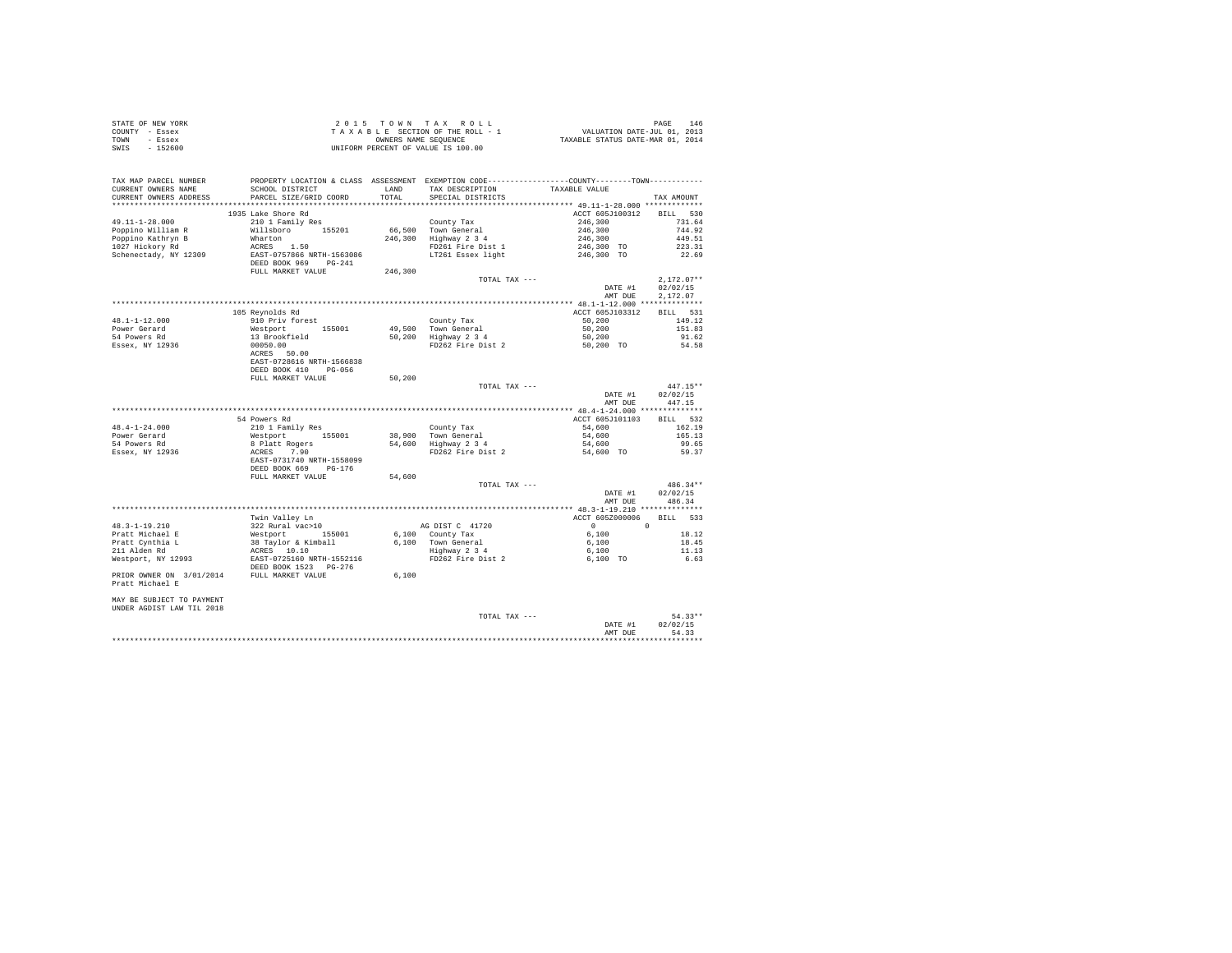| STATE OF NEW YORK | 2015 TOWN TAX ROLL                 | 146<br>PAGE                      |
|-------------------|------------------------------------|----------------------------------|
| COUNTY - Essex    | TAXABLE SECTION OF THE ROLL - 1    | VALUATION DATE-JUL 01, 2013      |
| TOWN<br>- Essex   | OWNERS NAME SEOUENCE               | TAXABLE STATUS DATE-MAR 01, 2014 |
| SWIS<br>$-152600$ | UNIFORM PERCENT OF VALUE IS 100.00 |                                  |
|                   |                                    |                                  |
|                   |                                    |                                  |
|                   |                                    |                                  |

| TAX MAP PARCEL NUMBER<br>CURRENT OWNERS NAME<br>CURRENT OWNERS ADDRESS | PROPERTY LOCATION & CLASS ASSESSMENT EXEMPTION CODE----------------COUNTY-------TOWN----------<br>SCHOOL DISTRICT<br>PARCEL SIZE/GRID COORD | LAND<br>TOTAL | TAX DESCRIPTION<br>SPECIAL DISTRICTS | TAXABLE VALUE   | TAX AMOUNT   |
|------------------------------------------------------------------------|---------------------------------------------------------------------------------------------------------------------------------------------|---------------|--------------------------------------|-----------------|--------------|
|                                                                        |                                                                                                                                             |               |                                      |                 |              |
|                                                                        | 1935 Lake Shore Rd                                                                                                                          |               |                                      | ACCT 605J100312 | BILL 530     |
| $49.11 - 1 - 28.000$                                                   | 210 1 Family Res                                                                                                                            |               | County Tax                           | 246,300         |              |
|                                                                        |                                                                                                                                             |               | 66.500 Town General                  | 246,300         | 731.64       |
| Poppino William R                                                      | Willsboro 155201                                                                                                                            |               |                                      |                 | 744.92       |
| Poppino Kathryn B                                                      | Wharton                                                                                                                                     |               | 246,300 Highway 2 3 4                | 246,300         | 449.51       |
| 1027 Hickory Rd                                                        | ACRES 1.50                                                                                                                                  |               | FD261 Fire Dist 1                    | 246,300 TO      | 223.31       |
| Schenectady, NY 12309                                                  | EAST-0757866 NRTH-1563086                                                                                                                   |               | LT261 Essex light                    | 246,300 TO      | 22.69        |
|                                                                        | DEED BOOK 969 PG-241<br>FULL MARKET VALUE                                                                                                   |               |                                      |                 |              |
|                                                                        |                                                                                                                                             | 246,300       | TOTAL TAX ---                        |                 | $2,172.07**$ |
|                                                                        |                                                                                                                                             |               |                                      | DATE #1         | 02/02/15     |
|                                                                        |                                                                                                                                             |               |                                      | AMT DUE         | 2.172.07     |
|                                                                        |                                                                                                                                             |               |                                      |                 |              |
|                                                                        | 105 Reynolds Rd                                                                                                                             |               |                                      | ACCT 605J103312 | BILL 531     |
| $48.1 - 1 - 12.000$                                                    | 910 Priv forest                                                                                                                             |               | County Tax                           | 50,200          | 149.12       |
| Power Gerard                                                           | Westport 155001                                                                                                                             |               | 49.500 Town General                  | 50,200          | 151.83       |
| 54 Powers Rd                                                           | 13 Brookfield                                                                                                                               |               | 50,200 Highway 2 3 4                 | 50,200          | 91.62        |
| Essex, NY 12936                                                        | 00050.00                                                                                                                                    |               | FD262 Fire Dist 2                    | 50,200 TO       | 54.58        |
|                                                                        | ACRES 50.00                                                                                                                                 |               |                                      |                 |              |
|                                                                        | EAST-0728616 NRTH-1566838                                                                                                                   |               |                                      |                 |              |
|                                                                        | DEED BOOK 410 PG-056                                                                                                                        |               |                                      |                 |              |
|                                                                        | FULL MARKET VALUE                                                                                                                           | 50,200        |                                      |                 |              |
|                                                                        |                                                                                                                                             |               | TOTAL TAX ---                        |                 | $447.15**$   |
|                                                                        |                                                                                                                                             |               |                                      | DATE #1         | 02/02/15     |
|                                                                        |                                                                                                                                             |               |                                      | AMT DUE         | 447.15       |
|                                                                        |                                                                                                                                             |               |                                      |                 |              |
|                                                                        | 54 Powers Rd                                                                                                                                |               |                                      | ACCT 605J101103 | BILL 532     |
| $48.4 - 1 - 24.000$                                                    | 210 1 Family Res                                                                                                                            |               | County Tax                           | 54,600          | 162.19       |
| Power Gerard                                                           | Westport 155001                                                                                                                             |               | 38,900 Town General                  | 54,600          | 165.13       |
| 54 Powers Rd                                                           | 8 Platt Rogers                                                                                                                              |               | 54,600 Highway 2 3 4                 | 54,600          | 99.65        |
| Essex, NY 12936                                                        | ACRES 7.90                                                                                                                                  |               | FD262 Fire Dist 2                    | 54,600 TO       | 59.37        |
|                                                                        | EAST-0731740 NRTH-1558099                                                                                                                   |               |                                      |                 |              |
|                                                                        | DEED BOOK 669 PG-176                                                                                                                        |               |                                      |                 |              |
|                                                                        | FULL MARKET VALUE                                                                                                                           | 54,600        |                                      |                 |              |
|                                                                        |                                                                                                                                             |               | TOTAL TAX ---                        |                 | $486.34**$   |
|                                                                        |                                                                                                                                             |               |                                      | DATE #1         | 02/02/15     |
|                                                                        |                                                                                                                                             |               |                                      | AMT DUE         | 486.34       |
|                                                                        |                                                                                                                                             |               |                                      |                 |              |
|                                                                        | Twin Valley Ln                                                                                                                              |               |                                      | ACCT 605Z000006 | BILL 533     |
| 48.3-1-19.210                                                          | 322 Rural vac>10                                                                                                                            |               | AG DIST C 41720                      |                 |              |
| Pratt Michael E                                                        | Westport 155001                                                                                                                             |               | 6,100 County Tax                     | 6,100           | 18.12        |
| Pratt Cynthia L                                                        | 38 Taylor & Kimball                                                                                                                         |               | 6,100 Town General<br>Highway 2 3 4  | 6,100           | 18.45        |
| 211 Alden Rd                                                           |                                                                                                                                             |               |                                      | 6,100           | 11.13        |
| Westport, NY 12993                                                     | ACRES 10.10<br>EAST-0725160 NRTH-1552116                                                                                                    |               | FD262 Fire Dist 2                    | 6.100 TO        | 6.63         |
|                                                                        | DEED BOOK 1523 PG-276                                                                                                                       |               |                                      |                 |              |
| PRIOR OWNER ON 3/01/2014 FULL MARKET VALUE                             |                                                                                                                                             | 6,100         |                                      |                 |              |
| Pratt Michael E                                                        |                                                                                                                                             |               |                                      |                 |              |
| MAY BE SUBJECT TO PAYMENT                                              |                                                                                                                                             |               |                                      |                 |              |
| UNDER AGDIST LAW TIL 2018                                              |                                                                                                                                             |               |                                      |                 |              |
|                                                                        |                                                                                                                                             |               | TOTAL TAX ---                        |                 | $54.33**$    |
|                                                                        |                                                                                                                                             |               |                                      | DATE #1         | 02/02/15     |
|                                                                        |                                                                                                                                             |               |                                      | AMT DUE         | 54.33        |
|                                                                        |                                                                                                                                             |               |                                      |                 |              |
|                                                                        |                                                                                                                                             |               |                                      |                 |              |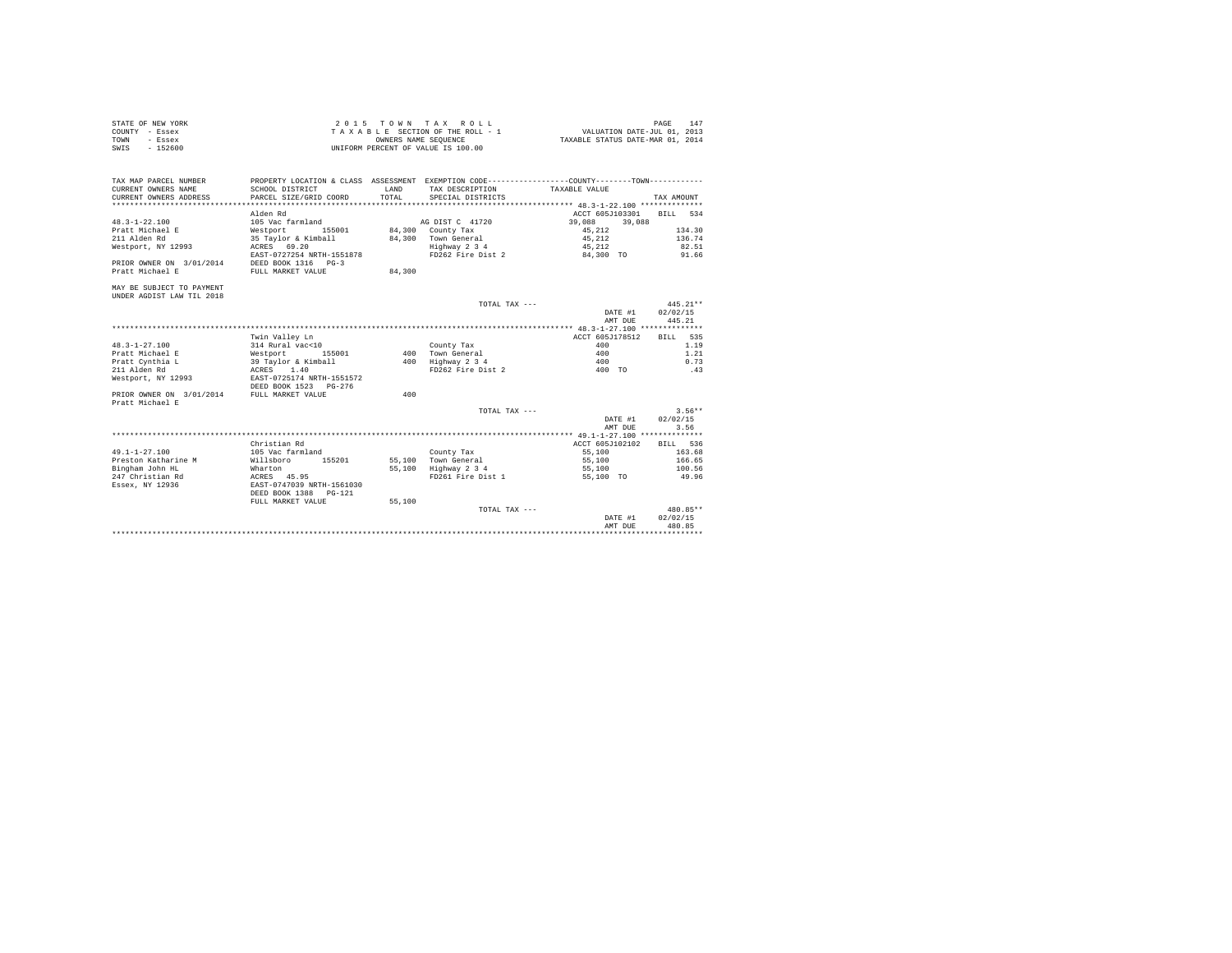| STATE OF NEW YORK | 2015 TOWN TAX ROLL                 | 147<br>PAGE                      |
|-------------------|------------------------------------|----------------------------------|
| COUNTY - Essex    | TAXABLE SECTION OF THE ROLL - 1    | VALUATION DATE-JUL 01, 2013      |
| TOWN<br>- Essex   | OWNERS NAME SEOUENCE               | TAXABLE STATUS DATE-MAR 01, 2014 |
| SWIS<br>$-152600$ | UNIFORM PERCENT OF VALUE IS 100.00 |                                  |

| TAX MAP PARCEL NUMBER     |                            |              | PROPERTY LOCATION & CLASS ASSESSMENT EXEMPTION CODE---------------COUNTY-------TOWN--------- |                                               |              |
|---------------------------|----------------------------|--------------|----------------------------------------------------------------------------------------------|-----------------------------------------------|--------------|
| CURRENT OWNERS NAME       | SCHOOL DISTRICT            | <b>T.AND</b> | TAX DESCRIPTION                                                                              | TAXABLE VALUE                                 |              |
| CURRENT OWNERS ADDRESS    | PARCEL SIZE/GRID COORD     | TOTAL        | SPECIAL DISTRICTS                                                                            |                                               | TAX AMOUNT   |
|                           |                            |              |                                                                                              | **************** 48.3-1-22.100 ************** |              |
|                           | Alden Rd                   |              |                                                                                              | ACCT 605J103301                               | RTLL.<br>534 |
| $48.3 - 1 - 22.100$       | 105 Vac farmland           |              | AG DIST C 41720                                                                              | 39,088<br>39,088                              |              |
| Pratt Michael E           | 155001<br>Westport         |              | 84,300 County Tax                                                                            | 45.212                                        | 134.30       |
| 211 Alden Rd              | 35 Tavlor & Kimball        |              | 84.300 Town General                                                                          | 45,212                                        | 136.74       |
| Westport, NY 12993        | ACRES 69.20                |              | Highway 2 3 4                                                                                | 45.212                                        | 82.51        |
|                           | EAST-0727254 NRTH-1551878  |              | FD262 Fire Dist 2                                                                            | 84,300 TO                                     | 91.66        |
| PRIOR OWNER ON 3/01/2014  | DEED BOOK 1316 PG-3        |              |                                                                                              |                                               |              |
| Pratt Michael E           | FULL MARKET VALUE          | 84,300       |                                                                                              |                                               |              |
| MAY BE SUBJECT TO PAYMENT |                            |              |                                                                                              |                                               |              |
| UNDER AGDIST LAW TIL 2018 |                            |              |                                                                                              |                                               |              |
|                           |                            |              | TOTAL TAX ---                                                                                |                                               | $445.21**$   |
|                           |                            |              |                                                                                              | DATE #1                                       | 02/02/15     |
|                           |                            |              |                                                                                              | AMT DUE                                       | 445.21       |
|                           |                            |              |                                                                                              | ************* 48.3-1-27.100 **************    |              |
|                           | Twin Valley Ln             |              |                                                                                              | ACCT 605J178512                               | 535<br>BILL  |
| $48.3 - 1 - 27.100$       | 314 Rural vac<10           |              | County Tax                                                                                   | 400                                           | 1.19         |
| Pratt Michael E           | Westport<br>155001         |              | 400 Town General                                                                             | 400                                           | 1.21         |
| Pratt Cynthia L           | 39 Taylor & Kimball        | 400          | Highway 2 3 4                                                                                | 400                                           | 0.73         |
| 211 Alden Rd              | 1.40<br>ACRES              |              | FD262 Fire Dist 2                                                                            | 400 TO                                        | .43          |
| Westport, NY 12993        | EAST-0725174 NRTH-1551572  |              |                                                                                              |                                               |              |
|                           | DEED BOOK 1523 PG-276      |              |                                                                                              |                                               |              |
| PRIOR OWNER ON 3/01/2014  | FULL MARKET VALUE          | 400          |                                                                                              |                                               |              |
| Pratt Michael E           |                            |              |                                                                                              |                                               |              |
|                           |                            |              | TOTAL TAX ---                                                                                |                                               | $3.56**$     |
|                           |                            |              |                                                                                              | DATE #1                                       | 02/02/15     |
|                           |                            |              |                                                                                              | AMT DUE                                       | 3.56         |
|                           |                            |              |                                                                                              |                                               |              |
|                           | Christian Rd               |              |                                                                                              | ACCT 605J102102                               | BTLL 536     |
| $49.1 - 1 - 27.100$       | 105 Vac farmland           |              | County Tax                                                                                   | 55,100                                        | 163.68       |
| Preston Katharine M       | Willsboro<br>155201        |              | 55,100 Town General                                                                          | 55,100                                        | 166.65       |
| Bingham John HL           | Wharton                    | 55,100       | Highway 2 3 4                                                                                | 55,100                                        | 100.56       |
| 247 Christian Rd          | ACRES 45.95                |              | FD261 Fire Dist 1                                                                            | 55,100 TO                                     | 49.96        |
| Essex, NY 12936           | EAST-0747039 NRTH-1561030  |              |                                                                                              |                                               |              |
|                           | DEED BOOK 1388<br>$PG-121$ |              |                                                                                              |                                               |              |
|                           | FULL MARKET VALUE          | 55,100       |                                                                                              |                                               |              |
|                           |                            |              | TOTAL TAX ---                                                                                |                                               | $480.85**$   |
|                           |                            |              |                                                                                              | DATE #1                                       | 02/02/15     |
|                           |                            |              |                                                                                              | AMT DUE                                       | 480.85       |
|                           |                            |              |                                                                                              |                                               |              |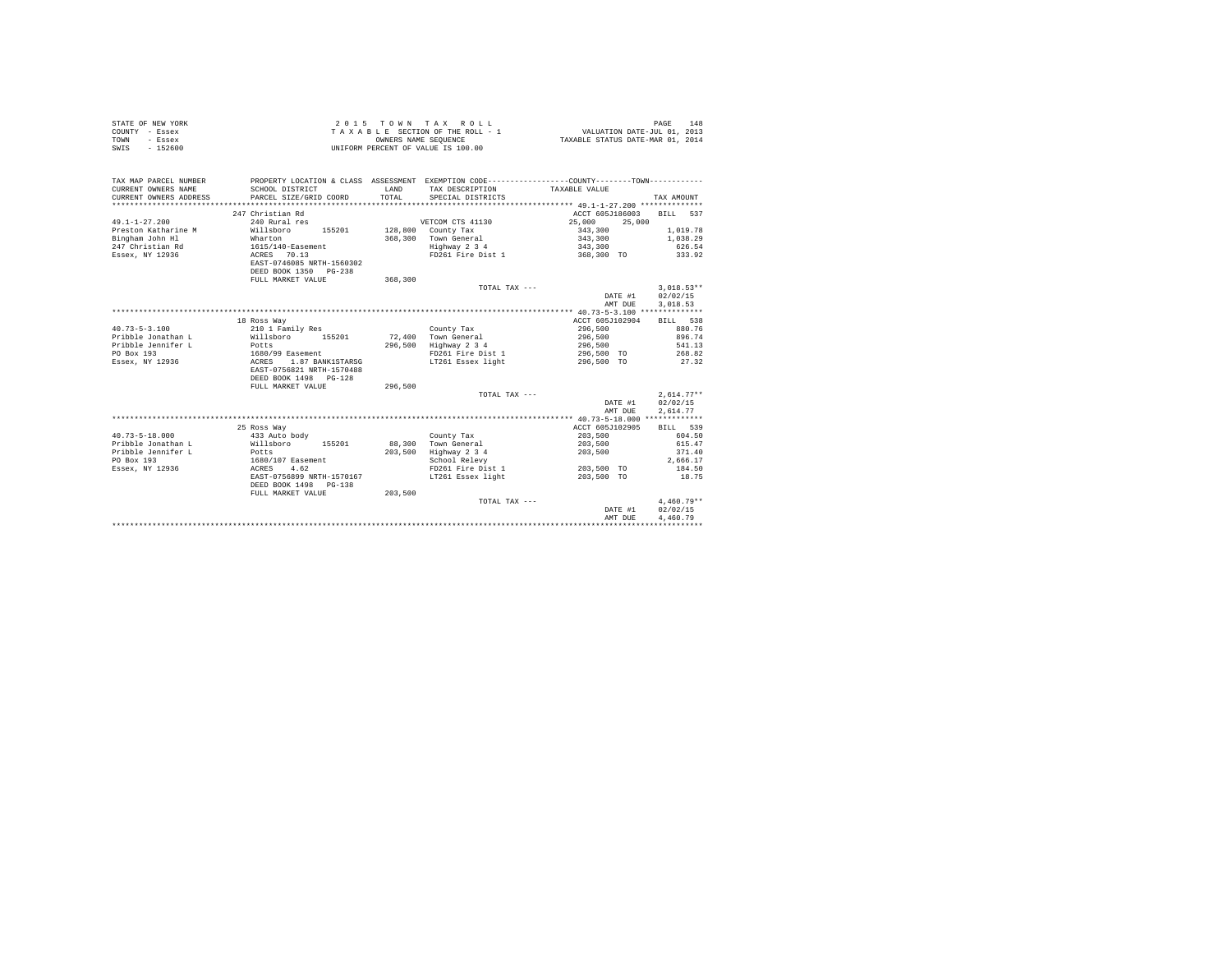| STATE OF NEW YORK<br>COUNTY - Essex<br>- Essex<br>TOWN<br>$-152600$<br>SWIS |                           | OWNERS NAME SEQUENCE | 2015 TOWN TAX ROLL<br>TAXABLE SECTION OF THE ROLL - 1<br>UNIFORM PERCENT OF VALUE IS 100.00  | VALUATION DATE-JUL 01, 2013<br>TAXABLE STATUS DATE-MAR 01, 2014 | 148<br>PAGE                          |
|-----------------------------------------------------------------------------|---------------------------|----------------------|----------------------------------------------------------------------------------------------|-----------------------------------------------------------------|--------------------------------------|
| TAX MAP PARCEL NUMBER                                                       |                           |                      | PROPERTY LOCATION & CLASS ASSESSMENT EXEMPTION CODE---------------COUNTY-------TOWN--------- |                                                                 |                                      |
| CURRENT OWNERS NAME                                                         | SCHOOL DISTRICT           | <b>T.AND</b>         | TAX DESCRIPTION TAXABLE VALUE                                                                |                                                                 |                                      |
| CURRENT OWNERS ADDRESS                                                      | PARCEL SIZE/GRID COORD    | TOTAL                | SPECIAL DISTRICTS                                                                            |                                                                 | TAX AMOUNT                           |
|                                                                             |                           |                      |                                                                                              |                                                                 |                                      |
|                                                                             | 247 Christian Rd          |                      |                                                                                              | ACCT 605J186003                                                 | BILL 537                             |
| $49.1 - 1 - 27.200$                                                         | 240 Rural res             |                      | VETCOM CTS 41130                                                                             | 25,000<br>25,000                                                |                                      |
| Preston Katharine M                                                         | Willsboro 155201          |                      | 128,800 County Tax                                                                           | 343,300                                                         | 1,019.78                             |
| Bingham John Hl                                                             | Wharton                   | 368,300              | Town General                                                                                 | 343,300                                                         | 1,038.29                             |
| 247 Christian Rd                                                            | 1615/140-Easement         |                      | Highway 2 3 4                                                                                | 343,300                                                         | 626.54                               |
| Essex, NY 12936                                                             | ACRES 70.13               |                      | FD261 Fire Dist 1                                                                            | 368,300 TO                                                      | 333.92                               |
|                                                                             | EAST-0746085 NRTH-1560302 |                      |                                                                                              |                                                                 |                                      |
|                                                                             | DEED BOOK 1350 PG-238     |                      |                                                                                              |                                                                 |                                      |
|                                                                             | FULL MARKET VALUE         | 368,300              |                                                                                              |                                                                 |                                      |
|                                                                             |                           |                      | TOTAL TAX ---                                                                                | DATE #1<br>AMT DUE                                              | $3.018.53**$<br>02/02/15<br>3.018.53 |
|                                                                             |                           |                      |                                                                                              |                                                                 |                                      |
|                                                                             | 18 Ross Way               |                      |                                                                                              | ACCT 605J102904                                                 | BILL 538                             |
| $40.73 - 5 - 3.100$                                                         | 210 1 Family Res          |                      | County Tax                                                                                   | 296,500                                                         | 880.76                               |
| Pribble Jonathan L                                                          | Willsboro 155201          |                      | 72.400 Town General                                                                          | 296,500                                                         | 896.74                               |
| Pribble Jennifer L                                                          | Potts                     | 296,500              | Highway 2 3 4                                                                                | 296,500                                                         | 541.13                               |
| PO Box 193                                                                  | 1680/99 Easement          |                      | FD261 Fire Dist 1                                                                            | 296,500 TO                                                      | 268.82                               |
| Essex, NY 12936                                                             | ACRES 1.87 BANK1STARSG    |                      | LT261 Essex light                                                                            | 296,500 TO                                                      | 27.32                                |
|                                                                             | EAST-0756821 NRTH-1570488 |                      |                                                                                              |                                                                 |                                      |
|                                                                             | DEED BOOK 1498 PG-128     |                      |                                                                                              |                                                                 |                                      |
|                                                                             | FULL MARKET VALUE         | 296,500              |                                                                                              |                                                                 |                                      |
|                                                                             |                           |                      | TOTAL TAX ---                                                                                |                                                                 | $2.614.77**$                         |
|                                                                             |                           |                      |                                                                                              | DATE #1                                                         | 02/02/15                             |
|                                                                             |                           |                      |                                                                                              | AMT DUE                                                         | 2.614.77                             |
|                                                                             |                           |                      |                                                                                              |                                                                 |                                      |
|                                                                             | 25 Ross Way               |                      |                                                                                              | ACCT 605J102905                                                 | BILL 539                             |
| $40.73 - 5 - 18.000$                                                        | 433 Auto body             |                      | County Tax                                                                                   | 203,500                                                         | 604.50                               |
| Pribble Jonathan L                                                          | Willsboro<br>155201       | 88,300               | Town General                                                                                 | 203,500                                                         | 615.47                               |
| Pribble Jennifer L                                                          | Potts                     |                      | 203,500 Highway 2 3 4                                                                        | 203,500                                                         | 371.40                               |
| PO Box 193                                                                  | 1680/107 Easement         |                      | School Relevy                                                                                |                                                                 | 2.666.17                             |
| Essex, NY 12936                                                             | ACRES 4.62                |                      | FD261 Fire Dist 1                                                                            | 203,500 TO                                                      | 184.50                               |
|                                                                             | EAST-0756899 NRTH-1570167 |                      | LT261 Essex light                                                                            | 203,500 TO                                                      | 18.75                                |
|                                                                             | DEED BOOK 1498 PG-138     |                      |                                                                                              |                                                                 |                                      |
|                                                                             | FULL MARKET VALUE         | 203,500              |                                                                                              |                                                                 |                                      |
|                                                                             |                           |                      | TOTAL TAX ---                                                                                |                                                                 | $4.460.79**$                         |
|                                                                             |                           |                      |                                                                                              | DATE #1                                                         | 02/02/15                             |
|                                                                             |                           |                      |                                                                                              | AMT DUE                                                         | 4,460.79                             |
|                                                                             |                           |                      |                                                                                              | *********************                                           |                                      |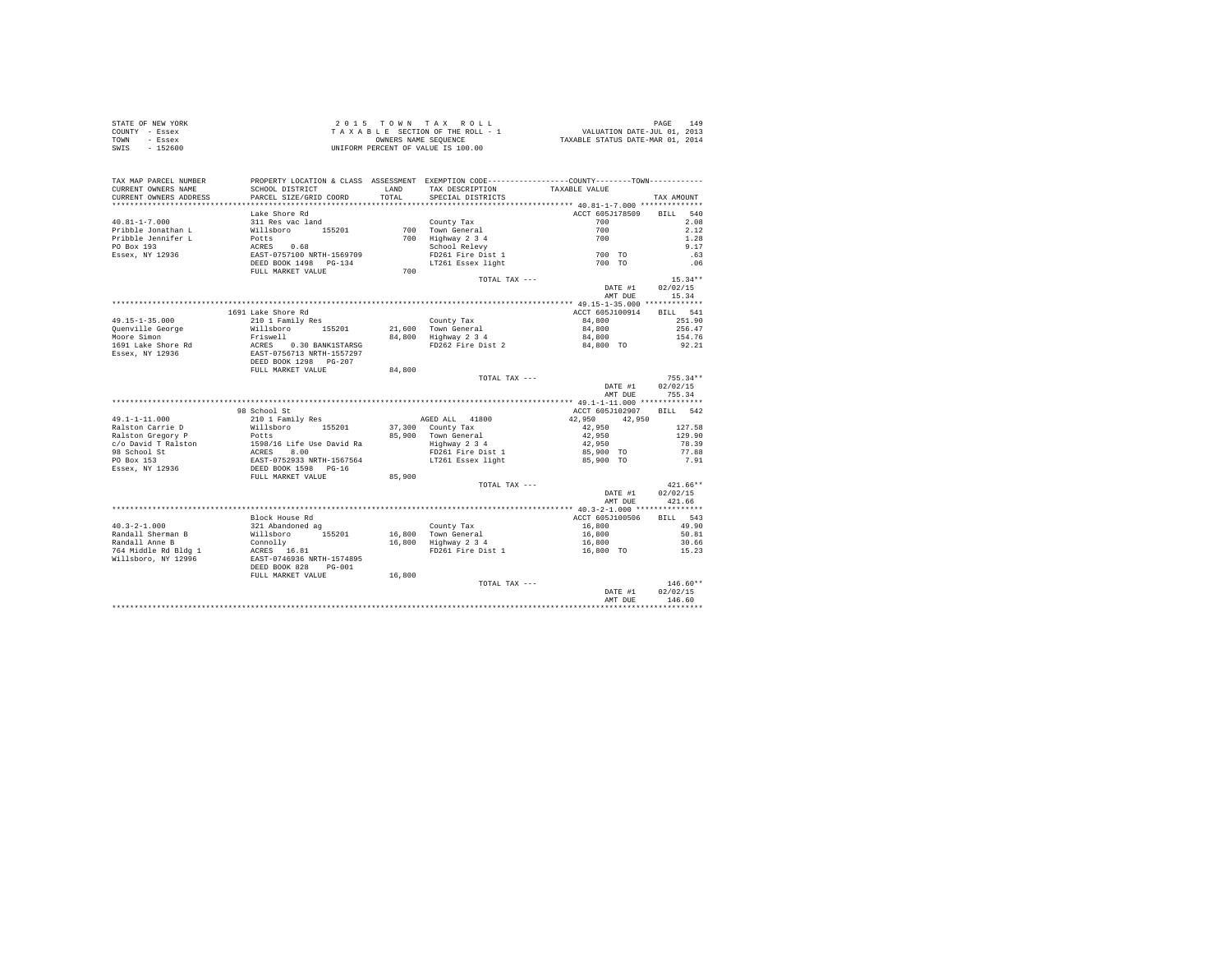|                | STATE OF NEW YORK | 2015 TOWN TAX ROLL                 | 149<br>PAGE                      |
|----------------|-------------------|------------------------------------|----------------------------------|
| COUNTY - Essex |                   | TAXABLE SECTION OF THE ROLL - 1    | VALUATION DATE-JUL 01, 2013      |
| TOWN           | - Essex           | OWNERS NAME SEOUENCE               | TAXABLE STATUS DATE-MAR 01, 2014 |
| SWIS           | $-152600$         | UNIFORM PERCENT OF VALUE IS 100.00 |                                  |

| TAX MAP PARCEL NUMBER<br>CURRENT OWNERS NAME | SCHOOL DISTRICT                                                                                                                                     | LAND   | TAX DESCRIPTION                   | PROPERTY LOCATION & CLASS ASSESSMENT EXEMPTION CODE---------------COUNTY-------TOWN---------<br>TAXABLE VALUE |                |
|----------------------------------------------|-----------------------------------------------------------------------------------------------------------------------------------------------------|--------|-----------------------------------|---------------------------------------------------------------------------------------------------------------|----------------|
| CURRENT OWNERS ADDRESS                       | PARCEL SIZE/GRID COORD                                                                                                                              | TOTAL  | SPECIAL DISTRICTS                 |                                                                                                               | TAX AMOUNT     |
|                                              |                                                                                                                                                     |        |                                   |                                                                                                               |                |
|                                              | Lake Shore Rd                                                                                                                                       |        |                                   | ACCT 605J178509 BILL 540                                                                                      |                |
| $40.81 - 1 - 7.000$                          | 311 Res vac land                                                                                                                                    |        | County Tax                        | 700                                                                                                           | 2.08           |
|                                              |                                                                                                                                                     |        |                                   |                                                                                                               | 2.12           |
|                                              |                                                                                                                                                     |        |                                   |                                                                                                               | 1.28           |
|                                              |                                                                                                                                                     |        |                                   |                                                                                                               | 9.17           |
|                                              |                                                                                                                                                     |        |                                   |                                                                                                               | .63            |
|                                              |                                                                                                                                                     |        | LT261 Essex light                 | 700 TO                                                                                                        | .06            |
|                                              | FULL MARKET VALUE                                                                                                                                   | 700    |                                   |                                                                                                               |                |
|                                              |                                                                                                                                                     |        | TOTAL TAX ---                     |                                                                                                               | $15.34**$      |
|                                              |                                                                                                                                                     |        |                                   | DATE #1                                                                                                       | 02/02/15       |
|                                              |                                                                                                                                                     |        |                                   | AMT DUE                                                                                                       | 15.34          |
|                                              |                                                                                                                                                     |        |                                   |                                                                                                               |                |
|                                              | 1691 Lake Shore Rd                                                                                                                                  |        |                                   | ACCT 605J100914 BILL 541                                                                                      |                |
|                                              | 210 1 Family Res                                                                                                                                    |        |                                   |                                                                                                               | 251.90         |
| $49.15 - 1 - 35.000$                         |                                                                                                                                                     |        | County Tax<br>21,600 Town General | 84,800                                                                                                        |                |
| Quenville George                             | willsboro 155201<br>Friswell 155201                                                                                                                 |        |                                   | 84,800                                                                                                        | 256.47         |
| Moore Simon                                  |                                                                                                                                                     |        | 84,800 Highway 2 3 4              | 84,800                                                                                                        | 154.76         |
| 1691 Lake Shore Rd                           |                                                                                                                                                     |        |                                   | FD262 Fire Dist 2 84,800 TO                                                                                   | 92.21          |
| Essex, NY 12936                              | -<br>ACRES 0.30 BANK1STARSG<br>EAST-0756713 NRTH-1557297<br>DEED BOOK 1298 PG-207                                                                   |        |                                   |                                                                                                               |                |
|                                              |                                                                                                                                                     |        |                                   |                                                                                                               |                |
|                                              | FULL MARKET VALUE                                                                                                                                   | 84,800 |                                   |                                                                                                               |                |
|                                              |                                                                                                                                                     |        | TOTAL TAX ---                     |                                                                                                               | $755.34**$     |
|                                              |                                                                                                                                                     |        |                                   | DATE #1 0<br>AMT DUE                                                                                          | 02/02/15       |
|                                              |                                                                                                                                                     |        |                                   |                                                                                                               | 755.34         |
|                                              |                                                                                                                                                     |        |                                   |                                                                                                               |                |
|                                              | 98 School St                                                                                                                                        |        |                                   | ACCT 605J102907 BILL 542                                                                                      |                |
| 49.1-1-11.000                                | 210 1 Family Res                                                                                                                                    |        | AGED ALL 41800                    | 42,950 42,950                                                                                                 |                |
| Ralston Carrie D                             |                                                                                                                                                     |        | 37,300 County Tax                 |                                                                                                               | 127.58         |
| Ralston Gregory P                            | % Virtually Response 155201<br>Potts<br>1598/16 Life Use David Ra<br>ACRES 8.00<br>EXST-0752933 NRTH-1567564<br>DERD BOOK 1598<br>POTLY MARYT VALUE |        | 85.900 Town General               | $42,950$<br>$42,950$                                                                                          | 129.90         |
| c/o David T Ralston                          |                                                                                                                                                     |        | Highway 2 3 4                     | 42,950                                                                                                        | 78.39          |
| 98 School St                                 |                                                                                                                                                     |        | FD261 Fire Dist 1                 | 85,900 TO                                                                                                     | 77.88          |
| PO Box 153                                   |                                                                                                                                                     |        | LT261 Essex light                 | 85,900 TO                                                                                                     | 7.91           |
| Essex, NY 12936                              |                                                                                                                                                     |        |                                   |                                                                                                               |                |
|                                              | FULL MARKET VALUE                                                                                                                                   | 85,900 |                                   |                                                                                                               |                |
|                                              |                                                                                                                                                     |        | TOTAL TAX ---                     |                                                                                                               | $421.66**$     |
|                                              |                                                                                                                                                     |        |                                   | DATE #1                                                                                                       | 02/02/15       |
|                                              |                                                                                                                                                     |        |                                   |                                                                                                               | AMT DUE 421.66 |
|                                              |                                                                                                                                                     |        |                                   |                                                                                                               |                |
|                                              |                                                                                                                                                     |        |                                   |                                                                                                               |                |
|                                              | Block House Rd                                                                                                                                      |        |                                   | ACCT 605J100506 BILL 543                                                                                      |                |
|                                              |                                                                                                                                                     |        | County Tax<br>16,800 Town General | 16,800<br>16,800                                                                                              | 49.90          |
|                                              |                                                                                                                                                     |        |                                   |                                                                                                               | 50.81          |
|                                              |                                                                                                                                                     |        | 16,800 Highway 2 3 4              | 16,800                                                                                                        | 30.66          |
|                                              |                                                                                                                                                     |        |                                   | FD261 Fire Dist 1 16,800 TO                                                                                   | 15.23          |
|                                              |                                                                                                                                                     |        |                                   |                                                                                                               |                |
|                                              | DEED BOOK 828 PG-001                                                                                                                                |        |                                   |                                                                                                               |                |
|                                              | FULL MARKET VALUE                                                                                                                                   | 16,800 |                                   |                                                                                                               |                |
|                                              |                                                                                                                                                     |        | TOTAL TAX ---                     |                                                                                                               | $146.60**$     |
|                                              |                                                                                                                                                     |        |                                   | DATE #1                                                                                                       | 02/02/15       |
|                                              |                                                                                                                                                     |        |                                   | AMT DUE                                                                                                       | 146.60         |
|                                              |                                                                                                                                                     |        |                                   | ********************************                                                                              |                |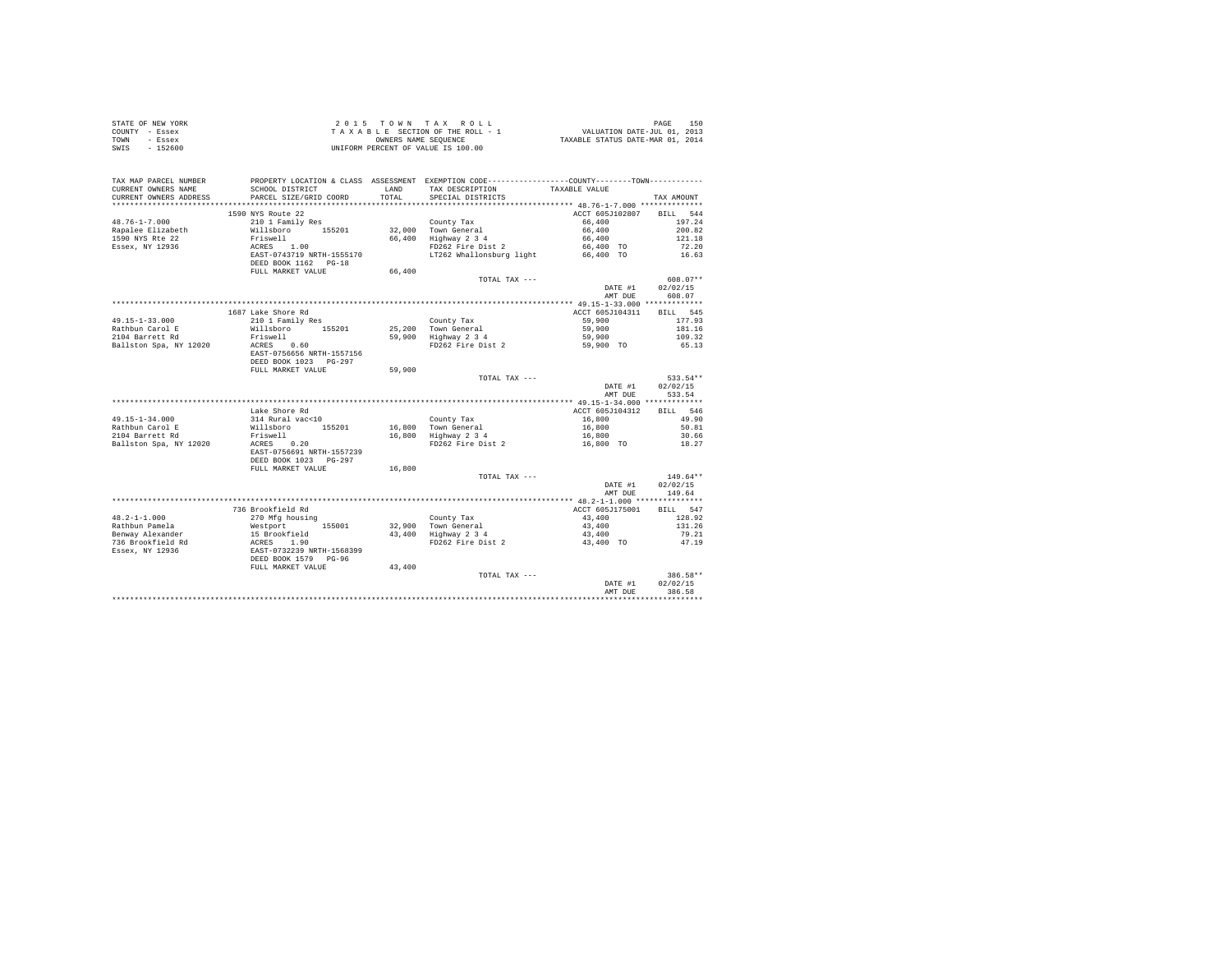| COUNTY - Essex<br>TOWN<br>- Essex<br>SWIS - 152600                     | T A X A B L E SECTION OF THE ROLL - 1<br>OWNERS NAME SEQUENCE<br>UNIFORM PERCENT OF VALUE IS 100.00 |               |                                                                                                                                                       |                                                 |                        |
|------------------------------------------------------------------------|-----------------------------------------------------------------------------------------------------|---------------|-------------------------------------------------------------------------------------------------------------------------------------------------------|-------------------------------------------------|------------------------|
| TAX MAP PARCEL NUMBER<br>CURRENT OWNERS NAME<br>CURRENT OWNERS ADDRESS | SCHOOL DISTRICT<br>PARCEL SIZE/GRID COORD                                                           | LAND<br>TOTAL | PROPERTY LOCATION & CLASS ASSESSMENT EXEMPTION CODE----------------COUNTY--------TOWN----------<br>TAX DESCRIPTION TAXABLE VALUE<br>SPECIAL DISTRICTS |                                                 | TAX AMOUNT             |
|                                                                        |                                                                                                     |               |                                                                                                                                                       |                                                 |                        |
|                                                                        | 1590 NYS Route 22                                                                                   |               |                                                                                                                                                       | ACCT 605J102807                                 | BILL 544               |
| $48.76 - 1 - 7.000$                                                    | 1550 N15 Route 22<br>210 1 Family Res                                                               |               | County Tax                                                                                                                                            | 66,400                                          | 197.24                 |
| Rapalee Elizabeth                                                      | Willsboro 155201                                                                                    |               |                                                                                                                                                       | 66,400                                          | 200.82                 |
| 1590 NYS Rte 22                                                        |                                                                                                     |               |                                                                                                                                                       | 66,400                                          | 121.18                 |
| Essex, NY 12936                                                        |                                                                                                     |               | 32,000 Town General<br>66,400 Highway 2 3 4<br>FD262 Fire Dist 2                                                                                      | 66,400 TO                                       | 72.20                  |
|                                                                        | Friswell<br>ACRES 1.00<br>EAST-0743719 NRTH-1555170                                                 |               | LT262 Whallonsburg light                                                                                                                              | 66,400 TO                                       | 16.63                  |
|                                                                        | DEED BOOK 1162 PG-18                                                                                |               |                                                                                                                                                       |                                                 |                        |
|                                                                        | FULL MARKET VALUE                                                                                   | 66,400        |                                                                                                                                                       |                                                 |                        |
|                                                                        |                                                                                                     |               | TOTAL TAX ---                                                                                                                                         | DATE #1                                         | $608.07**$<br>02/02/15 |
|                                                                        |                                                                                                     |               |                                                                                                                                                       | AMT DUE                                         | 608.07                 |
|                                                                        |                                                                                                     |               |                                                                                                                                                       |                                                 |                        |
|                                                                        | 1687 Lake Shore Rd                                                                                  |               |                                                                                                                                                       | ACCT 605J104311                                 | BILL 545               |
| $49.15 - 1 - 33.000$                                                   | 210 1 Family Res                                                                                    |               |                                                                                                                                                       | 59,900                                          | 177.93                 |
| Rathbun Carol E                                                        | Willsboro 155201                                                                                    |               |                                                                                                                                                       | 59,900                                          | 181.16                 |
| 2104 Barrett Rd                                                        | Friswell<br>ACRES 0.60                                                                              |               | County Tax<br>25,200 Town General<br>59,900 Highway 2 3 4                                                                                             | 59,900                                          | 109.32                 |
| Ballston Spa, NY 12020                                                 |                                                                                                     |               | FD262 Fire Dist 2                                                                                                                                     | 59,900 TO                                       | 65.13                  |
|                                                                        | EAST-0756656 NRTH-1557156                                                                           |               |                                                                                                                                                       |                                                 |                        |
|                                                                        | DEED BOOK 1023 PG-297<br>FULL MARKET VALUE                                                          | 59,900        |                                                                                                                                                       |                                                 |                        |
|                                                                        |                                                                                                     |               | TOTAL TAX ---                                                                                                                                         |                                                 | 533.54**               |
|                                                                        |                                                                                                     |               |                                                                                                                                                       | DATE #1                                         | 02/02/15               |
|                                                                        |                                                                                                     |               |                                                                                                                                                       | AMT DUE                                         | 533.54                 |
|                                                                        |                                                                                                     |               |                                                                                                                                                       |                                                 |                        |
|                                                                        | Lake Shore Rd                                                                                       |               |                                                                                                                                                       | ACCT 605J104312                                 | BILL 546               |
| $49.15 - 1 - 34.000$                                                   | 314 Rural vac<10<br>Willsboro 155201                                                                |               | County Tax<br>16,800 Town General<br>16,800 Highway 2 3 4                                                                                             |                                                 | 49.90                  |
| Rathbun Carol E<br>2104 Barrett Rd                                     |                                                                                                     |               |                                                                                                                                                       |                                                 | 50.81                  |
|                                                                        | Friswell                                                                                            |               |                                                                                                                                                       | $16,800$<br>$16,800$<br>$16,800$<br>$16,800$ TO | 30.66                  |
| Ballston Spa, NY 12020                                                 | ACRES 0.20<br>EAST-0756691 NRTH-1557239                                                             |               | FD262 Fire Dist 2                                                                                                                                     |                                                 | 18.27                  |
|                                                                        | DEED BOOK 1023 PG-297                                                                               |               |                                                                                                                                                       |                                                 |                        |
|                                                                        | FULL MARKET VALUE                                                                                   | 16,800        |                                                                                                                                                       |                                                 |                        |
|                                                                        |                                                                                                     |               | TOTAL TAX ---                                                                                                                                         |                                                 | $149.64**$             |
|                                                                        |                                                                                                     |               |                                                                                                                                                       | DATE #1                                         | 02/02/15               |
|                                                                        |                                                                                                     |               |                                                                                                                                                       | AMT DUE                                         | 149.64                 |
|                                                                        |                                                                                                     |               |                                                                                                                                                       |                                                 |                        |
|                                                                        | 736 Brookfield Rd                                                                                   |               |                                                                                                                                                       | ACCT 605J175001                                 | BILL 547               |
| $48.2 - 1 - 1.000$                                                     | 270 Mfg housing                                                                                     |               | County Tax<br>32,900 Town General<br>43,400 Highway 2 3<br>FD262 Fire Dist 2                                                                          | 43,400                                          | 128.92                 |
|                                                                        |                                                                                                     |               |                                                                                                                                                       | 43,400<br>43,400                                | 131.26<br>79.21        |
|                                                                        |                                                                                                     |               |                                                                                                                                                       | 43,400 TO                                       | 47.19                  |
|                                                                        |                                                                                                     |               |                                                                                                                                                       |                                                 |                        |
|                                                                        |                                                                                                     |               |                                                                                                                                                       |                                                 |                        |
|                                                                        | FULL MARKET VALUE                                                                                   | 43,400        |                                                                                                                                                       |                                                 |                        |
|                                                                        |                                                                                                     |               | TOTAL TAX ---                                                                                                                                         |                                                 | 386.58**               |
|                                                                        |                                                                                                     |               |                                                                                                                                                       | DATE #1                                         | 02/02/15               |
|                                                                        |                                                                                                     |               |                                                                                                                                                       | AMT DUE                                         | 386.58                 |
|                                                                        |                                                                                                     |               |                                                                                                                                                       |                                                 |                        |

STATE OF NEW YORK **2015** TOWN TAX ROLL **DATE OF NEW YORK** 150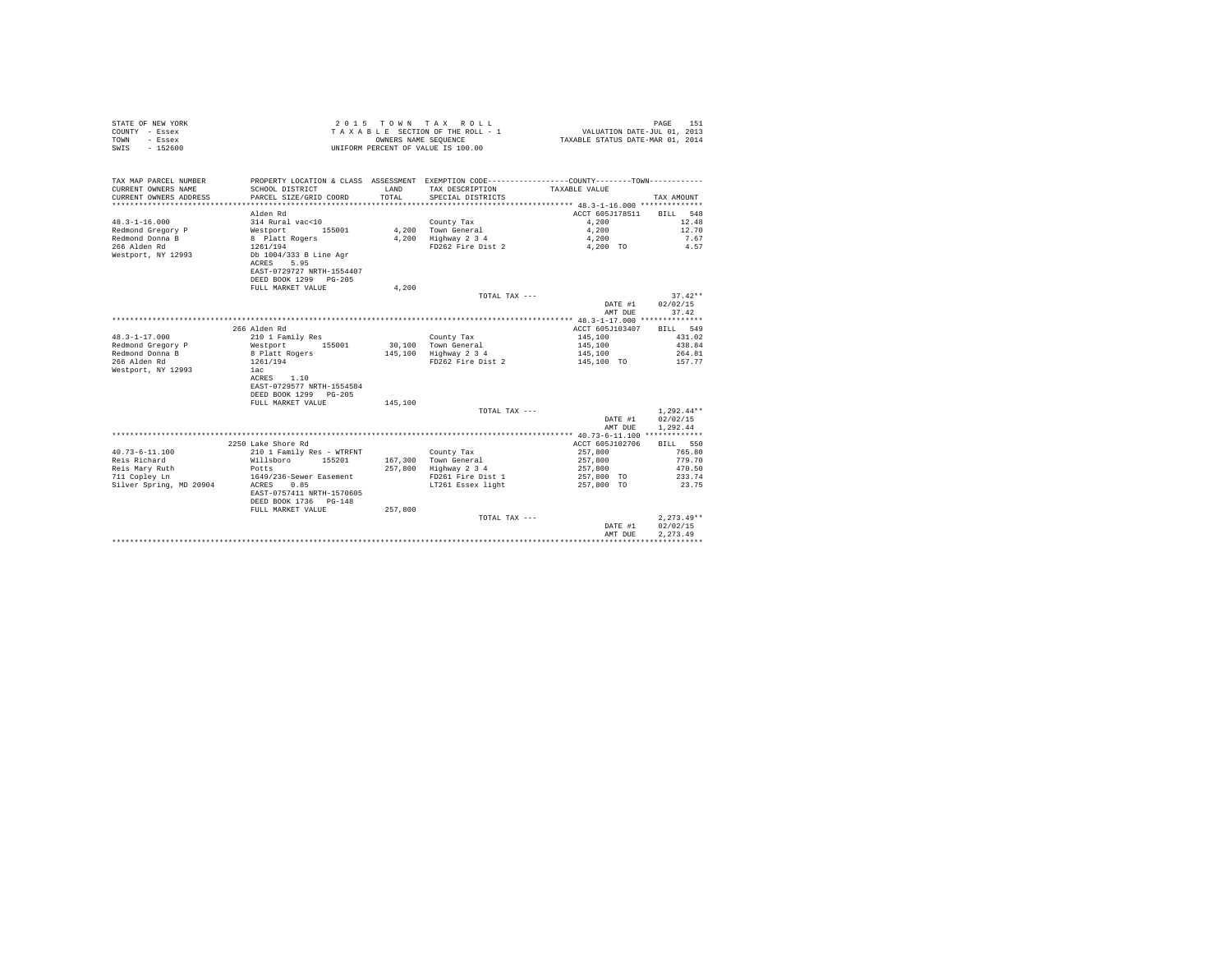| STATE OF NEW YORK | $2.0.15$ TOWN TAX ROLL             | 151<br>PAGE                      |
|-------------------|------------------------------------|----------------------------------|
| COUNTY - Essex    | TAXABLE SECTION OF THE ROLL - 1    | VALUATION DATE-JUL 01, 2013      |
| TOWN<br>$-$ Essex | OWNERS NAME SEOUENCE               | TAXABLE STATUS DATE-MAR 01, 2014 |
| SWIS<br>$-152600$ | UNIFORM PERCENT OF VALUE IS 100.00 |                                  |

| TAX MAP PARCEL NUMBER<br>CURRENT OWNERS NAME<br>CURRENT OWNERS ADDRESS | SCHOOL DISTRICT<br>PARCEL SIZE/GRID COORD                                                     | <b>T.AND</b><br>TOTAL | PROPERTY LOCATION & CLASS ASSESSMENT EXEMPTION CODE----------------COUNTY-------TOWN----------<br>TAX DESCRIPTION<br>SPECIAL DISTRICTS | TAXABLE VALUE            | TAX AMOUNT   |
|------------------------------------------------------------------------|-----------------------------------------------------------------------------------------------|-----------------------|----------------------------------------------------------------------------------------------------------------------------------------|--------------------------|--------------|
|                                                                        |                                                                                               |                       |                                                                                                                                        |                          |              |
|                                                                        | Alden Rd                                                                                      |                       |                                                                                                                                        | ACCT 605J178511 BILL 548 |              |
| $48.3 - 1 - 16.000$                                                    | 314 Rural vac<10                                                                              |                       | County Tax                                                                                                                             | 4,200                    | 12.48        |
| Redmond Gregory P                                                      | Westport<br>155001                                                                            |                       | 4,200 Town General                                                                                                                     | 4,200                    | 12.70        |
| Redmond Donna B                                                        | 8 Platt Rogers                                                                                |                       | 4,200 Highway 2 3 4                                                                                                                    | 4,200                    | 7.67         |
| 266 Alden Rd                                                           | 1261/194                                                                                      |                       | FD262 Fire Dist 2                                                                                                                      | 4,200 TO                 | 4.57         |
| Westport, NY 12993                                                     | Db 1004/333 B Line Agr<br>ACRES<br>5.95<br>EAST-0729727 NRTH-1554407<br>DEED BOOK 1299 PG-205 |                       |                                                                                                                                        |                          |              |
|                                                                        | FULL MARKET VALUE                                                                             | 4.200                 |                                                                                                                                        |                          |              |
|                                                                        |                                                                                               |                       | TOTAL TAX ---                                                                                                                          |                          | $37.42**$    |
|                                                                        |                                                                                               |                       |                                                                                                                                        | DATE #1                  | 02/02/15     |
|                                                                        |                                                                                               |                       |                                                                                                                                        | AMT DUE                  | 37.42        |
|                                                                        |                                                                                               |                       |                                                                                                                                        |                          |              |
|                                                                        | 266 Alden Rd                                                                                  |                       |                                                                                                                                        | ACCT 605J103407          | BILL 549     |
| $48.3 - 1 - 17.000$                                                    | 210 1 Family Res                                                                              |                       | County Tax                                                                                                                             | 145,100                  | 431.02       |
| Redmond Gregory P                                                      | 155001<br>Westport                                                                            |                       | 30.100 Town General                                                                                                                    | 145,100                  | 438.84       |
| Redmond Donna B                                                        | 8 Platt Rogers                                                                                |                       | 145,100 Highway 2 3 4                                                                                                                  | 145,100                  | 264.81       |
| 266 Alden Rd                                                           | 1261/194                                                                                      |                       | FD262 Fire Dist 2                                                                                                                      | 145,100 TO               | 157.77       |
| Westport, NY 12993                                                     | lac                                                                                           |                       |                                                                                                                                        |                          |              |
|                                                                        | ACRES 1.10                                                                                    |                       |                                                                                                                                        |                          |              |
|                                                                        | EAST-0729577 NRTH-1554584                                                                     |                       |                                                                                                                                        |                          |              |
|                                                                        | DEED BOOK 1299 PG-205                                                                         |                       |                                                                                                                                        |                          |              |
|                                                                        | FULL MARKET VALUE                                                                             | 145,100               |                                                                                                                                        |                          |              |
|                                                                        |                                                                                               |                       | TOTAL TAX ---                                                                                                                          |                          | $1.292.44**$ |
|                                                                        |                                                                                               |                       |                                                                                                                                        | DATE #1                  | 02/02/15     |
|                                                                        |                                                                                               |                       |                                                                                                                                        | AMT DUE                  | 1,292.44     |
|                                                                        |                                                                                               |                       |                                                                                                                                        |                          |              |
|                                                                        | 2250 Lake Shore Rd                                                                            |                       |                                                                                                                                        | ACCT 605J102706          | BILL 550     |
| $40.73 - 6 - 11.100$                                                   | 210 1 Family Res - WTRFNT                                                                     |                       | County Tax                                                                                                                             | 257,800                  | 765.80       |
| Reis Richard                                                           | Willsboro 155201                                                                              |                       | 167,300 Town General                                                                                                                   | 257,800                  | 779.70       |
| Reis Mary Ruth                                                         | Potts                                                                                         | 257.800               | Highway 2 3 4                                                                                                                          | 257,800                  | 470.50       |
| 711 Copley Ln                                                          | 1649/236-Sewer Easement                                                                       |                       | FD261 Fire Dist 1                                                                                                                      | 257,800 TO               | 233.74       |
| Silver Spring, MD 20904                                                | 0.85<br>ACRES                                                                                 |                       | LT261 Essex light                                                                                                                      | 257,800 TO               | 23.75        |
|                                                                        | EAST-0757411 NRTH-1570605                                                                     |                       |                                                                                                                                        |                          |              |
|                                                                        | DEED BOOK 1736 PG-148                                                                         |                       |                                                                                                                                        |                          |              |
|                                                                        | FULL MARKET VALUE                                                                             | 257,800               |                                                                                                                                        |                          |              |
|                                                                        |                                                                                               |                       | TOTAL TAX ---                                                                                                                          |                          | $2.273.49**$ |
|                                                                        |                                                                                               |                       |                                                                                                                                        | DATE #1                  | 02/02/15     |
|                                                                        |                                                                                               |                       |                                                                                                                                        | AMT DUE                  | 2.273.49     |
|                                                                        |                                                                                               |                       |                                                                                                                                        |                          |              |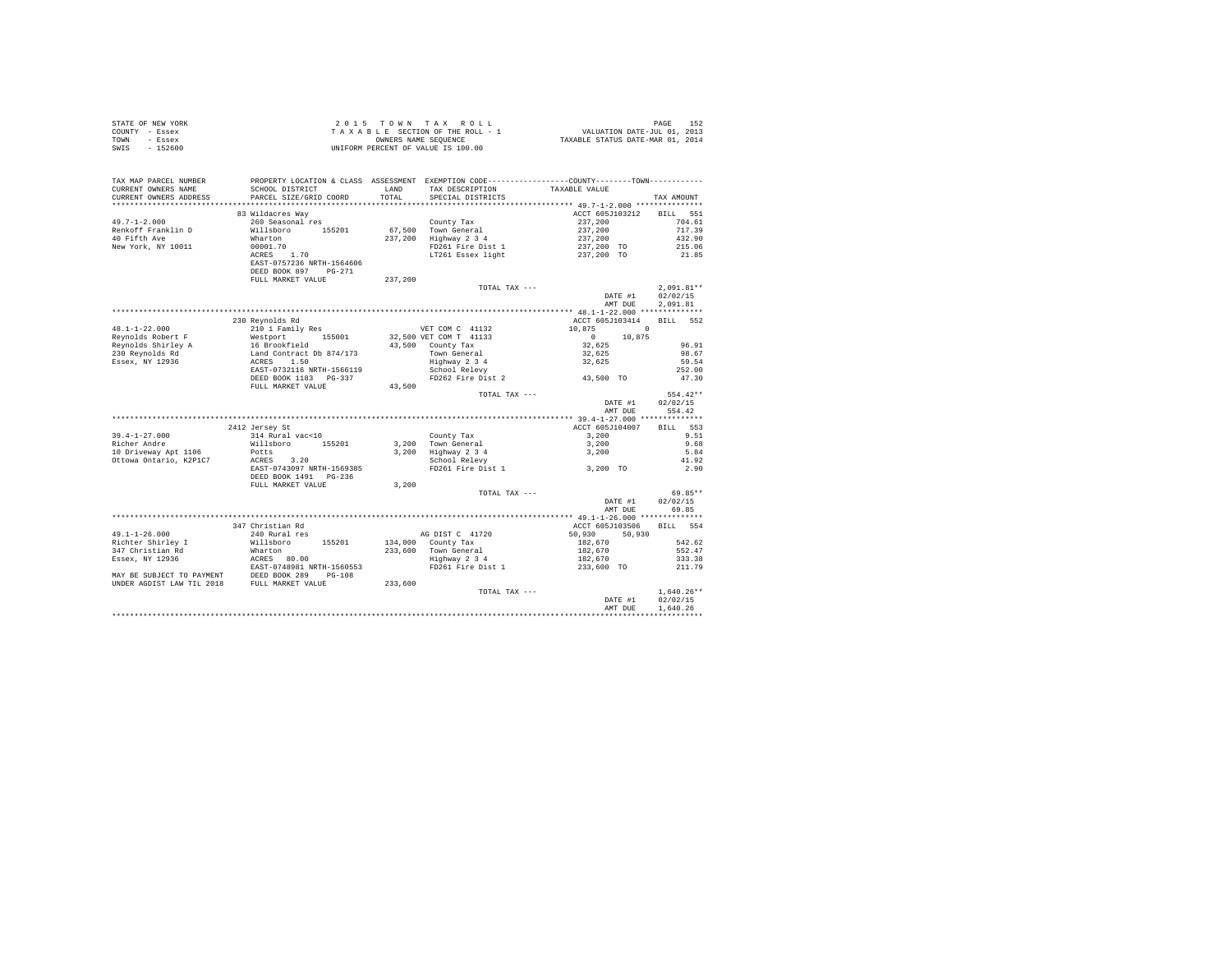|                | STATE OF NEW YORK | 2015 TOWN TAX ROLL                 |  |  |                      |  |  |  |                                  | PAGE                        | 152 |
|----------------|-------------------|------------------------------------|--|--|----------------------|--|--|--|----------------------------------|-----------------------------|-----|
| COUNTY - Essex |                   | TAXABLE SECTION OF THE ROLL - 1    |  |  |                      |  |  |  |                                  | VALUATION DATE-JUL 01, 2013 |     |
| TOWN           | - Essex           |                                    |  |  | OWNERS NAME SEOUENCE |  |  |  | TAXABLE STATUS DATE-MAR 01, 2014 |                             |     |
| SWIS           | $-152600$         | UNIFORM PERCENT OF VALUE IS 100.00 |  |  |                      |  |  |  |                                  |                             |     |

| TAX MAP PARCEL NUMBER<br>CURRENT OWNERS NAME<br>CURRENT OWNERS ADDRESS | SCHOOL DISTRICT<br>PARCEL SIZE/GRID COORD                                                                                      | LAND<br>TOTAL. | TAX DESCRIPTION<br>SPECIAL DISTRICTS                                | PROPERTY LOCATION & CLASS ASSESSMENT EXEMPTION CODE----------------COUNTY-------TOWN----------<br>TAXABLE VALUE | TAX AMOUNT   |
|------------------------------------------------------------------------|--------------------------------------------------------------------------------------------------------------------------------|----------------|---------------------------------------------------------------------|-----------------------------------------------------------------------------------------------------------------|--------------|
| **********************                                                 |                                                                                                                                |                |                                                                     |                                                                                                                 |              |
|                                                                        | 83 Wildacres Way                                                                                                               |                |                                                                     | ACCT 605J103212 BILL 551                                                                                        |              |
| $49.7 - 1 - 2.000$                                                     | 260 Seasonal res                                                                                                               |                | County Tax                                                          | 237,200<br>237,200                                                                                              | 704.61       |
| Renkoff Franklin D                                                     | Willsboro 155201                                                                                                               |                | 67.500 Town General                                                 |                                                                                                                 | 717.39       |
| 40 Fifth Ave                                                           | Wharton                                                                                                                        |                | 237,200 Highway 2 3 4                                               |                                                                                                                 | 432.90       |
| New York, NY 10011                                                     | 00001.70                                                                                                                       |                | $Hignway = 5$<br>FD261 Fire Dist 1                                  |                                                                                                                 | 215.06       |
|                                                                        | ACRES 1.70                                                                                                                     |                | LT261 Essex light                                                   | 237,200<br>237,200 TO<br>237,200 TO                                                                             | 21.85        |
|                                                                        | EAST-0757236 NRTH-1564606                                                                                                      |                |                                                                     |                                                                                                                 |              |
|                                                                        | DEED BOOK 897 PG-271                                                                                                           |                |                                                                     |                                                                                                                 |              |
|                                                                        | FULL MARKET VALUE                                                                                                              | 237,200        |                                                                     |                                                                                                                 |              |
|                                                                        |                                                                                                                                |                | TOTAL TAX ---                                                       |                                                                                                                 | $2.091.81**$ |
|                                                                        |                                                                                                                                |                |                                                                     | DATE #1                                                                                                         | 02/02/15     |
|                                                                        |                                                                                                                                |                |                                                                     | AMT DUE                                                                                                         | 2,091.81     |
|                                                                        |                                                                                                                                |                |                                                                     |                                                                                                                 |              |
|                                                                        | 230 Revnolds Rd                                                                                                                |                |                                                                     | ACCT 605J103414                                                                                                 | BILL 552     |
| $48.1 - 1 - 22.000$                                                    | 210 1 Family Res                                                                                                               |                | VET COM C 41132                                                     | 10,875<br>$\sim$ 0                                                                                              |              |
| Revnolds Robert F                                                      | % = 10 1 Faulty Res<br>Westport 155001<br>16 Brookfield<br>Land Contract Db 874/173<br>ACRES 1.50<br>EAST-0732116 NRTH-1566119 |                | 32,500 VET COM T 41133                                              | $\begin{array}{c} 0 \\ 32,625 \end{array}$<br>10,875                                                            |              |
| Reynolds Shirley A<br>230 Reynolds Rd                                  |                                                                                                                                |                | 43,500 County Tax<br>Town General<br>Highway 2 3 4<br>School Relevy |                                                                                                                 | 96.91        |
|                                                                        |                                                                                                                                |                |                                                                     | 32,625                                                                                                          | 98.67        |
| Essex, NY 12936                                                        |                                                                                                                                |                |                                                                     | 32,625                                                                                                          | 59.54        |
|                                                                        |                                                                                                                                |                |                                                                     |                                                                                                                 | 252.00       |
|                                                                        | DEED BOOK 1183    PG-337                                                                                                       |                |                                                                     | FD262 Fire Dist 2 43,500 TO                                                                                     | 47.30        |
|                                                                        | FULL MARKET VALUE                                                                                                              | 43,500         |                                                                     |                                                                                                                 |              |
|                                                                        |                                                                                                                                |                | TOTAL TAX ---                                                       |                                                                                                                 | $554.42**$   |
|                                                                        |                                                                                                                                |                |                                                                     | DATE #1                                                                                                         | 02/02/15     |
|                                                                        |                                                                                                                                |                |                                                                     | AMT DUE                                                                                                         | 554.42       |
|                                                                        |                                                                                                                                |                |                                                                     |                                                                                                                 |              |
|                                                                        | 2412 Jersey St                                                                                                                 |                |                                                                     | ACCT 605J104007                                                                                                 | 553<br>BTLL. |
| $39.4 - 1 - 27.000$                                                    | 314 Rural vac<10                                                                                                               |                | County Tax                                                          | 3,200                                                                                                           | 9.51         |
| Richer Andre                                                           | Willsboro 155201<br>Potts                                                                                                      |                | $3,200$ Town General                                                | 3,200                                                                                                           | 9.68         |
| 10 Driveway Apt 1106                                                   |                                                                                                                                |                |                                                                     | 3,200 Highway 2 3 4 3,200<br>School Relevy<br>FD261 Fire Dist 1 3,200 TO                                        | 5.84         |
| Ottowa Ontario, K2P1C7                                                 | ACRES 3.20                                                                                                                     |                |                                                                     |                                                                                                                 | 41.92        |
|                                                                        | EAST-0743097 NRTH-1569385                                                                                                      |                |                                                                     |                                                                                                                 | 2.90         |
|                                                                        | DEED BOOK 1491    PG-236                                                                                                       |                |                                                                     |                                                                                                                 |              |
|                                                                        | FULL MARKET VALUE                                                                                                              | 3.200          | TOTAL TAX ---                                                       |                                                                                                                 | 69.85**      |
|                                                                        |                                                                                                                                |                |                                                                     | DATE #1                                                                                                         | 02/02/15     |
|                                                                        |                                                                                                                                |                |                                                                     | AMT DUE                                                                                                         | 69.85        |
|                                                                        |                                                                                                                                |                |                                                                     |                                                                                                                 |              |
|                                                                        | 347 Christian Rd                                                                                                               |                |                                                                     | ACCT 605-7103506 BILL 554                                                                                       |              |
| $49.1 - 1 - 26.000$                                                    | 240 Rural res                                                                                                                  |                | AG DIST C 41720                                                     | 50,930 50,930                                                                                                   |              |
| Richter Shirley I                                                      | Willsboro 155201                                                                                                               |                | 134,000 County Tax                                                  | 182,670                                                                                                         | 542.62       |
| 347 Christian Rd                                                       |                                                                                                                                |                |                                                                     |                                                                                                                 | 552.47       |
| Essex, NY 12936                                                        |                                                                                                                                |                | 233,600 Town General<br>Highway 2 3 4                               | 182,670<br>182,670                                                                                              | 333.38       |
|                                                                        | Wharton<br>ACRES 80.00<br>EAST-0748981 NRTH-1560553                                                                            |                | FD261 Fire Dist 1                                                   | 233,600 TO                                                                                                      | 211.79       |
|                                                                        |                                                                                                                                |                |                                                                     |                                                                                                                 |              |
|                                                                        | MAY BE SUBJECT TO PAYMENT DEED BOOK 289 PG-108<br>UNDER AGDIST LAW TIL 2018 FULL MARKET VALUE                                  | 233,600        |                                                                     |                                                                                                                 |              |
|                                                                        |                                                                                                                                |                | TOTAL TAX ---                                                       |                                                                                                                 | $1.640.26**$ |
|                                                                        |                                                                                                                                |                |                                                                     | DATE #1                                                                                                         | 02/02/15     |
|                                                                        |                                                                                                                                |                |                                                                     | AMT DUE                                                                                                         | 1,640.26     |
|                                                                        |                                                                                                                                |                |                                                                     |                                                                                                                 |              |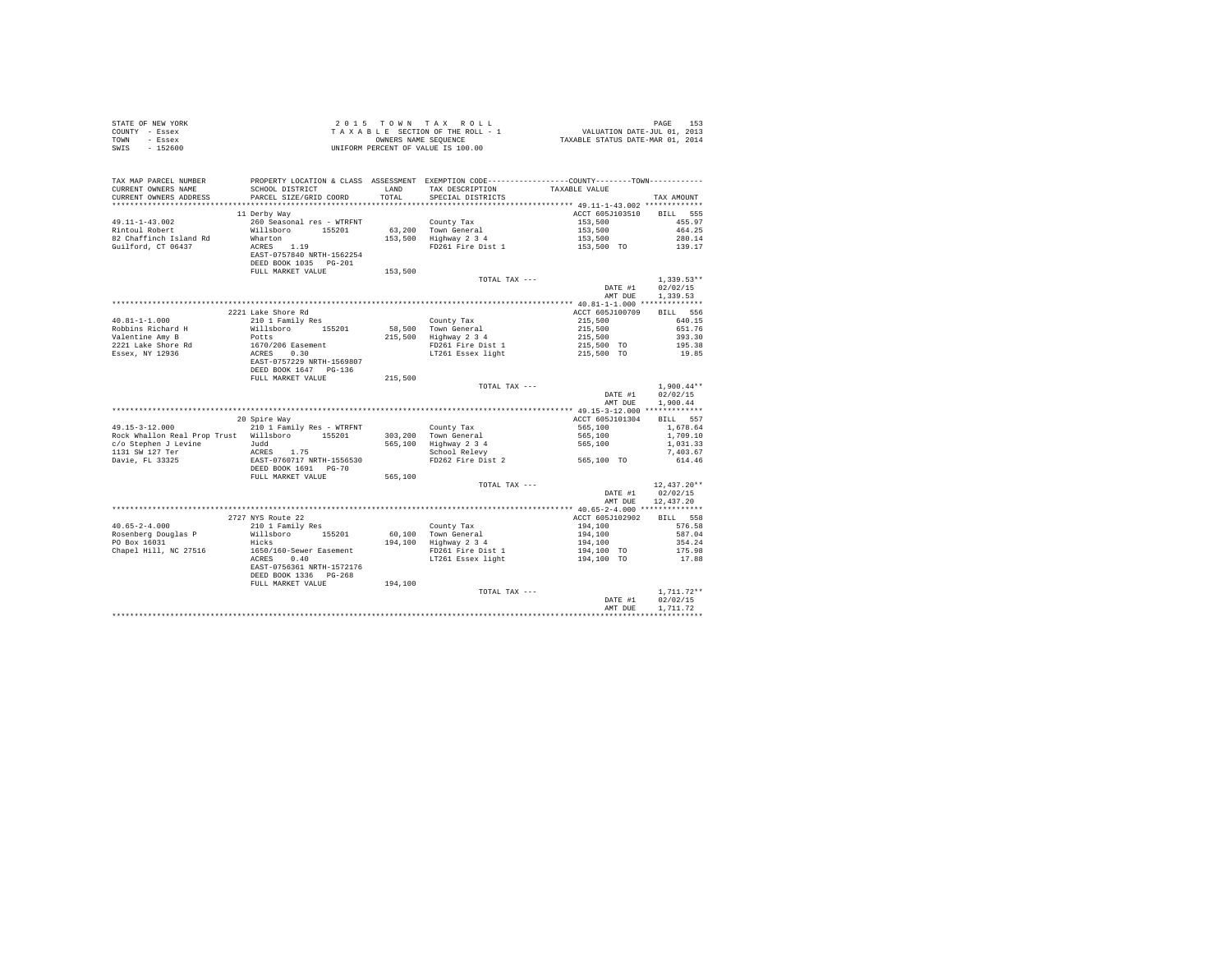| STATE OF NEW YORK<br>COUNTY<br>- Essex<br>TOWN<br>- Essex<br>$-152600$<br>SWIS         |                                                                                                                           |                             | 2015 TOWN TAX ROLL<br>TAXABLE SECTION OF THE ROLL - 1<br>OWNERS NAME SEOUENCE<br>UNIFORM PERCENT OF VALUE IS 100.00 | VALUATION DATE-JUL 01, 2013<br>TAXABLE STATUS DATE-MAR 01, 2014 | 153<br>PAGE                                         |
|----------------------------------------------------------------------------------------|---------------------------------------------------------------------------------------------------------------------------|-----------------------------|---------------------------------------------------------------------------------------------------------------------|-----------------------------------------------------------------|-----------------------------------------------------|
| TAX MAP PARCEL NUMBER<br>CURRENT OWNERS NAME<br>CURRENT OWNERS ADDRESS                 | PROPERTY LOCATION & CLASS<br>SCHOOL DISTRICT<br>PARCEL SIZE/GRID COORD                                                    | ASSESSMENT<br>LAND<br>TOTAL | EXEMPTION CODE ---<br>TAX DESCRIPTION<br>SPECIAL DISTRICTS                                                          | -------------COUNTY-------TOWN--<br>TAXABLE VALUE               | TAX AMOUNT                                          |
| $49.11 - 1 - 43.002$<br>Rintoul Robert<br>82 Chaffinch Island Rd<br>Guilford, CT 06437 | 11 Derby Way<br>260 Seasonal res - WTRFNT<br>Willsboro<br>155201<br>Wharton<br>1.19<br>ACRES<br>EAST-0757840 NRTH-1562254 | 63,200<br>153,500           | County Tax<br>Town General<br>Highway 2 3 4<br>FD261 Fire Dist 1                                                    | ACCT 605J103510<br>153,500<br>153,500<br>153,500<br>153,500 TO  | 555<br>BILL<br>455.97<br>464.25<br>280.14<br>139.17 |

|                              | DEED BOOK 1035<br>$PG-201$ |         |                   |                                            |               |
|------------------------------|----------------------------|---------|-------------------|--------------------------------------------|---------------|
|                              | FULL MARKET VALUE          | 153,500 |                   |                                            |               |
|                              |                            |         | TOTAL TAX ---     |                                            | $1.339.53**$  |
|                              |                            |         |                   | DATE #1                                    | 02/02/15      |
|                              |                            |         |                   | AMT DUE                                    | 1,339.53      |
|                              |                            |         |                   |                                            |               |
|                              | 2221 Lake Shore Rd         |         |                   | ACCT 605J100709                            | 556<br>BILL   |
| $40.81 - 1 - 1.000$          | 210 1 Family Res           |         | County Tax        | 215,500                                    | 640.15        |
| Robbins Richard H            | Willsboro<br>155201        | 58,500  | Town General      | 215,500                                    | 651.76        |
| Valentine Amy B              | Potts                      | 215,500 | Highway 2 3 4     | 215,500                                    | 393.30        |
| 2221 Lake Shore Rd           | 1670/206 Easement          |         | FD261 Fire Dist 1 | 215,500 TO                                 | 195.38        |
| Essex, NY 12936              | 0.30<br>ACRES              |         | LT261 Essex light | 215,500 TO                                 | 19.85         |
|                              | EAST-0757229 NRTH-1569807  |         |                   |                                            |               |
|                              | DEED BOOK 1647 PG-136      |         |                   |                                            |               |
|                              | FULL MARKET VALUE          | 215,500 |                   |                                            |               |
|                              |                            |         | TOTAL TAX ---     |                                            | $1.900.44**$  |
|                              |                            |         |                   | DATE #1                                    | 02/02/15      |
|                              |                            |         |                   | AMT DUE                                    | 1,900.44      |
|                              |                            |         |                   | ************* 49.15-3-12.000 ************* |               |
|                              | 20 Spire Way               |         |                   | ACCT 605J101304                            | 557<br>BILL   |
| $49.15 - 3 - 12.000$         | 210 1 Family Res - WTRFNT  |         | County Tax        | 565,100                                    | 1,678.64      |
| Rock Whallon Real Prop Trust | Willsboro<br>155201        | 303,200 | Town General      | 565,100                                    | 1,709.10      |
| c/o Stephen J Levine         | Judd                       | 565,100 | Highway 2 3 4     | 565,100                                    | 1,031.33      |
| 1131 SW 127 Ter              | 1.75<br>ACRES              |         | School Relevy     |                                            | 7.403.67      |
| Davie, FL 33325              | EAST-0760717 NRTH-1556530  |         | FD262 Fire Dist 2 | 565,100 TO                                 | 614.46        |
|                              | DEED BOOK 1691 PG-70       |         |                   |                                            |               |
|                              | FULL MARKET VALUE          | 565,100 |                   |                                            |               |
|                              |                            |         | TOTAL TAX ---     |                                            | $12,437.20**$ |
|                              |                            |         |                   | DATE #1                                    | 02/02/15      |
|                              |                            |         |                   | AMT DUE                                    | 12,437.20     |
|                              |                            |         |                   | ************* 40.65-2-4.000 ************** |               |
|                              | 2727 NYS Route 22          |         |                   | ACCT 605J102902                            | BILL 558      |
| $40.65 - 2 - 4.000$          | 210 1 Family Res           |         | County Tax        | 194,100                                    | 576.58        |
| Rosenberg Douglas P          | Willsboro<br>155201        | 60,100  | Town General      | 194,100                                    | 587.04        |
| PO Box 16031                 | Hicks                      | 194,100 | Highway 2 3 4     | 194,100                                    | 354.24        |
| Chapel Hill, NC 27516        | 1650/160-Sewer Easement    |         | FD261 Fire Dist 1 | 194,100 TO                                 | 175.98        |
|                              | ACRES<br>0.40              |         | LT261 Essex light | 194,100 TO                                 | 17.88         |
|                              | EAST-0756361 NRTH-1572176  |         |                   |                                            |               |
|                              | DEED BOOK 1336 PG-268      |         |                   |                                            |               |
|                              | FULL MARKET VALUE          | 194,100 |                   |                                            |               |
|                              |                            |         | TOTAL TAX ---     |                                            | $1,711.72**$  |
|                              |                            |         |                   | DATE #1                                    | 02/02/15      |
|                              |                            |         |                   | AMT DUE                                    | 1,711,72      |
|                              |                            |         |                   |                                            |               |
|                              |                            |         |                   |                                            |               |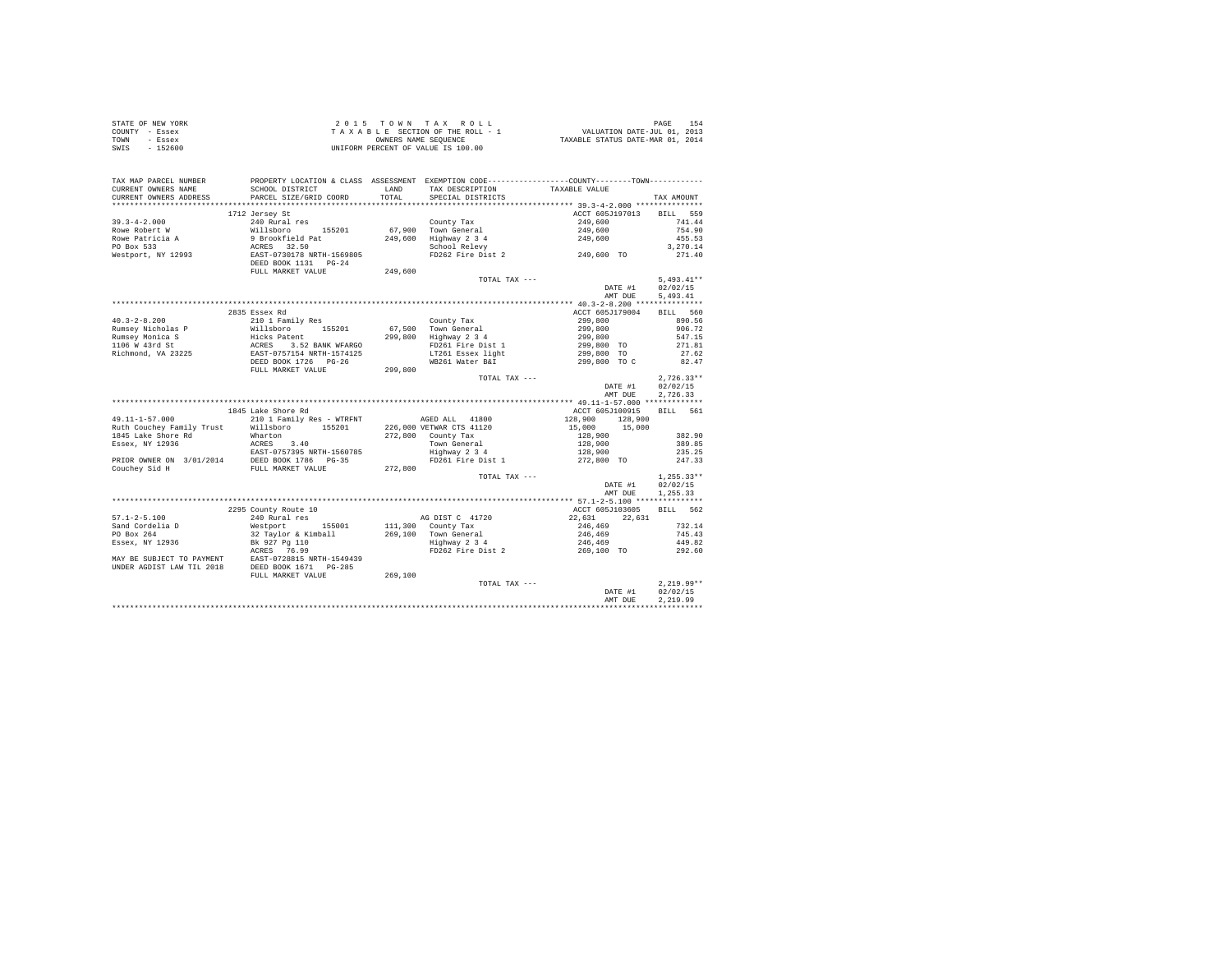|                | STATE OF NEW YORK | 2015 TOWN TAX ROLL                 | 154<br>PAGE                      |
|----------------|-------------------|------------------------------------|----------------------------------|
| COUNTY - Essex |                   | TAXABLE SECTION OF THE ROLL - 1    | VALUATION DATE-JUL 01, 2013      |
| TOWN           | - Essex           | OWNERS NAME SEOUENCE               | TAXABLE STATUS DATE-MAR 01, 2014 |
| SWIS           | $-152600$         | UNIFORM PERCENT OF VALUE IS 100.00 |                                  |

| TAX MAP PARCEL NUMBER<br>CURRENT OWNERS NAME   | SCHOOL DISTRICT                                     | LAND    | TAX DESCRIPTION          | PROPERTY LOCATION & CLASS ASSESSMENT EXEMPTION CODE----------------COUNTY--------TOWN----------<br>TAXABLE VALUE |              |
|------------------------------------------------|-----------------------------------------------------|---------|--------------------------|------------------------------------------------------------------------------------------------------------------|--------------|
| CURRENT OWNERS ADDRESS<br>******************** | PARCEL SIZE/GRID COORD<br>************************* | TOTAL   | SPECIAL DISTRICTS        |                                                                                                                  | TAX AMOUNT   |
|                                                |                                                     |         |                          |                                                                                                                  |              |
|                                                | 1712 Jersey St                                      |         |                          | ACCT 605J197013                                                                                                  | BILL 559     |
| $39.3 - 4 - 2.000$                             | 240 Rural res                                       |         | County Tax               | 249,600                                                                                                          | 741.44       |
| Rowe Robert W                                  | Willsboro<br>155201                                 |         | 67,900 Town General      | 249,600                                                                                                          | 754.90       |
| Rowe Patricia A                                | 9 Brookfield Pat                                    | 249,600 | Highway 2 3 4            | 249,600                                                                                                          | 455.53       |
| PO Box 533                                     | ACRES 32.50                                         |         | School Relevy            |                                                                                                                  | 3.270.14     |
| Westport, NY 12993                             | EAST-0730178 NRTH-1569805<br>DEED BOOK 1131 PG-24   |         | FD262 Fire Dist 2        | 249,600 TO                                                                                                       | 271.40       |
|                                                | FULL MARKET VALUE                                   | 249,600 |                          |                                                                                                                  |              |
|                                                |                                                     |         | TOTAL TAX ---            |                                                                                                                  | $5,493.41**$ |
|                                                |                                                     |         |                          | DATE #1                                                                                                          | 02/02/15     |
|                                                |                                                     |         |                          | AMT DUE                                                                                                          | 5,493.41     |
|                                                |                                                     |         |                          |                                                                                                                  |              |
|                                                | 2835 Essex Rd                                       |         |                          | ACCT 605J179004                                                                                                  | BILL 560     |
| $40.3 - 2 - 8.200$                             | 210 1 Family Res                                    |         | County Tax               | 299,800                                                                                                          | 890.56       |
| Rumsey Nicholas P                              | Willsboro<br>155201                                 | 67,500  | Town General             | 299,800                                                                                                          | 906.72       |
| Rumsey Monica S                                | Hicks Patent                                        |         | 299,800 Highway 2 3 4    | 299,800                                                                                                          | 547.15       |
| 1106 W 43rd St                                 |                                                     |         | FD261 Fire Dist 1        | 299,800 TO                                                                                                       | 271.81       |
| Richmond, VA 23225                             | ACRES 3.52 BANK WFARGO<br>EAST-0757154 NRTH-1574125 |         | LT261 Essex light        | 299,800 TO                                                                                                       | 27.62        |
|                                                | DEED BOOK 1726 PG-26                                |         | WB261 Water B&I          | 299,800 TO C                                                                                                     | 82.47        |
|                                                | FULL MARKET VALUE                                   | 299,800 |                          |                                                                                                                  |              |
|                                                |                                                     |         |                          |                                                                                                                  | $2.726.33**$ |
|                                                |                                                     |         | TOTAL TAX ---            |                                                                                                                  |              |
|                                                |                                                     |         |                          | DATE #1                                                                                                          | 02/02/15     |
|                                                |                                                     |         |                          | AMT DUE                                                                                                          | 2.726.33     |
|                                                |                                                     |         |                          |                                                                                                                  |              |
|                                                | 1845 Lake Shore Rd                                  |         |                          | ACCT 605J100915                                                                                                  | BILL 561     |
| 49.11-1-57.000                                 | 210 1 Family Res - WTRFNT                           |         | AGED ALL 41800           | 128,900<br>128,900                                                                                               |              |
| Ruth Couchev Family Trust                      | Willsboro 155201                                    |         | 226,000 VETWAR CTS 41120 | 15,000 15,000                                                                                                    |              |
| 1845 Lake Shore Rd                             | Wharton                                             |         | 272,800 County Tax       | 128,900                                                                                                          | 382.90       |
| Essex, NY 12936                                | ACRES 3.40                                          |         | Town General             | 128,900                                                                                                          | 389.85       |
|                                                |                                                     |         | Highway 2 3 4            | 128,900                                                                                                          | 235.25       |
| PRIOR OWNER ON 3/01/2014                       | EAST-0757395 NRTH-1560785<br>DEED BOOK 1786 PG-35   |         | FD261 Fire Dist 1        | 272,800 TO                                                                                                       | 247.33       |
| Couchev Sid H                                  | FULL MARKET VALUE                                   | 272,800 |                          |                                                                                                                  |              |
|                                                |                                                     |         | TOTAL TAX ---            |                                                                                                                  | $1,255.33**$ |
|                                                |                                                     |         |                          | DATE #1                                                                                                          | 02/02/15     |
|                                                |                                                     |         |                          | AMT DUE                                                                                                          | 1,255.33     |
|                                                |                                                     |         |                          |                                                                                                                  |              |
|                                                | 2295 County Route 10                                |         |                          | ACCT 605J103605                                                                                                  | BILL 562     |
| $57.1 - 2 - 5.100$                             | 240 Rural res                                       |         | AG DIST C 41720          | 22.631<br>22.631                                                                                                 |              |
| Sand Cordelia D                                | Westport<br>155001                                  |         | 111,300 County Tax       | 246,469                                                                                                          | 732.14       |
| PO Box 264                                     | 32 Taylor & Kimball                                 |         | 269.100 Town General     | 246,469                                                                                                          | 745.43       |
| Essex, NY 12936                                | Bk 927 Pg 110                                       |         | Highway 2 3 4            | 246,469                                                                                                          | 449.82       |
|                                                | ACRES 76.99                                         |         | FD262 Fire Dist 2        |                                                                                                                  | 292.60       |
|                                                |                                                     |         |                          | 269,100 TO                                                                                                       |              |
| MAY BE SUBJECT TO PAYMENT                      | EAST-0728815 NRTH-1549439                           |         |                          |                                                                                                                  |              |
| UNDER AGDIST LAW TIL 2018                      | DEED BOOK 1671 PG-285                               |         |                          |                                                                                                                  |              |
|                                                | FULL MARKET VALUE                                   | 269,100 |                          |                                                                                                                  |              |
|                                                |                                                     |         | TOTAL TAX ---            |                                                                                                                  | $2,219.99**$ |
|                                                |                                                     |         |                          | DATE #1                                                                                                          | 02/02/15     |
|                                                |                                                     |         |                          | AMT DUE                                                                                                          | 2.219.99     |
|                                                |                                                     |         |                          |                                                                                                                  |              |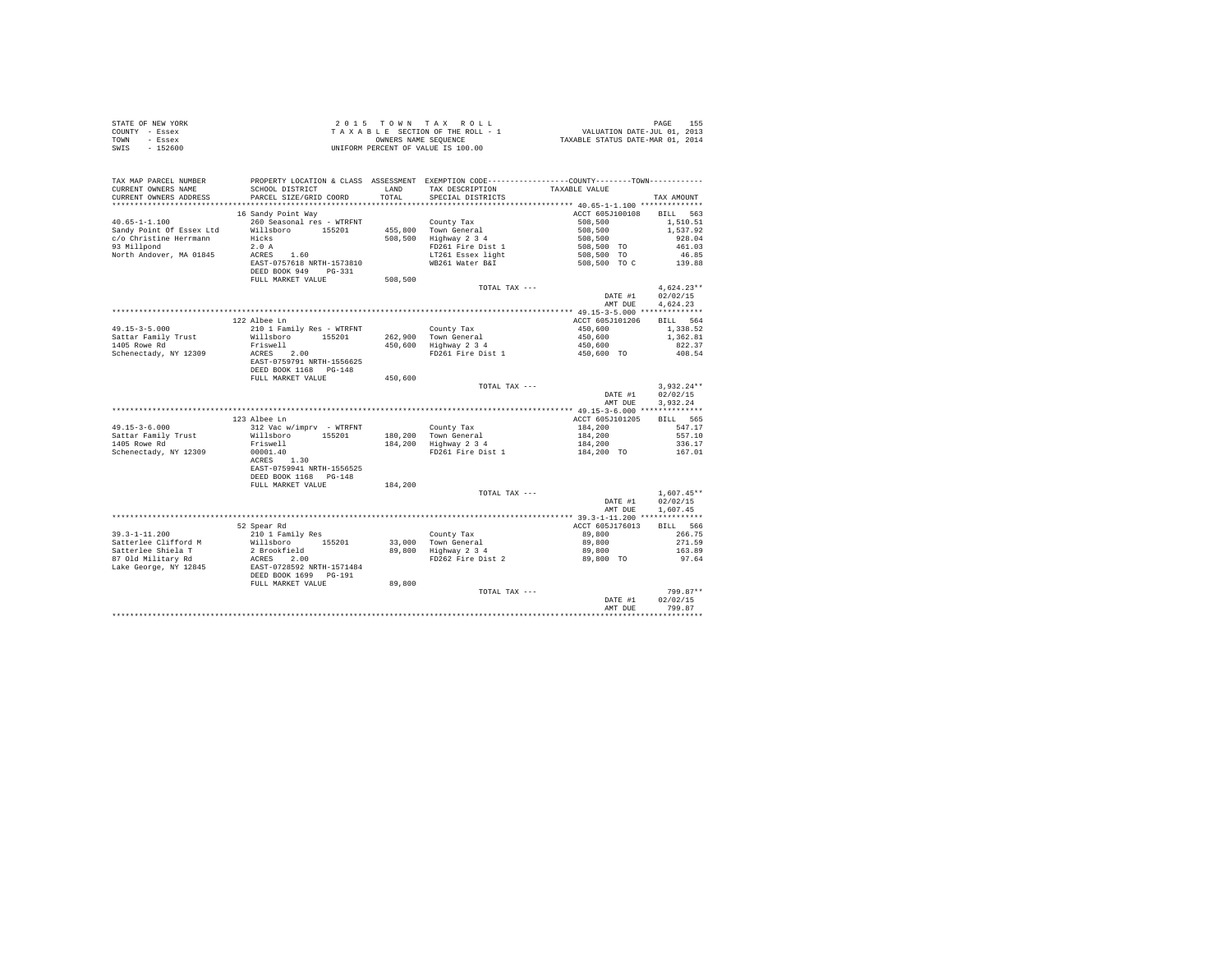|      | STATE OF NEW YORK | 2015 TOWN TAX ROLL                 | 155<br>PAGE                      |
|------|-------------------|------------------------------------|----------------------------------|
|      | COUNTY - Essex    | TAXABLE SECTION OF THE ROLL - 1    | VALUATION DATE-JUL 01, 2013      |
| TOWN | - Essex           | OWNERS NAME SEOUENCE               | TAXABLE STATUS DATE-MAR 01, 2014 |
| SWIS | - 152600          | UNIFORM PERCENT OF VALUE IS 100.00 |                                  |

| TAX MAP PARCEL NUMBER<br>CURRENT OWNERS NAME | SCHOOL DISTRICT                                    | LAND    | TAX DESCRIPTION       | PROPERTY LOCATION & CLASS ASSESSMENT EXEMPTION CODE----------------COUNTY-------TOWN---------<br>TAXABLE VALUE |                         |
|----------------------------------------------|----------------------------------------------------|---------|-----------------------|----------------------------------------------------------------------------------------------------------------|-------------------------|
| CURRENT OWNERS ADDRESS                       | PARCEL SIZE/GRID COORD                             | TOTAL   | SPECIAL DISTRICTS     |                                                                                                                | TAX AMOUNT              |
| *******************                          |                                                    |         |                       |                                                                                                                |                         |
| $40.65 - 1 - 1.100$                          | 16 Sandy Point Way<br>260 Seasonal res - WTRFNT    |         | County Tax            | ACCT 605J100108<br>508,500                                                                                     | BILL<br>563<br>1,510.51 |
| Sandy Point Of Essex Ltd                     | Willsboro<br>155201                                |         | 455,800 Town General  | 508,500                                                                                                        | 1,537.92                |
| c/o Christine Herrmann                       | Hicks                                              | 508,500 | Highway 2 3 4         | 508,500                                                                                                        | 928.04                  |
| 93 Millpond                                  | 2.0A                                               |         | FD261 Fire Dist 1     | 508,500 TO                                                                                                     | 461.03                  |
| North Andover, MA 01845                      | ACRES 1.60                                         |         | LT261 Essex light     | 508,500 TO                                                                                                     | 46.85                   |
|                                              | EAST-0757618 NRTH-1573810                          |         | WB261 Water B&I       |                                                                                                                | 139.88                  |
|                                              | DEED BOOK 949<br>$PG-331$                          | 508,500 |                       | 508,500 TO C                                                                                                   |                         |
|                                              | FULL MARKET VALUE                                  |         |                       |                                                                                                                |                         |
|                                              |                                                    |         | TOTAL TAX ---         |                                                                                                                | $4.624.23**$            |
|                                              |                                                    |         |                       | DATE #1                                                                                                        | 02/02/15                |
|                                              |                                                    |         |                       | AMT DUE                                                                                                        | 4,624.23                |
|                                              |                                                    |         |                       | *********** 49.15-3-5.000 **************                                                                       |                         |
|                                              | 122 Albee Ln                                       |         |                       | ACCT 605J101206                                                                                                | BILL 564                |
| $49.15 - 3 - 5.000$                          | 210 1 Family Res - WTRFNT                          |         | County Tax            | 450,600                                                                                                        | 1,338.52                |
| Sattar Family Trust                          | Willsboro 155201                                   |         | 262,900 Town General  | 450,600                                                                                                        | 1,362.81                |
| 1405 Rowe Rd                                 | Friswell                                           |         | 450,600 Highway 2 3 4 | 450,600                                                                                                        | 822.37                  |
| Schenectady, NY 12309                        | ACRES 2.00                                         |         | FD261 Fire Dist 1     | 450,600 TO                                                                                                     | 408.54                  |
|                                              | EAST-0759791 NRTH-1556625<br>DEED BOOK 1168 PG-148 |         |                       |                                                                                                                |                         |
|                                              | FULL MARKET VALUE                                  | 450,600 |                       |                                                                                                                |                         |
|                                              |                                                    |         | TOTAL TAX ---         |                                                                                                                | $3,932.24**$            |
|                                              |                                                    |         |                       | DATE #1                                                                                                        | 02/02/15                |
|                                              |                                                    |         |                       | AMT DUE                                                                                                        | 3.932.24                |
|                                              |                                                    |         |                       |                                                                                                                |                         |
|                                              | 123 Albee Ln                                       |         |                       | ACCT 605J101205                                                                                                | BILL 565                |
| $49.15 - 3 - 6.000$                          | 312 Vac w/imprv - WTRFNT                           |         | County Tax            | 184,200                                                                                                        | 547.17                  |
| Sattar Family Trust                          | Willsboro 155201                                   |         | 180,200 Town General  | 184,200                                                                                                        | 557.10                  |
| 1405 Rowe Rd                                 | Friswell                                           |         | 184,200 Highway 2 3 4 | 184,200                                                                                                        | 336.17                  |
| Schenectady, NY 12309                        |                                                    |         | FD261 Fire Dist 1     |                                                                                                                | 167.01                  |
|                                              | 00001.40                                           |         |                       | 184,200 TO                                                                                                     |                         |
|                                              | ACRES 1.30                                         |         |                       |                                                                                                                |                         |
|                                              | EAST-0759941 NRTH-1556525                          |         |                       |                                                                                                                |                         |
|                                              | DEED BOOK 1168 PG-148                              |         |                       |                                                                                                                |                         |
|                                              | FULL MARKET VALUE                                  | 184,200 |                       |                                                                                                                |                         |
|                                              |                                                    |         | TOTAL TAX ---         |                                                                                                                | $1,607.45**$            |
|                                              |                                                    |         |                       | DATE #1                                                                                                        | 02/02/15                |
|                                              |                                                    |         |                       | AMT DUE                                                                                                        | 1,607.45                |
|                                              |                                                    |         |                       | ************ 39.3-1-11.200 **************                                                                      |                         |
|                                              | 52 Spear Rd                                        |         |                       | ACCT 605J176013                                                                                                | BILL 566                |
| $39.3 - 1 - 11.200$                          | 210 1 Family Res                                   |         | County Tax            | 89,800                                                                                                         | 266.75                  |
| Satterlee Clifford M                         | Willsboro 155201                                   |         | 33.000 Town General   | 89,800                                                                                                         | 271.59                  |
| Satterlee Shiela T                           | 2 Brookfield                                       |         | 89,800 Highway 2 3 4  | 89,800                                                                                                         | 163.89                  |
| 87 Old Military Rd                           | 2.00<br>ACRES                                      |         | FD262 Fire Dist 2     | 89,800 TO                                                                                                      | 97.64                   |
| Lake George, NY 12845                        | EAST-0728592 NRTH-1571484                          |         |                       |                                                                                                                |                         |
|                                              | DEED BOOK 1699 PG-191                              |         |                       |                                                                                                                |                         |
|                                              | FULL MARKET VALUE                                  | 89,800  |                       |                                                                                                                |                         |
|                                              |                                                    |         | TOTAL TAX ---         |                                                                                                                | 799.87**                |
|                                              |                                                    |         |                       | DATE #1                                                                                                        | 02/02/15                |
|                                              |                                                    |         |                       | AMT DUE                                                                                                        | 799.87                  |
|                                              |                                                    |         |                       |                                                                                                                |                         |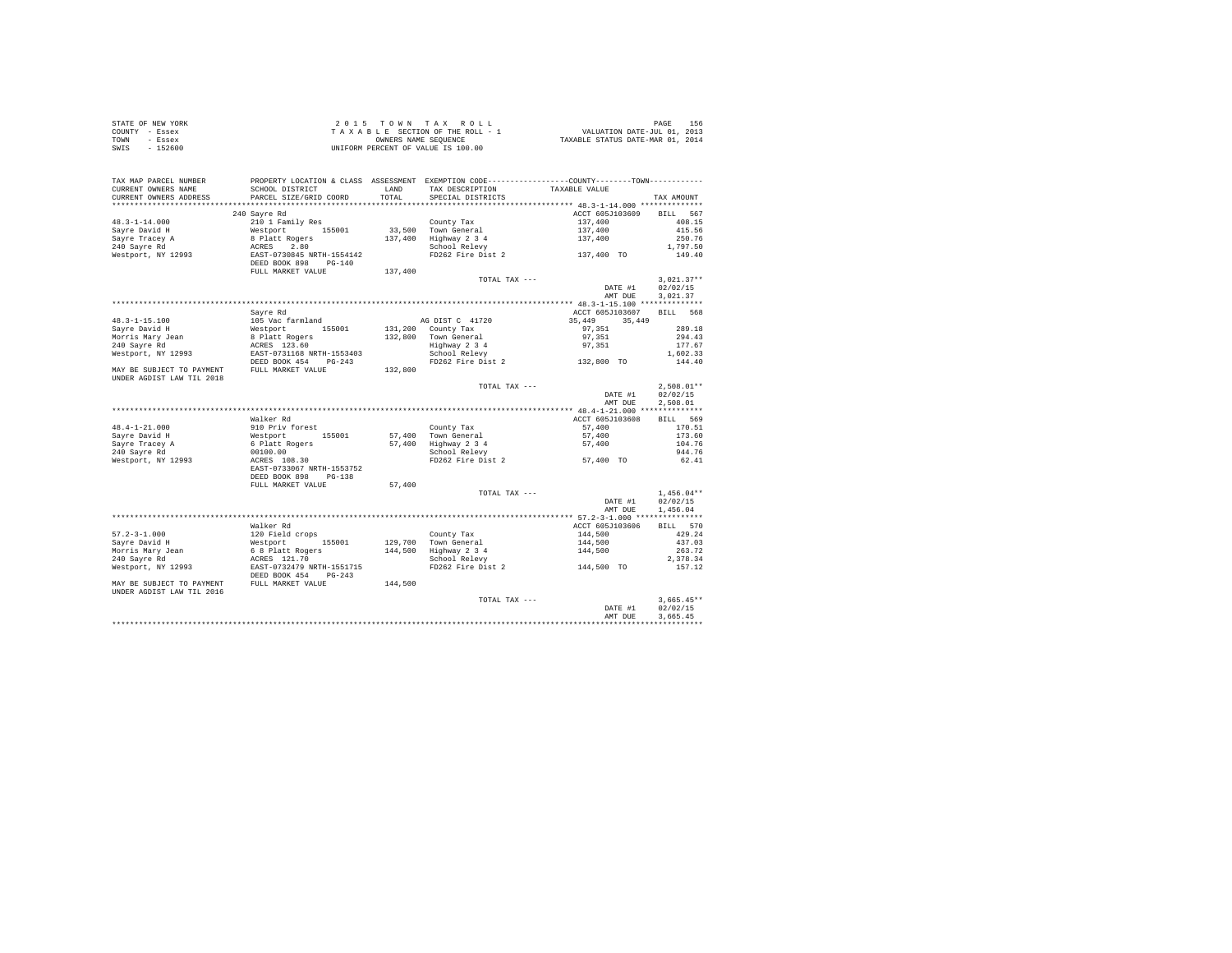| STATE OF NEW YORK | 2015 TOWN TAX ROLL                 | 156<br>PAGE                      |
|-------------------|------------------------------------|----------------------------------|
| COUNTY - Essex    | TAXABLE SECTION OF THE ROLL - 1    | VALUATION DATE-JUL 01, 2013      |
| TOWN<br>- Essex   | OWNERS NAME SEOUENCE               | TAXABLE STATUS DATE-MAR 01, 2014 |
| $-152600$<br>SWIS | UNIFORM PERCENT OF VALUE IS 100.00 |                                  |

| TAX MAP PARCEL NUMBER<br>CURRENT OWNERS NAME<br>CURRENT OWNERS ADDRESS | SCHOOL DISTRICT<br>PARCEL SIZE/GRID COORD              | LAND<br>TOTAL | TAX DESCRIPTION<br>SPECIAL DISTRICTS                                                  | PROPERTY LOCATION & CLASS ASSESSMENT EXEMPTION CODE----------------COUNTY-------TOWN----------<br>TAXABLE VALUE | TAX AMOUNT                           |
|------------------------------------------------------------------------|--------------------------------------------------------|---------------|---------------------------------------------------------------------------------------|-----------------------------------------------------------------------------------------------------------------|--------------------------------------|
|                                                                        |                                                        |               |                                                                                       |                                                                                                                 |                                      |
|                                                                        | 240 Sayre Rd                                           |               |                                                                                       | ACCT 605J103609                                                                                                 | BILL 567                             |
| $48.3 - 1 - 14.000$                                                    | 210 1 Family Res                                       |               | County Tax                                                                            | 137,400                                                                                                         | 408.15                               |
| Sayre David H                                                          | Westport 155001                                        |               | 33,500 Town General                                                                   | 137,400                                                                                                         | 415.56                               |
| Sayre Tracey A                                                         | 8 Platt Rogers                                         | 137,400       | Highway 2 3 4                                                                         | 137,400                                                                                                         | 250.76                               |
| 240 Sayre Rd                                                           | ACRES 2.80                                             |               | School Relevy                                                                         |                                                                                                                 | 1,797.50                             |
| Westport, NY 12993                                                     | EAST-0730845 NRTH-1554142<br>DEED BOOK 898<br>$PG-140$ |               | FD262 Fire Dist 2                                                                     | 137,400 TO                                                                                                      | 149.40                               |
|                                                                        | FULL MARKET VALUE                                      | 137,400       |                                                                                       |                                                                                                                 |                                      |
|                                                                        |                                                        |               | TOTAL TAX ---                                                                         | DATE #1<br>AMT DUE                                                                                              | $3.021.37**$<br>02/02/15<br>3,021.37 |
|                                                                        |                                                        |               |                                                                                       | *************** 48.3-1-15.100 **************                                                                    |                                      |
|                                                                        | Savre Rd                                               |               |                                                                                       | ACCT 605J103607                                                                                                 | <b>BILL</b><br>568                   |
| $48.3 - 1 - 15.100$                                                    | 105 Vac farmland                                       |               | AG DIST C 41720                                                                       | 35,449<br>35,449                                                                                                |                                      |
| Savre David H                                                          | Westport 155001                                        |               | 131,200 County Tax                                                                    | 97,351                                                                                                          | 289.18                               |
| Morris Mary Jean                                                       | 8 Platt Rogers                                         |               | 132,800 Town General                                                                  | 97,351                                                                                                          | 294.43                               |
| 240 Savre Rd                                                           | ACRES 123.60                                           |               | Highway 2 3 4                                                                         | 97.351                                                                                                          | 177.67                               |
| Westport, NY 12993                                                     | EAST-0731168 NRTH-1553403                              |               | School Relevy                                                                         | FD262 Fire Dist 2 132,800 TO                                                                                    | 1,602.33                             |
|                                                                        | DEED BOOK 454 PG-243<br>FULL MARKET VALUE              | 132,800       |                                                                                       |                                                                                                                 | 144.40                               |
| MAY BE SUBJECT TO PAYMENT<br>UNDER AGDIST LAW TIL 2018                 |                                                        |               |                                                                                       |                                                                                                                 |                                      |
|                                                                        |                                                        |               | TOTAL TAX ---                                                                         |                                                                                                                 | $2,508.01**$                         |
|                                                                        |                                                        |               |                                                                                       | DATE #1<br>AMT DUE                                                                                              | 02/02/15<br>2.508.01                 |
|                                                                        |                                                        |               |                                                                                       |                                                                                                                 |                                      |
|                                                                        | Walker Rd                                              |               |                                                                                       | ACCT 605J103608                                                                                                 | BILL 569                             |
| $48.4 - 1 - 21.000$                                                    | 910 Priv forest                                        |               | County Tax                                                                            | 57,400                                                                                                          | 170.51                               |
| Sayre David H                                                          | Westport 155001                                        |               | 57,400 Town General                                                                   | 57,400                                                                                                          | 173.60                               |
| Sayre Tracey A                                                         | 6 Platt Rogers                                         |               | $57,400$ $\longrightarrow$ $1000$ $\longrightarrow$ $10000$ $\longrightarrow$ $2,3,4$ | 57,400                                                                                                          | 104.76                               |
| 240 Savre Rd                                                           | 00100.00                                               |               | School Relevy                                                                         |                                                                                                                 | 944.76                               |
| Westport, NY 12993                                                     | ACRES 108.30                                           |               | FD262 Fire Dist 2                                                                     | 57,400 TO                                                                                                       | 62.41                                |
|                                                                        | EAST-0733067 NRTH-1553752<br>DEED BOOK 898<br>$PG-138$ |               |                                                                                       |                                                                                                                 |                                      |
|                                                                        | FULL MARKET VALUE                                      | 57,400        |                                                                                       |                                                                                                                 |                                      |
|                                                                        |                                                        |               | TOTAL TAX ---                                                                         |                                                                                                                 | $1,456.04**$                         |
|                                                                        |                                                        |               |                                                                                       | DATE #1                                                                                                         | 02/02/15                             |
|                                                                        |                                                        |               |                                                                                       | AMT DUE                                                                                                         | 1,456.04                             |
|                                                                        |                                                        |               |                                                                                       |                                                                                                                 |                                      |
|                                                                        | Walker Rd                                              |               |                                                                                       | ACCT 605J103606                                                                                                 | BILL 570                             |
| $57.2 - 3 - 1.000$                                                     | 120 Field crops                                        |               | County Tax                                                                            | 144,500                                                                                                         | 429.24                               |
| Sayre David H                                                          | Westport<br>155001                                     | 129,700       | Town General                                                                          | 144,500                                                                                                         | 437.03                               |
| Morris Mary Jean                                                       | 6 8 Platt Rogers                                       |               | 144,500 Highway 2 3 4                                                                 | 144,500                                                                                                         | 263.72                               |
| 240 Savre Rd                                                           | ACRES 121.70                                           |               | School Relevy                                                                         |                                                                                                                 | 2,378.34                             |
| Westport, NY 12993                                                     | EAST-0732479 NRTH-1551715<br>DEED BOOK 454 PG-243      |               | FD262 Fire Dist 2                                                                     | 144,500 TO                                                                                                      | 157.12                               |
| MAY BE SUBJECT TO PAYMENT<br>UNDER AGDIST LAW TIL 2016                 | FULL MARKET VALUE                                      | 144,500       |                                                                                       |                                                                                                                 |                                      |
|                                                                        |                                                        |               | TOTAL TAX ---                                                                         |                                                                                                                 | $3.665.45**$                         |
|                                                                        |                                                        |               |                                                                                       | DATE #1                                                                                                         | 02/02/15                             |
|                                                                        |                                                        |               |                                                                                       | AMT DUE                                                                                                         | 3.665.45                             |
|                                                                        |                                                        |               |                                                                                       |                                                                                                                 |                                      |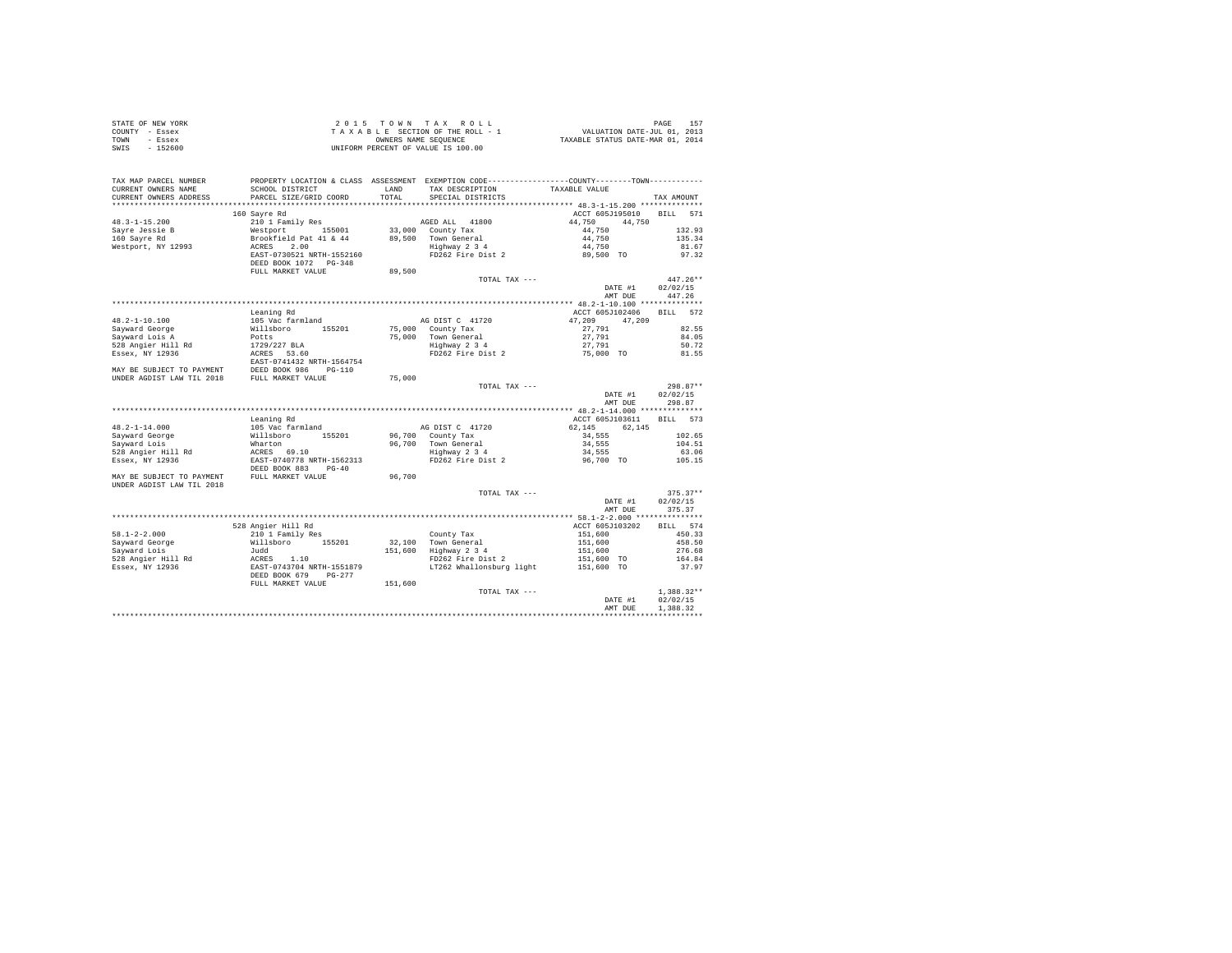| STATE OF NEW YORK                                                                                                                                                                                    |                                                                                                      |         | 2015 TOWN TAX ROLL                                                                                    |                                                                             |              |
|------------------------------------------------------------------------------------------------------------------------------------------------------------------------------------------------------|------------------------------------------------------------------------------------------------------|---------|-------------------------------------------------------------------------------------------------------|-----------------------------------------------------------------------------|--------------|
| COUNTY - Essex                                                                                                                                                                                       |                                                                                                      |         |                                                                                                       |                                                                             |              |
| TOWN - Essex                                                                                                                                                                                         |                                                                                                      |         |                                                                                                       | PAGE 157<br>VALUATION DATE-JUL 01, 2013<br>TAXABLE STATUS DATE-MAR 01, 2014 |              |
| SWIS - 152600                                                                                                                                                                                        |                                                                                                      |         | TAXABLE SECTION OF THE ROLL - 1<br>OWNERS NAME SEQUENCE<br>UNIFORM PERCENT OF VALUE IS 100.00         |                                                                             |              |
|                                                                                                                                                                                                      |                                                                                                      |         |                                                                                                       |                                                                             |              |
|                                                                                                                                                                                                      |                                                                                                      |         |                                                                                                       |                                                                             |              |
|                                                                                                                                                                                                      |                                                                                                      |         |                                                                                                       |                                                                             |              |
| TAX MAP PARCEL NUMBER                                                                                                                                                                                | PROPERTY LOCATION & CLASS ASSESSMENT EXEMPTION CODE----------------COUNTY-------TOWN---------        |         |                                                                                                       |                                                                             |              |
| CURRENT OWNERS NAME                                                                                                                                                                                  | SCHOOL DISTRICT                                                                                      | LAND    | TAX DESCRIPTION                                                                                       | TAXABLE VALUE                                                               |              |
| CURRENT OWNERS ADDRESS                                                                                                                                                                               | PARCEL SIZE/GRID COORD                                                                               | TOTAL   | SPECIAL DISTRICTS                                                                                     |                                                                             | TAX AMOUNT   |
|                                                                                                                                                                                                      |                                                                                                      |         |                                                                                                       |                                                                             |              |
|                                                                                                                                                                                                      | 160 Sayre Rd                                                                                         |         |                                                                                                       | ACCT 605J195010 BILL 571                                                    |              |
| $48.3 - 1 - 15.200$                                                                                                                                                                                  | 210 1 Family Res                                                                                     |         | AGED ALL 41800                                                                                        | 44.750 44.750                                                               |              |
|                                                                                                                                                                                                      | Westport 155001                                                                                      |         |                                                                                                       |                                                                             | 132.93       |
| Sayre Jessie B<br>160 Sayre Rd                                                                                                                                                                       |                                                                                                      |         | 33,000 County Tax<br>89,500 Town General<br>Highway 2 3 4                                             | 44,750                                                                      |              |
|                                                                                                                                                                                                      | Brookfield Pat 41 & 44<br>ACRES 2.00<br>EAST-0730521 NRTH-1552160<br>DEED BOOK 1072 PG-348           |         |                                                                                                       | 44,750                                                                      | 135.34       |
| Westport, NY 12993                                                                                                                                                                                   |                                                                                                      |         |                                                                                                       | 44,750                                                                      | 81.67        |
|                                                                                                                                                                                                      |                                                                                                      |         | FD262 Fire Dist 2                                                                                     | 89,500 TO                                                                   | 97.32        |
|                                                                                                                                                                                                      |                                                                                                      |         |                                                                                                       |                                                                             |              |
|                                                                                                                                                                                                      | FULL MARKET VALUE                                                                                    | 89,500  |                                                                                                       |                                                                             |              |
|                                                                                                                                                                                                      |                                                                                                      |         | TOTAL TAX ---                                                                                         |                                                                             | $447.26**$   |
|                                                                                                                                                                                                      |                                                                                                      |         |                                                                                                       | DATE #1                                                                     | 02/02/15     |
|                                                                                                                                                                                                      |                                                                                                      |         |                                                                                                       | AMT DUE 447.26                                                              |              |
|                                                                                                                                                                                                      |                                                                                                      |         |                                                                                                       |                                                                             |              |
|                                                                                                                                                                                                      | Leaning Rd                                                                                           |         |                                                                                                       | ACCT 605J102406                                                             | BILL 572     |
| 48.2-1-10.100                                                                                                                                                                                        | 105 Vac farmland                                                                                     |         | AG DIST C 41720                                                                                       | 47,209 47,209                                                               |              |
|                                                                                                                                                                                                      | willsboro 155201<br>Potts<br>1729/227 BLA<br>ACRES 53.60<br>ERES 53.60<br>ERES 53.41422 NPTH 1564754 |         | 75,000 County Tax                                                                                     |                                                                             | 82.55        |
| Sayward George<br>Sayward Lois A                                                                                                                                                                     |                                                                                                      |         | 75,000 County rax<br>75,000 Town General<br>Highway 2 3 4<br>FD262 Fire Dist 2 75,000 TO<br>75,000 TO | 27,791<br>27,791                                                            | 84.05        |
| 528 Angier Hill Rd                                                                                                                                                                                   |                                                                                                      |         |                                                                                                       |                                                                             | 50.72        |
|                                                                                                                                                                                                      |                                                                                                      |         |                                                                                                       |                                                                             |              |
| Essex, NY 12936                                                                                                                                                                                      |                                                                                                      |         |                                                                                                       |                                                                             | 81.55        |
|                                                                                                                                                                                                      | EAST-0741432 NRTH-1564754                                                                            |         |                                                                                                       |                                                                             |              |
| MAY BE SUBJECT TO PAYMENT<br>UNDER AGDIST LAW TIL 2018 FULL MARKET VALUE                                                                                                                             |                                                                                                      |         |                                                                                                       |                                                                             |              |
|                                                                                                                                                                                                      |                                                                                                      | 75,000  |                                                                                                       |                                                                             |              |
|                                                                                                                                                                                                      |                                                                                                      |         | TOTAL TAX ---                                                                                         |                                                                             | $298.87**$   |
|                                                                                                                                                                                                      |                                                                                                      |         |                                                                                                       | DATE #1                                                                     | 02/02/15     |
|                                                                                                                                                                                                      |                                                                                                      |         |                                                                                                       | AMT DUE                                                                     | 298.87       |
|                                                                                                                                                                                                      |                                                                                                      |         |                                                                                                       |                                                                             |              |
|                                                                                                                                                                                                      | Leaning Rd                                                                                           |         |                                                                                                       | ACCT 605J103611 BILL 573                                                    |              |
| 48.2-1-14.000                                                                                                                                                                                        |                                                                                                      |         | AG DIST C 41720                                                                                       | 62,145 62,145                                                               |              |
|                                                                                                                                                                                                      |                                                                                                      |         |                                                                                                       | 34,555                                                                      | 102.65       |
| Sayward George<br>Sayward Lois                                                                                                                                                                       |                                                                                                      |         | 96,700 County Tax<br>96,700 Town General<br>Highway 2 3 4<br>FD262 Fire Dist 2                        | 34,555                                                                      | 104.51       |
| 528 Angier Hill Rd                                                                                                                                                                                   |                                                                                                      |         |                                                                                                       | 34,555                                                                      | 63.06        |
| Essex, NY 12936                                                                                                                                                                                      |                                                                                                      |         |                                                                                                       | 96,700 TO                                                                   | 105.15       |
|                                                                                                                                                                                                      |                                                                                                      |         |                                                                                                       |                                                                             |              |
| MAY BE SUBJECT TO PAYMENT FULL MARKET VALUE                                                                                                                                                          | DEED BOOK 883 PG-40                                                                                  |         |                                                                                                       |                                                                             |              |
|                                                                                                                                                                                                      |                                                                                                      | 96,700  |                                                                                                       |                                                                             |              |
| UNDER AGDIST LAW TIL 2018                                                                                                                                                                            |                                                                                                      |         |                                                                                                       |                                                                             |              |
|                                                                                                                                                                                                      |                                                                                                      |         | TOTAL TAX ---                                                                                         |                                                                             | $375.37**$   |
|                                                                                                                                                                                                      |                                                                                                      |         |                                                                                                       | DATE #1                                                                     | 02/02/15     |
|                                                                                                                                                                                                      |                                                                                                      |         |                                                                                                       | AMT DUE                                                                     | 375.37       |
|                                                                                                                                                                                                      |                                                                                                      |         |                                                                                                       |                                                                             |              |
|                                                                                                                                                                                                      | 528 Angier Hill Rd                                                                                   |         |                                                                                                       | ACCT 605J103202                                                             | BILL 574     |
| $58.1 - 2 - 2.000$                                                                                                                                                                                   | 210 1 Family Res                                                                                     |         |                                                                                                       | 151,600                                                                     | 450.33       |
|                                                                                                                                                                                                      | Willsboro 155201                                                                                     |         |                                                                                                       | 151,600                                                                     | 458.50       |
| Sayward George<br>Sayward Lois                                                                                                                                                                       |                                                                                                      |         | County Tax<br>32,100 Town General<br>151,600 Highway 2 3 4<br>FD262 Fire Dist 2                       | 151,600                                                                     | 276.68       |
|                                                                                                                                                                                                      |                                                                                                      |         |                                                                                                       | 151,600 TO                                                                  | 164.84       |
|                                                                                                                                                                                                      |                                                                                                      |         | LT262 Whallonsburg light 151,600 TO                                                                   |                                                                             | 37.97        |
| Sayward Lois<br>Sayward Lois<br>528 Angier Hill Rd<br>528 Angier Hill Rd<br>528 Angier Hill Rd<br>528 Angier Hill Rd<br>528 Angier Hill Rd<br>528 BODK 679<br>DELL MARKET VALUE<br>DELL MARKET VALUE |                                                                                                      |         |                                                                                                       |                                                                             |              |
|                                                                                                                                                                                                      |                                                                                                      |         |                                                                                                       |                                                                             |              |
|                                                                                                                                                                                                      |                                                                                                      | 151,600 |                                                                                                       |                                                                             |              |
|                                                                                                                                                                                                      |                                                                                                      |         | TOTAL TAX ---                                                                                         |                                                                             | $1.388.32**$ |
|                                                                                                                                                                                                      |                                                                                                      |         |                                                                                                       | DATE #1                                                                     | 02/02/15     |
|                                                                                                                                                                                                      |                                                                                                      |         |                                                                                                       | AMT DUE                                                                     | 1,388.32     |
|                                                                                                                                                                                                      |                                                                                                      |         |                                                                                                       |                                                                             |              |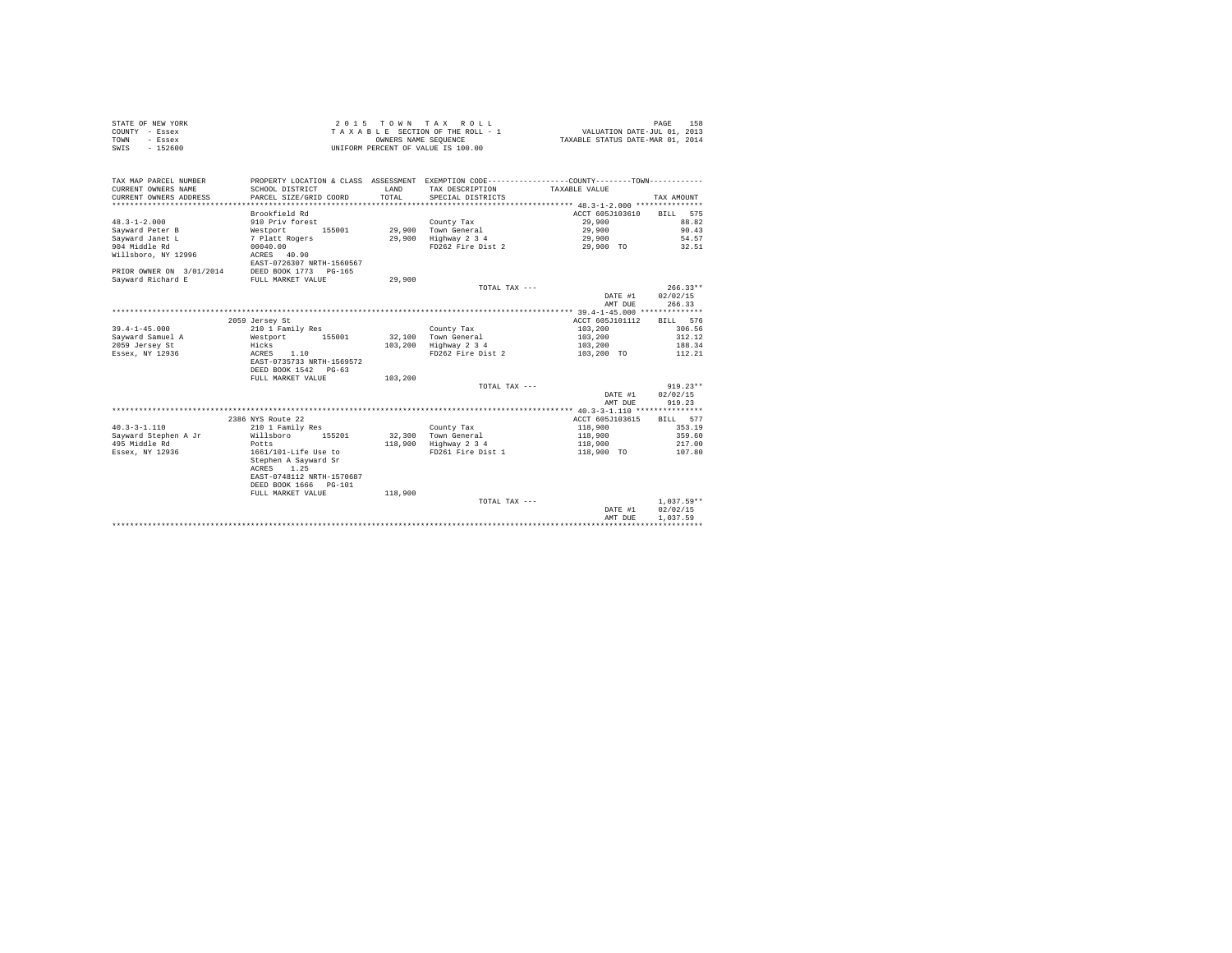|                | STATE OF NEW YORK |  |  | 2015 TOWN TAX ROLL                 |  |  |  | 158<br>PAGE                      |
|----------------|-------------------|--|--|------------------------------------|--|--|--|----------------------------------|
| COUNTY - Essex |                   |  |  | TAXABLE SECTION OF THE ROLL - 1    |  |  |  | VALUATION DATE-JUL 01, 2013      |
| TOWN           | - Essex           |  |  | OWNERS NAME SEOUENCE               |  |  |  | TAXABLE STATUS DATE-MAR 01, 2014 |
| SWIS           | $-152600$         |  |  | UNIFORM PERCENT OF VALUE IS 100.00 |  |  |  |                                  |

| Brookfield Rd<br>ACCT 605J103610<br>BILL 575<br>$48.3 - 1 - 2.000$<br>910 Priv forest<br>29,900<br>88.82<br>County Tax<br>29.900 Town General<br>29,900<br>90.43<br>Savward Peter B<br>Westport<br>155001<br>Sayward Janet L<br>7 Platt Rogers<br>29,900<br>Highway 2 3 4<br>29,900<br>54.57<br>904 Middle Rd<br>FD262 Fire Dist 2<br>32.51<br>00040.00<br>29,900 TO<br>Willsboro, NY 12996<br>ACRES 40.90<br>EAST-0726307 NRTH-1560567<br>PRIOR OWNER ON 3/01/2014<br>DEED BOOK 1773 PG-165<br>Savward Richard E<br>FULL MARKET VALUE<br>29,900<br>$266.33**$<br>TOTAL TAX ---<br>02/02/15<br>DATE #1<br>266.33<br>AMT DUE<br>************** 39.4-1-45.000 **************<br>ACCT 605J101112<br>BILL 576<br>2059 Jersey St<br>$39.4 - 1 - 45.000$<br>210 1 Family Res<br>103,200<br>306.56<br>County Tax<br>32,100 Town General<br>103,200<br>312.12<br>Sayward Samuel A<br>Westport<br>155001<br>188.34<br>2059 Jersey St<br>103,200 Highway 2 3 4<br>Hicks<br>103,200<br>Essex, NY 12936<br>ACRES 1.10<br>FD262 Fire Dist 2<br>103,200 TO<br>112.21<br>EAST-0735733 NRTH-1569572<br>DEED BOOK 1542 PG-63<br>FULL MARKET VALUE<br>103,200<br>$919.23**$<br>TOTAL TAX ---<br>02/02/15<br>DATE #1<br>919.23<br>AMT DUE<br>2386 NYS Route 22<br>ACCT 605J103615<br>BILL 577<br>$40.3 - 3 - 1.110$<br>118,900<br>353.19<br>210 1 Family Res<br>County Tax<br>Sayward Stephen A Jr<br>32,300 Town General<br>118,900<br>359.60<br>Willsboro<br>155201<br>495 Middle Rd<br>118,900<br>Highway 2 3 4<br>118,900<br>217.00<br>Potts<br>1661/101-Life Use to<br>FD261 Fire Dist 1<br>107.80<br>Essex, NY 12936<br>118,900 TO<br>Stephen A Sayward Sr<br>ACRES 1.25<br>EAST-0748112 NRTH-1570687<br>DEED BOOK 1666 PG-101<br>FULL MARKET VALUE<br>118,900<br>$1.037.59**$<br>TOTAL TAX ---<br>02/02/15<br>DATE #1<br>AMT DUE<br>1,037.59 | TAX MAP PARCEL NUMBER<br>CURRENT OWNERS NAME<br>CURRENT OWNERS ADDRESS<br>***************** | SCHOOL DISTRICT<br>PARCEL SIZE/GRID COORD | LAND<br>TOTAL. | PROPERTY LOCATION & CLASS ASSESSMENT EXEMPTION CODE----------------COUNTY--------TOWN----------<br>TAX DESCRIPTION<br>SPECIAL DISTRICTS | TAXABLE VALUE | TAX AMOUNT |
|----------------------------------------------------------------------------------------------------------------------------------------------------------------------------------------------------------------------------------------------------------------------------------------------------------------------------------------------------------------------------------------------------------------------------------------------------------------------------------------------------------------------------------------------------------------------------------------------------------------------------------------------------------------------------------------------------------------------------------------------------------------------------------------------------------------------------------------------------------------------------------------------------------------------------------------------------------------------------------------------------------------------------------------------------------------------------------------------------------------------------------------------------------------------------------------------------------------------------------------------------------------------------------------------------------------------------------------------------------------------------------------------------------------------------------------------------------------------------------------------------------------------------------------------------------------------------------------------------------------------------------------------------------------------------------------------------------------------------------------------------------------------------------------------------------------------------------|---------------------------------------------------------------------------------------------|-------------------------------------------|----------------|-----------------------------------------------------------------------------------------------------------------------------------------|---------------|------------|
|                                                                                                                                                                                                                                                                                                                                                                                                                                                                                                                                                                                                                                                                                                                                                                                                                                                                                                                                                                                                                                                                                                                                                                                                                                                                                                                                                                                                                                                                                                                                                                                                                                                                                                                                                                                                                                  |                                                                                             |                                           |                |                                                                                                                                         |               |            |
|                                                                                                                                                                                                                                                                                                                                                                                                                                                                                                                                                                                                                                                                                                                                                                                                                                                                                                                                                                                                                                                                                                                                                                                                                                                                                                                                                                                                                                                                                                                                                                                                                                                                                                                                                                                                                                  |                                                                                             |                                           |                |                                                                                                                                         |               |            |
|                                                                                                                                                                                                                                                                                                                                                                                                                                                                                                                                                                                                                                                                                                                                                                                                                                                                                                                                                                                                                                                                                                                                                                                                                                                                                                                                                                                                                                                                                                                                                                                                                                                                                                                                                                                                                                  |                                                                                             |                                           |                |                                                                                                                                         |               |            |
|                                                                                                                                                                                                                                                                                                                                                                                                                                                                                                                                                                                                                                                                                                                                                                                                                                                                                                                                                                                                                                                                                                                                                                                                                                                                                                                                                                                                                                                                                                                                                                                                                                                                                                                                                                                                                                  |                                                                                             |                                           |                |                                                                                                                                         |               |            |
|                                                                                                                                                                                                                                                                                                                                                                                                                                                                                                                                                                                                                                                                                                                                                                                                                                                                                                                                                                                                                                                                                                                                                                                                                                                                                                                                                                                                                                                                                                                                                                                                                                                                                                                                                                                                                                  |                                                                                             |                                           |                |                                                                                                                                         |               |            |
|                                                                                                                                                                                                                                                                                                                                                                                                                                                                                                                                                                                                                                                                                                                                                                                                                                                                                                                                                                                                                                                                                                                                                                                                                                                                                                                                                                                                                                                                                                                                                                                                                                                                                                                                                                                                                                  |                                                                                             |                                           |                |                                                                                                                                         |               |            |
|                                                                                                                                                                                                                                                                                                                                                                                                                                                                                                                                                                                                                                                                                                                                                                                                                                                                                                                                                                                                                                                                                                                                                                                                                                                                                                                                                                                                                                                                                                                                                                                                                                                                                                                                                                                                                                  |                                                                                             |                                           |                |                                                                                                                                         |               |            |
|                                                                                                                                                                                                                                                                                                                                                                                                                                                                                                                                                                                                                                                                                                                                                                                                                                                                                                                                                                                                                                                                                                                                                                                                                                                                                                                                                                                                                                                                                                                                                                                                                                                                                                                                                                                                                                  |                                                                                             |                                           |                |                                                                                                                                         |               |            |
|                                                                                                                                                                                                                                                                                                                                                                                                                                                                                                                                                                                                                                                                                                                                                                                                                                                                                                                                                                                                                                                                                                                                                                                                                                                                                                                                                                                                                                                                                                                                                                                                                                                                                                                                                                                                                                  |                                                                                             |                                           |                |                                                                                                                                         |               |            |
|                                                                                                                                                                                                                                                                                                                                                                                                                                                                                                                                                                                                                                                                                                                                                                                                                                                                                                                                                                                                                                                                                                                                                                                                                                                                                                                                                                                                                                                                                                                                                                                                                                                                                                                                                                                                                                  |                                                                                             |                                           |                |                                                                                                                                         |               |            |
|                                                                                                                                                                                                                                                                                                                                                                                                                                                                                                                                                                                                                                                                                                                                                                                                                                                                                                                                                                                                                                                                                                                                                                                                                                                                                                                                                                                                                                                                                                                                                                                                                                                                                                                                                                                                                                  |                                                                                             |                                           |                |                                                                                                                                         |               |            |
|                                                                                                                                                                                                                                                                                                                                                                                                                                                                                                                                                                                                                                                                                                                                                                                                                                                                                                                                                                                                                                                                                                                                                                                                                                                                                                                                                                                                                                                                                                                                                                                                                                                                                                                                                                                                                                  |                                                                                             |                                           |                |                                                                                                                                         |               |            |
|                                                                                                                                                                                                                                                                                                                                                                                                                                                                                                                                                                                                                                                                                                                                                                                                                                                                                                                                                                                                                                                                                                                                                                                                                                                                                                                                                                                                                                                                                                                                                                                                                                                                                                                                                                                                                                  |                                                                                             |                                           |                |                                                                                                                                         |               |            |
|                                                                                                                                                                                                                                                                                                                                                                                                                                                                                                                                                                                                                                                                                                                                                                                                                                                                                                                                                                                                                                                                                                                                                                                                                                                                                                                                                                                                                                                                                                                                                                                                                                                                                                                                                                                                                                  |                                                                                             |                                           |                |                                                                                                                                         |               |            |
|                                                                                                                                                                                                                                                                                                                                                                                                                                                                                                                                                                                                                                                                                                                                                                                                                                                                                                                                                                                                                                                                                                                                                                                                                                                                                                                                                                                                                                                                                                                                                                                                                                                                                                                                                                                                                                  |                                                                                             |                                           |                |                                                                                                                                         |               |            |
|                                                                                                                                                                                                                                                                                                                                                                                                                                                                                                                                                                                                                                                                                                                                                                                                                                                                                                                                                                                                                                                                                                                                                                                                                                                                                                                                                                                                                                                                                                                                                                                                                                                                                                                                                                                                                                  |                                                                                             |                                           |                |                                                                                                                                         |               |            |
|                                                                                                                                                                                                                                                                                                                                                                                                                                                                                                                                                                                                                                                                                                                                                                                                                                                                                                                                                                                                                                                                                                                                                                                                                                                                                                                                                                                                                                                                                                                                                                                                                                                                                                                                                                                                                                  |                                                                                             |                                           |                |                                                                                                                                         |               |            |
|                                                                                                                                                                                                                                                                                                                                                                                                                                                                                                                                                                                                                                                                                                                                                                                                                                                                                                                                                                                                                                                                                                                                                                                                                                                                                                                                                                                                                                                                                                                                                                                                                                                                                                                                                                                                                                  |                                                                                             |                                           |                |                                                                                                                                         |               |            |
|                                                                                                                                                                                                                                                                                                                                                                                                                                                                                                                                                                                                                                                                                                                                                                                                                                                                                                                                                                                                                                                                                                                                                                                                                                                                                                                                                                                                                                                                                                                                                                                                                                                                                                                                                                                                                                  |                                                                                             |                                           |                |                                                                                                                                         |               |            |
|                                                                                                                                                                                                                                                                                                                                                                                                                                                                                                                                                                                                                                                                                                                                                                                                                                                                                                                                                                                                                                                                                                                                                                                                                                                                                                                                                                                                                                                                                                                                                                                                                                                                                                                                                                                                                                  |                                                                                             |                                           |                |                                                                                                                                         |               |            |
|                                                                                                                                                                                                                                                                                                                                                                                                                                                                                                                                                                                                                                                                                                                                                                                                                                                                                                                                                                                                                                                                                                                                                                                                                                                                                                                                                                                                                                                                                                                                                                                                                                                                                                                                                                                                                                  |                                                                                             |                                           |                |                                                                                                                                         |               |            |
|                                                                                                                                                                                                                                                                                                                                                                                                                                                                                                                                                                                                                                                                                                                                                                                                                                                                                                                                                                                                                                                                                                                                                                                                                                                                                                                                                                                                                                                                                                                                                                                                                                                                                                                                                                                                                                  |                                                                                             |                                           |                |                                                                                                                                         |               |            |
|                                                                                                                                                                                                                                                                                                                                                                                                                                                                                                                                                                                                                                                                                                                                                                                                                                                                                                                                                                                                                                                                                                                                                                                                                                                                                                                                                                                                                                                                                                                                                                                                                                                                                                                                                                                                                                  |                                                                                             |                                           |                |                                                                                                                                         |               |            |
|                                                                                                                                                                                                                                                                                                                                                                                                                                                                                                                                                                                                                                                                                                                                                                                                                                                                                                                                                                                                                                                                                                                                                                                                                                                                                                                                                                                                                                                                                                                                                                                                                                                                                                                                                                                                                                  |                                                                                             |                                           |                |                                                                                                                                         |               |            |
|                                                                                                                                                                                                                                                                                                                                                                                                                                                                                                                                                                                                                                                                                                                                                                                                                                                                                                                                                                                                                                                                                                                                                                                                                                                                                                                                                                                                                                                                                                                                                                                                                                                                                                                                                                                                                                  |                                                                                             |                                           |                |                                                                                                                                         |               |            |
|                                                                                                                                                                                                                                                                                                                                                                                                                                                                                                                                                                                                                                                                                                                                                                                                                                                                                                                                                                                                                                                                                                                                                                                                                                                                                                                                                                                                                                                                                                                                                                                                                                                                                                                                                                                                                                  |                                                                                             |                                           |                |                                                                                                                                         |               |            |
|                                                                                                                                                                                                                                                                                                                                                                                                                                                                                                                                                                                                                                                                                                                                                                                                                                                                                                                                                                                                                                                                                                                                                                                                                                                                                                                                                                                                                                                                                                                                                                                                                                                                                                                                                                                                                                  |                                                                                             |                                           |                |                                                                                                                                         |               |            |
|                                                                                                                                                                                                                                                                                                                                                                                                                                                                                                                                                                                                                                                                                                                                                                                                                                                                                                                                                                                                                                                                                                                                                                                                                                                                                                                                                                                                                                                                                                                                                                                                                                                                                                                                                                                                                                  |                                                                                             |                                           |                |                                                                                                                                         |               |            |
|                                                                                                                                                                                                                                                                                                                                                                                                                                                                                                                                                                                                                                                                                                                                                                                                                                                                                                                                                                                                                                                                                                                                                                                                                                                                                                                                                                                                                                                                                                                                                                                                                                                                                                                                                                                                                                  |                                                                                             |                                           |                |                                                                                                                                         |               |            |
|                                                                                                                                                                                                                                                                                                                                                                                                                                                                                                                                                                                                                                                                                                                                                                                                                                                                                                                                                                                                                                                                                                                                                                                                                                                                                                                                                                                                                                                                                                                                                                                                                                                                                                                                                                                                                                  |                                                                                             |                                           |                |                                                                                                                                         |               |            |
|                                                                                                                                                                                                                                                                                                                                                                                                                                                                                                                                                                                                                                                                                                                                                                                                                                                                                                                                                                                                                                                                                                                                                                                                                                                                                                                                                                                                                                                                                                                                                                                                                                                                                                                                                                                                                                  |                                                                                             |                                           |                |                                                                                                                                         |               |            |
|                                                                                                                                                                                                                                                                                                                                                                                                                                                                                                                                                                                                                                                                                                                                                                                                                                                                                                                                                                                                                                                                                                                                                                                                                                                                                                                                                                                                                                                                                                                                                                                                                                                                                                                                                                                                                                  |                                                                                             |                                           |                |                                                                                                                                         |               |            |
|                                                                                                                                                                                                                                                                                                                                                                                                                                                                                                                                                                                                                                                                                                                                                                                                                                                                                                                                                                                                                                                                                                                                                                                                                                                                                                                                                                                                                                                                                                                                                                                                                                                                                                                                                                                                                                  |                                                                                             |                                           |                |                                                                                                                                         |               |            |
|                                                                                                                                                                                                                                                                                                                                                                                                                                                                                                                                                                                                                                                                                                                                                                                                                                                                                                                                                                                                                                                                                                                                                                                                                                                                                                                                                                                                                                                                                                                                                                                                                                                                                                                                                                                                                                  |                                                                                             |                                           |                |                                                                                                                                         |               |            |
|                                                                                                                                                                                                                                                                                                                                                                                                                                                                                                                                                                                                                                                                                                                                                                                                                                                                                                                                                                                                                                                                                                                                                                                                                                                                                                                                                                                                                                                                                                                                                                                                                                                                                                                                                                                                                                  |                                                                                             |                                           |                |                                                                                                                                         |               |            |
|                                                                                                                                                                                                                                                                                                                                                                                                                                                                                                                                                                                                                                                                                                                                                                                                                                                                                                                                                                                                                                                                                                                                                                                                                                                                                                                                                                                                                                                                                                                                                                                                                                                                                                                                                                                                                                  |                                                                                             |                                           |                |                                                                                                                                         |               |            |
|                                                                                                                                                                                                                                                                                                                                                                                                                                                                                                                                                                                                                                                                                                                                                                                                                                                                                                                                                                                                                                                                                                                                                                                                                                                                                                                                                                                                                                                                                                                                                                                                                                                                                                                                                                                                                                  |                                                                                             |                                           |                |                                                                                                                                         |               |            |
|                                                                                                                                                                                                                                                                                                                                                                                                                                                                                                                                                                                                                                                                                                                                                                                                                                                                                                                                                                                                                                                                                                                                                                                                                                                                                                                                                                                                                                                                                                                                                                                                                                                                                                                                                                                                                                  |                                                                                             |                                           |                |                                                                                                                                         |               |            |
|                                                                                                                                                                                                                                                                                                                                                                                                                                                                                                                                                                                                                                                                                                                                                                                                                                                                                                                                                                                                                                                                                                                                                                                                                                                                                                                                                                                                                                                                                                                                                                                                                                                                                                                                                                                                                                  |                                                                                             |                                           |                |                                                                                                                                         |               |            |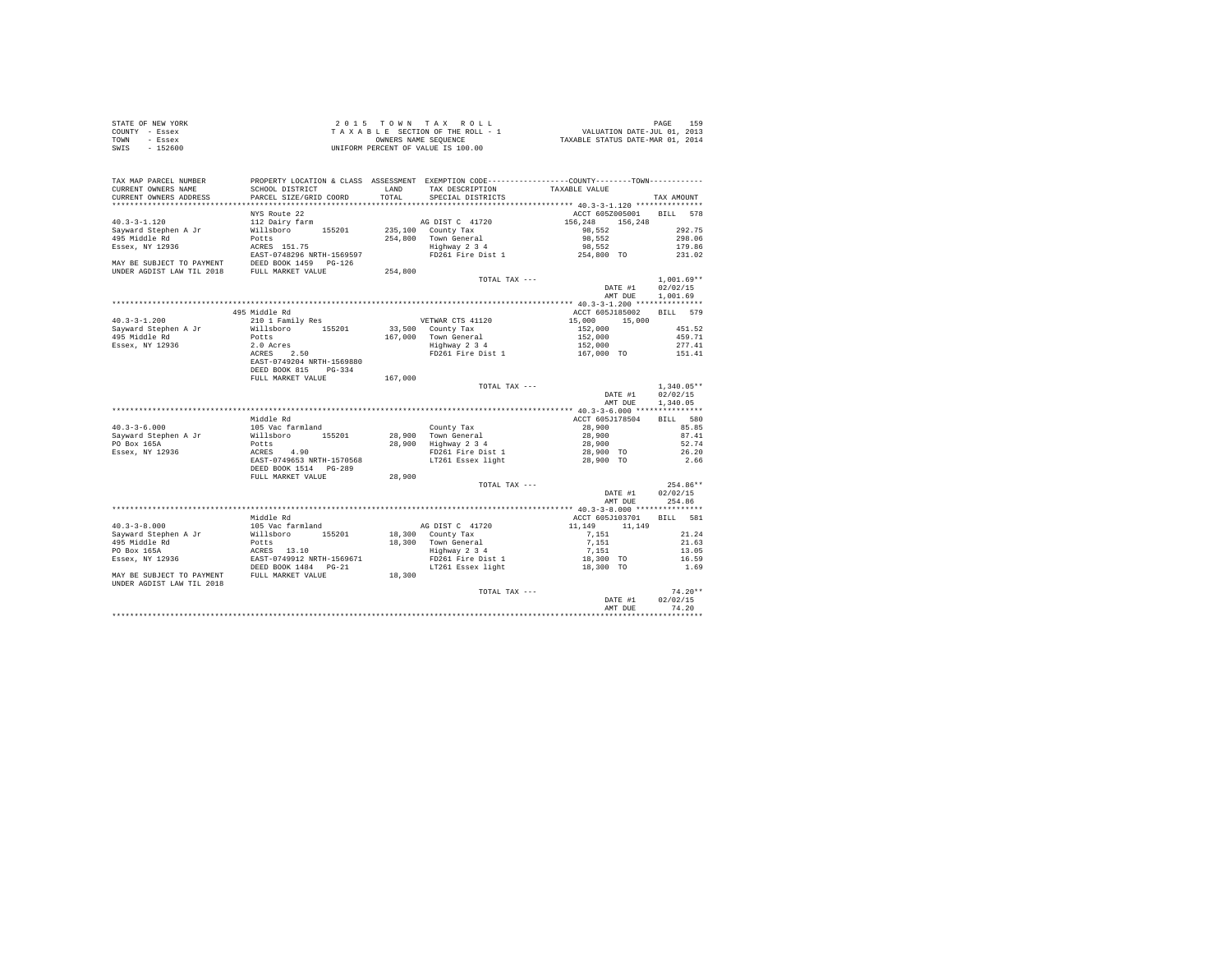| STATE OF NEW YORK<br>COUNTY - Essex<br>TOWN - Essex<br>SWIS - 152600                                                                                                                                                                                                      |                                                                                                                                                     |               | 2015 TOWN TAX ROLL<br>$\begin{array}{ccccccccc} 2&0&1&5&\textcolor{red}{\textbf{T}}&\textcolor{red}{\textbf{D}}&\textcolor{red}{\textbf{D}}&\textcolor{red}{\textbf{D}}&\textcolor{red}{\textbf{D}}&\textcolor{red}{\textbf{D}}&\textcolor{red}{\textbf{D}}&\textcolor{red}{\textbf{D}}&\textcolor{red}{\textbf{D}}&\textcolor{red}{\textbf{D}}&\textcolor{red}{\textbf{D}}&\textcolor{red}{\textbf{D}}&\textcolor{red}{\textbf{D}}&\textcolor{red}{\textbf{D}}&\textcolor{red}{\textbf{D}}&\textcolor{red}{\text$<br>UNIFORM PERCENT OF VALUE IS 100.00 |                                | PAGE<br>159    |
|---------------------------------------------------------------------------------------------------------------------------------------------------------------------------------------------------------------------------------------------------------------------------|-----------------------------------------------------------------------------------------------------------------------------------------------------|---------------|----------------------------------------------------------------------------------------------------------------------------------------------------------------------------------------------------------------------------------------------------------------------------------------------------------------------------------------------------------------------------------------------------------------------------------------------------------------------------------------------------------------------------------------------------------|--------------------------------|----------------|
| TAX MAP PARCEL NUMBER<br>CURRENT OWNERS NAME<br>CURRENT OWNERS ADDRESS                                                                                                                                                                                                    | SCHOOL DISTRICT<br>PARCEL SIZE/GRID COORD                                                                                                           | LAND<br>TOTAL | PROPERTY LOCATION & CLASS ASSESSMENT EXEMPTION CODE----------------COUNTY-------TOWN---------<br>TAX DESCRIPTION<br>SPECIAL DISTRICTS                                                                                                                                                                                                                                                                                                                                                                                                                    | TAXABLE VALUE                  | TAX AMOUNT     |
|                                                                                                                                                                                                                                                                           | NYS Route 22                                                                                                                                        |               |                                                                                                                                                                                                                                                                                                                                                                                                                                                                                                                                                          | ACCT 605Z005001 BILL 578       |                |
| $40.3 - 3 - 1.120$                                                                                                                                                                                                                                                        | 112 Dairy farm                                                                                                                                      |               | $\begin{tabular}{c c c} \hline & \multicolumn{1}{c }{\text{AG DIST C}} & 41720 & 156,248 & 156,24 \\ 235,100 & \multicolumn{1}{c}{\text{CountY Tax}} & 98,552 \\ 254,800 & \multicolumn{1}{c}{\text{Tour General}} & 98,552 \\ 154 & \multicolumn{1}{c}{\text{Brown General}} & 98,552 \\ 154 & \multicolumn{1}{c}{\text{Py261 Fire Dist 1}} & 254,800 & \text{TO} \\ \hline \end{tabular}$                                                                                                                                                              | 156, 248 156, 248<br>98, 552 2 |                |
|                                                                                                                                                                                                                                                                           |                                                                                                                                                     |               |                                                                                                                                                                                                                                                                                                                                                                                                                                                                                                                                                          |                                | 292.75         |
|                                                                                                                                                                                                                                                                           |                                                                                                                                                     |               |                                                                                                                                                                                                                                                                                                                                                                                                                                                                                                                                                          |                                | 298.06         |
|                                                                                                                                                                                                                                                                           |                                                                                                                                                     |               |                                                                                                                                                                                                                                                                                                                                                                                                                                                                                                                                                          |                                | 179.86         |
|                                                                                                                                                                                                                                                                           |                                                                                                                                                     |               |                                                                                                                                                                                                                                                                                                                                                                                                                                                                                                                                                          |                                | 231.02         |
|                                                                                                                                                                                                                                                                           |                                                                                                                                                     |               |                                                                                                                                                                                                                                                                                                                                                                                                                                                                                                                                                          |                                |                |
|                                                                                                                                                                                                                                                                           |                                                                                                                                                     |               | TOTAL TAX ---                                                                                                                                                                                                                                                                                                                                                                                                                                                                                                                                            |                                | $1.001.69**$   |
|                                                                                                                                                                                                                                                                           |                                                                                                                                                     |               |                                                                                                                                                                                                                                                                                                                                                                                                                                                                                                                                                          | DATE #1 02/02/15               |                |
|                                                                                                                                                                                                                                                                           |                                                                                                                                                     |               |                                                                                                                                                                                                                                                                                                                                                                                                                                                                                                                                                          | AMT DUE                        | 1,001.69       |
|                                                                                                                                                                                                                                                                           |                                                                                                                                                     |               |                                                                                                                                                                                                                                                                                                                                                                                                                                                                                                                                                          |                                |                |
|                                                                                                                                                                                                                                                                           | 495 Middle Rd                                                                                                                                       |               |                                                                                                                                                                                                                                                                                                                                                                                                                                                                                                                                                          | ACCT 605J185002 BILL 579       |                |
| $40.3 - 3 - 1.200$                                                                                                                                                                                                                                                        |                                                                                                                                                     |               |                                                                                                                                                                                                                                                                                                                                                                                                                                                                                                                                                          |                                |                |
| Sayward Stephen A Jr<br>495 Middle Rd<br>Essex, NY 12936                                                                                                                                                                                                                  |                                                                                                                                                     |               |                                                                                                                                                                                                                                                                                                                                                                                                                                                                                                                                                          |                                |                |
|                                                                                                                                                                                                                                                                           |                                                                                                                                                     |               |                                                                                                                                                                                                                                                                                                                                                                                                                                                                                                                                                          |                                |                |
|                                                                                                                                                                                                                                                                           |                                                                                                                                                     |               | 499 MORIE ROLL EVALUE ROLL OF THE PRESSURE OF THE PRESSURE OF THE PRESSURE 2.0 ACC 1 000 15,000 15,000 15,000<br>2.0 ASSEMBLE 2.0 ASSEMBLE 2.0 ASSEMBLE 2.0 ASSEMBLE 2.0 ASSEMBLE 2.0 ASSEMBLE 2.0 ASSEMBLE 2.0 ASSEMBLE 2.0 ASS                                                                                                                                                                                                                                                                                                                         |                                |                |
|                                                                                                                                                                                                                                                                           | EAST-0749204 NRTH-1569880                                                                                                                           |               |                                                                                                                                                                                                                                                                                                                                                                                                                                                                                                                                                          |                                |                |
|                                                                                                                                                                                                                                                                           | DEED BOOK 815 PG-334                                                                                                                                |               |                                                                                                                                                                                                                                                                                                                                                                                                                                                                                                                                                          |                                |                |
|                                                                                                                                                                                                                                                                           | FULL MARKET VALUE                                                                                                                                   | 167,000       |                                                                                                                                                                                                                                                                                                                                                                                                                                                                                                                                                          |                                |                |
|                                                                                                                                                                                                                                                                           |                                                                                                                                                     |               | TOTAL TAX ---                                                                                                                                                                                                                                                                                                                                                                                                                                                                                                                                            |                                | $1,340.05**$   |
|                                                                                                                                                                                                                                                                           |                                                                                                                                                     |               |                                                                                                                                                                                                                                                                                                                                                                                                                                                                                                                                                          | DATE #1<br>AMT DUE 1.340.05    | 02/02/15       |
|                                                                                                                                                                                                                                                                           |                                                                                                                                                     |               |                                                                                                                                                                                                                                                                                                                                                                                                                                                                                                                                                          |                                |                |
|                                                                                                                                                                                                                                                                           | Middle Rd                                                                                                                                           |               |                                                                                                                                                                                                                                                                                                                                                                                                                                                                                                                                                          | ACCT 605J178504                | BILL 580       |
| $40.3 - 3 - 6.000$                                                                                                                                                                                                                                                        |                                                                                                                                                     |               |                                                                                                                                                                                                                                                                                                                                                                                                                                                                                                                                                          |                                | 85.85          |
|                                                                                                                                                                                                                                                                           |                                                                                                                                                     |               |                                                                                                                                                                                                                                                                                                                                                                                                                                                                                                                                                          |                                | 87.41<br>52.74 |
| Sayward Stephen A Jr<br>PO Box 165A<br>Essex, NY 12936                                                                                                                                                                                                                    |                                                                                                                                                     |               |                                                                                                                                                                                                                                                                                                                                                                                                                                                                                                                                                          |                                | 26.20          |
|                                                                                                                                                                                                                                                                           | middle Ma<br>105 Vac farmland<br>Willsboro 155201<br>Potts<br>EXERS 4.90<br>EXET-0749653 NRTH-1570568<br>DEED BOOK 1514 PG-289<br>PULL MARKET VALUE |               | County Tax<br>28,900 Town General<br>28,900 Highway 234<br>28,900 Highway 234<br>28,900 FD261 Fire Dist 1<br>28,900 TO<br>10 17261 Essex light<br>28,900 TO                                                                                                                                                                                                                                                                                                                                                                                              |                                | 2.66           |
|                                                                                                                                                                                                                                                                           |                                                                                                                                                     |               |                                                                                                                                                                                                                                                                                                                                                                                                                                                                                                                                                          |                                |                |
|                                                                                                                                                                                                                                                                           |                                                                                                                                                     | 28,900        |                                                                                                                                                                                                                                                                                                                                                                                                                                                                                                                                                          |                                |                |
|                                                                                                                                                                                                                                                                           |                                                                                                                                                     |               | TOTAL TAX ---                                                                                                                                                                                                                                                                                                                                                                                                                                                                                                                                            |                                | 254.86**       |
|                                                                                                                                                                                                                                                                           |                                                                                                                                                     |               |                                                                                                                                                                                                                                                                                                                                                                                                                                                                                                                                                          | DATE #1 02/02/15               |                |
|                                                                                                                                                                                                                                                                           |                                                                                                                                                     |               |                                                                                                                                                                                                                                                                                                                                                                                                                                                                                                                                                          | AMT DUE 254.86                 |                |
|                                                                                                                                                                                                                                                                           |                                                                                                                                                     |               |                                                                                                                                                                                                                                                                                                                                                                                                                                                                                                                                                          |                                |                |
|                                                                                                                                                                                                                                                                           | Middle Rd                                                                                                                                           |               |                                                                                                                                                                                                                                                                                                                                                                                                                                                                                                                                                          | ACCT 605J103701 BILL 581       |                |
| $40.3 - 3 - 8.000$                                                                                                                                                                                                                                                        | 105 Vac farmland                                                                                                                                    |               |                                                                                                                                                                                                                                                                                                                                                                                                                                                                                                                                                          |                                | 21.24          |
|                                                                                                                                                                                                                                                                           |                                                                                                                                                     |               |                                                                                                                                                                                                                                                                                                                                                                                                                                                                                                                                                          |                                | 21.63          |
|                                                                                                                                                                                                                                                                           |                                                                                                                                                     |               |                                                                                                                                                                                                                                                                                                                                                                                                                                                                                                                                                          |                                | 13.05          |
|                                                                                                                                                                                                                                                                           |                                                                                                                                                     |               |                                                                                                                                                                                                                                                                                                                                                                                                                                                                                                                                                          |                                | 16.59          |
|                                                                                                                                                                                                                                                                           |                                                                                                                                                     |               |                                                                                                                                                                                                                                                                                                                                                                                                                                                                                                                                                          |                                | 1.69           |
| 40.3-3-8.000<br>Sayward Stephen A Jr<br>495 Middle Rd<br>195 Middle Rd<br>196 May 12936<br>2020 MAY BE SUBJECT TO PAYMENT TRAFF-19749912 NRTH-1569671<br>2020 MAY BE SUBJECT TO PAYMENT TRED BOOK 1484<br>2021 NAY BE SUBJECT TO PAYMENT FUL<br>UNDER AGDIST LAW TIL 2018 |                                                                                                                                                     | 18,300        |                                                                                                                                                                                                                                                                                                                                                                                                                                                                                                                                                          |                                |                |
|                                                                                                                                                                                                                                                                           |                                                                                                                                                     |               | TOTAL TAX ---                                                                                                                                                                                                                                                                                                                                                                                                                                                                                                                                            |                                | $74.20**$      |
|                                                                                                                                                                                                                                                                           |                                                                                                                                                     |               |                                                                                                                                                                                                                                                                                                                                                                                                                                                                                                                                                          | DATE #1                        | 02/02/15       |
|                                                                                                                                                                                                                                                                           |                                                                                                                                                     |               |                                                                                                                                                                                                                                                                                                                                                                                                                                                                                                                                                          | AMT DUE                        | 74.20          |
|                                                                                                                                                                                                                                                                           |                                                                                                                                                     |               |                                                                                                                                                                                                                                                                                                                                                                                                                                                                                                                                                          |                                |                |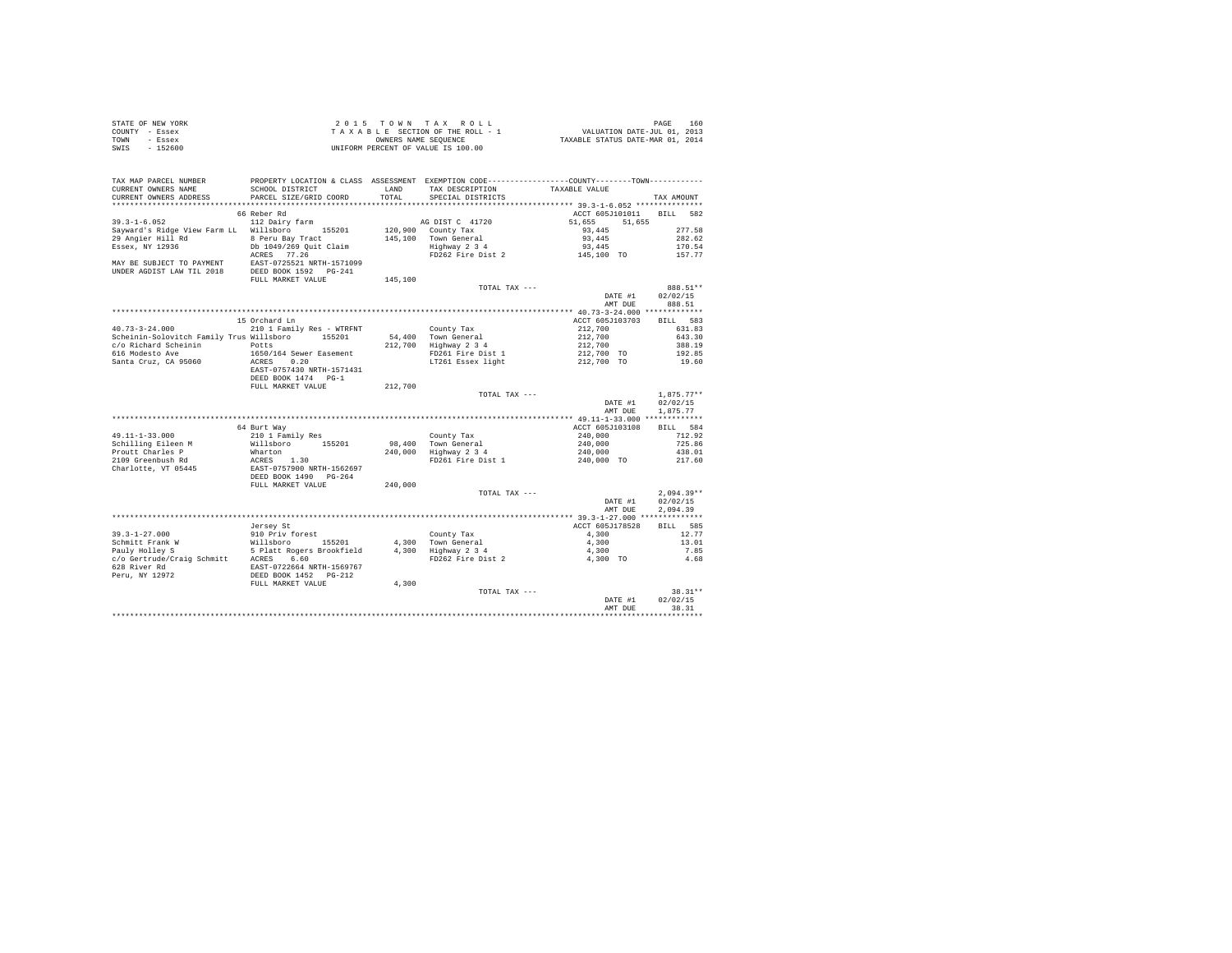| STATE OF NEW YORK | 2015 TOWN TAX ROLL                 | 160<br>PAGE                      |
|-------------------|------------------------------------|----------------------------------|
| COUNTY - Essex    | TAXABLE SECTION OF THE ROLL - 1    | VALUATION DATE-JUL 01, 2013      |
| TOWN<br>- Essex   | OWNERS NAME SEOUENCE               | TAXABLE STATUS DATE-MAR 01, 2014 |
| $-152600$<br>SWIS | UNIFORM PERCENT OF VALUE IS 100.00 |                                  |

| TAX MAP PARCEL NUMBER<br>CURRENT OWNERS NAME<br>CURRENT OWNERS ADDRESS                                                                                                                                                                    | PROPERTY LOCATION & CLASS ASSESSMENT EXEMPTION CODE----------------COUNTY--------TOWN----------<br>SCHOOL DISTRICT<br>PARCEL SIZE/GRID COORD | LAND<br>TOTAL | TAX DESCRIPTION<br>SPECIAL DISTRICTS                       | TAXABLE VALUE                            | TAX AMOUNT         |
|-------------------------------------------------------------------------------------------------------------------------------------------------------------------------------------------------------------------------------------------|----------------------------------------------------------------------------------------------------------------------------------------------|---------------|------------------------------------------------------------|------------------------------------------|--------------------|
| ***********************                                                                                                                                                                                                                   | ******************************                                                                                                               |               |                                                            |                                          |                    |
|                                                                                                                                                                                                                                           | 66 Reber Rd                                                                                                                                  |               |                                                            | ACCT 605J101011 BILL 582                 |                    |
| $39.3 - 1 - 6.052$                                                                                                                                                                                                                        | 112 Dairy farm                                                                                                                               |               | AG DIST C 41720                                            | 51,655<br>51,655                         |                    |
| Sayward's Ridge View Farm LL Willsboro 155201                                                                                                                                                                                             |                                                                                                                                              |               | 120,900 County Tax                                         | $93,445$                                 | 277.58             |
| 29 Angier Hill Rd 8 Peru Bay Tract                                                                                                                                                                                                        |                                                                                                                                              |               | 145.100 Town General                                       | 93,445                                   | 282.62             |
| Essex, NY 12936                                                                                                                                                                                                                           | Db 1049/269 Quit Claim                                                                                                                       |               | Highway 2 3 4<br>FD262 Fire Dist 2                         | 93,445                                   | 170.54             |
|                                                                                                                                                                                                                                           |                                                                                                                                              |               |                                                            | $145,100$ TO                             | 157.77             |
| ACRES 77.26<br>MAY BE SUBJECT TO PAYMENT EAST-0725521 NRTH-1571099<br>UNDER AGDIST LAW TIL 2018 DEED BOOK 1592 PG-241                                                                                                                     |                                                                                                                                              |               |                                                            |                                          |                    |
|                                                                                                                                                                                                                                           |                                                                                                                                              |               |                                                            |                                          |                    |
|                                                                                                                                                                                                                                           | FULL MARKET VALUE                                                                                                                            | 145,100       |                                                            |                                          |                    |
|                                                                                                                                                                                                                                           |                                                                                                                                              |               | TOTAL TAX ---                                              |                                          | 888.51**           |
|                                                                                                                                                                                                                                           |                                                                                                                                              |               |                                                            | DATE #1<br>AMT DUE                       | 02/02/15<br>888.51 |
|                                                                                                                                                                                                                                           |                                                                                                                                              |               |                                                            |                                          |                    |
|                                                                                                                                                                                                                                           | 15 Orchard Ln                                                                                                                                |               |                                                            | ACCT 605J103703 BILL 583                 |                    |
| $40.73 - 3 - 24.000$                                                                                                                                                                                                                      | 210 1 Family Res - WTRFNT                                                                                                                    |               |                                                            |                                          | 631.83             |
| Scheinin-Solovitch Family Trus Willsboro 155201                                                                                                                                                                                           |                                                                                                                                              |               | County Tax<br>54,400 Town General                          | 212,700<br>212,700<br>212,700            | 643.30             |
| c/o Richard Scheinin Potts                                                                                                                                                                                                                |                                                                                                                                              |               | 212,700 Highway 2 3 4                                      |                                          | 388.19             |
| 616 Modesto Ave                                                                                                                                                                                                                           | 1650/164 Sewer Easement                                                                                                                      |               |                                                            |                                          | 192.85             |
| Santa Cruz, CA 95060                                                                                                                                                                                                                      | ACRES 0.20                                                                                                                                   |               | FD261 Fire Dist 1<br>LT261 Essex light                     | 212,700 TO<br>212,700 TO                 | 19.60              |
|                                                                                                                                                                                                                                           | EAST-0757430 NRTH-1571431                                                                                                                    |               |                                                            |                                          |                    |
|                                                                                                                                                                                                                                           | DEED BOOK 1474 PG-1                                                                                                                          |               |                                                            |                                          |                    |
|                                                                                                                                                                                                                                           | FULL MARKET VALUE                                                                                                                            | 212,700       |                                                            |                                          |                    |
|                                                                                                                                                                                                                                           |                                                                                                                                              |               | TOTAL TAX ---                                              |                                          | $1.875.77**$       |
|                                                                                                                                                                                                                                           |                                                                                                                                              |               |                                                            | DATE #1                                  | 02/02/15           |
|                                                                                                                                                                                                                                           |                                                                                                                                              |               |                                                            | AMT DUE                                  | 1,875.77           |
|                                                                                                                                                                                                                                           |                                                                                                                                              |               |                                                            |                                          |                    |
|                                                                                                                                                                                                                                           | 64 Burt Way                                                                                                                                  |               |                                                            | ACCT 605J103108                          | BILL 584           |
| 49.11-1-33.000                                                                                                                                                                                                                            | 210 1 Family Res                                                                                                                             |               |                                                            |                                          | 712.92             |
| Schilling Eileen Manual Millsboro 155201<br>Prout Charles P Marton 155201<br>Prout Charles P Marton 156201<br>2109 Greenbush Rd RCRES<br>Charlotte, VT 05445<br>DEED BOOK 1490 PG-264                                                     |                                                                                                                                              |               | County Tax<br>98,400 Town General<br>240,000 Highway 2 3 4 | 240,000<br>240,000<br>240,000            | 725.86             |
|                                                                                                                                                                                                                                           |                                                                                                                                              |               |                                                            |                                          | 438.01             |
|                                                                                                                                                                                                                                           |                                                                                                                                              |               | FD261 Fire Dist 1                                          | 240,000 TO                               | 217.60             |
|                                                                                                                                                                                                                                           |                                                                                                                                              |               |                                                            |                                          |                    |
|                                                                                                                                                                                                                                           | FULL MARKET VALUE                                                                                                                            | 240,000       |                                                            |                                          |                    |
|                                                                                                                                                                                                                                           |                                                                                                                                              |               | TOTAL TAX ---                                              |                                          | $2.094.39**$       |
|                                                                                                                                                                                                                                           |                                                                                                                                              |               |                                                            | DATE #1                                  | 02/02/15           |
|                                                                                                                                                                                                                                           |                                                                                                                                              |               |                                                            | AMT DUE                                  | 2.094.39           |
|                                                                                                                                                                                                                                           |                                                                                                                                              |               |                                                            |                                          |                    |
|                                                                                                                                                                                                                                           | Jersey St                                                                                                                                    |               |                                                            | ACCT 605J178528                          | BILL 585           |
| $39.3 - 1 - 27.000$                                                                                                                                                                                                                       | 910 Priv forest                                                                                                                              |               | County Tax                                                 | 4,300                                    | 12.77              |
|                                                                                                                                                                                                                                           |                                                                                                                                              |               |                                                            | 4,300                                    | 13.01              |
|                                                                                                                                                                                                                                           |                                                                                                                                              |               |                                                            | 4.300                                    | 7.85               |
|                                                                                                                                                                                                                                           |                                                                                                                                              |               |                                                            | 4.300 TO                                 | 4.68               |
|                                                                                                                                                                                                                                           |                                                                                                                                              |               |                                                            |                                          |                    |
| 35.5-1-2.000 MM Millaboro 155201 4,300 Town General<br>Pauly Holley S. The Millaboro 155201 4,300 Town General<br>Pauly Holley S. The Ready Research 15.7-012664 NRTH-1569767<br>CO Gertrude/Craig Schmitt ACRES 6.60<br>628 River Rd<br> |                                                                                                                                              |               |                                                            |                                          |                    |
|                                                                                                                                                                                                                                           | FULL MARKET VALUE                                                                                                                            | 4,300         |                                                            |                                          |                    |
|                                                                                                                                                                                                                                           |                                                                                                                                              |               | TOTAL TAX ---                                              |                                          | 38.31**            |
|                                                                                                                                                                                                                                           |                                                                                                                                              |               |                                                            | DATE #1                                  | 02/02/15           |
|                                                                                                                                                                                                                                           |                                                                                                                                              |               |                                                            | AMT DUE<br>***************************** | 38.31              |
|                                                                                                                                                                                                                                           |                                                                                                                                              |               |                                                            |                                          |                    |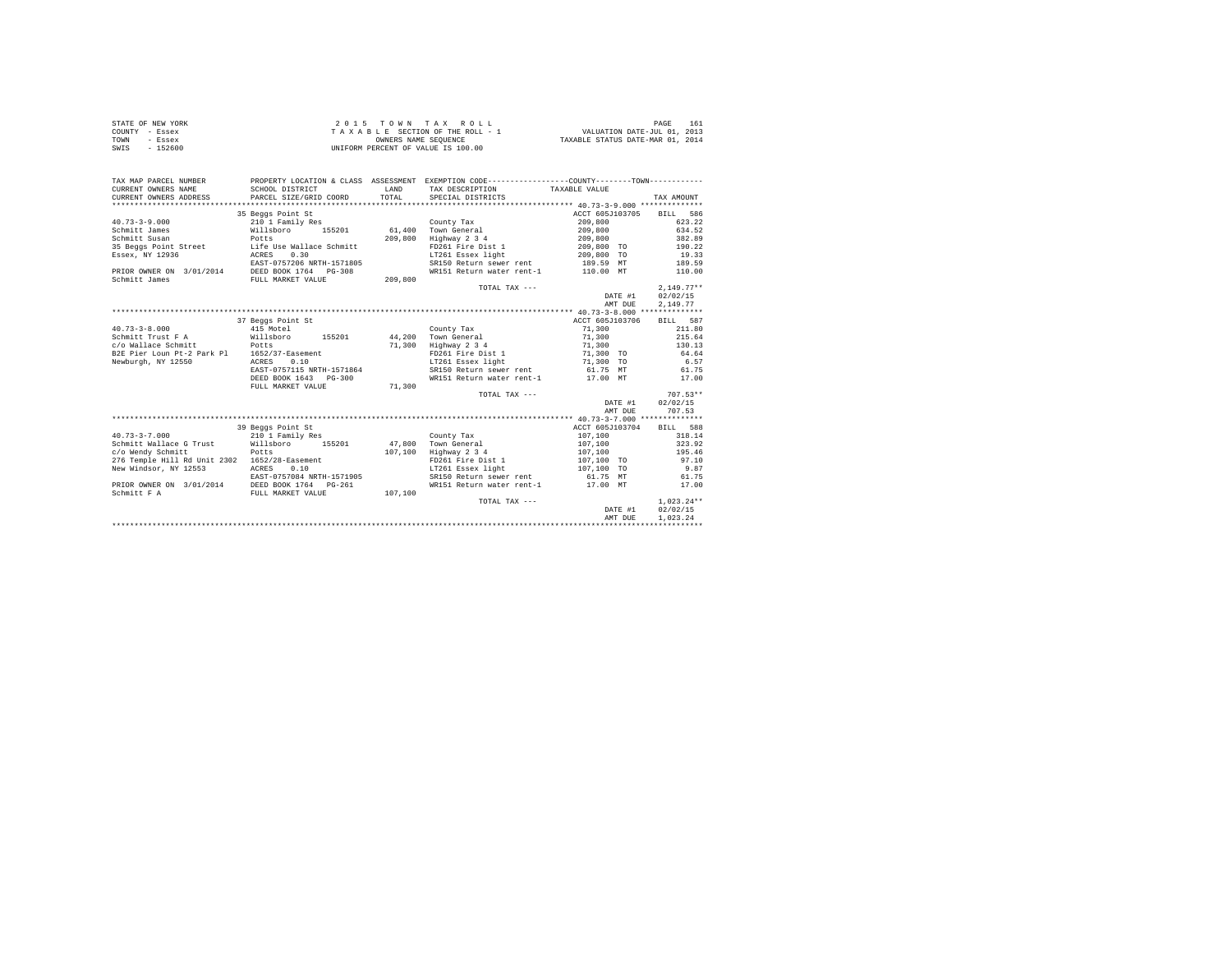| STATE OF NEW YORK | $2.0.15$ TOWN TAX ROLL             | 161<br>PAGE                      |
|-------------------|------------------------------------|----------------------------------|
| COUNTY - Essex    | TAXABLE SECTION OF THE ROLL - 1    | VALUATION DATE-JUL 01, 2013      |
| TOWN<br>- Essex   | OWNERS NAME SEOUENCE               | TAXABLE STATUS DATE-MAR 01, 2014 |
| $-152600$<br>SWIS | UNIFORM PERCENT OF VALUE IS 100.00 |                                  |

| TAX MAP PARCEL NUMBER<br>CURRENT OWNERS NAME<br>CURRENT OWNERS ADDRESS | PROPERTY LOCATION & CLASS ASSESSMENT EXEMPTION CODE----------------COUNTY--------TOWN----------<br>SCHOOL DISTRICT<br>PARCEL SIZE/GRID COORD | <b>T.AND</b><br>TOTAL | TAX DESCRIPTION<br>SPECIAL DISTRICTS | TAXABLE VALUE   |         | TAX AMOUNT   |
|------------------------------------------------------------------------|----------------------------------------------------------------------------------------------------------------------------------------------|-----------------------|--------------------------------------|-----------------|---------|--------------|
|                                                                        |                                                                                                                                              |                       |                                      |                 |         |              |
|                                                                        | 35 Beggs Point St                                                                                                                            |                       |                                      | ACCT 605J103705 |         | BILL 586     |
| $40.73 - 3 - 9.000$                                                    | 210 1 Family Res                                                                                                                             |                       | County Tax                           | 209,800         |         | 623.22       |
| Schmitt James                                                          | Willsboro<br>155201                                                                                                                          | 61,400                | Town General                         | 209,800         |         | 634.52       |
| Schmitt Susan                                                          | Potts                                                                                                                                        | 209,800               | Highway 2 3 4                        | 209,800         |         | 382.89       |
| 35 Beggs Point Street                                                  | Life Use Wallace Schmitt                                                                                                                     |                       | FD261 Fire Dist 1                    | 209,800 TO      |         | 190.22       |
| Essex, NY 12936                                                        | 0.30<br>ACRES                                                                                                                                |                       | LT261 Essex light                    | 209,800 TO      |         | 19.33        |
|                                                                        | EAST-0757206 NRTH-1571805                                                                                                                    |                       | SR150 Return sewer rent              | 189.59 MT       |         | 189.59       |
| PRIOR OWNER ON 3/01/2014 DEED BOOK 1764 PG-308                         |                                                                                                                                              |                       | WR151 Return water rent-1            | 110.00 MT       |         | 110.00       |
| Schmitt James                                                          | FULL MARKET VALUE                                                                                                                            | 209,800               |                                      |                 |         |              |
|                                                                        |                                                                                                                                              |                       | TOTAL TAX ---                        |                 |         | $2.149.77**$ |
|                                                                        |                                                                                                                                              |                       |                                      |                 | DATE #1 | 02/02/15     |
|                                                                        |                                                                                                                                              |                       |                                      |                 | AMT DUE | 2,149.77     |
|                                                                        |                                                                                                                                              |                       |                                      |                 |         |              |
|                                                                        | 37 Beggs Point St                                                                                                                            |                       |                                      | ACCT 605J103706 |         | BILL 587     |
| $40.73 - 3 - 8.000$                                                    | 415 Motel                                                                                                                                    |                       | County Tax                           | 71,300          |         | 211.80       |
| Schmitt Trust F A                                                      | 155201<br>Willsboro                                                                                                                          | 44,200                | Town General                         | 71,300          |         | 215.64       |
| c/o Wallace Schmitt                                                    | Potts                                                                                                                                        | 71,300                | Highway 2 3 4                        | 71,300          |         | 130.13       |
| B2E Pier Loun Pt-2 Park Pl 1652/37-Easement                            |                                                                                                                                              |                       | FD261 Fire Dist 1                    | 71,300 TO       |         | 64.64        |
| Newburgh, NY 12550                                                     | ACRES<br>0.10                                                                                                                                |                       | LT261 Essex light                    | 71,300 TO       |         | 6.57         |
|                                                                        | EAST-0757115 NRTH-1571864                                                                                                                    |                       | SR150 Return sewer rent              | 61.75 MT        |         | 61.75        |
|                                                                        | DEED BOOK 1643 PG-300                                                                                                                        |                       | WR151 Return water rent-1            | 17.00 MT        |         | 17.00        |
|                                                                        | FULL MARKET VALUE                                                                                                                            | 71,300                |                                      |                 |         |              |
|                                                                        |                                                                                                                                              |                       | TOTAL TAX ---                        |                 |         | $707.53**$   |
|                                                                        |                                                                                                                                              |                       |                                      |                 | DATE #1 | 02/02/15     |
|                                                                        |                                                                                                                                              |                       |                                      |                 | AMT DUE | 707.53       |
|                                                                        |                                                                                                                                              |                       |                                      |                 |         |              |
|                                                                        | 39 Beggs Point St                                                                                                                            |                       |                                      | ACCT 605J103704 |         | BILL 588     |
| $40.73 - 3 - 7.000$                                                    | 210 1 Family Res                                                                                                                             |                       | County Tax                           | 107,100         |         | 318.14       |
| Schmitt Wallace G Trust                                                | Willsboro<br>155201                                                                                                                          | 47,800                | Town General                         | 107,100         |         | 323.92       |
| c/o Wendy Schmitt                                                      | Potts                                                                                                                                        | 107,100               | Highway 2 3 4                        | 107,100         |         | 195.46       |
| 276 Temple Hill Rd Unit 2302 1652/28-Easement                          |                                                                                                                                              |                       | FD261 Fire Dist 1                    | 107,100 TO      |         | 97.10        |
| New Windsor, NY 12553                                                  | 0.10<br>ACRES                                                                                                                                |                       | LT261 Essex light                    | 107,100 TO      |         | 9.87         |
|                                                                        | EAST-0757084 NRTH-1571905                                                                                                                    |                       | SR150 Return sewer rent              | 61.75 MT        |         | 61.75        |
| PRIOR OWNER ON 3/01/2014 DEED BOOK 1764 PG-261                         |                                                                                                                                              |                       | WR151 Return water rent-1            | 17.00 MT        |         | 17.00        |
| Schmitt F A                                                            | FULL MARKET VALUE                                                                                                                            | 107,100               |                                      |                 |         |              |
|                                                                        |                                                                                                                                              |                       | TOTAL TAX ---                        |                 |         | $1,023.24**$ |
|                                                                        |                                                                                                                                              |                       |                                      |                 | DATE #1 | 02/02/15     |
|                                                                        |                                                                                                                                              |                       |                                      |                 | AMT DUE | 1,023.24     |
|                                                                        |                                                                                                                                              |                       |                                      |                 |         |              |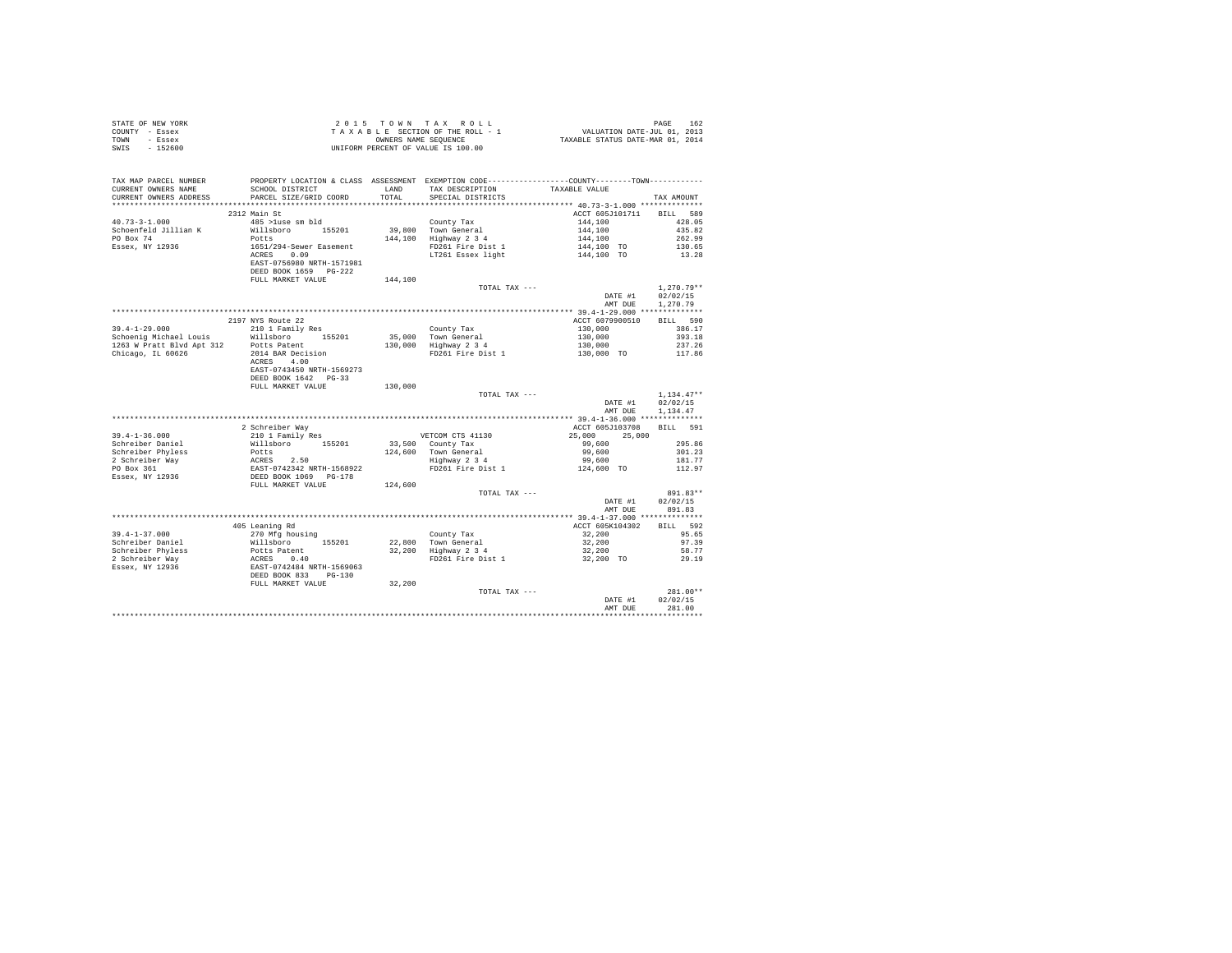|                | STATE OF NEW YORK | 2015 TOWN TAX ROLL                 |  |  |                      |  |  |  |                                  | PAGE                        | 162 |
|----------------|-------------------|------------------------------------|--|--|----------------------|--|--|--|----------------------------------|-----------------------------|-----|
| COUNTY - Essex |                   | TAXABLE SECTION OF THE ROLL - 1    |  |  |                      |  |  |  |                                  | VALUATION DATE-JUL 01, 2013 |     |
| TOWN           | - Essex           |                                    |  |  | OWNERS NAME SEOUENCE |  |  |  | TAXABLE STATUS DATE-MAR 01, 2014 |                             |     |
| SWIS           | $-152600$         | UNIFORM PERCENT OF VALUE IS 100.00 |  |  |                      |  |  |  |                                  |                             |     |

| TAX MAP PARCEL NUMBER<br>CURRENT OWNERS NAME<br>CURRENT OWNERS ADDRESS | PROPERTY LOCATION & CLASS ASSESSMENT EXEMPTION CODE----------------COUNTY-------TOWN----------<br>SCHOOL DISTRICT<br>PARCEL SIZE/GRID COORD | <b>T.AND</b><br>TOTAL | TAX DESCRIPTION<br>SPECIAL DISTRICTS      | TAXABLE VALUE                                                                                                       | TAX AMOUNT       |
|------------------------------------------------------------------------|---------------------------------------------------------------------------------------------------------------------------------------------|-----------------------|-------------------------------------------|---------------------------------------------------------------------------------------------------------------------|------------------|
| *************************                                              |                                                                                                                                             |                       |                                           |                                                                                                                     |                  |
|                                                                        | 2312 Main St                                                                                                                                |                       |                                           | ACCT 605J101711 BILL 589                                                                                            |                  |
| $40.73 - 3 - 1.000$                                                    | 485 >luse sm bld                                                                                                                            |                       |                                           | 144,100                                                                                                             | 428.05           |
| Schoenfeld Jillian K                                                   | Willsboro 155201                                                                                                                            |                       | County Tax<br>39,800 Town General         |                                                                                                                     | 435.82           |
| PO Box 74                                                              | Potts                                                                                                                                       |                       | 144,100 Highway 2 3 4                     |                                                                                                                     | 262.99           |
| Essex, NY 12936                                                        | 1651/294-Sewer Easement                                                                                                                     |                       | FD261 Fire Dist 1                         |                                                                                                                     | 130.65           |
|                                                                        | ACRES 0.09                                                                                                                                  |                       | LT261 Essex light                         |                                                                                                                     | 13.28            |
|                                                                        | EAST-0756980 NRTH-1571981                                                                                                                   |                       |                                           | $\begin{array}{l} 144,100 \\ 144,100 \\ 144,100 \\ 144,100 \\ 144,100 \text{ TO} \\ 144,100 \text{ TO} \end{array}$ |                  |
|                                                                        | DEED BOOK 1659 PG-222                                                                                                                       |                       |                                           |                                                                                                                     |                  |
|                                                                        | FULL MARKET VALUE                                                                                                                           | 144,100               |                                           |                                                                                                                     |                  |
|                                                                        |                                                                                                                                             |                       | TOTAL TAX ---                             |                                                                                                                     | $1.270.79**$     |
|                                                                        |                                                                                                                                             |                       |                                           | DATE #1                                                                                                             | 02/02/15         |
|                                                                        |                                                                                                                                             |                       |                                           | AMT DUE                                                                                                             | 1,270.79         |
|                                                                        |                                                                                                                                             |                       |                                           |                                                                                                                     |                  |
|                                                                        | 2197 NYS Route 22                                                                                                                           |                       |                                           | ACCT 6079900510                                                                                                     | BILL 590         |
| $39.4 - 1 - 29.000$                                                    | 210 1 Family Res                                                                                                                            |                       | County Tax<br>35,000 Town General         | 130,000<br>130,000<br>130,000                                                                                       | 386.17           |
| Schoenig Michael Louis                                                 | Willsboro 155201                                                                                                                            |                       |                                           |                                                                                                                     | 393.18           |
| 1263 W Pratt Blvd Apt 312 Potts Patent                                 |                                                                                                                                             |                       | 130,000 Highway 2 3 4                     |                                                                                                                     | 237.26           |
| Chicago, IL 60626                                                      | 2014 BAR Decision                                                                                                                           |                       | FD261 Fire Dist 1                         | 130,000 TO                                                                                                          | 117.86           |
|                                                                        | ACRES 4.00                                                                                                                                  |                       |                                           |                                                                                                                     |                  |
|                                                                        | EAST-0743450 NRTH-1569273                                                                                                                   |                       |                                           |                                                                                                                     |                  |
|                                                                        | DEED BOOK 1642   PG-33                                                                                                                      |                       |                                           |                                                                                                                     |                  |
|                                                                        | FULL MARKET VALUE                                                                                                                           | 130,000               |                                           |                                                                                                                     |                  |
|                                                                        |                                                                                                                                             |                       | TOTAL TAX ---                             |                                                                                                                     | $1.134.47**$     |
|                                                                        |                                                                                                                                             |                       |                                           | DATE #1                                                                                                             | 02/02/15         |
|                                                                        |                                                                                                                                             |                       |                                           | AMT DUE                                                                                                             | 1,134.47         |
|                                                                        |                                                                                                                                             |                       |                                           |                                                                                                                     |                  |
|                                                                        | 2 Schreiber Way                                                                                                                             |                       |                                           | ACCT 605J103708                                                                                                     | BILL 591         |
| $39.4 - 1 - 36.000$                                                    | 210 1 Family Res                                                                                                                            |                       | VETCOM CTS 41130                          | 25,000 25,000                                                                                                       | 295.86           |
| Schreiber Daniel                                                       | Willsboro 155201                                                                                                                            |                       | 33,500 County Tax                         | 99,600                                                                                                              |                  |
|                                                                        |                                                                                                                                             |                       | 124,600 Town General<br>Highway 2 3 4     | 99,600<br>99,600                                                                                                    | 301.23<br>181.77 |
|                                                                        |                                                                                                                                             |                       | FD261 Fire Dist 1                         | 124,600 TO                                                                                                          | 112.97           |
|                                                                        |                                                                                                                                             |                       |                                           |                                                                                                                     |                  |
|                                                                        |                                                                                                                                             | 124,600               |                                           |                                                                                                                     |                  |
|                                                                        |                                                                                                                                             |                       | TOTAL TAX ---                             |                                                                                                                     | 891.83**         |
|                                                                        |                                                                                                                                             |                       |                                           | DATE #1                                                                                                             | 02/02/15         |
|                                                                        |                                                                                                                                             |                       |                                           | AMT DUE                                                                                                             | 891.83           |
|                                                                        |                                                                                                                                             |                       |                                           |                                                                                                                     |                  |
|                                                                        | 405 Leaning Rd                                                                                                                              |                       |                                           | ACCT 605K104302                                                                                                     | BILL 592         |
| $39.4 - 1 - 37.000$                                                    | 270 Mfg housing                                                                                                                             |                       | County Tax                                | 32,200                                                                                                              | 95.65            |
| Schreiber Daniel                                                       | Willsboro 155201                                                                                                                            |                       | 22,800 Town General                       | 32,200                                                                                                              | 97.39            |
| Schreiber Phyless                                                      |                                                                                                                                             |                       | 32,200 Highway 2 3 4<br>FD261 Fire Dist 1 | 32,200                                                                                                              | 58.77            |
| 2 Schreiber Way                                                        |                                                                                                                                             |                       |                                           | 32,200 TO                                                                                                           | 29.19            |
| Essex, NY 12936                                                        |                                                                                                                                             |                       |                                           |                                                                                                                     |                  |
|                                                                        |                                                                                                                                             |                       |                                           |                                                                                                                     |                  |
|                                                                        | FULL MARKET VALUE                                                                                                                           | 32,200                |                                           |                                                                                                                     |                  |
|                                                                        |                                                                                                                                             |                       | TOTAL TAX ---                             |                                                                                                                     | $281.00**$       |
|                                                                        |                                                                                                                                             |                       |                                           | DATE #1                                                                                                             | 02/02/15         |
|                                                                        |                                                                                                                                             |                       |                                           | AMT DUE                                                                                                             | 281.00           |
|                                                                        |                                                                                                                                             |                       |                                           |                                                                                                                     |                  |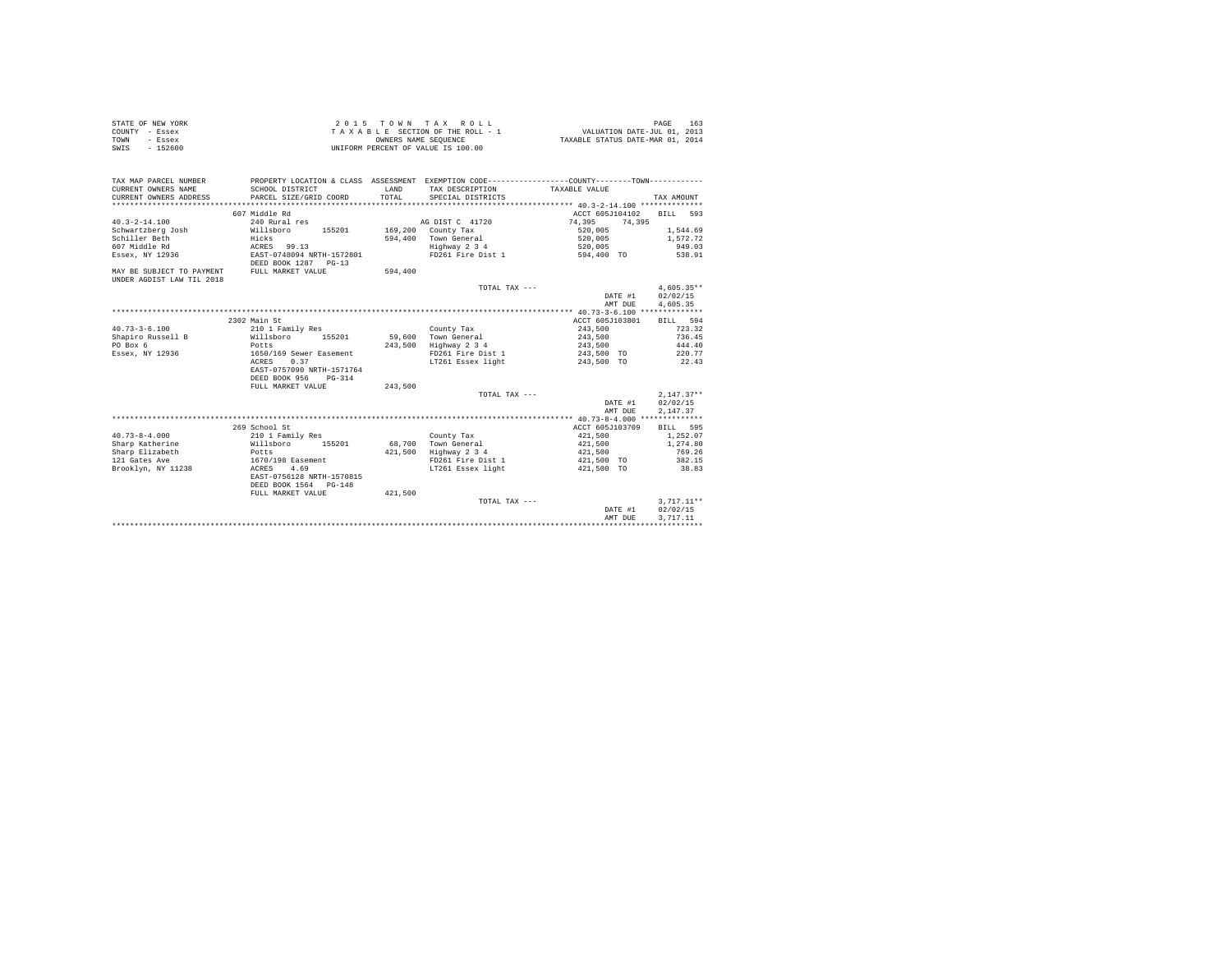|                | STATE OF NEW YORK | 2015 TOWN TAX ROLL                 |  |  |                      |  |  |  |  |  |  | PAGE                             | 163 |  |
|----------------|-------------------|------------------------------------|--|--|----------------------|--|--|--|--|--|--|----------------------------------|-----|--|
| COUNTY - Essex |                   | TAXABLE SECTION OF THE ROLL - 1    |  |  |                      |  |  |  |  |  |  | VALUATION DATE-JUL 01, 2013      |     |  |
| TOWN           | - Essex           |                                    |  |  | OWNERS NAME SEOUENCE |  |  |  |  |  |  | TAXABLE STATUS DATE-MAR 01, 2014 |     |  |
| SWIS           | $-152600$         | UNIFORM PERCENT OF VALUE IS 100.00 |  |  |                      |  |  |  |  |  |  |                                  |     |  |

| TAX MAP PARCEL NUMBER<br>CURRENT OWNERS NAME<br>CURRENT OWNERS ADDRESS | PROPERTY LOCATION & CLASS ASSESSMENT EXEMPTION CODE----------------COUNTY-------TOWN----------<br>SCHOOL DISTRICT<br>PARCEL SIZE/GRID COORD | LAND<br>TOTAL | TAX DESCRIPTION<br>SPECIAL DISTRICTS | TAXABLE VALUE               | TAX AMOUNT         |
|------------------------------------------------------------------------|---------------------------------------------------------------------------------------------------------------------------------------------|---------------|--------------------------------------|-----------------------------|--------------------|
|                                                                        | 607 Middle Rd                                                                                                                               |               |                                      | ACCT 605J104102             | 593                |
| $40.3 - 2 - 14.100$                                                    |                                                                                                                                             |               | AG DIST C 41720                      |                             | BILL               |
|                                                                        | 240 Rural res<br>Willsboro<br>155201                                                                                                        |               |                                      | 74,395<br>74,395<br>520,005 |                    |
| Schwartzberg Josh<br>Schiller Beth                                     |                                                                                                                                             | 594,400       | 169,200 County Tax<br>Town General   |                             | 1,544.69           |
| 607 Middle Rd                                                          | Hicks<br>ACRES<br>99.13                                                                                                                     |               | Highway 2 3 4                        | 520,005                     | 1,572.72<br>949.03 |
| Essex, NY 12936                                                        | EAST-0748094 NRTH-1572801                                                                                                                   |               | FD261 Fire Dist 1                    | 520,005<br>594,400 TO       | 538.91             |
|                                                                        | DEED BOOK 1287 PG-13                                                                                                                        |               |                                      |                             |                    |
| MAY BE SUBJECT TO PAYMENT                                              | FULL MARKET VALUE                                                                                                                           | 594,400       |                                      |                             |                    |
| UNDER AGDIST LAW TIL 2018                                              |                                                                                                                                             |               |                                      |                             |                    |
|                                                                        |                                                                                                                                             |               | TOTAL TAX ---                        |                             | $4.605.35**$       |
|                                                                        |                                                                                                                                             |               |                                      | DATE #1                     | 02/02/15           |
|                                                                        |                                                                                                                                             |               |                                      | AMT DUE                     | 4.605.35           |
|                                                                        |                                                                                                                                             |               |                                      |                             |                    |
|                                                                        | 2302 Main St                                                                                                                                |               |                                      | ACCT 605J103801             | BILL 594           |
| $40.73 - 3 - 6.100$                                                    | 210 1 Family Res                                                                                                                            |               | County Tax                           | 243,500                     | 723.32             |
| Shapiro Russell B                                                      | 155201<br>Willsboro                                                                                                                         | 59,600        | Town General                         | 243,500                     | 736.45             |
| PO Box 6                                                               | Potts                                                                                                                                       | 243,500       | Highway 2 3 4                        | 243,500                     | 444.40             |
| Essex, NY 12936                                                        | 1650/169 Sewer Easement                                                                                                                     |               | FD261 Fire Dist 1                    | 243,500 TO                  | 220.77             |
|                                                                        | 0.37<br>ACRES                                                                                                                               |               | LT261 Essex light                    | 243,500 TO                  | 22.43              |
|                                                                        | EAST-0757090 NRTH-1571764                                                                                                                   |               |                                      |                             |                    |
|                                                                        | DEED BOOK 956<br>$PG-314$                                                                                                                   |               |                                      |                             |                    |
|                                                                        | FULL MARKET VALUE                                                                                                                           | 243,500       |                                      |                             |                    |
|                                                                        |                                                                                                                                             |               | TOTAL TAX ---                        |                             | $2,147.37**$       |
|                                                                        |                                                                                                                                             |               |                                      | DATE #1                     | 02/02/15           |
|                                                                        |                                                                                                                                             |               |                                      | AMT DUE                     | 2,147.37           |
|                                                                        |                                                                                                                                             |               |                                      |                             |                    |
|                                                                        | 269 School St                                                                                                                               |               |                                      | ACCT 605J103709             | <b>BILL</b><br>595 |
| $40.73 - 8 - 4.000$                                                    | 210 1 Family Res                                                                                                                            |               | County Tax                           | 421,500                     | 1,252.07           |
| Sharp Katherine                                                        | Willsboro<br>155201                                                                                                                         | 68,700        | Town General                         | 421,500                     | 1,274.80           |
| Sharp Elizabeth                                                        | Potts                                                                                                                                       | 421,500       | Highway 2 3 4                        | 421,500                     | 769.26             |
| 121 Gates Ave                                                          | 1670/198 Easement                                                                                                                           |               | FD261 Fire Dist 1                    | 421,500 TO                  | 382.15             |
| Brooklyn, NY 11238                                                     | 4.69<br>ACRES                                                                                                                               |               | LT261 Essex light                    | 421,500 TO                  | 38.83              |
|                                                                        | EAST-0756128 NRTH-1570815                                                                                                                   |               |                                      |                             |                    |
|                                                                        | DEED BOOK 1564<br>$PG-148$                                                                                                                  |               |                                      |                             |                    |
|                                                                        | FULL MARKET VALUE                                                                                                                           | 421,500       |                                      |                             |                    |
|                                                                        |                                                                                                                                             |               | TOTAL TAX ---                        |                             | $3,717.11**$       |
|                                                                        |                                                                                                                                             |               |                                      | DATE #1                     | 02/02/15           |
|                                                                        |                                                                                                                                             |               |                                      | AMT DUE                     | 3.717.11           |
|                                                                        |                                                                                                                                             |               |                                      |                             |                    |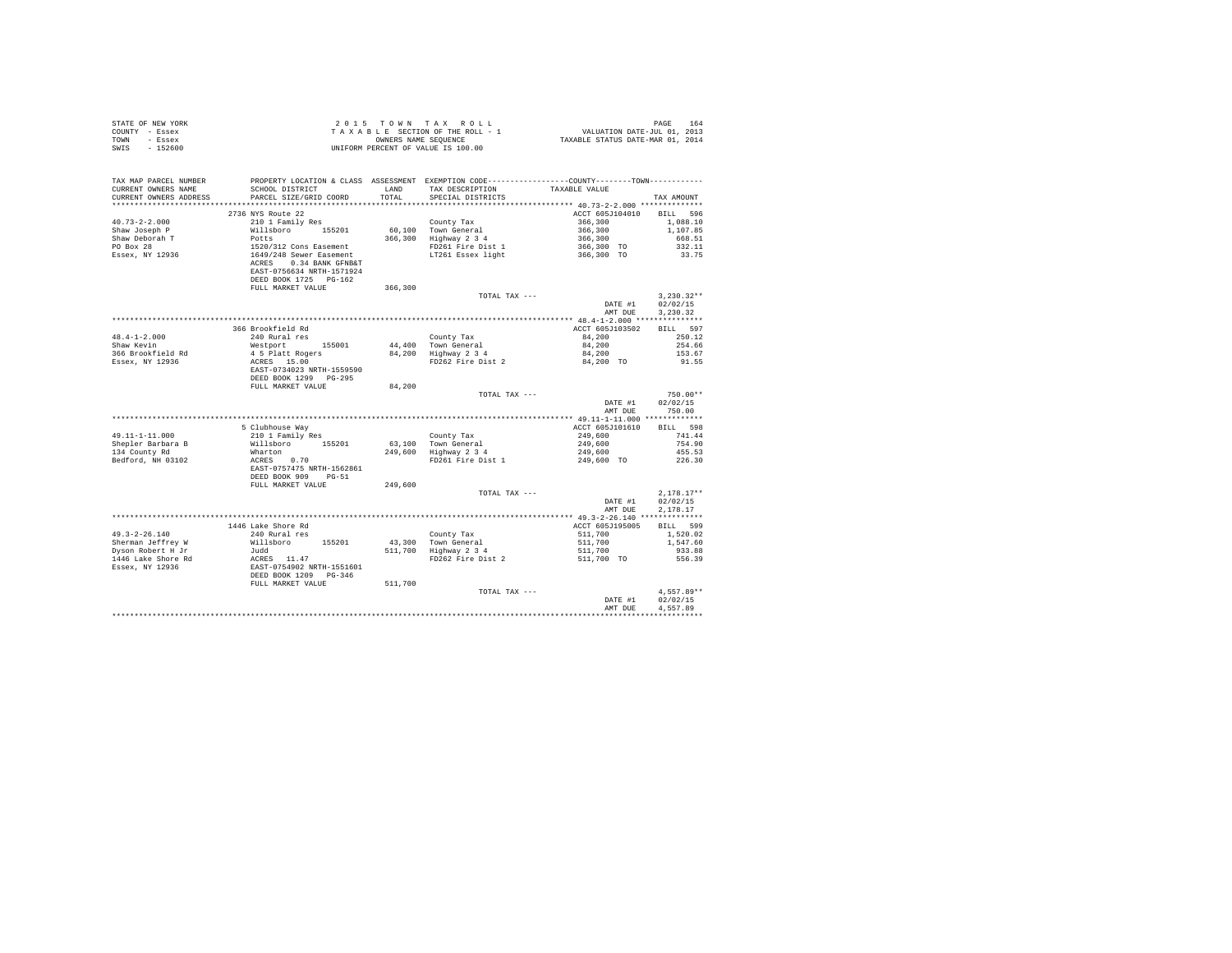| STATE OF NEW YORK<br>COUNTY - Essex<br>TOWN - Essex<br>SWIS - 152600                   |                                                                                                                                                               |               |                                                                                                                                      |                                                                                                                                                                             |                                                             |
|----------------------------------------------------------------------------------------|---------------------------------------------------------------------------------------------------------------------------------------------------------------|---------------|--------------------------------------------------------------------------------------------------------------------------------------|-----------------------------------------------------------------------------------------------------------------------------------------------------------------------------|-------------------------------------------------------------|
| TAX MAP PARCEL NUMBER<br>CURRENT OWNERS NAME<br>CURRENT OWNERS ADDRESS                 | SCHOOL DISTRICT<br>PARCEL SIZE/GRID COORD                                                                                                                     | LAND<br>TOTAL | PROPERTY LOCATION & CLASS ASSESSMENT EXEMPTION CODE---------------COUNTY-------TOWN---------<br>TAX DESCRIPTION<br>SPECIAL DISTRICTS | TAXABLE VALUE                                                                                                                                                               | TAX AMOUNT                                                  |
|                                                                                        | 2736 NYS Route 22                                                                                                                                             |               |                                                                                                                                      | ACCT 605J104010 BILL 596                                                                                                                                                    |                                                             |
| $40.73 - 2 - 2.000$<br>Shaw Joseph P<br>Shaw Deborah T<br>PO Box 28<br>Essex, NY 12936 | 210 1 Family Res<br>XXX CHEMITY RES<br>2011 Potts<br>1520/312 Cons Easement<br>1649/248 Sever Easement<br>ACRES 0.34 BANK GPNB&T<br>EAST-0756634 NRTH-1571924 |               | County Tax<br>60.100 Town General<br>86,100 1000 John Jeneral<br>366,300 Highway 2 3 4<br>FD261 Fire Dist 1<br>LT261 Essex light     | $366,300$<br>$366,300$<br>$366,300$<br>$366,300$ TO<br>$366,300$ TO                                                                                                         | 1,088.10<br>1,107.85<br>668.51<br>332.11<br>33.75           |
|                                                                                        | DEED BOOK 1725 PG-162<br>FULL MARKET VALUE                                                                                                                    | 366,300       |                                                                                                                                      |                                                                                                                                                                             |                                                             |
|                                                                                        |                                                                                                                                                               |               | TOTAL TAX ---                                                                                                                        | AMT DUE                                                                                                                                                                     | $3.230.32**$<br>DATE #1 02/02/15<br>3.230.32                |
|                                                                                        |                                                                                                                                                               |               |                                                                                                                                      |                                                                                                                                                                             |                                                             |
| 48.4-1-2.000<br>Shaw Kevin<br>366 Brookfield Rd<br>Essex, NY 12936                     | 366 Brookfield Rd<br>240 Rural res<br>Westport 155001<br>Acoupons<br>4 5 Platt Rogers<br>20059 - 15.00<br>ACRES 15.00<br>EAST-0734023 NRTH-1559590            |               |                                                                                                                                      | ACCT 605J103502<br>84,200                                                                                                                                                   | BILL 597<br>250.12<br>254.66<br>153.67<br>91.55             |
|                                                                                        | DEED BOOK 1299 PG-295<br>FULL MARKET VALUE                                                                                                                    | 84,200        |                                                                                                                                      |                                                                                                                                                                             |                                                             |
|                                                                                        |                                                                                                                                                               |               | TOTAL TAX ---                                                                                                                        | DATE #1<br>AMT DUE                                                                                                                                                          | $750.00**$<br>02/02/15<br>750.00                            |
|                                                                                        |                                                                                                                                                               |               |                                                                                                                                      |                                                                                                                                                                             |                                                             |
| 49.11-1-11.000<br>Shepler Barbara B<br>134 County Rd<br>Bedford, NH 03102              | 5 Clubhouse Way<br>210 1 Family Res<br>Willsboro 155201<br>Wharton<br>ACRES 0.70<br>EAST-0757475 NRTH-1562861<br>DEED BOOK 909 PG-51                          |               | County Tax<br>63,100 Town General<br>249,600 Highway 2 3 4<br>FD261 Fire Dist 1                                                      | ACCT 605J101610 BILL 598<br>$\begin{array}{lllll} 249\,, 600 &&& 741\, .44 \\ 249\,, 600 &&& 754\, .90 \\ 249\,, 600 &&& 455\, .53 \\ 249\,, 600 &&& 226\, .30 \end{array}$ |                                                             |
|                                                                                        | FULL MARKET VALUE                                                                                                                                             | 249,600       |                                                                                                                                      |                                                                                                                                                                             |                                                             |
|                                                                                        |                                                                                                                                                               |               | TOTAL TAX ---                                                                                                                        | DATE #1<br>AMT DUE                                                                                                                                                          | $2.178.17**$<br>02/02/15<br>2,178.17                        |
|                                                                                        |                                                                                                                                                               |               |                                                                                                                                      |                                                                                                                                                                             |                                                             |
| $49.3 - 2 - 26.140$                                                                    | 1446 Lake Shore Rd<br>240 Rural res                                                                                                                           |               | County Tax 1511,700<br>43,300 Town General 511,700<br>511,700 Highway 2 3 4<br>FD262 Fire Dist 2 511,700 TO                          | ACCT 605J195005                                                                                                                                                             | <b>BILL</b> 599<br>1,520.02<br>1,547.60<br>933.88<br>556.39 |
|                                                                                        |                                                                                                                                                               | 511,700       | TOTAL TAX ---                                                                                                                        | DATE #1<br>AMT DUE                                                                                                                                                          | $4.557.89**$<br>02/02/15<br>4.557.89                        |
|                                                                                        |                                                                                                                                                               |               |                                                                                                                                      |                                                                                                                                                                             |                                                             |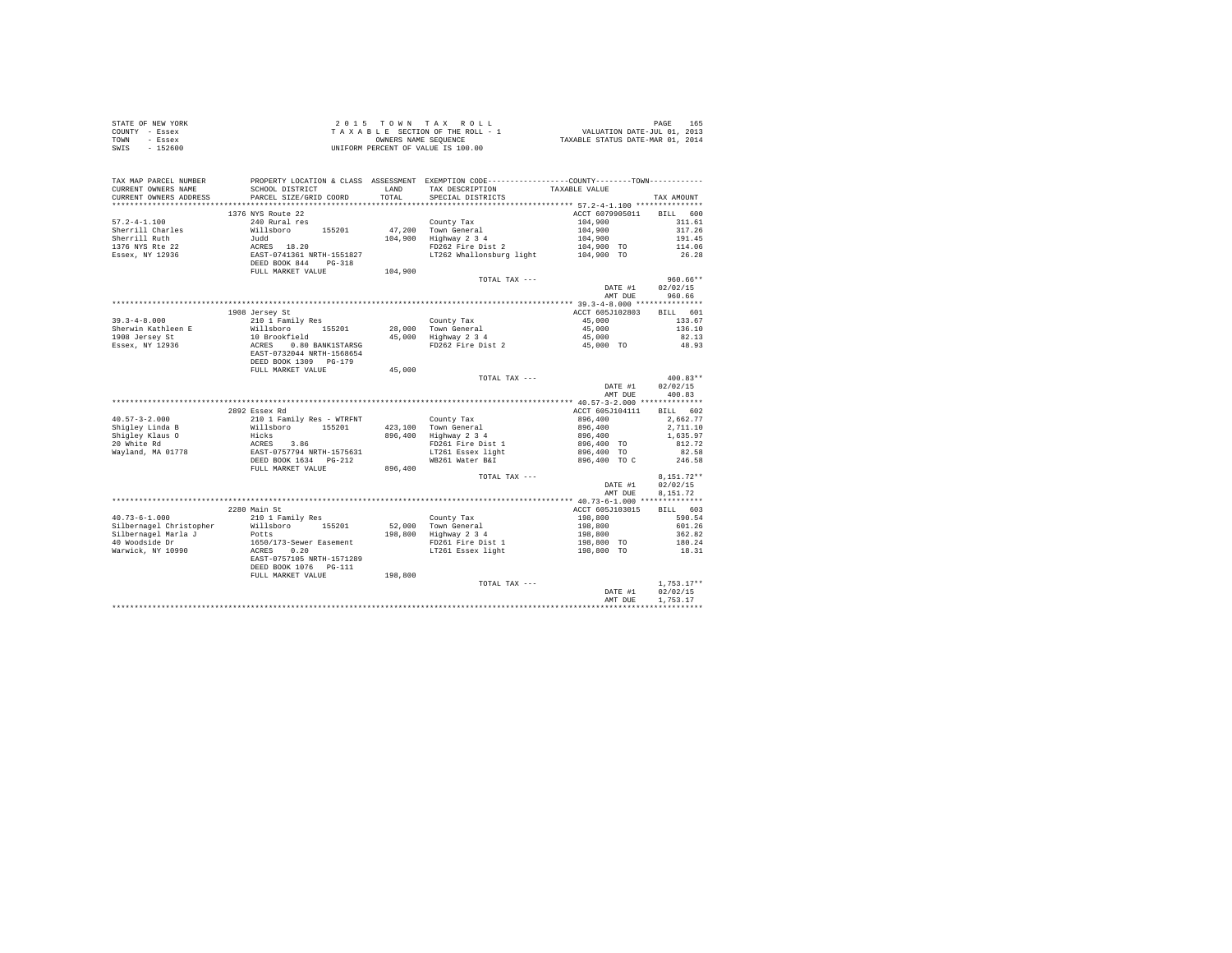| STATE OF NEW YORK | 2015 TOWN TAX ROLL                 | 165<br>PAGE                      |
|-------------------|------------------------------------|----------------------------------|
| COUNTY - Essex    | TAXABLE SECTION OF THE ROLL - 1    | VALUATION DATE-JUL 01, 2013      |
| TOWN<br>- Essex   | OWNERS NAME SEOUENCE               | TAXABLE STATUS DATE-MAR 01, 2014 |
| SWIS<br>$-152600$ | UNIFORM PERCENT OF VALUE IS 100.00 |                                  |

| TAX MAP PARCEL NUMBER<br>CURRENT OWNERS NAME<br>CURRENT OWNERS ADDRESS | SCHOOL DISTRICT<br>PARCEL SIZE/GRID COORD              | T.AND<br>TOTAL | PROPERTY LOCATION & CLASS ASSESSMENT EXEMPTION CODE----------------COUNTY-------TOWN----------<br>TAX DESCRIPTION<br>SPECIAL DISTRICTS | TAXABLE VALUE      | TAX AMOUNT           |
|------------------------------------------------------------------------|--------------------------------------------------------|----------------|----------------------------------------------------------------------------------------------------------------------------------------|--------------------|----------------------|
| .                                                                      | ************************                               |                |                                                                                                                                        |                    |                      |
|                                                                        | 1376 NYS Route 22                                      |                |                                                                                                                                        | ACCT 6079905011    | <b>BILL</b><br>600   |
| $57.2 - 4 - 1.100$                                                     | 240 Rural res                                          |                | County Tax                                                                                                                             | 104,900            | 311.61               |
|                                                                        | Willsboro<br>155201                                    |                |                                                                                                                                        |                    | 317.26               |
| Sherrill Charles<br>Sherrill Ruth                                      |                                                        |                | 47,200 Town General<br>Highway 2 3 4                                                                                                   | 104,900            |                      |
|                                                                        | Judd                                                   | 104,900        |                                                                                                                                        | 104,900            | 191.45               |
| 1376 NYS Rte 22                                                        | ACRES 18.20                                            |                | FD262 Fire Dist 2                                                                                                                      | 104,900 TO         | 114.06               |
| Essex, NY 12936                                                        | EAST-0741361 NRTH-1551827<br>DEED BOOK 844<br>$PG-318$ |                | LT262 Whallonsburg light                                                                                                               | 104,900 TO         | 26.28                |
|                                                                        | FULL MARKET VALUE                                      | 104,900        |                                                                                                                                        |                    |                      |
|                                                                        |                                                        |                | TOTAL TAX ---                                                                                                                          |                    | $960.66**$           |
|                                                                        |                                                        |                |                                                                                                                                        | DATE #1            | 02/02/15             |
|                                                                        |                                                        |                |                                                                                                                                        | AMT DUE            | 960.66               |
|                                                                        |                                                        |                |                                                                                                                                        |                    |                      |
|                                                                        | 1908 Jersey St                                         |                |                                                                                                                                        | ACCT 605J102803    | 601<br>BILL          |
| $39.3 - 4 - 8.000$                                                     | 210 1 Family Res                                       |                | County Tax                                                                                                                             | 45,000             | 133.67               |
| Sherwin Kathleen E                                                     | 155201<br>Willsboro                                    | 28,000         | Town General                                                                                                                           | 45,000             | 136.10               |
| 1908 Jersey St                                                         | 10 Brookfield                                          | 45,000         | Highway 2 3 4                                                                                                                          | 45,000             | 82.13                |
| Essex, NY 12936                                                        | 0.80 BANK1STARSG<br>ACRES                              |                | FD262 Fire Dist 2                                                                                                                      | 45,000 TO          | 48.93                |
|                                                                        | EAST-0732044 NRTH-1568654                              |                |                                                                                                                                        |                    |                      |
|                                                                        | DEED BOOK 1309 PG-179                                  |                |                                                                                                                                        |                    |                      |
|                                                                        | FULL MARKET VALUE                                      | 45,000         |                                                                                                                                        |                    |                      |
|                                                                        |                                                        |                | TOTAL TAX ---                                                                                                                          |                    | $400.83**$           |
|                                                                        |                                                        |                |                                                                                                                                        | DATE #1            | 02/02/15             |
|                                                                        |                                                        |                |                                                                                                                                        | AMT DUE            | 400.83               |
|                                                                        |                                                        |                |                                                                                                                                        |                    |                      |
|                                                                        | 2892 Essex Rd                                          |                |                                                                                                                                        | ACCT 605J104111    | <b>BILL</b><br>602   |
| $40.57 - 3 - 2.000$                                                    | 210 1 Family Res - WTRFNT                              |                | County Tax                                                                                                                             | 896,400            | 2.662.77             |
| Shigley Linda B                                                        | Willsboro 155201                                       |                | 423,100 Town General                                                                                                                   | 896,400            | 2.711.10             |
| Shigley Klaus O                                                        | Hicks                                                  | 896,400        | Highway 2 3 4                                                                                                                          | 896,400            | 1,635.97             |
| 20 White Rd                                                            | ACRES 3.86<br>EAST-0757794 NRTH-1575631                |                | FD261 Fire Dist 1                                                                                                                      | 896,400 TO         | 812.72               |
| Wayland, MA 01778                                                      |                                                        |                | LT261 Essex light                                                                                                                      | 896,400 TO         | 82.58                |
|                                                                        | DEED BOOK 1634 PG-212                                  |                | WB261 Water B&I                                                                                                                        | 896,400 TO C       | 246.58               |
|                                                                        | FULL MARKET VALUE                                      | 896,400        |                                                                                                                                        |                    |                      |
|                                                                        |                                                        |                | TOTAL TAX ---                                                                                                                          |                    | 8,151.72**           |
|                                                                        |                                                        |                |                                                                                                                                        | DATE #1            | 02/02/15             |
|                                                                        |                                                        |                |                                                                                                                                        | AMT DUE            | 8,151.72             |
|                                                                        |                                                        |                |                                                                                                                                        |                    |                      |
|                                                                        | 2280 Main St                                           |                |                                                                                                                                        | ACCT 605J103015    | BILL 603             |
| $40.73 - 6 - 1.000$                                                    | 210 1 Family Res                                       |                | County Tax                                                                                                                             | 198,800            | 590.54               |
| Silbernagel Christopher                                                | 155201<br>Willsboro                                    | 52,000         | Town General                                                                                                                           | 198,800            | 601.26               |
| Silbernagel Marla J                                                    | Potts                                                  | 198,800        | Highway 2 3 4                                                                                                                          | 198,800            | 362.82               |
| 40 Woodside Dr                                                         | 1650/173-Sewer Easement                                |                | FD261 Fire Dist 1                                                                                                                      | 198,800 TO         | 180.24               |
| Warwick, NY 10990                                                      | 0.20<br>ACRES                                          |                | LT261 Essex light                                                                                                                      | 198,800 TO         | 18.31                |
|                                                                        | EAST-0757105 NRTH-1571289                              |                |                                                                                                                                        |                    |                      |
|                                                                        |                                                        |                |                                                                                                                                        |                    |                      |
|                                                                        |                                                        |                |                                                                                                                                        |                    |                      |
|                                                                        | DEED BOOK 1076 PG-111                                  |                |                                                                                                                                        |                    |                      |
|                                                                        | FULL MARKET VALUE                                      | 198,800        |                                                                                                                                        |                    |                      |
|                                                                        |                                                        |                | TOTAL TAX ---                                                                                                                          |                    | $1,753.17**$         |
|                                                                        |                                                        |                |                                                                                                                                        | DATE #1<br>AMT DUE | 02/02/15<br>1.753.17 |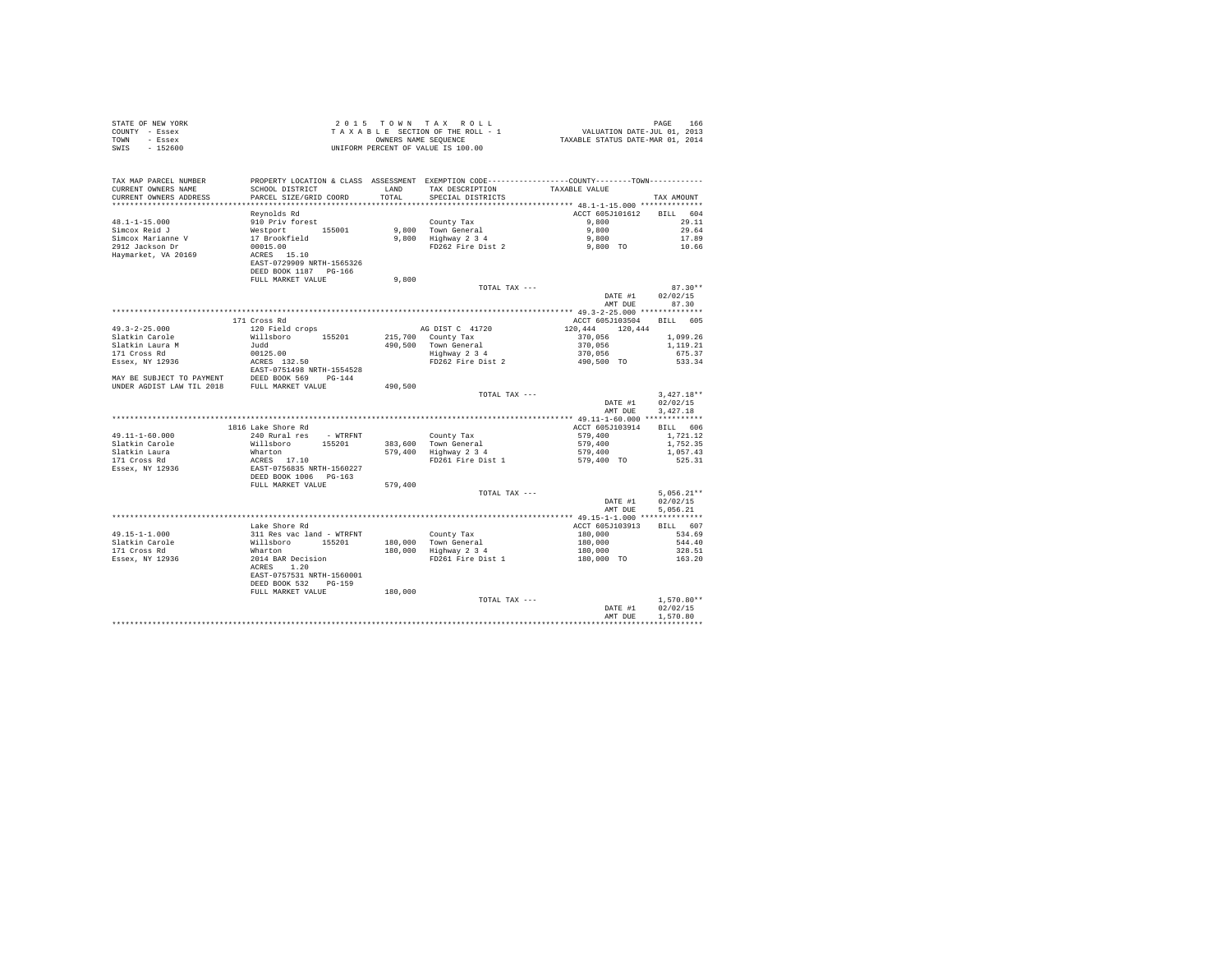| STATE OF NEW YORK                                                                                                                                                                                                                                                                                                                                                                                                                                            | 2015 TO WAT TAKA KULL<br>TAKABLE SECTION OF THE ROLL - 1<br>ONNERS NAME SEQUENCE<br>UNIFORM PERCENT OF VALUE IS 100.00 |         |                                                                                                  |                                                                                                                                  |              |  |
|--------------------------------------------------------------------------------------------------------------------------------------------------------------------------------------------------------------------------------------------------------------------------------------------------------------------------------------------------------------------------------------------------------------------------------------------------------------|------------------------------------------------------------------------------------------------------------------------|---------|--------------------------------------------------------------------------------------------------|----------------------------------------------------------------------------------------------------------------------------------|--------------|--|
| COUNTY - Essex                                                                                                                                                                                                                                                                                                                                                                                                                                               |                                                                                                                        |         |                                                                                                  |                                                                                                                                  |              |  |
| TOWN - Essex                                                                                                                                                                                                                                                                                                                                                                                                                                                 |                                                                                                                        |         |                                                                                                  |                                                                                                                                  |              |  |
| SWIS - 152600                                                                                                                                                                                                                                                                                                                                                                                                                                                |                                                                                                                        |         |                                                                                                  |                                                                                                                                  |              |  |
|                                                                                                                                                                                                                                                                                                                                                                                                                                                              |                                                                                                                        |         |                                                                                                  |                                                                                                                                  |              |  |
|                                                                                                                                                                                                                                                                                                                                                                                                                                                              |                                                                                                                        |         |                                                                                                  |                                                                                                                                  |              |  |
|                                                                                                                                                                                                                                                                                                                                                                                                                                                              |                                                                                                                        |         |                                                                                                  |                                                                                                                                  |              |  |
| TAX MAP PARCEL NUMBER PROPERTY LOCATION & CLASS ASSESSMENT EXEMPTION CODE---------------COUNTY--------TOWN---------                                                                                                                                                                                                                                                                                                                                          |                                                                                                                        |         |                                                                                                  |                                                                                                                                  |              |  |
| CURRENT OWNERS NAME                                                                                                                                                                                                                                                                                                                                                                                                                                          | SCHOOL DISTRICT                                                                                                        |         | LAND TAX DESCRIPTION TAXABLE VALUE                                                               |                                                                                                                                  |              |  |
| CURRENT OWNERS ADDRESS                                                                                                                                                                                                                                                                                                                                                                                                                                       | PARCEL SIZE/GRID COORD                                                                                                 | TOTAL   | SPECIAL DISTRICTS                                                                                |                                                                                                                                  | TAX AMOUNT   |  |
|                                                                                                                                                                                                                                                                                                                                                                                                                                                              |                                                                                                                        |         |                                                                                                  |                                                                                                                                  |              |  |
|                                                                                                                                                                                                                                                                                                                                                                                                                                                              | Reynolds Rd                                                                                                            |         |                                                                                                  | ACCT 605J101612 BILL 604                                                                                                         |              |  |
| 48.1-1-15.000                                                                                                                                                                                                                                                                                                                                                                                                                                                | 910 Priv forest                                                                                                        |         | County Tax                                                                                       | 9,800                                                                                                                            | 29.11        |  |
| Simcox Reid J                                                                                                                                                                                                                                                                                                                                                                                                                                                |                                                                                                                        |         |                                                                                                  |                                                                                                                                  | 29.64        |  |
| Simcox Marianne V                                                                                                                                                                                                                                                                                                                                                                                                                                            | % Priv for the 155001<br>17 Brookfield<br>00015.00<br>ACRES 15.10<br>EAST-0729909 NRTH-1565326                         |         | 9,800 Town General<br>9,800 Town General<br>9,800 Highway 2 3 4 9,800 PD262 Fire Dist 2 9,800 TO |                                                                                                                                  | 17.89        |  |
| 2912 Jackson Dr                                                                                                                                                                                                                                                                                                                                                                                                                                              |                                                                                                                        |         |                                                                                                  |                                                                                                                                  | 10.66        |  |
| Haymarket, VA 20169                                                                                                                                                                                                                                                                                                                                                                                                                                          |                                                                                                                        |         |                                                                                                  |                                                                                                                                  |              |  |
|                                                                                                                                                                                                                                                                                                                                                                                                                                                              |                                                                                                                        |         |                                                                                                  |                                                                                                                                  |              |  |
|                                                                                                                                                                                                                                                                                                                                                                                                                                                              | DEED BOOK 1187 PG-166                                                                                                  |         |                                                                                                  |                                                                                                                                  |              |  |
|                                                                                                                                                                                                                                                                                                                                                                                                                                                              | FULL MARKET VALUE                                                                                                      | 9,800   |                                                                                                  |                                                                                                                                  |              |  |
|                                                                                                                                                                                                                                                                                                                                                                                                                                                              |                                                                                                                        |         | TOTAL TAX ---                                                                                    |                                                                                                                                  | $87.30**$    |  |
|                                                                                                                                                                                                                                                                                                                                                                                                                                                              |                                                                                                                        |         |                                                                                                  | DATE #1                                                                                                                          | 02/02/15     |  |
|                                                                                                                                                                                                                                                                                                                                                                                                                                                              |                                                                                                                        |         |                                                                                                  | AMT DUE 87.30                                                                                                                    |              |  |
|                                                                                                                                                                                                                                                                                                                                                                                                                                                              |                                                                                                                        |         |                                                                                                  |                                                                                                                                  |              |  |
|                                                                                                                                                                                                                                                                                                                                                                                                                                                              | 171 Cross Rd                                                                                                           |         |                                                                                                  | ACCT 605J103504 BILL 605                                                                                                         |              |  |
| $49.3 - 2 - 25.000$                                                                                                                                                                                                                                                                                                                                                                                                                                          | 120 Field crops                                                                                                        |         | AG DIST C 41720                                                                                  | 120,444 120,444                                                                                                                  |              |  |
|                                                                                                                                                                                                                                                                                                                                                                                                                                                              |                                                                                                                        |         |                                                                                                  |                                                                                                                                  | 1,099.26     |  |
|                                                                                                                                                                                                                                                                                                                                                                                                                                                              |                                                                                                                        |         |                                                                                                  | 215,700 Country Tax<br>490,500 Town General<br>Highway 2 34 34 370,056<br>FD262 Fire Dist 2 370,056<br>FD262 Fire Dist 2 370,056 | 1,119.21     |  |
|                                                                                                                                                                                                                                                                                                                                                                                                                                                              |                                                                                                                        |         |                                                                                                  |                                                                                                                                  | 675.37       |  |
|                                                                                                                                                                                                                                                                                                                                                                                                                                                              |                                                                                                                        |         |                                                                                                  |                                                                                                                                  | 533.34       |  |
|                                                                                                                                                                                                                                                                                                                                                                                                                                                              |                                                                                                                        |         |                                                                                                  |                                                                                                                                  |              |  |
|                                                                                                                                                                                                                                                                                                                                                                                                                                                              |                                                                                                                        |         |                                                                                                  |                                                                                                                                  |              |  |
| %7.1.7.2.1.0000<br>Slatkin Carole<br>17.1 Cross Rd<br>171 Cross Rd<br>171 Cross Rd<br>171 Cross Rd<br>171 Cross Rd<br>1893 MAY BE SUBJECT TO PAYMENT<br>1895 MAY BE SUBJECT TO PAYMENT<br>1895 MAY BE SUBJECT TO PAYMENT<br>1895 MAY BE SUBJECT TO PAYMENT<br>1                                                                                                                                                                                              |                                                                                                                        | 490,500 |                                                                                                  |                                                                                                                                  |              |  |
|                                                                                                                                                                                                                                                                                                                                                                                                                                                              |                                                                                                                        |         | TOTAL TAX ---                                                                                    |                                                                                                                                  | $3.427.18**$ |  |
|                                                                                                                                                                                                                                                                                                                                                                                                                                                              |                                                                                                                        |         |                                                                                                  | DATE #1 02/02/15                                                                                                                 |              |  |
|                                                                                                                                                                                                                                                                                                                                                                                                                                                              |                                                                                                                        |         |                                                                                                  | AMT DUE                                                                                                                          | 3,427.18     |  |
|                                                                                                                                                                                                                                                                                                                                                                                                                                                              |                                                                                                                        |         |                                                                                                  |                                                                                                                                  |              |  |
|                                                                                                                                                                                                                                                                                                                                                                                                                                                              |                                                                                                                        |         |                                                                                                  |                                                                                                                                  |              |  |
|                                                                                                                                                                                                                                                                                                                                                                                                                                                              | 1816 Lake Shore Rd                                                                                                     |         |                                                                                                  | ACCT 605J103914                                                                                                                  | BILL 606     |  |
| $49.11 - 1 - 60.000$                                                                                                                                                                                                                                                                                                                                                                                                                                         | 240 Rural res - WTRFNT                                                                                                 |         |                                                                                                  | 579,400                                                                                                                          | 1,721,12     |  |
| Slatkin Carole                                                                                                                                                                                                                                                                                                                                                                                                                                               |                                                                                                                        |         |                                                                                                  |                                                                                                                                  | 1,752.35     |  |
| Slatkin Laura                                                                                                                                                                                                                                                                                                                                                                                                                                                |                                                                                                                        |         | County Tax<br>383,600 Town General<br>579,400 Highway 2 3 4<br>FD261 Fire Dist 1                 | 579,400<br>579,400<br>579,400 TO                                                                                                 | 1,057.43     |  |
| 171 Cross Rd                                                                                                                                                                                                                                                                                                                                                                                                                                                 |                                                                                                                        |         |                                                                                                  |                                                                                                                                  | 525.31       |  |
| Essex, NY 12936                                                                                                                                                                                                                                                                                                                                                                                                                                              |                                                                                                                        |         |                                                                                                  |                                                                                                                                  |              |  |
|                                                                                                                                                                                                                                                                                                                                                                                                                                                              |                                                                                                                        |         |                                                                                                  |                                                                                                                                  |              |  |
|                                                                                                                                                                                                                                                                                                                                                                                                                                                              |                                                                                                                        | 579,400 |                                                                                                  |                                                                                                                                  |              |  |
|                                                                                                                                                                                                                                                                                                                                                                                                                                                              |                                                                                                                        |         | TOTAL TAX ---                                                                                    |                                                                                                                                  | $5.056.21**$ |  |
|                                                                                                                                                                                                                                                                                                                                                                                                                                                              |                                                                                                                        |         |                                                                                                  | DATE #1                                                                                                                          | 02/02/15     |  |
|                                                                                                                                                                                                                                                                                                                                                                                                                                                              |                                                                                                                        |         |                                                                                                  | AMT DUE                                                                                                                          | 5,056.21     |  |
|                                                                                                                                                                                                                                                                                                                                                                                                                                                              |                                                                                                                        |         |                                                                                                  |                                                                                                                                  |              |  |
|                                                                                                                                                                                                                                                                                                                                                                                                                                                              | Lake Shore Rd                                                                                                          |         |                                                                                                  | ACCT 605J103913                                                                                                                  | BILL 607     |  |
|                                                                                                                                                                                                                                                                                                                                                                                                                                                              |                                                                                                                        |         |                                                                                                  |                                                                                                                                  | 534.69       |  |
|                                                                                                                                                                                                                                                                                                                                                                                                                                                              |                                                                                                                        |         |                                                                                                  |                                                                                                                                  | 544.40       |  |
|                                                                                                                                                                                                                                                                                                                                                                                                                                                              |                                                                                                                        |         | County Tax<br>180,000 Town General<br>180,000 Highway 2 3 4                                      |                                                                                                                                  | 328.51       |  |
|                                                                                                                                                                                                                                                                                                                                                                                                                                                              |                                                                                                                        |         | FD261 Fire Dist 1                                                                                | $180,000$<br>$180,000$<br>$180,000$<br>$180,000$ TO                                                                              | 163.20       |  |
|                                                                                                                                                                                                                                                                                                                                                                                                                                                              |                                                                                                                        |         |                                                                                                  |                                                                                                                                  |              |  |
|                                                                                                                                                                                                                                                                                                                                                                                                                                                              |                                                                                                                        |         |                                                                                                  |                                                                                                                                  |              |  |
|                                                                                                                                                                                                                                                                                                                                                                                                                                                              |                                                                                                                        |         |                                                                                                  |                                                                                                                                  |              |  |
| $\begin{tabular}{ll} 49.15-1-1.000 & \rule{0pt}{0pt} \texttt{like source-} \texttt{non} \texttt{new} \\ \texttt{51} \texttt{R} = \texttt{true} \\ \texttt{52} \texttt{0} \\ \texttt{17} \texttt{1} \texttt{Cross} \texttt{R} \end{tabular} \quad \begin{tabular}{ll} \texttt{N3} \texttt{like source} \texttt{new} \\ \texttt{N1} \texttt{like} \\ \texttt{W1} \\ \texttt{M1} \\ \texttt{M1} \\ \texttt{R1} \\ \texttt{R2} \\ \texttt{R2} \\ \texttt{R3} \\$ |                                                                                                                        | 180,000 |                                                                                                  |                                                                                                                                  |              |  |
|                                                                                                                                                                                                                                                                                                                                                                                                                                                              |                                                                                                                        |         | TOTAL TAX ---                                                                                    |                                                                                                                                  | $1.570.80**$ |  |
|                                                                                                                                                                                                                                                                                                                                                                                                                                                              |                                                                                                                        |         |                                                                                                  | DATE #1                                                                                                                          | 02/02/15     |  |
|                                                                                                                                                                                                                                                                                                                                                                                                                                                              |                                                                                                                        |         |                                                                                                  | AMT DUE                                                                                                                          | 1,570.80     |  |
|                                                                                                                                                                                                                                                                                                                                                                                                                                                              |                                                                                                                        |         |                                                                                                  |                                                                                                                                  |              |  |
|                                                                                                                                                                                                                                                                                                                                                                                                                                                              |                                                                                                                        |         |                                                                                                  |                                                                                                                                  |              |  |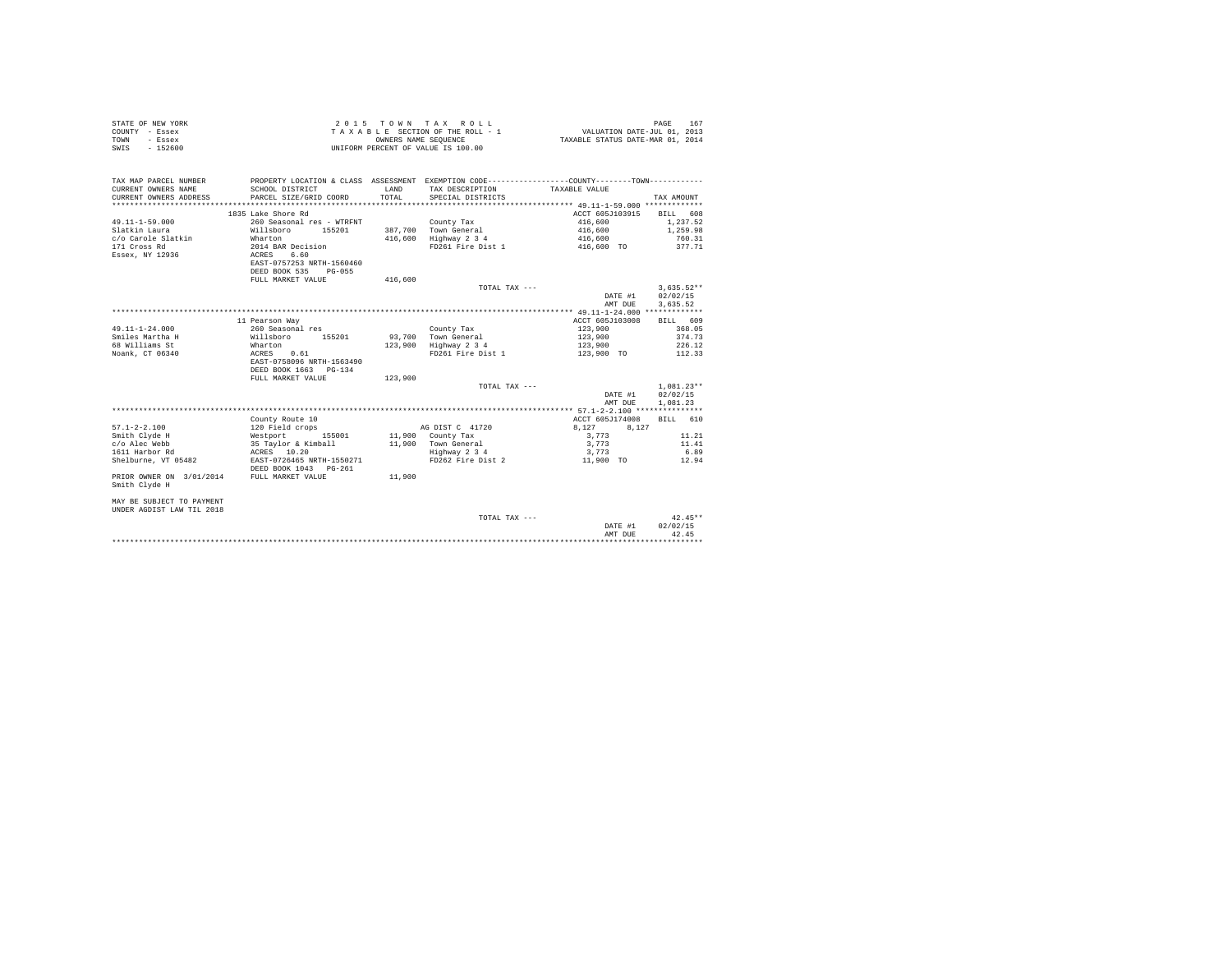| STATE OF NEW YORK | $2.0.15$ TOWN TAX ROLL             | 167<br>PAGE                      |
|-------------------|------------------------------------|----------------------------------|
| COUNTY - Essex    | TAXABLE SECTION OF THE ROLL - 1    | VALUATION DATE-JUL 01, 2013      |
| TOWN<br>- Essex   | OWNERS NAME SEOUENCE               | TAXABLE STATUS DATE-MAR 01, 2014 |
| $-152600$<br>SWIS | UNIFORM PERCENT OF VALUE IS 100.00 |                                  |

| TAX MAP PARCEL NUMBER<br>CURRENT OWNERS NAME<br>CURRENT OWNERS ADDRESS<br>************************* | PROPERTY LOCATION & CLASS ASSESSMENT EXEMPTION CODE---------------COUNTY-------TOWN---------<br>SCHOOL DISTRICT<br>PARCEL SIZE/GRID COORD | <b>T.AND</b><br>TOTAL. | TAX DESCRIPTION<br>SPECIAL DISTRICTS | TAXABLE VALUE   | TAX AMOUNT   |
|-----------------------------------------------------------------------------------------------------|-------------------------------------------------------------------------------------------------------------------------------------------|------------------------|--------------------------------------|-----------------|--------------|
|                                                                                                     |                                                                                                                                           |                        |                                      |                 |              |
|                                                                                                     | 1835 Lake Shore Rd                                                                                                                        |                        |                                      | ACCT 605J103915 | BILL 608     |
| $49.11 - 1 - 59.000$                                                                                | 260 Seasonal res - WTRFNT                                                                                                                 |                        | County Tax                           | 416,600         | 1,237.52     |
| Slatkin Laura                                                                                       | Willsboro<br>155201                                                                                                                       |                        | 387.700 Town General                 | 416,600         | 1,259.98     |
| c/o Carole Slatkin                                                                                  | Wharton                                                                                                                                   | 416,600                | Highway 2 3 4                        | 416,600         | 760.31       |
| 171 Cross Rd                                                                                        | 2014 BAR Decision                                                                                                                         |                        | FD261 Fire Dist 1                    | 416,600 TO      | 377.71       |
| Essex, NY 12936                                                                                     | 6.60<br>ACRES                                                                                                                             |                        |                                      |                 |              |
|                                                                                                     | EAST-0757253 NRTH-1560460                                                                                                                 |                        |                                      |                 |              |
|                                                                                                     | DEED BOOK 535<br>$PG - 055$                                                                                                               |                        |                                      |                 |              |
|                                                                                                     | FULL MARKET VALUE                                                                                                                         | 416,600                |                                      |                 |              |
|                                                                                                     |                                                                                                                                           |                        | TOTAL TAX ---                        |                 | $3.635.52**$ |
|                                                                                                     |                                                                                                                                           |                        |                                      | DATE #1         | 02/02/15     |
|                                                                                                     |                                                                                                                                           |                        |                                      | AMT DUE         | 3,635.52     |
|                                                                                                     |                                                                                                                                           |                        |                                      |                 |              |
|                                                                                                     | 11 Pearson Way                                                                                                                            |                        |                                      | ACCT 605J103008 | BILL 609     |
| $49.11 - 1 - 24.000$                                                                                | 260 Seasonal res                                                                                                                          |                        | County Tax                           | 123,900         | 368.05       |
| Smiles Martha H                                                                                     | Willsboro<br>155201                                                                                                                       |                        | 93.700 Town General                  | 123,900         | 374.73       |
| 68 Williams St                                                                                      | Wharton                                                                                                                                   |                        | 123,900 Highway 2 3 4                | 123,900         | 226.12       |
| Noank, CT 06340                                                                                     | ACRES<br>0.61                                                                                                                             |                        | FD261 Fire Dist 1                    | 123,900 TO      | 112.33       |
|                                                                                                     | EAST-0758096 NRTH-1563490                                                                                                                 |                        |                                      |                 |              |
|                                                                                                     | DEED BOOK 1663 PG-134                                                                                                                     |                        |                                      |                 |              |
|                                                                                                     | FULL MARKET VALUE                                                                                                                         | 123,900                |                                      |                 |              |
|                                                                                                     |                                                                                                                                           |                        | TOTAL TAX ---                        |                 | $1.081.23**$ |
|                                                                                                     |                                                                                                                                           |                        |                                      | DATE #1         | 02/02/15     |
|                                                                                                     |                                                                                                                                           |                        |                                      |                 |              |
|                                                                                                     |                                                                                                                                           |                        |                                      | AMT DUE         | 1,081.23     |
|                                                                                                     |                                                                                                                                           |                        |                                      |                 |              |
|                                                                                                     | County Route 10                                                                                                                           |                        |                                      | ACCT 605J174008 | BILL 610     |
| $57.1 - 2 - 2.100$                                                                                  | 120 Field crops                                                                                                                           |                        | AG DIST C 41720                      | 8.127<br>8.127  |              |
| Smith Clyde H                                                                                       | 155001<br>Westport                                                                                                                        |                        | 11,900 County Tax                    | 3,773           | 11.21        |
| c/o Alec Webb                                                                                       | 35 Taylor & Kimball                                                                                                                       |                        | 11,900 Town General                  | 3.773           | 11.41        |
| 1611 Harbor Rd                                                                                      | ACRES 10.20                                                                                                                               |                        | Highway 2 3 4                        | 3.773           | 6.89         |
| Shelburne, VT 05482                                                                                 | EAST-0726465 NRTH-1550271                                                                                                                 |                        | FD262 Fire Dist 2                    | 11,900 TO       | 12.94        |
|                                                                                                     | DEED BOOK 1043 PG-261                                                                                                                     |                        |                                      |                 |              |
| PRIOR OWNER ON 3/01/2014                                                                            | FULL MARKET VALUE                                                                                                                         | 11,900                 |                                      |                 |              |
| Smith Clyde H                                                                                       |                                                                                                                                           |                        |                                      |                 |              |
|                                                                                                     |                                                                                                                                           |                        |                                      |                 |              |
| MAY BE SUBJECT TO PAYMENT                                                                           |                                                                                                                                           |                        |                                      |                 |              |
| UNDER AGDIST LAW TIL 2018                                                                           |                                                                                                                                           |                        |                                      |                 |              |
|                                                                                                     |                                                                                                                                           |                        | TOTAL TAX ---                        |                 | $42.45**$    |
|                                                                                                     |                                                                                                                                           |                        |                                      | DATE #1         | 02/02/15     |
|                                                                                                     |                                                                                                                                           |                        |                                      | AMT DUE         | 42.45        |
|                                                                                                     |                                                                                                                                           |                        |                                      |                 |              |
|                                                                                                     |                                                                                                                                           |                        |                                      |                 |              |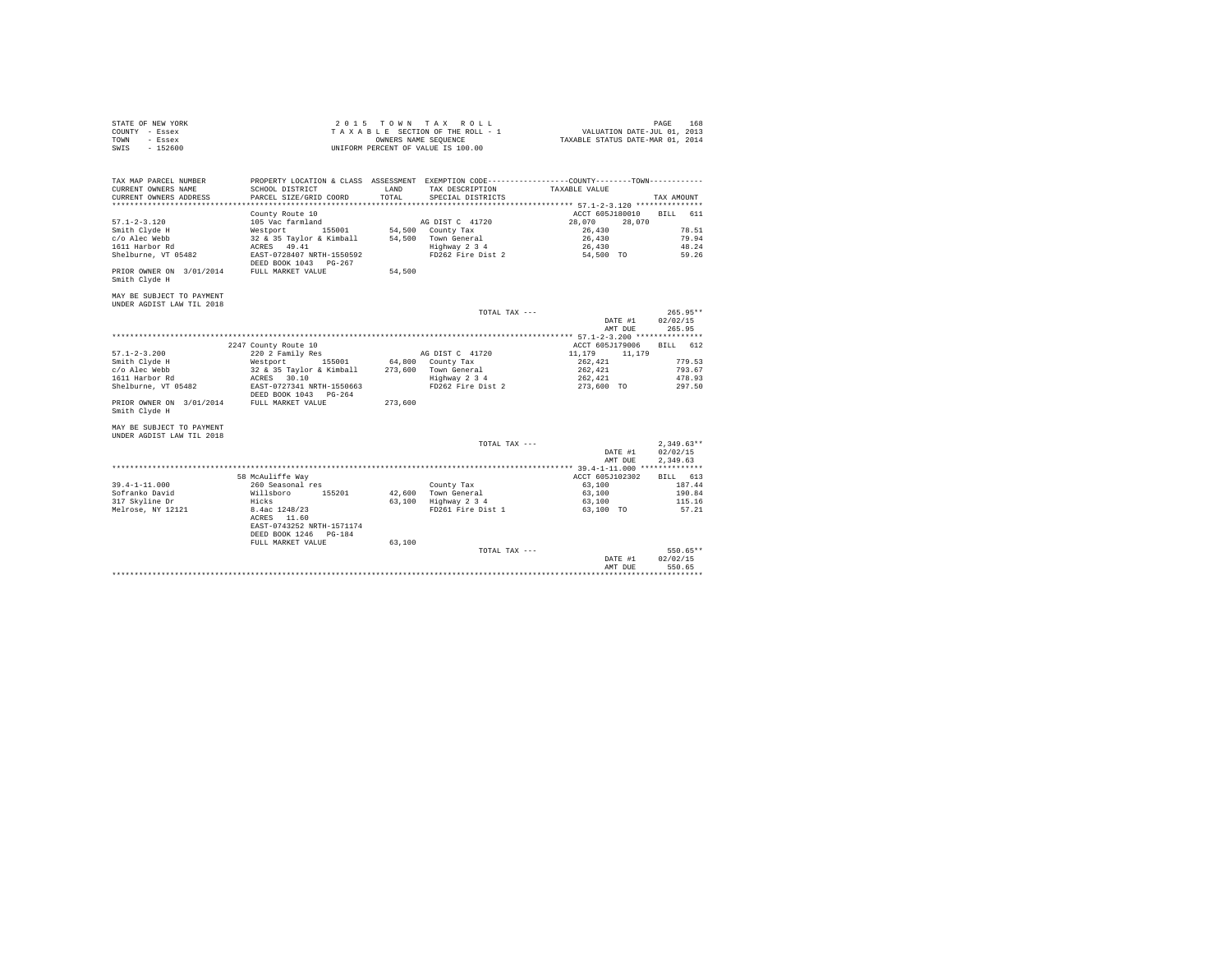|                | STATE OF NEW YORK | 2015 TOWN TAX ROLL                 | 168<br>PAGE                      |
|----------------|-------------------|------------------------------------|----------------------------------|
| COUNTY - Essex |                   | TAXABLE SECTION OF THE ROLL - 1    | VALUATION DATE-JUL 01, 2013      |
| TOWN           | - Essex           | OWNERS NAME SEOUENCE               | TAXABLE STATUS DATE-MAR 01, 2014 |
| SWIS           | - 152600          | UNIFORM PERCENT OF VALUE IS 100.00 |                                  |

| TAX MAP PARCEL NUMBER<br>CURRENT OWNERS NAME                | SCHOOL DISTRICT                                                                      | LAND    | TAX DESCRIPTION      | PROPERTY LOCATION & CLASS ASSESSMENT EXEMPTION CODE----------------COUNTY-------TOWN----------<br>TAXABLE VALUE |                                      |
|-------------------------------------------------------------|--------------------------------------------------------------------------------------|---------|----------------------|-----------------------------------------------------------------------------------------------------------------|--------------------------------------|
| CURRENT OWNERS ADDRESS                                      | PARCEL SIZE/GRID COORD                                                               | TOTAL   | SPECIAL DISTRICTS    |                                                                                                                 | TAX AMOUNT                           |
|                                                             | County Route 10                                                                      |         |                      | ACCT 605J180010                                                                                                 | BILL 611                             |
| $57.1 - 2 - 3.120$                                          | 105 Vac farmland                                                                     |         | AG DIST C 41720      | 28,070<br>28,070                                                                                                |                                      |
| Smith Clyde H                                               | Westport 155001                                                                      |         | 54,500 County Tax    | 26,430                                                                                                          | 78.51                                |
| c/o Alec Webb                                               | 32 & 35 Taylor & Kimball                                                             |         | 54.500 Town General  | 26,430                                                                                                          | 79.94                                |
| 1611 Harbor Rd                                              | ACRES 49.41                                                                          |         | Highway 2 3 4        | 26,430                                                                                                          | 48.24                                |
| Shelburne, VT 05482                                         | EAST-0728407 NRTH-1550592<br>DEED BOOK 1043 PG-267                                   |         | FD262 Fire Dist 2    | 54,500 TO                                                                                                       | 59.26                                |
| PRIOR OWNER ON 3/01/2014 FULL MARKET VALUE<br>Smith Clyde H |                                                                                      | 54,500  |                      |                                                                                                                 |                                      |
| MAY BE SUBJECT TO PAYMENT<br>UNDER AGDIST LAW TIL 2018      |                                                                                      |         |                      |                                                                                                                 |                                      |
|                                                             |                                                                                      |         | TOTAL TAX ---        |                                                                                                                 | $265.95**$                           |
|                                                             |                                                                                      |         |                      | DATE #1<br>AMT DUE                                                                                              | 02/02/15<br>265.95                   |
|                                                             |                                                                                      |         |                      |                                                                                                                 |                                      |
|                                                             | 2247 County Route 10                                                                 |         |                      | ACCT 605J179006                                                                                                 | BILL 612                             |
| $57.1 - 2 - 3.200$                                          | 220 2 Family Res                                                                     |         | AG DIST C 41720      | 11,179 11,179                                                                                                   |                                      |
| Smith Clyde H                                               | 155001 64,800 County Tax<br>Westport                                                 |         |                      | 262,421                                                                                                         | 779.53                               |
| c/o Alec Webb                                               | 32 & 35 Taylor & Kimball 273,600 Town General                                        |         |                      | 262,421                                                                                                         | 793.67                               |
| 1611 Harbor Rd                                              | ACRES 30.10                                                                          |         | Highway 2 3 4        | 262.421                                                                                                         | 478.93                               |
| Shelburne, VT 05482                                         | EAST-0727341 NRTH-1550663<br>DEED BOOK 1043 PG-264                                   |         | FD262 Fire Dist 2    | 273,600 TO                                                                                                      | 297.50                               |
| PRIOR OWNER ON 3/01/2014 FULL MARKET VALUE<br>Smith Clyde H |                                                                                      | 273,600 |                      |                                                                                                                 |                                      |
| MAY BE SUBJECT TO PAYMENT                                   |                                                                                      |         |                      |                                                                                                                 |                                      |
| UNDER AGDIST LAW TIL 2018                                   |                                                                                      |         |                      |                                                                                                                 |                                      |
|                                                             |                                                                                      |         | TOTAL TAX ---        | DATE #1<br>AMT DUE                                                                                              | $2,349.63**$<br>02/02/15<br>2.349.63 |
|                                                             |                                                                                      |         |                      |                                                                                                                 |                                      |
|                                                             | 58 McAuliffe Way                                                                     |         |                      | ACCT 605J102302                                                                                                 | BILL 613                             |
| $39.4 - 1 - 11.000$                                         | 260 Seasonal res                                                                     |         | County Tax           | 63,100                                                                                                          | 187.44                               |
| Sofranko David                                              | Willsboro 155201                                                                     |         | 42,600 Town General  | 63,100                                                                                                          | 190.84                               |
| 317 Skyline Dr                                              | Hicks                                                                                |         | 63,100 Highway 2 3 4 | 63,100                                                                                                          | 115.16                               |
| Melrose, NY 12121                                           | 8.4ac 1248/23<br>ACRES 11.60<br>EAST-0743252 NRTH-1571174<br>DEED BOOK 1246   PG-184 |         | FD261 Fire Dist 1    | 63,100 TO                                                                                                       | 57.21                                |
|                                                             | FULL MARKET VALUE                                                                    | 63,100  |                      |                                                                                                                 |                                      |
|                                                             |                                                                                      |         | TOTAL TAX ---        |                                                                                                                 | 550.65**                             |
|                                                             |                                                                                      |         |                      | DATE #1                                                                                                         | 02/02/15                             |
|                                                             |                                                                                      |         |                      | AMT DUE                                                                                                         | 550.65                               |
|                                                             |                                                                                      |         |                      |                                                                                                                 |                                      |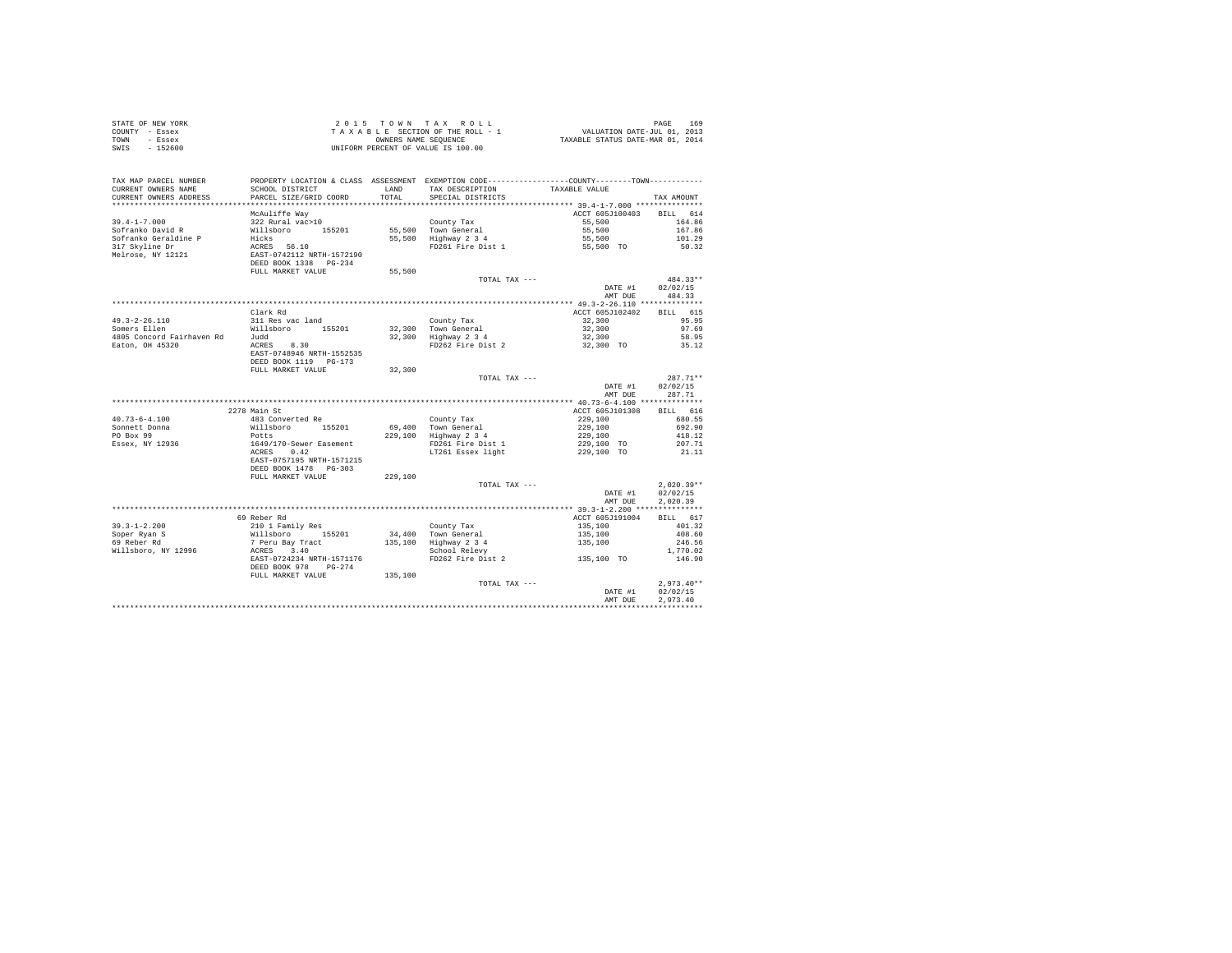| COUNTY - Essex<br>TOWN - Essex                                                                                                                                                                                                                                                                                                                                                                        | TAXABLE SELLIVE OF THE COMPRESS ON THE CONDERS NAME SEQUENCE<br>UNIFORM PERCENT OF VALUE IS 100.00 |         |                                                                                                                                                                              | TAXABLE SECTION OF THE ROLL - 1 VALUATION DATE-JUL 01, 2013<br>CONNERS NAME SEQUENCE TRACK TRAVABLE STATUS DATE-MAR 01, 2014 |                      |  |
|-------------------------------------------------------------------------------------------------------------------------------------------------------------------------------------------------------------------------------------------------------------------------------------------------------------------------------------------------------------------------------------------------------|----------------------------------------------------------------------------------------------------|---------|------------------------------------------------------------------------------------------------------------------------------------------------------------------------------|------------------------------------------------------------------------------------------------------------------------------|----------------------|--|
| SWIS - 152600                                                                                                                                                                                                                                                                                                                                                                                         |                                                                                                    |         |                                                                                                                                                                              |                                                                                                                              |                      |  |
|                                                                                                                                                                                                                                                                                                                                                                                                       |                                                                                                    |         |                                                                                                                                                                              |                                                                                                                              |                      |  |
| TAX MAP PARCEL NUMBER                                                                                                                                                                                                                                                                                                                                                                                 |                                                                                                    |         | PROPERTY LOCATION & CLASS ASSESSMENT EXEMPTION CODE----------------COUNTY--------TOWN----------                                                                              |                                                                                                                              |                      |  |
| CURRENT OWNERS NAME<br>CURRENT OWNERS ADDRESS                                                                                                                                                                                                                                                                                                                                                         | SCHOOL DISTRICT                                                                                    | LAND    | TAX DESCRIPTION TAXABLE VALUE                                                                                                                                                |                                                                                                                              |                      |  |
|                                                                                                                                                                                                                                                                                                                                                                                                       | PARCEL SIZE/GRID COORD                                                                             | TOTAL   | SPECIAL DISTRICTS                                                                                                                                                            |                                                                                                                              | TAX AMOUNT           |  |
|                                                                                                                                                                                                                                                                                                                                                                                                       |                                                                                                    |         |                                                                                                                                                                              |                                                                                                                              |                      |  |
|                                                                                                                                                                                                                                                                                                                                                                                                       |                                                                                                    |         |                                                                                                                                                                              | ACCT 605J100403 BILL 614                                                                                                     |                      |  |
|                                                                                                                                                                                                                                                                                                                                                                                                       |                                                                                                    |         |                                                                                                                                                                              |                                                                                                                              | 164.86<br>167.86     |  |
|                                                                                                                                                                                                                                                                                                                                                                                                       |                                                                                                    |         |                                                                                                                                                                              |                                                                                                                              | 101.29               |  |
|                                                                                                                                                                                                                                                                                                                                                                                                       |                                                                                                    |         | County Tax<br>55,500<br>55,500 Town General<br>55,500 Highway 2 3 4<br>FD261 Fire Dist 1 55,500<br>FD261 Fire Dist 1 55,500 TO                                               |                                                                                                                              | 50.32                |  |
|                                                                                                                                                                                                                                                                                                                                                                                                       |                                                                                                    |         |                                                                                                                                                                              |                                                                                                                              |                      |  |
|                                                                                                                                                                                                                                                                                                                                                                                                       |                                                                                                    |         |                                                                                                                                                                              |                                                                                                                              |                      |  |
|                                                                                                                                                                                                                                                                                                                                                                                                       | FULL MARKET VALUE                                                                                  | 55,500  |                                                                                                                                                                              |                                                                                                                              |                      |  |
|                                                                                                                                                                                                                                                                                                                                                                                                       |                                                                                                    |         | TOTAL TAX ---                                                                                                                                                                |                                                                                                                              | $484.33**$           |  |
|                                                                                                                                                                                                                                                                                                                                                                                                       |                                                                                                    |         |                                                                                                                                                                              | DATE #1 02/02/15                                                                                                             |                      |  |
|                                                                                                                                                                                                                                                                                                                                                                                                       |                                                                                                    |         |                                                                                                                                                                              |                                                                                                                              | AMT DUE 484.33       |  |
|                                                                                                                                                                                                                                                                                                                                                                                                       |                                                                                                    |         |                                                                                                                                                                              |                                                                                                                              |                      |  |
|                                                                                                                                                                                                                                                                                                                                                                                                       | Clark Rd                                                                                           |         |                                                                                                                                                                              | ACCT 605J102402 BILL 615                                                                                                     |                      |  |
|                                                                                                                                                                                                                                                                                                                                                                                                       |                                                                                                    |         |                                                                                                                                                                              |                                                                                                                              | 95.95                |  |
|                                                                                                                                                                                                                                                                                                                                                                                                       |                                                                                                    |         |                                                                                                                                                                              |                                                                                                                              | 97.69                |  |
|                                                                                                                                                                                                                                                                                                                                                                                                       |                                                                                                    |         |                                                                                                                                                                              |                                                                                                                              | 58.95<br>35.12       |  |
|                                                                                                                                                                                                                                                                                                                                                                                                       |                                                                                                    |         |                                                                                                                                                                              |                                                                                                                              |                      |  |
|                                                                                                                                                                                                                                                                                                                                                                                                       |                                                                                                    |         |                                                                                                                                                                              |                                                                                                                              |                      |  |
|                                                                                                                                                                                                                                                                                                                                                                                                       | FULL MARKET VALUE 32,300                                                                           |         |                                                                                                                                                                              |                                                                                                                              |                      |  |
|                                                                                                                                                                                                                                                                                                                                                                                                       |                                                                                                    |         | TOTAL TAX ---                                                                                                                                                                |                                                                                                                              | $287.71**$           |  |
|                                                                                                                                                                                                                                                                                                                                                                                                       |                                                                                                    |         |                                                                                                                                                                              |                                                                                                                              | DATE #1 02/02/15     |  |
|                                                                                                                                                                                                                                                                                                                                                                                                       |                                                                                                    |         |                                                                                                                                                                              |                                                                                                                              | AMT DUE 287.71       |  |
|                                                                                                                                                                                                                                                                                                                                                                                                       |                                                                                                    |         |                                                                                                                                                                              |                                                                                                                              |                      |  |
|                                                                                                                                                                                                                                                                                                                                                                                                       |                                                                                                    |         |                                                                                                                                                                              | ACCT 605J101308 BILL 616                                                                                                     |                      |  |
|                                                                                                                                                                                                                                                                                                                                                                                                       | 2278 Main St                                                                                       |         |                                                                                                                                                                              |                                                                                                                              |                      |  |
|                                                                                                                                                                                                                                                                                                                                                                                                       |                                                                                                    |         |                                                                                                                                                                              |                                                                                                                              |                      |  |
|                                                                                                                                                                                                                                                                                                                                                                                                       |                                                                                                    |         |                                                                                                                                                                              |                                                                                                                              |                      |  |
|                                                                                                                                                                                                                                                                                                                                                                                                       |                                                                                                    |         |                                                                                                                                                                              |                                                                                                                              |                      |  |
|                                                                                                                                                                                                                                                                                                                                                                                                       |                                                                                                    |         |                                                                                                                                                                              |                                                                                                                              |                      |  |
|                                                                                                                                                                                                                                                                                                                                                                                                       |                                                                                                    |         | County Tax 229,100<br>69,400 Town General 229,100<br>229,100 Highway 2 3 4<br>229,100 Highway 2 3 4<br>17261 Fight 229,100 TO 2017.71<br>17261 Essex light 229,100 TO 211.11 |                                                                                                                              |                      |  |
|                                                                                                                                                                                                                                                                                                                                                                                                       |                                                                                                    |         |                                                                                                                                                                              |                                                                                                                              |                      |  |
|                                                                                                                                                                                                                                                                                                                                                                                                       |                                                                                                    |         |                                                                                                                                                                              |                                                                                                                              |                      |  |
| ${\small \begin{tabular}{lllllllll} 40.73-6-4.100 & & & & 483 Converted Re \\ \texttt{Somnet} & \texttt{Dona} & \texttt{Willabor} & 155201 \\ \texttt{PO Box 99} & \texttt{POLs} & 1649/170-Sewer Easement \\ \texttt{ESsex, NY 12936} & \texttt{LSGRIS} & 0.42 \\ \texttt{ESRS} & \texttt{SAST-O757195} & \texttt{RRTH-1571215} \\ \texttt{DESB} & \texttt{DG-S03} & \texttt{NRTH-1571215} \\ \text$ |                                                                                                    | 229,100 |                                                                                                                                                                              |                                                                                                                              |                      |  |
|                                                                                                                                                                                                                                                                                                                                                                                                       |                                                                                                    |         | TOTAL TAX ---                                                                                                                                                                |                                                                                                                              | $2.020.39**$         |  |
|                                                                                                                                                                                                                                                                                                                                                                                                       |                                                                                                    |         |                                                                                                                                                                              | DATE #1 02/02/15                                                                                                             |                      |  |
|                                                                                                                                                                                                                                                                                                                                                                                                       |                                                                                                    |         |                                                                                                                                                                              | AMT DUE                                                                                                                      | 2,020.39             |  |
|                                                                                                                                                                                                                                                                                                                                                                                                       | 69 Reber Rd                                                                                        |         |                                                                                                                                                                              |                                                                                                                              |                      |  |
|                                                                                                                                                                                                                                                                                                                                                                                                       |                                                                                                    |         |                                                                                                                                                                              | ACCT 605J191004 BILL 617                                                                                                     |                      |  |
|                                                                                                                                                                                                                                                                                                                                                                                                       |                                                                                                    |         |                                                                                                                                                                              |                                                                                                                              |                      |  |
|                                                                                                                                                                                                                                                                                                                                                                                                       |                                                                                                    |         |                                                                                                                                                                              |                                                                                                                              |                      |  |
|                                                                                                                                                                                                                                                                                                                                                                                                       |                                                                                                    |         |                                                                                                                                                                              |                                                                                                                              |                      |  |
|                                                                                                                                                                                                                                                                                                                                                                                                       |                                                                                                    |         |                                                                                                                                                                              |                                                                                                                              |                      |  |
|                                                                                                                                                                                                                                                                                                                                                                                                       | DEED BOOK 978 PG-274                                                                               |         | School Relevy<br>FD262 Fire Dist 2 135,100 TO                                                                                                                                |                                                                                                                              |                      |  |
|                                                                                                                                                                                                                                                                                                                                                                                                       | FULL MARKET VALUE 135,100                                                                          |         |                                                                                                                                                                              |                                                                                                                              |                      |  |
|                                                                                                                                                                                                                                                                                                                                                                                                       |                                                                                                    |         | TOTAL TAX ---                                                                                                                                                                |                                                                                                                              | $2.973.40**$         |  |
|                                                                                                                                                                                                                                                                                                                                                                                                       |                                                                                                    |         |                                                                                                                                                                              | DATE #1<br>AMT DUE                                                                                                           | 02/02/15<br>2.973.40 |  |

STATE OF NEW YORK **2015** TO W N T A X R O L L PAGE 169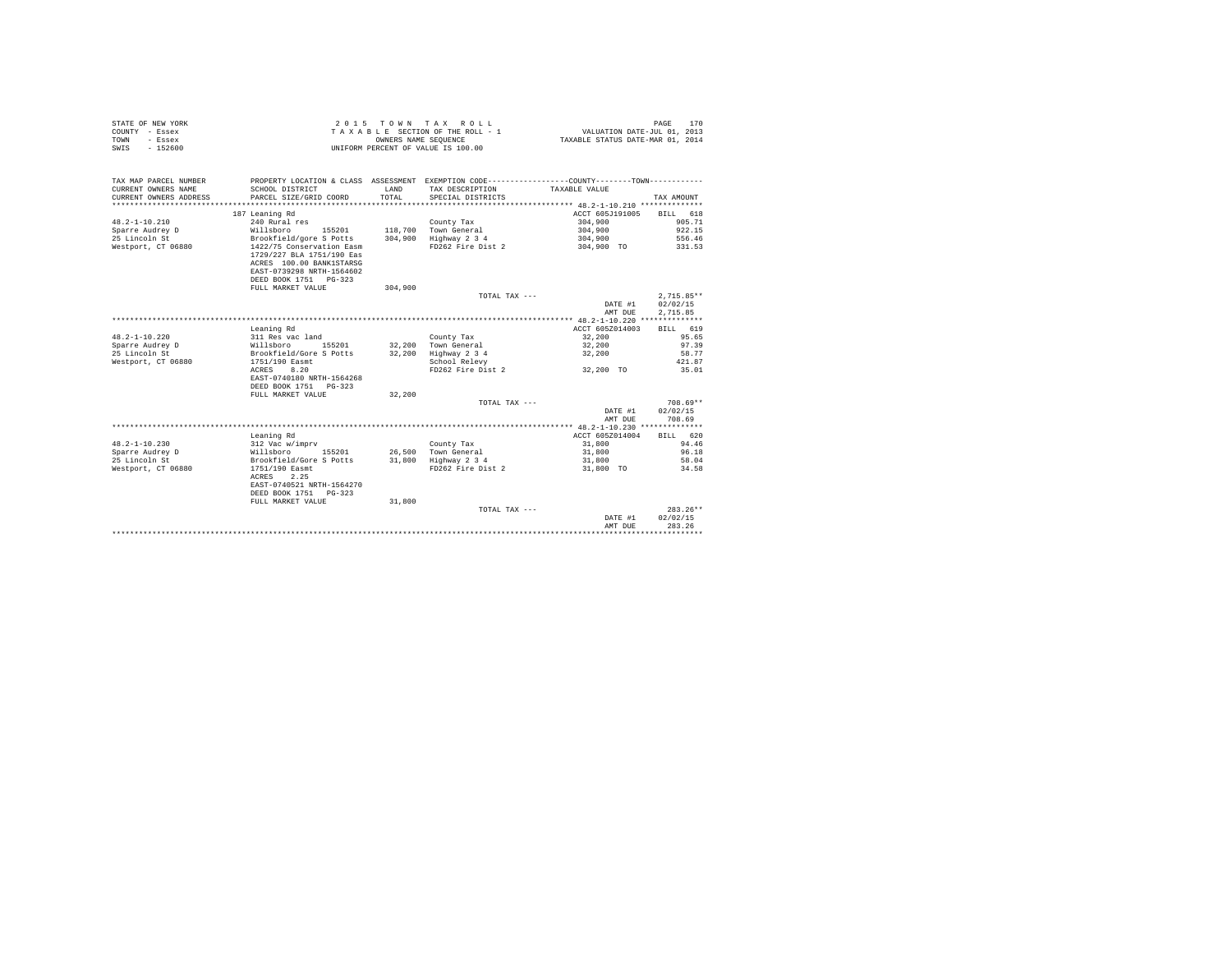| STATE OF NEW YORK<br>COUNTY - Essex<br>TOWN<br>- Essex<br>$-152600$<br>SWIS | 2 0 1 5<br>TOWN<br>TAXABLE SECTION OF THE ROLL - 1<br>OWNERS NAME SEOUENCE<br>UNIFORM PERCENT OF VALUE IS 100.00 |         | TAX<br>ROLL                                                                                    | VALUATION DATE-JUL 01, 2013<br>TAXABLE STATUS DATE-MAR 01, 2014 | PAGE<br>170        |
|-----------------------------------------------------------------------------|------------------------------------------------------------------------------------------------------------------|---------|------------------------------------------------------------------------------------------------|-----------------------------------------------------------------|--------------------|
| TAX MAP PARCEL NUMBER                                                       |                                                                                                                  |         | PROPERTY LOCATION & CLASS ASSESSMENT EXEMPTION CODE----------------COUNTY-------TOWN---------- |                                                                 |                    |
| CURRENT OWNERS NAME                                                         | SCHOOL DISTRICT                                                                                                  | LAND    | TAX DESCRIPTION                                                                                | TAXABLE VALUE                                                   |                    |
| CURRENT OWNERS ADDRESS                                                      | PARCEL SIZE/GRID COORD<br>                                                                                       | TOTAL   | SPECIAL DISTRICTS                                                                              |                                                                 | TAX AMOUNT         |
| ********************                                                        |                                                                                                                  |         |                                                                                                |                                                                 |                    |
|                                                                             | 187 Leaning Rd                                                                                                   |         |                                                                                                | ACCT 605J191005                                                 | 618<br><b>BILL</b> |
| $48.2 - 1 - 10.210$                                                         | 240 Rural res                                                                                                    |         | County Tax                                                                                     | 304,900                                                         | 905.71             |
| Sparre Audrey D                                                             | Willsboro<br>155201                                                                                              | 118,700 | Town General                                                                                   | 304,900                                                         | 922.15             |
| 25 Lincoln St                                                               | Brookfield/gore S Potts<br>1422/75 Conservation Easm                                                             | 304,900 | Highway 2 3 4<br>FD262 Fire Dist 2                                                             | 304,900                                                         | 556.46<br>331.53   |
| Westport, CT 06880                                                          | 1729/227 BLA 1751/190 Eas<br>ACRES 100.00 BANK1STARSG<br>EAST-0739298 NRTH-1564602<br>DEED BOOK 1751 PG-323      |         |                                                                                                | 304,900 TO                                                      |                    |
|                                                                             | FULL MARKET VALUE                                                                                                | 304,900 |                                                                                                |                                                                 |                    |
|                                                                             |                                                                                                                  |         | TOTAL TAX ---                                                                                  |                                                                 | $2.715.85**$       |
|                                                                             |                                                                                                                  |         |                                                                                                | DATE #1                                                         | 02/02/15           |
|                                                                             |                                                                                                                  |         |                                                                                                | AMT DUE                                                         | 2,715.85           |
|                                                                             |                                                                                                                  |         |                                                                                                |                                                                 |                    |
|                                                                             | Leaning Rd                                                                                                       |         |                                                                                                | ACCT 605Z014003                                                 | <b>BILL</b><br>619 |
| $48.2 - 1 - 10.220$                                                         | 311 Res vac land                                                                                                 |         | County Tax                                                                                     | 32,200                                                          | 95.65              |
| Sparre Audrey D                                                             | Willsboro<br>155201                                                                                              | 32,200  | Town General                                                                                   | 32,200                                                          | 97.39              |
| 25 Lincoln St                                                               | Brookfield/Gore S Potts                                                                                          | 32,200  | Highway 2 3 4                                                                                  | 32,200                                                          | 58.77              |
| Westport, CT 06880                                                          | 1751/190 Easmt                                                                                                   |         | School Relevy                                                                                  |                                                                 | 421.87             |
|                                                                             | 8.20<br>ACRES                                                                                                    |         | FD262 Fire Dist 2                                                                              | 32,200 TO                                                       | 35.01              |
|                                                                             | EAST-0740180 NRTH-1564268                                                                                        |         |                                                                                                |                                                                 |                    |
|                                                                             | DEED BOOK 1751 PG-323                                                                                            |         |                                                                                                |                                                                 |                    |
|                                                                             | FULL MARKET VALUE                                                                                                | 32,200  |                                                                                                |                                                                 |                    |
|                                                                             |                                                                                                                  |         | TOTAL TAX ---                                                                                  |                                                                 | $708.69**$         |
|                                                                             |                                                                                                                  |         |                                                                                                | DATE #1                                                         | 02/02/15           |
|                                                                             |                                                                                                                  |         |                                                                                                | AMT DUE                                                         | 708.69             |
|                                                                             |                                                                                                                  |         |                                                                                                | ACCT 605Z014004                                                 | BILL 620           |
| $48.2 - 1 - 10.230$                                                         | Leaning Rd<br>312 Vac w/imprv                                                                                    |         | County Tax                                                                                     | 31,800                                                          | 94.46              |
| Sparre Audrey D                                                             | Willsboro<br>155201                                                                                              | 26,500  | Town General                                                                                   | 31,800                                                          | 96.18              |
| 25 Lincoln St                                                               | Brookfield/Gore S Potts                                                                                          | 31,800  | Highway 2 3 4                                                                                  | 31,800                                                          | 58.04              |
| Westport, CT 06880                                                          | 1751/190 Easmt                                                                                                   |         | FD262 Fire Dist 2                                                                              | 31,800 TO                                                       | 34.58              |
|                                                                             | 2.25<br>ACRES<br>EAST-0740521 NRTH-1564270<br>DEED BOOK 1751 PG-323                                              |         |                                                                                                |                                                                 |                    |
|                                                                             | FULL MARKET VALUE                                                                                                | 31,800  |                                                                                                |                                                                 |                    |
|                                                                             |                                                                                                                  |         | TOTAL TAX ---                                                                                  |                                                                 | $283.26**$         |
|                                                                             |                                                                                                                  |         |                                                                                                | DATE #1                                                         | 02/02/15           |
|                                                                             |                                                                                                                  |         |                                                                                                | AMT DUE                                                         | 283.26             |
|                                                                             |                                                                                                                  |         |                                                                                                |                                                                 |                    |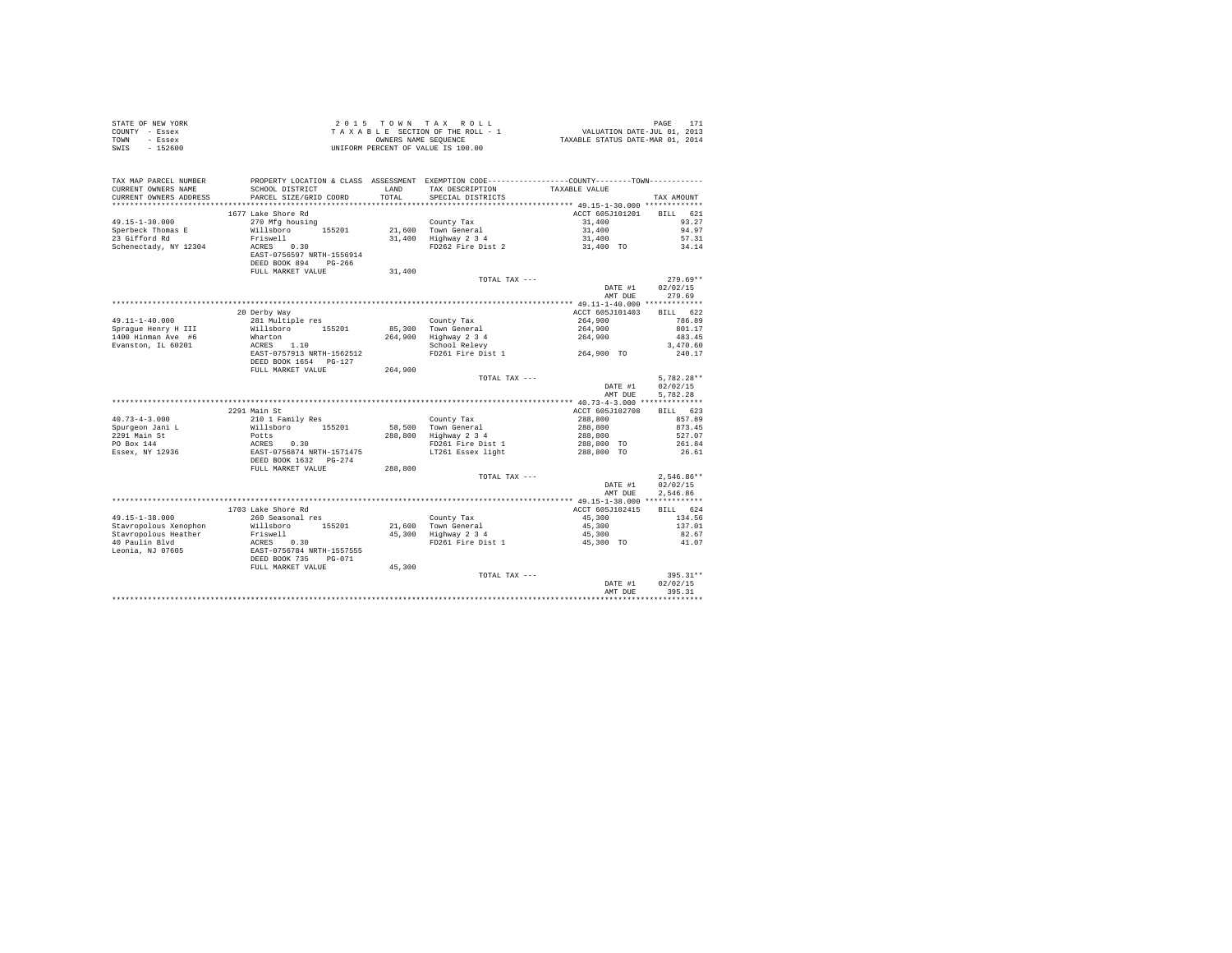| STATE OF NEW YORK<br>COUNTY - Essex<br>TOWN<br>- Essex<br>$-152600$<br>SWIS | 2015 TOWN TAX ROLL<br>PAGE<br>PAGE 171<br>VALUATION DATE-JUL 01, 2013<br>TAXABLE STATUS DATE-MAR 01, 2014<br>TAXABLE SECTION OF THE ROLL - 1<br>OWNERS NAME SEOUENCE<br>UNIFORM PERCENT OF VALUE IS 100.00 |               |                                                                                                                                        |                            | 171                  |
|-----------------------------------------------------------------------------|------------------------------------------------------------------------------------------------------------------------------------------------------------------------------------------------------------|---------------|----------------------------------------------------------------------------------------------------------------------------------------|----------------------------|----------------------|
| TAX MAP PARCEL NUMBER<br>CURRENT OWNERS NAME<br>CURRENT OWNERS ADDRESS      | SCHOOL DISTRICT<br>PARCEL SIZE/GRID COORD                                                                                                                                                                  | LAND<br>TOTAL | PROPERTY LOCATION & CLASS ASSESSMENT EXEMPTION CODE----------------COUNTY-------TOWN----------<br>TAX DESCRIPTION<br>SPECIAL DISTRICTS | TAXABLE VALUE              | TAX AMOUNT           |
|                                                                             |                                                                                                                                                                                                            |               |                                                                                                                                        |                            |                      |
|                                                                             | 1677 Lake Shore Rd                                                                                                                                                                                         |               |                                                                                                                                        | ACCT 605J101201            | BILL 621             |
| 49.15-1-30.000                                                              | 270 Mfg housing                                                                                                                                                                                            |               | County Tax                                                                                                                             | 31,400                     | 93.27                |
| Sperbeck Thomas E                                                           | Willsboro 155201                                                                                                                                                                                           |               | 21,600 Town General                                                                                                                    | 31,400                     | 94.97                |
| 23 Gifford Rd                                                               | Friswell                                                                                                                                                                                                   |               | $31,400$ Highway $2\overline{3}4$                                                                                                      | 31,400                     | 57.31                |
| Schenectady, NY 12304                                                       | ACRES 0.30                                                                                                                                                                                                 |               | FD262 Fire Dist 2                                                                                                                      | 31,400 TO                  | 34.14                |
|                                                                             | EAST-0756597 NRTH-1556914                                                                                                                                                                                  |               |                                                                                                                                        |                            |                      |
|                                                                             | DEED BOOK 894 PG-266<br>FULL MARKET VALUE                                                                                                                                                                  | 31,400        |                                                                                                                                        |                            |                      |
|                                                                             |                                                                                                                                                                                                            |               | TOTAL TAX ---                                                                                                                          |                            | $279.69**$           |
|                                                                             |                                                                                                                                                                                                            |               |                                                                                                                                        | DATE #1                    | 02/02/15             |
|                                                                             |                                                                                                                                                                                                            |               |                                                                                                                                        | AMT DUE                    | 279.69               |
|                                                                             |                                                                                                                                                                                                            |               |                                                                                                                                        |                            |                      |
|                                                                             | 20 Derby Way                                                                                                                                                                                               |               |                                                                                                                                        | ACCT 605J101403            | BILL 622             |
| 49.11-1-40.000                                                              | 281 Multiple res                                                                                                                                                                                           |               | County Tax                                                                                                                             | 264,900                    | 786.89               |
| Spraque Henry H III                                                         | Willsboro 155201                                                                                                                                                                                           |               | 85,300 Town General                                                                                                                    | 264,900<br>264,900         | 801.17               |
| 1400 Hinman Ave #6                                                          | Wharton                                                                                                                                                                                                    | 264,900       | Highway 2 3 4<br>School Relevy                                                                                                         |                            | 483.45               |
| Evanston, IL 60201                                                          | ACRES 1.10<br>EAST-0757913 NRTH-1562512                                                                                                                                                                    |               | FD261 Fire Dist 1 264,900 TO                                                                                                           |                            | 3,470.60<br>240.17   |
|                                                                             | DEED BOOK 1654 PG-127                                                                                                                                                                                      |               |                                                                                                                                        |                            |                      |
|                                                                             | FULL MARKET VALUE                                                                                                                                                                                          | 264,900       |                                                                                                                                        |                            |                      |
|                                                                             |                                                                                                                                                                                                            |               | TOTAL TAX ---                                                                                                                          |                            | $5,782.28**$         |
|                                                                             |                                                                                                                                                                                                            |               |                                                                                                                                        | DATE #1<br>AMT DUE         | 02/02/15<br>5.782.28 |
|                                                                             |                                                                                                                                                                                                            |               |                                                                                                                                        |                            |                      |
|                                                                             | 2291 Main St                                                                                                                                                                                               |               |                                                                                                                                        | ACCT 605J102708            | BILL 623             |
| $40.73 - 4 - 3.000$                                                         | 210 1 Family Res                                                                                                                                                                                           |               | County Tax                                                                                                                             | 288,800                    | 857.89               |
| Spurgeon Jani L                                                             | Willsboro 155201                                                                                                                                                                                           | 58,500        | 58,500 Town General<br>288,800 Highway 2 3 4                                                                                           | 288,800<br>288,800         | 873.45               |
| 2291 Main St<br>PO Box 144                                                  | Potts                                                                                                                                                                                                      |               | FD261 Fire Dist 1                                                                                                                      |                            | 527.07<br>261.84     |
| Essex, NY 12936                                                             |                                                                                                                                                                                                            |               | LT261 Essex light                                                                                                                      | $288,800$ TO<br>288,800 TO | 26.61                |
|                                                                             | ACRES 0.30<br>EAST-0756874 NRTH-1571475<br>DEED BOOK 1632 PG-274                                                                                                                                           |               |                                                                                                                                        |                            |                      |
|                                                                             | FULL MARKET VALUE                                                                                                                                                                                          | 288,800       |                                                                                                                                        |                            |                      |
|                                                                             |                                                                                                                                                                                                            |               | TOTAL TAX ---                                                                                                                          |                            | $2.546.86**$         |
|                                                                             |                                                                                                                                                                                                            |               |                                                                                                                                        | DATE #1                    | 02/02/15             |
|                                                                             |                                                                                                                                                                                                            |               |                                                                                                                                        | AMT DUE                    | 2.546.86             |
|                                                                             |                                                                                                                                                                                                            |               |                                                                                                                                        |                            |                      |
|                                                                             | 1703 Lake Shore Rd                                                                                                                                                                                         |               |                                                                                                                                        | ACCT 605J102415            | BTLL 624             |
| 49.15-1-38.000<br>Stavropolous Xenophon                                     | 260 Seasonal res<br>Willsboro 155201                                                                                                                                                                       |               | County Tax                                                                                                                             | 45,300<br>45,300           | 134.56<br>137.01     |
| Stavropolous Heather                                                        | Friswell                                                                                                                                                                                                   |               | 21,600 Town General<br>45,300 Highway 2 3 4                                                                                            | 45,300                     | 82.67                |
| 40 Paulin Blvd                                                              | ACRES 0.30                                                                                                                                                                                                 |               | FD261 Fire Dist 1                                                                                                                      | $45,300$ TO                | 41.07                |
| Leonia, NJ 07605                                                            | EAST-0756784 NRTH-1557555                                                                                                                                                                                  |               |                                                                                                                                        |                            |                      |
|                                                                             | DEED BOOK 735 PG-071                                                                                                                                                                                       |               |                                                                                                                                        |                            |                      |
|                                                                             | FULL MARKET VALUE                                                                                                                                                                                          | 45,300        |                                                                                                                                        |                            |                      |
|                                                                             |                                                                                                                                                                                                            |               | TOTAL TAX ---                                                                                                                          |                            | 395.31**             |
|                                                                             |                                                                                                                                                                                                            |               |                                                                                                                                        | DATE #1                    | 02/02/15             |
|                                                                             |                                                                                                                                                                                                            |               |                                                                                                                                        | AMT DUE                    | 395.31               |
|                                                                             |                                                                                                                                                                                                            |               |                                                                                                                                        |                            |                      |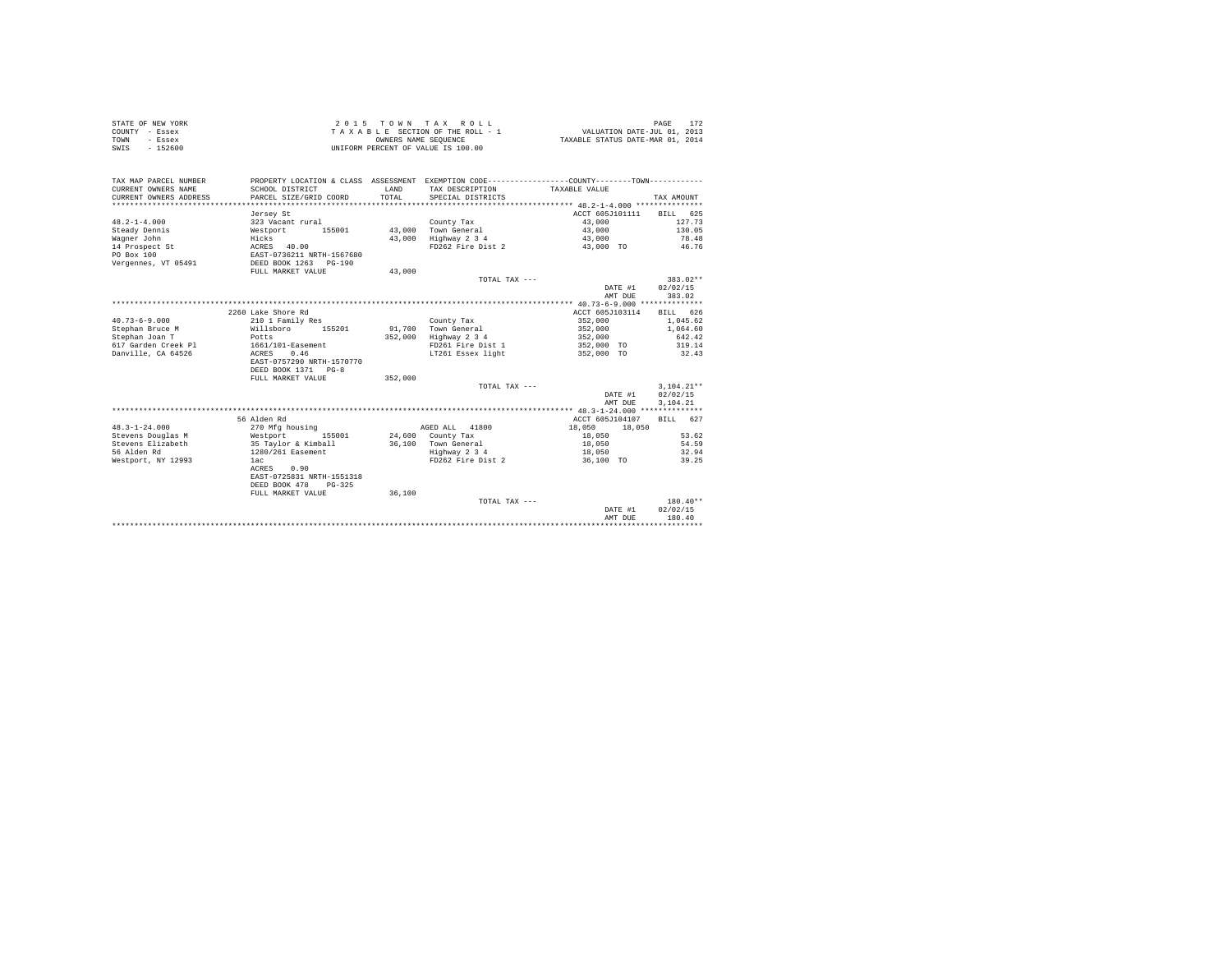|      | STATE OF NEW YORK | $2.0.15$ TOWN TAX ROLL             | PAGE                             |
|------|-------------------|------------------------------------|----------------------------------|
|      | COUNTY - Essex    | TAXABLE SECTION OF THE ROLL - 1    | VALUATION DATE-JUL 01, 2013      |
| TOWN | - Essex           | OWNERS NAME SEOUENCE               | TAXABLE STATUS DATE-MAR 01, 2014 |
| SWIS | $-152600$         | UNIFORM PERCENT OF VALUE IS 100.00 |                                  |

| TAX MAP PARCEL NUMBER<br>CURRENT OWNERS NAME<br>CURRENT OWNERS ADDRESS | SCHOOL DISTRICT<br>PARCEL SIZE/GRID COORD | LAND<br>TOTAL | PROPERTY LOCATION & CLASS ASSESSMENT EXEMPTION CODE----------------COUNTY--------TOWN----------<br>TAX DESCRIPTION<br>SPECIAL DISTRICTS | TAXABLE VALUE            | TAX AMOUNT         |
|------------------------------------------------------------------------|-------------------------------------------|---------------|-----------------------------------------------------------------------------------------------------------------------------------------|--------------------------|--------------------|
|                                                                        | Jersey St                                 |               |                                                                                                                                         | ACCT 605J101111          | BILL 625           |
| $48.2 - 1 - 4.000$                                                     | 323 Vacant rural                          |               | County Tax                                                                                                                              | 43,000                   | 127.73             |
| Steady Dennis                                                          | 155001<br>Westport                        | 43,000        | Town General                                                                                                                            | 43,000                   | 130.05             |
| Waqner John                                                            | Hicks                                     | 43,000        | Highway 2 3 4                                                                                                                           | 43,000                   | 78.48              |
| 14 Prospect St                                                         | ACRES 40.00                               |               | FD262 Fire Dist 2                                                                                                                       | 43,000 TO                | 46.76              |
| PO Box 100                                                             | EAST-0736211 NRTH-1567680                 |               |                                                                                                                                         |                          |                    |
| Vergennes, VT 05491                                                    | DEED BOOK 1263<br>$PG-190$                |               |                                                                                                                                         |                          |                    |
|                                                                        | FULL MARKET VALUE                         | 43,000        |                                                                                                                                         |                          |                    |
|                                                                        |                                           |               | TOTAL TAX ---                                                                                                                           |                          | $383.02**$         |
|                                                                        |                                           |               |                                                                                                                                         | DATE #1                  | 02/02/15           |
|                                                                        |                                           |               |                                                                                                                                         | AMT DUE                  | 383.02             |
|                                                                        |                                           |               |                                                                                                                                         |                          |                    |
|                                                                        | 2260 Lake Shore Rd                        |               |                                                                                                                                         | ACCT 605J103114          | 626<br><b>BILL</b> |
| $40.73 - 6 - 9.000$                                                    | 210 1 Family Res                          |               | County Tax                                                                                                                              | 352,000                  | 1.045.62           |
| Stephan Bruce M                                                        | Willsboro<br>155201                       | 91,700        | Town General                                                                                                                            | 352,000                  | 1,064.60           |
| Stephan Joan T                                                         | Potts                                     | 352,000       | Highway 2 3 4                                                                                                                           | 352,000                  | 642.42             |
| 617 Garden Creek Pl<br>Danville, CA 64526                              | 1661/101-Easement<br>0.46                 |               | FD261 Fire Dist 1<br>LT261 Essex light                                                                                                  | 352,000 TO<br>352,000 TO | 319.14<br>32.43    |
|                                                                        | ACRES<br>EAST-0757290 NRTH-1570770        |               |                                                                                                                                         |                          |                    |
|                                                                        | DEED BOOK 1371 PG-8                       |               |                                                                                                                                         |                          |                    |
|                                                                        | FULL MARKET VALUE                         | 352,000       |                                                                                                                                         |                          |                    |
|                                                                        |                                           |               | TOTAL TAX ---                                                                                                                           |                          | $3.104.21**$       |
|                                                                        |                                           |               |                                                                                                                                         | DATE #1                  | 02/02/15           |
|                                                                        |                                           |               |                                                                                                                                         | AMT DUE                  | 3,104.21           |
|                                                                        |                                           |               |                                                                                                                                         |                          |                    |
|                                                                        | 56 Alden Rd                               |               |                                                                                                                                         | ACCT 605J104107          | BILL 627           |
| $48.3 - 1 - 24.000$                                                    | 270 Mfg housing                           |               | 41800<br>AGED ALL                                                                                                                       | 18,050<br>18,050         |                    |
| Stevens Douglas M                                                      | 155001<br>Westport                        |               | $24,600$ County Tax                                                                                                                     | 18,050                   | 53.62              |
| Stevens Elizabeth                                                      | 35 Taylor & Kimball                       |               | 36.100 Town General                                                                                                                     | 18,050                   | 54.59              |
| 56 Alden Rd                                                            | 1280/261 Easement                         |               | Highway 2 3 4                                                                                                                           | 18,050                   | 32.94              |
| Westport, NY 12993                                                     | 1ac                                       |               | FD262 Fire Dist 2                                                                                                                       | 36,100 TO                | 39.25              |
|                                                                        | ACRES<br>0.90                             |               |                                                                                                                                         |                          |                    |
|                                                                        | EAST-0725831 NRTH-1551318                 |               |                                                                                                                                         |                          |                    |
|                                                                        | DEED BOOK 478<br>$PG-325$                 |               |                                                                                                                                         |                          |                    |
|                                                                        | FULL MARKET VALUE                         | 36,100        |                                                                                                                                         |                          |                    |
|                                                                        |                                           |               | TOTAL TAX ---                                                                                                                           |                          | $180.40**$         |
|                                                                        |                                           |               |                                                                                                                                         | DATE #1                  | 02/02/15           |
|                                                                        |                                           |               |                                                                                                                                         | AMT DUE                  | 180.40             |
|                                                                        |                                           |               |                                                                                                                                         |                          |                    |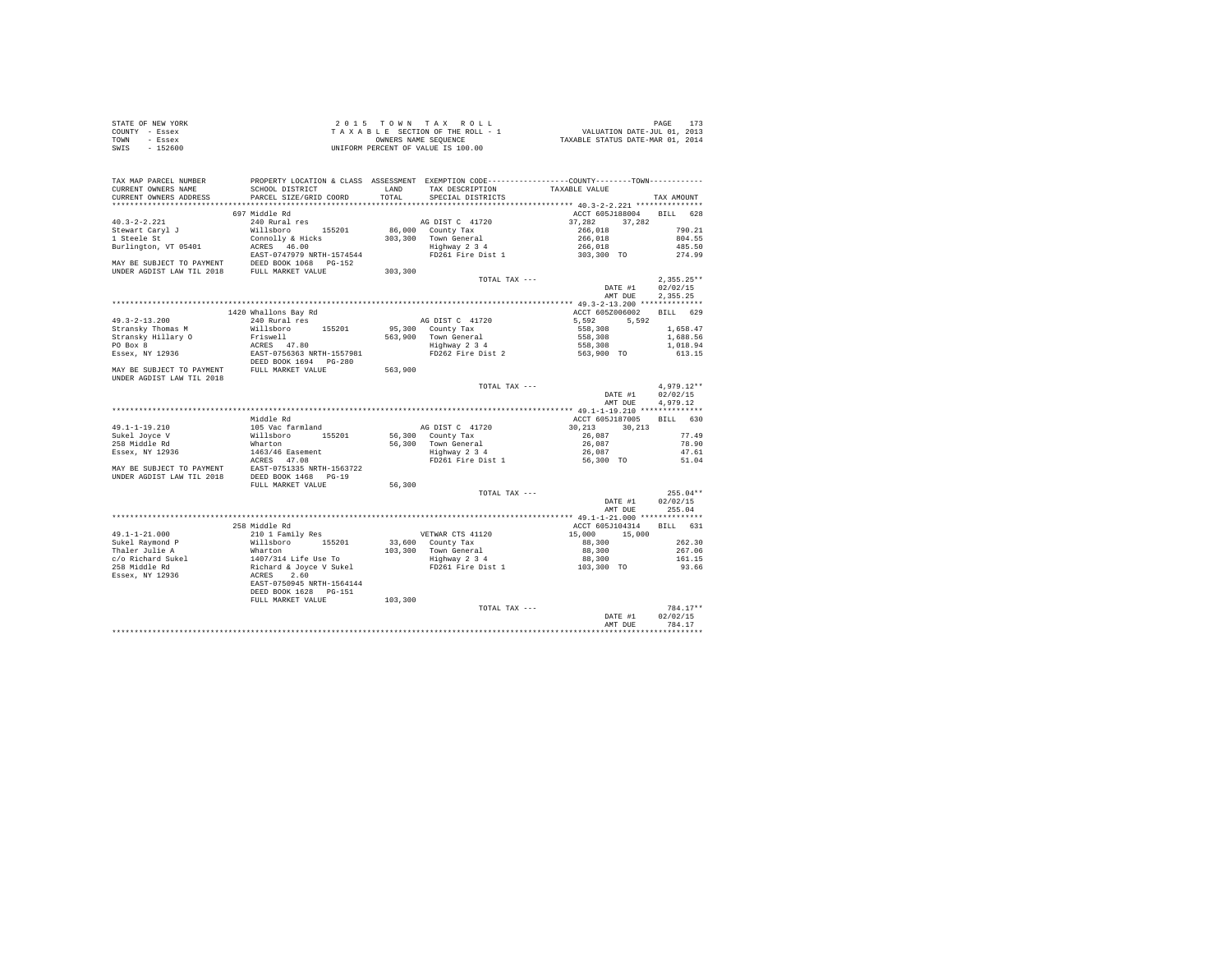| COUNTY - Essex<br>TOWN<br>- Essex<br>SWIS<br>$-152600$ | UNIFORM PERCENT OF VALUE IS 100.00                                                                                                                                                                                                           |         |                                                                                                                                                                                                                                       | T A X A B L E SECTION OF THE ROLL - 1 WALUATION DATE-JUL 01, 2013<br>CONNERS NAME STATUS DATE-MAR 01, 2014 |                      |
|--------------------------------------------------------|----------------------------------------------------------------------------------------------------------------------------------------------------------------------------------------------------------------------------------------------|---------|---------------------------------------------------------------------------------------------------------------------------------------------------------------------------------------------------------------------------------------|------------------------------------------------------------------------------------------------------------|----------------------|
|                                                        |                                                                                                                                                                                                                                              |         |                                                                                                                                                                                                                                       |                                                                                                            |                      |
| TAX MAP PARCEL NUMBER                                  | PROPERTY LOCATION & CLASS ASSESSMENT EXEMPTION CODE-----------------COUNTY--------TOWN---------                                                                                                                                              |         |                                                                                                                                                                                                                                       |                                                                                                            |                      |
| CURRENT OWNERS NAME<br>CURRENT OWNERS ADDRESS          | SCHOOL DISTRICT LAND                                                                                                                                                                                                                         |         | TAX DESCRIPTION                                                                                                                                                                                                                       | TAXABLE VALUE                                                                                              |                      |
|                                                        | PARCEL SIZE/GRID COORD                                                                                                                                                                                                                       | TOTAL   | SPECIAL DISTRICTS                                                                                                                                                                                                                     |                                                                                                            | TAX AMOUNT           |
|                                                        | 697 Middle Rd                                                                                                                                                                                                                                |         |                                                                                                                                                                                                                                       | ACCT 605J188004 BILL 628                                                                                   |                      |
| $40.3 - 2 - 2.221$                                     | 240 Rural res                                                                                                                                                                                                                                |         | AG DIST C 41720<br>86,000 County Tax and the contract of 266,018<br>303,300 Town General<br>Highway 2 3 4<br>FD261 Fire Dist 1 266,018<br>FD261 Fire Dist 1 266,018                                                                   |                                                                                                            |                      |
| Stewart Caryl J<br>1 Steele St                         | Willsboro 155201                                                                                                                                                                                                                             |         |                                                                                                                                                                                                                                       |                                                                                                            | 790.21               |
|                                                        |                                                                                                                                                                                                                                              |         |                                                                                                                                                                                                                                       |                                                                                                            | 804.55               |
|                                                        |                                                                                                                                                                                                                                              |         |                                                                                                                                                                                                                                       |                                                                                                            | 485.50               |
|                                                        |                                                                                                                                                                                                                                              |         |                                                                                                                                                                                                                                       |                                                                                                            | 274.99               |
|                                                        |                                                                                                                                                                                                                                              | 303,300 |                                                                                                                                                                                                                                       |                                                                                                            |                      |
|                                                        |                                                                                                                                                                                                                                              |         | TOTAL TAX ---                                                                                                                                                                                                                         |                                                                                                            | $2.355.25**$         |
|                                                        |                                                                                                                                                                                                                                              |         |                                                                                                                                                                                                                                       | DATE #1                                                                                                    | 02/02/15             |
|                                                        |                                                                                                                                                                                                                                              |         |                                                                                                                                                                                                                                       | AMT DUE                                                                                                    | 2,355.25             |
|                                                        |                                                                                                                                                                                                                                              |         |                                                                                                                                                                                                                                       |                                                                                                            |                      |
|                                                        |                                                                                                                                                                                                                                              |         |                                                                                                                                                                                                                                       | ACCT 605Z006002 BILL 629                                                                                   |                      |
|                                                        |                                                                                                                                                                                                                                              |         |                                                                                                                                                                                                                                       |                                                                                                            |                      |
|                                                        |                                                                                                                                                                                                                                              |         |                                                                                                                                                                                                                                       |                                                                                                            | 1,658.47             |
|                                                        |                                                                                                                                                                                                                                              |         |                                                                                                                                                                                                                                       |                                                                                                            | 1,688.56<br>1,018.94 |
|                                                        |                                                                                                                                                                                                                                              |         |                                                                                                                                                                                                                                       |                                                                                                            | 613.15               |
|                                                        |                                                                                                                                                                                                                                              |         |                                                                                                                                                                                                                                       |                                                                                                            |                      |
|                                                        |                                                                                                                                                                                                                                              |         |                                                                                                                                                                                                                                       |                                                                                                            |                      |
|                                                        |                                                                                                                                                                                                                                              |         | TOTAL TAX ---                                                                                                                                                                                                                         |                                                                                                            | $4.979.12**$         |
|                                                        |                                                                                                                                                                                                                                              |         |                                                                                                                                                                                                                                       | DATE #1<br>AMT DUE                                                                                         | 02/02/15<br>4.979.12 |
|                                                        |                                                                                                                                                                                                                                              |         |                                                                                                                                                                                                                                       |                                                                                                            |                      |
|                                                        | Middle Rd                                                                                                                                                                                                                                    |         |                                                                                                                                                                                                                                       | ACCT 605J187005 BILL 630                                                                                   |                      |
|                                                        |                                                                                                                                                                                                                                              |         |                                                                                                                                                                                                                                       |                                                                                                            |                      |
|                                                        |                                                                                                                                                                                                                                              |         |                                                                                                                                                                                                                                       |                                                                                                            | 77.49                |
|                                                        |                                                                                                                                                                                                                                              |         | AG DIST C 41720<br>$30,213$<br>$36,300$ County Tax<br>$7$ S6,300 County Tax<br>$7$ S6,300 County Tax<br>$\frac{26,087}{26,087}$<br>$\frac{26,087}{26,087}$<br>$\frac{26,087}{26,087}$<br>FD261 Fire Dist 1<br>$\frac{56,300}{26,087}$ |                                                                                                            | 78.90<br>47.61       |
|                                                        |                                                                                                                                                                                                                                              |         |                                                                                                                                                                                                                                       |                                                                                                            | 51.04                |
|                                                        | 49.1-1-19.210<br>Sukel Joye V (105 Vac farmland<br>Sukel Joye V (111sboro 155201<br>258 Middle Rd<br>Essex, NY 12936<br>MAY BE SUBJECT TO PAYMENT ACRES (47.08<br>MAY BE SUBJECT TO PAYMENT ERST-0751335 NRTH-1563722<br>UNDER AGDIST LAW TI |         |                                                                                                                                                                                                                                       |                                                                                                            |                      |
|                                                        |                                                                                                                                                                                                                                              |         |                                                                                                                                                                                                                                       |                                                                                                            |                      |
|                                                        | FULL MARKET VALUE                                                                                                                                                                                                                            | 56,300  |                                                                                                                                                                                                                                       |                                                                                                            |                      |
|                                                        |                                                                                                                                                                                                                                              |         | TOTAL TAX ---                                                                                                                                                                                                                         |                                                                                                            | $255.04**$           |
|                                                        |                                                                                                                                                                                                                                              |         |                                                                                                                                                                                                                                       | DATE #1                                                                                                    | 02/02/15             |
|                                                        |                                                                                                                                                                                                                                              |         |                                                                                                                                                                                                                                       | AMT DUE                                                                                                    | 255.04               |
|                                                        | 258 Middle Rd                                                                                                                                                                                                                                |         |                                                                                                                                                                                                                                       | ACCT 605J104314 BILL 631                                                                                   |                      |
|                                                        |                                                                                                                                                                                                                                              |         |                                                                                                                                                                                                                                       |                                                                                                            |                      |
|                                                        |                                                                                                                                                                                                                                              |         |                                                                                                                                                                                                                                       |                                                                                                            | 262.30               |
|                                                        |                                                                                                                                                                                                                                              |         |                                                                                                                                                                                                                                       | 15,000 15,000 2<br>15,000 15,000 2<br>88,300 2                                                             | 267.06               |
|                                                        |                                                                                                                                                                                                                                              |         |                                                                                                                                                                                                                                       |                                                                                                            | 161.15               |
|                                                        |                                                                                                                                                                                                                                              |         |                                                                                                                                                                                                                                       |                                                                                                            | 93.66                |
|                                                        |                                                                                                                                                                                                                                              |         |                                                                                                                                                                                                                                       |                                                                                                            |                      |
|                                                        | DEED BOOK 1628 PG-151                                                                                                                                                                                                                        |         |                                                                                                                                                                                                                                       |                                                                                                            |                      |
|                                                        | FULL MARKET VALUE                                                                                                                                                                                                                            | 103,300 |                                                                                                                                                                                                                                       |                                                                                                            |                      |
|                                                        |                                                                                                                                                                                                                                              |         | TOTAL TAX ---                                                                                                                                                                                                                         |                                                                                                            | 784.17**             |
|                                                        |                                                                                                                                                                                                                                              |         |                                                                                                                                                                                                                                       | DATE #1                                                                                                    | 02/02/15             |
|                                                        |                                                                                                                                                                                                                                              |         |                                                                                                                                                                                                                                       | AMT DUE                                                                                                    | 784.17               |
|                                                        |                                                                                                                                                                                                                                              |         |                                                                                                                                                                                                                                       |                                                                                                            |                      |

STATE OF NEW YORK 2015 TOWN TAX ROLL PAGE 173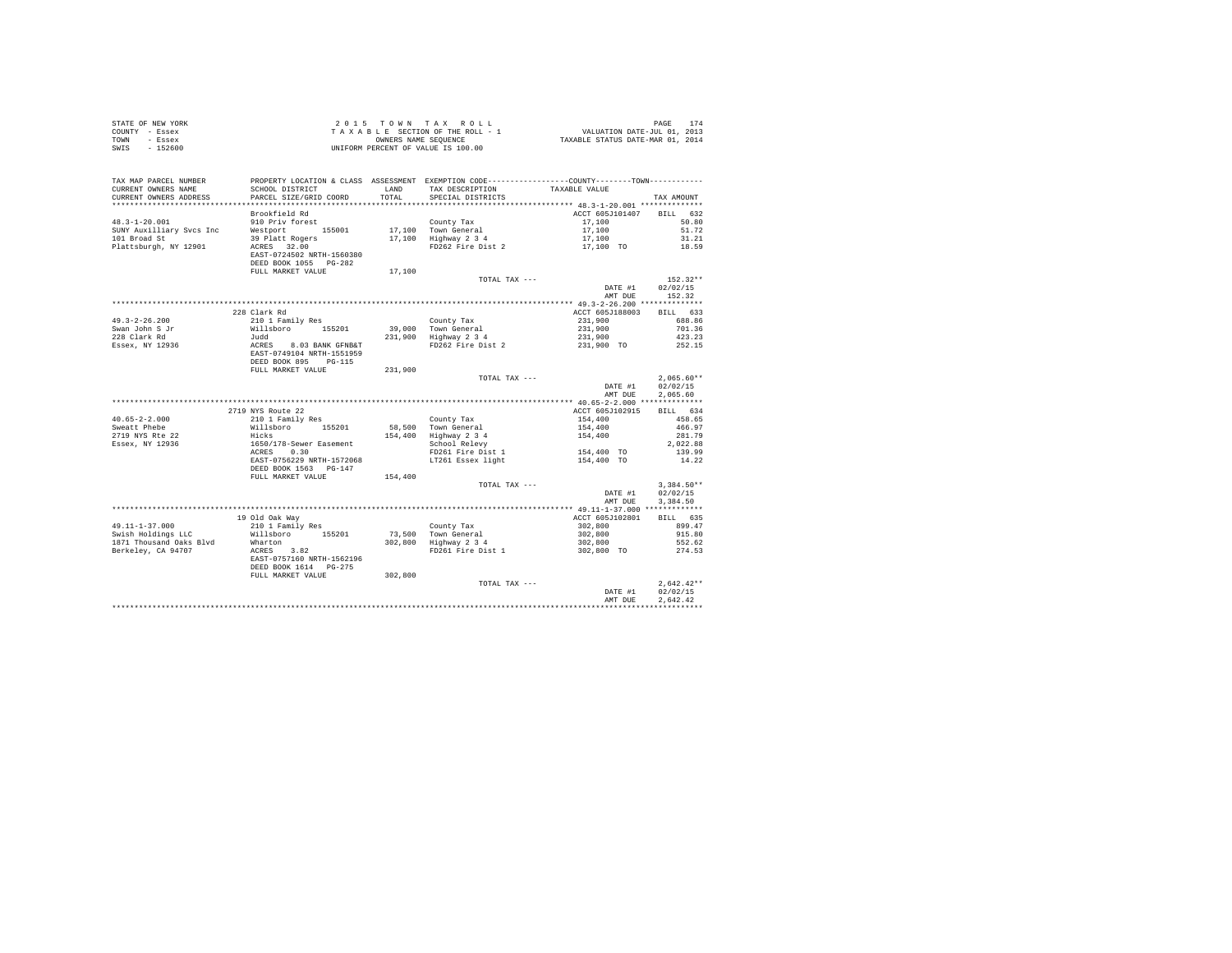|      | STATE OF NEW YORK | $2.0.15$ TOWN TAX ROLL             | 174<br>PAGE                      |
|------|-------------------|------------------------------------|----------------------------------|
|      | COUNTY - Essex    | TAXABLE SECTION OF THE ROLL - 1    | VALUATION DATE-JUL 01, 2013      |
| TOWN | - Essex           | OWNERS NAME SEOUENCE               | TAXABLE STATUS DATE-MAR 01, 2014 |
| SWIS | $-152600$         | UNIFORM PERCENT OF VALUE IS 100.00 |                                  |

| TAX MAP PARCEL NUMBER<br>CURRENT OWNERS NAME<br>CURRENT OWNERS ADDRESS | PROPERTY LOCATION & CLASS ASSESSMENT EXEMPTION CODE---------------COUNTY-------TOWN---------<br>SCHOOL DISTRICT<br>PARCEL SIZE/GRID COORD | LAND<br>TOTAL | TAX DESCRIPTION<br>SPECIAL DISTRICTS | TAXABLE VALUE     | TAX AMOUNT   |
|------------------------------------------------------------------------|-------------------------------------------------------------------------------------------------------------------------------------------|---------------|--------------------------------------|-------------------|--------------|
|                                                                        |                                                                                                                                           |               |                                      |                   |              |
|                                                                        | Brookfield Rd                                                                                                                             |               |                                      | ACCT 605J101407   | BILL 632     |
| $48.3 - 1 - 20.001$                                                    | 910 Priv forest                                                                                                                           |               | County Tax                           | 17,100            | 50.80        |
| SUNY Auxilliary Svcs Inc                                               | Westport 155001                                                                                                                           |               | 17.100 Town General                  | 17,100            | 51.72        |
|                                                                        |                                                                                                                                           |               |                                      |                   |              |
| 101 Broad St                                                           | $39$ Platt Rogers                                                                                                                         |               | 17,100 Highway 2 3 4                 | 17,100            | 31.21        |
| Plattsburgh, NY 12901                                                  | ACRES 32.00                                                                                                                               |               | FD262 Fire Dist 2                    | 17,100 TO         | 18.59        |
|                                                                        | EAST-0724502 NRTH-1560380                                                                                                                 |               |                                      |                   |              |
|                                                                        | DEED BOOK 1055 PG-282                                                                                                                     |               |                                      |                   |              |
|                                                                        | FULL MARKET VALUE                                                                                                                         | 17,100        |                                      |                   |              |
|                                                                        |                                                                                                                                           |               | TOTAL TAX ---                        |                   | $152.32**$   |
|                                                                        |                                                                                                                                           |               |                                      | DATE #1           | 02/02/15     |
|                                                                        |                                                                                                                                           |               |                                      | AMT DUE           | 152.32       |
|                                                                        |                                                                                                                                           |               |                                      |                   |              |
|                                                                        |                                                                                                                                           |               |                                      |                   |              |
|                                                                        | 228 Clark Rd                                                                                                                              |               |                                      | ACCT 605J188003   | BILL 633     |
| $49.3 - 2 - 26.200$                                                    | 210 1 Family Res                                                                                                                          |               | County Tax                           | 231,900           | 688.86       |
| Swan John S Jr                                                         | Willsboro<br>155201                                                                                                                       |               | $39,000$ Town General                | 231,900           | 701.36       |
| 228 Clark Rd                                                           | Judd                                                                                                                                      |               | 231,900 Highway 2 3 4                | 231,900           | 423.23       |
| Essex, NY 12936                                                        |                                                                                                                                           |               | FD262 Fire Dist 2                    | 231.900 TO 252.15 |              |
|                                                                        | ACRES 8.03 BANK GFNB&T<br>EAST-0749104 NRTH-1551959                                                                                       |               |                                      |                   |              |
|                                                                        |                                                                                                                                           |               |                                      |                   |              |
|                                                                        | DEED BOOK 895 PG-115                                                                                                                      |               |                                      |                   |              |
|                                                                        | FULL MARKET VALUE                                                                                                                         | 231,900       |                                      |                   |              |
|                                                                        |                                                                                                                                           |               | TOTAL TAX ---                        |                   | $2.065.60**$ |
|                                                                        |                                                                                                                                           |               |                                      | DATE #1           | 02/02/15     |
|                                                                        |                                                                                                                                           |               |                                      | AMT DUE           | 2,065.60     |
|                                                                        |                                                                                                                                           |               |                                      |                   |              |
|                                                                        | 2719 NYS Route 22                                                                                                                         |               |                                      | ACCT 605J102915   | BILL 634     |
| $40.65 - 2 - 2.000$                                                    | 210 1 Family Res                                                                                                                          |               | County Tax                           | 154,400           | 458.65       |
| Sweatt Phebe                                                           | Willsboro 155201                                                                                                                          |               | 58,500 Town General                  | 154,400           | 466.97       |
| 2719 NYS Rte 22                                                        | Hicks                                                                                                                                     |               | 154.400 Highway 2 3 4                | 154,400           | 281.79       |
|                                                                        |                                                                                                                                           |               |                                      |                   |              |
| Essex, NY 12936                                                        | 1650/178-Sewer Easement                                                                                                                   |               | School Relevy                        |                   | 2,022.88     |
|                                                                        | ACRES 0.30                                                                                                                                |               | FD261 Fire Dist 1                    | 154,400 TO        | 139.99       |
|                                                                        | EAST-0756229 NRTH-1572068                                                                                                                 |               | LT261 Essex light                    | 154,400 TO        | 14.22        |
|                                                                        | DEED BOOK 1563 PG-147                                                                                                                     |               |                                      |                   |              |
|                                                                        | FULL MARKET VALUE                                                                                                                         | 154,400       |                                      |                   |              |
|                                                                        |                                                                                                                                           |               | TOTAL TAX ---                        |                   | $3.384.50**$ |
|                                                                        |                                                                                                                                           |               |                                      | DATE #1           | 02/02/15     |
|                                                                        |                                                                                                                                           |               |                                      | AMT DUE           | 3,384.50     |
|                                                                        |                                                                                                                                           |               |                                      |                   |              |
|                                                                        |                                                                                                                                           |               |                                      |                   |              |
|                                                                        | 19 Old Oak Way                                                                                                                            |               |                                      | ACCT 605J102801   | BILL 635     |
| 49.11-1-37.000                                                         | 210 1 Family Res                                                                                                                          |               | County Tax<br>73,500 Town General    | 302,800           | 899.47       |
| Swish Holdings LLC                                                     | Willsboro 155201                                                                                                                          |               |                                      | 302,800           | 915.80       |
| 1871 Thousand Oaks Blvd                                                | Wharton                                                                                                                                   |               | 302,800 Highway 2 3 4                | 302,800           | 552.62       |
| Berkelev, CA 94707                                                     | ACRES 3.82                                                                                                                                |               | FD261 Fire Dist 1                    | 302,800 TO        | 274.53       |
|                                                                        | EAST-0757160 NRTH-1562196                                                                                                                 |               |                                      |                   |              |
|                                                                        | DEED BOOK 1614 PG-275                                                                                                                     |               |                                      |                   |              |
|                                                                        | FULL MARKET VALUE                                                                                                                         | 302,800       |                                      |                   |              |
|                                                                        |                                                                                                                                           |               | TOTAL TAX ---                        |                   |              |
|                                                                        |                                                                                                                                           |               |                                      |                   | $2,642.42**$ |
|                                                                        |                                                                                                                                           |               |                                      |                   |              |
|                                                                        |                                                                                                                                           |               |                                      | DATE #1           | 02/02/15     |
|                                                                        |                                                                                                                                           |               |                                      | AMT DUE           | 2.642.42     |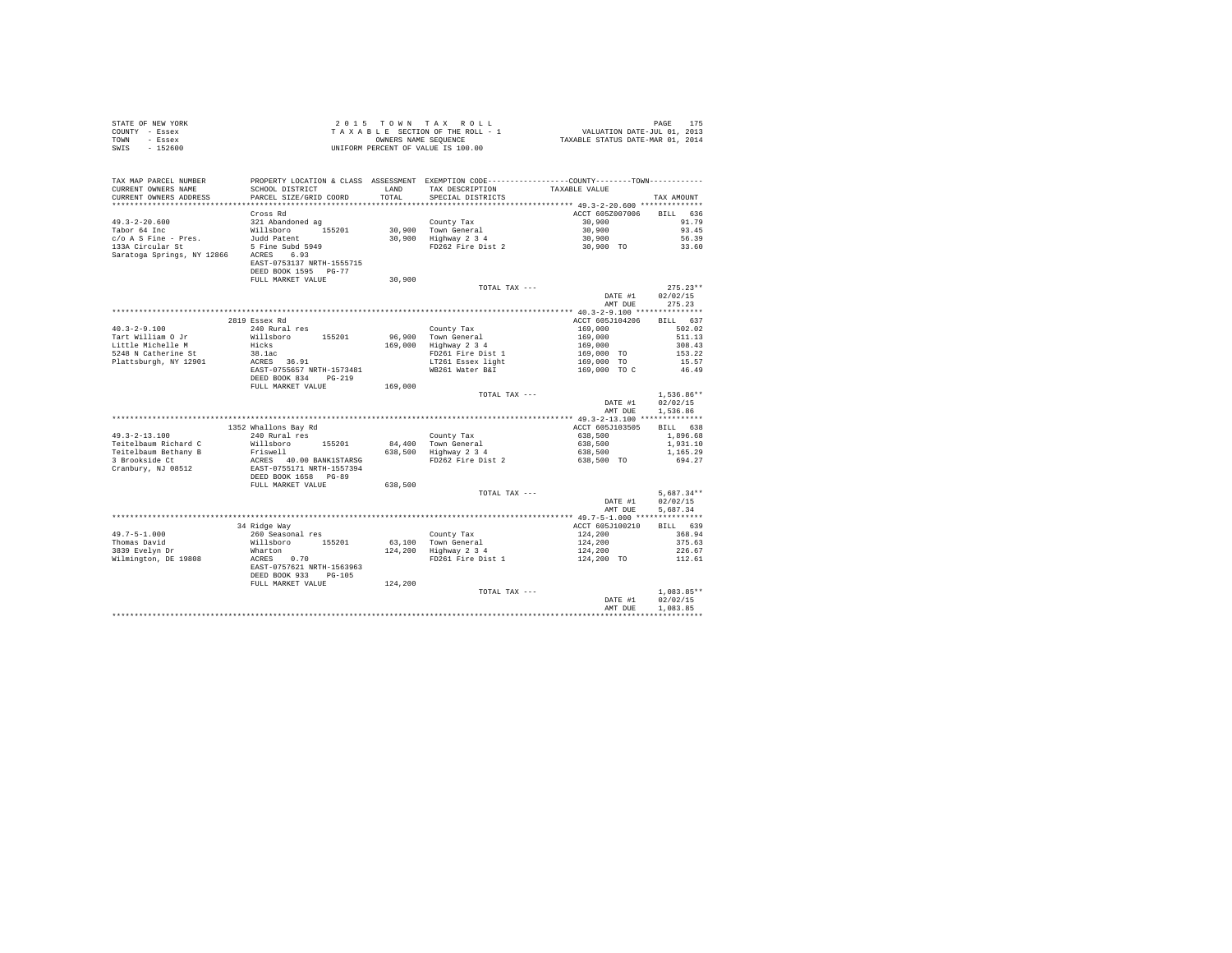| STATE OF NEW YORK | 2015 TOWN TAX ROLL                 | PAGE                             |
|-------------------|------------------------------------|----------------------------------|
| COUNTY - Essex    | TAXABLE SECTION OF THE ROLL - 1    | VALUATION DATE-JUL 01, 2013      |
| TOWN<br>- Essex   | OWNERS NAME SEOUENCE               | TAXABLE STATUS DATE-MAR 01, 2014 |
| $-152600$<br>SWIS | UNIFORM PERCENT OF VALUE IS 100.00 |                                  |

| TAX MAP PARCEL NUMBER<br>CURRENT OWNERS NAME<br>CURRENT OWNERS ADDRESS | PROPERTY LOCATION & CLASS ASSESSMENT EXEMPTION CODE---------------COUNTY-------TOWN---------<br>SCHOOL DISTRICT<br>PARCEL SIZE/GRID COORD | <b>T.AND</b><br>TOTAL | TAX DESCRIPTION<br>SPECIAL DISTRICTS         | TAXABLE VALUE                 | TAX AMOUNT           |
|------------------------------------------------------------------------|-------------------------------------------------------------------------------------------------------------------------------------------|-----------------------|----------------------------------------------|-------------------------------|----------------------|
|                                                                        |                                                                                                                                           |                       |                                              |                               |                      |
|                                                                        | Cross Rd                                                                                                                                  |                       |                                              | ACCT 605Z007006               | 636<br><b>BILL</b>   |
| $49.3 - 2 - 20.600$                                                    | 321 Abandoned ag                                                                                                                          |                       | County Tax                                   | 30,900                        | 91.79                |
| Tabor 64 Inc                                                           | Willsboro 155201                                                                                                                          |                       | 30,900 Town General                          | 30,900                        | 93.45                |
| $c/o$ A S Fine - Pres.                                                 | Judd Patent                                                                                                                               |                       | 30,900 Highway 2 3 4                         | 30,900                        | 56.39                |
| 133A Circular St                                                       | 5 Fine Subd 5949                                                                                                                          |                       | FD262 Fire Dist 2                            | 30,900 TO                     | 33.60                |
| Saratoga Springs, NY 12866 ACRES 6.93                                  |                                                                                                                                           |                       |                                              |                               |                      |
|                                                                        | EAST-0753137 NRTH-1555715                                                                                                                 |                       |                                              |                               |                      |
|                                                                        | DEED BOOK 1595 PG-77                                                                                                                      |                       |                                              |                               |                      |
|                                                                        | FULL MARKET VALUE                                                                                                                         | 30,900                |                                              |                               |                      |
|                                                                        |                                                                                                                                           |                       | TOTAL TAX ---                                |                               | $275.23**$           |
|                                                                        |                                                                                                                                           |                       |                                              | DATE #1                       | 02/02/15             |
|                                                                        |                                                                                                                                           |                       |                                              | AMT DUE                       | 275.23               |
|                                                                        |                                                                                                                                           |                       |                                              |                               |                      |
|                                                                        | 2819 Essex Rd                                                                                                                             |                       |                                              | ACCT 605J104206               | BILL 637             |
| $40.3 - 2 - 9.100$                                                     | 240 Rural res                                                                                                                             |                       | County Tax                                   | 169,000                       | 502.02               |
| Tart William O Jr                                                      | Willsboro 155201                                                                                                                          |                       | 96,900 Town General                          | 169,000<br>169,000<br>169,000 | 511.13               |
| Little Michelle M                                                      | Hicks                                                                                                                                     |                       | 169,000 Highway 2 3 4                        |                               | 308.43               |
| 5248 N Catherine St                                                    | 38.1ac                                                                                                                                    |                       | FD261 Fire Dist 1                            | 169,000 TO                    | 153.22               |
| Plattsburgh, NY 12901                                                  | ACRES 36.91                                                                                                                               |                       | LT261 Essex light                            | 169,000 TO                    | 15.57                |
|                                                                        | EAST-0755657 NRTH-1573481                                                                                                                 |                       | WB261 Water B&I                              | 169,000 TO C                  | 46.49                |
|                                                                        | DEED BOOK 834<br>$PG-219$                                                                                                                 |                       |                                              |                               |                      |
|                                                                        | FULL MARKET VALUE                                                                                                                         | 169,000               |                                              |                               |                      |
|                                                                        |                                                                                                                                           |                       | TOTAL TAX ---                                |                               | $1.536.86**$         |
|                                                                        |                                                                                                                                           |                       |                                              | DATE #1                       | 02/02/15             |
|                                                                        |                                                                                                                                           |                       |                                              | AMT DUE                       | 1,536.86             |
|                                                                        |                                                                                                                                           |                       |                                              |                               |                      |
|                                                                        | 1352 Whallons Bay Rd                                                                                                                      |                       |                                              | ACCT 605J103505               | BILL 638             |
| $49.3 - 2 - 13.100$                                                    | 240 Rural res                                                                                                                             |                       | County Tax                                   | 638,500                       | 1,896.68             |
| Teitelbaum Richard C                                                   | Willsboro<br>155201                                                                                                                       |                       |                                              | 638,500                       | 1,931.10             |
| Teitelbaum Bethany B                                                   |                                                                                                                                           |                       | 84,400 Town General<br>638,500 Highway 2 3 4 | 638,500                       | 1,165.29             |
| 3 Brookside Ct                                                         | Friswell<br>ACRES 40.00 BANK1STARSG<br>EAST-0755171 NRTH-1557394                                                                          |                       | FD262 Fire Dist 2                            | 638,500 TO                    | 694.27               |
| Cranbury, NJ 08512                                                     |                                                                                                                                           |                       |                                              |                               |                      |
|                                                                        | DEED BOOK 1658 PG-89                                                                                                                      |                       |                                              |                               |                      |
|                                                                        | FULL MARKET VALUE                                                                                                                         | 638,500               |                                              |                               |                      |
|                                                                        |                                                                                                                                           |                       | TOTAL TAX ---                                |                               | $5,687.34**$         |
|                                                                        |                                                                                                                                           |                       |                                              | DATE #1<br>AMT DUE            | 02/02/15<br>5.687.34 |
|                                                                        |                                                                                                                                           |                       |                                              |                               |                      |
|                                                                        | 34 Ridge Way                                                                                                                              |                       |                                              | ACCT 605J100210               | BILL 639             |
| $49.7 - 5 - 1.000$                                                     | 260 Seasonal res                                                                                                                          |                       | County Tax                                   | 124,200                       | 368.94               |
| Thomas David                                                           | Willsboro<br>155201                                                                                                                       |                       | 63,100 Town General                          | 124,200                       | 375.63               |
| 3839 Evelyn Dr                                                         | Wharton                                                                                                                                   |                       | 124,200 Highway 2 3 4                        | 124,200                       | 226.67               |
| Wilmington, DE 19808                                                   | ACRES 0.70                                                                                                                                |                       | FD261 Fire Dist 1                            | 124,200 TO                    | 112.61               |
|                                                                        | EAST-0757621 NRTH-1563963                                                                                                                 |                       |                                              |                               |                      |
|                                                                        | DEED BOOK 933<br>$PG-105$                                                                                                                 |                       |                                              |                               |                      |
|                                                                        | FULL MARKET VALUE                                                                                                                         | 124,200               |                                              |                               |                      |
|                                                                        |                                                                                                                                           |                       | TOTAL TAX ---                                |                               | $1.083.85**$         |
|                                                                        |                                                                                                                                           |                       |                                              | DATE #1                       | 02/02/15             |
|                                                                        |                                                                                                                                           |                       |                                              | AMT DUE                       | 1,083.85             |
|                                                                        |                                                                                                                                           |                       |                                              |                               |                      |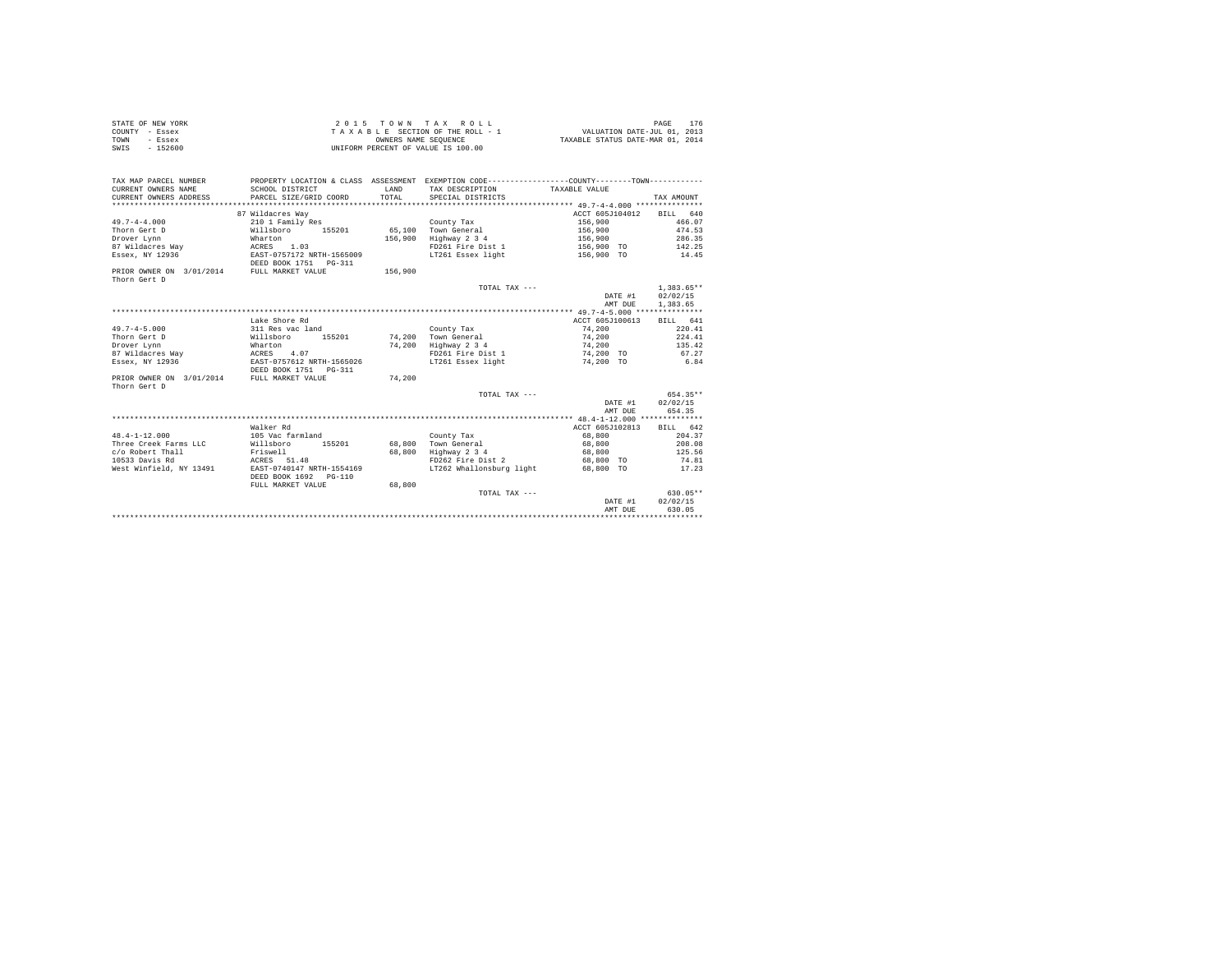| STATE OF NEW YORK | $2.0.15$ TOWN TAX ROLL             | PAGE                             |
|-------------------|------------------------------------|----------------------------------|
| COUNTY - Essex    | TAXABLE SECTION OF THE ROLL - 1    | VALUATION DATE-JUL 01, 2013      |
| TOWN<br>- Essex   | OWNERS NAME SEOUENCE               | TAXABLE STATUS DATE-MAR 01, 2014 |
| SWIS<br>$-152600$ | UNIFORM PERCENT OF VALUE IS 100.00 |                                  |

| TAX MAP PARCEL NUMBER                    |                                                         |         | PROPERTY LOCATION & CLASS ASSESSMENT EXEMPTION CODE---------------COUNTY-------TOWN---------- |                          |              |
|------------------------------------------|---------------------------------------------------------|---------|-----------------------------------------------------------------------------------------------|--------------------------|--------------|
| CURRENT OWNERS NAME                      | SCHOOL DISTRICT                                         | LAND    | TAX DESCRIPTION                                                                               | TAXABLE VALUE            |              |
| CURRENT OWNERS ADDRESS                   | PARCEL SIZE/GRID COORD                                  | TOTAL   | SPECIAL DISTRICTS                                                                             |                          | TAX AMOUNT   |
|                                          |                                                         |         |                                                                                               |                          |              |
|                                          | 87 Wildacres Way                                        |         |                                                                                               | ACCT 605J104012 BILL 640 |              |
| $49.7 - 4 - 4.000$                       | 210 1 Family Res                                        |         | County Tax                                                                                    | 156,900                  | 466.07       |
| Thorn Gert D                             | Willsboro 155201                                        |         | 65.100 Town General                                                                           | 156,900                  | 474.53       |
| Drover Lynn                              | Wharton                                                 | 156,900 | Highway 2 3 4                                                                                 | 156,900                  | 286.35       |
| 87 Wildacres Way 67 MCRES                | 1.03                                                    |         | FD261 Fire Dist 1                                                                             | 156,900 TO 142.25        |              |
| Essex, NY 12936                          | EAST-0757172 NRTH-1565009<br>DEED BOOK 1751    PG-311   |         | LT261 Essex light                                                                             | 156,900 TO 14.45         |              |
| PRIOR OWNER ON 3/01/2014<br>Thorn Gert D | FULL MARKET VALUE                                       | 156,900 |                                                                                               |                          |              |
|                                          |                                                         |         | TOTAL TAX ---                                                                                 |                          | $1.383.65**$ |
|                                          |                                                         |         |                                                                                               | DATE #1                  | 02/02/15     |
|                                          |                                                         |         |                                                                                               | AMT DUE                  | 1,383.65     |
|                                          |                                                         |         |                                                                                               |                          |              |
|                                          | Lake Shore Rd                                           |         |                                                                                               | ACCT 605J100613          | BILL 641     |
| $49.7 - 4 - 5.000$                       | 311 Res vac land                                        |         | County Tax                                                                                    | 74,200                   | 220.41       |
| Thorn Gert D                             | Willsboro<br>155201                                     | 74,200  | Town General                                                                                  | 74,200                   | 224.41       |
| Drover Lynn                              | Wharton                                                 | 74,200  | Highway 2 3 4                                                                                 | 74,200                   | 135.42       |
| 87 Wildacres Way 67 MCRES 4.07           |                                                         |         | FD261 Fire Dist 1                                                                             | 74,200 TO                | 67.27        |
| Essex, NY 12936                          | EAST-0757612 NRTH-1565026                               |         | LT261 Essex light 6.84                                                                        |                          |              |
|                                          | DEED BOOK 1751 PG-311                                   | 74,200  |                                                                                               |                          |              |
| PRIOR OWNER ON 3/01/2014<br>Thorn Gert D | FULL MARKET VALUE                                       |         |                                                                                               |                          |              |
|                                          |                                                         |         | TOTAL TAX ---                                                                                 |                          | 654.35**     |
|                                          |                                                         |         |                                                                                               | DATE #1                  | 02/02/15     |
|                                          |                                                         |         |                                                                                               | AMT DUE                  | 654.35       |
|                                          |                                                         |         |                                                                                               |                          |              |
|                                          | Walker Rd                                               |         |                                                                                               | ACCT 605J102813          | BILL 642     |
| $48.4 - 1 - 12.000$                      | 105 Vac farmland                                        |         | County Tax                                                                                    | 68,800                   | 204.37       |
| Three Creek Farms LLC                    | 155201<br>Willsboro                                     |         | 68,800 Town General                                                                           | 68,800                   | 208.08       |
| c/o Robert Thall                         | Friswell                                                | 68,800  | Highway 2 3 4                                                                                 | 68,800                   | 125.56       |
| 10533 Davis Rd                           | ACRES 51.48                                             |         | FD262 Fire Dist 2                                                                             | 68,800 TO                | 74.81        |
| West Winfield, NY 13491                  | EAST-0740147 NRTH-1554169<br>DEED BOOK 1692<br>$PG-110$ |         | LT262 Whallonsburg light 68,800 TO 17.23                                                      |                          |              |
|                                          | FULL MARKET VALUE                                       | 68,800  |                                                                                               |                          |              |
|                                          |                                                         |         | TOTAL TAX ---                                                                                 |                          | $630.05**$   |
|                                          |                                                         |         |                                                                                               | DATE #1                  | 02/02/15     |
|                                          |                                                         |         |                                                                                               | AMT DUE                  | 630.05       |
|                                          |                                                         |         |                                                                                               |                          |              |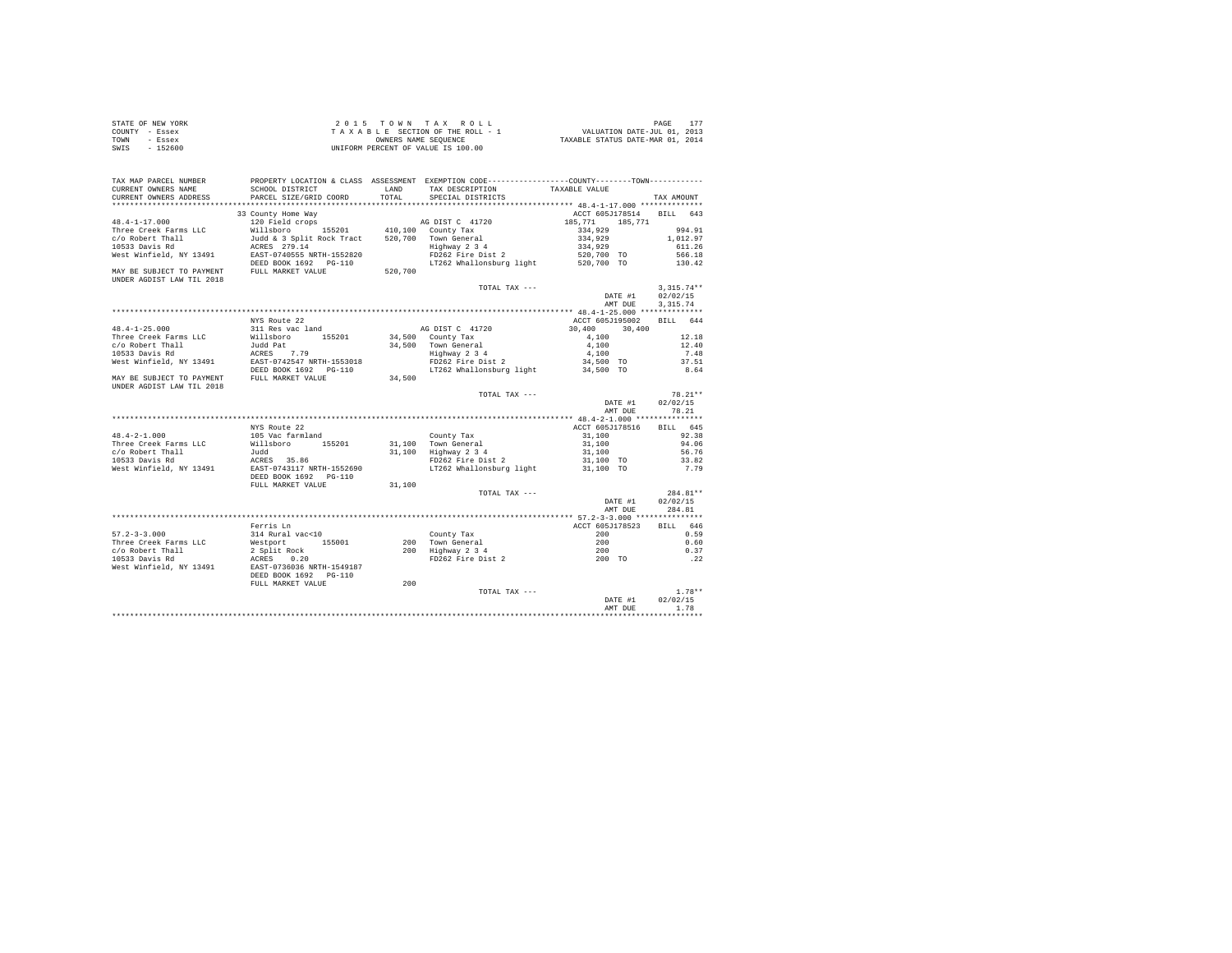| STATE OF NEW YORK | 2015 TOWN TAX ROLL                 | 177<br>PAGE                      |
|-------------------|------------------------------------|----------------------------------|
| COUNTY - Essex    | TAXABLE SECTION OF THE ROLL - 1    | VALUATION DATE-JUL 01, 2013      |
| TOWN<br>- Essex   | OWNERS NAME SEOUENCE               | TAXABLE STATUS DATE-MAR 01, 2014 |
| $-152600$<br>SWIS | UNIFORM PERCENT OF VALUE IS 100.00 |                                  |

| TAX MAP PARCEL NUMBER     |                                                                                                                                                                                                                                         |         | PROPERTY LOCATION & CLASS ASSESSMENT EXEMPTION CODE----------------COUNTY--------TOWN----------                |                                    |              |
|---------------------------|-----------------------------------------------------------------------------------------------------------------------------------------------------------------------------------------------------------------------------------------|---------|----------------------------------------------------------------------------------------------------------------|------------------------------------|--------------|
| CURRENT OWNERS NAME       | SCHOOL DISTRICT                                                                                                                                                                                                                         |         | LAND TAX DESCRIPTION                                                                                           | TAXABLE VALUE                      |              |
| CURRENT OWNERS ADDRESS    | PARCEL SIZE/GRID COORD                                                                                                                                                                                                                  | TOTAL.  | SPECIAL DISTRICTS                                                                                              |                                    | TAX AMOUNT   |
| **********************    |                                                                                                                                                                                                                                         |         |                                                                                                                |                                    |              |
|                           | 33 County Home Way                                                                                                                                                                                                                      |         |                                                                                                                | ACCT 605J178514 BILL 643           |              |
| $48.4 - 1 - 17.000$       | 120 Field crops<br>Willsboro 155201 410,100 County Tax                                                                                                                                                                                  |         | AG DIST C 41720                                                                                                | 185, 771 185, 771                  |              |
| Three Creek Farms LLC     |                                                                                                                                                                                                                                         |         |                                                                                                                | 334,929                            | 994.91       |
| c/o Robert Thall          | Judd & 3 Split Rock Tract 520,700 Town General                                                                                                                                                                                          |         |                                                                                                                | 334,929                            | 1,012.97     |
| 10533 Davis Rd            | ACRES 279.14                                                                                                                                                                                                                            |         | Town General<br>Highway 2 3 4<br>FD262 Fire Dist 2                                                             | 334,929                            | 611.26       |
| West Winfield, NY 13491   | EAST-0740555 NRTH-1552820                                                                                                                                                                                                               |         |                                                                                                                | 520,700 TO                         | 566.18       |
|                           | DEED BOOK 1692 PG-110                                                                                                                                                                                                                   |         | LT262 Whallonsburg light 520,700 TO                                                                            |                                    | 130.42       |
| UNDER AGDIST LAW TIL 2018 | MAY BE SUBJECT TO PAYMENT FULL MARKET VALUE                                                                                                                                                                                             | 520,700 |                                                                                                                |                                    |              |
|                           |                                                                                                                                                                                                                                         |         | TOTAL TAX ---                                                                                                  |                                    | $3,315.74**$ |
|                           |                                                                                                                                                                                                                                         |         |                                                                                                                | DATE #1                            | 02/02/15     |
|                           |                                                                                                                                                                                                                                         |         |                                                                                                                | AMT DUE                            | 3, 315.74    |
|                           |                                                                                                                                                                                                                                         |         |                                                                                                                |                                    |              |
|                           | NYS Route 22                                                                                                                                                                                                                            |         |                                                                                                                | ACCT 605J195002 BILL 644           |              |
| $48.4 - 1 - 25.000$       | 311 Res vac land                                                                                                                                                                                                                        |         | AG DIST C 41720                                                                                                | $30,400$ $30,400$                  |              |
|                           | +6.+1-2.5.000<br>Three Creek Farms LLC and Bather and B5201<br>10533 Davis Rall and Bather 2.7.79<br>10533 Davis Rd<br>West Winfield, NY 13491 BAST-0742547 NRTH-1553018<br>Nest Winfield, NY 13491 BAST-0742547 NRTH-1553018           |         | 34,500 County Tax                                                                                              |                                    | 12.18        |
|                           |                                                                                                                                                                                                                                         |         | 34,500 Town General                                                                                            | 4,100                              | 12.40        |
|                           |                                                                                                                                                                                                                                         |         |                                                                                                                | 4,100                              | 7.48         |
|                           |                                                                                                                                                                                                                                         |         | Town General<br>Highway 2 3 4<br>FD262 Fire Dist 2                                                             | 34,500 TO                          | 37.51        |
|                           |                                                                                                                                                                                                                                         |         | LT262 Whallonsburg light 34,500 TO                                                                             |                                    | 8.64         |
|                           | MAY BE SUBJECT TO PAYMENT FULL MARKET VALUE                                                                                                                                                                                             | 34,500  |                                                                                                                |                                    |              |
| UNDER AGDIST LAW TIL 2018 |                                                                                                                                                                                                                                         |         |                                                                                                                |                                    |              |
|                           |                                                                                                                                                                                                                                         |         | TOTAL TAX ---                                                                                                  |                                    | $78.21**$    |
|                           |                                                                                                                                                                                                                                         |         |                                                                                                                | DATE #1                            | 02/02/15     |
|                           |                                                                                                                                                                                                                                         |         |                                                                                                                | AMT DUE                            | 78.21        |
|                           |                                                                                                                                                                                                                                         |         |                                                                                                                |                                    |              |
|                           |                                                                                                                                                                                                                                         |         |                                                                                                                |                                    |              |
|                           | NYS Route 22                                                                                                                                                                                                                            |         |                                                                                                                | ACCT 605J178516                    | BILL 645     |
| $48.4 - 2 - 1.000$        | 105 Vac farmland                                                                                                                                                                                                                        |         | County Tax<br>31,100 Town General<br>31,100 Highway 2 3 4                                                      | 31,100                             | 92.38        |
| Three Creek Farms LLC     |                                                                                                                                                                                                                                         |         |                                                                                                                | $31,100$<br>$31,100$               | 94.06        |
| c/o Robert Thall          |                                                                                                                                                                                                                                         |         |                                                                                                                |                                    | 56.76        |
| 10533 Davis Rd            |                                                                                                                                                                                                                                         |         | FD262 Fire Dist 2<br>FD262 Fire Dist 2 31,100 TO<br>LT262 Whallonsburg light 31,100 TO                         |                                    | 33.82        |
| West Winfield, NY 13491   |                                                                                                                                                                                                                                         |         |                                                                                                                |                                    | 7.79         |
|                           | %103 %<br>Willsboro 155201<br>Judd<br>ACRES 35.86<br>EAST-0743117 NRTH-1552690<br>DEED BOOK 1692 PG-110                                                                                                                                 |         |                                                                                                                |                                    |              |
|                           | FULL MARKET VALUE                                                                                                                                                                                                                       | 31,100  |                                                                                                                |                                    |              |
|                           |                                                                                                                                                                                                                                         |         | TOTAL TAX ---                                                                                                  |                                    | 284.81**     |
|                           |                                                                                                                                                                                                                                         |         |                                                                                                                | DATE #1                            | 02/02/15     |
|                           |                                                                                                                                                                                                                                         |         |                                                                                                                | AMT DUE                            | 284.81       |
|                           |                                                                                                                                                                                                                                         |         |                                                                                                                |                                    |              |
|                           | Ferris Ln                                                                                                                                                                                                                               |         |                                                                                                                |                                    | BILL 646     |
| $57.2 - 3 - 3.000$        | 314 Rural vac<10                                                                                                                                                                                                                        |         | $\text{ACCT 605.1785.2}$<br>$\text{ACCT 605.1785.23}$<br>$\text{200}$ $\text{Time}$ $\text{Craw}$ $\text{201}$ |                                    | 0.59         |
|                           | - 2000<br>2000 The Creek Farms LLC 2001 Mestport 155001 2000 Town General 2000<br>2001 Robert Thail 2 Split Rock<br>2001 2001 2001 2001 2001 2001 2001 2012<br>2001 West Winfield, NY 13491 EAST-07362 PG-110<br>2001 TO RESP 2007 DEED |         |                                                                                                                |                                    | 0.60         |
|                           |                                                                                                                                                                                                                                         |         |                                                                                                                |                                    | 0.37         |
|                           |                                                                                                                                                                                                                                         |         |                                                                                                                |                                    | $\ldots$ 22  |
|                           |                                                                                                                                                                                                                                         |         |                                                                                                                |                                    |              |
|                           |                                                                                                                                                                                                                                         |         |                                                                                                                |                                    |              |
|                           | FULL MARKET VALUE                                                                                                                                                                                                                       | 200     |                                                                                                                |                                    |              |
|                           |                                                                                                                                                                                                                                         |         | TOTAL TAX ---                                                                                                  | DATE #1                            | $1.78**$     |
|                           |                                                                                                                                                                                                                                         |         |                                                                                                                |                                    | 02/02/15     |
|                           |                                                                                                                                                                                                                                         |         |                                                                                                                | AMT DUE                            | 1.78         |
|                           |                                                                                                                                                                                                                                         |         |                                                                                                                | ********************************** |              |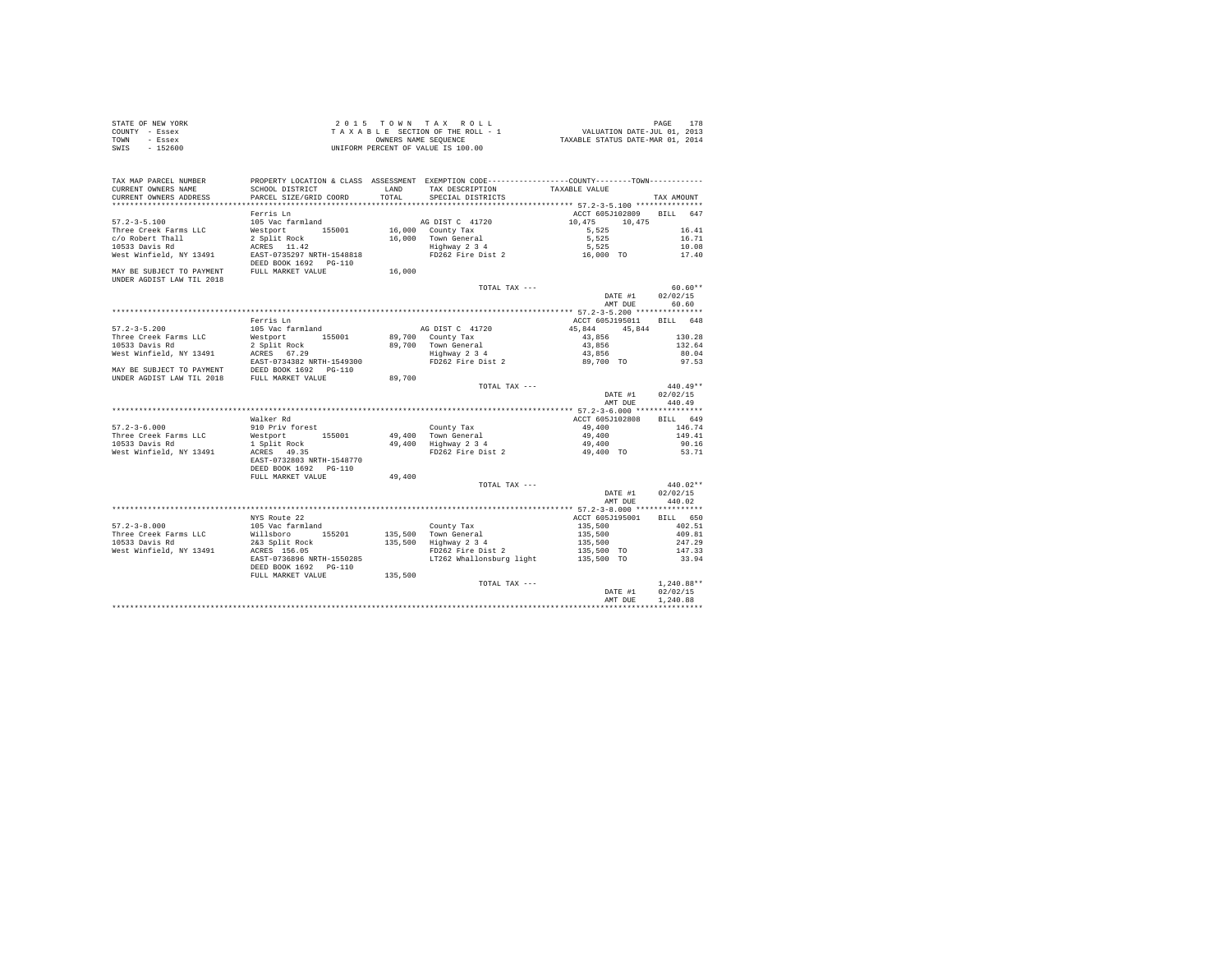| STATE OF NEW YORK | $2.0.15$ TOWN TAX ROLL             | 178<br>PAGE                      |
|-------------------|------------------------------------|----------------------------------|
| COUNTY - Essex    | TAXABLE SECTION OF THE ROLL - 1    | VALUATION DATE-JUL 01, 2013      |
| TOWN<br>- Essex   | OWNERS NAME SEOUENCE               | TAXABLE STATUS DATE-MAR 01, 2014 |
| - 152600<br>SWIS  | UNIFORM PERCENT OF VALUE IS 100.00 |                                  |

| TAX MAP PARCEL NUMBER                     | PROPERTY LOCATION & CLASS ASSESSMENT EXEMPTION CODE----------------COUNTY-------TOWN----------                              |         |                                      |                    |                    |
|-------------------------------------------|-----------------------------------------------------------------------------------------------------------------------------|---------|--------------------------------------|--------------------|--------------------|
| CURRENT OWNERS NAME                       | SCHOOL DISTRICT                                                                                                             | LAND    | TAX DESCRIPTION                      | TAXABLE VALUE      |                    |
| CURRENT OWNERS ADDRESS                    | PARCEL SIZE/GRID COORD                                                                                                      | TOTAL   | SPECIAL DISTRICTS                    |                    | TAX AMOUNT         |
|                                           |                                                                                                                             |         |                                      |                    |                    |
|                                           | Ferris Ln                                                                                                                   |         |                                      | ACCT 605J102809    | <b>BILL</b><br>647 |
| $57.2 - 3 - 5.100$                        | 105 Vac farmland                                                                                                            |         | AG DIST C 41720                      | 10,475<br>10,475   | 16.41              |
| Three Creek Farms LLC<br>c/o Robert Thall | Westport 155001                                                                                                             |         | 16,000 County Tax                    | 5.525              |                    |
| 10533 Davis Rd                            | 2 Split Rock                                                                                                                |         | 16,000 Town General<br>Highway 2 3 4 | 5.525              | 16.71              |
| West Winfield, NY 13491                   | ACRES 11.42<br>EAST-0735297 NRTH-1548818                                                                                    |         | FD262 Fire Dist 2                    | 5,525              | 10.08<br>17.40     |
|                                           | DEED BOOK 1692 PG-110                                                                                                       |         |                                      | 16,000 TO          |                    |
| MAY BE SUBJECT TO PAYMENT                 | FULL MARKET VALUE                                                                                                           | 16,000  |                                      |                    |                    |
| UNDER AGDIST LAW TIL 2018                 |                                                                                                                             |         |                                      |                    |                    |
|                                           |                                                                                                                             |         | TOTAL TAX ---                        |                    | $60.60**$          |
|                                           |                                                                                                                             |         |                                      | DATE #1            | 02/02/15           |
|                                           |                                                                                                                             |         |                                      | AMT DUR            | 60.60              |
|                                           |                                                                                                                             |         |                                      |                    |                    |
|                                           | Ferris Ln                                                                                                                   |         |                                      | ACCT 605J195011    | BILL 648           |
| $57.2 - 3 - 5.200$                        | 105 Vac farmland                                                                                                            |         | AG DIST C 41720                      | 45.844<br>45.844   |                    |
| Three Creek Farms LLC                     | 155001<br>Westport                                                                                                          |         | 89,700 County Tax                    | 43,856             | 130.28             |
| 10533 Davis Rd                            | 2 Split Rock                                                                                                                |         | 89,700 Town General                  | 43,856             | 132.64             |
| West Winfield, NY 13491                   | ACRES 67.29                                                                                                                 |         | Highway 2 3 4                        | 43,856             | 80.04              |
|                                           |                                                                                                                             |         | FD262 Fire Dist 2                    | 89,700 TO          | 97.53              |
|                                           | EAST-0734382 NRTH-1549300<br>MAY BE SUBJECT TO PAYMENT DEED BOOK 1692 PG-110<br>UNDER AGDIST LAW TIL 2018 FULL MARKET VALUE |         |                                      |                    |                    |
|                                           |                                                                                                                             | 89,700  |                                      |                    |                    |
|                                           |                                                                                                                             |         | TOTAL TAX ---                        |                    | $440.49**$         |
|                                           |                                                                                                                             |         |                                      | DATE #1            | 02/02/15           |
|                                           |                                                                                                                             |         |                                      | AMT DUE            | 440.49             |
|                                           |                                                                                                                             |         |                                      |                    |                    |
|                                           | Walker Rd                                                                                                                   |         |                                      | ACCT 605J102808    | BILL 649           |
| $57.2 - 3 - 6.000$                        | 910 Priv forest                                                                                                             |         | County Tax                           | 49,400             | 146.74             |
| Three Creek Farms LLC                     | Westport 155001                                                                                                             |         | 49.400 Town General                  | 49,400             | 149.41             |
| 10533 Davis Rd                            | 1 Split Rock                                                                                                                |         | 49,400 Highway 2 3 4                 | 49,400             | 90.16              |
| West Winfield, NY 13491                   | ACRES 49.35                                                                                                                 |         | FD262 Fire Dist 2                    | 49,400 TO          | 53.71              |
|                                           | EAST-0732803 NRTH-1548770                                                                                                   |         |                                      |                    |                    |
|                                           | DEED BOOK 1692 PG-110                                                                                                       |         |                                      |                    |                    |
|                                           | FULL MARKET VALUE                                                                                                           | 49,400  |                                      |                    |                    |
|                                           |                                                                                                                             |         | TOTAL TAX ---                        |                    | $440.02**$         |
|                                           |                                                                                                                             |         |                                      | DATE #1            | 02/02/15           |
|                                           |                                                                                                                             |         |                                      | AMT DUE            | 440.02             |
|                                           |                                                                                                                             |         |                                      |                    |                    |
|                                           | NYS Route 22                                                                                                                |         |                                      | ACCT 605J195001    | BTLL 650           |
| $57.2 - 3 - 8.000$                        | 105 Vac farmland<br>Willsboro 155201                                                                                        |         | County Tax<br>135,500 Town General   | 135,500            | 402.51<br>409.81   |
| Three Creek Farms LLC<br>10533 Davis Rd   | 2&3 Split Rock                                                                                                              |         | 135,500 Highway 2 3 4                | 135,500<br>135,500 | 247.29             |
| West Winfield, NY 13491                   | ACRES 156.05                                                                                                                |         | FD262 Fire Dist 2                    | 135,500 TO         | 147.33             |
|                                           | EAST-0736896 NRTH-1550285                                                                                                   |         | LT262 Whallonsburg light             | 135,500 TO         | 33.94              |
|                                           | DEED BOOK 1692 PG-110                                                                                                       |         |                                      |                    |                    |
|                                           | FULL MARKET VALUE                                                                                                           | 135,500 |                                      |                    |                    |
|                                           |                                                                                                                             |         | TOTAL TAX ---                        |                    | $1,240.88**$       |
|                                           |                                                                                                                             |         |                                      | DATE #1            | 02/02/15           |
|                                           |                                                                                                                             |         |                                      | AMT DUE            | 1,240.88           |
|                                           |                                                                                                                             |         |                                      |                    |                    |
|                                           |                                                                                                                             |         |                                      |                    |                    |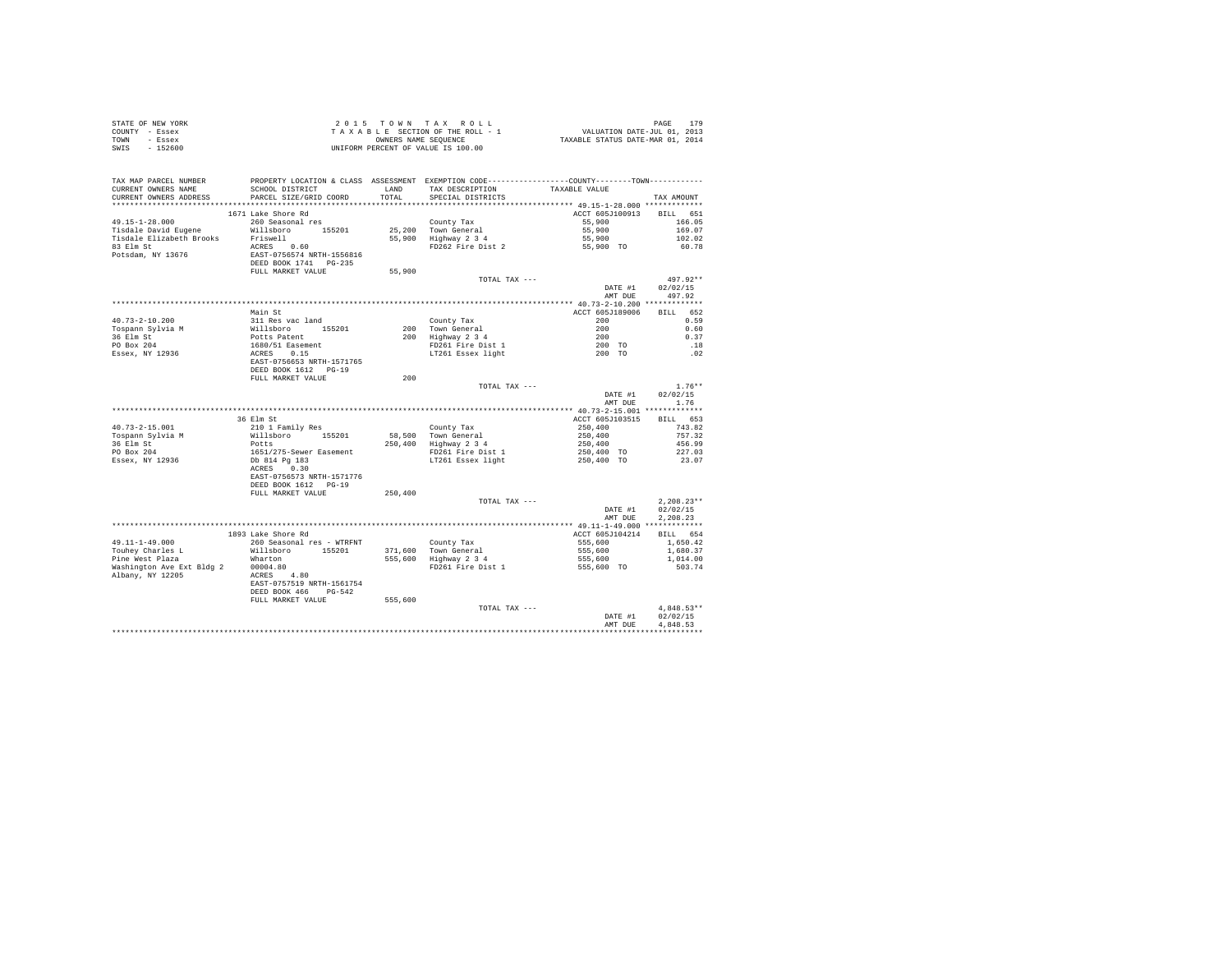| STATE OF NEW YORK | 2015 TOWN TAX ROLL                 | 179<br>PAGE                      |
|-------------------|------------------------------------|----------------------------------|
| COUNTY - Essex    | TAXABLE SECTION OF THE ROLL - 1    | VALUATION DATE-JUL 01, 2013      |
| TOWN<br>- Essex   | OWNERS NAME SEOUENCE               | TAXABLE STATUS DATE-MAR 01, 2014 |
| $-152600$<br>SWIS | UNIFORM PERCENT OF VALUE IS 100.00 |                                  |

| TAX MAP PARCEL NUMBER<br>CURRENT OWNERS NAME | PROPERTY LOCATION & CLASS ASSESSMENT EXEMPTION CODE----------------COUNTY-------TOWN----------<br>SCHOOL DISTRICT | LAND    | TAX DESCRIPTION                | TAXABLE VALUE      |                    |
|----------------------------------------------|-------------------------------------------------------------------------------------------------------------------|---------|--------------------------------|--------------------|--------------------|
| CURRENT OWNERS ADDRESS                       | PARCEL SIZE/GRID COORD                                                                                            | TOTAL   | SPECIAL DISTRICTS              |                    | TAX AMOUNT         |
| *******************                          |                                                                                                                   |         |                                |                    |                    |
|                                              | 1671 Lake Shore Rd                                                                                                |         |                                | ACCT 605J100913    | BILL 651           |
| $49.15 - 1 - 28.000$                         | 260 Seasonal res                                                                                                  |         | County Tax                     | 55,900             | 166.05             |
| Tisdale David Eugene                         | Willsboro 155201                                                                                                  |         | 25.200 Town General            | 55,900             | 169.07             |
| Tisdale Elizabeth Brooks                     | Friswell                                                                                                          |         | 55,900 Highway 2 3 4           | 55,900             | 102.02             |
| 83 Elm St                                    | ACRES 0.60                                                                                                        |         | FD262 Fire Dist 2              | 55,900 TO          | 60.78              |
| Potsdam, NY 13676                            | EAST-0756574 NRTH-1556816<br>DEED BOOK 1741 PG-235                                                                |         |                                |                    |                    |
|                                              | FULL MARKET VALUE                                                                                                 | 55,900  |                                |                    |                    |
|                                              |                                                                                                                   |         | TOTAL TAX ---                  |                    | $497.92**$         |
|                                              |                                                                                                                   |         |                                | DATE #1<br>AMT DUE | 02/02/15<br>497.92 |
|                                              |                                                                                                                   |         |                                |                    |                    |
|                                              | Main St                                                                                                           |         |                                | ACCT 605J189006    | 652<br><b>BILL</b> |
| $40.73 - 2 - 10.200$                         | 311 Res vac land                                                                                                  |         | County Tax                     | 200                | 0.59               |
| Tospann Sylvia M                             |                                                                                                                   |         | 200 Town General               | 200                | 0.60               |
| 36 Elm St                                    | Willsboro 155201<br>Potts Patent<br>1680/51 Easement                                                              |         | $200$ Highway $2\overline{3}4$ | 200                | 0.37               |
|                                              |                                                                                                                   |         |                                |                    |                    |
| PO Box 204                                   |                                                                                                                   |         | FD261 Fire Dist 1              | 200 TO             | .18                |
| Essex, NY 12936                              | ACRES 0.15<br>EAST-0756653 NRTH-1571765                                                                           |         | LT261 Essex light              | 200 TO             | .02                |
|                                              |                                                                                                                   |         |                                |                    |                    |
|                                              | DEED BOOK 1612 PG-19                                                                                              |         |                                |                    |                    |
|                                              | FULL MARKET VALUE                                                                                                 | 200     |                                |                    |                    |
|                                              |                                                                                                                   |         | TOTAL TAX ---                  |                    | $1.76**$           |
|                                              |                                                                                                                   |         |                                | DATE #1            | 02/02/15           |
|                                              |                                                                                                                   |         |                                | AMT DUE            | 1.76               |
|                                              |                                                                                                                   |         |                                |                    |                    |
|                                              | 36 Elm St                                                                                                         |         |                                | ACCT 605J103515    | BILL 653           |
| $40.73 - 2 - 15.001$                         | 210 1 Family Res                                                                                                  |         | County Tax                     | 250,400            | 743.82             |
| Tospann Sylvia M                             | Willsboro<br>155201                                                                                               | 58,500  | Town General                   | 250,400            | 757.32             |
| 36 Elm St                                    | Potts                                                                                                             |         | 250,400 Highway 2 3 4          | 250,400            | 456.99             |
| PO Box 204                                   | 1651/275-Sewer Easement                                                                                           |         | FD261 Fire Dist 1              | 250.400 TO         | 227.03             |
| Essex, NY 12936                              | Db 814 Pg 183                                                                                                     |         | LT261 Essex light              | 250,400 TO         | 23.07              |
|                                              | ACRES 0.30                                                                                                        |         |                                |                    |                    |
|                                              | EAST-0756573 NRTH-1571776                                                                                         |         |                                |                    |                    |
|                                              | DEED BOOK 1612 PG-19                                                                                              |         |                                |                    |                    |
|                                              | FULL MARKET VALUE                                                                                                 | 250,400 |                                |                    |                    |
|                                              |                                                                                                                   |         | TOTAL TAX ---                  |                    | $2,208.23**$       |
|                                              |                                                                                                                   |         |                                | DATE #1            | 02/02/15           |
|                                              |                                                                                                                   |         |                                | AMT DUE            | 2.208.23           |
|                                              |                                                                                                                   |         |                                |                    |                    |
|                                              | 1893 Lake Shore Rd                                                                                                |         |                                | ACCT 605J104214    | BILL 654           |
| $49.11 - 1 - 49.000$                         |                                                                                                                   |         |                                |                    |                    |
|                                              | 260 Seasonal res - WTRFNT                                                                                         |         | County Tax                     | 555,600            | 1,650.42           |
| Touhey Charles L                             | Willsboro 155201                                                                                                  |         | 371,600 Town General           | 555,600            | 1,680.37           |
| Pine West Plaza                              | Wharton                                                                                                           |         | 555,600 Highway 2 3 4          | 555,600            | 1,014.00           |
| Washington Ave Ext Bldg 2                    | 00004.80                                                                                                          |         | FD261 Fire Dist 1              | 555,600 TO         | 503.74             |
| Albany, NY 12205                             | ACRES 4.80                                                                                                        |         |                                |                    |                    |
|                                              | EAST-0757519 NRTH-1561754                                                                                         |         |                                |                    |                    |
|                                              | DEED BOOK 466 PG-542                                                                                              |         |                                |                    |                    |
|                                              | FULL MARKET VALUE                                                                                                 | 555,600 |                                |                    |                    |
|                                              |                                                                                                                   |         | TOTAL TAX ---                  |                    | $4.848.53**$       |
|                                              |                                                                                                                   |         |                                | DATE #1            | 02/02/15           |
|                                              |                                                                                                                   |         |                                | AMT DUE            | 4.848.53           |
|                                              |                                                                                                                   |         |                                |                    |                    |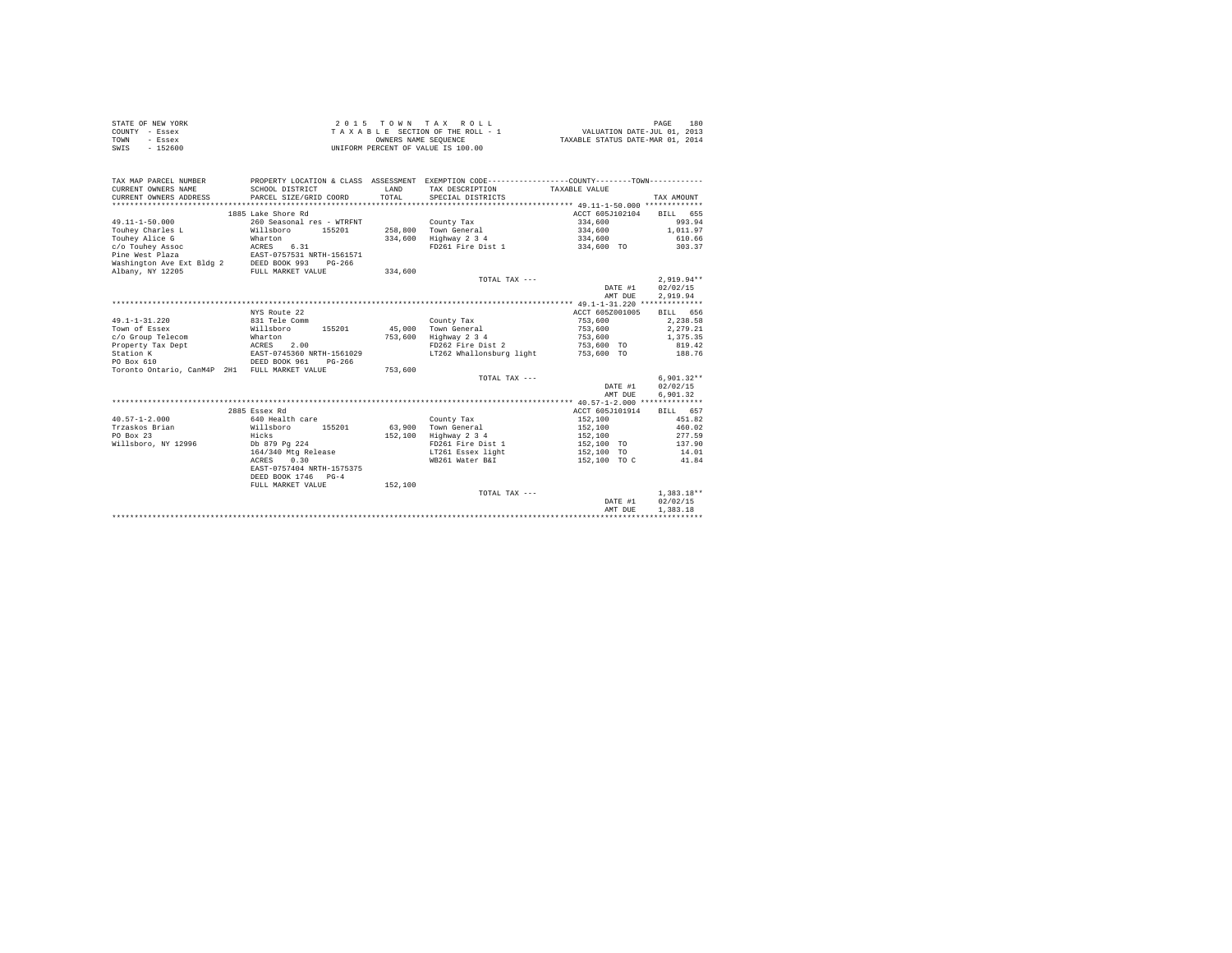|                | STATE OF NEW YORK | 2015 TOWN TAX ROLL                 | 180<br>PAGE                      |
|----------------|-------------------|------------------------------------|----------------------------------|
| COUNTY - Essex |                   | TAXABLE SECTION OF THE ROLL - 1    | VALUATION DATE-JUL 01, 2013      |
| TOWN           | - Essex           | OWNERS NAME SEOUENCE               | TAXABLE STATUS DATE-MAR 01, 2014 |
| SWIS           | $-152600$         | UNIFORM PERCENT OF VALUE IS 100.00 |                                  |

| TAX MAP PARCEL NUMBER<br>CURRENT OWNERS NAME<br>CURRENT OWNERS ADDRESS | SCHOOL DISTRICT<br>PARCEL SIZE/GRID COORD | LAND<br>TOTAL | PROPERTY LOCATION & CLASS ASSESSMENT EXEMPTION CODE---------------COUNTY-------TOWN---------<br>TAX DESCRIPTION TAXABLE VALUE<br>SPECIAL DISTRICTS |                 | TAX AMOUNT         |
|------------------------------------------------------------------------|-------------------------------------------|---------------|----------------------------------------------------------------------------------------------------------------------------------------------------|-----------------|--------------------|
| 1885 Lake Shore Rd<br>ACCT 605J102104                                  |                                           |               |                                                                                                                                                    |                 |                    |
| $49.11 - 1 - 50.000$                                                   |                                           |               |                                                                                                                                                    | 334,600         | BILL 655<br>993.94 |
| Touhev Charles L                                                       | 260 Seasonal res - WTRFNT                 |               | County Tax<br>258,800 Town General                                                                                                                 | 334,600         | 1,011.97           |
| Touhev Alice G                                                         | Willsboro<br>155201                       |               |                                                                                                                                                    |                 |                    |
|                                                                        | Wharton                                   |               | 334,600 Highway 2 3 4                                                                                                                              | 334,600         | 610.66             |
| c/o Touhev Assoc                                                       | ACRES 6.31                                |               | FD261 Fire Dist 1                                                                                                                                  | 334,600 TO      | 303.37             |
| Pine West Plaza                                                        | EAST-0757531 NRTH-1561571                 |               |                                                                                                                                                    |                 |                    |
| Washington Ave Ext Bldg 2 DEED BOOK 993                                | PG-266                                    |               |                                                                                                                                                    |                 |                    |
| Albany, NY 12205                                                       | FULL MARKET VALUE                         | 334,600       |                                                                                                                                                    |                 |                    |
|                                                                        |                                           |               | TOTAL TAX ---                                                                                                                                      |                 | $2,919.94**$       |
|                                                                        |                                           |               |                                                                                                                                                    | DATE #1         | 02/02/15           |
|                                                                        |                                           |               |                                                                                                                                                    | AMT DUE         | 2.919.94           |
|                                                                        |                                           |               |                                                                                                                                                    |                 |                    |
|                                                                        | NYS Route 22                              |               |                                                                                                                                                    | ACCT 605Z001005 | BILL 656           |
| $49.1 - 1 - 31.220$                                                    | 831 Tele Comm                             |               | County Tax                                                                                                                                         | 753,600         | 2,238.58           |
| Town of Essex                                                          | Willsboro                                 |               | 155201 45,000 Town General                                                                                                                         | 753,600         | 2,279.21           |
| c/o Group Telecom<br>Wharton                                           |                                           | 753,600       | Highway 2 3 4                                                                                                                                      | 753,600         | 1,375.35           |
| Property Tax Dept                                                      | ACRES 2.00<br>EAST-0745360 NRTH-1561029   |               | FD262 Fire Dist 2                                                                                                                                  | 753,600 TO      | 819.42             |
| Station K                                                              |                                           |               | LT262 Whallonsburg light                                                                                                                           | 753,600 TO      | 188.76             |
| DEED BOOK 961<br>PO Box 610                                            | $PG-266$                                  |               |                                                                                                                                                    |                 |                    |
| Toronto Ontario, CanM4P 2H1 FULL MARKET VALUE                          |                                           | 753,600       |                                                                                                                                                    |                 |                    |
|                                                                        |                                           |               | TOTAL TAX ---                                                                                                                                      |                 | $6.901.32**$       |
|                                                                        |                                           |               |                                                                                                                                                    | DATE #1         | 02/02/15           |
|                                                                        |                                           |               |                                                                                                                                                    | AMT DUE         | 6,901.32           |
|                                                                        |                                           |               |                                                                                                                                                    |                 |                    |
|                                                                        | 2885 Essex Rd                             |               |                                                                                                                                                    | ACCT 605J101914 | BILL 657           |
| $40.57 - 1 - 2.000$                                                    | 640 Health care                           |               | County Tax                                                                                                                                         | 152,100         | 451.82             |
| Trzaskos Brian                                                         | Willsboro<br>155201                       | 63,900        | Town General                                                                                                                                       | 152,100         | 460.02             |
| PO Box 23                                                              | Hicks                                     | 152,100       | Highway 2 3 4                                                                                                                                      | 152,100         | 277.59             |
| Willsboro, NY 12996                                                    | Db 879 Pg 224                             |               | FD261 Fire Dist 1                                                                                                                                  | 152,100 TO      | 137.90             |
|                                                                        | 164/340 Mtg Release                       |               | LT261 Essex light                                                                                                                                  | 152,100 TO      | 14.01              |
|                                                                        | ACRES 0.30                                |               | WB261 Water B&I                                                                                                                                    | 152,100 TO C    | 41.84              |
|                                                                        | EAST-0757404 NRTH-1575375                 |               |                                                                                                                                                    |                 |                    |
|                                                                        | DEED BOOK 1746 PG-4                       |               |                                                                                                                                                    |                 |                    |
|                                                                        | FULL MARKET VALUE                         | 152,100       |                                                                                                                                                    |                 |                    |
|                                                                        |                                           |               | TOTAL TAX ---                                                                                                                                      |                 | $1.383.18**$       |
|                                                                        |                                           |               |                                                                                                                                                    | DATE #1         | 02/02/15           |
|                                                                        |                                           |               |                                                                                                                                                    | AMT DUE         | 1,383.18           |
|                                                                        |                                           |               |                                                                                                                                                    |                 |                    |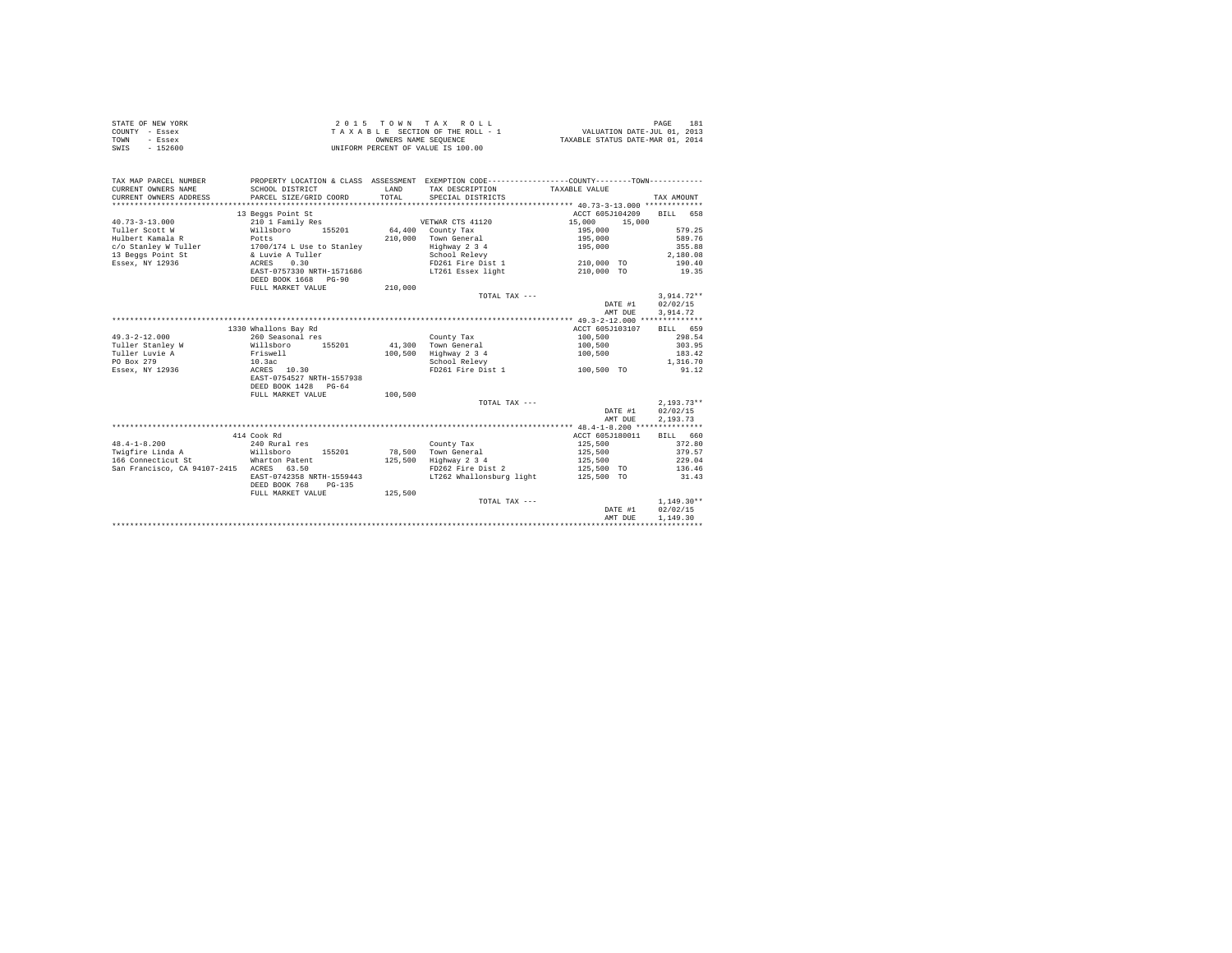| STATE OF NEW YORK<br>COUNTY - Essex<br>TOWN<br>- Essex<br>$-152600$<br>SWIS | 2 0 1 5                   | TOWN<br>OWNERS NAME SEQUENCE | TAX ROLL<br>TAXABLE SECTION OF THE ROLL - 1<br>UNIFORM PERCENT OF VALUE IS 100.00            | VALUATION DATE-JUL 01, 2013<br>TAXABLE STATUS DATE-MAR 01, 2014 | PAGE<br>181  |
|-----------------------------------------------------------------------------|---------------------------|------------------------------|----------------------------------------------------------------------------------------------|-----------------------------------------------------------------|--------------|
|                                                                             |                           |                              |                                                                                              |                                                                 |              |
| TAX MAP PARCEL NUMBER                                                       |                           |                              | PROPERTY LOCATION & CLASS ASSESSMENT EXEMPTION CODE---------------COUNTY-------TOWN--------- |                                                                 |              |
| CURRENT OWNERS NAME                                                         | SCHOOL DISTRICT           | LAND                         | TAX DESCRIPTION                                                                              | TAXABLE VALUE                                                   |              |
| CURRENT OWNERS ADDRESS<br>**************************                        | PARCEL SIZE/GRID COORD    | TOTAL                        | SPECIAL DISTRICTS                                                                            |                                                                 | TAX AMOUNT   |
|                                                                             | 13 Beggs Point St         |                              |                                                                                              | ACCT 605J104209                                                 | 658<br>BILL  |
| $40.73 - 3 - 13.000$                                                        | 210 1 Family Res          |                              | VETWAR CTS 41120                                                                             | 15,000<br>15,000                                                |              |
| Tuller Scott W                                                              | Willsboro<br>155201       | 64,400                       | County Tax                                                                                   | 195,000                                                         | 579.25       |
| Hulbert Kamala R                                                            | Potts                     | 210,000                      | Town General                                                                                 | 195,000                                                         | 589.76       |
| c/o Stanley W Tuller                                                        | 1700/174 L Use to Stanley |                              | Highway 2 3 4                                                                                | 195,000                                                         | 355.88       |
| 13 Beggs Point St                                                           | & Luvie A Tuller          |                              | School Relevy                                                                                |                                                                 | 2,180.08     |
| Essex, NY 12936                                                             | ACRES<br>0.30             |                              | FD261 Fire Dist 1                                                                            | 210,000 TO                                                      | 190.40       |
|                                                                             | EAST-0757330 NRTH-1571686 |                              | LT261 Essex light                                                                            | 210,000 TO                                                      | 19.35        |
|                                                                             | DEED BOOK 1668 PG-90      |                              |                                                                                              |                                                                 |              |
|                                                                             | FULL MARKET VALUE         | 210,000                      |                                                                                              |                                                                 |              |
|                                                                             |                           |                              | TOTAL TAX ---                                                                                |                                                                 | $3,914.72**$ |
|                                                                             |                           |                              |                                                                                              | DATE #1                                                         | 02/02/15     |
|                                                                             |                           |                              |                                                                                              | AMT DUE                                                         | 3.914.72     |
|                                                                             | 1330 Whallons Bay Rd      |                              |                                                                                              | ACCT 605J103107                                                 | BILL 659     |
| $49.3 - 2 - 12.000$                                                         | 260 Seasonal res          |                              | County Tax                                                                                   | 100,500                                                         | 298.54       |
| Tuller Stanley W                                                            | 155201<br>Willsboro       | 41,300                       | Town General                                                                                 | 100,500                                                         | 303.95       |
| Tuller Luvie A                                                              | Friswell                  | 100,500                      | Highway 2 3 4                                                                                | 100,500                                                         | 183.42       |
| PO Box 279                                                                  | 10.3ac                    |                              | School Relevy                                                                                |                                                                 | 1,316.70     |
| Essex, NY 12936                                                             | ACRES 10.30               |                              | FD261 Fire Dist 1                                                                            | 100,500 TO                                                      | 91.12        |
|                                                                             | EAST-0754527 NRTH-1557938 |                              |                                                                                              |                                                                 |              |
|                                                                             | DEED BOOK 1428 PG-64      |                              |                                                                                              |                                                                 |              |
|                                                                             | FULL MARKET VALUE         | 100,500                      |                                                                                              |                                                                 |              |
|                                                                             |                           |                              | TOTAL TAX ---                                                                                |                                                                 | $2,193.73**$ |
|                                                                             |                           |                              |                                                                                              | DATE #1                                                         | 02/02/15     |
|                                                                             |                           |                              |                                                                                              | AMT DUE                                                         | 2.193.73     |
|                                                                             | 414 Cook Rd               |                              |                                                                                              | ACCT 605J180011                                                 | BILL 660     |
| $48.4 - 1 - 8.200$                                                          | 240 Rural res             |                              | County Tax                                                                                   | 125,500                                                         | 372.80       |
| Twigfire Linda A                                                            | Willsboro<br>155201       | 78,500                       | Town General                                                                                 | 125,500                                                         | 379.57       |
| 166 Connecticut St                                                          | Wharton Patent            | 125,500                      | Highway 2 3 4                                                                                | 125,500                                                         | 229.04       |
| San Francisco, CA 94107-2415 ACRES 63.50                                    |                           |                              | FD262 Fire Dist 2                                                                            | 125,500 TO                                                      | 136.46       |
|                                                                             | EAST-0742358 NRTH-1559443 |                              | LT262 Whallonsburg light                                                                     | 125,500 TO                                                      | 31.43        |
|                                                                             | DEED BOOK 768<br>$PG-135$ |                              |                                                                                              |                                                                 |              |
|                                                                             | FULL MARKET VALUE         | 125,500                      |                                                                                              |                                                                 |              |
|                                                                             |                           |                              | TOTAL TAX ---                                                                                |                                                                 | $1,149.30**$ |
|                                                                             |                           |                              |                                                                                              | DATE #1                                                         | 02/02/15     |
|                                                                             |                           |                              |                                                                                              | AMT DUE                                                         | 1,149.30     |
|                                                                             |                           |                              |                                                                                              |                                                                 |              |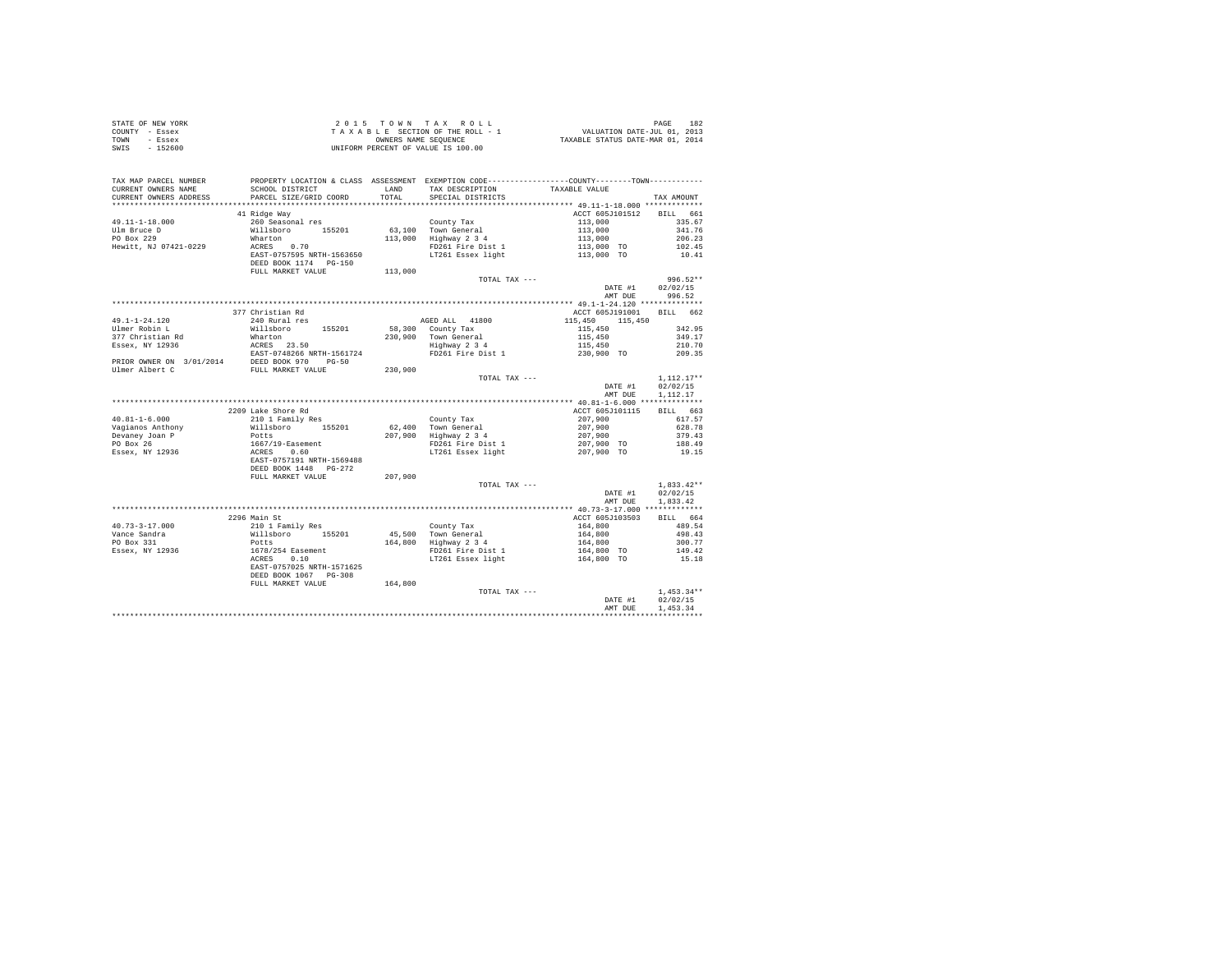|                | STATE OF NEW YORK |  |  | 2015 TOWN TAX ROLL                 |  |  |  |                                  | PAGE | 182 |
|----------------|-------------------|--|--|------------------------------------|--|--|--|----------------------------------|------|-----|
| COUNTY - Essex |                   |  |  | TAXABLE SECTION OF THE ROLL - 1    |  |  |  | VALUATION DATE-JUL 01, 2013      |      |     |
| TOWN           | - Essex           |  |  | OWNERS NAME SEOUENCE               |  |  |  | TAXABLE STATUS DATE-MAR 01, 2014 |      |     |
| SWIS           | $-152600$         |  |  | UNIFORM PERCENT OF VALUE IS 100.00 |  |  |  |                                  |      |     |

| PARCEL SIZE/GRID COORD<br>************************************ 49.11-1-18.000 *************<br>*********************<br>**********************<br>***********<br>41 Ridge Way<br>ACCT 605J101512<br><b>BILL</b><br>$49.11 - 1 - 18.000$<br>260 Seasonal res<br>County Tax<br>113,000<br>Willsboro<br>63,100 Town General<br>113,000<br>155201<br>113,000<br>Highway 2 3 4<br>113,000<br>Wharton<br>ACRES<br>0.70<br>FD261 Fire Dist 1<br>113,000 TO | 661<br>335.67<br>341.76<br>206.23<br>102.45<br>10.41<br>996.52** |
|-----------------------------------------------------------------------------------------------------------------------------------------------------------------------------------------------------------------------------------------------------------------------------------------------------------------------------------------------------------------------------------------------------------------------------------------------------|------------------------------------------------------------------|
| Ulm Bruce D<br>PO Box 229<br>Hewitt, NJ 07421-0229                                                                                                                                                                                                                                                                                                                                                                                                  |                                                                  |
|                                                                                                                                                                                                                                                                                                                                                                                                                                                     |                                                                  |
|                                                                                                                                                                                                                                                                                                                                                                                                                                                     |                                                                  |
|                                                                                                                                                                                                                                                                                                                                                                                                                                                     |                                                                  |
|                                                                                                                                                                                                                                                                                                                                                                                                                                                     |                                                                  |
| EAST-0757595 NRTH-1563650<br>LT261 Essex light<br>113,000 TO<br>DEED BOOK 1174 PG-150                                                                                                                                                                                                                                                                                                                                                               |                                                                  |
| FULL MARKET VALUE<br>113,000                                                                                                                                                                                                                                                                                                                                                                                                                        |                                                                  |
| TOTAL TAX ---                                                                                                                                                                                                                                                                                                                                                                                                                                       |                                                                  |
| DATE #1                                                                                                                                                                                                                                                                                                                                                                                                                                             | 02/02/15                                                         |
| AMT DUE                                                                                                                                                                                                                                                                                                                                                                                                                                             | 996.52                                                           |
|                                                                                                                                                                                                                                                                                                                                                                                                                                                     |                                                                  |
| 377 Christian Rd<br>ACCT 605J191001                                                                                                                                                                                                                                                                                                                                                                                                                 | BILL 662                                                         |
| $49.1 - 1 - 24.120$<br>240 Rural res<br>AGED ALL 41800<br>115,450<br>115,450                                                                                                                                                                                                                                                                                                                                                                        |                                                                  |
| Ulmer Robin L<br>Willsboro<br>155201<br>58,300 County Tax<br>115,450                                                                                                                                                                                                                                                                                                                                                                                | 342.95                                                           |
| 377 Christian Rd<br>Wharton<br>230.900 Town General<br>115,450                                                                                                                                                                                                                                                                                                                                                                                      | 349.17                                                           |
| Essex, NY 12936<br>ACRES 23.50<br>Highway 2 3 4<br>115,450                                                                                                                                                                                                                                                                                                                                                                                          | 210.70                                                           |
| EAST-0748266 NRTH-1561724<br>FD261 Fire Dist 1<br>230,900 TO                                                                                                                                                                                                                                                                                                                                                                                        | 209.35                                                           |
| DEED BOOK 970 PG-50<br>PRIOR OWNER ON 3/01/2014                                                                                                                                                                                                                                                                                                                                                                                                     |                                                                  |
| Ulmer Albert C<br>FULL MARKET VALUE<br>230,900                                                                                                                                                                                                                                                                                                                                                                                                      |                                                                  |
| TOTAL TAX ---                                                                                                                                                                                                                                                                                                                                                                                                                                       | $1,112.17**$                                                     |
| DATE #1                                                                                                                                                                                                                                                                                                                                                                                                                                             | 02/02/15                                                         |
| AMT DUE                                                                                                                                                                                                                                                                                                                                                                                                                                             | 1.112.17                                                         |
|                                                                                                                                                                                                                                                                                                                                                                                                                                                     |                                                                  |
| 2209 Lake Shore Rd<br>ACCT 605J101115                                                                                                                                                                                                                                                                                                                                                                                                               | BILL 663                                                         |
| $40.81 - 1 - 6.000$<br>210 1 Family Res<br>207,900<br>County Tax                                                                                                                                                                                                                                                                                                                                                                                    | 617.57                                                           |
| 62,400<br>207,900<br>Vagianos Anthony<br>Willsboro<br>155201<br>Town General                                                                                                                                                                                                                                                                                                                                                                        | 628.78                                                           |
| Devaney Joan P<br>Potts<br>207,900<br>Highway 2 3 4<br>207,900                                                                                                                                                                                                                                                                                                                                                                                      | 379.43                                                           |
| PO Box 26<br>1667/19-Easement<br>207,900 TO<br>FD261 Fire Dist 1                                                                                                                                                                                                                                                                                                                                                                                    | 188.49                                                           |
| ACRES 0.60<br>Essex, NY 12936<br>LT261 Essex light<br>207,900 TO                                                                                                                                                                                                                                                                                                                                                                                    | 19.15                                                            |
| EAST-0757191 NRTH-1569488                                                                                                                                                                                                                                                                                                                                                                                                                           |                                                                  |
| DEED BOOK 1448 PG-272                                                                                                                                                                                                                                                                                                                                                                                                                               |                                                                  |
| FULL MARKET VALUE<br>207,900                                                                                                                                                                                                                                                                                                                                                                                                                        |                                                                  |
| TOTAL TAX ---                                                                                                                                                                                                                                                                                                                                                                                                                                       | $1.833.42**$                                                     |
| DATE #1                                                                                                                                                                                                                                                                                                                                                                                                                                             | 02/02/15                                                         |
| AMT DUE                                                                                                                                                                                                                                                                                                                                                                                                                                             | 1.833.42                                                         |
|                                                                                                                                                                                                                                                                                                                                                                                                                                                     |                                                                  |
| 2296 Main St<br>ACCT 605J103503<br>$40.73 - 3 - 17.000$                                                                                                                                                                                                                                                                                                                                                                                             | BILL 664                                                         |
| 210 1 Family Res<br>County Tax<br>164,800                                                                                                                                                                                                                                                                                                                                                                                                           | 489.54                                                           |
| Vance Sandra<br>Willsboro<br>45,500<br>Town General<br>155201<br>164,800                                                                                                                                                                                                                                                                                                                                                                            | 498.43                                                           |
| PO Box 331<br>164,800<br>Highway 2 3 4<br>Potts<br>164,800                                                                                                                                                                                                                                                                                                                                                                                          | 300.77                                                           |
| Essex, NY 12936<br>1678/254 Easement<br>FD261 Fire Dist 1<br>164,800 TO<br>0.10<br>ACRES<br>164,800 TO                                                                                                                                                                                                                                                                                                                                              | 149.42<br>15.18                                                  |
| LT261 Essex light<br>EAST-0757025 NRTH-1571625                                                                                                                                                                                                                                                                                                                                                                                                      |                                                                  |
| DEED BOOK 1067 PG-308                                                                                                                                                                                                                                                                                                                                                                                                                               |                                                                  |
| FULL MARKET VALUE<br>164,800                                                                                                                                                                                                                                                                                                                                                                                                                        |                                                                  |
| TOTAL TAX ---                                                                                                                                                                                                                                                                                                                                                                                                                                       | $1.453.34**$                                                     |
| DATE #1                                                                                                                                                                                                                                                                                                                                                                                                                                             | 02/02/15                                                         |
| AMT DUE                                                                                                                                                                                                                                                                                                                                                                                                                                             | 1,453.34                                                         |
|                                                                                                                                                                                                                                                                                                                                                                                                                                                     |                                                                  |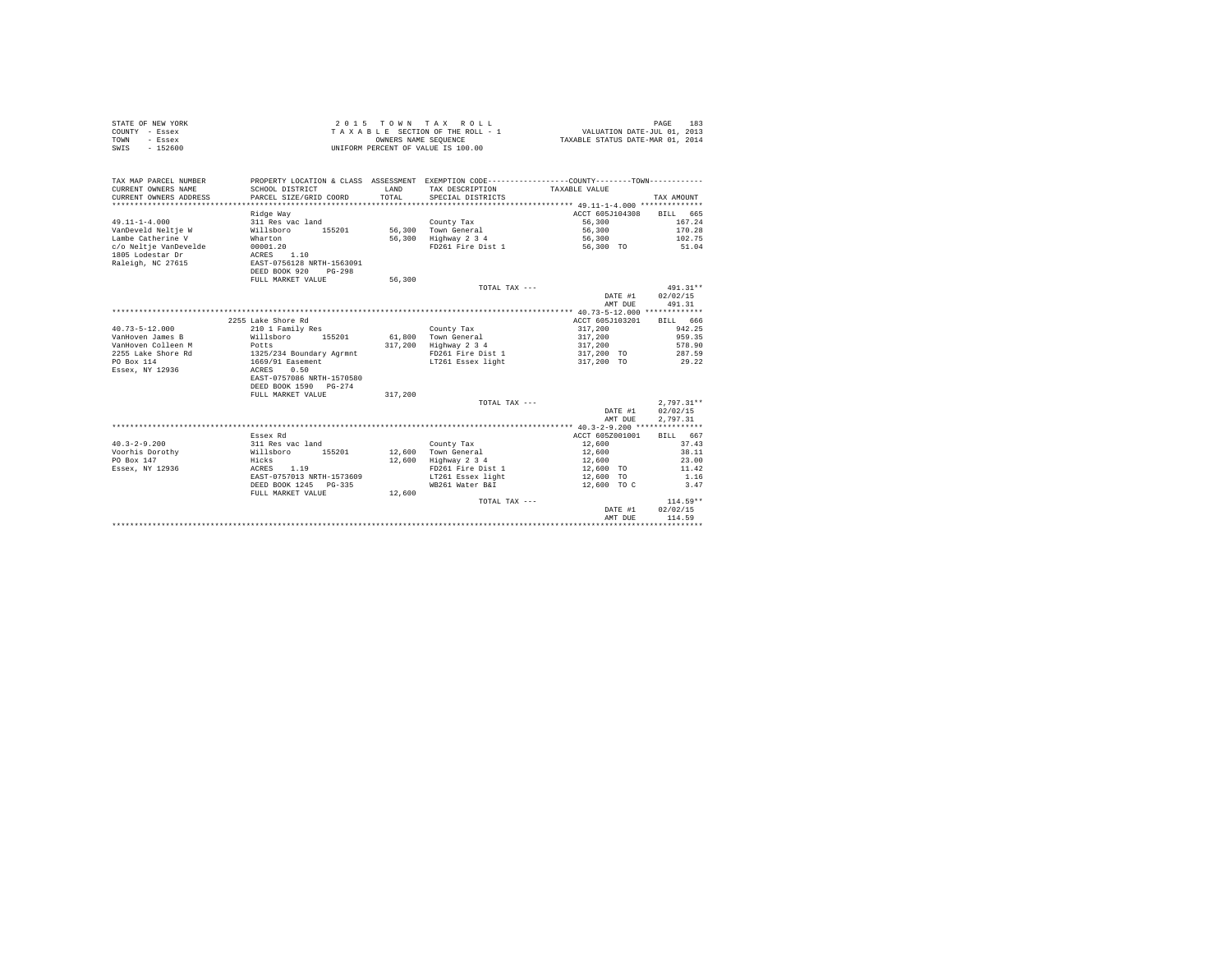| STATE OF NEW YORK<br>COUNTY - Essex<br>TOWN<br>- Essex<br>SWTS<br>$-152600$ |                                            | OWNERS NAME SEQUENCE | 2015 TOWN TAX ROLL<br>TAXABLE SECTION OF THE ROLL - 1<br>UNIFORM PERCENT OF VALUE IS 100.00  | VALUATION DATE-JUL 01, 2013<br>TAXABLE STATUS DATE-MAR 01, 2014 | PAGE<br>183  |
|-----------------------------------------------------------------------------|--------------------------------------------|----------------------|----------------------------------------------------------------------------------------------|-----------------------------------------------------------------|--------------|
| TAX MAP PARCEL NUMBER                                                       |                                            |                      | PROPERTY LOCATION & CLASS ASSESSMENT EXEMPTION CODE---------------COUNTY-------TOWN--------- |                                                                 |              |
| CURRENT OWNERS NAME                                                         | SCHOOL DISTRICT                            | LAND                 | TAX DESCRIPTION                                                                              | TAXABLE VALUE                                                   |              |
| CURRENT OWNERS ADDRESS                                                      | PARCEL SIZE/GRID COORD                     | TOTAL                | SPECIAL DISTRICTS                                                                            |                                                                 | TAX AMOUNT   |
| *********************                                                       |                                            |                      |                                                                                              | ******************** 49.11-1-4.000 **************               |              |
|                                                                             | Ridge Way                                  |                      |                                                                                              | ACCT 605J104308                                                 | BILL 665     |
| $49.11 - 1 - 4.000$                                                         | 311 Res vac land                           |                      | County Tax                                                                                   | 56,300                                                          | 167.24       |
| VanDeveld Neltje W                                                          | Willsboro<br>155201                        |                      | 56,300 Town General                                                                          | 56,300                                                          | 170.28       |
| Lambe Catherine V                                                           | Wharton                                    | 56,300               | Highway 2 3 4                                                                                | 56,300                                                          | 102.75       |
| c/o Neltje VanDevelde                                                       | 00001.20                                   |                      | FD261 Fire Dist 1                                                                            | 56,300 TO                                                       | 51.04        |
| 1805 Lodestar Dr                                                            | 1.10<br>ACRES<br>EAST-0756128 NRTH-1563091 |                      |                                                                                              |                                                                 |              |
| Raleigh, NC 27615                                                           | DEED BOOK 920<br>$PG-298$                  |                      |                                                                                              |                                                                 |              |
|                                                                             | FULL MARKET VALUE                          | 56,300               |                                                                                              |                                                                 |              |
|                                                                             |                                            |                      | TOTAL TAX ---                                                                                |                                                                 | 491.31**     |
|                                                                             |                                            |                      |                                                                                              | DATE #1                                                         | 02/02/15     |
|                                                                             |                                            |                      |                                                                                              | AMT DUE                                                         | 491.31       |
|                                                                             |                                            |                      |                                                                                              | *********** 40.73-5-12.000 *************                        |              |
|                                                                             | 2255 Lake Shore Rd                         |                      |                                                                                              | ACCT 605J103201                                                 | BILL 666     |
| $40.73 - 5 - 12.000$                                                        | 210 1 Family Res                           |                      | County Tax                                                                                   | 317,200                                                         | 942.25       |
| VanHoven James B                                                            | Willsboro<br>155201                        | 61,800               | Town General                                                                                 | 317,200                                                         | 959.35       |
| VanHoven Colleen M                                                          | Potts                                      | 317,200              | Highway 2 3 4                                                                                | 317,200                                                         | 578.90       |
| 2255 Lake Shore Rd                                                          | 1325/234 Boundary Agrmnt                   |                      | FD261 Fire Dist 1                                                                            | 317,200 TO                                                      | 287.59       |
| PO Box 114                                                                  | 1669/91 Easement                           |                      | LT261 Essex light                                                                            | 317,200 TO                                                      | 29.22        |
| Essex, NY 12936                                                             | ACRES<br>0.50                              |                      |                                                                                              |                                                                 |              |
|                                                                             | EAST-0757086 NRTH-1570580                  |                      |                                                                                              |                                                                 |              |
|                                                                             | DEED BOOK 1590 PG-274                      |                      |                                                                                              |                                                                 |              |
|                                                                             | FULL MARKET VALUE                          | 317,200              |                                                                                              |                                                                 |              |
|                                                                             |                                            |                      | TOTAL TAX $---$                                                                              |                                                                 | $2.797.31**$ |
|                                                                             |                                            |                      |                                                                                              | DATE #1                                                         | 02/02/15     |
|                                                                             |                                            |                      |                                                                                              | AMT DUE                                                         | 2.797.31     |
|                                                                             | Essex Rd                                   |                      |                                                                                              | ACCT 605Z001001                                                 | BILL 667     |
| $40.3 - 2 - 9.200$                                                          | 311 Res vac land                           |                      | County Tax                                                                                   | 12,600                                                          | 37.43        |
| Voorhis Dorothy                                                             | Willsboro 155201                           | 12,600               | Town General                                                                                 | 12,600                                                          | 38.11        |
| PO Box 147                                                                  | Hicks                                      | 12,600               | Highway 2 3 4                                                                                | 12,600                                                          | 23.00        |
| Essex, NY 12936                                                             | 1.19<br>ACRES                              |                      | FD261 Fire Dist 1                                                                            | 12,600 TO                                                       | 11.42        |
|                                                                             | EAST-0757013 NRTH-1573609                  |                      | LT261 Essex light                                                                            | 12,600 TO                                                       | 1.16         |
|                                                                             | DEED BOOK 1245 PG-335                      |                      | WB261 Water B&I                                                                              | 12,600 TO C                                                     | 3.47         |
|                                                                             | FULL MARKET VALUE                          | 12,600               |                                                                                              |                                                                 |              |
|                                                                             |                                            |                      | TOTAL TAX ---                                                                                |                                                                 | $114.59**$   |
|                                                                             |                                            |                      |                                                                                              | DATE #1                                                         | 02/02/15     |
|                                                                             |                                            |                      |                                                                                              | AMT DUE                                                         | 114.59       |
|                                                                             |                                            |                      |                                                                                              | *******************************                                 |              |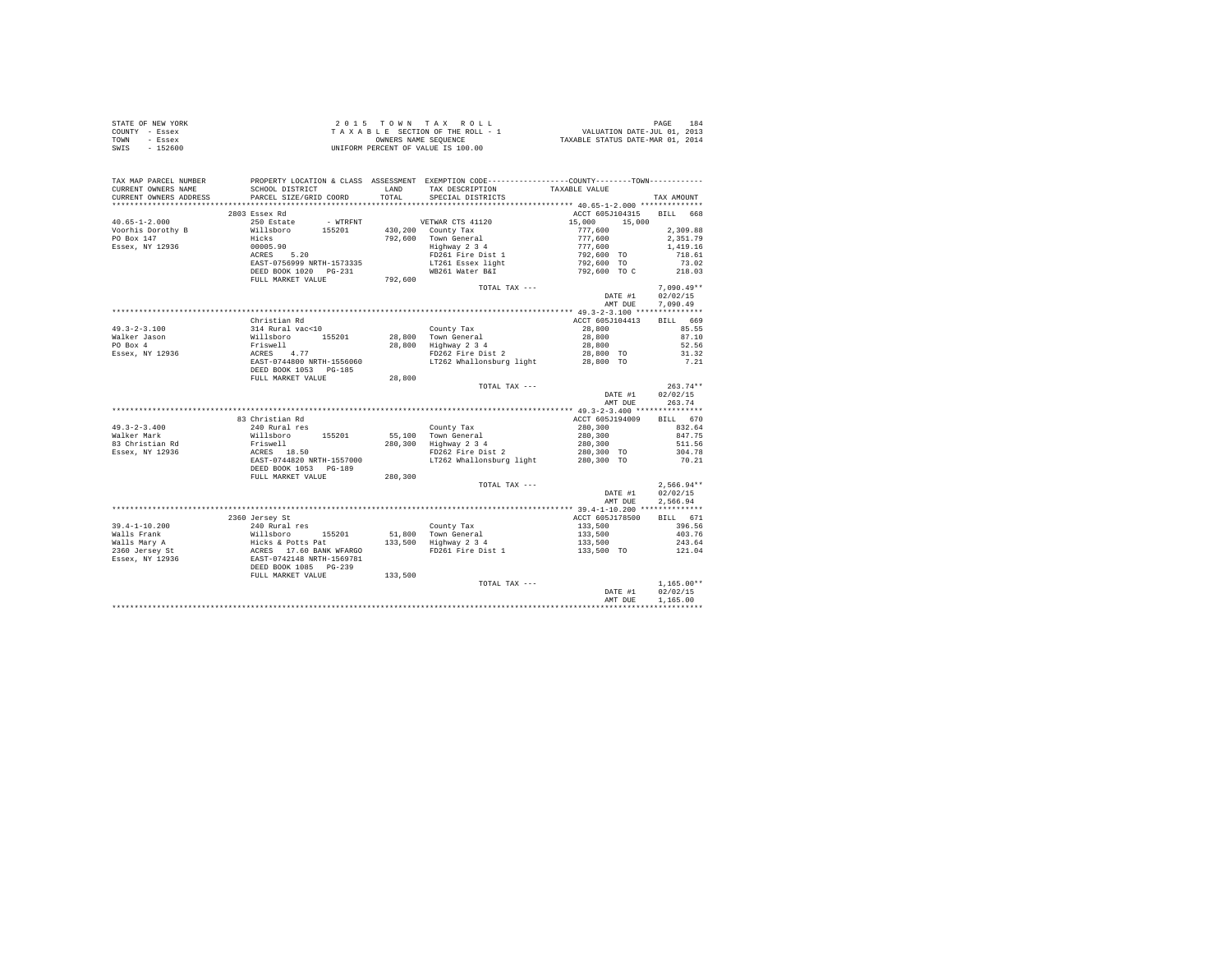| STATE OF NEW YORK | $2.0.15$ TOWN TAX ROLL             | 184<br>PAGE                      |
|-------------------|------------------------------------|----------------------------------|
| COUNTY - Essex    | TAXABLE SECTION OF THE ROLL - 1    | VALUATION DATE-JUL 01, 2013      |
| TOWN<br>- Essex   | OWNERS NAME SEOUENCE               | TAXABLE STATUS DATE-MAR 01, 2014 |
| SWIS<br>- 152600  | UNIFORM PERCENT OF VALUE IS 100.00 |                                  |

|                        |                                                                                                                                                                                                                                                                                                                                                                                                                                             |         |                                                                                                 | AMT DUE                                                                                                                                                           | 1,165.00             |
|------------------------|---------------------------------------------------------------------------------------------------------------------------------------------------------------------------------------------------------------------------------------------------------------------------------------------------------------------------------------------------------------------------------------------------------------------------------------------|---------|-------------------------------------------------------------------------------------------------|-------------------------------------------------------------------------------------------------------------------------------------------------------------------|----------------------|
|                        | FULL MARKET VALUE                                                                                                                                                                                                                                                                                                                                                                                                                           | 133,500 | TOTAL TAX ---                                                                                   | $\begin{array}{cc} & 1\,, 165\,.\,00\, * \, * \\ \text{DATE \#1} & 02\,/\,02\,/\,15 \end{array}$                                                                  | $1,165.00**$         |
|                        |                                                                                                                                                                                                                                                                                                                                                                                                                                             |         |                                                                                                 |                                                                                                                                                                   |                      |
|                        |                                                                                                                                                                                                                                                                                                                                                                                                                                             |         | FD261 Fire Dist 1 133,500 TO 121.04                                                             |                                                                                                                                                                   |                      |
|                        |                                                                                                                                                                                                                                                                                                                                                                                                                                             |         |                                                                                                 | 133,500                                                                                                                                                           | 243.64               |
|                        |                                                                                                                                                                                                                                                                                                                                                                                                                                             |         |                                                                                                 | $133,500$<br>$133,500$                                                                                                                                            | 403.76               |
|                        |                                                                                                                                                                                                                                                                                                                                                                                                                                             |         |                                                                                                 |                                                                                                                                                                   | 396.56               |
|                        | 2360 Jersey St                                                                                                                                                                                                                                                                                                                                                                                                                              |         |                                                                                                 | ACCT 605J178500 BILL 671                                                                                                                                          |                      |
|                        |                                                                                                                                                                                                                                                                                                                                                                                                                                             |         |                                                                                                 |                                                                                                                                                                   |                      |
|                        |                                                                                                                                                                                                                                                                                                                                                                                                                                             |         |                                                                                                 | AMT DUE                                                                                                                                                           | 2.566.94             |
|                        |                                                                                                                                                                                                                                                                                                                                                                                                                                             |         |                                                                                                 | DATE #1                                                                                                                                                           | 02/02/15             |
|                        |                                                                                                                                                                                                                                                                                                                                                                                                                                             |         | TOTAL TAX ---                                                                                   |                                                                                                                                                                   | $2.566.94**$         |
|                        | FULL MARKET VALUE                                                                                                                                                                                                                                                                                                                                                                                                                           | 280,300 |                                                                                                 |                                                                                                                                                                   |                      |
|                        | DEED BOOK 1053 PG-189                                                                                                                                                                                                                                                                                                                                                                                                                       |         |                                                                                                 |                                                                                                                                                                   |                      |
|                        | $\begin{tabular}{lllllllllllll} \textbf{49.3-2-3.400} & \textbf{240 Rural res} & \textbf{Country Tax} \\ \textbf{Waller Mark} & \textbf{240 Rural res} & \textbf{55.100} & \textbf{56.100} \\ \textbf{83 Christal} & \textbf{240 RIS of own General} & \textbf{63.100} & \textbf{7.10} \\ \textbf{84.10} & \textbf{55.100} & \textbf{55.100} & \textbf{56.100} \\ \textbf{85.101} & \textbf{55.100} & \textbf{5$                            |         | LT262 Whallonsburg light                                                                        | 280,300 TO                                                                                                                                                        | 70.21                |
|                        |                                                                                                                                                                                                                                                                                                                                                                                                                                             |         | FD262 Fire Dist 2                                                                               | $\begin{array}{cccc} 280\,, 300 & & & 832\,.\,64 \\ 280\,, 300 & & & 847\,.75 \\ 280\,, 300 & & & 511\,.56 \\ 280\,, 300 & \text{TO} & & 304\,.78 \\ \end{array}$ |                      |
|                        |                                                                                                                                                                                                                                                                                                                                                                                                                                             |         | 280,300 Highway 2 3 4                                                                           |                                                                                                                                                                   |                      |
|                        |                                                                                                                                                                                                                                                                                                                                                                                                                                             |         |                                                                                                 |                                                                                                                                                                   |                      |
|                        |                                                                                                                                                                                                                                                                                                                                                                                                                                             |         |                                                                                                 |                                                                                                                                                                   |                      |
|                        | 83 Christian Rd                                                                                                                                                                                                                                                                                                                                                                                                                             |         |                                                                                                 | ACCT 605J194009 BILL 670                                                                                                                                          |                      |
|                        |                                                                                                                                                                                                                                                                                                                                                                                                                                             |         |                                                                                                 |                                                                                                                                                                   |                      |
|                        |                                                                                                                                                                                                                                                                                                                                                                                                                                             |         |                                                                                                 | AMT DUE 263.74                                                                                                                                                    |                      |
|                        |                                                                                                                                                                                                                                                                                                                                                                                                                                             |         |                                                                                                 | 263.74**<br>DATE #1 02/02/15                                                                                                                                      |                      |
|                        |                                                                                                                                                                                                                                                                                                                                                                                                                                             |         | TOTAL TAX ---                                                                                   |                                                                                                                                                                   | $263.74**$           |
|                        | FULL MARKET VALUE                                                                                                                                                                                                                                                                                                                                                                                                                           | 28,800  |                                                                                                 |                                                                                                                                                                   |                      |
|                        | $\begin{tabular}{lllllllllll} \textbf{49.3-2-3.100} & \textbf{514 Rural vac10} & \textbf{Courty Tax} \\ \textbf{Waller Jason} & \textbf{314 Rural vac10} & \textbf{28,800} & \textbf{Town General} \\ \textbf{Waller Jason} & \textbf{Willabor} & \textbf{28,800} & \textbf{Toym General} \\ \textbf{PO Box 4} & \textbf{Friswell} & \textbf{28,800} & \textbf{Highway 2 3 4} \\ \textbf{ESsex, NY 12936} & \textbf{ACRES} & \textbf{4.77}$ |         |                                                                                                 |                                                                                                                                                                   |                      |
|                        |                                                                                                                                                                                                                                                                                                                                                                                                                                             |         | LT262 Whallonsburg light                                                                        | 28,800 TO                                                                                                                                                         | 7.21                 |
|                        |                                                                                                                                                                                                                                                                                                                                                                                                                                             |         |                                                                                                 |                                                                                                                                                                   |                      |
|                        |                                                                                                                                                                                                                                                                                                                                                                                                                                             |         |                                                                                                 |                                                                                                                                                                   |                      |
|                        |                                                                                                                                                                                                                                                                                                                                                                                                                                             |         |                                                                                                 | $\begin{array}{llll} 28,800 & \quad & 85.55 \\ 28,800 & \quad & 87.10 \\ 28,800 & \quad & 52.56 \\ 28,800 & \quad & 52.56 \\ \end{array}$                         |                      |
|                        |                                                                                                                                                                                                                                                                                                                                                                                                                                             |         |                                                                                                 |                                                                                                                                                                   |                      |
|                        | Christian Rd                                                                                                                                                                                                                                                                                                                                                                                                                                |         |                                                                                                 | ACCT 605J104413                                                                                                                                                   | BILL 669             |
|                        |                                                                                                                                                                                                                                                                                                                                                                                                                                             |         |                                                                                                 |                                                                                                                                                                   |                      |
|                        |                                                                                                                                                                                                                                                                                                                                                                                                                                             |         |                                                                                                 | AMT DUE                                                                                                                                                           | 7,090.49             |
|                        |                                                                                                                                                                                                                                                                                                                                                                                                                                             |         |                                                                                                 | DATE #1                                                                                                                                                           | 02/02/15             |
|                        |                                                                                                                                                                                                                                                                                                                                                                                                                                             |         | TOTAL TAX ---                                                                                   |                                                                                                                                                                   | $7.090.49**$         |
|                        |                                                                                                                                                                                                                                                                                                                                                                                                                                             |         |                                                                                                 |                                                                                                                                                                   |                      |
|                        |                                                                                                                                                                                                                                                                                                                                                                                                                                             |         |                                                                                                 |                                                                                                                                                                   |                      |
|                        |                                                                                                                                                                                                                                                                                                                                                                                                                                             |         | LT261 Essex light                                                                               | 792,600 TO                                                                                                                                                        | 73.02                |
|                        | 430,200 County Tax (1992)<br>Voorhis Dorothy B (1992)<br>Voorhis Dorothy B (1992)<br>20 Millsboro 155201 (1992,600 Town General<br>20 Millsboro 155201 (1992)<br>20 Millsboro 1926,000 County Tax<br>20 Millsboro 1926 (1993)<br>20 Millsbor                                                                                                                                                                                                |         | FD261 Fire Dist 1                                                                               | $15,000$ 15,000<br>$777,600$<br>$777,600$<br>$777,600$<br>$792,600$ TO<br>$792,600$ TO                                                                            | 718.61               |
|                        |                                                                                                                                                                                                                                                                                                                                                                                                                                             |         | .<br>Highway 2 3 4                                                                              |                                                                                                                                                                   | 2,351.79<br>1,419.16 |
|                        |                                                                                                                                                                                                                                                                                                                                                                                                                                             |         |                                                                                                 |                                                                                                                                                                   | 2,309.88             |
|                        |                                                                                                                                                                                                                                                                                                                                                                                                                                             |         |                                                                                                 |                                                                                                                                                                   |                      |
| $40.65 - 1 - 2.000$    | 250 Estate - WTRFNT - WETWAR CTS 41120                                                                                                                                                                                                                                                                                                                                                                                                      |         |                                                                                                 | ACCT 605J104315 BILL 668                                                                                                                                          |                      |
|                        | 2803 Essex Rd                                                                                                                                                                                                                                                                                                                                                                                                                               |         |                                                                                                 |                                                                                                                                                                   |                      |
| CURRENT OWNERS ADDRESS |                                                                                                                                                                                                                                                                                                                                                                                                                                             |         |                                                                                                 |                                                                                                                                                                   | TAX AMOUNT           |
| CURRENT OWNERS NAME    | SCHOOL DISTRICT<br>PARCEL SIZE/GRID COORD                                                                                                                                                                                                                                                                                                                                                                                                   |         | LAND TAX DESCRIPTION<br>TOTAL SPECIAL DISTRICTS                                                 | TAXABLE VALUE                                                                                                                                                     |                      |
| TAX MAP PARCEL NUMBER  |                                                                                                                                                                                                                                                                                                                                                                                                                                             |         | PROPERTY LOCATION & CLASS ASSESSMENT EXEMPTION CODE----------------COUNTY--------TOWN---------- |                                                                                                                                                                   |                      |
|                        |                                                                                                                                                                                                                                                                                                                                                                                                                                             |         |                                                                                                 |                                                                                                                                                                   |                      |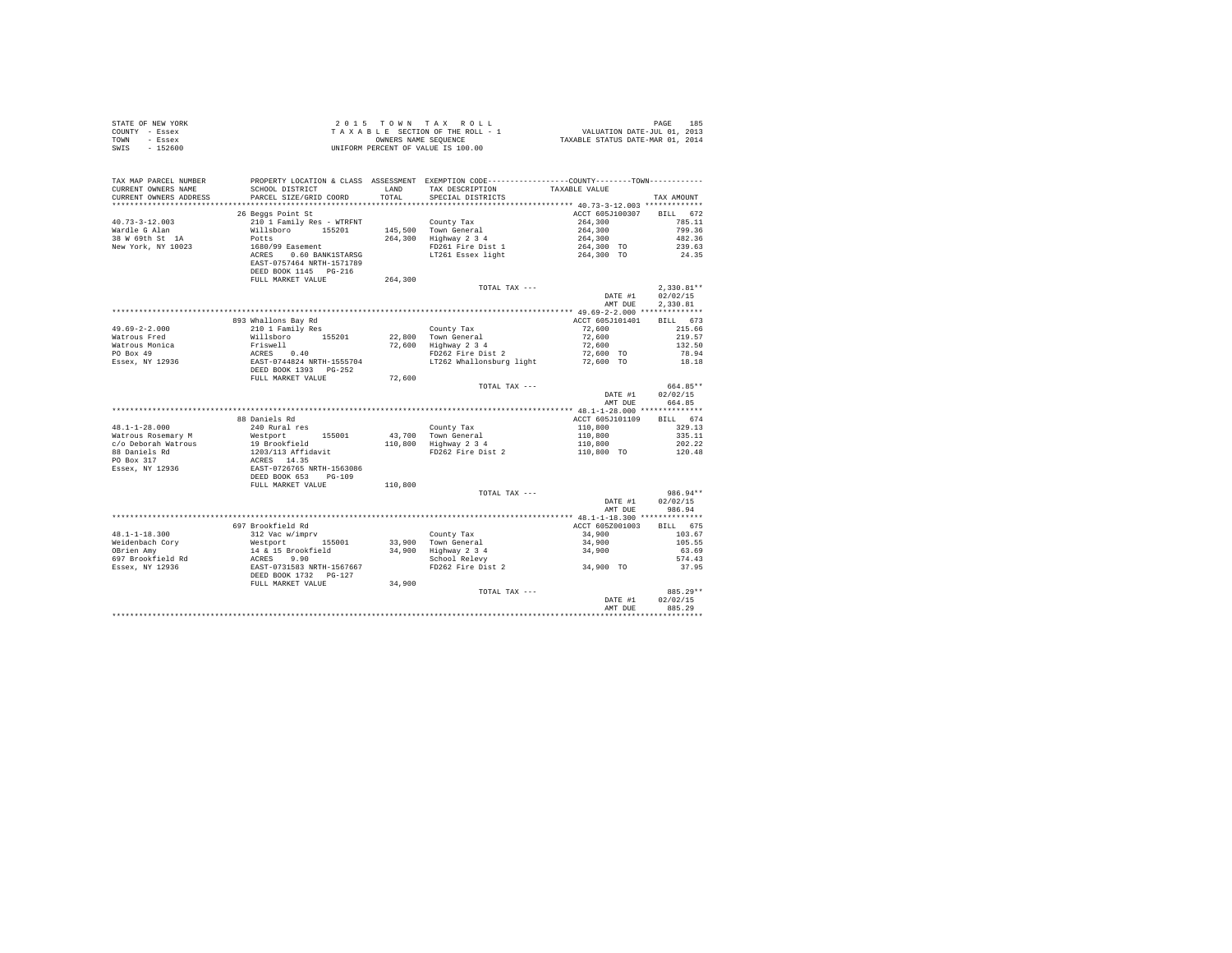| STATE OF NEW YORK                                                                                                                                                         |                                                                                                                                      |         |                                                                                                                             |                                                                                  |                  |
|---------------------------------------------------------------------------------------------------------------------------------------------------------------------------|--------------------------------------------------------------------------------------------------------------------------------------|---------|-----------------------------------------------------------------------------------------------------------------------------|----------------------------------------------------------------------------------|------------------|
| COUNTY - Essex                                                                                                                                                            |                                                                                                                                      |         |                                                                                                                             |                                                                                  |                  |
| TOWN - Essex                                                                                                                                                              |                                                                                                                                      |         |                                                                                                                             |                                                                                  |                  |
| SWIS - 152600                                                                                                                                                             |                                                                                                                                      |         |                                                                                                                             |                                                                                  |                  |
|                                                                                                                                                                           |                                                                                                                                      |         |                                                                                                                             |                                                                                  |                  |
|                                                                                                                                                                           |                                                                                                                                      |         |                                                                                                                             |                                                                                  |                  |
|                                                                                                                                                                           |                                                                                                                                      |         |                                                                                                                             |                                                                                  |                  |
|                                                                                                                                                                           |                                                                                                                                      |         |                                                                                                                             |                                                                                  |                  |
| TAX MAP PARCEL NUMBER PROPERTY LOCATION & CLASS ASSESSMENT EXEMPTION CODE---------------COUNTY-------TOWN---------                                                        |                                                                                                                                      |         |                                                                                                                             |                                                                                  |                  |
| CURRENT OWNERS NAME                                                                                                                                                       | SCHOOL DISTRICT                                                                                                                      |         | LAND TAX DESCRIPTION                                                                                                        | TAXABLE VALUE                                                                    |                  |
| CURRENT OWNERS ADDRESS                                                                                                                                                    | PARCEL SIZE/GRID COORD                                                                                                               | TOTAL   | SPECIAL DISTRICTS                                                                                                           |                                                                                  | TAX AMOUNT       |
|                                                                                                                                                                           |                                                                                                                                      |         |                                                                                                                             |                                                                                  |                  |
|                                                                                                                                                                           | 26 Beggs Point St                                                                                                                    |         |                                                                                                                             | ACCT 605J100307 BILL 672                                                         |                  |
| $40.73 - 3 - 12.003$                                                                                                                                                      | 210 1 Family Res - WTRFNT                                                                                                            |         | County Tax<br>145,500 Town General<br>264,300 Highway 2 3 4<br>FD261 Fire Dist 1<br>LT261 Essex light                       | $264,300$<br>$264,300$<br>$264,300$<br>$264,300$<br>$264,300$ TO<br>$264,300$ TO | 785.11           |
|                                                                                                                                                                           |                                                                                                                                      |         |                                                                                                                             |                                                                                  | 799.36           |
| Wardle G Alan<br>38 W 69th St 1A                                                                                                                                          | Willsboro 155201                                                                                                                     |         |                                                                                                                             |                                                                                  |                  |
|                                                                                                                                                                           |                                                                                                                                      |         |                                                                                                                             |                                                                                  | 482.36           |
| New York, NY 10023                                                                                                                                                        |                                                                                                                                      |         |                                                                                                                             |                                                                                  | 239.63           |
|                                                                                                                                                                           |                                                                                                                                      |         |                                                                                                                             |                                                                                  | 24.35            |
|                                                                                                                                                                           |                                                                                                                                      |         |                                                                                                                             |                                                                                  |                  |
|                                                                                                                                                                           |                                                                                                                                      |         |                                                                                                                             |                                                                                  |                  |
|                                                                                                                                                                           | FULL MARKET VALUE                                                                                                                    | 264,300 |                                                                                                                             |                                                                                  |                  |
|                                                                                                                                                                           |                                                                                                                                      |         | TOTAL TAX ---                                                                                                               |                                                                                  | $2,330.81**$     |
|                                                                                                                                                                           |                                                                                                                                      |         |                                                                                                                             |                                                                                  |                  |
|                                                                                                                                                                           |                                                                                                                                      |         |                                                                                                                             |                                                                                  | DATE #1 02/02/15 |
|                                                                                                                                                                           |                                                                                                                                      |         |                                                                                                                             | AMT DUE                                                                          | 2.330.81         |
|                                                                                                                                                                           |                                                                                                                                      |         |                                                                                                                             |                                                                                  |                  |
|                                                                                                                                                                           | 893 Whallons Bay Rd                                                                                                                  |         |                                                                                                                             | ACCT 605J101401 BILL 673                                                         |                  |
| $49.69 - 2 - 2.000$                                                                                                                                                       | 210 1 Family Res                                                                                                                     |         |                                                                                                                             | 72,600 215.66                                                                    |                  |
| Watrous Fred                                                                                                                                                              |                                                                                                                                      |         |                                                                                                                             |                                                                                  | 219.57           |
|                                                                                                                                                                           |                                                                                                                                      |         |                                                                                                                             | $72,600$<br>$72,600$                                                             | 132.50           |
|                                                                                                                                                                           |                                                                                                                                      |         |                                                                                                                             |                                                                                  |                  |
|                                                                                                                                                                           |                                                                                                                                      |         |                                                                                                                             | 72,600 TO                                                                        | 78.94            |
|                                                                                                                                                                           |                                                                                                                                      |         | LT262 Whallonsburg light 72,600 TO                                                                                          |                                                                                  | 18.18            |
|                                                                                                                                                                           |                                                                                                                                      |         |                                                                                                                             |                                                                                  |                  |
| % Martous Pietra (1992)<br>Martous Monica (1992)<br>Po Box 49 (1993)<br>Essex, NY 12936 (1992)<br>DEED BOOK 1393 PG-252<br>DEED BOOK 1393 PG-252<br>DEED BOOK 1393 PG-252 |                                                                                                                                      | 72,600  |                                                                                                                             |                                                                                  |                  |
|                                                                                                                                                                           |                                                                                                                                      |         | TOTAL TAX ---                                                                                                               |                                                                                  | 664.85**         |
|                                                                                                                                                                           |                                                                                                                                      |         |                                                                                                                             | DATE #1                                                                          | 02/02/15         |
|                                                                                                                                                                           |                                                                                                                                      |         |                                                                                                                             |                                                                                  | AMT DUE 664.85   |
|                                                                                                                                                                           |                                                                                                                                      |         |                                                                                                                             |                                                                                  |                  |
|                                                                                                                                                                           |                                                                                                                                      |         |                                                                                                                             |                                                                                  |                  |
|                                                                                                                                                                           | 88 Daniels Rd                                                                                                                        |         |                                                                                                                             | ACCT 605J101109                                                                  | BILL 674         |
| 48.1-1-28.000                                                                                                                                                             | 240 Rural res                                                                                                                        |         |                                                                                                                             |                                                                                  | 329.13           |
| Watrous Rosemary M<br>c/o Deborah Watrous                                                                                                                                 |                                                                                                                                      |         |                                                                                                                             |                                                                                  | 335.11           |
|                                                                                                                                                                           |                                                                                                                                      |         |                                                                                                                             |                                                                                  | 202.22           |
| 88 Daniels Rd<br>PO Box 317                                                                                                                                               |                                                                                                                                      |         |                                                                                                                             |                                                                                  | 120.48           |
|                                                                                                                                                                           |                                                                                                                                      |         |                                                                                                                             |                                                                                  |                  |
| Essex, NY 12936                                                                                                                                                           |                                                                                                                                      |         |                                                                                                                             |                                                                                  |                  |
|                                                                                                                                                                           |                                                                                                                                      |         |                                                                                                                             |                                                                                  |                  |
|                                                                                                                                                                           | % when<br>Nestport 155001<br>19 Brookfield<br>1203/113 Affidavit<br>RCRES 14.35<br>EAST-0726765 NRTH-1563086<br>DEED BOOK 653 PO-109 |         |                                                                                                                             |                                                                                  |                  |
|                                                                                                                                                                           | FULL MARKET VALUE                                                                                                                    | 110,800 |                                                                                                                             |                                                                                  |                  |
|                                                                                                                                                                           |                                                                                                                                      |         | TOTAL TAX ---                                                                                                               |                                                                                  | 986.94**         |
|                                                                                                                                                                           |                                                                                                                                      |         |                                                                                                                             | DATE #1                                                                          | 02/02/15         |
|                                                                                                                                                                           |                                                                                                                                      |         |                                                                                                                             |                                                                                  | AMT DUE 986.94   |
|                                                                                                                                                                           |                                                                                                                                      |         |                                                                                                                             |                                                                                  |                  |
|                                                                                                                                                                           | 697 Brookfield Rd                                                                                                                    |         |                                                                                                                             | ACCT 605Z001003 BILL 675                                                         |                  |
|                                                                                                                                                                           |                                                                                                                                      |         |                                                                                                                             |                                                                                  | 103.67           |
|                                                                                                                                                                           |                                                                                                                                      |         |                                                                                                                             |                                                                                  |                  |
|                                                                                                                                                                           |                                                                                                                                      |         |                                                                                                                             |                                                                                  | 105.55           |
|                                                                                                                                                                           |                                                                                                                                      |         | County Tax<br>34,900 Town General<br>34,900 Highway 2 3 4 34,900 School Relevy<br>34,900 School Relevy<br>FD262 Fire Dist 2 |                                                                                  | 63.69            |
|                                                                                                                                                                           |                                                                                                                                      |         |                                                                                                                             |                                                                                  | 574.43           |
|                                                                                                                                                                           |                                                                                                                                      |         |                                                                                                                             |                                                                                  | 37.95            |
|                                                                                                                                                                           |                                                                                                                                      |         |                                                                                                                             |                                                                                  |                  |
|                                                                                                                                                                           |                                                                                                                                      |         |                                                                                                                             |                                                                                  |                  |
|                                                                                                                                                                           |                                                                                                                                      |         |                                                                                                                             |                                                                                  |                  |
|                                                                                                                                                                           |                                                                                                                                      |         | TOTAL TAX ---                                                                                                               |                                                                                  | 885.29**         |
|                                                                                                                                                                           |                                                                                                                                      |         |                                                                                                                             | DATE #1                                                                          | 02/02/15         |
|                                                                                                                                                                           |                                                                                                                                      |         |                                                                                                                             | AMT DUR                                                                          | 885.29           |
|                                                                                                                                                                           |                                                                                                                                      |         |                                                                                                                             |                                                                                  |                  |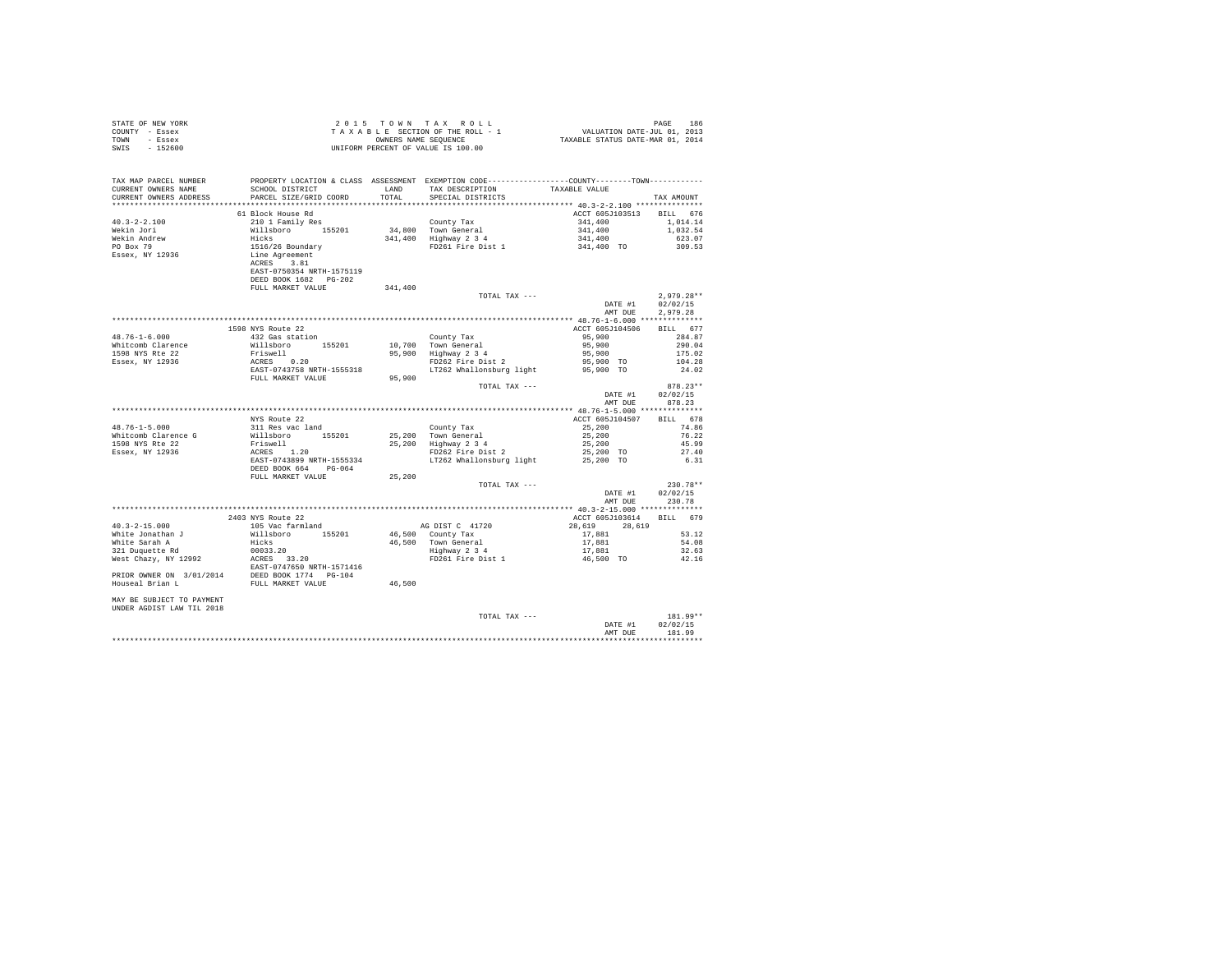| STATE OF NEW YORK<br>COUNTY - Essex<br>TOWN - Essex<br>SWIS - 152600                                                                                                                                                                          | 2015 TO WINT AX ROLL 1 PAGE 186<br>TAXABLE SECTION OF THE ROLL - 1 VALUATION DATE-JUL 01, 2013<br>OWNERS NAME SEQUENCE 1 TAXABLE STATUS DATE-MAR 01, 2014<br>UNIFORM PERCENT OF VALUE IS 100.00 |                     |                                                           |                                                                                                           |              |
|-----------------------------------------------------------------------------------------------------------------------------------------------------------------------------------------------------------------------------------------------|-------------------------------------------------------------------------------------------------------------------------------------------------------------------------------------------------|---------------------|-----------------------------------------------------------|-----------------------------------------------------------------------------------------------------------|--------------|
|                                                                                                                                                                                                                                               |                                                                                                                                                                                                 |                     |                                                           |                                                                                                           |              |
|                                                                                                                                                                                                                                               |                                                                                                                                                                                                 |                     |                                                           |                                                                                                           |              |
|                                                                                                                                                                                                                                               |                                                                                                                                                                                                 |                     |                                                           |                                                                                                           |              |
|                                                                                                                                                                                                                                               |                                                                                                                                                                                                 |                     |                                                           |                                                                                                           |              |
|                                                                                                                                                                                                                                               |                                                                                                                                                                                                 |                     |                                                           |                                                                                                           |              |
|                                                                                                                                                                                                                                               |                                                                                                                                                                                                 |                     |                                                           |                                                                                                           |              |
|                                                                                                                                                                                                                                               |                                                                                                                                                                                                 |                     |                                                           |                                                                                                           |              |
|                                                                                                                                                                                                                                               |                                                                                                                                                                                                 |                     |                                                           |                                                                                                           |              |
|                                                                                                                                                                                                                                               |                                                                                                                                                                                                 |                     |                                                           |                                                                                                           |              |
|                                                                                                                                                                                                                                               |                                                                                                                                                                                                 |                     |                                                           |                                                                                                           |              |
|                                                                                                                                                                                                                                               |                                                                                                                                                                                                 |                     |                                                           |                                                                                                           |              |
|                                                                                                                                                                                                                                               | FULL MARKET VALUE                                                                                                                                                                               | $3\,41$ , $4\,0\,0$ |                                                           |                                                                                                           | $2,979.28**$ |
|                                                                                                                                                                                                                                               |                                                                                                                                                                                                 |                     |                                                           | DATE #1 02/02/15                                                                                          |              |
|                                                                                                                                                                                                                                               |                                                                                                                                                                                                 |                     |                                                           | AMT DUE 2.979.28                                                                                          |              |
|                                                                                                                                                                                                                                               |                                                                                                                                                                                                 |                     |                                                           |                                                                                                           |              |
|                                                                                                                                                                                                                                               |                                                                                                                                                                                                 |                     |                                                           |                                                                                                           |              |
|                                                                                                                                                                                                                                               |                                                                                                                                                                                                 |                     |                                                           |                                                                                                           |              |
|                                                                                                                                                                                                                                               |                                                                                                                                                                                                 |                     |                                                           |                                                                                                           |              |
|                                                                                                                                                                                                                                               |                                                                                                                                                                                                 |                     |                                                           |                                                                                                           |              |
|                                                                                                                                                                                                                                               |                                                                                                                                                                                                 |                     |                                                           |                                                                                                           |              |
|                                                                                                                                                                                                                                               |                                                                                                                                                                                                 |                     |                                                           |                                                                                                           |              |
|                                                                                                                                                                                                                                               |                                                                                                                                                                                                 |                     |                                                           |                                                                                                           |              |
|                                                                                                                                                                                                                                               |                                                                                                                                                                                                 |                     |                                                           |                                                                                                           |              |
|                                                                                                                                                                                                                                               |                                                                                                                                                                                                 |                     |                                                           | DATE #1 02/02/15<br>AMT DUE 878.23                                                                        |              |
|                                                                                                                                                                                                                                               |                                                                                                                                                                                                 |                     | $$110ns--$$ TOTAL TAX $-- $$ $\cdots$ $$40$ $$^{\prime}$$ |                                                                                                           |              |
| 14.76-1-5.000<br>16.76-1-5.000 MYS Route 22<br>WES ROLE 22<br>Witcomb Clarence G<br>16.78 WES ROLE 21 Research 155201<br>25,200 Town General<br>1598 NYS Route 31 Research 155201<br>25,200 Highway 2 34 25,200<br>25,200 Highway 2 34 25,200 |                                                                                                                                                                                                 |                     |                                                           |                                                                                                           |              |
|                                                                                                                                                                                                                                               |                                                                                                                                                                                                 |                     |                                                           |                                                                                                           |              |
|                                                                                                                                                                                                                                               |                                                                                                                                                                                                 |                     |                                                           |                                                                                                           |              |
|                                                                                                                                                                                                                                               |                                                                                                                                                                                                 |                     |                                                           |                                                                                                           |              |
|                                                                                                                                                                                                                                               |                                                                                                                                                                                                 |                     |                                                           |                                                                                                           |              |
|                                                                                                                                                                                                                                               |                                                                                                                                                                                                 |                     |                                                           |                                                                                                           |              |
|                                                                                                                                                                                                                                               |                                                                                                                                                                                                 |                     |                                                           |                                                                                                           |              |
|                                                                                                                                                                                                                                               |                                                                                                                                                                                                 |                     |                                                           |                                                                                                           |              |
|                                                                                                                                                                                                                                               |                                                                                                                                                                                                 |                     |                                                           |                                                                                                           | $230.78**$   |
|                                                                                                                                                                                                                                               |                                                                                                                                                                                                 |                     |                                                           |                                                                                                           |              |
|                                                                                                                                                                                                                                               |                                                                                                                                                                                                 |                     |                                                           | TOTAL TAX ---<br>DATE #1 02/02/15<br>AMT DUE 230.78<br>$\frac{200.78}{200.78}$<br>$\frac{200.78}{200.78}$ |              |
|                                                                                                                                                                                                                                               |                                                                                                                                                                                                 |                     |                                                           |                                                                                                           |              |
|                                                                                                                                                                                                                                               |                                                                                                                                                                                                 |                     |                                                           |                                                                                                           |              |
|                                                                                                                                                                                                                                               |                                                                                                                                                                                                 |                     |                                                           |                                                                                                           |              |
|                                                                                                                                                                                                                                               |                                                                                                                                                                                                 |                     |                                                           |                                                                                                           |              |
|                                                                                                                                                                                                                                               |                                                                                                                                                                                                 |                     |                                                           |                                                                                                           |              |
|                                                                                                                                                                                                                                               |                                                                                                                                                                                                 |                     |                                                           |                                                                                                           |              |
|                                                                                                                                                                                                                                               |                                                                                                                                                                                                 |                     |                                                           |                                                                                                           |              |
|                                                                                                                                                                                                                                               |                                                                                                                                                                                                 |                     |                                                           |                                                                                                           |              |
| 903 NYS Route 22<br>40.3–2–15.000 2403 NYS Route 22<br>40.3–2–15.000 2403 NYS Route 22<br>40.3–2–15.000 2403 NYS Route 22<br>White Jonathan J 105 Vac farmland<br>White Jonathan J Hisboro 155201 46,500 County Tax<br>46.500 Town Gener      |                                                                                                                                                                                                 |                     |                                                           |                                                                                                           |              |
|                                                                                                                                                                                                                                               |                                                                                                                                                                                                 |                     |                                                           |                                                                                                           |              |
| MAY BE SUBJECT TO PAYMENT<br>UNDER AGDIST LAW TIL 2018                                                                                                                                                                                        |                                                                                                                                                                                                 |                     |                                                           |                                                                                                           |              |
|                                                                                                                                                                                                                                               |                                                                                                                                                                                                 |                     | TOTAL TAX ---                                             |                                                                                                           | $181.99**$   |
|                                                                                                                                                                                                                                               |                                                                                                                                                                                                 |                     |                                                           |                                                                                                           |              |
|                                                                                                                                                                                                                                               |                                                                                                                                                                                                 |                     |                                                           | DATE #1 02/02/15<br>AMT DUE 181.99                                                                        |              |
|                                                                                                                                                                                                                                               |                                                                                                                                                                                                 |                     |                                                           |                                                                                                           |              |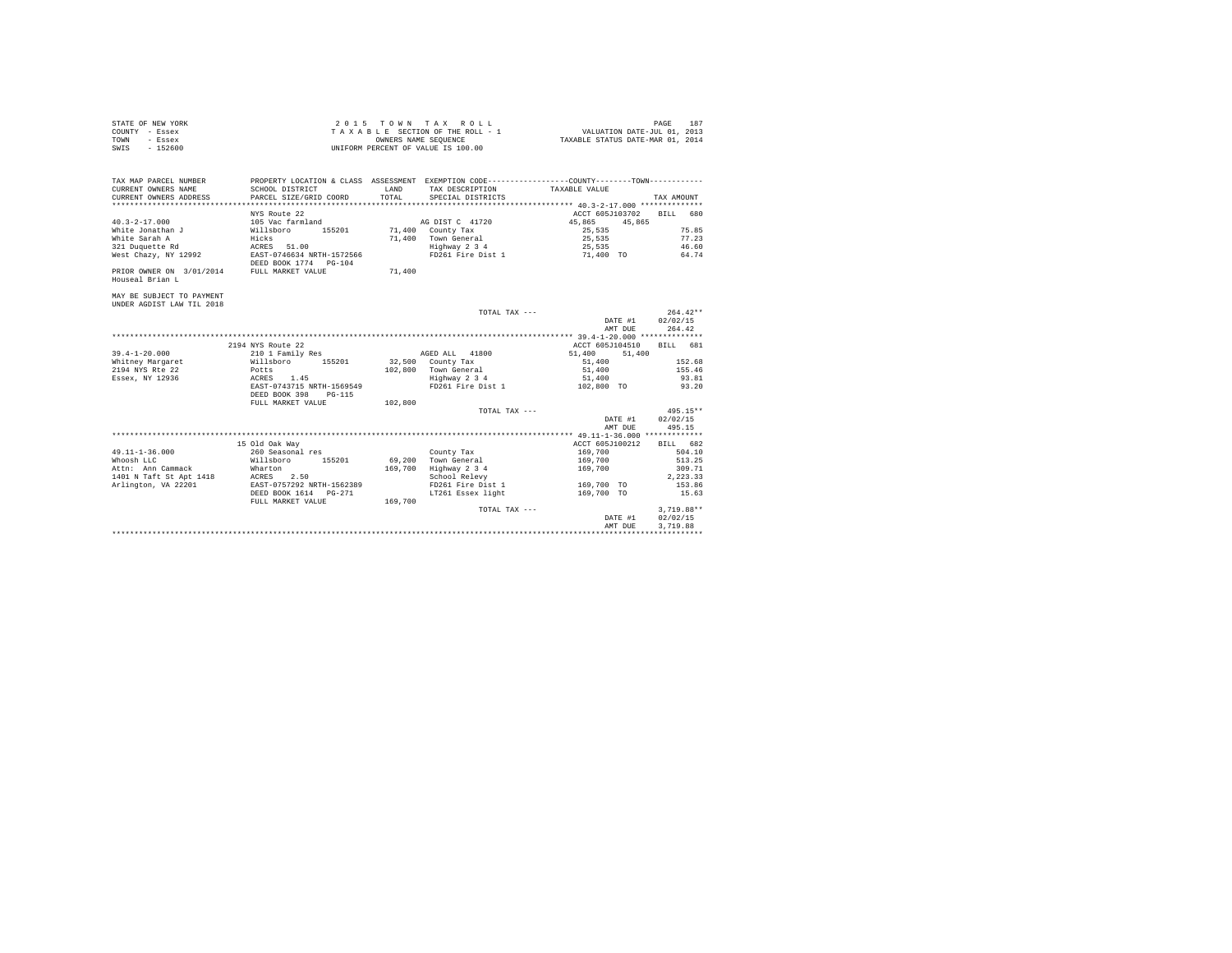| STATE OF NEW YORK | 2015 TOWN TAX ROLL                 | 187<br>PAGE                      |
|-------------------|------------------------------------|----------------------------------|
| COUNTY - Essex    | TAXABLE SECTION OF THE ROLL - 1    | VALUATION DATE-JUL 01, 2013      |
| TOWN<br>- Essex   | OWNERS NAME SEOUENCE               | TAXABLE STATUS DATE-MAR 01, 2014 |
| $-152600$<br>SWIS | UNIFORM PERCENT OF VALUE IS 100.00 |                                  |

| TAX MAP PARCEL NUMBER<br>CURRENT OWNERS NAME<br>CURRENT OWNERS ADDRESS | SCHOOL DISTRICT<br>PARCEL SIZE/GRID COORD                                           | LAND<br>TOTAL | SPECIAL DISTRICTS                    | PROPERTY LOCATION & CLASS ASSESSMENT EXEMPTION CODE---------------COUNTY-------TOWN----------<br>TAX DESCRIPTION TAXABLE VALUE | TAX AMOUNT       |
|------------------------------------------------------------------------|-------------------------------------------------------------------------------------|---------------|--------------------------------------|--------------------------------------------------------------------------------------------------------------------------------|------------------|
|                                                                        | NYS Route 22                                                                        |               |                                      | ACCT 605J103702 BILL 680                                                                                                       |                  |
| $40.3 - 2 - 17.000$                                                    | 105 Vac farmland                                                                    |               | AG DIST C 41720                      | 45,865<br>45,865                                                                                                               |                  |
| White Jonathan J Willsboro                                             |                                                                                     |               | 155201 71,400 County Tax             | 25,535                                                                                                                         | 75.85            |
| White Sarah A                                                          | Hicks                                                                               |               |                                      | 25,535                                                                                                                         | 77.23            |
| 321 Duquette Rd                                                        | ACRES 51.00                                                                         |               | 71,400 Town General<br>Highway 2 3 4 | 25,535                                                                                                                         | 46.60            |
|                                                                        | West Chazy, NY 12992 EAST-0746634 NRTH-1572566                                      |               |                                      | FD261 Fire Dist 1 71.400 TO 64.74                                                                                              |                  |
|                                                                        | DEED BOOK 1774 PG-104                                                               |               |                                      |                                                                                                                                |                  |
| PRIOR OWNER ON 3/01/2014 FULL MARKET VALUE                             |                                                                                     | 71,400        |                                      |                                                                                                                                |                  |
| Houseal Brian L                                                        |                                                                                     |               |                                      |                                                                                                                                |                  |
| MAY BE SUBJECT TO PAYMENT                                              |                                                                                     |               |                                      |                                                                                                                                |                  |
| UNDER AGDIST LAW TIL 2018                                              |                                                                                     |               |                                      |                                                                                                                                |                  |
|                                                                        |                                                                                     |               | TOTAL TAX ---                        |                                                                                                                                | $264.42**$       |
|                                                                        |                                                                                     |               |                                      |                                                                                                                                | DATE #1 02/02/15 |
|                                                                        |                                                                                     |               |                                      | AMT DUE                                                                                                                        | 264.42           |
|                                                                        |                                                                                     |               |                                      |                                                                                                                                |                  |
|                                                                        | 2194 NYS Route 22                                                                   |               |                                      | ACCT 605J104510                                                                                                                | BILL 681         |
| $39.4 - 1 - 20.000$                                                    | 210 1 Family Res                                                                    |               | AGED ALL 41800                       | 51,400<br>51,400                                                                                                               |                  |
|                                                                        | Whitney Margaret 6 Millsboro 155201 32,500 County Tax                               |               |                                      | 51,400                                                                                                                         | 152.68           |
| 2194 NYS Rte 22                                                        | Potts<br>ACRES 1.45                                                                 |               | 102,800 Town General                 | 51,400                                                                                                                         | 155.46           |
| Essex, NY 12936                                                        |                                                                                     |               | Highway 2 3 4                        | 51,400                                                                                                                         | 93.81            |
|                                                                        | EAST-0743715 NRTH-1569549                                                           |               |                                      | FD261 Fire Dist 1 02.800 TO 93.20                                                                                              |                  |
|                                                                        | DEED BOOK 398<br>PG-115                                                             |               |                                      |                                                                                                                                |                  |
|                                                                        | FULL MARKET VALUE 102,800                                                           |               |                                      |                                                                                                                                |                  |
|                                                                        |                                                                                     |               | TOTAL TAX ---                        |                                                                                                                                | $495.15**$       |
|                                                                        |                                                                                     |               |                                      | DATE #1                                                                                                                        | 02/02/15         |
|                                                                        |                                                                                     |               |                                      | AMT DUE                                                                                                                        | 495.15           |
|                                                                        |                                                                                     |               |                                      |                                                                                                                                |                  |
|                                                                        | 15 Old Oak Way                                                                      |               |                                      | ACCT 605J100212                                                                                                                | BILL 682         |
| $49.11 - 1 - 36.000$                                                   | 260 Seasonal res                                                                    |               | County Tax                           | 169,700                                                                                                                        | 504.10           |
| Whoosh LLC                                                             |                                                                                     | 69,200        | Town General                         | 169,700                                                                                                                        | 513.25           |
| Attn: Ann Cammack                                                      | Wharton                                                                             | 169,700       | Highway 2 3 4                        | 169,700                                                                                                                        | 309.71           |
|                                                                        | 1401 N Taft St Apt 1418 ACRES 2.50<br>Arlington, VA 22201 EAST-0757292 NRTH-1562389 |               | School Relevy                        |                                                                                                                                | 2.223.33         |
|                                                                        |                                                                                     |               | FD261 Fire Dist 1                    | 169,700 TO                                                                                                                     | 153.86           |
|                                                                        |                                                                                     |               | LT261 Essex light                    | 169,700 TO                                                                                                                     | 15.63            |
|                                                                        | FULL MARKET VALUE                                                                   | 169,700       |                                      |                                                                                                                                |                  |
|                                                                        |                                                                                     |               | TOTAL TAX ---                        |                                                                                                                                | $3.719.88**$     |
|                                                                        |                                                                                     |               |                                      | DATE #1                                                                                                                        | 02/02/15         |
|                                                                        |                                                                                     |               |                                      | AMT DUE                                                                                                                        | 3,719.88         |
|                                                                        |                                                                                     |               |                                      |                                                                                                                                |                  |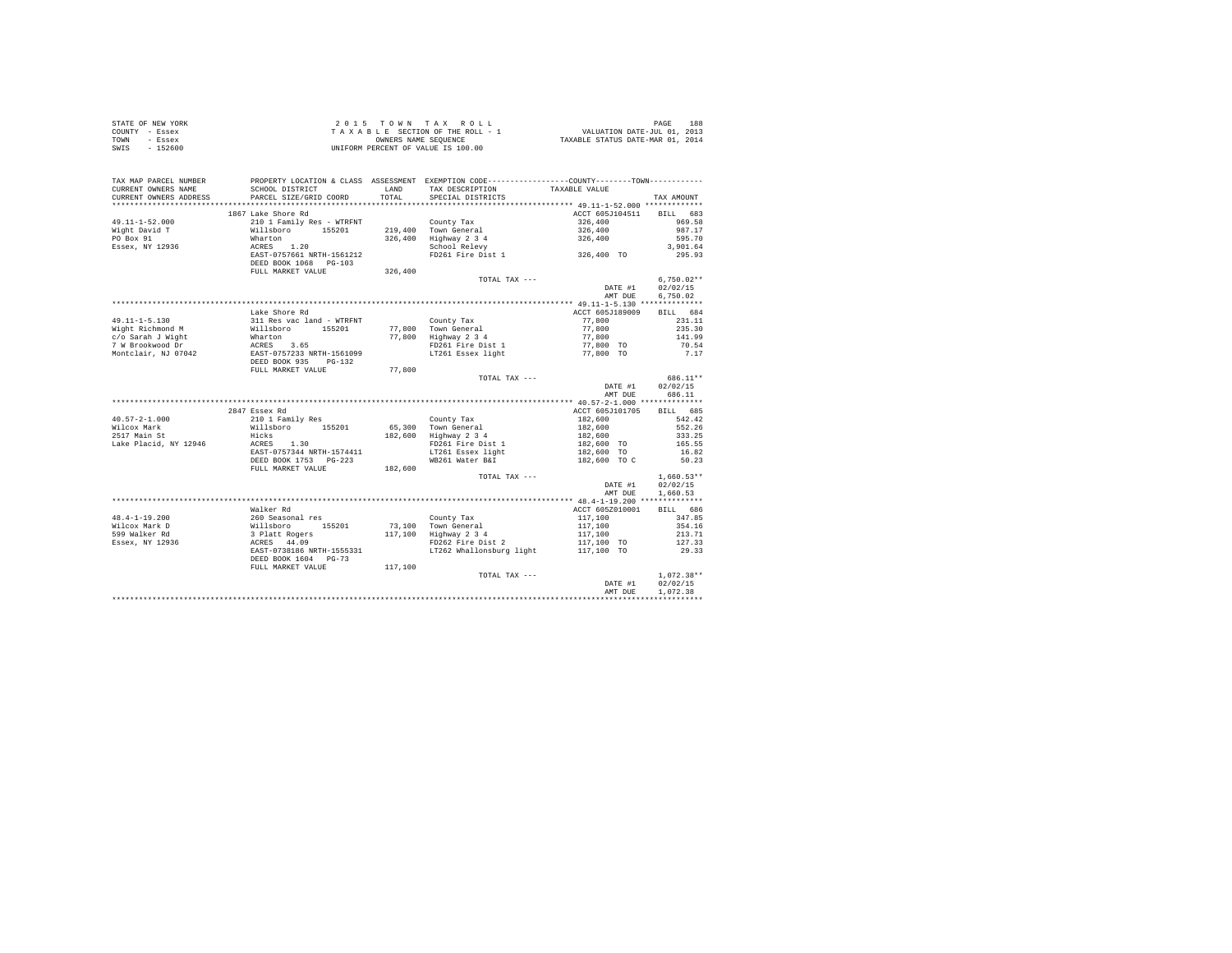| STATE OF NEW YORK | 2015 TOWN TAX ROLL                 | 188<br>PAGE                      |
|-------------------|------------------------------------|----------------------------------|
| COUNTY - Essex    | TAXABLE SECTION OF THE ROLL - 1    | VALUATION DATE-JUL 01, 2013      |
| TOWN<br>- Essex   | OWNERS NAME SEOUENCE               | TAXABLE STATUS DATE-MAR 01, 2014 |
| $-152600$<br>SWIS | UNIFORM PERCENT OF VALUE IS 100.00 |                                  |

| TAX MAP PARCEL NUMBER<br>CURRENT OWNERS NAME<br>CURRENT OWNERS ADDRESS | PROPERTY LOCATION & CLASS ASSESSMENT EXEMPTION CODE----------------COUNTY--------TOWN----------<br>SCHOOL DISTRICT<br>PARCEL SIZE/GRID COORD | LAND<br>TOTAL. | TAX DESCRIPTION<br>SPECIAL DISTRICTS         | TAXABLE VALUE            | TAX AMOUNT   |
|------------------------------------------------------------------------|----------------------------------------------------------------------------------------------------------------------------------------------|----------------|----------------------------------------------|--------------------------|--------------|
| *************************                                              |                                                                                                                                              |                |                                              |                          |              |
|                                                                        | 1867 Lake Shore Rd                                                                                                                           |                |                                              | ACCT 605J104511 BILL 683 |              |
| 49.11-1-52.000                                                         | 210 1 Family Res - WTRFNT                                                                                                                    |                | County Tax                                   | 326,400                  | 969.58       |
| Wight David T                                                          | Willsboro 155201                                                                                                                             |                | 219,400 Town General                         | 326,400                  | 987.17       |
| PO Box 91                                                              | Wharton                                                                                                                                      |                |                                              | 326,400                  | 595.70       |
| Essex, NY 12936                                                        | ACRES 1.20                                                                                                                                   |                | 326,400 Highway 2 3 4<br>School Relevy       |                          | 3,901.64     |
|                                                                        | EAST-0757661 NRTH-1561212                                                                                                                    |                | FD261 Fire Dist 1 and 326,400 TO             |                          | 295.93       |
|                                                                        | DEED BOOK 1068 PG-103                                                                                                                        |                |                                              |                          |              |
|                                                                        | FULL MARKET VALUE                                                                                                                            | 326,400        |                                              |                          |              |
|                                                                        |                                                                                                                                              |                | TOTAL TAX ---                                |                          | $6,750.02**$ |
|                                                                        |                                                                                                                                              |                |                                              | DATE #1                  | 02/02/15     |
|                                                                        |                                                                                                                                              |                |                                              | AMT DUE                  | 6.750.02     |
|                                                                        |                                                                                                                                              |                |                                              |                          |              |
|                                                                        | Lake Shore Rd                                                                                                                                |                |                                              | ACCT 605J189009          | BILL 684     |
| $49.11 - 1 - 5.130$                                                    | 311 Res vac land - WTRFNT                                                                                                                    |                | County Tax                                   | 77,800                   | 231.11       |
| Wight Richmond M                                                       | Willsboro 155201                                                                                                                             |                | 77,800 Town General                          | 77,800                   | 235.30       |
| c/o Sarah J Wight                                                      |                                                                                                                                              |                | 77,800 Highway 2 3 4                         | 77,800                   | 141.99       |
| 7 W Brookwood Dr                                                       |                                                                                                                                              |                | FD261 Fire Dist 1                            | 77,800 TO                | 70.54        |
| Montclair, NJ 07042                                                    |                                                                                                                                              |                | LT261 Essex light                            | 77,800 TO                | 7.17         |
|                                                                        | minimuori<br>Mharton<br>ACRES 3.65<br>EAST-0757233 NRTH-1561099<br>DEED BOOK 935<br>minimuorinen<br>minimuorinen<br>minimuorinen             |                |                                              |                          |              |
|                                                                        | FULL MARKET VALUE                                                                                                                            | 77,800         |                                              |                          |              |
|                                                                        |                                                                                                                                              |                | TOTAL TAX ---                                |                          | 686.11**     |
|                                                                        |                                                                                                                                              |                |                                              | DATE #1                  | 02/02/15     |
|                                                                        |                                                                                                                                              |                |                                              | AMT DUE                  | 686.11       |
|                                                                        |                                                                                                                                              |                |                                              |                          |              |
|                                                                        | 2847 Essex Rd                                                                                                                                |                |                                              | ACCT 605J101705          | BILL 685     |
| $40.57 - 2 - 1.000$                                                    | 210 1 Family Res                                                                                                                             |                | County Tax                                   | 182,600                  | 542.42       |
| Wilcox Mark                                                            | Willsboro 155201                                                                                                                             |                |                                              |                          | 552.26       |
| 2517 Main St                                                           | Hicks                                                                                                                                        |                | 65,300 Town General<br>182,600 Highway 2 3 4 | 182,600<br>182,600       | 333.25       |
| Lake Placid, NY 12946                                                  | ACRES 1.30                                                                                                                                   |                | FD261 Fire Dist 1                            | 182,600 TO               | 165.55       |
|                                                                        | EAST-0757344 NRTH-1574411                                                                                                                    |                | LT261 Essex light                            | $182,600$ TO             | 16.82        |
|                                                                        | DEED BOOK 1753 PG-223                                                                                                                        |                | WB261 Water B&I                              | 182,600 TO C             | 50.23        |
|                                                                        | FULL MARKET VALUE                                                                                                                            | 182,600        |                                              |                          |              |
|                                                                        |                                                                                                                                              |                | TOTAL TAX ---                                |                          | $1,660.53**$ |
|                                                                        |                                                                                                                                              |                |                                              | DATE #1                  | 02/02/15     |
|                                                                        |                                                                                                                                              |                |                                              | AMT DUE                  | 1,660.53     |
|                                                                        |                                                                                                                                              |                |                                              |                          |              |
|                                                                        | Walker Rd                                                                                                                                    |                |                                              | ACCT 605Z010001          | BILL 686     |
| $48.4 - 1 - 19.200$                                                    | 260 Seasonal res                                                                                                                             |                | County Tax                                   | 117,100                  | 347.85       |
| Wilcox Mark D                                                          |                                                                                                                                              |                | 73,100 Town General                          | 117,100                  | 354.16       |
| 599 Walker Rd                                                          | xv Sudden<br>Willsboro 155201<br>3 Platt Rogers<br>ACRES 44.09                                                                               |                | 117.100 Highway 2 3 4                        | 117,100                  | 213.71       |
|                                                                        |                                                                                                                                              |                |                                              |                          |              |
| Essex, NY 12936                                                        |                                                                                                                                              |                | FD262 Fire Dist 2                            | 117,100 TO               | 127.33       |
|                                                                        | EAST-0738186 NRTH-1555331<br>DEED BOOK 1604 PG-73                                                                                            |                | LT262 Whallonsburg light                     | 117,100 TO               | 29.33        |
|                                                                        |                                                                                                                                              |                |                                              |                          |              |
|                                                                        | FULL MARKET VALUE                                                                                                                            | 117,100        |                                              |                          |              |
|                                                                        |                                                                                                                                              |                | TOTAL TAX ---                                |                          | $1,072.38**$ |
|                                                                        |                                                                                                                                              |                |                                              | DATE #1                  | 02/02/15     |
|                                                                        |                                                                                                                                              |                |                                              | AMT DUE                  | 1,072.38     |
|                                                                        |                                                                                                                                              |                |                                              |                          |              |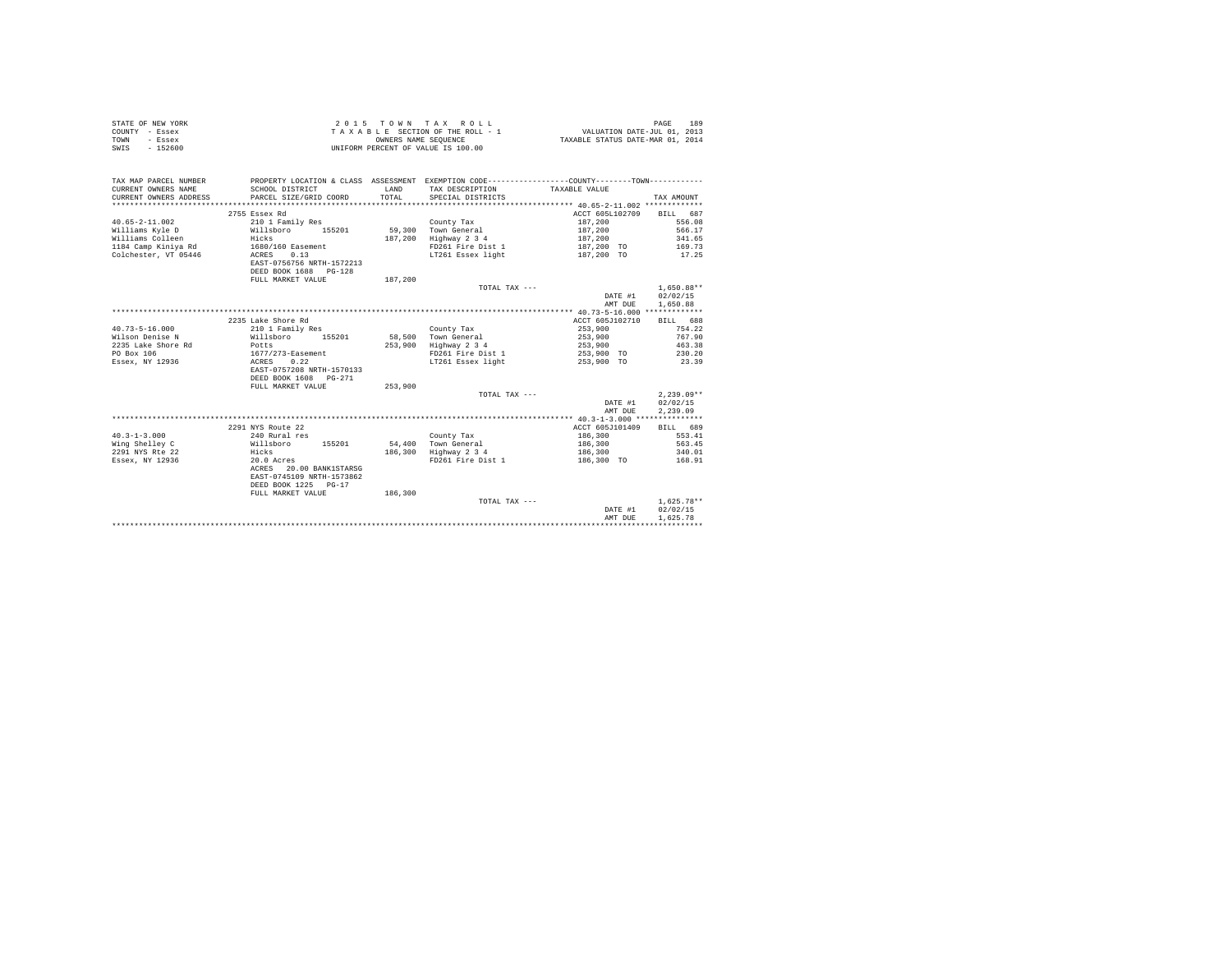|                | STATE OF NEW YORK |  |  |  | $2.0.15$ TOWN TAX ROLL             |  |  |  |  | 189<br>PAGE                      |
|----------------|-------------------|--|--|--|------------------------------------|--|--|--|--|----------------------------------|
| COUNTY - Essex |                   |  |  |  | TAXABLE SECTION OF THE ROLL - 1    |  |  |  |  | VALUATION DATE-JUL 01, 2013      |
| TOWN           | - Essex           |  |  |  | OWNERS NAME SEOUENCE               |  |  |  |  | TAXABLE STATUS DATE-MAR 01, 2014 |
| SWIS           | $-152600$         |  |  |  | UNIFORM PERCENT OF VALUE IS 100.00 |  |  |  |  |                                  |

| PROPERTY LOCATION & CLASS ASSESSMENT EXEMPTION CODE----------------COUNTY-------TOWN----------<br>TAX MAP PARCEL NUMBER<br>CURRENT OWNERS NAME<br>SCHOOL DISTRICT<br>LAND<br>TAXABLE VALUE<br>TAX DESCRIPTION<br>PARCEL SIZE/GRID COORD<br>TOTAL.<br>CURRENT OWNERS ADDRESS<br>SPECIAL DISTRICTS | TAX AMOUNT   |
|--------------------------------------------------------------------------------------------------------------------------------------------------------------------------------------------------------------------------------------------------------------------------------------------------|--------------|
| ACCT 605L102709<br>2755 Essex Rd                                                                                                                                                                                                                                                                 | BILL 687     |
| $40.65 - 2 - 11.002$<br>210 1 Family Res<br>County Tax<br>187,200                                                                                                                                                                                                                                | 556.08       |
| Williams Kyle D<br>Willsboro<br>155201<br>59.300 Town General<br>187,200                                                                                                                                                                                                                         | 566.17       |
| Williams Colleen<br>Hicks<br>187,200<br>Highway 2 3 4<br>187,200                                                                                                                                                                                                                                 | 341.65       |
| 1184 Camp Kiniva Rd<br>FD261 Fire Dist 1<br>1680/160 Easement<br>187,200 TO                                                                                                                                                                                                                      | 169.73       |
| Colchester, VT 05446<br>0.13<br>LT261 Essex light<br>ACRES<br>187,200 TO                                                                                                                                                                                                                         | 17.25        |
| EAST-0756756 NRTH-1572213                                                                                                                                                                                                                                                                        |              |
| DEED BOOK 1688 PG-128                                                                                                                                                                                                                                                                            |              |
| FULL MARKET VALUE<br>187,200                                                                                                                                                                                                                                                                     |              |
| TOTAL TAX ---                                                                                                                                                                                                                                                                                    | $1,650.88**$ |
| DATE #1                                                                                                                                                                                                                                                                                          | 02/02/15     |
| AMT DUE                                                                                                                                                                                                                                                                                          | 1,650.88     |
|                                                                                                                                                                                                                                                                                                  |              |
| 2235 Lake Shore Rd<br>ACCT 605J102710                                                                                                                                                                                                                                                            | BILL 688     |
| 253,900<br>$40.73 - 5 - 16.000$<br>210 1 Family Res<br>County Tax                                                                                                                                                                                                                                | 754.22       |
| Wilson Denise N<br>58,500<br>253,900<br>Willsboro<br>155201<br>Town General                                                                                                                                                                                                                      | 767.90       |
| 2235 Lake Shore Rd<br>253,900<br>Highway 2 3 4<br>253,900<br>Potts                                                                                                                                                                                                                               | 463.38       |
| PO Box 106<br>FD261 Fire Dist 1<br>253,900 TO<br>1677/273-Easement                                                                                                                                                                                                                               | 230.20       |
| Essex, NY 12936<br>0.22<br>LT261 Essex light<br>253,900 TO<br>ACRES                                                                                                                                                                                                                              | 23.39        |
| EAST-0757208 NRTH-1570133                                                                                                                                                                                                                                                                        |              |
| DEED BOOK 1608<br>PG-271                                                                                                                                                                                                                                                                         |              |
| 253,900<br>FULL MARKET VALUE                                                                                                                                                                                                                                                                     |              |
| TOTAL TAX ---                                                                                                                                                                                                                                                                                    | $2,239.09**$ |
| DATE #1                                                                                                                                                                                                                                                                                          | 02/02/15     |
| AMT DUE                                                                                                                                                                                                                                                                                          | 2.239.09     |
|                                                                                                                                                                                                                                                                                                  |              |
| 2291 NYS Route 22<br>ACCT 605J101409                                                                                                                                                                                                                                                             | BTT.T. 689   |
| $40.3 - 1 - 3.000$<br>240 Rural res<br>186,300<br>County Tax                                                                                                                                                                                                                                     | 553.41       |
| Wing Shelley C<br>Willsboro<br>54,400<br>Town General<br>186,300<br>155201                                                                                                                                                                                                                       | 563.45       |
| 2291 NYS Rte 22<br>Highway 2 3 4<br>186,300<br>Hicks<br>186,300                                                                                                                                                                                                                                  | 340.01       |
| Essex, NY 12936<br>20.0 Acres<br>FD261 Fire Dist 1<br>186,300 TO                                                                                                                                                                                                                                 | 168.91       |
| 20.00 BANK1STARSG<br>ACRES                                                                                                                                                                                                                                                                       |              |
| EAST-0745109 NRTH-1573862                                                                                                                                                                                                                                                                        |              |
| DEED BOOK 1225<br>$PG-17$                                                                                                                                                                                                                                                                        |              |
| FULL MARKET VALUE<br>186,300                                                                                                                                                                                                                                                                     |              |
| TOTAL TAX ---                                                                                                                                                                                                                                                                                    | $1.625.78**$ |
| DATE #1                                                                                                                                                                                                                                                                                          | 02/02/15     |
| AMT DUE                                                                                                                                                                                                                                                                                          | 1.625.78     |
|                                                                                                                                                                                                                                                                                                  |              |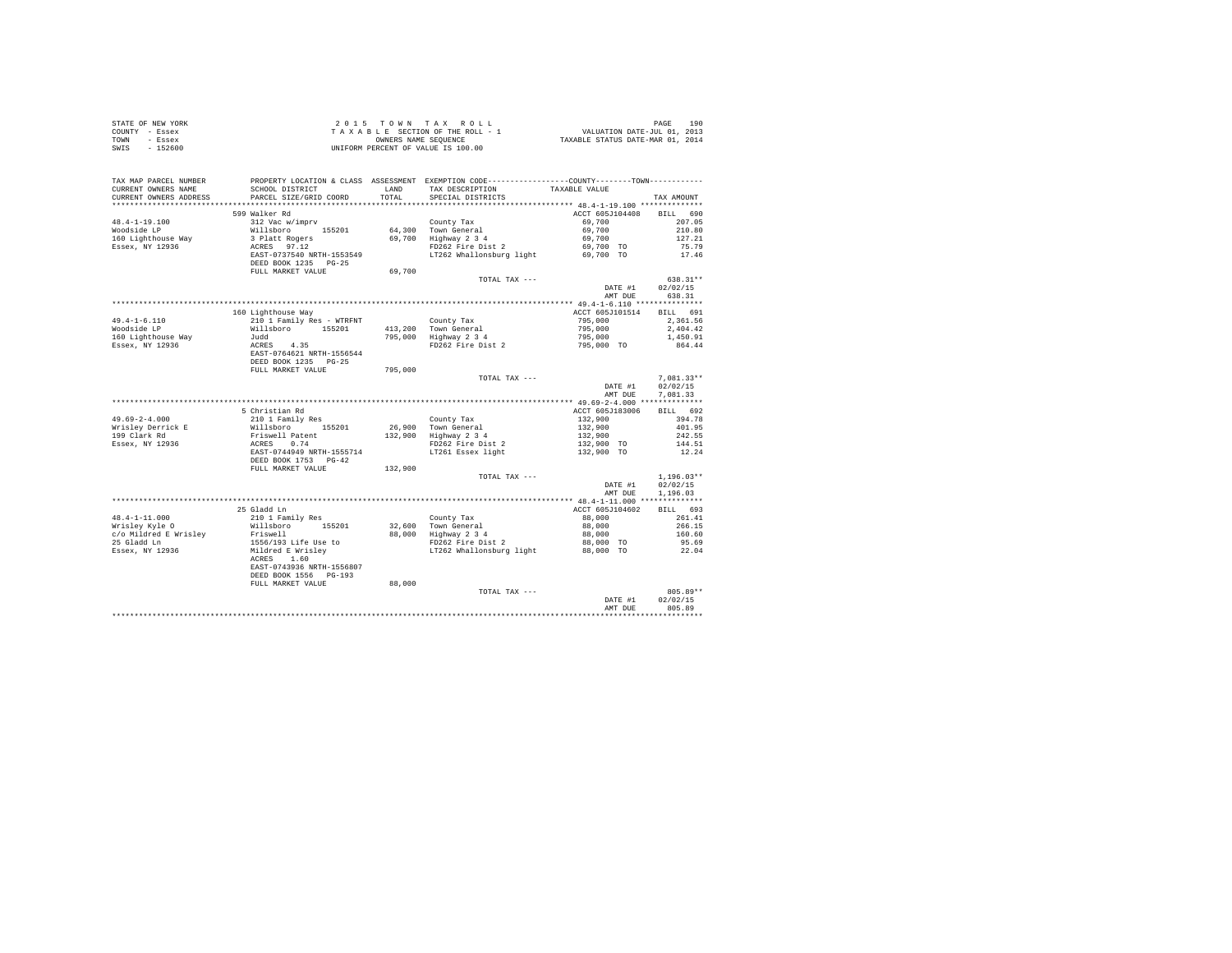| COUNTY - Essex<br>TOWN - Essex        | T A X A B L E SECTION OF THE ROLL - 1<br>OWNERS NAMES NAME SEQUENCE<br>UNIFORM PERCENT OF VALUE IS 100.00                                           |         |                                                                                                                                                                                                                 | T A X A B L E SECTION OF THE ROLL - 1 VALUATION DATE-JUL 01, 2013<br>CONNESS NAME SCRIPER CONSTRUCT TAXABLE STATUS DATE-MAR 01, 2014 |              |  |
|---------------------------------------|-----------------------------------------------------------------------------------------------------------------------------------------------------|---------|-----------------------------------------------------------------------------------------------------------------------------------------------------------------------------------------------------------------|--------------------------------------------------------------------------------------------------------------------------------------|--------------|--|
| SWIS - 152600                         |                                                                                                                                                     |         |                                                                                                                                                                                                                 |                                                                                                                                      |              |  |
|                                       |                                                                                                                                                     |         |                                                                                                                                                                                                                 |                                                                                                                                      |              |  |
| TAX MAP PARCEL NUMBER                 |                                                                                                                                                     |         | PROPERTY LOCATION & CLASS ASSESSMENT EXEMPTION CODE----------------COUNTY-------TOWN----------                                                                                                                  |                                                                                                                                      |              |  |
| CURRENT OWNERS NAME                   |                                                                                                                                                     |         | ${\tt SCHOOL\ DISTRICT}\hspace{1cm} {\tt LAND}\hspace{1cm} {\tt TAX\ DESCRIFTION}\hspace{1cm} {\tt TAXABLE\ VALUE}\ {\tt PARCEL\ SIZE/GRID\ CORD}\hspace{1cm} {\tt TOTAL}\hspace{1cm} {\tt SPECRIL\ DISTRICTS}$ |                                                                                                                                      |              |  |
| CURRENT OWNERS ADDRESS                | PARCEL SIZE/GRID COORD                                                                                                                              |         |                                                                                                                                                                                                                 |                                                                                                                                      | TAX AMOUNT   |  |
|                                       |                                                                                                                                                     |         |                                                                                                                                                                                                                 |                                                                                                                                      |              |  |
|                                       | 599 Walker Rd                                                                                                                                       |         |                                                                                                                                                                                                                 | ACCT 605J104408 BILL 690                                                                                                             |              |  |
| $48.4 - 1 - 19.100$                   |                                                                                                                                                     |         |                                                                                                                                                                                                                 |                                                                                                                                      |              |  |
| Woodside LP                           |                                                                                                                                                     |         |                                                                                                                                                                                                                 |                                                                                                                                      |              |  |
| 160 Lighthouse Way<br>Essex, NY 12936 |                                                                                                                                                     |         |                                                                                                                                                                                                                 |                                                                                                                                      |              |  |
|                                       |                                                                                                                                                     |         |                                                                                                                                                                                                                 |                                                                                                                                      |              |  |
|                                       |                                                                                                                                                     |         |                                                                                                                                                                                                                 |                                                                                                                                      |              |  |
|                                       | FULL MARKET VALUE                                                                                                                                   | 69,700  |                                                                                                                                                                                                                 |                                                                                                                                      |              |  |
|                                       |                                                                                                                                                     |         | TOTAL TAX ---                                                                                                                                                                                                   |                                                                                                                                      | 638.31**     |  |
|                                       |                                                                                                                                                     |         |                                                                                                                                                                                                                 | DATE #1                                                                                                                              | 02/02/15     |  |
|                                       |                                                                                                                                                     |         |                                                                                                                                                                                                                 | AMT DUE                                                                                                                              | 638.31       |  |
|                                       |                                                                                                                                                     |         |                                                                                                                                                                                                                 |                                                                                                                                      |              |  |
|                                       | 160 Lighthouse Way                                                                                                                                  |         |                                                                                                                                                                                                                 | ACCT 605J101514 BILL 691                                                                                                             |              |  |
| $49.4 - 1 - 6.110$                    | 210 1 Family Res - WTRFNT                                                                                                                           |         |                                                                                                                                                                                                                 |                                                                                                                                      | 2,361.56     |  |
| Woodside LP                           |                                                                                                                                                     |         |                                                                                                                                                                                                                 |                                                                                                                                      | 2,404.42     |  |
|                                       |                                                                                                                                                     |         |                                                                                                                                                                                                                 |                                                                                                                                      | 1,450.91     |  |
| 160 Lighthouse Way<br>Essex, NY 12936 |                                                                                                                                                     |         | County Tax<br>413,200 Town General (195,000<br>795,000 Highway 2 3 4<br>795,000 FD262 Fire Dist 2 (195,000 TO                                                                                                   |                                                                                                                                      | 864.44       |  |
|                                       |                                                                                                                                                     |         |                                                                                                                                                                                                                 |                                                                                                                                      |              |  |
|                                       |                                                                                                                                                     |         |                                                                                                                                                                                                                 |                                                                                                                                      |              |  |
|                                       | FULL MARKET VALUE                                                                                                                                   | 795,000 |                                                                                                                                                                                                                 |                                                                                                                                      |              |  |
|                                       |                                                                                                                                                     |         | TOTAL TAX ---                                                                                                                                                                                                   |                                                                                                                                      | $7.081.33**$ |  |
|                                       |                                                                                                                                                     |         |                                                                                                                                                                                                                 | DATE #1                                                                                                                              | 02/02/15     |  |
|                                       |                                                                                                                                                     |         |                                                                                                                                                                                                                 | AMT DUE                                                                                                                              | 7.081.33     |  |
|                                       |                                                                                                                                                     |         |                                                                                                                                                                                                                 | ACCT 605J183006 BILL 692                                                                                                             |              |  |
| $49.69 - 2 - 4.000$                   | 5 Christian Rd                                                                                                                                      |         |                                                                                                                                                                                                                 |                                                                                                                                      |              |  |
|                                       |                                                                                                                                                     |         |                                                                                                                                                                                                                 |                                                                                                                                      |              |  |
| Wrisley Derrick E                     |                                                                                                                                                     |         |                                                                                                                                                                                                                 |                                                                                                                                      |              |  |
| 199 Clark Rd<br>Essex, NY 12936       |                                                                                                                                                     |         |                                                                                                                                                                                                                 |                                                                                                                                      |              |  |
|                                       |                                                                                                                                                     |         | County Tax<br>26,900 Town General 132,900 101.95<br>26,900 Town General 132,900 401.95<br>132,900 401.95<br>132,900 242.55<br>PD262 Fire bist 2 132,900 TO 144.51<br>LT261 Essex light 132,900 TO 12.24         |                                                                                                                                      |              |  |
|                                       | % Curristian Rd<br>210 1 Family Res<br>Willshoro 155201<br>Friswell Patent<br>RERES 0.74<br>RERES 0.74<br>DEED BOOK 1753<br>DEED BOOK 1753<br>PG-42 |         |                                                                                                                                                                                                                 |                                                                                                                                      |              |  |
|                                       | FULL MARKET VALUE                                                                                                                                   | 132,900 |                                                                                                                                                                                                                 |                                                                                                                                      |              |  |
|                                       |                                                                                                                                                     |         | TOTAL TAX ---                                                                                                                                                                                                   |                                                                                                                                      | $1,196.03**$ |  |
|                                       |                                                                                                                                                     |         |                                                                                                                                                                                                                 | DATE #1                                                                                                                              | 02/02/15     |  |
|                                       |                                                                                                                                                     |         |                                                                                                                                                                                                                 | AMT DUE                                                                                                                              | 1,196.03     |  |
|                                       |                                                                                                                                                     |         |                                                                                                                                                                                                                 |                                                                                                                                      |              |  |
|                                       | 25 Gladd Ln                                                                                                                                         |         |                                                                                                                                                                                                                 | ACCT 605J104602 BILL 693                                                                                                             |              |  |
|                                       |                                                                                                                                                     |         |                                                                                                                                                                                                                 |                                                                                                                                      |              |  |
|                                       |                                                                                                                                                     |         |                                                                                                                                                                                                                 |                                                                                                                                      |              |  |
|                                       |                                                                                                                                                     |         |                                                                                                                                                                                                                 |                                                                                                                                      |              |  |
|                                       |                                                                                                                                                     |         |                                                                                                                                                                                                                 |                                                                                                                                      |              |  |
|                                       |                                                                                                                                                     |         |                                                                                                                                                                                                                 |                                                                                                                                      |              |  |
|                                       |                                                                                                                                                     |         |                                                                                                                                                                                                                 |                                                                                                                                      |              |  |
|                                       | EAST-0743936 NRTH-1556807                                                                                                                           |         |                                                                                                                                                                                                                 |                                                                                                                                      |              |  |
|                                       | DEED BOOK 1556 PG-193<br>FULL MARKET VALUE                                                                                                          | 88,000  |                                                                                                                                                                                                                 |                                                                                                                                      |              |  |
|                                       |                                                                                                                                                     |         | TOTAL TAX ---                                                                                                                                                                                                   |                                                                                                                                      | 805.89**     |  |
|                                       |                                                                                                                                                     |         |                                                                                                                                                                                                                 | DATE #1                                                                                                                              | 02/02/15     |  |
|                                       |                                                                                                                                                     |         |                                                                                                                                                                                                                 | AMT DUE                                                                                                                              | 805.89       |  |
|                                       |                                                                                                                                                     |         |                                                                                                                                                                                                                 |                                                                                                                                      |              |  |

STATE OF NEW YORK 2 0 1 5 T O W N T A X R O L L PAGE 190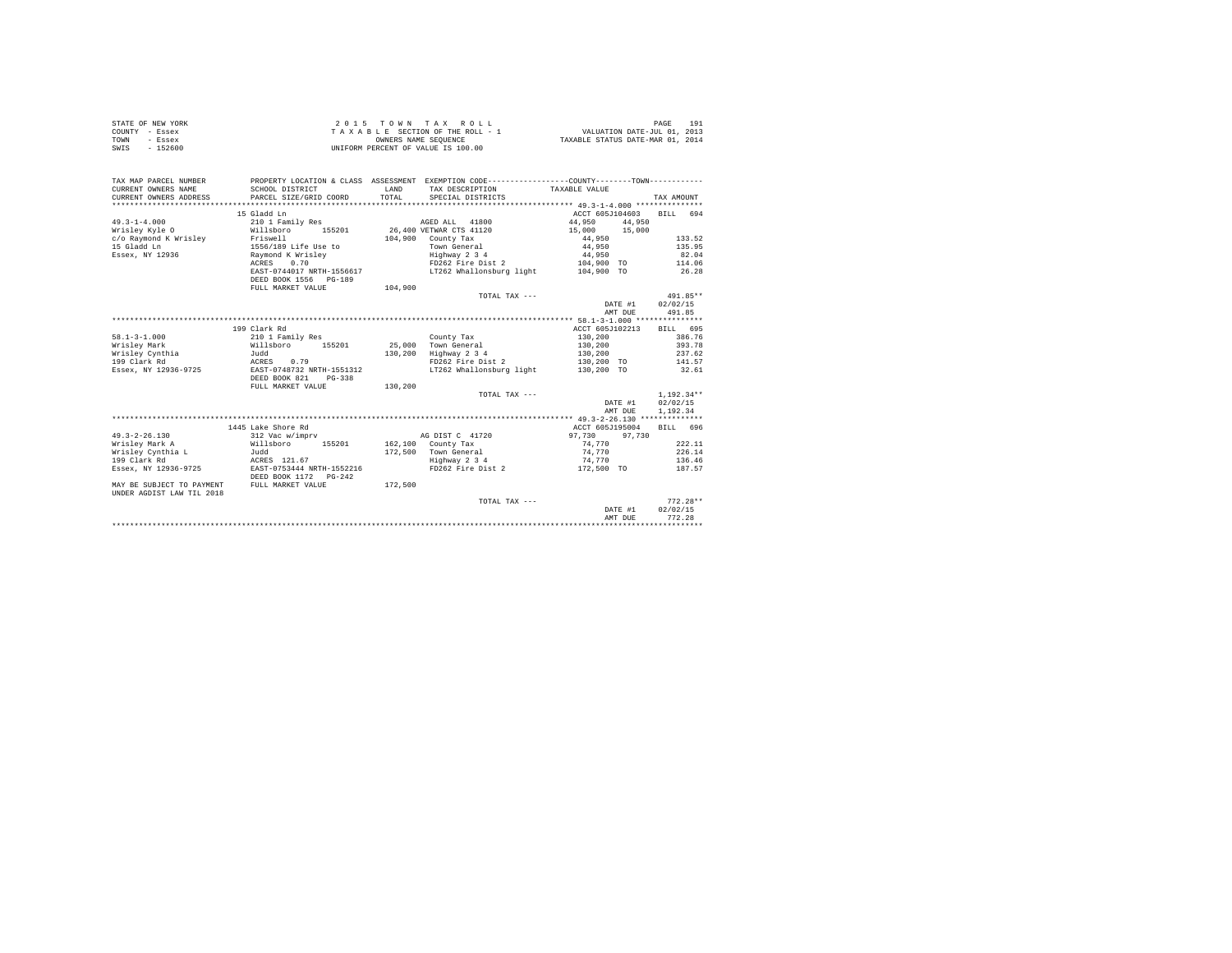| STATE OF NEW YORK | 2015 TOWN TAX ROLL                 | 191<br>PAGE                      |
|-------------------|------------------------------------|----------------------------------|
| COUNTY - Essex    | TAXABLE SECTION OF THE ROLL - 1    | VALUATION DATE-JUL 01, 2013      |
| TOWN<br>- Essex   | OWNERS NAME SEOUENCE               | TAXABLE STATUS DATE-MAR 01, 2014 |
| SWIS<br>$-152600$ | UNIFORM PERCENT OF VALUE IS 100.00 |                                  |

| TAX MAP PARCEL NUMBER             |                           |              | PROPERTY LOCATION & CLASS ASSESSMENT EXEMPTION CODE----------------COUNTY-------TOWN---------- |                 |                          |        |
|-----------------------------------|---------------------------|--------------|------------------------------------------------------------------------------------------------|-----------------|--------------------------|--------|
| CURRENT OWNERS NAME               | SCHOOL DISTRICT           | <b>T.AND</b> | TAX DESCRIPTION                                                                                | TAXABLE VALUE   |                          |        |
| CURRENT OWNERS ADDRESS            | PARCEL SIZE/GRID COORD    | TOTAL        | SPECIAL DISTRICTS                                                                              |                 | TAX AMOUNT               |        |
|                                   |                           |              |                                                                                                |                 |                          |        |
|                                   | 15 Gladd Ln               |              |                                                                                                |                 | ACCT 605J104603 BILL 694 |        |
| $49.3 - 1 - 4.000$                | 210 1 Family Res          |              | AGED ALL 41800                                                                                 | 44,950 44,950   |                          |        |
| Wrisley Kyle O                    | Willsboro 155201          |              | 26,400 VETWAR CTS 41120                                                                        | 15,000 15,000   |                          |        |
| c/o Raymond K Wrisley Friswell    |                           |              | $104.900$ County Tax                                                                           | 44,950          | 133.52                   |        |
| 15 Gladd Ln                       | 1556/189 Life Use to      |              | Town General                                                                                   | 44,950          |                          | 135.95 |
| Essex, NY 12936                   | Raymond K Wrisley         |              | Highway 2 3 4                                                                                  | 44,950          | 82.04                    |        |
|                                   | 0.70<br>ACRES             |              | FD262 Fire Dist 2                                                                              |                 | 104,900 TO 114.06        |        |
|                                   | EAST-0744017 NRTH-1556617 |              | LT262 Whallonsburg light 104,900 TO                                                            |                 | 26.28                    |        |
|                                   | DEED BOOK 1556 PG-189     |              |                                                                                                |                 |                          |        |
|                                   | FULL MARKET VALUE         | 104,900      |                                                                                                |                 |                          |        |
|                                   |                           |              | TOTAL TAX ---                                                                                  |                 | 491.85**                 |        |
|                                   |                           |              |                                                                                                |                 | 02/02/15<br>DATE #1      |        |
|                                   |                           |              |                                                                                                |                 | 491.85<br>AMT DUE        |        |
|                                   |                           |              |                                                                                                |                 |                          |        |
|                                   | 199 Clark Rd              |              |                                                                                                | ACCT 605J102213 | BILL 695                 |        |
| $58.1 - 3 - 1.000$                | 210 1 Family Res          |              | County Tax                                                                                     | 130,200         | 386.76                   |        |
| Wrisley Mark                      | Willsboro 155201          |              | 25,000 Town General                                                                            | 130,200         | 393.78                   |        |
| Wrisley Cynthia                   | Judd                      | 130,200      | Highway 2 3 4                                                                                  | 130,200         | 237.62                   |        |
| 199 Clark Rd                      | ACRES 0.79                |              | FD262 Fire Dist 2                                                                              |                 | 130,200 TO 141.57        |        |
| Essex, NY 12936-9725              | EAST-0748732 NRTH-1551312 |              | LT262 Whallonsburg light                                                                       | 130,200 TO      | 32.61                    |        |
|                                   | DEED BOOK 821<br>PG-338   |              |                                                                                                |                 |                          |        |
|                                   | FULL MARKET VALUE         | 130,200      |                                                                                                |                 |                          |        |
|                                   |                           |              | TOTAL TAX ---                                                                                  |                 | $1,192.34**$             |        |
|                                   |                           |              |                                                                                                |                 | DATE #1<br>02/02/15      |        |
|                                   |                           |              |                                                                                                |                 | 1,192,34<br>AMT DUE      |        |
|                                   |                           |              |                                                                                                |                 |                          |        |
|                                   | 1445 Lake Shore Rd        |              |                                                                                                | ACCT 605J195004 | BILL 696                 |        |
| $49.3 - 2 - 26.130$               | 312 Vac w/imprv           |              | AG DIST C 41720                                                                                | 97.730          | 97.730                   |        |
| Wrisley Mark A                    | Willsboro 155201          |              | $162,100$ County Tax                                                                           | 74.770          |                          | 222.11 |
|                                   |                           |              | 172.500 Town General                                                                           | 74.770          |                          | 226.14 |
| Wrisley Cynthia L<br>199 Clark Rd | Judd<br>ACRES 121.67      |              |                                                                                                |                 | 136.46                   |        |
|                                   |                           |              | Highway 2 3 4                                                                                  | 74,770          |                          |        |
| Essex, NY 12936-9725              | EAST-0753444 NRTH-1552216 |              | FD262 Fire Dist 2                                                                              | 172,500 TO      | 187.57                   |        |
|                                   | DEED BOOK 1172    PG-242  |              |                                                                                                |                 |                          |        |
| MAY BE SUBJECT TO PAYMENT         | FULL MARKET VALUE         | 172,500      |                                                                                                |                 |                          |        |
| UNDER AGDIST LAW TIL 2018         |                           |              |                                                                                                |                 |                          |        |
|                                   |                           |              | TOTAL TAX ---                                                                                  |                 | $772.28**$               |        |
|                                   |                           |              |                                                                                                |                 | 02/02/15<br>DATE #1      |        |
|                                   |                           |              |                                                                                                |                 | 772.28<br>AMT DUE        |        |
|                                   |                           |              |                                                                                                |                 |                          |        |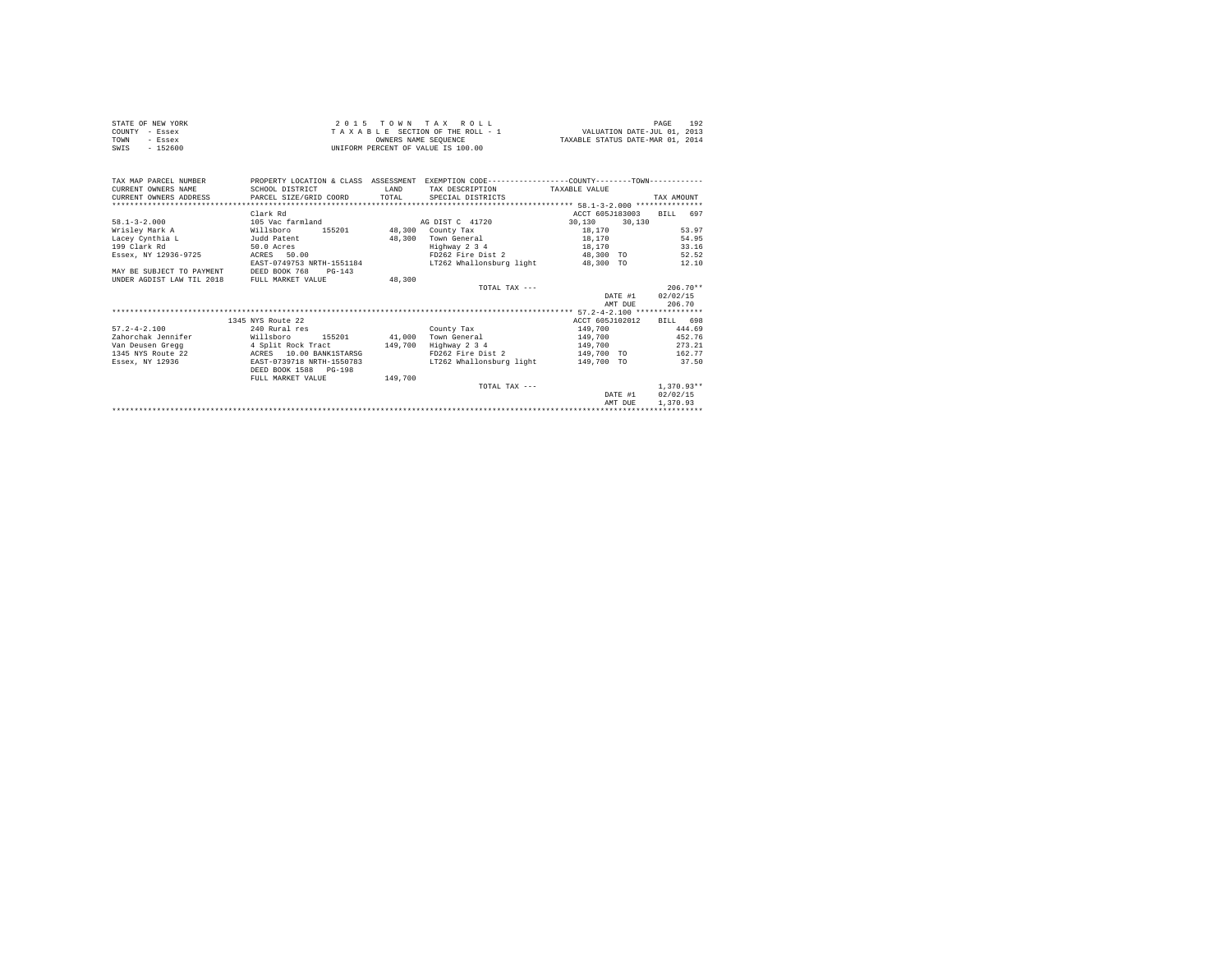| STATE OF NEW YORK | 2015 TOWN TAX ROLL                 | 192<br>PAGE                      |
|-------------------|------------------------------------|----------------------------------|
| COUNTY - Essex    | TAXABLE SECTION OF THE ROLL - 1    | VALUATION DATE-JUL 01, 2013      |
| TOWN<br>- Essex   | OWNERS NAME SEOUENCE               | TAXABLE STATUS DATE-MAR 01, 2014 |
| SWIS<br>- 152600  | UNIFORM PERCENT OF VALUE IS 100.00 |                                  |
|                   |                                    |                                  |

| TAX MAP PARCEL NUMBER     | PROPERTY LOCATION & CLASS ASSESSMENT |         |                               | EXEMPTION CODE-----------------COUNTY--------TOWN------------ |              |
|---------------------------|--------------------------------------|---------|-------------------------------|---------------------------------------------------------------|--------------|
| CURRENT OWNERS NAME       | SCHOOL DISTRICT                      | LAND    | TAX DESCRIPTION TAXABLE VALUE |                                                               |              |
| CURRENT OWNERS ADDRESS    | PARCEL SIZE/GRID COORD TOTAL         |         | SPECIAL DISTRICTS             |                                                               | TAX AMOUNT   |
|                           |                                      |         |                               |                                                               |              |
|                           | Clark Rd                             |         |                               | ACCT 605J183003                                               | BILL 697     |
| $58.1 - 3 - 2.000$        | 105 Vac farmland                     |         | AG DIST C 41720               | 30.130 30.130                                                 |              |
| Wrislev Mark A            | Willsboro                            |         | 155201 48,300 County Tax      | 18,170                                                        | 53.97        |
| Lacev Cynthia L           | Judd Patent                          | 48,300  | Town General                  | 18,170                                                        | 54.95        |
| 199 Clark Rd              | 50.0 Acres                           |         | Highway 2 3 4                 | 18,170                                                        | 33.16        |
| Essex, NY 12936-9725      | ACRES 50.00                          |         | FD262 Fire Dist 2             | 48,300 TO                                                     | 52.52        |
|                           | EAST-0749753 NRTH-1551184            |         | LT262 Whallonsburg light      | 48,300 TO                                                     | 12.10        |
| MAY BE SUBJECT TO PAYMENT | DEED BOOK 768<br>$PG-143$            |         |                               |                                                               |              |
| UNDER AGDIST LAW TIL 2018 | FULL MARKET VALUE                    | 48,300  |                               |                                                               |              |
|                           |                                      |         | TOTAL TAX $---$               |                                                               | $206.70**$   |
|                           |                                      |         |                               | DATE #1                                                       | 02/02/15     |
|                           |                                      |         |                               | AMT DUE                                                       | 206.70       |
|                           |                                      |         |                               |                                                               |              |
|                           | 1345 NYS Route 22                    |         |                               | ACCT 605J102012                                               | BILL 698     |
| $57.2 - 4 - 2.100$        | 240 Rural res                        |         | County Tax                    | 149,700                                                       | 444.69       |
| Zahorchak Jennifer        | Willsboro<br>155201 41,000           |         | Town General                  | 149,700                                                       | 452.76       |
| Van Deusen Gregg          | 4 Split Rock Tract 149,700           |         | Highway 2 3 4                 | 149,700                                                       | 273.21       |
| 1345 NYS Route 22         | ACRES 10.00 BANK1STARSG              |         | FD262 Fire Dist 2             | 149,700 TO                                                    | 162.77       |
| Essex, NY 12936           | EAST-0739718 NRTH-1550783            |         | LT262 Whallonsburg light      | 149,700 TO                                                    | 37.50        |
|                           | DEED BOOK 1588 PG-198                |         |                               |                                                               |              |
|                           | FULL MARKET VALUE                    | 149,700 |                               |                                                               |              |
|                           |                                      |         | TOTAL TAX ---                 |                                                               | $1,370.93**$ |
|                           |                                      |         |                               | DATE #1                                                       | 02/02/15     |
|                           |                                      |         |                               | AMT DUE                                                       | 1,370.93     |
|                           |                                      |         |                               |                                                               |              |
|                           |                                      |         |                               |                                                               |              |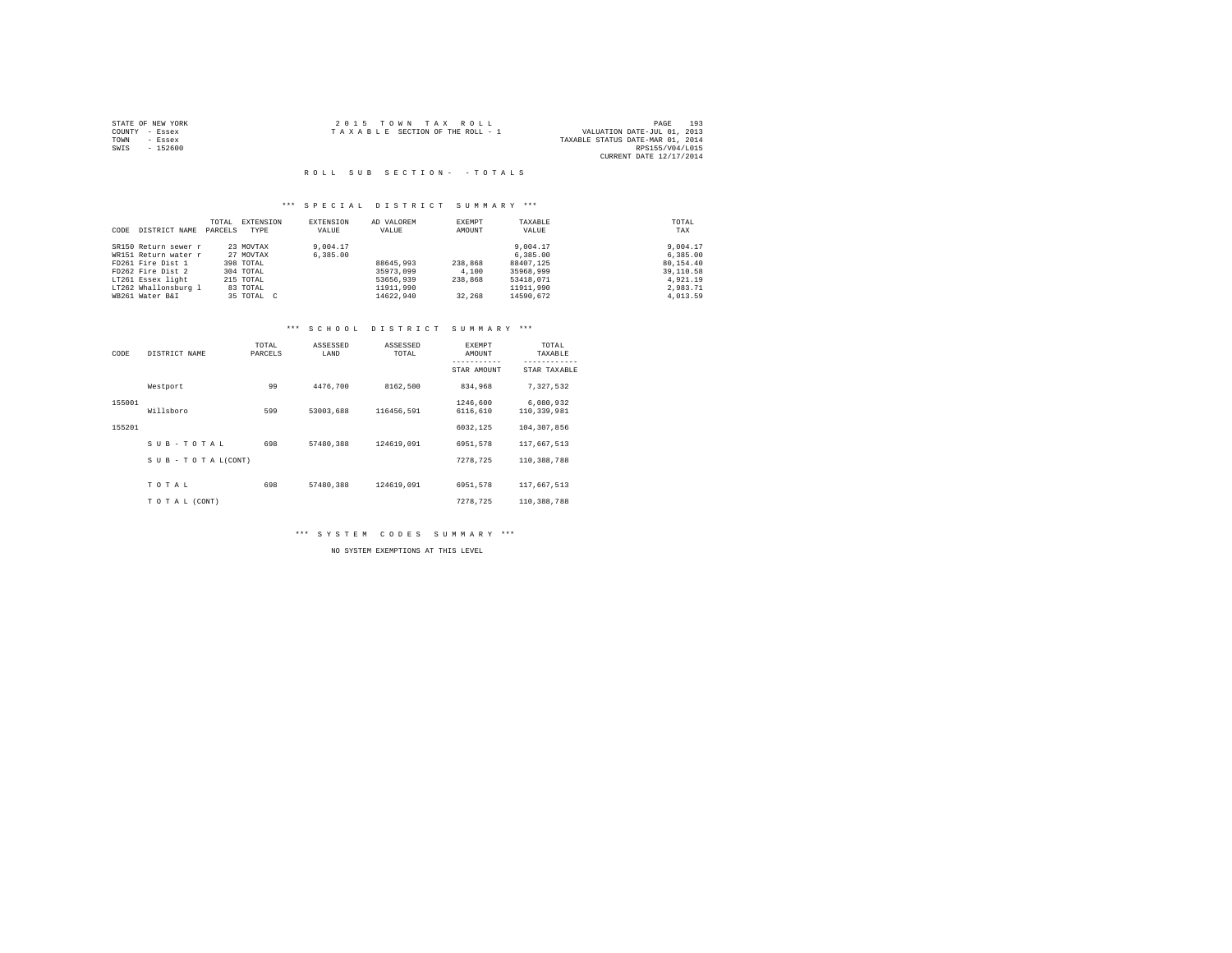|                | STATE OF NEW YORK | 2015 TOWN TAX ROLL              |  |                                  | PAGE                    | 193 |
|----------------|-------------------|---------------------------------|--|----------------------------------|-------------------------|-----|
| COUNTY - Essex |                   | TAXABLE SECTION OF THE ROLL - 1 |  | VALUATION DATE-JUL 01, 2013      |                         |     |
| TOWN           | - Essex           |                                 |  | TAXABLE STATUS DATE-MAR 01, 2014 |                         |     |
| SWIS           | - 152600          |                                 |  |                                  | RPS155/V04/L015         |     |
|                |                   |                                 |  |                                  | CURRENT DATE 12/17/2014 |     |

#### R O L L S U B S E C T I O N - - T O T A L S

## \*\*\* S P E C I A L D I S T R I C T S U M M A R Y \*\*\*

|      |                      | TOTAL   | EXTENSION  | EXTENSION | AD VALOREM | EXEMPT  | TAXABLE   | TOTAL     |
|------|----------------------|---------|------------|-----------|------------|---------|-----------|-----------|
| CODE | DISTRICT NAME        | PARCELS | TYPE       | VALUE     | VALUE      | AMOUNT  | VALUE     | TAX       |
|      | SR150 Return sewer r |         | 23 MOVTAX  | 9,004.17  |            |         | 9,004.17  | 9,004.17  |
|      | WR151 Return water r |         | 27 MOVTAX  | 6,385,00  |            |         | 6,385,00  | 6,385,00  |
|      | FD261 Fire Dist 1    |         | 398 TOTAL  |           | 88645,993  | 238,868 | 88407.125 | 80.154.40 |
|      | FD262 Fire Dist 2    |         | 304 TOTAL  |           | 35973.099  | 4,100   | 35968,999 | 39,110.58 |
|      | LT261 Essex light    |         | 215 TOTAL  |           | 53656.939  | 238,868 | 53418,071 | 4.921.19  |
|      | LT262 Whallonsburg 1 |         | 83 TOTAL   |           | 11911.990  |         | 11911,990 | 2.983.71  |
|      | WB261 Water B&I      |         | 35 TOTAL C |           | 14622.940  | 32,268  | 14590.672 | 4,013.59  |

## \*\*\* S C H O O L D I S T R I C T S U M M A R Y \*\*\*

| CODE   | DISTRICT NAME             | TOTAL<br>PARCELS | ASSESSED<br>LAND | ASSESSED<br>TOTAL | EXEMPT<br>AMOUNT     | TOTAL<br>TAXABLE<br>--------- |
|--------|---------------------------|------------------|------------------|-------------------|----------------------|-------------------------------|
|        |                           |                  |                  |                   | STAR AMOUNT          | STAR TAXABLE                  |
|        | Westport                  | 99               | 4476.700         | 8162,500          | 834,968              | 7.327.532                     |
| 155001 | Willsboro                 | 599              | 53003.688        | 116456.591        | 1246,600<br>6116,610 | 6,080,932<br>110,339,981      |
| 155201 |                           |                  |                  |                   | 6032.125             | 104, 307, 856                 |
|        | SUB-TOTAL                 | 698              | 57480.388        | 124619.091        | 6951.578             | 117,667,513                   |
|        | $S$ U B - T O T A L(CONT) |                  |                  |                   | 7278.725             | 110,388,788                   |
|        | TOTAL                     | 698              | 57480.388        | 124619.091        | 6951,578             | 117,667,513                   |
|        | TO TAL (CONT)             |                  |                  |                   | 7278.725             | 110,388,788                   |

\*\*\* S Y S T E M C O D E S S U M M A R Y \*\*\*

NO SYSTEM EXEMPTIONS AT THIS LEVEL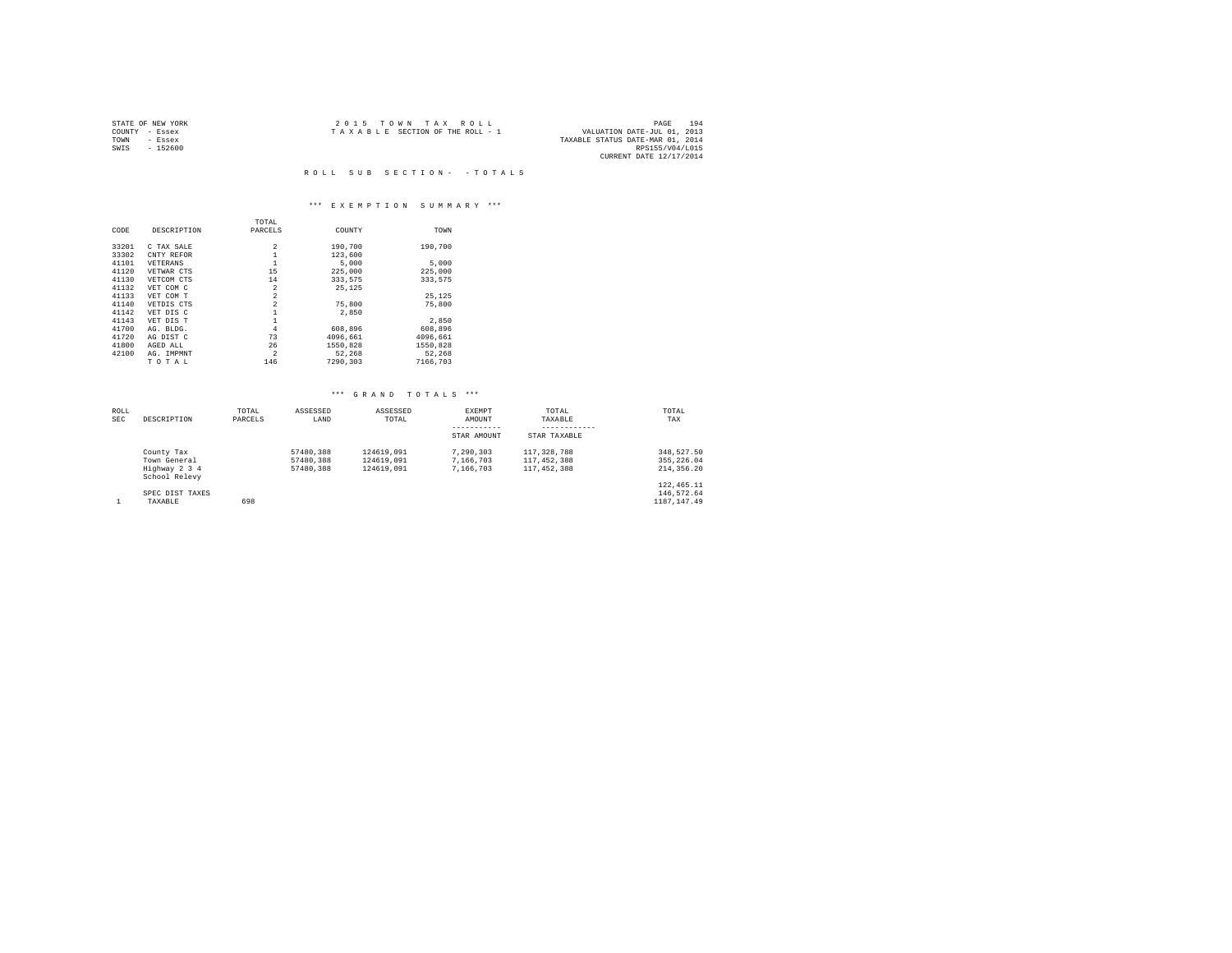|                | STATE OF NEW YORK | $2.0.15$ TOWN TAX ROLL                                         | PAGE            | 194 |
|----------------|-------------------|----------------------------------------------------------------|-----------------|-----|
| COUNTY - Essex |                   | VALUATION DATE-JUL 01, 2013<br>TAXABLE SECTION OF THE ROLL - 1 |                 |     |
| TOWN           | - Essex           | TAXABLE STATUS DATE-MAR 01, 2014                               |                 |     |
| SWTS           | - 152600          |                                                                | RPS155/V04/L015 |     |
|                |                   | CURRENT DATE 12/17/2014                                        |                 |     |

R O L L S U B S E C T I O N - - T O T A L S

## \*\*\* E X E M P T I O N S U M M A R Y \*\*\*

|       |             | TOTAL          |          |          |
|-------|-------------|----------------|----------|----------|
| CODE  | DESCRIPTION | PARCELS        | COUNTY   | TOWN     |
| 33201 | C TAX SALE  | $\overline{2}$ | 190,700  | 190,700  |
| 33302 | CNTY REFOR  | $\mathbf{1}$   | 123,600  |          |
| 41101 | VETERANS    | $\mathbf{1}$   | 5,000    | 5,000    |
| 41120 | VETWAR CTS  | 15             | 225,000  | 225,000  |
| 41130 | VETCOM CTS  | 14             | 333,575  | 333,575  |
| 41132 | VET COM C   | $\overline{2}$ | 25.125   |          |
| 41133 | VET COM T   | $\overline{2}$ |          | 25.125   |
| 41140 | VETDIS CTS  | $\overline{2}$ | 75,800   | 75,800   |
| 41142 | VET DIS C   | $\mathbf{1}$   | 2,850    |          |
| 41143 | VET DIS T   | 1              |          | 2.850    |
| 41700 | AG. BLDG.   | 4              | 608,896  | 608,896  |
| 41720 | AG DIST C   | 73             | 4096,661 | 4096.661 |
| 41800 | AGED ALL    | 26             | 1550.828 | 1550.828 |
| 42100 | AG. IMPMNT  | $\overline{2}$ | 52,268   | 52.268   |
|       | TOTAL       | 146            | 7290,303 | 7166.703 |

| <b>ROLL</b><br><b>SEC</b> | DESCRIPTION                                                  | TOTAL<br>PARCELS | ASSESSED<br>LAND                    | ASSESSED<br>TOTAL                      | EXEMPT<br>AMOUNT<br>STAR AMOUNT     | TOTAL<br>TAXABLE<br>STAR TAXABLE            | TOTAL<br>TAX                               |
|---------------------------|--------------------------------------------------------------|------------------|-------------------------------------|----------------------------------------|-------------------------------------|---------------------------------------------|--------------------------------------------|
|                           | County Tax<br>Town General<br>Highway 2 3 4<br>School Relevy |                  | 57480.388<br>57480.388<br>57480.388 | 124619,091<br>124619,091<br>124619.091 | 7.290.303<br>7.166.703<br>7.166.703 | 117, 328, 788<br>117,452,388<br>117,452,388 | 348.527.50<br>355, 226, 04<br>214, 356, 20 |
|                           | SPEC DIST TAXES<br>TAXABLE                                   | 698              |                                     |                                        |                                     |                                             | 122, 465.11<br>146.572.64<br>1187.147.49   |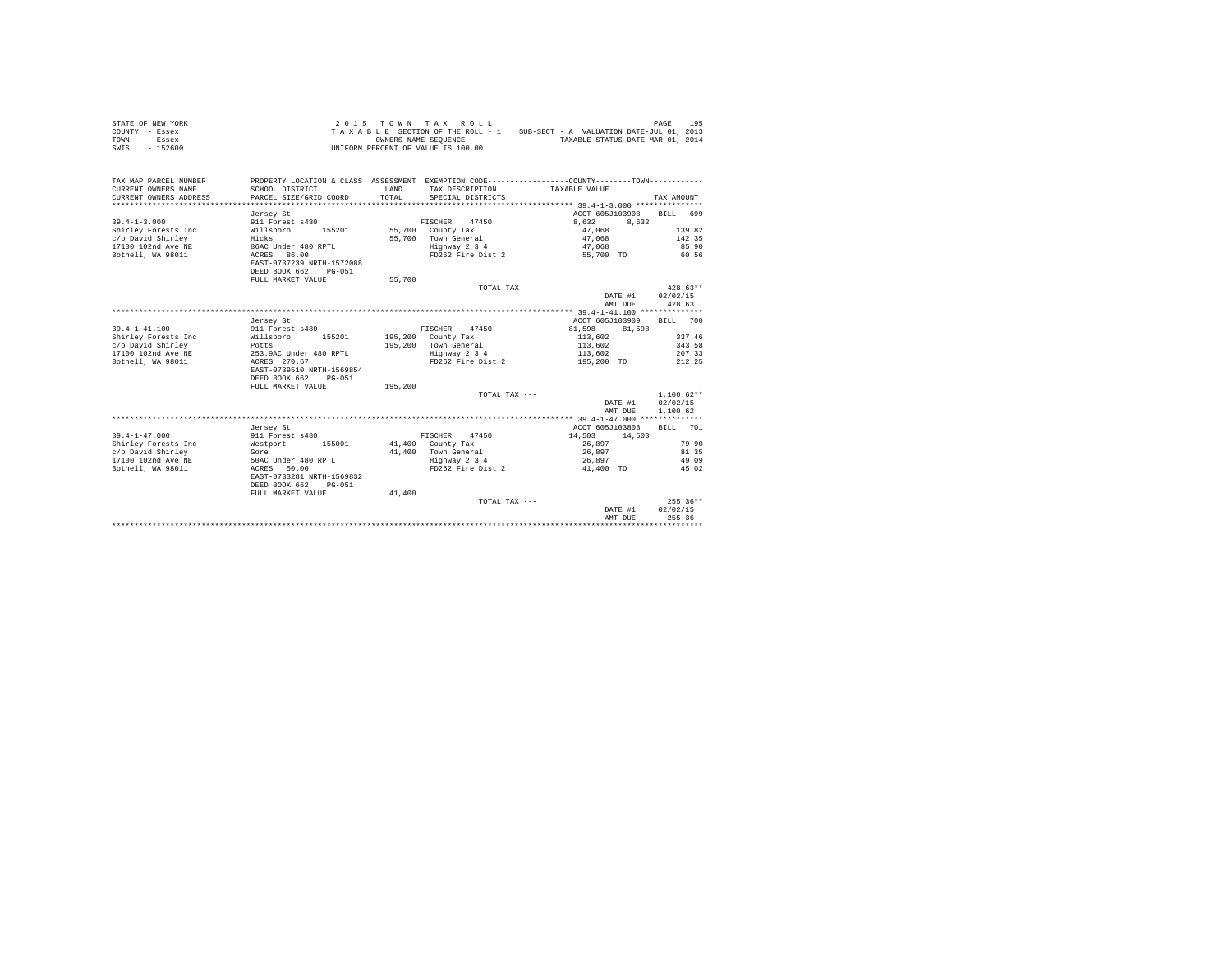| STATE OF NEW YORK<br>COUNTY - Essex<br>TOWN<br>- Essex<br>SWIS<br>$-152600$ | 2 0 1 5                                   |         | TOWN TAX ROLL<br>TAXABLE SECTION OF THE ROLL - 1<br>OWNERS NAME SEQUENCE<br>UNIFORM PERCENT OF VALUE IS 100.00 | SUB-SECT - A VALUATION DATE-JUL 01, 2013<br>TAXABLE STATUS DATE-MAR 01, 2014                                  | 195<br>PAGE        |
|-----------------------------------------------------------------------------|-------------------------------------------|---------|----------------------------------------------------------------------------------------------------------------|---------------------------------------------------------------------------------------------------------------|--------------------|
| TAX MAP PARCEL NUMBER<br>CURRENT OWNERS NAME                                | SCHOOL DISTRICT                           | LAND    | TAX DESCRIPTION                                                                                                | PROPERTY LOCATION & CLASS ASSESSMENT EXEMPTION CODE---------------COUNTY-------TOWN---------<br>TAXABLE VALUE |                    |
| CURRENT OWNERS ADDRESS<br>*************************                         | PARCEL SIZE/GRID COORD                    | TOTAL   | SPECIAL DISTRICTS                                                                                              |                                                                                                               | TAX AMOUNT         |
|                                                                             | Jersey St                                 |         |                                                                                                                | ACCT 605J103908                                                                                               | 699<br><b>BILL</b> |
| $39.4 - 1 - 3.000$                                                          | 911 Forest s480                           |         | 47450<br>FISCHER                                                                                               | 8.632<br>8.632                                                                                                |                    |
| Shirley Forests Inc                                                         | 155201<br>Willsboro                       | 55,700  | County Tax                                                                                                     | 47.068                                                                                                        | 139.82             |
| c/o David Shirley<br>17100 102nd Ave NE                                     | Hicks<br>86AC Under 480 RPTL              | 55,700  | Town General<br>Highway 2 3 4                                                                                  | 47.068<br>47,068                                                                                              | 142.35<br>85.90    |
| Bothell, WA 98011                                                           | ACRES 86.00                               |         | FD262 Fire Dist 2                                                                                              | 55,700 TO                                                                                                     | 60.56              |
|                                                                             | EAST-0737239 NRTH-1572088                 |         |                                                                                                                |                                                                                                               |                    |
|                                                                             | DEED BOOK 662<br>$PG-051$                 |         |                                                                                                                |                                                                                                               |                    |
|                                                                             | FULL MARKET VALUE                         | 55,700  |                                                                                                                |                                                                                                               |                    |
|                                                                             |                                           |         | TOTAL TAX ---                                                                                                  |                                                                                                               | $428.63**$         |
|                                                                             |                                           |         |                                                                                                                | DATE #1<br>AMT DUE                                                                                            | 02/02/15<br>428.63 |
|                                                                             |                                           |         |                                                                                                                |                                                                                                               |                    |
|                                                                             | Jersey St                                 |         |                                                                                                                | ACCT 605J103909                                                                                               | <b>BILL</b><br>700 |
| $39.4 - 1 - 41.100$                                                         | 911 Forest s480                           |         | FISCHER<br>47450                                                                                               | 81,598<br>81,598                                                                                              |                    |
| Shirley Forests Inc                                                         | Willsboro<br>155201                       | 195,200 | County Tax                                                                                                     | 113,602                                                                                                       | 337.46             |
| c/o David Shirley                                                           | Potts                                     | 195,200 | Town General                                                                                                   | 113,602                                                                                                       | 343.58             |
| 17100 102nd Ave NE                                                          | 253.9AC Under 480 RPTL                    |         | Highway 2 3 4                                                                                                  | 113,602                                                                                                       | 207.33             |
| Bothell, WA 98011                                                           | ACRES 270.67<br>EAST-0739510 NRTH-1569854 |         | FD262 Fire Dist 2                                                                                              | 195,200 TO                                                                                                    | 212.25             |
|                                                                             | DEED BOOK 662<br>$PG-051$                 |         |                                                                                                                |                                                                                                               |                    |
|                                                                             | FULL MARKET VALUE                         | 195,200 |                                                                                                                |                                                                                                               |                    |
|                                                                             |                                           |         | TOTAL TAX ---                                                                                                  |                                                                                                               | $1,100.62**$       |
|                                                                             |                                           |         |                                                                                                                | DATE #1                                                                                                       | 02/02/15           |
|                                                                             |                                           |         |                                                                                                                | AMT DUE                                                                                                       | 1,100.62           |
|                                                                             |                                           |         |                                                                                                                |                                                                                                               |                    |
| $39.4 - 1 - 47.000$                                                         | Jersey St<br>911 Forest s480              |         | 47450<br>FISCHER                                                                                               | ACCT 605J103803<br>14,503<br>14,503                                                                           | BILL 701           |
| Shirley Forests Inc                                                         | Westport<br>155001                        |         | 41,400 County Tax                                                                                              | 26,897                                                                                                        | 79.90              |
| c/o David Shirley                                                           | Gore                                      | 41,400  | Town General                                                                                                   | 26,897                                                                                                        | 81.35              |
| 17100 102nd Ave NE                                                          | 50AC Under 480 RPTL                       |         | Highway 2 3 4                                                                                                  | 26,897                                                                                                        | 49.09              |
| Bothell, WA 98011                                                           | ACRES 50.00                               |         | FD262 Fire Dist 2                                                                                              | 41,400 TO                                                                                                     | 45.02              |
|                                                                             | EAST-0733281 NRTH-1569832                 |         |                                                                                                                |                                                                                                               |                    |
|                                                                             | DEED BOOK 662<br>$PG-051$                 |         |                                                                                                                |                                                                                                               |                    |
|                                                                             | FULL MARKET VALUE                         | 41,400  | TOTAL TAX ---                                                                                                  |                                                                                                               | $255.36**$         |
|                                                                             |                                           |         |                                                                                                                | DATE #1                                                                                                       | 02/02/15           |
|                                                                             |                                           |         |                                                                                                                | AMT DUE                                                                                                       | 255.36             |
|                                                                             |                                           |         |                                                                                                                |                                                                                                               |                    |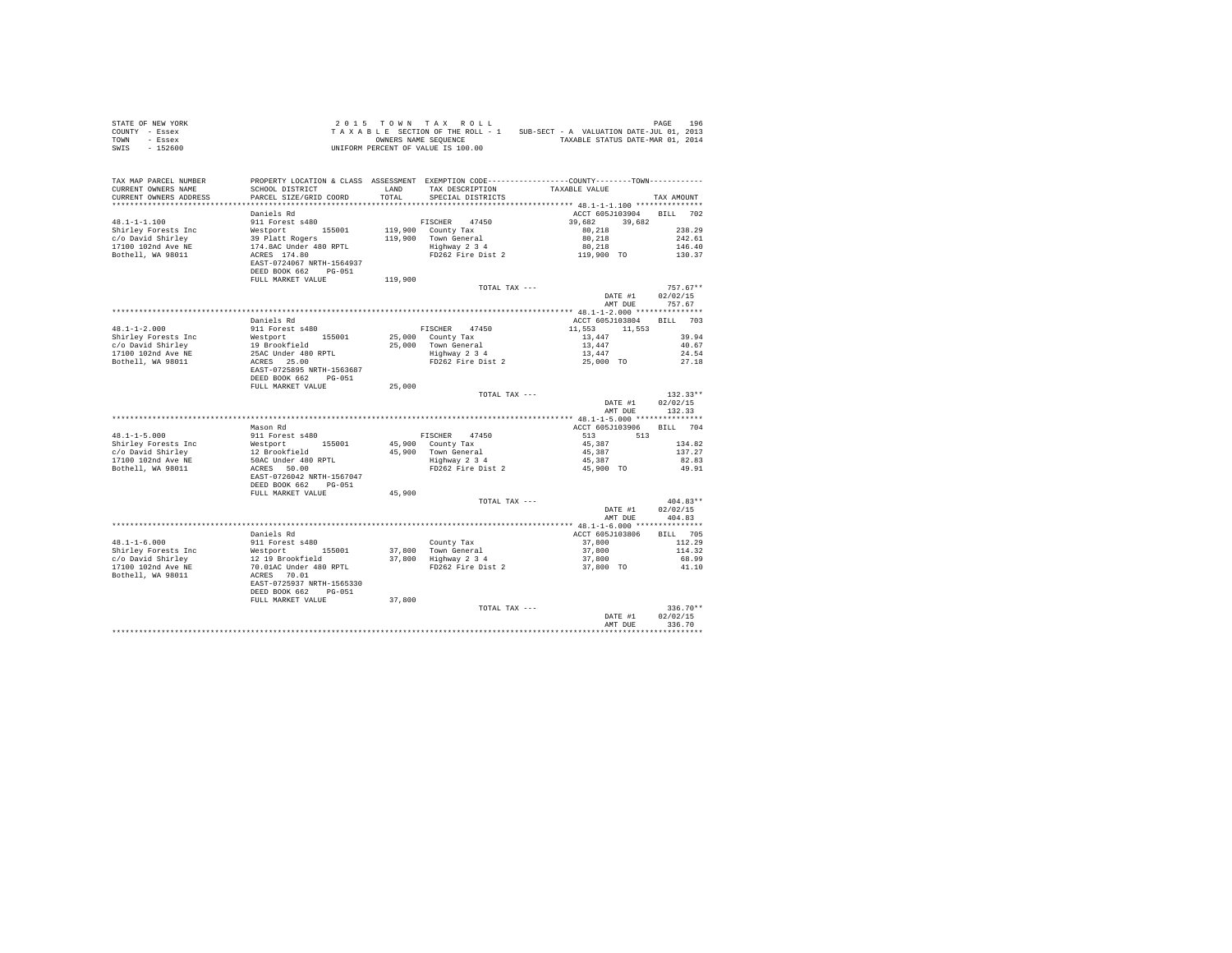| STATE OF NEW YORK<br>COUNTY - Essex<br>TOWN - Essex                                                                                                                                                                                                                                                                                                                                                         | 2015 TOWN TAX ABLE STATION TERRAIL - 1 SUB-SECT - A VALUATION DATE-JUL 01, 2013<br>TAXABLE SECTION OF THE ROLL - 1 SUB-SECT - A VALUATION DATE-JUL 01, 2013<br>ONNERS NAME SEQUENCE<br>UNIFORM PERCENT OF VALUE IS 100.00 |         |                   |                                                                                                                                                                                           |                                    |             |                |
|-------------------------------------------------------------------------------------------------------------------------------------------------------------------------------------------------------------------------------------------------------------------------------------------------------------------------------------------------------------------------------------------------------------|---------------------------------------------------------------------------------------------------------------------------------------------------------------------------------------------------------------------------|---------|-------------------|-------------------------------------------------------------------------------------------------------------------------------------------------------------------------------------------|------------------------------------|-------------|----------------|
| SWIS - 152600                                                                                                                                                                                                                                                                                                                                                                                               |                                                                                                                                                                                                                           |         |                   |                                                                                                                                                                                           |                                    |             |                |
| TAX MAP PARCEL NUMBER<br>CURRENT OWNERS NAME                                                                                                                                                                                                                                                                                                                                                                | PROPERTY LOCATION & CLASS ASSESSMENT EXEMPTION CODE----------------COUNTY-------TOWN----------<br>SCHOOL DISTRICT                                                                                                         |         |                   | LAND TAX DESCRIPTION TAXABLE VALUE                                                                                                                                                        |                                    |             |                |
| CURRENT OWNERS ADDRESS                                                                                                                                                                                                                                                                                                                                                                                      | PARCEL SIZE/GRID COORD                                                                                                                                                                                                    | TOTAL   | SPECIAL DISTRICTS |                                                                                                                                                                                           |                                    | TAX AMOUNT  |                |
|                                                                                                                                                                                                                                                                                                                                                                                                             |                                                                                                                                                                                                                           |         |                   |                                                                                                                                                                                           |                                    |             |                |
|                                                                                                                                                                                                                                                                                                                                                                                                             | Daniels Rd                                                                                                                                                                                                                |         |                   | ACCT 605J103904 BILL 702                                                                                                                                                                  |                                    |             |                |
|                                                                                                                                                                                                                                                                                                                                                                                                             |                                                                                                                                                                                                                           |         | FISCHER 47450     | 39,682 39,682                                                                                                                                                                             |                                    |             |                |
|                                                                                                                                                                                                                                                                                                                                                                                                             |                                                                                                                                                                                                                           |         |                   |                                                                                                                                                                                           |                                    |             |                |
|                                                                                                                                                                                                                                                                                                                                                                                                             |                                                                                                                                                                                                                           |         |                   |                                                                                                                                                                                           |                                    |             |                |
|                                                                                                                                                                                                                                                                                                                                                                                                             |                                                                                                                                                                                                                           |         |                   |                                                                                                                                                                                           |                                    |             |                |
|                                                                                                                                                                                                                                                                                                                                                                                                             |                                                                                                                                                                                                                           |         |                   |                                                                                                                                                                                           |                                    |             |                |
|                                                                                                                                                                                                                                                                                                                                                                                                             | FULL MARKET VALUE                                                                                                                                                                                                         | 119,900 |                   |                                                                                                                                                                                           |                                    |             |                |
|                                                                                                                                                                                                                                                                                                                                                                                                             |                                                                                                                                                                                                                           |         | TOTAL TAX ---     |                                                                                                                                                                                           |                                    | $757.67**$  |                |
|                                                                                                                                                                                                                                                                                                                                                                                                             |                                                                                                                                                                                                                           |         |                   |                                                                                                                                                                                           | DATE #1<br>AMT DUE 757.67          | 02/02/15    |                |
|                                                                                                                                                                                                                                                                                                                                                                                                             |                                                                                                                                                                                                                           |         |                   |                                                                                                                                                                                           |                                    |             |                |
|                                                                                                                                                                                                                                                                                                                                                                                                             | Daniels Rd                                                                                                                                                                                                                |         |                   | ACCT 605J103804 BILL 703                                                                                                                                                                  |                                    |             |                |
| $48.1 - 1 - 2.000$                                                                                                                                                                                                                                                                                                                                                                                          | 911 Forest s480                                                                                                                                                                                                           |         |                   |                                                                                                                                                                                           |                                    |             |                |
|                                                                                                                                                                                                                                                                                                                                                                                                             |                                                                                                                                                                                                                           |         |                   |                                                                                                                                                                                           |                                    |             | 39.94<br>40.67 |
|                                                                                                                                                                                                                                                                                                                                                                                                             |                                                                                                                                                                                                                           |         |                   |                                                                                                                                                                                           |                                    |             | 24.54          |
|                                                                                                                                                                                                                                                                                                                                                                                                             |                                                                                                                                                                                                                           |         |                   | FISCHER 47450<br>25,000 County Tax<br>25,000 Town General<br>25,000 Town General<br>25,000 Town General<br>26,000 To 27.18<br>24.54<br>24.553 11,553<br>27,447<br>24.56<br>27.18<br>27.18 |                                    |             | 27.18          |
|                                                                                                                                                                                                                                                                                                                                                                                                             |                                                                                                                                                                                                                           |         |                   |                                                                                                                                                                                           |                                    |             |                |
|                                                                                                                                                                                                                                                                                                                                                                                                             |                                                                                                                                                                                                                           | 25,000  |                   |                                                                                                                                                                                           |                                    |             |                |
|                                                                                                                                                                                                                                                                                                                                                                                                             |                                                                                                                                                                                                                           |         | TOTAL TAX ---     |                                                                                                                                                                                           |                                    | $132.33**$  |                |
|                                                                                                                                                                                                                                                                                                                                                                                                             |                                                                                                                                                                                                                           |         |                   |                                                                                                                                                                                           | DATE #1                            | 02/02/15    |                |
|                                                                                                                                                                                                                                                                                                                                                                                                             |                                                                                                                                                                                                                           |         |                   |                                                                                                                                                                                           | AMT DUE 132.33                     |             |                |
|                                                                                                                                                                                                                                                                                                                                                                                                             | Mason Rd                                                                                                                                                                                                                  |         |                   | ACCT 605J103906 BILL 704                                                                                                                                                                  |                                    |             |                |
| $48.1 - 1 - 5.000$                                                                                                                                                                                                                                                                                                                                                                                          | 911 Forest s480                                                                                                                                                                                                           |         |                   |                                                                                                                                                                                           |                                    |             |                |
|                                                                                                                                                                                                                                                                                                                                                                                                             |                                                                                                                                                                                                                           |         |                   |                                                                                                                                                                                           |                                    |             | 134.82         |
|                                                                                                                                                                                                                                                                                                                                                                                                             |                                                                                                                                                                                                                           |         |                   |                                                                                                                                                                                           |                                    |             | 137.27         |
|                                                                                                                                                                                                                                                                                                                                                                                                             |                                                                                                                                                                                                                           |         |                   |                                                                                                                                                                                           |                                    |             | 82.83          |
| $\begin{tabular}{llllllll} \textbf{48.1--1-5.000} & 911\text{ Forest s480} \\ \textbf{Shifts1--5.000} & 11\text{Forest s480} \\ \textbf{Shriley Forests} & 12\text{ Prochfield} \\ \textbf{17100102nd Ave NE} & 12\text{ Prochfield} \\ \textbf{17100102nd Ave NE} & 50AC\text{Under 480 RPTL} \\ \textbf{Bothell, WA 98011} & \textbf{ACRES} 50.00 \\ \textbf{RAST-0726042 NRTF-1567047} \\ \textbf{RAST-$ |                                                                                                                                                                                                                           |         |                   | FISCHER 47450<br>45,900 County Tax<br>45,900 Town General 45,887<br>45,900 Town General 45,887<br>45,887 137.22<br>45,887 82.8<br>FD262 Fire Dist 2 45,900 TO 49.9                        |                                    |             | 49.91          |
|                                                                                                                                                                                                                                                                                                                                                                                                             |                                                                                                                                                                                                                           |         |                   |                                                                                                                                                                                           |                                    |             |                |
|                                                                                                                                                                                                                                                                                                                                                                                                             | FULL MARKET VALUE                                                                                                                                                                                                         | 45,900  | TOTAL TAX ---     |                                                                                                                                                                                           |                                    | $404.83**$  |                |
|                                                                                                                                                                                                                                                                                                                                                                                                             |                                                                                                                                                                                                                           |         |                   |                                                                                                                                                                                           |                                    |             |                |
|                                                                                                                                                                                                                                                                                                                                                                                                             |                                                                                                                                                                                                                           |         |                   |                                                                                                                                                                                           | DATE #1 02/02/15<br>AMT DUE 404.83 |             |                |
|                                                                                                                                                                                                                                                                                                                                                                                                             | Daniels Rd                                                                                                                                                                                                                |         |                   | ACCT 605J103806 BILL 705                                                                                                                                                                  |                                    |             |                |
| $48.1 - 1 - 6.000$                                                                                                                                                                                                                                                                                                                                                                                          | 911 Forest s480                                                                                                                                                                                                           |         |                   |                                                                                                                                                                                           |                                    | 112.29      |                |
|                                                                                                                                                                                                                                                                                                                                                                                                             |                                                                                                                                                                                                                           |         |                   |                                                                                                                                                                                           |                                    |             | 114.32         |
|                                                                                                                                                                                                                                                                                                                                                                                                             |                                                                                                                                                                                                                           |         |                   |                                                                                                                                                                                           |                                    |             | 68.99          |
| 48.1-1-6.000<br>Shirley Forests Inc = 911 Forest 155001<br>c/o David Shirley = 12 19 Brookfield<br>17100 102nd Ave NE = 70.01<br>Bothell, WA 98011 = ACRES 70.2537 NRTH-1565330<br>= BACKERT-0725937 NRTH-1565330<br>= PDED BOOK 662 = PG-                                                                                                                                                                  |                                                                                                                                                                                                                           |         |                   | County Tax 2003<br>37,800 Town General 37,800<br>37,800 Highway 2 3 4 37,800<br>PD262 Fire Dist 2 37,800 TO                                                                               |                                    |             | 41.10          |
|                                                                                                                                                                                                                                                                                                                                                                                                             |                                                                                                                                                                                                                           |         |                   |                                                                                                                                                                                           |                                    |             |                |
|                                                                                                                                                                                                                                                                                                                                                                                                             |                                                                                                                                                                                                                           | 37,800  | TOTAL TAX ---     |                                                                                                                                                                                           |                                    |             | $336.70**$     |
|                                                                                                                                                                                                                                                                                                                                                                                                             |                                                                                                                                                                                                                           |         |                   |                                                                                                                                                                                           | DATE #1                            | 02/02/15    |                |
|                                                                                                                                                                                                                                                                                                                                                                                                             |                                                                                                                                                                                                                           |         |                   |                                                                                                                                                                                           | AMT DUE                            | 336.70      |                |
|                                                                                                                                                                                                                                                                                                                                                                                                             |                                                                                                                                                                                                                           |         |                   |                                                                                                                                                                                           |                                    | *********** |                |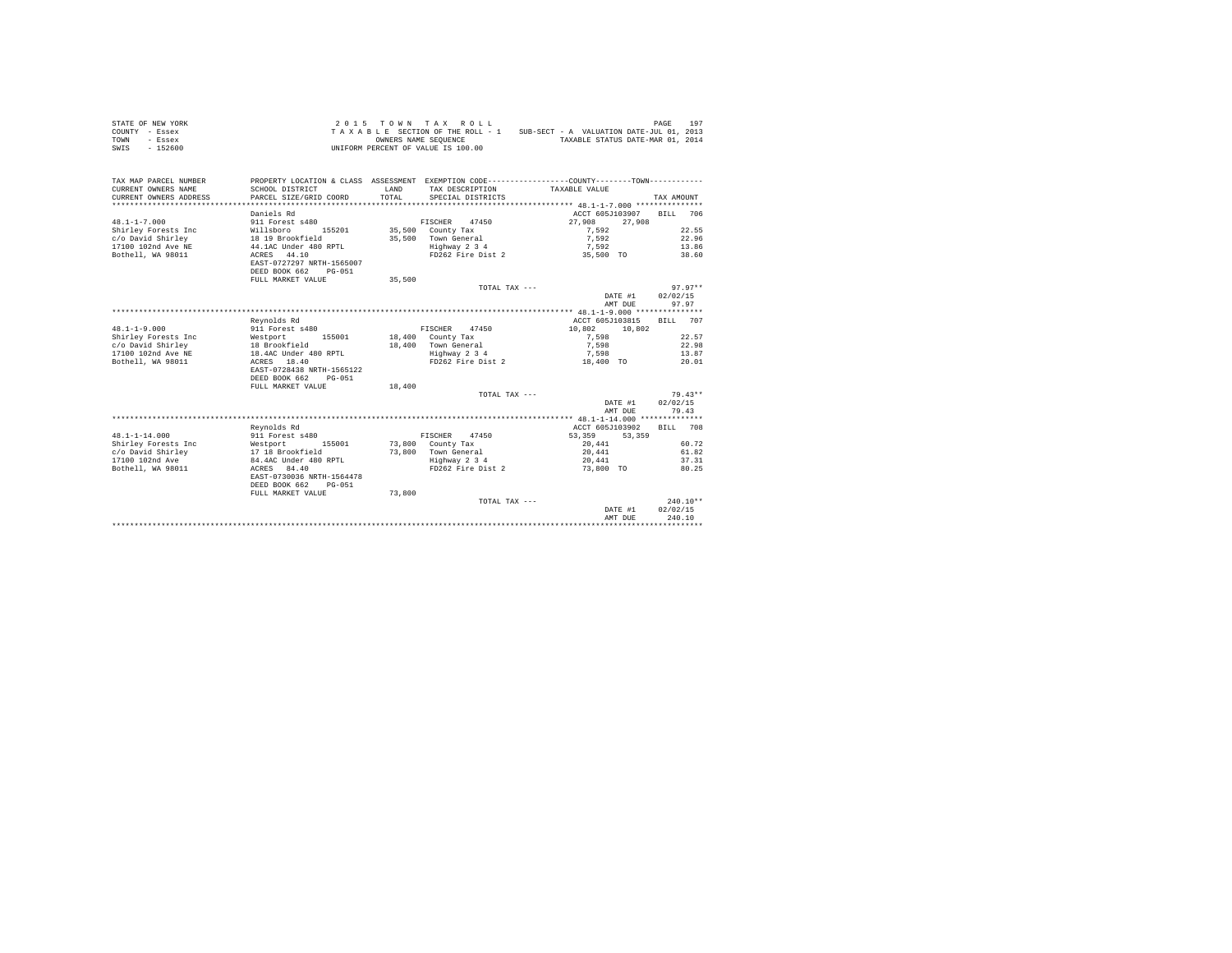| STATE OF NEW YORK<br>COUNTY - Essex<br>TOWN<br>- Essex<br>$-152600$<br>SWIS | 2 0 1 5                                                                                      |               | TOWN TAX ROLL<br>TAXABLE SECTION OF THE ROLL - 1<br>OWNERS NAME SEQUENCE<br>UNIFORM PERCENT OF VALUE IS 100.00 | SUB-SECT - A VALUATION DATE-JUL 01, 2013 | 197<br>PAGE<br>TAXABLE STATUS DATE-MAR 01, 2014 |
|-----------------------------------------------------------------------------|----------------------------------------------------------------------------------------------|---------------|----------------------------------------------------------------------------------------------------------------|------------------------------------------|-------------------------------------------------|
|                                                                             |                                                                                              |               |                                                                                                                |                                          |                                                 |
| TAX MAP PARCEL NUMBER                                                       | PROPERTY LOCATION & CLASS ASSESSMENT EXEMPTION CODE---------------COUNTY-------TOWN--------- |               |                                                                                                                |                                          |                                                 |
| CURRENT OWNERS NAME<br>CURRENT OWNERS ADDRESS                               | SCHOOL DISTRICT<br>PARCEL SIZE/GRID COORD                                                    | LAND<br>TOTAL | TAX DESCRIPTION<br>SPECIAL DISTRICTS                                                                           | TAXABLE VALUE                            | TAX AMOUNT                                      |
| ************************                                                    | ****************************                                                                 |               |                                                                                                                |                                          |                                                 |
|                                                                             | Daniels Rd                                                                                   |               |                                                                                                                | ACCT 605J103907                          | 706<br><b>BILL</b>                              |
| $48.1 - 1 - 7.000$                                                          | 911 Forest s480                                                                              |               | FISCHER<br>47450                                                                                               | 27,908                                   | 27,908                                          |
| Shirley Forests Inc                                                         | Willsboro<br>155201                                                                          | 35,500        | County Tax                                                                                                     | 7.592                                    | 22.55                                           |
| c/o David Shirley                                                           | 18 19 Brookfield                                                                             | 35,500        | Town General                                                                                                   | 7.592                                    | 22.96                                           |
| 17100 102nd Ave NE                                                          | 44.1AC Under 480 RPTL                                                                        |               | Highway 2 3 4                                                                                                  | 7,592                                    | 13.86                                           |
| Bothell, WA 98011                                                           | ACRES 44.10                                                                                  |               | FD262 Fire Dist 2                                                                                              | 35,500 TO                                | 38.60                                           |
|                                                                             | EAST-0727297 NRTH-1565007                                                                    |               |                                                                                                                |                                          |                                                 |
|                                                                             | DEED BOOK 662<br>$PG-051$<br>FULL MARKET VALUE                                               | 35,500        |                                                                                                                |                                          |                                                 |
|                                                                             |                                                                                              |               | TOTAL TAX ---                                                                                                  |                                          | $97.97**$                                       |
|                                                                             |                                                                                              |               |                                                                                                                |                                          | DATE #1<br>02/02/15                             |
|                                                                             |                                                                                              |               |                                                                                                                |                                          | 97.97<br>AMT DUE                                |
|                                                                             |                                                                                              |               |                                                                                                                |                                          |                                                 |
|                                                                             | Reynolds Rd                                                                                  |               |                                                                                                                | ACCT 605J103815                          | 707<br><b>BILL</b>                              |
| $48.1 - 1 - 9.000$                                                          | 911 Forest s480                                                                              |               | FISCHER<br>47450                                                                                               | 10,802                                   | 10,802                                          |
| Shirley Forests Inc                                                         | Westport<br>155001                                                                           | 18,400        | County Tax                                                                                                     | 7.598                                    | 22.57                                           |
| c/o David Shirley                                                           | 18 Brookfield                                                                                | 18,400        | Town General                                                                                                   | 7.598                                    | 22.98                                           |
| 17100 102nd Ave NE                                                          | 18.4AC Under 480 RPTL                                                                        |               | Highway 2 3 4                                                                                                  | 7,598                                    | 13.87                                           |
| Bothell, WA 98011                                                           | ACRES 18.40                                                                                  |               | FD262 Fire Dist 2                                                                                              | 18,400 TO                                | 20.01                                           |
|                                                                             | EAST-0728438 NRTH-1565122<br>DEED BOOK 662<br>$PG-051$                                       |               |                                                                                                                |                                          |                                                 |
|                                                                             | FULL MARKET VALUE                                                                            | 18,400        |                                                                                                                |                                          |                                                 |
|                                                                             |                                                                                              |               | TOTAL TAX ---                                                                                                  |                                          | $79.43**$                                       |
|                                                                             |                                                                                              |               |                                                                                                                |                                          | 02/02/15<br>DATE #1                             |
|                                                                             |                                                                                              |               |                                                                                                                |                                          | AMT DUE<br>79.43                                |
|                                                                             |                                                                                              |               |                                                                                                                |                                          |                                                 |
|                                                                             | Revnolds Rd                                                                                  |               |                                                                                                                | ACCT 605J103902                          | BILL 708                                        |
| $48.1 - 1 - 14.000$                                                         | 911 Forest s480                                                                              |               | 47450<br>FISCHER                                                                                               | 53,359                                   | 53,359                                          |
| Shirley Forests Inc                                                         | 155001<br>Westport                                                                           | 73,800        | County Tax                                                                                                     | 20,441                                   | 60.72                                           |
| c/o David Shirley                                                           | 17 18 Brookfield                                                                             | 73,800        | Town General                                                                                                   | 20,441                                   | 61.82                                           |
| 17100 102nd Ave                                                             | 84.4AC Under 480 RPTL<br>ACRES 84.40                                                         |               | Highway 2 3 4<br>FD262 Fire Dist 2                                                                             | 20,441                                   | 37.31<br>80.25                                  |
| Bothell, WA 98011                                                           | EAST-0730036 NRTH-1564478                                                                    |               |                                                                                                                | 73,800 TO                                |                                                 |
|                                                                             | DEED BOOK 662<br>$PG-051$                                                                    |               |                                                                                                                |                                          |                                                 |
|                                                                             | FULL MARKET VALUE                                                                            | 73,800        |                                                                                                                |                                          |                                                 |
|                                                                             |                                                                                              |               | TOTAL TAX ---                                                                                                  |                                          | $240.10**$                                      |
|                                                                             |                                                                                              |               |                                                                                                                |                                          | DATE #1<br>02/02/15                             |
|                                                                             |                                                                                              |               |                                                                                                                |                                          | AMT DUE<br>240.10                               |
|                                                                             |                                                                                              |               |                                                                                                                |                                          |                                                 |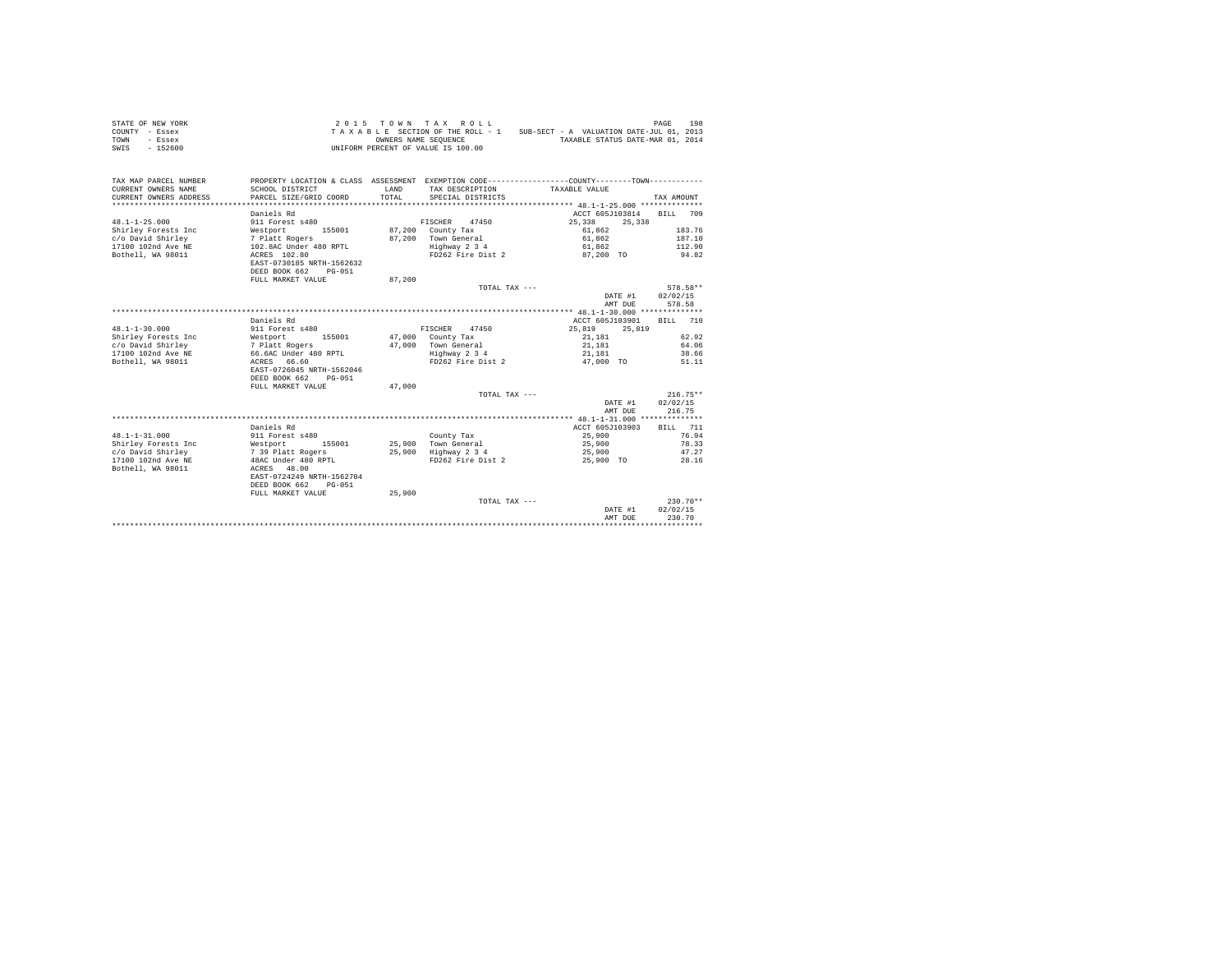| STATE OF NEW YORK<br>COUNTY - Essex<br>TOWN<br>- Essex<br>$-152600$<br>SWIS | 2 0 1 5                                                | OWNERS NAME SEQUENCE | TOWN TAX ROLL<br>TAXABLE SECTION OF THE ROLL - 1<br>UNIFORM PERCENT OF VALUE IS 100.00 | SUB-SECT - A VALUATION DATE-JUL 01, 2013<br>TAXABLE STATUS DATE-MAR 01, 2014                 | 198<br>PAGE        |
|-----------------------------------------------------------------------------|--------------------------------------------------------|----------------------|----------------------------------------------------------------------------------------|----------------------------------------------------------------------------------------------|--------------------|
| TAX MAP PARCEL NUMBER                                                       |                                                        |                      |                                                                                        | PROPERTY LOCATION & CLASS ASSESSMENT EXEMPTION CODE---------------COUNTY-------TOWN--------- |                    |
| CURRENT OWNERS NAME                                                         | SCHOOL DISTRICT                                        | LAND                 | TAX DESCRIPTION                                                                        | TAXABLE VALUE                                                                                |                    |
| CURRENT OWNERS ADDRESS<br>*************************                         | PARCEL SIZE/GRID COORD<br>**************************** | TOTAL                | SPECIAL DISTRICTS                                                                      |                                                                                              | TAX AMOUNT         |
|                                                                             | Daniels Rd                                             |                      |                                                                                        | ACCT 605J103814                                                                              | 709<br><b>BILL</b> |
| $48.1 - 1 - 25.000$                                                         | 911 Forest s480                                        |                      | 47450<br>FISCHER                                                                       | 25,338<br>25,338                                                                             |                    |
| Shirley Forests Inc                                                         | Westport<br>155001                                     | 87.200               | County Tax                                                                             | 61.862                                                                                       | 183.76             |
| c/o David Shirley<br>17100 102nd Ave NE                                     | 7 Platt Rogers<br>102.8AC Under 480 RPTL               | 87,200               | Town General<br>Highway 2 3 4                                                          | 61.862<br>61,862                                                                             | 187.10<br>112.90   |
| Bothell, WA 98011                                                           | ACRES 102.80                                           |                      | FD262 Fire Dist 2                                                                      | 87,200 TO                                                                                    | 94.82              |
|                                                                             | EAST-0730185 NRTH-1562632                              |                      |                                                                                        |                                                                                              |                    |
|                                                                             | DEED BOOK 662<br>$PG-051$                              |                      |                                                                                        |                                                                                              |                    |
|                                                                             | FULL MARKET VALUE                                      | 87,200               |                                                                                        |                                                                                              |                    |
|                                                                             |                                                        |                      | TOTAL TAX ---                                                                          |                                                                                              | 578.58**           |
|                                                                             |                                                        |                      |                                                                                        | DATE #1<br>AMT DUE                                                                           | 02/02/15<br>578.58 |
|                                                                             |                                                        |                      |                                                                                        |                                                                                              |                    |
|                                                                             | Daniels Rd                                             |                      |                                                                                        | ACCT 605J103901                                                                              | BTLL.<br>710       |
| $48.1 - 1 - 30.000$                                                         | 911 Forest s480                                        |                      | FISCHER<br>47450                                                                       | 25,819<br>25,819                                                                             |                    |
| Shirley Forests Inc                                                         | Westport<br>155001                                     | 47,000               | County Tax                                                                             | 21,181                                                                                       | 62.92              |
| c/o David Shirley                                                           | 7 Platt Rogers                                         | 47,000               | Town General                                                                           | 21,181                                                                                       | 64.06              |
| 17100 102nd Ave NE<br>Bothell, WA 98011                                     | 66.6AC Under 480 RPTL<br>ACRES 66.60                   |                      | Highway 2 3 4<br>FD262 Fire Dist 2                                                     | 21,181<br>47,000 TO                                                                          | 38.66              |
|                                                                             | EAST-0726045 NRTH-1562046                              |                      |                                                                                        |                                                                                              | 51.11              |
|                                                                             | DEED BOOK 662<br>$PG-051$                              |                      |                                                                                        |                                                                                              |                    |
|                                                                             | FULL MARKET VALUE                                      | 47,000               |                                                                                        |                                                                                              |                    |
|                                                                             |                                                        |                      | TOTAL TAX ---                                                                          |                                                                                              | $216.75**$         |
|                                                                             |                                                        |                      |                                                                                        | DATE #1                                                                                      | 02/02/15           |
|                                                                             |                                                        |                      |                                                                                        | AMT DUE                                                                                      | 216.75             |
|                                                                             | Daniels Rd                                             |                      |                                                                                        | ACCT 605J103903                                                                              | BILL 711           |
| $48.1 - 1 - 31.000$                                                         | 911 Forest s480                                        |                      | County Tax                                                                             | 25,900                                                                                       | 76.94              |
| Shirley Forests Inc                                                         | Westport<br>155001                                     |                      | 25,900 Town General                                                                    | 25,900                                                                                       | 78.33              |
| c/o David Shirley                                                           | 7 39 Platt Rogers                                      | 25,900               | Highway 2 3 4                                                                          | 25,900                                                                                       | 47.27              |
| 17100 102nd Ave NE                                                          | 48AC Under 480 RPTL                                    |                      | FD262 Fire Dist 2                                                                      | 25,900 TO                                                                                    | 28.16              |
| Bothell, WA 98011                                                           | ACRES 48.00                                            |                      |                                                                                        |                                                                                              |                    |
|                                                                             | EAST-0724249 NRTH-1562704<br>DEED BOOK 662<br>$PG-051$ |                      |                                                                                        |                                                                                              |                    |
|                                                                             | FULL MARKET VALUE                                      | 25,900               |                                                                                        |                                                                                              |                    |
|                                                                             |                                                        |                      | TOTAL TAX ---                                                                          |                                                                                              | $230.70**$         |
|                                                                             |                                                        |                      |                                                                                        | DATE #1                                                                                      | 02/02/15           |
|                                                                             |                                                        |                      |                                                                                        | AMT DUE                                                                                      | 230.70             |
|                                                                             |                                                        |                      |                                                                                        |                                                                                              |                    |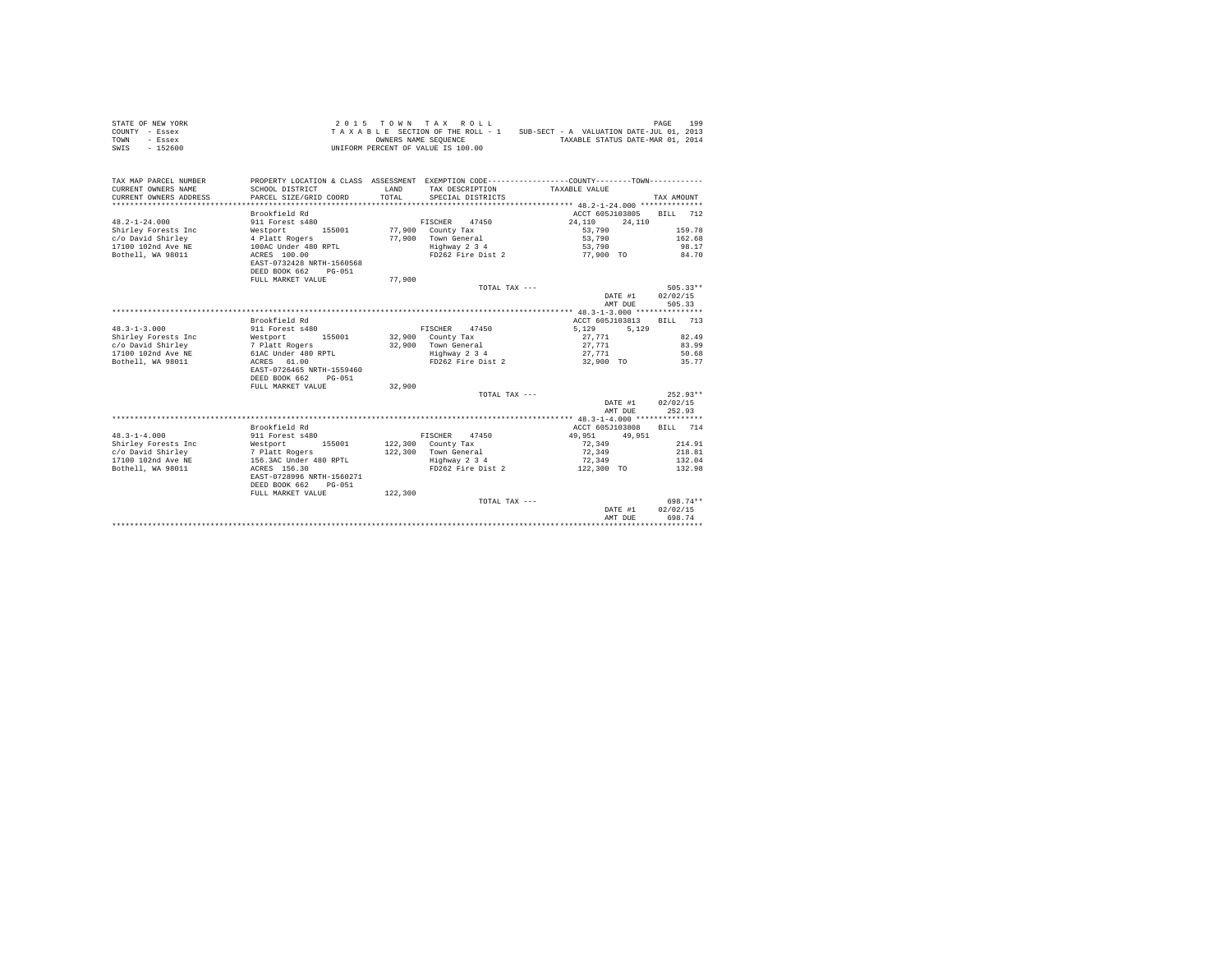| STATE OF NEW YORK<br>COUNTY - Essex<br>TOWN<br>- Essex<br>$-152600$<br>SWIS |                                                        |         | 2015 TOWN TAX ROLL<br>TAXABLE SECTION OF THE ROLL - 1<br>OWNERS NAME SEQUENCE<br>UNIFORM PERCENT OF VALUE IS 100.00 | SUB-SECT - A VALUATION DATE-JUL 01, 2013<br>TAXABLE STATUS DATE-MAR 01, 2014                                  | 199<br>PAGE        |
|-----------------------------------------------------------------------------|--------------------------------------------------------|---------|---------------------------------------------------------------------------------------------------------------------|---------------------------------------------------------------------------------------------------------------|--------------------|
| TAX MAP PARCEL NUMBER<br>CURRENT OWNERS NAME                                | SCHOOL DISTRICT                                        | LAND    | TAX DESCRIPTION                                                                                                     | PROPERTY LOCATION & CLASS ASSESSMENT EXEMPTION CODE---------------COUNTY-------TOWN---------<br>TAXABLE VALUE |                    |
| CURRENT OWNERS ADDRESS<br>*************************                         | PARCEL SIZE/GRID COORD                                 | TOTAL   | SPECIAL DISTRICTS                                                                                                   |                                                                                                               | TAX AMOUNT         |
|                                                                             | Brookfield Rd                                          |         |                                                                                                                     | ACCT 605J103805                                                                                               | BILL<br>712        |
| $48.2 - 1 - 24.000$                                                         | 911 Forest s480                                        |         | 47450<br>FISCHER                                                                                                    | 24,110<br>24,110                                                                                              |                    |
| Shirley Forests Inc                                                         | Westport<br>155001                                     | 77,900  | County Tax                                                                                                          | 53,790                                                                                                        | 159.78             |
| c/o David Shirley                                                           | 4 Platt Rogers                                         | 77,900  | Town General                                                                                                        | 53,790                                                                                                        | 162.68             |
| 17100 102nd Ave NE<br>Bothell, WA 98011                                     | 100AC Under 480 RPTL<br>ACRES 100.00                   |         | Highway 2 3 4<br>FD262 Fire Dist 2                                                                                  | 53,790<br>77,900 TO                                                                                           | 98.17<br>84.70     |
|                                                                             | EAST-0732428 NRTH-1560568                              |         |                                                                                                                     |                                                                                                               |                    |
|                                                                             | DEED BOOK 662<br>$PG-051$                              |         |                                                                                                                     |                                                                                                               |                    |
|                                                                             | FULL MARKET VALUE                                      | 77,900  |                                                                                                                     |                                                                                                               |                    |
|                                                                             |                                                        |         | TOTAL TAX ---                                                                                                       |                                                                                                               | $505.33**$         |
|                                                                             |                                                        |         |                                                                                                                     | DATE #1                                                                                                       | 02/02/15           |
|                                                                             |                                                        |         |                                                                                                                     | AMT DUE                                                                                                       | 505.33             |
|                                                                             | Brookfield Rd                                          |         |                                                                                                                     | ACCT 605J103813                                                                                               | <b>BILL</b><br>713 |
| $48.3 - 1 - 3.000$                                                          | 911 Forest s480                                        |         | FISCHER<br>47450                                                                                                    | 5.129<br>5.129                                                                                                |                    |
| Shirley Forests Inc                                                         | Westport<br>155001                                     |         | 32,900 County Tax                                                                                                   | 27,771                                                                                                        | 82.49              |
| c/o David Shirley                                                           | 7 Platt Rogers                                         | 32,900  | Town General                                                                                                        | 27,771                                                                                                        | 83.99              |
| 17100 102nd Ave NE                                                          | 61AC Under 480 RPTL                                    |         | Highway 2 3 4                                                                                                       | 27,771                                                                                                        | 50.68              |
| Bothell, WA 98011                                                           | ACRES 61.00                                            |         | FD262 Fire Dist 2                                                                                                   | 32,900 TO                                                                                                     | 35.77              |
|                                                                             | EAST-0726465 NRTH-1559460<br>DEED BOOK 662<br>$PG-051$ |         |                                                                                                                     |                                                                                                               |                    |
|                                                                             | FULL MARKET VALUE                                      | 32,900  |                                                                                                                     |                                                                                                               |                    |
|                                                                             |                                                        |         | TOTAL TAX ---                                                                                                       |                                                                                                               | $252.93**$         |
|                                                                             |                                                        |         |                                                                                                                     | DATE #1                                                                                                       | 02/02/15           |
|                                                                             |                                                        |         |                                                                                                                     | AMT DUE                                                                                                       | 252.93             |
|                                                                             |                                                        |         |                                                                                                                     |                                                                                                               |                    |
|                                                                             | Brookfield Rd                                          |         |                                                                                                                     | ACCT 605J103808                                                                                               | BILL 714           |
| $48.3 - 1 - 4.000$<br>Shirley Forests Inc                                   | 911 Forest s480<br>Westport<br>155001                  | 122,300 | FISCHER<br>47450<br>County Tax                                                                                      | 49,951<br>49,951<br>72,349                                                                                    | 214.91             |
| c/o David Shirley                                                           | 7 Platt Rogers                                         | 122,300 | Town General                                                                                                        | 72,349                                                                                                        | 218.81             |
| 17100 102nd Ave NE                                                          | 156.3AC Under 480 RPTL                                 |         | Highway 2 3 4                                                                                                       | 72,349                                                                                                        | 132.04             |
| Bothell, WA 98011                                                           | ACRES 156.30                                           |         | FD262 Fire Dist 2                                                                                                   | 122,300 TO                                                                                                    | 132.98             |
|                                                                             | EAST-0728996 NRTH-1560271                              |         |                                                                                                                     |                                                                                                               |                    |
|                                                                             | DEED BOOK 662<br>$PG-051$                              |         |                                                                                                                     |                                                                                                               |                    |
|                                                                             | FULL MARKET VALUE                                      | 122,300 | TOTAL TAX ---                                                                                                       |                                                                                                               | 698.74**           |
|                                                                             |                                                        |         |                                                                                                                     | DATE #1                                                                                                       | 02/02/15           |
|                                                                             |                                                        |         |                                                                                                                     | AMT DUE                                                                                                       | 698.74             |
|                                                                             |                                                        |         |                                                                                                                     |                                                                                                               |                    |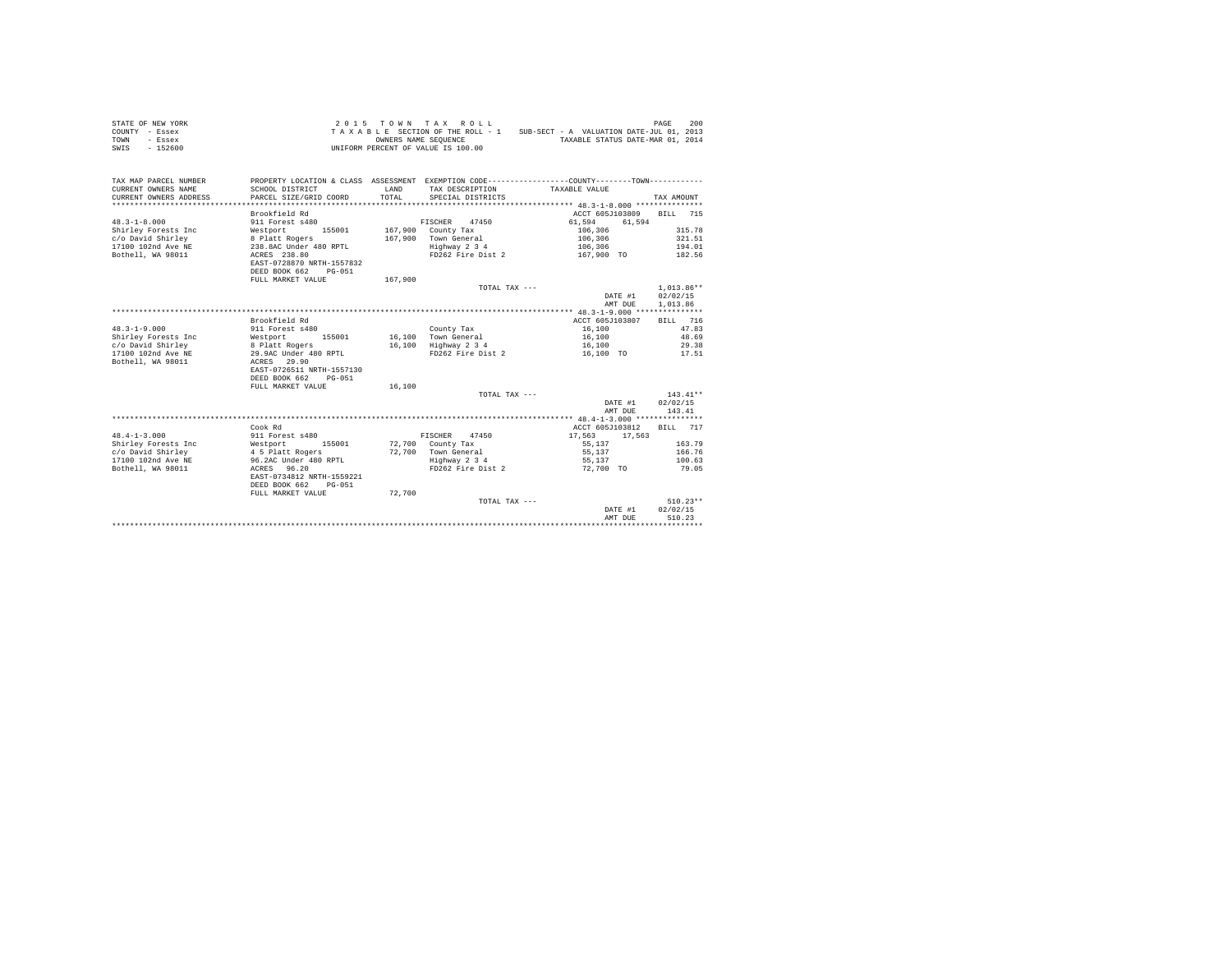| STATE OF NEW YORK<br>COUNTY - Essex<br>TOWN<br>- Essex | 2 0 1 5                                   |               | TOWN TAX ROLL<br>TAXABLE SECTION OF THE ROLL - 1<br>OWNERS NAME SEQUENCE | SUB-SECT - A VALUATION DATE-JUL 01, 2013<br>TAXABLE STATUS DATE-MAR 01, 2014                 | 200<br>PAGE            |
|--------------------------------------------------------|-------------------------------------------|---------------|--------------------------------------------------------------------------|----------------------------------------------------------------------------------------------|------------------------|
| $-152600$<br>SWIS                                      |                                           |               | UNIFORM PERCENT OF VALUE IS 100.00                                       |                                                                                              |                        |
| TAX MAP PARCEL NUMBER                                  |                                           |               |                                                                          | PROPERTY LOCATION & CLASS ASSESSMENT EXEMPTION CODE---------------COUNTY-------TOWN--------- |                        |
| CURRENT OWNERS NAME<br>CURRENT OWNERS ADDRESS          | SCHOOL DISTRICT<br>PARCEL SIZE/GRID COORD | LAND<br>TOTAL | TAX DESCRIPTION<br>SPECIAL DISTRICTS                                     | TAXABLE VALUE                                                                                | TAX AMOUNT             |
| *************************                              | *****************************             |               |                                                                          |                                                                                              |                        |
|                                                        | Brookfield Rd                             |               |                                                                          | ACCT 605J103809                                                                              | BILL<br>715            |
| $48.3 - 1 - 8.000$                                     | 911 Forest s480                           |               | 47450<br>FISCHER                                                         | 61,594                                                                                       | 61.594                 |
| Shirley Forests Inc                                    | Westport<br>155001                        |               | 167,900 County Tax                                                       | 106,306                                                                                      | 315.78                 |
| c/o David Shirley                                      | 8 Platt Rogers                            | 167.900       | Town General                                                             | 106,306                                                                                      | 321.51                 |
| 17100 102nd Ave NE<br>Bothell, WA 98011                | 238.8AC Under 480 RPTL<br>ACRES 238.80    |               | Highway 2 3 4<br>FD262 Fire Dist 2                                       | 106,306<br>167,900 TO                                                                        | 194.01<br>182.56       |
|                                                        | EAST-0728870 NRTH-1557832                 |               |                                                                          |                                                                                              |                        |
|                                                        | DEED BOOK 662<br>PG-051                   |               |                                                                          |                                                                                              |                        |
|                                                        | FULL MARKET VALUE                         | 167,900       |                                                                          |                                                                                              |                        |
|                                                        |                                           |               | TOTAL TAX ---                                                            |                                                                                              | $1,013.86**$           |
|                                                        |                                           |               |                                                                          | DATE #1                                                                                      | 02/02/15               |
|                                                        |                                           |               |                                                                          | AMT DUE                                                                                      | 1,013.86               |
|                                                        |                                           |               |                                                                          |                                                                                              |                        |
|                                                        | Brookfield Rd                             |               |                                                                          | ACCT 605J103807                                                                              | BILL 716               |
| $48.3 - 1 - 9.000$                                     | 911 Forest s480<br>155001                 |               | County Tax<br>16,100 Town General                                        | 16,100                                                                                       | 47.83<br>48.69         |
| Shirley Forests Inc<br>c/o David Shirley               | Westport<br>8 Platt Rogers                | 16,100        | Highway 2 3 4                                                            | 16,100<br>16,100                                                                             | 29.38                  |
| 17100 102nd Ave NE                                     | 29.9AC Under 480 RPTL                     |               | FD262 Fire Dist 2                                                        | 16,100 TO                                                                                    | 17.51                  |
| Bothell, WA 98011                                      | ACRES 29.90                               |               |                                                                          |                                                                                              |                        |
|                                                        | EAST-0726511 NRTH-1557130                 |               |                                                                          |                                                                                              |                        |
|                                                        | DEED BOOK 662<br>$PG-051$                 |               |                                                                          |                                                                                              |                        |
|                                                        | FULL MARKET VALUE                         | 16,100        |                                                                          |                                                                                              |                        |
|                                                        |                                           |               | TOTAL TAX ---                                                            |                                                                                              | $143.41**$             |
|                                                        |                                           |               |                                                                          | DATE #1                                                                                      | 02/02/15               |
|                                                        |                                           |               |                                                                          | AMT DUE                                                                                      | 143.41                 |
|                                                        | Cook Rd                                   |               |                                                                          | ACCT 605J103812                                                                              | BILL 717               |
| $48.4 - 1 - 3.000$                                     | 911 Forest s480                           |               | 47450<br>FISCHER                                                         | 17,563<br>17,563                                                                             |                        |
| Shirley Forests Inc                                    | Westport<br>155001                        |               | 72,700 County Tax                                                        | 55,137                                                                                       | 163.79                 |
| c/o David Shirley                                      | 4 5 Platt Rogers                          | 72,700        | Town General                                                             | 55,137                                                                                       | 166.76                 |
| 17100 102nd Ave NE                                     | 96.2AC Under 480 RPTL                     |               | Highway 2 3 4                                                            | 55,137                                                                                       | 100.63                 |
| Bothell, WA 98011                                      | ACRES 96.20                               |               | FD262 Fire Dist 2                                                        | 72,700 TO                                                                                    | 79.05                  |
|                                                        | EAST-0734812 NRTH-1559221                 |               |                                                                          |                                                                                              |                        |
|                                                        | DEED BOOK 662<br>$PG-051$                 |               |                                                                          |                                                                                              |                        |
|                                                        | FULL MARKET VALUE                         | 72,700        |                                                                          |                                                                                              |                        |
|                                                        |                                           |               | TOTAL TAX ---                                                            | DATE #1                                                                                      | $510.23**$<br>02/02/15 |
|                                                        |                                           |               |                                                                          | AMT DUE                                                                                      | 510.23                 |
|                                                        |                                           |               |                                                                          |                                                                                              |                        |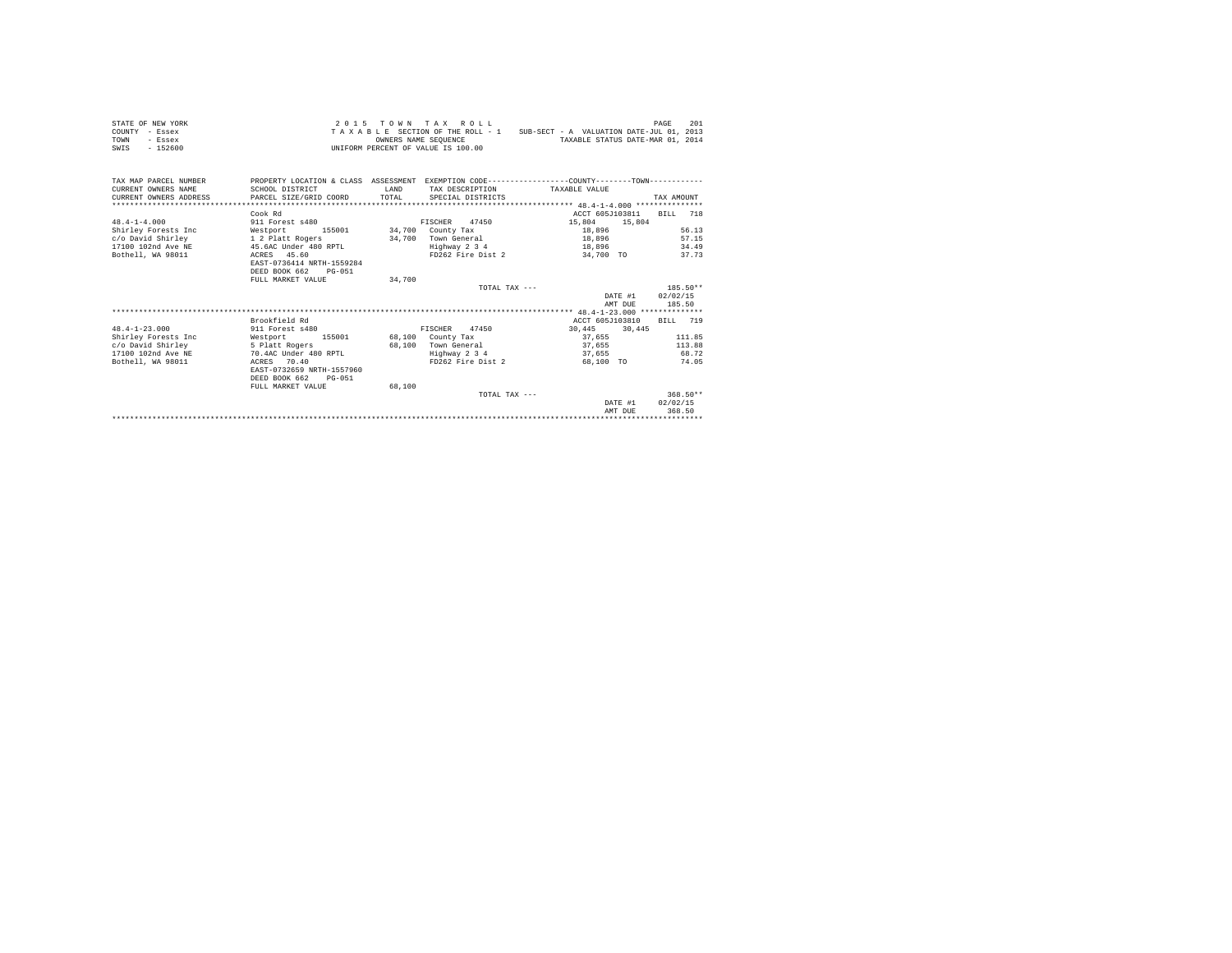| STATE OF NEW YORK<br>COUNTY - Essex<br>TOWN<br>- Essex<br>SWIS - 152600 |                                                                                                |        | 2015 TOWN TAX ROLL<br>OWNERS NAME SEOUENCE<br>UNIFORM PERCENT OF VALUE IS 100.00 | TAXABLE SECTION OF THE ROLL - 1 SUB-SECT - A VALUATION DATE-JUL 01, 2013 | 201<br>PAGE<br>TAXABLE STATUS DATE-MAR 01, 2014 |
|-------------------------------------------------------------------------|------------------------------------------------------------------------------------------------|--------|----------------------------------------------------------------------------------|--------------------------------------------------------------------------|-------------------------------------------------|
| TAX MAP PARCEL NUMBER                                                   | PROPERTY LOCATION & CLASS ASSESSMENT EXEMPTION CODE----------------COUNTY-------TOWN---------- |        |                                                                                  |                                                                          |                                                 |
| CURRENT OWNERS NAME                                                     | SCHOOL DISTRICT                                                                                | T.AND  |                                                                                  | TAX DESCRIPTION TAXABLE VALUE                                            |                                                 |
| CURRENT OWNERS ADDRESS                                                  | PARCEL SIZE/GRID COORD                                                                         | TOTAL  | SPECIAL DISTRICTS                                                                |                                                                          | TAX AMOUNT                                      |
|                                                                         |                                                                                                |        |                                                                                  |                                                                          |                                                 |
|                                                                         | Cook Rd                                                                                        |        |                                                                                  |                                                                          | ACCT 605J103811<br>BTT.T. 718                   |
| $48.4 - 1 - 4.000$                                                      | 911 Forest s480                                                                                |        | FISCHER 47450                                                                    | 15,804                                                                   | 15,804                                          |
| Shirley Forests Inc                                                     | Westport                                                                                       |        | 155001 34,700 County Tax                                                         | 18,896                                                                   | 56.13                                           |
| c/o David Shirley                                                       | 1 2 Platt Rogers                                                                               |        | 34,700 Town General                                                              | 18,896                                                                   | 57.15                                           |
| 17100 102nd Ave NE<br>Bothell, WA 98011                                 | 45.6AC Under 480 RPTL                                                                          |        | Highway 2 3 4                                                                    | 18,896                                                                   | 34.49                                           |
|                                                                         | ACRES 45.60<br>EAST-0736414 NRTH-1559284                                                       |        | FD262 Fire Dist 2                                                                |                                                                          | 34,700 TO<br>37.73                              |
|                                                                         | DEED BOOK 662<br>$PG - 0.51$                                                                   |        |                                                                                  |                                                                          |                                                 |
|                                                                         | FULL MARKET VALUE                                                                              | 34,700 |                                                                                  |                                                                          |                                                 |
|                                                                         |                                                                                                |        |                                                                                  | TOTAL TAX ---                                                            | $185.50**$                                      |
|                                                                         |                                                                                                |        |                                                                                  |                                                                          | DATE #1 02/02/15                                |
|                                                                         |                                                                                                |        |                                                                                  |                                                                          | 185.50<br>AMT DUE                               |
|                                                                         |                                                                                                |        |                                                                                  |                                                                          |                                                 |
|                                                                         | Brookfield Rd                                                                                  |        |                                                                                  |                                                                          | ACCT 605J103810<br>BILL 719                     |
| $48.4 - 1 - 23.000$                                                     | 911 Forest s480                                                                                |        | FISCHER 47450                                                                    | 30,445 30,445                                                            |                                                 |
| Shirley Forests Inc                                                     | Westport 155001 68,100 County Tax                                                              |        |                                                                                  | 37,655                                                                   | 111.85                                          |
| c/o David Shirley                                                       | 5 Platt Rogers                                                                                 |        | 68.100 Town General                                                              | 37,655                                                                   | 113.88                                          |
| 17100 102nd Ave NE                                                      | 70.4AC Under 480 RPTL                                                                          |        | Highway 2 3 4                                                                    | 37,655                                                                   | 68.72                                           |
| Bothell, WA 98011                                                       | ACRES 70.40                                                                                    |        | FD262 Fire Dist 2                                                                | 68,100 TO                                                                | 74.05                                           |
|                                                                         | EAST-0732659 NRTH-1557960                                                                      |        |                                                                                  |                                                                          |                                                 |
|                                                                         | DEED BOOK 662 PG-051                                                                           |        |                                                                                  |                                                                          |                                                 |
|                                                                         | FULL MARKET VALUE                                                                              | 68,100 |                                                                                  |                                                                          |                                                 |
|                                                                         |                                                                                                |        |                                                                                  | TOTAL TAX ---                                                            | $368.50**$                                      |
|                                                                         |                                                                                                |        |                                                                                  |                                                                          | DATE #1 02/02/15                                |
|                                                                         |                                                                                                |        |                                                                                  |                                                                          | 368.50<br>AMT DUE                               |
|                                                                         |                                                                                                |        |                                                                                  |                                                                          |                                                 |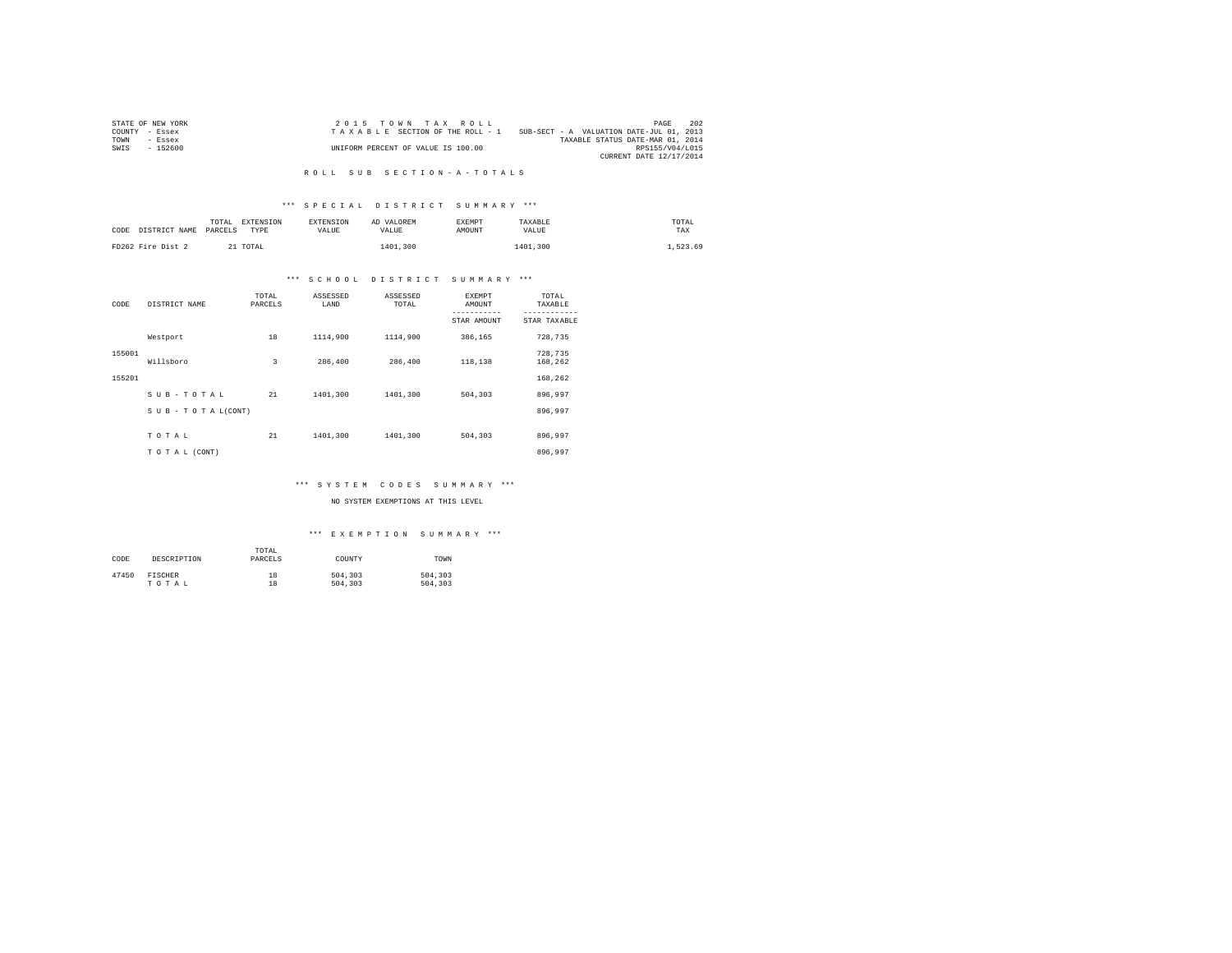| STATE OF NEW YORK | 2015 TOWN TAX ROLL                 |                                          | PAGE                    | 202 |
|-------------------|------------------------------------|------------------------------------------|-------------------------|-----|
| COUNTY - Essex    | TAXABLE SECTION OF THE ROLL - 1    | SUB-SECT - A VALUATION DATE-JUL 01, 2013 |                         |     |
| TOWN<br>- Essex   |                                    | TAXABLE STATUS DATE-MAR 01, 2014         |                         |     |
| $-152600$<br>SWIS | UNIFORM PERCENT OF VALUE IS 100.00 |                                          | RPS155/V04/L015         |     |
|                   |                                    |                                          | CURRENT DATE 12/17/2014 |     |

#### R O L L S U B S E C T I O N - A - T O T A L S

## \*\*\* S P E C I A L D I S T R I C T S U M M A R Y \*\*\*

| CODE DISTRICT NAME | <b>EXTENSION</b><br>TOTAL<br>PARCELS<br>TYPE | <b>EXTENSION</b><br>VALUE | AD VALOREM<br>VALUE | <b>EXEMPT</b><br>AMOUNT | TAXABLE<br>VALUE | TOTAL<br>TAX |
|--------------------|----------------------------------------------|---------------------------|---------------------|-------------------------|------------------|--------------|
| FD262 Fire Dist 2  | 21 TOTAL                                     |                           | 1401,300            |                         | 1401,300         | 1,523.69     |

## \*\*\* S C H O O L D I S T R I C T S U M M A R Y \*\*\*

| CODE   | DISTRICT NAME             | TOTAL<br>PARCELS | ASSESSED<br>LAND | ASSESSED<br>TOTAL | EXEMPT<br>AMOUNT | TOTAL<br>TAXABLE   |
|--------|---------------------------|------------------|------------------|-------------------|------------------|--------------------|
|        |                           |                  |                  |                   | STAR AMOUNT      | STAR TAXABLE       |
|        | Westport                  | 18               | 1114,900         | 1114,900          | 386,165          | 728,735            |
| 155001 | Willsboro                 | 3                | 286,400          | 286,400           | 118,138          | 728,735<br>168,262 |
| 155201 |                           |                  |                  |                   |                  | 168,262            |
|        | SUB-TOTAL                 | 21               | 1401,300         | 1401,300          | 504,303          | 896,997            |
|        | $S$ U B - T O T A L(CONT) |                  |                  |                   |                  | 896.997            |
|        |                           |                  |                  |                   |                  |                    |
|        | TOTAL                     | 21               | 1401,300         | 1401,300          | 504,303          | 896.997            |
|        | TO TAL (CONT)             |                  |                  |                   |                  | 896.997            |

## \*\*\* S Y S T E M C O D E S S U M M A R Y \*\*\*

NO SYSTEM EXEMPTIONS AT THIS LEVEL

#### \*\*\* E X E M P T I O N S U M M A R Y \*\*\*

| CODE  | DESCRIPTION    | TOTAL<br>PARCELS | COUNTY  | TOWN    |
|-------|----------------|------------------|---------|---------|
| 47450 | <b>FISCHER</b> | 18               | 504,303 | 504,303 |
|       | TOTAL          | 18               | 504,303 | 504,303 |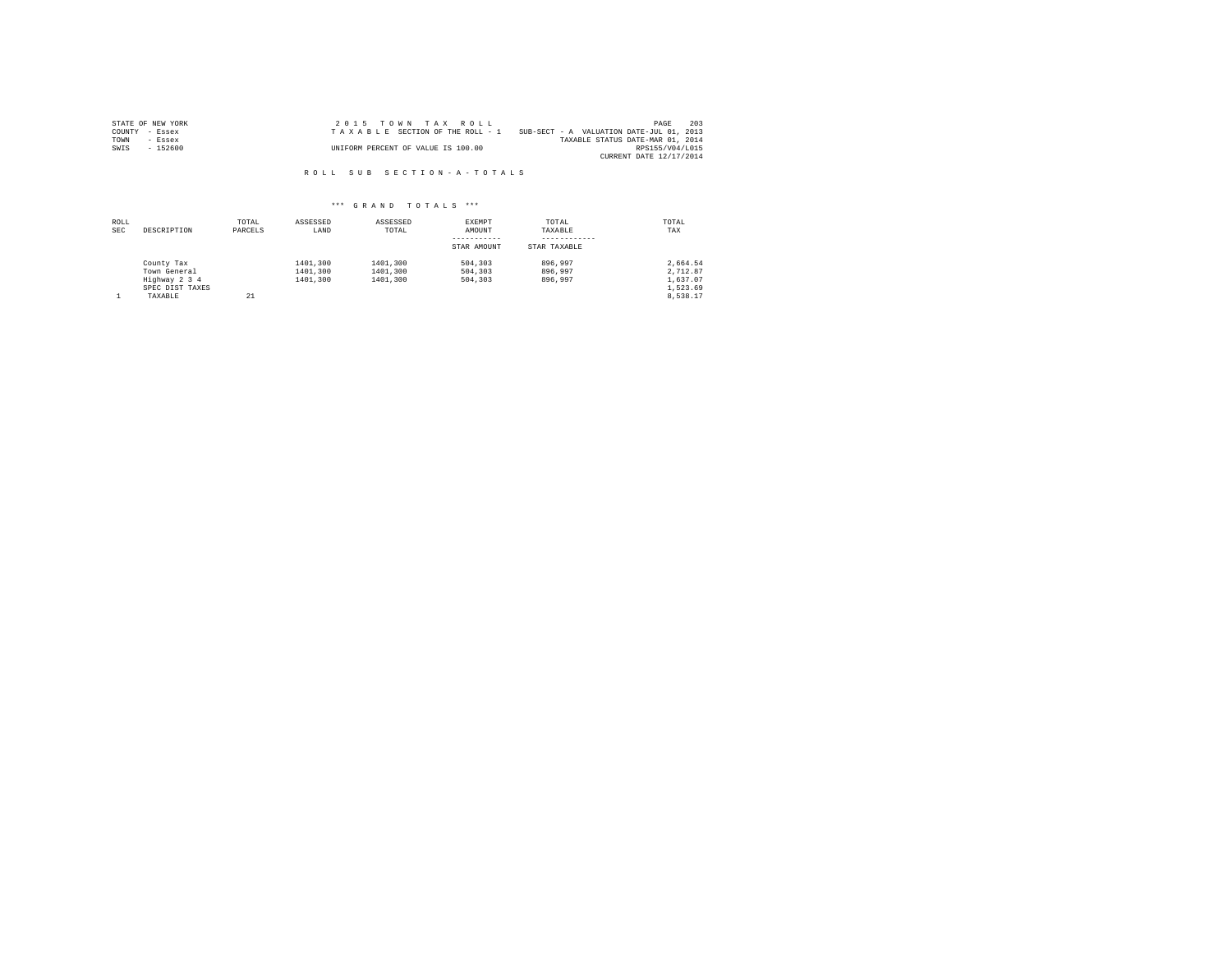| STATE OF NEW YORK | 2015 TOWN TAX ROLL                 | - 203<br>PAGE                            |
|-------------------|------------------------------------|------------------------------------------|
| COUNTY - Essex    | TAXABLE SECTION OF THE ROLL - 1    | SUB-SECT - A VALUATION DATE-JUL 01, 2013 |
| TOWN<br>$-$ Essex |                                    | TAXABLE STATUS DATE-MAR 01, 2014         |
| $-152600$<br>SWIS | UNIFORM PERCENT OF VALUE IS 100.00 | RPS155/V04/L015                          |
|                   |                                    | CURRENT DATE 12/17/2014                  |

R O L L S U B S E C T I O N - A - T O T A L S

| ROLL<br><b>SEC</b> | DESCRIPTION                                                    | TOTAL<br>PARCELS | ASSESSED<br>LAND                 | ASSESSED<br>TOTAL                | EXEMPT<br>AMOUNT              | TOTAL<br>TAXABLE              | TOTAL<br>TAX                                 |
|--------------------|----------------------------------------------------------------|------------------|----------------------------------|----------------------------------|-------------------------------|-------------------------------|----------------------------------------------|
|                    |                                                                |                  |                                  |                                  | STAR AMOUNT                   | STAR TAXABLE                  |                                              |
|                    | County Tax<br>Town General<br>Highway 2 3 4<br>SPEC DIST TAXES |                  | 1401,300<br>1401,300<br>1401,300 | 1401,300<br>1401,300<br>1401,300 | 504,303<br>504,303<br>504,303 | 896,997<br>896,997<br>896,997 | 2.664.54<br>2,712.87<br>1,637.07<br>1,523.69 |
|                    | TAXABLE                                                        | 21               |                                  |                                  |                               |                               | 8.538.17                                     |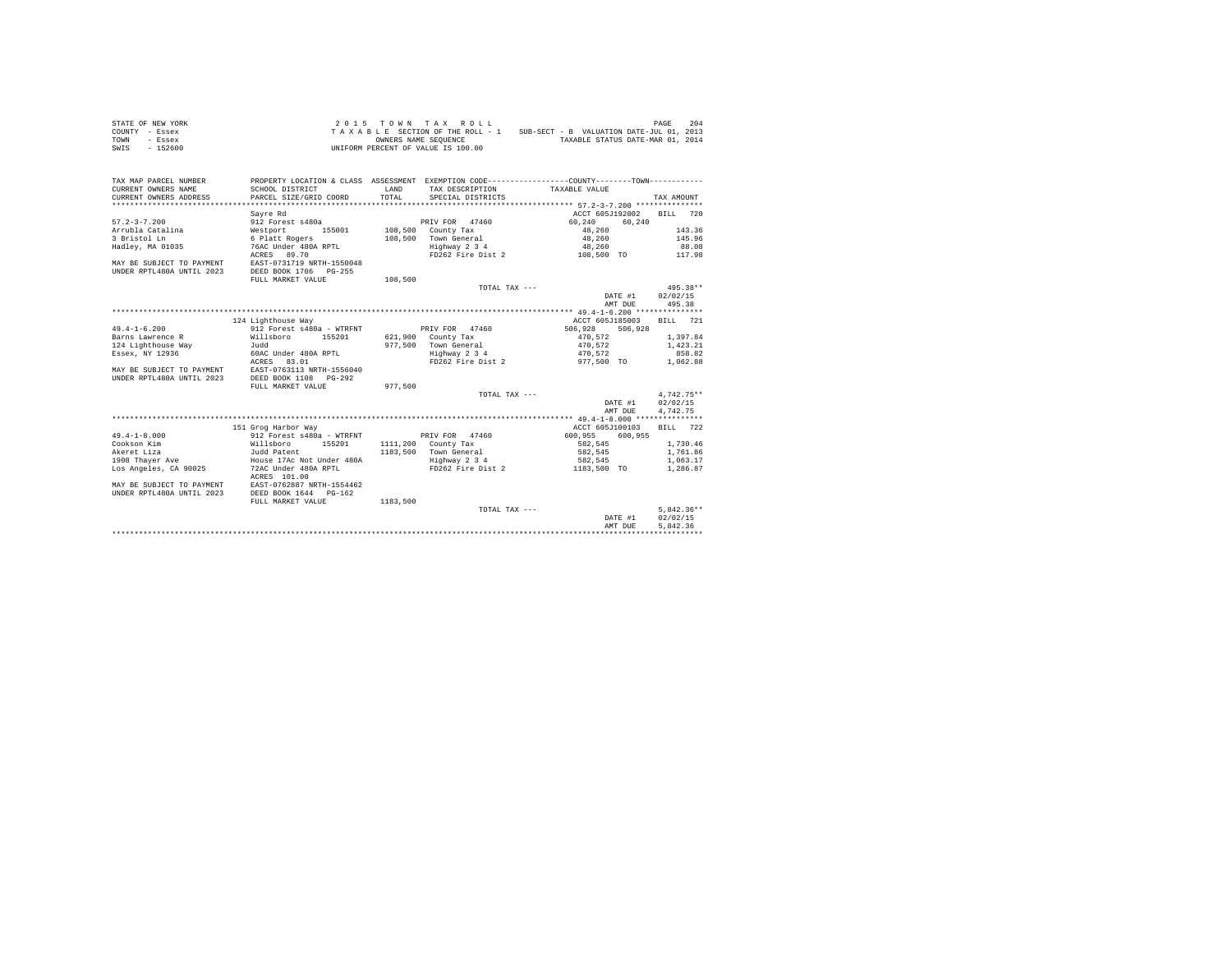| STATE OF NEW YORK | 2015 TOWN TAX ROLL                 | 204<br>PAGE                              |
|-------------------|------------------------------------|------------------------------------------|
| COUNTY - Essex    | TAXABLE SECTION OF THE ROLL - 1    | SUB-SECT - B VALUATION DATE-JUL 01, 2013 |
| TOWN<br>- Essex   | OWNERS NAME SEOUENCE               | TAXABLE STATUS DATE-MAR 01, 2014         |
| - 152600<br>SWIS  | UNIFORM PERCENT OF VALUE IS 100.00 |                                          |

| TAX MAP PARCEL NUMBER<br>CURRENT OWNERS NAME | SCHOOL DISTRICT              | LAND     | TAX DESCRIPTION     | PROPERTY LOCATION & CLASS ASSESSMENT EXEMPTION CODE----------------COUNTY-------TOWN----------<br>TAXABLE VALUE |                    |
|----------------------------------------------|------------------------------|----------|---------------------|-----------------------------------------------------------------------------------------------------------------|--------------------|
| CURRENT OWNERS ADDRESS                       | PARCEL SIZE/GRID COORD       | TOTAL    | SPECIAL DISTRICTS   |                                                                                                                 | TAX AMOUNT         |
|                                              |                              |          |                     |                                                                                                                 |                    |
|                                              | Savre Rd                     |          |                     | ACCT 605J192002                                                                                                 | 720<br>RTT.T.      |
| $57.2 - 3 - 7.200$                           | 912 Forest s480a             |          | PRIV FOR 47460      | 60.240<br>60.240                                                                                                |                    |
| Arrubla Catalina                             | Westport<br>155001           |          | 108,500 County Tax  | 48,260                                                                                                          | 143.36             |
| 3 Bristol Ln                                 | 6 Platt Rogers               | 108,500  | Town General        | 48,260                                                                                                          | 145.96             |
| Hadley, MA 01035                             | 76AC Under 480A RPTL         |          | Highway 2 3 4       | 48,260                                                                                                          | 88.08              |
|                                              | ACRES 89.70                  |          | FD262 Fire Dist 2   | 108,500 TO                                                                                                      | 117.98             |
| MAY BE SUBJECT TO PAYMENT                    | EAST-0731719 NRTH-1550048    |          |                     |                                                                                                                 |                    |
| UNDER RPTL480A UNTIL 2023                    | DEED BOOK 1706<br>$PG - 255$ |          |                     |                                                                                                                 |                    |
|                                              | FULL MARKET VALUE            | 108,500  |                     |                                                                                                                 |                    |
|                                              |                              |          | TOTAL TAX ---       |                                                                                                                 | $495.38**$         |
|                                              |                              |          |                     | DATE #1                                                                                                         | 02/02/15           |
|                                              |                              |          |                     | AMT DUE                                                                                                         | 495.38             |
|                                              |                              |          |                     |                                                                                                                 |                    |
|                                              | 124 Lighthouse Way           |          |                     | ACCT 605J185003                                                                                                 | <b>BILL</b><br>721 |
| $49.4 - 1 - 6.200$                           | 912 Forest s480a - WTRFNT    |          | PRIV FOR 47460      | 506,928<br>506,928                                                                                              |                    |
| Barns Lawrence R                             | Willsboro<br>155201          |          | 621,900 County Tax  | 470.572                                                                                                         | 1,397.84           |
| 124 Lighthouse Way                           | hhuT.                        | 977.500  | Town General        | 470.572                                                                                                         | 1,423.21           |
|                                              |                              |          |                     |                                                                                                                 |                    |
| Essex, NY 12936                              | 60AC Under 480A RPTL         |          | Highway 2 3 4       | 470.572                                                                                                         | 858.82             |
|                                              | ACRES<br>83.01               |          | FD262 Fire Dist 2   | 977,500 TO                                                                                                      | 1,062.88           |
| MAY BE SUBJECT TO PAYMENT                    | EAST-0763113 NRTH-1556040    |          |                     |                                                                                                                 |                    |
| UNDER RPTL480A UNTIL 2023                    | DEED BOOK 1108<br>$PG-292$   |          |                     |                                                                                                                 |                    |
|                                              | FULL MARKET VALUE            | 977.500  |                     |                                                                                                                 |                    |
|                                              |                              |          | TOTAL TAX ---       |                                                                                                                 | $4,742.75**$       |
|                                              |                              |          |                     | DATE #1                                                                                                         | 02/02/15           |
|                                              |                              |          |                     | AMT DUE                                                                                                         | 4.742.75           |
|                                              |                              |          |                     |                                                                                                                 |                    |
|                                              | 151 Grog Harbor Way          |          |                     | ACCT 605J100103                                                                                                 | <b>BILL</b><br>722 |
| $49.4 - 1 - 8.000$                           | 912 Forest s480a - WTRFNT    |          | PRIV FOR 47460      | 600.955<br>600.955                                                                                              |                    |
| Cookson Kim                                  | Willsboro<br>155201          |          | 1111,200 County Tax | 582.545                                                                                                         | 1,730.46           |
| Akeret Liza                                  | Judd Patent                  | 1183,500 | Town General        | 582.545                                                                                                         | 1,761.86           |
| 1908 Thaver Ave                              | House 17Ac Not Under 480A    |          | Highway 2 3 4       | 582.545                                                                                                         | 1,063.17           |
| Los Angeles, CA 90025                        | 72AC Under 480A RPTL         |          | FD262 Fire Dist 2   | 1183,500 TO                                                                                                     | 1,286.87           |
|                                              | ACRES 101.00                 |          |                     |                                                                                                                 |                    |
| MAY BE SUBJECT TO PAYMENT                    | EAST-0762887 NRTH-1554462    |          |                     |                                                                                                                 |                    |
| UNDER RPTL480A UNTIL 2023                    | DEED BOOK 1644 PG-162        |          |                     |                                                                                                                 |                    |
|                                              | FULL MARKET VALUE            | 1183,500 |                     |                                                                                                                 |                    |
|                                              |                              |          | TOTAL TAX ---       |                                                                                                                 | $5.842.36**$       |
|                                              |                              |          |                     | DATE #1                                                                                                         | 02/02/15           |
|                                              |                              |          |                     | AMT DUE                                                                                                         | 5.842.36           |
|                                              |                              |          |                     |                                                                                                                 |                    |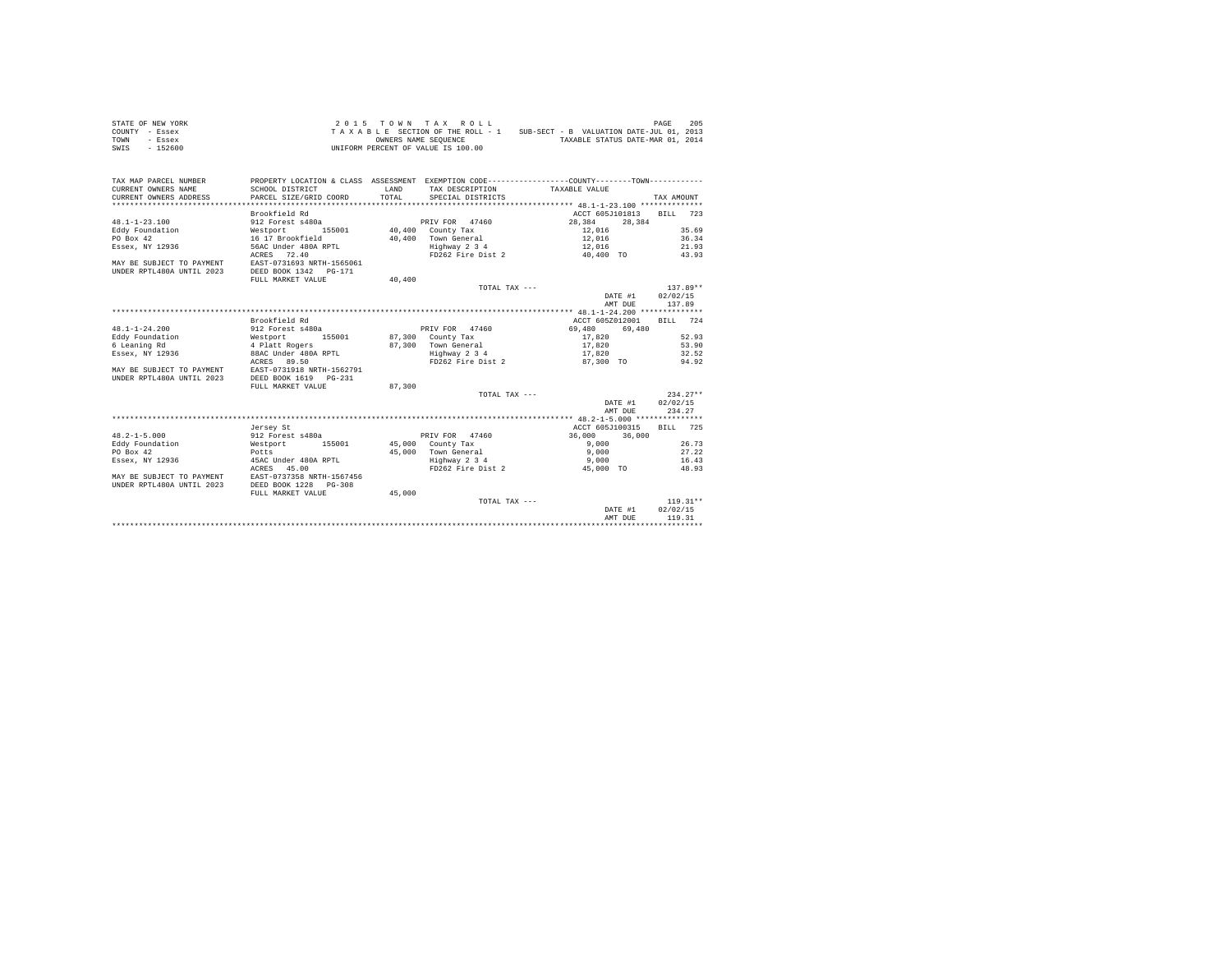| STATE OF NEW YORK | 2015 TOWN TAX ROLL                 | 205<br>PAGE                              |
|-------------------|------------------------------------|------------------------------------------|
| COUNTY - Essex    | TAXABLE SECTION OF THE ROLL - 1    | SUB-SECT - B VALUATION DATE-JUL 01, 2013 |
| TOWN<br>- Essex   | OWNERS NAME SEOUENCE               | TAXABLE STATUS DATE-MAR 01, 2014         |
| SWIS<br>$-152600$ | UNIFORM PERCENT OF VALUE IS 100.00 |                                          |

| TAX MAP PARCEL NUMBER<br>CURRENT OWNERS NAME<br>CURRENT OWNERS ADDRESS | SCHOOL DISTRICT<br>PARCEL SIZE/GRID COORD                                              | LAND<br>TOTAL.    | TAX DESCRIPTION<br>SPECIAL DISTRICTS | PROPERTY LOCATION & CLASS ASSESSMENT EXEMPTION CODE----------------COUNTY--------TOWN----------<br>TAXABLE VALUE | TAX AMOUNT |
|------------------------------------------------------------------------|----------------------------------------------------------------------------------------|-------------------|--------------------------------------|------------------------------------------------------------------------------------------------------------------|------------|
|                                                                        | Brookfield Rd                                                                          |                   |                                      | ACCT 605J101813                                                                                                  | BILL 723   |
|                                                                        | 912 Forest s480a                                                                       |                   |                                      |                                                                                                                  |            |
| $48.1 - 1 - 23.100$<br>Eddy Foundation                                 |                                                                                        |                   | PRIV FOR 47460                       | 28.384<br>28,384                                                                                                 | 35.69      |
|                                                                        | Westport 155001                                                                        |                   | 40,400 County Tax                    | $12,016$<br>12,016                                                                                               |            |
| PO Box 42                                                              | 16 17 Brookfield                                                                       |                   | 40.400 Town General                  |                                                                                                                  | 36.34      |
| Essex, NY 12936                                                        | 56AC Under 480A RPTL                                                                   |                   | Highway 2 3 4                        | 12,016                                                                                                           | 21.93      |
| MAY BE SUBJECT TO PAYMENT<br>UNDER RPTL480A UNTIL 2023                 | ACRES 72.40<br>EAST-0731693 NRTH-1565061<br>DEED BOOK 1342 PG-171<br>FULL MARKET VALUE | 40,400            |                                      | FD262 Fire Dist 2 40.400 TO 43.93                                                                                |            |
|                                                                        |                                                                                        |                   | TOTAL TAX ---                        |                                                                                                                  | $137.89**$ |
|                                                                        |                                                                                        |                   |                                      | DATE #1                                                                                                          | 02/02/15   |
|                                                                        |                                                                                        |                   |                                      | AMT DUE                                                                                                          | 137.89     |
|                                                                        |                                                                                        |                   |                                      |                                                                                                                  |            |
|                                                                        | Brookfield Rd                                                                          |                   |                                      | ACCT 605Z012001                                                                                                  | BILL 724   |
| $48.1 - 1 - 24.200$                                                    | 912 Forest s480a                                                                       |                   | PRIV FOR 47460                       | 69,480<br>69,480                                                                                                 |            |
| Eddy Foundation                                                        | Westport<br>155001                                                                     | 87,300 County Tax |                                      | 17,820                                                                                                           | 52.93      |
| 6 Leaning Rd                                                           | 4 Platt Rogers                                                                         |                   | 87,300 Town General                  | 17,820                                                                                                           | 53.90      |
| Essex, NY 12936                                                        | 88AC Under 480A RPTL                                                                   |                   | Highway 2 3 4                        | 17,820                                                                                                           | 32.52      |
|                                                                        | ACRES 89.50                                                                            |                   |                                      | FD262 Fire Dist 2 87,300 TO                                                                                      | 94.92      |
| MAY BE SUBJECT TO PAYMENT                                              | EAST-0731918 NRTH-1562791                                                              |                   |                                      |                                                                                                                  |            |
| UNDER RPTL480A UNTIL 2023                                              | DEED BOOK 1619 PG-231                                                                  |                   |                                      |                                                                                                                  |            |
|                                                                        | FULL MARKET VALUE                                                                      | 87,300            |                                      |                                                                                                                  |            |
|                                                                        |                                                                                        |                   | TOTAL TAX ---                        |                                                                                                                  | $234.27**$ |
|                                                                        |                                                                                        |                   |                                      | DATE #1                                                                                                          | 02/02/15   |
|                                                                        |                                                                                        |                   |                                      | AMT DUE                                                                                                          | 234.27     |
|                                                                        |                                                                                        |                   |                                      |                                                                                                                  |            |
|                                                                        | Jersey St                                                                              |                   |                                      | ACCT 605J100315                                                                                                  | BTT.T. 725 |
| $48.2 - 1 - 5.000$                                                     | 912 Forest s480a                                                                       |                   | PRIV FOR 47460                       | 36,000<br>36,000                                                                                                 |            |
| Eddy Foundation                                                        | 155001<br>Westport                                                                     |                   | 45,000 County Tax                    | 9.000                                                                                                            | 26.73      |
| PO Box 42                                                              | $Potts$                                                                                |                   | 45,000 Town General                  | 9,000                                                                                                            | 27.22      |
| Essex, NY 12936                                                        | 45AC Under 480A RPTL                                                                   |                   | Highway 2 3 4                        | 9,000                                                                                                            | 16.43      |
|                                                                        | ACRES 45.00                                                                            |                   | FD262 Fire Dist 2                    | 45,000 TO                                                                                                        | 48.93      |
| MAY BE SUBJECT TO PAYMENT                                              | EAST-0737358 NRTH-1567456                                                              |                   |                                      |                                                                                                                  |            |
| UNDER RPTL480A UNTIL 2023                                              | DEED BOOK 1228 PG-308                                                                  |                   |                                      |                                                                                                                  |            |
|                                                                        | FULL MARKET VALUE                                                                      | 45,000            |                                      |                                                                                                                  |            |
|                                                                        |                                                                                        |                   | TOTAL TAX ---                        |                                                                                                                  | $119.31**$ |
|                                                                        |                                                                                        |                   |                                      | DATE #1                                                                                                          | 02/02/15   |
|                                                                        |                                                                                        |                   |                                      | AMT DUE                                                                                                          | 119.31     |
|                                                                        |                                                                                        |                   |                                      |                                                                                                                  |            |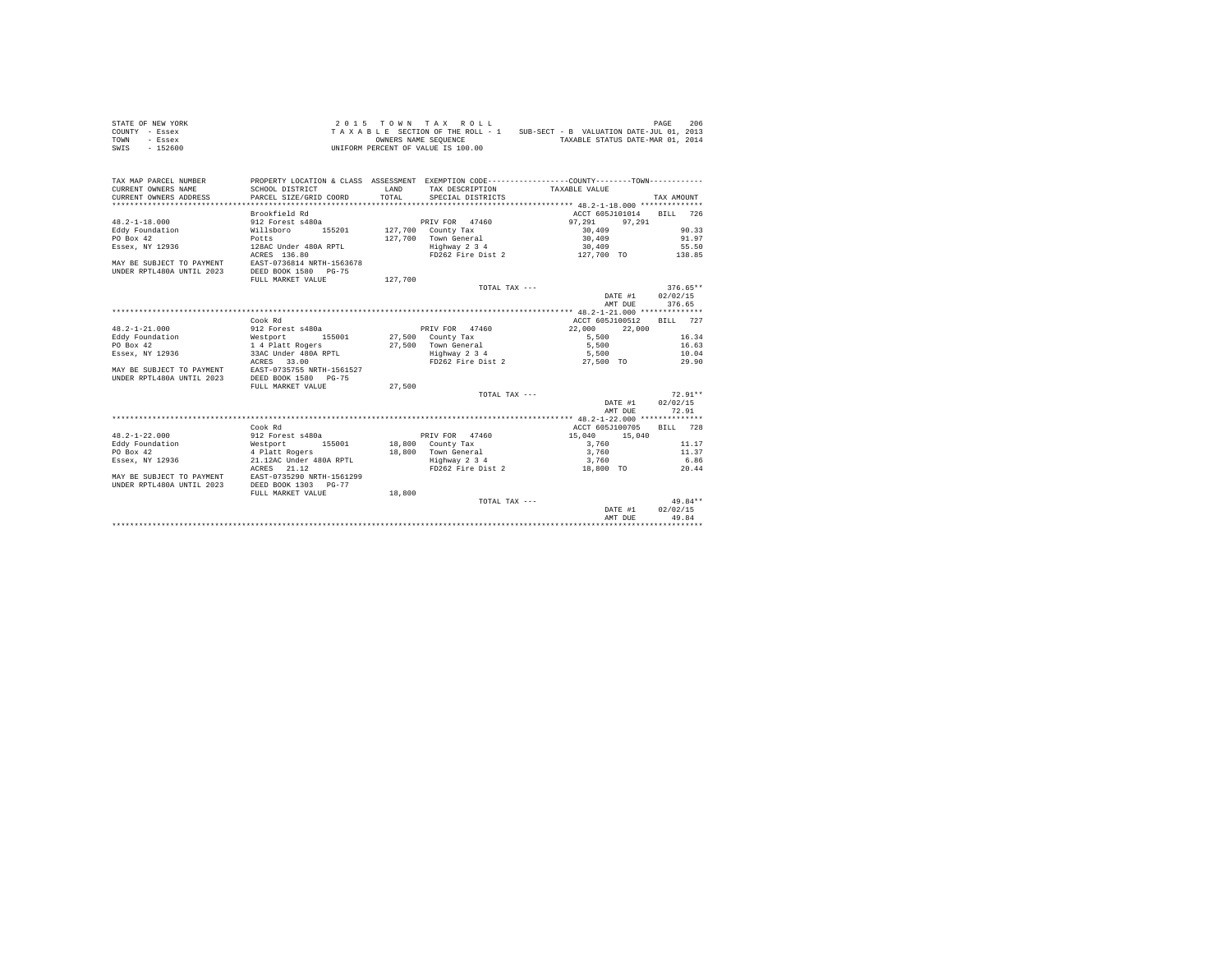| STATE OF NEW YORK | 2015 TOWN TAX ROLL                 | PAGE                                     | 206 |
|-------------------|------------------------------------|------------------------------------------|-----|
| COUNTY - Essex    | TAXABLE SECTION OF THE ROLL - 1    | SUB-SECT - B VALUATION DATE-JUL 01, 2013 |     |
| TOWN<br>- Essex   | OWNERS NAME SEOUENCE               | TAXABLE STATUS DATE-MAR 01, 2014         |     |
| SWIS<br>$-152600$ | UNIFORM PERCENT OF VALUE IS 100.00 |                                          |     |

| TAX MAP PARCEL NUMBER<br>CURRENT OWNERS NAME<br>CURRENT OWNERS ADDRESS | SCHOOL DISTRICT<br>PARCEL SIZE/GRID COORD                                              | LAND<br>TOTAL. | TAX DESCRIPTION TAXABLE VALUE<br>SPECIAL DISTRICTS | PROPERTY LOCATION & CLASS ASSESSMENT EXEMPTION CODE---------------COUNTY-------TOWN---------- | TAX AMOUNT |
|------------------------------------------------------------------------|----------------------------------------------------------------------------------------|----------------|----------------------------------------------------|-----------------------------------------------------------------------------------------------|------------|
|                                                                        |                                                                                        |                |                                                    | ACCT 605J101014                                                                               |            |
|                                                                        | Brookfield Rd                                                                          |                |                                                    |                                                                                               | BILL 726   |
| $48.2 - 1 - 18.000$<br>Eddy Foundation                                 | 912 Forest s480a                                                                       |                | PRIV FOR 47460                                     | 97,291<br>97.291                                                                              | 90.33      |
|                                                                        | Willsboro<br>155201                                                                    |                | 127,700 County Tax                                 | 30,409                                                                                        |            |
| PO Box 42                                                              | Potts                                                                                  |                | 127,700 Town General<br>Highway 2 3 4              | 30,409                                                                                        | 91.97      |
| Essex, NY 12936                                                        | 128AC Under 480A RPTL                                                                  |                |                                                    | 30,409                                                                                        | 55.50      |
| MAY BE SUBJECT TO PAYMENT<br>UNDER RPTL480A UNTIL 2023                 | ACRES 136.80<br>EAST-0736814 NRTH-1563678<br>DEED BOOK 1580 PG-75<br>FULL MARKET VALUE | 127,700        |                                                    | FD262 Fire Dist 2 127,700 TO 138.85                                                           |            |
|                                                                        |                                                                                        |                | TOTAL TAX ---                                      |                                                                                               | $376.65**$ |
|                                                                        |                                                                                        |                |                                                    | DATE #1 02/02/15                                                                              |            |
|                                                                        |                                                                                        |                |                                                    | AMT DUE                                                                                       | 376.65     |
|                                                                        |                                                                                        |                |                                                    |                                                                                               |            |
|                                                                        | Cook Rd                                                                                |                |                                                    | ACCT 605J100512                                                                               | BILL 727   |
| $48.2 - 1 - 21.000$                                                    | 912 Forest s480a                                                                       |                | PRIV FOR 47460                                     | 22.000<br>22,000                                                                              |            |
| Eddy Foundation                                                        | Westport 155001 27,500 County Tax                                                      |                |                                                    | 5,500                                                                                         | 16.34      |
| PO Box 42                                                              |                                                                                        |                | 27,500 Town General                                | 5,500                                                                                         | 16.63      |
| Essex, NY 12936                                                        | 1 4 Platt Rogers<br>33AC Under 480A RPTL                                               |                |                                                    |                                                                                               | 10.04      |
|                                                                        | ACRES 33.00                                                                            |                |                                                    | Highway 2 3 4 5,500<br>FD262 Fire Dist 2 27,500 TO                                            | 29.90      |
| MAY BE SUBJECT TO PAYMENT                                              | EAST-0735755 NRTH-1561527                                                              |                |                                                    |                                                                                               |            |
| UNDER RPTL480A UNTIL 2023                                              | DEED BOOK 1580 PG-75                                                                   |                |                                                    |                                                                                               |            |
|                                                                        | FULL MARKET VALUE                                                                      | 27,500         |                                                    |                                                                                               |            |
|                                                                        |                                                                                        |                | TOTAL TAX ---                                      |                                                                                               | $72.91**$  |
|                                                                        |                                                                                        |                |                                                    | DATE #1                                                                                       | 02/02/15   |
|                                                                        |                                                                                        |                |                                                    | AMT DUE                                                                                       | 72.91      |
|                                                                        |                                                                                        |                |                                                    |                                                                                               |            |
|                                                                        | Cook Rd                                                                                |                |                                                    | ACCT 605J100705                                                                               | BTT.T. 728 |
| $48.2 - 1 - 22.000$                                                    | 912 Forest s480a                                                                       |                | PRIV FOR 47460                                     | 15,040<br>15,040                                                                              |            |
| Eddy Foundation                                                        | 155001                                                                                 |                | 18,800 County Tax                                  | 3,760                                                                                         | 11.17      |
| PO Box 42                                                              | Westport 1<br>4 Platt Rogers                                                           |                | 18,800 Town General                                | 3,760                                                                                         | 11.37      |
| Essex, NY 12936                                                        | 21.12AC Under 480A RPTL                                                                |                | Highway 2 3 4                                      | 3,760                                                                                         | 6.86       |
|                                                                        | ACRES 21.12                                                                            |                | FD262 Fire Dist 2                                  | 18,800 TO                                                                                     | 20.44      |
| MAY BE SUBJECT TO PAYMENT EAST-0735290 NRTH-1561299                    |                                                                                        |                |                                                    |                                                                                               |            |
| UNDER RPTL480A UNTIL 2023                                              | DEED BOOK 1303 PG-77                                                                   |                |                                                    |                                                                                               |            |
|                                                                        | FULL MARKET VALUE                                                                      | 18,800         |                                                    |                                                                                               |            |
|                                                                        |                                                                                        |                | TOTAL TAX ---                                      |                                                                                               | $49.84**$  |
|                                                                        |                                                                                        |                |                                                    | DATE #1                                                                                       | 02/02/15   |
|                                                                        |                                                                                        |                |                                                    | AMT DUE                                                                                       | 49.84      |
|                                                                        |                                                                                        |                |                                                    |                                                                                               |            |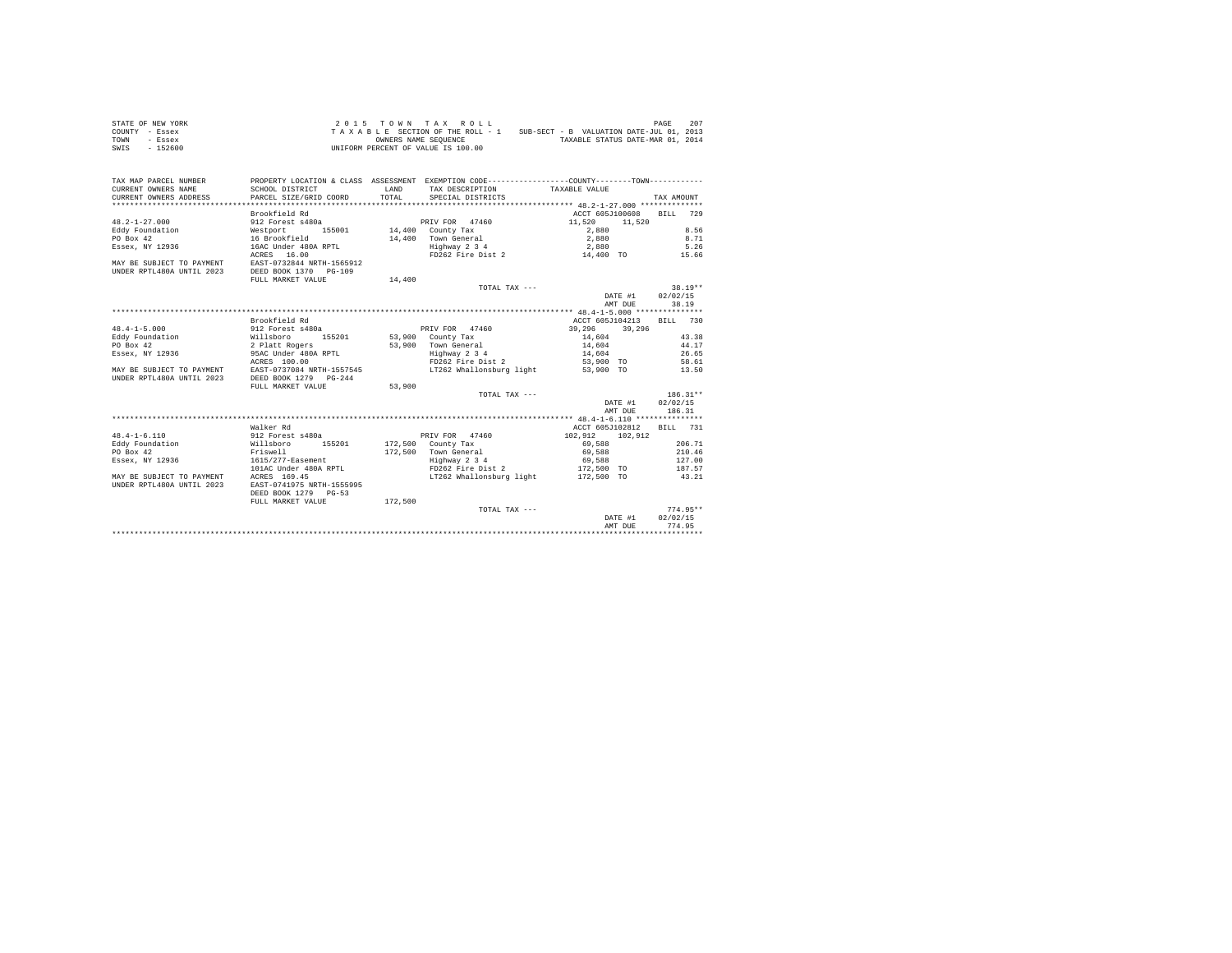| STATE OF NEW YORK | 2015 TOWN TAX ROLL                 | 207<br>PAGE                              |
|-------------------|------------------------------------|------------------------------------------|
| COUNTY - Essex    | TAXABLE SECTION OF THE ROLL - 1    | SUB-SECT - B VALUATION DATE-JUL 01, 2013 |
| TOWN<br>$-$ Essex | OWNERS NAME SEOUENCE               | TAXABLE STATUS DATE-MAR 01, 2014         |
| SWIS<br>$-152600$ | UNIFORM PERCENT OF VALUE IS 100.00 |                                          |

| TAX MAP PARCEL NUMBER     |                           |         | PROPERTY LOCATION & CLASS ASSESSMENT EXEMPTION CODE----------------COUNTY-------TOWN---------- |                  |                    |
|---------------------------|---------------------------|---------|------------------------------------------------------------------------------------------------|------------------|--------------------|
| CURRENT OWNERS NAME       | SCHOOL DISTRICT           | T.AND   | TAX DESCRIPTION                                                                                | TAXABLE VALUE    |                    |
| CURRENT OWNERS ADDRESS    | PARCEL SIZE/GRID COORD    | TOTAL.  | SPECIAL DISTRICTS                                                                              |                  | TAX AMOUNT         |
|                           |                           |         |                                                                                                |                  |                    |
|                           | Brookfield Rd             |         |                                                                                                | ACCT 605J100608  | <b>BILL</b><br>729 |
| $48.2 - 1 - 27.000$       | 912 Forest s480a          |         | PRIV FOR 47460                                                                                 | 11,520<br>11,520 |                    |
| Eddy Foundation           | 155001<br>Westport        |         | 14,400 County Tax                                                                              | 2,880            | 8.56               |
| PO Box 42                 | 16 Brookfield             | 14,400  | Town General                                                                                   | 2,880            | 8.71               |
| Essex, NY 12936           | 16AC Under 480A RPTL      |         | Highway 2 3 4                                                                                  | 2,880            | 5.26               |
|                           | ACRES 16.00               |         | FD262 Fire Dist 2                                                                              | 14,400 TO        | 15.66              |
| MAY BE SUBJECT TO PAYMENT | EAST-0732844 NRTH-1565912 |         |                                                                                                |                  |                    |
| UNDER RPTL480A UNTIL 2023 | DEED BOOK 1370 PG-109     |         |                                                                                                |                  |                    |
|                           | FULL MARKET VALUE         | 14,400  |                                                                                                |                  |                    |
|                           |                           |         | TOTAL TAX ---                                                                                  |                  | $38.19**$          |
|                           |                           |         |                                                                                                | DATE #1          | 02/02/15           |
|                           |                           |         |                                                                                                | AMT DUE          | 38.19              |
|                           |                           |         |                                                                                                |                  |                    |
|                           | Brookfield Rd             |         |                                                                                                | ACCT 605J104213  | BILL 730           |
| $48.4 - 1 - 5.000$        | 912 Forest s480a          |         | PRIV FOR 47460                                                                                 | 39,296<br>39,296 |                    |
| Eddy Foundation           | Willsboro<br>155201       |         | 53,900 County Tax                                                                              | 14,604           | 43.38              |
| PO Box 42                 | 2 Platt Rogers            |         | 53,900 Town General                                                                            | 14,604           | 44.17              |
|                           |                           |         |                                                                                                |                  | 26.65              |
| Essex, NY 12936           | 95AC Under 480A RPTL      |         | Highway 2 3 4                                                                                  | 14,604           |                    |
|                           | ACRES 100.00              |         | FD262 Fire Dist 2                                                                              | 53,900 TO        | 58.61              |
| MAY BE SUBJECT TO PAYMENT | EAST-0737084 NRTH-1557545 |         | LT262 Whallonsburg light                                                                       | 53,900 TO        | 13.50              |
| UNDER RPTL480A UNTIL 2023 | DEED BOOK 1279 PG-244     |         |                                                                                                |                  |                    |
|                           | FULL MARKET VALUE         | 53,900  |                                                                                                |                  |                    |
|                           |                           |         | TOTAL TAX $---$                                                                                |                  | $186.31**$         |
|                           |                           |         |                                                                                                | DATE #1          | 02/02/15           |
|                           |                           |         |                                                                                                | AMT DUE          | 186.31             |
|                           |                           |         |                                                                                                |                  |                    |
|                           | Walker Rd                 |         |                                                                                                | ACCT 605J102812  | BILL 731           |
| $48.4 - 1 - 6.110$        | 912 Forest s480a          |         | PRIV FOR 47460                                                                                 | 102.912 102.912  |                    |
| Eddy Foundation           | 155201<br>Willsboro       |         | 172,500 County Tax                                                                             | 69,588           | 206.71             |
| PO Box 42                 | Friswell                  |         | 172,500 Town General                                                                           | 69,588           | 210.46             |
| Essex, NY 12936           | 1615/277-Easement         |         | Highway 2 3 4                                                                                  | 69,588           | 127.00             |
|                           | 101AC Under 480A RPTL     |         | FD262 Fire Dist 2                                                                              | 172,500 TO       | 187.57             |
| MAY BE SUBJECT TO PAYMENT | ACRES 169.45              |         | LT262 Whallonsburg light                                                                       | 172,500 TO       | 43.21              |
| UNDER RPTL480A UNTIL 2023 | EAST-0741975 NRTH-1555995 |         |                                                                                                |                  |                    |
|                           | DEED BOOK 1279 PG-53      |         |                                                                                                |                  |                    |
|                           | FULL MARKET VALUE         | 172,500 |                                                                                                |                  |                    |
|                           |                           |         | TOTAL TAX ---                                                                                  |                  | $774.95**$         |
|                           |                           |         |                                                                                                | DATE #1          | 02/02/15           |
|                           |                           |         |                                                                                                | AMT DUE          | 774.95             |
|                           |                           |         |                                                                                                |                  |                    |
|                           |                           |         |                                                                                                |                  |                    |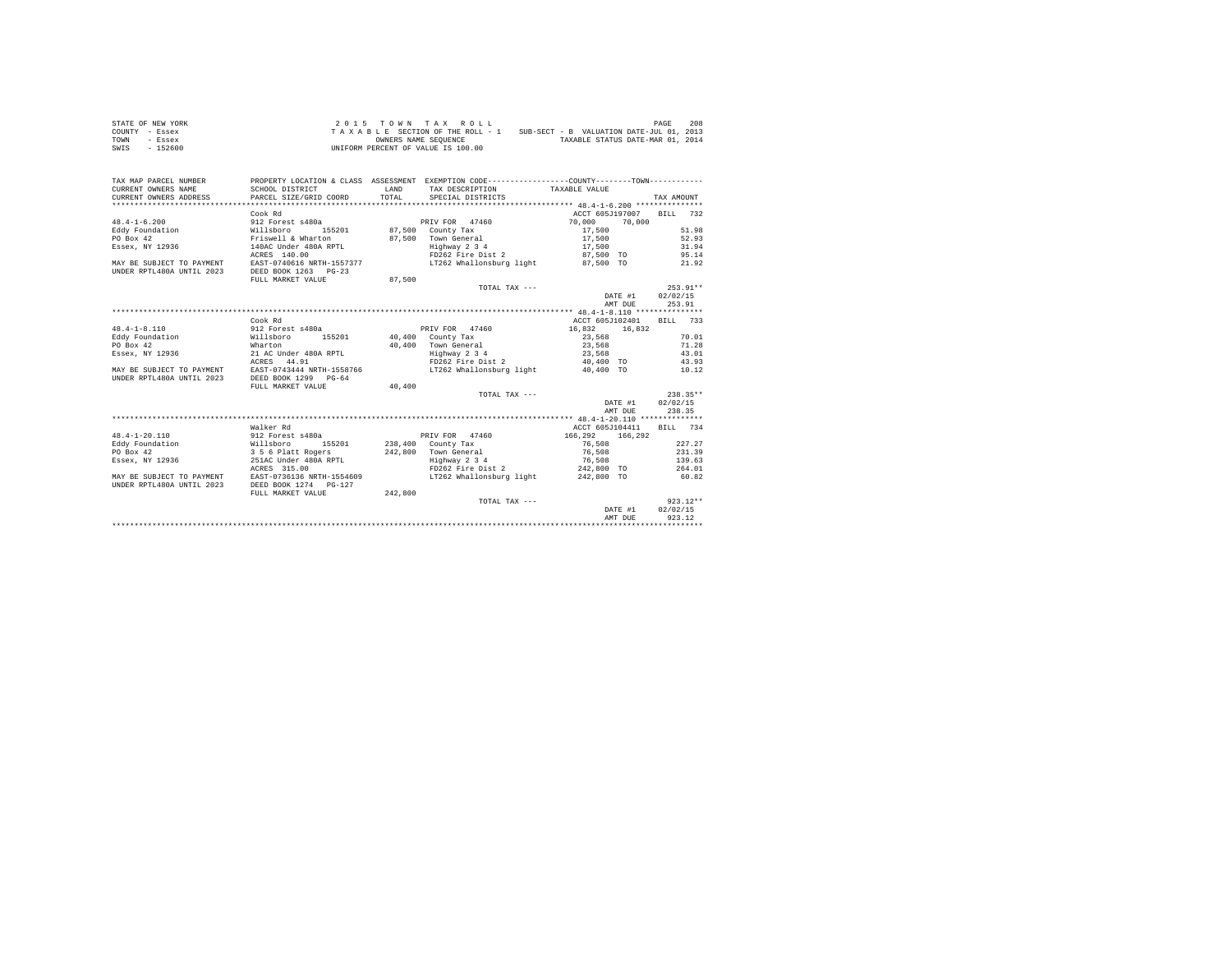| STATE OF NEW YORK | 2015 TOWN TAX ROLL                                                          | 208<br>PAGE                      |
|-------------------|-----------------------------------------------------------------------------|----------------------------------|
| COUNTY - Essex    | SUB-SECT - B VALUATION DATE-JUL 01, 2013<br>TAXABLE SECTION OF THE ROLL - 1 |                                  |
| TOWN<br>- Essex   | OWNERS NAME SEOUENCE                                                        | TAXABLE STATUS DATE-MAR 01, 2014 |
| SWIS<br>$-152600$ | UNIFORM PERCENT OF VALUE IS 100.00                                          |                                  |

| TAX MAP PARCEL NUMBER<br>CURRENT OWNERS NAME<br>CURRENT OWNERS ADDRESS | SCHOOL DISTRICT<br>PARCEL SIZE/GRID COORD     | LAND<br>TOTAL.    | PROPERTY LOCATION & CLASS ASSESSMENT EXEMPTION CODE----------------COUNTY--------TOWN----------<br>TAX DESCRIPTION TAXABLE VALUE<br>SPECIAL DISTRICTS |                 |         | TAX AMOUNT |            |
|------------------------------------------------------------------------|-----------------------------------------------|-------------------|-------------------------------------------------------------------------------------------------------------------------------------------------------|-----------------|---------|------------|------------|
|                                                                        | Cook Rd                                       |                   |                                                                                                                                                       | ACCT 605J197007 |         | BILL 732   |            |
|                                                                        | 912 Forest s480a                              |                   |                                                                                                                                                       |                 |         |            |            |
| $48.4 - 1 - 6.200$                                                     |                                               |                   | PRIV FOR 47460                                                                                                                                        | 70,000          | 70,000  |            |            |
| Eddy Foundation                                                        | Willsboro<br>155201                           |                   | 87,500 County Tax                                                                                                                                     | 17,500          |         |            | 51.98      |
| PO Box 42                                                              | Friswell & Wharton                            |                   | 87,500 Town General                                                                                                                                   | 17,500          |         |            | 52.93      |
| Essex, NY 12936                                                        | 140AC Under 480A RPTL                         |                   | Highway 2 3 4                                                                                                                                         | 17,500          |         |            | 31.94      |
|                                                                        | ACRES 140.00                                  |                   | FD262 Fire Dist 2                                                                                                                                     | 87,500 TO       |         | 95.14      |            |
| MAY BE SUBJECT TO PAYMENT                                              | EAST-0740616 NRTH-1557377                     |                   | LT262 Whallonsburg light                                                                                                                              | 87.500 TO       |         |            | 21.92      |
| UNDER RPTL480A UNTIL 2023                                              | DEED BOOK 1263 PG-23                          |                   |                                                                                                                                                       |                 |         |            |            |
|                                                                        | FULL MARKET VALUE                             | 87,500            |                                                                                                                                                       |                 |         |            |            |
|                                                                        |                                               |                   | TOTAL TAX ---                                                                                                                                         |                 |         |            | $253.91**$ |
|                                                                        |                                               |                   |                                                                                                                                                       |                 | DATE #1 | 02/02/15   |            |
|                                                                        |                                               |                   |                                                                                                                                                       |                 | AMT DUE | 253.91     |            |
|                                                                        |                                               |                   |                                                                                                                                                       |                 |         |            |            |
|                                                                        | Cook Rd                                       |                   |                                                                                                                                                       | ACCT 605J102401 |         | BILL 733   |            |
| $48.4 - 1 - 8.110$                                                     | 912 Forest s480a                              |                   | PRIV FOR 47460                                                                                                                                        | 16,832          | 16,832  |            |            |
| Eddy Foundation<br>Willsboro                                           | 155201                                        | 40,400 County Tax |                                                                                                                                                       | 23,568          |         |            | 70.01      |
| PO Box 42                                                              | Wharton                                       |                   | 40,400 Town General                                                                                                                                   | 23,568          |         |            | 71.28      |
| Essex, NY 12936                                                        | 21 AC Under 480A RPTL                         |                   | Highway 2 3 4                                                                                                                                         | 23,568          |         |            | 43.01      |
|                                                                        | ACRES 44.91                                   |                   | FD262 Fire Dist 2 40,400 TO                                                                                                                           |                 |         | 43.93      |            |
| MAY BE SUBJECT TO PAYMENT                                              | EAST-0743444 NRTH-1558766                     |                   | LT262 Whallonsburg light 40.400 TO                                                                                                                    |                 |         |            | 10.12      |
| UNDER RPTL480A UNTIL 2023                                              | DEED BOOK 1299 PG-64                          |                   |                                                                                                                                                       |                 |         |            |            |
|                                                                        | FULL MARKET VALUE                             | 40,400            |                                                                                                                                                       |                 |         |            |            |
|                                                                        |                                               |                   | TOTAL TAX ---                                                                                                                                         |                 |         | $238.35**$ |            |
|                                                                        |                                               |                   |                                                                                                                                                       |                 | DATE #1 | 02/02/15   |            |
|                                                                        |                                               |                   |                                                                                                                                                       |                 | AMT DUE | 238.35     |            |
|                                                                        |                                               |                   |                                                                                                                                                       |                 |         |            |            |
|                                                                        | Walker Rd                                     |                   |                                                                                                                                                       | ACCT 605J104411 |         | RTLL 734   |            |
| $48.4 - 1 - 20.110$                                                    | 912 Forest s480a                              |                   | PRIV FOR 47460                                                                                                                                        | 166,292         | 166.292 |            |            |
| Eddy Foundation                                                        | Willsboro 15!<br>3 5 6 Platt Rogers<br>155201 |                   | 238,400 County Tax                                                                                                                                    | 76,508          |         |            | 227.27     |
| PO Box 42                                                              |                                               |                   | 242.800 Town General                                                                                                                                  | 76,508          |         |            | 231.39     |
| Essex, NY 12936                                                        | 251AC Under 480A RPTL                         |                   | Highway 2 3 4                                                                                                                                         | 76.508          |         | 139.63     |            |
|                                                                        | ACRES 315.00                                  |                   | FD262 Fire Dist 2                                                                                                                                     | 242,800 TO      |         | 264.01     |            |
| MAY BE SUBJECT TO PAYMENT EAST-0736136 NRTH-1554609                    |                                               |                   | LT262 Whallonsburg light                                                                                                                              | 242,800 TO      |         |            | 60.82      |
| UNDER RPTL480A UNTIL 2023                                              | DEED BOOK 1274   PG-127                       |                   |                                                                                                                                                       |                 |         |            |            |
|                                                                        | FULL MARKET VALUE                             | 242,800           |                                                                                                                                                       |                 |         |            |            |
|                                                                        |                                               |                   | TOTAL TAX ---                                                                                                                                         |                 |         |            | $923.12**$ |
|                                                                        |                                               |                   |                                                                                                                                                       |                 | DATE #1 | 02/02/15   |            |
|                                                                        |                                               |                   |                                                                                                                                                       |                 | AMT DUE | 923.12     |            |
|                                                                        |                                               |                   |                                                                                                                                                       |                 |         |            |            |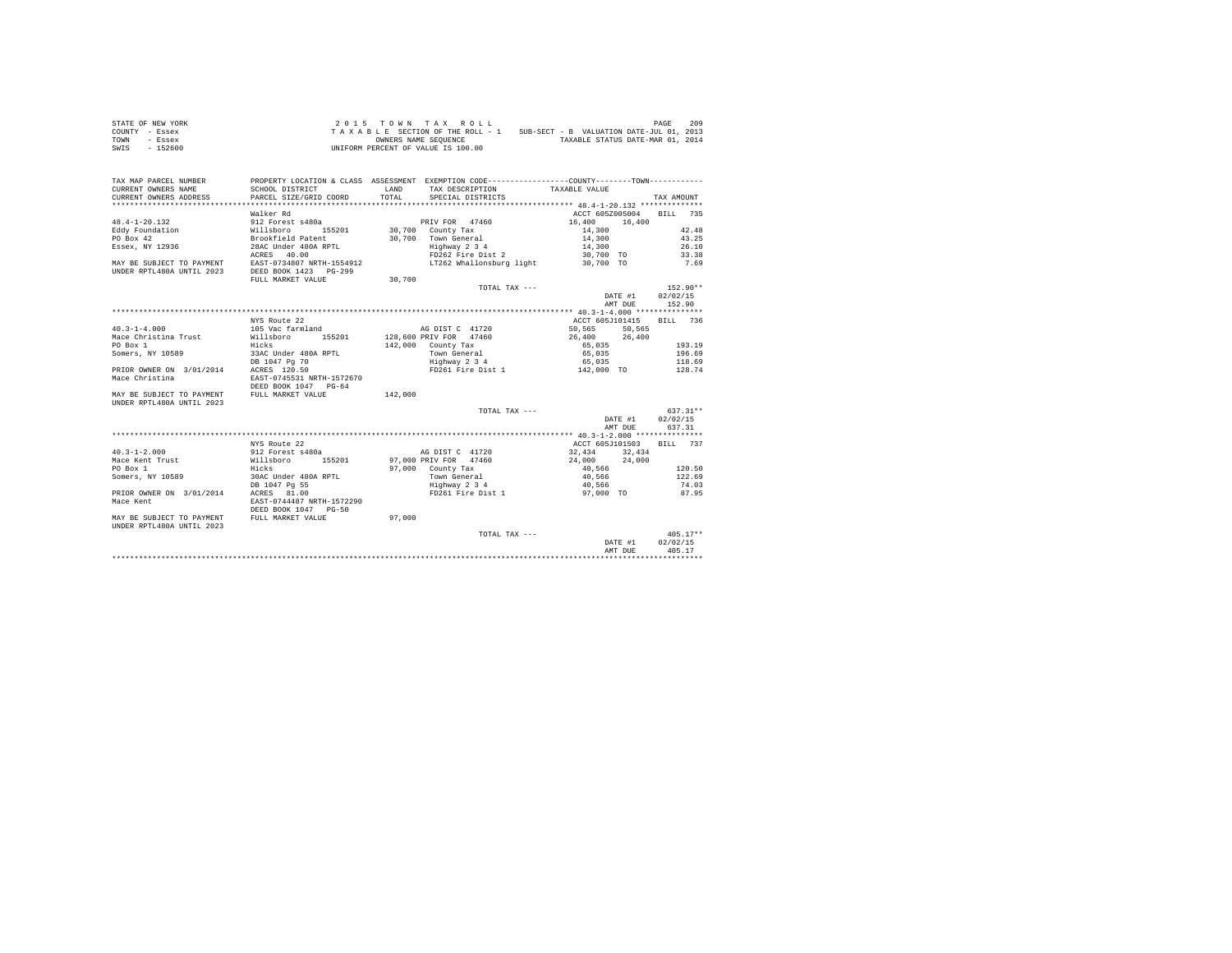| STATE OF NEW YORK | 2015 TOWN TAX ROLL                 | 209<br>PAGE                              |
|-------------------|------------------------------------|------------------------------------------|
| COUNTY - Essex    | TAXABLE SECTION OF THE ROLL - 1    | SUB-SECT - B VALUATION DATE-JUL 01, 2013 |
| TOWN<br>- Essex   | OWNERS NAME SEOUENCE               | TAXABLE STATUS DATE-MAR 01, 2014         |
| SWIS<br>$-152600$ | UNIFORM PERCENT OF VALUE IS 100.00 |                                          |

| TAX MAP PARCEL NUMBER                                  | PROPERTY LOCATION & CLASS ASSESSMENT EXEMPTION CODE----------------COUNTY-------TOWN---------- |         |                         |                                    |                                                    |         |                          |
|--------------------------------------------------------|------------------------------------------------------------------------------------------------|---------|-------------------------|------------------------------------|----------------------------------------------------|---------|--------------------------|
| CURRENT OWNERS NAME                                    | SCHOOL DISTRICT                                                                                |         |                         |                                    | LAND TAX DESCRIPTION TAXABLE VALUE                 |         |                          |
| <b>CURRENT OWNERS ADDRESS PARCEL SIZE/GRID COORD</b>   |                                                                                                |         | TOTAL SPECIAL DISTRICTS |                                    |                                                    |         | TAX AMOUNT               |
|                                                        |                                                                                                |         |                         |                                    |                                                    |         |                          |
|                                                        | Walker Rd                                                                                      |         |                         |                                    |                                                    |         | ACCT 605Z005004 BILL 735 |
| $48.4 - 1 - 20.132$                                    |                                                                                                |         |                         |                                    | PRIV FOR 47460 16,400                              | 16,400  |                          |
| Eddy Foundation                                        |                                                                                                |         | 30.700 County Tax       |                                    | 14,300                                             |         | 42.48                    |
| PO Box 42                                              |                                                                                                |         | 30,700 Town General     |                                    | 14,300                                             |         | 43.25                    |
| Essex, NY 12936                                        | 28AC Under 480A RPTL                                                                           |         | Highway 2 3 4           |                                    | 14,300<br>30,700 TO                                |         | 26.10                    |
|                                                        | ACRES 40.00                                                                                    |         | FD262 Fire Dist 2       |                                    |                                                    |         | 33.38                    |
|                                                        |                                                                                                |         |                         |                                    |                                                    |         |                          |
|                                                        |                                                                                                |         |                         |                                    |                                                    |         |                          |
|                                                        | FULL MARKET VALUE                                                                              | 30,700  |                         |                                    |                                                    |         |                          |
|                                                        |                                                                                                |         |                         | TOTAL TAX ---                      |                                                    |         | $152.90**$               |
|                                                        |                                                                                                |         |                         |                                    | DATE #1 02/02/15                                   |         |                          |
|                                                        |                                                                                                |         |                         |                                    |                                                    |         | AMT DUE 152.90           |
|                                                        |                                                                                                |         |                         |                                    |                                                    |         |                          |
|                                                        | NYS Route 22                                                                                   |         |                         |                                    |                                                    |         | ACCT 605J101415 BILL 736 |
| $40.3 - 1 - 4.000$                                     | 105 Vac farmland                                                                               |         | AG DIST C 41720         |                                    | 50,565 50,565                                      |         |                          |
|                                                        |                                                                                                |         |                         |                                    |                                                    |         |                          |
| PO Box 1                                               | Hicks                                                                                          |         | 142,000 County Tax      |                                    | 65,035                                             |         | 193.19                   |
| Somers, NY 10589                                       | 33AC Under 480A RPTL                                                                           |         | Town General            |                                    | 65,035                                             |         | 196.69                   |
| DB 1047 Pg 70<br>PRIOR OWNER ON 3/01/2014 ACRES 120.50 |                                                                                                |         |                         | Highway 2 3 4<br>FD261 Fire Dist 1 | $65,035$<br>$142,000$ TO                           |         | 118.69                   |
|                                                        |                                                                                                |         |                         |                                    |                                                    |         | 128.74                   |
| Mace Christina                                         | EAST-0745531 NRTH-1572670                                                                      |         |                         |                                    |                                                    |         |                          |
|                                                        | DEED BOOK 1047 PG-64                                                                           |         |                         |                                    |                                                    |         |                          |
| MAY BE SUBJECT TO PAYMENT FULL MARKET VALUE            |                                                                                                | 142,000 |                         |                                    |                                                    |         |                          |
| UNDER RPTL480A UNTIL 2023                              |                                                                                                |         |                         | TOTAL TAX ---                      |                                                    |         |                          |
|                                                        |                                                                                                |         |                         |                                    |                                                    |         | $637.31**$               |
|                                                        |                                                                                                |         |                         |                                    |                                                    |         | DATE #1 02/02/15         |
|                                                        |                                                                                                |         |                         |                                    |                                                    | AMT DUE | 637.31                   |
|                                                        | NYS Route 22                                                                                   |         |                         |                                    |                                                    |         | ACCT 605J101503 BILL 737 |
| $40.3 - 1 - 2.000$                                     | 912 Forest s480a                                                                               |         |                         | AG DIST C 41720                    | 32,434 32,434                                      |         |                          |
|                                                        |                                                                                                |         |                         |                                    |                                                    |         |                          |
|                                                        |                                                                                                |         | 97,000 County Tax       |                                    | 97,000 PRIV FOR 47460 24,000 24,000<br>40,566      |         | 120.50                   |
| Somers, NY 10589 30AC Under 480A RPTL                  |                                                                                                |         |                         |                                    | Town General 40,566                                |         | 122.69                   |
|                                                        | DB 1047 Pg 55                                                                                  |         |                         |                                    |                                                    |         | 74.03                    |
| PRIOR OWNER ON 3/01/2014                               | ACRES 81.00                                                                                    |         |                         |                                    | Eighway 2 3 4<br>FD261 Fire Dist 1 57,000 TO 87.95 |         |                          |
| Mace Kent                                              | EAST-0744487 NRTH-1572290                                                                      |         |                         |                                    |                                                    |         |                          |
|                                                        | DEED BOOK 1047 PG-50                                                                           |         |                         |                                    |                                                    |         |                          |
| MAY BE SUBJECT TO PAYMENT FULL MARKET VALUE            |                                                                                                | 97,000  |                         |                                    |                                                    |         |                          |
| UNDER RPTL480A UNTIL 2023                              |                                                                                                |         |                         |                                    |                                                    |         |                          |
|                                                        |                                                                                                |         |                         | TOTAL TAX ---                      |                                                    |         | $405.17**$               |
|                                                        |                                                                                                |         |                         |                                    |                                                    | DATE #1 | 02/02/15                 |
|                                                        |                                                                                                |         |                         |                                    |                                                    | AMT DUE | 405.17                   |
|                                                        |                                                                                                |         |                         |                                    |                                                    |         |                          |
|                                                        |                                                                                                |         |                         |                                    |                                                    |         |                          |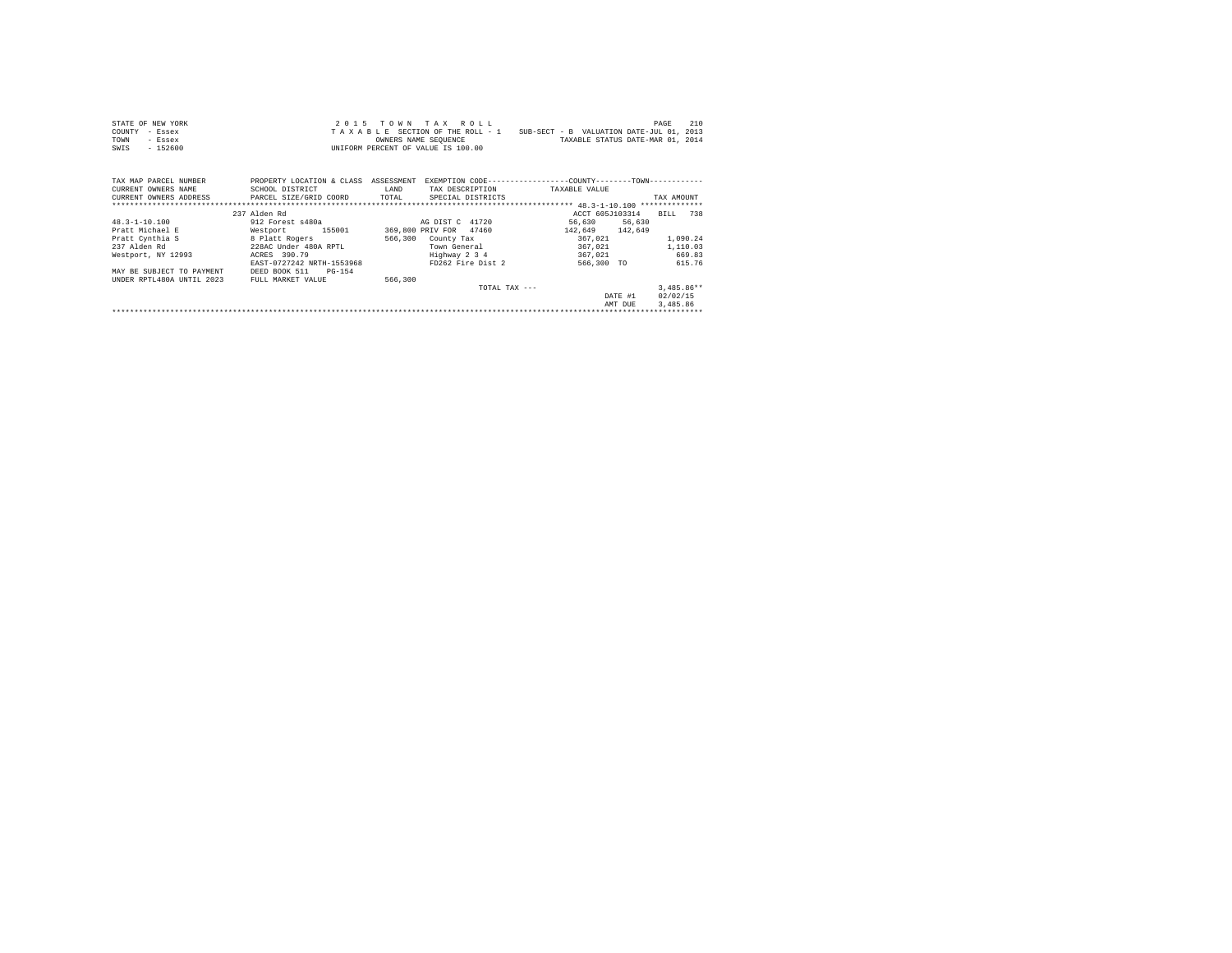| STATE OF NEW YORK | 2015 TOWN TAX ROLL                 | 210<br>PAGE                              |
|-------------------|------------------------------------|------------------------------------------|
| COUNTY - Essex    | TAXABLE SECTION OF THE ROLL - 1    | SUB-SECT - B VALUATION DATE-JUL 01, 2013 |
| TOWN<br>- Essex   | OWNERS NAME SEOUENCE               | TAXABLE STATUS DATE-MAR 01, 2014         |
| $-152600$<br>SWIS | UNIFORM PERCENT OF VALUE IS 100.00 |                                          |

| TAX MAP PARCEL NUMBER<br>CURRENT OWNERS NAME | PROPERTY LOCATION & CLASS<br>SCHOOL DISTRICT | ASSESSMENT<br>LAND | EXEMPTION CODE---<br>TAX DESCRIPTION | ------------COUNTY--------TOWN-----------<br>TAXABLE VALUE |                              |
|----------------------------------------------|----------------------------------------------|--------------------|--------------------------------------|------------------------------------------------------------|------------------------------|
| CURRENT OWNERS ADDRESS                       | PARCEL SIZE/GRID COORD                       | TOTAL              | SPECIAL DISTRICTS                    |                                                            | TAX AMOUNT<br>************** |
|                                              | 237 Alden Rd                                 |                    |                                      | ACCT 605J103314                                            | 738<br>BTLL.                 |
| $48.3 - 1 - 10.100$                          | 912 Forest s480a                             |                    | AG DIST C 41720                      | 56,630<br>56.630                                           |                              |
| Pratt Michael E                              | 155001<br>Westport                           |                    | 369,800 PRIV FOR 47460               | 142.649 142.649                                            |                              |
| Pratt Cynthia S                              | 8 Platt Rogers                               | 566,300            | County Tax                           | 367.021                                                    | 1,090.24                     |
| 237 Alden Rd                                 | 228AC Under 480A RPTL                        |                    | Town General                         | 367.021                                                    | 1,110.03                     |
| Westport, NY 12993                           | ACRES 390.79                                 |                    | Highway 2 3 4                        | 367.021                                                    | 669.83                       |
|                                              | EAST-0727242 NRTH-1553968                    |                    | FD262 Fire Dist 2                    | 566,300 TO                                                 | 615.76                       |
| MAY BE SUBJECT TO PAYMENT                    | PG-154<br>DEED BOOK 511                      |                    |                                      |                                                            |                              |
| INDER RPTL480A INTIL 2023                    | FULL MARKET VALUE                            | 566,300            |                                      |                                                            |                              |
|                                              |                                              |                    | TOTAL TAX ---                        |                                                            | $3.485.86**$                 |
|                                              |                                              |                    |                                      | DATE #1                                                    | 02/02/15                     |
|                                              |                                              |                    |                                      | AMT DUE                                                    | 3,485.86                     |
|                                              |                                              |                    |                                      |                                                            |                              |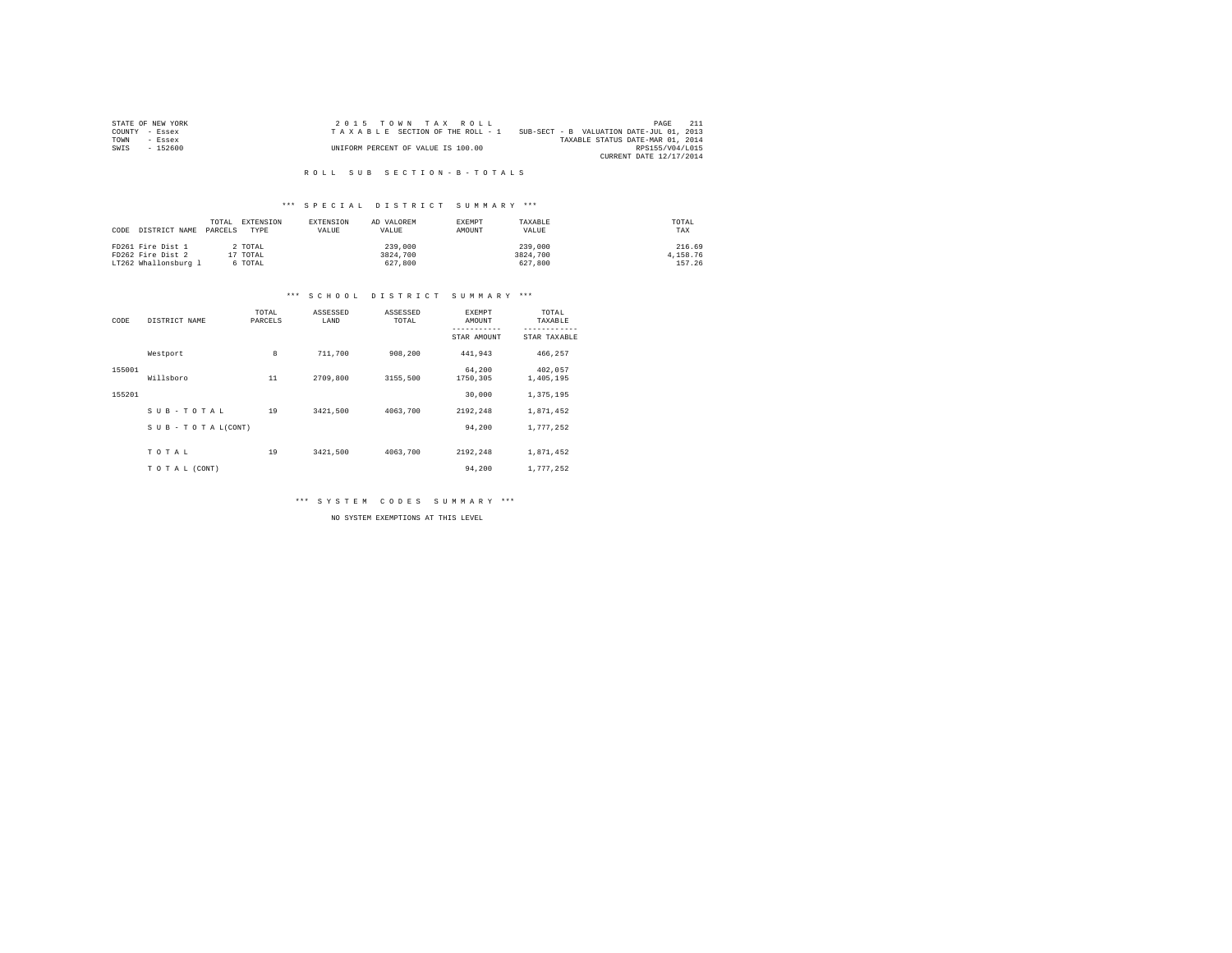|      | STATE OF NEW YORK | $2.0.15$ TOWN TAX ROLL             |                                          | PAGE                    |  |
|------|-------------------|------------------------------------|------------------------------------------|-------------------------|--|
|      | COUNTY - Essex    | TAXABLE SECTION OF THE ROLL - 1    | SUB-SECT - B VALUATION DATE-JUL 01, 2013 |                         |  |
| TOWN | - Essex           |                                    | TAXABLE STATUS DATE-MAR 01, 2014         |                         |  |
| SWIS | $-152600$         | UNIFORM PERCENT OF VALUE IS 100.00 |                                          | RPS155/V04/L015         |  |
|      |                   |                                    |                                          | CURRENT DATE 12/17/2014 |  |

### R O L L S U B S E C T I O N - B - T O T A L S

## \*\*\* S P E C I A L D I S T R I C T S U M M A R Y \*\*\*

| DISTRICT NAME<br>CODE | TOTAL.<br>PARCELS | EXTENSION<br>TYPE | EXTENSION<br>VALUE | AD VALOREM<br>VALUE | <b>EXEMPT</b><br>AMOUNT | TAXABLE<br>VALUE | TOTAL<br>TAX |
|-----------------------|-------------------|-------------------|--------------------|---------------------|-------------------------|------------------|--------------|
| FD261 Fire Dist 1     |                   | 2 TOTAL           |                    | 239,000             |                         | 239,000          | 216.69       |
| FD262 Fire Dist 2     | 17 TOTAL          |                   |                    | 3824,700            |                         | 3824,700         | 4,158.76     |
| LT262 Whallonsburg 1  |                   | 6 TOTAL           |                    | 627,800             |                         | 627,800          | 157.26       |

#### \*\*\* S C H O O L D I S T R I C T S U M M A R Y \*\*\*

| CODE   | DISTRICT NAME             | TOTAL<br>PARCELS | ASSESSED<br>LAND | ASSESSED<br>TOTAL | EXEMPT<br>AMOUNT<br>----------- | TOTAL<br>TAXABLE<br>------------ |
|--------|---------------------------|------------------|------------------|-------------------|---------------------------------|----------------------------------|
|        |                           |                  |                  |                   | STAR AMOUNT                     | STAR TAXABLE                     |
|        | Westport                  | 8                | 711,700          | 908,200           | 441,943                         | 466,257                          |
| 155001 | Willsboro                 | 11               | 2709,800         | 3155,500          | 64.200<br>1750,305              | 402.057<br>1,405,195             |
| 155201 |                           |                  |                  |                   | 30,000                          | 1,375,195                        |
|        | SUB-TOTAL                 | 19               | 3421,500         | 4063,700          | 2192.248                        | 1,871,452                        |
|        | $S$ U B - T O T A L(CONT) |                  |                  |                   | 94.200                          | 1,777,252                        |
|        | TOTAL                     | 19               | 3421,500         | 4063,700          | 2192.248                        | 1,871,452                        |
|        | TO TAL (CONT)             |                  |                  |                   | 94.200                          | 1.777.252                        |

\*\*\* S Y S T E M C O D E S S U M M A R Y \*\*\*

NO SYSTEM EXEMPTIONS AT THIS LEVEL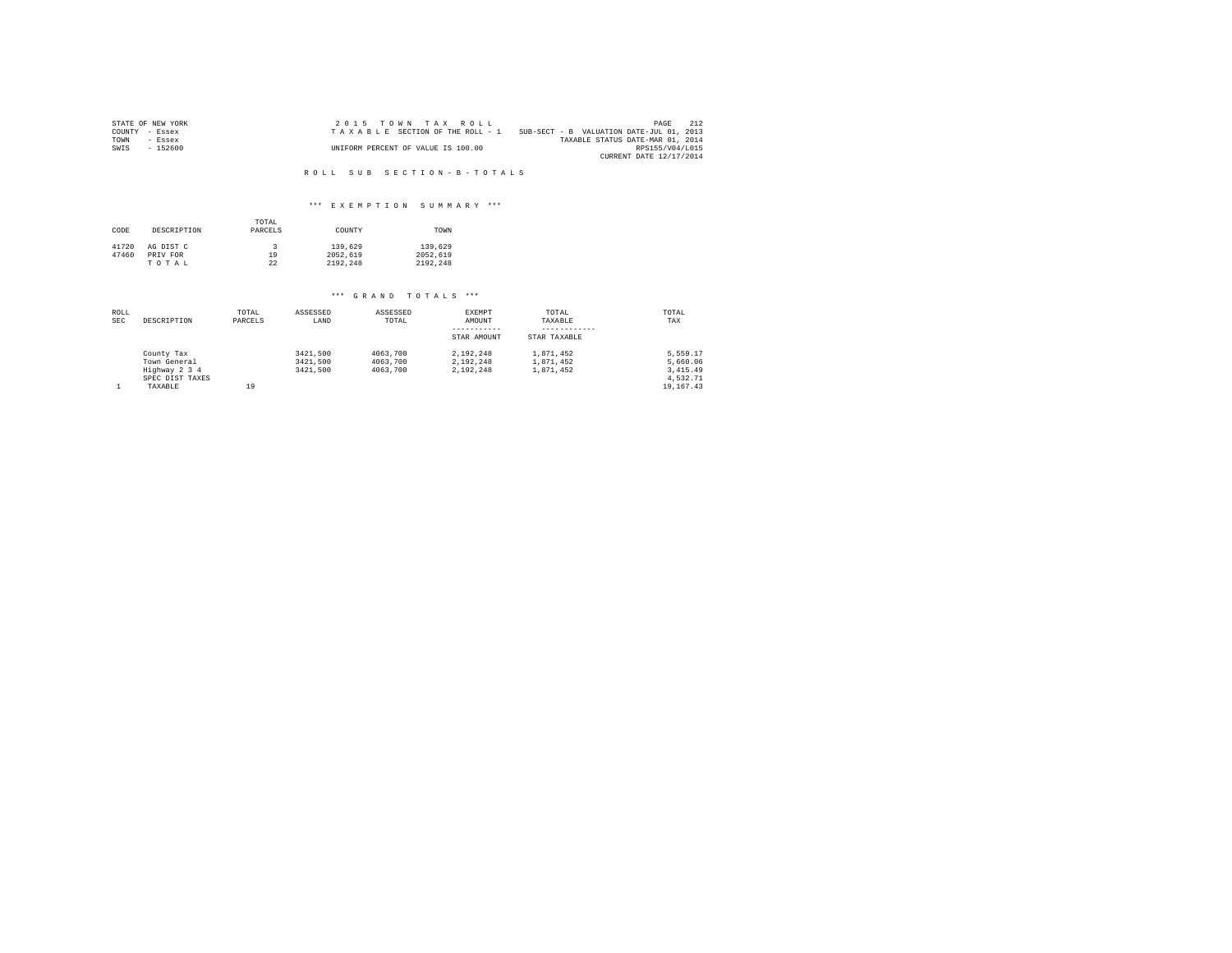|      | STATE OF NEW YORK | $2.0.15$ TOWN TAX ROLL             |                                          | PAGE                    | 212 |
|------|-------------------|------------------------------------|------------------------------------------|-------------------------|-----|
|      | COUNTY - Essex    | TAXABLE SECTION OF THE ROLL - 1    | SUB-SECT - B VALUATION DATE-JUL 01, 2013 |                         |     |
| TOWN | $-$ Essex         |                                    | TAXABLE STATUS DATE-MAR 01, 2014         |                         |     |
| SWIS | $-152600$         | UNIFORM PERCENT OF VALUE IS 100.00 |                                          | RPS155/V04/L015         |     |
|      |                   |                                    |                                          | CURRENT DATE 12/17/2014 |     |

#### R O L L S U B S E C T I O N - B - T O T A L S

## \*\*\* E X E M P T I O N S U M M A R Y \*\*\*

| CODE  | DESCRIPTION | TOTAL<br>PARCELS | COUNTY   | TOWN     |
|-------|-------------|------------------|----------|----------|
| 41720 | AG DIST C   |                  | 139,629  | 139,629  |
| 47460 | PRIV FOR    | 19               | 2052.619 | 2052.619 |
|       | TOTAL       | 22               | 2192.248 | 2192.248 |

| ROLL<br><b>SEC</b> | DESCRIPTION     | TOTAL<br>PARCELS | ASSESSED<br>LAND | ASSESSED<br>TOTAL | EXEMPT<br>AMOUNT<br>----------- | TOTAL<br>TAXABLE<br>---------- | TOTAL<br>TAX |
|--------------------|-----------------|------------------|------------------|-------------------|---------------------------------|--------------------------------|--------------|
|                    |                 |                  |                  |                   | STAR AMOUNT                     | STAR TAXABLE                   |              |
|                    | County Tax      |                  | 3421,500         | 4063,700          | 2.192.248                       | 1,871,452                      | 5.559.17     |
|                    | Town General    |                  | 3421.500         | 4063,700          | 2.192.248                       | 1,871,452                      | 5,660.06     |
|                    | Highway 2 3 4   |                  | 3421.500         | 4063,700          | 2.192.248                       | 1,871,452                      | 3,415.49     |
|                    | SPEC DIST TAXES |                  |                  |                   |                                 |                                | 4.532.71     |
|                    | TAXABLE         | 19               |                  |                   |                                 |                                | 19, 167, 43  |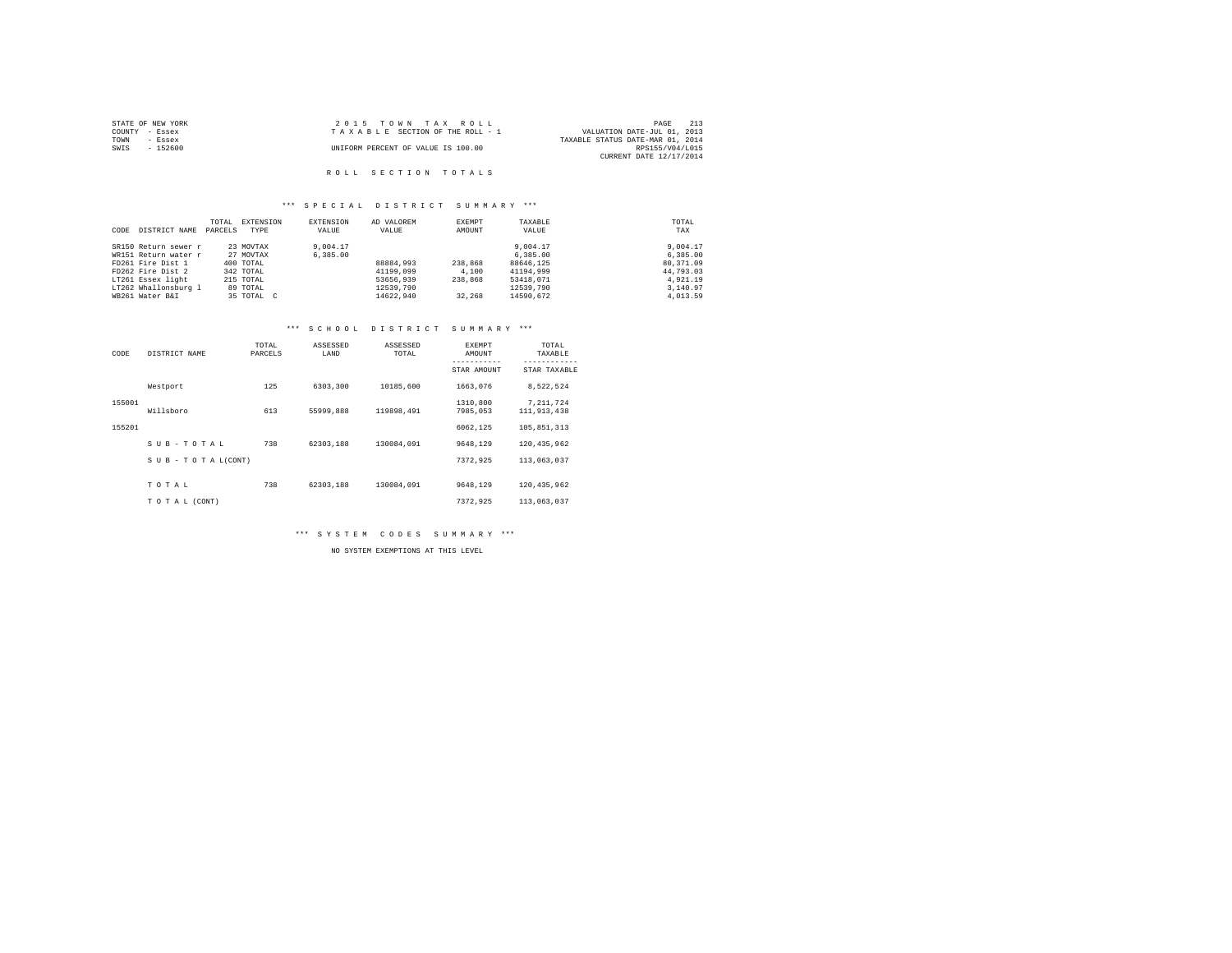|                | STATE OF NEW YORK | 2015 TOWN TAX ROLL                 |                                  | PAGE            | 213 |
|----------------|-------------------|------------------------------------|----------------------------------|-----------------|-----|
| COUNTY - Essex |                   | TAXABLE SECTION OF THE ROLL - 1    | VALUATION DATE-JUL 01, 2013      |                 |     |
| TOWN           | - Essex           |                                    | TAXABLE STATUS DATE-MAR 01, 2014 |                 |     |
| SWIS           | - 152600          | UNIFORM PERCENT OF VALUE IS 100.00 |                                  | RPS155/V04/L015 |     |
|                |                   |                                    | CURRENT DATE 12/17/2014          |                 |     |
|                |                   |                                    |                                  |                 |     |

# R O L L S E C T I O N T O T A L S

## \*\*\* S P E C I A L D I S T R I C T S U M M A R Y \*\*\*

|      |                      | TOTAL   | EXTENSION  | EXTENSION | AD VALOREM | EXEMPT  | TAXABLE   | TOTAL     |
|------|----------------------|---------|------------|-----------|------------|---------|-----------|-----------|
| CODE | DISTRICT NAME        | PARCELS | TYPE       | VALUE     | VALUE      | AMOUNT  | VALUE     | TAX       |
|      | SR150 Return sewer r |         | 23 MOVTAX  | 9,004.17  |            |         | 9,004.17  | 9,004.17  |
|      | WR151 Return water r |         | 27 MOVTAX  | 6,385,00  |            |         | 6.385.00  | 6,385,00  |
|      | FD261 Fire Dist 1    |         | 400 TOTAL  |           | 88884,993  | 238,868 | 88646.125 | 80.371.09 |
|      | FD262 Fire Dist 2    |         | 342 TOTAL  |           | 41199,099  | 4,100   | 41194,999 | 44,793.03 |
|      | LT261 Essex light    |         | 215 TOTAL  |           | 53656,939  | 238,868 | 53418.071 | 4.921.19  |
|      | LT262 Whallonsburg 1 |         | 89 TOTAL   |           | 12539,790  |         | 12539,790 | 3,140.97  |
|      | WB261 Water B&I      |         | 35 TOTAL C |           | 14622.940  | 32,268  | 14590.672 | 4,013.59  |

## \*\*\* S C H O O L D I S T R I C T S U M M A R Y \*\*\*

| CODE   | DISTRICT NAME             | TOTAL<br>PARCELS | ASSESSED<br>LAND | ASSESSED<br>TOTAL | EXEMPT<br>AMOUNT<br>----------- | TOTAL<br>TAXABLE<br>----------- |
|--------|---------------------------|------------------|------------------|-------------------|---------------------------------|---------------------------------|
|        |                           |                  |                  |                   | STAR AMOUNT                     | STAR TAXABLE                    |
|        | Westport                  | 125              | 6303,300         | 10185,600         | 1663,076                        | 8,522,524                       |
| 155001 | Willsboro                 | 613              | 55999,888        | 119898,491        | 1310,800<br>7985,053            | 7, 211, 724<br>111,913,438      |
| 155201 |                           |                  |                  |                   | 6062.125                        | 105,851,313                     |
|        | SUB-TOTAL                 | 738              | 62303.188        | 130084.091        | 9648.129                        | 120.435.962                     |
|        | $S$ U B - T O T A L(CONT) |                  |                  |                   | 7372.925                        | 113,063,037                     |
|        |                           |                  |                  |                   |                                 |                                 |
|        | TOTAL                     | 738              | 62303.188        | 130084.091        | 9648.129                        | 120.435.962                     |
|        | TO TAL (CONT)             |                  |                  |                   | 7372.925                        | 113,063,037                     |

\*\*\* S Y S T E M C O D E S S U M M A R Y \*\*\*

NO SYSTEM EXEMPTIONS AT THIS LEVEL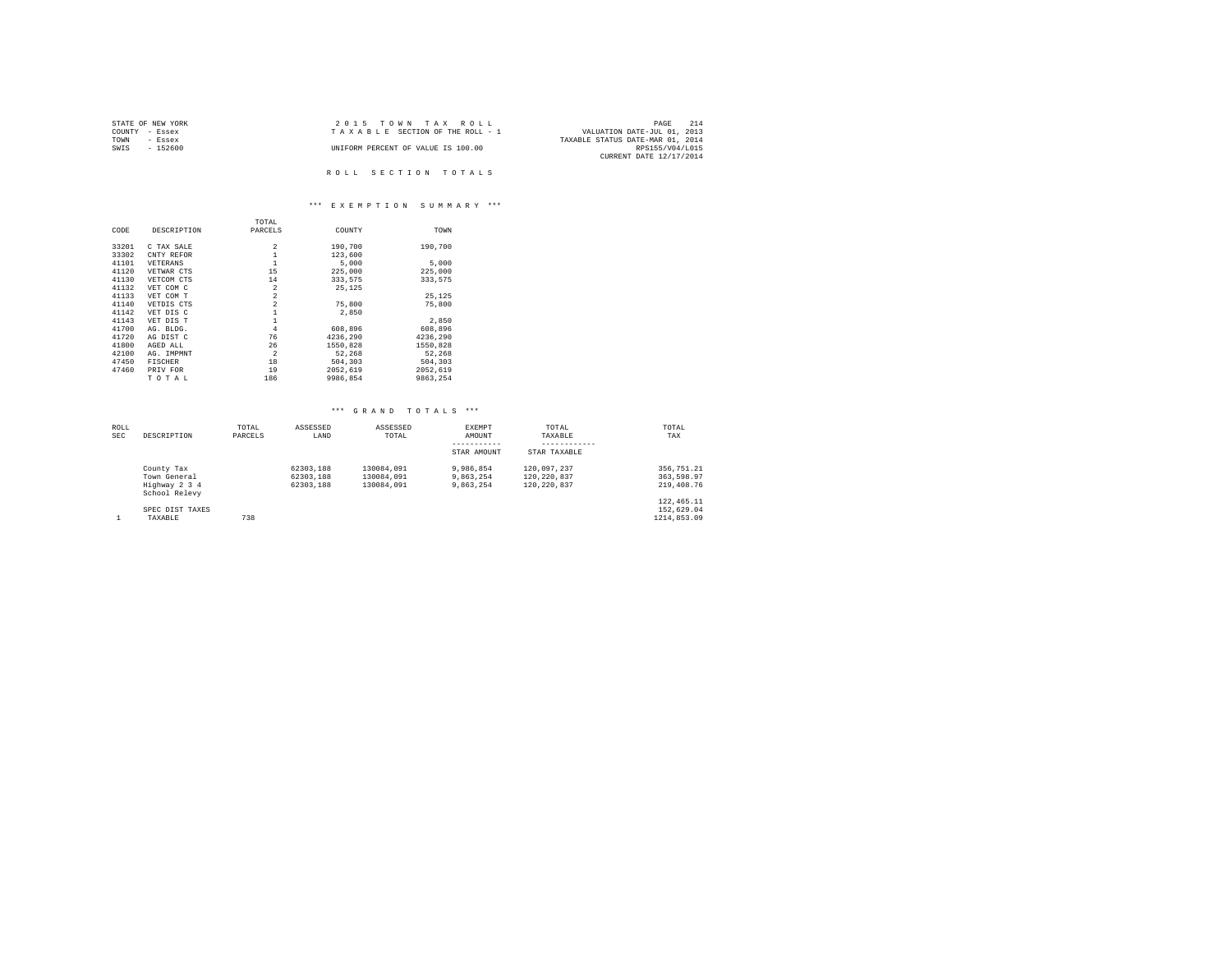| STATE OF NEW YORK | 2015 TOWN TAX ROLL                 | 214<br>PAGE                      |
|-------------------|------------------------------------|----------------------------------|
| COUNTY<br>- Essex | TAXABLE SECTION OF THE ROLL - 1    | VALUATION DATE-JUL 01, 2013      |
| TOWN<br>- Essex   |                                    | TAXABLE STATUS DATE-MAR 01, 2014 |
| $-152600$<br>SWIS | UNIFORM PERCENT OF VALUE IS 100.00 | RPS155/V04/L015                  |
|                   |                                    | CURRENT DATE 12/17/2014          |
|                   |                                    |                                  |
|                   | ROLL SECTION TOTALS                |                                  |

# \*\*\* E X E M P T I O N S U M M A R Y \*\*\*

|       |                | TOTAL          |          |          |
|-------|----------------|----------------|----------|----------|
| CODE  | DESCRIPTION    | PARCELS        | COUNTY   | TOWN     |
| 33201 | C TAX SALE     | $\overline{2}$ | 190,700  | 190.700  |
| 33302 | CNTY REFOR     | $\mathbf{1}$   | 123,600  |          |
| 41101 | VETERANS       | $\mathbf{1}$   | 5,000    | 5,000    |
| 41120 | VETWAR CTS     | 15             | 225,000  | 225,000  |
| 41130 | VETCOM CTS     | 14             | 333,575  | 333.575  |
| 41132 | VET COM C      | $\overline{2}$ | 25,125   |          |
| 41133 | VET COM T      | $\overline{a}$ |          | 25.125   |
| 41140 | VETDIS CTS     | $\overline{a}$ | 75,800   | 75,800   |
| 41142 | VET DIS C      | $\mathbf{1}$   | 2,850    |          |
| 41143 | VET DIS T      | $\mathbf{1}$   |          | 2.850    |
| 41700 | AG. BLDG.      | $\overline{4}$ | 608,896  | 608,896  |
| 41720 | AG DIST C      | 76             | 4236.290 | 4236.290 |
| 41800 | AGED ALL       | 26             | 1550,828 | 1550,828 |
| 42100 | AG. IMPMNT     | $\overline{2}$ | 52,268   | 52.268   |
| 47450 | <b>FISCHER</b> | 18             | 504,303  | 504,303  |
| 47460 | PRIV FOR       | 19             | 2052,619 | 2052,619 |
|       | TOTAL          | 186            | 9986.854 | 9863.254 |

| <b>ROLL</b> |                                | TOTAL   | ASSESSED  | ASSESSED   | <b>EXEMPT</b> | TOTAL        | TOTAL       |
|-------------|--------------------------------|---------|-----------|------------|---------------|--------------|-------------|
| <b>SEC</b>  | DESCRIPTION                    | PARCELS | LAND      | TOTAL      | AMOUNT        | TAXABLE      | TAX         |
|             |                                |         |           |            | STAR AMOUNT   | STAR TAXABLE |             |
|             | County Tax                     |         | 62303.188 | 130084.091 | 9,986,854     | 120.097.237  | 356.751.21  |
|             | Town General                   |         | 62303.188 | 130084.091 | 9.863.254     | 120.220.837  | 363.598.97  |
|             | Highway 2 3 4<br>School Relevy |         | 62303.188 | 130084.091 | 9.863.254     | 120.220.837  | 219,408.76  |
|             |                                |         |           |            |               |              | 122, 465.11 |
|             | SPEC DIST TAXES                |         |           |            |               |              | 152,629.04  |
|             | TAXABLE                        | 738     |           |            |               |              | 1214.853.09 |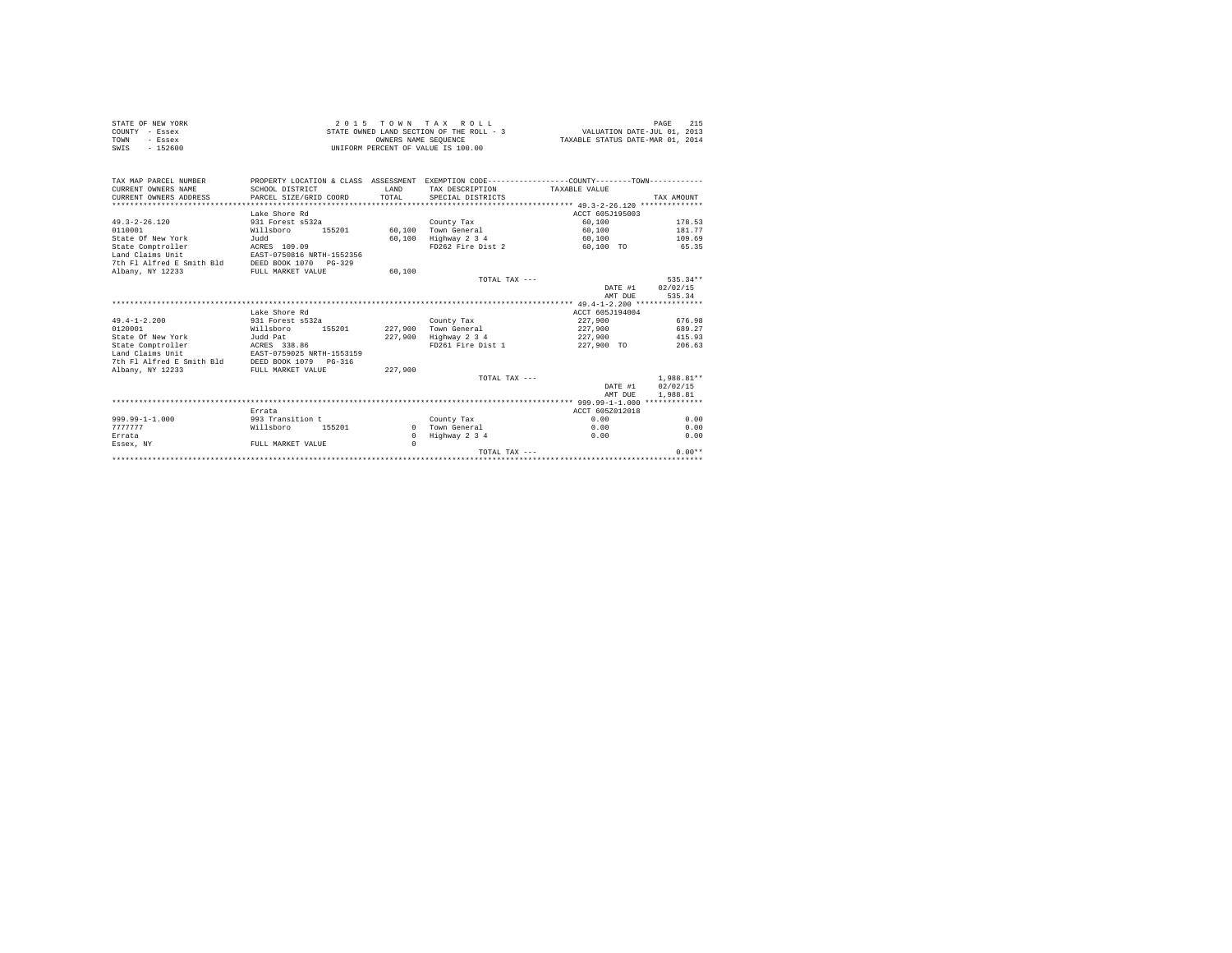| STATE OF NEW YORK | $2.0.15$ TOWN TAX ROLL                   | 215<br>PAGE                      |
|-------------------|------------------------------------------|----------------------------------|
| COUNTY - Essex    | STATE OWNED LAND SECTION OF THE ROLL - 3 | VALUATION DATE-JUL 01, 2013      |
| TOWN<br>- Essex   | OWNERS NAME SEOUENCE                     | TAXABLE STATUS DATE-MAR 01, 2014 |
| SWIS<br>$-152600$ | UNIFORM PERCENT OF VALUE IS 100.00       |                                  |

| TAX MAP PARCEL NUMBER     | PROPERTY LOCATION & CLASS ASSESSMENT |              |                   | EXEMPTION CODE-----------------COUNTY--------TOWN----------- |              |
|---------------------------|--------------------------------------|--------------|-------------------|--------------------------------------------------------------|--------------|
| CURRENT OWNERS NAME       | SCHOOL DISTRICT                      | <b>T.AND</b> | TAX DESCRIPTION   | TAXABLE VALUE                                                |              |
| CURRENT OWNERS ADDRESS    | PARCEL SIZE/GRID COORD               | TOTAL        | SPECIAL DISTRICTS |                                                              | TAX AMOUNT   |
|                           |                                      |              |                   |                                                              |              |
|                           | Lake Shore Rd                        |              |                   | ACCT 605J195003                                              |              |
| $49.3 - 2 - 26.120$       | 931 Forest s532a                     |              | County Tax        | 60,100                                                       | 178.53       |
| 0110001                   | Willsboro<br>155201                  | 60,100       | Town General      | 60,100                                                       | 181.77       |
| State Of New York         | Judd                                 | 60,100       | Highway 2 3 4     | 60,100                                                       | 109.69       |
| State Comptroller         | ACRES 109.09                         |              | FD262 Fire Dist 2 | 60.100 TO                                                    | 65.35        |
| Land Claims Unit          | EAST-0750816 NRTH-1552356            |              |                   |                                                              |              |
| 7th Fl Alfred E Smith Bld | DEED BOOK 1070<br>$PG - 329$         |              |                   |                                                              |              |
| Albany, NY 12233          | FULL MARKET VALUE                    | 60,100       |                   |                                                              |              |
|                           |                                      |              | TOTAL TAX $---$   |                                                              | 535.34**     |
|                           |                                      |              |                   | DATE #1                                                      | 02/02/15     |
|                           |                                      |              |                   | AMT DUR                                                      | 535.34       |
|                           |                                      |              |                   |                                                              |              |
|                           | Lake Shore Rd                        |              |                   | ACCT 605J194004                                              |              |
| $49.4 - 1 - 2.200$        | 931 Forest s532a                     |              | County Tax        | 227,900                                                      | 676.98       |
| 0120001                   | Willsboro<br>155201                  | 227,900      | Town General      | 227,900                                                      | 689.27       |
| State Of New York         | Judd Pat                             | 227,900      | Highway 2 3 4     | 227,900                                                      | 415.93       |
| State Comptroller         | ACRES 338.86                         |              | FD261 Fire Dist 1 | 227,900 TO                                                   | 206.63       |
| Land Claims Unit          | EAST-0759025 NRTH-1553159            |              |                   |                                                              |              |
| 7th Fl Alfred E Smith Bld | DEED BOOK 1079 PG-316                |              |                   |                                                              |              |
| Albany, NY 12233          | FULL MARKET VALUE                    | 227,900      |                   |                                                              |              |
|                           |                                      |              | TOTAL TAX $---$   |                                                              | $1.988.81**$ |
|                           |                                      |              |                   | DATE #1                                                      | 02/02/15     |
|                           |                                      |              |                   | AMT DUE                                                      | 1,988.81     |
|                           |                                      |              |                   |                                                              |              |
|                           | Errata                               |              |                   | ACCT 605Z012018                                              |              |
| $999.99 - 1 - 1.000$      | 993 Transition t                     |              |                   | 0.00                                                         |              |
|                           |                                      |              | County Tax        |                                                              | 0.00         |
| 7777777                   | Willsboro<br>155201                  | $\Omega$     | Town General      | 0.00                                                         | 0.00         |
| Errata                    |                                      | $\mathbf{r}$ | Highway 2 3 4     | 0.00                                                         | 0.00         |
| Essex, NY                 | FULL MARKET VALUE                    | $\Omega$     |                   |                                                              |              |
|                           |                                      |              | TOTAL TAX $---$   |                                                              | $0.00**$     |
|                           |                                      |              |                   |                                                              |              |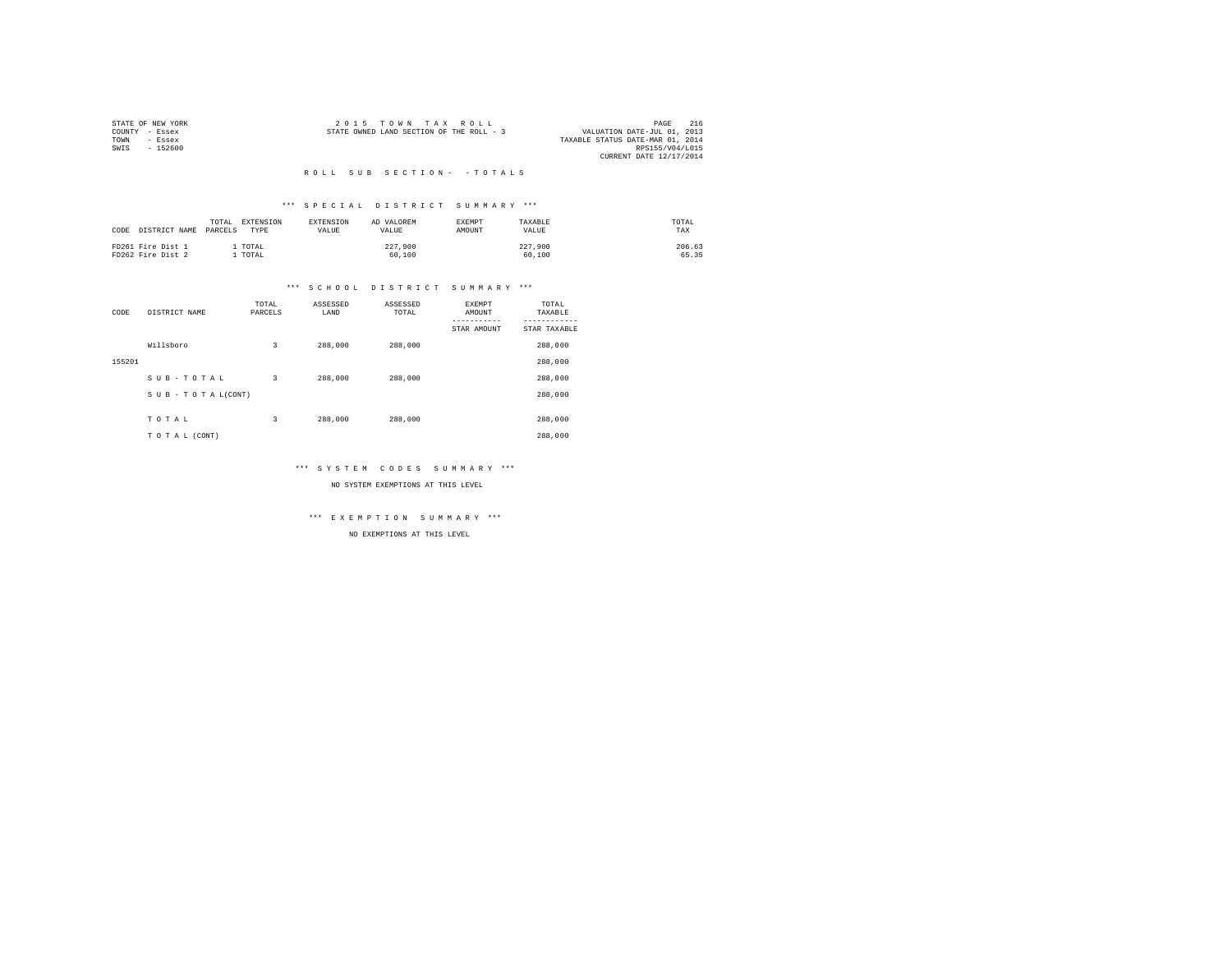| STATE OF NEW YORK | 2015 TOWN TAX ROLL                       | 216<br>PAGE                      |
|-------------------|------------------------------------------|----------------------------------|
| COUNTY - Essex    | STATE OWNED LAND SECTION OF THE ROLL - 3 | VALUATION DATE-JUL 01, 2013      |
| TOWN<br>$-$ Essex |                                          | TAXABLE STATUS DATE-MAR 01, 2014 |
| SWIS<br>$-152600$ |                                          | RPS155/V04/L015                  |
|                   |                                          | CURRENT DATE 12/17/2014          |

### R O L L S U B S E C T I O N - - T O T A L S

## \*\*\* S P E C I A L D I S T R I C T S U M M A R Y \*\*\*

| CODE DISTRICT NAME                     | EXTENSION<br>TOTAL<br>PARCELS<br>TYPR | EXTENSION<br><b>VALUE</b> | AD VALOREM<br><b>VALUE</b> | <b>EXEMPT</b><br>AMOUNT | TAXARLE<br>VALUE  | TOTAL<br>TAX    |
|----------------------------------------|---------------------------------------|---------------------------|----------------------------|-------------------------|-------------------|-----------------|
| FD261 Fire Dist 1<br>FD262 Fire Dist 2 | TOTAL<br>TOTAL                        |                           | 227,900<br>60,100          |                         | 227,900<br>60,100 | 206.63<br>65.35 |

# \*\*\* S C H O O L D I S T R I C T S U M M A R Y \*\*\*

| CODE   | DISTRICT NAME      | TOTAL<br>PARCELS | ASSESSED<br>LAND | ASSESSED<br>TOTAL | EXEMPT<br>AMOUNT<br>STAR AMOUNT | TOTAL<br>TAXABLE<br>STAR TAXABLE |
|--------|--------------------|------------------|------------------|-------------------|---------------------------------|----------------------------------|
|        | Willsboro          | 3                | 288,000          | 288,000           |                                 | 288,000                          |
| 155201 |                    |                  |                  |                   |                                 | 288,000                          |
|        | SUB-TOTAL          | 3                | 288,000          | 288,000           |                                 | 288,000                          |
|        | SUB - TO TAL(CONT) |                  |                  |                   |                                 | 288,000                          |
|        |                    |                  |                  |                   |                                 |                                  |
|        | TOTAL              | 3                | 288,000          | 288,000           |                                 | 288,000                          |
|        | TO TAL (CONT)      |                  |                  |                   |                                 | 288,000                          |

## \*\*\* S Y S T E M C O D E S S U M M A R Y \*\*\*

NO SYSTEM EXEMPTIONS AT THIS LEVEL

# \*\*\* E X E M P T I O N S U M M A R Y \*\*\*

NO EXEMPTIONS AT THIS LEVEL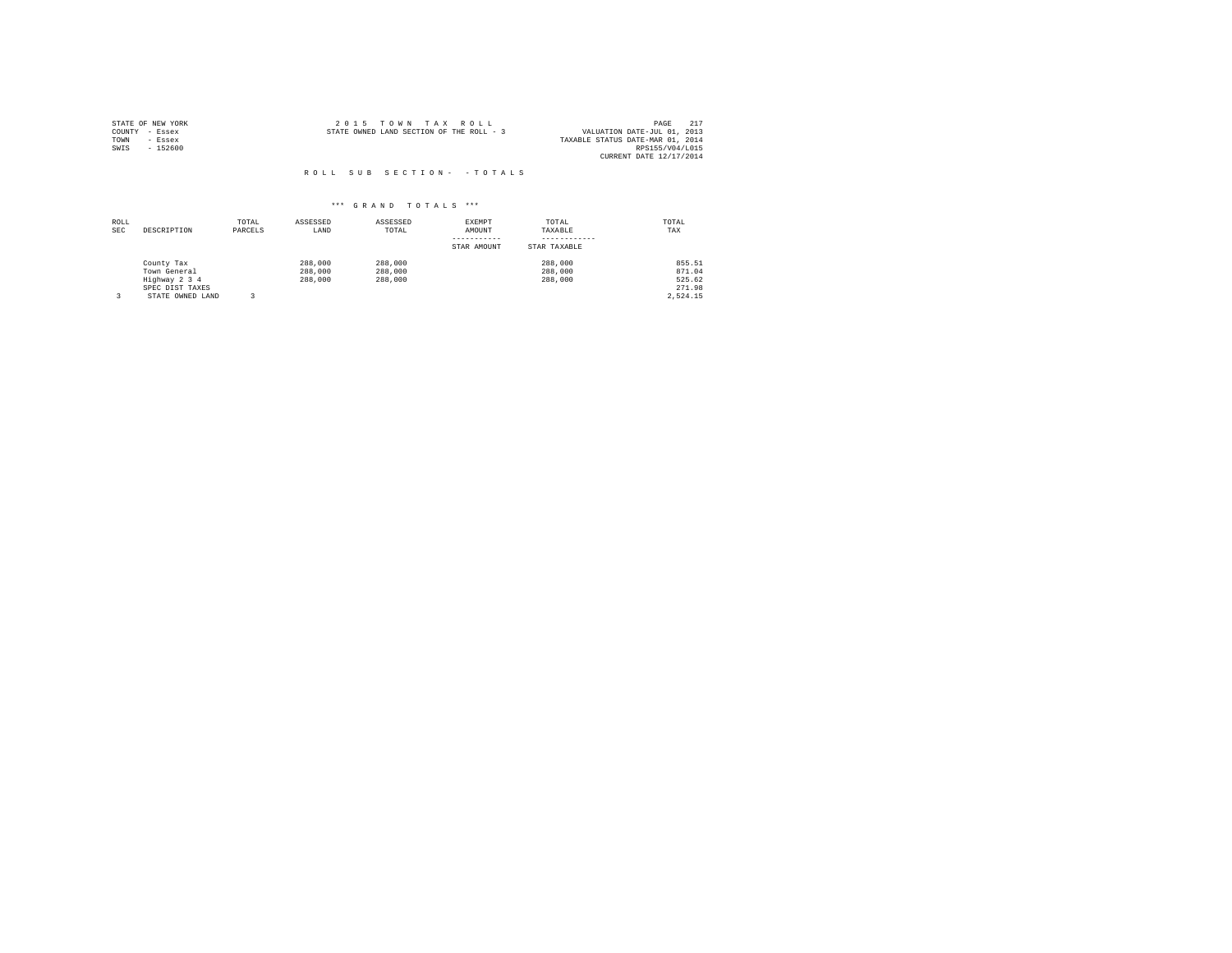|      | STATE OF NEW YORK |  | 2015 TOWN TAX ROLL                       |  |  | PAGE                             | 217 |
|------|-------------------|--|------------------------------------------|--|--|----------------------------------|-----|
|      | COUNTY - Essex    |  | STATE OWNED LAND SECTION OF THE ROLL - 3 |  |  | VALUATION DATE-JUL 01, 2013      |     |
| TOWN | - Essex           |  |                                          |  |  | TAXABLE STATUS DATE-MAR 01, 2014 |     |
| SWIS | $-152600$         |  |                                          |  |  | RPS155/V04/L015                  |     |
|      |                   |  |                                          |  |  | CURRENT DATE 12/17/2014          |     |

| ROLL<br><b>SEC</b> | DESCRIPTION      | TOTAL<br>PARCELS | ASSESSED<br>LAND | ASSESSED<br>TOTAL | EXEMPT<br>AMOUNT | TOTAL<br>TAXABLE | TOTAL<br>TAX |
|--------------------|------------------|------------------|------------------|-------------------|------------------|------------------|--------------|
|                    |                  |                  |                  |                   | STAR AMOUNT      | STAR TAXABLE     |              |
|                    | County Tax       |                  | 288,000          | 288,000           |                  | 288,000          | 855.51       |
|                    | Town General     |                  | 288,000          | 288,000           |                  | 288,000          | 871.04       |
|                    | Highway 2 3 4    |                  | 288,000          | 288,000           |                  | 288,000          | 525.62       |
|                    | SPEC DIST TAXES  |                  |                  |                   |                  |                  | 271.98       |
|                    | STATE OWNED LAND |                  |                  |                   |                  |                  | 2.524.15     |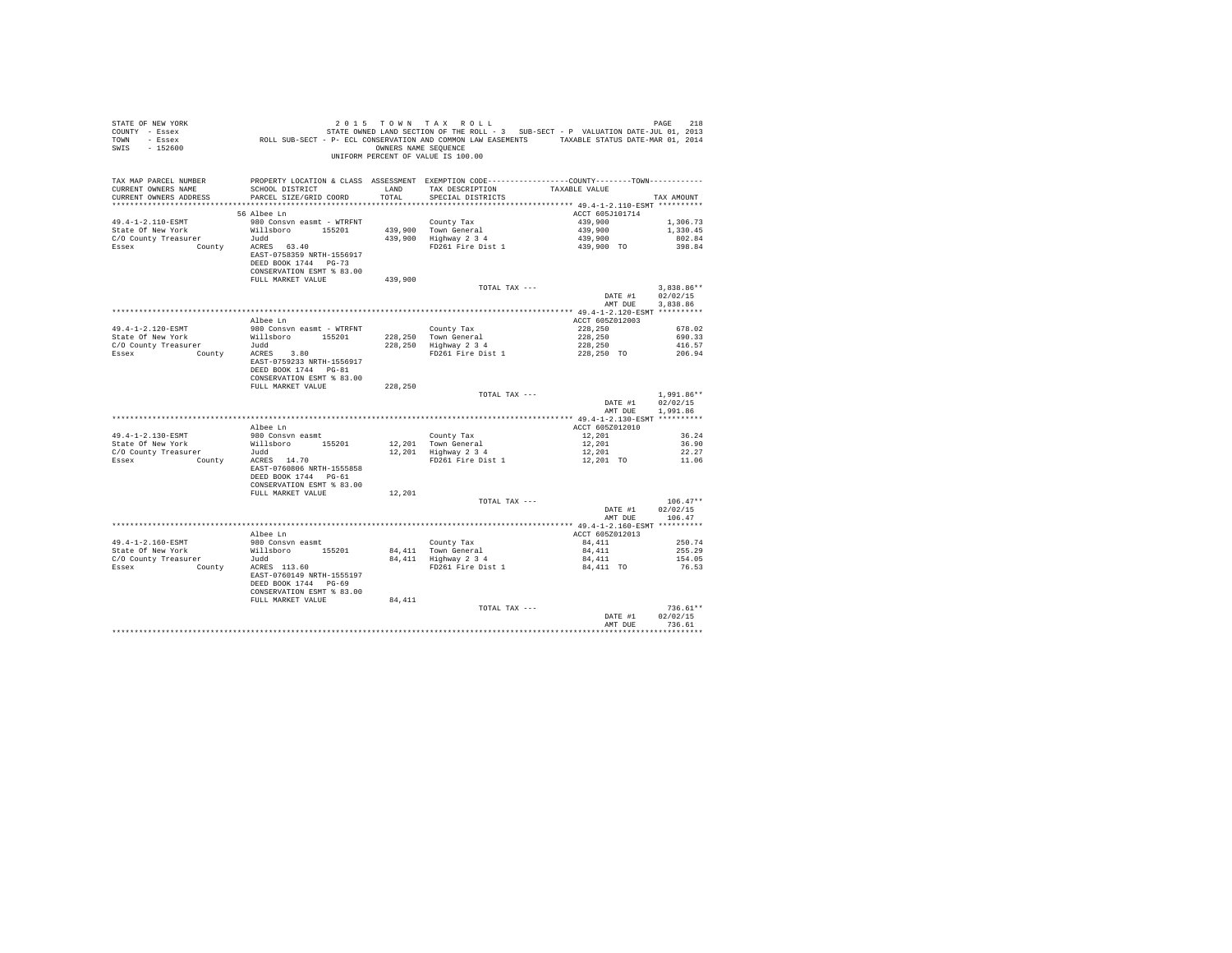| STATE OF NEW YORK<br>COUNTY - Essex<br>TOWN - Essex<br>SWIS - 152600                                                                                                                                                                                        | 218 PAGE 218<br>STATE ROLL - 3 SUB-SECT - P VALUATION DATE-THE STATE STATE OF THE STATE OF 2013<br>ROLL SUB-SECT - P-ECL CONSERVATION AND COMMON LAW EASEMENTS TAXABLE STATUS DATE-MAR 01, 2014 |         | OWNERS NAME SEQUENCE<br>UNIFORM PERCENT OF VALUE IS 100.00                                                                          |                                      |                  |
|-------------------------------------------------------------------------------------------------------------------------------------------------------------------------------------------------------------------------------------------------------------|-------------------------------------------------------------------------------------------------------------------------------------------------------------------------------------------------|---------|-------------------------------------------------------------------------------------------------------------------------------------|--------------------------------------|------------------|
| TAX MAP PARCEL NUMBER                                                                                                                                                                                                                                       | PROPERTY LOCATION & CLASS ASSESSMENT EXEMPTION CODE---------------COUNTY--------TOWN----------                                                                                                  |         |                                                                                                                                     |                                      |                  |
| CURRENT OWNERS NAME                                                                                                                                                                                                                                         | SCHOOL DISTRICT                                                                                                                                                                                 |         | LAND TAX DESCRIPTION TAXABLE VALUE                                                                                                  |                                      |                  |
| CURRENT OWNERS ADDRESS                                                                                                                                                                                                                                      | PARCEL SIZE/GRID COORD                                                                                                                                                                          | TOTAL   | SPECIAL DISTRICTS                                                                                                                   |                                      | TAX AMOUNT       |
|                                                                                                                                                                                                                                                             | 56 Albee Ln                                                                                                                                                                                     |         |                                                                                                                                     | ACCT 605J101714                      |                  |
| 49.4-1-2.110-ESMT                                                                                                                                                                                                                                           | 980 Consvn easmt - WTRFNT                                                                                                                                                                       |         | County Tax<br>439,900 Town General 439,900<br>439,900 Highway 2 3 4<br>FD261 Fire Dist 1 439,900 TO<br>PD261 Fire Dist 1 439,900 TO |                                      | 1,306.73         |
| State Of New York                                                                                                                                                                                                                                           | Willsboro 155201                                                                                                                                                                                |         |                                                                                                                                     |                                      | 1,330.45         |
| State Or New rork<br>C/O County Treasurer<br>Essex County ACRES 63.40<br>Essex County ACRES 63.40                                                                                                                                                           |                                                                                                                                                                                                 |         |                                                                                                                                     |                                      | 802.84           |
|                                                                                                                                                                                                                                                             |                                                                                                                                                                                                 |         |                                                                                                                                     |                                      | 398.84           |
|                                                                                                                                                                                                                                                             | EAST-0758359 NRTH-1556917                                                                                                                                                                       |         |                                                                                                                                     |                                      |                  |
|                                                                                                                                                                                                                                                             | DEED BOOK 1744 PG-73                                                                                                                                                                            |         |                                                                                                                                     |                                      |                  |
|                                                                                                                                                                                                                                                             | CONSERVATION ESMT % 83.00<br>FULL MARKET VALUE                                                                                                                                                  | 439,900 |                                                                                                                                     |                                      |                  |
|                                                                                                                                                                                                                                                             |                                                                                                                                                                                                 |         |                                                                                                                                     |                                      | $3.838.86**$     |
|                                                                                                                                                                                                                                                             |                                                                                                                                                                                                 |         |                                                                                                                                     |                                      |                  |
|                                                                                                                                                                                                                                                             |                                                                                                                                                                                                 |         |                                                                                                                                     |                                      |                  |
|                                                                                                                                                                                                                                                             |                                                                                                                                                                                                 |         |                                                                                                                                     |                                      |                  |
|                                                                                                                                                                                                                                                             | Albee Ln                                                                                                                                                                                        |         |                                                                                                                                     | ACCT 605Z012003                      |                  |
|                                                                                                                                                                                                                                                             |                                                                                                                                                                                                 |         |                                                                                                                                     |                                      | 678.02           |
|                                                                                                                                                                                                                                                             |                                                                                                                                                                                                 |         |                                                                                                                                     |                                      | 690.33<br>416.57 |
|                                                                                                                                                                                                                                                             |                                                                                                                                                                                                 |         |                                                                                                                                     |                                      | 206.94           |
| $\begin{tabular}{lcccc} $49.4$--1$--2.120$--ESMT & $100$&$100$&$200$&$200$&$200$&$200$&$200$&$200$&$200$&$200$&$200$&$200$&$200$&$200$&$200$&$200$&$200$&$200$&$200$&$200$&$200$&$200$&$200$&$200$&$200$&$200$&$200$&$200$&$200$&$200$&$200$&$200$$         |                                                                                                                                                                                                 |         |                                                                                                                                     |                                      |                  |
|                                                                                                                                                                                                                                                             | DEED BOOK 1744 PG-81                                                                                                                                                                            |         |                                                                                                                                     |                                      |                  |
|                                                                                                                                                                                                                                                             | CONSERVATION ESMT % 83.00                                                                                                                                                                       |         |                                                                                                                                     |                                      |                  |
|                                                                                                                                                                                                                                                             | FULL MARKET VALUE                                                                                                                                                                               | 228,250 |                                                                                                                                     |                                      |                  |
|                                                                                                                                                                                                                                                             |                                                                                                                                                                                                 |         | TOTAL TAX ---                                                                                                                       |                                      | $1.991.86**$     |
|                                                                                                                                                                                                                                                             |                                                                                                                                                                                                 |         |                                                                                                                                     | DATE #1 02/02/15<br>AMT DUE 1,991.86 |                  |
|                                                                                                                                                                                                                                                             |                                                                                                                                                                                                 |         |                                                                                                                                     |                                      |                  |
|                                                                                                                                                                                                                                                             | Albee Ln                                                                                                                                                                                        |         |                                                                                                                                     | ACCT 605Z012010                      |                  |
| 49.4-1-2.130-ESMT                                                                                                                                                                                                                                           | 980 Consvn easmt                                                                                                                                                                                |         |                                                                                                                                     |                                      | 36.24            |
|                                                                                                                                                                                                                                                             |                                                                                                                                                                                                 |         |                                                                                                                                     |                                      | 36.90            |
|                                                                                                                                                                                                                                                             |                                                                                                                                                                                                 |         |                                                                                                                                     |                                      | 22.27            |
| State Of New York<br>C/O County Treasurer<br>County Treasurer<br>County<br>County<br>County<br>COUNTY<br>COUNTY<br>COUNTY<br>COUNTY<br>COUNTY<br>COUNTY<br>COUNTY<br>COUNTY<br>COUNTY<br>COUNTY<br>COUNTY<br>COUNTY<br>COUNTY<br>COUNTY<br>COUNTY<br>COUNTY |                                                                                                                                                                                                 |         |                                                                                                                                     |                                      | 11.06            |
|                                                                                                                                                                                                                                                             | EAST-0760806 NRTH-1555858<br>DEED BOOK 1744 PG-61                                                                                                                                               |         |                                                                                                                                     |                                      |                  |
|                                                                                                                                                                                                                                                             | CONSERVATION ESMT % 83.00                                                                                                                                                                       |         |                                                                                                                                     |                                      |                  |
|                                                                                                                                                                                                                                                             | FULL MARKET VALUE                                                                                                                                                                               | 12,201  |                                                                                                                                     |                                      |                  |
|                                                                                                                                                                                                                                                             |                                                                                                                                                                                                 |         | TOTAL TAX ---                                                                                                                       |                                      | $106.47**$       |
|                                                                                                                                                                                                                                                             |                                                                                                                                                                                                 |         |                                                                                                                                     | DATE #1                              | 02/02/15         |
|                                                                                                                                                                                                                                                             |                                                                                                                                                                                                 |         |                                                                                                                                     | AMT DUE 106.47                       |                  |
|                                                                                                                                                                                                                                                             |                                                                                                                                                                                                 |         |                                                                                                                                     |                                      |                  |
|                                                                                                                                                                                                                                                             | Albee Ln                                                                                                                                                                                        |         |                                                                                                                                     | ACCT 605Z012013<br>84,411            | 250.74           |
|                                                                                                                                                                                                                                                             |                                                                                                                                                                                                 |         |                                                                                                                                     |                                      | 255.29           |
|                                                                                                                                                                                                                                                             |                                                                                                                                                                                                 |         |                                                                                                                                     |                                      | 154.05           |
|                                                                                                                                                                                                                                                             |                                                                                                                                                                                                 |         |                                                                                                                                     |                                      | 76.53            |
|                                                                                                                                                                                                                                                             | EAST-0760149 NRTH-1555197                                                                                                                                                                       |         |                                                                                                                                     |                                      |                  |
|                                                                                                                                                                                                                                                             | DEED BOOK 1744 PG-69                                                                                                                                                                            |         |                                                                                                                                     |                                      |                  |
|                                                                                                                                                                                                                                                             | CONSERVATION ESMT % 83.00                                                                                                                                                                       |         |                                                                                                                                     |                                      |                  |
|                                                                                                                                                                                                                                                             | FULL MARKET VALUE                                                                                                                                                                               | 84,411  | TOTAL TAX ---                                                                                                                       |                                      | $736.61**$       |
|                                                                                                                                                                                                                                                             |                                                                                                                                                                                                 |         |                                                                                                                                     | DATE #1 02/02/15                     |                  |
|                                                                                                                                                                                                                                                             |                                                                                                                                                                                                 |         |                                                                                                                                     | AMT DUR 736.61                       |                  |
|                                                                                                                                                                                                                                                             |                                                                                                                                                                                                 |         |                                                                                                                                     |                                      |                  |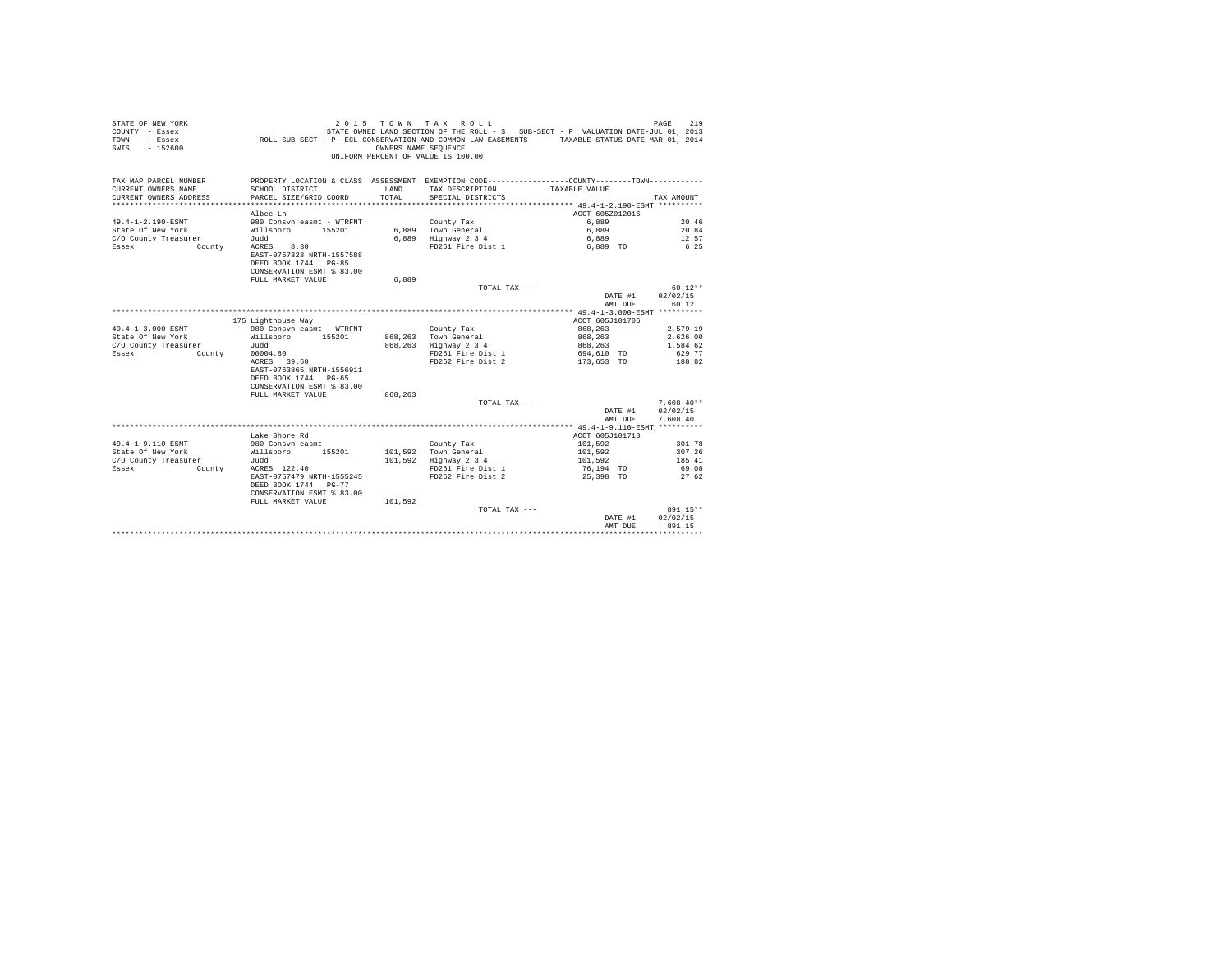| COUNTY - Essex<br>TOWN<br>- Essex<br>$-152600$<br>SWIS |                                                                                                                       | OWNERS NAME SEQUENCE | ROLL SUB-SECT - P- ECL CONSERVATION AND COMMON LAW EASEMENTS<br>UNIFORM PERCENT OF VALUE IS 100.00 | STATE OWNED LAND SECTION OF THE ROLL - 3 SUB-SECT - P VALUATION DATE-JUL 01, 2013<br>TAXABLE STATUS DATE-MAR 01, 2014 |              |
|--------------------------------------------------------|-----------------------------------------------------------------------------------------------------------------------|----------------------|----------------------------------------------------------------------------------------------------|-----------------------------------------------------------------------------------------------------------------------|--------------|
| TAX MAP PARCEL NUMBER                                  | PROPERTY LOCATION & CLASS ASSESSMENT EXEMPTION CODE---------------COUNTY-------TOWN---------                          |                      |                                                                                                    |                                                                                                                       |              |
| CURRENT OWNERS NAME                                    | SCHOOL DISTRICT                                                                                                       | LAND                 | TAX DESCRIPTION                                                                                    | TAXABLE VALUE                                                                                                         |              |
| CURRENT OWNERS ADDRESS                                 | PARCEL SIZE/GRID COORD                                                                                                | TOTAL                | SPECIAL DISTRICTS                                                                                  |                                                                                                                       | TAX AMOUNT   |
|                                                        |                                                                                                                       |                      |                                                                                                    |                                                                                                                       |              |
|                                                        | Albee Ln                                                                                                              |                      |                                                                                                    | ACCT 605Z012016                                                                                                       |              |
| 49.4-1-2.190-ESMT                                      | 980 Consvn easmt - WTRFNT                                                                                             |                      | County Tax                                                                                         | 6,889                                                                                                                 | 20.46        |
| State Of New York                                      | Willsboro<br>155201                                                                                                   |                      | 6.889 Town General                                                                                 | 6,889                                                                                                                 | 20.84        |
| C/O County Treasurer                                   | Judd                                                                                                                  |                      | 6,889 Highway 2 3 4                                                                                | 6,889                                                                                                                 | 12.57        |
| Essex<br>County                                        | ACRES<br>8.30<br>EAST-0757328 NRTH-1557588<br>DEED BOOK 1744 PG-85<br>CONSERVATION ESMT % 83.00                       |                      | FD261 Fire Dist 1                                                                                  | 6.889 TO                                                                                                              | 6.25         |
|                                                        | FULL MARKET VALUE                                                                                                     | 6.889                |                                                                                                    |                                                                                                                       |              |
|                                                        |                                                                                                                       |                      | TOTAL TAX ---                                                                                      |                                                                                                                       | $60.12**$    |
|                                                        |                                                                                                                       |                      |                                                                                                    | DATE #1                                                                                                               | 02/02/15     |
|                                                        |                                                                                                                       |                      |                                                                                                    | AMT DUE                                                                                                               | 60.12        |
|                                                        |                                                                                                                       |                      |                                                                                                    |                                                                                                                       |              |
|                                                        | 175 Lighthouse Way                                                                                                    |                      |                                                                                                    | ACCT 605J101706                                                                                                       |              |
| 49.4-1-3.000-ESMT                                      | 980 Consyn easmt - WTRFNT                                                                                             |                      | County Tax                                                                                         | 868,263                                                                                                               | 2,579.19     |
| State Of New York                                      | Willsboro<br>155201                                                                                                   |                      | 868,263 Town General                                                                               | 868,263                                                                                                               | 2,626.00     |
| C/O County Treasurer                                   | Judd                                                                                                                  | 868,263              | Highway 2 3 4                                                                                      | 868,263                                                                                                               | 1,584.62     |
| Essex<br>County                                        | 00004.80                                                                                                              |                      | FD261 Fire Dist 1                                                                                  | 694,610 TO                                                                                                            | 629.77       |
|                                                        | 39.60<br>ACRES<br>EAST-0763865 NRTH-1556911<br>DEED BOOK 1744 PG-65<br>CONSERVATION ESMT % 83.00<br>FULL MARKET VALUE |                      | FD262 Fire Dist 2                                                                                  | 173,653 TO                                                                                                            | 188.82       |
|                                                        |                                                                                                                       | 868,263              | TOTAL TAX ---                                                                                      |                                                                                                                       | $7,608.40**$ |
|                                                        |                                                                                                                       |                      |                                                                                                    | DATE #1                                                                                                               | 02/02/15     |
|                                                        |                                                                                                                       |                      |                                                                                                    | AMT DUE                                                                                                               | 7.608.40     |
|                                                        |                                                                                                                       |                      |                                                                                                    |                                                                                                                       |              |
|                                                        | Lake Shore Rd                                                                                                         |                      |                                                                                                    | ACCT 605J101713                                                                                                       |              |
| 49.4-1-9.110-ESMT                                      | 980 Consyn easmt                                                                                                      |                      | County Tax                                                                                         | 101,592                                                                                                               | 301.78       |
| State Of New York                                      | Willsboro<br>155201                                                                                                   |                      | 101,592 Town General                                                                               | 101,592                                                                                                               | 307.26       |
| C/O County Treasurer                                   | Judd                                                                                                                  | 101,592              | Highway 2 3 4                                                                                      | 101,592                                                                                                               | 185.41       |
| Essex<br>County                                        | ACRES 122.40                                                                                                          |                      | FD261 Fire Dist 1                                                                                  | 76,194 TO                                                                                                             | 69.08        |
|                                                        | EAST-0757479 NRTH-1555245                                                                                             |                      | FD262 Fire Dist 2                                                                                  | 25,398 TO                                                                                                             | 27.62        |
|                                                        | DEED BOOK 1744 PG-77<br>CONSERVATION ESMT % 83.00                                                                     |                      |                                                                                                    |                                                                                                                       |              |
|                                                        | FULL MARKET VALUE                                                                                                     | 101,592              |                                                                                                    |                                                                                                                       |              |
|                                                        |                                                                                                                       |                      | TOTAL TAX ---                                                                                      |                                                                                                                       | 891.15**     |
|                                                        |                                                                                                                       |                      |                                                                                                    | DATE #1                                                                                                               | 02/02/15     |
|                                                        |                                                                                                                       |                      |                                                                                                    | AMT DUE                                                                                                               | 891.15       |
|                                                        |                                                                                                                       |                      |                                                                                                    |                                                                                                                       |              |

STATE OF NEW YORK 2015 COMM TAX ROLL CONSTANTS OF A PAGE 219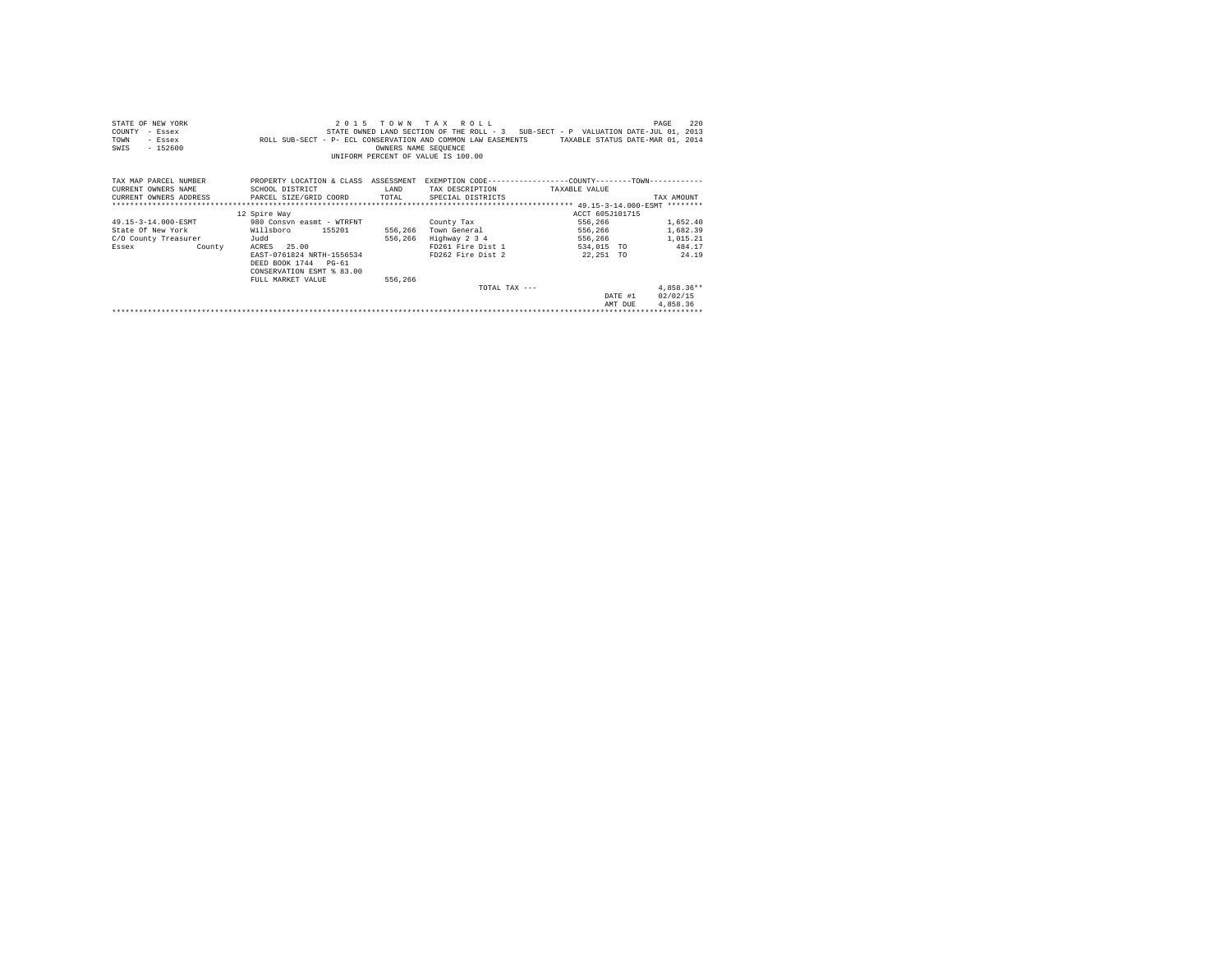| STATE OF NEW YORK      | 2 0 1 5                                                                                       |                      | TOWN TAX ROLL                                                                     |                                  | 220<br>PAGE  |
|------------------------|-----------------------------------------------------------------------------------------------|----------------------|-----------------------------------------------------------------------------------|----------------------------------|--------------|
| COUNTY<br>- Essex      |                                                                                               |                      | STATE OWNED LAND SECTION OF THE ROLL - 3 SUB-SECT - P VALUATION DATE-JUL 01, 2013 |                                  |              |
| TOWN<br>- Essex        | ROLL SUB-SECT - P- ECL CONSERVATION AND COMMON LAW EASEMENTS                                  |                      |                                                                                   | TAXABLE STATUS DATE-MAR 01, 2014 |              |
| $-152600$<br>SWIS      |                                                                                               | OWNERS NAME SEOUENCE |                                                                                   |                                  |              |
|                        |                                                                                               |                      | UNIFORM PERCENT OF VALUE IS 100.00                                                |                                  |              |
|                        |                                                                                               |                      |                                                                                   |                                  |              |
|                        |                                                                                               |                      |                                                                                   |                                  |              |
| TAX MAP PARCEL NUMBER  | PROPERTY LOCATION & CLASS ASSESSMENT EXEMPTION CODE---------------COUNTY-------TOWN---------- |                      |                                                                                   |                                  |              |
| CURRENT OWNERS NAME    | SCHOOL DISTRICT                                                                               | LAND                 | TAX DESCRIPTION                                                                   | TAXABLE VALUE                    |              |
| CURRENT OWNERS ADDRESS | PARCEL SIZE/GRID COORD TOTAL                                                                  |                      | SPECIAL DISTRICTS                                                                 |                                  | TAX AMOUNT   |
|                        |                                                                                               |                      |                                                                                   |                                  |              |
|                        | 12 Spire Way                                                                                  |                      |                                                                                   | ACCT 605J101715                  |              |
| 49.15-3-14.000-ESMT    | 980 Consyn easmt - WTRFNT                                                                     |                      | County Tax                                                                        | 556,266                          | 1,652.40     |
| State Of New York      | 155201<br>Willsboro                                                                           | 556,266              | Town General                                                                      | 556,266                          | 1,682.39     |
| C/O County Treasurer   | Judd                                                                                          | 556,266              | Highway 2 3 4                                                                     | 556,266                          | 1,015.21     |
| Essex County           | ACRES 25.00                                                                                   |                      | FD261 Fire Dist 1                                                                 | 534,015 TO                       | 484.17       |
|                        | EAST-0761824 NRTH-1556534                                                                     |                      | FD262 Fire Dist 2                                                                 | 22,251 TO                        | 24.19        |
|                        | DEED BOOK 1744 PG-61                                                                          |                      |                                                                                   |                                  |              |
|                        | CONSERVATION ESMT % 83.00                                                                     |                      |                                                                                   |                                  |              |
|                        | FULL MARKET VALUE                                                                             | 556,266              |                                                                                   |                                  |              |
|                        |                                                                                               |                      | TOTAL TAX $---$                                                                   |                                  | $4.858.36**$ |
|                        |                                                                                               |                      |                                                                                   | DATE #1                          | 02/02/15     |
|                        |                                                                                               |                      |                                                                                   | AMT DUE                          | 4.858.36     |
|                        |                                                                                               |                      |                                                                                   |                                  |              |
|                        |                                                                                               |                      |                                                                                   |                                  |              |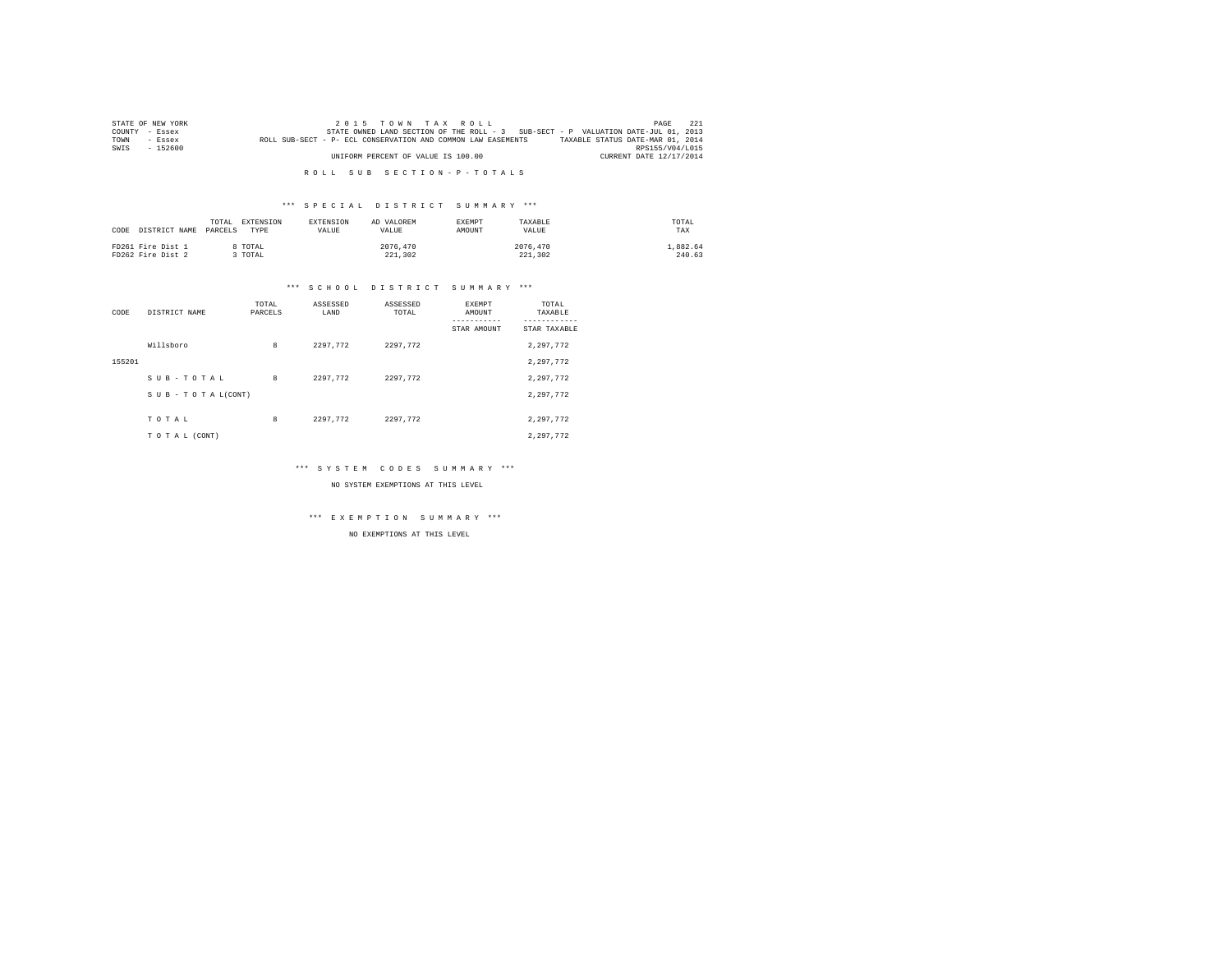|      | STATE OF NEW YORK | 2015 TOWN TAX ROLL                                                                               | PAGE            | - 221 |
|------|-------------------|--------------------------------------------------------------------------------------------------|-----------------|-------|
|      | COUNTY - Essex    | STATE OWNED LAND SECTION OF THE ROLL - 3 SUB-SECT - P VALUATION DATE-JUL 01, 2013                |                 |       |
| TOWN | - Essex           | TAXABLE STATUS DATE-MAR 01, 2014<br>ROLL SUB-SECT - P- ECL CONSERVATION AND COMMON LAW EASEMENTS |                 |       |
| SWIS | - 152600          |                                                                                                  | RPS155/V04/L015 |       |
|      |                   | UNIFORM PERCENT OF VALUE IS 100.00<br>CURRENT DATE 12/17/2014                                    |                 |       |

#### \*\*\* S P E C I A L D I S T R I C T S U M M A R Y \*\*\*

| DISTRICT NAME<br>CODE                  | EXTENSION<br>TOTAL.<br>PARCELS<br>TYPE | <b>EXTENSION</b><br><b>VALUE</b> | AD VALOREM<br>VALUE. | <b>EXEMPT</b><br>AMOUNT | TAXABLE<br>VALUE    | TOTAL<br>TAX       |
|----------------------------------------|----------------------------------------|----------------------------------|----------------------|-------------------------|---------------------|--------------------|
| FD261 Fire Dist 1<br>FD262 Fire Dist 2 | TOTAL<br>TOTAL                         |                                  | 2076.470<br>221,302  |                         | 2076.470<br>221,302 | 1.882.64<br>240.63 |

#### \*\*\* S C H O O L D I S T R I C T S U M M A R Y \*\*\*

| CODE   | DISTRICT NAME      | TOTAL<br>PARCELS | ASSESSED<br>LAND | ASSESSED<br>TOTAL | EXEMPT<br>AMOUNT<br>STAR AMOUNT | TOTAL<br>TAXABLE<br>STAR TAXABLE |
|--------|--------------------|------------------|------------------|-------------------|---------------------------------|----------------------------------|
|        | Willsboro          | 8                | 2297.772         | 2297.772          |                                 | 2,297,772                        |
| 155201 |                    |                  |                  |                   |                                 | 2,297,772                        |
|        | SUB-TOTAL          | 8                | 2297.772         | 2297.772          |                                 | 2.297.772                        |
|        | SUB - TO TAL(CONT) |                  |                  |                   |                                 | 2.297.772                        |
|        |                    |                  |                  |                   |                                 |                                  |
|        | TOTAL              | 8                | 2297.772         | 2297.772          |                                 | 2.297.772                        |
|        | TO TAL (CONT)      |                  |                  |                   |                                 | 2.297.772                        |

#### \*\*\* S Y S T E M C O D E S S U M M A R Y \*\*\*

NO SYSTEM EXEMPTIONS AT THIS LEVEL

# \*\*\* E X E M P T I O N S U M M A R Y \*\*\*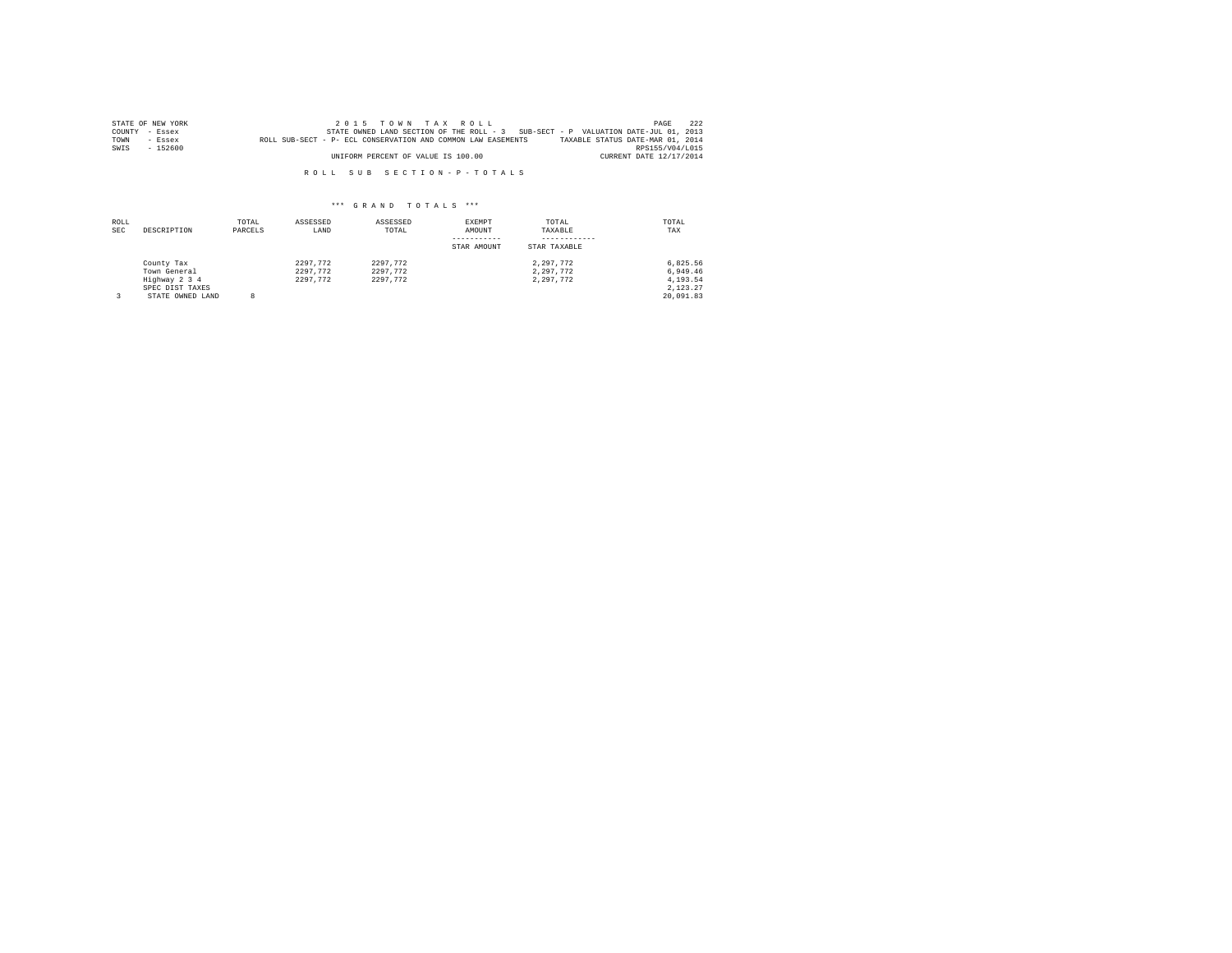|      | STATE OF NEW YORK | $2.0.15$ TOWN TAX ROLL                                                                           | PAGE            | 2.2.2 |
|------|-------------------|--------------------------------------------------------------------------------------------------|-----------------|-------|
|      | COUNTY - Essex    | STATE OWNED LAND SECTION OF THE ROLL - 3 SUB-SECT - P VALUATION DATE-JUL 01, 2013                |                 |       |
| TOWN | $-$ Essex         | TAXABLE STATUS DATE-MAR 01, 2014<br>ROLL SUB-SECT - P- ECL CONSERVATION AND COMMON LAW EASEMENTS |                 |       |
| SWIS | $-152600$         |                                                                                                  | RPS155/V04/L015 |       |
|      |                   | UNIFORM PERCENT OF VALUE IS 100.00<br>CURRENT DATE 12/17/2014                                    |                 |       |

| ROLL<br><b>SEC</b> | DESCRIPTION                                                                        | TOTAL<br>PARCELS | ASSESSED<br>LAND                 | ASSESSED<br>TOTAL                | EXEMPT<br>AMOUNT<br>STAR AMOUNT | TOTAL<br>TAXABLE<br>STAR TAXABLE    | TOTAL<br>TAX                                              |
|--------------------|------------------------------------------------------------------------------------|------------------|----------------------------------|----------------------------------|---------------------------------|-------------------------------------|-----------------------------------------------------------|
|                    | County Tax<br>Town General<br>Highway 2 3 4<br>SPEC DIST TAXES<br>STATE OWNED LAND | R                | 2297.772<br>2297.772<br>2297.772 | 2297.772<br>2297.772<br>2297.772 |                                 | 2.297.772<br>2.297.772<br>2.297.772 | 6.825.56<br>6.949.46<br>4.193.54<br>2.123.27<br>20,091.83 |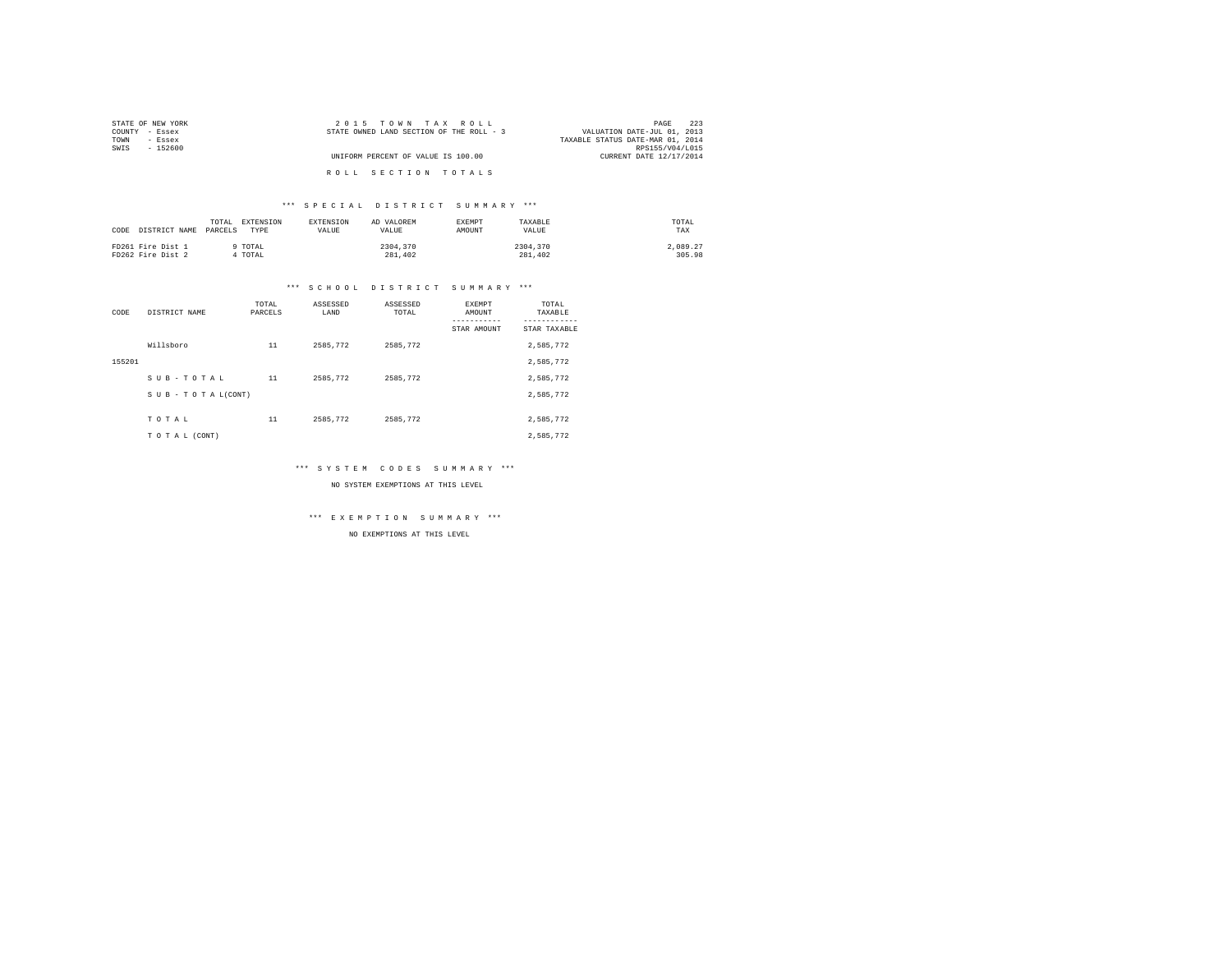| STATE OF NEW YORK | 2015 TOWN TAX ROLL                       | 223<br>PAGE                      |
|-------------------|------------------------------------------|----------------------------------|
| COUNTY - Essex    | STATE OWNED LAND SECTION OF THE ROLL - 3 | VALUATION DATE-JUL 01, 2013      |
| TOWN<br>- Essex   |                                          | TAXABLE STATUS DATE-MAR 01, 2014 |
| SWIS<br>- 152600  |                                          | RPS155/V04/L015                  |
|                   | UNIFORM PERCENT OF VALUE IS 100.00       | CURRENT DATE 12/17/2014          |
|                   |                                          |                                  |
|                   | ROLL SECTION TOTALS                      |                                  |

#### \*\*\* S P E C I A L D I S T R I C T S U M M A R Y \*\*\*

| CODE DISTRICT NAME PARCELS | EXTENSION<br>TOTAL<br>TYPE | <b>EXTENSION</b><br><b>VALUE</b> | AD VALOREM<br>VALUE. | <b>EXEMPT</b><br>AMOUNT | TAXARLE<br>VALUE | TOTAL<br>TAX |
|----------------------------|----------------------------|----------------------------------|----------------------|-------------------------|------------------|--------------|
| FD261 Fire Dist 1          | TOTAL                      |                                  | 2304,370             |                         | 2304,370         | 2,089.27     |
| FD262 Fire Dist 2          | TOTAL                      |                                  | 281,402              |                         | 281,402          | 305.98       |

# \*\*\* S C H O O L D I S T R I C T S U M M A R Y \*\*\*

| CODE   | DISTRICT NAME      | TOTAL<br>PARCELS | ASSESSED<br>LAND | ASSESSED<br>TOTAL | EXEMPT<br>AMOUNT<br>STAR AMOUNT | TOTAL<br>TAXABLE<br>---------<br>STAR TAXABLE |
|--------|--------------------|------------------|------------------|-------------------|---------------------------------|-----------------------------------------------|
|        | Willsboro          | 11               | 2585.772         | 2585.772          |                                 | 2,585,772                                     |
| 155201 |                    |                  |                  |                   |                                 | 2,585,772                                     |
|        | SUB-TOTAL          | 11               | 2585.772         | 2585.772          |                                 | 2,585,772                                     |
|        | SUB - TO TAL(CONT) |                  |                  |                   |                                 | 2,585,772                                     |
|        |                    |                  |                  |                   |                                 |                                               |
|        | TOTAL              | 11               | 2585.772         | 2585.772          |                                 | 2,585,772                                     |
|        | TO TAL (CONT)      |                  |                  |                   |                                 | 2.585.772                                     |

#### \*\*\* S Y S T E M C O D E S S U M M A R Y \*\*\*

NO SYSTEM EXEMPTIONS AT THIS LEVEL

# \*\*\* E X E M P T I O N S U M M A R Y \*\*\*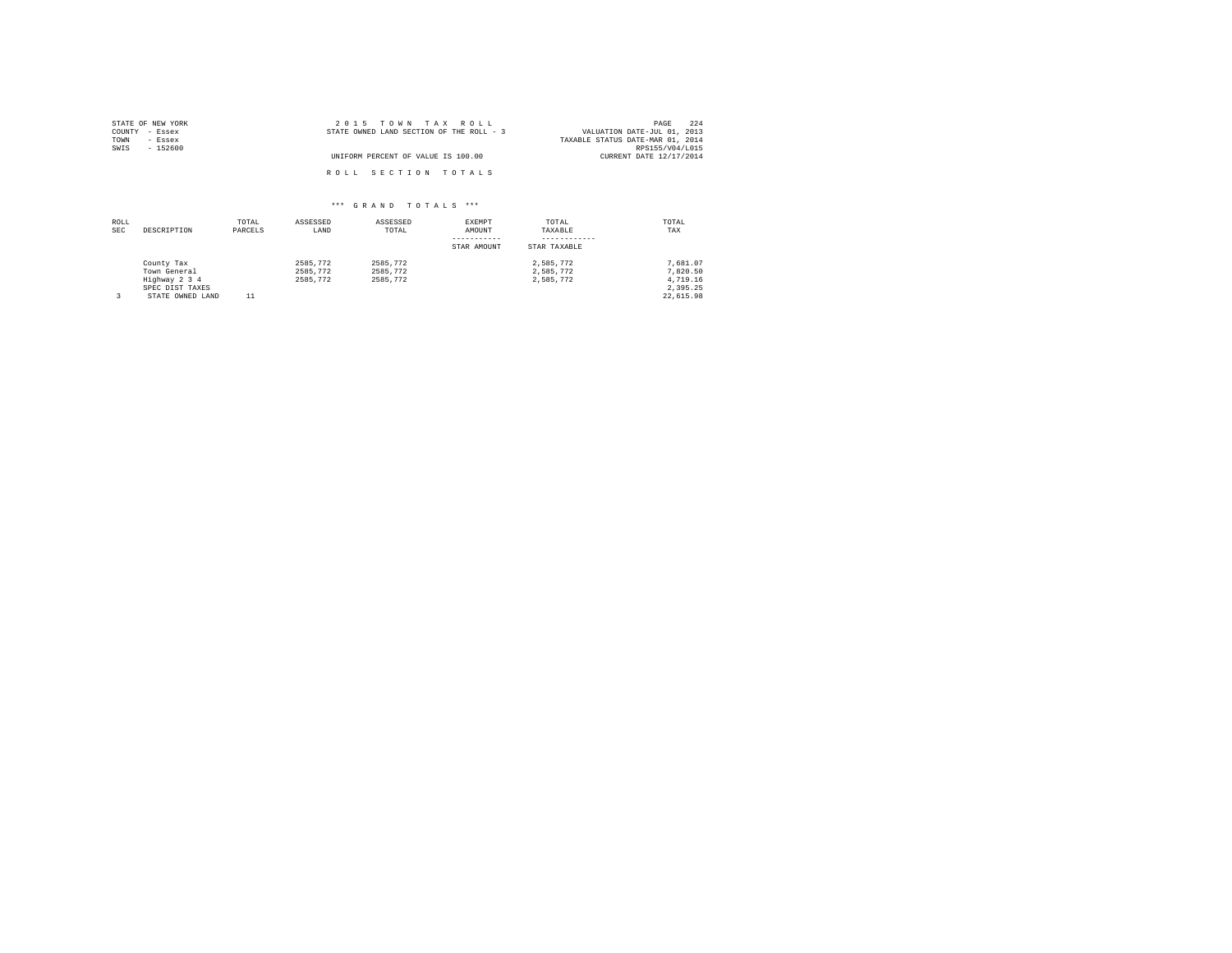| STATE OF NEW YORK | 2015 TOWN TAX ROLL                       | 224<br>PAGE                      |
|-------------------|------------------------------------------|----------------------------------|
| COUNTY - Essex    | STATE OWNED LAND SECTION OF THE ROLL - 3 | VALUATION DATE-JUL 01, 2013      |
| TOWN<br>- Essex   |                                          | TAXABLE STATUS DATE-MAR 01, 2014 |
| SWIS<br>$-152600$ |                                          | RPS155/V04/L015                  |
|                   | UNIFORM PERCENT OF VALUE IS 100.00       | CURRENT DATE 12/17/2014          |
|                   | ROLL SECTION TOTALS                      |                                  |

| ROLL<br><b>SEC</b> | DESCRIPTION      | TOTAL<br>PARCELS | ASSESSED<br>LAND | ASSESSED<br>TOTAL | EXEMPT<br>AMOUNT | TOTAL<br>TAXABLE | TOTAL<br>TAX |
|--------------------|------------------|------------------|------------------|-------------------|------------------|------------------|--------------|
|                    |                  |                  |                  |                   | STAR AMOUNT      | STAR TAXABLE     |              |
|                    | County Tax       |                  | 2585.772         | 2585.772          |                  | 2.585.772        | 7.681.07     |
|                    | Town General     |                  | 2585.772         | 2585.772          |                  | 2.585.772        | 7.820.50     |
|                    | Highway 2 3 4    |                  | 2585,772         | 2585.772          |                  | 2.585.772        | 4.719.16     |
|                    | SPEC DIST TAXES  |                  |                  |                   |                  |                  | 2.395.25     |
|                    | STATE OWNED LAND |                  |                  |                   |                  |                  | 22.615.98    |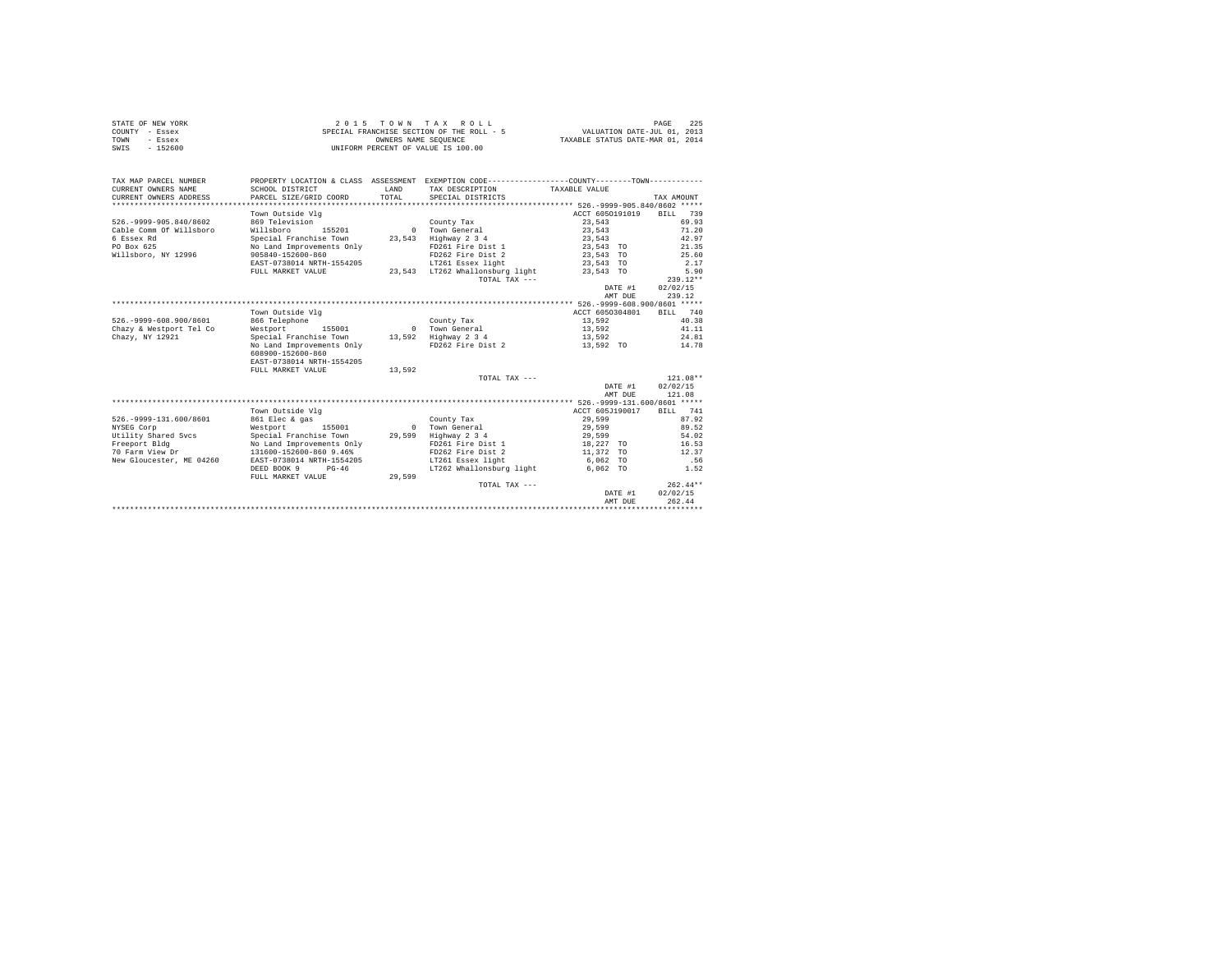|      | STATE OF NEW YORK | $2.0.15$ TOWN TAX ROLL                    | 225<br>PAGE                      |
|------|-------------------|-------------------------------------------|----------------------------------|
|      | COUNTY - Essex    | SPECIAL FRANCHISE SECTION OF THE ROLL - 5 | VALUATION DATE-JUL 01, 2013      |
| TOWN | - Essex           | OWNERS NAME SEOUENCE                      | TAXABLE STATUS DATE-MAR 01, 2014 |
| SWIS | - 152600          | UNIFORM PERCENT OF VALUE IS 100.00        |                                  |

| TAX MAP PARCEL NUMBER<br>CURRENT OWNERS NAME | PROPERTY LOCATION & CLASS ASSESSMENT EXEMPTION CODE----------------COUNTY-------TOWN----------<br>SCHOOL DISTRICT | LAND   | TAX DESCRIPTION TAXABLE VALUE   |           |           |                 |            |            |
|----------------------------------------------|-------------------------------------------------------------------------------------------------------------------|--------|---------------------------------|-----------|-----------|-----------------|------------|------------|
| CURRENT OWNERS ADDRESS                       | PARCEL SIZE/GRID COORD                                                                                            | TOTAL  | SPECIAL DISTRICTS               |           |           |                 | TAX AMOUNT |            |
|                                              |                                                                                                                   |        |                                 |           |           |                 |            |            |
|                                              | Town Outside Vlg                                                                                                  |        |                                 |           |           | ACCT 6050191019 |            | BILL 739   |
| 526. - 9999 - 905.840/8602                   | 869 Television                                                                                                    |        | County Tax                      |           | 23,543    |                 |            | 69.93      |
| Cable Comm Of Willsboro                      | Willsboro<br>155201                                                                                               |        | 0 Town General                  |           | 23,543    |                 |            | 71.20      |
| 6 Essex Rd                                   | Special Franchise Town                                                                                            |        | 23,543 Highway 2 3 4            |           | 23,543    |                 |            | 42.97      |
| PO Box 625                                   | No Land Improvements Only                                                                                         |        | FD261 Fire Dist 1               | 23,543 TO |           |                 |            | 21.35      |
| Willsboro, NY 12996                          | 905840-152600-860                                                                                                 |        | FD262 Fire Dist 2               | 23,543 TO |           |                 |            | 25.60      |
|                                              | EAST-0738014 NRTH-1554205                                                                                         |        | LT261 Essex light               | 23,543 TO |           |                 |            | 2.17       |
|                                              | FULL MARKET VALUE                                                                                                 |        | 23,543 LT262 Whallonsburg light |           | 23,543 TO |                 |            | 5.90       |
|                                              |                                                                                                                   |        | TOTAL TAX ---                   |           |           |                 |            | $239.12**$ |
|                                              |                                                                                                                   |        |                                 |           |           | DATE #1         |            | 02/02/15   |
|                                              |                                                                                                                   |        |                                 |           |           | AMT DUE         |            | 239.12     |
|                                              |                                                                                                                   |        |                                 |           |           |                 |            |            |
|                                              | Town Outside Vlg                                                                                                  |        |                                 |           |           | ACCT 6050304801 |            | BILL 740   |
| 526. - 9999 - 608. 900/8601                  | 866 Telephone                                                                                                     |        | County Tax                      | 13,592    |           |                 |            | 40.38      |
| Chazy & Westport Tel Co                      | Westport 155001                                                                                                   |        | 0 Town General                  |           | 13,592    |                 |            | 41.11      |
| Chazy, NY 12921                              | Special Franchise Town 13,592 Highway 2 3 4                                                                       |        |                                 | 13,592    |           |                 |            | 24.81      |
|                                              | No Land Improvements Only                                                                                         |        | FD262 Fire Dist 2               |           |           | 13,592 TO       |            | 14.78      |
|                                              | 608900-152600-860                                                                                                 |        |                                 |           |           |                 |            |            |
|                                              | EAST-0738014 NRTH-1554205                                                                                         |        |                                 |           |           |                 |            |            |
|                                              | FULL MARKET VALUE                                                                                                 | 13,592 |                                 |           |           |                 |            |            |
|                                              |                                                                                                                   |        | TOTAL TAX ---                   |           |           |                 |            | $121.08**$ |
|                                              |                                                                                                                   |        |                                 |           |           | DATE #1         |            | 02/02/15   |
|                                              |                                                                                                                   |        |                                 |           |           | AMT DUE         |            | 121.08     |
|                                              |                                                                                                                   |        |                                 |           |           |                 |            |            |
|                                              | Town Outside Vlg                                                                                                  |        |                                 |           |           | ACCT 605J190017 |            | BILL 741   |
| 526. - 9999-131.600/8601                     | 861 Elec & gas                                                                                                    |        | County Tax                      | 29,599    |           |                 |            | 87.92      |
| NYSEG Corp                                   | Westport 155001                                                                                                   |        | 0 Town General                  |           | 29,599    |                 |            | 89.52      |
| Utility Shared Sycs                          | Special Franchise Town                                                                                            | 29,599 | Highway 2 3 4                   | 29,599    |           |                 |            | 54.02      |
| Freeport Bldg                                | No Land Improvements Only                                                                                         |        | FD261 Fire Dist 1               | 18,227 TO |           |                 |            | 16.53      |
| 70 Farm View Dr                              | 131600-152600-860 9.46%                                                                                           |        | FD262 Fire Dist 2               | 11,372 TO |           |                 |            | 12.37      |
| New Gloucester, ME 04260                     | EAST-0738014 NRTH-1554205                                                                                         |        | LT261 Essex light               |           | 6.062 TO  |                 |            | .56        |
|                                              | DEED BOOK 9<br>$PG-46$                                                                                            |        | LT262 Whallonsburg light        |           | 6.062 TO  |                 |            | 1.52       |
|                                              | FULL MARKET VALUE                                                                                                 | 29,599 |                                 |           |           |                 |            |            |
|                                              |                                                                                                                   |        | TOTAL TAX ---                   |           |           |                 |            | $262.44**$ |
|                                              |                                                                                                                   |        |                                 |           |           | DATE #1         |            | 02/02/15   |
|                                              |                                                                                                                   |        |                                 |           |           | AMT DUE         |            | 262.44     |
|                                              |                                                                                                                   |        |                                 |           |           |                 |            |            |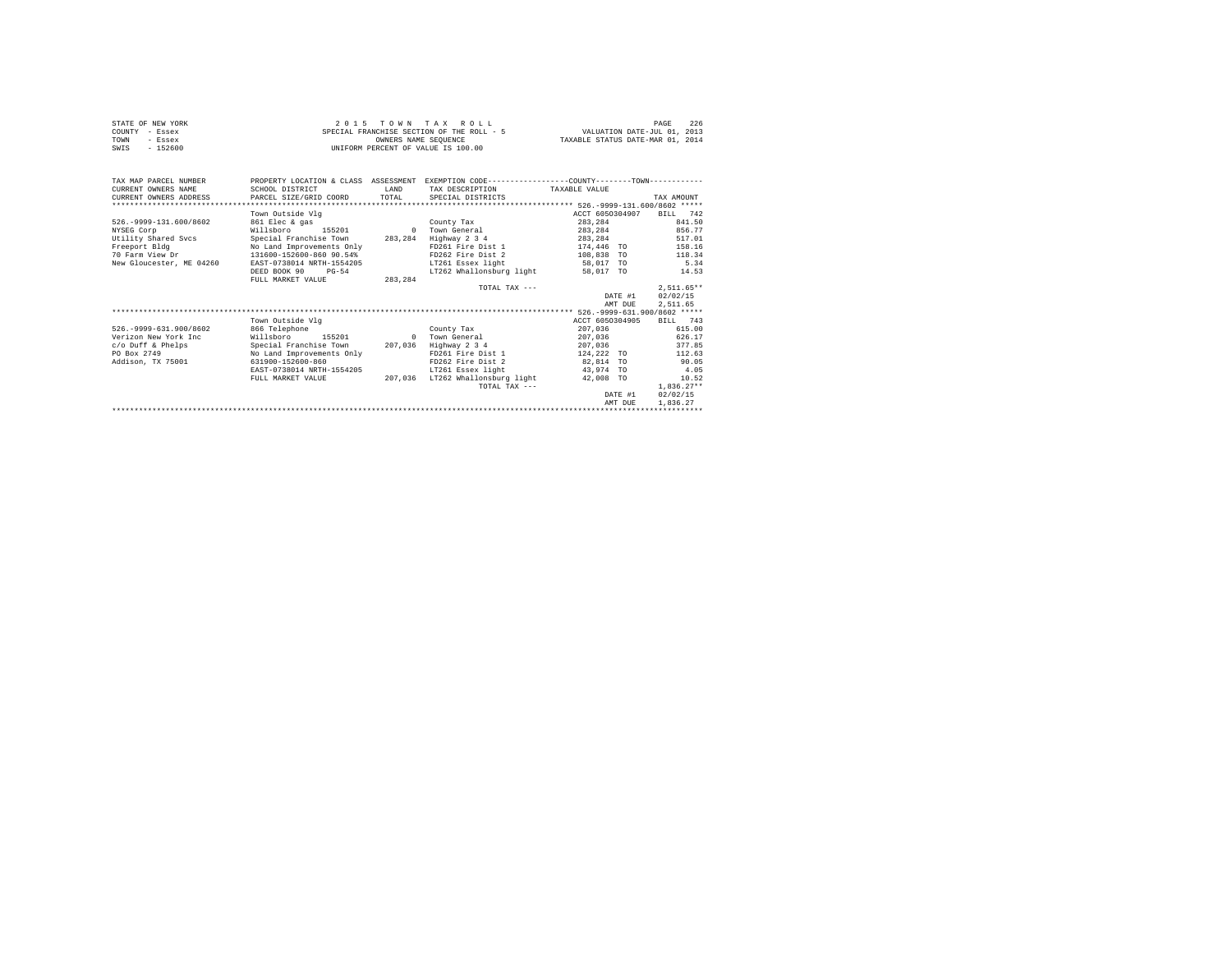|                | STATE OF NEW YORK | 2015 TOWN TAX ROLL                        |  |                      |  |  |  |                                  | PAGE | 226 |
|----------------|-------------------|-------------------------------------------|--|----------------------|--|--|--|----------------------------------|------|-----|
| COUNTY - Essex |                   | SPECIAL FRANCHISE SECTION OF THE ROLL - 5 |  |                      |  |  |  | VALUATION DATE-JUL 01, 2013      |      |     |
| TOWN           | - Essex           |                                           |  | OWNERS NAME SEOUENCE |  |  |  | TAXABLE STATUS DATE-MAR 01, 2014 |      |     |
| SWIS           | $-152600$         | UNIFORM PERCENT OF VALUE IS 100.00        |  |                      |  |  |  |                                  |      |     |

| TAX MAP PARCEL NUMBER       | PROPERTY LOCATION & CLASS ASSESSMENT |          | EXEMPTION CODE-----------------COUNTY-------TOWN----------- |               |                 |                 |              |        |  |  |  |
|-----------------------------|--------------------------------------|----------|-------------------------------------------------------------|---------------|-----------------|-----------------|--------------|--------|--|--|--|
| CURRENT OWNERS NAME         | SCHOOL DISTRICT                      | LAND     | TAX DESCRIPTION                                             | TAXABLE VALUE |                 |                 |              |        |  |  |  |
| CURRENT OWNERS ADDRESS      | PARCEL SIZE/GRID COORD               | TOTAL    | SPECIAL DISTRICTS                                           |               |                 |                 | TAX AMOUNT   |        |  |  |  |
|                             |                                      |          |                                                             |               |                 |                 |              |        |  |  |  |
|                             | Town Outside Vlg                     |          |                                                             |               |                 | ACCT 6050304907 | BILL         | 742    |  |  |  |
| 526. - 9999-131.600/8602    | 861 Elec & gas                       |          | County Tax                                                  |               | 283.284         |                 |              | 841.50 |  |  |  |
| NYSEG Corp                  | Willsboro<br>155201                  | $\Omega$ | Town General                                                |               | 283.284         |                 |              | 856.77 |  |  |  |
| Utility Shared Sycs         | Special Franchise Town               | 283,284  | Highway 2 3 4                                               |               | 283,284         |                 |              | 517.01 |  |  |  |
| Freeport Bldg               | No Land Improvements Only            |          | FD261 Fire Dist 1                                           | 174,446 TO    |                 |                 |              | 158.16 |  |  |  |
| 70 Farm View Dr             | 131600-152600-860 90.54%             |          | FD262 Fire Dist 2                                           |               | 108,838 TO      |                 |              | 118.34 |  |  |  |
| New Gloucester, ME 04260    | EAST-0738014 NRTH-1554205            |          | LT261 Essex light                                           | 58.017 TO     |                 |                 |              | 5.34   |  |  |  |
|                             | DEED BOOK 90<br>$PG-54$              |          | LT262 Whallonsburg light                                    |               | 58,017 TO       |                 |              | 14.53  |  |  |  |
|                             | FULL MARKET VALUE                    | 283,284  |                                                             |               |                 |                 |              |        |  |  |  |
|                             |                                      |          | TOTAL TAX $---$                                             |               |                 |                 | $2.511.65**$ |        |  |  |  |
|                             |                                      |          |                                                             |               |                 | DATE #1         | 02/02/15     |        |  |  |  |
|                             |                                      |          |                                                             |               |                 | AMT DUE         | 2.511.65     |        |  |  |  |
|                             |                                      |          |                                                             |               |                 |                 |              |        |  |  |  |
|                             | Town Outside Vlg                     |          |                                                             |               | ACCT 6050304905 |                 | BILL 743     |        |  |  |  |
| 526. - 9999 - 631. 900/8602 | 866 Telephone                        |          | County Tax                                                  |               | 207.036         |                 |              | 615.00 |  |  |  |
| Verizon New York Inc        | Willsboro<br>155201                  | $\Omega$ | Town General                                                |               | 207.036         |                 |              | 626.17 |  |  |  |
| c/o Duff & Phelps           | Special Franchise Town               | 207,036  | Highway 2 3 4                                               |               | 207.036         |                 |              | 377.85 |  |  |  |
| PO Box 2749                 | No Land Improvements Only            |          | FD261 Fire Dist 1                                           |               | 124,222 TO      |                 |              | 112.63 |  |  |  |
| Addison, TX 75001           | 631900-152600-860                    |          | FD262 Fire Dist 2                                           | 82,814 TO     |                 |                 |              | 90.05  |  |  |  |
|                             | EAST-0738014 NRTH-1554205            |          | LT261 Essex light                                           |               | 43,974 TO       |                 |              | 4.05   |  |  |  |
|                             | FULL MARKET VALUE                    | 207,036  | LT262 Whallonsburg light                                    |               | 42,008 TO       |                 |              | 10.52  |  |  |  |
|                             |                                      |          | TOTAL TAX ---                                               |               |                 |                 | $1.836.27**$ |        |  |  |  |
|                             |                                      |          |                                                             |               |                 | DATE #1         | 02/02/15     |        |  |  |  |
|                             |                                      |          |                                                             |               |                 | AMT DUE         | 1,836.27     |        |  |  |  |
|                             |                                      |          |                                                             |               |                 |                 |              |        |  |  |  |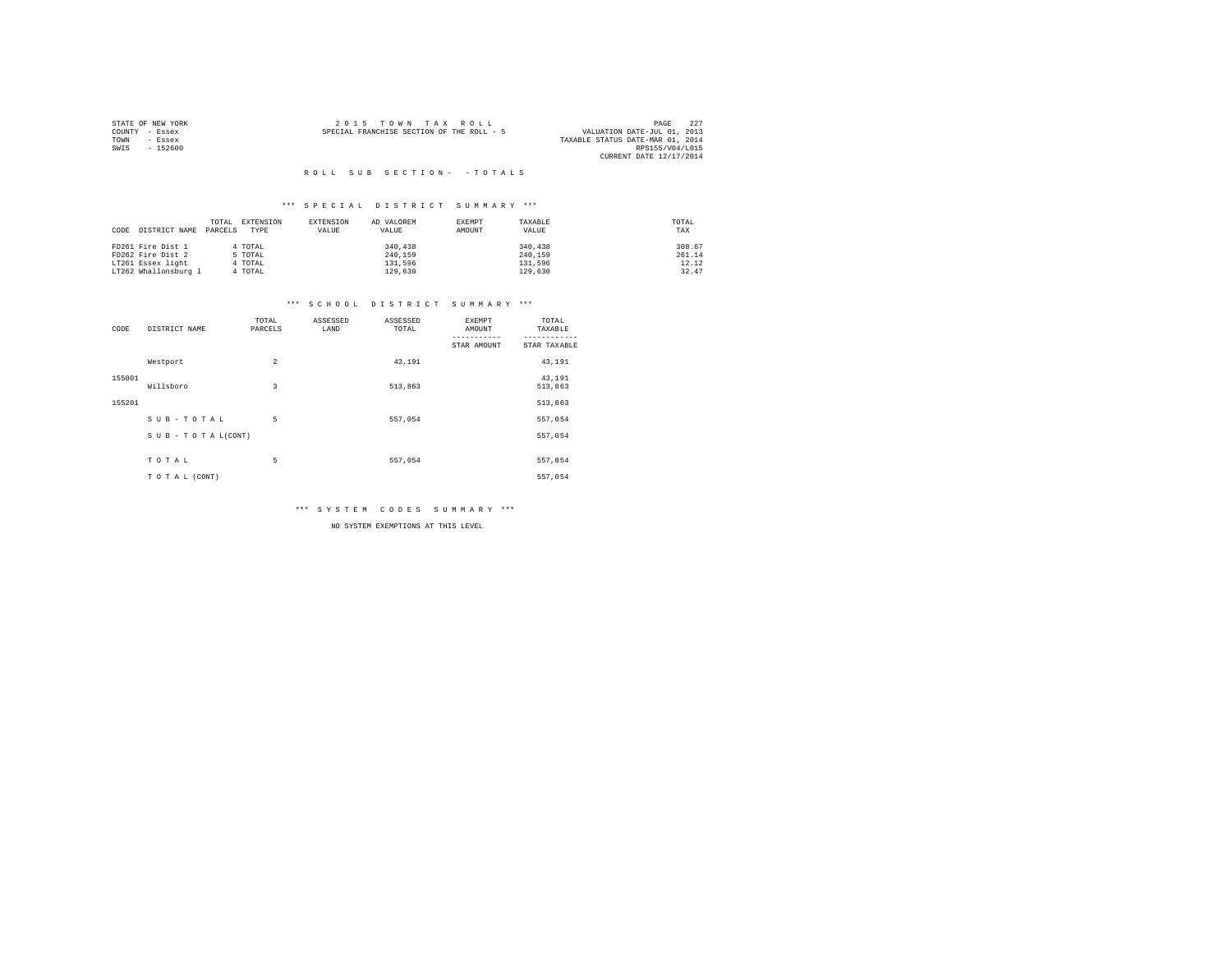|                | STATE OF NEW YORK | 2015 TOWN TAX ROLL                                                       | PAGE            | 227 |
|----------------|-------------------|--------------------------------------------------------------------------|-----------------|-----|
| COUNTY - Essex |                   | VALUATION DATE-JUL 01, 2013<br>SPECIAL FRANCHISE SECTION OF THE ROLL - 5 |                 |     |
| TOWN           | - Essex           | TAXABLE STATUS DATE-MAR 01, 2014                                         |                 |     |
| SWIS           | $-152600$         |                                                                          | RPS155/V04/L015 |     |
|                |                   | CURRENT DATE 12/17/2014                                                  |                 |     |

#### \*\*\* S P E C I A L D I S T R I C T S U M M A R Y \*\*\*

|      |                      | TOTAL   | EXTENSION | <b>EXTENSION</b> | AD VALOREM | EXEMPT | TAXABLE | TOTAL  |
|------|----------------------|---------|-----------|------------------|------------|--------|---------|--------|
| CODE | DISTRICT NAME        | PARCELS | TYPE      | VALUE            | VALUE      | AMOUNT | VALUE   | TAX    |
|      | FD261 Fire Dist 1    |         | 4 TOTAL   |                  | 340,438    |        | 340,438 | 308.67 |
|      |                      |         |           |                  |            |        |         |        |
|      | FD262 Fire Dist 2    |         | 5 TOTAL   |                  | 240.159    |        | 240.159 | 261.14 |
|      | LT261 Essex light    |         | 4 TOTAL   |                  | 131,596    |        | 131,596 | 12.12  |
|      | LT262 Whallonsburg 1 |         | 4 TOTAL   |                  | 129,630    |        | 129,630 | 32.47  |

#### \*\*\* S C H O O L D I S T R I C T S U M M A R Y \*\*\*

| CODE   | DISTRICT NAME   | TOTAL<br>PARCELS | ASSESSED<br>LAND | ASSESSED<br>TOTAL | <b>EXEMPT</b><br>AMOUNT | TOTAL<br>TAXABLE  |
|--------|-----------------|------------------|------------------|-------------------|-------------------------|-------------------|
|        |                 |                  |                  |                   | STAR AMOUNT             | STAR TAXABLE      |
|        | Westport        | $\overline{2}$   |                  | 43,191            |                         | 43,191            |
| 155001 | Willsboro       | 3                |                  | 513,863           |                         | 43,191<br>513,863 |
| 155201 |                 |                  |                  |                   |                         | 513,863           |
|        | SUB-TOTAL       | 5                |                  | 557.054           |                         | 557,054           |
|        | SUB-TOTAL(CONT) |                  |                  |                   |                         | 557,054           |
|        |                 |                  |                  |                   |                         |                   |
|        | TOTAL           | 5                |                  | 557,054           |                         | 557,054           |
|        | TO TAL (CONT)   |                  |                  |                   |                         | 557,054           |

\*\*\* S Y S T E M C O D E S S U M M A R Y \*\*\*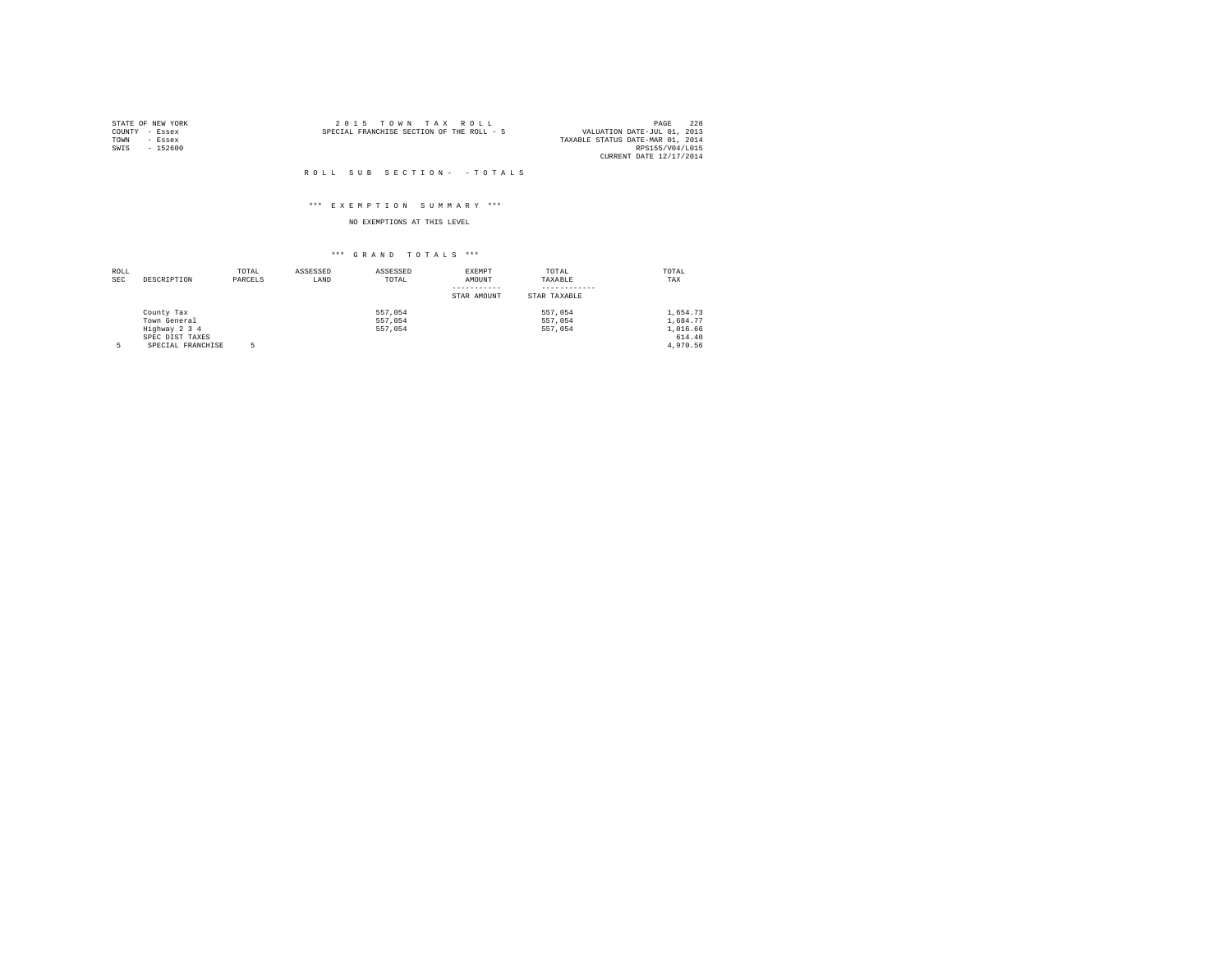| STATE OF NEW YORK |          |                                           | 2015 TOWN TAX ROLL |  |  |  | PAGE                             | 228 |
|-------------------|----------|-------------------------------------------|--------------------|--|--|--|----------------------------------|-----|
| COUNTY - Essex    |          | SPECIAL FRANCHISE SECTION OF THE ROLL - 5 |                    |  |  |  | VALUATION DATE-JUL 01, 2013      |     |
| TOWN              | - Essex  |                                           |                    |  |  |  | TAXABLE STATUS DATE-MAR 01, 2014 |     |
| SWIS              | - 152600 |                                           |                    |  |  |  | RPS155/V04/L015                  |     |
|                   |          |                                           |                    |  |  |  | CURRENT DATE 12/17/2014          |     |

#### \*\*\* E X E M P T I O N S U M M A R Y \*\*\*

#### NO EXEMPTIONS AT THIS LEVEL

| ROLL |                   | TOTAL   | ASSESSED | ASSESSED | EXEMPT      | TOTAL        | TOTAL    |
|------|-------------------|---------|----------|----------|-------------|--------------|----------|
| SEC  | DESCRIPTION       | PARCELS | LAND     | TOTAL    | AMOUNT      | TAXABLE      | TAX      |
|      |                   |         |          |          |             |              |          |
|      |                   |         |          |          | STAR AMOUNT | STAR TAXABLE |          |
|      | County Tax        |         |          | 557.054  |             | 557,054      | 1,654.73 |
|      | Town General      |         |          | 557.054  |             | 557,054      | 1,684.77 |
|      | Highway 2 3 4     |         |          | 557.054  |             | 557,054      | 1,016.66 |
|      | SPEC DIST TAXES   |         |          |          |             |              | 614.40   |
| 5    | SPECIAL FRANCHISE |         |          |          |             |              | 4.970.56 |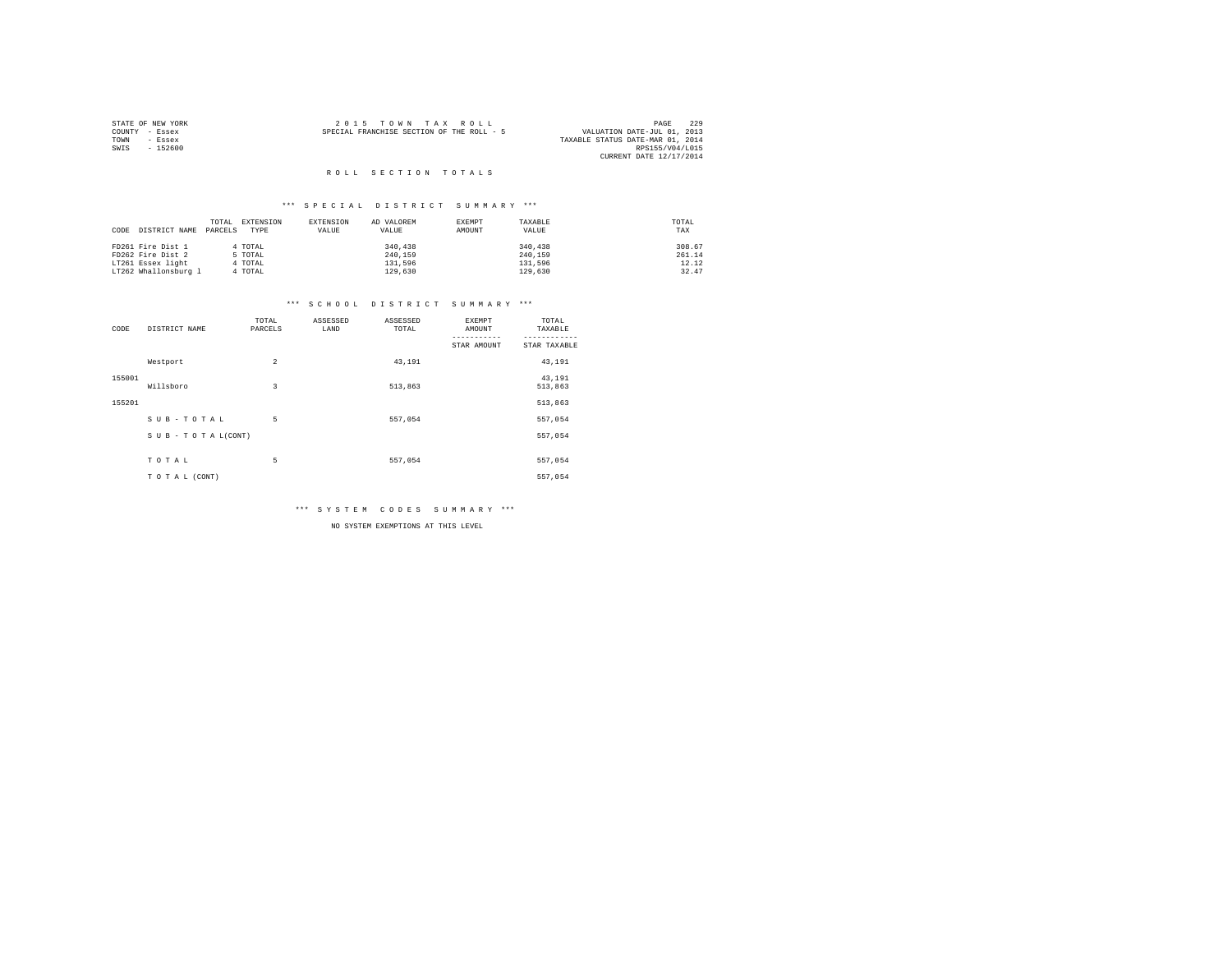|        | STATE OF NEW YORK | 2015 TOWN TAX ROLL                        | PAGE                        | 229 |
|--------|-------------------|-------------------------------------------|-----------------------------|-----|
| COUNTY | - Essex           | SPECIAL FRANCHISE SECTION OF THE ROLL - 5 | VALUATION DATE-JUL 01, 2013 |     |
| TOWN   | $-$ Essex         | TAXABLE STATUS DATE-MAR 01, 2014          |                             |     |
| SWIS   | $-152600$         |                                           | RPS155/V04/L015             |     |
|        |                   |                                           | CURRENT DATE 12/17/2014     |     |
|        |                   |                                           |                             |     |

# ROLL SECTION TOTALS

#### \*\*\* S P E C I A L D I S T R I C T S U M M A R Y \*\*\*

|      |                      | TOTAL   | EXTENSION | EXTENSION | AD VALOREM | EXEMPT | TAXABLE | TOTAL  |
|------|----------------------|---------|-----------|-----------|------------|--------|---------|--------|
| CODE | DISTRICT NAME        | PARCELS | TYPE      | VALUE     | VALUE      | AMOUNT | VALUE   | TAX    |
|      | FD261 Fire Dist 1    |         | 4 TOTAL   |           | 340,438    |        | 340,438 | 308.67 |
|      | FD262 Fire Dist 2    |         | 5 TOTAL   |           | 240.159    |        | 240.159 | 261.14 |
|      | LT261 Essex light    |         | 4 TOTAL   |           | 131,596    |        | 131,596 | 12.12  |
|      | LT262 Whallonsburg 1 |         | 4 TOTAL   |           | 129,630    |        | 129,630 | 32.47  |

# \*\*\* S C H O O L D I S T R I C T S U M M A R Y \*\*\*

| CODE   | DISTRICT NAME      | TOTAL<br>PARCELS | ASSESSED<br>LAND | ASSESSED<br>TOTAL | EXEMPT<br>AMOUNT | TOTAL<br>TAXABLE  |
|--------|--------------------|------------------|------------------|-------------------|------------------|-------------------|
|        |                    |                  |                  |                   | STAR AMOUNT      | STAR TAXABLE      |
|        | Westport           | $\overline{2}$   |                  | 43,191            |                  | 43,191            |
| 155001 | Willsboro          | 3                |                  | 513,863           |                  | 43.191<br>513,863 |
| 155201 |                    |                  |                  |                   |                  | 513,863           |
|        | SUB-TOTAL          | 5                |                  | 557.054           |                  | 557,054           |
|        | SUB - TO TAL(CONT) |                  |                  |                   |                  | 557,054           |
|        | TOTAL              | 5                |                  | 557,054           |                  | 557,054           |
|        |                    |                  |                  |                   |                  |                   |
|        | TO TAL (CONT)      |                  |                  |                   |                  | 557,054           |

\*\*\* S Y S T E M C O D E S S U M M A R Y \*\*\*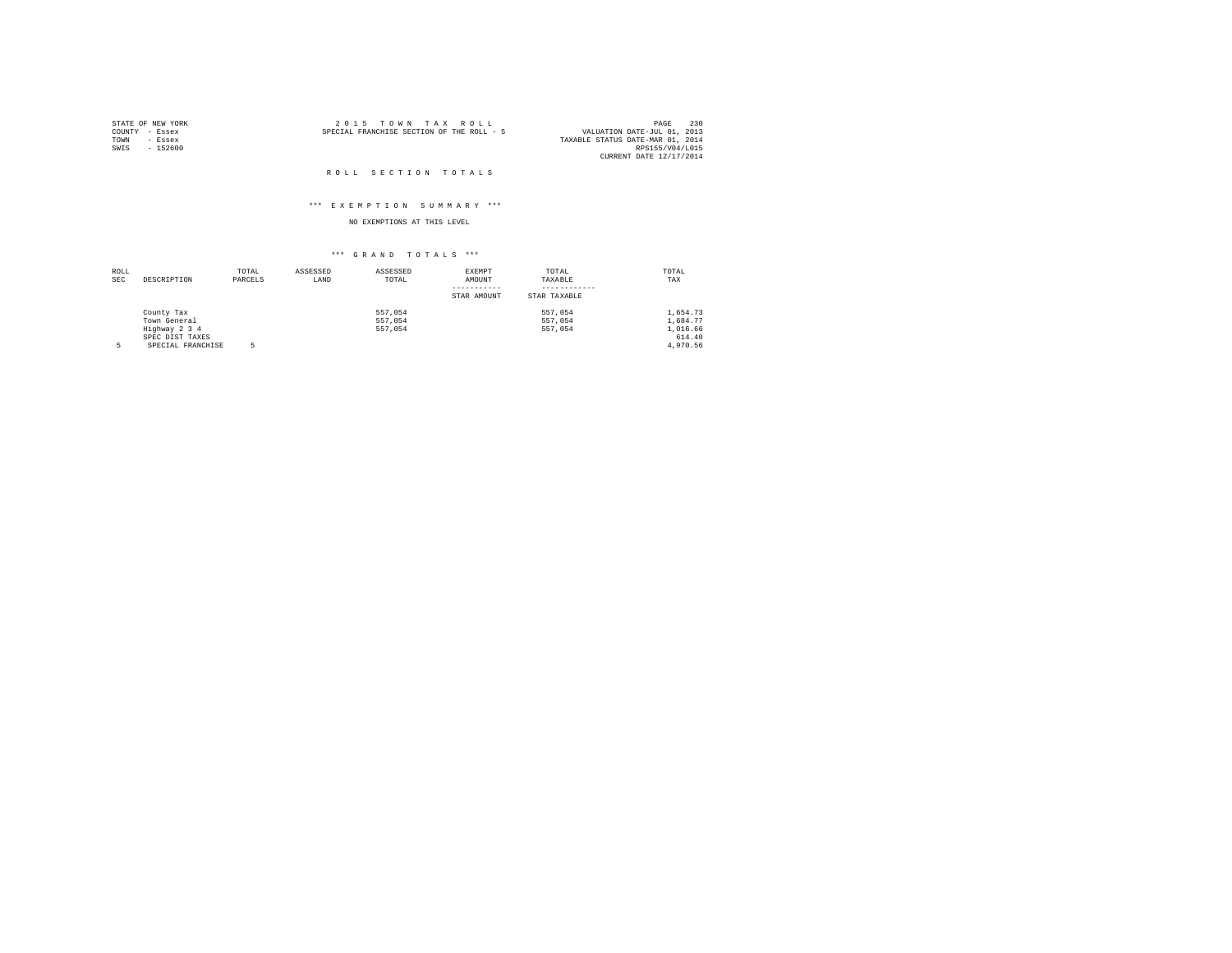|                | STATE OF NEW YORK | $2.0.15$ TOWN TAX ROLL                                                   | PAGE                    | 230 |
|----------------|-------------------|--------------------------------------------------------------------------|-------------------------|-----|
| COUNTY - Essex |                   | VALUATION DATE-JUL 01, 2013<br>SPECIAL FRANCHISE SECTION OF THE ROLL - 5 |                         |     |
| TOWN           | - Essex           | TAXABLE STATUS DATE-MAR 01, 2014                                         |                         |     |
| SWIS           | $-152600$         |                                                                          | RPS155/V04/L015         |     |
|                |                   |                                                                          | CURRENT DATE 12/17/2014 |     |

#### ROLL SECTION TOTALS

#### \*\*\* E X E M P T I O N S U M M A R Y \*\*\*

### NO EXEMPTIONS AT THIS LEVEL

| ROLL       |                   | TOTAL   | ASSESSED | ASSESSED | EXEMPT      | TOTAL        | TOTAL    |
|------------|-------------------|---------|----------|----------|-------------|--------------|----------|
| <b>SEC</b> | DESCRIPTION       | PARCELS | LAND     | TOTAL    | AMOUNT      | TAXABLE      | TAX      |
|            |                   |         |          |          |             |              |          |
|            |                   |         |          |          | STAR AMOUNT | STAR TAXABLE |          |
|            | County Tax        |         |          | 557.054  |             | 557,054      | 1,654.73 |
|            | Town General      |         |          | 557.054  |             | 557,054      | 1,684.77 |
|            | Highway 2 3 4     |         |          | 557.054  |             | 557,054      | 1,016.66 |
|            | SPEC DIST TAXES   |         |          |          |             |              | 614.40   |
| 5          | SPECIAL FRANCHISE |         |          |          |             |              | 4.970.56 |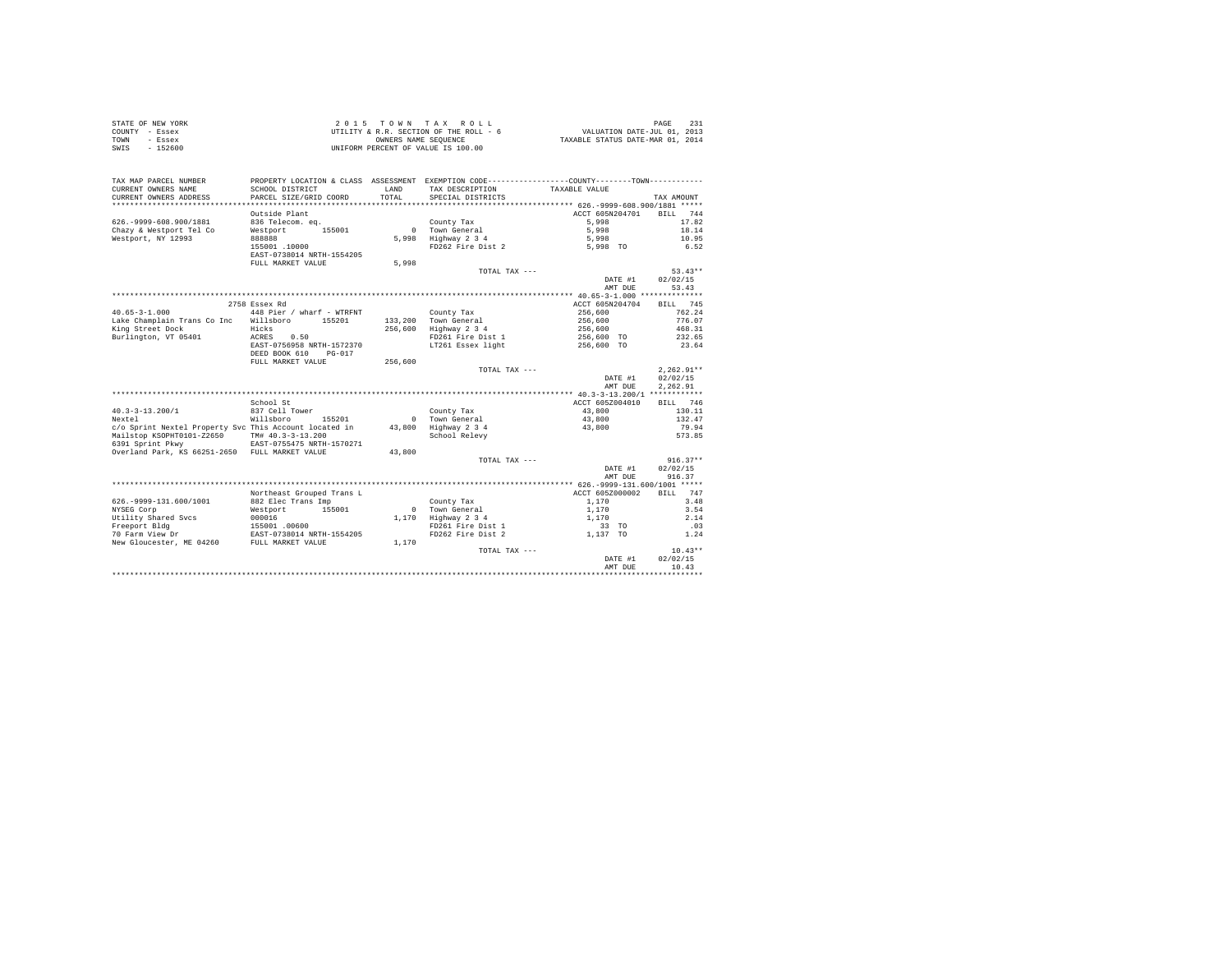|                | STATE OF NEW YORK | 2015 TOWN TAX ROLL                     | PAGE                             |
|----------------|-------------------|----------------------------------------|----------------------------------|
| COUNTY - Essex |                   | UTILITY & R.R. SECTION OF THE ROLL - 6 | VALUATION DATE-JUL 01, 2013      |
| TOWN           | - Essex           | OWNERS NAME SEOUENCE                   | TAXABLE STATUS DATE-MAR 01, 2014 |
| SWIS           | $-152600$         | UNIFORM PERCENT OF VALUE IS 100.00     |                                  |

| TAX MAP PARCEL NUMBER<br>CURRENT OWNERS NAME<br>CURRENT OWNERS ADDRESS | SCHOOL DISTRICT<br>PARCEL SIZE/GRID COORD | LAND<br>TOTAL | PROPERTY LOCATION & CLASS ASSESSMENT EXEMPTION CODE---------------COUNTY-------TOWN----------<br>TAX DESCRIPTION<br>SPECIAL DISTRICTS | TAXABLE VALUE                              | TAX AMOUNT         |
|------------------------------------------------------------------------|-------------------------------------------|---------------|---------------------------------------------------------------------------------------------------------------------------------------|--------------------------------------------|--------------------|
| ********************                                                   | **********************                    |               |                                                                                                                                       |                                            |                    |
|                                                                        | Outside Plant                             |               |                                                                                                                                       | ACCT 605N204701                            | BTLL.<br>744       |
| 626. - 9999 - 608. 900/1881                                            | 836 Telecom. eq.                          |               | County Tax                                                                                                                            | 5,998                                      | 17.82              |
| Chazy & Westport Tel Co                                                | 155001<br>Westport                        | $\Omega$      | Town General                                                                                                                          | 5,998                                      | 18.14              |
| Westport, NY 12993                                                     | 888888                                    |               | 5,998 Highway 2 3 4                                                                                                                   | 5,998                                      | 10.95              |
|                                                                        | 155001.10000                              |               | FD262 Fire Dist 2                                                                                                                     | 5,998 TO                                   | 6.52               |
|                                                                        | EAST-0738014 NRTH-1554205                 |               |                                                                                                                                       |                                            |                    |
|                                                                        | FULL MARKET VALUE                         | 5,998         |                                                                                                                                       |                                            |                    |
|                                                                        |                                           |               | TOTAL TAX ---                                                                                                                         |                                            | $53.43**$          |
|                                                                        |                                           |               |                                                                                                                                       | DATE #1                                    | 02/02/15<br>53.43  |
|                                                                        |                                           |               |                                                                                                                                       | AMT DUE                                    |                    |
|                                                                        | 2758 Essex Rd                             |               |                                                                                                                                       | ACCT 605N204704                            | <b>BILL</b><br>745 |
| $40.65 - 3 - 1.000$                                                    | 448 Pier / wharf - WTRFNT                 |               | County Tax                                                                                                                            | 256,600                                    | 762.24             |
| Lake Champlain Trans Co Inc                                            | Willsboro<br>155201                       |               | 133,200 Town General                                                                                                                  | 256,600                                    | 776.07             |
| King Street Dock                                                       | Hicks                                     | 256,600       | Highway 2 3 4                                                                                                                         | 256,600                                    | 468.31             |
| Burlington, VT 05401                                                   | ACRES<br>0.50                             |               | FD261 Fire Dist 1                                                                                                                     | 256,600 TO                                 | 232.65             |
|                                                                        | EAST-0756958 NRTH-1572370                 |               | LT261 Essex light                                                                                                                     | 256,600 TO                                 | 23.64              |
|                                                                        | DEED BOOK 610<br>$PG-017$                 |               |                                                                                                                                       |                                            |                    |
|                                                                        | FULL MARKET VALUE                         | 256,600       |                                                                                                                                       |                                            |                    |
|                                                                        |                                           |               | TOTAL TAX ---                                                                                                                         |                                            | $2,262.91**$       |
|                                                                        |                                           |               |                                                                                                                                       | DATE #1                                    | 02/02/15           |
|                                                                        |                                           |               |                                                                                                                                       | AMT DUE                                    | 2,262.91           |
|                                                                        | ************************                  |               | **********************************                                                                                                    | ************* 40.3-3-13.200/1 ************ |                    |
|                                                                        | School St                                 |               |                                                                                                                                       | ACCT 605Z004010                            | BILL 746           |
| $40.3 - 3 - 13.200 / 1$                                                | 837 Cell Tower                            |               | County Tax                                                                                                                            | 43,800                                     | 130.11             |
| Nextel                                                                 | Willsboro<br>155201                       | $\Omega$      | Town General                                                                                                                          | 43,800                                     | 132.47             |
| c/o Sprint Nextel Property Svc This Account located in                 |                                           |               | 43,800 Highway 2 3 4                                                                                                                  | 43,800                                     | 79.94              |
| Mailstop KSOPHT0101-Z2650                                              | TM# 40.3-3-13.200                         |               | School Relevy                                                                                                                         |                                            | 573.85             |
| 6391 Sprint Pkwy                                                       | EAST-0755475 NRTH-1570271                 |               |                                                                                                                                       |                                            |                    |
| Overland Park, KS 66251-2650 FULL MARKET VALUE                         |                                           | 43,800        | TOTAL TAX ---                                                                                                                         |                                            | $916.37**$         |
|                                                                        |                                           |               |                                                                                                                                       | DATE #1                                    | 02/02/15           |
|                                                                        |                                           |               |                                                                                                                                       | AMT DUE                                    | 916.37             |
|                                                                        |                                           |               |                                                                                                                                       |                                            |                    |
|                                                                        | Northeast Grouped Trans L                 |               |                                                                                                                                       | ACCT 605Z000002                            | BILL 747           |
| 626. - 9999 - 131. 600/1001                                            | 882 Elec Trans Imp                        |               | County Tax                                                                                                                            | 1,170                                      | 3.48               |
| NYSEG Corp                                                             | 155001<br>Westport                        |               | 0 Town General                                                                                                                        | 1,170                                      | 3.54               |
| Utility Shared Svcs                                                    | 000016                                    | 1,170         | Highway 2 3 4                                                                                                                         | 1,170                                      | 2.14               |
| Freeport Bldg                                                          | 155001.00600                              |               | FD261 Fire Dist 1                                                                                                                     | 33 TO                                      | .03                |
| 70 Farm View Dr                                                        | EAST-0738014 NRTH-1554205                 |               | FD262 Fire Dist 2                                                                                                                     | 1,137 TO                                   | 1.24               |
| New Gloucester, ME 04260                                               | FULL MARKET VALUE                         | 1,170         |                                                                                                                                       |                                            |                    |
|                                                                        |                                           |               | TOTAL TAX ---                                                                                                                         |                                            | $10.43**$          |
|                                                                        |                                           |               |                                                                                                                                       | DATE #1                                    | 02/02/15           |
|                                                                        |                                           |               |                                                                                                                                       | AMT DUE                                    | 10.43              |
|                                                                        |                                           |               |                                                                                                                                       |                                            |                    |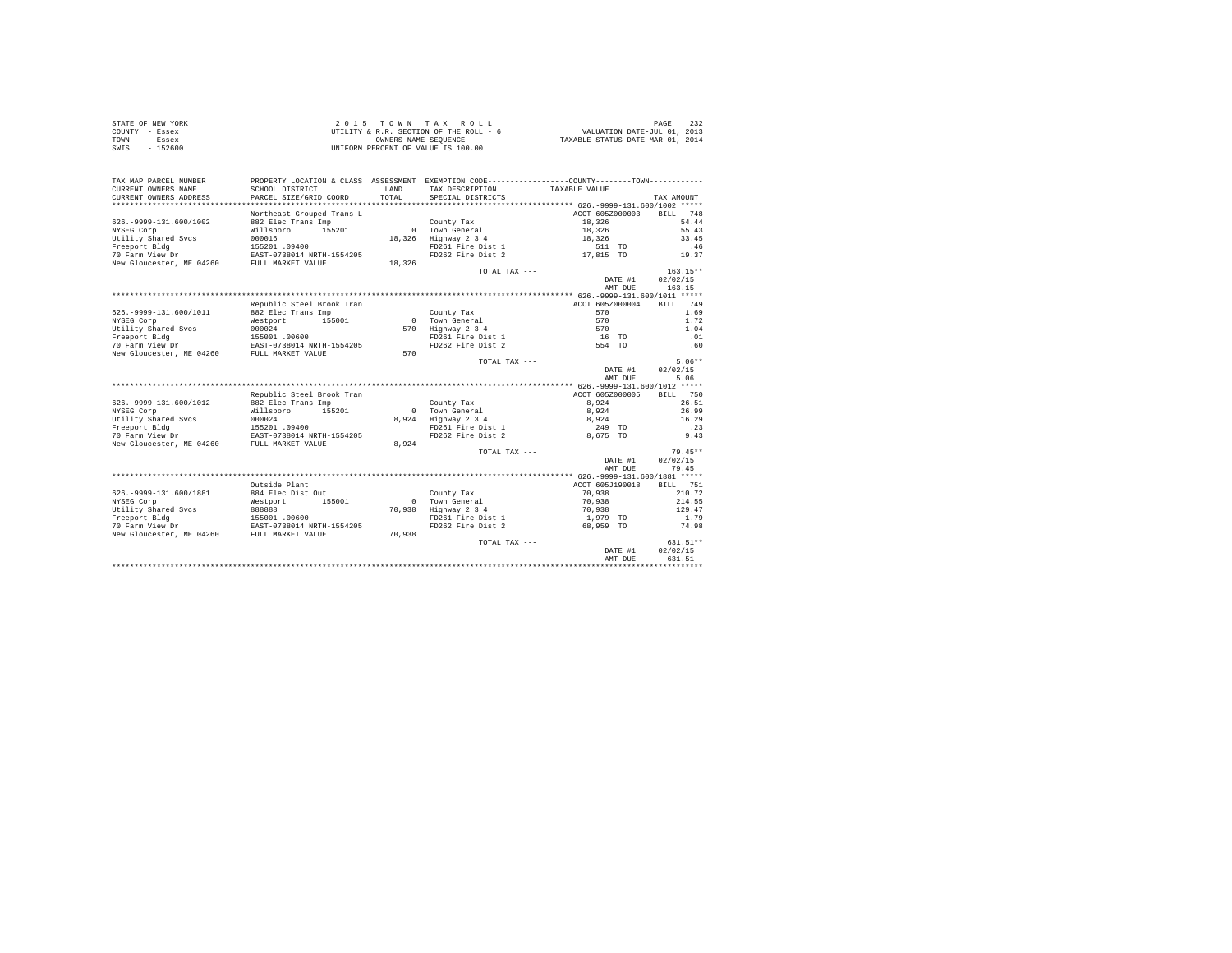|      | STATE OF NEW YORK | 2015 TOWN TAX ROLL                     | 232<br>PAGE                      |
|------|-------------------|----------------------------------------|----------------------------------|
|      | COUNTY - Essex    | UTILITY & R.R. SECTION OF THE ROLL - 6 | VALUATION DATE-JUL 01, 2013      |
| TOWN | - Essex           | OWNERS NAME SEOUENCE                   | TAXABLE STATUS DATE-MAR 01, 2014 |
| SWIS | $-152600$         | UNIFORM PERCENT OF VALUE IS 100.00     |                                  |

| TAX MAP PARCEL NUMBER       | PROPERTY LOCATION & CLASS ASSESSMENT EXEMPTION CODE---------------COUNTY-------TOWN--------- |            |                   |                 |                    |
|-----------------------------|----------------------------------------------------------------------------------------------|------------|-------------------|-----------------|--------------------|
| CURRENT OWNERS NAME         | SCHOOL DISTRICT                                                                              | LAND       | TAX DESCRIPTION   | TAXABLE VALUE   |                    |
| CURRENT OWNERS ADDRESS      | PARCEL SIZE/GRID COORD                                                                       | TOTAL      | SPECIAL DISTRICTS |                 | TAX AMOUNT         |
|                             |                                                                                              |            |                   |                 |                    |
|                             | Northeast Grouped Trans L                                                                    |            |                   | ACCT 605Z000003 | <b>BILL</b><br>748 |
| 626. - 9999 - 131. 600/1002 | 882 Elec Trans Imp                                                                           |            | County Tax        | 18,326          | 54.44              |
| NYSEG Corp                  | 155201<br>Willsboro                                                                          | $^{\circ}$ | Town General      | 18,326          | 55.43              |
| Utility Shared Svcs         | 000016                                                                                       | 18,326     | Highway 2 3 4     | 18,326          | 33.45              |
| Freeport Bldg               | 155201 .09400                                                                                |            | FD261 Fire Dist 1 | 511 TO          | .46                |
| 70 Farm View Dr             | EAST-0738014 NRTH-1554205                                                                    |            | FD262 Fire Dist 2 | 17,815 TO       | 19.37              |
| New Gloucester, ME 04260    | FULL MARKET VALUE                                                                            | 18,326     |                   |                 |                    |
|                             |                                                                                              |            | TOTAL TAX ---     |                 | $163.15**$         |
|                             |                                                                                              |            |                   | DATE #1         | 02/02/15           |
|                             |                                                                                              |            |                   | AMT DUE         | 163.15             |
|                             |                                                                                              |            |                   |                 |                    |
|                             | Republic Steel Brook Tran                                                                    |            |                   | ACCT 605Z000004 | 749<br>RTLL        |
| 626. - 9999 - 131. 600/1011 | 882 Elec Trans Imp                                                                           |            | County Tax        | 570             | 1.69               |
| NYSEG Corp                  | 155001<br>Westport                                                                           | $\Omega$   | Town General      | 570             | 1.72               |
| Utility Shared Svcs         | 000024                                                                                       | 570        | Highway 2 3 4     | 570             | 1.04               |
| Freeport Bldg               | 155001 .00600                                                                                |            | FD261 Fire Dist 1 | 16 TO           | .01                |
| 70 Farm View Dr             | EAST-0738014 NRTH-1554205                                                                    |            | FD262 Fire Dist 2 | 554 TO          | .60                |
| New Gloucester, ME 04260    | FULL MARKET VALUE                                                                            | 570        |                   |                 |                    |
|                             |                                                                                              |            | TOTAL TAX ---     |                 | $5.06**$           |
|                             |                                                                                              |            |                   | DATE #1         | 02/02/15           |
|                             |                                                                                              |            |                   | AMT DUE         | 5.06               |
|                             |                                                                                              |            |                   |                 |                    |
|                             | Republic Steel Brook Tran                                                                    |            |                   | ACCT 605Z000005 | 750<br>RTLL.       |
| 626. - 9999 - 131. 600/1012 | 882 Elec Trans Imp                                                                           |            | County Tax        | 8.924           | 26.51              |
| NYSEG Corp                  | Willsboro<br>155201                                                                          | $\Omega$   | Town General      | 8,924           | 26.99              |
| Utility Shared Svcs         | 000024                                                                                       | 8.924      | Highway 2 3 4     | 8.924           | 16.29              |
| Freeport Bldg               | 155201.09400                                                                                 |            | FD261 Fire Dist 1 | 249 TO          | .23                |
| 70 Farm View Dr             | EAST-0738014 NRTH-1554205                                                                    |            | FD262 Fire Dist 2 | 8.675 TO        | 9.43               |
| New Gloucester, ME 04260    | FULL MARKET VALUE                                                                            | 8.924      |                   |                 |                    |
|                             |                                                                                              |            | TOTAL TAX ---     |                 | $79.45**$          |
|                             |                                                                                              |            |                   | DATE #1         | 02/02/15           |
|                             |                                                                                              |            |                   | AMT DUE         | 79.45              |
|                             |                                                                                              |            |                   |                 |                    |
|                             | Outside Plant                                                                                |            |                   | ACCT 605J190018 | <b>BILL</b><br>751 |
| 626. - 9999 - 131. 600/1881 | 884 Elec Dist Out                                                                            |            | County Tax        | 70.938          | 210.72             |
| NYSEG Corp                  | 155001<br>Westport                                                                           | $\Omega$   | Town General      | 70,938          | 214.55             |
| Utility Shared Svcs         | 888888                                                                                       | 70.938     | Highway 2 3 4     | 70,938          | 129.47             |
| Freeport Bldg               | 155001 .00600                                                                                |            | FD261 Fire Dist 1 | 1,979 TO        | 1.79               |
| 70 Farm View Dr             | EAST-0738014 NRTH-1554205                                                                    |            | FD262 Fire Dist 2 | 68.959 TO       | 74.98              |
| New Gloucester, ME 04260    | FULL MARKET VALUE                                                                            | 70.938     |                   |                 |                    |
|                             |                                                                                              |            | TOTAL TAX ---     |                 | 631.51**           |
|                             |                                                                                              |            |                   | DATE #1         | 02/02/15           |
|                             |                                                                                              |            |                   | AMT DUE         | 631.51             |
|                             |                                                                                              |            |                   |                 |                    |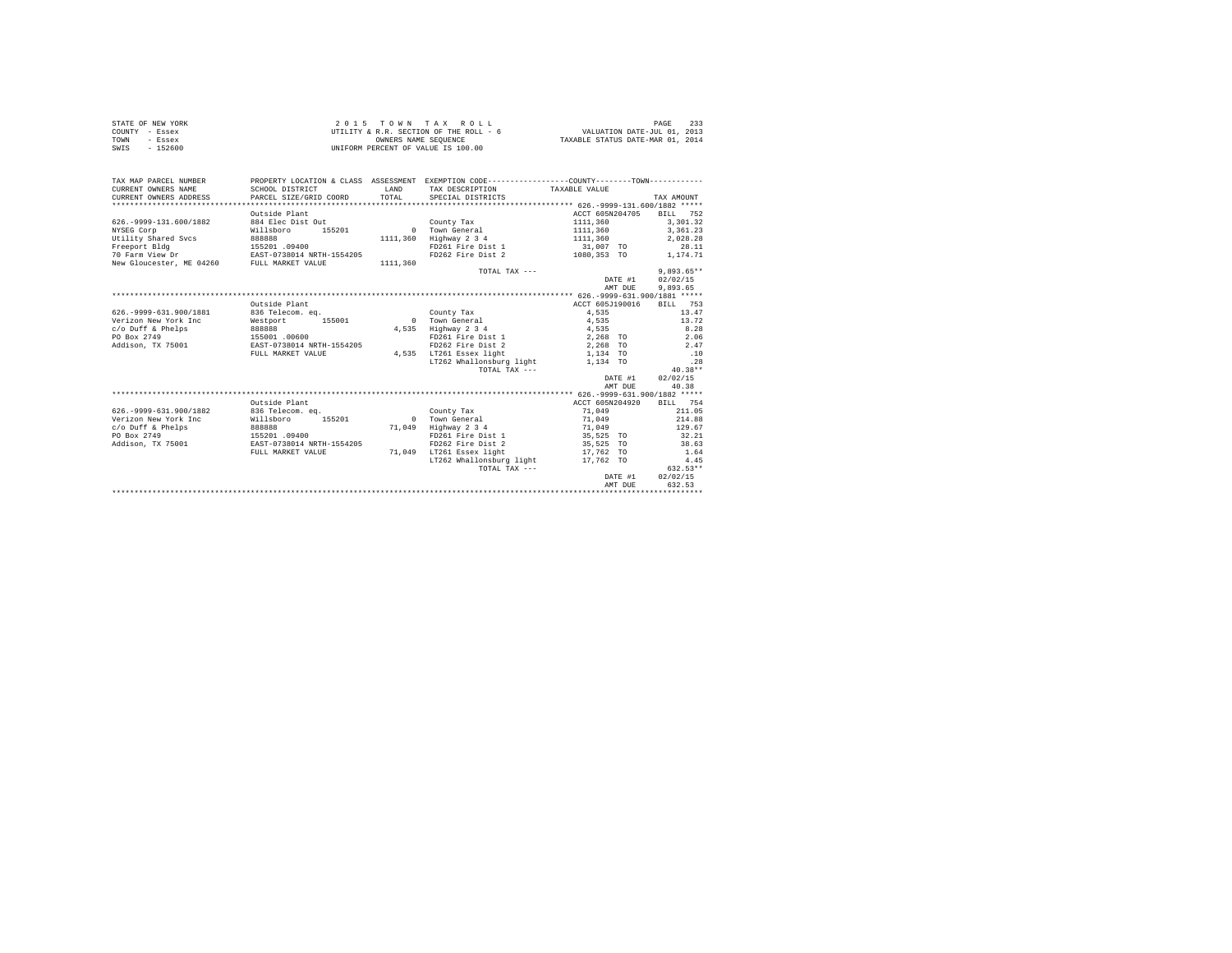| STATE OF NEW YORK | $2.0.15$ TOWN TAX ROLL                 | 233<br>PAGE                      |
|-------------------|----------------------------------------|----------------------------------|
| COUNTY - Essex    | UTILITY & R.R. SECTION OF THE ROLL - 6 | VALUATION DATE-JUL 01, 2013      |
| TOWN<br>- Essex   | OWNERS NAME SEOUENCE                   | TAXABLE STATUS DATE-MAR 01, 2014 |
| SWIS<br>$-152600$ | UNIFORM PERCENT OF VALUE IS 100.00     |                                  |

| TAX MAP PARCEL NUMBER<br>CURRENT OWNERS NAME<br>CURRENT OWNERS ADDRESS | SCHOOL DISTRICT<br>PARCEL SIZE/GRID COORD | LAND<br>TOTAL. | PROPERTY LOCATION & CLASS ASSESSMENT EXEMPTION CODE----------------COUNTY--------TOWN----------<br>TAX DESCRIPTION TAXABLE VALUE<br>SPECIAL DISTRICTS |                 | TAX AMOUNT         |
|------------------------------------------------------------------------|-------------------------------------------|----------------|-------------------------------------------------------------------------------------------------------------------------------------------------------|-----------------|--------------------|
|                                                                        |                                           |                |                                                                                                                                                       |                 |                    |
|                                                                        | Outside Plant                             |                |                                                                                                                                                       | ACCT 605N204705 | <b>BILL</b><br>752 |
| 626. - 9999-131.600/1882                                               | 884 Elec Dist Out                         |                | County Tax                                                                                                                                            | 1111,360        | 3,301.32           |
| NYSEG Corp                                                             | Willsboro<br>155201                       |                | 0 Town General                                                                                                                                        | 1111,360        | 3, 361.23          |
| Utility Shared Sycs                                                    | 888888                                    |                | 1111,360 Highway 2 3 4                                                                                                                                | 1111,360        | 2.028.28           |
| Freeport Bldg                                                          | 155201.09400                              |                | FD261 Fire Dist 1                                                                                                                                     | 31,007 TO       | 28.11              |
| 70 Farm View Dr                                                        | EAST-0738014 NRTH-1554205                 |                | FD262 Fire Dist 2                                                                                                                                     | 1080,353 TO     | 1.174.71           |
| New Gloucester, ME 04260                                               | FULL MARKET VALUE                         | 1111,360       |                                                                                                                                                       |                 |                    |
|                                                                        |                                           |                | TOTAL TAX ---                                                                                                                                         |                 | $9.893.65**$       |
|                                                                        |                                           |                |                                                                                                                                                       | DATE #1         | 02/02/15           |
|                                                                        |                                           |                |                                                                                                                                                       | AMT DUE         | 9.893.65           |
|                                                                        |                                           |                |                                                                                                                                                       |                 |                    |
|                                                                        | Outside Plant                             |                |                                                                                                                                                       | ACCT 605J190016 | BILL 753           |
| 626. - 9999 - 631. 900/1881                                            | 836 Telecom. eq.                          |                | County Tax                                                                                                                                            | 4.535           | 13.47              |
| Verizon New York Inc                                                   | Westport 155001                           |                | 0 Town General                                                                                                                                        | 4.535           | 13.72              |
| $c$ /o Duff & Phelps                                                   | 888888                                    |                | 4.535 Highway 2 3 4                                                                                                                                   | 4,535           | 8.28               |
| PO Box 2749                                                            | 155001 .00600                             |                | FD261 Fire Dist 1                                                                                                                                     | 2.268 TO        | 2.06               |
| Addison, TX 75001                                                      | EAST-0738014 NRTH-1554205                 |                | FD262 Fire Dist 2                                                                                                                                     | 2,268 TO        | 2.47               |
|                                                                        | FULL MARKET VALUE                         |                | 4,535 LT261 Essex light                                                                                                                               | 1,134 TO        | .10                |
|                                                                        |                                           |                | LT262 Whallonsburg light 1.134 TO                                                                                                                     |                 | 28                 |
|                                                                        |                                           |                | TOTAL TAX ---                                                                                                                                         |                 | $40.38**$          |
|                                                                        |                                           |                |                                                                                                                                                       | DATE #1         | 02/02/15           |
|                                                                        |                                           |                |                                                                                                                                                       | AMT DUE         | 40.38              |
|                                                                        |                                           |                |                                                                                                                                                       |                 |                    |
|                                                                        | Outside Plant                             |                |                                                                                                                                                       | ACCT 605N204920 | BILL 754           |
| 626. - 9999 - 631. 900/1882                                            | 836 Telecom. eq.                          |                | County Tax                                                                                                                                            | 71,049          | 211.05             |
| Verizon New York Inc                                                   | Willsboro<br>155201                       |                | 0 Town General                                                                                                                                        | 71,049          | 214.88             |
| c/o Duff & Phelps                                                      | 888888                                    |                | 71.049 Highway 2 3 4                                                                                                                                  | 71,049          | 129.67             |
| PO Box 2749                                                            | 155201 .09400                             |                | FD261 Fire Dist 1                                                                                                                                     | 35,525 TO       | 32.21              |
| Addison, TX 75001                                                      | EAST-0738014 NRTH-1554205                 |                | FD262 Fire Dist 2                                                                                                                                     | 35,525 TO       | 38.63              |
|                                                                        | FULL MARKET VALUE                         | 71,049         | LT261 Essex light                                                                                                                                     | 17,762 TO       | 1.64               |
|                                                                        |                                           |                | LT262 Whallonsburg light                                                                                                                              | 17,762 TO       | 4.45               |
|                                                                        |                                           |                | TOTAL TAX ---                                                                                                                                         |                 | $632.53**$         |
|                                                                        |                                           |                |                                                                                                                                                       | DATE #1         | 02/02/15           |
|                                                                        |                                           |                |                                                                                                                                                       | AMT DUE         | 632.53             |
|                                                                        |                                           |                |                                                                                                                                                       |                 |                    |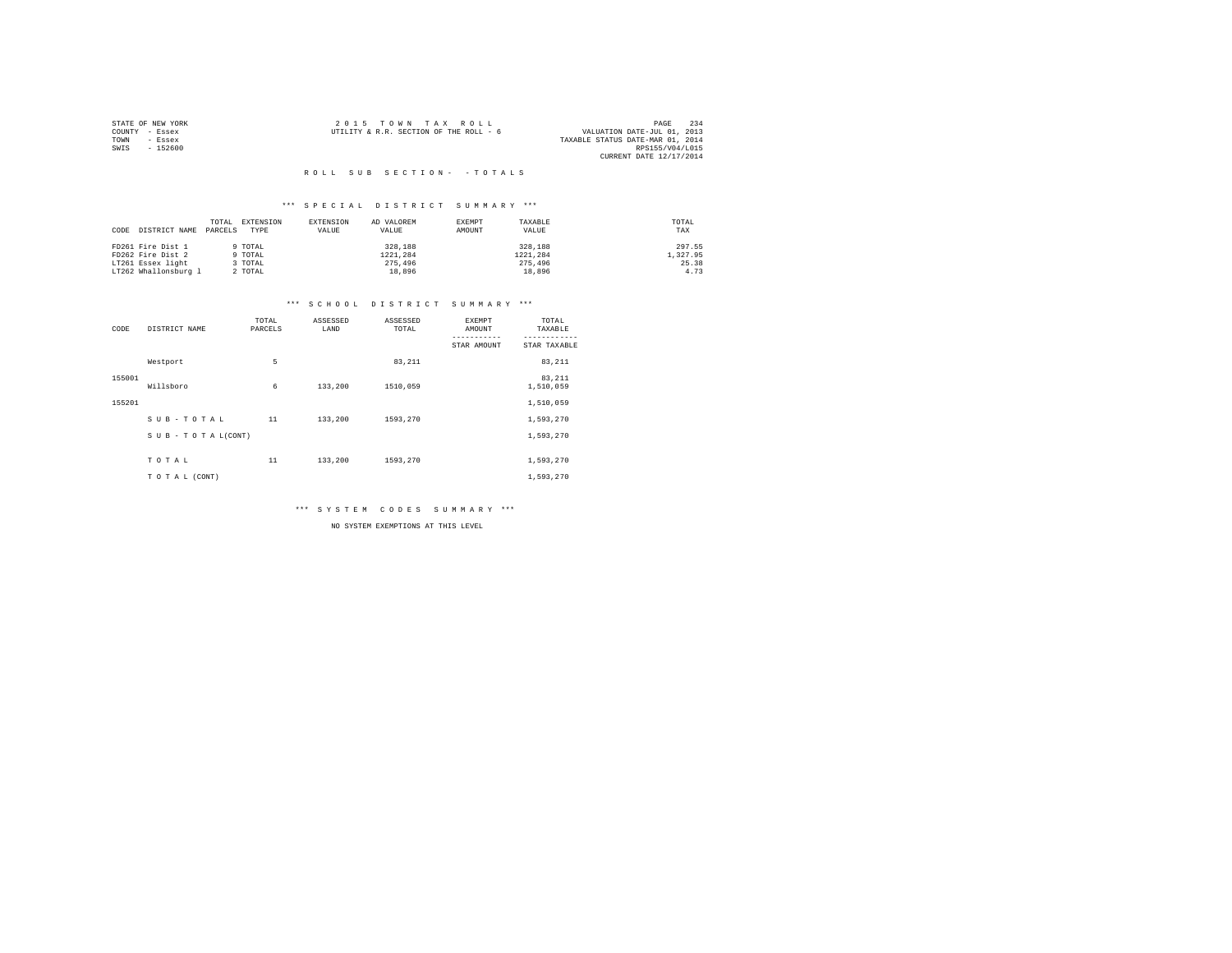|                | STATE OF NEW YORK | 2015 TOWN TAX ROLL                     |  |                                  | PAGE                        | 234 |
|----------------|-------------------|----------------------------------------|--|----------------------------------|-----------------------------|-----|
| COUNTY - Essex |                   | UTILITY & R.R. SECTION OF THE ROLL - 6 |  |                                  | VALUATION DATE-JUL 01, 2013 |     |
| TOWN           | - Essex           |                                        |  | TAXABLE STATUS DATE-MAR 01, 2014 |                             |     |
| SWIS           | - 152600          |                                        |  |                                  | RPS155/V04/L015             |     |
|                |                   |                                        |  |                                  | CURRENT DATE 12/17/2014     |     |

#### \*\*\* S P E C I A L D I S T R I C T S U M M A R Y \*\*\*

|      |                      | TOTAL   | EXTENSION | EXTENSION | AD VALOREM | EXEMPT | TAXABLE  | TOTAL    |
|------|----------------------|---------|-----------|-----------|------------|--------|----------|----------|
| CODE | DISTRICT NAME        | PARCELS | TYPE      | VALUE     | VALUE      | AMOUNT | VALUE    | TAX      |
|      |                      |         |           |           |            |        |          |          |
|      | FD261 Fire Dist 1    |         | 9 TOTAL   |           | 328,188    |        | 328,188  | 297.55   |
|      | FD262 Fire Dist 2    |         | 9 TOTAL   |           | 1221.284   |        | 1221.284 | 1,327.95 |
|      | LT261 Essex light    |         | TOTAL     |           | 275,496    |        | 275,496  | 25.38    |
|      | LT262 Whallonsburg 1 |         | 2 TOTAL   |           | 18,896     |        | 18,896   | 4.73     |

#### \*\*\* S C H O O L D I S T R I C T S U M M A R Y \*\*\*

| CODE   | DISTRICT NAME      | TOTAL<br>PARCELS | ASSESSED<br>LAND | ASSESSED<br>TOTAL | <b>EXEMPT</b><br>AMOUNT | TOTAL<br>TAXABLE    |
|--------|--------------------|------------------|------------------|-------------------|-------------------------|---------------------|
|        |                    |                  |                  |                   | STAR AMOUNT             | STAR TAXABLE        |
|        | Westport           | 5                |                  | 83,211            |                         | 83,211              |
| 155001 | Willsboro          | 6                | 133,200          | 1510,059          |                         | 83,211<br>1,510,059 |
| 155201 |                    |                  |                  |                   |                         | 1,510,059           |
|        | SUB-TOTAL          | 11               | 133,200          | 1593,270          |                         | 1,593,270           |
|        | SUB - TO TAL(CONT) |                  |                  |                   |                         | 1,593,270           |
|        | TOTAL              | 11               | 133,200          | 1593,270          |                         | 1,593,270           |
|        |                    |                  |                  |                   |                         |                     |
|        | TO TAL (CONT)      |                  |                  |                   |                         | 1,593,270           |

\*\*\* S Y S T E M C O D E S S U M M A R Y \*\*\*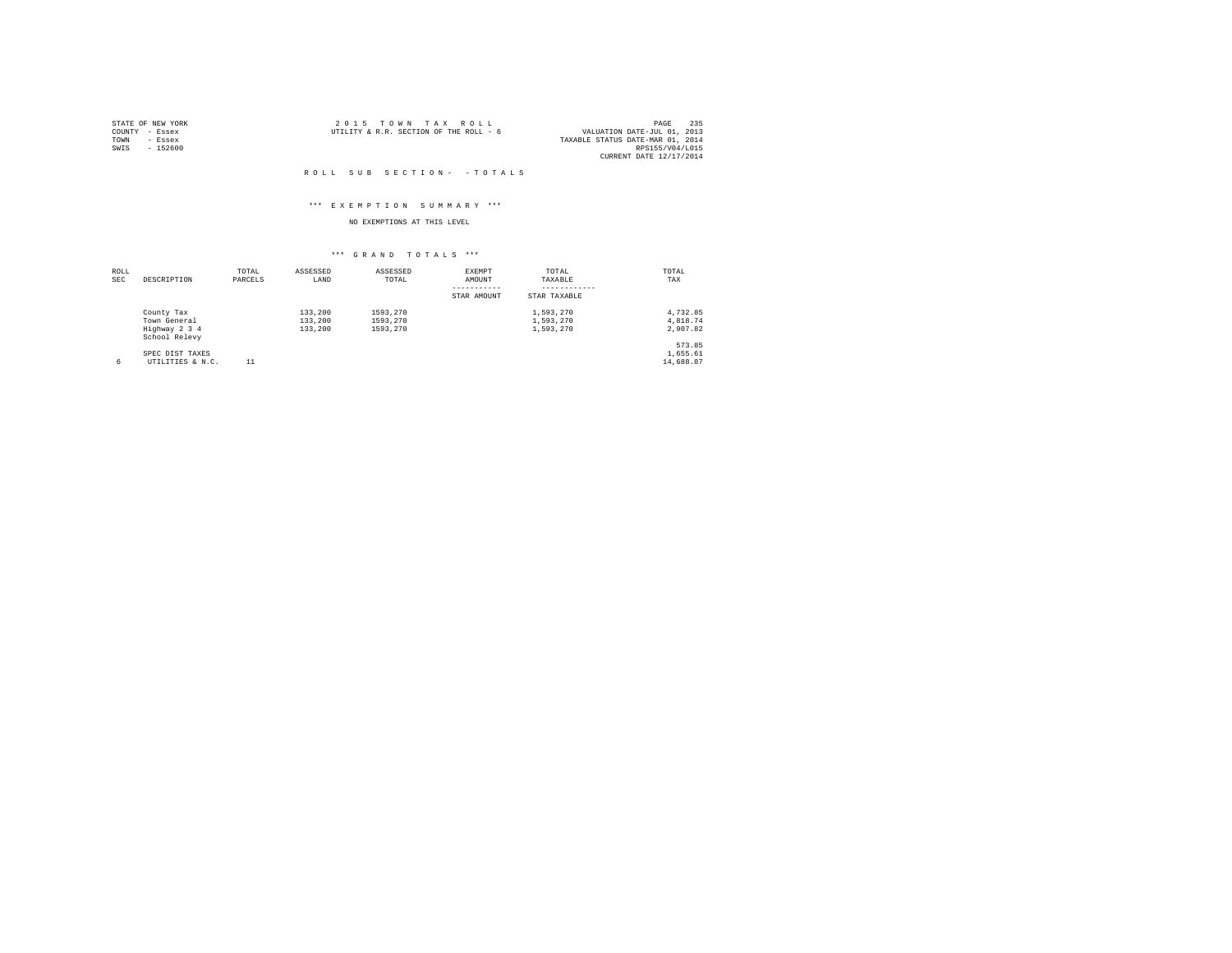|                | STATE OF NEW YORK | 2015 TOWN TAX ROLL                                                    | PAGE            | 235 |
|----------------|-------------------|-----------------------------------------------------------------------|-----------------|-----|
| COUNTY - Essex |                   | VALUATION DATE-JUL 01, 2013<br>UTILITY & R.R. SECTION OF THE ROLL - 6 |                 |     |
| TOWN           | - Essex           | TAXABLE STATUS DATE-MAR 01, 2014                                      |                 |     |
| SWIS           | $-152600$         |                                                                       | RPS155/V04/L015 |     |
|                |                   | CURRENT DATE 12/17/2014                                               |                 |     |

#### \*\*\* E X E M P T I O N S U M M A R Y \*\*\*

### NO EXEMPTIONS AT THIS LEVEL

| ROLL<br><b>SEC</b> | DESCRIPTION                    | TOTAL<br>PARCELS | ASSESSED<br>LAND | ASSESSED<br>TOTAL | <b>EXEMPT</b><br>AMOUNT | TOTAL<br><b>TAXABLE</b> | TOTAL<br>TAX |
|--------------------|--------------------------------|------------------|------------------|-------------------|-------------------------|-------------------------|--------------|
|                    |                                |                  |                  |                   | STAR AMOUNT             | STAR TAXABLE            |              |
|                    | County Tax                     |                  | 133,200          | 1593.270          |                         | 1.593.270               | 4.732.85     |
|                    | Town General                   |                  | 133,200          | 1593.270          |                         | 1.593.270               | 4.818.74     |
|                    | Highway 2 3 4<br>School Relevy |                  | 133,200          | 1593.270          |                         | 1,593,270               | 2.907.82     |
|                    |                                |                  |                  |                   |                         |                         | 573.85       |
|                    | SPEC DIST TAXES                |                  |                  |                   |                         |                         | 1,655.61     |
| 6                  | UTILITIES & N.C.               | 11               |                  |                   |                         |                         | 14,688.87    |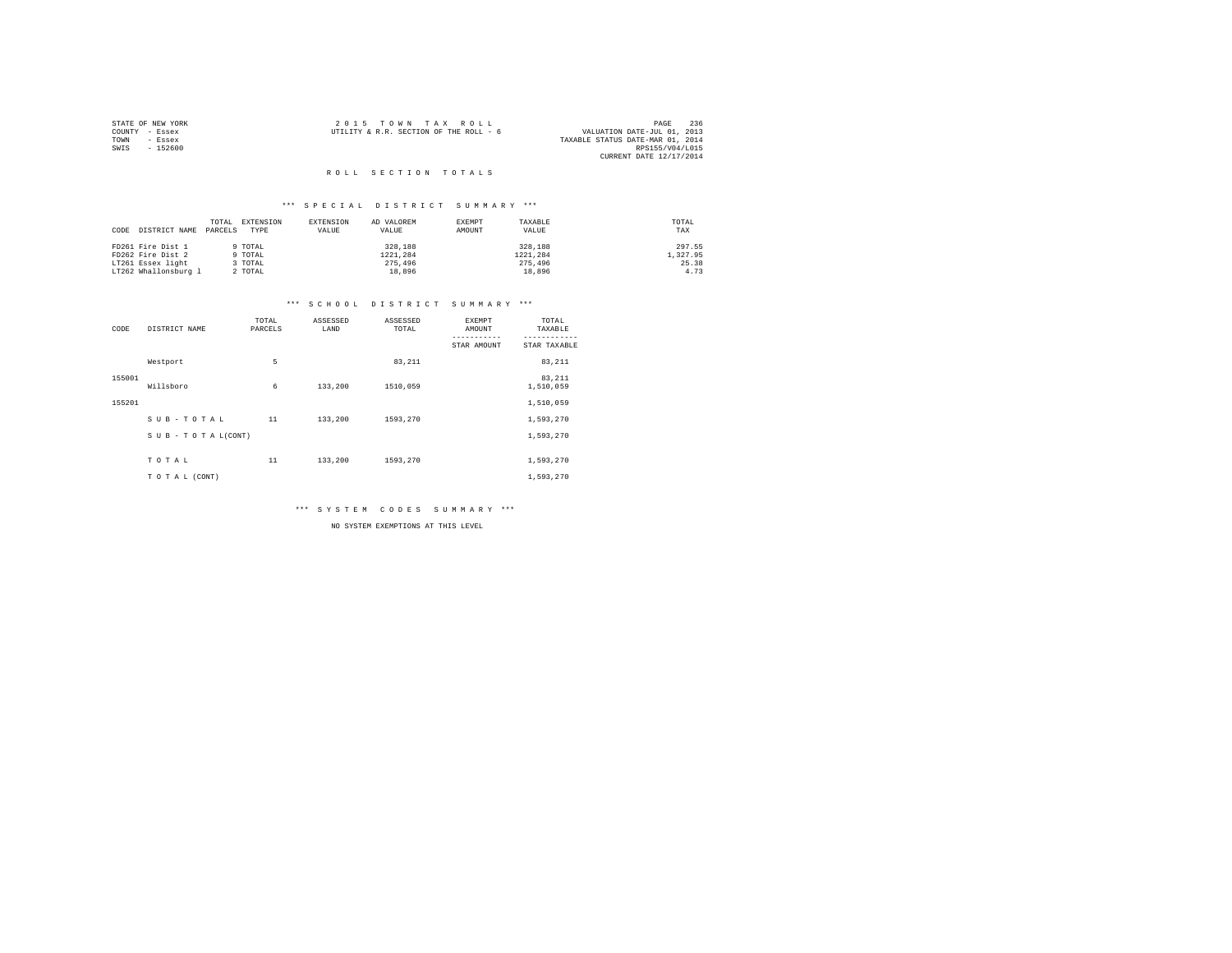|                | STATE OF NEW YORK | 2015 TOWN TAX ROLL                                                    | PAGE                    | 236 |
|----------------|-------------------|-----------------------------------------------------------------------|-------------------------|-----|
| COUNTY - Essex |                   | VALUATION DATE-JUL 01, 2013<br>UTILITY & R.R. SECTION OF THE ROLL - 6 |                         |     |
| TOWN           | - Essex           | TAXABLE STATUS DATE-MAR 01, 2014                                      |                         |     |
| SWIS           | $-152600$         |                                                                       | RPS155/V04/L015         |     |
|                |                   |                                                                       | CURRENT DATE 12/17/2014 |     |

#### R O L L S E C T I O N T O T A L S

#### \*\*\* S P E C I A L D I S T R I C T S U M M A R Y \*\*\*

|      |                      | TOTAL   | EXTENSION | EXTENSION | AD VALOREM | EXEMPT | TAXABLE  | TOTAL    |
|------|----------------------|---------|-----------|-----------|------------|--------|----------|----------|
| CODE | DISTRICT NAME        | PARCELS | TYPE      | VALUE     | VALUE      | AMOUNT | VALUE    | TAX      |
|      |                      |         |           |           |            |        |          |          |
|      | FD261 Fire Dist 1    |         | 9 TOTAL   |           | 328,188    |        | 328,188  | 297.55   |
|      | FD262 Fire Dist 2    |         | 9 TOTAL   |           | 1221.284   |        | 1221.284 | 1,327.95 |
|      | LT261 Essex light    |         | 3 TOTAL   |           | 275,496    |        | 275,496  | 25.38    |
|      | LT262 Whallonsburg 1 |         | 2 TOTAL   |           | 18,896     |        | 18,896   | 4.73     |

# \*\*\* S C H O O L D I S T R I C T S U M M A R Y \*\*\*

| CODE   | DISTRICT NAME   | TOTAL<br>PARCELS | ASSESSED<br>LAND | ASSESSED<br>TOTAL | EXEMPT<br>AMOUNT | TOTAL<br>TAXABLE    |
|--------|-----------------|------------------|------------------|-------------------|------------------|---------------------|
|        |                 |                  |                  |                   | STAR AMOUNT      | STAR TAXABLE        |
|        | Westport        | 5                |                  | 83,211            |                  | 83,211              |
| 155001 | Willsboro       | 6                | 133,200          | 1510,059          |                  | 83,211<br>1,510,059 |
| 155201 |                 |                  |                  |                   |                  | 1,510,059           |
|        | SUB-TOTAL       | 11               | 133,200          | 1593,270          |                  | 1,593,270           |
|        | SUB-TOTAL(CONT) |                  |                  |                   |                  | 1,593,270           |
|        | TOTAL           | 11               | 133,200          | 1593,270          |                  | 1,593,270           |
|        | TO TAL (CONT)   |                  |                  |                   |                  | 1,593,270           |

\*\*\* S Y S T E M C O D E S S U M M A R Y \*\*\*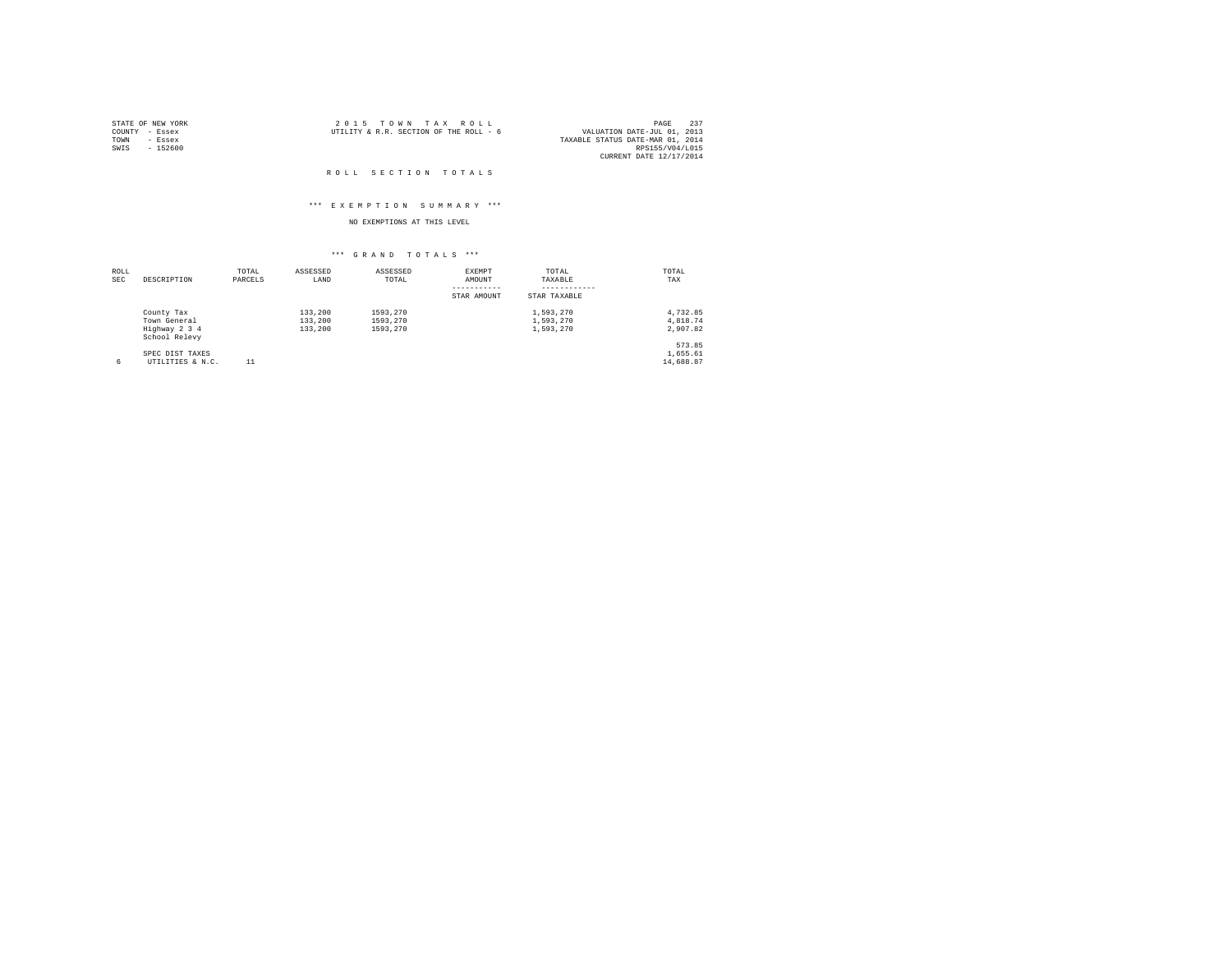| STATE OF NEW YORK |          |  | 2015 TOWN TAX ROLL                     |  | 237<br>PAGE                      |
|-------------------|----------|--|----------------------------------------|--|----------------------------------|
| COUNTY - Essex    |          |  | UTILITY & R.R. SECTION OF THE ROLL - 6 |  | VALUATION DATE-JUL 01, 2013      |
| TOWN              | - Essex  |  |                                        |  | TAXABLE STATUS DATE-MAR 01, 2014 |
| SWIS              | - 152600 |  |                                        |  | RPS155/V04/L015                  |
|                   |          |  |                                        |  | CURRENT DATE 12/17/2014          |

#### ROLL SECTION TOTALS

#### \*\*\* E X E M P T I O N S U M M A R Y \*\*\*

### NO EXEMPTIONS AT THIS LEVEL

| ROLL<br><b>SEC</b> | DESCRIPTION                    | TOTAL<br>PARCELS | ASSESSED<br>LAND | ASSESSED<br>TOTAL | EXEMPT<br>AMOUNT | TOTAL<br>TAXABLE | TOTAL<br>TAX |
|--------------------|--------------------------------|------------------|------------------|-------------------|------------------|------------------|--------------|
|                    |                                |                  |                  |                   | STAR AMOUNT      | STAR TAXABLE     |              |
|                    | County Tax                     |                  | 133,200          | 1593.270          |                  | 1,593,270        | 4.732.85     |
|                    | Town General                   |                  | 133,200          | 1593.270          |                  | 1,593,270        | 4.818.74     |
|                    | Highway 2 3 4<br>School Relevy |                  | 133,200          | 1593.270          |                  | 1,593,270        | 2.907.82     |
|                    |                                |                  |                  |                   |                  |                  | 573.85       |
|                    | SPEC DIST TAXES                |                  |                  |                   |                  |                  | 1,655.61     |
| 6                  | UTILITIES & N.C.               | 11               |                  |                   |                  |                  | 14,688.87    |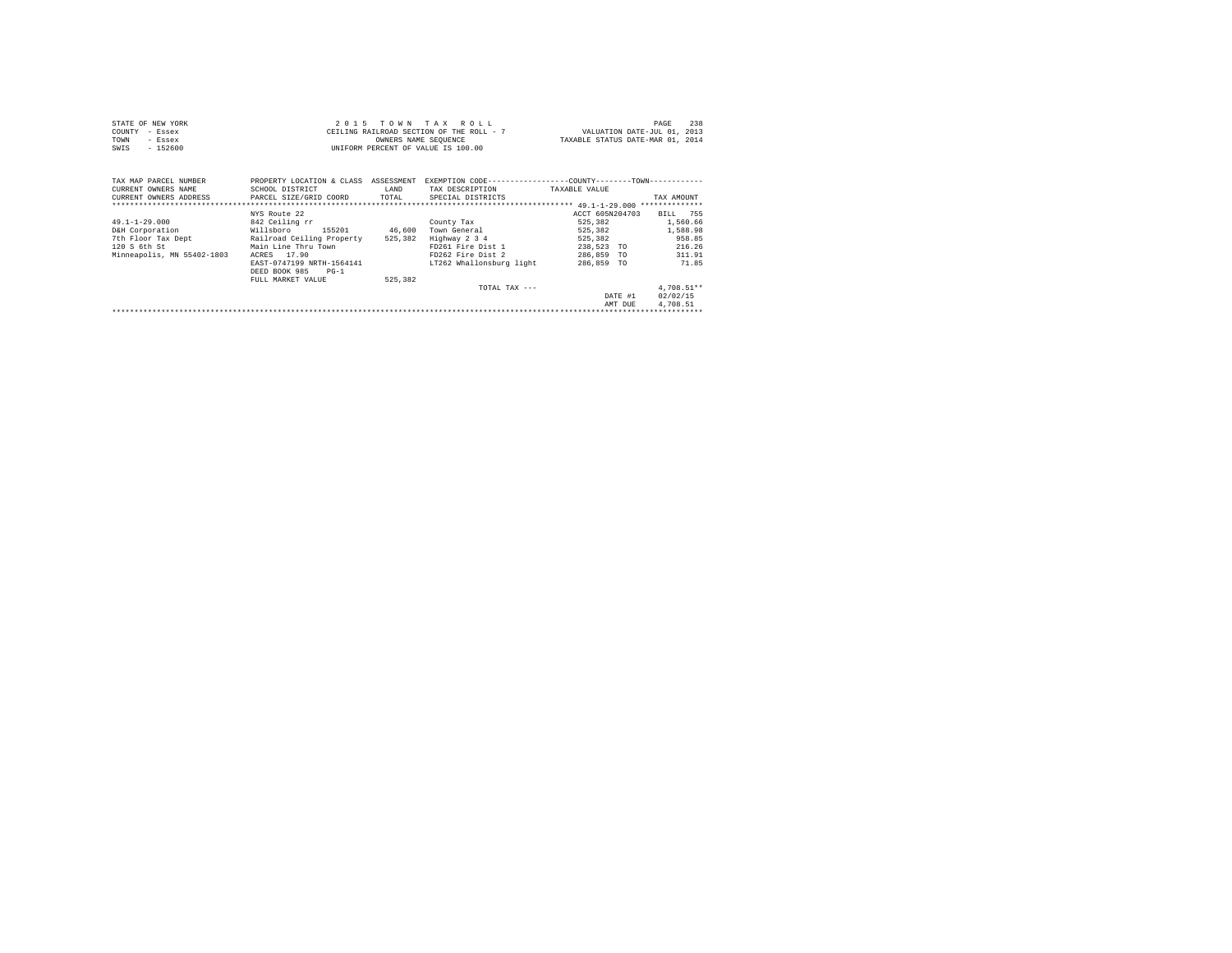| STATE OF NEW YORK | 2015 TOWN TAX ROLL                       | - 238<br>PAGE                    |
|-------------------|------------------------------------------|----------------------------------|
| COUNTY - Essex    | CEILING RAILROAD SECTION OF THE ROLL - 7 | VALUATION DATE-JUL 01, 2013      |
| TOWN<br>- Essex   | OWNERS NAME SEOUENCE                     | TAXABLE STATUS DATE-MAR 01, 2014 |
| $-152600$<br>SWIS | UNIFORM PERCENT OF VALUE IS 100.00       |                                  |

| TAX MAP PARCEL NUMBER<br>CURRENT OWNERS NAME<br>CURRENT OWNERS ADDRESS | PROPERTY LOCATION & CLASS<br>SCHOOL DISTRICT<br>PARCEL SIZE/GRID COORD | ASSESSMENT<br>LAND<br>TOTAL | EXEMPTION CODE-----------------COUNTY-------TOWN----------<br>TAX DESCRIPTION<br>SPECIAL DISTRICTS | TAXABLE VALUE              | TAX AMOUNT<br>************** |
|------------------------------------------------------------------------|------------------------------------------------------------------------|-----------------------------|----------------------------------------------------------------------------------------------------|----------------------------|------------------------------|
|                                                                        |                                                                        |                             |                                                                                                    |                            |                              |
| $49.1 - 1 - 29.000$                                                    | NYS Route 22<br>842 Ceiling rr                                         |                             | County Tax                                                                                         | ACCT 605N204703<br>525.382 | 755<br>BILL<br>1,560.66      |
| D&H Corporation                                                        | 155201<br>Willsboro                                                    | 46,600                      | Town General                                                                                       | 525,382                    | 1,588.98                     |
| 7th Floor Tax Dept                                                     | Railroad Ceiling Property                                              | 525,382                     | Highway 2 3 4                                                                                      | 525,382                    | 958.85                       |
| 120 S 6th St                                                           | Main Line Thru Town                                                    |                             | FD261 Fire Dist 1                                                                                  | 238,523<br><b>TO</b>       | 216.26                       |
| Minneapolis, MN 55402-1803                                             | 17.90<br>ACRES                                                         |                             | FD262 Fire Dist 2                                                                                  | 286,859<br><b>TO</b>       | 311.91                       |
|                                                                        | EAST-0747199 NRTH-1564141<br>DEED BOOK 985<br>$PG-1$                   |                             | LT262 Whallonsburg light                                                                           | 286,859 TO                 | 71.85                        |
|                                                                        | FULL MARKET VALUE                                                      | 525,382                     |                                                                                                    |                            |                              |
|                                                                        |                                                                        |                             | TOTAL TAX $---$                                                                                    |                            | $4.708.51**$                 |
|                                                                        |                                                                        |                             |                                                                                                    | DATE #1                    | 02/02/15                     |
|                                                                        |                                                                        |                             |                                                                                                    | AMT DUE                    | 4,708.51                     |
|                                                                        |                                                                        |                             |                                                                                                    |                            |                              |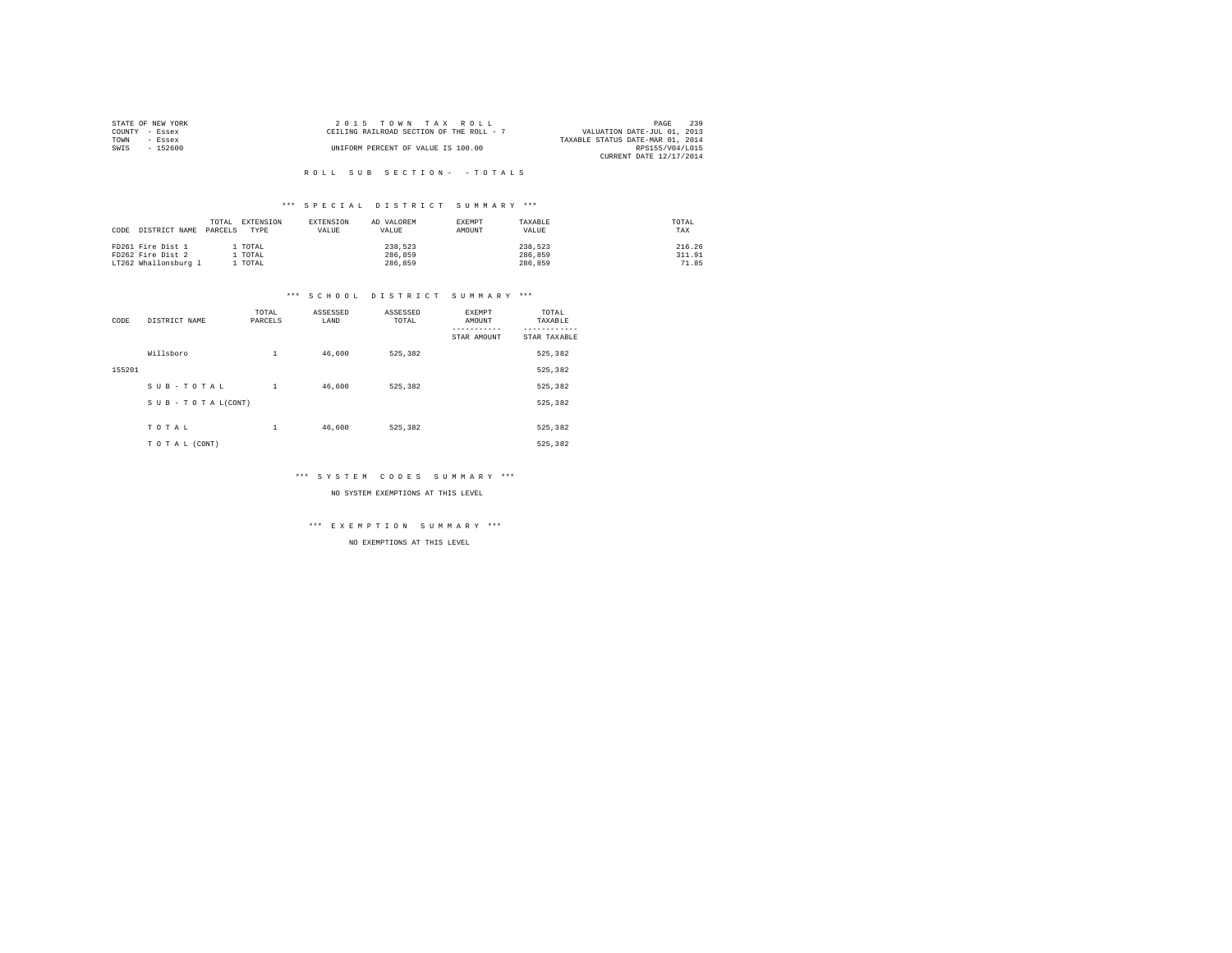| STATE OF NEW YORK | $2.0.15$ TOWN TAX ROLL                   | 239<br>PAGE                      |
|-------------------|------------------------------------------|----------------------------------|
| COUNTY - Essex    | CEILING RAILROAD SECTION OF THE ROLL - 7 | VALUATION DATE-JUL 01, 2013      |
| TOWN<br>- Essex   |                                          | TAXABLE STATUS DATE-MAR 01, 2014 |
| $-152600$<br>SWIS | UNIFORM PERCENT OF VALUE IS 100.00       | RPS155/V04/L015                  |
|                   |                                          | CURRENT DATE 12/17/2014          |

#### \*\*\* S P E C I A L D I S T R I C T S U M M A R Y \*\*\*

| CODE DISTRICT NAME   | TOTAL<br>PARCELS | EXTENSION<br>TYPE | EXTENSION<br>VALUE | AD VALOREM<br>VALUE | EXEMPT<br>AMOUNT | TAXABLE<br>VALUE | TOTAL<br>TAX |
|----------------------|------------------|-------------------|--------------------|---------------------|------------------|------------------|--------------|
| FD261 Fire Dist 1    |                  | . TOTAL           |                    | 238,523             |                  | 238,523          | 216.26       |
| FD262 Fire Dist 2    |                  | . TOTAL           |                    | 286,859             |                  | 286,859          | 311.91       |
| LT262 Whallonsburg 1 |                  | TOTAL             |                    | 286,859             |                  | 286,859          | 71.85        |

#### \*\*\* S C H O O L D I S T R I C T S U M M A R Y \*\*\*

| CODE   | DISTRICT NAME      | TOTAL<br>PARCELS | ASSESSED<br>LAND | ASSESSED<br>TOTAL | EXEMPT<br>AMOUNT<br>STAR AMOUNT | TOTAL<br>TAXABLE<br>---------<br>STAR TAXABLE |
|--------|--------------------|------------------|------------------|-------------------|---------------------------------|-----------------------------------------------|
|        | Willsboro          | $\mathbf{1}$     | 46,600           | 525.382           |                                 | 525,382                                       |
| 155201 |                    |                  |                  |                   |                                 | 525,382                                       |
|        | SUB-TOTAL          | $\mathbf{1}$     | 46,600           | 525.382           |                                 | 525.382                                       |
|        | SUB - TO TAL(CONT) |                  |                  |                   |                                 | 525.382                                       |
|        | TOTAL              | $\mathbf{1}$     | 46,600           | 525.382           |                                 | 525.382                                       |
|        |                    |                  |                  |                   |                                 |                                               |
|        | TO TAL (CONT)      |                  |                  |                   |                                 | 525.382                                       |

\*\*\* S Y S T E M C O D E S S U M M A R Y \*\*\*

NO SYSTEM EXEMPTIONS AT THIS LEVEL

\*\*\* E X E M P T I O N S U M M A R Y \*\*\*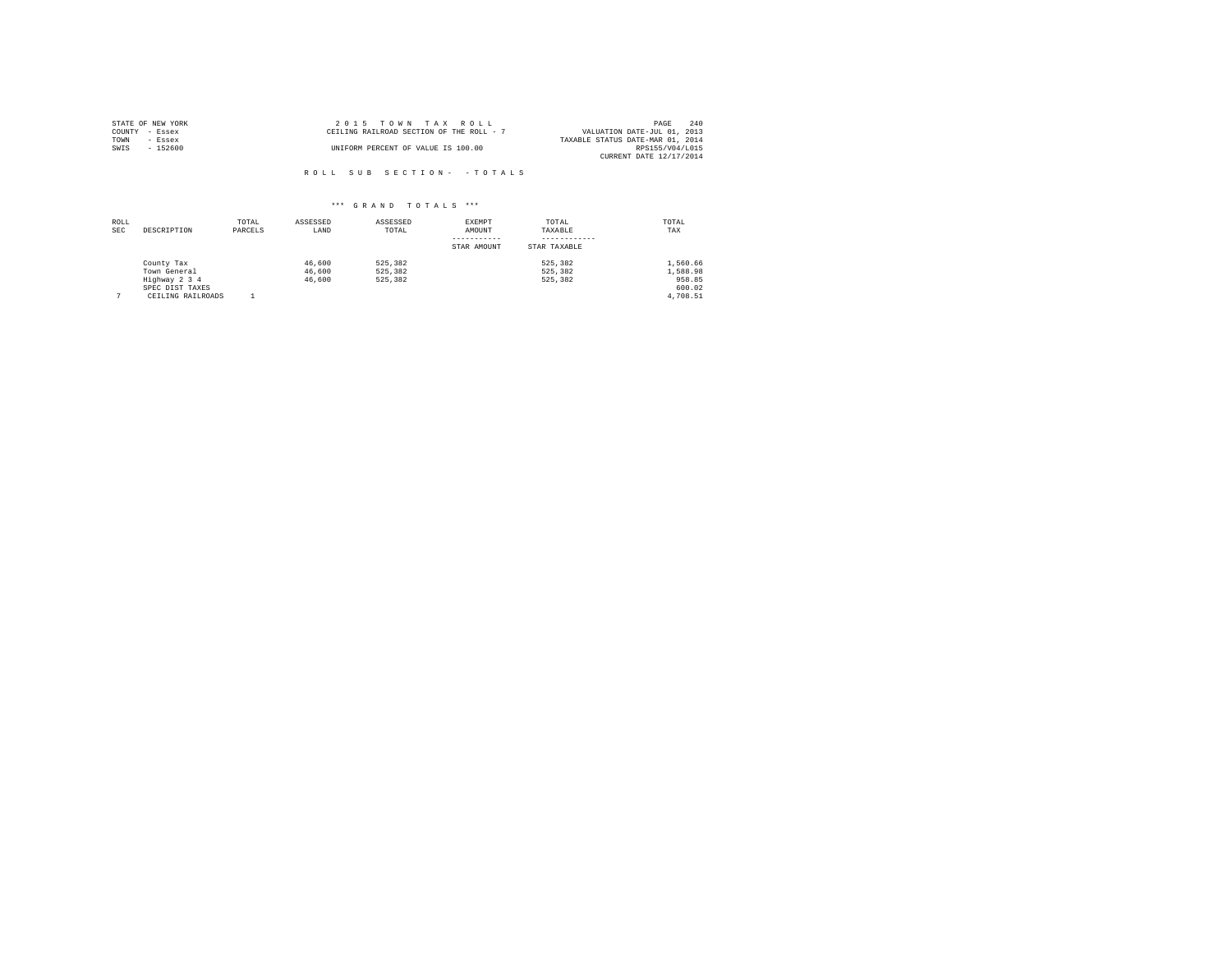| STATE OF NEW YORK | $2.0.15$ TOWN TAX ROLL                   | 240<br>PAGE                      |
|-------------------|------------------------------------------|----------------------------------|
| COUNTY - Essex    | CEILING RAILROAD SECTION OF THE ROLL - 7 | VALUATION DATE-JUL 01, 2013      |
| TOWN<br>- Essex   |                                          | TAXABLE STATUS DATE-MAR 01, 2014 |
| $-152600$<br>SWIS | UNIFORM PERCENT OF VALUE IS 100.00       | RPS155/V04/L015                  |
|                   |                                          | CURRENT DATE 12/17/2014          |

ROLL SUB SECTION - - TOTALS

| ROLL<br><b>SEC</b> | DESCRIPTION                                                                         | TOTAL<br>PARCELS | ASSESSED<br>LAND           | ASSESSED<br>TOTAL             | EXEMPT<br>AMOUNT<br>STAR AMOUNT | TOTAL<br>TAXABLE<br>STAR TAXABLE | TOTAL<br>TAX                                         |
|--------------------|-------------------------------------------------------------------------------------|------------------|----------------------------|-------------------------------|---------------------------------|----------------------------------|------------------------------------------------------|
|                    | County Tax<br>Town General<br>Highway 2 3 4<br>SPEC DIST TAXES<br>CEILING RAILROADS |                  | 46,600<br>46,600<br>46,600 | 525.382<br>525.382<br>525,382 |                                 | 525, 382<br>525, 382<br>525, 382 | 1,560.66<br>1,588.98<br>958.85<br>600.02<br>4.708.51 |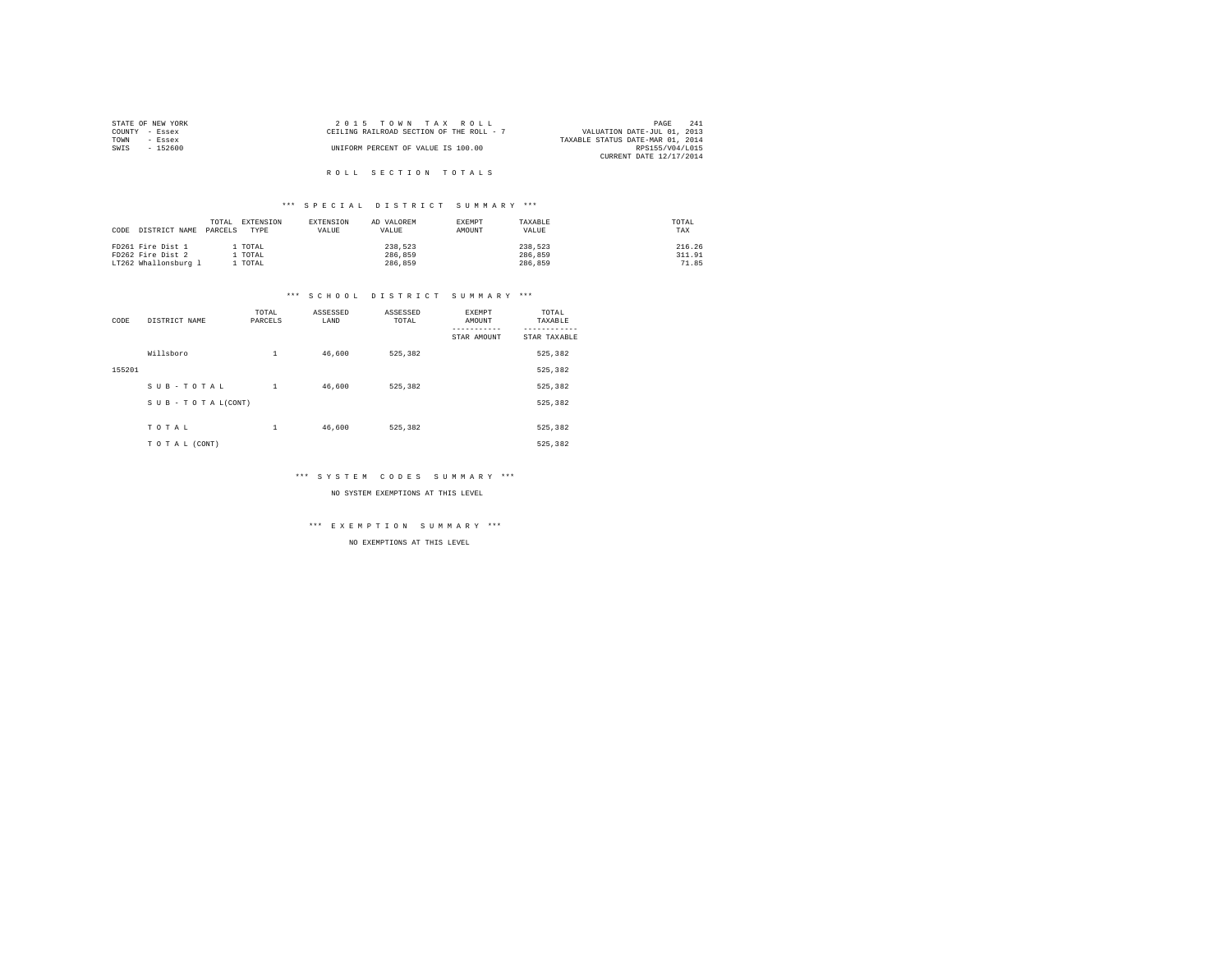|                | STATE OF NEW YORK | 2015 TOWN TAX ROLL                                                      | PAGE            | 241 |
|----------------|-------------------|-------------------------------------------------------------------------|-----------------|-----|
| COUNTY - Essex |                   | VALUATION DATE-JUL 01, 2013<br>CEILING RAILROAD SECTION OF THE ROLL - 7 |                 |     |
| TOWN           | - Essex           | TAXABLE STATUS DATE-MAR 01, 2014                                        |                 |     |
| SWTS           | - 152600          | UNIFORM PERCENT OF VALUE IS 100.00                                      | RPS155/V04/L015 |     |
|                |                   | CURRENT DATE 12/17/2014                                                 |                 |     |
|                |                   |                                                                         |                 |     |

# R O L L S E C T I O N T O T A L S

#### \*\*\* S P E C I A L D I S T R I C T S U M M A R Y \*\*\*

| CODE | DISTRICT NAME PARCELS | TOTAL | EXTENSION<br>TYPE | EXTENSION<br>VALUE | AD VALOREM<br>VALUE | EXEMPT<br>AMOUNT | TAXABLE<br>VALUE | TOTAL<br>TAX |
|------|-----------------------|-------|-------------------|--------------------|---------------------|------------------|------------------|--------------|
|      | FD261 Fire Dist 1     |       | . TOTAL           |                    | 238.523             |                  | 238.523          | 216.26       |
|      | FD262 Fire Dist 2     |       | TOTAL             |                    | 286,859             |                  | 286,859          | 311.91       |
|      | LT262 Whallonsburg 1  |       | TOTAL             |                    | 286,859             |                  | 286,859          | 71.85        |

#### \*\*\* S C H O O L D I S T R I C T S U M M A R Y \*\*\*

| CODE   | DISTRICT NAME      | TOTAL<br>PARCELS | ASSESSED<br>LAND | ASSESSED<br>TOTAL | EXEMPT<br>AMOUNT<br>STAR AMOUNT | TOTAL<br>TAXABLE<br>---------<br>STAR TAXABLE |
|--------|--------------------|------------------|------------------|-------------------|---------------------------------|-----------------------------------------------|
|        | Willsboro          | $\mathbf{1}$     | 46,600           | 525.382           |                                 | 525,382                                       |
| 155201 |                    |                  |                  |                   |                                 | 525,382                                       |
|        | SUB-TOTAL          | $\mathbf{1}$     | 46,600           | 525.382           |                                 | 525.382                                       |
|        | SUB - TO TAL(CONT) |                  |                  |                   |                                 | 525.382                                       |
|        | TOTAL              | $\mathbf{1}$     | 46,600           | 525.382           |                                 | 525.382                                       |
|        |                    |                  |                  |                   |                                 |                                               |
|        | TO TAL (CONT)      |                  |                  |                   |                                 | 525.382                                       |

\*\*\* S Y S T E M C O D E S S U M M A R Y \*\*\*

NO SYSTEM EXEMPTIONS AT THIS LEVEL

\*\*\* E X E M P T I O N S U M M A R Y \*\*\*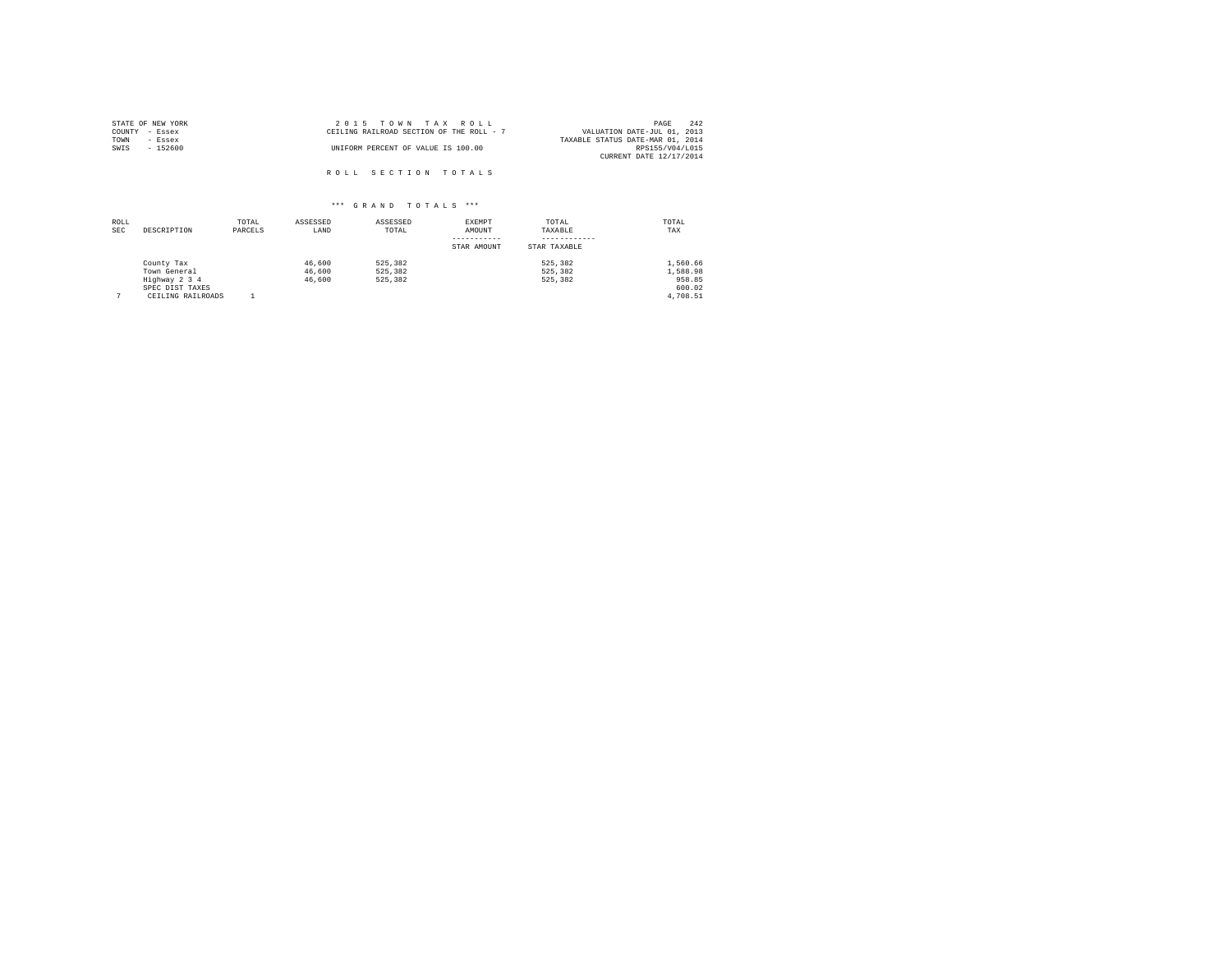| STATE OF NEW YORK | 2015 TOWN TAX ROLL                       | 242<br>PAGE                      |
|-------------------|------------------------------------------|----------------------------------|
| COUNTY - Essex    | CEILING RAILROAD SECTION OF THE ROLL - 7 | VALUATION DATE-JUL 01, 2013      |
| TOWN<br>- Essex   |                                          | TAXABLE STATUS DATE-MAR 01, 2014 |
| SWIS<br>$-152600$ | UNIFORM PERCENT OF VALUE IS 100.00       | RPS155/V04/L015                  |
|                   |                                          | CURRENT DATE 12/17/2014          |
|                   | ROLL SECTION TOTALS                      |                                  |
|                   |                                          |                                  |

| ROLL<br><b>SEC</b> | DESCRIPTION                                                                         | TOTAL<br>PARCELS | ASSESSED<br>LAND           | ASSESSED<br>TOTAL             | EXEMPT<br>AMOUNT<br>STAR AMOUNT | TOTAL<br>TAXABLE<br>STAR TAXABLE | TOTAL<br>TAX                                         |
|--------------------|-------------------------------------------------------------------------------------|------------------|----------------------------|-------------------------------|---------------------------------|----------------------------------|------------------------------------------------------|
|                    | County Tax<br>Town General<br>Highway 2 3 4<br>SPEC DIST TAXES<br>CEILING RAILROADS |                  | 46,600<br>46,600<br>46,600 | 525,382<br>525.382<br>525,382 |                                 | 525, 382<br>525, 382<br>525, 382 | 1,560.66<br>1,588.98<br>958.85<br>600.02<br>4.708.51 |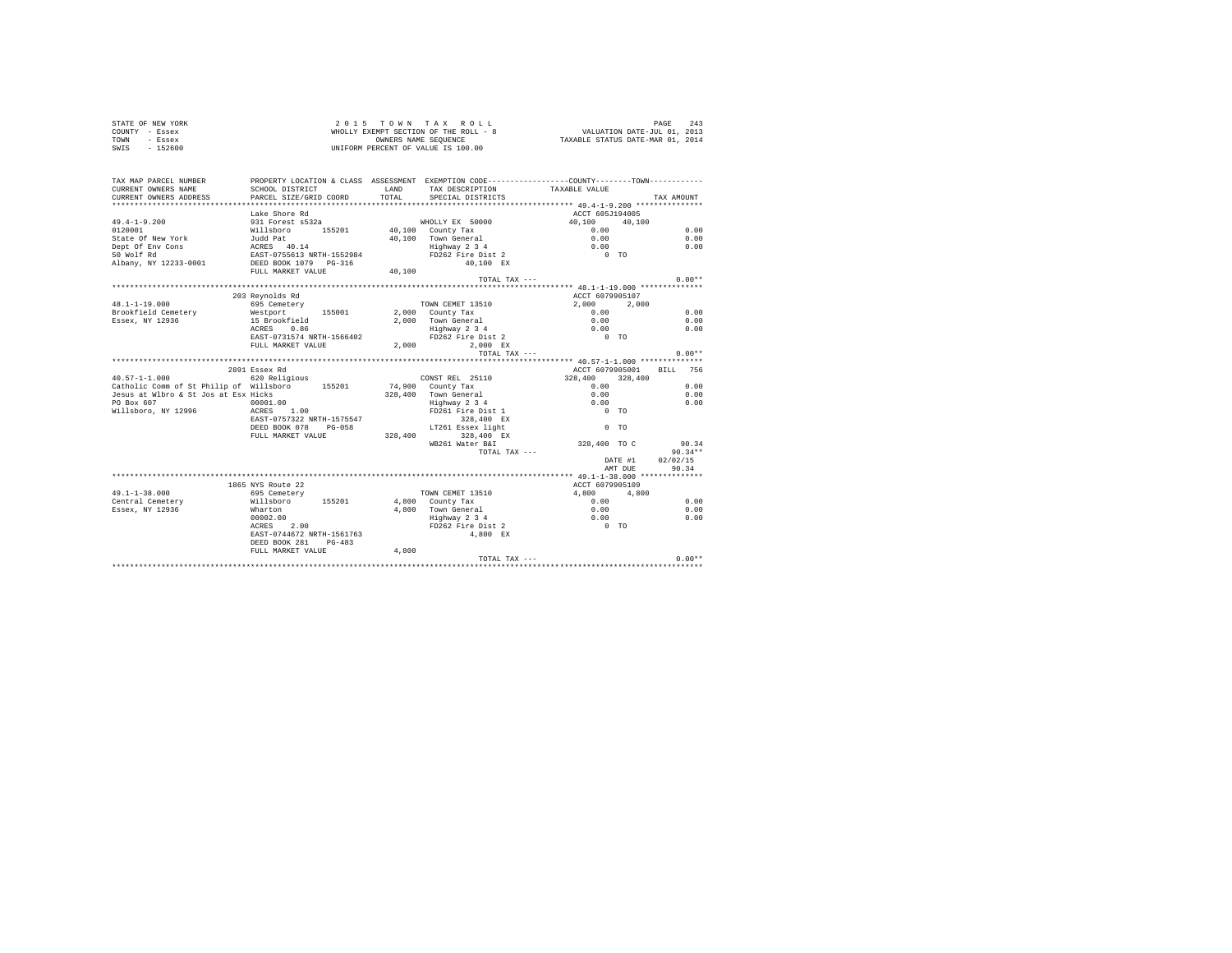| STATE OF NEW YORK<br>COUNTY - Essex<br>TOWN - Essex<br>SWIS - 152600                                                                                                                                                                                                                                           |                                                                 |       | UNIFORM PERCENT OF VALUE IS 100.00                                                                                                        |                                   |                          |
|----------------------------------------------------------------------------------------------------------------------------------------------------------------------------------------------------------------------------------------------------------------------------------------------------------------|-----------------------------------------------------------------|-------|-------------------------------------------------------------------------------------------------------------------------------------------|-----------------------------------|--------------------------|
| TAX MAP PARCEL NUMBER<br>CURRENT OWNERS NAME                                                                                                                                                                                                                                                                   | SCHOOL DISTRICT                                                 |       | PROPERTY LOCATION & CLASS ASSESSMENT EXEMPTION CODE---------------COUNTY-------TOWN----------<br>LAND TAX DESCRIPTION                     | TAXABLE VALUE                     |                          |
| CURRENT OWNERS ADDRESS                                                                                                                                                                                                                                                                                         | PARCEL SIZE/GRID COORD                                          | TOTAL | SPECIAL DISTRICTS                                                                                                                         |                                   | TAX AMOUNT               |
|                                                                                                                                                                                                                                                                                                                |                                                                 |       |                                                                                                                                           |                                   |                          |
|                                                                                                                                                                                                                                                                                                                | Lake Shore Rd                                                   |       |                                                                                                                                           | ACCT 605J194005                   |                          |
| $49.4 - 1 - 9.200$                                                                                                                                                                                                                                                                                             | 931 Forest s532a                                                |       | WHOLLY EX 50000                                                                                                                           | $40,100$ $40,100$<br>0.00<br>0.00 |                          |
| $\begin{tabular}{lcccc} $49,14-19-14.00 & $140$ & $140$ & $140$ & $140$ & $140$ & $140$ & $140$ & $140$ & $140$ & $140$ & $140$ & $140$ & $140$ & $140$ & $140$ & $140$ & $140$ & $140$ & $140$ & $140$ & $140$ & $140$ & $140$ & $140$ & $140$ & $140$ & $140$ & $140$ & $140$ & $140$ & $140$ & $140$ & $14$ |                                                                 |       |                                                                                                                                           |                                   | 0.00                     |
|                                                                                                                                                                                                                                                                                                                |                                                                 |       | 10,100 Town General<br>40,100 Town General<br>Highway 2 3 4<br>FD262 Fire Dist 2                                                          |                                   | 0.00                     |
|                                                                                                                                                                                                                                                                                                                |                                                                 |       |                                                                                                                                           | 0.00                              | 0.00                     |
|                                                                                                                                                                                                                                                                                                                |                                                                 |       |                                                                                                                                           | $0$ TO                            |                          |
|                                                                                                                                                                                                                                                                                                                |                                                                 |       | 40,100 EX                                                                                                                                 |                                   |                          |
|                                                                                                                                                                                                                                                                                                                |                                                                 |       |                                                                                                                                           |                                   |                          |
|                                                                                                                                                                                                                                                                                                                |                                                                 |       | TOTAL TAX ---                                                                                                                             |                                   | $0.00**$                 |
|                                                                                                                                                                                                                                                                                                                |                                                                 |       |                                                                                                                                           |                                   |                          |
|                                                                                                                                                                                                                                                                                                                | 203 Revnolds Rd                                                 |       |                                                                                                                                           | ACCT 6079905107                   |                          |
| $48.1 - 1 - 19.000$                                                                                                                                                                                                                                                                                            | 695 Cemetery                                                    |       | TOWN CEMET 13510                                                                                                                          | 2,000 2,000                       |                          |
|                                                                                                                                                                                                                                                                                                                |                                                                 |       |                                                                                                                                           |                                   | 0.00                     |
|                                                                                                                                                                                                                                                                                                                |                                                                 |       |                                                                                                                                           |                                   | 0.00                     |
|                                                                                                                                                                                                                                                                                                                |                                                                 |       |                                                                                                                                           |                                   | 0.00                     |
|                                                                                                                                                                                                                                                                                                                |                                                                 |       |                                                                                                                                           |                                   |                          |
| Brookfield Cemetery Westport 155001 2,000 County Tax 2,000<br>Brookfield Cemetery Westport 155001 2,000 Town General 0.00<br>RESSEX, NY 12936 15 Brookfield Cemetery 155001 2,000 Town General 0.00<br>AGRES 0.86 2,000 Eighway 2 3                                                                            |                                                                 |       |                                                                                                                                           |                                   |                          |
|                                                                                                                                                                                                                                                                                                                |                                                                 |       | TOTAL TAX ---                                                                                                                             |                                   | $0.00**$                 |
|                                                                                                                                                                                                                                                                                                                |                                                                 |       |                                                                                                                                           |                                   |                          |
| 40.57-1-1.000 620 Religious                                                                                                                                                                                                                                                                                    | 2891 Essex Rd                                                   |       | CONST REL 25110                                                                                                                           |                                   | ACCT 6079905001 BILL 756 |
| 20.57-1-1.000 020 RELISSION 155201 74,900 County Tax                                                                                                                                                                                                                                                           |                                                                 |       |                                                                                                                                           | $328,400$ $328,400$<br>0.00       | 0.00                     |
|                                                                                                                                                                                                                                                                                                                |                                                                 |       |                                                                                                                                           |                                   | 0.00                     |
|                                                                                                                                                                                                                                                                                                                |                                                                 |       |                                                                                                                                           |                                   | 0.00                     |
| Jesus at Wibro & St Jos at Esx Hicks<br>PO Box 607 0001.00<br>Willsboro, NY 12996 0001.00<br>ACRES 1.00                                                                                                                                                                                                        |                                                                 |       | 328,400 Town General<br>Highway 2 3 4<br>FD261 Fire Dist 1                                                                                | $0.00$<br>0.00<br>0 TO            |                          |
|                                                                                                                                                                                                                                                                                                                |                                                                 |       |                                                                                                                                           |                                   |                          |
|                                                                                                                                                                                                                                                                                                                |                                                                 |       |                                                                                                                                           | $0$ TO                            |                          |
|                                                                                                                                                                                                                                                                                                                |                                                                 |       |                                                                                                                                           |                                   |                          |
|                                                                                                                                                                                                                                                                                                                |                                                                 |       | EAST-0757322 NRTH-1575547 228,400 EX<br>DEED BOOK 078 PG-058 1T261 Essex light<br>FULL MARKET VALUE 328,400 328,400 EX<br>WE261 Water B&I |                                   |                          |
|                                                                                                                                                                                                                                                                                                                |                                                                 |       | TOTAL TAX ---                                                                                                                             |                                   | 328,400 TO C 90.34*      |
|                                                                                                                                                                                                                                                                                                                |                                                                 |       |                                                                                                                                           |                                   | DATE #1<br>02/02/15      |
|                                                                                                                                                                                                                                                                                                                |                                                                 |       |                                                                                                                                           |                                   | AMT DUE 90.34            |
|                                                                                                                                                                                                                                                                                                                |                                                                 |       |                                                                                                                                           |                                   |                          |
|                                                                                                                                                                                                                                                                                                                | 1865 NYS Route 22                                               |       |                                                                                                                                           | ACCT 6079905109                   |                          |
| $49.1 - 1 - 38.000$                                                                                                                                                                                                                                                                                            | FOR CHECK TOWN CEMET 13510<br>Willsboro 155201 4,800 County Tax |       |                                                                                                                                           |                                   |                          |
| Central Cemetery                                                                                                                                                                                                                                                                                               |                                                                 |       |                                                                                                                                           |                                   | 0.00                     |
| Essex, NY 12936                                                                                                                                                                                                                                                                                                | Wharton<br>00002.00<br>ACRES 2.00                               |       |                                                                                                                                           |                                   | 0.00                     |
|                                                                                                                                                                                                                                                                                                                |                                                                 |       |                                                                                                                                           |                                   | 0.00                     |
|                                                                                                                                                                                                                                                                                                                |                                                                 |       |                                                                                                                                           |                                   |                          |
|                                                                                                                                                                                                                                                                                                                | EAST-0744672 NRTH-1561763                                       |       | 4,800 EX                                                                                                                                  |                                   |                          |
|                                                                                                                                                                                                                                                                                                                | DEED BOOK 281 PG-483                                            |       |                                                                                                                                           |                                   |                          |
|                                                                                                                                                                                                                                                                                                                | FULL MARKET VALUE                                               | 4,800 |                                                                                                                                           |                                   |                          |
|                                                                                                                                                                                                                                                                                                                |                                                                 |       | TOTAL TAX ---                                                                                                                             |                                   | $0.00**$                 |
|                                                                                                                                                                                                                                                                                                                |                                                                 |       |                                                                                                                                           |                                   |                          |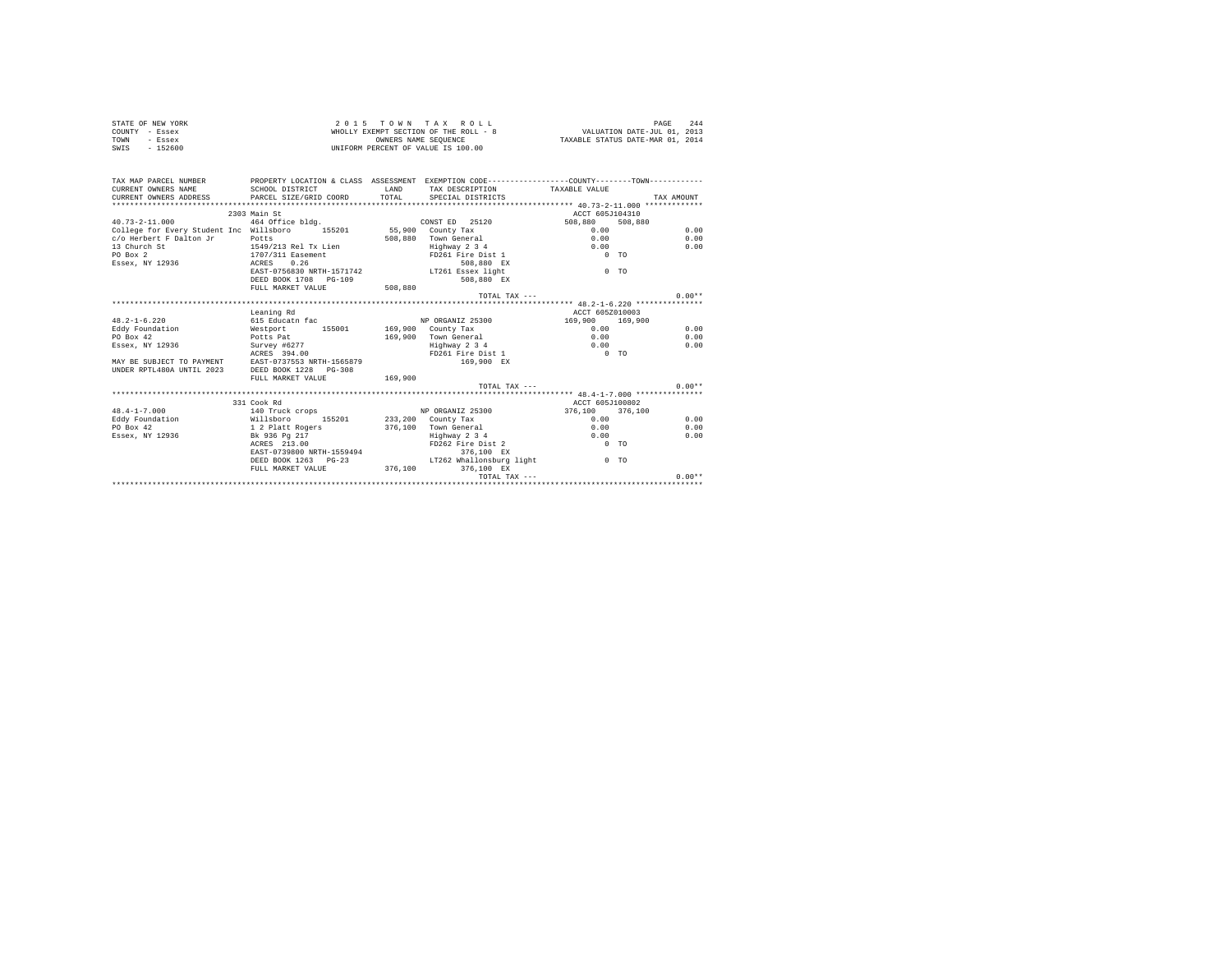| STATE OF NEW YORK | 2015 TOWN TAX ROLL                    | 244<br>PAGE                      |
|-------------------|---------------------------------------|----------------------------------|
| COUNTY - Essex    | WHOLLY EXEMPT SECTION OF THE ROLL - 8 | VALUATION DATE-JUL 01, 2013      |
| TOWN<br>- Essex   | OWNERS NAME SEOUENCE                  | TAXABLE STATUS DATE-MAR 01, 2014 |
| $-152600$<br>SWIS | UNIFORM PERCENT OF VALUE IS 100.00    |                                  |

| TAX MAP PARCEL NUMBER<br>CURRENT OWNERS NAME<br>CURRENT OWNERS ADDRESS<br>************************* | SCHOOL DISTRICT<br>PARCEL SIZE/GRID COORD                                 | LAND<br>TOTAL. | PROPERTY LOCATION & CLASS ASSESSMENT EXEMPTION CODE----------------COUNTY--------TOWN----------<br>TAX DESCRIPTION TAXABLE VALUE<br>SPECIAL DISTRICTS |                 |         | TAX AMOUNT   |
|-----------------------------------------------------------------------------------------------------|---------------------------------------------------------------------------|----------------|-------------------------------------------------------------------------------------------------------------------------------------------------------|-----------------|---------|--------------|
|                                                                                                     |                                                                           |                |                                                                                                                                                       |                 |         |              |
|                                                                                                     | 2303 Main St                                                              |                |                                                                                                                                                       | ACCT 605J104310 |         |              |
| $40.73 - 2 - 11.000$                                                                                | 464 Office bldg.                                                          |                | CONST ED 25120                                                                                                                                        | 508,880<br>0.00 | 508,880 |              |
| c/o Herbert F Dalton Jr                                                                             | College for Every Student Inc Willsboro 155201 55,900 County Tax<br>Potts |                | 508,880 Town General                                                                                                                                  | 0.00            |         | 0.00<br>0.00 |
| 13 Church St                                                                                        | 1549/213 Rel Tx Lien                                                      |                |                                                                                                                                                       | 0.00            |         | 0.00         |
|                                                                                                     |                                                                           |                | Highway 2 3 4                                                                                                                                         |                 |         |              |
| PO Box 2                                                                                            | 1707/311 Easement<br>0.26                                                 |                | FD261 Fire Dist 1                                                                                                                                     | $0$ TO          |         |              |
| Essex, NY 12936<br>ACRES                                                                            |                                                                           |                | 508,880 EX                                                                                                                                            |                 |         |              |
|                                                                                                     | EAST-0756830 NRTH-1571742 LT261 Essex light                               |                |                                                                                                                                                       | $0$ TO          |         |              |
|                                                                                                     | DEED BOOK 1708 PG-109<br>FULL MARKET VALUE                                |                | 508,880 EX                                                                                                                                            |                 |         |              |
|                                                                                                     |                                                                           | 508,880        | TOTAL TAX $---$                                                                                                                                       |                 |         | $0.00**$     |
|                                                                                                     |                                                                           |                |                                                                                                                                                       |                 |         |              |
|                                                                                                     |                                                                           |                |                                                                                                                                                       |                 |         |              |
|                                                                                                     | Leaning Rd                                                                |                |                                                                                                                                                       | ACCT 605Z010003 |         |              |
| $48.2 - 1 - 6.220$                                                                                  | 615 Educatn fac                                                           |                | NP ORGANIZ 25300                                                                                                                                      | 169,900         | 169,900 |              |
| Eddy Foundation                                                                                     | Westport 155001                                                           |                | 169,900 County Tax                                                                                                                                    | 0.00            |         | 0.00         |
| PO Box 42                                                                                           | Potts Pat                                                                 |                | 169,900 Town General                                                                                                                                  | 0.00            |         | 0.00         |
| Essex, NY 12936                                                                                     | Survey #6277                                                              |                | Highway 2 3 4                                                                                                                                         | 0.00            |         | 0.00         |
|                                                                                                     | ACRES 394.00                                                              |                | FD261 Fire Dist 1                                                                                                                                     | $0$ TO          |         |              |
|                                                                                                     | MAY BE SUBJECT TO PAYMENT EAST-0737553 NRTH-1565879                       |                | 169,900 EX                                                                                                                                            |                 |         |              |
| UNDER RPTL480A UNTIL 2023                                                                           | DEED BOOK 1228 PG-308                                                     |                |                                                                                                                                                       |                 |         |              |
|                                                                                                     | FULL MARKET VALUE                                                         | 169,900        |                                                                                                                                                       |                 |         |              |
|                                                                                                     |                                                                           |                | TOTAL TAX $---$                                                                                                                                       |                 |         | $0.00**$     |
|                                                                                                     | 331 Cook Rd                                                               |                |                                                                                                                                                       | ACCT 605J100802 |         |              |
| $48.4 - 1 - 7.000$                                                                                  |                                                                           |                |                                                                                                                                                       | 376,100 376,100 |         |              |
|                                                                                                     | 140 Truck crops 5 NP ORGANIZ 25300                                        |                |                                                                                                                                                       |                 |         |              |
| Eddy Foundation                                                                                     | Willsboro<br>155201                                                       |                | 233,200 County Tax                                                                                                                                    | 0.00            |         | 0.00         |
| PO Box 42                                                                                           | 1 2 Platt Rogers                                                          |                | 376.100 Town General                                                                                                                                  | 0.00            |         | 0.00         |
| Essex, NY 12936                                                                                     | Bk 936 Pa 217<br>ACRES 213.00                                             |                | Highway 2 3 4<br>FD262 Fire Dist 2                                                                                                                    | 0.00            |         | 0.00         |
|                                                                                                     |                                                                           |                |                                                                                                                                                       | $0$ TO          |         |              |
|                                                                                                     | EAST-0739800 NRTH-1559494                                                 |                | 376,100 EX<br>LT262 Whallonsburg light                                                                                                                |                 |         |              |
|                                                                                                     | DEED BOOK 1263 PG-23                                                      |                |                                                                                                                                                       |                 | $0$ TO  |              |
|                                                                                                     | FULL MARKET VALUE 376,100                                                 |                | 376,100 EX                                                                                                                                            |                 |         |              |
|                                                                                                     |                                                                           |                | TOTAL TAX $---$                                                                                                                                       |                 |         | $0.00**$     |
|                                                                                                     |                                                                           |                |                                                                                                                                                       |                 |         |              |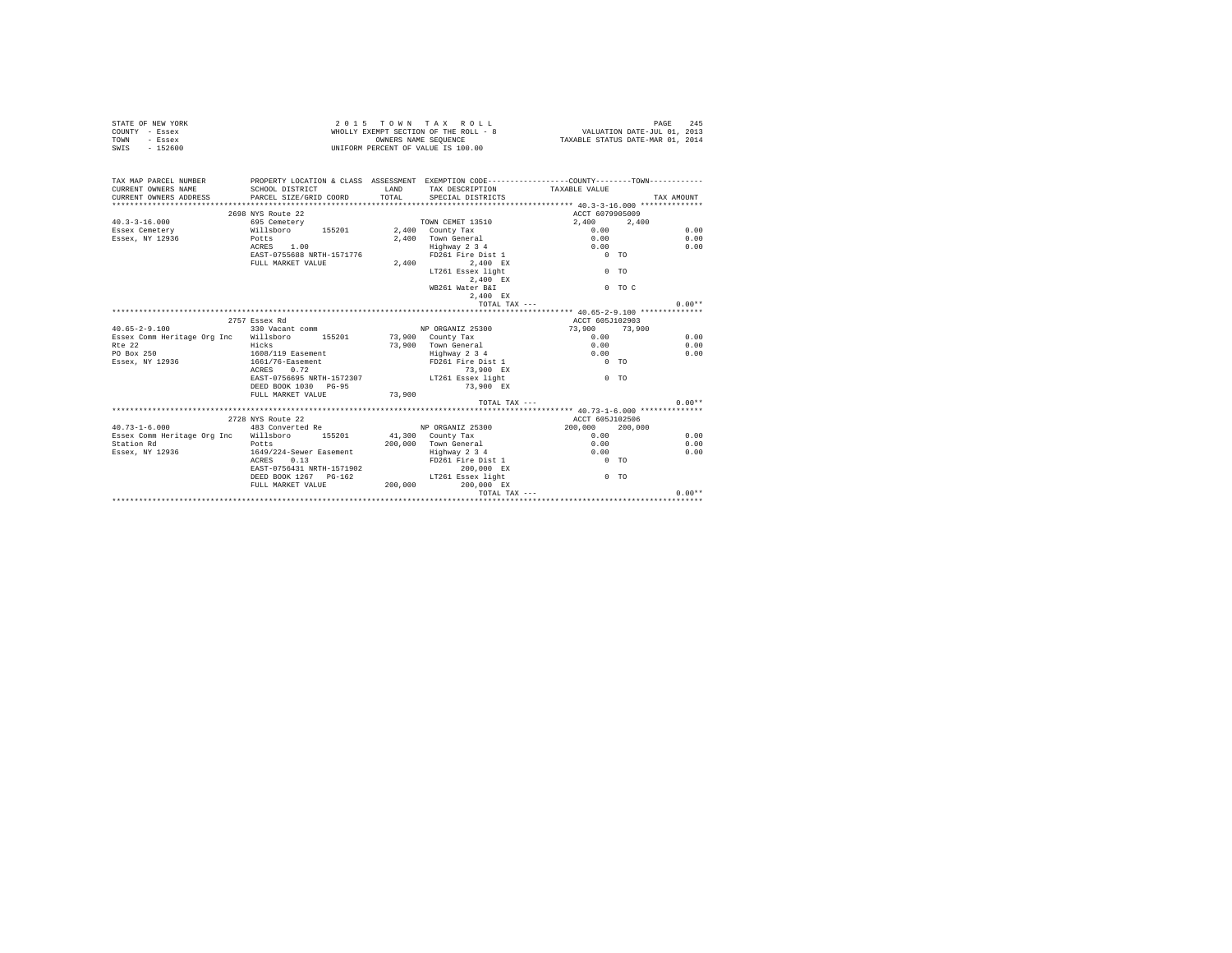| STATE OF NEW YORK | 2015 TOWN TAX ROLL                    | 245<br>PAGE                      |
|-------------------|---------------------------------------|----------------------------------|
| COUNTY - Essex    | WHOLLY EXEMPT SECTION OF THE ROLL - 8 | VALUATION DATE-JUL 01, 2013      |
| TOWN<br>- Essex   | OWNERS NAME SEOUENCE                  | TAXABLE STATUS DATE-MAR 01, 2014 |
| $-152600$<br>SWIS | UNIFORM PERCENT OF VALUE IS 100.00    |                                  |

| TAX MAP PARCEL NUMBER PROPERTY LOCATION & CLASS ASSESSMENT EXEMPTION CODE--------------COUNTY--------TOWN----------<br>CURRENT OWNERS NAME<br>CURRENT OWNERS ADDRESS PARCEL SIZE/GRID COORD TOTAL SPECIAL DISTRICTS<br> | SCHOOL DISTRICT                                                   |        | LAND TAX DESCRIPTION TAXABLE VALUE |                   |          | TAX AMOUNT |
|-------------------------------------------------------------------------------------------------------------------------------------------------------------------------------------------------------------------------|-------------------------------------------------------------------|--------|------------------------------------|-------------------|----------|------------|
|                                                                                                                                                                                                                         | 2698 NYS Route 22                                                 |        |                                    | ACCT 6079905009   |          |            |
| $40.3 - 3 - 16.000$                                                                                                                                                                                                     |                                                                   |        |                                    | 2,400 2,400       |          |            |
| Essex Cemetery                                                                                                                                                                                                          | 695 Cemetery<br>695 Cemetery<br>Willsboro 155201 2,400 County Tax |        |                                    | 0.00              |          | 0.00       |
| Potts<br>Essex, NY 12936                                                                                                                                                                                                |                                                                   |        | 2,400 Town General                 | 0.00              |          | 0.00       |
|                                                                                                                                                                                                                         | ACRES 1.00                                                        |        | Highway 2 3 4                      | 0.00              |          | 0.00       |
|                                                                                                                                                                                                                         | EAST-0755688 NRTH-1571776                                         |        | FD261 Fire Dist 1                  | $0$ TO            |          |            |
|                                                                                                                                                                                                                         | FULL MARKET VALUE                                                 |        | 2,400 2,400 EX                     |                   |          |            |
|                                                                                                                                                                                                                         |                                                                   |        | LT261 Essex light                  |                   | $0$ TO   |            |
|                                                                                                                                                                                                                         |                                                                   |        | 2.400 EX                           |                   |          |            |
|                                                                                                                                                                                                                         |                                                                   |        | WB261 Water B&I                    |                   | $0$ TO C |            |
|                                                                                                                                                                                                                         |                                                                   |        | 2.400 EX                           |                   |          |            |
|                                                                                                                                                                                                                         |                                                                   |        | TOTAL TAX ---                      |                   |          | $0.00**$   |
|                                                                                                                                                                                                                         |                                                                   |        |                                    |                   |          |            |
|                                                                                                                                                                                                                         | 2757 Essex Rd                                                     |        |                                    | ACCT 605J102903   |          |            |
| $40.65 - 2 - 9.100$                                                                                                                                                                                                     | 330 Vacant comm                                                   |        | NP ORGANIZ 25300                   | $73,900$ $73,900$ |          |            |
| Essex Comm Heritage Org Inc Willsboro 155201 73,900 County Tax                                                                                                                                                          |                                                                   |        |                                    |                   |          | 0.00       |
| Rte 22                                                                                                                                                                                                                  | Hicks                                                             |        | 73,900 Town General                | $0.00$<br>0.00    |          | 0.00       |
| PO Box 250                                                                                                                                                                                                              | 1608/119 Easement                                                 |        | Highway 2 3 4                      | 0.00              |          | 0.00       |
| Essex, NY 12936 1661/76-Easement FD261 Fire Dist 1                                                                                                                                                                      |                                                                   |        |                                    | $0$ TO            |          |            |
|                                                                                                                                                                                                                         | ACRES 0.72                                                        |        | 73,900 EX                          |                   |          |            |
|                                                                                                                                                                                                                         | EAST-0756695 NRTH-1572307 LT261 Essex light                       |        |                                    | $0$ TO            |          |            |
|                                                                                                                                                                                                                         | DEED BOOK 1030 PG-95                                              |        | 73,900 EX                          |                   |          |            |
|                                                                                                                                                                                                                         | FULL MARKET VALUE                                                 | 73,900 |                                    |                   |          |            |
|                                                                                                                                                                                                                         |                                                                   |        | $TOTAI. TAX - - -$                 |                   |          | $0.00**$   |
|                                                                                                                                                                                                                         |                                                                   |        |                                    |                   |          |            |
|                                                                                                                                                                                                                         | 2728 NYS Route 22                                                 |        |                                    | ACCT 605J102506   |          |            |
| $40.73 - 1 - 6.000$                                                                                                                                                                                                     | 483 Converted Re                                                  |        | NP ORGANIZ 25300 200,000 200,000   |                   |          |            |
| Essex Comm Heritage Org Inc Willsboro 155201 41,300 County Tax                                                                                                                                                          |                                                                   |        |                                    | 0.00              |          | 0.00       |
| Station Rd                                                                                                                                                                                                              |                                                                   |        | 200,000 Town General               | 0.00              |          | 0.00       |
| Essex, NY 12936                                                                                                                                                                                                         | Potts<br>1649/224-Sewer Easement                                  |        |                                    | 0.00              |          | 0.00       |
|                                                                                                                                                                                                                         | ACRES 0.13                                                        |        | Highway 2 3 4<br>FD261 Fire Dist 1 | $0$ TO            |          |            |
|                                                                                                                                                                                                                         | EAST-0756431 NRTH-1571902                                         |        | 200,000 EX                         |                   |          |            |
|                                                                                                                                                                                                                         | DEED BOOK 1267 PG-162 CT261 Essex light                           |        |                                    |                   | $0$ TO   |            |
|                                                                                                                                                                                                                         | FULL MARKET VALUE $200,000$ 200,000 EX                            |        |                                    |                   |          |            |
|                                                                                                                                                                                                                         |                                                                   |        |                                    |                   |          |            |
|                                                                                                                                                                                                                         |                                                                   |        |                                    |                   |          |            |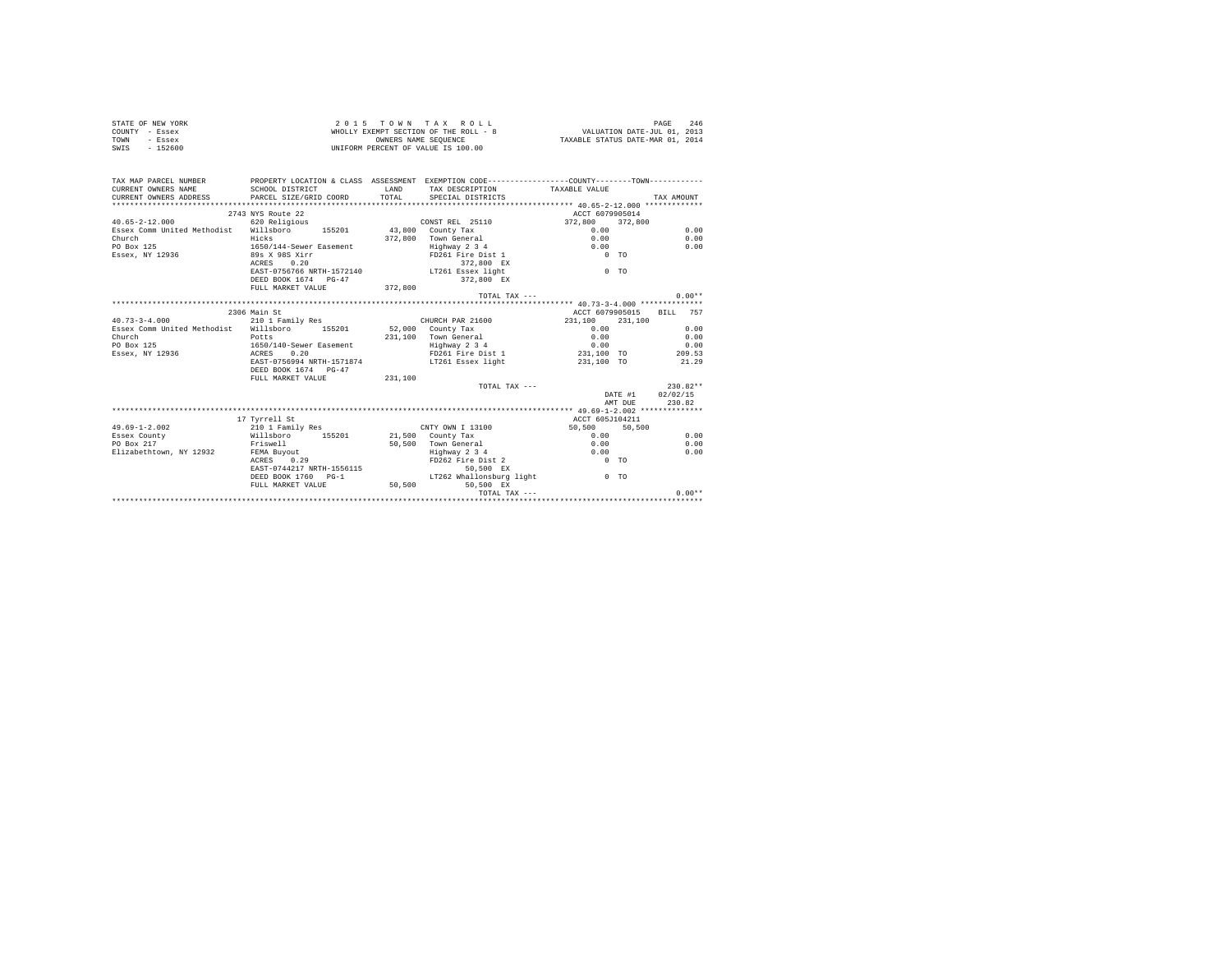|                | STATE OF NEW YORK | 2015 TOWN TAX ROLL                    | 246<br>PAGE                      |
|----------------|-------------------|---------------------------------------|----------------------------------|
| COUNTY - Essex |                   | WHOLLY EXEMPT SECTION OF THE ROLL - 8 | VALUATION DATE-JUL 01, 2013      |
| TOWN           | - Essex           | OWNERS NAME SEOUENCE                  | TAXABLE STATUS DATE-MAR 01, 2014 |
| SWIS           | $-152600$         | UNIFORM PERCENT OF VALUE IS 100.00    |                                  |

| TAX MAP PARCEL NUMBER PROPERTY LOCATION & CLASS ASSESSMENT EXEMPTION CODE--------------COUNTY--------TOWN----------<br>CURRENT OWNERS NAME SCHOOL DISTRICT |                                                   | <b>LAND</b> | TAX DESCRIPTION TAXABLE VALUE         |                                     |            |
|------------------------------------------------------------------------------------------------------------------------------------------------------------|---------------------------------------------------|-------------|---------------------------------------|-------------------------------------|------------|
|                                                                                                                                                            |                                                   |             |                                       |                                     |            |
|                                                                                                                                                            | 2743 NYS Route 22                                 |             |                                       | ACCT 6079905014                     |            |
|                                                                                                                                                            |                                                   |             |                                       |                                     |            |
| 40.65-2-12.000 620 Religious CONSTREL 25110 372,800 372,800<br>Essex Comm United Methodist Willsboro 155201 43,800 County Tax 0.00                         |                                                   |             |                                       |                                     | 0.00       |
| Church                                                                                                                                                     | Hicks                                             |             | 372,800 Town General 0.00             |                                     | 0.00       |
| PO Box 125 1650/144-Sewer Easement                                                                                                                         |                                                   |             |                                       | Highway 2 3 4 0.00                  | 0.00       |
| Essex, NY 12936 89s X 98S Xirr                                                                                                                             |                                                   |             | FD261 Fire Dist 1                     | $0$ TO                              |            |
|                                                                                                                                                            | ACRES 0.20                                        |             |                                       |                                     |            |
|                                                                                                                                                            |                                                   |             |                                       | $0$ TO                              |            |
|                                                                                                                                                            |                                                   |             |                                       |                                     |            |
|                                                                                                                                                            | FULL MARKET VALUE 372,800                         |             |                                       |                                     |            |
|                                                                                                                                                            |                                                   |             | TOTAL TAX ---                         |                                     | $0.00**$   |
|                                                                                                                                                            |                                                   |             |                                       |                                     |            |
|                                                                                                                                                            | 2306 Main St                                      |             |                                       | ACCT 6079905015 BILL 757            |            |
| 40.73-3-4.000 210 1 Family Res CHURCH PAR 21600                                                                                                            |                                                   |             |                                       | 231,100 231,100                     |            |
| Essex Comm United Methodist Willsboro 155201 52,000 County Tax                                                                                             |                                                   |             |                                       | $0.00$<br>$0.00$                    | 0.00       |
| Church                                                                                                                                                     | Potts                                             |             | 231,100 Town General<br>Highway 2 3 4 |                                     | 0.00       |
| PO Box 125 1650/140-Sewer Easement                                                                                                                         |                                                   |             |                                       | 0.00                                | 0.00       |
| Essex, NY 12936<br>ACRES 0.20                                                                                                                              |                                                   |             |                                       | FD261 Fire Dist 1 231,100 TO 209.53 |            |
|                                                                                                                                                            | EAST-0756994 NRTH-1571874                         |             |                                       | LT261 Essex light 231,100 TO 21.29  |            |
|                                                                                                                                                            | DEED BOOK 1674 PG-47                              |             |                                       |                                     |            |
|                                                                                                                                                            | FULL MARKET VALUE 231,100                         |             |                                       |                                     |            |
|                                                                                                                                                            |                                                   |             | TOTAL TAX ---                         |                                     | $230.82**$ |
|                                                                                                                                                            |                                                   |             |                                       | DATE #1 02/02/15                    |            |
|                                                                                                                                                            |                                                   |             |                                       | AMT DUE                             | 230.82     |
|                                                                                                                                                            |                                                   |             |                                       |                                     |            |
|                                                                                                                                                            | 17 Tvrrell St                                     |             |                                       | ACCT 605J104211                     |            |
| 49.69-1-2.002 210 1 Family Res                                                                                                                             |                                                   |             |                                       | CNTY OWN I 13100 50,500 50,500      |            |
|                                                                                                                                                            |                                                   |             |                                       | 0.00                                | 0.00       |
| PO Box 217                                                                                                                                                 |                                                   |             | 50,500 Town General                   | 0.00                                | 0.00       |
| Elizabethtown, NY 12932                                                                                                                                    | Friswell<br>FEMA Buyout<br>ACRES     0.29         |             | Highway 2 3 4                         |                                     | 0.00       |
|                                                                                                                                                            |                                                   |             | FD262 Fire Dist 2                     | $0.00$ TO                           |            |
|                                                                                                                                                            | EAST-0744217 NRTH-1556115                         |             | 50.500 EX                             |                                     |            |
|                                                                                                                                                            | DEED BOOK 1760 PG-1 LT262 Whallonsburg light 0 TO |             |                                       |                                     |            |
|                                                                                                                                                            | FULL MARKET VALUE 50,500 50,500 EX                |             |                                       |                                     |            |
|                                                                                                                                                            |                                                   |             | TOTAL TAX ---                         |                                     | $0.00**$   |
|                                                                                                                                                            |                                                   |             |                                       |                                     |            |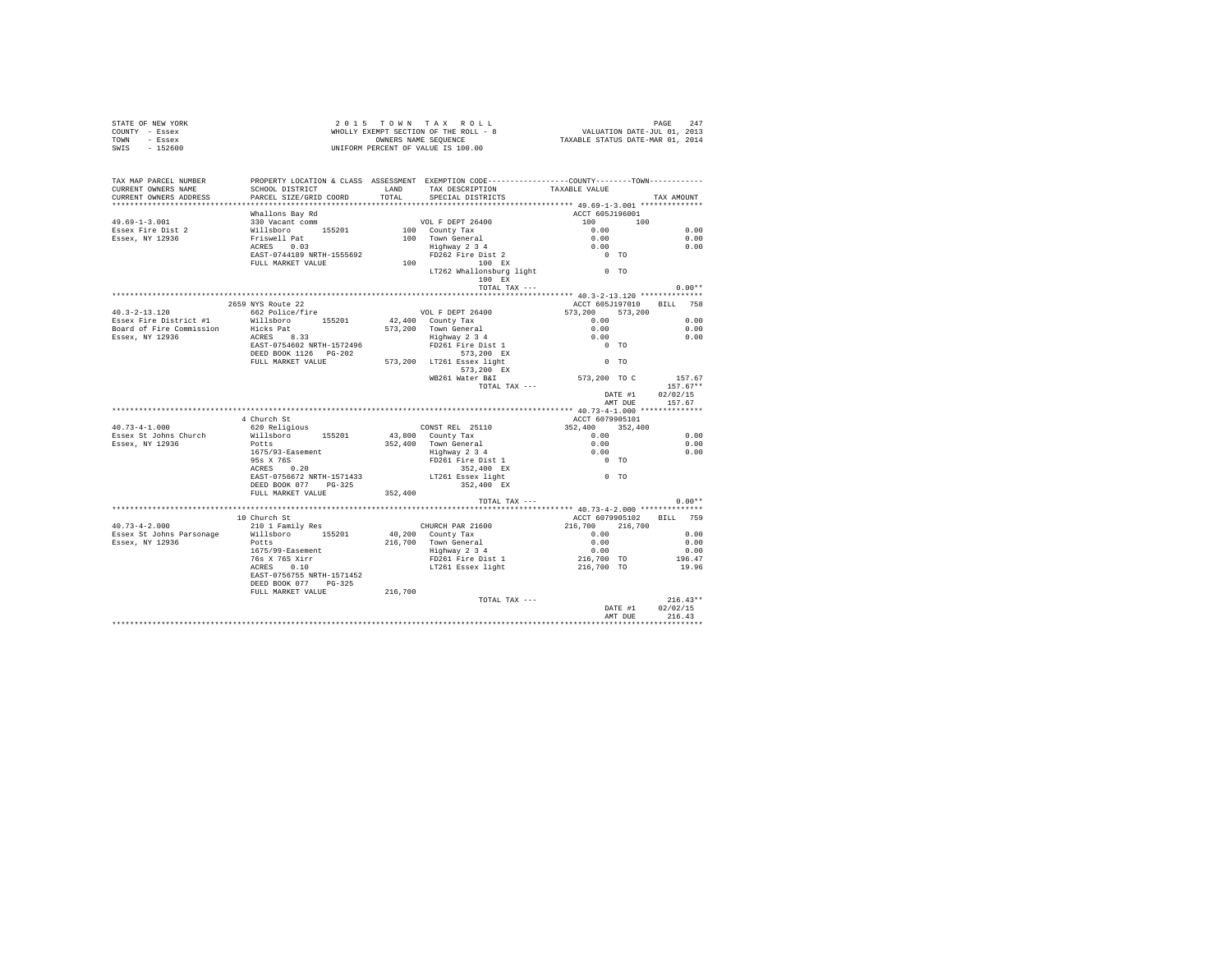| COUNTY - Essex<br>TOWN - Essex<br>SWIS - 152600 |                                                                                                                                                                                                                                                                                                                                                                                                            | WHOLLY EXEMPT SECTION OF THE ROLL - 8 WALUATION DATE-JUL 01, 2013<br>TAXABLE STATUS DANERS NAME SEQUENCE OF TAXABLE STATUS DATE-MAR 01, 2014<br>INIFORM PERCENT OF VALUE IS 100 00<br>UNIFORM PERCENT OF VALUE IS 100.00 |                   |                                                |
|-------------------------------------------------|------------------------------------------------------------------------------------------------------------------------------------------------------------------------------------------------------------------------------------------------------------------------------------------------------------------------------------------------------------------------------------------------------------|--------------------------------------------------------------------------------------------------------------------------------------------------------------------------------------------------------------------------|-------------------|------------------------------------------------|
| TAX MAP PARCEL NUMBER                           | PROPERTY LOCATION & CLASS ASSESSMENT EXEMPTION CODE----------------COUNTY--------TOWN----------                                                                                                                                                                                                                                                                                                            |                                                                                                                                                                                                                          |                   |                                                |
|                                                 | CURRENT OWNERS NAME SCHOOL DISTRICT LAND TAX DESCRIPTION TAXABLE VALUE CURRENT OWNERS ADDRESS PARCEL SIZE/GRID COORD TOTAL SPECIAL DISTRICTS                                                                                                                                                                                                                                                               |                                                                                                                                                                                                                          |                   | TAX AMOUNT                                     |
|                                                 |                                                                                                                                                                                                                                                                                                                                                                                                            |                                                                                                                                                                                                                          |                   |                                                |
|                                                 |                                                                                                                                                                                                                                                                                                                                                                                                            |                                                                                                                                                                                                                          |                   |                                                |
|                                                 |                                                                                                                                                                                                                                                                                                                                                                                                            |                                                                                                                                                                                                                          |                   |                                                |
|                                                 |                                                                                                                                                                                                                                                                                                                                                                                                            |                                                                                                                                                                                                                          |                   | 0.00                                           |
|                                                 |                                                                                                                                                                                                                                                                                                                                                                                                            |                                                                                                                                                                                                                          |                   | 0.00                                           |
|                                                 |                                                                                                                                                                                                                                                                                                                                                                                                            |                                                                                                                                                                                                                          |                   | 0.00                                           |
|                                                 |                                                                                                                                                                                                                                                                                                                                                                                                            |                                                                                                                                                                                                                          |                   |                                                |
|                                                 |                                                                                                                                                                                                                                                                                                                                                                                                            |                                                                                                                                                                                                                          |                   |                                                |
|                                                 |                                                                                                                                                                                                                                                                                                                                                                                                            |                                                                                                                                                                                                                          |                   |                                                |
|                                                 |                                                                                                                                                                                                                                                                                                                                                                                                            | $\begin{minipage}{.4\linewidth} \texttt{TOTAL } \texttt{TAX} \texttt{ ----} \end{minipage}$                                                                                                                              |                   | $0.00**$                                       |
|                                                 |                                                                                                                                                                                                                                                                                                                                                                                                            |                                                                                                                                                                                                                          |                   |                                                |
|                                                 | 2659 NYS Route 22                                                                                                                                                                                                                                                                                                                                                                                          |                                                                                                                                                                                                                          |                   | ACCT 605J197010 BILL 758                       |
|                                                 |                                                                                                                                                                                                                                                                                                                                                                                                            |                                                                                                                                                                                                                          |                   |                                                |
|                                                 |                                                                                                                                                                                                                                                                                                                                                                                                            |                                                                                                                                                                                                                          |                   |                                                |
|                                                 |                                                                                                                                                                                                                                                                                                                                                                                                            |                                                                                                                                                                                                                          |                   |                                                |
|                                                 |                                                                                                                                                                                                                                                                                                                                                                                                            |                                                                                                                                                                                                                          |                   |                                                |
|                                                 |                                                                                                                                                                                                                                                                                                                                                                                                            |                                                                                                                                                                                                                          |                   |                                                |
|                                                 |                                                                                                                                                                                                                                                                                                                                                                                                            |                                                                                                                                                                                                                          |                   |                                                |
|                                                 |                                                                                                                                                                                                                                                                                                                                                                                                            |                                                                                                                                                                                                                          |                   |                                                |
|                                                 |                                                                                                                                                                                                                                                                                                                                                                                                            |                                                                                                                                                                                                                          |                   |                                                |
|                                                 |                                                                                                                                                                                                                                                                                                                                                                                                            |                                                                                                                                                                                                                          | ייייי<br>41 שחותם | DATE #1 02/02/15                               |
|                                                 |                                                                                                                                                                                                                                                                                                                                                                                                            |                                                                                                                                                                                                                          |                   | AMT DUE 157.67                                 |
|                                                 |                                                                                                                                                                                                                                                                                                                                                                                                            |                                                                                                                                                                                                                          |                   |                                                |
|                                                 |                                                                                                                                                                                                                                                                                                                                                                                                            |                                                                                                                                                                                                                          |                   |                                                |
| $40.73 - 4 - 1.000$                             |                                                                                                                                                                                                                                                                                                                                                                                                            |                                                                                                                                                                                                                          |                   |                                                |
| Essex St Johns Church<br>Essex, NY 12936        |                                                                                                                                                                                                                                                                                                                                                                                                            |                                                                                                                                                                                                                          |                   | 0.00                                           |
|                                                 |                                                                                                                                                                                                                                                                                                                                                                                                            |                                                                                                                                                                                                                          |                   | 0.00                                           |
|                                                 |                                                                                                                                                                                                                                                                                                                                                                                                            |                                                                                                                                                                                                                          |                   | 0.00                                           |
|                                                 |                                                                                                                                                                                                                                                                                                                                                                                                            |                                                                                                                                                                                                                          |                   |                                                |
|                                                 |                                                                                                                                                                                                                                                                                                                                                                                                            |                                                                                                                                                                                                                          |                   |                                                |
|                                                 |                                                                                                                                                                                                                                                                                                                                                                                                            |                                                                                                                                                                                                                          |                   |                                                |
|                                                 |                                                                                                                                                                                                                                                                                                                                                                                                            |                                                                                                                                                                                                                          |                   |                                                |
|                                                 | 4 Church St<br>4 Church St<br>4 Church St<br>4 Church St<br>willaboro 155201 43,000 County Tax 1552,400 352,400 1675/99-1510<br>2010 1675/93-Easement 352,400 Town General 0.00<br>1675/93-Easement 1571433 152,400 Ex<br>2020 17261 Easex 1                                                                                                                                                               |                                                                                                                                                                                                                          |                   | $0.00**$                                       |
|                                                 |                                                                                                                                                                                                                                                                                                                                                                                                            |                                                                                                                                                                                                                          |                   |                                                |
|                                                 | 10 Church St                                                                                                                                                                                                                                                                                                                                                                                               |                                                                                                                                                                                                                          |                   | ACCT 6079905102 BILL 759                       |
|                                                 |                                                                                                                                                                                                                                                                                                                                                                                                            |                                                                                                                                                                                                                          |                   |                                                |
|                                                 |                                                                                                                                                                                                                                                                                                                                                                                                            |                                                                                                                                                                                                                          |                   |                                                |
|                                                 | $\textbf{0.73--4-2.000} \begin{array}{c} \texttt{10}.73--4-2.000 \\\texttt{200}.11~\texttt{Family}~\texttt{Res} \\ \texttt{Essex}~\texttt{St John}~\texttt{Parserange} \\ \texttt{Essex}~\texttt{N1 12936} \end{array} \begin{array}{c} \texttt{10}.01~\texttt{Family}~\texttt{Res} \\ \texttt{M1 11 11 10} \\ \texttt{N1 1 10 10} \\ \texttt{1675/99--8aement} \\ \texttt{1675/99--8aement} \\ \texttt{1$ |                                                                                                                                                                                                                          |                   |                                                |
|                                                 |                                                                                                                                                                                                                                                                                                                                                                                                            |                                                                                                                                                                                                                          |                   |                                                |
|                                                 |                                                                                                                                                                                                                                                                                                                                                                                                            |                                                                                                                                                                                                                          |                   |                                                |
|                                                 | EAST-0756755 NRTH-1571452                                                                                                                                                                                                                                                                                                                                                                                  |                                                                                                                                                                                                                          |                   |                                                |
|                                                 | DEED BOOK 077 PG-325                                                                                                                                                                                                                                                                                                                                                                                       |                                                                                                                                                                                                                          |                   |                                                |
|                                                 | FULL MARKET VALUE 216,700                                                                                                                                                                                                                                                                                                                                                                                  |                                                                                                                                                                                                                          |                   |                                                |
|                                                 |                                                                                                                                                                                                                                                                                                                                                                                                            | TOTAL TAX ---                                                                                                                                                                                                            |                   | $216.43**$<br>DATE #1 $02/02/15$<br>$216.43**$ |
|                                                 |                                                                                                                                                                                                                                                                                                                                                                                                            |                                                                                                                                                                                                                          |                   | AMT DUE 216.43                                 |
|                                                 |                                                                                                                                                                                                                                                                                                                                                                                                            |                                                                                                                                                                                                                          |                   |                                                |
|                                                 |                                                                                                                                                                                                                                                                                                                                                                                                            |                                                                                                                                                                                                                          |                   |                                                |

STATE OF NEW YORK **2015** TOWN TAX ROLL **PAGE 247**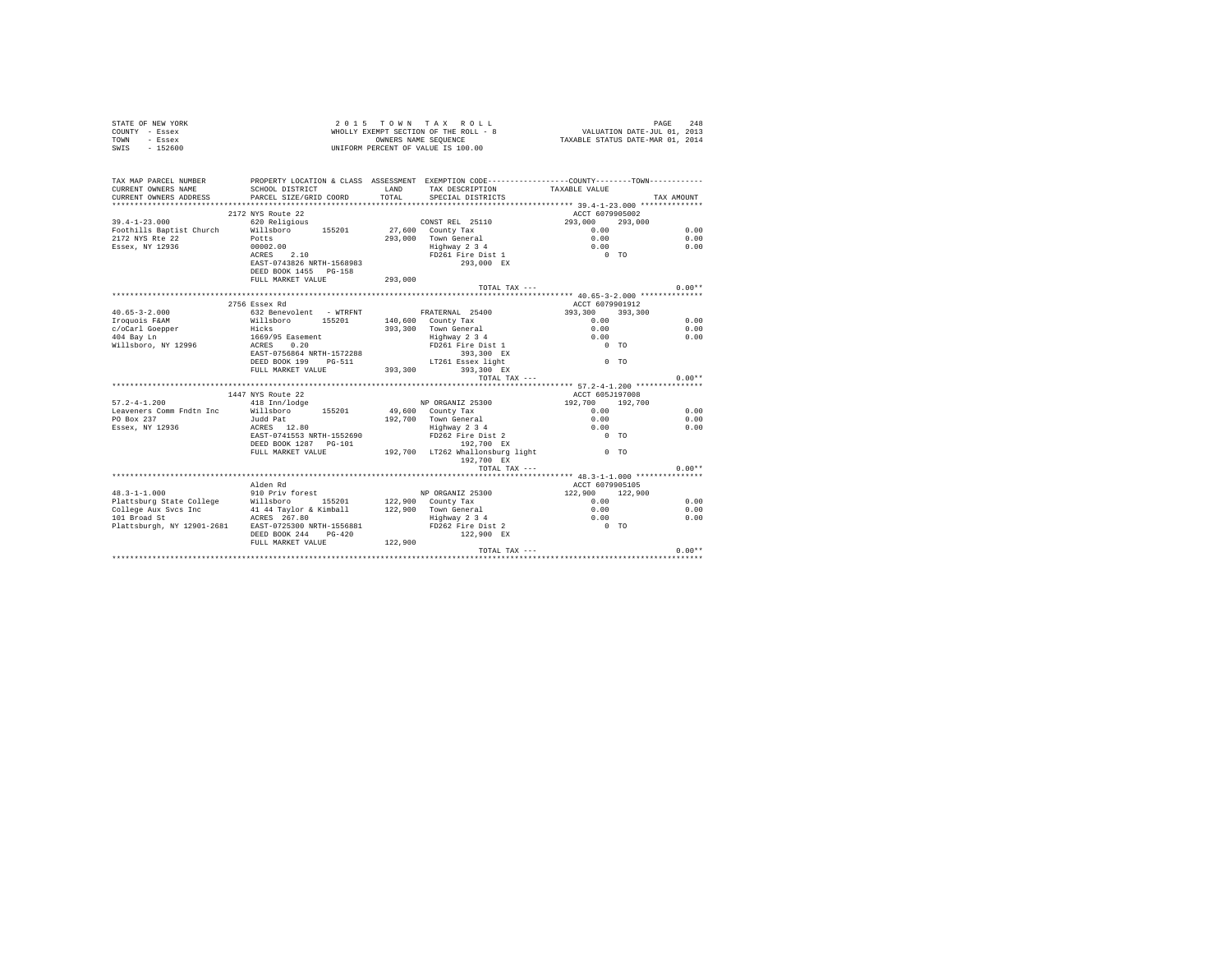|                | STATE OF NEW YORK |  |  | 2015 TOWN TAX ROLL                    |  |  |  | 248<br>PAGE                      |  |
|----------------|-------------------|--|--|---------------------------------------|--|--|--|----------------------------------|--|
| COUNTY - Essex |                   |  |  | WHOLLY EXEMPT SECTION OF THE ROLL - 8 |  |  |  | VALUATION DATE-JUL 01, 2013      |  |
| TOWN           | - Essex           |  |  | OWNERS NAME SEOUENCE                  |  |  |  | TAXABLE STATUS DATE-MAR 01, 2014 |  |
| SWIS           | $-152600$         |  |  | UNIFORM PERCENT OF VALUE IS 100.00    |  |  |  |                                  |  |

| TAX MAP PARCEL NUMBER<br>CURRENT OWNERS NAME<br>CURRENT OWNERS ADDRESS | PROPERTY LOCATION & CLASS ASSESSMENT EXEMPTION CODE----------------COUNTY--------TOWN----------<br>SCHOOL DISTRICT<br>PARCEL SIZE/GRID COORD                                                                                   | LAND<br>TOTAL | TAX DESCRIPTION TAXABLE VALUE<br>SPECIAL DISTRICTS |                                                     | TAX AMOUNT |
|------------------------------------------------------------------------|--------------------------------------------------------------------------------------------------------------------------------------------------------------------------------------------------------------------------------|---------------|----------------------------------------------------|-----------------------------------------------------|------------|
|                                                                        |                                                                                                                                                                                                                                |               |                                                    |                                                     |            |
|                                                                        | 2172 NYS Route 22                                                                                                                                                                                                              |               |                                                    | ACCT 6079905002                                     |            |
| $39.4 - 1 - 23.000$                                                    | 620 Religious                                                                                                                                                                                                                  |               | CONSTREL 25110 293,000                             |                                                     | 293,000    |
| Foothills Baptist Church                                               | Willsboro 155201 27.600 County Tax                                                                                                                                                                                             |               |                                                    | $0.00$<br>$0.00$                                    | 0.00       |
| 2172 NYS Rte 22                                                        |                                                                                                                                                                                                                                |               | 293,000 Town General                               |                                                     | 0.00       |
| Essex, NY 12936                                                        |                                                                                                                                                                                                                                |               | Highway 2 3 4<br>FD261 Fire Dist 1                 | $\begin{matrix} 0.00 \\ 0 & \text{TO} \end{matrix}$ | 0.00       |
|                                                                        | Potts<br>00002.00<br>ACRES 2.10                                                                                                                                                                                                |               |                                                    |                                                     |            |
|                                                                        | EAST-0743826 NRTH-1568983                                                                                                                                                                                                      |               | 293,000 EX                                         |                                                     |            |
|                                                                        | DEED BOOK 1455 PG-158                                                                                                                                                                                                          |               |                                                    |                                                     |            |
|                                                                        | FULL MARKET VALUE                                                                                                                                                                                                              | 293,000       |                                                    |                                                     |            |
|                                                                        |                                                                                                                                                                                                                                |               | TOTAL TAX ---                                      |                                                     | $0.00**$   |
|                                                                        |                                                                                                                                                                                                                                |               |                                                    |                                                     |            |
|                                                                        | 2756 Essex Rd                                                                                                                                                                                                                  |               |                                                    | ACCT 6079901912                                     |            |
| $40.65 - 3 - 2.000$                                                    | 632 Benevolent - WTRFNT · FRATERNAL 25400                                                                                                                                                                                      |               |                                                    | 393,300 393,300                                     |            |
| Iroquois F&AM                                                          | Willsboro 155201 140,600 County Tax                                                                                                                                                                                            |               |                                                    | 0.00                                                | 0.00       |
| c/oCarl Goepper<br>404 Bay Ln                                          | Hicks                                                                                                                                                                                                                          |               | 393.300 Town General                               | 0.00                                                | 0.00       |
| 404 Bay Ln                                                             |                                                                                                                                                                                                                                |               | Highway 2 3 4                                      | 0.00                                                | 0.00       |
| Willsboro, NY 12996                                                    | 1669/95 Easement<br>ACRES 0.20                                                                                                                                                                                                 |               | FD261 Fire Dist 1                                  | $0$ TO                                              |            |
|                                                                        | EAST-0756864 NRTH-1572288                                                                                                                                                                                                      |               | 393,300 EX                                         |                                                     |            |
|                                                                        | ${\tt DEED\ BOOK\ 199}\ {\tt PG-511}\ {\tt LT261\ Essex\ 1ight}$ ${\tt FULL\ MARKET\ VALUE}\ 393,300\ 393,300\ EX$                                                                                                             |               | LT261 Essex light                                  | $0$ TO                                              |            |
|                                                                        |                                                                                                                                                                                                                                |               |                                                    |                                                     |            |
|                                                                        |                                                                                                                                                                                                                                |               | TOTAL TAX ---                                      |                                                     | $0.00**$   |
|                                                                        |                                                                                                                                                                                                                                |               |                                                    |                                                     |            |
|                                                                        | 1447 NYS Route 22                                                                                                                                                                                                              |               |                                                    | ACCT 605J197008                                     |            |
| $57.2 - 4 - 1.200$                                                     | 418 Inn/lodge                                                                                                                                                                                                                  |               | NP ORGANIZ 25300                                   | 192,700 192,700                                     |            |
|                                                                        | Example 2 The Community of the state of the country Tax to the method of the state of the state of the state of the state of the state of the state of the state of the state of the state of the state of the state of the st |               |                                                    | 0.00                                                | 0.00       |
| PO Box 237                                                             |                                                                                                                                                                                                                                |               |                                                    | $0.00$<br>0.00                                      | 0.00       |
| Essex, NY 12936                                                        |                                                                                                                                                                                                                                |               |                                                    |                                                     | 0.00       |
|                                                                        | EAST-0741553 NRTH-1552690                                                                                                                                                                                                      |               | FD262 Fire Dist 2                                  | $0$ TO                                              |            |
|                                                                        | DEED BOOK 1287 PG-101                                                                                                                                                                                                          |               | 192.700 EX                                         |                                                     |            |
|                                                                        | FULL MARKET VALUE 192,700 LT262 Whallonsburg light 1915                                                                                                                                                                        |               |                                                    |                                                     |            |
|                                                                        |                                                                                                                                                                                                                                |               | 192,700 EX                                         |                                                     |            |
|                                                                        |                                                                                                                                                                                                                                |               | TOTAL TAX ---                                      |                                                     | $0.00**$   |
|                                                                        |                                                                                                                                                                                                                                |               |                                                    |                                                     |            |
|                                                                        | Alden Rd                                                                                                                                                                                                                       |               |                                                    | ACCT 6079905105                                     |            |
| $48.3 - 1 - 1.000$                                                     | 910 Priv forest                                                                                                                                                                                                                |               | NP ORGANIZ 25300 122,900 122,900                   |                                                     |            |
|                                                                        | Plattsburg State College Millsboro 155201 122,900 County Tax<br>College Aux Svcs Inc 41 44 Taylor & Kimball 122,900 Town General                                                                                               |               |                                                    | 0.00                                                | 0.00       |
|                                                                        |                                                                                                                                                                                                                                |               |                                                    | 0.00                                                | 0.00       |
| 101 Broad St                                                           | ACRES 267.80                                                                                                                                                                                                                   |               | Fighway 234<br>FD262 Fire Dist 2 0.00              |                                                     | 0.00       |
|                                                                        | Plattsburgh, NY 12901-2681 EAST-0725300 NRTH-1556881                                                                                                                                                                           |               |                                                    | $0$ TO                                              |            |
|                                                                        | DEED BOOK 244 PG-420                                                                                                                                                                                                           |               | 122,900 EX                                         |                                                     |            |
|                                                                        | FULL MARKET VALUE 122,900                                                                                                                                                                                                      |               |                                                    |                                                     |            |
|                                                                        |                                                                                                                                                                                                                                |               |                                                    |                                                     |            |
|                                                                        |                                                                                                                                                                                                                                |               |                                                    |                                                     |            |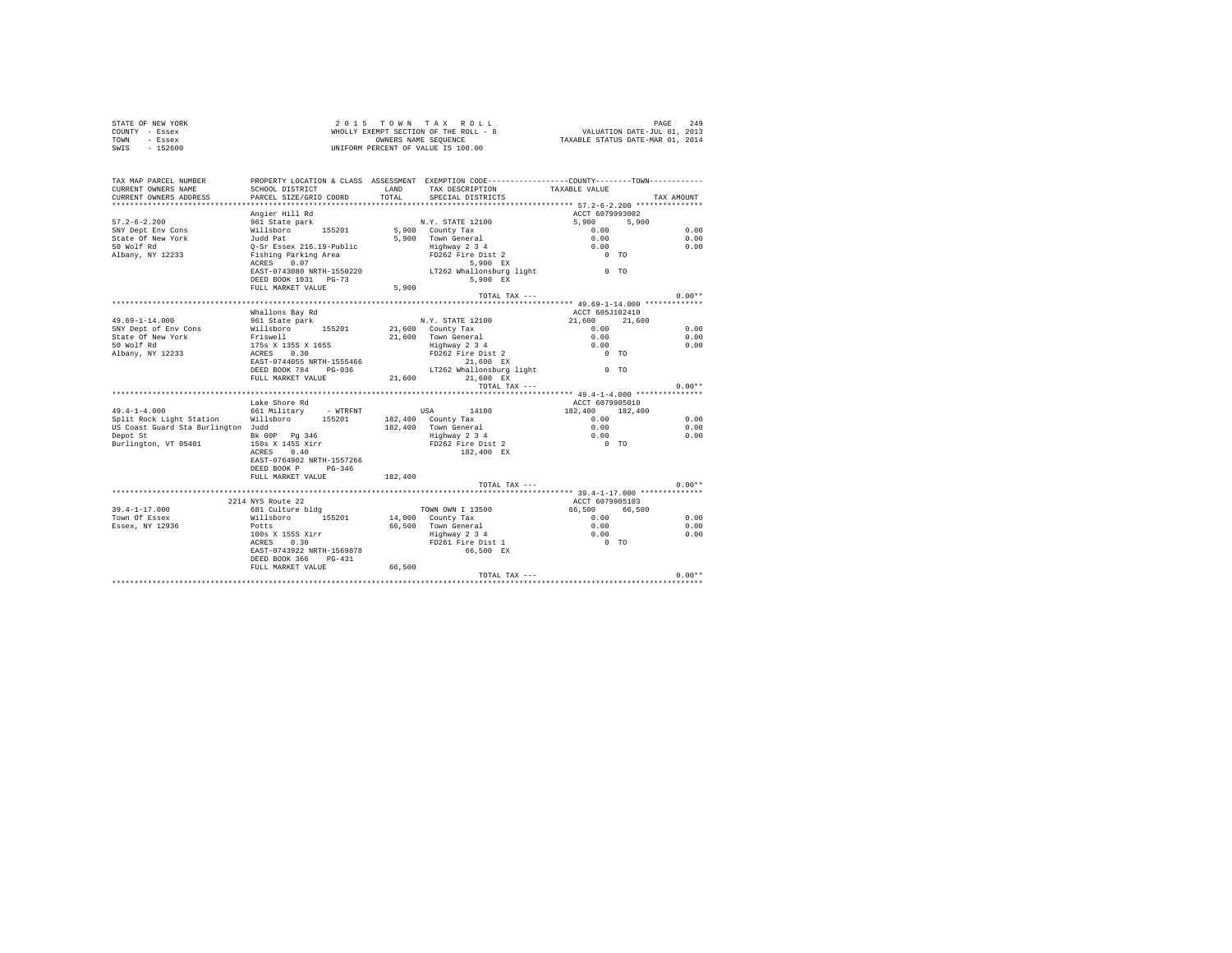| STATE OF NEW YORK                  |                                                  |         | 2015 TOWN TAX ROLL                                                                                                                                                                                                                 |                                                                             |            |          |
|------------------------------------|--------------------------------------------------|---------|------------------------------------------------------------------------------------------------------------------------------------------------------------------------------------------------------------------------------------|-----------------------------------------------------------------------------|------------|----------|
| COUNTY - Essex                     |                                                  |         | WHOLLY EXEMPT SECTION OF THE ROLL - 8<br>OWNERS NAME SEQUENCE<br>RCENT OF VALUE TO 100 100                                                                                                                                         | PAGE 249<br>VALUATION DATE-JUL 01, 2013<br>TAXABLE STATUS DATE-MAR 01, 2014 |            |          |
| - Essex<br>TOWN                    |                                                  |         |                                                                                                                                                                                                                                    |                                                                             |            |          |
| SWIS<br>$-152600$                  |                                                  |         | UNIFORM PERCENT OF VALUE IS 100.00                                                                                                                                                                                                 |                                                                             |            |          |
|                                    |                                                  |         |                                                                                                                                                                                                                                    |                                                                             |            |          |
| TAX MAP PARCEL NUMBER              |                                                  |         | PROPERTY LOCATION & CLASS ASSESSMENT EXEMPTION CODE----------------COUNTY-------TOWN---------                                                                                                                                      |                                                                             |            |          |
| CURRENT OWNERS NAME                | SCHOOL DISTRICT                                  | LAND    | TAX DESCRIPTION                                                                                                                                                                                                                    | TAXABLE VALUE                                                               |            |          |
| CURRENT OWNERS ADDRESS             | PARCEL SIZE/GRID COORD                           | TOTAL   | SPECIAL DISTRICTS                                                                                                                                                                                                                  |                                                                             | TAX AMOUNT |          |
|                                    |                                                  |         |                                                                                                                                                                                                                                    |                                                                             |            |          |
|                                    | Angier Hill Rd                                   |         |                                                                                                                                                                                                                                    | ACCT 6079993002                                                             |            |          |
| $57.2 - 6 - 2.200$                 | 961 State park                                   |         | N.Y. STATE 12100                                                                                                                                                                                                                   | 5,900                                                                       | 5,900      |          |
| SNY Dept Env Cons                  | Willsboro 155201                                 |         | 5,900 County Tax                                                                                                                                                                                                                   | 0.00                                                                        |            | 0.00     |
| State Of New York                  | Judd Pat                                         |         | 5,900 Town General                                                                                                                                                                                                                 |                                                                             |            | 0.00     |
| 50 Wolf Rd                         | Q-Sr Essex 216.19-Public<br>Fishing Parking Area |         |                                                                                                                                                                                                                                    |                                                                             |            | 0.00     |
| Albany, NY 12233                   |                                                  |         |                                                                                                                                                                                                                                    |                                                                             |            |          |
|                                    | ACRES 0.07                                       |         |                                                                                                                                                                                                                                    |                                                                             |            |          |
|                                    |                                                  |         | EAST-0743080 NRTH-1550220 LT262 Whallonsburg light 0 TO                                                                                                                                                                            |                                                                             |            |          |
|                                    | DEED BOOK 1031 PG-73                             |         | 5,900 EX                                                                                                                                                                                                                           |                                                                             |            |          |
|                                    | FULL MARKET VALUE                                | 5,900   |                                                                                                                                                                                                                                    |                                                                             |            |          |
|                                    |                                                  |         | TOTAL TAX ---                                                                                                                                                                                                                      |                                                                             |            | $0.00**$ |
|                                    |                                                  |         |                                                                                                                                                                                                                                    |                                                                             |            |          |
|                                    | Whallons Bay Rd                                  |         |                                                                                                                                                                                                                                    | ACCT 605J102410                                                             |            |          |
| 49.69-1-14.000                     | 961 State park                                   |         | N.Y. STATE 12100                                                                                                                                                                                                                   | 21,600                                                                      | 21,600     |          |
| SNY Dept of Env Cons               | Willsboro 155201                                 |         | 21,600 County Tax                                                                                                                                                                                                                  | 0.00                                                                        |            | 0.00     |
| State Of New York                  | Friswell<br>175s x 135s x 165s<br>ACRES 0.30     |         | 21,600 Town General                                                                                                                                                                                                                | 0.00                                                                        |            | 0.00     |
| 50 Wolf Rd                         |                                                  |         |                                                                                                                                                                                                                                    |                                                                             |            | 0.00     |
| Albany, NY 12233                   |                                                  |         | 10000 10000 10000 10000 10000 10000 10000 10000 10000 10000 10000 10000 10000 10000 10000 10000 10000 100<br>10000 10000 10000 10000 10000 10000 10000 10000 10000 10000 10000 10000 10000 10000 10000 10000 10000 10000 1<br>1000 |                                                                             |            |          |
|                                    | EAST-0744055 NRTH-1555466                        |         |                                                                                                                                                                                                                                    |                                                                             |            |          |
|                                    | DEED BOOK 784 PG-036                             |         | LT262 Whallonsburg light $0$ TO                                                                                                                                                                                                    |                                                                             |            |          |
|                                    | FULL MARKET VALUE                                | 21,600  | 21,600 EX                                                                                                                                                                                                                          |                                                                             |            |          |
|                                    |                                                  |         | TOTAL TAX ---                                                                                                                                                                                                                      |                                                                             |            | $0.00**$ |
|                                    |                                                  |         |                                                                                                                                                                                                                                    |                                                                             |            |          |
|                                    | Lake Shore Rd                                    |         |                                                                                                                                                                                                                                    | ACCT 6079905010                                                             |            |          |
| $49.4 - 1 - 4.000$                 | 661 Military - WTRFNT USA 14100                  |         |                                                                                                                                                                                                                                    | 182,400                                                                     | 182,400    |          |
| Split Rock Light Station           | Willsboro<br>155201                              |         | 182.400 County Tax                                                                                                                                                                                                                 | 0.00                                                                        |            | 0.00     |
| US Coast Guard Sta Burlington Judd |                                                  |         |                                                                                                                                                                                                                                    | 0.00                                                                        |            | 0.00     |
| Depot St                           | Bk 00P Pg 346                                    |         |                                                                                                                                                                                                                                    | 0.00                                                                        |            | 0.00     |
| Burlington, VT 05401               | 150s X 145S Xirr                                 |         | 182,400 Town General<br>Highway 2 3 4<br>FD262 Fire Dist 2                                                                                                                                                                         | $0$ TO                                                                      |            |          |
|                                    | ACRES<br>0.40                                    |         | 182,400 EX                                                                                                                                                                                                                         |                                                                             |            |          |
|                                    | EAST-0764902 NRTH-1557266                        |         |                                                                                                                                                                                                                                    |                                                                             |            |          |
|                                    | DEED BOOK P PG-346                               |         |                                                                                                                                                                                                                                    |                                                                             |            |          |
|                                    | FULL MARKET VALUE                                | 182,400 |                                                                                                                                                                                                                                    |                                                                             |            |          |
|                                    |                                                  |         | TOTAL TAX ---                                                                                                                                                                                                                      |                                                                             |            | $0.00**$ |
|                                    |                                                  |         |                                                                                                                                                                                                                                    |                                                                             |            |          |
|                                    | 2214 NYS Route 22                                |         |                                                                                                                                                                                                                                    | ACCT 6079905103                                                             |            |          |
| $39.4 - 1 - 17.000$                | 681 Culture bldg                                 |         | TOWN OWN I 13500                                                                                                                                                                                                                   | 66,500                                                                      | 66,500     |          |
| Town Of Essex                      | Willsboro 155201                                 |         | 14,000 County Tax                                                                                                                                                                                                                  | 0.00                                                                        |            | 0.00     |
| Essex, NY 12936                    | Potts                                            |         | 14,000 Country 14,000<br>66,500 Town General<br>Highway 2 3 4 0.00<br>FD261 Fire Dist 1 0 TO<br>66,500 EX                                                                                                                          |                                                                             |            | 0.00     |
|                                    | 100s X 155S Xirr                                 |         |                                                                                                                                                                                                                                    |                                                                             |            | 0.00     |
|                                    | ACRES 0.30                                       |         |                                                                                                                                                                                                                                    |                                                                             |            |          |
|                                    | EAST-0743922 NRTH-1569878                        |         |                                                                                                                                                                                                                                    |                                                                             |            |          |
|                                    | DEED BOOK 366 PG-431                             |         |                                                                                                                                                                                                                                    |                                                                             |            |          |
|                                    | FULL MARKET VALUE                                | 66,500  |                                                                                                                                                                                                                                    |                                                                             |            |          |
|                                    |                                                  |         | TOTAL TAX ---                                                                                                                                                                                                                      |                                                                             |            | $0.00**$ |
|                                    |                                                  |         |                                                                                                                                                                                                                                    |                                                                             |            |          |
|                                    |                                                  |         |                                                                                                                                                                                                                                    |                                                                             |            |          |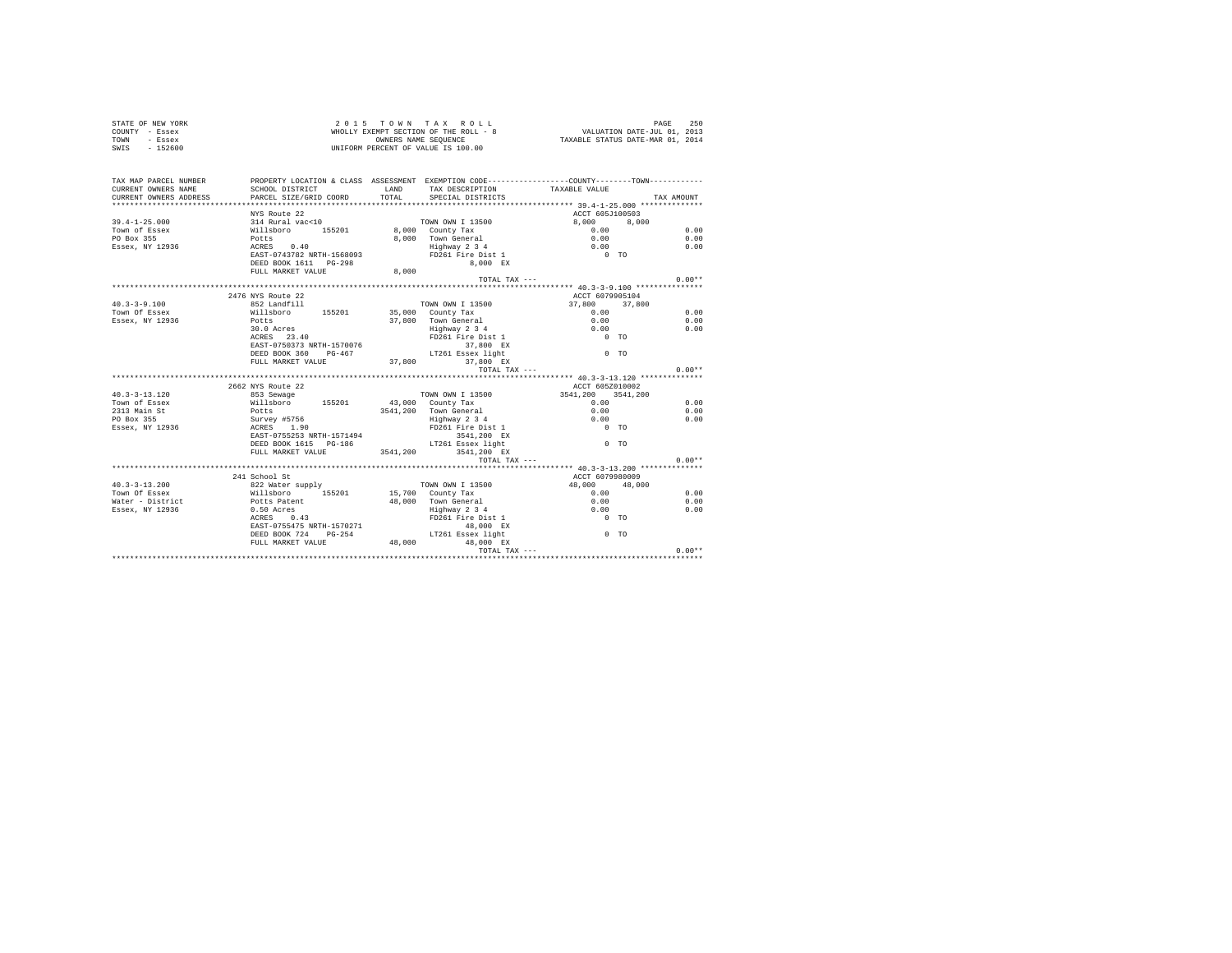|      | STATE OF NEW YORK | $2.0.15$ TOWN TAX ROLL                | 250<br>PAGE                      |
|------|-------------------|---------------------------------------|----------------------------------|
|      | COUNTY - Essex    | WHOLLY EXEMPT SECTION OF THE ROLL - 8 | VALUATION DATE-JUL 01, 2013      |
| TOWN | - Essex           | OWNERS NAME SEOUENCE                  | TAXABLE STATUS DATE-MAR 01, 2014 |
| SWIS | $-152600$         | UNIFORM PERCENT OF VALUE IS 100.00    |                                  |

| TAX MAP PARCEL NUMBER                                                                                                                                                                                                                        | PROPERTY LOCATION & CLASS ASSESSMENT EXEMPTION CODE----------------COUNTY--------TOWN----------                                                                 |       |                                      |                               |            |
|----------------------------------------------------------------------------------------------------------------------------------------------------------------------------------------------------------------------------------------------|-----------------------------------------------------------------------------------------------------------------------------------------------------------------|-------|--------------------------------------|-------------------------------|------------|
| CURRENT OWNERS NAME                                                                                                                                                                                                                          | SCHOOL DISTRICT                                                                                                                                                 | LAND  |                                      |                               |            |
| CURRENT OWNERS ADDRESS PARCEL SIZE/GRID COORD                                                                                                                                                                                                |                                                                                                                                                                 | TOTAL | SPECIAL DISTRICTS                    | TAX DESCRIPTION TAXABLE VALUE | TAX AMOUNT |
|                                                                                                                                                                                                                                              |                                                                                                                                                                 |       |                                      |                               |            |
|                                                                                                                                                                                                                                              | NYS Route 22                                                                                                                                                    |       |                                      | ACCT 605J100503               |            |
| 19.4-1-25.000 1314 Rural Vac-Cl0 155201 19.000 10000 1205889<br>Town of Easex (1992) 15201 8,000 2001 2001 13500<br>PO Box 355<br>PO Box 355<br>PO Box 355<br>PO Box 355<br>PO ACRES 0.40 8,000 Town General 0.00<br>Essex, NY 12936 ACRES 0 |                                                                                                                                                                 |       |                                      | TOWN OWN I 13500 8,000 8,000  |            |
|                                                                                                                                                                                                                                              |                                                                                                                                                                 |       |                                      |                               | 0.00       |
|                                                                                                                                                                                                                                              |                                                                                                                                                                 |       |                                      |                               | 0.00       |
|                                                                                                                                                                                                                                              |                                                                                                                                                                 |       |                                      |                               | 0.00       |
|                                                                                                                                                                                                                                              |                                                                                                                                                                 |       |                                      |                               |            |
|                                                                                                                                                                                                                                              |                                                                                                                                                                 |       | 8,000 EX                             |                               |            |
|                                                                                                                                                                                                                                              | DEED BOOK 1611 PG-298<br>FULL MARKET VALUE 8,000                                                                                                                |       |                                      |                               |            |
|                                                                                                                                                                                                                                              |                                                                                                                                                                 |       |                                      | TOTAL TAX $---$               | $0.00**$   |
|                                                                                                                                                                                                                                              |                                                                                                                                                                 |       |                                      |                               |            |
|                                                                                                                                                                                                                                              | 2476 NYS Route 22                                                                                                                                               |       |                                      | ACCT 6079905104               |            |
| $40.3 - 3 - 9.100$                                                                                                                                                                                                                           | 852 Landfill                                                                                                                                                    |       | TOWN OWN I 13500                     | 37,800 37,800                 |            |
| Town Of Essex                                                                                                                                                                                                                                | Willsboro 155201 35,000 County Tax                                                                                                                              |       |                                      | 0.00                          | 0.00       |
| Essex, NY 12936                                                                                                                                                                                                                              | Potts                                                                                                                                                           |       | 37,800 Town General                  | 0.00                          | 0.00       |
|                                                                                                                                                                                                                                              | 30.0 Acres                                                                                                                                                      |       | Highway 2 3 4<br>FD261 Fire Dist 1   | $0.00$ TO                     | 0.00       |
|                                                                                                                                                                                                                                              | ACRES 23.40                                                                                                                                                     |       |                                      |                               |            |
|                                                                                                                                                                                                                                              | EAST-0750373 NRTH-1570076                                                                                                                                       |       | $37,800$ EX                          |                               |            |
|                                                                                                                                                                                                                                              | DEED BOOK 360 PG-467 LT261 Essex light                                                                                                                          |       |                                      | $0$ TO                        |            |
|                                                                                                                                                                                                                                              | FULL MARKET VALUE 37,800 37,800 EX                                                                                                                              |       |                                      |                               |            |
|                                                                                                                                                                                                                                              |                                                                                                                                                                 |       | TOTAL TAX ---                        |                               | $0.00**$   |
|                                                                                                                                                                                                                                              |                                                                                                                                                                 |       |                                      |                               |            |
|                                                                                                                                                                                                                                              | 2662 NYS Route 22                                                                                                                                               |       |                                      | ACCT 605Z010002               |            |
| $40.3 - 3 - 13.120$                                                                                                                                                                                                                          | 853 Sewage 3541,200 COWN OWN I 13500 3541,200 3541,200                                                                                                          |       |                                      |                               |            |
| Town of Essex                                                                                                                                                                                                                                | willaboro 155201 43,000 County Tax<br>Potts 3541,200 Town General<br>Survey #5756 1.90 Highway 2 34<br>ACRES 1.90 Highway 2 4                                   |       |                                      | 0.00                          | 0.00       |
| 2313 Main St                                                                                                                                                                                                                                 |                                                                                                                                                                 |       | 3541,200 Town General                | 0.00                          | 0.00       |
| PO Box 355                                                                                                                                                                                                                                   |                                                                                                                                                                 |       | Highway 2 3 4<br>FD261 Fire Dist 1   | 0.00                          | 0.00       |
| Essex, NY 12936                                                                                                                                                                                                                              |                                                                                                                                                                 |       |                                      | $0$ TO                        |            |
|                                                                                                                                                                                                                                              | EAST-0755253 NRTH-1571494                                                                                                                                       |       | 3541,200 EX                          |                               |            |
|                                                                                                                                                                                                                                              | DEED BOOK 1615 PG-186 LT261 Essex light<br>FULL MARKET VALUE 3541,200 3541,200 EX                                                                               |       | $LT261$ Essex light                  | $0$ TO                        |            |
|                                                                                                                                                                                                                                              |                                                                                                                                                                 |       |                                      |                               |            |
|                                                                                                                                                                                                                                              |                                                                                                                                                                 |       |                                      | TOTAL TAX ---                 | $0.00**$   |
|                                                                                                                                                                                                                                              |                                                                                                                                                                 |       |                                      |                               |            |
|                                                                                                                                                                                                                                              | 241 School St                                                                                                                                                   |       |                                      | ACCT 6079980009               |            |
| $40.3 - 3 - 13.200$                                                                                                                                                                                                                          | 822 Water supply                                                                                                                                                |       | TOWN OWN I 13500                     | 48,000 48,000                 |            |
| Town Of Essex                                                                                                                                                                                                                                | Willsboro 155201 15,700 County Tax                                                                                                                              |       |                                      | 0.00                          | 0.00       |
|                                                                                                                                                                                                                                              |                                                                                                                                                                 |       |                                      | $0.00$<br>$0.00$              | 0.00       |
|                                                                                                                                                                                                                                              |                                                                                                                                                                 |       | 48,000 Town General<br>Highway 2 3 4 |                               | 0.00       |
|                                                                                                                                                                                                                                              | ACRES 0.43                                                                                                                                                      |       | FD261 Fire Dist 1                    | $0$ TO                        |            |
|                                                                                                                                                                                                                                              | EAST-0755475 NRTH-1570271                                                                                                                                       |       | 48,000 EX                            |                               |            |
|                                                                                                                                                                                                                                              | DEED BOOK 724 PG-254                                                                                                                                            |       | LT261 Essex light                    | $0$ TO                        |            |
|                                                                                                                                                                                                                                              | ${\tt FULL \  \  \, MARKET \  \  \, VALUE} \qquad \qquad {\tt 48,000}$                                                                                          |       |                                      |                               |            |
|                                                                                                                                                                                                                                              | 0.00% FULL MARKET VALUE 48,000 48,000 49,000<br>++0.00+ 0.00+ 0.00+ 0.00+ 0.00+ 0.00+ 0.00+ 0.00+ 0.00+ 0.00+ 0.00+ 0.00+ 0.00+ 0.00+ 0.00+ 0.00+ 0.00+ 0.00+ 0 |       |                                      |                               |            |
|                                                                                                                                                                                                                                              |                                                                                                                                                                 |       |                                      |                               |            |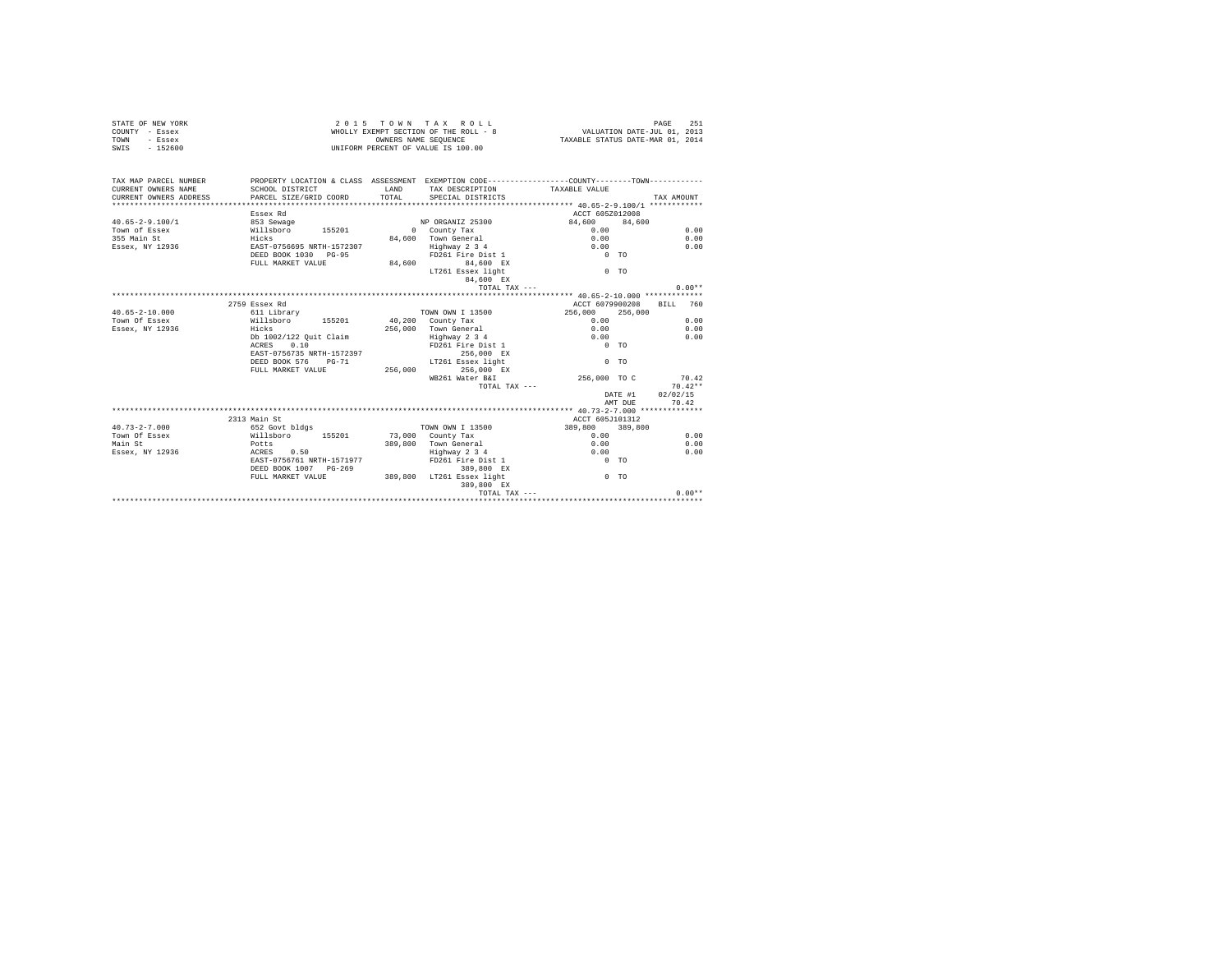|                | STATE OF NEW YORK |  |  | 2015 TOWN TAX ROLL                    |  |  |  | 251<br>PAGE                      |
|----------------|-------------------|--|--|---------------------------------------|--|--|--|----------------------------------|
| COUNTY - Essex |                   |  |  | WHOLLY EXEMPT SECTION OF THE ROLL - 8 |  |  |  | VALUATION DATE-JUL 01, 2013      |
| TOWN           | - Essex           |  |  | OWNERS NAME SEOUENCE                  |  |  |  | TAXABLE STATUS DATE-MAR 01, 2014 |
| SWIS           | - 152600          |  |  | UNIFORM PERCENT OF VALUE IS 100.00    |  |  |  |                                  |

| TAX MAP PARCEL NUMBER<br>CURRENT OWNERS NAME | PROPERTY LOCATION & CLASS ASSESSMENT EXEMPTION CODE---------------COUNTY-------TOWN----------<br>SCHOOL DISTRICT<br>CURRENT OWNERS ADDRESS PARCEL SIZE/GRID COORD | <b>T.AND</b> | TAX DESCRIPTION TAXABLE VALUE<br>TOTAL SPECIAL DISTRICTS |                                  | TAX AMOUNT |
|----------------------------------------------|-------------------------------------------------------------------------------------------------------------------------------------------------------------------|--------------|----------------------------------------------------------|----------------------------------|------------|
| $40.65 - 2 - 9.100/1$                        | Essex Rd<br>853 Sewage                                                                                                                                            |              | NP ORGANIZ 25300                                         | ACCT 605Z012008<br>84,600 84,600 |            |
| Town of Essex                                | Willsboro 155201                                                                                                                                                  |              | 0 County Tax                                             | 0.00                             | 0.00       |
| 355 Main St                                  | Hicks                                                                                                                                                             |              | 84.600 Town General                                      | 0.00                             | 0.00       |
|                                              | Essex, NY 12936 695 EAST-0756695 NRTH-1572307                                                                                                                     |              | Highway 2 3 4                                            | 0.00                             | 0.00       |
|                                              | DEED BOOK 1030 PG-95                                                                                                                                              |              | FD261 Fire Dist 1                                        | $0$ TO                           |            |
|                                              | FULL MARKET VALUE 84,600 84,600 EX                                                                                                                                |              |                                                          |                                  |            |
|                                              |                                                                                                                                                                   |              | LT261 Essex light                                        | $0$ TO                           |            |
|                                              |                                                                                                                                                                   |              | 84.600 EX                                                |                                  |            |
|                                              |                                                                                                                                                                   |              | TOTAL TAX ---                                            |                                  | $0.00**$   |
|                                              |                                                                                                                                                                   |              |                                                          |                                  |            |
|                                              | 2759 Essex Rd                                                                                                                                                     |              |                                                          | ACCT 6079900208                  | BILL 760   |
| $40.65 - 2 - 10.000$                         | 611 Library                                                                                                                                                       |              | TOWN OWN I 13500                                         | 256,000 256,000                  |            |
| Town Of Essex                                | Willsboro 155201 40,200 County Tax                                                                                                                                |              |                                                          | 0.00                             | 0.00       |
| Essex, NY 12936                              | Hicks                                                                                                                                                             |              | 256,000 Town General                                     | 0.00                             | 0.00       |
|                                              | Db 1002/122 Quit Claim                                                                                                                                            |              | Highway 2 3 4                                            | 0.00                             | 0.00       |
|                                              | ACRES 0.10                                                                                                                                                        |              | FD261 Fire Dist 1                                        | $0$ TO                           |            |
|                                              | EAST-0756735 NRTH-1572397                                                                                                                                         |              | 256,000 EX                                               |                                  |            |
|                                              | DEED BOOK 576 PG-71                                                                                                                                               |              | LT261 Essex light                                        | $0$ TO                           |            |
|                                              | FULL MARKET VALUE 256,000                                                                                                                                         |              | 256,000 EX                                               |                                  |            |
|                                              |                                                                                                                                                                   |              | WB261 Water B&I                                          | 256,000 TO C                     | 70.42      |
|                                              |                                                                                                                                                                   |              | TOTAL TAX ---                                            |                                  | $70.42**$  |
|                                              |                                                                                                                                                                   |              |                                                          | DATE #1                          | 02/02/15   |
|                                              |                                                                                                                                                                   |              |                                                          | AMT DUE                          | 70.42      |
|                                              |                                                                                                                                                                   |              |                                                          |                                  |            |
|                                              | 2313 Main St                                                                                                                                                      |              |                                                          | ACCT 605J101312                  |            |
| $40.73 - 2 - 7.000$                          | 652 Govt bldgs                                                                                                                                                    |              | TOWN OWN I 13500                                         | 389,800 389,800                  |            |
| Town Of Essex                                | Willsboro 155201                                                                                                                                                  |              | 73,000 County Tax                                        | 0.00                             | 0.00       |
| Main St                                      | Potts                                                                                                                                                             |              | 389,800 Town General                                     | 0.00                             | 0.00       |
| Essex, NY 12936                              | $ACRES$ 0.50                                                                                                                                                      |              | Highway 2 3 4                                            | 0.00                             | 0.00       |
|                                              | EAST-0756761 NRTH-1571977                                                                                                                                         |              | FD261 Fire Dist 1                                        | $0$ TO                           |            |
|                                              | DEED BOOK 1007 PG-269                                                                                                                                             |              | 389,800 EX                                               |                                  |            |
|                                              | FULL MARKET VALUE                                                                                                                                                 |              | 389,800 LT261 Essex light                                | $0$ TO                           |            |
|                                              |                                                                                                                                                                   |              | 389,800 EX                                               |                                  |            |
|                                              |                                                                                                                                                                   |              |                                                          |                                  |            |
|                                              |                                                                                                                                                                   |              |                                                          |                                  |            |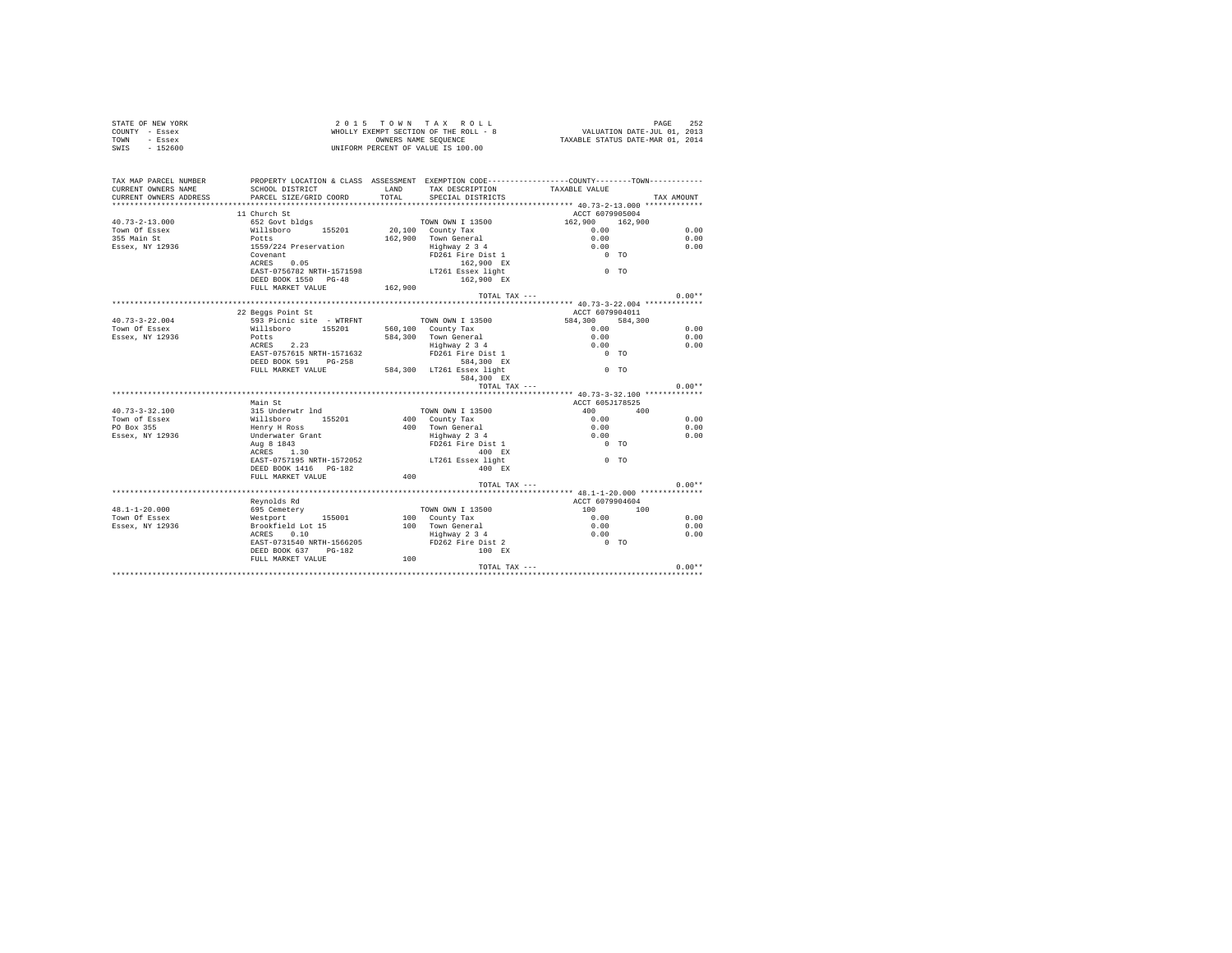| COUNTY - Essex<br>TOWN<br>- Essex<br>SWIS<br>$-152600$                 |                                                                                                                                            | VALUATION DATE-JUL 01, 2013<br>TAXABLE STATUS DATE-MAR 01, 2014<br>WHOLLY EXEMPT SECTION OF THE ROLL - 8<br>OWNERS NAME SEQUENCE<br>UNIFORM PERCENT OF VALUE IS 100.00 |                                      |                                                                    |     |            |
|------------------------------------------------------------------------|--------------------------------------------------------------------------------------------------------------------------------------------|------------------------------------------------------------------------------------------------------------------------------------------------------------------------|--------------------------------------|--------------------------------------------------------------------|-----|------------|
| TAX MAP PARCEL NUMBER<br>CURRENT OWNERS NAME<br>CURRENT OWNERS ADDRESS | PROPERTY LOCATION & CLASS ASSESSMENT EXEMPTION CODE---------------COUNTY-------TOWN----------<br>SCHOOL DISTRICT<br>PARCEL SIZE/GRID COORD | LAND<br>TOTAL                                                                                                                                                          | TAX DESCRIPTION<br>SPECIAL DISTRICTS | TAXABLE VALUE<br>******************** 40.73-2-13.000 ************* |     | TAX AMOUNT |
|                                                                        | 11 Church St                                                                                                                               |                                                                                                                                                                        |                                      | ACCT 6079905004                                                    |     |            |
| $40.73 - 2 - 13.000$                                                   | 652 Govt bldgs                                                                                                                             |                                                                                                                                                                        | TOWN OWN I 13500                     | 162,900 162,900                                                    |     |            |
| Town Of Essex                                                          | Willsboro 155201                                                                                                                           |                                                                                                                                                                        | 20,100 County Tax                    | 0.00                                                               |     | 0.00       |
| 355 Main St                                                            | Potts                                                                                                                                      |                                                                                                                                                                        | 162.900 Town General                 | 0.00                                                               |     | 0.00       |
| Essex, NY 12936                                                        | 1559/224 Preservation                                                                                                                      |                                                                                                                                                                        | Highway 2 3 4                        | 0.00                                                               |     | 0.00       |
|                                                                        | Covenant                                                                                                                                   |                                                                                                                                                                        | FD261 Fire Dist 1                    | $0$ TO                                                             |     |            |
|                                                                        | ACRES 0.05                                                                                                                                 |                                                                                                                                                                        | 162,900 EX                           |                                                                    |     |            |
|                                                                        | EAST-0756782 NRTH-1571598                                                                                                                  |                                                                                                                                                                        | LT261 Essex light                    | $0$ TO                                                             |     |            |
|                                                                        | DEED BOOK 1550 PG-48                                                                                                                       |                                                                                                                                                                        | 162,900 EX                           |                                                                    |     |            |
|                                                                        | FULL MARKET VALUE                                                                                                                          | 162,900                                                                                                                                                                |                                      |                                                                    |     |            |
|                                                                        |                                                                                                                                            |                                                                                                                                                                        | TOTAL TAX ---                        |                                                                    |     | $0.00**$   |
|                                                                        |                                                                                                                                            |                                                                                                                                                                        |                                      |                                                                    |     |            |
| $40.73 - 3 - 22.004$                                                   | 22 Beggs Point St<br>593 Picnic site - WTRFNT                                                                                              |                                                                                                                                                                        | TOWN OWN I 13500                     | ACCT 6079904011<br>584,300 584,300                                 |     |            |
| Town Of Essex                                                          | Willsboro 155201                                                                                                                           |                                                                                                                                                                        | 560,100 County Tax                   | 0.00                                                               |     | 0.00       |
| Essex, NY 12936                                                        | Potts                                                                                                                                      |                                                                                                                                                                        | 584,300 Town General                 | 0.00                                                               |     | 0.00       |
|                                                                        | ACRES 2.23                                                                                                                                 |                                                                                                                                                                        | Highway 2 3 4                        | 0.00                                                               |     | 0.00       |
|                                                                        | EAST-0757615 NRTH-1571632                                                                                                                  |                                                                                                                                                                        | FD261 Fire Dist 1                    | $0$ TO                                                             |     |            |
|                                                                        | DEED BOOK 591 PG-258                                                                                                                       |                                                                                                                                                                        | 584,300 EX                           |                                                                    |     |            |
|                                                                        | FULL MARKET VALUE                                                                                                                          |                                                                                                                                                                        | 584,300 LT261 Essex light            | $0$ TO                                                             |     |            |
|                                                                        |                                                                                                                                            |                                                                                                                                                                        | 584,300 EX                           |                                                                    |     |            |
|                                                                        |                                                                                                                                            |                                                                                                                                                                        | TOTAL TAX ---                        |                                                                    |     | $0.00**$   |
|                                                                        |                                                                                                                                            |                                                                                                                                                                        |                                      |                                                                    |     |            |
|                                                                        | Main St                                                                                                                                    |                                                                                                                                                                        |                                      | ACCT 605J178525                                                    |     |            |
| $40.73 - 3 - 32.100$                                                   | 315 Underwtr 1nd                                                                                                                           |                                                                                                                                                                        | TOWN OWN I 13500                     | 400 400                                                            |     |            |
| Town of Essex                                                          | Willsboro<br>155201                                                                                                                        |                                                                                                                                                                        | 400 County Tax                       | 0.00                                                               |     | 0.00       |
| PO Box 355                                                             | Henry H Ross                                                                                                                               |                                                                                                                                                                        | 400 Town General                     | 0.00                                                               |     | 0.00       |
| Essex, NY 12936                                                        | Underwater Grant                                                                                                                           |                                                                                                                                                                        | Highway 2 3 4                        | 0.00                                                               |     | 0.00       |
|                                                                        | Aug 8 1843                                                                                                                                 |                                                                                                                                                                        | FD261 Fire Dist 1                    | $0$ TO                                                             |     |            |
|                                                                        | ACRES 1.30                                                                                                                                 |                                                                                                                                                                        | 400 EX                               |                                                                    |     |            |
|                                                                        | EAST-0757195 NRTH-1572052                                                                                                                  |                                                                                                                                                                        | LT261 Essex light                    | $0$ TO                                                             |     |            |
|                                                                        | DEED BOOK 1416    PG-182                                                                                                                   |                                                                                                                                                                        | 400 RX                               |                                                                    |     |            |
|                                                                        | FULL MARKET VALUE                                                                                                                          | 400                                                                                                                                                                    |                                      |                                                                    |     |            |
|                                                                        |                                                                                                                                            |                                                                                                                                                                        | TOTAL TAX $---$                      |                                                                    |     | $0.00**$   |
|                                                                        | Reynolds Rd                                                                                                                                |                                                                                                                                                                        |                                      | ACCT 6079904604                                                    |     |            |
| $48.1 - 1 - 20.000$                                                    | 695 Cemetery                                                                                                                               |                                                                                                                                                                        | TOWN OWN I 13500                     | 100 000                                                            | 100 |            |
| Town Of Essex                                                          | Westport 155001                                                                                                                            |                                                                                                                                                                        | 100 County Tax                       | 0.00                                                               |     | 0.00       |
| Essex, NY 12936                                                        | Brookfield Lot 15                                                                                                                          |                                                                                                                                                                        | 100 Town General                     | 0.00                                                               |     | 0.00       |
|                                                                        | ACRES 0.10                                                                                                                                 |                                                                                                                                                                        | Town General<br>Highway 2 3 4        | 0.00                                                               |     | 0.00       |
|                                                                        | EAST-0731540 NRTH-1566205                                                                                                                  |                                                                                                                                                                        | FD262 Fire Dist 2                    | $0$ TO                                                             |     |            |
|                                                                        | DEED BOOK 637 PG-182                                                                                                                       |                                                                                                                                                                        | 100 RX                               |                                                                    |     |            |
|                                                                        | FULL MARKET VALUE                                                                                                                          | 100                                                                                                                                                                    |                                      |                                                                    |     |            |
|                                                                        |                                                                                                                                            |                                                                                                                                                                        | TOTAL TAX ---                        |                                                                    |     | $0.00**$   |
|                                                                        |                                                                                                                                            |                                                                                                                                                                        |                                      |                                                                    |     |            |

STATE OF NEW YORK 252 2015 TOWN TAX ROLL CHARGE 252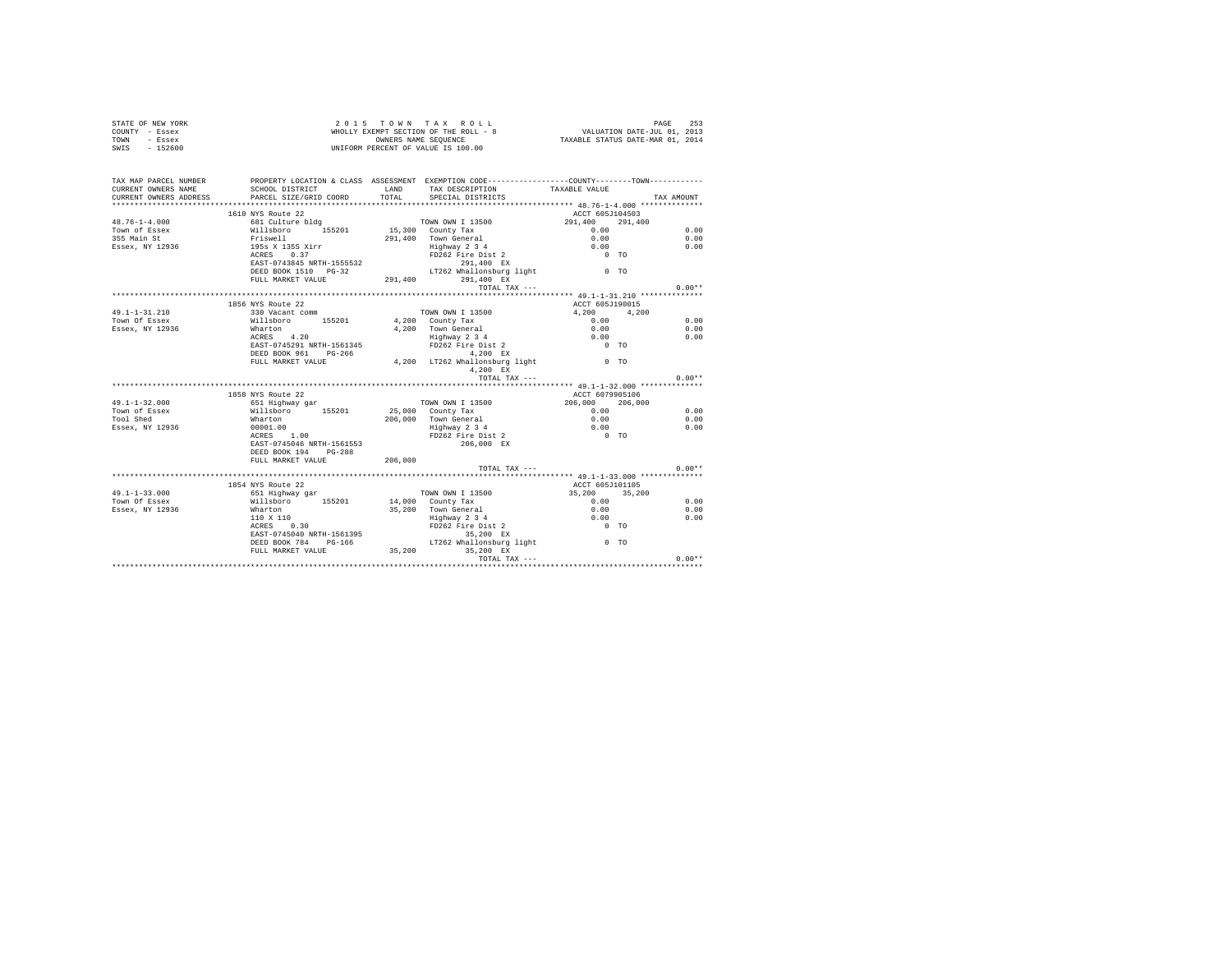| STATE OF NEW YORK                                                                                                                                                                                                                                                                                                                                                                                                |                                                                                                                                                                                                                                                                                                                                                                                                                                                                  |         |                                                    |                 |            |
|------------------------------------------------------------------------------------------------------------------------------------------------------------------------------------------------------------------------------------------------------------------------------------------------------------------------------------------------------------------------------------------------------------------|------------------------------------------------------------------------------------------------------------------------------------------------------------------------------------------------------------------------------------------------------------------------------------------------------------------------------------------------------------------------------------------------------------------------------------------------------------------|---------|----------------------------------------------------|-----------------|------------|
| COUNTY - Essex                                                                                                                                                                                                                                                                                                                                                                                                   |                                                                                                                                                                                                                                                                                                                                                                                                                                                                  |         |                                                    |                 |            |
| TOWN - Essex                                                                                                                                                                                                                                                                                                                                                                                                     |                                                                                                                                                                                                                                                                                                                                                                                                                                                                  |         |                                                    |                 |            |
| SWIS - 152600                                                                                                                                                                                                                                                                                                                                                                                                    | 2015 TOWN TAX ROLL<br>WHOLLY EXEMPT SECTION OF THE ROLL - 8<br>WHOLLY EXEMPT SECTION OF THE ROLL - 8<br>UNIFORM PERCENT OF VALUE IS 100.00<br>WIFORM PERCENT OF VALUE IS 100.00                                                                                                                                                                                                                                                                                  |         |                                                    |                 |            |
|                                                                                                                                                                                                                                                                                                                                                                                                                  |                                                                                                                                                                                                                                                                                                                                                                                                                                                                  |         |                                                    |                 |            |
|                                                                                                                                                                                                                                                                                                                                                                                                                  |                                                                                                                                                                                                                                                                                                                                                                                                                                                                  |         |                                                    |                 |            |
| TAX MAP PARCEL NUMBER                                                                                                                                                                                                                                                                                                                                                                                            | PROPERTY LOCATION & CLASS ASSESSMENT EXEMPTION CODE----------------COUNTY-------TOWN----------                                                                                                                                                                                                                                                                                                                                                                   |         |                                                    |                 |            |
| CURRENT OWNERS NAME                                                                                                                                                                                                                                                                                                                                                                                              |                                                                                                                                                                                                                                                                                                                                                                                                                                                                  |         | SCHOOL DISTRICT LAND TAX DESCRIPTION TAXABLE VALUE |                 |            |
| CURRENT OWNERS ADDRESS                                                                                                                                                                                                                                                                                                                                                                                           | PARCEL SIZE/GRID COORD                                                                                                                                                                                                                                                                                                                                                                                                                                           |         | TOTAL SPECIAL DISTRICTS                            |                 | TAX AMOUNT |
|                                                                                                                                                                                                                                                                                                                                                                                                                  |                                                                                                                                                                                                                                                                                                                                                                                                                                                                  |         |                                                    |                 |            |
| $\begin{tabular}{l c c c c c} \multicolumn{1}{c}{\textbf{48.76--1-4.000}} & \multicolumn{1}{c}{1610 NYS Route 22} & \multicolumn{1}{c}{\textbf{70WN ON N I 13500}} & \multicolumn{1}{c}{\textbf{ACTE} & \textbf{291,400}} \\ \multicolumn{1}{c}{\textbf{70WN of } Eseex} & \multicolumn{1}{c}{\textbf{681 Culture b} \\ \multicolumn{1}{c}{\textbf{70WN ON N I 13500}} & \multicolumn{1}{c}{\textbf{70WN ON N I$ | 1610 NYS Route 22                                                                                                                                                                                                                                                                                                                                                                                                                                                |         |                                                    | ACCT 605J104503 |            |
|                                                                                                                                                                                                                                                                                                                                                                                                                  |                                                                                                                                                                                                                                                                                                                                                                                                                                                                  |         |                                                    |                 |            |
|                                                                                                                                                                                                                                                                                                                                                                                                                  |                                                                                                                                                                                                                                                                                                                                                                                                                                                                  |         |                                                    |                 | 0.00       |
|                                                                                                                                                                                                                                                                                                                                                                                                                  |                                                                                                                                                                                                                                                                                                                                                                                                                                                                  |         |                                                    |                 | 0.00       |
|                                                                                                                                                                                                                                                                                                                                                                                                                  |                                                                                                                                                                                                                                                                                                                                                                                                                                                                  |         |                                                    |                 | 0.00       |
|                                                                                                                                                                                                                                                                                                                                                                                                                  |                                                                                                                                                                                                                                                                                                                                                                                                                                                                  |         |                                                    |                 |            |
|                                                                                                                                                                                                                                                                                                                                                                                                                  |                                                                                                                                                                                                                                                                                                                                                                                                                                                                  |         |                                                    |                 |            |
|                                                                                                                                                                                                                                                                                                                                                                                                                  |                                                                                                                                                                                                                                                                                                                                                                                                                                                                  |         |                                                    |                 |            |
|                                                                                                                                                                                                                                                                                                                                                                                                                  |                                                                                                                                                                                                                                                                                                                                                                                                                                                                  |         |                                                    |                 |            |
|                                                                                                                                                                                                                                                                                                                                                                                                                  |                                                                                                                                                                                                                                                                                                                                                                                                                                                                  |         | TOTAL TAX ---                                      |                 | $0.00**$   |
|                                                                                                                                                                                                                                                                                                                                                                                                                  |                                                                                                                                                                                                                                                                                                                                                                                                                                                                  |         |                                                    |                 |            |
|                                                                                                                                                                                                                                                                                                                                                                                                                  | 1856 NYS Route 22                                                                                                                                                                                                                                                                                                                                                                                                                                                |         |                                                    | ACCT 605J190015 |            |
| $49.1 - 1 - 31.210$                                                                                                                                                                                                                                                                                                                                                                                              | $330$ Vacant comm                                                                                                                                                                                                                                                                                                                                                                                                                                                |         |                                                    |                 |            |
| Town Of Essex                                                                                                                                                                                                                                                                                                                                                                                                    |                                                                                                                                                                                                                                                                                                                                                                                                                                                                  |         |                                                    |                 | 0.00       |
| Essex, NY 12936                                                                                                                                                                                                                                                                                                                                                                                                  |                                                                                                                                                                                                                                                                                                                                                                                                                                                                  |         |                                                    |                 | 0.00       |
|                                                                                                                                                                                                                                                                                                                                                                                                                  |                                                                                                                                                                                                                                                                                                                                                                                                                                                                  |         |                                                    |                 | 0.00       |
|                                                                                                                                                                                                                                                                                                                                                                                                                  |                                                                                                                                                                                                                                                                                                                                                                                                                                                                  |         |                                                    |                 |            |
|                                                                                                                                                                                                                                                                                                                                                                                                                  |                                                                                                                                                                                                                                                                                                                                                                                                                                                                  |         |                                                    |                 |            |
|                                                                                                                                                                                                                                                                                                                                                                                                                  |                                                                                                                                                                                                                                                                                                                                                                                                                                                                  |         |                                                    |                 |            |
|                                                                                                                                                                                                                                                                                                                                                                                                                  |                                                                                                                                                                                                                                                                                                                                                                                                                                                                  |         |                                                    |                 |            |
|                                                                                                                                                                                                                                                                                                                                                                                                                  |                                                                                                                                                                                                                                                                                                                                                                                                                                                                  |         | TOTAL TAX ---                                      |                 | $0.00**$   |
|                                                                                                                                                                                                                                                                                                                                                                                                                  |                                                                                                                                                                                                                                                                                                                                                                                                                                                                  |         |                                                    |                 |            |
|                                                                                                                                                                                                                                                                                                                                                                                                                  |                                                                                                                                                                                                                                                                                                                                                                                                                                                                  |         |                                                    | ACCT 6079905106 |            |
| $49.1 - 1 - 32.000$                                                                                                                                                                                                                                                                                                                                                                                              |                                                                                                                                                                                                                                                                                                                                                                                                                                                                  |         |                                                    |                 |            |
|                                                                                                                                                                                                                                                                                                                                                                                                                  |                                                                                                                                                                                                                                                                                                                                                                                                                                                                  |         |                                                    |                 | 0.00       |
| 19.1-1-7-2.000<br>Town of Essex and Millsboro 155201<br>Tool Shed Marton<br>Essex, NY 12936 00001.00<br>ACRES 1.00                                                                                                                                                                                                                                                                                               |                                                                                                                                                                                                                                                                                                                                                                                                                                                                  |         |                                                    |                 | 0.00       |
|                                                                                                                                                                                                                                                                                                                                                                                                                  |                                                                                                                                                                                                                                                                                                                                                                                                                                                                  |         |                                                    |                 | 0.00       |
|                                                                                                                                                                                                                                                                                                                                                                                                                  |                                                                                                                                                                                                                                                                                                                                                                                                                                                                  |         |                                                    |                 |            |
|                                                                                                                                                                                                                                                                                                                                                                                                                  | $\begin{tabular}{lcccc} \multicolumn{4}{c}{\textbf{A.C.F.}} & \multicolumn{4}{c}{\textbf{A.C.F.}} & \multicolumn{4}{c}{\textbf{A.C.F.}} & \multicolumn{4}{c}{\textbf{A.C.F.}} & \multicolumn{4}{c}{\textbf{A.C.F.}} & \multicolumn{4}{c}{\textbf{A.C.F.}} & \multicolumn{4}{c}{\textbf{A.C.F.}} & \multicolumn{4}{c}{\textbf{A.C.F.}} & \multicolumn{4}{c}{\textbf{A.C.F.}} & \multicolumn{4}{c}{\textbf{A.C.F.}} & \multicolumn{4}{c}{\textbf{A.C.F.}} & \mult$ |         |                                                    |                 |            |
|                                                                                                                                                                                                                                                                                                                                                                                                                  | DEED BOOK 194 PG-288                                                                                                                                                                                                                                                                                                                                                                                                                                             |         |                                                    |                 |            |
|                                                                                                                                                                                                                                                                                                                                                                                                                  | FULL MARKET VALUE                                                                                                                                                                                                                                                                                                                                                                                                                                                | 206,000 |                                                    |                 |            |
|                                                                                                                                                                                                                                                                                                                                                                                                                  |                                                                                                                                                                                                                                                                                                                                                                                                                                                                  |         | TOTAL TAX ---                                      |                 | $0.00**$   |
|                                                                                                                                                                                                                                                                                                                                                                                                                  |                                                                                                                                                                                                                                                                                                                                                                                                                                                                  |         |                                                    |                 |            |
|                                                                                                                                                                                                                                                                                                                                                                                                                  | 1854 NYS Route 22                                                                                                                                                                                                                                                                                                                                                                                                                                                |         |                                                    | ACCT 605J101105 |            |
| $49.1 - 1 - 33.000$                                                                                                                                                                                                                                                                                                                                                                                              |                                                                                                                                                                                                                                                                                                                                                                                                                                                                  |         |                                                    |                 |            |
| Town Of Essex                                                                                                                                                                                                                                                                                                                                                                                                    |                                                                                                                                                                                                                                                                                                                                                                                                                                                                  |         |                                                    |                 | 0.00       |
| Essex, NY 12936                                                                                                                                                                                                                                                                                                                                                                                                  |                                                                                                                                                                                                                                                                                                                                                                                                                                                                  |         |                                                    |                 | 0.00       |
|                                                                                                                                                                                                                                                                                                                                                                                                                  |                                                                                                                                                                                                                                                                                                                                                                                                                                                                  |         |                                                    |                 | 0.00       |
|                                                                                                                                                                                                                                                                                                                                                                                                                  |                                                                                                                                                                                                                                                                                                                                                                                                                                                                  |         |                                                    |                 |            |
|                                                                                                                                                                                                                                                                                                                                                                                                                  |                                                                                                                                                                                                                                                                                                                                                                                                                                                                  |         |                                                    |                 |            |
|                                                                                                                                                                                                                                                                                                                                                                                                                  |                                                                                                                                                                                                                                                                                                                                                                                                                                                                  |         |                                                    |                 |            |
|                                                                                                                                                                                                                                                                                                                                                                                                                  |                                                                                                                                                                                                                                                                                                                                                                                                                                                                  |         |                                                    |                 |            |
|                                                                                                                                                                                                                                                                                                                                                                                                                  |                                                                                                                                                                                                                                                                                                                                                                                                                                                                  |         |                                                    |                 | $0.00**$   |
|                                                                                                                                                                                                                                                                                                                                                                                                                  |                                                                                                                                                                                                                                                                                                                                                                                                                                                                  |         |                                                    |                 |            |
|                                                                                                                                                                                                                                                                                                                                                                                                                  |                                                                                                                                                                                                                                                                                                                                                                                                                                                                  |         |                                                    |                 |            |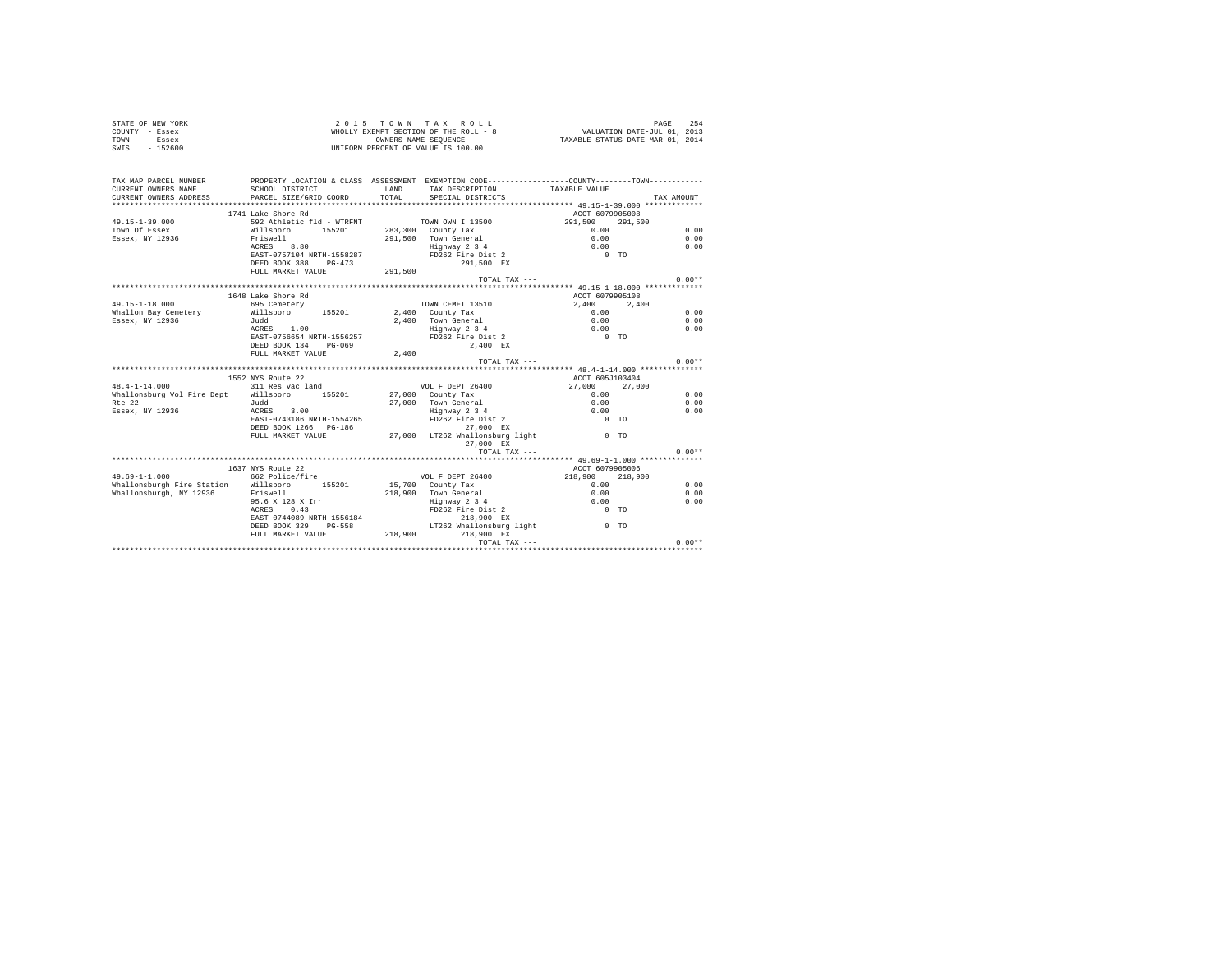| STATE OF NEW YORK<br>COUNTY - Essex<br>TOWN - Essex<br>SWIS - 152600                                                                                                                          | 2015 TOWN TAX ROLL<br>WHOLLY EXEMPT SECTION OF THE ROLL - 8<br>UNIFORM PERCENT OF VALUE IS 100.00 |       |                                                                                                                                            |                                                                          |            |          |
|-----------------------------------------------------------------------------------------------------------------------------------------------------------------------------------------------|---------------------------------------------------------------------------------------------------|-------|--------------------------------------------------------------------------------------------------------------------------------------------|--------------------------------------------------------------------------|------------|----------|
| TAX MAP PARCEL NUMBER PROPERTY LOCATION & CLASS ASSESSMENT EXEMPTION CODE---------------COUNTY--------TOWN----------<br>CURRENT OWNERS NAME                                                   | SCHOOL DISTRICT                                                                                   |       | LAND TAX DESCRIPTION                                                                                                                       |                                                                          |            |          |
| CURRENT OWNERS ADDRESS                                                                                                                                                                        | PARCEL SIZE/GRID COORD                                                                            | TOTAL | SPECIAL DISTRICTS                                                                                                                          | TAXABLE VALUE                                                            | TAX AMOUNT |          |
|                                                                                                                                                                                               |                                                                                                   |       |                                                                                                                                            |                                                                          |            |          |
|                                                                                                                                                                                               | 1741 Lake Shore Rd                                                                                |       |                                                                                                                                            | ACCT 6079905008                                                          |            |          |
| $49.15 - 1 - 39.000$                                                                                                                                                                          |                                                                                                   |       |                                                                                                                                            | 291,500 291,500                                                          |            |          |
| Town Of Essex                                                                                                                                                                                 |                                                                                                   |       |                                                                                                                                            |                                                                          |            | 0.00     |
| Essex, NY 12936                                                                                                                                                                               |                                                                                                   |       | 291,500 Town General                                                                                                                       | $0.00$<br>$0.00$<br>$0.00$<br>$0.00$<br>TO                               |            | 0.00     |
|                                                                                                                                                                                               |                                                                                                   |       |                                                                                                                                            |                                                                          |            | 0.00     |
|                                                                                                                                                                                               |                                                                                                   |       |                                                                                                                                            |                                                                          |            |          |
|                                                                                                                                                                                               | FULL MARKET VALUE 291,500                                                                         |       |                                                                                                                                            |                                                                          |            |          |
|                                                                                                                                                                                               |                                                                                                   |       | TOTAL TAX ---                                                                                                                              |                                                                          |            | $0.00**$ |
|                                                                                                                                                                                               |                                                                                                   |       |                                                                                                                                            |                                                                          |            |          |
|                                                                                                                                                                                               | 1648 Lake Shore Rd                                                                                |       |                                                                                                                                            | ACCT 6079905108                                                          |            |          |
| 49.15-1-18.000                                                                                                                                                                                | 695 Cemetery                                                                                      |       | TOWN CEMET 13510                                                                                                                           | 2,400 2,400                                                              |            |          |
| Whallon Bay Cemetery Willsboro 155201 2,400 County Tax                                                                                                                                        |                                                                                                   |       |                                                                                                                                            |                                                                          |            | 0.00     |
| Essex, NY 12936                                                                                                                                                                               | Judd<br>ACRES 1.00                                                                                |       |                                                                                                                                            |                                                                          |            | 0.00     |
|                                                                                                                                                                                               |                                                                                                   |       |                                                                                                                                            |                                                                          |            | 0.00     |
|                                                                                                                                                                                               | EAST-0756654 NRTH-1556257<br>DEED BOOK 134 PG-069                                                 |       |                                                                                                                                            |                                                                          |            |          |
|                                                                                                                                                                                               | FULL MARKET VALUE                                                                                 | 2,400 |                                                                                                                                            |                                                                          |            |          |
|                                                                                                                                                                                               |                                                                                                   |       | TOTAL TAX ---                                                                                                                              |                                                                          |            | $0.00**$ |
|                                                                                                                                                                                               |                                                                                                   |       |                                                                                                                                            |                                                                          |            |          |
|                                                                                                                                                                                               | 1552 NYS Route 22                                                                                 |       |                                                                                                                                            | ACCT 605J103404                                                          |            |          |
| 48.4-1-14.000 311 Res vac land<br>Whallonsburg Vol Fire Dept Willsboro 155201                                                                                                                 |                                                                                                   |       | VOL F DEPT 26400<br>27,000 County Tax                                                                                                      | 27,000 27,000                                                            |            | 0.00     |
|                                                                                                                                                                                               |                                                                                                   |       |                                                                                                                                            |                                                                          |            |          |
|                                                                                                                                                                                               |                                                                                                   |       |                                                                                                                                            | $0.00$<br>0.00<br>0.00                                                   |            | 0.00     |
| $\begin{array}{lllll} \texttt{n.e} & \texttt{11} & \texttt{12} & \texttt{13} \\ \texttt{Essex}, & \texttt{NY} & \texttt{12936} & \texttt{13} & \texttt{ACRES} & \texttt{3.00} \\ \end{array}$ |                                                                                                   |       | 27,000 Town General<br>Highway 2 3 4<br>FD262 Fire Dist 2                                                                                  |                                                                          |            | 0.00     |
|                                                                                                                                                                                               | EAST-0743186 NRTH-1554265                                                                         |       | 27,000 EX                                                                                                                                  | $0$ TO                                                                   |            |          |
|                                                                                                                                                                                               | DEED BOOK 1266 PG-186<br>FULL MARKET VALUE 27,000 LT262 Whallonsburg light 0 TO                   |       |                                                                                                                                            |                                                                          |            |          |
|                                                                                                                                                                                               |                                                                                                   |       | 27,000 EX                                                                                                                                  |                                                                          |            |          |
|                                                                                                                                                                                               |                                                                                                   |       | TOTAL TAX ---                                                                                                                              |                                                                          |            | $0.00**$ |
|                                                                                                                                                                                               |                                                                                                   |       |                                                                                                                                            |                                                                          |            |          |
|                                                                                                                                                                                               | 1637 NYS Route 22                                                                                 |       |                                                                                                                                            | ACCT 6079905006                                                          |            |          |
| $49.69 - 1 - 1.000$                                                                                                                                                                           | 662 Police/fire                                                                                   |       | VOL F DEPT 26400                                                                                                                           | 218,900 218,900                                                          |            |          |
| Whallonsburgh Fire Station Willsboro 155201                                                                                                                                                   |                                                                                                   |       | 15,700 County Tax<br>218,900 Town General<br>$\begin{array}{r}\n\text{Highay 2} \ 3 \ 4 \\ \text{FD262} \ \text{Fire Dist 2}\n\end{array}$ | $\begin{array}{c} 0.00 \\ 0.00 \\ 0.00 \\ 0 \quad \text{TO} \end{array}$ |            | 0.00     |
| Whallonsburgh, NY 12936 Friswell                                                                                                                                                              |                                                                                                   |       |                                                                                                                                            |                                                                          |            | 0.00     |
|                                                                                                                                                                                               | 95.6 X 128 X Irr                                                                                  |       |                                                                                                                                            |                                                                          |            | 0.00     |
|                                                                                                                                                                                               | ACRES 0.43                                                                                        |       |                                                                                                                                            |                                                                          |            |          |
|                                                                                                                                                                                               |                                                                                                   |       |                                                                                                                                            |                                                                          |            |          |
|                                                                                                                                                                                               |                                                                                                   |       |                                                                                                                                            |                                                                          |            |          |
|                                                                                                                                                                                               |                                                                                                   |       | TOTAL TAX ---                                                                                                                              |                                                                          |            | $0.00**$ |
|                                                                                                                                                                                               |                                                                                                   |       |                                                                                                                                            |                                                                          |            |          |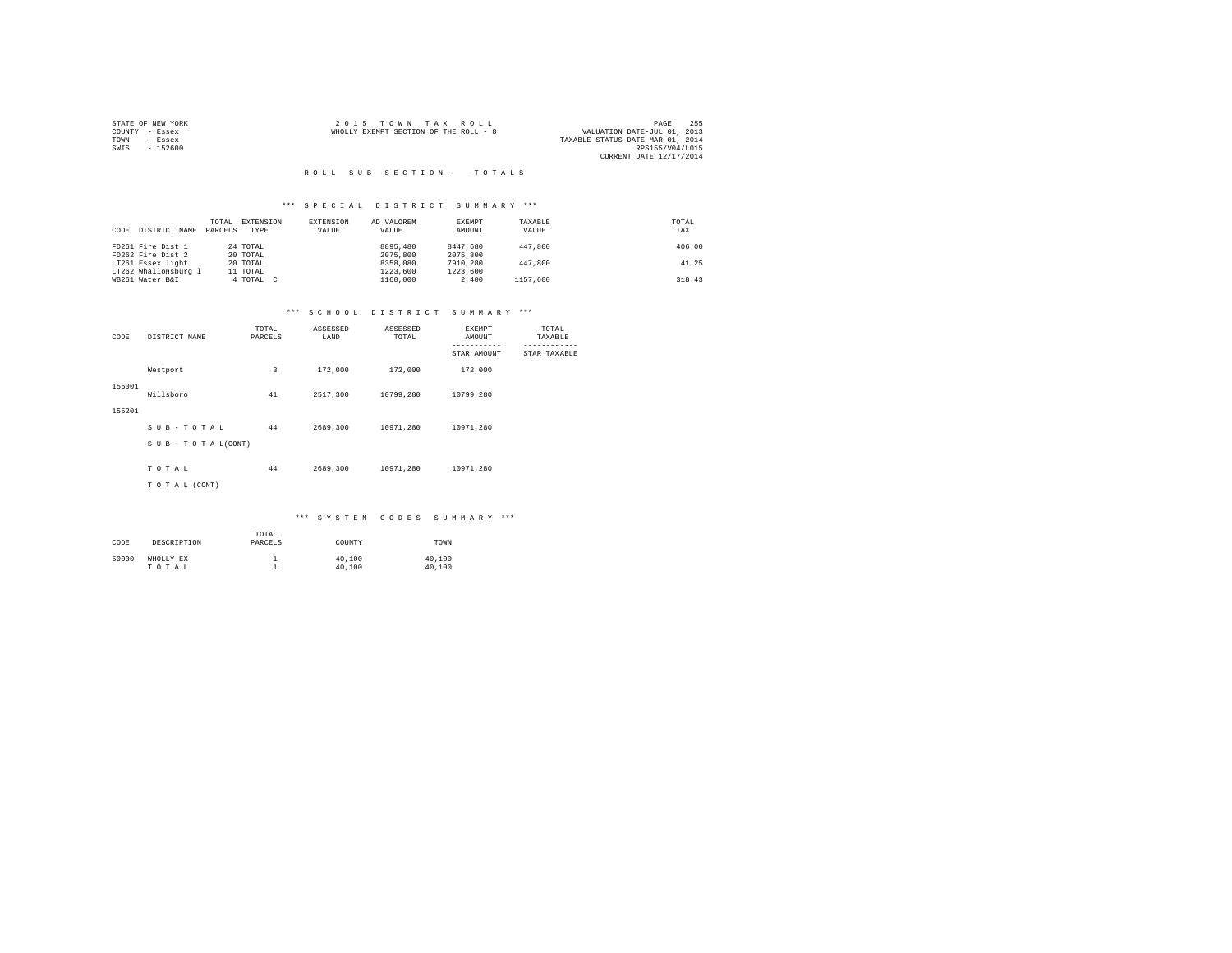|      | STATE OF NEW YORK | 2015 TOWN TAX ROLL                    | PAGE                             | 255 |
|------|-------------------|---------------------------------------|----------------------------------|-----|
|      | COUNTY - Essex    | WHOLLY EXEMPT SECTION OF THE ROLL - 8 | VALUATION DATE-JUL 01, 2013      |     |
| TOWN | - Essex           |                                       | TAXABLE STATUS DATE-MAR 01, 2014 |     |
| SWIS | $-152600$         |                                       | RPS155/V04/L015                  |     |
|      |                   |                                       | CURRENT DATE 12/17/2014          |     |

#### R O L L S U B S E C T I O N - - T O T A L S

## \*\*\* S P E C I A L D I S T R I C T S U M M A R Y \*\*\*

| CODE | DISTRICT NAME        | TOTAL<br>PARCELS | EXTENSION<br>TYPE | EXTENSION<br>VALUE | AD VALOREM<br>VALUE | EXEMPT<br>AMOUNT | TAXABLE<br>VALUE | TOTAL<br>TAX |
|------|----------------------|------------------|-------------------|--------------------|---------------------|------------------|------------------|--------------|
|      | FD261 Fire Dist 1    |                  | 24 TOTAL          |                    | 8895,480            | 8447.680         | 447.800          | 406.00       |
|      | FD262 Fire Dist 2    |                  | 20 TOTAL          |                    | 2075,800            | 2075,800         |                  |              |
|      | LT261 Essex light    |                  | 20 TOTAL          |                    | 8358,080            | 7910,280         | 447.800          | 41.25        |
|      | LT262 Whallonsburg 1 |                  | 11 TOTAL          |                    | 1223,600            | 1223,600         |                  |              |
|      | WB261 Water B&I      |                  | 4 TOTAL C         |                    | 1160,000            | 2,400            | 1157.600         | 318.43       |

## \*\*\* S C H O O L D I S T R I C T S U M M A R Y \*\*\*

| CODE   | DISTRICT NAME      | TOTAL<br>PARCELS | ASSESSED<br>LAND | ASSESSED<br>TOTAL | EXEMPT<br>AMOUNT<br>----------- | TOTAL<br>TAXABLE |
|--------|--------------------|------------------|------------------|-------------------|---------------------------------|------------------|
|        |                    |                  |                  |                   | STAR AMOUNT                     | STAR TAXABLE     |
|        | Westport           | 3                | 172,000          | 172,000           | 172,000                         |                  |
| 155001 | Willsboro          | 41               | 2517,300         | 10799,280         | 10799,280                       |                  |
| 155201 |                    |                  |                  |                   |                                 |                  |
|        | SUB-TOTAL          | 44               | 2689,300         | 10971,280         | 10971.280                       |                  |
|        | SUB - TO TAL(CONT) |                  |                  |                   |                                 |                  |
|        |                    |                  |                  |                   |                                 |                  |
|        | TOTAL              | 44               | 2689,300         | 10971.280         | 10971.280                       |                  |
|        | TO TAL (CONT)      |                  |                  |                   |                                 |                  |

| CODE  | DESCRIPTION        | TOTAL<br>PARCELS | COUNTY           | TOWN             |
|-------|--------------------|------------------|------------------|------------------|
| 50000 | WHOLLY EX<br>TOTAL |                  | 40,100<br>40,100 | 40,100<br>40,100 |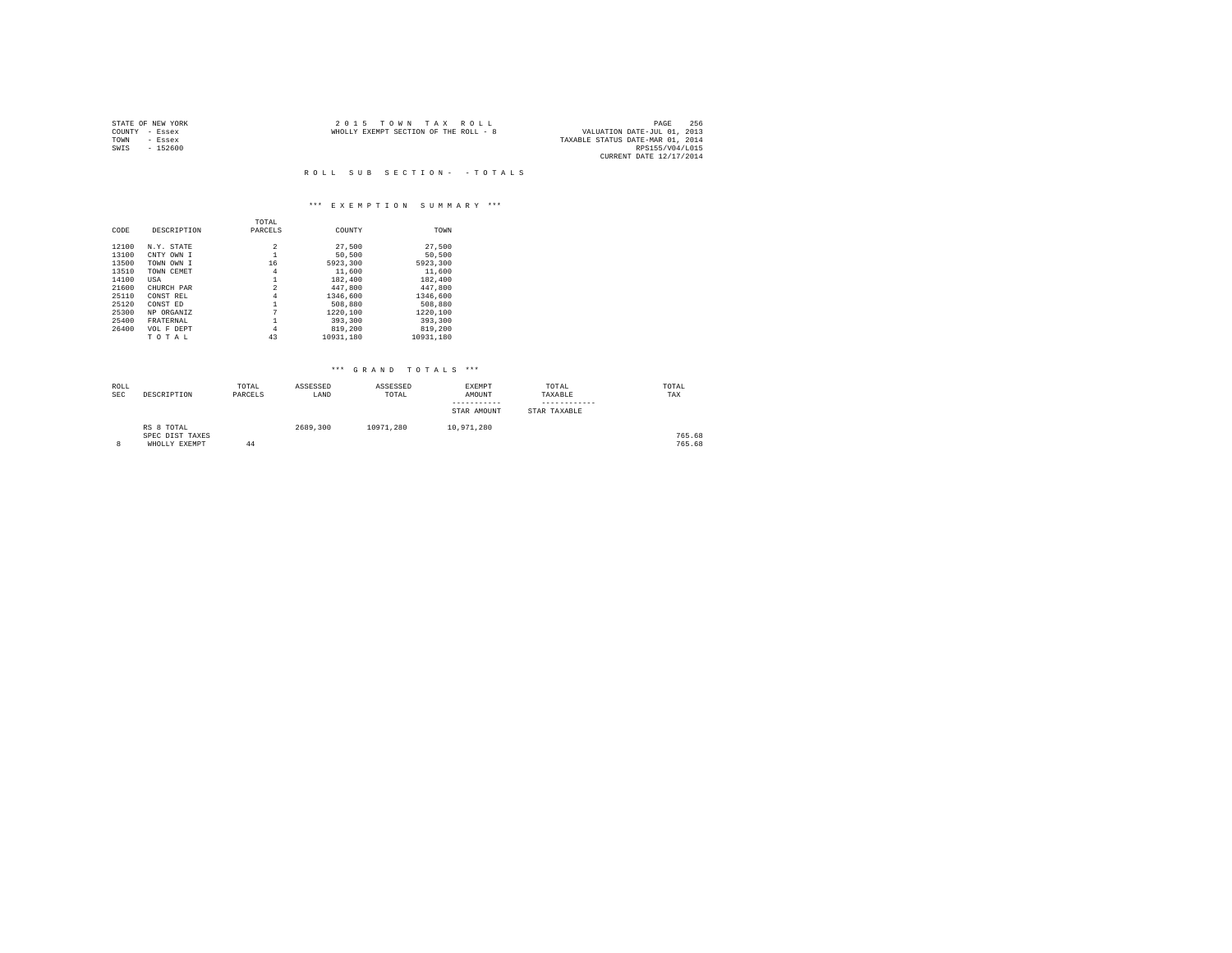|      | STATE OF NEW YORK | 2015 TOWN TAX ROLL                                                   | PAGE                    | 256 |
|------|-------------------|----------------------------------------------------------------------|-------------------------|-----|
|      | COUNTY - Essex    | VALUATION DATE-JUL 01, 2013<br>WHOLLY EXEMPT SECTION OF THE ROLL - 8 |                         |     |
| TOWN | - Essex           | TAXABLE STATUS DATE-MAR 01, 2014                                     |                         |     |
| SWIS | $-152600$         |                                                                      | RPS155/V04/L015         |     |
|      |                   |                                                                      | CURRENT DATE 12/17/2014 |     |

R O L L S U B S E C T I O N - - T O T A L S

## \*\*\* E X E M P T I O N S U M M A R Y \*\*\*

|       |             | TOTAL          |           |           |
|-------|-------------|----------------|-----------|-----------|
| CODE  | DESCRIPTION | PARCELS        | COUNTY    | TOWN      |
|       |             |                |           |           |
| 12100 | N.Y. STATE  | 2              | 27,500    | 27.500    |
| 13100 | CNTY OWN I  |                | 50,500    | 50.500    |
| 13500 | TOWN OWN I  | 16             | 5923,300  | 5923.300  |
| 13510 | TOWN CEMET  | 4              | 11,600    | 11,600    |
| 14100 | USA         |                | 182,400   | 182,400   |
| 21600 | CHURCH PAR  | $\overline{a}$ | 447.800   | 447.800   |
| 25110 | CONST REL   | 4              | 1346,600  | 1346,600  |
| 25120 | CONST ED    |                | 508,880   | 508,880   |
| 25300 | NP ORGANIZ  |                | 1220.100  | 1220.100  |
| 25400 | FRATERNAL   |                | 393,300   | 393,300   |
| 26400 | VOL F DEPT  | 4              | 819,200   | 819,200   |
|       | TOTAL       | 43             | 10931.180 | 10931.180 |

| ROLL<br><b>SEC</b> | DESCRIPTION                                    | TOTAL<br>PARCELS | ASSESSED<br>LAND | ASSESSED<br>TOTAL | EXEMPT<br>AMOUNT<br>-----------<br>STAR AMOUNT | TOTAL<br>TAXABLE<br>------------<br>STAR TAXABLE | TOTAL<br>TAX     |  |
|--------------------|------------------------------------------------|------------------|------------------|-------------------|------------------------------------------------|--------------------------------------------------|------------------|--|
| $\circ$<br>8       | RS 8 TOTAL<br>SPEC DIST TAXES<br>WHOLLY EXEMPT | 44               | 2689,300         | 10971.280         | 10,971,280                                     |                                                  | 765.68<br>765.68 |  |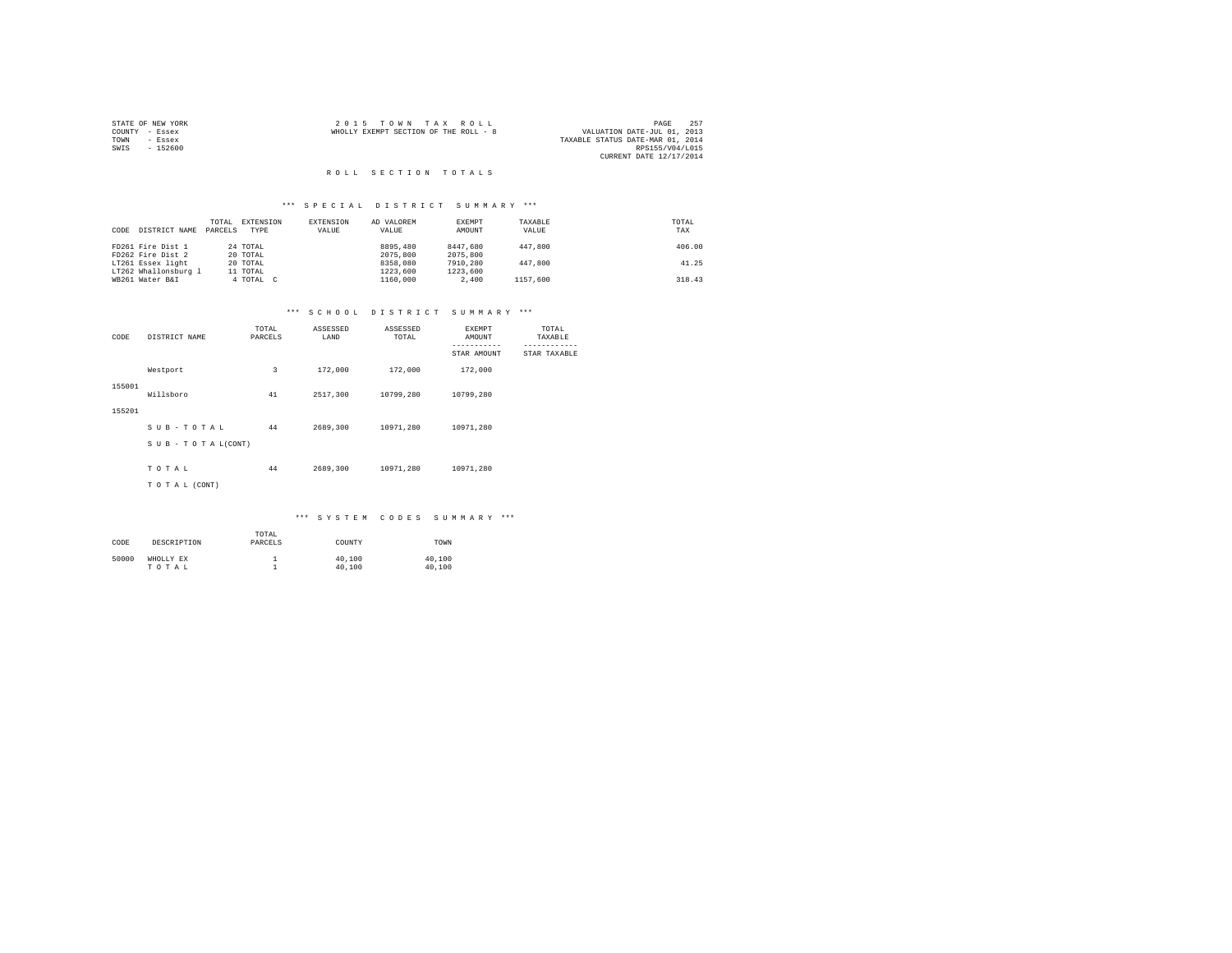|                | STATE OF NEW YORK | 2015 TOWN TAX ROLL                    | PAGE                             | 257 |
|----------------|-------------------|---------------------------------------|----------------------------------|-----|
| COUNTY - Essex |                   | WHOLLY EXEMPT SECTION OF THE ROLL - 8 | VALUATION DATE-JUL 01, 2013      |     |
| TOWN           | - Essex           |                                       | TAXABLE STATUS DATE-MAR 01, 2014 |     |
| SWIS           | $-152600$         |                                       | RPS155/V04/L015                  |     |
|                |                   |                                       | CURRENT DATE 12/17/2014          |     |

## R O L L S E C T I O N T O T A L S

## \*\*\* S P E C I A L D I S T R I C T S U M M A R Y \*\*\*

| CODE | DISTRICT NAME        | TOTAL<br>PARCELS | EXTENSION<br>TYPE | EXTENSION<br>VALUE | AD VALOREM<br>VALUE | EXEMPT<br>AMOUNT | TAXABLE<br>VALUE | TOTAL<br>TAX |
|------|----------------------|------------------|-------------------|--------------------|---------------------|------------------|------------------|--------------|
|      | FD261 Fire Dist 1    |                  | 24 TOTAL          |                    | 8895,480            | 8447.680         | 447.800          | 406.00       |
|      | FD262 Fire Dist 2    |                  | 20 TOTAL          |                    | 2075,800            | 2075,800         |                  |              |
|      | LT261 Essex light    |                  | 20 TOTAL          |                    | 8358,080            | 7910,280         | 447.800          | 41.25        |
|      | LT262 Whallonsburg 1 |                  | 11 TOTAL          |                    | 1223,600            | 1223,600         |                  |              |
|      | WB261 Water B&I      |                  | 4 TOTAL C         |                    | 1160,000            | 2,400            | 1157.600         | 318.43       |

## \*\*\* S C H O O L D I S T R I C T S U M M A R Y \*\*\*

| DISTRICT NAME<br>CODE |                    | TOTAL<br>PARCELS | ASSESSED<br>LAND | ASSESSED<br>TOTAL | EXEMPT<br>AMOUNT<br>----------- | TOTAL<br>TAXABLE |
|-----------------------|--------------------|------------------|------------------|-------------------|---------------------------------|------------------|
|                       |                    |                  |                  |                   | STAR AMOUNT                     | STAR TAXABLE     |
|                       | Westport           | 3                | 172,000          | 172,000           | 172,000                         |                  |
| 155001                | Willsboro          | 41               | 2517,300         | 10799.280         | 10799.280                       |                  |
| 155201                |                    |                  |                  |                   |                                 |                  |
|                       | SUB-TOTAL          | 44               | 2689,300         | 10971.280         | 10971.280                       |                  |
|                       | SUB - TO TAL(CONT) |                  |                  |                   |                                 |                  |
|                       | TOTAL              | 44               | 2689,300         | 10971,280         | 10971,280                       |                  |
|                       |                    |                  |                  |                   |                                 |                  |
|                       | TO TAL (CONT)      |                  |                  |                   |                                 |                  |

| CODE  | DESCRIPTION        | TOTAL<br>PARCELS | COUNTY           | TOWN             |
|-------|--------------------|------------------|------------------|------------------|
| 50000 | WHOLLY EX<br>TOTAL |                  | 40,100<br>40,100 | 40,100<br>40,100 |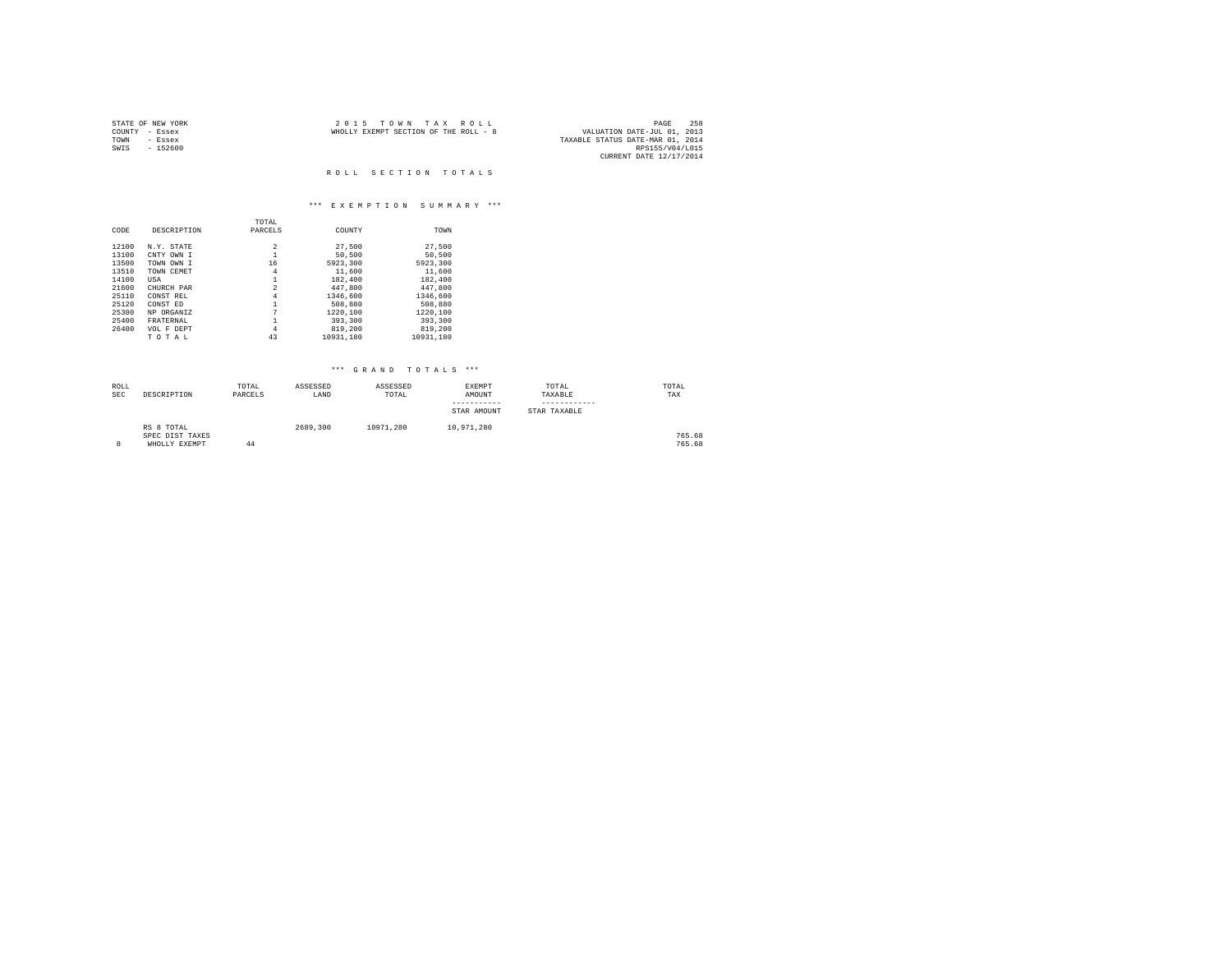|      | STATE OF NEW YORK | 2015 TOWN TAX ROLL                    | PAGE                             | 258 |
|------|-------------------|---------------------------------------|----------------------------------|-----|
|      | COUNTY - Essex    | WHOLLY EXEMPT SECTION OF THE ROLL - 8 | VALUATION DATE-JUL 01, 2013      |     |
| TOWN | - Essex           |                                       | TAXABLE STATUS DATE-MAR 01, 2014 |     |
| SWIS | $-152600$         |                                       | RPS155/V04/L015                  |     |
|      |                   |                                       | CURRENT DATE 12/17/2014          |     |

# R O L L S E C T I O N T O T A L S

# \*\*\* E X E M P T I O N S U M M A R Y \*\*\*

|       |             | TOTAL          |           |           |
|-------|-------------|----------------|-----------|-----------|
| CODE  | DESCRIPTION | PARCELS        | COUNTY    | TOWN      |
|       |             |                |           |           |
| 12100 | N.Y. STATE  | 2              | 27,500    | 27.500    |
| 13100 | CNTY OWN I  | 1              | 50,500    | 50,500    |
| 13500 | TOWN OWN I  | 16             | 5923,300  | 5923.300  |
| 13510 | TOWN CEMET  | 4              | 11,600    | 11,600    |
| 14100 | USA         |                | 182,400   | 182,400   |
| 21600 | CHURCH PAR  | $\overline{a}$ | 447.800   | 447.800   |
| 25110 | CONST REL   | 4              | 1346,600  | 1346,600  |
| 25120 | CONST ED    | 1              | 508,880   | 508,880   |
| 25300 | NP ORGANIZ  |                | 1220.100  | 1220.100  |
| 25400 | FRATERNAL   |                | 393,300   | 393,300   |
| 26400 | VOL F DEPT  | 4              | 819,200   | 819,200   |
|       | TOTAL       | 43             | 10931.180 | 10931.180 |

# \*\*\* GRAND TOTALS \*\*\*

| ROLL<br><b>SEC</b> | DESCRIPTION                                    | TOTAL<br>PARCELS | ASSESSED<br>LAND | ASSESSED<br>TOTAL | EXEMPT<br>AMOUNT<br>-----------<br>STAR AMOUNT | TOTAL<br>TAXABLE<br>------------<br>STAR TAXABLE | TOTAL<br>TAX     |
|--------------------|------------------------------------------------|------------------|------------------|-------------------|------------------------------------------------|--------------------------------------------------|------------------|
|                    | RS 8 TOTAL<br>SPEC DIST TAXES<br>WHOLLY EXEMPT | 44               | 2689,300         | 10971.280         | 10.971.280                                     |                                                  | 765.68<br>765.68 |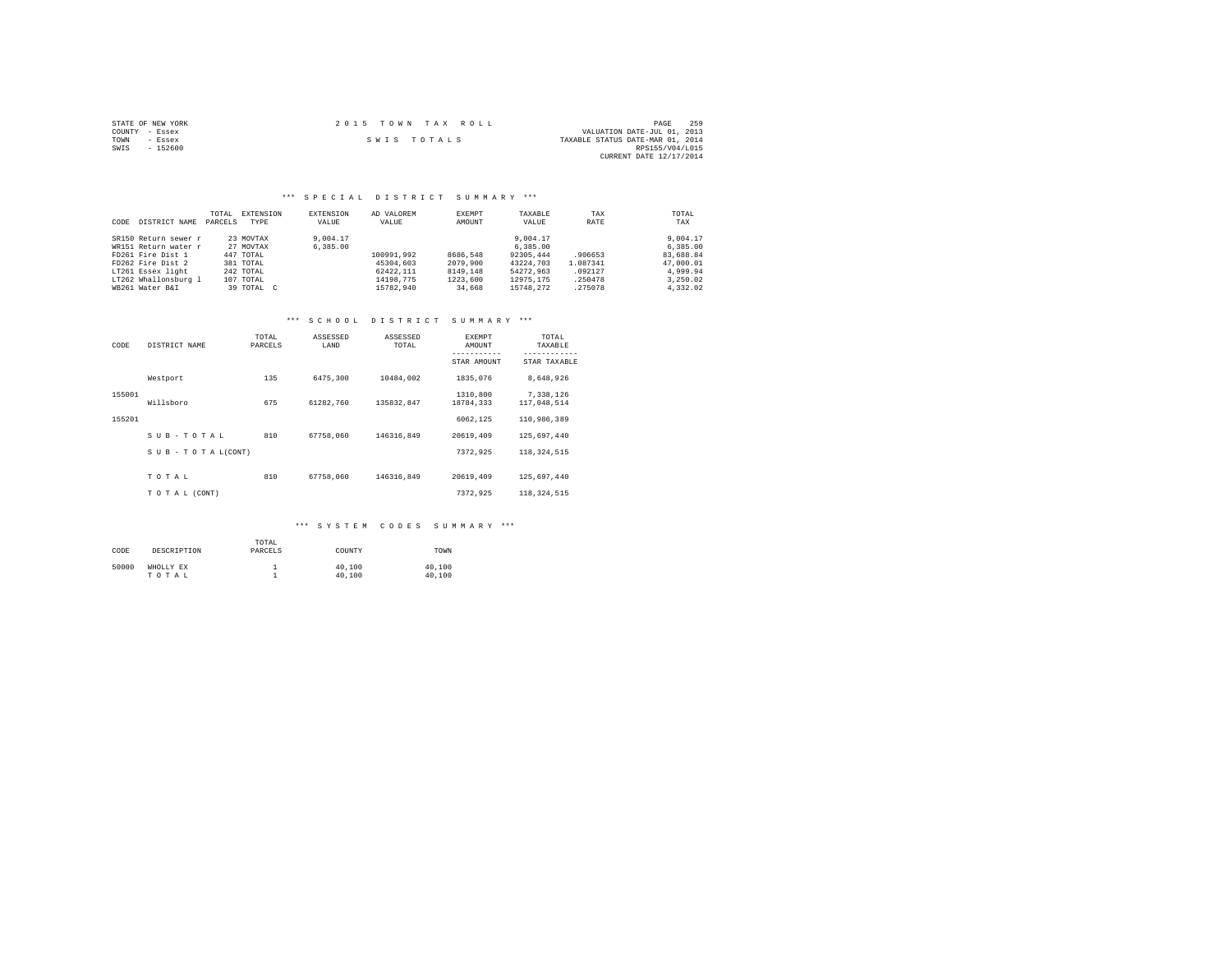| STATE OF NEW YORK | 2015 TOWN TAX ROLL | 259<br>PAGE                      |
|-------------------|--------------------|----------------------------------|
| COUNTY - Essex    |                    | VALUATION DATE-JUL 01, 2013      |
| TOWN<br>- Essex   | SWIS TOTALS        | TAXABLE STATUS DATE-MAR 01, 2014 |
| $-152600$<br>SWIS |                    | RPS155/V04/L015                  |
|                   |                    | CURRENT DATE 12/17/2014          |

## \*\*\* S P E C I A L D I S T R I C T S U M M A R Y \*\*\*

| CODE | DISTRICT NAME        | TOTAL.<br>PARCELS | EXTENSION<br>TYPE | EXTENSION<br>VALUE | AD VALOREM<br>VALUE | EXEMPT<br>AMOUNT | TAXABLE<br>VALUE | TAX<br>RATE | TOTAL<br>TAX |
|------|----------------------|-------------------|-------------------|--------------------|---------------------|------------------|------------------|-------------|--------------|
|      | SR150 Return sewer r |                   | 23 MOVTAX         | 9,004.17           |                     |                  | 9,004.17         |             | 9,004.17     |
|      | WR151 Return water r |                   | 27 MOVTAX         | 6,385,00           |                     |                  | 6.385.00         |             | 6.385.00     |
|      | FD261 Fire Dist 1    |                   | 447 TOTAL         |                    | 100991.992          | 8686.548         | 92305.444        | .906653     | 83,688.84    |
|      | FD262 Fire Dist 2    |                   | 381 TOTAL         |                    | 45304,603           | 2079,900         | 43224.703        | 1.087341    | 47,000.01    |
|      | LT261 Essex light    |                   | 242 TOTAL         |                    | 62422.111           | 8149,148         | 54272.963        | .092127     | 4.999.94     |
|      | LT262 Whallonsburg 1 |                   | 107 TOTAL         |                    | 14198.775           | 1223,600         | 12975.175        | .250478     | 3.250.02     |
|      | WB261 Water B&I      |                   | 39 TOTAL C        |                    | 15782.940           | 34,668           | 15748.272        | .275078     | 4.332.02     |

#### \*\*\* S C H O O L D I S T R I C T S U M M A R Y \*\*\*

| CODE   | DISTRICT NAME             | TOTAL<br>PARCELS | ASSESSED<br>LAND | ASSESSED<br>TOTAL | <b>EXEMPT</b><br>AMOUNT | TOTAL<br>TAXABLE         |
|--------|---------------------------|------------------|------------------|-------------------|-------------------------|--------------------------|
|        |                           |                  |                  |                   | STAR AMOUNT             | STAR TAXABLE             |
|        | Westport                  | 135              | 6475.300         | 10484.002         | 1835,076                | 8,648,926                |
| 155001 | Willsboro                 | 675              | 61282.760        | 135832.847        | 1310,800<br>18784.333   | 7.338.126<br>117,048,514 |
| 155201 |                           |                  |                  |                   | 6062.125                | 110,986,389              |
|        | SUB-TOTAL                 | 810              | 67758.060        | 146316.849        | 20619,409               | 125,697,440              |
|        | $S$ U B - T O T A L(CONT) |                  |                  |                   | 7372.925                | 118, 324, 515            |
|        | TOTAL                     | 810              | 67758.060        | 146316.849        | 20619,409               | 125,697,440              |
|        | TO TAL (CONT)             |                  |                  |                   | 7372.925                | 118, 324, 515            |

| CODE  | DESCRIPTION        | TOTAL<br>PARCELS | COUNTY           | TOWN             |
|-------|--------------------|------------------|------------------|------------------|
| 50000 | WHOLLY EX<br>TOTAL |                  | 40,100<br>40,100 | 40,100<br>40,100 |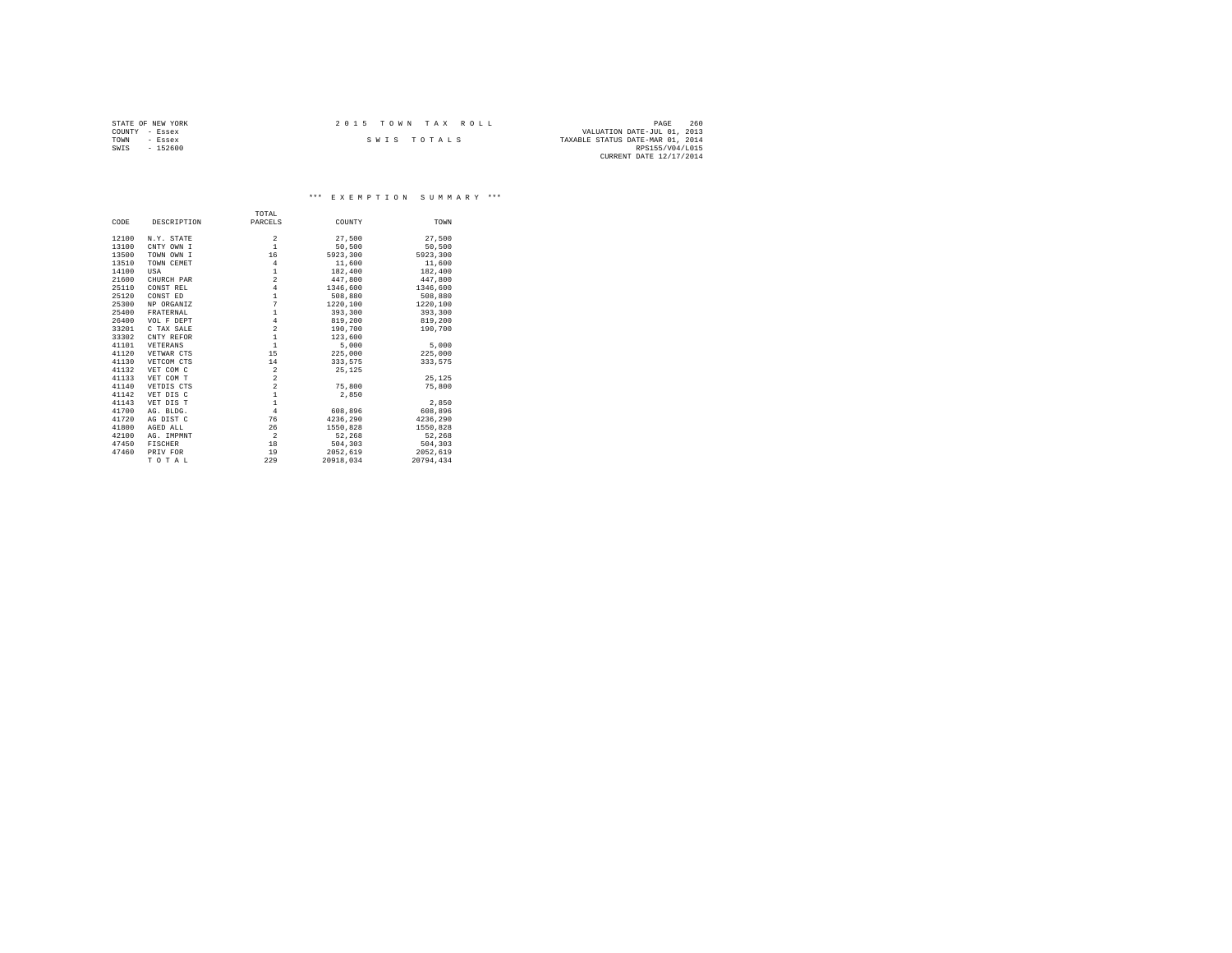| STATE OF NEW YORK | $2.0.15$ TOWN TAX ROLL<br>PAGE                  | 260 |  |
|-------------------|-------------------------------------------------|-----|--|
| COUNTY - Essex    | VALUATION DATE-JUL 01, 2013                     |     |  |
| TOWN<br>- Essex   | TAXABLE STATUS DATE-MAR 01, 2014<br>SWIS TOTALS |     |  |
| $-152600$<br>SWIS | RPS155/V04/L015                                 |     |  |
|                   | CURRENT DATE 12/17/2014                         |     |  |

\*\*\* E X E M P T I O N S U M M A R Y \*\*\*

|       |             | TOTAL                     |           |           |
|-------|-------------|---------------------------|-----------|-----------|
| CODE  | DESCRIPTION | PARCELS                   | COUNTY    | TOWN      |
| 12100 | N.Y. STATE  | $\overline{\mathbf{c}}$   | 27,500    | 27.500    |
| 13100 | CNTY OWN I  | $\mathbf{1}$              | 50,500    | 50,500    |
| 13500 | TOWN OWN I  | 16                        | 5923.300  | 5923,300  |
| 13510 | TOWN CEMET  | $\overline{4}$            | 11,600    | 11,600    |
|       |             |                           |           |           |
| 14100 | USA         | $\,1\,$<br>$\overline{a}$ | 182,400   | 182,400   |
| 21600 | CHURCH PAR  |                           | 447.800   | 447.800   |
| 25110 | CONST REL   | $\overline{4}$            | 1346,600  | 1346,600  |
| 25120 | CONST ED    | $\mathbf 1$               | 508,880   | 508,880   |
| 25300 | NP ORGANIZ  | $\overline{7}$            | 1220,100  | 1220,100  |
| 25400 | FRATERNAL   | $\,1\,$                   | 393,300   | 393,300   |
| 26400 | VOL F DEPT  | $\bf{4}$                  | 819,200   | 819,200   |
| 33201 | C TAX SALE  | $\overline{a}$            | 190,700   | 190,700   |
| 33302 | CNTY REFOR  | $\mathbf{1}$              | 123,600   |           |
| 41101 | VETERANS    | $\mathbf{1}$              | 5,000     | 5,000     |
| 41120 | VETWAR CTS  | 15                        | 225,000   | 225,000   |
| 41130 | VETCOM CTS  | 14                        | 333,575   | 333.575   |
| 41132 | VET COM C   | $\,2\,$                   | 25,125    |           |
| 41133 | VET COM T   | $\overline{a}$            |           | 25.125    |
| 41140 | VETDIS CTS  | $\overline{a}$            | 75,800    | 75,800    |
| 41142 | VET DIS C   | $\,1\,$                   | 2,850     |           |
| 41143 | VET DIS T   | $\mathbf{1}$              |           | 2,850     |
| 41700 | AG. BLDG.   | $\overline{4}$            | 608,896   | 608,896   |
| 41720 | AG DIST C   | 76                        | 4236.290  | 4236.290  |
| 41800 | AGED ALL    | 26                        | 1550,828  | 1550,828  |
| 42100 |             | $\overline{2}$            |           |           |
|       | AG. IMPMNT  |                           | 52,268    | 52,268    |
| 47450 | FISCHER     | 18                        | 504,303   | 504,303   |
| 47460 | PRIV FOR    | 19                        | 2052.619  | 2052,619  |
|       | TOTAL       | 229                       | 20918.034 | 20794.434 |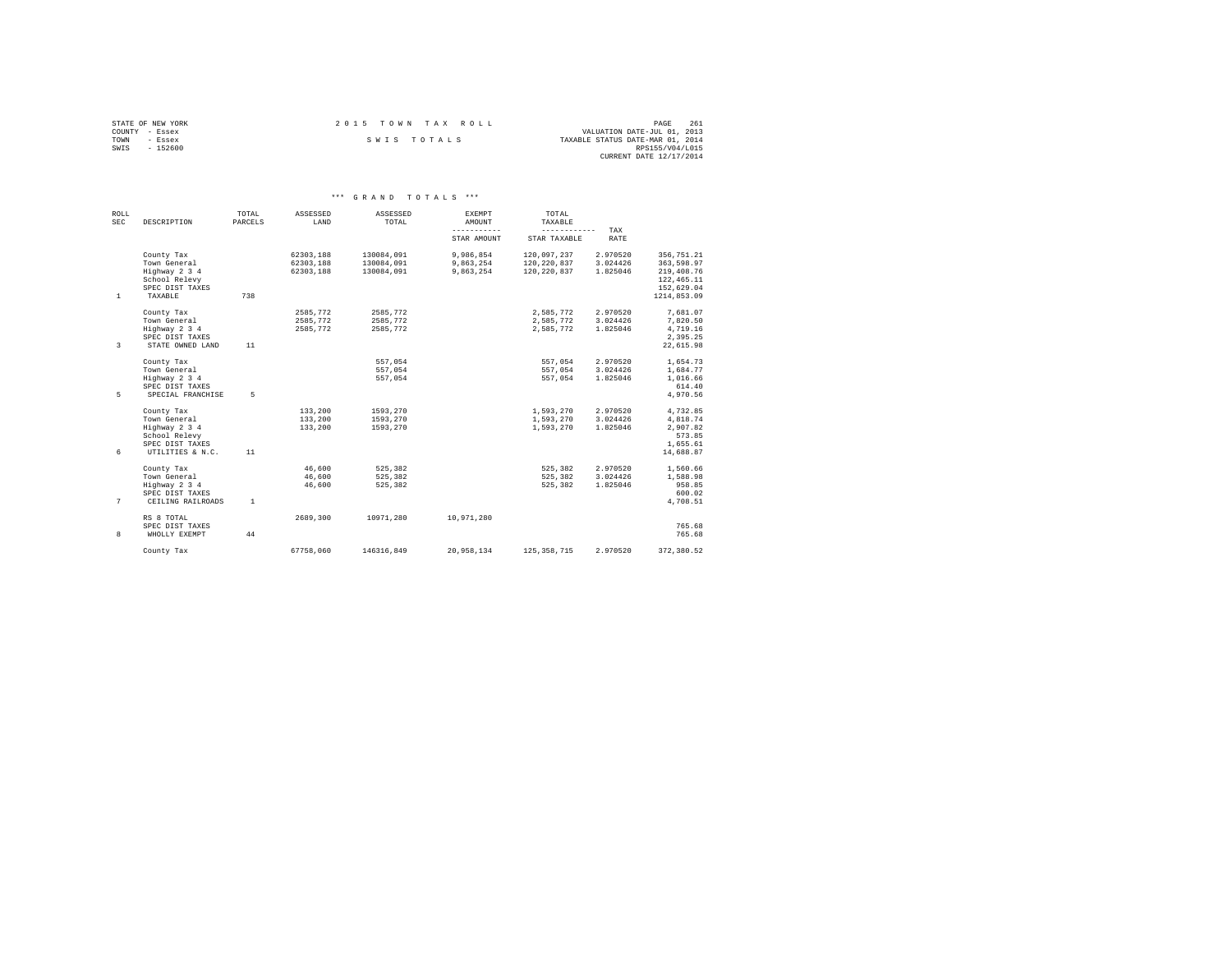|                | STATE OF NEW YORK | 2015 TOWN TAX ROLL |             |  |  |                                  | PAGE                    | 261 |
|----------------|-------------------|--------------------|-------------|--|--|----------------------------------|-------------------------|-----|
| COUNTY - Essex |                   |                    |             |  |  | VALUATION DATE-JUL 01, 2013      |                         |     |
| TOWN           | - Essex           |                    | SWIS TOTALS |  |  | TAXABLE STATUS DATE-MAR 01, 2014 |                         |     |
| SWIS           | $-152600$         |                    |             |  |  |                                  | RPS155/V04/L015         |     |
|                |                   |                    |             |  |  |                                  | CURRENT DATE 12/17/2014 |     |

| <b>ROLL</b><br><b>SEC</b> | DESCRIPTION                          | TOTAL<br>PARCELS | ASSESSED<br>LAND       | ASSESSED<br>TOTAL        | EXEMPT<br>AMOUNT           | TOTAL<br>TAXABLE             |                      |                          |
|---------------------------|--------------------------------------|------------------|------------------------|--------------------------|----------------------------|------------------------------|----------------------|--------------------------|
|                           |                                      |                  |                        |                          | -----------<br>STAR AMOUNT | ------------<br>STAR TAXABLE | TAX<br>RATE          |                          |
|                           | County Tax<br>Town General           |                  | 62303.188              | 130084.091               | 9.986.854                  | 120.097.237                  | 2.970520<br>3.024426 | 356.751.21               |
|                           | Highway 2 3 4                        |                  | 62303,188<br>62303.188 | 130084,091<br>130084.091 | 9,863,254<br>9.863.254     | 120, 220, 837<br>120.220.837 | 1.825046             | 363,598.97<br>219,408.76 |
|                           | School Relevy                        |                  |                        |                          |                            |                              |                      | 122, 465.11              |
|                           | SPEC DIST TAXES                      |                  |                        |                          |                            |                              |                      | 152,629.04               |
| $\mathbf{1}$              | TAXABLE                              | 738              |                        |                          |                            |                              |                      | 1214.853.09              |
|                           | County Tax                           |                  | 2585.772               | 2585.772                 |                            | 2.585.772                    | 2.970520             | 7.681.07                 |
|                           | Town General                         |                  | 2585.772               | 2585.772                 |                            | 2,585,772                    | 3.024426             | 7.820.50                 |
|                           | Highway 2 3 4                        |                  | 2585.772               | 2585.772                 |                            | 2,585,772                    | 1.825046             | 4.719.16<br>2.395.25     |
| 3                         | SPEC DIST TAXES<br>STATE OWNED LAND  | 11               |                        |                          |                            |                              |                      | 22,615.98                |
|                           |                                      |                  |                        |                          |                            |                              |                      |                          |
|                           | County Tax                           |                  |                        | 557.054                  |                            | 557.054                      | 2.970520             | 1,654.73                 |
|                           | Town General                         |                  |                        | 557,054                  |                            | 557.054                      | 3.024426             | 1,684.77                 |
|                           | Highway 2 3 4                        |                  |                        | 557.054                  |                            | 557.054                      | 1.825046             | 1,016.66                 |
| 5                         | SPEC DIST TAXES<br>SPECIAL FRANCHISE | 5                |                        |                          |                            |                              |                      | 614.40<br>4.970.56       |
|                           |                                      |                  |                        |                          |                            |                              |                      |                          |
|                           | County Tax                           |                  | 133,200                | 1593.270                 |                            | 1,593,270                    | 2.970520             | 4,732.85                 |
|                           | Town General                         |                  | 133,200                | 1593,270                 |                            | 1,593,270                    | 3.024426             | 4,818.74                 |
|                           | Highway 2 3 4                        |                  | 133,200                | 1593.270                 |                            | 1,593,270                    | 1.825046             | 2.907.82                 |
|                           | School Relevy<br>SPEC DIST TAXES     |                  |                        |                          |                            |                              |                      | 573.85                   |
| 6                         | UTILITIES & N.C.                     | 11               |                        |                          |                            |                              |                      | 1,655.61<br>14,688.87    |
|                           |                                      |                  |                        |                          |                            |                              |                      |                          |
|                           | County Tax                           |                  | 46.600                 | 525.382                  |                            | 525,382                      | 2.970520             | 1,560.66                 |
|                           | Town General                         |                  | 46.600                 | 525.382                  |                            | 525.382                      | 3.024426             | 1,588.98                 |
|                           | Highway 2 3 4                        |                  | 46.600                 | 525.382                  |                            | 525,382                      | 1.825046             | 958.85                   |
| 7                         | SPEC DIST TAXES<br>CEILING RAILROADS | $\mathbf{1}$     |                        |                          |                            |                              |                      | 600.02<br>4,708.51       |
|                           |                                      |                  |                        |                          |                            |                              |                      |                          |
|                           | RS 8 TOTAL                           |                  | 2689.300               | 10971.280                | 10.971.280                 |                              |                      |                          |
|                           | SPEC DIST TAXES                      |                  |                        |                          |                            |                              |                      | 765.68                   |
| 8                         | WHOLLY EXEMPT                        | 44               |                        |                          |                            |                              |                      | 765.68                   |
|                           | County Tax                           |                  | 67758.060              | 146316.849               | 20.958.134                 | 125, 358, 715                | 2.970520             | 372,380.52               |
|                           |                                      |                  |                        |                          |                            |                              |                      |                          |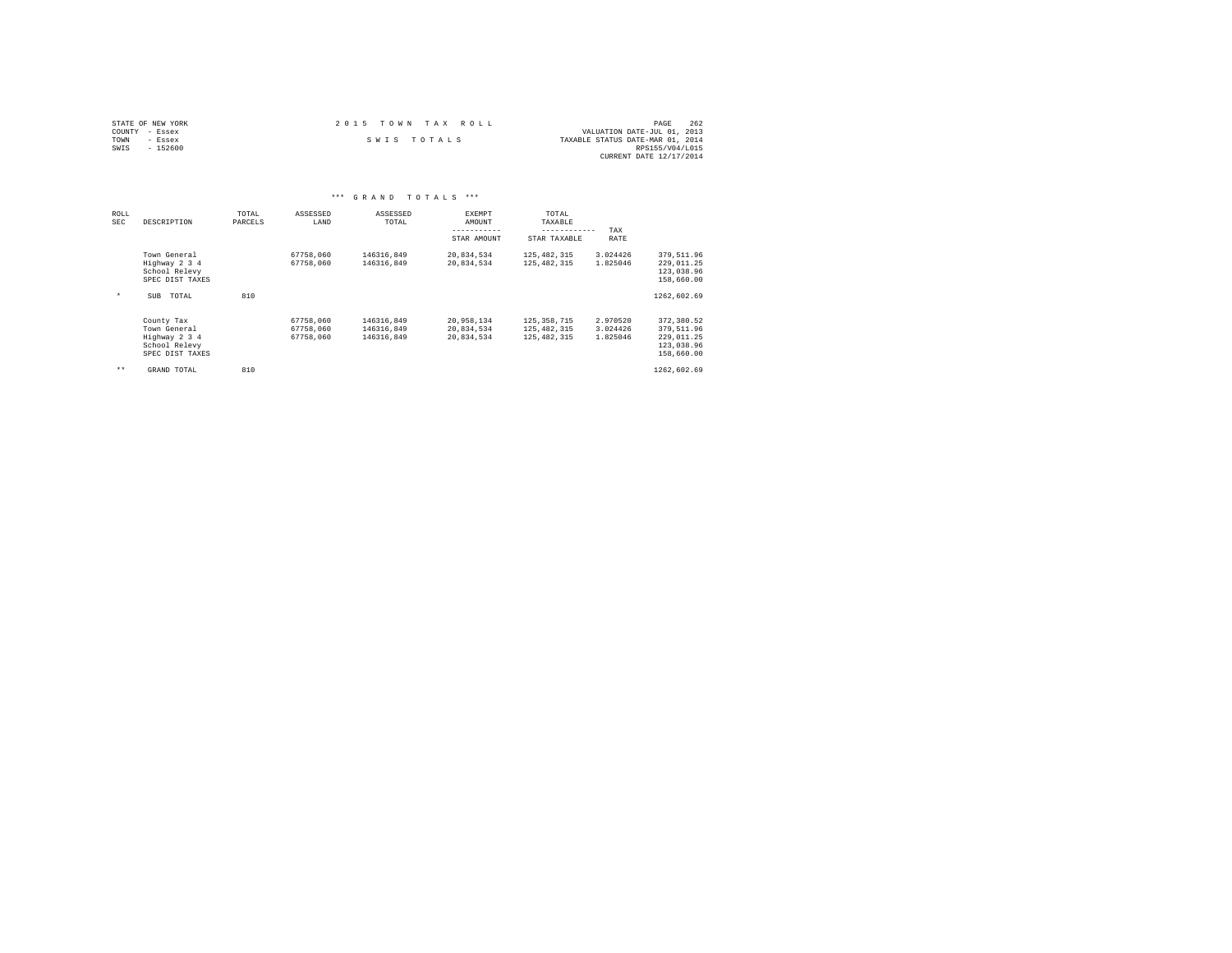| STATE OF NEW YORK | 2015 TOWN TAX ROLL | 262<br>PAGE                      |
|-------------------|--------------------|----------------------------------|
| COUNTY - Essex    |                    | VALUATION DATE-JUL 01, 2013      |
| TOWN<br>- Essex   | SWIS TOTALS        | TAXABLE STATUS DATE-MAR 01, 2014 |
| SWIS<br>- 152600  |                    | RPS155/V04/L015                  |
|                   |                    | CURRENT DATE 12/17/2014          |

|             |                                                                                 |                  | ***                                 | GRAND TOTALS                           | ***                                    |                                             |                                  |                                                                    |  |
|-------------|---------------------------------------------------------------------------------|------------------|-------------------------------------|----------------------------------------|----------------------------------------|---------------------------------------------|----------------------------------|--------------------------------------------------------------------|--|
| ROLL<br>SEC | DESCRIPTION                                                                     | TOTAL<br>PARCELS | ASSESSED<br>LAND                    | ASSESSED<br>TOTAL                      | EXEMPT<br>AMOUNT                       | TOTAL<br>TAXABLE<br>------------            | TAX                              |                                                                    |  |
|             |                                                                                 |                  |                                     |                                        | STAR AMOUNT                            | STAR TAXABLE                                | RATE                             |                                                                    |  |
|             | Town General<br>Highway 2 3 4<br>School Relevy<br>SPEC DIST TAXES               |                  | 67758,060<br>67758.060              | 146316,849<br>146316.849               | 20,834,534<br>20,834,534               | 125,482,315<br>125, 482, 315                | 3.024426<br>1.825046             | 379,511.96<br>229,011.25<br>123,038.96<br>158,660.00               |  |
| $\star$     | TOTAL<br><b>SUB</b>                                                             | 810              |                                     |                                        |                                        |                                             |                                  | 1262.602.69                                                        |  |
|             | County Tax<br>Town General<br>Highway 2 3 4<br>School Relevy<br>SPEC DIST TAXES |                  | 67758,060<br>67758.060<br>67758.060 | 146316.849<br>146316.849<br>146316.849 | 20,958,134<br>20,834,534<br>20,834,534 | 125,358,715<br>125,482,315<br>125, 482, 315 | 2.970520<br>3.024426<br>1.825046 | 372,380.52<br>379,511.96<br>229.011.25<br>123,038.96<br>158,660.00 |  |
| $* *$       | GRAND TOTAL                                                                     | 810              |                                     |                                        |                                        |                                             |                                  | 1262,602.69                                                        |  |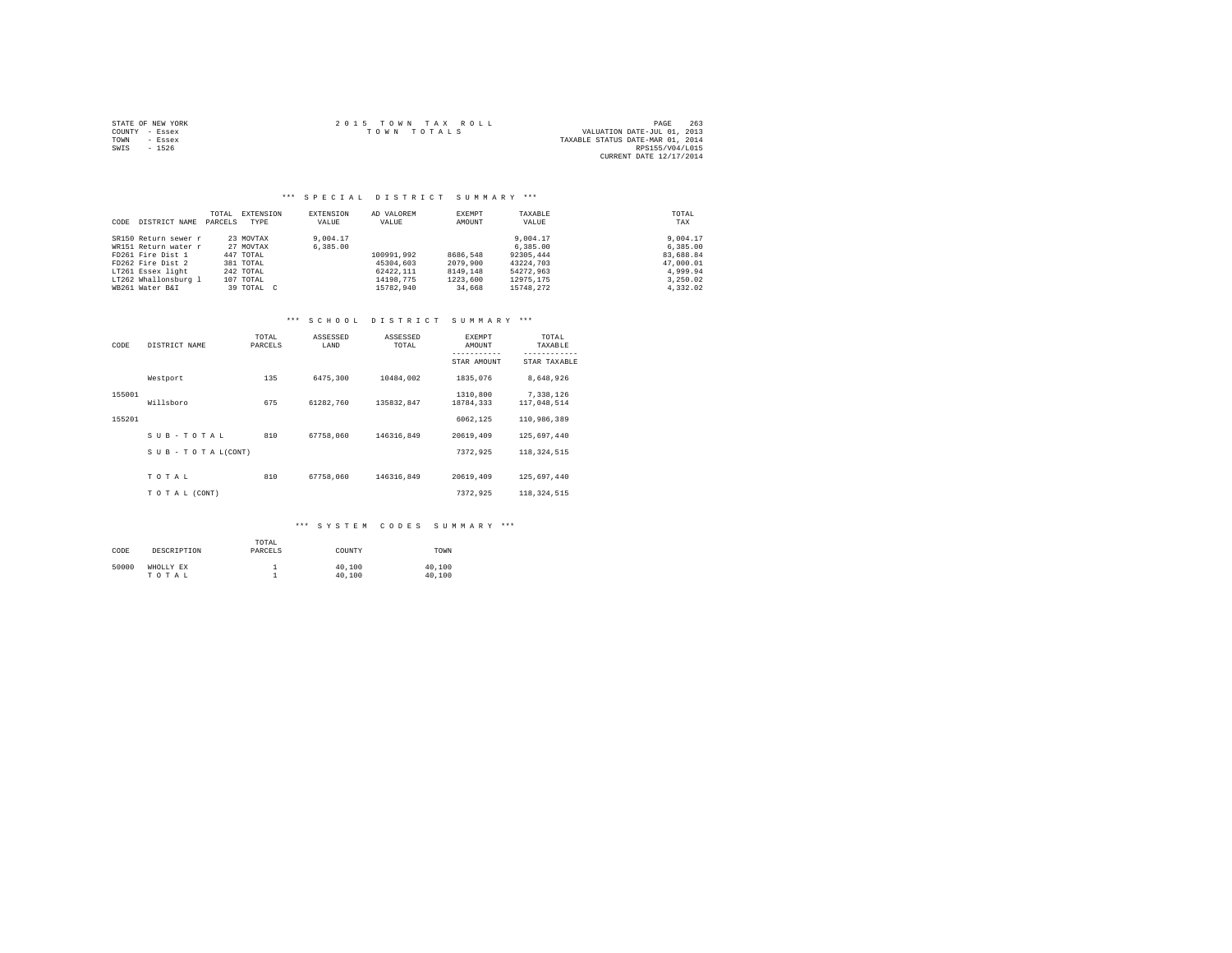|      | STATE OF NEW YORK | 2015 TOWN TAX ROLL                         | PAGE            | 263 |
|------|-------------------|--------------------------------------------|-----------------|-----|
|      | COUNTY - Essex    | VALUATION DATE-JUL 01, 2013<br>TOWN TOTALS |                 |     |
| TOWN | $-$ Essex         | TAXABLE STATUS DATE-MAR 01, 2014           |                 |     |
| SWIS | $-1526$           |                                            | RPS155/V04/L015 |     |
|      |                   | CURRENT DATE 12/17/2014                    |                 |     |

## \*\*\* S P E C I A L D I S T R I C T S U M M A R Y \*\*\*

| CODE | DISTRICT NAME        | TOTAL<br>PARCELS | EXTENSION<br>TYPE | EXTENSION<br>VALUE | AD VALOREM<br>VALUE | <b>EXEMPT</b><br>AMOUNT | TAXABLE<br>VALUE | TOTAL<br>TAX |
|------|----------------------|------------------|-------------------|--------------------|---------------------|-------------------------|------------------|--------------|
|      | SR150 Return sewer r |                  | 23 MOVTAX         | 9,004.17           |                     |                         | 9,004.17         | 9,004.17     |
|      | WR151 Return water r |                  | 27 MOVTAX         | 6,385,00           |                     |                         | 6,385,00         | 6,385.00     |
|      | FD261 Fire Dist 1    |                  | 447 TOTAL         |                    | 100991.992          | 8686.548                | 92305,444        | 83,688.84    |
|      | FD262 Fire Dist 2    |                  | 381 TOTAL         |                    | 45304.603           | 2079,900                | 43224,703        | 47,000.01    |
|      | LT261 Essex light    |                  | 242 TOTAL         |                    | 62422.111           | 8149.148                | 54272.963        | 4.999.94     |
|      | LT262 Whallonsburg 1 |                  | 107 TOTAL         |                    | 14198.775           | 1223,600                | 12975.175        | 3.250.02     |
|      | WB261 Water B&I      |                  | 39 TOTAL C        |                    | 15782.940           | 34,668                  | 15748.272        | 4.332.02     |

#### \*\*\* S C H O O L D I S T R I C T S U M M A R Y \*\*\*

| CODE   | DISTRICT NAME             | TOTAL<br>PARCELS | ASSESSED<br>LAND | ASSESSED<br>TOTAL | EXEMPT<br>AMOUNT      | TOTAL<br>TAXABLE         |
|--------|---------------------------|------------------|------------------|-------------------|-----------------------|--------------------------|
|        |                           |                  |                  |                   | STAR AMOUNT           | STAR TAXABLE             |
|        | Westport                  | 135              | 6475.300         | 10484.002         | 1835,076              | 8,648,926                |
| 155001 | Willsboro                 | 675              | 61282.760        | 135832.847        | 1310,800<br>18784,333 | 7,338,126<br>117,048,514 |
| 155201 |                           |                  |                  |                   | 6062.125              | 110,986,389              |
|        | SUB-TOTAL                 | 810              | 67758.060        | 146316.849        | 20619,409             | 125,697,440              |
|        | $S$ U B - T O T A L(CONT) |                  |                  |                   | 7372.925              | 118, 324, 515            |
|        | TOTAL                     | 810              | 67758,060        | 146316.849        | 20619,409             | 125,697,440              |
|        | TO TAL (CONT)             |                  |                  |                   | 7372.925              | 118, 324, 515            |

| CODE  | DESCRIPTION        | TOTAL<br>PARCELS | COUNTY           | TOWN             |
|-------|--------------------|------------------|------------------|------------------|
| 50000 | WHOLLY EX<br>TOTAL |                  | 40,100<br>40,100 | 40,100<br>40,100 |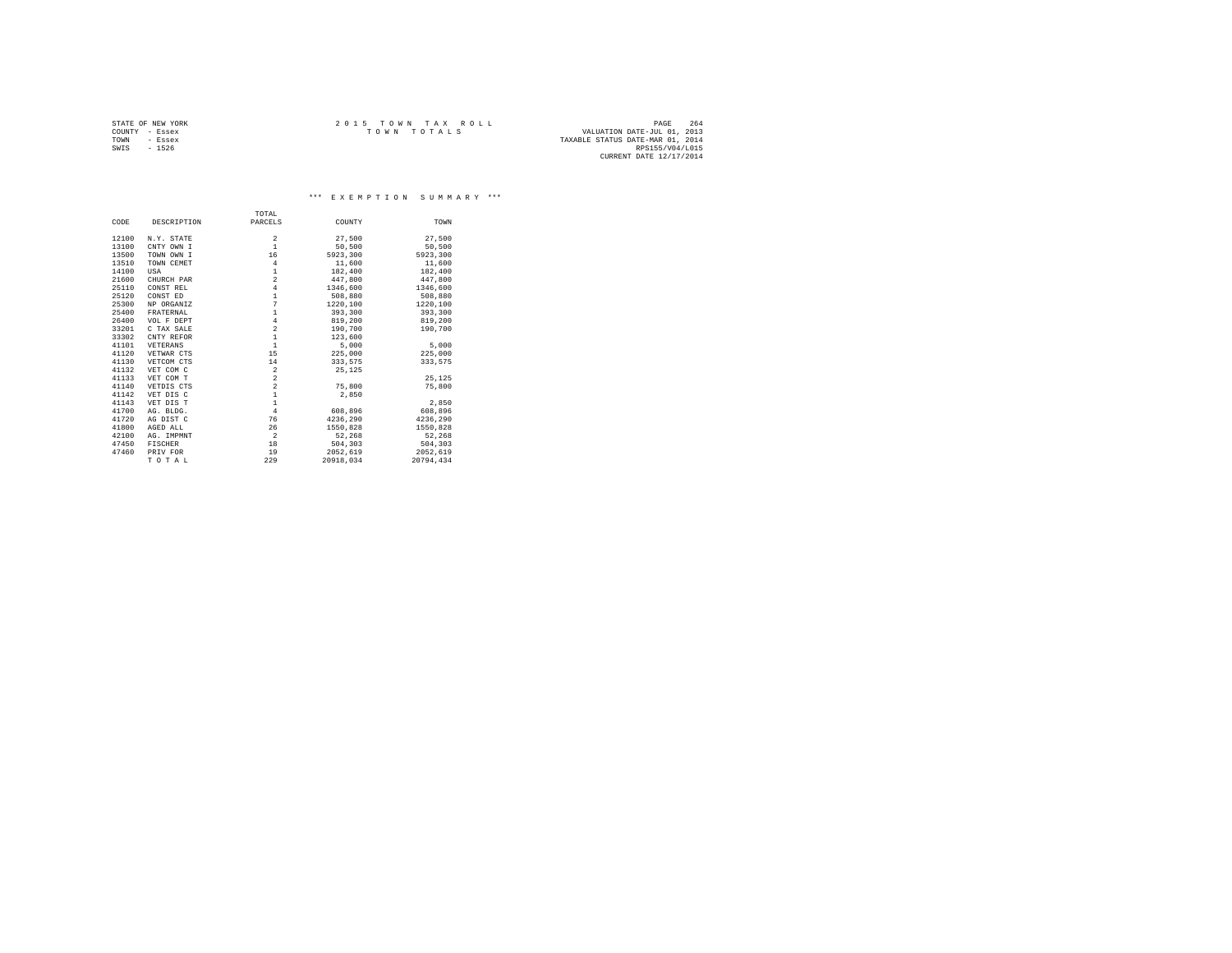|                | STATE OF NEW YORK | 2015 TOWN TAX ROLL |  |             |  | 264<br>PAGE                      |  |
|----------------|-------------------|--------------------|--|-------------|--|----------------------------------|--|
| COUNTY - Essex |                   |                    |  | TOWN TOTALS |  | VALUATION DATE-JUL 01, 2013      |  |
| TOWN           | - Essex           |                    |  |             |  | TAXABLE STATUS DATE-MAR 01, 2014 |  |
| SWIS           | $-1526$           |                    |  |             |  | RPS155/V04/L015                  |  |
|                |                   |                    |  |             |  | CURRENT DATE 12/17/2014          |  |

\*\*\* E X E M P T I O N S U M M A R Y \*\*\*

|       |             | TOTAL                   |           |           |
|-------|-------------|-------------------------|-----------|-----------|
| CODE  | DESCRIPTION | PARCELS                 | COUNTY    | TOWN      |
| 12100 | N.Y. STATE  | $\overline{\mathbf{2}}$ | 27,500    | 27.500    |
| 13100 | CNTY OWN I  | $\mathbf{1}$            | 50,500    | 50,500    |
| 13500 | TOWN OWN I  | 16                      | 5923,300  | 5923.300  |
|       |             |                         |           |           |
| 13510 | TOWN CEMET  | $\overline{4}$          | 11,600    | 11,600    |
| 14100 | USA         | $\,1\,$                 | 182,400   | 182,400   |
| 21600 | CHURCH PAR  | $\overline{a}$          | 447.800   | 447.800   |
| 25110 | CONST REL   | $\overline{4}$          | 1346,600  | 1346,600  |
| 25120 | CONST ED    | $\mathbf{1}$            | 508,880   | 508,880   |
| 25300 | NP ORGANIZ  | $\overline{7}$          | 1220,100  | 1220,100  |
| 25400 | FRATERNAL   | $\mathbf 1$             | 393,300   | 393,300   |
| 26400 | VOL F DEPT  | $\bf{4}$                | 819,200   | 819,200   |
| 33201 | C TAX SALE  | $\bar{2}$               | 190,700   | 190,700   |
| 33302 | CNTY REFOR  | $\mathbf{1}$            | 123,600   |           |
| 41101 | VETERANS    | $\mathbf{1}$            | 5,000     | 5,000     |
| 41120 | VETWAR CTS  | 15                      | 225,000   | 225,000   |
| 41130 | VETCOM CTS  | 14                      | 333,575   | 333.575   |
| 41132 | VET COM C   | $\,2\,$                 | 25,125    |           |
| 41133 | VET COM T   | $\overline{\mathbf{c}}$ |           | 25.125    |
| 41140 | VETDIS CTS  | $\overline{a}$          | 75,800    | 75,800    |
| 41142 | VET DIS C   | $\mathbf 1$             | 2,850     |           |
| 41143 | VET DIS T   | $\mathbf{1}$            |           | 2,850     |
| 41700 | AG. BLDG.   | $\overline{4}$          | 608,896   | 608,896   |
| 41720 | AG DIST C   | 76                      | 4236.290  | 4236.290  |
| 41800 | AGED ALL    | 26                      | 1550,828  | 1550,828  |
| 42100 | AG. IMPMNT  | $\overline{a}$          | 52,268    | 52,268    |
| 47450 | FISCHER     | 18                      | 504,303   | 504,303   |
| 47460 | PRIV FOR    | 19                      | 2052.619  | 2052,619  |
|       | TOTAL       | 229                     | 20918.034 | 20794.434 |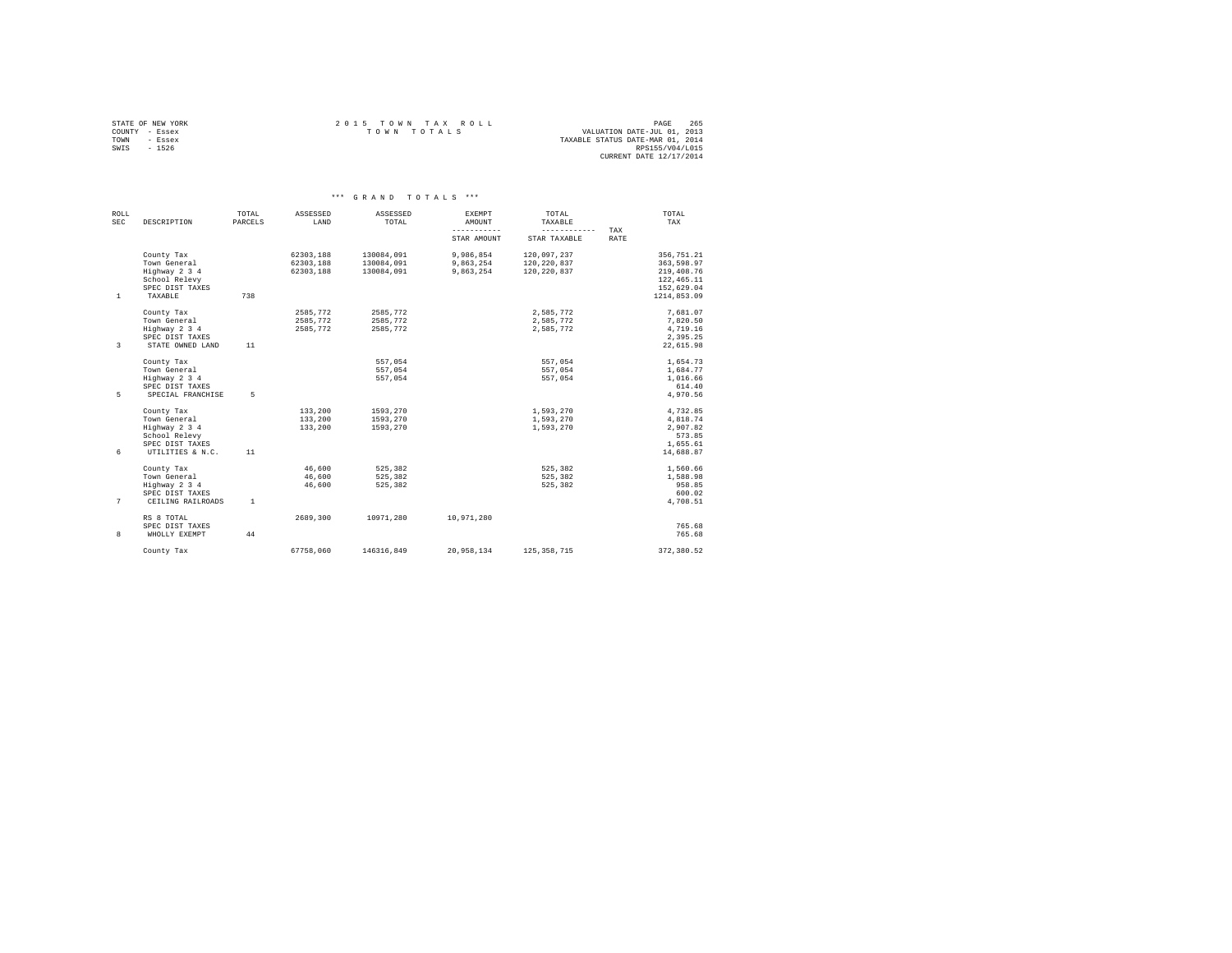|                | STATE OF NEW YORK | 2015 TOWN TAX ROLL                         | PAGE            | 265 |
|----------------|-------------------|--------------------------------------------|-----------------|-----|
| COUNTY - Essex |                   | VALUATION DATE-JUL 01, 2013<br>TOWN TOTALS |                 |     |
| TOWN           | - Essex           | TAXABLE STATUS DATE-MAR 01, 2014           |                 |     |
| SWIS           | $-1526$           |                                            | RPS155/V04/L015 |     |
|                |                   | CURRENT DATE 12/17/2014                    |                 |     |

| ROLL<br>SEC  | DESCRIPTION                                                                                         | TOTAL<br>PARCELS | ASSESSED<br>LAND                    | ASSESSED<br>TOTAL                      | EXEMPT<br>AMOUNT                    | TOTAL<br>TAXABLE                            |             | TOTAL<br>TAX                                                                       |
|--------------|-----------------------------------------------------------------------------------------------------|------------------|-------------------------------------|----------------------------------------|-------------------------------------|---------------------------------------------|-------------|------------------------------------------------------------------------------------|
|              |                                                                                                     |                  |                                     |                                        | -----------<br>STAR AMOUNT          | ------------<br>STAR TAXABLE                | TAX<br>RATE |                                                                                    |
| $\mathbf{1}$ | County Tax<br>Town General<br>Highway 2 3 4<br>School Relevy<br>SPEC DIST TAXES<br>TAXABLE          | 738              | 62303.188<br>62303.188<br>62303.188 | 130084.091<br>130084.091<br>130084.091 | 9,986,854<br>9,863,254<br>9.863.254 | 120.097.237<br>120, 220, 837<br>120.220.837 |             | 356.751.21<br>363,598.97<br>219,408.76<br>122, 465.11<br>152,629.04<br>1214.853.09 |
| 3            | County Tax<br>Town General<br>Highway 2 3 4<br>SPEC DIST TAXES<br>STATE OWNED LAND                  | 11               | 2585.772<br>2585,772<br>2585.772    | 2585.772<br>2585.772<br>2585.772       |                                     | 2.585.772<br>2,585,772<br>2,585,772         |             | 7.681.07<br>7,820.50<br>4,719.16<br>2.395.25<br>22,615.98                          |
| 5            | County Tax<br>Town General<br>Highway 2 3 4<br>SPEC DIST TAXES<br>SPECIAL FRANCHISE                 | 5                |                                     | 557.054<br>557.054<br>557.054          |                                     | 557.054<br>557.054<br>557.054               |             | 1,654.73<br>1,684.77<br>1,016.66<br>614.40<br>4.970.56                             |
| 6            | County Tax<br>Town General<br>Highway 2 3 4<br>School Relevy<br>SPEC DIST TAXES<br>UTILITIES & N.C. | 11               | 133,200<br>133,200<br>133,200       | 1593,270<br>1593.270<br>1593,270       |                                     | 1,593,270<br>1,593,270<br>1,593,270         |             | 4,732.85<br>4.818.74<br>2,907.82<br>573.85<br>1,655.61<br>14,688.87                |
| 7            | County Tax<br>Town General<br>Highway 2 3 4<br>SPEC DIST TAXES<br>CEILING RAILROADS                 | <sup>1</sup>     | 46.600<br>46,600<br>46.600          | 525.382<br>525.382<br>525.382          |                                     | 525.382<br>525.382<br>525.382               |             | 1,560.66<br>1,588.98<br>958.85<br>600.02<br>4,708.51                               |
| 8            | RS 8 TOTAL<br>SPEC DIST TAXES<br>WHOLLY EXEMPT                                                      | 44               | 2689,300                            | 10971.280                              | 10,971,280                          |                                             |             | 765.68<br>765.68                                                                   |
|              | County Tax                                                                                          |                  | 67758.060                           | 146316.849                             | 20.958.134                          | 125.358.715                                 |             | 372,380.52                                                                         |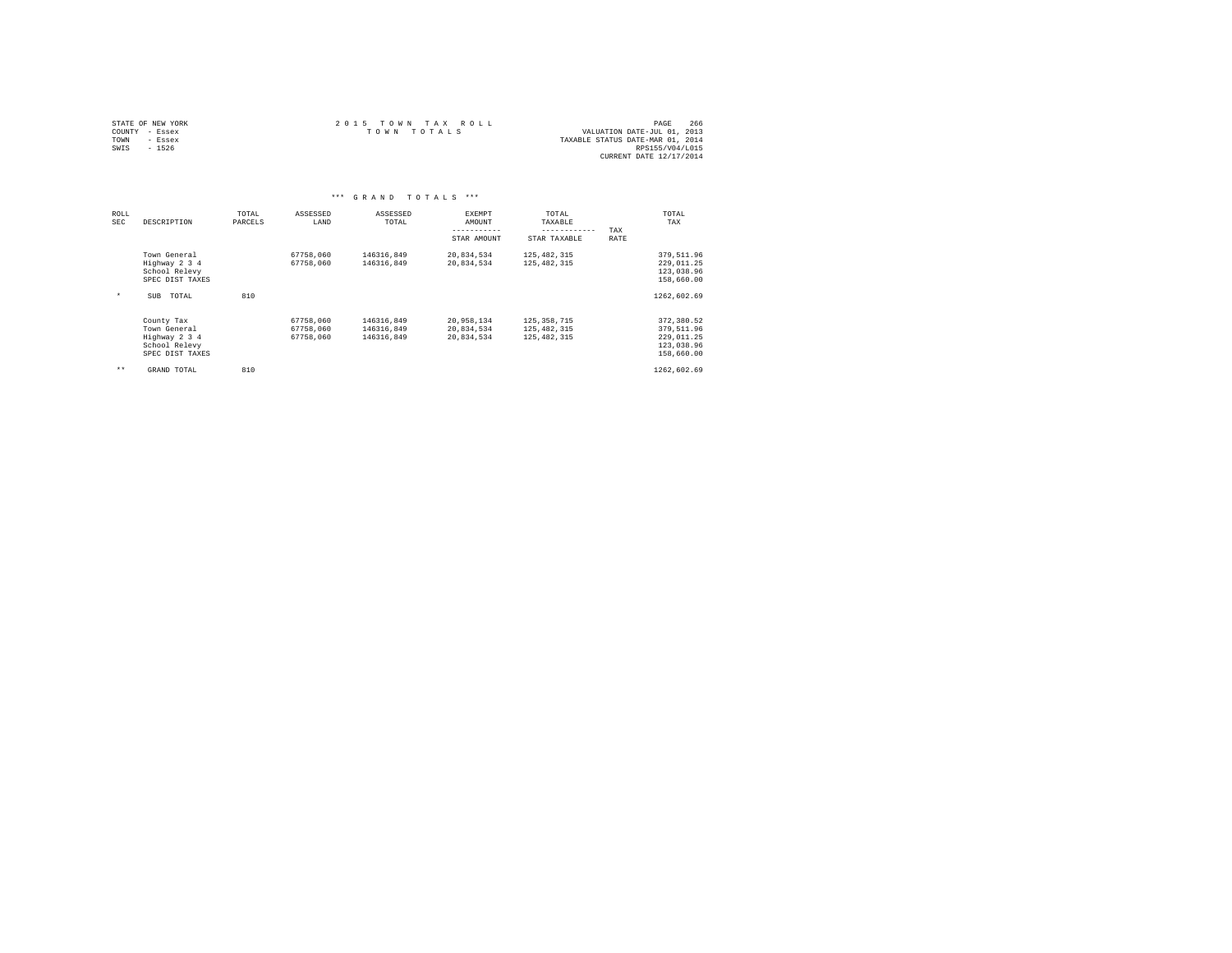|                | STATE OF NEW YORK | $2.0.15$ TOWN TAX ROLL |             |  |  | 266<br>PAGE                      |
|----------------|-------------------|------------------------|-------------|--|--|----------------------------------|
| COUNTY - Essex |                   |                        | TOWN TOTALS |  |  | VALUATION DATE-JUL 01, 2013      |
| TOWN           | - Essex           |                        |             |  |  | TAXABLE STATUS DATE-MAR 01, 2014 |
| SWIS           | $-1526$           |                        |             |  |  | RPS155/V04/L015                  |
|                |                   |                        |             |  |  | CURRENT DATE 12/17/2014          |

|                    | $***$<br>GRAND TOTALS<br>***                                                    |                  |                                     |                                        |                                        |                                                 |                                                                    |  |  |  |  |  |  |
|--------------------|---------------------------------------------------------------------------------|------------------|-------------------------------------|----------------------------------------|----------------------------------------|-------------------------------------------------|--------------------------------------------------------------------|--|--|--|--|--|--|
| ROLL<br><b>SEC</b> | DESCRIPTION                                                                     | TOTAL<br>PARCELS | ASSESSED<br>LAND                    | ASSESSED<br>TOTAL                      | EXEMPT<br>AMOUNT<br>--------           | TOTAL<br>TAXABLE<br>------------                | TOTAL<br>TAX<br>TAX                                                |  |  |  |  |  |  |
|                    |                                                                                 |                  |                                     |                                        | STAR AMOUNT                            | STAR TAXABLE                                    | RATE                                                               |  |  |  |  |  |  |
|                    | Town General<br>Highway 2 3 4<br>School Relevy<br>SPEC DIST TAXES               |                  | 67758,060<br>67758,060              | 146316,849<br>146316.849               | 20,834,534<br>20,834,534               | 125, 482, 315<br>125, 482, 315                  | 379,511.96<br>229,011.25<br>123,038.96<br>158,660.00               |  |  |  |  |  |  |
| $\star$            | TOTAL<br>SUB                                                                    | 810              |                                     |                                        |                                        |                                                 | 1262,602.69                                                        |  |  |  |  |  |  |
|                    | County Tax<br>Town General<br>Highway 2 3 4<br>School Relevy<br>SPEC DIST TAXES |                  | 67758,060<br>67758.060<br>67758.060 | 146316.849<br>146316,849<br>146316.849 | 20,958,134<br>20,834,534<br>20,834,534 | 125, 358, 715<br>125, 482, 315<br>125, 482, 315 | 372,380.52<br>379,511.96<br>229.011.25<br>123,038.96<br>158,660.00 |  |  |  |  |  |  |
| $***$              | GRAND TOTAL                                                                     | 810              |                                     |                                        |                                        |                                                 | 1262,602.69                                                        |  |  |  |  |  |  |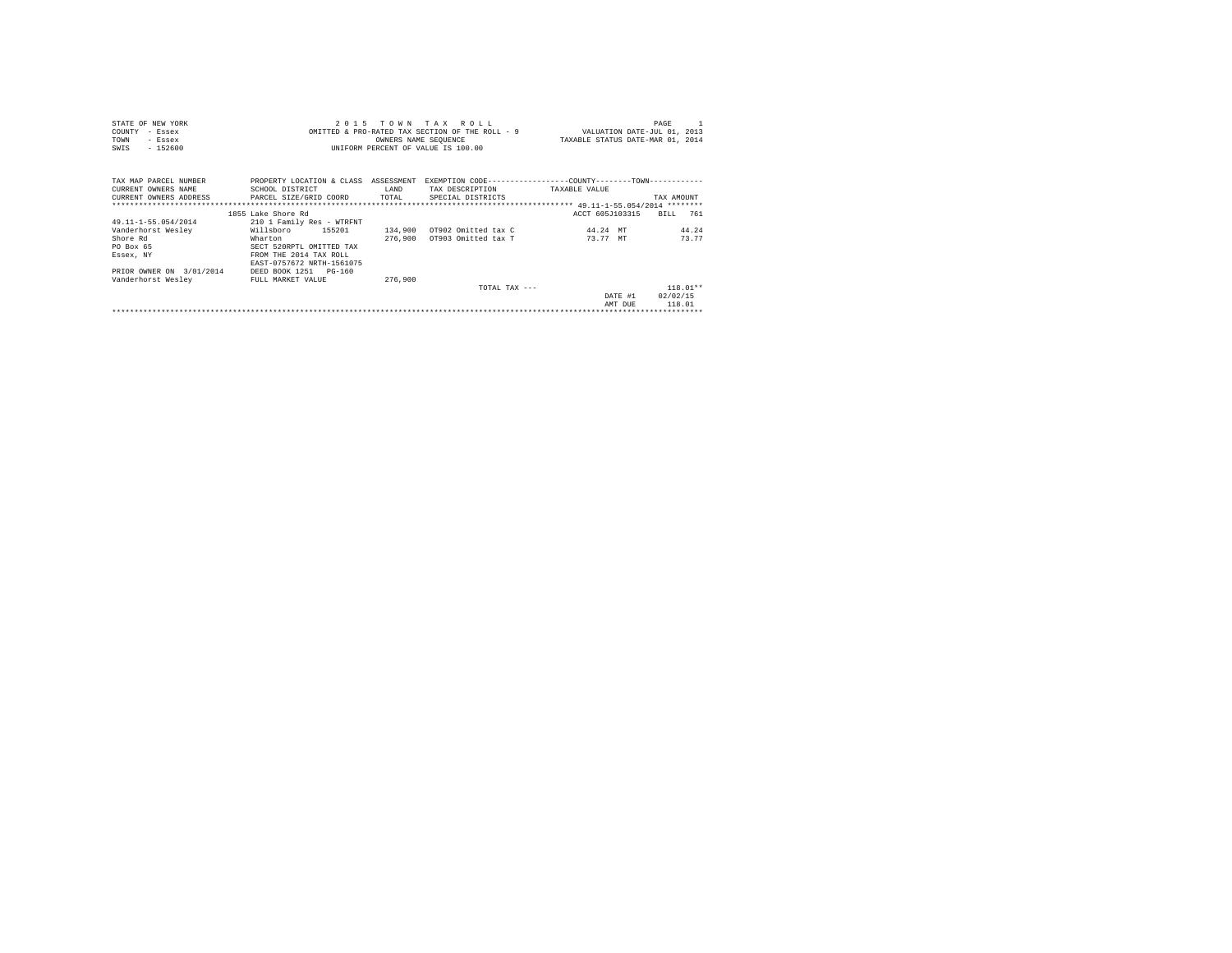| STATE OF NEW YORK                                   |                                                                                                |         | 2015 TOWN TAX ROLL                 |                                                                             | PAGE       |
|-----------------------------------------------------|------------------------------------------------------------------------------------------------|---------|------------------------------------|-----------------------------------------------------------------------------|------------|
| COUNTY<br>- Essex                                   |                                                                                                |         |                                    | OMITTED & PRO-RATED TAX SECTION OF THE ROLL - 9 VALUATION DATE-JUL 01, 2013 |            |
| TOWN<br>- Essex                                     |                                                                                                |         | OWNERS NAME SEQUENCE               | TAXABLE STATUS DATE-MAR 01, 2014                                            |            |
| $-152600$<br>SWIS                                   |                                                                                                |         | UNIFORM PERCENT OF VALUE IS 100.00 |                                                                             |            |
|                                                     |                                                                                                |         |                                    |                                                                             |            |
|                                                     |                                                                                                |         |                                    |                                                                             |            |
| TAX MAP PARCEL NUMBER                               | PROPERTY LOCATION & CLASS ASSESSMENT EXEMPTION CODE----------------COUNTY-------TOWN---------- |         |                                    |                                                                             |            |
| CURRENT OWNERS NAME                                 | SCHOOL DISTRICT                                                                                | LAND    | TAX DESCRIPTION                    | TAXABLE VALUE                                                               |            |
| CURRENT OWNERS ADDRESS PARCEL SIZE/GRID COORD TOTAL |                                                                                                |         | SPECIAL DISTRICTS                  |                                                                             | TAX AMOUNT |
|                                                     |                                                                                                |         |                                    |                                                                             |            |
|                                                     | 1855 Lake Shore Rd                                                                             |         |                                    | ACCT 605J103315                                                             | BTLL 761   |
| 49.11-1-55.054/2014                                 | 210 1 Family Res - WTRFNT                                                                      |         |                                    |                                                                             |            |
| Vanderhorst Wesley                                  | Willsboro 155201                                                                               |         | 134,900 OT902 Omitted tax C        | 44.24 MT                                                                    | 44.24      |
| Shore Rd                                            | Wharton                                                                                        |         | 276,900 0T903 Omitted tax T        | 73.77 MT                                                                    | 73.77      |
| PO Box 65                                           | SECT 520RPTL OMITTED TAX                                                                       |         |                                    |                                                                             |            |
| Essex, NY                                           | FROM THE 2014 TAX ROLL                                                                         |         |                                    |                                                                             |            |
|                                                     | EAST-0757672 NRTH-1561075                                                                      |         |                                    |                                                                             |            |
| PRIOR OWNER ON 3/01/2014                            | DEED BOOK 1251 PG-160                                                                          |         |                                    |                                                                             |            |
| Vanderhorst Wesley                                  | FULL MARKET VALUE                                                                              | 276,900 |                                    |                                                                             |            |
|                                                     |                                                                                                |         | TOTAL TAX $---$                    |                                                                             | $118.01**$ |
|                                                     |                                                                                                |         |                                    | DATE #1                                                                     | 02/02/15   |
|                                                     |                                                                                                |         |                                    | AMT DUE                                                                     | 118.01     |
|                                                     |                                                                                                |         |                                    |                                                                             |            |
|                                                     |                                                                                                |         |                                    |                                                                             |            |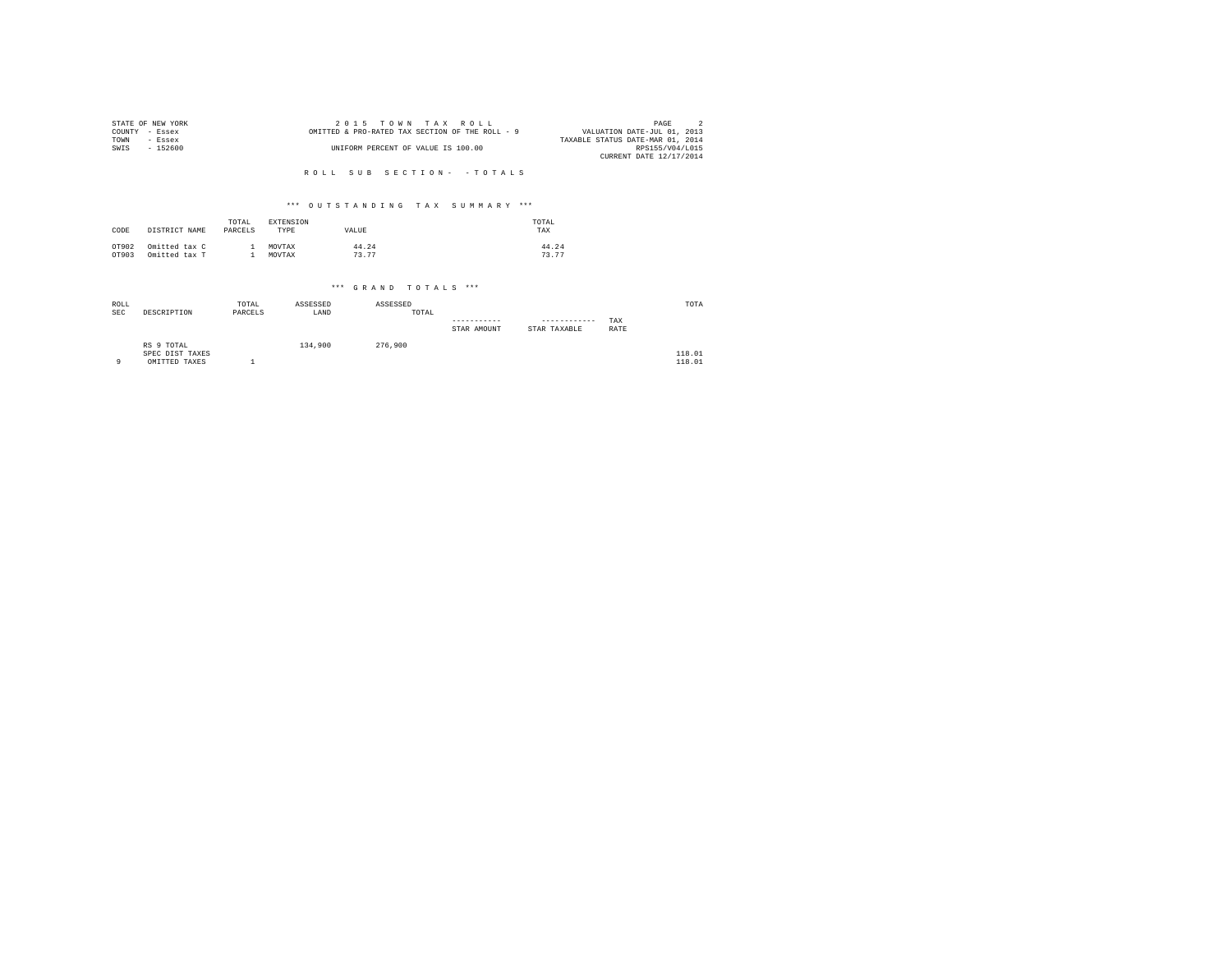| STATE OF NEW YORK | 2015 TOWN TAX ROLL                              | PAGE                             |
|-------------------|-------------------------------------------------|----------------------------------|
| COUNTY - Essex    | OMITTED & PRO-RATED TAX SECTION OF THE ROLL - 9 | VALUATION DATE-JUL 01, 2013      |
| TOWN<br>- Essex   |                                                 | TAXABLE STATUS DATE-MAR 01, 2014 |
| SWIS<br>- 152600  | UNIFORM PERCENT OF VALUE IS 100.00              | RPS155/V04/L015                  |
|                   |                                                 | CURRENT DATE 12/17/2014          |
|                   |                                                 |                                  |
|                   | ROLL SUB SECTION- - TOTALS                      |                                  |

| CODE  | DISTRICT NAME | TOTAL<br>PARCELS | <b>EXTENSION</b><br>TYPE | VALUE | TOTAL<br>TAX |
|-------|---------------|------------------|--------------------------|-------|--------------|
| OT902 | Omitted tax C |                  | MOVTAX                   | 44.24 | 44.24        |
| OT903 | Omitted tax T |                  | MOVTAX                   | 73.77 | 73.77        |

| ROLL<br><b>SEC</b> | DESCRIPTION                                    | TOTAL<br>PARCELS | ASSESSED<br>LAND | ASSESSED<br>TOTAL |             |                              |             | TOTA             |
|--------------------|------------------------------------------------|------------------|------------------|-------------------|-------------|------------------------------|-------------|------------------|
|                    |                                                |                  |                  |                   | STAR AMOUNT | ------------<br>STAR TAXABLE | TAX<br>RATE |                  |
| 9                  | RS 9 TOTAL<br>SPEC DIST TAXES<br>OMITTED TAXES |                  | 134,900          | 276,900           |             |                              |             | 118.01<br>118.01 |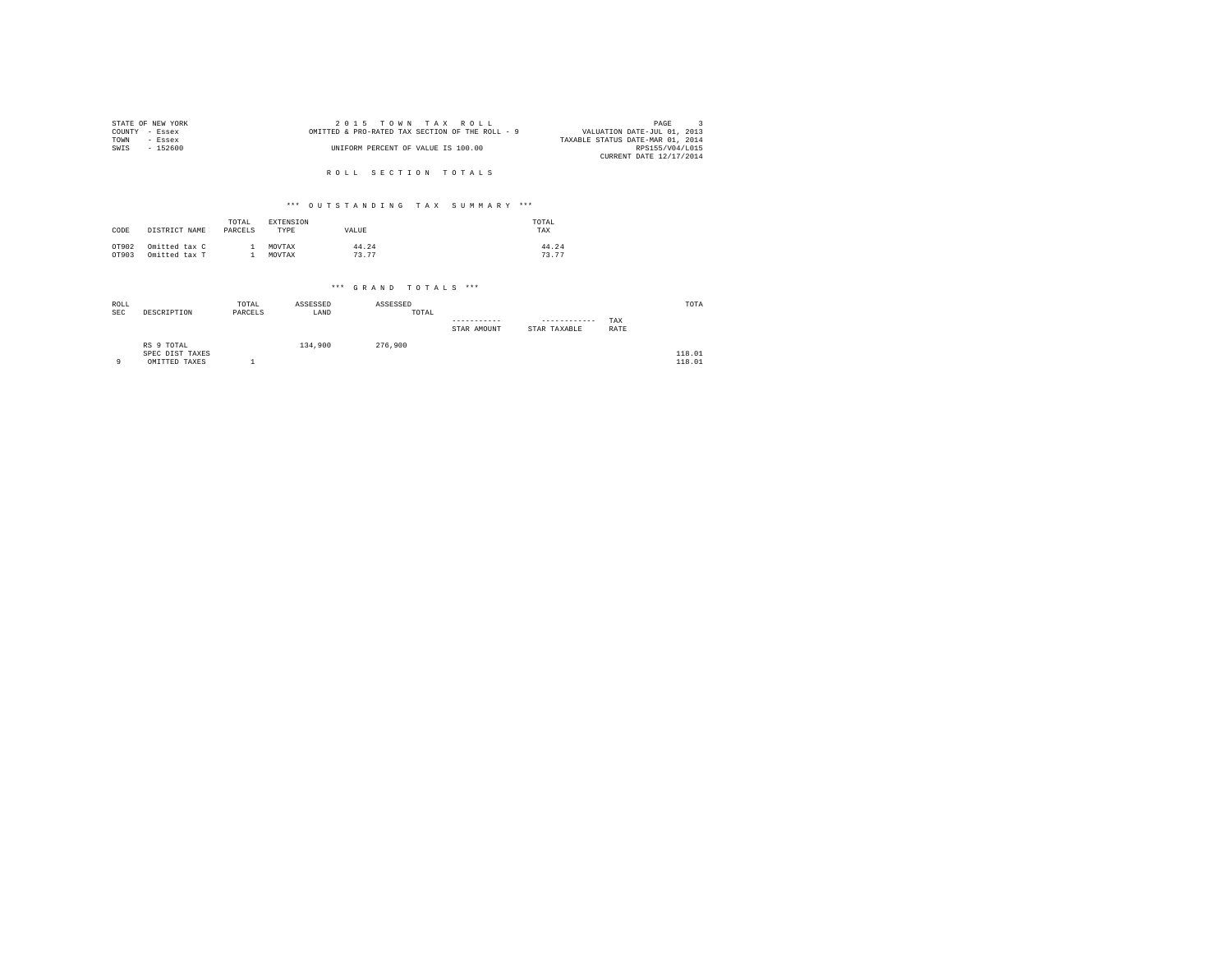| STATE OF NEW YORK | 2015 TOWN TAX ROLL                              | PAGE                             |
|-------------------|-------------------------------------------------|----------------------------------|
| COUNTY - Essex    | OMITTED & PRO-RATED TAX SECTION OF THE ROLL - 9 | VALUATION DATE-JUL 01, 2013      |
| TOWN<br>- Essex   |                                                 | TAXABLE STATUS DATE-MAR 01, 2014 |
| SWIS<br>- 152600  | UNIFORM PERCENT OF VALUE IS 100.00              | RPS155/V04/L015                  |
|                   |                                                 | CURRENT DATE 12/17/2014          |
|                   |                                                 |                                  |
|                   | ROLL SECTION TOTALS                             |                                  |

| CODE  | DISTRICT NAME | TOTAL<br>PARCELS | EXTENSION<br>TYPE | VALUE | TOTAL<br>TAX |
|-------|---------------|------------------|-------------------|-------|--------------|
| OT902 | Omitted tax C |                  | MOVTAX            | 44.24 | 44.24        |
| OT903 | Omitted tax T |                  | MOVTAX            | 73.77 | 73.77        |

| ROLL<br><b>SEC</b> | DESCRIPTION                                    | TOTAL<br>PARCELS | ASSESSED<br>LAND | ASSESSED<br>TOTAL |             |                              |             | TOTA             |
|--------------------|------------------------------------------------|------------------|------------------|-------------------|-------------|------------------------------|-------------|------------------|
|                    |                                                |                  |                  |                   | STAR AMOUNT | ------------<br>STAR TAXABLE | TAX<br>RATE |                  |
| $\circ$            | RS 9 TOTAL<br>SPEC DIST TAXES<br>OMITTED TAXES |                  | 134,900          | 276,900           |             |                              |             | 118.01<br>118.01 |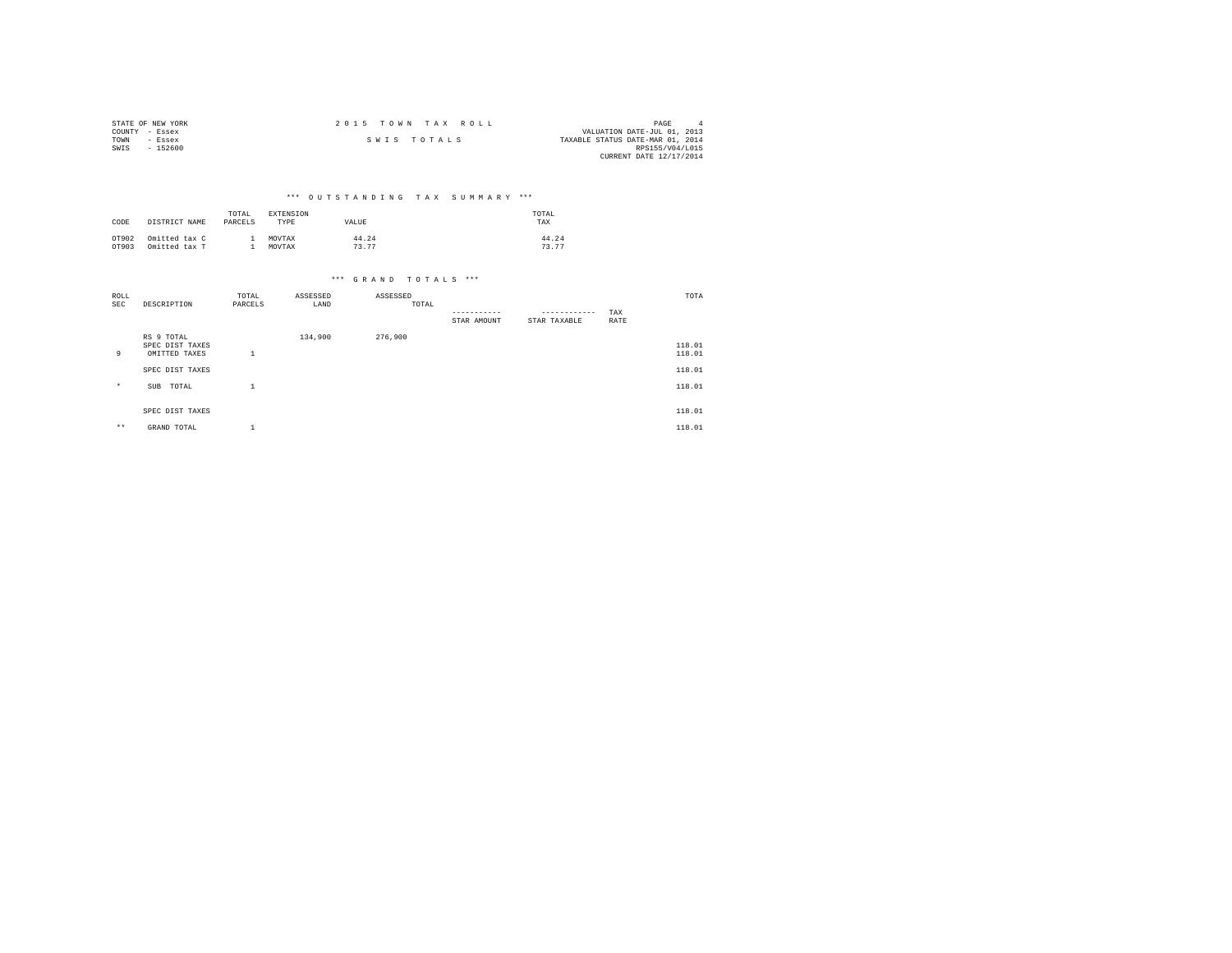| STATE OF NEW YORK | 2015 TOWN TAX ROLL |                                  | PAGE                    |  |
|-------------------|--------------------|----------------------------------|-------------------------|--|
| COUNTY - Essex    |                    | VALUATION DATE-JUL 01, 2013      |                         |  |
| TOWN<br>- Essex   | SWIS TOTALS        | TAXABLE STATUS DATE-MAR 01, 2014 |                         |  |
| SWIS<br>- 152600  |                    |                                  | RPS155/V04/L015         |  |
|                   |                    |                                  | CURRENT DATE 12/17/2014 |  |

| CODE  | DISTRICT NAME | TOTAL<br>PARCELS | EXTENSION<br>TYPE | VALUE | TOTAL<br>TAX |
|-------|---------------|------------------|-------------------|-------|--------------|
| OT902 | Omitted tax C |                  | MOVTAX            | 44.24 | 44.24        |
| OT903 | Omitted tax T |                  | MOVTAX            | 73.77 | 73.77        |

| ROLL<br>SEC | DESCRIPTION                                    | TOTAL<br>PARCELS | ASSESSED<br>LAND | ASSESSED<br>TOTAL |             |                              |             | TOTA             |
|-------------|------------------------------------------------|------------------|------------------|-------------------|-------------|------------------------------|-------------|------------------|
|             |                                                |                  |                  |                   | STAR AMOUNT | ------------<br>STAR TAXABLE | TAX<br>RATE |                  |
| 9           | RS 9 TOTAL<br>SPEC DIST TAXES<br>OMITTED TAXES | - 4<br>-4        | 134,900          | 276,900           |             |                              |             | 118.01<br>118.01 |
|             | SPEC DIST TAXES                                |                  |                  |                   |             |                              |             | 118.01           |
| $\star$     | TOTAL<br>SUB                                   | - 4              |                  |                   |             |                              |             | 118.01           |
|             | SPEC DIST TAXES                                |                  |                  |                   |             |                              |             | 118.01           |
| $***$       | GRAND TOTAL                                    | - 4              |                  |                   |             |                              |             | 118.01           |